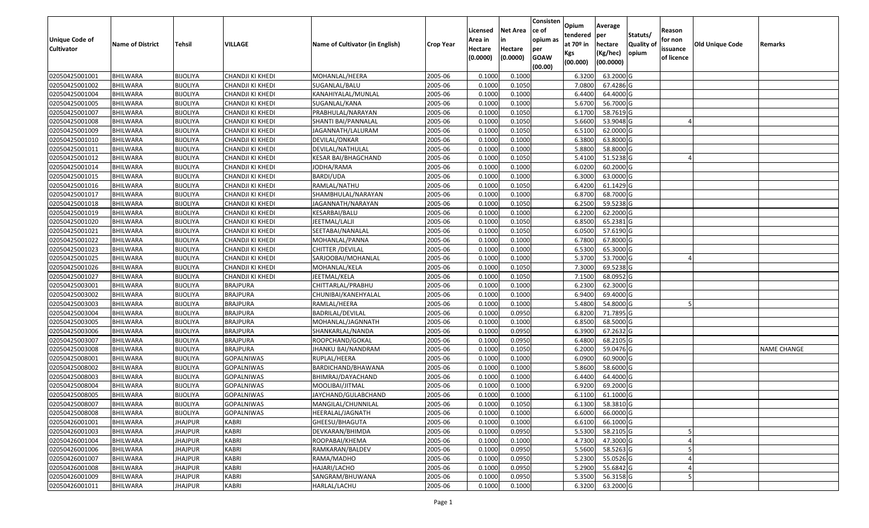| <b>Unique Code of</b><br><b>Cultivator</b> | <b>Name of District</b> | Tehsil          | VILLAGE           | Name of Cultivator (in English) | <b>Crop Year</b> | Licensed<br>Area in<br>Hectare<br>(0.0000) | <b>Net Area</b><br>in<br>Hectare<br>(0.0000) | Consisten<br>ce of<br>opium as<br>per<br><b>GOAW</b> | Opium<br>tendered<br>at $70°$ in<br>Kgs | Average<br>per<br>hectare<br>(Kg/hec) | Statuts/<br><b>Quality o</b><br>opium | Reason<br>for non<br>issuance<br>of licence | Old Unique Code | Remarks            |
|--------------------------------------------|-------------------------|-----------------|-------------------|---------------------------------|------------------|--------------------------------------------|----------------------------------------------|------------------------------------------------------|-----------------------------------------|---------------------------------------|---------------------------------------|---------------------------------------------|-----------------|--------------------|
|                                            |                         |                 |                   |                                 |                  |                                            |                                              | (00.00)                                              | (00.000)                                | (00.0000)                             |                                       |                                             |                 |                    |
| 02050425001001                             | BHILWARA                | <b>BIJOLIYA</b> | CHANDJI KI KHEDI  | MOHANLAL/HEERA                  | 2005-06          | 0.1000                                     | 0.1000                                       |                                                      | 6.3200                                  | 63.2000 G                             |                                       |                                             |                 |                    |
| 02050425001002                             | BHILWARA                | <b>BIJOLIYA</b> | CHANDJI KI KHEDI  | SUGANLAL/BALU                   | 2005-06          | 0.1000                                     | 0.1050                                       |                                                      | 7.0800                                  | 67.4286 G                             |                                       |                                             |                 |                    |
| 02050425001004                             | BHILWARA                | <b>BIJOLIYA</b> | CHANDJI KI KHEDI  | KANAHIYALAL/MUNLAL              | 2005-06          | 0.1000                                     | 0.1000                                       |                                                      | 6.4400                                  | 64.4000 G                             |                                       |                                             |                 |                    |
| 02050425001005                             | <b>BHILWARA</b>         | <b>BIJOLIYA</b> | CHANDJI KI KHEDI  | SUGANLAL/KANA                   | 2005-06          | 0.1000                                     | 0.1000                                       |                                                      | 5.6700                                  | 56.7000 G                             |                                       |                                             |                 |                    |
| 02050425001007                             | BHILWARA                | <b>BIJOLIYA</b> | CHANDJI KI KHEDI  | PRABHULAL/NARAYAN               | 2005-06          | 0.1000                                     | 0.1050                                       |                                                      | 6.1700                                  | 58.7619 G                             |                                       |                                             |                 |                    |
| 02050425001008                             | <b>BHILWARA</b>         | <b>BIJOLIYA</b> | CHANDJI KI KHEDI  | SHANTI BAI/PANNALAL             | 2005-06          | 0.1000                                     | 0.1050                                       |                                                      | 5.6600                                  | 53.9048 G                             |                                       |                                             |                 |                    |
| 02050425001009                             | BHILWARA                | <b>BIJOLIYA</b> | CHANDJI KI KHEDI  | JAGANNATH/LALURAM               | 2005-06          | 0.1000                                     | 0.1050                                       |                                                      | 6.5100                                  | 62.0000G                              |                                       |                                             |                 |                    |
| 02050425001010                             | <b>BHILWARA</b>         | <b>BIJOLIYA</b> | CHANDJI KI KHEDI  | DEVILAL/ONKAR                   | 2005-06          | 0.1000                                     | 0.1000                                       |                                                      | 6.3800                                  | 63.8000 G                             |                                       |                                             |                 |                    |
| 02050425001011                             | BHILWARA                | <b>BIJOLIYA</b> | CHANDJI KI KHEDI  | DEVILAL/NATHULAL                | 2005-06          | 0.1000                                     | 0.1000                                       |                                                      | 5.8800                                  | 58.8000 G                             |                                       |                                             |                 |                    |
| 02050425001012                             | <b>BHILWARA</b>         | <b>BIJOLIYA</b> | CHANDJI KI KHEDI  | KESAR BAI/BHAGCHAND             | 2005-06          | 0.1000                                     | 0.1050                                       |                                                      | 5.4100                                  | 51.5238 G                             |                                       |                                             |                 |                    |
| 02050425001014                             | BHILWARA                | <b>BIJOLIYA</b> | CHANDJI KI KHEDI  | JODHA/RAMA                      | 2005-06          | 0.1000                                     | 0.1000                                       |                                                      | 6.0200                                  | 60.2000 G                             |                                       |                                             |                 |                    |
| 02050425001015                             | <b>BHILWARA</b>         | <b>BIJOLIYA</b> | CHANDJI KI KHEDI  | BARDI/UDA                       | 2005-06          | 0.1000                                     | 0.1000                                       |                                                      | 6.3000                                  | 63.0000 G                             |                                       |                                             |                 |                    |
| 02050425001016                             | <b>BHILWARA</b>         | <b>BIJOLIYA</b> | CHANDJI KI KHEDI  | RAMLAL/NATHU                    | 2005-06          | 0.1000                                     | 0.1050                                       |                                                      | 6.4200                                  | 61.1429 G                             |                                       |                                             |                 |                    |
| 02050425001017                             | <b>BHILWARA</b>         | <b>BIJOLIYA</b> | CHANDJI KI KHEDI  | SHAMBHULAL/NARAYAN              | 2005-06          | 0.1000                                     | 0.1000                                       |                                                      | 6.8700                                  | 68.7000G                              |                                       |                                             |                 |                    |
| 02050425001018                             | BHILWARA                | <b>BIJOLIYA</b> | CHANDJI KI KHEDI  | JAGANNATH/NARAYAN               | 2005-06          | 0.1000                                     | 0.1050                                       |                                                      | 6.2500                                  | 59.5238 G                             |                                       |                                             |                 |                    |
| 02050425001019                             | <b>BHILWARA</b>         | <b>BIJOLIYA</b> | CHANDJI KI KHEDI  | KESARBAI/BALU                   | 2005-06          | 0.1000                                     | 0.1000                                       |                                                      | 6.2200                                  | 62.2000 G                             |                                       |                                             |                 |                    |
| 02050425001020                             | <b>BHILWARA</b>         | <b>BIJOLIYA</b> | CHANDJI KI KHEDI  | JEETMAL/LALJI                   | 2005-06          | 0.1000                                     | 0.1050                                       |                                                      | 6.8500                                  | 65.2381G                              |                                       |                                             |                 |                    |
| 02050425001021                             | <b>BHILWARA</b>         | <b>BIJOLIYA</b> | CHANDJI KI KHEDI  | SEETABAI/NANALAL                | 2005-06          | 0.1000                                     | 0.1050                                       |                                                      | 6.0500                                  | 57.6190 G                             |                                       |                                             |                 |                    |
| 02050425001022                             | <b>BHILWARA</b>         | <b>BIJOLIYA</b> | CHANDJI KI KHEDI  | MOHANLAL/PANNA                  | 2005-06          | 0.1000                                     | 0.1000                                       |                                                      | 6.7800                                  | 67.8000 G                             |                                       |                                             |                 |                    |
| 02050425001023                             | BHILWARA                | <b>BIJOLIYA</b> | CHANDJI KI KHEDI  | CHITTER /DEVILAL                | 2005-06          | 0.1000                                     | 0.1000                                       |                                                      | 6.5300                                  | 65.3000G                              |                                       |                                             |                 |                    |
| 02050425001025                             | <b>BHILWARA</b>         | <b>BIJOLIYA</b> | CHANDJI KI KHEDI  | SARJOOBAI/MOHANLAL              | 2005-06          | 0.1000                                     | 0.1000                                       |                                                      | 5.3700                                  | 53.7000 G                             |                                       |                                             |                 |                    |
| 02050425001026                             | BHILWARA                | <b>BIJOLIYA</b> | CHANDJI KI KHEDI  | MOHANLAL/KELA                   | 2005-06          | 0.1000                                     | 0.1050                                       |                                                      | 7.3000                                  | 69.5238 G                             |                                       |                                             |                 |                    |
| 02050425001027                             | BHILWARA                | <b>BIJOLIYA</b> | CHANDJI KI KHEDI  | JEETMAL/KELA                    | 2005-06          | 0.1000                                     | 0.1050                                       |                                                      | 7.1500                                  | 68.0952 G                             |                                       |                                             |                 |                    |
| 02050425003001                             | BHILWARA                | <b>BIJOLIYA</b> | <b>BRAJPURA</b>   | CHITTARLAL/PRABHU               | 2005-06          | 0.100                                      | 0.1000                                       |                                                      | 6.2300                                  | 62.3000G                              |                                       |                                             |                 |                    |
| 02050425003002                             | <b>BHILWARA</b>         | <b>BIJOLIYA</b> | <b>BRAJPURA</b>   | CHUNIBAI/KANEHYALAL             | 2005-06          | 0.1000                                     | 0.1000                                       |                                                      | 6.9400                                  | 69.4000 G                             |                                       |                                             |                 |                    |
| 02050425003003                             | BHILWARA                | <b>BIJOLIYA</b> | <b>BRAJPURA</b>   | RAMLAL/HEERA                    | 2005-06          | 0.1000                                     | 0.1000                                       |                                                      | 5.4800                                  | 54.8000 G                             |                                       |                                             |                 |                    |
| 02050425003004                             | <b>BHILWARA</b>         | <b>BIJOLIYA</b> | <b>BRAJPURA</b>   | BADRILAL/DEVILAL                | 2005-06          | 0.1000                                     | 0.0950                                       |                                                      | 6.8200                                  | 71.7895 G                             |                                       |                                             |                 |                    |
| 02050425003005                             | BHILWARA                | <b>BIJOLIYA</b> | <b>BRAJPURA</b>   | MOHANLAL/JAGNNATH               | 2005-06          | 0.1000                                     | 0.1000                                       |                                                      | 6.8500                                  | 68.5000 G                             |                                       |                                             |                 |                    |
| 02050425003006                             | <b>BHILWARA</b>         | <b>BIJOLIYA</b> | <b>BRAJPURA</b>   | SHANKARLAL/NANDA                | 2005-06          | 0.1000                                     | 0.0950                                       |                                                      | 6.3900                                  | 67.2632 G                             |                                       |                                             |                 |                    |
| 02050425003007                             | <b>BHILWARA</b>         | <b>BIJOLIYA</b> | <b>BRAJPURA</b>   | ROOPCHAND/GOKAL                 | 2005-06          | 0.1000                                     | 0.0950                                       |                                                      | 6.4800                                  | 68.2105 G                             |                                       |                                             |                 |                    |
| 02050425003008                             | BHILWARA                | <b>BIJOLIYA</b> | <b>BRAJPURA</b>   | JHANKU BAI/NANDRAM              | 2005-06          | 0.1000                                     | 0.1050                                       |                                                      | 6.2000                                  | 59.0476 G                             |                                       |                                             |                 | <b>NAME CHANGE</b> |
| 02050425008001                             | BHILWARA                | <b>BIJOLIYA</b> | <b>GOPALNIWAS</b> | RUPLAL/HEERA                    | 2005-06          | 0.1000                                     | 0.1000                                       |                                                      | 6.0900                                  | 60.9000 G                             |                                       |                                             |                 |                    |
| 02050425008002                             | <b>BHILWARA</b>         | <b>BIJOLIYA</b> | <b>GOPALNIWAS</b> | BARDICHAND/BHAWANA              | 2005-06          | 0.1000                                     | 0.1000                                       |                                                      | 5.8600                                  | 58.6000 G                             |                                       |                                             |                 |                    |
| 02050425008003                             | BHILWARA                | <b>BIJOLIYA</b> | GOPALNIWAS        | BHIMRAJ/DAYACHAND               | 2005-06          | 0.1000                                     | 0.1000                                       |                                                      | 6.4400                                  | 64.4000 G                             |                                       |                                             |                 |                    |
| 02050425008004                             | <b>BHILWARA</b>         | <b>BIJOLIYA</b> | <b>GOPALNIWAS</b> | MOOLIBAI/JITMAL                 | 2005-06          | 0.1000                                     | 0.1000                                       |                                                      | 6.9200                                  | 69.2000 G                             |                                       |                                             |                 |                    |
| 02050425008005                             | <b>BHILWARA</b>         | <b>BIJOLIYA</b> | <b>GOPALNIWAS</b> | JAYCHAND/GULABCHAND             | 2005-06          | 0.1000                                     | 0.1000                                       |                                                      | 6.1100                                  | 61.1000 G                             |                                       |                                             |                 |                    |
| 02050425008007                             | <b>BHILWARA</b>         | <b>BIJOLIYA</b> | <b>GOPALNIWAS</b> | MANGILAL/CHUNNILAL              | 2005-06          | 0.1000                                     | 0.1050                                       |                                                      | 6.1300                                  | 58.3810 G                             |                                       |                                             |                 |                    |
| 02050425008008                             | <b>BHILWARA</b>         | <b>BIJOLIYA</b> | <b>GOPALNIWAS</b> | HEERALAL/JAGNATH                | 2005-06          | 0.1000                                     | 0.1000                                       |                                                      | 6.6000                                  | 66.0000 G                             |                                       |                                             |                 |                    |
| 02050426001001                             | <b>BHILWARA</b>         | <b>JHAJPUR</b>  | <b>KABRI</b>      | GHEESU/BHAGUTA                  | 2005-06          | 0.1000                                     | 0.1000                                       |                                                      | 6.6100                                  | 66.1000 G                             |                                       |                                             |                 |                    |
| 02050426001003                             | <b>BHILWARA</b>         | <b>JHAJPUR</b>  | <b>KABRI</b>      | DEVKARAN/BHIMDA                 | 2005-06          | 0.1000                                     | 0.0950                                       |                                                      | 5.5300                                  | 58.2105 G                             |                                       |                                             |                 |                    |
| 02050426001004                             | <b>BHILWARA</b>         | <b>JHAJPUR</b>  | <b>KABRI</b>      | ROOPABAI/KHEMA                  | 2005-06          | 0.1000                                     | 0.1000                                       |                                                      | 4.7300                                  | 47.3000 G                             |                                       |                                             |                 |                    |
| 02050426001006                             | <b>BHILWARA</b>         | <b>JHAJPUR</b>  | <b>KABRI</b>      | RAMKARAN/BALDEV                 | 2005-06          | 0.1000                                     | 0.0950                                       |                                                      | 5.5600                                  | 58.5263 G                             |                                       |                                             |                 |                    |
| 02050426001007                             | <b>BHILWARA</b>         | <b>JHAJPUR</b>  | <b>KABRI</b>      | RAMA/MADHO                      | 2005-06          | 0.1000                                     | 0.0950                                       |                                                      | 5.2300                                  | 55.0526 G                             |                                       |                                             |                 |                    |
| 02050426001008                             | <b>BHILWARA</b>         | <b>JHAJPUR</b>  | <b>KABRI</b>      | HAJARI/LACHO                    | 2005-06          | 0.1000                                     | 0.0950                                       |                                                      | 5.2900                                  | 55.6842 G                             |                                       |                                             |                 |                    |
| 02050426001009                             | <b>BHILWARA</b>         | <b>JHAJPUR</b>  | <b>KABRI</b>      | SANGRAM/BHUWANA                 | 2005-06          | 0.1000                                     | 0.0950                                       |                                                      | 5.3500                                  | 56.3158 G                             |                                       |                                             |                 |                    |
| 02050426001011                             | <b>BHILWARA</b>         | <b>JHAJPUR</b>  | KABRI             | HARLAL/LACHU                    | 2005-06          | 0.1000                                     | 0.1000                                       |                                                      | 6.3200                                  | 63.2000 G                             |                                       |                                             |                 |                    |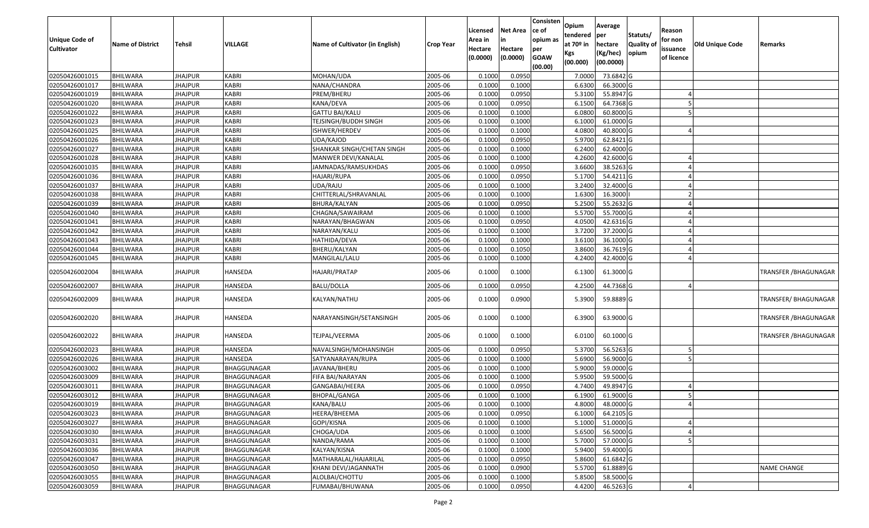| <b>Unique Code of</b> | <b>Name of District</b> | Tehsil         | VILLAGE      | Name of Cultivator (in English) | <b>Crop Year</b> | Licensed<br>Area in | <b>Net Area</b><br>in | Consisten<br>ce of<br>opium as | Opium<br>tendered<br>at 70º in | Average<br>per<br>hectare | Statuts/<br>Quality of | Reason<br>for non      | Old Unique Code | Remarks                      |
|-----------------------|-------------------------|----------------|--------------|---------------------------------|------------------|---------------------|-----------------------|--------------------------------|--------------------------------|---------------------------|------------------------|------------------------|-----------------|------------------------------|
| Cultivator            |                         |                |              |                                 |                  | Hectare<br>(0.0000) | Hectare<br>(0.0000)   | per<br><b>GOAW</b><br>(00.00)  | Kgs<br>(00.000)                | (Kg/hec)<br>(00.0000)     | opium                  | issuance<br>of licence |                 |                              |
| 02050426001015        | <b>BHILWARA</b>         | <b>JHAJPUR</b> | <b>KABRI</b> | MOHAN/UDA                       | 2005-06          | 0.1000              | 0.0950                |                                | 7.0000                         | 73.6842 G                 |                        |                        |                 |                              |
| 02050426001017        | <b>BHILWARA</b>         | <b>JHAJPUR</b> | <b>KABRI</b> | NANA/CHANDRA                    | 2005-06          | 0.1000              | 0.1000                |                                | 6.6300                         | 66.3000 G                 |                        |                        |                 |                              |
| 02050426001019        | BHILWARA                | <b>JHAJPUR</b> | <b>KABRI</b> | PREM/BHERU                      | 2005-06          | 0.1000              | 0.0950                |                                | 5.3100                         | 55.8947 G                 |                        |                        |                 |                              |
| 02050426001020        | <b>BHILWARA</b>         | <b>JHAJPUR</b> | <b>KABRI</b> | KANA/DEVA                       | 2005-06          | 0.1000              | 0.0950                |                                | 6.1500                         | 64.7368 G                 |                        |                        |                 |                              |
| 02050426001022        | <b>BHILWARA</b>         | <b>JHAJPUR</b> | <b>KABRI</b> | <b>GATTU BAI/KALU</b>           | 2005-06          | 0.1000              | 0.1000                |                                | 6.0800                         | 60.8000 G                 |                        |                        |                 |                              |
| 02050426001023        | <b>BHILWARA</b>         | <b>JHAJPUR</b> | <b>KABRI</b> | TEJSINGH/BUDDH SINGH            | 2005-06          | 0.1000              | 0.1000                |                                | 6.1000                         | 61.0000 G                 |                        |                        |                 |                              |
| 02050426001025        | BHILWARA                | <b>JHAJPUR</b> | <b>KABRI</b> | ISHWER/HERDEV                   | 2005-06          | 0.1000              | 0.1000                |                                | 4.0800                         | 40.8000 G                 |                        |                        |                 |                              |
| 02050426001026        | <b>BHILWARA</b>         | <b>JHAJPUR</b> | <b>KABRI</b> | UDA/KAJOD                       | 2005-06          | 0.1000              | 0.0950                |                                | 5.9700                         | 62.8421 G                 |                        |                        |                 |                              |
| 02050426001027        | BHILWARA                | <b>JHAJPUR</b> | <b>KABRI</b> | SHANKAR SINGH/CHETAN SINGH      | 2005-06          | 0.1000              | 0.1000                |                                | 6.2400                         | 62.4000 G                 |                        |                        |                 |                              |
| 02050426001028        | <b>BHILWARA</b>         | <b>JHAJPUR</b> | <b>KABRI</b> | MANWER DEVI/KANALAL             | 2005-06          | 0.1000              | 0.1000                |                                | 4.2600                         | 42.6000 G                 |                        |                        |                 |                              |
| 02050426001035        | <b>BHILWARA</b>         | <b>JHAJPUR</b> | <b>KABRI</b> | JAMNADAS/RAMSUKHDAS             | 2005-06          | 0.1000              | 0.0950                |                                | 3.6600                         | 38.5263 G                 |                        |                        |                 |                              |
| 02050426001036        | <b>BHILWARA</b>         | <b>JHAJPUR</b> | <b>KABRI</b> | HAJARI/RUPA                     | 2005-06          | 0.1000              | 0.0950                |                                | 5.1700                         | 54.4211 G                 |                        |                        |                 |                              |
| 02050426001037        | <b>BHILWARA</b>         | <b>JHAJPUR</b> | <b>KABRI</b> | UDA/RAJU                        | 2005-06          | 0.1000              | 0.1000                |                                | 3.2400                         | 32.4000 G                 |                        |                        |                 |                              |
| 02050426001038        | <b>BHILWARA</b>         | <b>JHAJPUR</b> | <b>KABRI</b> | CHITTERLAL/SHRAVANLAL           | 2005-06          | 0.1000              | 0.1000                |                                | 1.6300                         | 16.3000                   |                        |                        |                 |                              |
| 02050426001039        | BHILWARA                | <b>JHAJPUR</b> | <b>KABRI</b> | BHURA/KALYAN                    | 2005-06          | 0.1000              | 0.0950                |                                | 5.2500                         | 55.2632 G                 |                        |                        |                 |                              |
| 02050426001040        | <b>BHILWARA</b>         | <b>JHAJPUR</b> | <b>KABRI</b> | CHAGNA/SAWAIRAM                 | 2005-06          | 0.1000              | 0.1000                |                                | 5.5700                         | 55.7000 G                 |                        |                        |                 |                              |
| 02050426001041        | <b>BHILWARA</b>         | <b>JHAJPUR</b> | <b>KABRI</b> | NARAYAN/BHAGWAN                 | 2005-06          | 0.1000              | 0.0950                |                                | 4.0500                         | 42.6316 G                 |                        |                        |                 |                              |
| 02050426001042        | <b>BHILWARA</b>         | <b>JHAJPUR</b> | <b>KABRI</b> | NARAYAN/KALU                    | 2005-06          | 0.1000              | 0.1000                |                                | 3.7200                         | 37.2000 G                 |                        |                        |                 |                              |
| 02050426001043        | BHILWARA                | <b>JHAJPUR</b> | <b>KABRI</b> | HATHIDA/DEVA                    | 2005-06          | 0.1000              | 0.1000                |                                | 3.6100                         | 36.1000 G                 |                        |                        |                 |                              |
| 02050426001044        | <b>BHILWARA</b>         | <b>JHAJPUR</b> | <b>KABRI</b> | BHERU/KALYAN                    | 2005-06          | 0.1000              | 0.1050                |                                | 3.8600                         | 36.7619 G                 |                        |                        |                 |                              |
| 02050426001045        | <b>BHILWARA</b>         | <b>JHAJPUR</b> | <b>KABRI</b> | MANGILAL/LALU                   | 2005-06          | 0.1000              | 0.1000                |                                | 4.2400                         | 42.4000 G                 |                        |                        |                 |                              |
| 02050426002004        | BHILWARA                | <b>JHAJPUR</b> | HANSEDA      | HAJARI/PRATAP                   | 2005-06          | 0.1000              | 0.1000                |                                | 6.1300                         | 61.3000 G                 |                        |                        |                 | TRANSFER / BHAGUNAGAR        |
| 02050426002007        | <b>BHILWARA</b>         | <b>JHAJPUR</b> | HANSEDA      | BALU/DOLLA                      | 2005-06          | 0.1000              | 0.0950                |                                | 4.2500                         | 44.7368 G                 |                        |                        |                 |                              |
| 02050426002009        | BHILWARA                | <b>JHAJPUR</b> | HANSEDA      | KALYAN/NATHU                    | 2005-06          | 0.1000              | 0.0900                |                                | 5.3900                         | 59.8889 G                 |                        |                        |                 | TRANSFER/ BHAGUNAGAR         |
| 02050426002020        | BHILWARA                | <b>JHAJPUR</b> | HANSEDA      | NARAYANSINGH/SETANSINGH         | 2005-06          | 0.1000              | 0.1000                |                                | 6.3900                         | 63.9000 G                 |                        |                        |                 | TRANSFER / BHAGUNAGAR        |
| 02050426002022        | <b>BHILWARA</b>         | <b>JHAJPUR</b> | HANSEDA      | TEJPAL/VEERMA                   | 2005-06          | 0.1000              | 0.1000                |                                | 6.0100                         | 60.1000 G                 |                        |                        |                 | <b>TRANSFER / BHAGUNAGAR</b> |
| 02050426002023        | <b>BHILWARA</b>         | <b>JHAJPUR</b> | HANSEDA      | NAVALSINGH/MOHANSINGH           | 2005-06          | 0.1000              | 0.0950                |                                | 5.3700                         | 56.5263 G                 |                        |                        |                 |                              |
| 02050426002026        | BHILWARA                | <b>JHAJPUR</b> | HANSEDA      | SATYANARAYAN/RUPA               | 2005-06          | 0.1000              | 0.1000                |                                | 5.6900                         | 56.9000 G                 |                        |                        |                 |                              |
| 02050426003002        | <b>BHILWARA</b>         | <b>JHAJPUR</b> | BHAGGUNAGAR  | JAVANA/BHERU                    | 2005-06          | 0.1000              | 0.1000                |                                | 5.9000                         | 59.0000 G                 |                        |                        |                 |                              |
| 02050426003009        | <b>BHILWARA</b>         | <b>JHAJPUR</b> | BHAGGUNAGAR  | FIFA BAI/NARAYAN                | 2005-06          | 0.1000              | 0.1000                |                                | 5.9500                         | 59.5000 G                 |                        |                        |                 |                              |
| 02050426003011        | BHILWARA                | <b>JHAJPUR</b> | BHAGGUNAGAR  | GANGABAI/HEERA                  | 2005-06          | 0.1000              | 0.0950                |                                | 4.7400                         | 49.8947 G                 |                        |                        |                 |                              |
| 02050426003012        | <b>BHILWARA</b>         | <b>JHAJPUR</b> | BHAGGUNAGAR  | BHOPAL/GANGA                    | 2005-06          | 0.1000              | 0.1000                |                                | 6.1900                         | 61.9000 G                 |                        |                        |                 |                              |
| 02050426003019        | BHILWARA                | <b>JHAJPUR</b> | BHAGGUNAGAR  | KANA/BALU                       | 2005-06          | 0.1000              | 0.1000                |                                | 4.8000                         | 48.0000 G                 |                        |                        |                 |                              |
| 02050426003023        | <b>BHILWARA</b>         | <b>JHAJPUR</b> | BHAGGUNAGAR  | HEERA/BHEEMA                    | 2005-06          | 0.1000              | 0.0950                |                                | 6.1000                         | 64.2105 G                 |                        |                        |                 |                              |
| 02050426003027        | <b>BHILWARA</b>         | <b>JHAJPUR</b> | BHAGGUNAGAR  | GOPI/KISNA                      | 2005-06          | 0.1000              | 0.1000                |                                | 5.1000                         | 51.0000 G                 |                        |                        |                 |                              |
| 02050426003030        | <b>BHILWARA</b>         | <b>JHAJPUR</b> | BHAGGUNAGAR  | CHOGA/UDA                       | 2005-06          | 0.1000              | 0.1000                |                                | 5.6500                         | 56.5000 G                 |                        |                        |                 |                              |
| 02050426003031        | <b>BHILWARA</b>         | <b>JHAJPUR</b> | BHAGGUNAGAR  | NANDA/RAMA                      | 2005-06          | 0.1000              | 0.1000                |                                | 5.7000                         | 57.0000 G                 |                        |                        |                 |                              |
| 02050426003036        | <b>BHILWARA</b>         | <b>JHAJPUR</b> | BHAGGUNAGAR  | KALYAN/KISNA                    | 2005-06          | 0.1000              | 0.1000                |                                | 5.9400                         | 59.4000 G                 |                        |                        |                 |                              |
| 02050426003047        | <b>BHILWARA</b>         | <b>JHAJPUR</b> | BHAGGUNAGAR  | MATHARALAL/HAJARILAL            | 2005-06          | 0.1000              | 0.0950                |                                | 5.8600                         | 61.6842 G                 |                        |                        |                 |                              |
| 02050426003050        | <b>BHILWARA</b>         | <b>JHAJPUR</b> | BHAGGUNAGAR  | KHANI DEVI/JAGANNATH            | 2005-06          | 0.1000              | 0.0900                |                                | 5.5700                         | 61.8889 G                 |                        |                        |                 | NAME CHANGE                  |
| 02050426003055        | <b>BHILWARA</b>         | <b>JHAJPUR</b> | BHAGGUNAGAR  | ALOLBAI/CHOTTU                  | 2005-06          | 0.1000              | 0.1000                |                                | 5.8500                         | 58.5000 G                 |                        |                        |                 |                              |
| 02050426003059        | BHILWARA                | <b>JHAJPUR</b> | BHAGGUNAGAR  | FUMABAI/BHUWANA                 | 2005-06          | 0.1000              | 0.0950                |                                | 4.4200                         | 46.5263 G                 |                        |                        |                 |                              |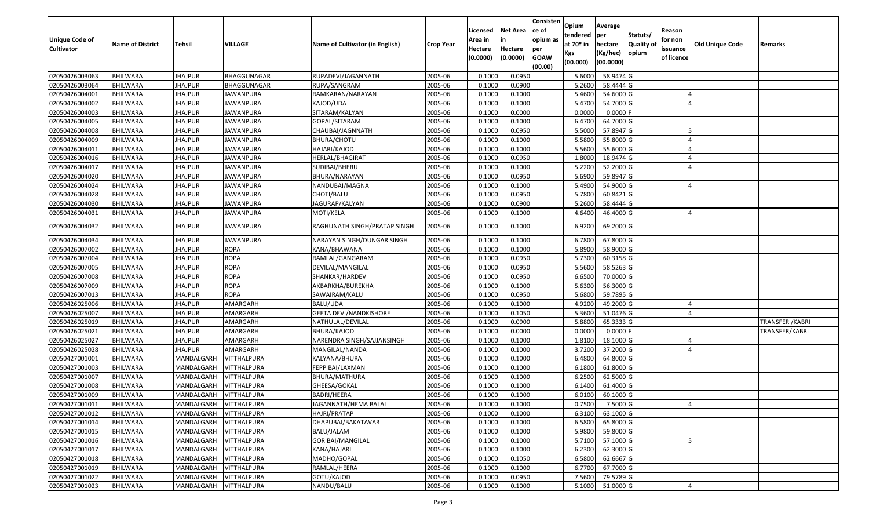| <b>Unique Code of</b><br><b>Cultivator</b> | <b>Name of District</b>            | Tehsil                   | VILLAGE                                  | Name of Cultivator (in English) | <b>Crop Year</b>   | Licensed<br>Area in<br>Hectare<br>(0.0000) | Net Area<br>in<br>Hectare<br>(0.0000) | Consisten<br>ce of<br>opium as<br>per<br><b>GOAW</b><br>(00.00) | Opium<br>tendered<br>at 70º in<br>Kgs<br>(00.000) | Average<br>per<br>hectare<br>(Kg/hec)<br>(00.0000) | Statuts/<br><b>Quality of</b><br>opium | Reason<br>for non<br>issuance<br>of licence | Old Unique Code | Remarks          |
|--------------------------------------------|------------------------------------|--------------------------|------------------------------------------|---------------------------------|--------------------|--------------------------------------------|---------------------------------------|-----------------------------------------------------------------|---------------------------------------------------|----------------------------------------------------|----------------------------------------|---------------------------------------------|-----------------|------------------|
| 02050426003063                             | <b>BHILWARA</b>                    | <b>JHAJPUR</b>           | BHAGGUNAGAR                              | RUPADEVI/JAGANNATH              | 2005-06            | 0.1000                                     | 0.0950                                |                                                                 | 5.6000                                            | 58.9474 G                                          |                                        |                                             |                 |                  |
| 02050426003064                             | <b>BHILWARA</b>                    | <b>JHAJPUR</b>           | BHAGGUNAGAR                              | RUPA/SANGRAM                    | 2005-06            | 0.1000                                     | 0.0900                                |                                                                 | 5.2600                                            | 58.4444 G                                          |                                        |                                             |                 |                  |
| 02050426004001                             | BHILWARA                           | JHAJPUR                  | JAWANPURA                                | RAMKARAN/NARAYAN                | 2005-06            | 0.1000                                     | 0.1000                                |                                                                 | 5.4600                                            | 54.6000 G                                          |                                        |                                             |                 |                  |
| 02050426004002                             | <b>BHILWARA</b>                    | <b>JHAJPUR</b>           | <b>JAWANPURA</b>                         | KAJOD/UDA                       | 2005-06            | 0.1000                                     | 0.1000                                |                                                                 | 5.4700                                            | 54.7000 G                                          |                                        |                                             |                 |                  |
| 02050426004003                             | BHILWARA                           | <b>JHAJPUR</b>           | JAWANPURA                                | SITARAM/KALYAN                  | 2005-06            | 0.1000                                     | 0.0000                                |                                                                 | 0.0000                                            | $0.0000$ F                                         |                                        |                                             |                 |                  |
| 02050426004005                             | <b>BHILWARA</b>                    | <b>JHAJPUR</b>           | <b>JAWANPURA</b>                         | GOPAL/SITARAM                   | 2005-06            | 0.1000                                     | 0.1000                                |                                                                 | 6.4700                                            | 64.7000 G                                          |                                        |                                             |                 |                  |
| 02050426004008                             | <b>BHILWARA</b>                    | <b>JHAJPUR</b>           | <b>JAWANPURA</b>                         | CHAUBAI/JAGNNATH                | 2005-06            | 0.1000                                     | 0.0950                                |                                                                 | 5.5000                                            | 57.8947 G                                          |                                        |                                             |                 |                  |
| 02050426004009                             | <b>BHILWARA</b>                    | <b>JHAJPUR</b>           | <b>JAWANPURA</b>                         | BHURA/CHOTU                     | 2005-06            | 0.1000                                     | 0.1000                                |                                                                 | 5.5800                                            | 55.8000 G                                          |                                        |                                             |                 |                  |
| 02050426004011                             | <b>BHILWARA</b>                    | <b>JHAJPUR</b>           | JAWANPURA                                | HAJARI/KAJOD                    | 2005-06            | 0.1000                                     | 0.1000                                |                                                                 | 5.5600                                            | 55.6000 G                                          |                                        |                                             |                 |                  |
| 02050426004016                             | <b>BHILWARA</b>                    | <b>JHAJPUR</b>           | <b>JAWANPURA</b>                         | HERLAL/BHAGIRAT                 | 2005-06            | 0.1000                                     | 0.0950                                |                                                                 | 1.8000                                            | 18.9474 G                                          |                                        |                                             |                 |                  |
| 02050426004017                             | <b>BHILWARA</b>                    | <b>JHAJPUR</b>           | JAWANPURA                                | SUDIBAI/BHERU                   | 2005-06            | 0.1000                                     | 0.1000                                |                                                                 | 5.2200                                            | 52.2000 G                                          |                                        |                                             |                 |                  |
| 02050426004020                             | <b>BHILWARA</b>                    | <b>JHAJPUR</b>           | <b>JAWANPURA</b>                         | BHURA/NARAYAN                   | 2005-06            | 0.1000                                     | 0.0950                                |                                                                 | 5.6900                                            | 59.8947 G                                          |                                        |                                             |                 |                  |
| 02050426004024                             | <b>BHILWARA</b>                    | <b>JHAJPUR</b>           | <b>JAWANPURA</b>                         | NANDUBAI/MAGNA                  | 2005-06            | 0.1000                                     | 0.1000                                |                                                                 | 5.4900                                            | 54.9000 G                                          |                                        |                                             |                 |                  |
| 02050426004028                             | <b>BHILWARA</b>                    | <b>JHAJPUR</b>           | JAWANPURA                                | CHOTI/BALU                      | 2005-06            | 0.1000                                     | 0.0950                                |                                                                 | 5.7800                                            | 60.8421 G                                          |                                        |                                             |                 |                  |
| 02050426004030                             | <b>BHILWARA</b>                    | JHAJPUR                  | JAWANPURA                                | JAGURAP/KALYAN                  | 2005-06            | 0.1000                                     | 0.0900                                |                                                                 | 5.2600                                            | 58.4444 G                                          |                                        |                                             |                 |                  |
| 02050426004031                             | <b>BHILWARA</b>                    | JHAJPUR                  | JAWANPURA                                | MOTI/KELA                       | 2005-06            | 0.1000                                     | 0.1000                                |                                                                 | 4.6400                                            | 46.4000 G                                          |                                        |                                             |                 |                  |
| 02050426004032                             | <b>BHILWARA</b>                    | <b>JHAJPUR</b>           | JAWANPURA                                | RAGHUNATH SINGH/PRATAP SINGH    | 2005-06            | 0.1000                                     | 0.1000                                |                                                                 | 6.9200                                            | 69.2000 G                                          |                                        |                                             |                 |                  |
| 02050426004034                             | <b>BHILWARA</b>                    | <b>JHAJPUR</b>           | JAWANPURA                                | NARAYAN SINGH/DUNGAR SINGH      | 2005-06            | 0.1000                                     | 0.1000                                |                                                                 | 6.7800                                            | 67.8000 G                                          |                                        |                                             |                 |                  |
| 02050426007002                             | BHILWARA                           | <b>JHAJPUR</b>           | ROPA                                     | KANA/BHAWANA                    | 2005-06            | 0.1000                                     | 0.1000                                |                                                                 | 5.8900                                            | 58.9000 G                                          |                                        |                                             |                 |                  |
| 02050426007004                             | <b>BHILWARA</b>                    | <b>JHAJPUR</b>           | <b>ROPA</b>                              | RAMLAL/GANGARAM                 | 2005-06            | 0.1000                                     | 0.0950                                |                                                                 | 5.7300                                            | 60.3158 G                                          |                                        |                                             |                 |                  |
| 02050426007005                             | <b>BHILWARA</b>                    | <b>JHAJPUR</b>           | <b>ROPA</b>                              | DEVILAL/MANGILAL                | 2005-06            | 0.1000                                     | 0.0950                                |                                                                 | 5.5600                                            | 58.5263 G                                          |                                        |                                             |                 |                  |
| 02050426007008                             | <b>BHILWARA</b>                    | <b>JHAJPUR</b>           | <b>ROPA</b>                              | SHANKAR/HARDEV                  | 2005-06            | 0.1000                                     | 0.0950                                |                                                                 | 6.6500                                            | 70.0000 G                                          |                                        |                                             |                 |                  |
| 02050426007009                             | BHILWARA                           | JHAJPUR                  | <b>ROPA</b>                              | AKBARKHA/BUREKHA                | 2005-06            | 0.1000                                     | 0.1000                                |                                                                 | 5.6300                                            | 56.3000 G                                          |                                        |                                             |                 |                  |
| 02050426007013                             | <b>BHILWARA</b>                    | <b>JHAJPUR</b>           | <b>ROPA</b>                              | SAWAIRAM/KALU                   | 2005-06            | 0.1000                                     | 0.0950                                |                                                                 | 5.6800                                            | 59.7895 G                                          |                                        |                                             |                 |                  |
| 02050426025006                             | <b>BHILWARA</b>                    | <b>JHAJPUR</b>           | AMARGARH                                 | BALU/UDA                        | 2005-06            | 0.1000                                     | 0.1000                                |                                                                 | 4.9200                                            | 49.2000 G                                          |                                        |                                             |                 |                  |
| 02050426025007                             | <b>BHILWARA</b>                    | <b>JHAJPUR</b>           | AMARGARH                                 | <b>GEETA DEVI/NANDKISHORE</b>   | 2005-06            | 0.1000                                     | 0.1050                                |                                                                 | 5.3600                                            | 51.0476 G                                          |                                        |                                             |                 |                  |
| 02050426025019                             | BHILWARA                           | <b>JHAJPUR</b>           | AMARGARH                                 | NATHULAL/DEVILAL                | 2005-06            | 0.1000                                     | 0.0900                                |                                                                 | 5.8800                                            | 65.3333 G                                          |                                        |                                             |                 | TRANSFER / KABRI |
| 02050426025021                             | <b>BHILWARA</b>                    | <b>JHAJPUR</b>           | AMARGARH                                 | BHURA/KAJOD                     | 2005-06            | 0.1000                                     | 0.0000                                |                                                                 | 0.0000                                            | $0.0000$ F                                         |                                        |                                             |                 | TRANSFER/KABRI   |
| 02050426025027                             | <b>BHILWARA</b>                    | <b>JHAJPUR</b>           | AMARGARH                                 | NARENDRA SINGH/SAJJANSINGH      | 2005-06            | 0.1000                                     | 0.1000                                |                                                                 | 1.8100                                            | 18.1000 G                                          |                                        |                                             |                 |                  |
| 02050426025028                             | <b>BHILWARA</b>                    | <b>JHAJPUR</b>           | AMARGARH                                 | MANGILAL/NANDA                  | 2005-06            | 0.1000                                     | 0.1000                                |                                                                 | 3.7200                                            | 37.2000 G                                          |                                        |                                             |                 |                  |
| 02050427001001                             | <b>BHILWARA</b>                    | MANDALGARH               | VITTHALPURA                              | KALYANA/BHURA                   | 2005-06            | 0.1000                                     | 0.1000                                |                                                                 | 6.4800                                            | 64.8000 G                                          |                                        |                                             |                 |                  |
| 02050427001003                             | <b>BHILWARA</b>                    | MANDALGARH               | <b>VITTHALPURA</b>                       | FEPPIBAI/LAXMAN                 | 2005-06            | 0.1000                                     | 0.1000                                |                                                                 | 6.1800                                            | 61.8000 G                                          |                                        |                                             |                 |                  |
| 02050427001007                             | <b>BHILWARA</b>                    | MANDALGARH               | <b>VITTHALPURA</b>                       | BHURA/MATHURA                   | 2005-06            | 0.1000                                     | 0.1000                                |                                                                 | 6.2500                                            | 62.5000 G                                          |                                        |                                             |                 |                  |
| 02050427001008                             | <b>BHILWARA</b>                    | MANDALGARH               | VITTHALPURA                              | GHEESA/GOKAL                    | 2005-06            | 0.1000                                     | 0.1000                                |                                                                 | 6.1400                                            | 61.4000 G                                          |                                        |                                             |                 |                  |
| 02050427001009                             | <b>BHILWARA</b>                    | MANDALGARH               | VITTHALPURA                              | BADRI/HEERA                     | 2005-06            | 0.1000                                     | 0.1000                                |                                                                 | 6.0100                                            | 60.1000 G                                          |                                        |                                             |                 |                  |
| 02050427001011                             | <b>BHILWARA</b>                    | MANDALGARH VITTHALPURA   |                                          | JAGANNATH/HEMA BALAI            | 2005-06            | 0.1000                                     | 0.1000                                |                                                                 | 0.7500                                            | 7.5000 G                                           |                                        |                                             |                 |                  |
| 02050427001012                             | <b>BHILWARA</b>                    | MANDALGARH               | VITTHALPURA                              | HAJRI/PRATAP                    | 2005-06            | 0.1000                                     | 0.1000                                |                                                                 | 6.3100                                            | 63.1000 G                                          |                                        |                                             |                 |                  |
| 02050427001014                             | <b>BHILWARA</b>                    | MANDALGARH               | <b>VITTHALPURA</b>                       | DHAPUBAI/BAKATAVAR              | 2005-06            | 0.1000                                     | 0.1000                                |                                                                 | 6.5800                                            | 65.8000 G                                          |                                        |                                             |                 |                  |
| 02050427001015                             | <b>BHILWARA</b>                    | MANDALGARH               | <b>VITTHALPURA</b>                       | BALU/JALAM                      | 2005-06            | 0.1000                                     | 0.1000                                |                                                                 | 5.9800                                            | 59.8000 G                                          |                                        |                                             |                 |                  |
| 02050427001016                             | <b>BHILWARA</b>                    | MANDALGARH               | <b>VITTHALPURA</b>                       | GORIBAI/MANGILAL                | 2005-06            | 0.1000                                     | 0.1000<br>0.1000                      |                                                                 | 5.7100                                            | 57.1000 G                                          |                                        |                                             |                 |                  |
| 02050427001017<br>02050427001018           | <b>BHILWARA</b><br><b>BHILWARA</b> | MANDALGARH<br>MANDALGARH | <b>VITTHALPURA</b><br><b>VITTHALPURA</b> | KANA/HAJARI<br>MADHO/GOPAL      | 2005-06            | 0.1000<br>0.1000                           | 0.1050                                |                                                                 | 6.2300<br>6.5800                                  | 62.3000 G<br>62.6667 G                             |                                        |                                             |                 |                  |
| 02050427001019                             | <b>BHILWARA</b>                    | MANDALGARH               | VITTHALPURA                              | RAMLAL/HEERA                    | 2005-06<br>2005-06 | 0.1000                                     | 0.1000                                |                                                                 | 6.7700                                            | 67.7000 G                                          |                                        |                                             |                 |                  |
| 02050427001022                             | <b>BHILWARA</b>                    | MANDALGARH               | VITTHALPURA                              | GOTU/KAJOD                      | 2005-06            | 0.1000                                     | 0.0950                                |                                                                 | 7.5600                                            | 79.5789 G                                          |                                        |                                             |                 |                  |
| 02050427001023                             | <b>BHILWARA</b>                    | MANDALGARH               | <b>VITTHALPURA</b>                       | NANDU/BALU                      | 2005-06            | 0.1000                                     | 0.1000                                |                                                                 |                                                   | 5.1000 51.0000 G                                   |                                        |                                             |                 |                  |
|                                            |                                    |                          |                                          |                                 |                    |                                            |                                       |                                                                 |                                                   |                                                    |                                        |                                             |                 |                  |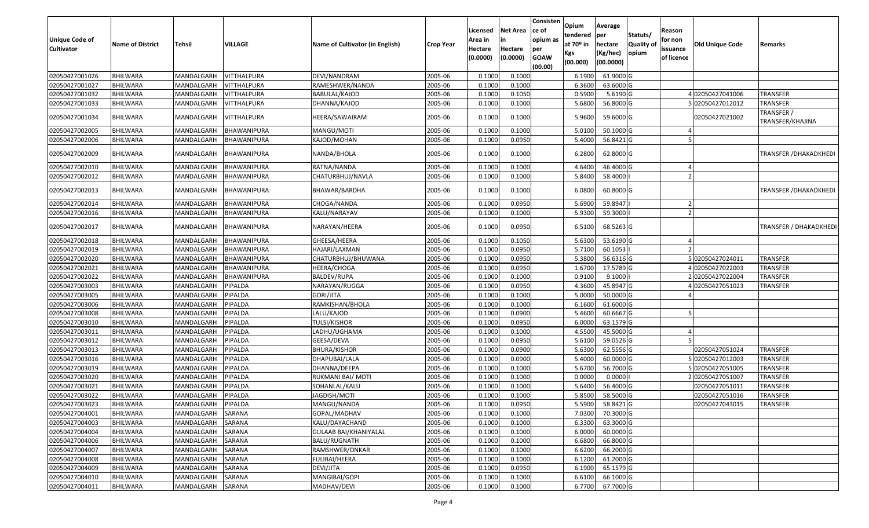| <b>Unique Code of</b><br><b>Cultivator</b> | <b>Name of District</b> | Tehsil     | <b>VILLAGE</b> | Name of Cultivator (in English) | <b>Crop Year</b> | Licensed<br>Area in<br>Hectare<br>(0.0000) | <b>Net Area</b><br>Hectare<br>(0.0000) | Consisten<br>ce of<br>opium as<br>per<br><b>GOAW</b><br>(00.00) | Opium<br>tendered<br>at 70 <sup>o</sup> in<br>Kgs<br>(00.000) | Average<br>per<br>hectare<br>(Kg/hec)<br>(00.0000) | Statuts/<br>Quality of<br>opium | Reason<br>for non<br>issuance<br>of licence | <b>Old Unique Code</b> | Remarks                        |
|--------------------------------------------|-------------------------|------------|----------------|---------------------------------|------------------|--------------------------------------------|----------------------------------------|-----------------------------------------------------------------|---------------------------------------------------------------|----------------------------------------------------|---------------------------------|---------------------------------------------|------------------------|--------------------------------|
| 02050427001026                             | <b>BHILWARA</b>         | MANDALGARH | VITTHALPURA    | DEVI/NANDRAM                    | 2005-06          | 0.100                                      | 0.1000                                 |                                                                 | 6.1900                                                        | 61.9000 G                                          |                                 |                                             |                        |                                |
| 02050427001027                             | <b>BHILWARA</b>         | MANDALGARH | VITTHALPURA    | RAMESHWER/NANDA                 | 2005-06          | 0.1000                                     | 0.1000                                 |                                                                 | 6.3600                                                        | 63.6000 G                                          |                                 |                                             |                        |                                |
| 02050427001032                             | <b>BHILWARA</b>         | MANDALGARH | VITTHALPURA    | BABULAL/KAJOD                   | 2005-06          | 0.1000                                     | 0.1050                                 |                                                                 | 0.590                                                         | $5.6190$ G                                         |                                 |                                             | 02050427041006         | <b>TRANSFER</b>                |
| 02050427001033                             | <b>BHILWARA</b>         | MANDALGARH | VITTHALPURA    | DHANNA/KAJOD                    | 2005-06          | 0.1000                                     | 0.1000                                 |                                                                 | 5.6800                                                        | 56.8000 G                                          |                                 |                                             | 502050427012012        | <b>TRANSFER</b>                |
| 02050427001034                             | <b>BHILWARA</b>         | MANDALGARH | VITTHALPURA    | HEERA/SAWAIRAM                  | 2005-06          | 0.1000                                     | 0.1000                                 |                                                                 | 5.9600                                                        | 59.6000 G                                          |                                 |                                             | 02050427021002         | TRANSFER /<br>TRANSFER/KHAJINA |
| 02050427002005                             | <b>BHILWARA</b>         | MANDALGARH | BHAWANIPURA    | MANGU/MOTI                      | 2005-06          | 0.1000                                     | 0.1000                                 |                                                                 | 5.010                                                         | 50.1000 G                                          |                                 |                                             |                        |                                |
| 02050427002006                             | <b>BHILWARA</b>         | MANDALGARH | BHAWANIPURA    | KAJOD/MOHAN                     | 2005-06          | 0.1000                                     | 0.0950                                 |                                                                 | 5.4000                                                        | 56.8421 G                                          |                                 |                                             |                        |                                |
| 02050427002009                             | <b>BHILWARA</b>         | MANDALGARH | BHAWANIPURA    | NANDA/BHOLA                     | 2005-06          | 0.1000                                     | 0.1000                                 |                                                                 | 6.2800                                                        | 62.8000 G                                          |                                 |                                             |                        | TRANSFER / DHAKADKHEDI         |
| 02050427002010                             | <b>BHILWARA</b>         | MANDALGARH | BHAWANIPURA    | RATNA/NANDA                     | 2005-06          | 0.1000                                     | 0.1000                                 |                                                                 | 4.6400                                                        | 46.4000 G                                          |                                 |                                             |                        |                                |
| 02050427002012                             | <b>BHILWARA</b>         | MANDALGARH | BHAWANIPURA    | CHATURBHUJ/NAVLA                | 2005-06          | 0.1000                                     | 0.1000                                 |                                                                 | 5.8400                                                        | 58.4000                                            |                                 |                                             |                        |                                |
| 02050427002013                             | <b>BHILWARA</b>         | MANDALGARH | BHAWANIPURA    | BHAWAR/BARDHA                   | 2005-06          | 0.1000                                     | 0.1000                                 |                                                                 | 6.0800                                                        | 60.8000 G                                          |                                 |                                             |                        | <b>TRANSFER / DHAKADKHEDI</b>  |
| 02050427002014                             | <b>BHILWARA</b>         | MANDALGARH | BHAWANIPURA    | CHOGA/NANDA                     | 2005-06          | 0.1000                                     | 0.0950                                 |                                                                 | 5.690                                                         | 59.8947                                            |                                 |                                             |                        |                                |
| 02050427002016                             | <b>BHILWARA</b>         | MANDALGARH | BHAWANIPURA    | KALU/NARAYAV                    | 2005-06          | 0.1000                                     | 0.1000                                 |                                                                 | 5.9300                                                        | 59.3000                                            |                                 |                                             |                        |                                |
| 02050427002017                             | <b>BHILWARA</b>         | MANDALGARH | BHAWANIPURA    | NARAYAN/HEERA                   | 2005-06          | 0.1000                                     | 0.0950                                 |                                                                 | 6.5100                                                        | 68.5263 G                                          |                                 |                                             |                        | <b>TRANSFER / DHAKADKHEDI</b>  |
| 02050427002018                             | <b>BHILWARA</b>         | MANDALGARH | BHAWANIPURA    | GHEESA/HEERA                    | 2005-06          | 0.1000                                     | 0.1050                                 |                                                                 | 5.6300                                                        | 53.6190 G                                          |                                 |                                             |                        |                                |
| 02050427002019                             | <b>BHILWARA</b>         | MANDALGARH | BHAWANIPURA    | HAJARI/LAXMAN                   | 2005-06          | 0.1000                                     | 0.0950                                 |                                                                 | 5.7100                                                        | 60.1053                                            |                                 |                                             |                        |                                |
| 02050427002020                             | <b>BHILWARA</b>         | MANDALGARH | BHAWANIPURA    | CHATURBHUJ/BHUWANA              | 2005-06          | 0.1000                                     | 0.0950                                 |                                                                 | 5.3800                                                        | 56.6316 G                                          |                                 |                                             | 502050427024011        | <b>TRANSFER</b>                |
| 02050427002021                             | <b>BHILWARA</b>         | MANDALGARH | BHAWANIPURA    | HEERA/CHOGA                     | 2005-06          | 0.1000                                     | 0.0950                                 |                                                                 | 1.6700                                                        | 17.5789 G                                          |                                 |                                             | 02050427022003         | <b>TRANSFER</b>                |
| 02050427002022                             | <b>BHILWARA</b>         | MANDALGARH | BHAWANIPURA    | <b>BALDEV/RUPA</b>              | 2005-06          | 0.1000                                     | 0.1000                                 |                                                                 | 0.9100                                                        | 9.1000                                             |                                 |                                             | 02050427022004         | TRANSFER                       |
| 02050427003003                             | <b>BHILWARA</b>         | MANDALGARH | PIPALDA        | NARAYAN/RUGGA                   | 2005-06          | 0.1000                                     | 0.0950                                 |                                                                 | 4.3600                                                        | 45.8947 G                                          |                                 |                                             | 02050427051023         | TRANSFER                       |
| 02050427003005                             | <b>BHILWARA</b>         | MANDALGARH | PIPALDA        | <b>GORI/JITA</b>                | 2005-06          | 0.1000                                     | 0.1000                                 |                                                                 | 5.0000                                                        | 50.0000G                                           |                                 |                                             |                        |                                |
| 02050427003006                             | <b>BHILWARA</b>         | MANDALGARH | PIPALDA        | RAMKISHAN/BHOLA                 | 2005-06          | 0.1000                                     | 0.1000                                 |                                                                 | 6.160                                                         | 61.6000 G                                          |                                 |                                             |                        |                                |
| 02050427003008                             | <b>BHILWARA</b>         | MANDALGARH | PIPALDA        | LALU/KAJOD                      | 2005-06          | 0.1000                                     | 0.0900                                 |                                                                 | 5.4600                                                        | 60.6667 G                                          |                                 |                                             |                        |                                |
| 02050427003010                             | <b>BHILWARA</b>         | MANDALGARH | PIPALDA        | TULSI/KISHOR                    | 2005-06          | 0.1000                                     | 0.0950                                 |                                                                 | 6.0000                                                        | 63.1579 G                                          |                                 |                                             |                        |                                |
| 02050427003011                             | <b>BHILWARA</b>         | MANDALGARH | PIPALDA        | LADHU/UGHAMA                    | 2005-06          | 0.1000                                     | 0.1000                                 |                                                                 | 4.5500                                                        | 45.5000 G                                          |                                 |                                             |                        |                                |
| 02050427003012                             | <b>BHILWARA</b>         | MANDALGARH | PIPALDA        | GEESA/DEVA                      | 2005-06          | 0.1000                                     | 0.0950                                 |                                                                 | 5.6100                                                        | 59.0526 G                                          |                                 |                                             |                        |                                |
| 02050427003013                             | <b>BHILWARA</b>         | MANDALGARH | PIPALDA        | <b>BHURA/KISHOR</b>             | 2005-06          | 0.1000                                     | 0.0900                                 |                                                                 | 5.6300                                                        | 62.5556 G                                          |                                 |                                             | 02050427051024         | <b>TRANSFER</b>                |
| 02050427003016                             | <b>BHILWARA</b>         | MANDALGARH | PIPALDA        | DHAPUBAI/LALA                   | 2005-06          | 0.1000                                     | 0.0900                                 |                                                                 | 5.4000                                                        | 60.0000 G                                          |                                 |                                             | 02050427012003         | <b>TRANSFER</b>                |
| 02050427003019                             | <b>BHILWARA</b>         | MANDALGARH | PIPALDA        | DHANNA/DEEPA                    | 2005-06          | 0.1000                                     | 0.1000                                 |                                                                 | 5.6700                                                        | 56.7000 G                                          |                                 |                                             | 02050427051005         | TRANSFER                       |
| 02050427003020                             | <b>BHILWARA</b>         | MANDALGARH | PIPALDA        | RUKMANI BAI/ MOTI               | 2005-06          | 0.1000                                     | 0.1000                                 |                                                                 | 0.0000                                                        | 0.0000                                             |                                 |                                             | 202050427051007        | <b>TRANSFER</b>                |
| 02050427003021                             | <b>BHILWARA</b>         | MANDALGARH | PIPALDA        | SOHANLAL/KALU                   | 2005-06          | 0.1000                                     | 0.1000                                 |                                                                 | 5.640                                                         | 56.4000 G                                          |                                 |                                             | 02050427051011         | TRANSFER                       |
| 02050427003022                             | <b>BHILWARA</b>         | MANDALGARH | PIPALDA        | JAGDISH/MOTI                    | 2005-06          | 0.1000                                     | 0.1000                                 |                                                                 | 5.8500                                                        | 58.5000 G                                          |                                 |                                             | 02050427051016         | <b>TRANSFER</b>                |
| 02050427003023                             | <b>BHILWARA</b>         | MANDALGARH | <b>PIPALDA</b> | MANGU/NANDA                     | 2005-06          | 0.1000                                     | 0.0950                                 |                                                                 | 5.5900                                                        | 58.8421 G                                          |                                 |                                             | 02050427043015         | <b>TRANSFER</b>                |
| 02050427004001                             | <b>BHILWARA</b>         | MANDALGARH | SARANA         | GOPAL/MADHAV                    | 2005-06          | 0.1000                                     | 0.1000                                 |                                                                 | 7.0300                                                        | 70.3000 G                                          |                                 |                                             |                        |                                |
| 02050427004003                             | <b>BHILWARA</b>         | MANDALGARH | SARANA         | KALU/DAYACHAND                  | 2005-06          | 0.1000                                     | 0.1000                                 |                                                                 | 6.3300                                                        | 63.3000 G                                          |                                 |                                             |                        |                                |
| 02050427004004                             | <b>BHILWARA</b>         | MANDALGARH | SARANA         | <b>GULAAB BAI/KHANIYALAL</b>    | 2005-06          | 0.1000                                     | 0.1000                                 |                                                                 | 6.0000                                                        | 60.0000G                                           |                                 |                                             |                        |                                |
| 02050427004006                             | <b>BHILWARA</b>         | MANDALGARH | SARANA         | BALU/RUGNATH                    | 2005-06          | 0.1000                                     | 0.1000                                 |                                                                 | 6.6800                                                        | 66.8000 G                                          |                                 |                                             |                        |                                |
| 02050427004007                             | <b>BHILWARA</b>         | MANDALGARH | SARANA         | RAMSHWER/ONKAR                  | 2005-06          | 0.1000                                     | 0.1000                                 |                                                                 | 6.6200                                                        | 66.2000 G                                          |                                 |                                             |                        |                                |
| 02050427004008                             | <b>BHILWARA</b>         | MANDALGARH | SARANA         | <b>FULIBAI/HEERA</b>            | 2005-06          | 0.1000                                     | 0.1000                                 |                                                                 | 6.1200                                                        | 61.2000 G                                          |                                 |                                             |                        |                                |
| 02050427004009                             | <b>BHILWARA</b>         | MANDALGARH | SARANA         | DEVI/JITA                       | 2005-06          | 0.1000                                     | 0.0950                                 |                                                                 | 6.1900                                                        | 65.1579 G                                          |                                 |                                             |                        |                                |
| 02050427004010                             | <b>BHILWARA</b>         | MANDALGARH | SARANA         | MANGIBAI/GOPI                   | 2005-06          | 0.1000                                     | 0.1000                                 |                                                                 | 6.6100                                                        | 66.1000 G                                          |                                 |                                             |                        |                                |
| 02050427004011                             | <b>BHILWARA</b>         | MANDALGARH | SARANA         | MADHAV/DEVI                     | 2005-06          | 0.1000                                     | 0.1000                                 |                                                                 | 6.7700                                                        | 67.7000 G                                          |                                 |                                             |                        |                                |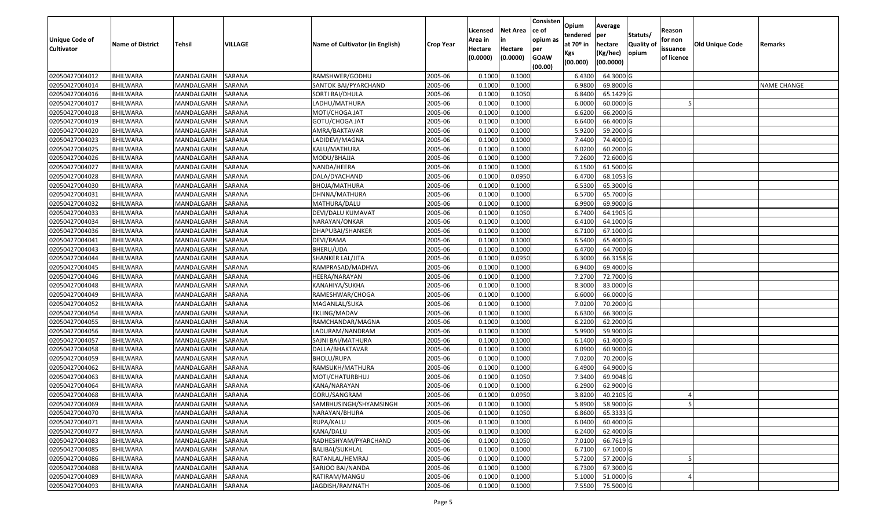| Unique Code of<br><b>Cultivator</b> | <b>Name of District</b> | Tehsil     | <b>VILLAGE</b> | Name of Cultivator (in English) | <b>Crop Year</b> | Licensed<br>Area in<br>Hectare<br>(0.0000) | Net Area<br>Hectare<br>(0.0000) | Consisten<br>ce of<br>opium as<br>per<br><b>GOAW</b><br>(00.00) | Opium<br>tendered<br>at 70º in<br>Kgs<br>(00.000) | Average<br>per<br>hectare<br>(Kg/hec)<br>(00.0000) | Statuts/<br>Quality of<br>opium | Reason<br>for non<br>issuance<br>of licence | Old Unique Code | Remarks            |
|-------------------------------------|-------------------------|------------|----------------|---------------------------------|------------------|--------------------------------------------|---------------------------------|-----------------------------------------------------------------|---------------------------------------------------|----------------------------------------------------|---------------------------------|---------------------------------------------|-----------------|--------------------|
| 02050427004012                      | <b>BHILWARA</b>         | MANDALGARH | SARANA         | RAMSHWER/GODHU                  | 2005-06          | 0.1000                                     | 0.1000                          |                                                                 | 6.4300                                            | 64.3000 G                                          |                                 |                                             |                 |                    |
| 02050427004014                      | <b>BHILWARA</b>         | MANDALGARH | SARANA         | SANTOK BAI/PYARCHAND            | 2005-06          | 0.1000                                     | 0.1000                          |                                                                 | 6.9800                                            | 69.8000 G                                          |                                 |                                             |                 | <b>NAME CHANGE</b> |
| 02050427004016                      | <b>BHILWARA</b>         | MANDALGARH | SARANA         | SORTI BAI/DHULA                 | 2005-06          | 0.1000                                     | 0.1050                          |                                                                 | 6.8400                                            | 65.1429 G                                          |                                 |                                             |                 |                    |
| 02050427004017                      | <b>BHILWARA</b>         | MANDALGARH | <b>SARANA</b>  | LADHU/MATHURA                   | 2005-06          | 0.1000                                     | 0.1000                          |                                                                 | 6.0000                                            | 60.0000 G                                          |                                 |                                             |                 |                    |
| 02050427004018                      | <b>BHILWARA</b>         | MANDALGARH | SARANA         | MOTI/CHOGA JAT                  | 2005-06          | 0.1000                                     | 0.1000                          |                                                                 | 6.6200                                            | 66.2000 G                                          |                                 |                                             |                 |                    |
| 02050427004019                      | <b>BHILWARA</b>         | MANDALGARH | <b>SARANA</b>  | GOTU/CHOGA JAT                  | 2005-06          | 0.1000                                     | 0.1000                          |                                                                 | 6.6400                                            | 66.4000 G                                          |                                 |                                             |                 |                    |
| 02050427004020                      | <b>BHILWARA</b>         | MANDALGARH | SARANA         | AMRA/BAKTAVAR                   | 2005-06          | 0.1000                                     | 0.1000                          |                                                                 | 5.9200                                            | 59.2000 G                                          |                                 |                                             |                 |                    |
| 02050427004023                      | <b>BHILWARA</b>         | MANDALGARH | SARANA         | LADIDEVI/MAGNA                  | 2005-06          | 0.1000                                     | 0.1000                          |                                                                 | 7.4400                                            | 74.4000 G                                          |                                 |                                             |                 |                    |
| 02050427004025                      | <b>BHILWARA</b>         | MANDALGARH | SARANA         | KALU/MATHURA                    | 2005-06          | 0.1000                                     | 0.1000                          |                                                                 | 6.0200                                            | 60.2000 G                                          |                                 |                                             |                 |                    |
| 02050427004026                      | <b>BHILWARA</b>         | MANDALGARH | SARANA         | MODU/BHAJJA                     | 2005-06          | 0.1000                                     | 0.1000                          |                                                                 | 7.2600                                            | 72.6000 G                                          |                                 |                                             |                 |                    |
| 02050427004027                      | <b>BHILWARA</b>         | MANDALGARH | SARANA         | NANDA/HEERA                     | 2005-06          | 0.1000                                     | 0.1000                          |                                                                 | 6.1500                                            | 61.5000 G                                          |                                 |                                             |                 |                    |
| 02050427004028                      | <b>BHILWARA</b>         | MANDALGARH | SARANA         | DALA/DYACHAND                   | 2005-06          | 0.1000                                     | 0.0950                          |                                                                 | 6.4700                                            | 68.1053 G                                          |                                 |                                             |                 |                    |
| 02050427004030                      | <b>BHILWARA</b>         | MANDALGARH | SARANA         | <b>BHOJA/MATHURA</b>            | 2005-06          | 0.1000                                     | 0.1000                          |                                                                 | 6.5300                                            | 65.3000 G                                          |                                 |                                             |                 |                    |
| 02050427004031                      | <b>BHILWARA</b>         | MANDALGARH | SARANA         | DHNNA/MATHURA                   | 2005-06          | 0.1000                                     | 0.1000                          |                                                                 | 6.5700                                            | 65.7000 G                                          |                                 |                                             |                 |                    |
| 02050427004032                      | <b>BHILWARA</b>         | MANDALGARH | SARANA         | MATHURA/DALU                    | 2005-06          | 0.1000                                     | 0.1000                          |                                                                 | 6.9900                                            | 69.9000 G                                          |                                 |                                             |                 |                    |
| 02050427004033                      | <b>BHILWARA</b>         | MANDALGARH | SARANA         | DEVI/DALU KUMAVAT               | 2005-06          | 0.1000                                     | 0.1050                          |                                                                 | 6.7400                                            | 64.1905 G                                          |                                 |                                             |                 |                    |
| 02050427004034                      | <b>BHILWARA</b>         | MANDALGARH | SARANA         | NARAYAN/ONKAR                   | 2005-06          | 0.1000                                     | 0.1000                          |                                                                 | 6.4100                                            | 64.1000 G                                          |                                 |                                             |                 |                    |
| 02050427004036                      | <b>BHILWARA</b>         | MANDALGARH | SARANA         | DHAPUBAI/SHANKER                | 2005-06          | 0.1000                                     | 0.1000                          |                                                                 | 6.7100                                            | 67.1000 G                                          |                                 |                                             |                 |                    |
| 02050427004041                      | <b>BHILWARA</b>         | MANDALGARH | SARANA         | DEVI/RAMA                       | 2005-06          | 0.1000                                     | 0.1000                          |                                                                 | 6.5400                                            | 65.4000 G                                          |                                 |                                             |                 |                    |
| 02050427004043                      | <b>BHILWARA</b>         | MANDALGARH | SARANA         | <b>BHERU/UDA</b>                | 2005-06          | 0.1000                                     | 0.1000                          |                                                                 | 6.4700                                            | 64.7000 G                                          |                                 |                                             |                 |                    |
| 02050427004044                      | <b>BHILWARA</b>         | MANDALGARH | SARANA         | SHANKER LAL/JITA                | 2005-06          | 0.1000                                     | 0.0950                          |                                                                 | 6.3000                                            | 66.3158 G                                          |                                 |                                             |                 |                    |
| 02050427004045                      | <b>BHILWARA</b>         | MANDALGARH | SARANA         | RAMPRASAD/MADHVA                | 2005-06          | 0.1000                                     | 0.1000                          |                                                                 | 6.9400                                            | 69.4000 G                                          |                                 |                                             |                 |                    |
| 02050427004046                      | <b>BHILWARA</b>         | MANDALGARH | SARANA         | HEERA/NARAYAN                   | 2005-06          | 0.1000                                     | 0.1000                          |                                                                 | 7.2700                                            | 72.7000 G                                          |                                 |                                             |                 |                    |
| 02050427004048                      | <b>BHILWARA</b>         | MANDALGARH | SARANA         | KANAHIYA/SUKHA                  | 2005-06          | 0.1000                                     | 0.1000                          |                                                                 | 8.3000                                            | 83.0000 G                                          |                                 |                                             |                 |                    |
| 02050427004049                      | <b>BHILWARA</b>         | MANDALGARH | <b>SARANA</b>  | RAMESHWAR/CHOGA                 | 2005-06          | 0.1000                                     | 0.1000                          |                                                                 | 6.6000                                            | 66.0000 G                                          |                                 |                                             |                 |                    |
| 02050427004052                      | <b>BHILWARA</b>         | MANDALGARH | SARANA         | MAGANLAL/SUKA                   | 2005-06          | 0.1000                                     | 0.1000                          |                                                                 | 7.0200                                            | 70.2000 G                                          |                                 |                                             |                 |                    |
| 02050427004054                      | <b>BHILWARA</b>         | MANDALGARH | <b>SARANA</b>  | EKLING/MADAV                    | 2005-06          | 0.1000                                     | 0.1000                          |                                                                 | 6.6300                                            | 66.3000 G                                          |                                 |                                             |                 |                    |
| 02050427004055                      | <b>BHILWARA</b>         | MANDALGARH | SARANA         | RAMCHANDAR/MAGNA                | 2005-06          | 0.1000                                     | 0.1000                          |                                                                 | 6.2200                                            | 62.2000 G                                          |                                 |                                             |                 |                    |
| 02050427004056                      | <b>BHILWARA</b>         | MANDALGARH | <b>SARANA</b>  | LADURAM/NANDRAM                 | 2005-06          | 0.1000                                     | 0.1000                          |                                                                 | 5.9900                                            | 59.9000 G                                          |                                 |                                             |                 |                    |
| 02050427004057                      | <b>BHILWARA</b>         | MANDALGARH | SARANA         | SAJNI BAI/MATHURA               | 2005-06          | 0.1000                                     | 0.1000                          |                                                                 | 6.1400                                            | 61.4000 G                                          |                                 |                                             |                 |                    |
| 02050427004058                      | <b>BHILWARA</b>         | MANDALGARH | SARANA         | DALLA/BHAKTAVAR                 | 2005-06          | 0.1000                                     | 0.1000                          |                                                                 | 6.0900                                            | 60.9000 G                                          |                                 |                                             |                 |                    |
| 02050427004059                      | <b>BHILWARA</b>         | MANDALGARH | SARANA         | BHOLU/RUPA                      | 2005-06          | 0.1000                                     | 0.1000                          |                                                                 | 7.0200                                            | 70.2000 G                                          |                                 |                                             |                 |                    |
| 02050427004062                      | <b>BHILWARA</b>         | MANDALGARH | SARANA         | RAMSUKH/MATHURA                 | 2005-06          | 0.1000                                     | 0.1000                          |                                                                 | 6.4900                                            | 64.9000 G                                          |                                 |                                             |                 |                    |
| 02050427004063                      | <b>BHILWARA</b>         | MANDALGARH | SARANA         | MOTI/CHATURBHUJ                 | 2005-06          | 0.1000                                     | 0.1050                          |                                                                 | 7.3400                                            | 69.9048 G                                          |                                 |                                             |                 |                    |
| 02050427004064                      | <b>BHILWARA</b>         | MANDALGARH | SARANA         | KANA/NARAYAN                    | 2005-06          | 0.1000                                     | 0.1000                          |                                                                 | 6.2900                                            | 62.9000 G                                          |                                 |                                             |                 |                    |
| 02050427004068                      | <b>BHILWARA</b>         | MANDALGARH | SARANA         | GORU/SANGRAM                    | 2005-06          | 0.1000                                     | 0.0950                          |                                                                 | 3.8200                                            | 40.2105 G                                          |                                 |                                             |                 |                    |
| 02050427004069                      | BHILWARA                | MANDALGARH | SARANA         | SAMBHUSINGH/SHYAMSINGH          | 2005-06          | 0.1000                                     | 0.1000                          |                                                                 | 5.8900                                            | 58.9000 G                                          |                                 |                                             |                 |                    |
| 02050427004070                      | <b>BHILWARA</b>         | MANDALGARH | SARANA         | NARAYAN/BHURA                   | 2005-06          | 0.1000                                     | 0.1050                          |                                                                 | 6.8600                                            | 65.3333 G                                          |                                 |                                             |                 |                    |
| 02050427004071                      | <b>BHILWARA</b>         | MANDALGARH | SARANA         | RUPA/KALU                       | 2005-06          | 0.1000                                     | 0.1000                          |                                                                 | 6.0400                                            | 60.4000 G                                          |                                 |                                             |                 |                    |
| 02050427004077                      | <b>BHILWARA</b>         | MANDALGARH | SARANA         | KANA/DALU                       | 2005-06          | 0.1000                                     | 0.1000                          |                                                                 | 6.2400                                            | 62.4000G                                           |                                 |                                             |                 |                    |
| 02050427004083                      | <b>BHILWARA</b>         | MANDALGARH | SARANA         | RADHESHYAM/PYARCHAND            | 2005-06          | 0.1000                                     | 0.1050                          |                                                                 | 7.0100                                            | 66.7619 G                                          |                                 |                                             |                 |                    |
| 02050427004085                      | <b>BHILWARA</b>         | MANDALGARH | SARANA         | <b>BALIBAI/SUKHLAL</b>          | 2005-06          | 0.1000                                     | 0.1000                          |                                                                 | 6.7100                                            | 67.1000 G                                          |                                 |                                             |                 |                    |
| 02050427004086                      | <b>BHILWARA</b>         | MANDALGARH | SARANA         | RATANLAL/HEMRAJ                 | 2005-06          | 0.1000                                     | 0.1000                          |                                                                 | 5.7200                                            | 57.2000 G                                          |                                 |                                             |                 |                    |
| 02050427004088                      | <b>BHILWARA</b>         | MANDALGARH | SARANA         | SARJOO BAI/NANDA                | 2005-06          | 0.1000                                     | 0.1000                          |                                                                 | 6.7300                                            | 67.3000 G                                          |                                 |                                             |                 |                    |
| 02050427004089                      | <b>BHILWARA</b>         | MANDALGARH | SARANA         | RATIRAM/MANGU                   | 2005-06          | 0.1000                                     | 0.1000                          |                                                                 | 5.1000                                            | 51.0000 G                                          |                                 |                                             |                 |                    |
| 02050427004093                      | BHILWARA                | MANDALGARH | SARANA         | JAGDISH/RAMNATH                 | 2005-06          | 0.1000                                     | 0.1000                          |                                                                 | 7.5500                                            | 75.5000G                                           |                                 |                                             |                 |                    |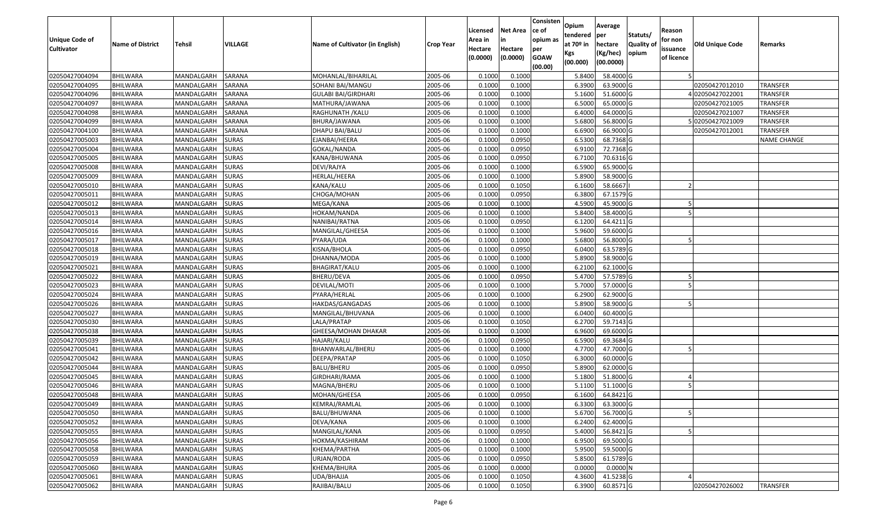| Unique Code of<br><b>Cultivator</b> | <b>Name of District</b> | <b>Tehsil</b>    | VILLAGE      | Name of Cultivator (in English) | Crop Year | Licensed<br>Area in<br>Hectare<br>(0.0000) | <b>Net Area</b><br>in<br>Hectare<br>(0.0000) | Consisten<br>lce of<br>opium as<br>per<br><b>GOAW</b><br>(00.00) | Opium<br>tendered<br>at $70°$ in<br>Kgs<br>(00.000) | Average<br>per<br>hectare<br>(Kg/hec)<br>(00.0000) | Statuts/<br>Quality of<br>opium | Reason<br>for non<br>issuance<br>of licence | <b>Old Unique Code</b> | Remarks            |
|-------------------------------------|-------------------------|------------------|--------------|---------------------------------|-----------|--------------------------------------------|----------------------------------------------|------------------------------------------------------------------|-----------------------------------------------------|----------------------------------------------------|---------------------------------|---------------------------------------------|------------------------|--------------------|
| 02050427004094                      | <b>BHILWARA</b>         | MANDALGARH       | SARANA       | MOHANLAL/BIHARILAL              | 2005-06   | 0.1000                                     | 0.1000                                       |                                                                  | 5.8400                                              | 58.4000 G                                          |                                 |                                             |                        |                    |
| 02050427004095                      | <b>BHILWARA</b>         | MANDALGARH       | SARANA       | SOHANI BAI/MANGU                | 2005-06   | 0.1000                                     | 0.1000                                       |                                                                  | 6.3900                                              | 63.9000 G                                          |                                 |                                             | 02050427012010         | TRANSFER           |
| 02050427004096                      | <b>BHILWARA</b>         | MANDALGARH       | SARANA       | GULABI BAI/GIRDHARI             | 2005-06   | 0.1000                                     | 0.1000                                       |                                                                  | 5.1600                                              | 51.6000 G                                          |                                 |                                             | 402050427022001        | TRANSFER           |
| 02050427004097                      | <b>BHILWARA</b>         | MANDALGARH       | SARANA       | MATHURA/JAWANA                  | 2005-06   | 0.1000                                     | 0.1000                                       |                                                                  | 6.5000                                              | 65.0000 G                                          |                                 |                                             | 02050427021005         | TRANSFER           |
| 02050427004098                      | BHILWARA                | MANDALGARH       | SARANA       | RAGHUNATH / KALU                | 2005-06   | 0.1000                                     | 0.1000                                       |                                                                  | 6.4000                                              | 64.0000 G                                          |                                 |                                             | 02050427021007         | TRANSFER           |
| 02050427004099                      | <b>BHILWARA</b>         | MANDALGARH       | SARANA       | BHURA/JAWANA                    | 2005-06   | 0.1000                                     | 0.1000                                       |                                                                  | 5.6800                                              | 56.8000 G                                          |                                 |                                             | 02050427021009         | TRANSFER           |
| 02050427004100                      | <b>BHILWARA</b>         | MANDALGARH       | SARANA       | DHAPU BAI/BALU                  | 2005-06   | 0.1000                                     | 0.1000                                       |                                                                  | 6.6900                                              | 66.9000 G                                          |                                 |                                             | 02050427012001         | TRANSFER           |
| 02050427005003                      | <b>BHILWARA</b>         | MANDALGARH       | <b>SURAS</b> | EJANBAI/HEERA                   | 2005-06   | 0.1000                                     | 0.0950                                       |                                                                  | 6.5300                                              | 68.7368 G                                          |                                 |                                             |                        | <b>NAME CHANGE</b> |
| 02050427005004                      | <b>BHILWARA</b>         | MANDALGARH       | <b>SURAS</b> | GOKAL/NANDA                     | 2005-06   | 0.1000                                     | 0.0950                                       |                                                                  | 6.9100                                              | 72.7368 G                                          |                                 |                                             |                        |                    |
| 02050427005005                      | <b>BHILWARA</b>         | MANDALGARH       | <b>SURAS</b> | KANA/BHUWANA                    | 2005-06   | 0.1000                                     | 0.0950                                       |                                                                  | 6.7100                                              | 70.6316 G                                          |                                 |                                             |                        |                    |
| 02050427005008                      | <b>BHILWARA</b>         | MANDALGARH       | <b>SURAS</b> | DEVI/RAJYA                      | 2005-06   | 0.1000                                     | 0.1000                                       |                                                                  | 6.5900                                              | 65.9000 G                                          |                                 |                                             |                        |                    |
| 02050427005009                      | <b>BHILWARA</b>         | MANDALGARH       | <b>SURAS</b> | HERLAL/HEERA                    | 2005-06   | 0.1000                                     | 0.1000                                       |                                                                  | 5.8900                                              | 58.9000 G                                          |                                 |                                             |                        |                    |
| 02050427005010                      | <b>BHILWARA</b>         | MANDALGARH       | <b>SURAS</b> | KANA/KALU                       | 2005-06   | 0.1000                                     | 0.1050                                       |                                                                  | 6.1600                                              | 58.6667                                            |                                 |                                             |                        |                    |
| 02050427005011                      | <b>BHILWARA</b>         | MANDALGARH       | <b>SURAS</b> | CHOGA/MOHAN                     | 2005-06   | 0.1000                                     | 0.0950                                       |                                                                  | 6.3800                                              | 67.1579 G                                          |                                 |                                             |                        |                    |
| 02050427005012                      | <b>BHILWARA</b>         | MANDALGARH       | <b>SURAS</b> | MEGA/KANA                       | 2005-06   | 0.1000                                     | 0.1000                                       |                                                                  | 4.5900                                              | 45.9000 G                                          |                                 |                                             |                        |                    |
| 02050427005013                      | <b>BHILWARA</b>         | MANDALGARH       | <b>SURAS</b> | HOKAM/NANDA                     | 2005-06   | 0.1000                                     | 0.1000                                       |                                                                  | 5.8400                                              | 58.4000 G                                          |                                 |                                             |                        |                    |
| 02050427005014                      | <b>BHILWARA</b>         | MANDALGARH       | <b>SURAS</b> | NANIBAI/RATNA                   | 2005-06   | 0.1000                                     | 0.0950                                       |                                                                  | 6.1200                                              | 64.4211 G                                          |                                 |                                             |                        |                    |
| 02050427005016                      | <b>BHILWARA</b>         | MANDALGARH       | <b>SURAS</b> | MANGILAL/GHEESA                 | 2005-06   | 0.1000                                     | 0.1000                                       |                                                                  | 5.9600                                              | 59.6000 G                                          |                                 |                                             |                        |                    |
| 02050427005017                      | <b>BHILWARA</b>         | MANDALGARH       | <b>SURAS</b> | PYARA/UDA                       | 2005-06   | 0.1000                                     | 0.1000                                       |                                                                  | 5.6800                                              | 56.8000 G                                          |                                 |                                             |                        |                    |
| 02050427005018                      | <b>BHILWARA</b>         | MANDALGARH       | <b>SURAS</b> | KISNA/BHOLA                     | 2005-06   | 0.1000                                     | 0.0950                                       |                                                                  | 6.0400                                              | 63.5789 G                                          |                                 |                                             |                        |                    |
| 02050427005019                      | <b>BHILWARA</b>         | MANDALGARH       | <b>SURAS</b> | DHANNA/MODA                     | 2005-06   | 0.1000                                     | 0.1000                                       |                                                                  | 5.8900                                              | 58.9000 G                                          |                                 |                                             |                        |                    |
| 02050427005021                      | <b>BHILWARA</b>         | MANDALGARH       | <b>SURAS</b> | BHAGIRAT/KALU                   | 2005-06   | 0.1000                                     | 0.1000                                       |                                                                  | 6.2100                                              | 62.1000 G                                          |                                 |                                             |                        |                    |
| 02050427005022                      | <b>BHILWARA</b>         | MANDALGARH       | <b>SURAS</b> | BHERU/DEVA                      | 2005-06   | 0.1000                                     | 0.0950                                       |                                                                  | 5.4700                                              | 57.5789 G                                          |                                 |                                             |                        |                    |
| 02050427005023                      | <b>BHILWARA</b>         | MANDALGARH       | <b>SURAS</b> | DEVILAL/MOTI                    | 2005-06   | 0.1000                                     | 0.1000                                       |                                                                  | 5.7000                                              | 57.0000 G                                          |                                 |                                             |                        |                    |
| 02050427005024                      | <b>BHILWARA</b>         | MANDALGARH       | <b>SURAS</b> | PYARA/HERLAL                    | 2005-06   | 0.1000                                     | 0.1000                                       |                                                                  | 6.2900                                              | 62.9000 G                                          |                                 |                                             |                        |                    |
| 02050427005026                      | <b>BHILWARA</b>         | MANDALGARH       | <b>SURAS</b> | HAKDAS/GANGADAS                 | 2005-06   | 0.1000                                     | 0.1000                                       |                                                                  | 5.8900                                              | 58.9000 G                                          |                                 |                                             |                        |                    |
| 02050427005027                      | <b>BHILWARA</b>         | MANDALGARH       | <b>SURAS</b> | MANGILAL/BHUVANA                | 2005-06   | 0.1000                                     | 0.1000                                       |                                                                  | 6.0400                                              | 60.4000 G                                          |                                 |                                             |                        |                    |
| 02050427005030                      | <b>BHILWARA</b>         | MANDALGARH       | <b>SURAS</b> | LALA/PRATAP                     | 2005-06   | 0.1000                                     | 0.1050                                       |                                                                  | 6.2700                                              | 59.7143 G                                          |                                 |                                             |                        |                    |
| 02050427005038                      | <b>BHILWARA</b>         | MANDALGARH       | <b>SURAS</b> | GHEESA/MOHAN DHAKAR             | 2005-06   | 0.1000                                     | 0.1000                                       |                                                                  | 6.9600                                              | 69.6000 G                                          |                                 |                                             |                        |                    |
| 02050427005039                      | <b>BHILWARA</b>         | MANDALGARH       | <b>SURAS</b> | HAJARI/KALU                     | 2005-06   | 0.1000                                     | 0.0950                                       |                                                                  | 6.5900                                              | 69.3684 G                                          |                                 |                                             |                        |                    |
| 02050427005041                      | <b>BHILWARA</b>         | MANDALGARH       | <b>SURAS</b> | BHANWARLAL/BHERU                | 2005-06   | 0.1000                                     | 0.1000                                       |                                                                  | 4.7700                                              | 47.7000 G                                          |                                 |                                             |                        |                    |
| 02050427005042                      | <b>BHILWARA</b>         | MANDALGARH       | <b>SURAS</b> | DEEPA/PRATAP                    | 2005-06   | 0.1000                                     | 0.1050                                       |                                                                  | 6.3000                                              | 60.0000 G                                          |                                 |                                             |                        |                    |
| 02050427005044                      | <b>BHILWARA</b>         | MANDALGARH       | <b>SURAS</b> | BALU/BHERU                      | 2005-06   | 0.1000                                     | 0.0950                                       |                                                                  | 5.8900                                              | 62.0000G                                           |                                 |                                             |                        |                    |
| 02050427005045                      | BHILWARA                | MANDALGARH       | <b>SURAS</b> | GIRDHARI/RAMA                   | 2005-06   | 0.1000                                     | 0.1000                                       |                                                                  | 5.1800                                              | 51.8000 G                                          |                                 |                                             |                        |                    |
| 02050427005046                      | <b>BHILWARA</b>         | MANDALGARH       | <b>SURAS</b> | MAGNA/BHERU                     | 2005-06   | 0.1000                                     | 0.1000                                       |                                                                  | 5.1100                                              | 51.1000 G                                          |                                 |                                             |                        |                    |
| 02050427005048                      | <b>BHILWARA</b>         | MANDALGARH       | <b>SURAS</b> | MOHAN/GHEESA                    | 2005-06   | 0.1000                                     | 0.0950                                       |                                                                  | 6.1600                                              | 64.8421 G                                          |                                 |                                             |                        |                    |
| 02050427005049                      | <b>BHILWARA</b>         | MANDALGARH SURAS |              | <b>KEMRAJ/RAMLAL</b>            | 2005-06   | 0.1000                                     | 0.1000                                       |                                                                  | 6.3300                                              | 63.3000 G                                          |                                 |                                             |                        |                    |
| 02050427005050                      | <b>BHILWARA</b>         | MANDALGARH SURAS |              | BALU/BHUWANA                    | 2005-06   | 0.1000                                     | 0.1000                                       |                                                                  | 5.6700                                              | 56.7000 G                                          |                                 | 5                                           |                        |                    |
| 02050427005052                      | <b>BHILWARA</b>         | MANDALGARH       | <b>SURAS</b> | DEVA/KANA                       | 2005-06   | 0.1000                                     | 0.1000                                       |                                                                  | 6.2400                                              | 62.4000 G                                          |                                 |                                             |                        |                    |
| 02050427005055                      | <b>BHILWARA</b>         | MANDALGARH       | <b>SURAS</b> | MANGILAL/KANA                   | 2005-06   | 0.1000                                     | 0.0950                                       |                                                                  | 5.4000                                              | 56.8421 G                                          |                                 |                                             |                        |                    |
| 02050427005056                      | <b>BHILWARA</b>         | MANDALGARH       | <b>SURAS</b> | HOKMA/KASHIRAM                  | 2005-06   | 0.1000                                     | 0.1000                                       |                                                                  | 6.9500                                              | 69.5000 G                                          |                                 |                                             |                        |                    |
| 02050427005058                      | <b>BHILWARA</b>         | MANDALGARH       | <b>SURAS</b> | KHEMA/PARTHA                    | 2005-06   | 0.1000                                     | 0.1000                                       |                                                                  | 5.9500                                              | 59.5000 G                                          |                                 |                                             |                        |                    |
| 02050427005059                      | <b>BHILWARA</b>         | MANDALGARH       | <b>SURAS</b> | URJAN/RODA                      | 2005-06   | 0.1000                                     | 0.0950                                       |                                                                  | 5.8500                                              | 61.5789 G                                          |                                 |                                             |                        |                    |
| 02050427005060                      | <b>BHILWARA</b>         | MANDALGARH       | <b>SURAS</b> | KHEMA/BHURA                     | 2005-06   | 0.1000                                     | 0.0000                                       |                                                                  | 0.0000                                              | $0.0000$ N                                         |                                 |                                             |                        |                    |
| 02050427005061                      | <b>BHILWARA</b>         | MANDALGARH       | <b>SURAS</b> | UDA/BHAJJA                      | 2005-06   | 0.1000                                     | 0.1050                                       |                                                                  | 4.3600                                              | 41.5238 G                                          |                                 |                                             |                        |                    |
| 02050427005062                      | <b>BHILWARA</b>         | MANDALGARH       | <b>SURAS</b> | RAJIBAI/BALU                    | 2005-06   | 0.1000                                     | 0.1050                                       |                                                                  | 6.3900                                              | 60.8571 G                                          |                                 |                                             | 02050427026002         | <b>TRANSFER</b>    |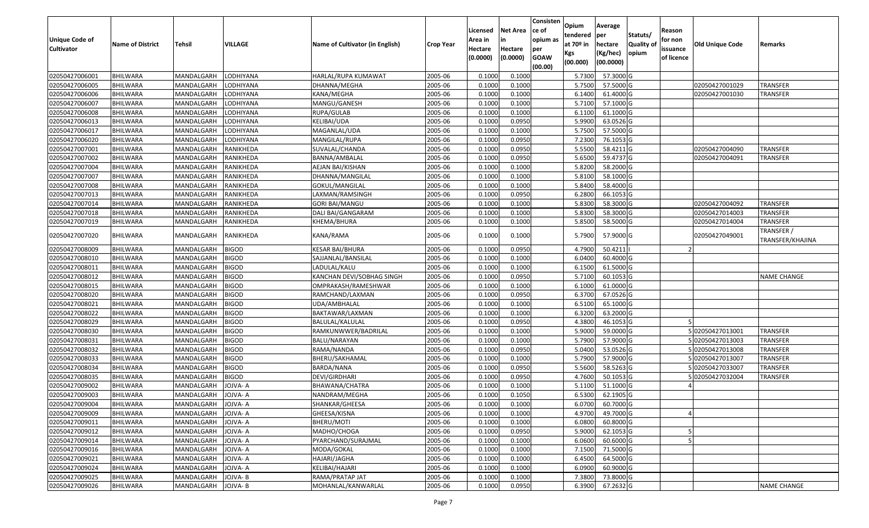| <b>Unique Code of</b><br><b>Cultivator</b> | <b>Name of District</b> | <b>Tehsil</b>       | VILLAGE      | <b>Name of Cultivator (in English)</b> | <b>Crop Year</b> | Licensed<br>Area in<br>Hectare<br>(0.0000) | <b>Net Area</b><br>in<br>Hectare<br>(0.0000) | Consisten<br>lce of<br>opium as<br>per<br><b>GOAW</b><br>(00.00) | Opium<br>tendered<br>at $70°$ in<br>Kgs<br>(00.000) | Average<br>per<br>hectare<br>(Kg/hec)<br>(00.0000) | Statuts/<br><b>Quality of</b><br>opium | Reason<br>for non<br>issuance<br>of licence | Old Unique Code | Remarks                        |
|--------------------------------------------|-------------------------|---------------------|--------------|----------------------------------------|------------------|--------------------------------------------|----------------------------------------------|------------------------------------------------------------------|-----------------------------------------------------|----------------------------------------------------|----------------------------------------|---------------------------------------------|-----------------|--------------------------------|
| 02050427006001                             | <b>BHILWARA</b>         | MANDALGARH          | LODHIYANA    | HARLAL/RUPA KUMAWAT                    | 2005-06          | 0.1000                                     | 0.1000                                       |                                                                  | 5.7300                                              | 57.3000 G                                          |                                        |                                             |                 |                                |
| 02050427006005                             | <b>BHILWARA</b>         | MANDALGARH          | LODHIYANA    | DHANNA/MEGHA                           | 2005-06          | 0.1000                                     | 0.1000                                       |                                                                  | 5.7500                                              | 57.5000 G                                          |                                        |                                             | 02050427001029  | TRANSFER                       |
| 02050427006006                             | <b>BHILWARA</b>         | MANDALGARH          | LODHIYANA    | KANA/MEGHA                             | 2005-06          | 0.1000                                     | 0.1000                                       |                                                                  | 6.1400                                              | 61.4000 G                                          |                                        |                                             | 02050427001030  | TRANSFER                       |
| 02050427006007                             | <b>BHILWARA</b>         | MANDALGARH          | LODHIYANA    | MANGU/GANESH                           | 2005-06          | 0.1000                                     | 0.1000                                       |                                                                  | 5.7100                                              | 57.1000 G                                          |                                        |                                             |                 |                                |
| 02050427006008                             | <b>BHILWARA</b>         | MANDALGARH          | LODHIYANA    | RUPA/GULAB                             | 2005-06          | 0.1000                                     | 0.1000                                       |                                                                  | 6.1100                                              | 61.1000 G                                          |                                        |                                             |                 |                                |
| 02050427006013                             | <b>BHILWARA</b>         | MANDALGARH          | LODHIYANA    | KELIBAI/UDA                            | 2005-06          | 0.1000                                     | 0.0950                                       |                                                                  | 5.9900                                              | 63.0526 G                                          |                                        |                                             |                 |                                |
| 02050427006017                             | <b>BHILWARA</b>         | MANDALGARH          | LODHIYANA    | MAGANLAL/UDA                           | 2005-06          | 0.1000                                     | 0.1000                                       |                                                                  | 5.7500                                              | 57.5000 G                                          |                                        |                                             |                 |                                |
| 02050427006020                             | <b>BHILWARA</b>         | MANDALGARH          | LODHIYANA    | MANGILAL/RUPA                          | 2005-06          | 0.1000                                     | 0.0950                                       |                                                                  | 7.2300                                              | 76.1053 G                                          |                                        |                                             |                 |                                |
| 02050427007001                             | <b>BHILWARA</b>         | MANDALGARH          | RANIKHEDA    | SUVALAL/CHANDA                         | 2005-06          | 0.1000                                     | 0.0950                                       |                                                                  | 5.5500                                              | 58.4211 G                                          |                                        |                                             | 02050427004090  | TRANSFER                       |
| 02050427007002                             | <b>BHILWARA</b>         | MANDALGARH          | RANIKHEDA    | BANNA/AMBALAL                          | 2005-06          | 0.1000                                     | 0.0950                                       |                                                                  | 5.6500                                              | 59.4737 G                                          |                                        |                                             | 02050427004091  | TRANSFER                       |
| 02050427007004                             | <b>BHILWARA</b>         | MANDALGARH          | RANIKHEDA    | AEJAN BAI/KISHAN                       | 2005-06          | 0.1000                                     | 0.1000                                       |                                                                  | 5.8200                                              | 58.2000 G                                          |                                        |                                             |                 |                                |
| 02050427007007                             | <b>BHILWARA</b>         | MANDALGARH          | RANIKHEDA    | DHANNA/MANGILAL                        | 2005-06          | 0.1000                                     | 0.1000                                       |                                                                  | 5.8100                                              | 58.1000 G                                          |                                        |                                             |                 |                                |
| 02050427007008                             | <b>BHILWARA</b>         | MANDALGARH          | RANIKHEDA    | GOKUL/MANGILAL                         | 2005-06          | 0.1000                                     | 0.1000                                       |                                                                  | 5.8400                                              | 58.4000 G                                          |                                        |                                             |                 |                                |
| 02050427007013                             | <b>BHILWARA</b>         | MANDALGARH          | RANIKHEDA    | LAXMAN/RAMSINGH                        | 2005-06          | 0.1000                                     | 0.0950                                       |                                                                  | 6.2800                                              | 66.1053 G                                          |                                        |                                             |                 |                                |
| 02050427007014                             | <b>BHILWARA</b>         | MANDALGARH          | RANIKHEDA    | GORI BAI/MANGU                         | 2005-06          | 0.1000                                     | 0.1000                                       |                                                                  | 5.8300                                              | 58.3000 G                                          |                                        |                                             | 02050427004092  | TRANSFER                       |
| 02050427007018                             | <b>BHILWARA</b>         | MANDALGARH          | RANIKHEDA    | DALI BAI/GANGARAM                      | 2005-06          | 0.1000                                     | 0.1000                                       |                                                                  | 5.8300                                              | 58.3000 G                                          |                                        |                                             | 02050427014003  | <b>TRANSFER</b>                |
| 02050427007019                             | <b>BHILWARA</b>         | MANDALGARH          | RANIKHEDA    | KHEMA/BHURA                            | 2005-06          | 0.1000                                     | 0.1000                                       |                                                                  | 5.8500                                              | 58.5000 G                                          |                                        |                                             | 02050427014004  | <b>TRANSFER</b>                |
| 02050427007020                             | <b>BHILWARA</b>         | MANDALGARH          | RANIKHEDA    | KANA/RAMA                              | 2005-06          | 0.1000                                     | 0.1000                                       |                                                                  | 5.7900                                              | 57.9000 G                                          |                                        |                                             | 02050427049001  | TRANSFER /<br>TRANSFER/KHAJINA |
| 02050427008009                             | <b>BHILWARA</b>         | MANDALGARH          | <b>BIGOD</b> | KESAR BAI/BHURA                        | 2005-06          | 0.1000                                     | 0.0950                                       |                                                                  | 4.7900                                              | 50.4211                                            |                                        |                                             |                 |                                |
| 02050427008010                             | <b>BHILWARA</b>         | MANDALGARH          | <b>BIGOD</b> | SAJJANLAL/BANSILAL                     | 2005-06          | 0.1000                                     | 0.1000                                       |                                                                  | 6.0400                                              | 60.4000 G                                          |                                        |                                             |                 |                                |
| 02050427008011                             | <b>BHILWARA</b>         | MANDALGARH          | <b>BIGOD</b> | LADULAL/KALU                           | 2005-06          | 0.1000                                     | 0.1000                                       |                                                                  | 6.1500                                              | 61.5000 G                                          |                                        |                                             |                 |                                |
| 02050427008012                             | <b>BHILWARA</b>         | MANDALGARH          | <b>BIGOD</b> | KANCHAN DEVI/SOBHAG SINGH              | 2005-06          | 0.1000                                     | 0.0950                                       |                                                                  | 5.7100                                              | 60.1053 G                                          |                                        |                                             |                 | <b>NAME CHANGE</b>             |
| 02050427008015                             | <b>BHILWARA</b>         | MANDALGARH          | <b>BIGOD</b> | OMPRAKASH/RAMESHWAR                    | 2005-06          | 0.1000                                     | 0.1000                                       |                                                                  | 6.1000                                              | 61.0000 G                                          |                                        |                                             |                 |                                |
| 02050427008020                             | <b>BHILWARA</b>         | MANDALGARH          | <b>BIGOD</b> | RAMCHAND/LAXMAN                        | 2005-06          | 0.1000                                     | 0.0950                                       |                                                                  | 6.3700                                              | 67.0526 G                                          |                                        |                                             |                 |                                |
| 02050427008021                             | <b>BHILWARA</b>         | MANDALGARH          | <b>BIGOD</b> | UDA/AMBHALAL                           | 2005-06          | 0.1000                                     | 0.1000                                       |                                                                  | 6.5100                                              | 65.1000 G                                          |                                        |                                             |                 |                                |
| 02050427008022                             | <b>BHILWARA</b>         | MANDALGARH          | <b>BIGOD</b> | BAKTAWAR/LAXMAN                        | 2005-06          | 0.1000                                     | 0.1000                                       |                                                                  | 6.3200                                              | 63.2000 G                                          |                                        |                                             |                 |                                |
| 02050427008029                             | <b>BHILWARA</b>         | MANDALGARH          | <b>BIGOD</b> | BALULAL/KALULAL                        | 2005-06          | 0.1000                                     | 0.0950                                       |                                                                  | 4.3800                                              | 46.1053 G                                          |                                        |                                             |                 |                                |
| 02050427008030                             | <b>BHILWARA</b>         | MANDALGARH          | <b>BIGOD</b> | RAMKUNWWER/BADRILAL                    | 2005-06          | 0.1000                                     | 0.1000                                       |                                                                  | 5.9000                                              | 59.0000 G                                          |                                        |                                             | 02050427013001  | TRANSFER                       |
| 02050427008031                             | <b>BHILWARA</b>         | MANDALGARH          | <b>BIGOD</b> | BALU/NARAYAN                           | 2005-06          | 0.1000                                     | 0.1000                                       |                                                                  | 5.7900                                              | 57.9000 G                                          |                                        |                                             | 502050427013003 | <b>TRANSFER</b>                |
| 02050427008032                             | <b>BHILWARA</b>         | MANDALGARH          | <b>BIGOD</b> | RAMA/NANDA                             | 2005-06          | 0.1000                                     | 0.0950                                       |                                                                  | 5.0400                                              | 53.0526 G                                          |                                        |                                             | 02050427013008  | <b>TRANSFER</b>                |
| 02050427008033                             | <b>BHILWARA</b>         | MANDALGARH          | <b>BIGOD</b> | BHERU/SAKHAMAL                         | 2005-06          | 0.1000                                     | 0.1000                                       |                                                                  | 5.7900                                              | 57.9000 G                                          |                                        |                                             | 02050427013007  | TRANSFER                       |
| 02050427008034                             | <b>BHILWARA</b>         | MANDALGARH          | <b>BIGOD</b> | BARDA/NANA                             | 2005-06          | 0.1000                                     | 0.0950                                       |                                                                  | 5.5600                                              | 58.5263 G                                          |                                        |                                             | 502050427033007 | <b>TRANSFER</b>                |
| 02050427008035                             | <b>BHILWARA</b>         | MANDALGARH          | <b>BIGOD</b> | DEVI/GIRDHARI                          | 2005-06          | 0.1000                                     | 0.0950                                       |                                                                  | 4.7600                                              | 50.1053 G                                          |                                        |                                             | 502050427032004 | <b>TRANSFER</b>                |
| 02050427009002                             | <b>BHILWARA</b>         | MANDALGARH          | JOJVA-A      | BHAWANA/CHATRA                         | 2005-06          | 0.1000                                     | 0.1000                                       |                                                                  | 5.1100                                              | 51.1000 G                                          |                                        |                                             |                 |                                |
| 02050427009003                             | <b>BHILWARA</b>         | MANDALGARH          | JOJVA-A      | NANDRAM/MEGHA                          | 2005-06          | 0.1000                                     | 0.1050                                       |                                                                  | 6.5300                                              | 62.1905 G                                          |                                        |                                             |                 |                                |
| 02050427009004                             | <b>BHILWARA</b>         | MANDALGARH JOJVA- A |              | SHANKAR/GHEESA                         | 2005-06          | 0.1000                                     | 0.1000                                       |                                                                  | 6.0700                                              | $60.7000$ G                                        |                                        |                                             |                 |                                |
| 02050427009009                             | <b>BHILWARA</b>         | MANDALGARH          | JOJVA- A     | GHEESA/KISNA                           | 2005-06          | 0.1000                                     | 0.1000                                       |                                                                  | 4.9700                                              | 49.7000 G                                          |                                        |                                             |                 |                                |
| 02050427009011                             | <b>BHILWARA</b>         | MANDALGARH          | JOJVA-A      | BHERU/MOTI                             | 2005-06          | 0.1000                                     | 0.1000                                       |                                                                  | 6.0800                                              | 60.8000 G                                          |                                        |                                             |                 |                                |
| 02050427009012                             | <b>BHILWARA</b>         | MANDALGARH          | JOJVA-A      | MADHO/CHOGA                            | 2005-06          | 0.1000                                     | 0.0950                                       |                                                                  | 5.9000                                              | 62.1053 G                                          |                                        |                                             |                 |                                |
| 02050427009014                             | <b>BHILWARA</b>         | MANDALGARH          | JOJVA-A      | PYARCHAND/SURAJMAL                     | 2005-06          | 0.1000                                     | 0.1000                                       |                                                                  | 6.0600                                              | 60.6000 G                                          |                                        |                                             |                 |                                |
| 02050427009016                             | <b>BHILWARA</b>         | MANDALGARH          | JOJVA-A      | MODA/GOKAL                             | 2005-06          | 0.1000                                     | 0.1000                                       |                                                                  | 7.1500                                              | 71.5000 G                                          |                                        |                                             |                 |                                |
| 02050427009021                             | <b>BHILWARA</b>         | MANDALGARH          | JOJVA-A      | HAJARI/JAGHA                           | 2005-06          | 0.1000                                     | 0.1000                                       |                                                                  | 6.4500                                              | 64.5000 G                                          |                                        |                                             |                 |                                |
| 02050427009024                             | <b>BHILWARA</b>         | MANDALGARH          | JOJVA-A      | KELIBAI/HAJARI                         | 2005-06          | 0.1000                                     | 0.1000                                       |                                                                  | 6.0900                                              | 60.9000 G                                          |                                        |                                             |                 |                                |
| 02050427009025                             | <b>BHILWARA</b>         | MANDALGARH          | JOJVA-B      | RAMA/PRATAP JAT                        | 2005-06          | 0.1000                                     | 0.1000                                       |                                                                  | 7.3800                                              | 73.8000 G                                          |                                        |                                             |                 |                                |
| 02050427009026                             | <b>BHILWARA</b>         | MANDALGARH          | JOJVA-B      | MOHANLAL/KANWARLAL                     | 2005-06          | 0.1000                                     | 0.0950                                       |                                                                  | 6.3900                                              | 67.2632 G                                          |                                        |                                             |                 | <b>NAME CHANGE</b>             |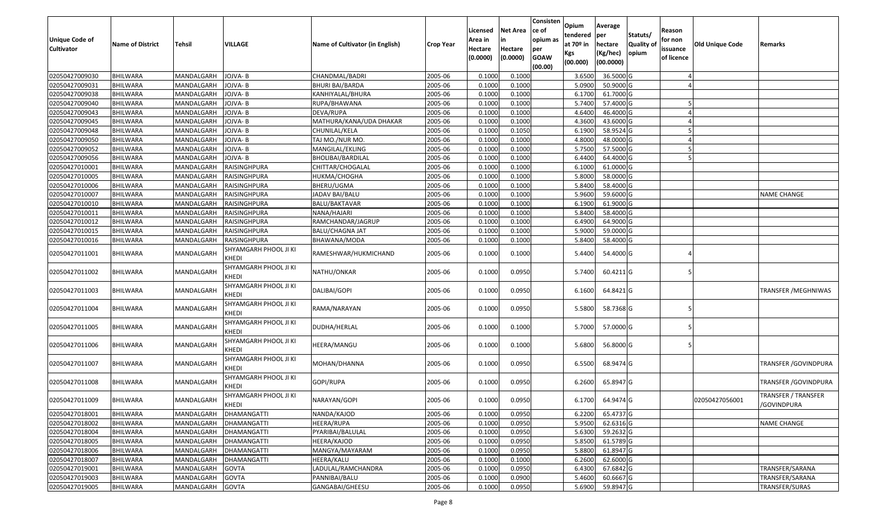| Unique Code of<br>Cultivator | <b>Name of District</b> | Tehsil     | VILLAGE                               | Name of Cultivator (in English) | <b>Crop Year</b> | Licensed<br>Area in<br>Hectare<br>(0.0000) | Net Area<br>Hectare<br>(0.0000) | Consisten<br>ce of<br>opium as<br>per<br><b>GOAW</b><br>(00.00) | Opium<br>tendered<br>at 70º in<br>Kgs<br>(00.000) | Average<br>per<br>hectare<br>(Kg/hec)<br>(00.0000) | Statuts/<br>Quality of<br>opium | Reason<br>for non<br>issuance<br>of licence | <b>Old Unique Code</b> | Remarks                                   |
|------------------------------|-------------------------|------------|---------------------------------------|---------------------------------|------------------|--------------------------------------------|---------------------------------|-----------------------------------------------------------------|---------------------------------------------------|----------------------------------------------------|---------------------------------|---------------------------------------------|------------------------|-------------------------------------------|
| 02050427009030               | <b>BHILWARA</b>         | MANDALGARH | JOJVA- B                              | CHANDMAL/BADRI                  | 2005-06          | 0.1000                                     | 0.1000                          |                                                                 | 3.6500                                            | 36.5000 G                                          |                                 |                                             |                        |                                           |
| 02050427009031               | <b>BHILWARA</b>         | MANDALGARH | JOJVA- B                              | BHURI BAI/BARDA                 | 2005-06          | 0.1000                                     | 0.1000                          |                                                                 | 5.0900                                            | 50.9000 G                                          |                                 |                                             |                        |                                           |
| 02050427009038               | BHILWARA                | MANDALGARH | JOJVA- B                              | KANHIYALAL/BHURA                | 2005-06          | 0.1000                                     | 0.1000                          |                                                                 | 6.1700                                            | 61.7000 G                                          |                                 |                                             |                        |                                           |
| 02050427009040               | <b>BHILWARA</b>         | MANDALGARH | JOJVA- B                              | RUPA/BHAWANA                    | 2005-06          | 0.1000                                     | 0.1000                          |                                                                 | 5.7400                                            | 57.4000 G                                          |                                 |                                             |                        |                                           |
| 02050427009043               | <b>BHILWARA</b>         | MANDALGARH | JOJVA- B                              | DEVA/RUPA                       | 2005-06          | 0.1000                                     | 0.1000                          |                                                                 | 4.6400                                            | 46.4000 G                                          |                                 |                                             |                        |                                           |
| 02050427009045               | BHILWARA                | MANDALGARH | JOJVA- B                              | MATHURA/KANA/UDA DHAKAR         | 2005-06          | 0.1000                                     | 0.1000                          |                                                                 | 4.3600                                            | 43.6000 G                                          |                                 |                                             |                        |                                           |
| 02050427009048               | BHILWARA                | MANDALGARH | JOJVA- B                              | CHUNILAL/KELA                   | 2005-06          | 0.1000                                     | 0.1050                          |                                                                 | 6.1900                                            | 58.9524 G                                          |                                 |                                             |                        |                                           |
| 02050427009050               | <b>BHILWARA</b>         | MANDALGARH | JOJVA-B                               | TAJ MO./NUR MO.                 | 2005-06          | 0.1000                                     | 0.1000                          |                                                                 | 4.8000                                            | 48.0000 G                                          |                                 |                                             |                        |                                           |
| 02050427009052               | BHILWARA                | MANDALGARH | JOJVA- B                              | MANGILAL/EKLING                 | 2005-06          | 0.1000                                     | 0.1000                          |                                                                 | 5.7500                                            | 57.5000 G                                          |                                 |                                             |                        |                                           |
| 02050427009056               | <b>BHILWARA</b>         | MANDALGARH | JOJVA-B                               | <b>BHOLIBAI/BARDILAL</b>        | 2005-06          | 0.1000                                     | 0.1000                          |                                                                 | 6.4400                                            | 64.4000 G                                          |                                 |                                             |                        |                                           |
| 02050427010001               | <b>BHILWARA</b>         | MANDALGARH | RAISINGHPURA                          | CHITTAR/CHOGALAL                | 2005-06          | 0.1000                                     | 0.1000                          |                                                                 | 6.1000                                            | 61.0000 G                                          |                                 |                                             |                        |                                           |
| 02050427010005               | <b>BHILWARA</b>         | MANDALGARH | RAISINGHPURA                          | HUKMA/CHOGHA                    | 2005-06          | 0.1000                                     | 0.1000                          |                                                                 | 5.8000                                            | 58.0000 G                                          |                                 |                                             |                        |                                           |
| 02050427010006               | <b>BHILWARA</b>         | MANDALGARH | RAISINGHPURA                          | BHERU/UGMA                      | 2005-06          | 0.1000                                     | 0.1000                          |                                                                 | 5.8400                                            | 58.4000 G                                          |                                 |                                             |                        |                                           |
| 02050427010007               | <b>BHILWARA</b>         | MANDALGARH | RAISINGHPURA                          | JADAV BAI/BALU                  | 2005-06          | 0.1000                                     | 0.1000                          |                                                                 | 5.9600                                            | 59.6000 G                                          |                                 |                                             |                        | <b>NAME CHANGE</b>                        |
| 02050427010010               | <b>BHILWARA</b>         | MANDALGARH | RAISINGHPURA                          | BALU/BAKTAVAR                   | 2005-06          | 0.1000                                     | 0.1000                          |                                                                 | 6.1900                                            | 61.9000 G                                          |                                 |                                             |                        |                                           |
| 02050427010011               | <b>BHILWARA</b>         | MANDALGARH | RAISINGHPURA                          | NANA/HAJARI                     | 2005-06          | 0.1000                                     | 0.1000                          |                                                                 | 5.8400                                            | 58.4000 G                                          |                                 |                                             |                        |                                           |
| 02050427010012               | <b>BHILWARA</b>         | MANDALGARH | RAISINGHPURA                          | RAMCHANDAR/JAGRUP               | 2005-06          | 0.1000                                     | 0.1000                          |                                                                 | 6.4900                                            | 64.9000 G                                          |                                 |                                             |                        |                                           |
| 02050427010015               | <b>BHILWARA</b>         | MANDALGARH | RAISINGHPURA                          | BALU/CHAGNA JAT                 | 2005-06          | 0.1000                                     | 0.1000                          |                                                                 | 5.900                                             | 59.0000 G                                          |                                 |                                             |                        |                                           |
| 02050427010016               | BHILWARA                | MANDALGARH | RAISINGHPURA                          | BHAWANA/MODA                    | 2005-06          | 0.1000                                     | 0.1000                          |                                                                 | 5.8400                                            | 58.4000 G                                          |                                 |                                             |                        |                                           |
| 02050427011001               | <b>BHILWARA</b>         | MANDALGARH | SHYAMGARH PHOOL JI KI<br>KHEDI        | RAMESHWAR/HUKMICHAND            | 2005-06          | 0.1000                                     | 0.1000                          |                                                                 | 5.4400                                            | 54.4000 G                                          |                                 |                                             |                        |                                           |
| 02050427011002               | BHILWARA                | MANDALGARH | SHYAMGARH PHOOL JI KI<br>KHEDI        | NATHU/ONKAR                     | 2005-06          | 0.1000                                     | 0.0950                          |                                                                 | 5.7400                                            | 60.4211 G                                          |                                 |                                             |                        |                                           |
| 02050427011003               | BHILWARA                | MANDALGARH | SHYAMGARH PHOOL JI KI<br>KHEDI        | DALIBAI/GOPI                    | 2005-06          | 0.1000                                     | 0.0950                          |                                                                 | 6.1600                                            | 64.8421 G                                          |                                 |                                             |                        | TRANSFER / MEGHNIWAS                      |
| 02050427011004               | <b>BHILWARA</b>         | MANDALGARH | SHYAMGARH PHOOL JI KI<br><b>KHEDI</b> | RAMA/NARAYAN                    | 2005-06          | 0.1000                                     | 0.0950                          |                                                                 | 5.5800                                            | 58.7368 G                                          |                                 |                                             |                        |                                           |
| 02050427011005               | BHILWARA                | MANDALGARH | SHYAMGARH PHOOL JI KI<br>KHEDI        | DUDHA/HERLAL                    | 2005-06          | 0.1000                                     | 0.1000                          |                                                                 | 5.7000                                            | 57.0000 G                                          |                                 |                                             |                        |                                           |
| 02050427011006               | <b>BHILWARA</b>         | MANDALGARH | SHYAMGARH PHOOL JI KI<br>KHEDI        | HEERA/MANGU                     | 2005-06          | 0.1000                                     | 0.1000                          |                                                                 | 5.6800                                            | 56.8000 G                                          |                                 |                                             |                        |                                           |
| 02050427011007               | <b>BHILWARA</b>         | MANDALGARH | SHYAMGARH PHOOL JI KI<br>KHEDI        | MOHAN/DHANNA                    | 2005-06          | 0.1000                                     | 0.0950                          |                                                                 | 6.5500                                            | 68.9474 G                                          |                                 |                                             |                        | TRANSFER / GOVINDPURA                     |
| 02050427011008               | BHILWARA                | MANDALGARH | SHYAMGARH PHOOL JI KI<br>KHEDI        | GOPI/RUPA                       | 2005-06          | 0.1000                                     | 0.0950                          |                                                                 | 6.2600                                            | 65.8947 G                                          |                                 |                                             |                        | <b>TRANSFER /GOVINDPURA</b>               |
| 02050427011009               | BHILWARA                | MANDALGARH | SHYAMGARH PHOOL JI KI<br>KHEDI        | NARAYAN/GOPI                    | 2005-06          | 0.1000                                     | 0.0950                          |                                                                 | 6.1700                                            | 64.9474 G                                          |                                 |                                             | 02050427056001         | <b>TRANSFER / TRANSFER</b><br>/GOVINDPURA |
| 02050427018001               | <b>BHILWARA</b>         | MANDALGARH | <b>DHAMANGATTI</b>                    | NANDA/KAJOD                     | 2005-06          | 0.1000                                     | 0.0950                          |                                                                 | 6.2200                                            | 65.4737 G                                          |                                 |                                             |                        |                                           |
| 02050427018002               | <b>BHILWARA</b>         | MANDALGARH | <b>DHAMANGATTI</b>                    | HEERA/RUPA                      | 2005-06          | 0.1000                                     | 0.0950                          |                                                                 | 5.9500                                            | 62.6316 G                                          |                                 |                                             |                        | <b>NAME CHANGE</b>                        |
| 02050427018004               | <b>BHILWARA</b>         | MANDALGARH | DHAMANGATTI                           | PYARIBAI/BALULAL                | 2005-06          | 0.1000                                     | 0.0950                          |                                                                 | 5.6300                                            | 59.2632 G                                          |                                 |                                             |                        |                                           |
| 02050427018005               | <b>BHILWARA</b>         | MANDALGARH | <b>DHAMANGATTI</b>                    | HEERA/KAJOD                     | 2005-06          | 0.1000                                     | 0.0950                          |                                                                 | 5.8500                                            | 61.5789 G                                          |                                 |                                             |                        |                                           |
| 02050427018006               | <b>BHILWARA</b>         | MANDALGARH | <b>DHAMANGATTI</b>                    | MANGYA/MAYARAM                  | 2005-06          | 0.1000                                     | 0.0950                          |                                                                 | 5.8800                                            | 61.8947 G                                          |                                 |                                             |                        |                                           |
| 02050427018007               | <b>BHILWARA</b>         | MANDALGARH | <b>DHAMANGATTI</b>                    | HEERA/KALU                      | 2005-06          | 0.1000                                     | 0.1000                          |                                                                 | 6.2600                                            | $62.6000$ G                                        |                                 |                                             |                        |                                           |
| 02050427019001               | <b>BHILWARA</b>         | MANDALGARH | <b>GOVTA</b>                          | LADULAL/RAMCHANDRA              | 2005-06          | 0.1000                                     | 0.0950                          |                                                                 | 6.4300                                            | 67.6842 G                                          |                                 |                                             |                        | TRANSFER/SARANA                           |
| 02050427019003               | <b>BHILWARA</b>         | MANDALGARH | <b>GOVTA</b>                          | PANNIBAI/BALU                   | 2005-06          | 0.1000                                     | 0.0900                          |                                                                 | 5.4600                                            | 60.6667 G                                          |                                 |                                             |                        | TRANSFER/SARANA                           |
| 02050427019005               | BHILWARA                | MANDALGARH | <b>GOVTA</b>                          | GANGABAI/GHEESU                 | 2005-06          | 0.1000                                     | 0.0950                          |                                                                 | 5.6900                                            | 59.8947 G                                          |                                 |                                             |                        | TRANSFER/SURAS                            |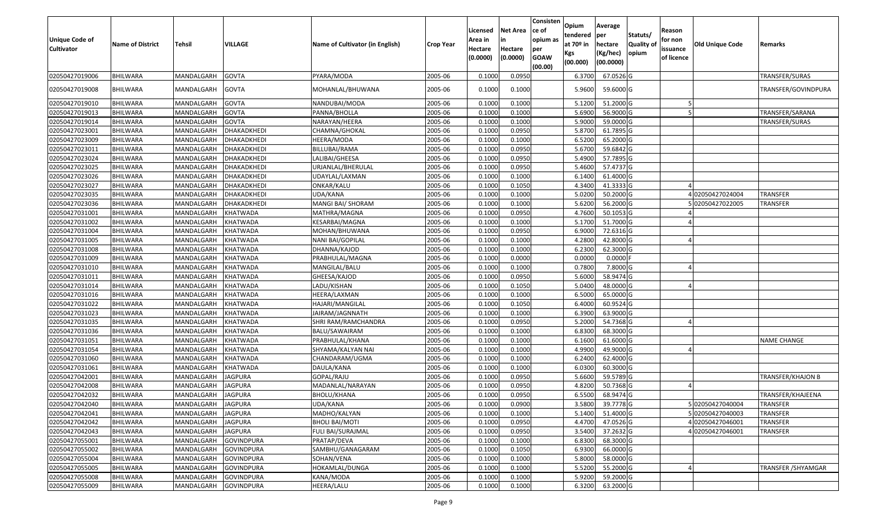| <b>Unique Code of</b><br><b>Cultivator</b> | <b>Name of District</b> | <b>Tehsil</b>      | VILLAGE            | Name of Cultivator (in English) | <b>Crop Year</b> | Licensed<br>Area in<br>Hectare<br>(0.0000) | <b>Net Area</b><br>in<br>Hectare<br>(0.0000) | Consisten<br>ce of<br>opium as<br>per<br><b>GOAW</b><br>(00.00) | Opium<br>tendered<br>at $70°$ in<br>Kgs<br>(00.000) | Average<br>per<br>hectare<br>(Kg/hec)<br>(00.0000) | Statuts/<br>Quality of<br>opium | Reason<br>for non<br>issuance<br>of licence | <b>Old Unique Code</b> | Remarks                  |
|--------------------------------------------|-------------------------|--------------------|--------------------|---------------------------------|------------------|--------------------------------------------|----------------------------------------------|-----------------------------------------------------------------|-----------------------------------------------------|----------------------------------------------------|---------------------------------|---------------------------------------------|------------------------|--------------------------|
| 02050427019006                             | <b>BHILWARA</b>         | MANDALGARH         | <b>GOVTA</b>       | PYARA/MODA                      | 2005-06          | 0.1000                                     | 0.095                                        |                                                                 | 6.3700                                              | 67.0526 G                                          |                                 |                                             |                        | TRANSFER/SURAS           |
| 02050427019008                             | <b>BHILWARA</b>         | MANDALGARH         | <b>GOVTA</b>       | MOHANLAL/BHUWANA                | 2005-06          | 0.1000                                     | 0.1000                                       |                                                                 | 5.9600                                              | 59.6000 G                                          |                                 |                                             |                        | TRANSFER/GOVINDPURA      |
| 02050427019010                             | <b>BHILWARA</b>         | MANDALGARH         | <b>GOVTA</b>       | NANDUBAI/MODA                   | 2005-06          | 0.1000                                     | 0.1000                                       |                                                                 | 5.1200                                              | 51.2000 G                                          |                                 |                                             |                        |                          |
| 02050427019013                             | BHILWARA                | MANDALGARH         | <b>GOVTA</b>       | PANNA/BHOLLA                    | 2005-06          | 0.1000                                     | 0.1000                                       |                                                                 | 5.6900                                              | 56.9000 G                                          |                                 |                                             |                        | TRANSFER/SARANA          |
| 02050427019014                             | <b>BHILWARA</b>         | MANDALGARH         | <b>GOVTA</b>       | NARAYAN/HEERA                   | 2005-06          | 0.1000                                     | 0.1000                                       |                                                                 | 5.9000                                              | 59.0000G                                           |                                 |                                             |                        | TRANSFER/SURAS           |
| 02050427023001                             | BHILWARA                | MANDALGARH         | DHAKADKHEDI        | CHAMNA/GHOKAL                   | 2005-06          | 0.1000                                     | 0.0950                                       |                                                                 | 5.8700                                              | 61.7895 G                                          |                                 |                                             |                        |                          |
| 02050427023009                             | <b>BHILWARA</b>         | MANDALGARH         | <b>DHAKADKHEDI</b> | HEERA/MODA                      | 2005-06          | 0.1000                                     | 0.1000                                       |                                                                 | 6.5200                                              | 65.2000 G                                          |                                 |                                             |                        |                          |
| 02050427023011                             | <b>BHILWARA</b>         | MANDALGARH         | DHAKADKHEDI        | BILLUBAI/RAMA                   | 2005-06          | 0.1000                                     | 0.0950                                       |                                                                 | 5.6700                                              | 59.6842 G                                          |                                 |                                             |                        |                          |
| 02050427023024                             | <b>BHILWARA</b>         | MANDALGARH         | DHAKADKHEDI        | LALIBAI/GHEESA                  | 2005-06          | 0.1000                                     | 0.0950                                       |                                                                 | 5.4900                                              | 57.7895 G                                          |                                 |                                             |                        |                          |
| 02050427023025                             | BHILWARA                | MANDALGARH         | DHAKADKHEDI        | JRJANLAL/BHERULAL               | 2005-06          | 0.1000                                     | 0.0950                                       |                                                                 | 5.4600                                              | 57.4737 G                                          |                                 |                                             |                        |                          |
| 02050427023026                             | <b>BHILWARA</b>         | MANDALGARH         | DHAKADKHEDI        | JDAYLAL/LAXMAN                  | 2005-06          | 0.1000                                     | 0.1000                                       |                                                                 | 6.1400                                              | 61.4000 G                                          |                                 |                                             |                        |                          |
| 02050427023027                             | <b>BHILWARA</b>         | MANDALGARH         | DHAKADKHEDI        | ONKAR/KALU                      | 2005-06          | 0.1000                                     | 0.1050                                       |                                                                 | 4.3400                                              | 41.3333 G                                          |                                 |                                             |                        |                          |
| 02050427023035                             | <b>BHILWARA</b>         | MANDALGARH         | DHAKADKHEDI        | UDA/KANA                        | 2005-06          | 0.1000                                     | 0.1000                                       |                                                                 | 5.0200                                              | 50.2000 G                                          |                                 |                                             | 02050427024004         | TRANSFER                 |
| 02050427023036                             | BHILWARA                | MANDALGARH         | DHAKADKHEDI        | MANGI BAI/ SHORAM               | 2005-06          | 0.1000                                     | 0.1000                                       |                                                                 | 5.6200                                              | 56.2000G                                           |                                 |                                             | 502050427022005        | TRANSFER                 |
| 02050427031001                             | <b>BHILWARA</b>         | MANDALGARH         | <b>KHATWADA</b>    | MATHRA/MAGNA                    | 2005-06          | 0.1000                                     | 0.0950                                       |                                                                 | 4.7600                                              | 50.1053 G                                          |                                 |                                             |                        |                          |
| 02050427031002                             | <b>BHILWARA</b>         | MANDALGARH         | KHATWADA           | KESARBAI/MAGNA                  | 2005-06          | 0.1000                                     | 0.1000                                       |                                                                 | 5.1700                                              | 51.7000 G                                          |                                 |                                             |                        |                          |
| 02050427031004                             | <b>BHILWARA</b>         | MANDALGARH         | <b>KHATWADA</b>    | MOHAN/BHUWANA                   | 2005-06          | 0.1000                                     | 0.0950                                       |                                                                 | 6.900                                               | 72.6316 G                                          |                                 |                                             |                        |                          |
| 02050427031005                             | BHILWARA                | MANDALGARH         | KHATWADA           | NANI BAI/GOPILAL                | 2005-06          | 0.1000                                     | 0.1000                                       |                                                                 | 4.2800                                              | 42.8000 G                                          |                                 |                                             |                        |                          |
| 02050427031008                             | <b>BHILWARA</b>         | MANDALGARH         | KHATWADA           | DHANNA/KAJOD                    | 2005-06          | 0.1000                                     | 0.1000                                       |                                                                 | 6.2300                                              | 62.3000 G                                          |                                 |                                             |                        |                          |
| 02050427031009                             | <b>BHILWARA</b>         | MANDALGARH         | <b>KHATWADA</b>    | PRABHULAL/MAGNA                 | 2005-06          | 0.1000                                     | 0.0000                                       |                                                                 | 0.0000                                              | $0.0000$ F                                         |                                 |                                             |                        |                          |
| 02050427031010                             | <b>BHILWARA</b>         | MANDALGARH         | <b>KHATWADA</b>    | MANGILAL/BALU                   | 2005-06          | 0.1000                                     | 0.1000                                       |                                                                 | 0.7800                                              | 7.8000 G                                           |                                 |                                             |                        |                          |
| 02050427031011                             | BHILWARA                | MANDALGARH         | <b>KHATWADA</b>    | GHEESA/KAJOD                    | 2005-06          | 0.1000                                     | 0.0950                                       |                                                                 | 5.6000                                              | 58.9474 G                                          |                                 |                                             |                        |                          |
| 02050427031014                             | <b>BHILWARA</b>         | MANDALGARH         | KHATWADA           | LADU/KISHAN                     | 2005-06          | 0.1000                                     | 0.1050                                       |                                                                 | 5.0400                                              | 48.0000 G                                          |                                 |                                             |                        |                          |
| 02050427031016                             | <b>BHILWARA</b>         | MANDALGARH         | <b>KHATWADA</b>    | HEERA/LAXMAN                    | 2005-06          | 0.100                                      | 0.1000                                       |                                                                 | 6.5000                                              | 65.0000G                                           |                                 |                                             |                        |                          |
| 02050427031022                             | BHILWARA                | MANDALGARH         | KHATWADA           | HAJARI/MANGILAL                 | 2005-06          | 0.1000                                     | 0.1050                                       |                                                                 | 6.4000                                              | 60.9524 G                                          |                                 |                                             |                        |                          |
| 02050427031023                             | <b>BHILWARA</b>         | MANDALGARH         | KHATWADA           | JAIRAM/JAGNNATH                 | 2005-06          | 0.1000                                     | 0.1000                                       |                                                                 | 6.3900                                              | 63.9000 G                                          |                                 |                                             |                        |                          |
| 02050427031035                             | <b>BHILWARA</b>         | MANDALGARH         | KHATWADA           | SHRI RAM/RAMCHANDRA             | 2005-06          | 0.1000                                     | 0.0950                                       |                                                                 | 5.2000                                              | 54.7368 G                                          |                                 |                                             |                        |                          |
| 02050427031036                             | <b>BHILWARA</b>         | MANDALGARH         | <b>KHATWADA</b>    | BALU/SAWAIRAM                   | 2005-06          | 0.1000                                     | 0.1000                                       |                                                                 | 6.8300                                              | 68.3000 G                                          |                                 |                                             |                        |                          |
| 02050427031051                             | BHILWARA                | MANDALGARH         | <b>KHATWADA</b>    | PRABHULAL/KHANA                 | 2005-06          | 0.1000                                     | 0.1000                                       |                                                                 | 6.1600                                              | 61.6000G                                           |                                 |                                             |                        | <b>NAME CHANGE</b>       |
| 02050427031054                             | <b>BHILWARA</b>         | MANDALGARH         | <b>KHATWADA</b>    | SHYAMA/KALYAN NAI               | 2005-06          | 0.1000                                     | 0.1000                                       |                                                                 | 4.9900                                              | 49.9000 G                                          |                                 |                                             |                        |                          |
| 02050427031060                             | BHILWARA                | MANDALGARH         | KHATWADA           | CHANDARAM/UGMA                  | 2005-06          | 0.1000                                     | 0.1000                                       |                                                                 | 6.2400                                              | 62.4000 G                                          |                                 |                                             |                        |                          |
| 02050427031061                             | <b>BHILWARA</b>         | MANDALGARH         | <b>KHATWADA</b>    | DAULA/KANA                      | 2005-06          | 0.1000                                     | 0.1000                                       |                                                                 | 6.0300                                              | 60.3000 G                                          |                                 |                                             |                        |                          |
| 02050427042001                             | <b>BHILWARA</b>         | MANDALGARH         | <b>JAGPURA</b>     | GOPAL/RAJU                      | 2005-06          | 0.1000                                     | 0.0950                                       |                                                                 | 5.6600                                              | 59.5789 G                                          |                                 |                                             |                        | <b>TRANSFER/KHAJON B</b> |
| 02050427042008                             | <b>BHILWARA</b>         | MANDALGARH         | <b>JAGPURA</b>     | MADANLAL/NARAYAN                | 2005-06          | 0.1000                                     | 0.0950                                       |                                                                 | 4.8200                                              | 50.7368 G                                          |                                 |                                             |                        |                          |
| 02050427042032                             | BHILWARA                | MANDALGARH         | <b>JAGPURA</b>     | BHOLU/KHANA                     | 2005-06          | 0.1000                                     | 0.0950                                       |                                                                 | 6.5500                                              | 68.9474 G                                          |                                 |                                             |                        | TRANSFER/KHAJEENA        |
| 02050427042040                             | <b>BHILWARA</b>         | MANDALGARH JAGPURA |                    | UDA/KANA                        | 2005-06          | 0.1000                                     | 0.0900                                       |                                                                 | 3.5800                                              | 39.7778 G                                          |                                 |                                             | 5 02050427040004       | <b>TRANSFER</b>          |
| 02050427042041                             | <b>BHILWARA</b>         | MANDALGARH         | <b>JAGPURA</b>     | MADHO/KALYAN                    | 2005-06          | 0.1000                                     | 0.1000                                       |                                                                 | 5.1400                                              | 51.4000 G                                          |                                 |                                             | 502050427040003        | <b>TRANSFER</b>          |
| 02050427042042                             | <b>BHILWARA</b>         | MANDALGARH         | <b>JAGPURA</b>     | <b>BHOLI BAI/MOTI</b>           | 2005-06          | 0.1000                                     | 0.0950                                       |                                                                 | 4.4700                                              | 47.0526 G                                          |                                 |                                             | 4 02050427046001       | <b>TRANSFER</b>          |
| 02050427042043                             | <b>BHILWARA</b>         | MANDALGARH         | <b>JAGPURA</b>     | FULI BAI/SURAJMAL               | 2005-06          | 0.1000                                     | 0.0950                                       |                                                                 | 3.5400                                              | 37.2632 G                                          |                                 |                                             | 402050427046001        | <b>TRANSFER</b>          |
| 02050427055001                             | <b>BHILWARA</b>         | MANDALGARH         | <b>GOVINDPURA</b>  | PRATAP/DEVA                     | 2005-06          | 0.1000                                     | 0.1000                                       |                                                                 | 6.8300                                              | 68.3000 G                                          |                                 |                                             |                        |                          |
| 02050427055002                             | <b>BHILWARA</b>         | MANDALGARH         | <b>GOVINDPURA</b>  | SAMBHU/GANAGARAM                | 2005-06          | 0.1000                                     | 0.1050                                       |                                                                 | 6.9300                                              | 66.0000 G                                          |                                 |                                             |                        |                          |
| 02050427055004                             | BHILWARA                | MANDALGARH         | <b>GOVINDPURA</b>  | SOHAN/VENA                      | 2005-06          | 0.1000                                     | 0.1000                                       |                                                                 | 5.8000                                              | 58.0000 G                                          |                                 |                                             |                        |                          |
| 02050427055005                             | <b>BHILWARA</b>         | MANDALGARH         | <b>GOVINDPURA</b>  | HOKAMLAL/DUNGA                  | 2005-06          | 0.1000                                     | 0.1000                                       |                                                                 | 5.5200                                              | 55.2000 G                                          |                                 |                                             |                        | TRANSFER / SHYAMGAR      |
| 02050427055008                             | <b>BHILWARA</b>         | MANDALGARH         | <b>GOVINDPURA</b>  | KANA/MODA                       | 2005-06          | 0.1000                                     | 0.1000                                       |                                                                 | 5.9200                                              | 59.2000 G                                          |                                 |                                             |                        |                          |
| 02050427055009                             | <b>BHILWARA</b>         | MANDALGARH         | <b>GOVINDPURA</b>  | HEERA/LALU                      | 2005-06          | 0.1000                                     | 0.1000                                       |                                                                 | 6.3200                                              | 63.2000 G                                          |                                 |                                             |                        |                          |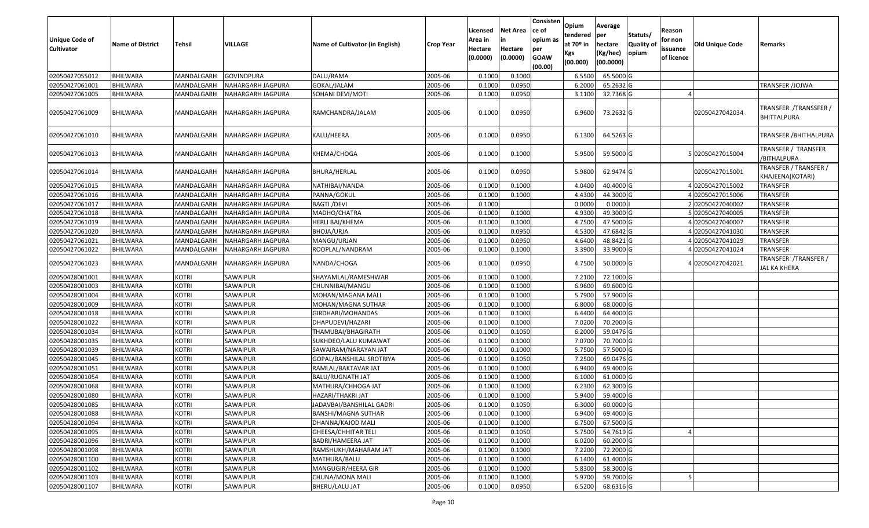| <b>Unique Code of</b><br><b>Cultivator</b> | <b>Name of District</b> | Tehsil            | VILLAGE           | Name of Cultivator (in English) | <b>Crop Year</b> | Licensed<br>Area in<br>Hectare<br>(0.0000) | <b>Net Area</b><br>in<br>Hectare<br>(0.0000) | Consisten<br>ce of<br>opium as<br>per<br><b>GOAW</b><br>(00.00) | Opium<br>tendered<br>at $70°$ in<br>Kgs<br>(00.000) | Average<br>per<br>hectare<br>(Kg/hec)<br>(00.0000) | Statuts/<br>Quality of<br>opium | Reason<br>for non<br>issuance<br>of licence | <b>Old Unique Code</b> | Remarks                                      |
|--------------------------------------------|-------------------------|-------------------|-------------------|---------------------------------|------------------|--------------------------------------------|----------------------------------------------|-----------------------------------------------------------------|-----------------------------------------------------|----------------------------------------------------|---------------------------------|---------------------------------------------|------------------------|----------------------------------------------|
| 02050427055012                             | <b>BHILWARA</b>         | MANDALGARH        | <b>GOVINDPURA</b> | DALU/RAMA                       | 2005-06          | 0.1000                                     | 0.1000                                       |                                                                 | 6.5500                                              | 65.5000G                                           |                                 |                                             |                        |                                              |
| 02050427061001                             | BHILWARA                | MANDALGARH        | NAHARGARH JAGPURA | GOKAL/JALAM                     | 2005-06          | 0.1000                                     | 0.0950                                       |                                                                 | 6.2000                                              | 65.2632 G                                          |                                 |                                             |                        | TRANSFER /JOJWA                              |
| 02050427061005                             | BHILWARA                | MANDALGARH        | NAHARGARH JAGPURA | SOHANI DEVI/MOTI                | 2005-06          | 0.1000                                     | 0.0950                                       |                                                                 | 3.1100                                              | 32.7368 G                                          |                                 |                                             |                        |                                              |
| 02050427061009                             | BHILWARA                | MANDALGARH        | NAHARGARH JAGPURA | RAMCHANDRA/JALAM                | 2005-06          | 0.1000                                     | 0.0950                                       |                                                                 | 6.9600                                              | 73.2632 G                                          |                                 |                                             | 02050427042034         | TRANSFER / TRANSSFER /<br><b>BHITTALPURA</b> |
| 02050427061010                             | <b>BHILWARA</b>         | MANDALGARH        | NAHARGARH JAGPURA | KALU/HEERA                      | 2005-06          | 0.1000                                     | 0.0950                                       |                                                                 | 6.1300                                              | 64.5263 G                                          |                                 |                                             |                        | TRANSFER / BHITHALPURA                       |
| 02050427061013                             | <b>BHILWARA</b>         | MANDALGARH        | NAHARGARH JAGPURA | KHEMA/CHOGA                     | 2005-06          | 0.1000                                     | 0.1000                                       |                                                                 | 5.9500                                              | 59.5000 G                                          |                                 |                                             | 502050427015004        | TRANSFER / TRANSFER<br>/BITHALPURA           |
| 02050427061014                             | BHILWARA                | MANDALGARH        | NAHARGARH JAGPURA | BHURA/HERLAL                    | 2005-06          | 0.1000                                     | 0.0950                                       |                                                                 | 5.9800                                              | 62.9474 G                                          |                                 |                                             | 02050427015001         | TRANSFER / TRANSFER /<br>KHAJEENA(KOTARI)    |
| 02050427061015                             | BHILWARA                | MANDALGARH        | NAHARGARH JAGPURA | NATHIBAI/NANDA                  | 2005-06          | 0.1000                                     | 0.1000                                       |                                                                 | 4.0400                                              | 40.4000 G                                          |                                 |                                             | 402050427015002        | <b>TRANSFER</b>                              |
| 02050427061016                             | <b>BHILWARA</b>         | MANDALGARH        | NAHARGARH JAGPURA | PANNA/GOKUL                     | 2005-06          | 0.1000                                     | 0.1000                                       |                                                                 | 4.4300                                              | 44.3000 G                                          |                                 |                                             | 402050427015006        | <b>TRANSFER</b>                              |
| 02050427061017                             | BHILWARA                | MANDALGARH        | NAHARGARH JAGPURA | BAGTI /DEVI                     | 2005-06          | 0.1000                                     |                                              |                                                                 | 0.0000                                              | 0.0000                                             |                                 |                                             | 2 02050427040002       | <b>TRANSFER</b>                              |
| 02050427061018                             | <b>BHILWARA</b>         | MANDALGARH        | NAHARGARH JAGPURA | MADHO/CHATRA                    | 2005-06          | 0.1000                                     | 0.1000                                       |                                                                 | 4.9300                                              | 49.3000 G                                          |                                 |                                             | 5 02050427040005       | <b>TRANSFER</b>                              |
| 02050427061019                             | <b>BHILWARA</b>         | MANDALGARH        | NAHARGARH JAGPURA | <b>HERLI BAI/KHEMA</b>          | 2005-06          | 0.1000                                     | 0.1000                                       |                                                                 | 4.7500                                              | 47.5000G                                           |                                 |                                             | 402050427040007        | <b>TRANSFER</b>                              |
| 02050427061020                             | <b>BHILWARA</b>         | MANDALGARH        | NAHARGARH JAGPURA | BHOJA/URJA                      | 2005-06          | 0.1000                                     | 0.0950                                       |                                                                 | 4.5300                                              | 47.6842 G                                          |                                 |                                             | 402050427041030        | <b>TRANSFER</b>                              |
| 02050427061021                             | BHILWARA                | MANDALGARH        | NAHARGARH JAGPURA | MANGU/URJAN                     | 2005-06          | 0.1000                                     | 0.0950                                       |                                                                 | 4.6400                                              | 48.8421 G                                          |                                 |                                             | 402050427041029        | <b>TRANSFER</b>                              |
| 02050427061022                             | BHILWARA                | MANDALGARH        | NAHARGARH JAGPURA | ROOPLAL/NANDRAM                 | 2005-06          | 0.1000                                     | 0.1000                                       |                                                                 | 3.3900                                              | 33.9000 G                                          |                                 |                                             | 4 02050427041024       | <b>TRANSFER</b>                              |
| 02050427061023                             | <b>BHILWARA</b>         | <b>MANDALGARH</b> | NAHARGARH JAGPURA | NANDA/CHOGA                     | 2005-06          | 0.1000                                     | 0.0950                                       |                                                                 | 4.7500                                              | 50.0000 G                                          |                                 |                                             | 402050427042021        | TRANSFER / TRANSFER /<br>JAL KA KHERA        |
| 02050428001001                             | BHILWARA                | <b>KOTRI</b>      | SAWAIPUR          | SHAYAMLAL/RAMESHWAR             | 2005-06          | 0.1000                                     | 0.1000                                       |                                                                 | 7.2100                                              | 72.1000 G                                          |                                 |                                             |                        |                                              |
| 02050428001003                             | BHILWARA                | <b>KOTRI</b>      | SAWAIPUR          | CHUNNIBAI/MANGU                 | 2005-06          | 0.1000                                     | 0.1000                                       |                                                                 | 6.9600                                              | 69.6000 G                                          |                                 |                                             |                        |                                              |
| 02050428001004                             | <b>BHILWARA</b>         | <b>KOTRI</b>      | SAWAIPUR          | MOHAN/MAGANA MALI               | 2005-06          | 0.1000                                     | 0.1000                                       |                                                                 | 5.7900                                              | 57.9000 G                                          |                                 |                                             |                        |                                              |
| 02050428001009                             | <b>BHILWARA</b>         | <b>KOTRI</b>      | SAWAIPUR          | MOHAN/MAGNA SUTHAR              | 2005-06          | 0.1000                                     | 0.1000                                       |                                                                 | 6.8000                                              | 68.0000G                                           |                                 |                                             |                        |                                              |
| 02050428001018                             | <b>BHILWARA</b>         | <b>KOTRI</b>      | SAWAIPUR          | GIRDHARI/MOHANDAS               | 2005-06          | 0.100                                      | 0.1000                                       |                                                                 | 6.4400                                              | 64.4000 G                                          |                                 |                                             |                        |                                              |
| 02050428001022                             | BHILWARA                | <b>KOTRI</b>      | SAWAIPUR          | DHAPUDEVI/HAZARI                | 2005-06          | 0.1000                                     | 0.1000                                       |                                                                 | 7.0200                                              | 70.2000 G                                          |                                 |                                             |                        |                                              |
| 02050428001034                             | <b>BHILWARA</b>         | <b>KOTRI</b>      | SAWAIPUR          | THAMUBAI/BHAGIRATH              | 2005-06          | 0.1000                                     | 0.1050                                       |                                                                 | 6.2000                                              | 59.0476 G                                          |                                 |                                             |                        |                                              |
| 02050428001035                             | BHILWARA                | <b>KOTRI</b>      | SAWAIPUR          | SUKHDEO/LALU KUMAWAT            | 2005-06          | 0.1000                                     | 0.1000                                       |                                                                 | 7.0700                                              | 70.7000G                                           |                                 |                                             |                        |                                              |
| 02050428001039                             | <b>BHILWARA</b>         | <b>KOTRI</b>      | SAWAIPUR          | SAWAIRAM/NARAYAN JAT            | 2005-06          | 0.1000                                     | 0.1000                                       |                                                                 | 5.7500                                              | 57.5000G                                           |                                 |                                             |                        |                                              |
| 02050428001045                             | BHILWARA                | <b>KOTRI</b>      | SAWAIPUR          | GOPAL/BANSHILAL SROTRIYA        | 2005-06          | 0.1000                                     | 0.1050                                       |                                                                 | 7.2500                                              | 69.0476 G                                          |                                 |                                             |                        |                                              |
| 02050428001051                             | <b>BHILWARA</b>         | <b>KOTRI</b>      | SAWAIPUR          | RAMLAL/BAKTAVAR JAT             | 2005-06          | 0.1000                                     | 0.1000                                       |                                                                 | 6.9400                                              | 69.4000 G                                          |                                 |                                             |                        |                                              |
| 02050428001054                             | BHILWARA                | <b>KOTRI</b>      | SAWAIPUR          | <b>BALU/RUGNATH JAT</b>         | 2005-06          | 0.1000                                     | 0.1000                                       |                                                                 | 6.100                                               | 61.0000G                                           |                                 |                                             |                        |                                              |
| 02050428001068                             | <b>BHILWARA</b>         | <b>KOTRI</b>      | SAWAIPUR          | MATHURA/CHHOGA JAT              | 2005-06          | 0.1000                                     | 0.1000                                       |                                                                 | 6.2300                                              | 62.3000G                                           |                                 |                                             |                        |                                              |
| 02050428001080                             | BHILWARA                | <b>KOTRI</b>      | SAWAIPUR          | HAZARI/THAKRI JAT               | 2005-06          | 0.1000                                     | 0.1000                                       |                                                                 | 5.9400                                              | 59.4000 G                                          |                                 |                                             |                        |                                              |
| 02050428001085                             | <b>BHILWARA</b>         | <b>KOTRI</b>      | SAWAIPUR          | JADAVBAI/BANSHILAL GADRI        | 2005-06          | 0.1000                                     | 0.1050                                       |                                                                 | 6.3000                                              | 60.0000 G                                          |                                 |                                             |                        |                                              |
| 02050428001088                             | <b>BHILWARA</b>         | <b>KOTRI</b>      | SAWAIPUR          | BANSHI/MAGNA SUTHAR             | 2005-06          | 0.1000                                     | 0.1000                                       |                                                                 | 6.9400                                              | 69.4000 G                                          |                                 |                                             |                        |                                              |
| 02050428001094                             | <b>BHILWARA</b>         | <b>KOTRI</b>      | SAWAIPUR          | DHANNA/KAJOD MALI               | 2005-06          | 0.1000                                     | 0.1000                                       |                                                                 | 6.7500                                              | 67.5000 G                                          |                                 |                                             |                        |                                              |
| 02050428001095                             | <b>BHILWARA</b>         | <b>KOTRI</b>      | SAWAIPUR          | GHEESA/CHHITAR TELI             | 2005-06          | 0.1000                                     | 0.1050                                       |                                                                 | 5.7500                                              | 54.7619 G                                          |                                 |                                             |                        |                                              |
| 02050428001096                             | <b>BHILWARA</b>         | <b>KOTRI</b>      | SAWAIPUR          | BADRI/HAMEERA JAT               | 2005-06          | 0.1000                                     | 0.1000                                       |                                                                 | 6.0200                                              | 60.2000 G                                          |                                 |                                             |                        |                                              |
| 02050428001098                             | <b>BHILWARA</b>         | <b>KOTRI</b>      | SAWAIPUR          | RAMSHUKH/MAHARAM JAT            | 2005-06          | 0.1000                                     | 0.1000                                       |                                                                 | 7.2200                                              | 72.2000 G                                          |                                 |                                             |                        |                                              |
| 02050428001100                             | <b>BHILWARA</b>         | <b>KOTRI</b>      | SAWAIPUR          | MATHURA/BALU                    | 2005-06          | 0.1000                                     | 0.1000                                       |                                                                 | 6.1400                                              | 61.4000 G                                          |                                 |                                             |                        |                                              |
| 02050428001102                             | <b>BHILWARA</b>         | <b>KOTRI</b>      | SAWAIPUR          | MANGUGIR/HEERA GIR              | 2005-06          | 0.1000                                     | 0.1000                                       |                                                                 | 5.8300                                              | 58.3000 G                                          |                                 |                                             |                        |                                              |
| 02050428001103                             | <b>BHILWARA</b>         | <b>KOTRI</b>      | SAWAIPUR          | CHUNA/MONA MALI                 | 2005-06          | 0.1000                                     | 0.1000                                       |                                                                 | 5.9700                                              | 59.7000 G                                          |                                 |                                             |                        |                                              |
| 02050428001107                             | <b>BHILWARA</b>         | <b>KOTRI</b>      | SAWAIPUR          | BHERU/LALU JAT                  | 2005-06          | 0.1000                                     | 0.0950                                       |                                                                 | 6.5200                                              | 68.6316 G                                          |                                 |                                             |                        |                                              |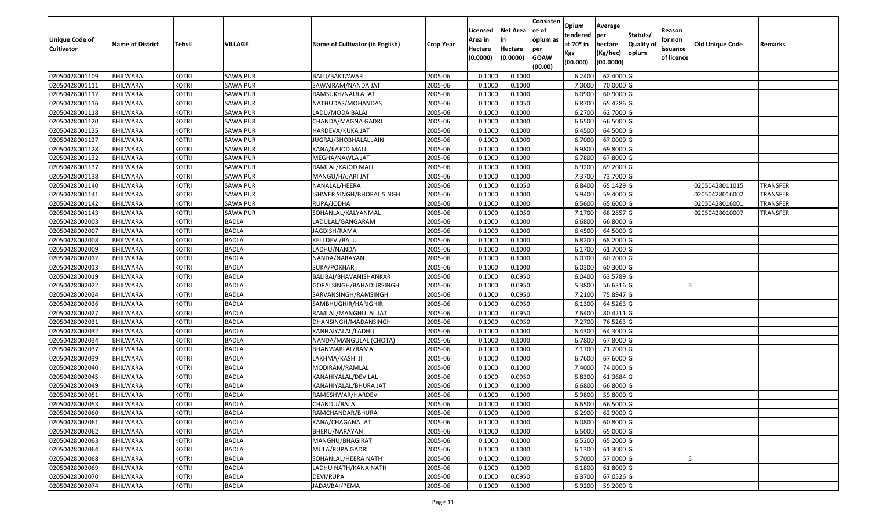| Unique Code of<br><b>Cultivator</b> | <b>Name of District</b> | Tehsil       | VILLAGE      | Name of Cultivator (in English) | <b>Crop Year</b> | Licensed<br>Area in<br>Hectare<br>(0.0000) | <b>Net Area</b><br>in<br>Hectare<br>(0.0000) | Consisten<br>ce of<br>opium as<br>per<br><b>GOAW</b><br>(00.00) | Opium<br>tendered<br>at $70°$ in<br>Kgs<br>(00.000) | Average<br>per<br>hectare<br>(Kg/hec)<br>(00.0000) | Statuts/<br><b>Quality o</b><br>opium | Reason<br>for non<br>issuance<br>of licence | Old Unique Code | Remarks         |
|-------------------------------------|-------------------------|--------------|--------------|---------------------------------|------------------|--------------------------------------------|----------------------------------------------|-----------------------------------------------------------------|-----------------------------------------------------|----------------------------------------------------|---------------------------------------|---------------------------------------------|-----------------|-----------------|
| 02050428001109                      | <b>BHILWARA</b>         | <b>KOTRI</b> | SAWAIPUR     | <b>BALU/BAKTAWAR</b>            | 2005-06          | 0.1000                                     | 0.1000                                       |                                                                 | 6.2400                                              | 62.4000 G                                          |                                       |                                             |                 |                 |
| 02050428001111                      | <b>BHILWARA</b>         | <b>KOTRI</b> | SAWAIPUR     | SAWAIRAM/NANDA JAT              | 2005-06          | 0.1000                                     | 0.1000                                       |                                                                 | 7.0000                                              | 70.0000G                                           |                                       |                                             |                 |                 |
| 02050428001112                      | BHILWARA                | <b>KOTRI</b> | SAWAIPUR     | RAMSUKH/NAULA JAT               | 2005-06          | 0.1000                                     | 0.1000                                       |                                                                 | 6.0900                                              | 60.9000 G                                          |                                       |                                             |                 |                 |
| 02050428001116                      | <b>BHILWARA</b>         | <b>KOTRI</b> | SAWAIPUR     | NATHUDAS/MOHANDAS               | 2005-06          | 0.1000                                     | 0.1050                                       |                                                                 | 6.8700                                              | 65.4286 G                                          |                                       |                                             |                 |                 |
| 02050428001118                      | BHILWARA                | <b>KOTRI</b> | SAWAIPUR     | LADU/MODA BALAI                 | 2005-06          | 0.1000                                     | 0.1000                                       |                                                                 | 6.2700                                              | 62.7000 G                                          |                                       |                                             |                 |                 |
| 02050428001120                      | BHILWARA                | <b>KOTRI</b> | SAWAIPUR     | CHANDA/MAGNA GADRI              | 2005-06          | 0.1000                                     | 0.1000                                       |                                                                 | 6.6500                                              | 66.5000 G                                          |                                       |                                             |                 |                 |
| 02050428001125                      | BHILWARA                | <b>KOTRI</b> | SAWAIPUR     | HARDEVA/KUKA JAT                | 2005-06          | 0.1000                                     | 0.1000                                       |                                                                 | 6.4500                                              | 64.5000 G                                          |                                       |                                             |                 |                 |
| 02050428001127                      | <b>BHILWARA</b>         | <b>KOTRI</b> | SAWAIPUR     | JUGRAJ/SHOBHALAL JAIN           | 2005-06          | 0.1000                                     | 0.1000                                       |                                                                 | 6.7000                                              | 67.0000G                                           |                                       |                                             |                 |                 |
| 02050428001128                      | BHILWARA                | <b>KOTRI</b> | SAWAIPUR     | KANA/KAJOD MALI                 | 2005-06          | 0.1000                                     | 0.1000                                       |                                                                 | 6.9800                                              | 69.8000 G                                          |                                       |                                             |                 |                 |
| 02050428001132                      | <b>BHILWARA</b>         | <b>KOTRI</b> | SAWAIPUR     | MEGHA/NAWLA JAT                 | 2005-06          | 0.1000                                     | 0.1000                                       |                                                                 | 6.7800                                              | 67.8000 G                                          |                                       |                                             |                 |                 |
| 02050428001137                      | BHILWARA                | <b>KOTRI</b> | SAWAIPUR     | RAMLAL/KAJOD MALI               | 2005-06          | 0.1000                                     | 0.1000                                       |                                                                 | 6.9200                                              | 69.2000 G                                          |                                       |                                             |                 |                 |
| 02050428001138                      | <b>BHILWARA</b>         | <b>KOTRI</b> | SAWAIPUR     | MANGU/HAJARI JAT                | 2005-06          | 0.1000                                     | 0.1000                                       |                                                                 | 7.3700                                              | 73.7000G                                           |                                       |                                             |                 |                 |
| 02050428001140                      | <b>BHILWARA</b>         | <b>KOTRI</b> | SAWAIPUR     | NANALAL/HEERA                   | 2005-06          | 0.1000                                     | 0.1050                                       |                                                                 | 6.8400                                              | 65.1429 G                                          |                                       |                                             | 02050428011015  | <b>TRANSFER</b> |
| 02050428001141                      | <b>BHILWARA</b>         | <b>KOTRI</b> | SAWAIPUR     | ISHWER SINGH/BHOPAL SINGH       | 2005-06          | 0.100                                      | 0.1000                                       |                                                                 | 5.9400                                              | 59.4000 G                                          |                                       |                                             | 02050428016002  | <b>TRANSFER</b> |
| 02050428001142                      | BHILWARA                | <b>KOTRI</b> | SAWAIPUR     | RUPA/JODHA                      | 2005-06          | 0.1000                                     | 0.1000                                       |                                                                 | 6.5600                                              | 65.6000G                                           |                                       |                                             | 02050428016001  | <b>TRANSFER</b> |
| 02050428001143                      | <b>BHILWARA</b>         | <b>KOTRI</b> | SAWAIPUR     | SOHANLAL/KALYANMAL              | 2005-06          | 0.1000                                     | 0.1050                                       |                                                                 | 7.1700                                              | 68.2857 G                                          |                                       |                                             | 02050428010007  | <b>TRANSFER</b> |
| 02050428002003                      | <b>BHILWARA</b>         | <b>KOTRI</b> | <b>BADLA</b> | LADULAL/GANGARAM                | 2005-06          | 0.100                                      | 0.1000                                       |                                                                 | 6.6800                                              | 66.8000 G                                          |                                       |                                             |                 |                 |
| 02050428002007                      | BHILWARA                | <b>KOTRI</b> | <b>BADLA</b> | JAGDISH/RAMA                    | 2005-06          | 0.1000                                     | 0.1000                                       |                                                                 | 6.4500                                              | 64.5000 G                                          |                                       |                                             |                 |                 |
| 02050428002008                      | <b>BHILWARA</b>         | <b>KOTRI</b> | <b>BADLA</b> | KELI DEVI/BALU                  | 2005-06          | 0.1000                                     | 0.1000                                       |                                                                 | 6.8200                                              | 68.2000 G                                          |                                       |                                             |                 |                 |
| 02050428002009                      | BHILWARA                | <b>KOTRI</b> | <b>BADLA</b> | LADHU/NANDA                     | 2005-06          | 0.1000                                     | 0.1000                                       |                                                                 | 6.1700                                              | 61.7000G                                           |                                       |                                             |                 |                 |
| 02050428002012                      | <b>BHILWARA</b>         | <b>KOTRI</b> | <b>BADLA</b> | NANDA/NARAYAN                   | 2005-06          | 0.100                                      | 0.1000                                       |                                                                 | 6.0700                                              | 60.7000 G                                          |                                       |                                             |                 |                 |
| 02050428002013                      | BHILWARA                | <b>KOTRI</b> | <b>BADLA</b> | SUKA/POKHAR                     | 2005-06          | 0.100                                      | 0.1000                                       |                                                                 | 6.030                                               | 60.3000 G                                          |                                       |                                             |                 |                 |
| 02050428002019                      | <b>BHILWARA</b>         | <b>KOTRI</b> | <b>BADLA</b> | BALIBAI/BHAVANISHANKAR          | 2005-06          | 0.1000                                     | 0.0950                                       |                                                                 | 6.0400                                              | 63.5789 G                                          |                                       |                                             |                 |                 |
| 02050428002022                      | BHILWARA                | <b>KOTRI</b> | <b>BADLA</b> | GOPALSINGH/BAHADURSINGH         | 2005-06          | 0.100                                      | 0.0950                                       |                                                                 | 5.3800                                              | 56.6316 G                                          |                                       |                                             |                 |                 |
| 02050428002024                      | <b>BHILWARA</b>         | <b>KOTRI</b> | <b>BADLA</b> | SARVANSINGH/RAMSINGH            | 2005-06          | 0.1000                                     | 0.0950                                       |                                                                 | 7.2100                                              | 75.8947 G                                          |                                       |                                             |                 |                 |
| 02050428002026                      | BHILWARA                | <b>KOTRI</b> | <b>BADLA</b> | SAMBHUGHIR/HARIGHIR             | 2005-06          | 0.1000                                     | 0.0950                                       |                                                                 | 6.1300                                              | 64.5263 G                                          |                                       |                                             |                 |                 |
| 02050428002027                      | <b>BHILWARA</b>         | <b>KOTRI</b> | <b>BADLA</b> | RAMLAL/MANGHULAL JAT            | 2005-06          | 0.1000                                     | 0.0950                                       |                                                                 | 7.6400                                              | 80.4211G                                           |                                       |                                             |                 |                 |
| 02050428002031                      | BHILWARA                | <b>KOTRI</b> | <b>BADLA</b> | DHANSINGH/MADANSINGH            | 2005-06          | 0.1000                                     | 0.0950                                       |                                                                 | 7.2700                                              | 76.5263 G                                          |                                       |                                             |                 |                 |
| 02050428002032                      | <b>BHILWARA</b>         | <b>KOTRI</b> | <b>BADLA</b> | KANHAIYALAL/LADHU               | 2005-06          | 0.1000                                     | 0.1000                                       |                                                                 | 6.4300                                              | 64.3000 G                                          |                                       |                                             |                 |                 |
| 02050428002034                      | <b>BHILWARA</b>         | <b>KOTRI</b> | <b>BADLA</b> | NANDA/MANGULAL (CHOTA)          | 2005-06          | 0.1000                                     | 0.1000                                       |                                                                 | 6.7800                                              | 67.8000 G                                          |                                       |                                             |                 |                 |
| 02050428002037                      | BHILWARA                | <b>KOTRI</b> | <b>BADLA</b> | BHANWARLAL/RAMA                 | 2005-06          | 0.100                                      | 0.1000                                       |                                                                 | 7.1700                                              | 71.7000G                                           |                                       |                                             |                 |                 |
| 02050428002039                      | BHILWARA                | <b>KOTRI</b> | <b>BADLA</b> | LAKHMA/KASHI JI                 | 2005-06          | 0.1000                                     | 0.1000                                       |                                                                 | 6.7600                                              | 67.6000 G                                          |                                       |                                             |                 |                 |
| 02050428002040                      | <b>BHILWARA</b>         | <b>KOTRI</b> | <b>BADLA</b> | MODIRAM/RAMLAL                  | 2005-06          | 0.100                                      | 0.1000                                       |                                                                 | 7.4000                                              | 74.0000G                                           |                                       |                                             |                 |                 |
| 02050428002045                      | BHILWARA                | <b>KOTRI</b> | <b>BADLA</b> | KANAHIYALAL/DEVILAL             | 2005-06          | 0.1000                                     | 0.0950                                       |                                                                 | 5.8300                                              | 61.3684 G                                          |                                       |                                             |                 |                 |
| 02050428002049                      | BHILWARA                | <b>KOTRI</b> | <b>BADLA</b> | KANAHIYALAL/BHURA JAT           | 2005-06          | 0.1000                                     | 0.1000                                       |                                                                 | 6.6800                                              | 66.8000 G                                          |                                       |                                             |                 |                 |
| 02050428002051                      | BHILWARA                | <b>KOTRI</b> | <b>BADLA</b> | RAMESHWAR/HARDEV                | 2005-06          | 0.1000                                     | 0.1000                                       |                                                                 | 5.9800                                              | 59.8000 G                                          |                                       |                                             |                 |                 |
| 02050428002053                      | <b>BHILWARA</b>         | <b>KOTRI</b> | <b>BADLA</b> | CHANDU/BALA                     | 2005-06          | 0.1000                                     | 0.1000                                       |                                                                 | 6.6500                                              | 66.5000 G                                          |                                       |                                             |                 |                 |
| 02050428002060                      | <b>BHILWARA</b>         | <b>KOTRI</b> | <b>BADLA</b> | RAMCHANDAR/BHURA                | 2005-06          | 0.1000                                     | 0.1000                                       |                                                                 | 6.2900                                              | 62.9000 G                                          |                                       |                                             |                 |                 |
| 02050428002061                      | <b>BHILWARA</b>         | <b>KOTRI</b> | <b>BADLA</b> | KANA/CHAGANA JAT                | 2005-06          | 0.1000                                     | 0.1000                                       |                                                                 | 6.0800                                              | 60.8000 G                                          |                                       |                                             |                 |                 |
| 02050428002062                      | <b>BHILWARA</b>         | <b>KOTRI</b> | <b>BADLA</b> | BHERU/NARAYAN                   | 2005-06          | 0.1000                                     | 0.1000                                       |                                                                 | 6.5000                                              | 65.0000 G                                          |                                       |                                             |                 |                 |
| 02050428002063                      | <b>BHILWARA</b>         | <b>KOTRI</b> | <b>BADLA</b> | MANGHU/BHAGIRAT                 | 2005-06          | 0.1000                                     | 0.1000                                       |                                                                 | 6.5200                                              | 65.2000 G                                          |                                       |                                             |                 |                 |
| 02050428002064                      | <b>BHILWARA</b>         | <b>KOTRI</b> | <b>BADLA</b> | MULA/RUPA GADRI                 | 2005-06          | 0.1000                                     | 0.1000                                       |                                                                 | 6.1300                                              | 61.3000 G                                          |                                       |                                             |                 |                 |
| 02050428002068                      | <b>BHILWARA</b>         | <b>KOTRI</b> | <b>BADLA</b> | SOHANLAL/HEERA NATH             | 2005-06          | 0.1000                                     | 0.1000                                       |                                                                 | 5.7000                                              | 57.0000 G                                          |                                       |                                             |                 |                 |
| 02050428002069                      | <b>BHILWARA</b>         | <b>KOTRI</b> | <b>BADLA</b> | LADHU NATH/KANA NATH            | 2005-06          | 0.1000                                     | 0.1000                                       |                                                                 | 6.1800                                              | 61.8000 G                                          |                                       |                                             |                 |                 |
| 02050428002070                      | <b>BHILWARA</b>         | <b>KOTRI</b> | <b>BADLA</b> | DEVI/RUPA                       | 2005-06          | 0.1000                                     | 0.0950                                       |                                                                 | 6.3700                                              | 67.0526 G                                          |                                       |                                             |                 |                 |
| 02050428002074                      | <b>BHILWARA</b>         | <b>KOTRI</b> | <b>BADLA</b> | JADAVBAI/PEMA                   | 2005-06          | 0.1000                                     | 0.1000                                       |                                                                 | 5.9200                                              | 59.2000 G                                          |                                       |                                             |                 |                 |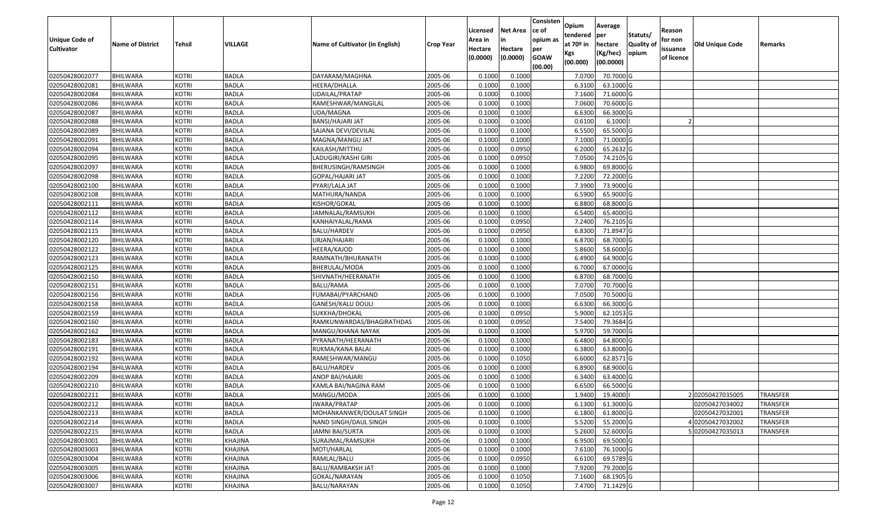| Unique Code of<br><b>Cultivator</b> | <b>Name of District</b> | <b>Tehsil</b> | VILLAGE      | Name of Cultivator (in English) | <b>Crop Year</b> | Licensed<br>Area in<br>Hectare<br>(0.0000) | <b>Net Area</b><br>in<br>Hectare<br>(0.0000) | Consisten<br>ce of<br>opium as<br>per<br><b>GOAW</b><br>(00.00) | Opium<br>tendered<br>at 70º in<br>Kgs<br>(00.000) | Average<br>per<br>hectare<br>(Kg/hec)<br>(00.0000) | Statuts/<br>Quality of<br>opium | Reason<br>for non<br>issuance<br>of licence | <b>Old Unique Code</b> | Remarks         |
|-------------------------------------|-------------------------|---------------|--------------|---------------------------------|------------------|--------------------------------------------|----------------------------------------------|-----------------------------------------------------------------|---------------------------------------------------|----------------------------------------------------|---------------------------------|---------------------------------------------|------------------------|-----------------|
| 02050428002077                      | BHILWARA                | <b>KOTRI</b>  | <b>BADLA</b> | DAYARAM/MAGHNA                  | 2005-06          | 0.1000                                     | 0.1000                                       |                                                                 | 7.0700                                            | 70.7000 G                                          |                                 |                                             |                        |                 |
| 02050428002081                      | <b>BHILWARA</b>         | <b>KOTRI</b>  | <b>BADLA</b> | HEERA/DHALLA                    | 2005-06          | 0.1000                                     | 0.1000                                       |                                                                 | 6.3100                                            | 63.1000 G                                          |                                 |                                             |                        |                 |
| 02050428002084                      | BHILWARA                | <b>KOTRI</b>  | <b>BADLA</b> | JDAILAL/PRATAP                  | 2005-06          | 0.1000                                     | 0.1000                                       |                                                                 | 7.1600                                            | 71.6000 G                                          |                                 |                                             |                        |                 |
| 02050428002086                      | <b>BHILWARA</b>         | <b>KOTRI</b>  | <b>BADLA</b> | RAMESHWAR/MANGILAL              | 2005-06          | 0.1000                                     | 0.1000                                       |                                                                 | 7.0600                                            | 70.6000G                                           |                                 |                                             |                        |                 |
| 02050428002087                      | <b>BHILWARA</b>         | <b>KOTRI</b>  | <b>BADLA</b> | UDA/MAGNA                       | 2005-06          | 0.1000                                     | 0.1000                                       |                                                                 | 6.6300                                            | 66.3000 G                                          |                                 |                                             |                        |                 |
| 02050428002088                      | BHILWARA                | <b>KOTRI</b>  | <b>BADLA</b> | BANSI/HAJARI JAT                | 2005-06          | 0.1000                                     | 0.1000                                       |                                                                 | 0.6100                                            | 6.1000                                             |                                 |                                             |                        |                 |
| 02050428002089                      | <b>BHILWARA</b>         | <b>KOTRI</b>  | <b>BADLA</b> | SAJANA DEVI/DEVILAL             | 2005-06          | 0.1000                                     | 0.1000                                       |                                                                 | 6.5500                                            | 65.5000G                                           |                                 |                                             |                        |                 |
| 02050428002091                      | <b>BHILWARA</b>         | <b>KOTRI</b>  | <b>BADLA</b> | MAGNA/MANGU JAT                 | 2005-06          | 0.1000                                     | 0.1000                                       |                                                                 | 7.1000                                            | 71.0000 G                                          |                                 |                                             |                        |                 |
| 02050428002094                      | <b>BHILWARA</b>         | <b>KOTRI</b>  | <b>BADLA</b> | KAILASH/MITTHU                  | 2005-06          | 0.1000                                     | 0.0950                                       |                                                                 | 6.2000                                            | 65.2632 G                                          |                                 |                                             |                        |                 |
| 02050428002095                      | <b>BHILWARA</b>         | <b>KOTRI</b>  | <b>BADLA</b> | LADUGIRI/KASHI GIRI             | 2005-06          | 0.1000                                     | 0.0950                                       |                                                                 | 7.0500                                            | 74.2105 G                                          |                                 |                                             |                        |                 |
| 02050428002097                      | <b>BHILWARA</b>         | <b>KOTRI</b>  | <b>BADLA</b> | BHERUSINGH/RAMSINGH             | 2005-06          | 0.1000                                     | 0.1000                                       |                                                                 | 6.9800                                            | 69.8000 G                                          |                                 |                                             |                        |                 |
| 02050428002098                      | <b>BHILWARA</b>         | <b>KOTRI</b>  | <b>BADLA</b> | GOPAL/HAJARI JAT                | 2005-06          | 0.1000                                     | 0.1000                                       |                                                                 | 7.2200                                            | 72.2000 G                                          |                                 |                                             |                        |                 |
| 02050428002100                      | <b>BHILWARA</b>         | <b>KOTRI</b>  | <b>BADLA</b> | PYARI/LALA JAT                  | 2005-06          | 0.1000                                     | 0.1000                                       |                                                                 | 7.3900                                            | 73.9000 G                                          |                                 |                                             |                        |                 |
| 02050428002108                      | <b>BHILWARA</b>         | <b>KOTRI</b>  | <b>BADLA</b> | MATHURA/NANDA                   | 2005-06          | 0.1000                                     | 0.1000                                       |                                                                 | 6.5900                                            | 65.9000 G                                          |                                 |                                             |                        |                 |
| 02050428002111                      | BHILWARA                | <b>KOTRI</b>  | <b>BADLA</b> | KISHOR/GOKAL                    | 2005-06          | 0.1000                                     | 0.1000                                       |                                                                 | 6.8800                                            | 68.8000 G                                          |                                 |                                             |                        |                 |
| 02050428002112                      | <b>BHILWARA</b>         | <b>KOTRI</b>  | <b>BADLA</b> | IAMNALAL/RAMSUKH                | 2005-06          | 0.1000                                     | 0.1000                                       |                                                                 | 6.5400                                            | 65.4000 G                                          |                                 |                                             |                        |                 |
| 02050428002114                      | <b>BHILWARA</b>         | <b>KOTRI</b>  | <b>BADLA</b> | KANHAIYALAL/RAMA                | 2005-06          | 0.1000                                     | 0.0950                                       |                                                                 | 7.2400                                            | 76.2105 G                                          |                                 |                                             |                        |                 |
| 02050428002115                      | <b>BHILWARA</b>         | <b>KOTRI</b>  | <b>BADLA</b> | BALU/HARDEV                     | 2005-06          | 0.1000                                     | 0.0950                                       |                                                                 | 6.8300                                            | 71.8947 G                                          |                                 |                                             |                        |                 |
| 02050428002120                      | BHILWARA                | <b>KOTRI</b>  | <b>BADLA</b> | URJAN/HAJARI                    | 2005-06          | 0.1000                                     | 0.1000                                       |                                                                 | 6.8700                                            | 68.7000 G                                          |                                 |                                             |                        |                 |
| 02050428002122                      | <b>BHILWARA</b>         | <b>KOTRI</b>  | <b>BADLA</b> | HEERA/KAJOD                     | 2005-06          | 0.1000                                     | 0.1000                                       |                                                                 | 5.8600                                            | 58.6000 G                                          |                                 |                                             |                        |                 |
| 02050428002123                      | <b>BHILWARA</b>         | <b>KOTRI</b>  | <b>BADLA</b> | RAMNATH/BHURANATH               | 2005-06          | 0.1000                                     | 0.1000                                       |                                                                 | 6.4900                                            | 64.9000 G                                          |                                 |                                             |                        |                 |
| 02050428002125                      | <b>BHILWARA</b>         | <b>KOTRI</b>  | <b>BADLA</b> | BHERULAL/MODA                   | 2005-06          | 0.1000                                     | 0.1000                                       |                                                                 | 6.7000                                            | 67.0000 G                                          |                                 |                                             |                        |                 |
| 02050428002150                      | BHILWARA                | <b>KOTRI</b>  | <b>BADLA</b> | SHIVNATH/HEERANATH              | 2005-06          | 0.1000                                     | 0.1000                                       |                                                                 | 6.8700                                            | 68.7000 G                                          |                                 |                                             |                        |                 |
| 02050428002151                      | <b>BHILWARA</b>         | <b>KOTRI</b>  | <b>BADLA</b> | BALU/RAMA                       | 2005-06          | 0.1000                                     | 0.1000                                       |                                                                 | 7.0700                                            | 70.7000 G                                          |                                 |                                             |                        |                 |
| 02050428002156                      | <b>BHILWARA</b>         | <b>KOTRI</b>  | <b>BADLA</b> | FUMABAI/PYARCHAND               | 2005-06          | 0.1000                                     | 0.1000                                       |                                                                 | 7.0500                                            | 70.5000 G                                          |                                 |                                             |                        |                 |
| 02050428002158                      | <b>BHILWARA</b>         | <b>KOTRI</b>  | <b>BADLA</b> | GANESH/KALU DOULI               | 2005-06          | 0.1000                                     | 0.1000                                       |                                                                 | 6.6300                                            | 66.3000G                                           |                                 |                                             |                        |                 |
| 02050428002159                      | <b>BHILWARA</b>         | <b>KOTRI</b>  | <b>BADLA</b> | SUKKHA/DHOKAL                   | 2005-06          | 0.100                                      | 0.0950                                       |                                                                 | 5.9000                                            | 62.1053 G                                          |                                 |                                             |                        |                 |
| 02050428002160                      | BHILWARA                | <b>KOTRI</b>  | <b>BADLA</b> | RAMKUNWARDAS/BHAGIRATHDAS       | 2005-06          | 0.1000                                     | 0.0950                                       |                                                                 | 7.5400                                            | 79.3684 G                                          |                                 |                                             |                        |                 |
| 02050428002162                      | <b>BHILWARA</b>         | <b>KOTRI</b>  | <b>BADLA</b> | MANGU/KHANA NAYAK               | 2005-06          | 0.1000                                     | 0.1000                                       |                                                                 | 5.9700                                            | 59.7000G                                           |                                 |                                             |                        |                 |
| 02050428002183                      | <b>BHILWARA</b>         | <b>KOTRI</b>  | <b>BADLA</b> | PYRANATH/HEERANATH              | 2005-06          | 0.1000                                     | 0.1000                                       |                                                                 | 6.4800                                            | $\overline{64.8000}$ G                             |                                 |                                             |                        |                 |
| 02050428002191                      | <b>BHILWARA</b>         | <b>KOTRI</b>  | <b>BADLA</b> | RUKMA/KANA BALAI                | 2005-06          | 0.1000                                     | 0.1000                                       |                                                                 | 6.3800                                            | 63.8000 G                                          |                                 |                                             |                        |                 |
| 02050428002192                      | BHILWARA                | <b>KOTRI</b>  | <b>BADLA</b> | RAMESHWAR/MANGU                 | 2005-06          | 0.1000                                     | 0.1050                                       |                                                                 | 6.6000                                            | 62.8571 G                                          |                                 |                                             |                        |                 |
| 02050428002194                      | <b>BHILWARA</b>         | <b>KOTRI</b>  | <b>BADLA</b> | BALU/HARDEV                     | 2005-06          | 0.1000                                     | 0.1000                                       |                                                                 | 6.8900                                            | 68.9000 G                                          |                                 |                                             |                        |                 |
| 02050428002209                      | <b>BHILWARA</b>         | <b>KOTRI</b>  | <b>BADLA</b> | ANOP BAI/HAJARI                 | 2005-06          | 0.1000                                     | 0.1000                                       |                                                                 | 6.3400                                            | 63.4000 G                                          |                                 |                                             |                        |                 |
| 02050428002210                      | <b>BHILWARA</b>         | <b>KOTRI</b>  | <b>BADLA</b> | KAMLA BAI/NAGINA RAM            | 2005-06          | 0.1000                                     | 0.1000                                       |                                                                 | 6.6500                                            | 66.5000 G                                          |                                 |                                             |                        |                 |
| 02050428002211                      | <b>BHILWARA</b>         | <b>KOTRI</b>  | <b>BADLA</b> | MANGU/MODA                      | 2005-06          | 0.1000                                     | 0.1000                                       |                                                                 | 1.9400                                            | 19.4000                                            |                                 |                                             | 202050427035005        | <b>TRANSFER</b> |
| 02050428002212                      | <b>BHILWARA</b>         | <b>KOTRI</b>  | <b>BADLA</b> | JWARA/PRATAP                    | 2005-06          | 0.1000                                     | 0.1000                                       |                                                                 | 6.1300                                            | 61.3000 G                                          |                                 |                                             | 02050427034002         | <b>TRANSFER</b> |
| 02050428002213                      | <b>BHILWARA</b>         | <b>KOTRI</b>  | <b>BADLA</b> | MOHANKANWER/DOULAT SINGH        | 2005-06          | 0.1000                                     | 0.1000                                       |                                                                 | 6.1800                                            | 61.8000 G                                          |                                 |                                             | 02050427032001         | <b>TRANSFER</b> |
| 02050428002214                      | <b>BHILWARA</b>         | <b>KOTRI</b>  | <b>BADLA</b> | NAND SINGH/DAUL SINGH           | 2005-06          | 0.1000                                     | 0.1000                                       |                                                                 | 5.5200                                            | 55.2000 G                                          |                                 |                                             | 402050427032002        | <b>TRANSFER</b> |
| 02050428002215                      | BHILWARA                | <b>KOTRI</b>  | <b>BADLA</b> | <b>JAMNI BAI/SURTA</b>          | 2005-06          | 0.1000                                     | 0.1000                                       |                                                                 | 5.2600                                            | 52.6000 G                                          |                                 |                                             | 502050427035013        | TRANSFER        |
| 02050428003001                      | <b>BHILWARA</b>         | <b>KOTRI</b>  | KHAJINA      | SURAJMAL/RAMSUKH                | 2005-06          | 0.1000                                     | 0.1000                                       |                                                                 | 6.9500                                            | 69.5000 G                                          |                                 |                                             |                        |                 |
| 02050428003003                      | <b>BHILWARA</b>         | <b>KOTRI</b>  | KHAJINA      | MOTI/HARLAL                     | 2005-06          | 0.1000                                     | 0.1000                                       |                                                                 | 7.6100                                            | 76.1000 G                                          |                                 |                                             |                        |                 |
| 02050428003004                      | <b>BHILWARA</b>         | <b>KOTRI</b>  | KHAJINA      | RAMLAL/BALU                     | 2005-06          | 0.1000                                     | 0.0950                                       |                                                                 | 6.6100                                            | 69.5789 G                                          |                                 |                                             |                        |                 |
| 02050428003005                      | <b>BHILWARA</b>         | <b>KOTRI</b>  | KHAJINA      | BALU/RAMBAKSH JAT               | 2005-06          | 0.1000                                     | 0.1000                                       |                                                                 | 7.9200                                            | 79.2000 G                                          |                                 |                                             |                        |                 |
| 02050428003006                      | <b>BHILWARA</b>         | <b>KOTRI</b>  | KHAJINA      | GOKAL/NARAYAN                   | 2005-06          | 0.1000                                     | 0.1050                                       |                                                                 | 7.1600                                            | 68.1905 G                                          |                                 |                                             |                        |                 |
| 02050428003007                      | <b>BHILWARA</b>         | <b>KOTRI</b>  | KHAJINA      | BALU/NARAYAN                    | 2005-06          | 0.1000                                     | 0.1050                                       |                                                                 | 7.4700                                            | 71.1429 G                                          |                                 |                                             |                        |                 |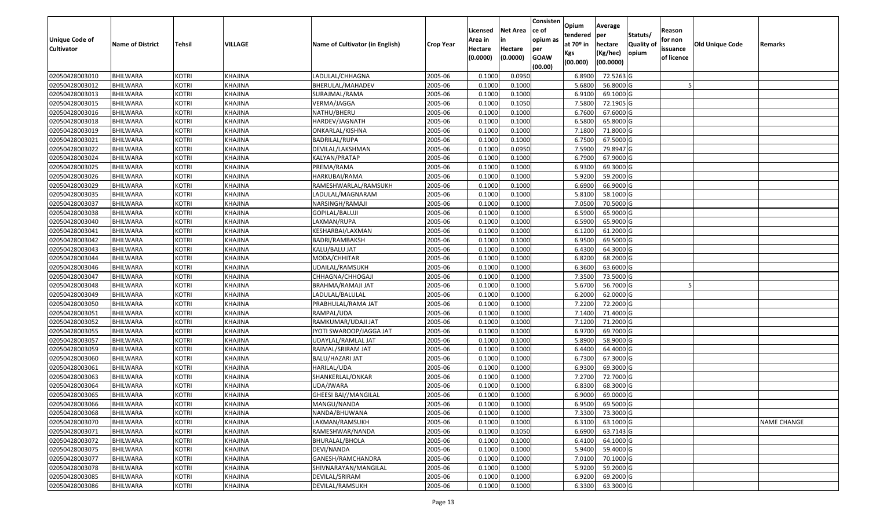| Unique Code of<br><b>Cultivator</b> | <b>Name of District</b> | <b>Tehsil</b> | VILLAGE        | Name of Cultivator (in English) | <b>Crop Year</b> | Licensed<br>Area in<br>Hectare<br>(0.0000) | <b>Net Area</b><br>in<br>Hectare<br>(0.0000) | Consisten<br>ce of<br>opium as<br>per<br><b>GOAW</b><br>(00.00) | Opium<br>tendered<br>at $70°$ in<br>Kgs<br>(00.000) | Average<br>per<br>hectare<br>(Kg/hec)<br>(00.0000) | Statuts/<br>Quality of<br>opium | Reason<br>for non<br>issuance<br>of licence | <b>Old Unique Code</b> | Remarks            |
|-------------------------------------|-------------------------|---------------|----------------|---------------------------------|------------------|--------------------------------------------|----------------------------------------------|-----------------------------------------------------------------|-----------------------------------------------------|----------------------------------------------------|---------------------------------|---------------------------------------------|------------------------|--------------------|
| 02050428003010                      | BHILWARA                | <b>KOTRI</b>  | KHAJINA        | LADULAL/CHHAGNA                 | 2005-06          | 0.1000                                     | 0.0950                                       |                                                                 | 6.8900                                              | 72.5263 G                                          |                                 |                                             |                        |                    |
| 02050428003012                      | <b>BHILWARA</b>         | <b>KOTRI</b>  | KHAJINA        | BHERULAL/MAHADEV                | 2005-06          | 0.1000                                     | 0.1000                                       |                                                                 | 5.6800                                              | 56.8000 G                                          |                                 |                                             |                        |                    |
| 02050428003013                      | BHILWARA                | <b>KOTRI</b>  | KHAJINA        | SURAJMAL/RAMA                   | 2005-06          | 0.1000                                     | 0.1000                                       |                                                                 | 6.9100                                              | 69.1000G                                           |                                 |                                             |                        |                    |
| 02050428003015                      | <b>BHILWARA</b>         | <b>KOTRI</b>  | KHAJINA        | VERMA/JAGGA                     | 2005-06          | 0.1000                                     | 0.1050                                       |                                                                 | 7.5800                                              | 72.1905 G                                          |                                 |                                             |                        |                    |
| 02050428003016                      | <b>BHILWARA</b>         | <b>KOTRI</b>  | KHAJINA        | NATHU/BHERU                     | 2005-06          | 0.1000                                     | 0.1000                                       |                                                                 | 6.7600                                              | 67.6000 G                                          |                                 |                                             |                        |                    |
| 02050428003018                      | BHILWARA                | <b>KOTRI</b>  | KHAJINA        | HARDEV/JAGNATH                  | 2005-06          | 0.1000                                     | 0.1000                                       |                                                                 | 6.5800                                              | 65.8000 G                                          |                                 |                                             |                        |                    |
| 02050428003019                      | <b>BHILWARA</b>         | <b>KOTRI</b>  | KHAJINA        | ONKARLAL/KISHNA                 | 2005-06          | 0.1000                                     | 0.1000                                       |                                                                 | 7.1800                                              | 71.8000 G                                          |                                 |                                             |                        |                    |
| 02050428003021                      | <b>BHILWARA</b>         | <b>KOTRI</b>  | KHAJINA        | <b>BADRILAL/RUPA</b>            | 2005-06          | 0.1000                                     | 0.1000                                       |                                                                 | 6.7500                                              | 67.5000 G                                          |                                 |                                             |                        |                    |
| 02050428003022                      | <b>BHILWARA</b>         | <b>KOTRI</b>  | KHAJINA        | DEVILAL/LAKSHMAN                | 2005-06          | 0.1000                                     | 0.0950                                       |                                                                 | 7.5900                                              | 79.8947 G                                          |                                 |                                             |                        |                    |
| 02050428003024                      | <b>BHILWARA</b>         | <b>KOTRI</b>  | KHAJINA        | KALYAN/PRATAP                   | 2005-06          | 0.1000                                     | 0.1000                                       |                                                                 | 6.7900                                              | 67.9000 G                                          |                                 |                                             |                        |                    |
| 02050428003025                      | BHILWARA                | <b>KOTRI</b>  | KHAJINA        | PREMA/RAMA                      | 2005-06          | 0.1000                                     | 0.1000                                       |                                                                 | 6.9300                                              | 69.3000G                                           |                                 |                                             |                        |                    |
| 02050428003026                      | <b>BHILWARA</b>         | <b>KOTRI</b>  | KHAJINA        | HARKUBAI/RAMA                   | 2005-06          | 0.1000                                     | 0.1000                                       |                                                                 | 5.9200                                              | 59.2000 G                                          |                                 |                                             |                        |                    |
| 02050428003029                      | <b>BHILWARA</b>         | <b>KOTRI</b>  | KHAJINA        | RAMESHWARLAL/RAMSUKH            | 2005-06          | 0.1000                                     | 0.1000                                       |                                                                 | 6.6900                                              | 66.9000 G                                          |                                 |                                             |                        |                    |
| 02050428003035                      | <b>BHILWARA</b>         | <b>KOTRI</b>  | KHAJINA        | LADULAL/MAGNARAM                | 2005-06          | 0.1000                                     | 0.1000                                       |                                                                 | 5.8100                                              | 58.1000 G                                          |                                 |                                             |                        |                    |
| 02050428003037                      | BHILWARA                | <b>KOTRI</b>  | KHAJINA        | NARSINGH/RAMAJI                 | 2005-06          | 0.1000                                     | 0.1000                                       |                                                                 | 7.0500                                              | 70.5000G                                           |                                 |                                             |                        |                    |
| 02050428003038                      | <b>BHILWARA</b>         | <b>KOTRI</b>  | KHAJINA        | GOPILAL/BALUJI                  | 2005-06          | 0.1000                                     | 0.1000                                       |                                                                 | 6.5900                                              | 65.9000 G                                          |                                 |                                             |                        |                    |
| 02050428003040                      | <b>BHILWARA</b>         | <b>KOTRI</b>  | KHAJINA        | LAXMAN/RUPA                     | 2005-06          | 0.1000                                     | 0.1000                                       |                                                                 | 6.5900                                              | 65.9000 G                                          |                                 |                                             |                        |                    |
| 02050428003041                      | <b>BHILWARA</b>         | <b>KOTRI</b>  | KHAJINA        | KESHARBAI/LAXMAN                | 2005-06          | 0.1000                                     | 0.1000                                       |                                                                 | 6.1200                                              | 61.2000 G                                          |                                 |                                             |                        |                    |
| 02050428003042                      | BHILWARA                | <b>KOTRI</b>  | KHAJINA        | BADRI/RAMBAKSH                  | 2005-06          | 0.1000                                     | 0.1000                                       |                                                                 | 6.9500                                              | 69.5000G                                           |                                 |                                             |                        |                    |
| 02050428003043                      | <b>BHILWARA</b>         | <b>KOTRI</b>  | KHAJINA        | KALU/BALU JAT                   | 2005-06          | 0.1000                                     | 0.1000                                       |                                                                 | 6.4300                                              | 64.3000 G                                          |                                 |                                             |                        |                    |
| 02050428003044                      | <b>BHILWARA</b>         | <b>KOTRI</b>  | KHAJINA        | MODA/CHHITAR                    | 2005-06          | 0.1000                                     | 0.1000                                       |                                                                 | 6.8200                                              | 68.2000 G                                          |                                 |                                             |                        |                    |
| 02050428003046                      | <b>BHILWARA</b>         | <b>KOTRI</b>  | KHAJINA        | UDAILAL/RAMSUKH                 | 2005-06          | 0.1000                                     | 0.1000                                       |                                                                 | 6.3600                                              | 63.6000 G                                          |                                 |                                             |                        |                    |
| 02050428003047                      | BHILWARA                | <b>KOTRI</b>  | KHAJINA        | CHHAGNA/CHHOGAJI                | 2005-06          | 0.1000                                     | 0.1000                                       |                                                                 | 7.3500                                              | 73.5000G                                           |                                 |                                             |                        |                    |
| 02050428003048                      | BHILWARA                | <b>KOTRI</b>  | KHAJINA        | BRAHMA/RAMAJI JAT               | 2005-06          | 0.1000                                     | 0.1000                                       |                                                                 | 5.6700                                              | 56.7000 G                                          |                                 |                                             |                        |                    |
| 02050428003049                      | <b>BHILWARA</b>         | <b>KOTRI</b>  | KHAJINA        | LADULAL/BALULAL                 | 2005-06          | 0.1000                                     | 0.1000                                       |                                                                 | 6.2000                                              | 62.0000G                                           |                                 |                                             |                        |                    |
| 02050428003050                      | BHILWARA                | <b>KOTRI</b>  | KHAJINA        | PRABHULAL/RAMA JAT              | 2005-06          | 0.1000                                     | 0.1000                                       |                                                                 | 7.2200                                              | 72.2000G                                           |                                 |                                             |                        |                    |
| 02050428003051                      | <b>BHILWARA</b>         | <b>KOTRI</b>  | KHAJINA        | RAMPAL/UDA                      | 2005-06          | 0.1000                                     | 0.1000                                       |                                                                 | 7.1400                                              | 71.4000 G                                          |                                 |                                             |                        |                    |
| 02050428003052                      | BHILWARA                | <b>KOTRI</b>  | KHAJINA        | RAMKUMAR/UDAJI JAT              | 2005-06          | 0.1000                                     | 0.1000                                       |                                                                 | 7.1200                                              | 71.2000 G                                          |                                 |                                             |                        |                    |
| 02050428003055                      | <b>BHILWARA</b>         | <b>KOTRI</b>  | KHAJINA        | JYOTI SWAROOP/JAGGA JAT         | 2005-06          | 0.1000                                     | 0.1000                                       |                                                                 | 6.9700                                              | 69.7000 G                                          |                                 |                                             |                        |                    |
| 02050428003057                      | BHILWARA                | <b>KOTRI</b>  | KHAJINA        | UDAYLAL/RAMLAL JAT              | 2005-06          | 0.1000                                     | 0.1000                                       |                                                                 | 5.8900                                              | 58.9000 G                                          |                                 |                                             |                        |                    |
| 02050428003059                      | <b>BHILWARA</b>         | <b>KOTRI</b>  | KHAJINA        | RAIMAL/SRIRAM JAT               | 2005-06          | 0.1000                                     | 0.1000                                       |                                                                 | 6.4400                                              | 64.4000 G                                          |                                 |                                             |                        |                    |
| 02050428003060                      | BHILWARA                | <b>KOTRI</b>  | KHAJINA        | BALU/HAZARI JAT                 | 2005-06          | 0.1000                                     | 0.1000                                       |                                                                 | 6.7300                                              | 67.3000 G                                          |                                 |                                             |                        |                    |
| 02050428003061                      | <b>BHILWARA</b>         | <b>KOTRI</b>  | KHAJINA        | HARILAL/UDA                     | 2005-06          | 0.1000                                     | 0.1000                                       |                                                                 | 6.9300                                              | 69.3000 G                                          |                                 |                                             |                        |                    |
| 02050428003063                      | BHILWARA                | <b>KOTRI</b>  | KHAJINA        | SHANKERLAL/ONKAR                | 2005-06          | 0.1000                                     | 0.1000                                       |                                                                 | 7.2700                                              | 72.7000 G                                          |                                 |                                             |                        |                    |
| 02050428003064                      | <b>BHILWARA</b>         | <b>KOTRI</b>  | <b>KHAJINA</b> | JDA/JWARA                       | 2005-06          | 0.1000                                     | 0.1000                                       |                                                                 | 6.8300                                              | 68.3000G                                           |                                 |                                             |                        |                    |
| 02050428003065                      | <b>BHILWARA</b>         | <b>KOTRI</b>  | KHAJINA        | GHEESI BAI//MANGILAL            | 2005-06          | 0.1000                                     | 0.1000                                       |                                                                 | 6.9000                                              | 69.0000G                                           |                                 |                                             |                        |                    |
| 02050428003066                      | <b>BHILWARA</b>         | <b>KOTRI</b>  | KHAJINA        | MANGU/NANDA                     | 2005-06          | 0.1000                                     | 0.1000                                       |                                                                 | 6.9500                                              | 69.5000 G                                          |                                 |                                             |                        |                    |
| 02050428003068                      | <b>BHILWARA</b>         | <b>KOTRI</b>  | KHAJINA        | NANDA/BHUWANA                   | 2005-06          | 0.1000                                     | 0.1000                                       |                                                                 | 7.3300                                              | 73.3000 G                                          |                                 |                                             |                        |                    |
| 02050428003070                      | <b>BHILWARA</b>         | <b>KOTRI</b>  | KHAJINA        | LAXMAN/RAMSUKH                  | 2005-06          | 0.1000                                     | 0.1000                                       |                                                                 | 6.3100                                              | 63.1000 G                                          |                                 |                                             |                        | <b>NAME CHANGE</b> |
| 02050428003071                      | BHILWARA                | <b>KOTRI</b>  | KHAJINA        | RAMESHWAR/NANDA                 | 2005-06          | 0.1000                                     | 0.1050                                       |                                                                 | 6.6900                                              | 63.7143 G                                          |                                 |                                             |                        |                    |
| 02050428003072                      | <b>BHILWARA</b>         | <b>KOTRI</b>  | KHAJINA        | BHURALAL/BHOLA                  | 2005-06          | 0.1000                                     | 0.1000                                       |                                                                 | 6.4100                                              | 64.1000 G                                          |                                 |                                             |                        |                    |
| 02050428003075                      | <b>BHILWARA</b>         | <b>KOTRI</b>  | KHAJINA        | DEVI/NANDA                      | 2005-06          | 0.1000                                     | 0.1000                                       |                                                                 | 5.9400                                              | 59.4000 G                                          |                                 |                                             |                        |                    |
| 02050428003077                      | <b>BHILWARA</b>         | <b>KOTRI</b>  | KHAJINA        | GANESH/RAMCHANDRA               | 2005-06          | 0.1000                                     | 0.1000                                       |                                                                 | 7.0100                                              | 70.1000 G                                          |                                 |                                             |                        |                    |
| 02050428003078                      | <b>BHILWARA</b>         | <b>KOTRI</b>  | KHAJINA        | SHIVNARAYAN/MANGILAL            | 2005-06          | 0.1000                                     | 0.1000                                       |                                                                 | 5.9200                                              | 59.2000 G                                          |                                 |                                             |                        |                    |
| 02050428003085                      | <b>BHILWARA</b>         | <b>KOTRI</b>  | KHAJINA        | DEVILAL/SRIRAM                  | 2005-06          | 0.1000                                     | 0.1000                                       |                                                                 | 6.9200                                              | 69.2000 G                                          |                                 |                                             |                        |                    |
| 02050428003086                      | <b>BHILWARA</b>         | <b>KOTRI</b>  | KHAJINA        | DEVILAL/RAMSUKH                 | 2005-06          | 0.1000                                     | 0.1000                                       |                                                                 | 6.3300                                              | 63.3000 G                                          |                                 |                                             |                        |                    |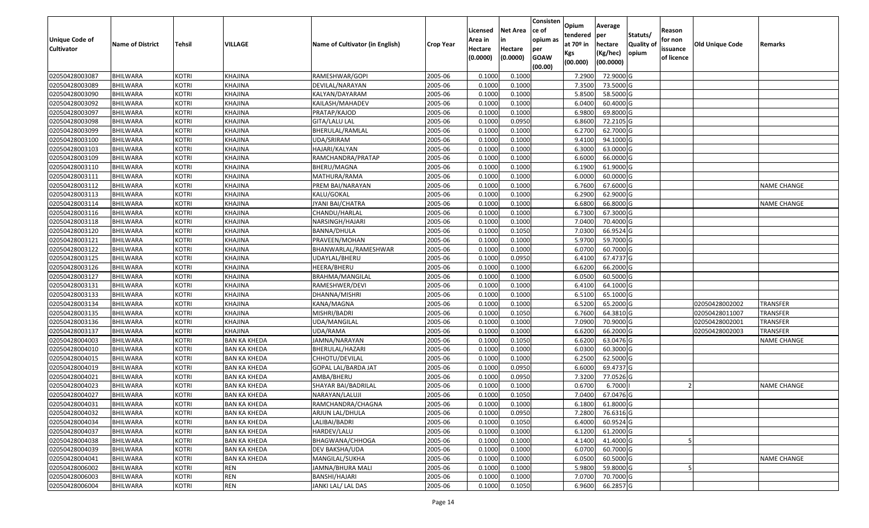| <b>Unique Code of</b> |                         |               |                     |                                 |                  | Licensed<br>Area in | <b>Net Area</b><br>in | Consisten<br>ce of<br>opium as | Opium<br>tendered              | Average<br>per                   | Statuts/                  | Reason<br>for non      |                        |                    |
|-----------------------|-------------------------|---------------|---------------------|---------------------------------|------------------|---------------------|-----------------------|--------------------------------|--------------------------------|----------------------------------|---------------------------|------------------------|------------------------|--------------------|
| <b>Cultivator</b>     | <b>Name of District</b> | <b>Tehsil</b> | <b>VILLAGE</b>      | Name of Cultivator (in English) | <b>Crop Year</b> | Hectare<br>(0.0000) | Hectare<br>(0.0000)   | per<br><b>GOAW</b><br>(00.00)  | at $70°$ in<br>Kgs<br>(00.000) | hectare<br>(Kg/hec)<br>(00.0000) | <b>Quality o</b><br>opium | issuance<br>of licence | <b>Old Unique Code</b> | Remarks            |
| 02050428003087        | <b>BHILWARA</b>         | <b>KOTRI</b>  | KHAJINA             | RAMESHWAR/GOPI                  | 2005-06          | 0.1000              | 0.1000                |                                | 7.2900                         | 72.9000 G                        |                           |                        |                        |                    |
| 02050428003089        | <b>BHILWARA</b>         | <b>KOTRI</b>  | KHAJINA             | DEVILAL/NARAYAN                 | 2005-06          | 0.1000              | 0.1000                |                                | 7.3500                         | 73.5000G                         |                           |                        |                        |                    |
| 02050428003090        | BHILWARA                | <b>KOTRI</b>  | KHAJINA             | KALYAN/DAYARAM                  | 2005-06          | 0.1000              | 0.1000                |                                | 5.8500                         | 58.5000 G                        |                           |                        |                        |                    |
| 02050428003092        | <b>BHILWARA</b>         | <b>KOTRI</b>  | KHAJINA             | KAILASH/MAHADEV                 | 2005-06          | 0.1000              | 0.1000                |                                | 6.0400                         | 60.4000 G                        |                           |                        |                        |                    |
| 02050428003097        | BHILWARA                | <b>KOTRI</b>  | KHAJINA             | PRATAP/KAJOD                    | 2005-06          | 0.1000              | 0.1000                |                                | 6.9800                         | 69.8000 G                        |                           |                        |                        |                    |
| 02050428003098        | <b>BHILWARA</b>         | <b>KOTRI</b>  | KHAJINA             | GITA/LALU LAL                   | 2005-06          | 0.1000              | 0.0950                |                                | 6.8600                         | 72.2105 G                        |                           |                        |                        |                    |
| 02050428003099        | BHILWARA                | <b>KOTRI</b>  | KHAJINA             | BHERULAL/RAMLAL                 | 2005-06          | 0.1000              | 0.1000                |                                | 6.2700                         | 62.7000 G                        |                           |                        |                        |                    |
| 02050428003100        | <b>BHILWARA</b>         | <b>KOTRI</b>  | <b>KHAJINA</b>      | UDA/SRIRAM                      | 2005-06          | 0.1000              | 0.1000                |                                | 9.4100                         | 94.1000 G                        |                           |                        |                        |                    |
| 02050428003103        | <b>BHILWARA</b>         | <b>KOTRI</b>  | KHAJINA             | HAJARI/KALYAN                   | 2005-06          | 0.1000              | 0.1000                |                                | 6.3000                         | 63.0000G                         |                           |                        |                        |                    |
| 02050428003109        | <b>BHILWARA</b>         | <b>KOTRI</b>  | KHAJINA             | RAMCHANDRA/PRATAP               | 2005-06          | 0.1000              | 0.1000                |                                | 6.6000                         | 66.0000G                         |                           |                        |                        |                    |
| 02050428003110        | BHILWARA                | <b>KOTRI</b>  | KHAJINA             | BHERU/MAGNA                     | 2005-06          | 0.1000              | 0.1000                |                                | 6.1900                         | 61.9000 G                        |                           |                        |                        |                    |
| 02050428003111        | <b>BHILWARA</b>         | <b>KOTRI</b>  | KHAJINA             | MATHURA/RAMA                    | 2005-06          | 0.1000              | 0.1000                |                                | 6.0000                         | 60.0000G                         |                           |                        |                        |                    |
| 02050428003112        | <b>BHILWARA</b>         | <b>KOTRI</b>  | KHAJINA             | PREM BAI/NARAYAN                | 2005-06          | 0.1000              | 0.1000                |                                | 6.7600                         | 67.6000 G                        |                           |                        |                        | <b>NAME CHANGE</b> |
| 02050428003113        | <b>BHILWARA</b>         | <b>KOTRI</b>  | KHAJINA             | KALU/GOKAL                      | 2005-06          | 0.1000              | 0.1000                |                                | 6.2900                         | 62.9000 G                        |                           |                        |                        |                    |
| 02050428003114        | BHILWARA                | <b>KOTRI</b>  | KHAJINA             | JYANI BAI/CHATRA                | 2005-06          | 0.1000              | 0.1000                |                                | 6.6800                         | 66.8000 G                        |                           |                        |                        | <b>NAME CHANGE</b> |
| 02050428003116        | <b>BHILWARA</b>         | <b>KOTRI</b>  | KHAJINA             | CHANDU/HARLAL                   | 2005-06          | 0.1000              | 0.1000                |                                | 6.7300                         | 67.3000 G                        |                           |                        |                        |                    |
| 02050428003118        | <b>BHILWARA</b>         | <b>KOTRI</b>  | KHAJINA             | NARSINGH/HAJARI                 | 2005-06          | 0.1000              | 0.1000                |                                | 7.0400                         | 70.4000 G                        |                           |                        |                        |                    |
| 02050428003120        | <b>BHILWARA</b>         | <b>KOTRI</b>  | KHAJINA             | BANNA/DHULA                     | 2005-06          | 0.1000              | 0.1050                |                                | 7.0300                         | 66.9524 G                        |                           |                        |                        |                    |
| 02050428003121        | <b>BHILWARA</b>         | <b>KOTRI</b>  | KHAJINA             | PRAVEEN/MOHAN                   | 2005-06          | 0.1000              | 0.1000                |                                | 5.9700                         | 59.7000G                         |                           |                        |                        |                    |
| 02050428003122        | BHILWARA                | <b>KOTRI</b>  | KHAJINA             | BHANWARLAL/RAMESHWAR            | 2005-06          | 0.1000              | 0.1000                |                                | 6.0700                         | 60.7000 G                        |                           |                        |                        |                    |
| 02050428003125        | <b>BHILWARA</b>         | <b>KOTRI</b>  | KHAJINA             | UDAYLAL/BHERU                   | 2005-06          | 0.1000              | 0.0950                |                                | 6.4100                         | 67.4737 G                        |                           |                        |                        |                    |
| 02050428003126        | BHILWARA                | <b>KOTRI</b>  | KHAJINA             | HEERA/BHERU                     | 2005-06          | 0.1000              | 0.1000                |                                | 6.6200                         | 66.2000 G                        |                           |                        |                        |                    |
| 02050428003127        | <b>BHILWARA</b>         | <b>KOTRI</b>  | KHAJINA             | BRAHMA/MANGILAL                 | 2005-06          | 0.1000              | 0.1000                |                                | 6.0500                         | 60.5000 G                        |                           |                        |                        |                    |
| 02050428003131        | BHILWARA                | <b>KOTRI</b>  | KHAJINA             | RAMESHWER/DEVI                  | 2005-06          | 0.1000              | 0.1000                |                                | 6.4100                         | 64.1000 G                        |                           |                        |                        |                    |
| 02050428003133        | <b>BHILWARA</b>         | <b>KOTRI</b>  | <b>KHAJINA</b>      | DHANNA/MISHRI                   | 2005-06          | 0.1000              | 0.1000                |                                | 6.5100                         | 65.1000 G                        |                           |                        |                        |                    |
| 02050428003134        | BHILWARA                | <b>KOTRI</b>  | KHAJINA             | KANA/MAGNA                      | 2005-06          | 0.1000              | 0.1000                |                                | 6.5200                         | 65.2000 G                        |                           |                        | 02050428002002         | <b>TRANSFER</b>    |
| 02050428003135        | <b>BHILWARA</b>         | <b>KOTRI</b>  | KHAJINA             | MISHRI/BADRI                    | 2005-06          | 0.1000              | 0.1050                |                                | 6.7600                         | 64.3810 G                        |                           |                        | 02050428011007         | <b>TRANSFER</b>    |
| 02050428003136        | <b>BHILWARA</b>         | <b>KOTRI</b>  | KHAJINA             | UDA/MANGILAL                    | 2005-06          | 0.1000              | 0.1000                |                                | 7.0900                         | 70.9000 G                        |                           |                        | 02050428002001         | <b>TRANSFER</b>    |
| 02050428003137        | <b>BHILWARA</b>         | <b>KOTRI</b>  | KHAJINA             | UDA/RAMA                        | 2005-06          | 0.1000              | 0.1000                |                                | 6.6200                         | 66.2000 G                        |                           |                        | 02050428002003         | <b>TRANSFER</b>    |
| 02050428004003        | BHILWARA                | <b>KOTRI</b>  | <b>BAN KA KHEDA</b> | JAMNA/NARAYAN                   | 2005-06          | 0.1000              | 0.1050                |                                | 6.6200                         | 63.0476 G                        |                           |                        |                        | <b>NAME CHANGE</b> |
| 02050428004010        | <b>BHILWARA</b>         | <b>KOTRI</b>  | <b>BAN KA KHEDA</b> | BHERULAL/HAZARI                 | 2005-06          | 0.1000              | 0.1000                |                                | 6.0300                         | 60.3000 G                        |                           |                        |                        |                    |
| 02050428004015        | BHILWARA                | <b>KOTRI</b>  | <b>BAN KA KHEDA</b> | CHHOTU/DEVILAL                  | 2005-06          | 0.1000              | 0.1000                |                                | 6.2500                         | 62.5000G                         |                           |                        |                        |                    |
| 02050428004019        | <b>BHILWARA</b>         | <b>KOTRI</b>  | <b>BAN KA KHEDA</b> | GOPAL LAL/BARDA JAT             | 2005-06          | 0.1000              | 0.0950                |                                | 6.6000                         | 69.4737 G                        |                           |                        |                        |                    |
| 02050428004021        | <b>BHILWARA</b>         | <b>KOTRI</b>  | <b>BAN KA KHEDA</b> | AMBA/BHERU                      | 2005-06          | 0.1000              | 0.0950                |                                | 7.3200                         | 77.0526 G                        |                           |                        |                        |                    |
| 02050428004023        | <b>BHILWARA</b>         | <b>KOTRI</b>  | <b>BAN KA KHEDA</b> | SHAYAR BAI/BADRILAL             | 2005-06          | 0.1000              | 0.1000                |                                | 0.6700                         | 6.7000                           |                           |                        |                        | <b>NAME CHANGE</b> |
| 02050428004027        | <b>BHILWARA</b>         | <b>KOTRI</b>  | <b>BAN KA KHEDA</b> | NARAYAN/LALUJI                  | 2005-06          | 0.1000              | 0.1050                |                                | 7.0400                         | 67.0476 G                        |                           |                        |                        |                    |
| 02050428004031        | <b>BHILWARA</b>         | <b>KOTRI</b>  | <b>BAN KA KHEDA</b> | RAMCHANDRA/CHAGNA               | 2005-06          | 0.1000              | 0.1000                |                                | 6.1800                         | 61.8000 G                        |                           |                        |                        |                    |
| 02050428004032        | <b>BHILWARA</b>         | <b>KOTRI</b>  | <b>BAN KA KHEDA</b> | ARJUN LAL/DHULA                 | 2005-06          | 0.1000              | 0.0950                |                                | 7.2800                         | 76.6316 G                        |                           |                        |                        |                    |
| 02050428004034        | <b>BHILWARA</b>         | <b>KOTRI</b>  | <b>BAN KA KHEDA</b> | LALIBAI/BADRI                   | 2005-06          | 0.1000              | 0.1050                |                                | 6.4000                         | 60.9524 G                        |                           |                        |                        |                    |
| 02050428004037        | <b>BHILWARA</b>         | <b>KOTRI</b>  | <b>BAN KA KHEDA</b> | HARDEV/LALU                     | 2005-06          | 0.1000              | 0.1000                |                                | 6.1200                         | 61.2000 G                        |                           |                        |                        |                    |
| 02050428004038        | <b>BHILWARA</b>         | <b>KOTRI</b>  | <b>BAN KA KHEDA</b> | BHAGWANA/CHHOGA                 | 2005-06          | 0.1000              | 0.1000                |                                | 4.1400                         | 41.4000 G                        |                           |                        |                        |                    |
| 02050428004039        | <b>BHILWARA</b>         | <b>KOTRI</b>  | <b>BAN KA KHEDA</b> | DEV BAKSHA/UDA                  | 2005-06          | 0.1000              | 0.1000                |                                | 6.0700                         | 60.7000 G                        |                           |                        |                        |                    |
| 02050428004041        | <b>BHILWARA</b>         | <b>KOTRI</b>  | <b>BAN KA KHEDA</b> | MANGILAL/SUKHA                  | 2005-06          | 0.1000              | 0.1000                |                                | 6.0500                         | 60.5000 G                        |                           |                        |                        | <b>NAME CHANGE</b> |
| 02050428006002        | <b>BHILWARA</b>         | <b>KOTRI</b>  | <b>REN</b>          | JAMNA/BHURA MALI                | 2005-06          | 0.1000              | 0.1000                |                                | 5.9800                         | 59.8000 G                        |                           |                        |                        |                    |
| 02050428006003        | <b>BHILWARA</b>         | <b>KOTRI</b>  | <b>REN</b>          | BANSHI/HAJARI                   | 2005-06          | 0.1000              | 0.1000                |                                | 7.0700                         | 70.7000 G                        |                           |                        |                        |                    |
| 02050428006004        | <b>BHILWARA</b>         | <b>KOTRI</b>  | <b>REN</b>          | JANKI LAL/ LAL DAS              | 2005-06          | 0.1000              | 0.1050                |                                | 6.9600                         | 66.2857 G                        |                           |                        |                        |                    |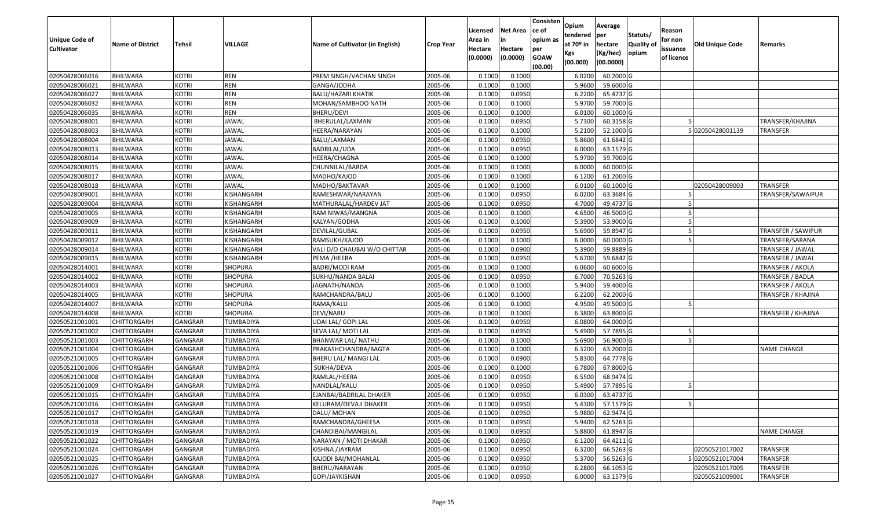| Unique Code of<br>Cultivator | <b>Name of District</b> | Tehsil         | VILLAGE          | Name of Cultivator (in English) | <b>Crop Year</b> | Licensed<br>Area in<br>Hectare<br>(0.0000) | Net Area<br>Hectare<br>(0.0000) | Consisten<br>ce of<br>opium as<br>per<br><b>GOAW</b><br>(00.00) | Opium<br>tendered<br>at 70º in<br>Kgs<br>(00.000) | Average<br>per<br>hectare<br>(Kg/hec)<br>(00.0000) | Statuts/<br>Quality of<br>opium | Reason<br>for non<br>issuance<br>of licence | <b>Old Unique Code</b> | Remarks                   |
|------------------------------|-------------------------|----------------|------------------|---------------------------------|------------------|--------------------------------------------|---------------------------------|-----------------------------------------------------------------|---------------------------------------------------|----------------------------------------------------|---------------------------------|---------------------------------------------|------------------------|---------------------------|
| 02050428006016               | <b>BHILWARA</b>         | <b>KOTRI</b>   | <b>REN</b>       | PREM SINGH/VACHAN SINGH         | 2005-06          | 0.1000                                     | 0.1000                          |                                                                 | 6.020                                             | 60.2000 G                                          |                                 |                                             |                        |                           |
| 02050428006021               | <b>BHILWARA</b>         | <b>KOTRI</b>   | <b>REN</b>       | GANGA/JODHA                     | 2005-06          | 0.1000                                     | 0.1000                          |                                                                 | 5.9600                                            | 59.6000 G                                          |                                 |                                             |                        |                           |
| 02050428006027               | BHILWARA                | <b>KOTRI</b>   | <b>REN</b>       | BALU/HAZARI KHATIK              | 2005-06          | 0.1000                                     | 0.0950                          |                                                                 | 6.2200                                            | 65.4737 G                                          |                                 |                                             |                        |                           |
| 02050428006032               | <b>BHILWARA</b>         | <b>KOTRI</b>   | <b>REN</b>       | MOHAN/SAMBHOO NATH              | 2005-06          | 0.1000                                     | 0.1000                          |                                                                 | 5.9700                                            | 59.7000 G                                          |                                 |                                             |                        |                           |
| 02050428006035               | <b>BHILWARA</b>         | <b>KOTRI</b>   | REN              | BHERU/DEVI                      | 2005-06          | 0.1000                                     | 0.1000                          |                                                                 | 6.010                                             | 60.1000 G                                          |                                 |                                             |                        |                           |
| 02050428008001               | <b>BHILWARA</b>         | <b>KOTRI</b>   | <b>JAWAL</b>     | BHERULAL/LAXMAN                 | 2005-06          | 0.1000                                     | 0.0950                          |                                                                 | 5.7300                                            | 60.3158 G                                          |                                 |                                             |                        | TRANSFER/KHAJINA          |
| 02050428008003               | BHILWARA                | <b>KOTRI</b>   | <b>JAWAL</b>     | HEERA/NARAYAN                   | 2005-06          | 0.1000                                     | 0.1000                          |                                                                 | 5.210                                             | 52.1000 G                                          |                                 |                                             | 502050428001139        | TRANSFER                  |
| 02050428008004               | BHILWARA                | <b>KOTRI</b>   | <b>JAWAL</b>     | BALU/LAXMAN                     | 2005-06          | 0.1000                                     | 0.0950                          |                                                                 | 5.8600                                            | 61.6842 G                                          |                                 |                                             |                        |                           |
| 02050428008013               | BHILWARA                | <b>KOTRI</b>   | <b>JAWAL</b>     | BADRILAL/UDA                    | 2005-06          | 0.1000                                     | 0.0950                          |                                                                 | 6.000                                             | 63.1579 G                                          |                                 |                                             |                        |                           |
| 02050428008014               | <b>BHILWARA</b>         | <b>KOTRI</b>   | <b>JAWAL</b>     | HEERA/CHAGNA                    | 2005-06          | 0.1000                                     | 0.1000                          |                                                                 | 5.9700                                            | 59.7000 G                                          |                                 |                                             |                        |                           |
| 02050428008015               | BHILWARA                | <b>KOTRI</b>   | <b>JAWAL</b>     | CHUNNILAL/BARDA                 | 2005-06          | 0.1000                                     | 0.1000                          |                                                                 | 6.0000                                            | 60.0000 G                                          |                                 |                                             |                        |                           |
| 02050428008017               | <b>BHILWARA</b>         | <b>KOTRI</b>   | <b>JAWAL</b>     | MADHO/KAJOD                     | 2005-06          | 0.1000                                     | 0.1000                          |                                                                 | 6.1200                                            | 61.2000 G                                          |                                 |                                             |                        |                           |
| 02050428008018               | <b>BHILWARA</b>         | <b>KOTRI</b>   | <b>JAWAL</b>     | MADHO/BAKTAVAR                  | 2005-06          | 0.1000                                     | 0.1000                          |                                                                 | 6.010                                             | 60.1000 G                                          |                                 |                                             | 02050428009003         | <b>TRANSFER</b>           |
| 02050428009001               | <b>BHILWARA</b>         | <b>KOTRI</b>   | KISHANGARH       | RAMESHWAR/NARAYAN               | 2005-06          | 0.1000                                     | 0.0950                          |                                                                 | 6.0200                                            | 63.3684 G                                          |                                 |                                             |                        | TRANSFER/SAWAIPUR         |
| 02050428009004               | BHILWARA                | <b>KOTRI</b>   | KISHANGARH       | MATHURALAL/HARDEV JAT           | 2005-06          | 0.1000                                     | 0.0950                          |                                                                 | 4.7000                                            | 49.4737 G                                          |                                 |                                             |                        |                           |
| 02050428009005               | <b>BHILWARA</b>         | <b>KOTRI</b>   | KISHANGARH       | RAM NIWAS/MANGNA                | 2005-06          | 0.1000                                     | 0.1000                          |                                                                 | 4.6500                                            | 46.5000 G                                          |                                 |                                             |                        |                           |
| 02050428009009               | <b>BHILWARA</b>         | <b>KOTRI</b>   | KISHANGARH       | KALYAN/GODHA                    | 2005-06          | 0.1000                                     | 0.1000                          |                                                                 | 5.3900                                            | 53.9000 G                                          |                                 |                                             |                        |                           |
| 02050428009011               | <b>BHILWARA</b>         | <b>KOTRI</b>   | KISHANGARH       | DEVILAL/GUBAL                   | 2005-06          | 0.1000                                     | 0.0950                          |                                                                 | 5.6900                                            | 59.8947 G                                          |                                 |                                             |                        | <b>TRANSFER / SAWIPUR</b> |
| 02050428009012               | <b>BHILWARA</b>         | <b>KOTRI</b>   | KISHANGARH       | RAMSUKH/KAJOD                   | 2005-06          | 0.1000                                     | 0.1000                          |                                                                 | 6.0000                                            | 60.0000 G                                          |                                 |                                             |                        | TRANSFER/SARANA           |
| 02050428009014               | <b>BHILWARA</b>         | <b>KOTRI</b>   | KISHANGARH       | VALI D/O CHAUBAI W/O CHITTAR    | 2005-06          | 0.1000                                     | 0.0900                          |                                                                 | 5.3900                                            | 59.8889 G                                          |                                 |                                             |                        | TRANSFER / JAWAL          |
| 02050428009015               | <b>BHILWARA</b>         | <b>KOTRI</b>   | KISHANGARH       | PEMA /HEERA                     | 2005-06          | 0.1000                                     | 0.0950                          |                                                                 | 5.6700                                            | 59.6842 G                                          |                                 |                                             |                        | TRANSFER / JAWAL          |
| 02050428014001               | <b>BHILWARA</b>         | <b>KOTRI</b>   | SHOPURA          | <b>BADRI/MODI RAM</b>           | 2005-06          | 0.1000                                     | 0.1000                          |                                                                 | 6.0600                                            | 60.6000 G                                          |                                 |                                             |                        | TRANSFER / AKOLA          |
| 02050428014002               | <b>BHILWARA</b>         | <b>KOTRI</b>   | <b>SHOPURA</b>   | SUKHU/NANDA BALAI               | 2005-06          | 0.1000                                     | 0.0950                          |                                                                 | 6.7000                                            | 70.5263 G                                          |                                 |                                             |                        | TRANSFER / BADLA          |
| 02050428014003               | <b>BHILWARA</b>         | <b>KOTRI</b>   | SHOPURA          | JAGNATH/NANDA                   | 2005-06          | 0.1000                                     | 0.1000                          |                                                                 | 5.9400                                            | 59.4000 G                                          |                                 |                                             |                        | TRANSFER / AKOLA          |
| 02050428014005               | <b>BHILWARA</b>         | <b>KOTRI</b>   | <b>SHOPURA</b>   | RAMCHANDRA/BALU                 | 2005-06          | 0.1000                                     | 0.1000                          |                                                                 | 6.2200                                            | 62.2000 G                                          |                                 |                                             |                        | TRANSFER / KHAJINA        |
| 02050428014007               | <b>BHILWARA</b>         | <b>KOTRI</b>   | SHOPURA          | RAMA/KALU                       | 2005-06          | 0.1000                                     | 0.1000                          |                                                                 | 4.9500                                            | 49.5000 G                                          |                                 |                                             |                        |                           |
| 02050428014008               | <b>BHILWARA</b>         | <b>KOTRI</b>   | <b>SHOPURA</b>   | DEVI/NARU                       | 2005-06          | 0.1000                                     | 0.1000                          |                                                                 | 6.3800                                            | 63.8000 G                                          |                                 |                                             |                        | TRANSFER / KHAJINA        |
| 02050521001001               | CHITTORGARH             | GANGRAR        | TUMBADIYA        | UDAI LAL/ GOPI LAL              | 2005-06          | 0.1000                                     | 0.0950                          |                                                                 | 6.0800                                            | 64.0000 G                                          |                                 |                                             |                        |                           |
| 02050521001002               | CHITTORGARH             | GANGRAR        | TUMBADIYA        | SEVA LAL/ MOTI LAL              | 2005-06          | 0.1000                                     | 0.0950                          |                                                                 | 5.4900                                            | 57.7895 G                                          |                                 |                                             |                        |                           |
| 02050521001003               | CHITTORGARH             | GANGRAR        | TUMBADIYA        | <b>BHANWAR LAL/ NATHU</b>       | 2005-06          | 0.1000                                     | 0.1000                          |                                                                 | 5.6900                                            | 56.9000 G                                          |                                 |                                             |                        |                           |
| 02050521001004               | CHITTORGARH             | GANGRAR        | <b>TUMBADIYA</b> | PRAKASHCHANDRA/BAGTA            | 2005-06          | 0.1000                                     | 0.1000                          |                                                                 | 6.3200                                            | 63.2000 G                                          |                                 |                                             |                        | <b>NAME CHANGE</b>        |
| 02050521001005               | CHITTORGARH             | GANGRAR        | TUMBADIYA        | BHERU LAL/ MANGI LAL            | 2005-06          | 0.1000                                     | 0.0900                          |                                                                 | 5.8300                                            | 64.7778 G                                          |                                 |                                             |                        |                           |
| 02050521001006               | CHITTORGARH             | GANGRAR        | TUMBADIYA        | SUKHA/DEVA                      | 2005-06          | 0.1000                                     | 0.1000                          |                                                                 | 6.7800                                            | 67.8000 G                                          |                                 |                                             |                        |                           |
| 02050521001008               | CHITTORGARH             | GANGRAR        | TUMBADIYA        | RAMLAL/HEERA                    | 2005-06          | 0.1000                                     | 0.0950                          |                                                                 | 6.5500                                            | 68.9474 G                                          |                                 |                                             |                        |                           |
| 02050521001009               | CHITTORGARH             | <b>GANGRAR</b> | TUMBADIYA        | NANDLAL/KALU                    | 2005-06          | 0.1000                                     | 0.0950                          |                                                                 | 5.4900                                            | 57.7895 G                                          |                                 |                                             |                        |                           |
| 02050521001015               | CHITTORGARH             | GANGRAR        | TUMBADIYA        | EJANBAI/BADRILAL DHAKER         | 2005-06          | 0.1000                                     | 0.0950                          |                                                                 | 6.0300                                            | 63.4737 G                                          |                                 |                                             |                        |                           |
| 02050521001016               | <b>CHITTORGARH</b>      | GANGRAR        | TUMBADIYA        | KELURAM/DEVAJI DHAKER           | 2005-06          | 0.1000                                     | 0.0950                          |                                                                 |                                                   | 5.4300 57.1579 G                                   |                                 |                                             |                        |                           |
| 02050521001017               | <b>CHITTORGARH</b>      | <b>GANGRAR</b> | TUMBADIYA        | DALU/ MOHAN                     | 2005-06          | 0.1000                                     | 0.0950                          |                                                                 | 5.9800                                            | 62.9474 G                                          |                                 |                                             |                        |                           |
| 02050521001018               | <b>CHITTORGARH</b>      | GANGRAR        | TUMBADIYA        | RAMCHANDRA/GHEESA               | 2005-06          | 0.1000                                     | 0.0950                          |                                                                 | 5.9400                                            | 62.5263 G                                          |                                 |                                             |                        |                           |
| 02050521001019               | <b>CHITTORGARH</b>      | <b>GANGRAR</b> | TUMBADIYA        | CHANDIBAI/MANGILAL              | 2005-06          | 0.1000                                     | 0.0950                          |                                                                 | 5.8800                                            | 61.8947 G                                          |                                 |                                             |                        | <b>NAME CHANGE</b>        |
| 02050521001022               | <b>CHITTORGARH</b>      | GANGRAR        | TUMBADIYA        | NARAYAN / MOTI DHAKAR           | 2005-06          | 0.1000                                     | 0.0950                          |                                                                 | 6.1200                                            | 64.4211 G                                          |                                 |                                             |                        |                           |
| 02050521001024               | <b>CHITTORGARH</b>      | <b>GANGRAR</b> | TUMBADIYA        | KISHNA /JAYRAM                  | 2005-06          | 0.1000                                     | 0.0950                          |                                                                 | 6.3200                                            | 66.5263                                            |                                 |                                             | 02050521017002         | <b>TRANSFER</b>           |
| 02050521001025               | <b>CHITTORGARH</b>      | GANGRAR        | TUMBADIYA        | KAJODI BAI/MOHANLAL             | 2005-06          | 0.1000                                     | 0.0950                          |                                                                 | 5.3700                                            | 56.5263 G                                          |                                 |                                             | 02050521017004         | <b>TRANSFER</b>           |
| 02050521001026               | <b>CHITTORGARH</b>      | <b>GANGRAR</b> | TUMBADIYA        | BHERU/NARAYAN                   | 2005-06          | 0.1000                                     | 0.0950                          |                                                                 | 6.2800                                            | 66.1053 G                                          |                                 |                                             | 02050521017005         | <b>TRANSFER</b>           |
| 02050521001027               | <b>CHITTORGARH</b>      | <b>GANGRAR</b> | TUMBADIYA        | GOPI/JAYKISHAN                  | 2005-06          | 0.1000                                     | 0.0950                          |                                                                 | 6.0000                                            | 63.1579 G                                          |                                 |                                             | 02050521009001         | <b>TRANSFER</b>           |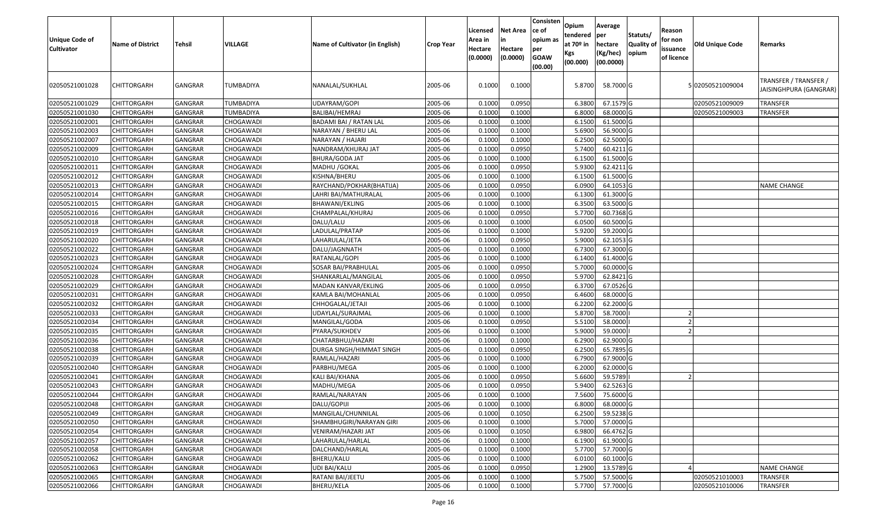| <b>Unique Code of</b><br><b>Cultivator</b> | <b>Name of District</b> | Tehsil         | VILLAGE          | <b>Name of Cultivator (in English)</b> | <b>Crop Year</b> | Licensed<br>Area in<br>Hectare<br>(0.0000) | <b>Net Area</b><br>in<br>Hectare<br>(0.0000) | Consisten<br>ce of<br>opium as<br>per<br><b>GOAW</b><br>(00.00) | Opium<br>tendered<br>at $70°$ in<br>Kgs<br>(00.000) | Average<br> per<br>hectare<br>(Kg/hec)<br>(00.0000) | Statuts/<br>Quality of<br>opium | Reason<br>for non<br>issuance<br>of licence | Old Unique Code  | Remarks                                         |
|--------------------------------------------|-------------------------|----------------|------------------|----------------------------------------|------------------|--------------------------------------------|----------------------------------------------|-----------------------------------------------------------------|-----------------------------------------------------|-----------------------------------------------------|---------------------------------|---------------------------------------------|------------------|-------------------------------------------------|
| 02050521001028                             | <b>CHITTORGARH</b>      | GANGRAR        | TUMBADIYA        | NANALAL/SUKHLAL                        | 2005-06          | 0.1000                                     | 0.1000                                       |                                                                 | 5.8700                                              | 58.7000 G                                           |                                 |                                             | 5 02050521009004 | TRANSFER / TRANSFER /<br>JAISINGHPURA (GANGRAR) |
| 02050521001029                             | <b>CHITTORGARH</b>      | GANGRAR        | TUMBADIYA        | UDAYRAM/GOPI                           | 2005-06          | 0.1000                                     | 0.0950                                       |                                                                 | 6.3800                                              | 67.1579 G                                           |                                 |                                             | 02050521009009   | TRANSFER                                        |
| 02050521001030                             | <b>CHITTORGARH</b>      | GANGRAR        | <b>TUMBADIYA</b> | BALIBAI/HEMRAJ                         | 2005-06          | 0.1000                                     | 0.1000                                       |                                                                 | 6.8000                                              | 68.0000 G                                           |                                 |                                             | 02050521009003   | TRANSFER                                        |
| 02050521002001                             | <b>CHITTORGARH</b>      | GANGRAR        | CHOGAWADI        | BADAMI BAI / RATAN LAL                 | 2005-06          | 0.1000                                     | 0.1000                                       |                                                                 | 6.1500                                              | 61.5000 G                                           |                                 |                                             |                  |                                                 |
| 02050521002003                             | <b>CHITTORGARH</b>      | <b>GANGRAR</b> | CHOGAWADI        | NARAYAN / BHERU LAL                    | 2005-06          | 0.1000                                     | 0.1000                                       |                                                                 | 5.6900                                              | 56.9000 G                                           |                                 |                                             |                  |                                                 |
| 02050521002007                             | <b>CHITTORGARH</b>      | GANGRAR        | CHOGAWADI        | NARAYAN / HAJARI                       | 2005-06          | 0.1000                                     | 0.1000                                       |                                                                 | 6.2500                                              | 62.5000 G                                           |                                 |                                             |                  |                                                 |
| 02050521002009                             | <b>CHITTORGARH</b>      | GANGRAR        | CHOGAWADI        | NANDRAM/KHURAJ JAT                     | 2005-06          | 0.1000                                     | 0.0950                                       |                                                                 | 5.7400                                              | 60.4211 G                                           |                                 |                                             |                  |                                                 |
| 02050521002010                             | <b>CHITTORGARH</b>      | GANGRAR        | CHOGAWADI        | <b>BHURA/GODA JAT</b>                  | 2005-06          | 0.1000                                     | 0.1000                                       |                                                                 | 6.1500                                              | 61.5000 G                                           |                                 |                                             |                  |                                                 |
| 02050521002011                             | CHITTORGARH             | GANGRAR        | CHOGAWADI        | MADHU / GOKAL                          | 2005-06          | 0.1000                                     | 0.0950                                       |                                                                 | 5.9300                                              | 62.4211 G                                           |                                 |                                             |                  |                                                 |
| 02050521002012                             | <b>CHITTORGARH</b>      | <b>GANGRAR</b> | CHOGAWADI        | KISHNA/BHERU                           | 2005-06          | 0.1000                                     | 0.1000                                       |                                                                 | 6.1500                                              | 61.5000 G                                           |                                 |                                             |                  |                                                 |
| 02050521002013                             | <b>CHITTORGARH</b>      | GANGRAR        | CHOGAWADI        | RAYCHAND/POKHAR(BHATIJA)               | 2005-06          | 0.1000                                     | 0.0950                                       |                                                                 | 6.0900                                              | 64.1053 G                                           |                                 |                                             |                  | <b>NAME CHANGE</b>                              |
| 02050521002014                             | <b>CHITTORGARH</b>      | GANGRAR        | CHOGAWADI        | LAHRI BAI/MATHURALAL                   | 2005-06          | 0.1000                                     | 0.1000                                       |                                                                 | 6.1300                                              | 61.3000 G                                           |                                 |                                             |                  |                                                 |
| 02050521002015                             | <b>CHITTORGARH</b>      | GANGRAR        | CHOGAWADI        | BHAWANI/EKLING                         | 2005-06          | 0.1000                                     | 0.1000                                       |                                                                 | 6.3500                                              | 63.5000 G                                           |                                 |                                             |                  |                                                 |
| 02050521002016                             | <b>CHITTORGARH</b>      | <b>GANGRAR</b> | CHOGAWADI        | CHAMPALAL/KHURAJ                       | 2005-06          | 0.1000                                     | 0.0950                                       |                                                                 | 5.7700                                              | 60.7368 G                                           |                                 |                                             |                  |                                                 |
| 02050521002018                             | <b>CHITTORGARH</b>      | <b>GANGRAR</b> | CHOGAWADI        | DALU/LALU                              | 2005-06          | 0.1000                                     | 0.1000                                       |                                                                 | 6.0500                                              | 60.5000 G                                           |                                 |                                             |                  |                                                 |
| 02050521002019                             | <b>CHITTORGARH</b>      | GANGRAR        | CHOGAWADI        | LADULAL/PRATAP                         | 2005-06          | 0.1000                                     | 0.1000                                       |                                                                 | 5.9200                                              | 59.2000 G                                           |                                 |                                             |                  |                                                 |
| 02050521002020                             | <b>CHITTORGARH</b>      | GANGRAR        | CHOGAWADI        | LAHARULAL/JETA                         | 2005-06          | 0.1000                                     | 0.0950                                       |                                                                 | 5.9000                                              | 62.1053 G                                           |                                 |                                             |                  |                                                 |
| 02050521002022                             | <b>CHITTORGARH</b>      | GANGRAR        | CHOGAWADI        | DALU/JAGNNATH                          | 2005-06          | 0.1000                                     | 0.1000                                       |                                                                 | 6.7300                                              | 67.3000 G                                           |                                 |                                             |                  |                                                 |
| 02050521002023                             | <b>CHITTORGARH</b>      | <b>GANGRAR</b> | CHOGAWADI        | RATANLAL/GOPI                          | 2005-06          | 0.1000                                     | 0.1000                                       |                                                                 | 6.1400                                              | 61.4000 G                                           |                                 |                                             |                  |                                                 |
| 02050521002024                             | <b>CHITTORGARH</b>      | GANGRAR        | CHOGAWADI        | SOSAR BAI/PRABHULAL                    | 2005-06          | 0.1000                                     | 0.0950                                       |                                                                 | 5.7000                                              | 60.0000 G                                           |                                 |                                             |                  |                                                 |
| 02050521002028                             | <b>CHITTORGARH</b>      | GANGRAR        | CHOGAWADI        | SHANKARLAL/MANGILAL                    | 2005-06          | 0.1000                                     | 0.0950                                       |                                                                 | 5.9700                                              | 62.8421 G                                           |                                 |                                             |                  |                                                 |
| 02050521002029                             | <b>CHITTORGARH</b>      | GANGRAR        | CHOGAWADI        | MADAN KANVAR/EKLING                    | 2005-06          | 0.1000                                     | 0.0950                                       |                                                                 | 6.3700                                              | 67.0526 G                                           |                                 |                                             |                  |                                                 |
| 02050521002031                             | <b>CHITTORGARH</b>      | GANGRAR        | CHOGAWADI        | KAMLA BAI/MOHANLAL                     | 2005-06          | 0.1000                                     | 0.0950                                       |                                                                 | 6.4600                                              | 68.0000 G                                           |                                 |                                             |                  |                                                 |
| 02050521002032                             | <b>CHITTORGARH</b>      | GANGRAR        | CHOGAWADI        | CHHOGALAL/JETAJI                       | 2005-06          | 0.1000                                     | 0.1000                                       |                                                                 | 6.2200                                              | 62.2000 G                                           |                                 |                                             |                  |                                                 |
| 02050521002033                             | <b>CHITTORGARH</b>      | GANGRAR        | CHOGAWADI        | UDAYLAL/SURAJMAL                       | 2005-06          | 0.1000                                     | 0.1000                                       |                                                                 | 5.8700                                              | 58.7000                                             |                                 |                                             |                  |                                                 |
| 02050521002034                             | <b>CHITTORGARH</b>      | GANGRAR        | CHOGAWADI        | MANGILAL/GODA                          | 2005-06          | 0.1000                                     | 0.0950                                       |                                                                 | 5.5100                                              | 58.0000                                             |                                 |                                             |                  |                                                 |
| 02050521002035                             | <b>CHITTORGARH</b>      | <b>GANGRAR</b> | CHOGAWADI        | PYARA/SUKHDEV                          | 2005-06          | 0.1000                                     | 0.1000                                       |                                                                 | 5.9000                                              | 59.0000                                             |                                 |                                             |                  |                                                 |
| 02050521002036                             | <b>CHITTORGARH</b>      | GANGRAR        | CHOGAWADI        | CHATARBHUJ/HAZARI                      | 2005-06          | 0.1000                                     | 0.1000                                       |                                                                 | 6.2900                                              | 62.9000 G                                           |                                 |                                             |                  |                                                 |
| 02050521002038                             | <b>CHITTORGARH</b>      | GANGRAR        | CHOGAWADI        | DURGA SINGH/HIMMAT SINGH               | 2005-06          | 0.1000                                     | 0.0950                                       |                                                                 | 6.2500                                              | 65.7895 G                                           |                                 |                                             |                  |                                                 |
| 02050521002039                             | <b>CHITTORGARH</b>      | GANGRAR        | CHOGAWADI        | RAMLAL/HAZARI                          | 2005-06          | 0.1000                                     | 0.1000                                       |                                                                 | 6.7900                                              | 67.9000 G                                           |                                 |                                             |                  |                                                 |
| 02050521002040                             | <b>CHITTORGARH</b>      | GANGRAR        | CHOGAWADI        | PARBHU/MEGA                            | 2005-06          | 0.1000                                     | 0.1000                                       |                                                                 | 6.2000                                              | 62.0000 G                                           |                                 |                                             |                  |                                                 |
| 02050521002041                             | <b>CHITTORGARH</b>      | GANGRAR        | CHOGAWADI        | KALI BAI/KHANA                         | 2005-06          | 0.1000                                     | 0.0950                                       |                                                                 | 5.6600                                              | 59.5789                                             |                                 |                                             |                  |                                                 |
| 02050521002043                             | CHITTORGARH             | GANGRAR        | CHOGAWADI        | MADHU/MEGA                             | 2005-06          | 0.1000                                     | 0.0950                                       |                                                                 | 5.9400                                              | 62.5263 G                                           |                                 |                                             |                  |                                                 |
| 02050521002044                             | <b>CHITTORGARH</b>      | GANGRAR        | CHOGAWADI        | RAMLAL/NARAYAN                         | 2005-06          | 0.1000                                     | 0.1000                                       |                                                                 | 7.5600                                              | 75.6000 G                                           |                                 |                                             |                  |                                                 |
| 02050521002048                             | <b>CHITTORGARH</b>      | GANGRAR        | CHOGAWADI        | DALU/GOPIJI                            | 2005-06          | 0.1000                                     | 0.1000                                       |                                                                 | 6.8000                                              | 68.0000 G                                           |                                 |                                             |                  |                                                 |
| 02050521002049                             | <b>CHITTORGARH</b>      | GANGRAR        | CHOGAWADI        | MANGILAL/CHUNNILAL                     | 2005-06          | 0.1000                                     | 0.1050                                       |                                                                 | 6.2500                                              | 59.5238 G                                           |                                 |                                             |                  |                                                 |
| 02050521002050                             | <b>CHITTORGARH</b>      | GANGRAR        | CHOGAWADI        | SHAMBHUGIRI/NARAYAN GIRI               | 2005-06          | 0.1000                                     | 0.1000                                       |                                                                 | 5.7000                                              | 57.0000 G                                           |                                 |                                             |                  |                                                 |
| 02050521002054                             | <b>CHITTORGARH</b>      | <b>GANGRAR</b> | CHOGAWADI        | VENIRAM/HAZARI JAT                     | 2005-06          | 0.1000                                     | 0.1050                                       |                                                                 | 6.9800                                              | 66.4762 G                                           |                                 |                                             |                  |                                                 |
| 02050521002057                             | <b>CHITTORGARH</b>      | GANGRAR        | CHOGAWADI        | LAHARULAL/HARLAL                       | 2005-06          | 0.1000                                     | 0.1000                                       |                                                                 | 6.1900                                              | 61.9000 G                                           |                                 |                                             |                  |                                                 |
| 02050521002058                             | <b>CHITTORGARH</b>      | GANGRAR        | CHOGAWADI        | DALCHAND/HARLAL                        | 2005-06          | 0.1000                                     | 0.1000                                       |                                                                 | 5.7700                                              | 57.7000 G                                           |                                 |                                             |                  |                                                 |
| 02050521002062                             | <b>CHITTORGARH</b>      | GANGRAR        | CHOGAWADI        | BHERU/KALU                             | 2005-06          | 0.1000                                     | 0.1000                                       |                                                                 | 6.0100                                              | 60.1000 G                                           |                                 |                                             |                  |                                                 |
| 02050521002063                             | <b>CHITTORGARH</b>      | GANGRAR        | CHOGAWADI        | UDI BAI/KALU                           | 2005-06          | 0.1000                                     | 0.0950                                       |                                                                 | 1.2900                                              | 13.5789 G                                           |                                 |                                             |                  | <b>NAME CHANGE</b>                              |
| 02050521002065                             | <b>CHITTORGARH</b>      | GANGRAR        | CHOGAWADI        | RATANI BAI/JEETU                       | 2005-06          | 0.1000                                     | 0.1000                                       |                                                                 | 5.7500                                              | 57.5000 G                                           |                                 |                                             | 02050521010003   | <b>TRANSFER</b>                                 |
| 02050521002066                             | <b>CHITTORGARH</b>      | GANGRAR        | CHOGAWADI        | BHERU/KELA                             | 2005-06          | 0.1000                                     | 0.1000                                       |                                                                 | 5.7700                                              | 57.7000 G                                           |                                 |                                             | 02050521010006   | <b>TRANSFER</b>                                 |
|                                            |                         |                |                  |                                        |                  |                                            |                                              |                                                                 |                                                     |                                                     |                                 |                                             |                  |                                                 |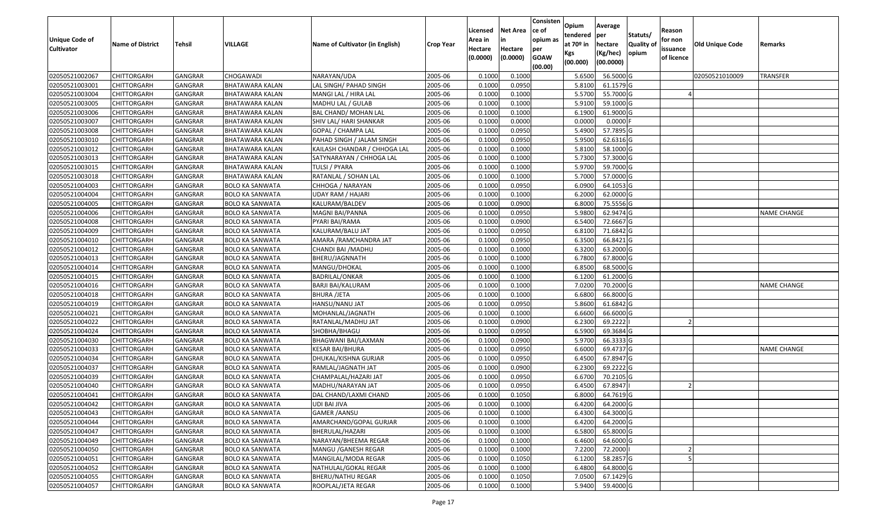| <b>Unique Code of</b><br><b>Cultivator</b> | <b>Name of District</b> | <b>Tehsil</b>  | <b>VILLAGE</b>         | Name of Cultivator (in English) | <b>Crop Year</b> | Licensed<br>Area in<br>Hectare<br>(0.0000) | <b>Net Area</b><br>in<br>Hectare<br>(0.0000) | Consisten<br>ce of<br>opium as<br>per<br><b>GOAW</b><br>(00.00) | Opium<br>tendered<br>at $70°$ in<br>Kgs<br>(00.000) | Average<br>per<br>hectare<br>(Kg/hec)<br>(00.0000) | Statuts/<br>Quality of<br>opium | Reason<br>for non<br>issuance<br>of licence | Old Unique Code | Remarks            |
|--------------------------------------------|-------------------------|----------------|------------------------|---------------------------------|------------------|--------------------------------------------|----------------------------------------------|-----------------------------------------------------------------|-----------------------------------------------------|----------------------------------------------------|---------------------------------|---------------------------------------------|-----------------|--------------------|
| 02050521002067                             | <b>CHITTORGARH</b>      | GANGRAR        | <b>CHOGAWADI</b>       | NARAYAN/UDA                     | 2005-06          | 0.1000                                     | 0.1000                                       |                                                                 | 5.6500                                              | 56.5000 G                                          |                                 |                                             | 02050521010009  | <b>TRANSFER</b>    |
| 02050521003001                             | CHITTORGARH             | GANGRAR        | <b>BHATAWARA KALAN</b> | LAL SINGH/ PAHAD SINGH          | 2005-06          | 0.1000                                     | 0.0950                                       |                                                                 | 5.8100                                              | 61.1579 G                                          |                                 |                                             |                 |                    |
| 02050521003004                             | <b>CHITTORGARH</b>      | GANGRAR        | BHATAWARA KALAN        | MANGI LAL / HIRA LAL            | 2005-06          | 0.1000                                     | 0.1000                                       |                                                                 | 5.5700                                              | 55.7000 G                                          |                                 |                                             |                 |                    |
| 02050521003005                             | <b>CHITTORGARH</b>      | <b>GANGRAR</b> | <b>BHATAWARA KALAN</b> | MADHU LAL / GULAB               | 2005-06          | 0.1000                                     | 0.1000                                       |                                                                 | 5.9100                                              | 59.1000 G                                          |                                 |                                             |                 |                    |
| 02050521003006                             | <b>CHITTORGARH</b>      | GANGRAR        | <b>BHATAWARA KALAN</b> | <b>BAL CHAND/ MOHAN LAL</b>     | 2005-06          | 0.1000                                     | 0.1000                                       |                                                                 | 6.1900                                              | 61.9000 G                                          |                                 |                                             |                 |                    |
| 02050521003007                             | CHITTORGARH             | <b>GANGRAR</b> | <b>BHATAWARA KALAN</b> | SHIV LAL/ HARI SHANKAR          | 2005-06          | 0.1000                                     | 0.0000                                       |                                                                 | 0.0000                                              | $0.0000$ F                                         |                                 |                                             |                 |                    |
| 02050521003008                             | CHITTORGARH             | GANGRAR        | BHATAWARA KALAN        | GOPAL / CHAMPA LAL              | 2005-06          | 0.1000                                     | 0.0950                                       |                                                                 | 5.4900                                              | 57.7895 G                                          |                                 |                                             |                 |                    |
| 02050521003010                             | <b>CHITTORGARH</b>      | <b>GANGRAR</b> | <b>BHATAWARA KALAN</b> | PAHAD SINGH / JALAM SINGH       | 2005-06          | 0.1000                                     | 0.0950                                       |                                                                 | 5.9500                                              | 62.6316 G                                          |                                 |                                             |                 |                    |
| 02050521003012                             | <b>CHITTORGARH</b>      | <b>GANGRAR</b> | <b>BHATAWARA KALAN</b> | KAILASH CHANDAR / CHHOGA LAL    | 2005-06          | 0.1000                                     | 0.1000                                       |                                                                 | 5.8100                                              | 58.1000 G                                          |                                 |                                             |                 |                    |
| 02050521003013                             | CHITTORGARH             | <b>GANGRAR</b> | BHATAWARA KALAN        | SATYNARAYAN / CHHOGA LAL        | 2005-06          | 0.1000                                     | 0.1000                                       |                                                                 | 5.7300                                              | 57.3000 G                                          |                                 |                                             |                 |                    |
| 02050521003015                             | <b>CHITTORGARH</b>      | GANGRAR        | <b>BHATAWARA KALAN</b> | TULSI / PYARA                   | 2005-06          | 0.1000                                     | 0.1000                                       |                                                                 | 5.9700                                              | 59.7000 G                                          |                                 |                                             |                 |                    |
| 02050521003018                             | <b>CHITTORGARH</b>      | <b>GANGRAR</b> | <b>BHATAWARA KALAN</b> | RATANLAL / SOHAN LAL            | 2005-06          | 0.1000                                     | 0.1000                                       |                                                                 | 5.7000                                              | 57.0000 G                                          |                                 |                                             |                 |                    |
| 02050521004003                             | CHITTORGARH             | <b>GANGRAR</b> | <b>BOLO KA SANWATA</b> | CHHOGA / NARAYAN                | 2005-06          | 0.1000                                     | 0.0950                                       |                                                                 | 6.0900                                              | 64.1053 G                                          |                                 |                                             |                 |                    |
| 02050521004004                             | <b>CHITTORGARH</b>      | GANGRAR        | <b>BOLO KA SANWATA</b> | UDAY RAM / HAJARI               | 2005-06          | 0.1000                                     | 0.1000                                       |                                                                 | 6.2000                                              | 62.0000 G                                          |                                 |                                             |                 |                    |
| 02050521004005                             | <b>CHITTORGARH</b>      | GANGRAR        | <b>BOLO KA SANWATA</b> | KALURAM/BALDEV                  | 2005-06          | 0.1000                                     | 0.0900                                       |                                                                 | 6.8000                                              | 75.5556 G                                          |                                 |                                             |                 |                    |
| 02050521004006                             | <b>CHITTORGARH</b>      | <b>GANGRAR</b> | <b>BOLO KA SANWATA</b> | MAGNI BAI/PANNA                 | 2005-06          | 0.1000                                     | 0.0950                                       |                                                                 | 5.9800                                              | 62.9474 G                                          |                                 |                                             |                 | NAME CHANGE        |
| 02050521004008                             | <b>CHITTORGARH</b>      | GANGRAR        | <b>BOLO KA SANWATA</b> | PYARI BAI/RAMA                  | 2005-06          | 0.1000                                     | 0.0900                                       |                                                                 | 6.5400                                              | 72.6667 G                                          |                                 |                                             |                 |                    |
| 02050521004009                             | <b>CHITTORGARH</b>      | GANGRAR        | <b>BOLO KA SANWATA</b> | KALURAM/BALU JAT                | 2005-06          | 0.1000                                     | 0.0950                                       |                                                                 | 6.8100                                              | 71.6842 G                                          |                                 |                                             |                 |                    |
| 02050521004010                             | <b>CHITTORGARH</b>      | GANGRAR        | <b>BOLO KA SANWATA</b> | AMARA /RAMCHANDRA JAT           | 2005-06          | 0.1000                                     | 0.0950                                       |                                                                 | 6.3500                                              | 66.8421 G                                          |                                 |                                             |                 |                    |
| 02050521004012                             | <b>CHITTORGARH</b>      | GANGRAR        | <b>BOLO KA SANWATA</b> | CHANDI BAI /MADHU               | 2005-06          | 0.1000                                     | 0.1000                                       |                                                                 | 6.3200                                              | 63.2000 G                                          |                                 |                                             |                 |                    |
| 02050521004013                             | <b>CHITTORGARH</b>      | GANGRAR        | <b>BOLO KA SANWATA</b> | BHERU/JAGNNATH                  | 2005-06          | 0.1000                                     | 0.1000                                       |                                                                 | 6.7800                                              | 67.8000 G                                          |                                 |                                             |                 |                    |
| 02050521004014                             | <b>CHITTORGARH</b>      | GANGRAR        | <b>BOLO KA SANWATA</b> | MANGU/DHOKAL                    | 2005-06          | 0.1000                                     | 0.1000                                       |                                                                 | 6.8500                                              | 68.5000 G                                          |                                 |                                             |                 |                    |
| 02050521004015                             | CHITTORGARH             | GANGRAR        | <b>BOLO KA SANWATA</b> | BADRILAL/ONKAR                  | 2005-06          | 0.1000                                     | 0.1000                                       |                                                                 | 6.1200                                              | 61.2000 G                                          |                                 |                                             |                 |                    |
| 02050521004016                             | <b>CHITTORGARH</b>      | GANGRAR        | <b>BOLO KA SANWATA</b> | BARJI BAI/KALURAM               | 2005-06          | 0.1000                                     | 0.1000                                       |                                                                 | 7.0200                                              | 70.2000 G                                          |                                 |                                             |                 | NAME CHANGE        |
| 02050521004018                             | <b>CHITTORGARH</b>      | <b>GANGRAR</b> | <b>BOLO KA SANWATA</b> | <b>BHURA /JETA</b>              | 2005-06          | 0.1000                                     | 0.1000                                       |                                                                 | 6.6800                                              | 66.8000 G                                          |                                 |                                             |                 |                    |
| 02050521004019                             | <b>CHITTORGARH</b>      | GANGRAR        | <b>BOLO KA SANWATA</b> | HANSU/NANU JAT                  | 2005-06          | 0.1000                                     | 0.0950                                       |                                                                 | 5.8600                                              | 61.6842 G                                          |                                 |                                             |                 |                    |
| 02050521004021                             | <b>CHITTORGARH</b>      | GANGRAR        | <b>BOLO KA SANWATA</b> | MOHANLAL/JAGNATH                | 2005-06          | 0.1000                                     | 0.1000                                       |                                                                 | 6.6600                                              | 66.6000 G                                          |                                 |                                             |                 |                    |
| 02050521004022                             | <b>CHITTORGARH</b>      | GANGRAR        | <b>BOLO KA SANWATA</b> | RATANLAL/MADHU JAT              | 2005-06          | 0.1000                                     | 0.0900                                       |                                                                 | 6.2300                                              | 69.22221                                           |                                 |                                             |                 |                    |
| 02050521004024                             | <b>CHITTORGARH</b>      | <b>GANGRAR</b> | <b>BOLO KA SANWATA</b> | SHOBHA/BHAGU                    | 2005-06          | 0.1000                                     | 0.0950                                       |                                                                 | 6.5900                                              | 69.3684 G                                          |                                 |                                             |                 |                    |
| 02050521004030                             | <b>CHITTORGARH</b>      | <b>GANGRAR</b> | <b>BOLO KA SANWATA</b> | BHAGWANI BAI/LAXMAN             | 2005-06          | 0.1000                                     | 0.0900                                       |                                                                 | 5.9700                                              | $\overline{66.3333}$ G                             |                                 |                                             |                 |                    |
| 02050521004033                             | <b>CHITTORGARH</b>      | GANGRAR        | <b>BOLO KA SANWATA</b> | KESAR BAI/BHURA                 | 2005-06          | 0.100                                      | 0.0950                                       |                                                                 | 6.6000                                              | 69.4737 G                                          |                                 |                                             |                 | <b>NAME CHANGE</b> |
| 02050521004034                             | CHITTORGARH             | GANGRAR        | BOLO KA SANWATA        | DHUKAL/KISHNA GURJAR            | 2005-06          | 0.100                                      | 0.0950                                       |                                                                 | 6.4500                                              | 67.8947 G                                          |                                 |                                             |                 |                    |
| 02050521004037                             | <b>CHITTORGARH</b>      | <b>GANGRAR</b> | <b>BOLO KA SANWATA</b> | RAMLAL/JAGNATH JAT              | 2005-06          | 0.1000                                     | 0.0900                                       |                                                                 | 6.2300                                              | 69.2222 G                                          |                                 |                                             |                 |                    |
| 02050521004039                             | <b>CHITTORGARH</b>      | GANGRAR        | <b>BOLO KA SANWATA</b> | CHAMPALAL/HAZARI JAT            | 2005-06          | 0.100                                      | 0.0950                                       |                                                                 | 6.6700                                              | 70.2105 G                                          |                                 |                                             |                 |                    |
| 02050521004040                             | CHITTORGARH             | GANGRAR        | <b>BOLO KA SANWATA</b> | MADHU/NARAYAN JAT               | 2005-06          | 0.1000                                     | 0.0950                                       |                                                                 | 6.4500                                              | 67.8947                                            |                                 |                                             |                 |                    |
| 02050521004041                             | <b>CHITTORGARH</b>      | GANGRAR        | <b>BOLO KA SANWATA</b> | DAL CHAND/LAXMI CHAND           | 2005-06          | 0.1000                                     | 0.1050                                       |                                                                 | 6.8000                                              | 64.7619 G                                          |                                 |                                             |                 |                    |
| 02050521004042                             | <b>CHITTORGARH</b>      | GANGRAR        | <b>BOLO KA SANWATA</b> | UDI BAI JIVA                    | 2005-06          | 0.1000                                     | 0.1000                                       |                                                                 | 6.4200                                              | 64.2000 G                                          |                                 |                                             |                 |                    |
| 02050521004043                             | CHITTORGARH             | <b>GANGRAR</b> | <b>BOLO KA SANWATA</b> | <b>GAMER / AANSU</b>            | 2005-06          | 0.1000                                     | 0.1000                                       |                                                                 | 6.4300                                              | 64.3000 G                                          |                                 |                                             |                 |                    |
| 02050521004044                             | <b>CHITTORGARH</b>      | GANGRAR        | <b>BOLO KA SANWATA</b> | AMARCHAND/GOPAL GURJAR          | 2005-06          | 0.1000                                     | 0.1000                                       |                                                                 | 6.4200                                              | 64.2000 G                                          |                                 |                                             |                 |                    |
| 02050521004047                             | <b>CHITTORGARH</b>      | <b>GANGRAR</b> | <b>BOLO KA SANWATA</b> | BHERULAL/HAZARI                 | 2005-06          | 0.1000                                     | 0.1000                                       |                                                                 | 6.5800                                              | 65.8000 G                                          |                                 |                                             |                 |                    |
| 02050521004049                             | <b>CHITTORGARH</b>      | <b>GANGRAR</b> | <b>BOLO KA SANWATA</b> | NARAYAN/BHEEMA REGAR            | 2005-06          | 0.1000                                     | 0.1000                                       |                                                                 | 6.4600                                              | 64.6000 G                                          |                                 |                                             |                 |                    |
| 02050521004050                             | <b>CHITTORGARH</b>      | <b>GANGRAR</b> | <b>BOLO KA SANWATA</b> | MANGU / GANESH REGAR            | 2005-06          | 0.1000                                     | 0.1000                                       |                                                                 | 7.2200                                              | 72.2000                                            |                                 |                                             |                 |                    |
| 02050521004051                             | <b>CHITTORGARH</b>      | GANGRAR        | <b>BOLO KA SANWATA</b> | MANGILAL/MODA REGAR             | 2005-06          | 0.1000                                     | 0.1050                                       |                                                                 | 6.1200                                              | 58.2857 G                                          |                                 |                                             |                 |                    |
| 02050521004052                             | <b>CHITTORGARH</b>      | GANGRAR        | <b>BOLO KA SANWATA</b> | NATHULAL/GOKAL REGAR            | 2005-06          | 0.1000                                     | 0.1000                                       |                                                                 | 6.4800                                              | 64.8000 G                                          |                                 |                                             |                 |                    |
| 02050521004055                             | <b>CHITTORGARH</b>      | GANGRAR        | <b>BOLO KA SANWATA</b> | <b>BHERU/NATHU REGAR</b>        | 2005-06          | 0.1000                                     | 0.1050                                       |                                                                 | 7.0500                                              | 67.1429 G                                          |                                 |                                             |                 |                    |
| 02050521004057                             | <b>CHITTORGARH</b>      | GANGRAR        | <b>BOLO KA SANWATA</b> | ROOPLAL/JETA REGAR              | 2005-06          | 0.1000                                     | 0.1000                                       |                                                                 | 5.9400                                              | 59.4000 G                                          |                                 |                                             |                 |                    |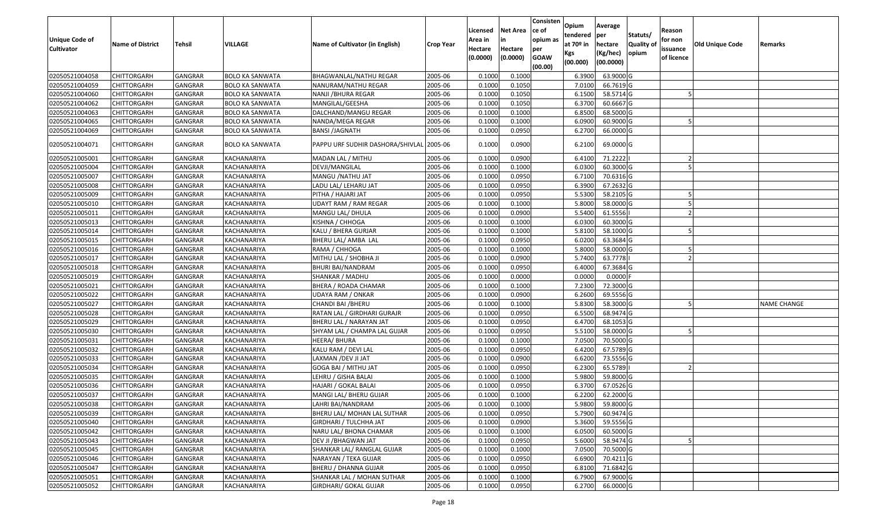| <b>Unique Code of</b><br><b>Cultivator</b> | <b>Name of District</b> | <b>Tehsil</b>  | VILLAGE                | Name of Cultivator (in English)          | <b>Crop Year</b> | Licensed<br>Area in<br>Hectare<br>(0.0000) | <b>Net Area</b><br>in<br>Hectare<br>(0.0000) | Consisten<br>ce of<br>opium as<br>per<br><b>GOAW</b><br>(00.00) | Opium<br>tendered<br>at $70°$ in<br>Kgs<br>(00.000) | Average<br>per<br>hectare<br>(Kg/hec)<br>(00.0000) | Statuts/<br>Quality of<br>opium | Reason<br>for non<br>issuance<br>of licence | <b>Old Unique Code</b> | Remarks            |
|--------------------------------------------|-------------------------|----------------|------------------------|------------------------------------------|------------------|--------------------------------------------|----------------------------------------------|-----------------------------------------------------------------|-----------------------------------------------------|----------------------------------------------------|---------------------------------|---------------------------------------------|------------------------|--------------------|
| 02050521004058                             | <b>CHITTORGARH</b>      | <b>GANGRAR</b> | <b>BOLO KA SANWATA</b> | BHAGWANLAL/NATHU REGAR                   | 2005-06          | 0.1000                                     | 0.1000                                       |                                                                 | 6.3900                                              | 63.9000 G                                          |                                 |                                             |                        |                    |
| 02050521004059                             | CHITTORGARH             | <b>GANGRAR</b> | <b>BOLO KA SANWATA</b> | NANURAM/NATHU REGAR                      | 2005-06          | 0.1000                                     | 0.1050                                       |                                                                 | 7.0100                                              | 66.7619 G                                          |                                 |                                             |                        |                    |
| 02050521004060                             | CHITTORGARH             | GANGRAR        | BOLO KA SANWATA        | NANJI /BHURA REGAR                       | 2005-06          | 0.1000                                     | 0.1050                                       |                                                                 | 6.1500                                              | 58.5714 G                                          |                                 |                                             |                        |                    |
| 02050521004062                             | <b>CHITTORGARH</b>      | <b>GANGRAR</b> | <b>BOLO KA SANWATA</b> | MANGILAL/GEESHA                          | 2005-06          | 0.1000                                     | 0.1050                                       |                                                                 | 6.3700                                              | 60.6667 G                                          |                                 |                                             |                        |                    |
| 02050521004063                             | <b>CHITTORGARH</b>      | <b>GANGRAR</b> | <b>BOLO KA SANWATA</b> | DALCHAND/MANGU REGAR                     | 2005-06          | 0.1000                                     | 0.1000                                       |                                                                 | 6.8500                                              | 68.5000 G                                          |                                 |                                             |                        |                    |
| 02050521004065                             | <b>CHITTORGARH</b>      | <b>GANGRAR</b> | <b>BOLO KA SANWATA</b> | NANDA/MEGA REGAR                         | 2005-06          | 0.100                                      | 0.1000                                       |                                                                 | 6.0900                                              | 60.9000 G                                          |                                 |                                             |                        |                    |
| 02050521004069                             | CHITTORGARH             | GANGRAR        | <b>BOLO KA SANWATA</b> | <b>BANSI /JAGNATH</b>                    | 2005-06          | 0.1000                                     | 0.0950                                       |                                                                 | 6.2700                                              | 66.0000 G                                          |                                 |                                             |                        |                    |
| 02050521004071                             | CHITTORGARH             | <b>GANGRAR</b> | <b>BOLO KA SANWATA</b> | PAPPU URF SUDHIR DASHORA/SHIVLAL 2005-06 |                  | 0.1000                                     | 0.0900                                       |                                                                 | 6.2100                                              | 69.0000 G                                          |                                 |                                             |                        |                    |
| 02050521005001                             | CHITTORGARH             | <b>GANGRAR</b> | KACHANARIYA            | MADAN LAL / MITHU                        | 2005-06          | 0.100                                      | 0.0900                                       |                                                                 | 6.4100                                              | 71.2222                                            |                                 |                                             |                        |                    |
| 02050521005004                             | CHITTORGARH             | GANGRAR        | KACHANARIYA            | DEVJI/MANGILAL                           | 2005-06          | 0.100                                      | 0.1000                                       |                                                                 | 6.0300                                              | 60.3000 G                                          |                                 |                                             |                        |                    |
| 02050521005007                             | CHITTORGARH             | <b>GANGRAR</b> | KACHANARIYA            | MANGU / NATHU JAT                        | 2005-06          | 0.1000                                     | 0.0950                                       |                                                                 | 6.7100                                              | 70.6316 G                                          |                                 |                                             |                        |                    |
| 02050521005008                             | CHITTORGARH             | <b>GANGRAR</b> | KACHANARIYA            | LADU LAL/ LEHARU JAT                     | 2005-06          | 0.1000                                     | 0.0950                                       |                                                                 | 6.3900                                              | 67.2632 G                                          |                                 |                                             |                        |                    |
| 02050521005009                             | CHITTORGARH             | GANGRAR        | KACHANARIYA            | PITHA / HAJARI JAT                       | 2005-06          | 0.1000                                     | 0.0950                                       |                                                                 | 5.5300                                              | 58.2105 G                                          |                                 |                                             |                        |                    |
| 02050521005010                             | CHITTORGARH             | GANGRAR        | KACHANARIYA            | UDAYT RAM / RAM REGAR                    | 2005-06          | 0.100                                      | 0.1000                                       |                                                                 | 5.8000                                              | 58.0000G                                           |                                 |                                             |                        |                    |
| 02050521005011                             | <b>CHITTORGARH</b>      | <b>GANGRAR</b> | KACHANARIYA            | MANGU LAL/ DHULA                         | 2005-06          | 0.1000                                     | 0.0900                                       |                                                                 | 5.5400                                              | 61.5556                                            |                                 |                                             |                        |                    |
| 02050521005013                             | CHITTORGARH             | <b>GANGRAR</b> | KACHANARIYA            | KISHNA / CHHOGA                          | 2005-06          | 0.1000                                     | 0.1000                                       |                                                                 | 6.0300                                              | 60.3000G                                           |                                 |                                             |                        |                    |
| 02050521005014                             | CHITTORGARH             | GANGRAR        | KACHANARIYA            | KALU / BHERA GURJAR                      | 2005-06          | 0.100                                      | 0.1000                                       |                                                                 | 5.8100                                              | 58.1000G                                           |                                 |                                             |                        |                    |
| 02050521005015                             | CHITTORGARH             | <b>GANGRAR</b> | KACHANARIYA            | BHERU LAL/ AMBA LAL                      | 2005-06          | 0.1000                                     | 0.0950                                       |                                                                 | 6.0200                                              | 63.3684 G                                          |                                 |                                             |                        |                    |
| 02050521005016                             | CHITTORGARH             | GANGRAR        | KACHANARIYA            | RAMA / CHHOGA                            | 2005-06          | 0.1000                                     | 0.1000                                       |                                                                 | 5.8000                                              | 58.0000G                                           |                                 |                                             |                        |                    |
| 02050521005017                             | <b>CHITTORGARH</b>      | <b>GANGRAR</b> | KACHANARIYA            | MITHU LAL / SHOBHA JI                    | 2005-06          | 0.1000                                     | 0.0900                                       |                                                                 | 5.7400                                              | 63.7778                                            |                                 |                                             |                        |                    |
| 02050521005018                             | CHITTORGARH             | GANGRAR        | KACHANARIYA            | <b>BHURI BAI/NANDRAM</b>                 | 2005-06          | 0.1000                                     | 0.0950                                       |                                                                 | 6.4000                                              | 67.3684 G                                          |                                 |                                             |                        |                    |
| 02050521005019                             | CHITTORGARH             | <b>GANGRAR</b> | KACHANARIYA            | SHANKAR / MADHU                          | 2005-06          | 0.1000                                     | 0.0000                                       |                                                                 | 0.0000                                              | $0.0000$ F                                         |                                 |                                             |                        |                    |
| 02050521005021                             | CHITTORGARH             | GANGRAR        | KACHANARIYA            | BHERA / ROADA CHAMAR                     | 2005-06          | 0.1000                                     | 0.1000                                       |                                                                 | 7.2300                                              | 72.3000G                                           |                                 |                                             |                        |                    |
| 02050521005022                             | CHITTORGARH             | <b>GANGRAR</b> | KACHANARIYA            | UDAYA RAM / ONKAR                        | 2005-06          | 0.1000                                     | 0.0900                                       |                                                                 | 6.2600                                              | 69.5556 G                                          |                                 |                                             |                        |                    |
| 02050521005027                             | CHITTORGARH             | <b>GANGRAR</b> | KACHANARIYA            | CHANDI BAI / BHERU                       | 2005-06          | 0.1000                                     | 0.1000                                       |                                                                 | 5.8300                                              | 58.3000 G                                          |                                 |                                             |                        | <b>NAME CHANGE</b> |
| 02050521005028                             | CHITTORGARH             | <b>GANGRAR</b> | KACHANARIYA            | RATAN LAL / GIRDHARI GURAJR              | 2005-06          | 0.1000                                     | 0.0950                                       |                                                                 | 6.5500                                              | 68.9474 G                                          |                                 |                                             |                        |                    |
| 02050521005029                             | <b>CHITTORGARH</b>      | GANGRAR        | KACHANARIYA            | BHERU LAL / NARAYAN JAT                  | 2005-06          | 0.1000                                     | 0.0950                                       |                                                                 | 6.4700                                              | 68.1053 G                                          |                                 |                                             |                        |                    |
| 02050521005030                             | <b>CHITTORGARH</b>      | <b>GANGRAR</b> | KACHANARIYA            | SHYAM LAL / CHAMPA LAL GUJAR             | 2005-06          | 0.1000                                     | 0.0950                                       |                                                                 | 5.5100                                              | 58.0000G                                           |                                 |                                             |                        |                    |
| 02050521005031                             | <b>CHITTORGARH</b>      | <b>GANGRAR</b> | KACHANARIYA            | HEERA/ BHURA                             | 2005-06          | 0.1000                                     | 0.1000                                       |                                                                 | 7.0500                                              | 70.5000G                                           |                                 |                                             |                        |                    |
| 02050521005032                             | <b>CHITTORGARH</b>      | GANGRAR        | KACHANARIYA            | KALU RAM / DEVI LAL                      | 2005-06          | 0.1000                                     | 0.0950                                       |                                                                 | 6.4200                                              | 67.5789 G                                          |                                 |                                             |                        |                    |
| 02050521005033                             | CHITTORGARH             | GANGRAR        | KACHANARIYA            | LAXMAN /DEV JI JAT                       | 2005-06          | 0.1000                                     | 0.0900                                       |                                                                 | 6.6200                                              | 73.5556 G                                          |                                 |                                             |                        |                    |
| 02050521005034                             | CHITTORGARH             | <b>GANGRAR</b> | KACHANARIYA            | GOGA BAI / MITHU JAT                     | 2005-06          | 0.1000                                     | 0.0950                                       |                                                                 | 6.2300                                              | 65.5789                                            |                                 |                                             |                        |                    |
| 02050521005035                             | <b>CHITTORGARH</b>      | <b>GANGRAR</b> | KACHANARIYA            | LEHRU / GISHA BALAI                      | 2005-06          | 0.1000                                     | 0.1000                                       |                                                                 | 5.9800                                              | 59.8000 G                                          |                                 |                                             |                        |                    |
| 02050521005036                             | CHITTORGARH             | GANGRAR        | KACHANARIYA            | HAJARI / GOKAL BALAI                     | 2005-06          | 0.1000                                     | 0.0950                                       |                                                                 | 6.3700                                              | 67.0526 G                                          |                                 |                                             |                        |                    |
| 02050521005037                             | CHITTORGARH             | <b>GANGRAR</b> | KACHANARIYA            | MANGI LAL/ BHERU GUJAR                   | 2005-06          | 0.1000                                     | 0.1000                                       |                                                                 | 6.2200                                              | 62.2000 G                                          |                                 |                                             |                        |                    |
| 02050521005038                             | <b>CHITTORGARH</b>      | GANGRAR        | KACHANARIYA            | LAHRI BAI/NANDRAM                        | 2005-06          | 0.1000                                     | 0.1000                                       |                                                                 | 5.9800                                              | 59.8000 G                                          |                                 |                                             |                        |                    |
| 02050521005039                             | <b>CHITTORGARH</b>      | <b>GANGRAR</b> | KACHANARIYA            | BHERU LAL/ MOHAN LAL SUTHAR              | 2005-06          | 0.1000                                     | 0.0950                                       |                                                                 | 5.7900                                              | 60.9474 G                                          |                                 |                                             |                        |                    |
| 02050521005040                             | <b>CHITTORGARH</b>      | <b>GANGRAR</b> | KACHANARIYA            | GIRDHARI / TULCHHA JAT                   | 2005-06          | 0.1000                                     | 0.0900                                       |                                                                 | 5.3600                                              | 59.5556 G                                          |                                 |                                             |                        |                    |
| 02050521005042                             | <b>CHITTORGARH</b>      | <b>GANGRAR</b> | KACHANARIYA            | NARU LAL/ BHONA CHAMAR                   | 2005-06          | 0.1000                                     | 0.1000                                       |                                                                 | 6.0500                                              | 60.5000 G                                          |                                 |                                             |                        |                    |
| 02050521005043                             | <b>CHITTORGARH</b>      | <b>GANGRAR</b> | KACHANARIYA            | DEV JI / BHAGWAN JAT                     | 2005-06          | 0.1000                                     | 0.0950                                       |                                                                 | 5.6000                                              | 58.9474 G                                          |                                 |                                             |                        |                    |
| 02050521005045                             | <b>CHITTORGARH</b>      | <b>GANGRAR</b> | KACHANARIYA            | SHANKAR LAL/ RANGLAL GUJAR               | 2005-06          | 0.1000                                     | 0.1000                                       |                                                                 | 7.0500                                              | 70.5000 G                                          |                                 |                                             |                        |                    |
| 02050521005046                             | <b>CHITTORGARH</b>      | <b>GANGRAR</b> | KACHANARIYA            | NARAYAN / TEKA GUJAR                     | 2005-06          | 0.1000                                     | 0.0950                                       |                                                                 | 6.6900                                              | 70.4211 G                                          |                                 |                                             |                        |                    |
| 02050521005047                             | <b>CHITTORGARH</b>      | <b>GANGRAR</b> | KACHANARIYA            | <b>BHERU / DHANNA GUJAR</b>              | 2005-06          | 0.1000                                     | 0.0950                                       |                                                                 | 6.8100                                              | 71.6842 G                                          |                                 |                                             |                        |                    |
| 02050521005051                             | CHITTORGARH             | <b>GANGRAR</b> | KACHANARIYA            | SHANKAR LAL / MOHAN SUTHAR               | 2005-06          | 0.1000                                     | 0.1000                                       |                                                                 | 6.7900                                              | 67.9000 G                                          |                                 |                                             |                        |                    |
| 02050521005052                             | <b>CHITTORGARH</b>      | <b>GANGRAR</b> | KACHANARIYA            | GIRDHARI/ GOKAL GUJAR                    | 2005-06          | 0.1000                                     | 0.0950                                       |                                                                 | 6.2700                                              | 66.0000 G                                          |                                 |                                             |                        |                    |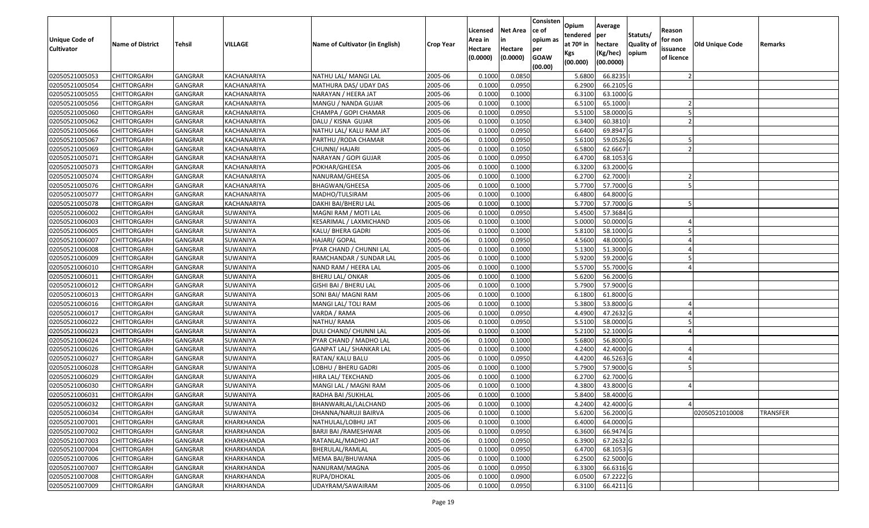| <b>Unique Code of</b><br><b>Cultivator</b> | <b>Name of District</b> | <b>Tehsil</b>  | VILLAGE            | Name of Cultivator (in English) | Crop Year | Licensed<br>Area in<br>Hectare<br>(0.0000) | <b>Net Area</b><br>in<br>Hectare<br>(0.0000) | Consisten<br>ce of<br>opium as<br>per<br><b>GOAW</b><br>(00.00) | Opium<br>tendered<br>at $70°$ in<br>Kgs<br>(00.000) | Average<br>per<br>hectare<br>(Kg/hec)<br>(00.0000) | Statuts/<br>Quality of<br>opium | Reason<br>for non<br>issuance<br>of licence | <b>Old Unique Code</b> | Remarks         |
|--------------------------------------------|-------------------------|----------------|--------------------|---------------------------------|-----------|--------------------------------------------|----------------------------------------------|-----------------------------------------------------------------|-----------------------------------------------------|----------------------------------------------------|---------------------------------|---------------------------------------------|------------------------|-----------------|
| 02050521005053                             | <b>CHITTORGARH</b>      | GANGRAR        | KACHANARIYA        | NATHU LAL/ MANGI LAL            | 2005-06   | 0.1000                                     | 0.0850                                       |                                                                 | 5.6800                                              | 66.8235                                            |                                 |                                             |                        |                 |
| 02050521005054                             | CHITTORGARH             | GANGRAR        | KACHANARIYA        | MATHURA DAS/ UDAY DAS           | 2005-06   | 0.1000                                     | 0.0950                                       |                                                                 | 6.2900                                              | 66.2105 G                                          |                                 |                                             |                        |                 |
| 02050521005055                             | <b>CHITTORGARH</b>      | GANGRAR        | KACHANARIYA        | NARAYAN / HEERA JAT             | 2005-06   | 0.1000                                     | 0.1000                                       |                                                                 | 6.3100                                              | 63.1000 G                                          |                                 |                                             |                        |                 |
| 02050521005056                             | <b>CHITTORGARH</b>      | <b>GANGRAR</b> | KACHANARIYA        | MANGU / NANDA GUJAR             | 2005-06   | 0.1000                                     | 0.1000                                       |                                                                 | 6.5100                                              | 65.1000                                            |                                 |                                             |                        |                 |
| 02050521005060                             | <b>CHITTORGARH</b>      | GANGRAR        | KACHANARIYA        | CHAMPA / GOPI CHAMAR            | 2005-06   | 0.1000                                     | 0.0950                                       |                                                                 | 5.5100                                              | 58.0000 G                                          |                                 |                                             |                        |                 |
| 02050521005062                             | CHITTORGARH             | <b>GANGRAR</b> | KACHANARIYA        | DALU / KISNA GUJAR              | 2005-06   | 0.1000                                     | 0.1050                                       |                                                                 | 6.3400                                              | 60.3810                                            |                                 |                                             |                        |                 |
| 02050521005066                             | CHITTORGARH             | GANGRAR        | KACHANARIYA        | NATHU LAL/ KALU RAM JAT         | 2005-06   | 0.1000                                     | 0.0950                                       |                                                                 | 6.6400                                              | 69.8947 G                                          |                                 |                                             |                        |                 |
| 02050521005067                             | <b>CHITTORGARH</b>      | <b>GANGRAR</b> | KACHANARIYA        | PARTHU / RODA CHAMAR            | 2005-06   | 0.1000                                     | 0.0950                                       |                                                                 | 5.6100                                              | 59.0526 G                                          |                                 |                                             |                        |                 |
| 02050521005069                             | <b>CHITTORGARH</b>      | GANGRAR        | KACHANARIYA        | CHUNNI/ HAJARI                  | 2005-06   | 0.1000                                     | 0.1050                                       |                                                                 | 6.5800                                              | 62.6667                                            |                                 |                                             |                        |                 |
| 02050521005071                             | <b>CHITTORGARH</b>      | <b>GANGRAR</b> | KACHANARIYA        | NARAYAN / GOPI GUJAR            | 2005-06   | 0.1000                                     | 0.0950                                       |                                                                 | 6.4700                                              | 68.1053 G                                          |                                 |                                             |                        |                 |
| 02050521005073                             | <b>CHITTORGARH</b>      | GANGRAR        | KACHANARIYA        | POKHAR/GHEESA                   | 2005-06   | 0.1000                                     | 0.1000                                       |                                                                 | 6.3200                                              | 63.2000 G                                          |                                 |                                             |                        |                 |
| 02050521005074                             | <b>CHITTORGARH</b>      | <b>GANGRAR</b> | <b>KACHANARIYA</b> | NANURAM/GHEESA                  | 2005-06   | 0.1000                                     | 0.1000                                       |                                                                 | 6.2700                                              | 62.7000                                            |                                 |                                             |                        |                 |
| 02050521005076                             | CHITTORGARH             | <b>GANGRAR</b> | <b>KACHANARIYA</b> | BHAGWAN/GHEESA                  | 2005-06   | 0.1000                                     | 0.1000                                       |                                                                 | 5.7700                                              | 57.7000 G                                          |                                 |                                             |                        |                 |
| 02050521005077                             | <b>CHITTORGARH</b>      | GANGRAR        | KACHANARIYA        | MADHO/TULSIRAM                  | 2005-06   | 0.1000                                     | 0.1000                                       |                                                                 | 6.4800                                              | 64.8000 G                                          |                                 |                                             |                        |                 |
| 02050521005078                             | <b>CHITTORGARH</b>      | GANGRAR        | KACHANARIYA        | DAKHI BAI/BHERU LAL             | 2005-06   | 0.1000                                     | 0.1000                                       |                                                                 | 5.7700                                              | 57.7000 G                                          |                                 |                                             |                        |                 |
| 02050521006002                             | <b>CHITTORGARH</b>      | <b>GANGRAR</b> | SUWANIYA           | MAGNI RAM / MOTI LAL            | 2005-06   | 0.1000                                     | 0.0950                                       |                                                                 | 5.4500                                              | 57.3684 G                                          |                                 |                                             |                        |                 |
| 02050521006003                             | <b>CHITTORGARH</b>      | GANGRAR        | SUWANIYA           | KESARIMAL / LAXMICHAND          | 2005-06   | 0.1000                                     | 0.1000                                       |                                                                 | 5.0000                                              | 50.0000 G                                          |                                 |                                             |                        |                 |
| 02050521006005                             | <b>CHITTORGARH</b>      | GANGRAR        | SUWANIYA           | KALU/ BHERA GADRI               | 2005-06   | 0.1000                                     | 0.1000                                       |                                                                 | 5.8100                                              | 58.1000 G                                          |                                 |                                             |                        |                 |
| 02050521006007                             | CHITTORGARH             | GANGRAR        | SUWANIYA           | HAJARI/ GOPAL                   | 2005-06   | 0.1000                                     | 0.0950                                       |                                                                 | 4.5600                                              | 48.0000 G                                          |                                 |                                             |                        |                 |
| 02050521006008                             | <b>CHITTORGARH</b>      | GANGRAR        | SUWANIYA           | PYAR CHAND / CHUNNI LAL         | 2005-06   | 0.1000                                     | 0.1000                                       |                                                                 | 5.1300                                              | 51.3000 G                                          |                                 |                                             |                        |                 |
| 02050521006009                             | <b>CHITTORGARH</b>      | GANGRAR        | SUWANIYA           | RAMCHANDAR / SUNDAR LAL         | 2005-06   | 0.1000                                     | 0.1000                                       |                                                                 | 5.9200                                              | 59.2000 G                                          |                                 |                                             |                        |                 |
| 02050521006010                             | <b>CHITTORGARH</b>      | GANGRAR        | SUWANIYA           | NAND RAM / HEERA LAL            | 2005-06   | 0.1000                                     | 0.1000                                       |                                                                 | 5.5700                                              | 55.7000 G                                          |                                 |                                             |                        |                 |
| 02050521006011                             | CHITTORGARH             | GANGRAR        | SUWANIYA           | <b>BHERU LAL/ ONKAR</b>         | 2005-06   | 0.1000                                     | 0.1000                                       |                                                                 | 5.6200                                              | 56.2000 G                                          |                                 |                                             |                        |                 |
| 02050521006012                             | <b>CHITTORGARH</b>      | GANGRAR        | SUWANIYA           | GISHI BAI / BHERU LAL           | 2005-06   | 0.1000                                     | 0.1000                                       |                                                                 | 5.7900                                              | 57.9000 G                                          |                                 |                                             |                        |                 |
| 02050521006013                             | <b>CHITTORGARH</b>      | <b>GANGRAR</b> | SUWANIYA           | SONI BAI/ MAGNI RAM             | 2005-06   | 0.1000                                     | 0.1000                                       |                                                                 | 6.1800                                              | 61.8000 G                                          |                                 |                                             |                        |                 |
| 02050521006016                             | <b>CHITTORGARH</b>      | GANGRAR        | SUWANIYA           | MANGI LAL/ TOLI RAM             | 2005-06   | 0.1000                                     | 0.1000                                       |                                                                 | 5.3800                                              | 53.8000 G                                          |                                 |                                             |                        |                 |
| 02050521006017                             | <b>CHITTORGARH</b>      | GANGRAR        | SUWANIYA           | VARDA / RAMA                    | 2005-06   | 0.1000                                     | 0.0950                                       |                                                                 | 4.4900                                              | 47.2632 G                                          |                                 |                                             |                        |                 |
| 02050521006022                             | <b>CHITTORGARH</b>      | GANGRAR        | SUWANIYA           | NATHU/ RAMA                     | 2005-06   | 0.1000                                     | 0.0950                                       |                                                                 | 5.5100                                              | 58.0000 G                                          |                                 |                                             |                        |                 |
| 02050521006023                             | <b>CHITTORGARH</b>      | <b>GANGRAR</b> | SUWANIYA           | DULI CHAND/ CHUNNI LAL          | 2005-06   | 0.1000                                     | 0.1000                                       |                                                                 | 5.2100                                              | 52.1000 G                                          |                                 |                                             |                        |                 |
| 02050521006024                             | <b>CHITTORGARH</b>      | <b>GANGRAR</b> | SUWANIYA           | PYAR CHAND / MADHO LAL          | 2005-06   | 0.1000                                     | 0.1000                                       |                                                                 | 5.6800                                              | 56.8000 G                                          |                                 |                                             |                        |                 |
| 02050521006026                             | <b>CHITTORGARH</b>      | GANGRAR        | SUWANIYA           | GANPAT LAL/ SHANKAR LAL         | 2005-06   | 0.1000                                     | 0.1000                                       |                                                                 | 4.2400                                              | 42.4000 G                                          |                                 |                                             |                        |                 |
| 02050521006027                             | CHITTORGARH             | GANGRAR        | SUWANIYA           | RATAN/ KALU BALU                | 2005-06   | 0.1000                                     | 0.0950                                       |                                                                 | 4.4200                                              | 46.5263 G                                          |                                 |                                             |                        |                 |
| 02050521006028                             | <b>CHITTORGARH</b>      | <b>GANGRAR</b> | SUWANIYA           | LOBHU / BHERU GADRI             | 2005-06   | 0.1000                                     | 0.1000                                       |                                                                 | 5.7900                                              | 57.9000 G                                          |                                 |                                             |                        |                 |
| 02050521006029                             | <b>CHITTORGARH</b>      | GANGRAR        | SUWANIYA           | HIRA LAL/ TEKCHAND              | 2005-06   | 0.100                                      | 0.1000                                       |                                                                 | 6.2700                                              | 62.7000 G                                          |                                 |                                             |                        |                 |
| 02050521006030                             | CHITTORGARH             | GANGRAR        | SUWANIYA           | MANGI LAL / MAGNI RAM           | 2005-06   | 0.1000                                     | 0.1000                                       |                                                                 | 4.3800                                              | 43.8000 G                                          |                                 |                                             |                        |                 |
| 02050521006031                             | <b>CHITTORGARH</b>      | GANGRAR        | SUWANIYA           | RADHA BAI /SUKHLAL              | 2005-06   | 0.1000                                     | 0.1000                                       |                                                                 | 5.8400                                              | 58.4000 G                                          |                                 |                                             |                        |                 |
| 02050521006032                             | <b>CHITTORGARH</b>      | GANGRAR        | SUWANIYA           | BHANWARLAL/LALCHAND             | 2005-06   | 0.1000                                     | 0.1000                                       |                                                                 | 4.2400                                              | 42.4000 G                                          |                                 |                                             |                        |                 |
| 02050521006034                             | <b>CHITTORGARH</b>      | <b>GANGRAR</b> | SUWANIYA           | DHANNA/NARUJI BAIRVA            | 2005-06   | 0.1000                                     | 0.1000                                       |                                                                 | 5.6200                                              | 56.2000 G                                          |                                 |                                             | 02050521010008         | <b>TRANSFER</b> |
| 02050521007001                             | <b>CHITTORGARH</b>      | GANGRAR        | KHARKHANDA         | NATHULAL/LOBHU JAT              | 2005-06   | 0.1000                                     | 0.1000                                       |                                                                 | 6.4000                                              | 64.0000 G                                          |                                 |                                             |                        |                 |
| 02050521007002                             | <b>CHITTORGARH</b>      | <b>GANGRAR</b> | KHARKHANDA         | BARJI BAI / RAMESHWAR           | 2005-06   | 0.1000                                     | 0.0950                                       |                                                                 | 6.3600                                              | 66.9474 G                                          |                                 |                                             |                        |                 |
| 02050521007003                             | CHITTORGARH             | <b>GANGRAR</b> | KHARKHANDA         | RATANLAL/MADHO JAT              | 2005-06   | 0.1000                                     | 0.0950                                       |                                                                 | 6.3900                                              | 67.2632 G                                          |                                 |                                             |                        |                 |
| 02050521007004                             | <b>CHITTORGARH</b>      | <b>GANGRAR</b> | KHARKHANDA         | BHERULAL/RAMLAL                 | 2005-06   | 0.1000                                     | 0.0950                                       |                                                                 | 6.4700                                              | 68.1053 G                                          |                                 |                                             |                        |                 |
| 02050521007006                             | <b>CHITTORGARH</b>      | GANGRAR        | KHARKHANDA         | MEMA BAI/BHUWANA                | 2005-06   | 0.1000                                     | 0.1000                                       |                                                                 | 6.2500                                              | 62.5000 G                                          |                                 |                                             |                        |                 |
| 02050521007007                             | <b>CHITTORGARH</b>      | GANGRAR        | KHARKHANDA         | NANURAM/MAGNA                   | 2005-06   | 0.1000                                     | 0.0950                                       |                                                                 | 6.3300                                              | 66.6316 G                                          |                                 |                                             |                        |                 |
| 02050521007008                             | <b>CHITTORGARH</b>      | GANGRAR        | KHARKHANDA         | RUPA/DHOKAL                     | 2005-06   | 0.1000                                     | 0.0900                                       |                                                                 | 6.0500                                              | 67.2222 G                                          |                                 |                                             |                        |                 |
| 02050521007009                             | <b>CHITTORGARH</b>      | GANGRAR        | KHARKHANDA         | UDAYRAM/SAWAIRAM                | 2005-06   | 0.1000                                     | 0.0950                                       |                                                                 | 6.3100                                              | 66.4211 G                                          |                                 |                                             |                        |                 |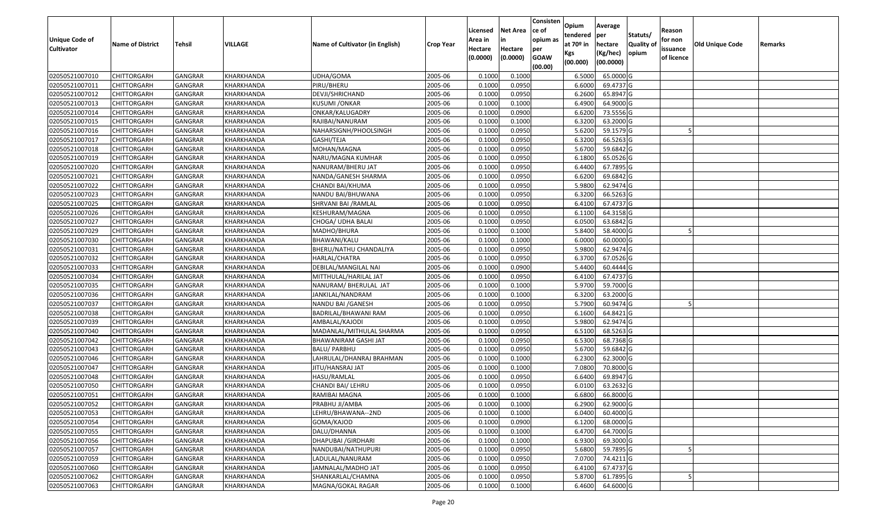| <b>Unique Code of</b><br><b>Cultivator</b> | <b>Name of District</b> | <b>Tehsil</b>  | VILLAGE    | Name of Cultivator (in English) | <b>Crop Year</b> | Licensed<br>Area in<br>Hectare<br>(0.0000) | <b>Net Area</b><br>in<br>Hectare<br>(0.0000) | Consisten<br>lce of<br>opium as<br>per<br><b>GOAW</b> | Opium<br>tendered<br>at 70º in<br>Kgs | Average<br>per<br>hectare<br>(Kg/hec) | Statuts/<br>Quality of<br>opium | Reason<br>for non<br>issuance<br>of licence | Old Unique Code | Remarks |
|--------------------------------------------|-------------------------|----------------|------------|---------------------------------|------------------|--------------------------------------------|----------------------------------------------|-------------------------------------------------------|---------------------------------------|---------------------------------------|---------------------------------|---------------------------------------------|-----------------|---------|
|                                            |                         |                |            |                                 |                  |                                            |                                              | (00.00)                                               | (00.000)                              | (00.0000)                             |                                 |                                             |                 |         |
| 02050521007010                             | <b>CHITTORGARH</b>      | GANGRAR        | KHARKHANDA | UDHA/GOMA                       | 2005-06          | 0.1000                                     | 0.1000                                       |                                                       | 6.5000                                | 65.0000 G                             |                                 |                                             |                 |         |
| 02050521007011                             | <b>CHITTORGARH</b>      | GANGRAR        | KHARKHANDA | PIRU/BHERU                      | 2005-06          | 0.1000                                     | 0.0950                                       |                                                       | 6.6000                                | 69.4737 G                             |                                 |                                             |                 |         |
| 02050521007012                             | <b>CHITTORGARH</b>      | GANGRAR        | KHARKHANDA | DEVJI/SHRICHAND                 | 2005-06          | 0.1000                                     | 0.0950                                       |                                                       | 6.2600                                | 65.8947 G                             |                                 |                                             |                 |         |
| 02050521007013                             | <b>CHITTORGARH</b>      | <b>GANGRAR</b> | KHARKHANDA | <b>KUSUMI / ONKAR</b>           | 2005-06          | 0.1000                                     | 0.1000                                       |                                                       | 6.4900                                | 64.9000 G                             |                                 |                                             |                 |         |
| 02050521007014                             | <b>CHITTORGARH</b>      | GANGRAR        | KHARKHANDA | ONKAR/KALUGADRY                 | 2005-06          | 0.1000                                     | 0.0900                                       |                                                       | 6.6200                                | 73.5556 G                             |                                 |                                             |                 |         |
| 02050521007015                             | <b>CHITTORGARH</b>      | <b>GANGRAR</b> | KHARKHANDA | RAJIBAI/NANURAM                 | 2005-06          | 0.1000                                     | 0.1000                                       |                                                       | 6.3200                                | 63.2000 G                             |                                 |                                             |                 |         |
| 02050521007016                             | CHITTORGARH             | GANGRAR        | KHARKHANDA | NAHARSIGNH/PHOOLSINGH           | 2005-06          | 0.1000                                     | 0.0950                                       |                                                       | 5.6200                                | 59.1579 G                             |                                 |                                             |                 |         |
| 02050521007017                             | <b>CHITTORGARH</b>      | GANGRAR        | KHARKHANDA | GASHI/TEJA                      | 2005-06          | 0.1000                                     | 0.0950                                       |                                                       | 6.3200                                | 66.5263 G                             |                                 |                                             |                 |         |
| 02050521007018                             | <b>CHITTORGARH</b>      | GANGRAR        | KHARKHANDA | MOHAN/MAGNA                     | 2005-06          | 0.1000                                     | 0.0950                                       |                                                       | 5.6700                                | 59.6842 G                             |                                 |                                             |                 |         |
| 02050521007019                             | <b>CHITTORGARH</b>      | GANGRAR        | KHARKHANDA | NARU/MAGNA KUMHAR               | 2005-06          | 0.1000                                     | 0.0950                                       |                                                       | 6.1800                                | 65.0526 G                             |                                 |                                             |                 |         |
| 02050521007020                             | <b>CHITTORGARH</b>      | GANGRAR        | KHARKHANDA | NANURAM/BHERU JAT               | 2005-06          | 0.1000                                     | 0.0950                                       |                                                       | 6.4400                                | 67.7895 G                             |                                 |                                             |                 |         |
| 02050521007021                             | <b>CHITTORGARH</b>      | GANGRAR        | KHARKHANDA | NANDA/GANESH SHARMA             | 2005-06          | 0.1000                                     | 0.0950                                       |                                                       | 6.6200                                | 69.6842 G                             |                                 |                                             |                 |         |
| 02050521007022                             | <b>CHITTORGARH</b>      | GANGRAR        | KHARKHANDA | CHANDI BAI/KHUMA                | 2005-06          | 0.1000                                     | 0.0950                                       |                                                       | 5.9800                                | 62.9474 G                             |                                 |                                             |                 |         |
| 02050521007023                             | <b>CHITTORGARH</b>      | GANGRAR        | KHARKHANDA | NANDU BAI/BHUWANA               | 2005-06          | 0.1000                                     | 0.0950                                       |                                                       | 6.3200                                | 66.5263 G                             |                                 |                                             |                 |         |
| 02050521007025                             | CHITTORGARH             | GANGRAR        | KHARKHANDA | SHRVANI BAI /RAMLAL             | 2005-06          | 0.1000                                     | 0.0950                                       |                                                       | 6.4100                                | 67.4737 G                             |                                 |                                             |                 |         |
| 02050521007026                             | <b>CHITTORGARH</b>      | GANGRAR        | KHARKHANDA | KESHURAM/MAGNA                  | 2005-06          | 0.1000                                     | 0.0950                                       |                                                       | 6.1100                                | 64.3158 G                             |                                 |                                             |                 |         |
| 02050521007027                             | <b>CHITTORGARH</b>      | GANGRAR        | KHARKHANDA | CHOGA/ UDHA BALAI               | 2005-06          | 0.1000                                     | 0.0950                                       |                                                       | 6.0500                                | 63.6842 G                             |                                 |                                             |                 |         |
| 02050521007029                             | <b>CHITTORGARH</b>      | GANGRAR        | KHARKHANDA | MADHO/BHURA                     | 2005-06          | 0.1000                                     | 0.1000                                       |                                                       | 5.8400                                | 58.4000 G                             |                                 |                                             |                 |         |
| 02050521007030                             | <b>CHITTORGARH</b>      | GANGRAR        | KHARKHANDA | BHAWANI/KALU                    | 2005-06          | 0.1000                                     | 0.1000                                       |                                                       | 6.0000                                | 60.0000 G                             |                                 |                                             |                 |         |
| 02050521007031                             | <b>CHITTORGARH</b>      | GANGRAR        | KHARKHANDA | BHERU/NATHU CHANDALIYA          | 2005-06          | 0.1000                                     | 0.0950                                       |                                                       | 5.9800                                | 62.9474 G                             |                                 |                                             |                 |         |
| 02050521007032                             | <b>CHITTORGARH</b>      | GANGRAR        | KHARKHANDA | HARLAL/CHATRA                   | 2005-06          | 0.1000                                     | 0.0950                                       |                                                       | 6.3700                                | 67.0526 G                             |                                 |                                             |                 |         |
| 02050521007033                             | <b>CHITTORGARH</b>      | GANGRAR        | KHARKHANDA | DEBILAL/MANGILAL NAI            | 2005-06          | 0.1000                                     | 0.0900                                       |                                                       | 5.4400                                | 60.4444 G                             |                                 |                                             |                 |         |
| 02050521007034                             | <b>CHITTORGARH</b>      | GANGRAR        | KHARKHANDA | MITTHULAL/HARILAL JAT           | 2005-06          | 0.1000                                     | 0.0950                                       |                                                       | 6.4100                                | 67.4737 G                             |                                 |                                             |                 |         |
| 02050521007035                             | <b>CHITTORGARH</b>      | GANGRAR        | KHARKHANDA | NANURAM/ BHERULAL JAT           | 2005-06          | 0.1000                                     | 0.1000                                       |                                                       | 5.9700                                | 59.7000 G                             |                                 |                                             |                 |         |
| 02050521007036                             | <b>CHITTORGARH</b>      | GANGRAR        | KHARKHANDA | JANKILAL/NANDRAM                | 2005-06          | 0.1000                                     | 0.1000                                       |                                                       | 6.3200                                | 63.2000 G                             |                                 |                                             |                 |         |
| 02050521007037                             | <b>CHITTORGARH</b>      | GANGRAR        | KHARKHANDA | NANDU BAI / GANESH              | 2005-06          | 0.1000                                     | 0.0950                                       |                                                       | 5.7900                                | 60.9474 G                             |                                 |                                             |                 |         |
| 02050521007038                             | <b>CHITTORGARH</b>      | <b>GANGRAR</b> | KHARKHANDA | BADRILAL/BHAWANI RAM            | 2005-06          | 0.1000                                     | 0.0950                                       |                                                       | 6.1600                                | 64.8421 G                             |                                 |                                             |                 |         |
| 02050521007039                             | <b>CHITTORGARH</b>      | GANGRAR        | KHARKHANDA | AMBALAL/KAJODI                  | 2005-06          | 0.1000                                     | 0.0950                                       |                                                       | 5.9800                                | 62.9474 G                             |                                 |                                             |                 |         |
| 02050521007040                             | <b>CHITTORGARH</b>      | <b>GANGRAR</b> | KHARKHANDA | MADANLAL/MITHULAL SHARMA        | 2005-06          | 0.1000                                     | 0.0950                                       |                                                       | 6.5100                                | 68.5263 G                             |                                 |                                             |                 |         |
| 02050521007042                             | <b>CHITTORGARH</b>      | <b>GANGRAR</b> | KHARKHANDA | BHAWANIRAM GASHI JAT            | 2005-06          | 0.1000                                     | 0.0950                                       |                                                       | 6.5300                                | 68.7368 G                             |                                 |                                             |                 |         |
| 02050521007043                             | <b>CHITTORGARH</b>      | GANGRAR        | KHARKHANDA | BALU/ PARBHU                    | 2005-06          | 0.1000                                     | 0.0950                                       |                                                       | 5.6700                                | 59.6842 G                             |                                 |                                             |                 |         |
| 02050521007046                             | CHITTORGARH             | GANGRAR        | KHARKHANDA | LAHRULAL/DHANRAJ BRAHMAN        | 2005-06          | 0.1000                                     | 0.1000                                       |                                                       | 6.2300                                | 62.3000 G                             |                                 |                                             |                 |         |
| 02050521007047                             | <b>CHITTORGARH</b>      | GANGRAR        | KHARKHANDA | IITU/HANSRAJ JAT                | 2005-06          | 0.1000                                     | 0.1000                                       |                                                       | 7.0800                                | 70.8000 G                             |                                 |                                             |                 |         |
| 02050521007048                             | <b>CHITTORGARH</b>      | GANGRAR        | KHARKHANDA | HASU/RAMLAL                     | 2005-06          | 0.1000                                     | 0.0950                                       |                                                       | 6.6400                                | 69.8947 G                             |                                 |                                             |                 |         |
| 02050521007050                             | CHITTORGARH             | GANGRAR        | KHARKHANDA | CHANDI BAI/ LEHRU               | 2005-06          | 0.1000                                     | 0.0950                                       |                                                       | 6.0100                                | 63.2632 G                             |                                 |                                             |                 |         |
| 02050521007051                             | <b>CHITTORGARH</b>      | GANGRAR        | KHARKHANDA | RAMIBAI MAGNA                   | 2005-06          | 0.1000                                     | 0.1000                                       |                                                       | 6.6800                                | 66.8000 G                             |                                 |                                             |                 |         |
| 02050521007052                             | <b>CHITTORGARH</b>      | GANGRAR        | KHARKHANDA | PRABHU JI/AMBA                  | 2005-06          | 0.1000                                     | 0.1000                                       |                                                       | 6.2900                                | 62.9000G                              |                                 |                                             |                 |         |
| 02050521007053                             | <b>CHITTORGARH</b>      | <b>GANGRAR</b> | KHARKHANDA | LEHRU/BHAWANA--2ND              | 2005-06          | 0.1000                                     | 0.1000                                       |                                                       | 6.0400                                | 60.4000 G                             |                                 |                                             |                 |         |
| 02050521007054                             | CHITTORGARH             | GANGRAR        | KHARKHANDA | GOMA/KAJOD                      | 2005-06          | 0.1000                                     | 0.0900                                       |                                                       | 6.1200                                | 68.0000 G                             |                                 |                                             |                 |         |
| 02050521007055                             | <b>CHITTORGARH</b>      | GANGRAR        | KHARKHANDA | DALU/DHANNA                     | 2005-06          | 0.1000                                     | 0.1000                                       |                                                       | 6.4700                                | 64.7000 G                             |                                 |                                             |                 |         |
| 02050521007056                             | <b>CHITTORGARH</b>      | GANGRAR        | KHARKHANDA | DHAPUBAI / GIRDHARI             | 2005-06          | 0.1000                                     | 0.1000                                       |                                                       | 6.9300                                | 69.3000 G                             |                                 |                                             |                 |         |
| 02050521007057                             | <b>CHITTORGARH</b>      | <b>GANGRAR</b> | KHARKHANDA | NANDUBAI/NATHUPURI              | 2005-06          | 0.1000                                     | 0.0950                                       |                                                       | 5.6800                                | 59.7895 G                             |                                 |                                             |                 |         |
| 02050521007059                             | <b>CHITTORGARH</b>      | GANGRAR        | KHARKHANDA | LADULAL/NANURAM                 | 2005-06          | 0.1000                                     | 0.0950                                       |                                                       | 7.0700                                | 74.4211 G                             |                                 |                                             |                 |         |
| 02050521007060                             | <b>CHITTORGARH</b>      | GANGRAR        | KHARKHANDA | JAMNALAL/MADHO JAT              | 2005-06          | 0.1000                                     | 0.0950                                       |                                                       | 6.4100                                | 67.4737 G                             |                                 |                                             |                 |         |
| 02050521007062                             | <b>CHITTORGARH</b>      | GANGRAR        | KHARKHANDA | SHANKARLAL/CHAMNA               | 2005-06          | 0.1000                                     | 0.0950                                       |                                                       | 5.8700                                | 61.7895 G                             |                                 |                                             |                 |         |
| 02050521007063                             | <b>CHITTORGARH</b>      | GANGRAR        | KHARKHANDA | MAGNA/GOKAL RAGAR               | 2005-06          | 0.1000                                     | 0.1000                                       |                                                       | 6.4600                                | 64.6000 G                             |                                 |                                             |                 |         |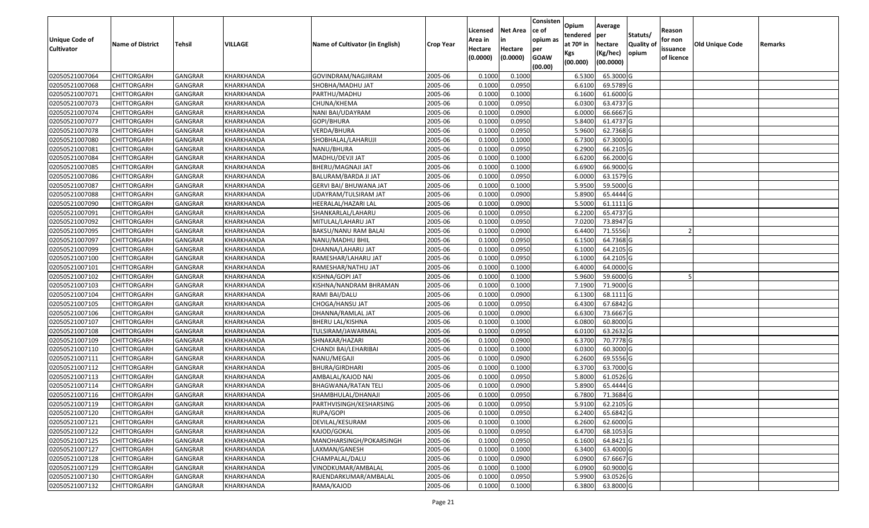| Unique Code of    |                         |                |                   |                                 |                  | Licensed<br>Area in | <b>Net Area</b><br>in | Consisten<br>ce of<br>opium as | Opium<br>tendered | Average<br>per        | Statuts/         | Reason<br>for non |                 |         |
|-------------------|-------------------------|----------------|-------------------|---------------------------------|------------------|---------------------|-----------------------|--------------------------------|-------------------|-----------------------|------------------|-------------------|-----------------|---------|
| <b>Cultivator</b> | <b>Name of District</b> | Tehsil         | VILLAGE           | Name of Cultivator (in English) | <b>Crop Year</b> | Hectare             | Hectare               | per                            | at $70°$ in       | hectare               | <b>Quality o</b> | issuance          | Old Unique Code | Remarks |
|                   |                         |                |                   |                                 |                  | (0.0000)            | (0.0000)              | <b>GOAW</b><br>(00.00)         | Kgs<br>(00.000)   | (Kg/hec)<br>(00.0000) | opium            | of licence        |                 |         |
| 02050521007064    | CHITTORGARH             | GANGRAR        | KHARKHANDA        | GOVINDRAM/NAGJIRAM              | 2005-06          | 0.1000              | 0.1000                |                                | 6.5300            | 65.3000G              |                  |                   |                 |         |
| 02050521007068    | CHITTORGARH             | GANGRAR        | KHARKHANDA        | SHOBHA/MADHU JAT                | 2005-06          | 0.1000              | 0.0950                |                                | 6.6100            | 69.5789 G             |                  |                   |                 |         |
| 02050521007071    | CHITTORGARH             | GANGRAR        | KHARKHANDA        | PARTHU/MADHU                    | 2005-06          | 0.1000              | 0.1000                |                                | 6.1600            | 61.6000G              |                  |                   |                 |         |
| 02050521007073    | <b>CHITTORGARH</b>      | <b>GANGRAR</b> | KHARKHANDA        | CHUNA/KHEMA                     | 2005-06          | 0.1000              | 0.0950                |                                | 6.0300            | 63.4737 G             |                  |                   |                 |         |
| 02050521007074    | CHITTORGARH             | GANGRAR        | KHARKHANDA        | NANI BAI/UDAYRAM                | 2005-06          | 0.1000              | 0.0900                |                                | 6.0000            | 66.6667 G             |                  |                   |                 |         |
| 02050521007077    | <b>CHITTORGARH</b>      | <b>GANGRAR</b> | KHARKHANDA        | GOPI/BHURA                      | 2005-06          | 0.1000              | 0.0950                |                                | 5.8400            | 61.4737 G             |                  |                   |                 |         |
| 02050521007078    | CHITTORGARH             | GANGRAR        | KHARKHANDA        | VERDA/BHURA                     | 2005-06          | 0.1000              | 0.0950                |                                | 5.9600            | 62.7368 G             |                  |                   |                 |         |
| 02050521007080    | <b>CHITTORGARH</b>      | <b>GANGRAR</b> | KHARKHANDA        | SHOBHALAL/LAHARUJI              | 2005-06          | 0.1000              | 0.1000                |                                | 6.7300            | 67.3000 G             |                  |                   |                 |         |
| 02050521007081    | CHITTORGARH             | GANGRAR        | KHARKHANDA        | NANU/BHURA                      | 2005-06          | 0.1000              | 0.0950                |                                | 6.2900            | 66.2105 G             |                  |                   |                 |         |
| 02050521007084    | <b>CHITTORGARH</b>      | <b>GANGRAR</b> | KHARKHANDA        | MADHU/DEVJI JAT                 | 2005-06          | 0.1000              | 0.1000                |                                | 6.6200            | 66.2000 G             |                  |                   |                 |         |
| 02050521007085    | CHITTORGARH             | <b>GANGRAR</b> | KHARKHANDA        | BHERU/MAGNAJI JAT               | 2005-06          | 0.1000              | 0.1000                |                                | 6.6900            | 66.9000 G             |                  |                   |                 |         |
| 02050521007086    | <b>CHITTORGARH</b>      | <b>GANGRAR</b> | KHARKHANDA        | BALURAM/BARDA JI JAT            | 2005-06          | 0.1000              | 0.0950                |                                | 6.0000            | 63.1579 G             |                  |                   |                 |         |
| 02050521007087    | <b>CHITTORGARH</b>      | <b>GANGRAR</b> | KHARKHANDA        | <b>GERVI BAI/ BHUWANA JAT</b>   | 2005-06          | 0.1000              | 0.1000                |                                | 5.9500            | 59.5000 G             |                  |                   |                 |         |
| 02050521007088    | <b>CHITTORGARH</b>      | GANGRAR        | KHARKHANDA        | UDAYRAM/TULSIRAM JAT            | 2005-06          | 0.1000              | 0.0900                |                                | 5.8900            | 65.4444 G             |                  |                   |                 |         |
| 02050521007090    | <b>CHITTORGARH</b>      | <b>GANGRAR</b> | KHARKHANDA        | HEERALAL/HAZARI LAL             | 2005-06          | 0.1000              | 0.0900                |                                | 5.5000            | 61.1111 G             |                  |                   |                 |         |
| 02050521007091    | <b>CHITTORGARH</b>      | <b>GANGRAR</b> | KHARKHANDA        | SHANKARLAL/LAHARU               | 2005-06          | 0.1000              | 0.0950                |                                | 6.2200            | 65.4737 G             |                  |                   |                 |         |
| 02050521007092    | <b>CHITTORGARH</b>      | <b>GANGRAR</b> | KHARKHANDA        | MITULAL/LAHARU JAT              | 2005-06          | 0.1000              | 0.0950                |                                | 7.0200            | 73.8947 G             |                  |                   |                 |         |
| 02050521007095    | CHITTORGARH             | GANGRAR        | KHARKHANDA        | BAKSU/NANU RAM BALAI            | 2005-06          | 0.1000              | 0.0900                |                                | 6.4400            | 71.5556               |                  |                   |                 |         |
| 02050521007097    | CHITTORGARH             | <b>GANGRAR</b> | KHARKHANDA        | NANU/MADHU BHIL                 | 2005-06          | 0.1000              | 0.0950                |                                | 6.1500            | 64.7368 G             |                  |                   |                 |         |
| 02050521007099    | CHITTORGARH             | GANGRAR        | KHARKHANDA        | DHANNA/LAHARU JAT               | 2005-06          | 0.1000              | 0.0950                |                                | 6.1000            | 64.2105 G             |                  |                   |                 |         |
| 02050521007100    | CHITTORGARH             | <b>GANGRAR</b> | KHARKHANDA        | RAMESHAR/LAHARU JAT             | 2005-06          | 0.1000              | 0.0950                |                                | 6.1000            | 64.2105 G             |                  |                   |                 |         |
| 02050521007101    | CHITTORGARH             | GANGRAR        | KHARKHANDA        | RAMESHAR/NATHU JAT              | 2005-06          | 0.1000              | 0.1000                |                                | 6.4000            | 64.0000G              |                  |                   |                 |         |
| 02050521007102    | CHITTORGARH             | GANGRAR        | KHARKHANDA        | KISHNA/GOPI JAT                 | 2005-06          | 0.1000              | 0.1000                |                                | 5.9600            | 59.6000 G             |                  |                   |                 |         |
| 02050521007103    | <b>CHITTORGARH</b>      | <b>GANGRAR</b> | KHARKHANDA        | KISHNA/NANDRAM BHRAMAN          | 2005-06          | 0.1000              | 0.1000                |                                | 7.1900            | 71.9000G              |                  |                   |                 |         |
| 02050521007104    | <b>CHITTORGARH</b>      | <b>GANGRAR</b> | KHARKHANDA        | RAMI BAI/DALU                   | 2005-06          | 0.1000              | 0.0900                |                                | 6.1300            | 68.1111 G             |                  |                   |                 |         |
| 02050521007105    | CHITTORGARH             | GANGRAR        | KHARKHANDA        | CHOGA/HANSU JAT                 | 2005-06          | 0.1000              | 0.0950                |                                | 6.4300            | 67.6842 G             |                  |                   |                 |         |
| 02050521007106    | CHITTORGARH             | GANGRAR        | KHARKHANDA        | DHANNA/RAMLAL JAT               | 2005-06          | 0.1000              | 0.0900                |                                | 6.6300            | 73.6667 G             |                  |                   |                 |         |
| 02050521007107    | CHITTORGARH             | GANGRAR        | KHARKHANDA        | BHERU LAL/KISHNA                | 2005-06          | 0.1000              | 0.1000                |                                | 6.0800            | 60.8000 G             |                  |                   |                 |         |
| 02050521007108    | CHITTORGARH             | <b>GANGRAR</b> | KHARKHANDA        | TULSIRAM/JAWARMAL               | 2005-06          | 0.1000              | 0.0950                |                                | 6.0100            | 63.2632 G             |                  |                   |                 |         |
| 02050521007109    | CHITTORGARH             | <b>GANGRAR</b> | KHARKHANDA        | SHNAKAR/HAZARI                  | 2005-06          | 0.1000              | 0.0900                |                                | 6.3700            | 70.7778 G             |                  |                   |                 |         |
| 02050521007110    | CHITTORGARH             | <b>GANGRAR</b> | KHARKHANDA        | CHANDI BAI/LEHARIBAI            | 2005-06          | 0.1000              | 0.1000                |                                | 6.0300            | 60.3000 G             |                  |                   |                 |         |
| 02050521007111    | CHITTORGARH             | GANGRAR        | KHARKHANDA        | NANU/MEGAJI                     | 2005-06          | 0.1000              | 0.0900                |                                | 6.2600            | 69.5556 G             |                  |                   |                 |         |
| 02050521007112    | CHITTORGARH             | <b>GANGRAR</b> | KHARKHANDA        | <b>BHURA/GIRDHARI</b>           | 2005-06          | 0.1000              | 0.1000                |                                | 6.3700            | 63.7000 G             |                  |                   |                 |         |
| 02050521007113    | <b>CHITTORGARH</b>      | GANGRAR        | KHARKHANDA        | AMBALAL/KAJOD NAI               | 2005-06          | 0.1000              | 0.0950                |                                | 5.8000            | 61.0526 G             |                  |                   |                 |         |
| 02050521007114    | CHITTORGARH             | <b>GANGRAR</b> | KHARKHANDA        | BHAGWANA/RATAN TELI             | 2005-06          | 0.1000              | 0.0900                |                                | 5.8900            | 65.4444 G             |                  |                   |                 |         |
| 02050521007116    | CHITTORGARH             | GANGRAR        | KHARKHANDA        | SHAMBHULAL/DHANAJI              | 2005-06          | 0.1000              | 0.0950                |                                | 6.7800            | 71.3684 G             |                  |                   |                 |         |
| 02050521007119    | <b>CHITTORGARH</b>      | <b>GANGRAR</b> | KHARKHANDA        | PARTHVISINGH/KESHARSING         | 2005-06          | 0.1000              | 0.0950                |                                | 5.9100            | 62.2105 G             |                  |                   |                 |         |
| 02050521007120    | <b>CHITTORGARH</b>      | <b>GANGRAR</b> | KHARKHANDA        | RUPA/GOPI                       | 2005-06          | 0.1000              | 0.0950                |                                | 6.2400            | 65.6842 G             |                  |                   |                 |         |
| 02050521007121    | <b>CHITTORGARH</b>      | <b>GANGRAR</b> | KHARKHANDA        | DEVILAL/KESURAM                 | 2005-06          | 0.1000              | 0.1000                |                                | 6.2600            | 62.6000 G             |                  |                   |                 |         |
| 02050521007122    | <b>CHITTORGARH</b>      | <b>GANGRAR</b> | KHARKHANDA        | KAJOD/GOKAL                     | 2005-06          | 0.1000              | 0.0950                |                                | 6.4700            | 68.1053 G             |                  |                   |                 |         |
| 02050521007125    | CHITTORGARH             | <b>GANGRAR</b> | KHARKHANDA        | MANOHARSINGH/POKARSINGH         | 2005-06          | 0.1000              | 0.0950                |                                | 6.1600            | 64.8421 G             |                  |                   |                 |         |
| 02050521007127    | <b>CHITTORGARH</b>      | <b>GANGRAR</b> | <b>KHARKHANDA</b> | LAXMAN/GANESH                   | 2005-06          | 0.1000              | 0.1000                |                                | 6.3400            | 63.4000 G             |                  |                   |                 |         |
| 02050521007128    | <b>CHITTORGARH</b>      | <b>GANGRAR</b> | KHARKHANDA        | CHAMPALAL/DALU                  | 2005-06          | 0.1000              | 0.0900                |                                | 6.0900            | 67.6667 G             |                  |                   |                 |         |
| 02050521007129    | <b>CHITTORGARH</b>      | <b>GANGRAR</b> | KHARKHANDA        | VINODKUMAR/AMBALAL              | 2005-06          | 0.1000              | 0.1000                |                                | 6.0900            | 60.9000 G             |                  |                   |                 |         |
| 02050521007130    | <b>CHITTORGARH</b>      | <b>GANGRAR</b> | KHARKHANDA        | RAJENDARKUMAR/AMBALAL           | 2005-06          | 0.1000              | 0.0950                |                                | 5.9900            | 63.0526 G             |                  |                   |                 |         |
| 02050521007132    | <b>CHITTORGARH</b>      | <b>GANGRAR</b> | KHARKHANDA        | RAMA/KAJOD                      | 2005-06          | 0.1000              | 0.1000                |                                | 6.3800            | 63.8000 G             |                  |                   |                 |         |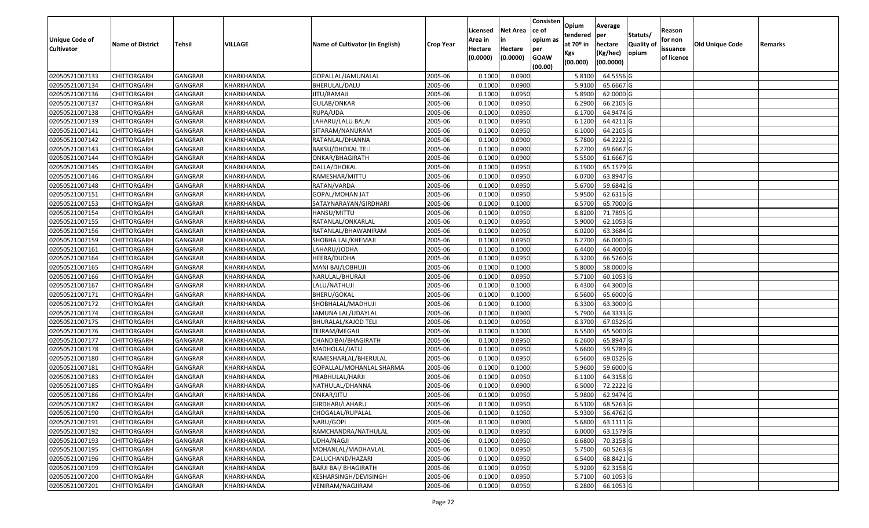| Unique Code of    |                         |                |            |                                 |                  | Licensed<br>Area in | <b>Net Area</b><br>in | Consisten<br>ce of<br>opium as | Opium<br>tendered | Average<br>per        | Statuts/         | Reason<br>for non |                 |         |
|-------------------|-------------------------|----------------|------------|---------------------------------|------------------|---------------------|-----------------------|--------------------------------|-------------------|-----------------------|------------------|-------------------|-----------------|---------|
| <b>Cultivator</b> | <b>Name of District</b> | Tehsil         | VILLAGE    | Name of Cultivator (in English) | <b>Crop Year</b> | Hectare             | Hectare               | per                            | at $70°$ in       | hectare               | <b>Quality o</b> | issuance          | Old Unique Code | Remarks |
|                   |                         |                |            |                                 |                  | (0.0000)            | (0.0000)              | <b>GOAW</b><br>(00.00)         | Kgs<br>(00.000)   | (Kg/hec)<br>(00.0000) | opium            | of licence        |                 |         |
| 02050521007133    | CHITTORGARH             | GANGRAR        | KHARKHANDA | GOPALLAL/JAMUNALAL              | 2005-06          | 0.1000              | 0.0900                |                                | 5.8100            | 64.5556 G             |                  |                   |                 |         |
| 02050521007134    | CHITTORGARH             | GANGRAR        | KHARKHANDA | BHERULAL/DALU                   | 2005-06          | 0.1000              | 0.0900                |                                | 5.9100            | 65.6667 G             |                  |                   |                 |         |
| 02050521007136    | CHITTORGARH             | GANGRAR        | KHARKHANDA | IITU/RAMAJI                     | 2005-06          | 0.1000              | 0.0950                |                                | 5.8900            | 62.0000G              |                  |                   |                 |         |
| 02050521007137    | <b>CHITTORGARH</b>      | <b>GANGRAR</b> | KHARKHANDA | <b>GULAB/ONKAR</b>              | 2005-06          | 0.1000              | 0.0950                |                                | 6.2900            | 66.2105 G             |                  |                   |                 |         |
| 02050521007138    | CHITTORGARH             | GANGRAR        | KHARKHANDA | RUPA/UDA                        | 2005-06          | 0.1000              | 0.0950                |                                | 6.1700            | 64.9474 G             |                  |                   |                 |         |
| 02050521007139    | <b>CHITTORGARH</b>      | <b>GANGRAR</b> | KHARKHANDA | LAHARU/LALU BALAI               | 2005-06          | 0.1000              | 0.0950                |                                | 6.1200            | 64.4211G              |                  |                   |                 |         |
| 02050521007141    | CHITTORGARH             | GANGRAR        | KHARKHANDA | SITARAM/NANURAM                 | 2005-06          | 0.1000              | 0.0950                |                                | 6.1000            | 64.2105 G             |                  |                   |                 |         |
| 02050521007142    | <b>CHITTORGARH</b>      | <b>GANGRAR</b> | KHARKHANDA | RATANLAL/DHANNA                 | 2005-06          | 0.1000              | 0.0900                |                                | 5.7800            | 64.2222 G             |                  |                   |                 |         |
| 02050521007143    | CHITTORGARH             | <b>GANGRAR</b> | KHARKHANDA | <b>BAKSU/DHOKAL TELI</b>        | 2005-06          | 0.1000              | 0.0900                |                                | 6.2700            | 69.6667 G             |                  |                   |                 |         |
| 02050521007144    | <b>CHITTORGARH</b>      | <b>GANGRAR</b> | KHARKHANDA | ONKAR/BHAGIRATH                 | 2005-06          | 0.1000              | 0.0900                |                                | 5.5500            | 61.6667 G             |                  |                   |                 |         |
| 02050521007145    | CHITTORGARH             | <b>GANGRAR</b> | KHARKHANDA | DALLA/DHOKAL                    | 2005-06          | 0.1000              | 0.0950                |                                | 6.1900            | 65.1579 G             |                  |                   |                 |         |
| 02050521007146    | <b>CHITTORGARH</b>      | <b>GANGRAR</b> | KHARKHANDA | RAMESHAR/MITTU                  | 2005-06          | 0.1000              | 0.0950                |                                | 6.0700            | 63.8947 G             |                  |                   |                 |         |
| 02050521007148    | <b>CHITTORGARH</b>      | <b>GANGRAR</b> | KHARKHANDA | RATAN/VARDA                     | 2005-06          | 0.1000              | 0.0950                |                                | 5.6700            | 59.6842 G             |                  |                   |                 |         |
| 02050521007151    | <b>CHITTORGARH</b>      | GANGRAR        | KHARKHANDA | GOPAL/MOHAN JAT                 | 2005-06          | 0.1000              | 0.0950                |                                | 5.9500            | 62.6316 G             |                  |                   |                 |         |
| 02050521007153    | CHITTORGARH             | <b>GANGRAR</b> | KHARKHANDA | SATAYNARAYAN/GIRDHARI           | 2005-06          | 0.1000              | 0.1000                |                                | 6.5700            | 65.7000 G             |                  |                   |                 |         |
| 02050521007154    | <b>CHITTORGARH</b>      | <b>GANGRAR</b> | KHARKHANDA | HANSU/MITTU                     | 2005-06          | 0.1000              | 0.0950                |                                | 6.8200            | 71.7895 G             |                  |                   |                 |         |
| 02050521007155    | <b>CHITTORGARH</b>      | <b>GANGRAR</b> | KHARKHANDA | RATANLAL/ONKARLAL               | 2005-06          | 0.1000              | 0.0950                |                                | 5.9000            | 62.1053 G             |                  |                   |                 |         |
| 02050521007156    | CHITTORGARH             | <b>GANGRAR</b> | KHARKHANDA | RATANLAL/BHAWANIRAM             | 2005-06          | 0.1000              | 0.0950                |                                | 6.0200            | 63.3684 G             |                  |                   |                 |         |
| 02050521007159    | CHITTORGARH             | <b>GANGRAR</b> | KHARKHANDA | SHOBHA LAL/KHEMAJI              | 2005-06          | 0.1000              | 0.0950                |                                | 6.2700            | 66.0000G              |                  |                   |                 |         |
| 02050521007161    | CHITTORGARH             | GANGRAR        | KHARKHANDA | LAHARU/JODHA                    | 2005-06          | 0.1000              | 0.1000                |                                | 6.4400            | 64.4000 G             |                  |                   |                 |         |
| 02050521007164    | CHITTORGARH             | <b>GANGRAR</b> | KHARKHANDA | HEERA/DUDHA                     | 2005-06          | 0.1000              | 0.0950                |                                | 6.3200            | 66.5260 G             |                  |                   |                 |         |
| 02050521007165    | CHITTORGARH             | GANGRAR        | KHARKHANDA | MANI BAI/LOBHUJI                | 2005-06          | 0.1000              | 0.1000                |                                | 5.8000            | 58.0000G              |                  |                   |                 |         |
| 02050521007166    | CHITTORGARH             | GANGRAR        | KHARKHANDA | NARULAL/BHURAJI                 | 2005-06          | 0.1000              | 0.0950                |                                | 5.7100            | 60.1053 G             |                  |                   |                 |         |
| 02050521007167    | CHITTORGARH             | <b>GANGRAR</b> | KHARKHANDA | LALU/NATHUJI                    | 2005-06          | 0.1000              | 0.1000                |                                | 6.4300            | 64.3000 G             |                  |                   |                 |         |
| 02050521007171    | <b>CHITTORGARH</b>      | <b>GANGRAR</b> | KHARKHANDA | <b>BHERU/GOKAL</b>              | 2005-06          | 0.1000              | 0.1000                |                                | 6.5600            | 65.6000 G             |                  |                   |                 |         |
| 02050521007172    | CHITTORGARH             | GANGRAR        | KHARKHANDA | SHOBHALAL/MADHUJI               | 2005-06          | 0.1000              | 0.1000                |                                | 6.3300            | 63.3000 G             |                  |                   |                 |         |
| 02050521007174    | CHITTORGARH             | GANGRAR        | KHARKHANDA | JAMUNA LAL/UDAYLAL              | 2005-06          | 0.1000              | 0.0900                |                                | 5.7900            | 64.3333 G             |                  |                   |                 |         |
| 02050521007175    | CHITTORGARH             | GANGRAR        | KHARKHANDA | <b>BHURALAL/KAJOD TELI</b>      | 2005-06          | 0.1000              | 0.0950                |                                | 6.3700            | 67.0526 G             |                  |                   |                 |         |
| 02050521007176    | <b>CHITTORGARH</b>      | <b>GANGRAR</b> | KHARKHANDA | TEJRAM/MEGAJI                   | 2005-06          | 0.1000              | 0.1000                |                                | 6.5500            | 65.5000 G             |                  |                   |                 |         |
| 02050521007177    | CHITTORGARH             | <b>GANGRAR</b> | KHARKHANDA | CHANDIBAI/BHAGIRATH             | 2005-06          | 0.1000              | 0.0950                |                                | 6.2600            | 65.8947 G             |                  |                   |                 |         |
| 02050521007178    | CHITTORGARH             | <b>GANGRAR</b> | KHARKHANDA | MADHOLAL/JATU                   | 2005-06          | 0.1000              | 0.0950                |                                | 5.6600            | 59.5789 G             |                  |                   |                 |         |
| 02050521007180    | CHITTORGARH             | GANGRAR        | KHARKHANDA | RAMESHARLAL/BHERULAL            | 2005-06          | 0.1000              | 0.0950                |                                | 6.5600            | 69.0526 G             |                  |                   |                 |         |
| 02050521007181    | CHITTORGARH             | <b>GANGRAR</b> | KHARKHANDA | GOPALLAL/MOHANLAL SHARMA        | 2005-06          | 0.1000              | 0.1000                |                                | 5.9600            | 59.6000G              |                  |                   |                 |         |
| 02050521007183    | CHITTORGARH             | GANGRAR        | KHARKHANDA | PRABHULAL/HARJI                 | 2005-06          | 0.1000              | 0.0950                |                                | 6.1100            | 64.3158 G             |                  |                   |                 |         |
| 02050521007185    | CHITTORGARH             | <b>GANGRAR</b> | KHARKHANDA | NATHULAL/DHANNA                 | 2005-06          | 0.1000              | 0.0900                |                                | 6.5000            | 72.2222 G             |                  |                   |                 |         |
| 02050521007186    | CHITTORGARH             | GANGRAR        | KHARKHANDA | ONKAR/JITU                      | 2005-06          | 0.1000              | 0.0950                |                                | 5.9800            | 62.9474 G             |                  |                   |                 |         |
| 02050521007187    | <b>CHITTORGARH</b>      | GANGRAR        | KHARKHANDA | GIRDHARI/LAHARU                 | 2005-06          | 0.1000              | 0.0950                |                                | 6.5100            | 68.5263 G             |                  |                   |                 |         |
| 02050521007190    | <b>CHITTORGARH</b>      | <b>GANGRAR</b> | KHARKHANDA | CHOGALAL/RUPALAL                | 2005-06          | 0.1000              | 0.1050                |                                | 5.9300            | 56.4762 G             |                  |                   |                 |         |
| 02050521007191    | <b>CHITTORGARH</b>      | <b>GANGRAR</b> | KHARKHANDA | NARU/GOPI                       | 2005-06          | 0.1000              | 0.0900                |                                | 5.6800            | 63.1111 G             |                  |                   |                 |         |
| 02050521007192    | <b>CHITTORGARH</b>      | <b>GANGRAR</b> | KHARKHANDA | RAMCHANDRA/NATHULAL             | 2005-06          | 0.1000              | 0.0950                |                                | 6.0000            | 63.1579 G             |                  |                   |                 |         |
| 02050521007193    | <b>CHITTORGARH</b>      | <b>GANGRAR</b> | KHARKHANDA | UDHA/NAGJI                      | 2005-06          | 0.1000              | 0.0950                |                                | 6.6800            | 70.3158 G             |                  |                   |                 |         |
| 02050521007195    | <b>CHITTORGARH</b>      | <b>GANGRAR</b> | KHARKHANDA | MOHANLAL/MADHAVLAL              | 2005-06          | 0.1000              | 0.0950                |                                | 5.7500            | 60.5263 G             |                  |                   |                 |         |
| 02050521007196    | <b>CHITTORGARH</b>      | <b>GANGRAR</b> | KHARKHANDA | DALUCHAND/HAZARI                | 2005-06          | 0.1000              | 0.0950                |                                | 6.5400            | 68.8421 G             |                  |                   |                 |         |
| 02050521007199    | <b>CHITTORGARH</b>      | <b>GANGRAR</b> | KHARKHANDA | <b>BARJI BAI/ BHAGIRATH</b>     | 2005-06          | 0.1000              | 0.0950                |                                | 5.9200            | 62.3158 G             |                  |                   |                 |         |
| 02050521007200    | <b>CHITTORGARH</b>      | <b>GANGRAR</b> | KHARKHANDA | KESHARSINGH/DEVISINGH           | 2005-06          | 0.1000              | 0.0950                |                                | 5.7100            | 60.1053 G             |                  |                   |                 |         |
| 02050521007201    | <b>CHITTORGARH</b>      | <b>GANGRAR</b> | KHARKHANDA | VENIRAM/NAGJIRAM                | 2005-06          | 0.1000              | 0.0950                |                                | 6.2800            | 66.1053 G             |                  |                   |                 |         |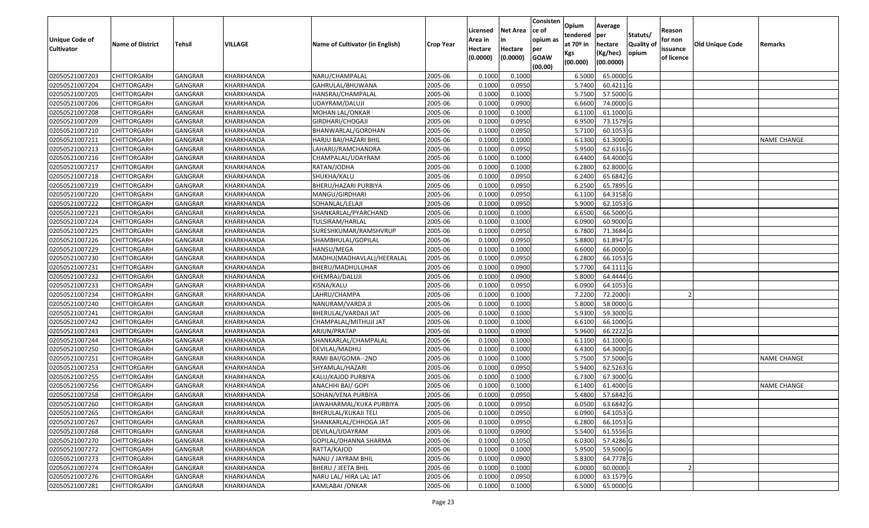| Unique Code of    |                         |                |            |                                 |                  | Licensed<br>Area in | <b>Net Area</b><br>in | Consisten<br>ce of<br>opium as | Opium<br>tendered              | Average<br>per                   | Statuts/                  | Reason<br>for non      |                        |                    |
|-------------------|-------------------------|----------------|------------|---------------------------------|------------------|---------------------|-----------------------|--------------------------------|--------------------------------|----------------------------------|---------------------------|------------------------|------------------------|--------------------|
| <b>Cultivator</b> | <b>Name of District</b> | Tehsil         | VILLAGE    | Name of Cultivator (in English) | <b>Crop Year</b> | Hectare<br>(0.0000) | Hectare<br>(0.0000)   | per<br><b>GOAW</b><br>(00.00)  | at $70°$ in<br>Kgs<br>(00.000) | hectare<br>(Kg/hec)<br>(00.0000) | <b>Quality o</b><br>opium | issuance<br>of licence | <b>Old Unique Code</b> | Remarks            |
| 02050521007203    | <b>CHITTORGARH</b>      | GANGRAR        | KHARKHANDA | NARU/CHAMPALAL                  | 2005-06          | 0.1000              | 0.1000                |                                | 6.5000                         | 65.0000G                         |                           |                        |                        |                    |
| 02050521007204    | CHITTORGARH             | GANGRAR        | KHARKHANDA | GAHRULAL/BHUWANA                | 2005-06          | 0.1000              | 0.0950                |                                | 5.7400                         | 60.4211 G                        |                           |                        |                        |                    |
| 02050521007205    | CHITTORGARH             | GANGRAR        | KHARKHANDA | HANSRAJ/CHAMPALAL               | 2005-06          | 0.1000              | 0.1000                |                                | 5.7500                         | 57.5000 G                        |                           |                        |                        |                    |
| 02050521007206    | <b>CHITTORGARH</b>      | <b>GANGRAR</b> | KHARKHANDA | UDAYRAM/DALUJI                  | 2005-06          | 0.1000              | 0.0900                |                                | 6.6600                         | 74.0000 G                        |                           |                        |                        |                    |
| 02050521007208    | CHITTORGARH             | GANGRAR        | KHARKHANDA | MOHAN LAL/ONKAR                 | 2005-06          | 0.1000              | 0.1000                |                                | 6.1100                         | 61.1000G                         |                           |                        |                        |                    |
| 02050521007209    | <b>CHITTORGARH</b>      | <b>GANGRAR</b> | KHARKHANDA | GIRDHARI/CHOGAJI                | 2005-06          | 0.1000              | 0.0950                |                                | 6.9500                         | 73.1579 G                        |                           |                        |                        |                    |
| 02050521007210    | CHITTORGARH             | GANGRAR        | KHARKHANDA | BHANWARLAL/GORDHAN              | 2005-06          | 0.1000              | 0.0950                |                                | 5.7100                         | 60.1053 G                        |                           |                        |                        |                    |
| 02050521007211    | <b>CHITTORGARH</b>      | <b>GANGRAR</b> | KHARKHANDA | HARJU BAI/HAZARI BHIL           | 2005-06          | 0.1000              | 0.1000                |                                | 6.1300                         | 61.3000G                         |                           |                        |                        | <b>NAME CHANGE</b> |
| 02050521007213    | CHITTORGARH             | <b>GANGRAR</b> | KHARKHANDA | LAHARU/RAMCHANDRA               | 2005-06          | 0.1000              | 0.0950                |                                | 5.9500                         | 62.6316 G                        |                           |                        |                        |                    |
| 02050521007216    | <b>CHITTORGARH</b>      | <b>GANGRAR</b> | KHARKHANDA | CHAMPALAL/UDAYRAM               | 2005-06          | 0.1000              | 0.1000                |                                | 6.4400                         | 64.4000 G                        |                           |                        |                        |                    |
| 02050521007217    | <b>CHITTORGARH</b>      | <b>GANGRAR</b> | KHARKHANDA | RATAN/JODHA                     | 2005-06          | 0.1000              | 0.1000                |                                | 6.2800                         | 62.8000 G                        |                           |                        |                        |                    |
| 02050521007218    | <b>CHITTORGARH</b>      | <b>GANGRAR</b> | KHARKHANDA | SHUKHA/KALU                     | 2005-06          | 0.1000              | 0.0950                |                                | 6.2400                         | 65.6842 G                        |                           |                        |                        |                    |
| 02050521007219    | <b>CHITTORGARH</b>      | <b>GANGRAR</b> | KHARKHANDA | BHERU/HAZARI PURBIYA            | 2005-06          | 0.1000              | 0.0950                |                                | 6.2500                         | 65.7895 G                        |                           |                        |                        |                    |
| 02050521007220    | <b>CHITTORGARH</b>      | GANGRAR        | KHARKHANDA | MANGU/GIRDHARI                  | 2005-06          | 0.1000              | 0.0950                |                                | 6.1100                         | 64.3158 G                        |                           |                        |                        |                    |
| 02050521007222    | <b>CHITTORGARH</b>      | <b>GANGRAR</b> | KHARKHANDA | SOHANLAL/LELAJI                 | 2005-06          | 0.1000              | 0.0950                |                                | 5.9000                         | 62.1053 G                        |                           |                        |                        |                    |
| 02050521007223    | <b>CHITTORGARH</b>      | <b>GANGRAR</b> | KHARKHANDA | SHANKARLAL/PYARCHAND            | 2005-06          | 0.1000              | 0.1000                |                                | 6.6500                         | 66.5000 G                        |                           |                        |                        |                    |
| 02050521007224    | CHITTORGARH             | <b>GANGRAR</b> | KHARKHANDA | TULSIRAM/HARLAL                 | 2005-06          | 0.1000              | 0.1000                |                                | 6.0900                         | 60.9000 G                        |                           |                        |                        |                    |
| 02050521007225    | CHITTORGARH             | <b>GANGRAR</b> | KHARKHANDA | SURESHKUMAR/RAMSHVRUP           | 2005-06          | 0.1000              | 0.0950                |                                | 6.7800                         | 71.3684 G                        |                           |                        |                        |                    |
| 02050521007226    | CHITTORGARH             | <b>GANGRAR</b> | KHARKHANDA | SHAMBHULAL/GOPILAL              | 2005-06          | 0.100               | 0.0950                |                                | 5.8800                         | 61.8947 G                        |                           |                        |                        |                    |
| 02050521007229    | CHITTORGARH             | GANGRAR        | KHARKHANDA | HANSU/MEGA                      | 2005-06          | 0.1000              | 0.1000                |                                | 6.6000                         | 66.0000 G                        |                           |                        |                        |                    |
| 02050521007230    | CHITTORGARH             | <b>GANGRAR</b> | KHARKHANDA | MADHU(MADHAVLAL)/HEERALAL       | 2005-06          | 0.1000              | 0.0950                |                                | 6.2800                         | 66.1053 G                        |                           |                        |                        |                    |
| 02050521007231    | CHITTORGARH             | GANGRAR        | KHARKHANDA | BHERU/MADHULUHAR                | 2005-06          | 0.1000              | 0.0900                |                                | 5.7700                         | $64.1111$ G                      |                           |                        |                        |                    |
| 02050521007232    | CHITTORGARH             | GANGRAR        | KHARKHANDA | KHEMRAJ/DALUJI                  | 2005-06          | 0.1000              | 0.0900                |                                | 5.8000                         | 64.4444 G                        |                           |                        |                        |                    |
| 02050521007233    | <b>CHITTORGARH</b>      | <b>GANGRAR</b> | KHARKHANDA | KISNA/KALU                      | 2005-06          | 0.1000              | 0.0950                |                                | 6.0900                         | 64.1053 G                        |                           |                        |                        |                    |
| 02050521007234    | <b>CHITTORGARH</b>      | <b>GANGRAR</b> | KHARKHANDA | LAHRU/CHAMPA                    | 2005-06          | 0.1000              | 0.1000                |                                | 7.2200                         | 72.2000                          |                           |                        |                        |                    |
| 02050521007240    | CHITTORGARH             | GANGRAR        | KHARKHANDA | NANURAM/VARDA JI                | 2005-06          | 0.1000              | 0.1000                |                                | 5.8000                         | 58.0000G                         |                           |                        |                        |                    |
| 02050521007241    | <b>CHITTORGARH</b>      | GANGRAR        | KHARKHANDA | BHERULAL/VARDAJI JAT            | 2005-06          | 0.1000              | 0.1000                |                                | 5.9300                         | 59.3000G                         |                           |                        |                        |                    |
| 02050521007242    | CHITTORGARH             | GANGRAR        | KHARKHANDA | CHAMPALAL/MITHUJI JAT           | 2005-06          | 0.1000              | 0.1000                |                                | 6.6100                         | 66.1000G                         |                           |                        |                        |                    |
| 02050521007243    | <b>CHITTORGARH</b>      | <b>GANGRAR</b> | KHARKHANDA | ARJUN/PRATAP                    | 2005-06          | 0.1000              | 0.0900                |                                | 5.9600                         | 66.2222 G                        |                           |                        |                        |                    |
| 02050521007244    | <b>CHITTORGARH</b>      | GANGRAR        | KHARKHANDA | SHANKARLAL/CHAMPALAL            | 2005-06          | 0.1000              | 0.1000                |                                | 6.1100                         | 61.1000G                         |                           |                        |                        |                    |
| 02050521007250    | CHITTORGARH             | GANGRAR        | KHARKHANDA | DEVILAL/MADHU                   | 2005-06          | 0.1000              | 0.1000                |                                | 6.4300                         | 64.3000 G                        |                           |                        |                        |                    |
| 02050521007251    | CHITTORGARH             | GANGRAR        | KHARKHANDA | RAMI BAI/GOMA--2ND              | 2005-06          | 0.1000              | 0.1000                |                                | 5.7500                         | 57.5000 G                        |                           |                        |                        | <b>NAME CHANGE</b> |
| 02050521007253    | CHITTORGARH             | <b>GANGRAR</b> | KHARKHANDA | SHYAMLAL/HAZARI                 | 2005-06          | 0.1000              | 0.0950                |                                | 5.9400                         | 62.5263 G                        |                           |                        |                        |                    |
| 02050521007255    | <b>CHITTORGARH</b>      | GANGRAR        | KHARKHANDA | KALU/KAJOD PURBIYA              | 2005-06          | 0.1000              | 0.1000                |                                | 6.7300                         | 67.3000 G                        |                           |                        |                        |                    |
| 02050521007256    | CHITTORGARH             | GANGRAR        | KHARKHANDA | ANACHHI BAI/ GOPI               | 2005-06          | 0.1000              | 0.1000                |                                | 6.1400                         | 61.4000G                         |                           |                        |                        | <b>NAME CHANGE</b> |
| 02050521007258    | CHITTORGARH             | GANGRAR        | KHARKHANDA | SOHAN/VENA PURBIYA              | 2005-06          | 0.1000              | 0.0950                |                                | 5.4800                         | 57.6842 G                        |                           |                        |                        |                    |
| 02050521007260    | <b>CHITTORGARH</b>      | GANGRAR        | KHARKHANDA | JAWAHARMAL/KUKA PURBIYA         | 2005-06          | 0.1000              | 0.0950                |                                | 6.0500                         | 63.6842 G                        |                           |                        |                        |                    |
| 02050521007265    | <b>CHITTORGARH</b>      | <b>GANGRAR</b> | KHARKHANDA | BHERULAL/KUKAJI TELI            | 2005-06          | 0.1000              | 0.0950                |                                | 6.0900                         | 64.1053 G                        |                           |                        |                        |                    |
| 02050521007267    | <b>CHITTORGARH</b>      | <b>GANGRAR</b> | KHARKHANDA | SHANKARLAL/CHHOGA JAT           | 2005-06          | 0.1000              | 0.0950                |                                | 6.2800                         | 66.1053 G                        |                           |                        |                        |                    |
| 02050521007268    | <b>CHITTORGARH</b>      | <b>GANGRAR</b> | KHARKHANDA | DEVILAL/UDAYRAM                 | 2005-06          | 0.1000              | 0.0900                |                                | 5.5400                         | 61.5556 G                        |                           |                        |                        |                    |
| 02050521007270    | <b>CHITTORGARH</b>      | <b>GANGRAR</b> | KHARKHANDA | GOPILAL/DHANNA SHARMA           | 2005-06          | 0.1000              | 0.1050                |                                | 6.0300                         | 57.4286 G                        |                           |                        |                        |                    |
| 02050521007272    | <b>CHITTORGARH</b>      | <b>GANGRAR</b> | KHARKHANDA | RATTA/KAJOD                     | 2005-06          | 0.1000              | 0.1000                |                                | 5.9500                         | 59.5000 G                        |                           |                        |                        |                    |
| 02050521007273    | <b>CHITTORGARH</b>      | <b>GANGRAR</b> | KHARKHANDA | NANU / JAYRAM BHIL              | 2005-06          | 0.1000              | 0.0900                |                                | 5.8300                         | 64.7778 G                        |                           |                        |                        |                    |
| 02050521007274    | <b>CHITTORGARH</b>      | <b>GANGRAR</b> | KHARKHANDA | <b>BHERU / JEETA BHIL</b>       | 2005-06          | 0.1000              | 0.1000                |                                | 6.0000                         | 60.0000                          |                           |                        |                        |                    |
| 02050521007276    | <b>CHITTORGARH</b>      | <b>GANGRAR</b> | KHARKHANDA | NARU LAL/ HIRA LAL JAT          | 2005-06          | 0.1000              | 0.0950                |                                | 6.0000                         | 63.1579 G                        |                           |                        |                        |                    |
| 02050521007281    | <b>CHITTORGARH</b>      | <b>GANGRAR</b> | KHARKHANDA | KAMLABAI / ONKAR                | 2005-06          | 0.1000              | 0.1000                |                                | 6.5000                         | 65.0000 G                        |                           |                        |                        |                    |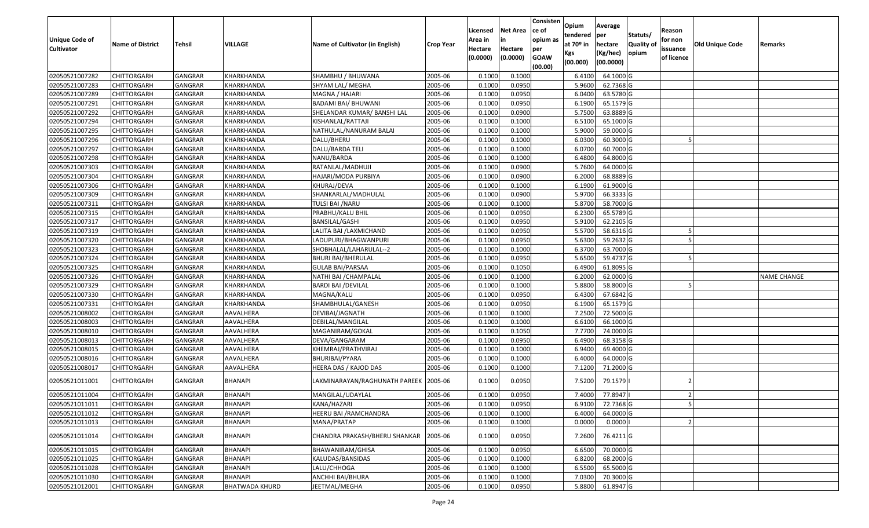| <b>Unique Code of</b><br><b>Cultivator</b> | <b>Name of District</b> | <b>Tehsil</b>  | VILLAGE               | Name of Cultivator (in English) | <b>Crop Year</b> | Licensed<br>Area in<br>Hectare<br>(0.0000) | <b>Net Area</b><br>in<br>Hectare<br>(0.0000) | Consisten<br>ce of<br>opium as<br>per<br><b>GOAW</b><br>(00.00) | Opium<br>tendered<br>at $70°$ in<br>Kgs<br>(00.000) | Average<br>per<br>hectare<br>(Kg/hec)<br>(00.0000) | Statuts/<br><b>Quality o</b><br>opium | Reason<br>for non<br>issuance<br>of licence | <b>Old Unique Code</b> | Remarks            |
|--------------------------------------------|-------------------------|----------------|-----------------------|---------------------------------|------------------|--------------------------------------------|----------------------------------------------|-----------------------------------------------------------------|-----------------------------------------------------|----------------------------------------------------|---------------------------------------|---------------------------------------------|------------------------|--------------------|
| 02050521007282                             | CHITTORGARH             | GANGRAR        | KHARKHANDA            | SHAMBHU / BHUWANA               | 2005-06          | 0.1000                                     | 0.1000                                       |                                                                 | 6.4100                                              | 64.1000 G                                          |                                       |                                             |                        |                    |
| 02050521007283                             | CHITTORGARH             | GANGRAR        | KHARKHANDA            | SHYAM LAL/ MEGHA                | 2005-06          | 0.1000                                     | 0.0950                                       |                                                                 | 5.9600                                              | 62.7368 G                                          |                                       |                                             |                        |                    |
| 02050521007289                             | CHITTORGARH             | GANGRAR        | KHARKHANDA            | MAGNA / HAJARI                  | 2005-06          | 0.1000                                     | 0.0950                                       |                                                                 | 6.0400                                              | 63.5780 G                                          |                                       |                                             |                        |                    |
| 02050521007291                             | <b>CHITTORGARH</b>      | <b>GANGRAR</b> | KHARKHANDA            | <b>BADAMI BAI/ BHUWANI</b>      | 2005-06          | 0.1000                                     | 0.0950                                       |                                                                 | 6.1900                                              | 65.1579 G                                          |                                       |                                             |                        |                    |
| 02050521007292                             | CHITTORGARH             | GANGRAR        | KHARKHANDA            | SHELANDAR KUMAR/ BANSHI LAL     | 2005-06          | 0.1000                                     | 0.0900                                       |                                                                 | 5.7500                                              | 63.8889 G                                          |                                       |                                             |                        |                    |
| 02050521007294                             | <b>CHITTORGARH</b>      | GANGRAR        | KHARKHANDA            | KISHANLAL/RATTAJI               | 2005-06          | 0.1000                                     | 0.1000                                       |                                                                 | 6.5100                                              | 65.1000G                                           |                                       |                                             |                        |                    |
| 02050521007295                             | CHITTORGARH             | GANGRAR        | KHARKHANDA            | NATHULAL/NANURAM BALAI          | 2005-06          | 0.1000                                     | 0.1000                                       |                                                                 | 5.9000                                              | 59.0000G                                           |                                       |                                             |                        |                    |
| 02050521007296                             | CHITTORGARH             | <b>GANGRAR</b> | KHARKHANDA            | DALU/BHERU                      | 2005-06          | 0.1000                                     | 0.1000                                       |                                                                 | 6.0300                                              | 60.3000 G                                          |                                       |                                             |                        |                    |
| 02050521007297                             | CHITTORGARH             | <b>GANGRAR</b> | KHARKHANDA            | DALU/BARDA TELI                 | 2005-06          | 0.1000                                     | 0.1000                                       |                                                                 | 6.0700                                              | 60.7000 G                                          |                                       |                                             |                        |                    |
| 02050521007298                             | <b>CHITTORGARH</b>      | GANGRAR        | KHARKHANDA            | NANU/BARDA                      | 2005-06          | 0.1000                                     | 0.1000                                       |                                                                 | 6.4800                                              | 64.8000 G                                          |                                       |                                             |                        |                    |
| 02050521007303                             | CHITTORGARH             | GANGRAR        | KHARKHANDA            | RATANLAL/MADHUJI                | 2005-06          | 0.1000                                     | 0.0900                                       |                                                                 | 5.7600                                              | 64.0000G                                           |                                       |                                             |                        |                    |
| 02050521007304                             | <b>CHITTORGARH</b>      | <b>GANGRAR</b> | KHARKHANDA            | HAJARI/MODA PURBIYA             | 2005-06          | 0.1000                                     | 0.0900                                       |                                                                 | 6.2000                                              | 68.8889 G                                          |                                       |                                             |                        |                    |
| 02050521007306                             | <b>CHITTORGARH</b>      | <b>GANGRAR</b> | KHARKHANDA            | KHURAJ/DEVA                     | 2005-06          | 0.1000                                     | 0.1000                                       |                                                                 | 6.1900                                              | 61.9000G                                           |                                       |                                             |                        |                    |
| 02050521007309                             | CHITTORGARH             | GANGRAR        | KHARKHANDA            | SHANKARLAL/MADHULAL             | 2005-06          | 0.1000                                     | 0.0900                                       |                                                                 | 5.9700                                              | 66.3333 G                                          |                                       |                                             |                        |                    |
| 02050521007311                             | <b>CHITTORGARH</b>      | <b>GANGRAR</b> | KHARKHANDA            | TULSI BAI / NARU                | 2005-06          | 0.1000                                     | 0.1000                                       |                                                                 | 5.8700                                              | 58.7000 G                                          |                                       |                                             |                        |                    |
| 02050521007315                             | <b>CHITTORGARH</b>      | <b>GANGRAR</b> | KHARKHANDA            | PRABHU/KALU BHIL                | 2005-06          | 0.1000                                     | 0.0950                                       |                                                                 | 6.2300                                              | 65.5789 G                                          |                                       |                                             |                        |                    |
| 02050521007317                             | <b>CHITTORGARH</b>      | <b>GANGRAR</b> | KHARKHANDA            | <b>BANSILAL/GASHI</b>           | 2005-06          | 0.1000                                     | 0.0950                                       |                                                                 | 5.9100                                              | 62.2105 G                                          |                                       |                                             |                        |                    |
| 02050521007319                             | CHITTORGARH             | <b>GANGRAR</b> | KHARKHANDA            | LALITA BAI /LAXMICHAND          | 2005-06          | 0.1000                                     | 0.0950                                       |                                                                 | 5.5700                                              | 58.6316 G                                          |                                       |                                             |                        |                    |
| 02050521007320                             | CHITTORGARH             | <b>GANGRAR</b> | KHARKHANDA            | LADUPURI/BHAGWANPURI            | 2005-06          | 0.1000                                     | 0.0950                                       |                                                                 | 5.6300                                              | 59.2632 G                                          |                                       |                                             |                        |                    |
| 02050521007323                             | CHITTORGARH             | GANGRAR        | KHARKHANDA            | SHOBHALAL/LAHARULAL--2          | 2005-06          | 0.1000                                     | 0.1000                                       |                                                                 | 6.3700                                              | 63.7000 G                                          |                                       |                                             |                        |                    |
| 02050521007324                             | CHITTORGARH             | <b>GANGRAR</b> | KHARKHANDA            | <b>BHURI BAI/BHERULAL</b>       | 2005-06          | 0.1000                                     | 0.0950                                       |                                                                 | 5.6500                                              | 59.4737 G                                          |                                       |                                             |                        |                    |
| 02050521007325                             | CHITTORGARH             | GANGRAR        | KHARKHANDA            | GULAB BAI/PARSAA                | 2005-06          | 0.1000                                     | 0.1050                                       |                                                                 | 6.4900                                              | 61.8095 G                                          |                                       |                                             |                        |                    |
| 02050521007326                             | CHITTORGARH             | GANGRAR        | KHARKHANDA            | NATHI BAI /CHAMPALAL            | 2005-06          | 0.1000                                     | 0.1000                                       |                                                                 | 6.2000                                              | 62.0000G                                           |                                       |                                             |                        | <b>NAME CHANGE</b> |
| 02050521007329                             | <b>CHITTORGARH</b>      | <b>GANGRAR</b> | KHARKHANDA            | <b>BARDI BAI / DEVILAL</b>      | 2005-06          | 0.1000                                     | 0.1000                                       |                                                                 | 5.8800                                              | 58.8000 G                                          |                                       |                                             |                        |                    |
| 02050521007330                             | <b>CHITTORGARH</b>      | <b>GANGRAR</b> | KHARKHANDA            | MAGNA/KALU                      | 2005-06          | 0.1000                                     | 0.0950                                       |                                                                 | 6.4300                                              | 67.6842 G                                          |                                       |                                             |                        |                    |
| 02050521007331                             | CHITTORGARH             | GANGRAR        | KHARKHANDA            | SHAMBHULAL/GANESH               | 2005-06          | 0.1000                                     | 0.0950                                       |                                                                 | 6.1900                                              | 65.1579 G                                          |                                       |                                             |                        |                    |
| 02050521008002                             | <b>CHITTORGARH</b>      | GANGRAR        | AAVALHERA             | DEVIBAI/JAGNATH                 | 2005-06          | 0.1000                                     | 0.1000                                       |                                                                 | 7.2500                                              | 72.5000 G                                          |                                       |                                             |                        |                    |
| 02050521008003                             | CHITTORGARH             | GANGRAR        | AAVALHERA             | DEBILAL/MANGILAL                | 2005-06          | 0.1000                                     | 0.1000                                       |                                                                 | 6.6100                                              | 66.1000G                                           |                                       |                                             |                        |                    |
| 02050521008010                             | <b>CHITTORGARH</b>      | <b>GANGRAR</b> | AAVALHERA             | MAGANIRAM/GOKAL                 | 2005-06          | 0.1000                                     | 0.1050                                       |                                                                 | 7.7700                                              | 74.0000G                                           |                                       |                                             |                        |                    |
| 02050521008013                             | <b>CHITTORGARH</b>      | <b>GANGRAR</b> | AAVALHERA             | DEVA/GANGARAM                   | 2005-06          | 0.1000                                     | 0.0950                                       |                                                                 | 6.4900                                              | 68.3158 G                                          |                                       |                                             |                        |                    |
| 02050521008015                             | CHITTORGARH             | <b>GANGRAR</b> | AAVALHERA             | KHEMRAJ/PRATHVIRAJ              | 2005-06          | 0.1000                                     | 0.1000                                       |                                                                 | 6.9400                                              | 69.4000 G                                          |                                       |                                             |                        |                    |
| 02050521008016                             | CHITTORGARH             | GANGRAR        | AAVALHERA             | BHURIBAI/PYARA                  | 2005-06          | 0.1000                                     | 0.1000                                       |                                                                 | 6.4000                                              | 64.0000G                                           |                                       |                                             |                        |                    |
| 02050521008017                             | CHITTORGARH             | <b>GANGRAR</b> | AAVALHERA             | HEERA DAS / KAJOD DAS           | 2005-06          | 0.1000                                     | 0.1000                                       |                                                                 | 7.1200                                              | 71.2000 G                                          |                                       |                                             |                        |                    |
| 02050521011001                             | CHITTORGARH             | GANGRAR        | BHANAPI               | LAXMINARAYAN/RAGHUNATH PAREEK   | 2005-06          | 0.1000                                     | 0.0950                                       |                                                                 | 7.5200                                              | 79.1579                                            |                                       |                                             |                        |                    |
| 02050521011004                             | CHITTORGARH             | <b>GANGRAR</b> | BHANAPI               | MANGILAL/UDAYLAL                | 2005-06          | 0.1000                                     | 0.0950                                       |                                                                 | 7.4000                                              | 77.8947                                            |                                       |                                             |                        |                    |
| 02050521011011                             | <b>CHITTORGARH</b>      | GANGRAR        | <b>BHANAPI</b>        | KANA/HAZARI                     | 2005-06          | 0.1000                                     | 0.0950                                       |                                                                 | 6.9100                                              | 72.7368 G                                          |                                       |                                             |                        |                    |
| 02050521011012                             | <b>CHITTORGARH</b>      | <b>GANGRAR</b> | BHANAPI               | HEERU BAI /RAMCHANDRA           | 2005-06          | 0.1000                                     | 0.1000                                       |                                                                 | 6.4000                                              | 64.0000 G                                          |                                       |                                             |                        |                    |
| 02050521011013                             | <b>CHITTORGARH</b>      | <b>GANGRAR</b> | BHANAPI               | MANA/PRATAP                     | 2005-06          | 0.1000                                     | 0.1000                                       |                                                                 | 0.0000                                              | 0.0000                                             |                                       |                                             |                        |                    |
| 02050521011014                             | <b>CHITTORGARH</b>      | <b>GANGRAR</b> | BHANAPI               | CHANDRA PRAKASH/BHERU SHANKAR   | 2005-06          | 0.1000                                     | 0.0950                                       |                                                                 | 7.2600                                              | 76.4211 G                                          |                                       |                                             |                        |                    |
| 02050521011015                             | <b>CHITTORGARH</b>      | <b>GANGRAR</b> | <b>BHANAPI</b>        | BHAWANIRAM/GHISA                | 2005-06          | 0.1000                                     | 0.0950                                       |                                                                 | 6.6500                                              | 70.0000 G                                          |                                       |                                             |                        |                    |
| 02050521011025                             | <b>CHITTORGARH</b>      | <b>GANGRAR</b> | BHANAPI               | KALUDAS/BANSIDAS                | 2005-06          | 0.1000                                     | 0.1000                                       |                                                                 | 6.8200                                              | 68.2000 G                                          |                                       |                                             |                        |                    |
| 02050521011028                             | <b>CHITTORGARH</b>      | <b>GANGRAR</b> | BHANAPI               | LALU/CHHOGA                     | 2005-06          | 0.1000                                     | 0.1000                                       |                                                                 | 6.5500                                              | 65.5000 G                                          |                                       |                                             |                        |                    |
| 02050521011030                             | <b>CHITTORGARH</b>      | <b>GANGRAR</b> | BHANAPI               | ANCHHI BAI/BHURA                | 2005-06          | 0.1000                                     | 0.1000                                       |                                                                 | 7.0300                                              | 70.3000 G                                          |                                       |                                             |                        |                    |
| 02050521012001                             | <b>CHITTORGARH</b>      | <b>GANGRAR</b> | <b>BHATWADA KHURD</b> | JEETMAL/MEGHA                   | 2005-06          | 0.1000                                     | 0.0950                                       |                                                                 | 5.8800                                              | 61.8947 G                                          |                                       |                                             |                        |                    |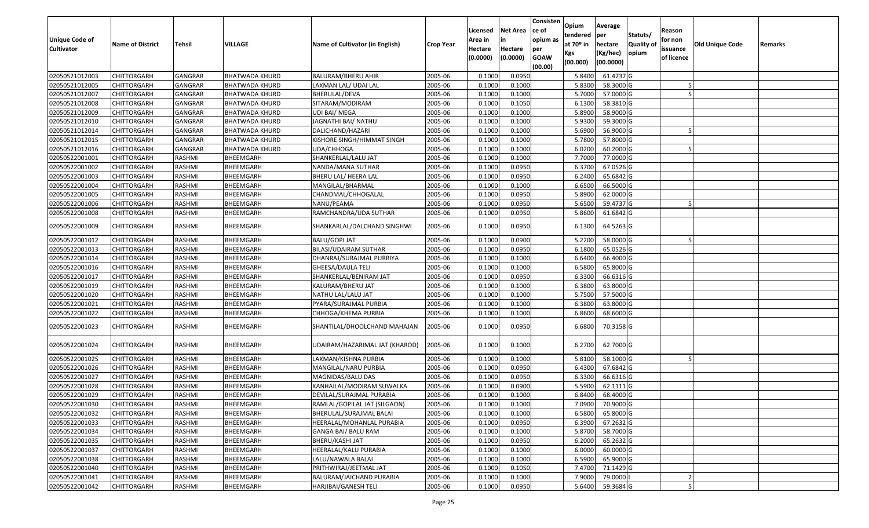| <b>Unique Code of</b> | <b>Name of District</b> | Tehsil         | <b>VILLAGE</b>        | Name of Cultivator (in English) | <b>Crop Year</b> | Licensed<br>Area in | <b>Net Area</b><br>in | Consisten<br>ce of<br>opium as | Opium<br>tendered<br>at $70°$ in | Average<br>per<br>hectare | Statuts/<br>Quality o | Reason<br>for non      | <b>Old Unique Code</b> | Remarks |
|-----------------------|-------------------------|----------------|-----------------------|---------------------------------|------------------|---------------------|-----------------------|--------------------------------|----------------------------------|---------------------------|-----------------------|------------------------|------------------------|---------|
| <b>Cultivator</b>     |                         |                |                       |                                 |                  | Hectare<br>(0.0000) | Hectare<br>(0.0000)   | per<br><b>GOAW</b><br>(00.00)  | Kgs<br>(00.000)                  | (Kg/hec)<br>(00.0000)     | opium                 | issuance<br>of licence |                        |         |
| 02050521012003        | <b>CHITTORGARH</b>      | GANGRAR        | <b>BHATWADA KHURD</b> | <b>BALURAM/BHERU AHIR</b>       | 2005-06          | 0.1000              | 0.0950                |                                | 5.8400                           | 61.4737 G                 |                       |                        |                        |         |
| 02050521012005        | CHITTORGARH             | <b>GANGRAR</b> | <b>BHATWADA KHURD</b> | LAXMAN LAL/ UDAI LAL            | 2005-06          | 0.1000              | 0.1000                |                                | 5.8300                           | 58.3000 G                 |                       |                        |                        |         |
| 02050521012007        | CHITTORGARH             | <b>GANGRAR</b> | <b>BHATWADA KHURD</b> | BHERULAL/DEVA                   | 2005-06          | 0.1000              | 0.1000                |                                | 5.7000                           | 57.0000 G                 |                       |                        |                        |         |
| 02050521012008        | <b>CHITTORGARH</b>      | <b>GANGRAR</b> | <b>BHATWADA KHURD</b> | SITARAM/MODIRAM                 | 2005-06          | 0.1000              | 0.1050                |                                | 6.1300                           | 58.3810 G                 |                       |                        |                        |         |
| 02050521012009        | CHITTORGARH             | GANGRAR        | <b>BHATWADA KHURD</b> | UDI BAI/ MEGA                   | 2005-06          | 0.1000              | 0.1000                |                                | 5.8900                           | 58.9000 G                 |                       |                        |                        |         |
| 02050521012010        | CHITTORGARH             | <b>GANGRAR</b> | <b>BHATWADA KHURD</b> | JAGNATHI BAI/ NATHU             | 2005-06          | 0.1000              | 0.1000                |                                | 5.9300                           | 59.3000 G                 |                       |                        |                        |         |
| 02050521012014        | CHITTORGARH             | GANGRAR        | BHATWADA KHURD        | DALICHAND/HAZARI                | 2005-06          | 0.1000              | 0.1000                |                                | 5.6900                           | 56.9000 G                 |                       |                        |                        |         |
| 02050521012015        | <b>CHITTORGARH</b>      | <b>GANGRAR</b> | <b>BHATWADA KHURD</b> | KISHORE SINGH/HIMMAT SINGH      | 2005-06          | 0.1000              | 0.1000                |                                | 5.7800                           | 57.8000 G                 |                       |                        |                        |         |
| 02050521012016        | <b>CHITTORGARH</b>      | <b>GANGRAR</b> | <b>BHATWADA KHURD</b> | UDA/CHHOGA                      | 2005-06          | 0.1000              | 0.1000                |                                | 6.0200                           | 60.2000 G                 |                       |                        |                        |         |
| 02050522001001        | CHITTORGARH             | RASHMI         | BHEEMGARH             | SHANKERLAL/LALU JAT             | 2005-06          | 0.1000              | 0.1000                |                                | 7.7000                           | 77.0000 G                 |                       |                        |                        |         |
| 02050522001002        | CHITTORGARH             | RASHMI         | BHEEMGARH             | NANDA/MANA SUTHAR               | 2005-06          | 0.1000              | 0.0950                |                                | 6.3700                           | 67.0526 G                 |                       |                        |                        |         |
| 02050522001003        | <b>CHITTORGARH</b>      | RASHMI         | BHEEMGARH             | BHERU LAL/ HEERA LAL            | 2005-06          | 0.1000              | 0.0950                |                                | 6.2400                           | 65.6842 G                 |                       |                        |                        |         |
| 02050522001004        | <b>CHITTORGARH</b>      | RASHMI         | BHEEMGARH             | MANGILAL/BHARMAL                | 2005-06          | 0.1000              | 0.1000                |                                | 6.6500                           | 66.5000G                  |                       |                        |                        |         |
| 02050522001005        | <b>CHITTORGARH</b>      | RASHMI         | BHEEMGARH             | CHANDMAL/CHHOGALAL              | 2005-06          | 0.1000              | 0.0950                |                                | 5.8900                           | 62.0000 G                 |                       |                        |                        |         |
| 02050522001006        | CHITTORGARH             | RASHMI         | BHEEMGARH             | NANU/PEAMA                      | 2005-06          | 0.1000              | 0.0950                |                                | 5.6500                           | 59.4737 G                 |                       |                        |                        |         |
| 02050522001008        | <b>CHITTORGARH</b>      | RASHMI         | BHEEMGARH             | RAMCHANDRA/UDA SUTHAR           | 2005-06          | 0.1000              | 0.0950                |                                | 5.8600                           | 61.6842 G                 |                       |                        |                        |         |
| 02050522001009        | CHITTORGARH             | RASHMI         | BHEEMGARH             | SHANKARLAL/DALCHAND SINGHWI     | 2005-06          | 0.1000              | 0.0950                |                                | 6.1300                           | 64.5263 G                 |                       |                        |                        |         |
| 02050522001012        | CHITTORGARH             | RASHMI         | BHEEMGARH             | <b>BALU/GOPI JAT</b>            | 2005-06          | 0.1000              | 0.0900                |                                | 5.2200                           | 58.0000 G                 |                       |                        |                        |         |
| 02050522001013        | CHITTORGARH             | RASHMI         | BHEEMGARH             | BILASI/UDAIRAM SUTHAR           | 2005-06          | 0.1000              | 0.0950                |                                | 6.1800                           | 65.0526 G                 |                       |                        |                        |         |
| 02050522001014        | CHITTORGARH             | RASHMI         | BHEEMGARH             | DHANRAJ/SURAJMAL PURBIYA        | 2005-06          | 0.1000              | 0.1000                |                                | 6.6400                           | 66.4000 G                 |                       |                        |                        |         |
| 02050522001016        | CHITTORGARH             | RASHMI         | BHEEMGARH             | GHEESA/DAULA TELI               | 2005-06          | 0.1000              | 0.1000                |                                | 6.5800                           | 65.8000 G                 |                       |                        |                        |         |
| 02050522001017        | CHITTORGARH             | RASHMI         | BHEEMGARH             | SHANKERLAL/BENIRAM JAT          | 2005-06          | 0.1000              | 0.0950                |                                | 6.3300                           | 66.6316 G                 |                       |                        |                        |         |
| 02050522001019        | <b>CHITTORGARH</b>      | RASHMI         | BHEEMGARH             | KALURAM/BHERU JAT               | 2005-06          | 0.100               | 0.1000                |                                | 6.3800                           | 63.8000 G                 |                       |                        |                        |         |
| 02050522001020        | CHITTORGARH             | RASHMI         | BHEEMGARH             | NATHU LAL/LALU JAT              | 2005-06          | 0.1000              | 0.1000                |                                | 5.7500                           | 57.5000G                  |                       |                        |                        |         |
| 02050522001021        | CHITTORGARH             | RASHMI         | BHEEMGARH             | PYARA/SURAJMAL PURBIA           | 2005-06          | 0.1000              | 0.1000                |                                | 6.3800                           | 63.8000 G                 |                       |                        |                        |         |
| 02050522001022        | CHITTORGARH             | RASHMI         | BHEEMGARH             | CHHOGA/KHEMA PURBIA             | 2005-06          | 0.1000              | 0.1000                |                                | 6.8600                           | 68.6000 G                 |                       |                        |                        |         |
| 02050522001023        | CHITTORGARH             | RASHMI         | BHEEMGARH             | SHANTILAL/DHOOLCHAND MAHAJAN    | 2005-06          | 0.1000              | 0.0950                |                                | 6.6800                           | 70.3158 G                 |                       |                        |                        |         |
| 02050522001024        | CHITTORGARH             | RASHMI         | BHEEMGARH             | UDAIRAM/HAZARIMAL JAT (KHAROD)  | 2005-06          | 0.1000              | 0.1000                |                                | 6.2700                           | 62.7000 G                 |                       |                        |                        |         |
| 02050522001025        | <b>CHITTORGARH</b>      | RASHMI         | BHEEMGARH             | LAXMAN/KISHNA PURBIA            | 2005-06          | 0.1000              | 0.1000                |                                | 5.8100                           | 58.1000 G                 |                       |                        |                        |         |
| 02050522001026        | <b>CHITTORGARH</b>      | RASHMI         | BHEEMGARH             | MANGILAL/NARU PURBIA            | 2005-06          | 0.1000              | 0.0950                |                                | 6.4300                           | 67.6842 G                 |                       |                        |                        |         |
| 02050522001027        | <b>CHITTORGARH</b>      | RASHMI         | BHEEMGARH             | MAGNIDAS/BALU DAS               | 2005-06          | 0.1000              | 0.0950                |                                | 6.3300                           | 66.6316 G                 |                       |                        |                        |         |
| 02050522001028        | CHITTORGARH             | RASHMI         | BHEEMGARH             | KANHAILAL/MODIRAM SUWALKA       | 2005-06          | 0.100               | 0.0900                |                                | 5.5900                           | $62.1111$ G               |                       |                        |                        |         |
| 02050522001029        | CHITTORGARH             | RASHMI         | BHEEMGARH             | DEVILAL/SURAJMAL PURABIA        | 2005-06          | 0.1000              | 0.1000                |                                | 6.8400                           | 68.4000 G                 |                       |                        |                        |         |
| 02050522001030        | <b>CHITTORGARH</b>      | RASHMI         | BHEEMGARH             | RAMLAL/GOPILAL JAT (SILGAON)    | 2005-06          | 0.1000              | 0.1000                |                                | 7.0900                           | 70.9000 G                 |                       |                        |                        |         |
| 02050522001032        | <b>CHITTORGARH</b>      | RASHMI         | BHEEMGARH             | BHERULAL/SURAJMAL BALAI         | 2005-06          | 0.1000              | 0.1000                |                                | 6.5800                           | 65.8000 G                 |                       |                        |                        |         |
| 02050522001033        | <b>CHITTORGARH</b>      | RASHMI         | BHEEMGARH             | HEERALAL/MOHANLAL PURABIA       | 2005-06          | 0.1000              | 0.0950                |                                | 6.3900                           | 67.2632 G                 |                       |                        |                        |         |
| 02050522001034        | <b>CHITTORGARH</b>      | RASHMI         | BHEEMGARH             | GANGA BAI/ BALU RAM             | 2005-06          | 0.1000              | 0.1000                |                                | 5.8700                           | 58.7000 G                 |                       |                        |                        |         |
| 02050522001035        | <b>CHITTORGARH</b>      | RASHMI         | BHEEMGARH             | BHERU/KASHI JAT                 | 2005-06          | 0.1000              | 0.0950                |                                | 6.2000                           | 65.2632 G                 |                       |                        |                        |         |
| 02050522001037        | <b>CHITTORGARH</b>      | RASHMI         | BHEEMGARH             | HEERALAL/KALU PURABIA           | 2005-06          | 0.1000              | 0.1000                |                                | 6.0000                           | 60.0000 G                 |                       |                        |                        |         |
| 02050522001038        | <b>CHITTORGARH</b>      | RASHMI         | BHEEMGARH             | LALU/NAWALA BALAI               | 2005-06          | 0.1000              | 0.1000                |                                | 6.5900                           | 65.9000 G                 |                       |                        |                        |         |
| 02050522001040        | <b>CHITTORGARH</b>      | RASHMI         | BHEEMGARH             | PRITHWIRAJ/JEETMAL JAT          | 2005-06          | 0.1000              | 0.1050                |                                | 7.4700                           | 71.1429 G                 |                       |                        |                        |         |
| 02050522001041        | CHITTORGARH             | RASHMI         | BHEEMGARH             | BALURAM/JAICHAND PURABIA        | 2005-06          | 0.1000              | 0.1000                |                                | 7.9000                           | 79.0000                   |                       |                        |                        |         |
| 02050522001042        | <b>CHITTORGARH</b>      | RASHMI         | BHEEMGARH             | HARJIBAI/GANESH TELI            | 2005-06          | 0.1000              | 0.0950                |                                | 5.6400                           | 59.3684 G                 |                       |                        |                        |         |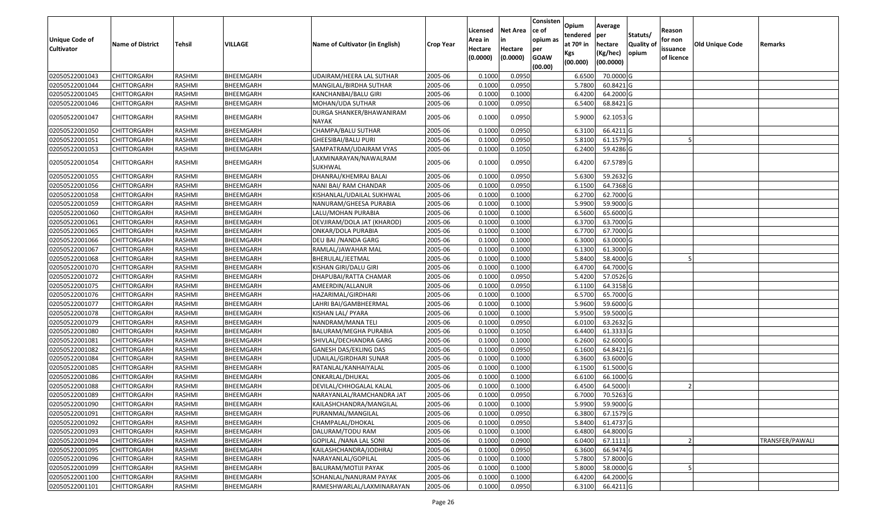| <b>Unique Code of</b><br><b>Cultivator</b> | <b>Name of District</b> | Tehsil        | VILLAGE          | Name of Cultivator (in English)          | <b>Crop Year</b> | Licensed<br>Area in<br>Hectare<br>(0.0000) | Net Area<br>in<br>Hectare<br>(0.0000) | Consisten<br>ce of<br>opium as<br>per<br><b>GOAW</b><br>(00.00) | Opium<br>tendered<br>at $70°$ in<br>Kgs<br>(00.000) | Average<br> per<br>hectare<br>(Kg/hec)<br>(00.0000) | Statuts/<br><b>Quality of</b><br>opium | Reason<br>for non<br>issuance<br>of licence | <b>Old Unique Code</b> | Remarks         |
|--------------------------------------------|-------------------------|---------------|------------------|------------------------------------------|------------------|--------------------------------------------|---------------------------------------|-----------------------------------------------------------------|-----------------------------------------------------|-----------------------------------------------------|----------------------------------------|---------------------------------------------|------------------------|-----------------|
| 02050522001043                             | <b>CHITTORGARH</b>      | RASHMI        | BHEEMGARH        | <b>UDAIRAM/HEERA LAL SUTHAR</b>          | 2005-06          | 0.1000                                     | 0.0950                                |                                                                 | 6.6500                                              | 70.0000 G                                           |                                        |                                             |                        |                 |
| 02050522001044                             | CHITTORGARH             | RASHMI        | BHEEMGARH        | MANGILAL/BIRDHA SUTHAR                   | 2005-06          | 0.1000                                     | 0.0950                                |                                                                 | 5.7800                                              | 60.8421 G                                           |                                        |                                             |                        |                 |
| 02050522001045                             | CHITTORGARH             | RASHMI        | BHEEMGARH        | KANCHANBAI/BALU GIRI                     | 2005-06          | 0.1000                                     | 0.1000                                |                                                                 | 6.4200                                              | 64.2000 G                                           |                                        |                                             |                        |                 |
| 02050522001046                             | CHITTORGARH             | RASHMI        | BHEEMGARH        | MOHAN/UDA SUTHAR                         | 2005-06          | 0.1000                                     | 0.0950                                |                                                                 | 6.5400                                              | 68.8421 G                                           |                                        |                                             |                        |                 |
| 02050522001047                             | CHITTORGARH             | RASHMI        | BHEEMGARH        | DURGA SHANKER/BHAWANIRAM<br><b>NAYAK</b> | 2005-06          | 0.1000                                     | 0.0950                                |                                                                 | 5.9000                                              | 62.1053 G                                           |                                        |                                             |                        |                 |
| 02050522001050                             | CHITTORGARH             | RASHMI        | BHEEMGARH        | CHAMPA/BALU SUTHAR                       | 2005-06          | 0.1000                                     | 0.0950                                |                                                                 | 6.3100                                              | 66.4211 G                                           |                                        |                                             |                        |                 |
| 02050522001051                             | <b>CHITTORGARH</b>      | RASHMI        | BHEEMGARH        | GHEESIBAI/BALU PURI                      | 2005-06          | 0.1000                                     | 0.0950                                |                                                                 | 5.8100                                              | 61.1579 G                                           |                                        |                                             |                        |                 |
| 02050522001053                             | <b>CHITTORGARH</b>      | RASHMI        | BHEEMGARH        | SAMPATRAM/UDAIRAM VYAS                   | 2005-06          | 0.1000                                     | 0.1050                                |                                                                 | 6.2400                                              | 59.4286 G                                           |                                        |                                             |                        |                 |
| 02050522001054                             | CHITTORGARH             | RASHMI        | BHEEMGARH        | LAXMINARAYAN/NAWALRAM<br>SUKHWAL         | 2005-06          | 0.1000                                     | 0.0950                                |                                                                 | 6.4200                                              | 67.5789 G                                           |                                        |                                             |                        |                 |
| 02050522001055                             | <b>CHITTORGARH</b>      | RASHMI        | BHEEMGARH        | DHANRAJ/KHEMRAJ BALAI                    | 2005-06          | 0.1000                                     | 0.0950                                |                                                                 | 5.6300                                              | 59.2632 G                                           |                                        |                                             |                        |                 |
| 02050522001056                             | CHITTORGARH             | RASHMI        | BHEEMGARH        | NANI BAI/ RAM CHANDAR                    | 2005-06          | 0.1000                                     | 0.0950                                |                                                                 | 6.1500                                              | 64.7368 G                                           |                                        |                                             |                        |                 |
| 02050522001058                             | <b>CHITTORGARH</b>      | RASHMI        | BHEEMGARH        | KISHANLAL/UDAILAL SUKHWAL                | 2005-06          | 0.1000                                     | 0.1000                                |                                                                 | 6.2700                                              | 62.7000 G                                           |                                        |                                             |                        |                 |
| 02050522001059                             | <b>CHITTORGARH</b>      | RASHMI        | BHEEMGARH        | NANURAM/GHEESA PURABIA                   | 2005-06          | 0.1000                                     | 0.1000                                |                                                                 | 5.9900                                              | 59.9000 G                                           |                                        |                                             |                        |                 |
| 02050522001060                             | CHITTORGARH             | RASHMI        | BHEEMGARH        | LALU/MOHAN PURABIA                       | 2005-06          | 0.1000                                     | 0.1000                                |                                                                 | 6.5600                                              | 65.6000 G                                           |                                        |                                             |                        |                 |
| 02050522001061                             | CHITTORGARH             | RASHMI        | <b>BHEEMGARH</b> | DEVJIRAM/DOLA JAT (KHAROD)               | 2005-06          | 0.1000                                     | 0.1000                                |                                                                 | 6.3700                                              | 63.7000 G                                           |                                        |                                             |                        |                 |
| 02050522001065                             | CHITTORGARH             | RASHMI        | BHEEMGARH        | ONKAR/DOLA PURABIA                       | 2005-06          | 0.1000                                     | 0.1000                                |                                                                 | 6.7700                                              | 67.7000 G                                           |                                        |                                             |                        |                 |
| 02050522001066                             | CHITTORGARH             | RASHMI        | BHEEMGARH        | DEU BAI / NANDA GARG                     | 2005-06          | 0.1000                                     | 0.1000                                |                                                                 | 6.3000                                              | 63.0000 G                                           |                                        |                                             |                        |                 |
| 02050522001067                             | CHITTORGARH             | RASHMI        | BHEEMGARH        | RAMLAL/JAWAHAR MAL                       | 2005-06          | 0.1000                                     | 0.1000                                |                                                                 | 6.1300                                              | 61.3000 G                                           |                                        |                                             |                        |                 |
| 02050522001068                             | <b>CHITTORGARH</b>      | RASHMI        | BHEEMGARH        | BHERULAL/JEETMAL                         | 2005-06          | 0.1000                                     | 0.1000                                |                                                                 | 5.8400                                              | 58.4000 G                                           |                                        |                                             |                        |                 |
| 02050522001070                             | CHITTORGARH             | RASHMI        | BHEEMGARH        | KISHAN GIRI/DALU GIRI                    | 2005-06          | 0.1000                                     | 0.1000                                |                                                                 | 6.4700                                              | 64.7000 G                                           |                                        |                                             |                        |                 |
| 02050522001072                             | CHITTORGARH             | RASHMI        | BHEEMGARH        | DHAPUBAI/RATTA CHAMAR                    | 2005-06          | 0.1000                                     | 0.0950                                |                                                                 | 5.4200                                              | 57.0526 G                                           |                                        |                                             |                        |                 |
| 02050522001075                             | CHITTORGARH             | RASHMI        | BHEEMGARH        | AMEERDIN/ALLANUR                         | 2005-06          | 0.1000                                     | 0.0950                                |                                                                 | 6.1100                                              | 64.3158 G                                           |                                        |                                             |                        |                 |
| 02050522001076                             | <b>CHITTORGARH</b>      | RASHMI        | BHEEMGARH        | HAZARIMAL/GIRDHARI                       | 2005-06          | 0.1000                                     | 0.1000                                |                                                                 | 6.5700                                              | 65.7000 G                                           |                                        |                                             |                        |                 |
| 02050522001077                             | <b>CHITTORGARH</b>      | RASHMI        | BHEEMGARH        | LAHRI BAI/GAMBHEERMAL                    | 2005-06          | 0.1000                                     | 0.1000                                |                                                                 | 5.9600                                              | 59.6000 G                                           |                                        |                                             |                        |                 |
| 02050522001078                             | <b>CHITTORGARH</b>      | RASHMI        | BHEEMGARH        | KISHAN LAL/ PYARA                        | 2005-06          | 0.1000                                     | 0.1000                                |                                                                 | 5.9500                                              | 59.5000 G                                           |                                        |                                             |                        |                 |
| 02050522001079                             | CHITTORGARH             | RASHMI        | BHEEMGARH        | NANDRAM/MANA TELI                        | 2005-06          | 0.1000                                     | 0.0950                                |                                                                 | 6.0100                                              | 63.2632 G                                           |                                        |                                             |                        |                 |
| 02050522001080                             | <b>CHITTORGARH</b>      | RASHMI        | BHEEMGARH        | BALURAM/MEGHA PURABIA                    | 2005-06          | 0.1000                                     | 0.1050                                |                                                                 | 6.4400                                              | 61.3333 G                                           |                                        |                                             |                        |                 |
| 02050522001081                             | <b>CHITTORGARH</b>      | RASHMI        | BHEEMGARH        | SHIVLAL/DECHANDRA GARG                   | 2005-06          | 0.1000                                     | 0.1000                                |                                                                 | 6.2600                                              | 62.6000 G                                           |                                        |                                             |                        |                 |
| 02050522001082                             | CHITTORGARH             | RASHMI        | BHEEMGARH        | <b>GANESH DAS/EKLING DAS</b>             | 2005-06          | 0.1000                                     | 0.0950                                |                                                                 | 6.1600                                              | 64.8421 G                                           |                                        |                                             |                        |                 |
| 02050522001084                             | CHITTORGARH             | RASHMI        | BHEEMGARH        | UDAILAL/GIRDHARI SUNAR                   | 2005-06          | 0.1000                                     | 0.1000                                |                                                                 | 6.3600                                              | 63.6000 G                                           |                                        |                                             |                        |                 |
| 02050522001085                             | CHITTORGARH             | RASHMI        | BHEEMGARH        | RATANLAL/KANHAIYALAL                     | 2005-06          | 0.1000                                     | 0.1000                                |                                                                 | 6.1500                                              | 61.5000 G                                           |                                        |                                             |                        |                 |
| 02050522001086                             | CHITTORGARH             | RASHMI        | BHEEMGARH        | ONKARLAL/DHUKAL                          | 2005-06          | 0.1000                                     | 0.1000                                |                                                                 | 6.6100                                              | 66.1000 G                                           |                                        |                                             |                        |                 |
| 02050522001088                             | CHITTORGARH             | RASHMI        | BHEEMGARH        | DEVILAL/CHHOGALAL KALAL                  | 2005-06          | 0.1000                                     | 0.1000                                |                                                                 | 6.4500                                              | 64.5000                                             |                                        |                                             |                        |                 |
| 02050522001089                             | CHITTORGARH             | RASHMI        | BHEEMGARH        | NARAYANLAL/RAMCHANDRA JAT                | 2005-06          | 0.1000                                     | 0.0950                                |                                                                 | 6.7000                                              | 70.5263 G                                           |                                        |                                             |                        |                 |
| 02050522001090                             | CHITTORGARH             | <b>RASHMI</b> | BHEEMGARH        | KAILASHCHANDRA/MANGILAL                  | 2005-06          | 0.1000                                     | 0.1000                                |                                                                 |                                                     | 5.9900 59.9000 G                                    |                                        |                                             |                        |                 |
| 02050522001091                             | <b>CHITTORGARH</b>      | RASHMI        | BHEEMGARH        | PURANMAL/MANGILAL                        | 2005-06          | 0.1000                                     | 0.0950                                |                                                                 | 6.3800                                              | 67.1579 G                                           |                                        |                                             |                        |                 |
| 02050522001092                             | <b>CHITTORGARH</b>      | RASHMI        | BHEEMGARH        | CHAMPALAL/DHOKAL                         | 2005-06          | 0.1000                                     | 0.0950                                |                                                                 | 5.8400                                              | 61.4737 G                                           |                                        |                                             |                        |                 |
| 02050522001093                             | <b>CHITTORGARH</b>      | RASHMI        | BHEEMGARH        | DALURAM/TODU RAM                         | 2005-06          | 0.1000                                     | 0.1000                                |                                                                 | 6.4800                                              | 64.8000 G                                           |                                        |                                             |                        |                 |
| 02050522001094                             | <b>CHITTORGARH</b>      | RASHMI        | BHEEMGARH        | GOPILAL / NANA LAL SONI                  | 2005-06          | 0.1000                                     | 0.0900                                |                                                                 | 6.0400                                              | 67.1111                                             |                                        |                                             |                        | TRANSFER/PAWALI |
| 02050522001095                             | <b>CHITTORGARH</b>      | RASHMI        | BHEEMGARH        | KAILASHCHANDRA/JODHRAJ                   | 2005-06          | 0.1000                                     | 0.0950                                |                                                                 | 6.3600                                              | 66.9474 G                                           |                                        |                                             |                        |                 |
| 02050522001096                             | <b>CHITTORGARH</b>      | RASHMI        | BHEEMGARH        | NARAYANLAL/GOPILAL                       | 2005-06          | 0.1000                                     | 0.1000                                |                                                                 | 5.7800                                              | 57.8000 G                                           |                                        |                                             |                        |                 |
| 02050522001099                             | <b>CHITTORGARH</b>      | RASHMI        | BHEEMGARH        | BALURAM/MOTIJI PAYAK                     | 2005-06          | 0.1000                                     | 0.1000                                |                                                                 | 5.8000                                              | 58.0000 G                                           |                                        |                                             |                        |                 |
| 02050522001100                             | CHITTORGARH             | RASHMI        | BHEEMGARH        | SOHANLAL/NANURAM PAYAK                   | 2005-06          | 0.1000                                     | 0.1000                                |                                                                 | 6.4200                                              | 64.2000 G                                           |                                        |                                             |                        |                 |
| 02050522001101                             | <b>CHITTORGARH</b>      | RASHMI        | BHEEMGARH        | RAMESHWARLAL/LAXMINARAYAN                | 2005-06          | 0.1000                                     | 0.0950                                |                                                                 | 6.3100                                              | 66.4211 G                                           |                                        |                                             |                        |                 |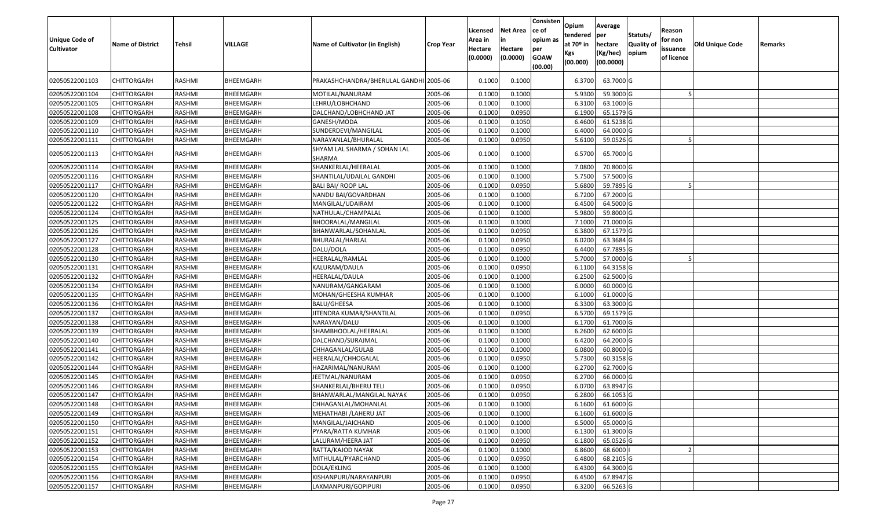| <b>Unique Code of</b><br><b>Cultivator</b> | <b>Name of District</b> | <b>Tehsil</b> | VILLAGE   | Name of Cultivator (in English)        | <b>Crop Year</b> | Licensed<br>Area in<br>Hectare<br>(0.0000) | <b>Net Area</b><br>in<br>Hectare<br>(0.0000) | Consisten<br>ce of<br>opium as<br>per<br><b>GOAW</b><br>(00.00) | Opium<br>tendered<br>at $70°$ in<br>Kgs<br>(00.000) | Average<br>per<br>hectare<br>(Kg/hec)<br>(00.0000) | Statuts/<br>Quality of<br>opium | Reason<br>for non<br>issuance<br>of licence | <b>Old Unique Code</b> | Remarks |
|--------------------------------------------|-------------------------|---------------|-----------|----------------------------------------|------------------|--------------------------------------------|----------------------------------------------|-----------------------------------------------------------------|-----------------------------------------------------|----------------------------------------------------|---------------------------------|---------------------------------------------|------------------------|---------|
| 02050522001103                             | CHITTORGARH             | RASHMI        | BHEEMGARH | PRAKASHCHANDRA/BHERULAL GANDHI 2005-06 |                  | 0.1000                                     | 0.1000                                       |                                                                 | 6.3700                                              | 63.7000 G                                          |                                 |                                             |                        |         |
| 02050522001104                             | <b>CHITTORGARH</b>      | RASHMI        | BHEEMGARH | MOTILAL/NANURAM                        | 2005-06          | 0.1000                                     | 0.1000                                       |                                                                 | 5.9300                                              | 59.3000 G                                          |                                 |                                             |                        |         |
| 02050522001105                             | <b>CHITTORGARH</b>      | RASHMI        | BHEEMGARH | LEHRU/LOBHCHAND                        | 2005-06          | 0.1000                                     | 0.1000                                       |                                                                 | 6.3100                                              | 63.1000 G                                          |                                 |                                             |                        |         |
| 02050522001108                             | <b>CHITTORGARH</b>      | RASHMI        | BHEEMGARH | DALCHAND/LOBHCHAND JAT                 | 2005-06          | 0.1000                                     | 0.0950                                       |                                                                 | 6.1900                                              | 65.1579 G                                          |                                 |                                             |                        |         |
| 02050522001109                             | <b>CHITTORGARH</b>      | RASHMI        | BHEEMGARH | GANESH/MODA                            | 2005-06          | 0.1000                                     | 0.1050                                       |                                                                 | 6.4600                                              | 61.5238 G                                          |                                 |                                             |                        |         |
| 02050522001110                             | <b>CHITTORGARH</b>      | RASHMI        | BHEEMGARH | SUNDERDEVI/MANGILAL                    | 2005-06          | 0.1000                                     | 0.1000                                       |                                                                 | 6.4000                                              | 64.0000G                                           |                                 |                                             |                        |         |
| 02050522001111                             | <b>CHITTORGARH</b>      | RASHMI        | BHEEMGARH | NARAYANLAL/BHURALAL                    | 2005-06          | 0.1000                                     | 0.0950                                       |                                                                 | 5.6100                                              | 59.0526 G                                          |                                 |                                             |                        |         |
| 02050522001113                             | CHITTORGARH             | RASHMI        | BHEEMGARH | SHYAM LAL SHARMA / SOHAN LAL<br>SHARMA | 2005-06          | 0.1000                                     | 0.1000                                       |                                                                 | 6.5700                                              | 65.7000 G                                          |                                 |                                             |                        |         |
| 02050522001114                             | CHITTORGARH             | RASHMI        | BHEEMGARH | SHANKERLAL/HEERALAL                    | 2005-06          | 0.100                                      | 0.1000                                       |                                                                 | 7.0800                                              | 70.8000 G                                          |                                 |                                             |                        |         |
| 02050522001116                             | CHITTORGARH             | RASHMI        | BHEEMGARH | SHANTILAL/UDAILAL GANDHI               | 2005-06          | 0.1000                                     | 0.1000                                       |                                                                 | 5.7500                                              | 57.5000 G                                          |                                 |                                             |                        |         |
| 02050522001117                             | <b>CHITTORGARH</b>      | RASHMI        | BHEEMGARH | <b>BALI BAI/ ROOP LAL</b>              | 2005-06          | 0.1000                                     | 0.0950                                       |                                                                 | 5.6800                                              | 59.7895 G                                          |                                 |                                             |                        |         |
| 02050522001120                             | <b>CHITTORGARH</b>      | RASHMI        | BHEEMGARH | NANDU BAI/GOVARDHAN                    | 2005-06          | 0.1000                                     | 0.1000                                       |                                                                 | 6.7200                                              | 67.2000 G                                          |                                 |                                             |                        |         |
| 02050522001122                             | <b>CHITTORGARH</b>      | RASHMI        | BHEEMGARH | MANGILAL/UDAIRAM                       | 2005-06          | 0.1000                                     | 0.1000                                       |                                                                 | 6.4500                                              | 64.5000 G                                          |                                 |                                             |                        |         |
| 02050522001124                             | CHITTORGARH             | RASHMI        | BHEEMGARH | NATHULAL/CHAMPALAL                     | 2005-06          | 0.1000                                     | 0.1000                                       |                                                                 | 5.9800                                              | 59.8000 G                                          |                                 |                                             |                        |         |
| 02050522001125                             | CHITTORGARH             | RASHMI        | BHEEMGARH | BHOORALAL/MANGILAL                     | 2005-06          | 0.1000                                     | 0.1000                                       |                                                                 | 7.1000                                              | 71.0000 G                                          |                                 |                                             |                        |         |
| 02050522001126                             | CHITTORGARH             | RASHMI        | BHEEMGARH | BHANWARLAL/SOHANLAL                    | 2005-06          | 0.1000                                     | 0.0950                                       |                                                                 | 6.3800                                              | 67.1579 G                                          |                                 |                                             |                        |         |
| 02050522001127                             | CHITTORGARH             | RASHMI        | BHEEMGARH | BHURALAL/HARLAL                        | 2005-06          | 0.1000                                     | 0.0950                                       |                                                                 | 6.0200                                              | 63.3684 G                                          |                                 |                                             |                        |         |
| 02050522001128                             | CHITTORGARH             | RASHMI        | BHEEMGARH | DALU/DOLA                              | 2005-06          | 0.1000                                     | 0.0950                                       |                                                                 | 6.4400                                              | 67.7895 G                                          |                                 |                                             |                        |         |
| 02050522001130                             | <b>CHITTORGARH</b>      | RASHMI        | BHEEMGARH | HEERALAL/RAMLAL                        | 2005-06          | 0.1000                                     | 0.1000                                       |                                                                 | 5.7000                                              | 57.0000 G                                          |                                 |                                             |                        |         |
| 02050522001131                             | CHITTORGARH             | RASHMI        | BHEEMGARH | KALURAM/DAULA                          | 2005-06          | 0.1000                                     | 0.0950                                       |                                                                 | 6.1100                                              | 64.3158 G                                          |                                 |                                             |                        |         |
| 02050522001132                             | CHITTORGARH             | RASHMI        | BHEEMGARH | HEERALAL/DAULA                         | 2005-06          | 0.1000                                     | 0.1000                                       |                                                                 | 6.2500                                              | 62.5000 G                                          |                                 |                                             |                        |         |
| 02050522001134                             | CHITTORGARH             | RASHMI        | BHEEMGARH | NANURAM/GANGARAM                       | 2005-06          | 0.1000                                     | 0.1000                                       |                                                                 | 6.0000                                              | 60.0000G                                           |                                 |                                             |                        |         |
| 02050522001135                             | <b>CHITTORGARH</b>      | RASHMI        | BHEEMGARH | MOHAN/GHEESHA KUMHAR                   | 2005-06          | 0.1000                                     | 0.1000                                       |                                                                 | 6.1000                                              | 61.0000G                                           |                                 |                                             |                        |         |
| 02050522001136                             | <b>CHITTORGARH</b>      | RASHMI        | BHEEMGARH | <b>BALU/GHEESA</b>                     | 2005-06          | 0.1000                                     | 0.1000                                       |                                                                 | 6.3300                                              | 63.3000 G                                          |                                 |                                             |                        |         |
| 02050522001137                             | <b>CHITTORGARH</b>      | RASHMI        | BHEEMGARH | JITENDRA KUMAR/SHANTILAL               | 2005-06          | 0.1000                                     | 0.0950                                       |                                                                 | 6.5700                                              | 69.1579 G                                          |                                 |                                             |                        |         |
| 02050522001138                             | <b>CHITTORGARH</b>      | RASHMI        | BHEEMGARH | NARAYAN/DALU                           | 2005-06          | 0.1000                                     | 0.1000                                       |                                                                 | 6.1700                                              | 61.7000G                                           |                                 |                                             |                        |         |
| 02050522001139                             | <b>CHITTORGARH</b>      | RASHMI        | BHEEMGARH | SHAMBHOOLAL/HEERALAL                   | 2005-06          | 0.1000                                     | 0.1000                                       |                                                                 | 6.2600                                              | 62.6000G                                           |                                 |                                             |                        |         |
| 02050522001140                             | <b>CHITTORGARH</b>      | RASHMI        | BHEEMGARH | DALCHAND/SURAJMAL                      | 2005-06          | 0.1000                                     | 0.1000                                       |                                                                 | 6.4200                                              | 64.2000 G                                          |                                 |                                             |                        |         |
| 02050522001141                             | CHITTORGARH             | RASHMI        | BHEEMGARH | CHHAGANLAL/GULAB                       | 2005-06          | 0.1000                                     | 0.1000                                       |                                                                 | 6.0800                                              | 60.8000 G                                          |                                 |                                             |                        |         |
| 02050522001142                             | <b>CHITTORGARH</b>      | RASHMI        | BHEEMGARH | HEERALAL/CHHOGALAL                     | 2005-06          | 0.100                                      | 0.0950                                       |                                                                 | 5.7300                                              | 60.3158 G                                          |                                 |                                             |                        |         |
| 02050522001144                             | CHITTORGARH             | RASHMI        | BHEEMGARH | HAZARIMAL/NANURAM                      | 2005-06          | 0.100                                      | 0.1000                                       |                                                                 | 6.2700                                              | 62.7000 G                                          |                                 |                                             |                        |         |
| 02050522001145                             | CHITTORGARH             | RASHMI        | BHEEMGARH | JEETMAL/NANURAM                        | 2005-06          | 0.100                                      | 0.0950                                       |                                                                 | 6.2700                                              | 66.0000G                                           |                                 |                                             |                        |         |
| 02050522001146                             | CHITTORGARH             | RASHMI        | BHEEMGARH | SHANKERLAL/BHERU TELI                  | 2005-06          | 0.1000                                     | 0.0950                                       |                                                                 | 6.0700                                              | 63.8947 G                                          |                                 |                                             |                        |         |
| 02050522001147                             | CHITTORGARH             | RASHMI        | BHEEMGARH | BHANWARLAL/MANGILAL NAYAK              | 2005-06          | 0.100                                      | 0.0950                                       |                                                                 | 6.2800                                              | 66.1053 G                                          |                                 |                                             |                        |         |
| 02050522001148                             | <b>CHITTORGARH</b>      | RASHMI        | BHEEMGARH | CHHAGANLAL/MOHANLAL                    | 2005-06          | 0.1000                                     | 0.1000                                       |                                                                 | 6.1600                                              | 61.6000 G                                          |                                 |                                             |                        |         |
| 02050522001149                             | <b>CHITTORGARH</b>      | RASHMI        | BHEEMGARH | MEHATHABI / LAHERU JAT                 | 2005-06          | 0.1000                                     | 0.1000                                       |                                                                 | 6.1600                                              | 61.6000 G                                          |                                 |                                             |                        |         |
| 02050522001150                             | <b>CHITTORGARH</b>      | RASHMI        | BHEEMGARH | MANGILAL/JAICHAND                      | 2005-06          | 0.1000                                     | 0.1000                                       |                                                                 | 6.5000                                              | 65.0000 G                                          |                                 |                                             |                        |         |
| 02050522001151                             | <b>CHITTORGARH</b>      | RASHMI        | BHEEMGARH | PYARA/RATTA KUMHAR                     | 2005-06          | 0.1000                                     | 0.1000                                       |                                                                 | 6.1300                                              | 61.3000 G                                          |                                 |                                             |                        |         |
| 02050522001152                             | <b>CHITTORGARH</b>      | RASHMI        | BHEEMGARH | LALURAM/HEERA JAT                      | 2005-06          | 0.1000                                     | 0.0950                                       |                                                                 | 6.1800                                              | 65.0526 G                                          |                                 |                                             |                        |         |
| 02050522001153                             | <b>CHITTORGARH</b>      | RASHMI        | BHEEMGARH | RATTA/KAJOD NAYAK                      | 2005-06          | 0.1000                                     | 0.1000                                       |                                                                 | 6.8600                                              | 68.6000                                            |                                 |                                             |                        |         |
| 02050522001154                             | <b>CHITTORGARH</b>      | RASHMI        | BHEEMGARH | MITHULAL/PYARCHAND                     | 2005-06          | 0.1000                                     | 0.0950                                       |                                                                 | 6.4800                                              | 68.2105 G                                          |                                 |                                             |                        |         |
| 02050522001155                             | <b>CHITTORGARH</b>      | RASHMI        | BHEEMGARH | DOLA/EKLING                            | 2005-06          | 0.1000                                     | 0.1000                                       |                                                                 | 6.4300                                              | 64.3000 G                                          |                                 |                                             |                        |         |
| 02050522001156                             | CHITTORGARH             | RASHMI        | BHEEMGARH | KISHANPURI/NARAYANPURI                 | 2005-06          | 0.1000                                     | 0.0950                                       |                                                                 | 6.4500                                              | 67.8947 G                                          |                                 |                                             |                        |         |
| 02050522001157                             | CHITTORGARH             | RASHMI        | BHEEMGARH | LAXMANPURI/GOPIPURI                    | 2005-06          | 0.1000                                     | 0.0950                                       |                                                                 | 6.3200                                              | 66.5263 G                                          |                                 |                                             |                        |         |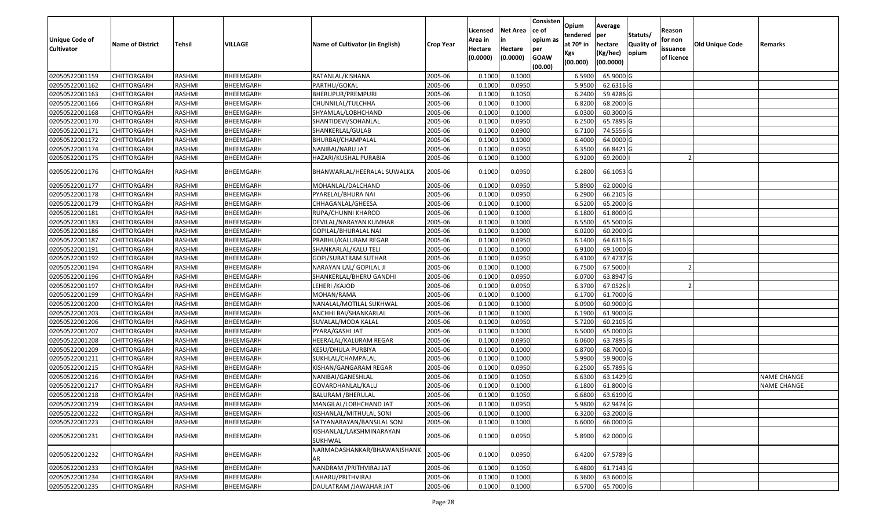| Unique Code of                   |                         |        |           |                                     |                  | Licensed<br>Area in | <b>Net Area</b><br>in | Consisten<br>ce of<br>opium as | Opium<br>tendered              | Average<br>per                   | Statuts/                  | Reason<br>for non      |                        |                    |
|----------------------------------|-------------------------|--------|-----------|-------------------------------------|------------------|---------------------|-----------------------|--------------------------------|--------------------------------|----------------------------------|---------------------------|------------------------|------------------------|--------------------|
| <b>Cultivator</b>                | <b>Name of District</b> | Tehsil | VILLAGE   | Name of Cultivator (in English)     | <b>Crop Year</b> | Hectare<br>(0.0000) | Hectare<br>(0.0000)   | per<br><b>GOAW</b>             | at $70°$ in<br>Kgs<br>(00.000) | hectare<br>(Kg/hec)<br>(00.0000) | <b>Quality o</b><br>opium | issuance<br>of licence | <b>Old Unique Code</b> | Remarks            |
|                                  |                         |        |           |                                     |                  |                     |                       | (00.00)                        |                                |                                  |                           |                        |                        |                    |
| 02050522001159                   | <b>CHITTORGARH</b>      | RASHMI | BHEEMGARH | RATANLAL/KISHANA                    | 2005-06          | 0.1000              | 0.1000                |                                | 6.5900                         | 65.9000 G                        |                           |                        |                        |                    |
| 02050522001162                   | CHITTORGARH             | RASHMI | BHEEMGARH | PARTHU/GOKAL                        | 2005-06          | 0.1000              | 0.0950                |                                | 5.9500                         | 62.6316 G                        |                           |                        |                        |                    |
| 02050522001163                   | CHITTORGARH             | RASHMI | BHEEMGARH | BHERUPUR/PREMPURI                   | 2005-06          | 0.1000              | 0.1050                |                                | 6.2400                         | 59.4286 G                        |                           |                        |                        |                    |
| 02050522001166                   | <b>CHITTORGARH</b>      | RASHMI | BHEEMGARH | CHUNNILAL/TULCHHA                   | 2005-06          | 0.1000              | 0.1000                |                                | 6.8200                         | 68.2000 G                        |                           |                        |                        |                    |
| 02050522001168<br>02050522001170 | CHITTORGARH             | RASHMI | BHEEMGARH | SHYAMLAL/LOBHCHAND                  | 2005-06          | 0.1000              | 0.1000                |                                | 6.0300                         | 60.3000 G<br>$65.7895$ G         |                           |                        |                        |                    |
|                                  | CHITTORGARH             | RASHMI | BHEEMGARH | SHANTIDEVI/SOHANLAL                 | 2005-06          | 0.1000              | 0.0950                |                                | 6.2500                         |                                  |                           |                        |                        |                    |
| 02050522001171                   | CHITTORGARH             | RASHMI | BHEEMGARH | SHANKERLAL/GULAB                    | 2005-06          | 0.1000              | 0.0900                |                                | 6.7100                         | 74.5556 G                        |                           |                        |                        |                    |
| 02050522001172                   | <b>CHITTORGARH</b>      | RASHMI | BHEEMGARH | BHURBAI/CHAMPALAL                   | 2005-06          | 0.1000              | 0.1000                |                                | 6.4000                         | 64.0000G                         |                           |                        |                        |                    |
| 02050522001174                   | CHITTORGARH             | RASHMI | BHEEMGARH | NANIBAI/NARU JAT                    | 2005-06          | 0.1000              | 0.0950                |                                | 6.3500                         | 66.8421 G                        |                           |                        |                        |                    |
| 02050522001175                   | CHITTORGARH             | RASHMI | BHEEMGARH | HAZARI/KUSHAL PURABIA               | 2005-06          | 0.1000              | 0.1000                |                                | 6.9200                         | 69.2000                          |                           |                        |                        |                    |
| 02050522001176                   | CHITTORGARH             | RASHMI | BHEEMGARH | BHANWARLAL/HEERALAL SUWALKA         | 2005-06          | 0.1000              | 0.0950                |                                | 6.2800                         | 66.1053 G                        |                           |                        |                        |                    |
| 02050522001177                   | <b>CHITTORGARH</b>      | RASHMI | BHEEMGARH | MOHANLAL/DALCHAND                   | 2005-06          | 0.1000              | 0.0950                |                                | 5.8900                         | 62.0000G                         |                           |                        |                        |                    |
| 02050522001178                   | <b>CHITTORGARH</b>      | RASHMI | BHEEMGARH | PYARELAL/BHURA NAI                  | 2005-06          | 0.1000              | 0.0950                |                                | 6.2900                         | 66.2105 G                        |                           |                        |                        |                    |
| 02050522001179                   | CHITTORGARH             | RASHMI | BHEEMGARH | CHHAGANLAL/GHEESA                   | 2005-06          | 0.1000              | 0.1000                |                                | 6.5200                         | 65.2000 G                        |                           |                        |                        |                    |
| 02050522001181                   | CHITTORGARH             | RASHMI | BHEEMGARH | RUPA/CHUNNI KHAROD                  | 2005-06          | 0.100               | 0.1000                |                                | 6.1800                         | 61.8000G                         |                           |                        |                        |                    |
| 02050522001183                   | CHITTORGARH             | RASHMI | BHEEMGARH | DEVILAL/NARAYAN KUMHAR              | 2005-06          | 0.100               | 0.1000                |                                | 6.5500                         | 65.5000G                         |                           |                        |                        |                    |
| 02050522001186                   | CHITTORGARH             | RASHMI | BHEEMGARH | GOPILAL/BHURALAL NAI                | 2005-06          | 0.100               | 0.1000                |                                | 6.0200                         | 60.2000 G                        |                           |                        |                        |                    |
| 02050522001187                   | CHITTORGARH             | RASHMI | BHEEMGARH | PRABHU/KALURAM REGAR                | 2005-06          | 0.100               | 0.0950                |                                | 6.1400                         | 64.6316 G                        |                           |                        |                        |                    |
| 02050522001191                   | CHITTORGARH             | RASHMI | BHEEMGARH | SHANKARLAL/KALU TELI                | 2005-06          | 0.1000              | 0.1000                |                                | 6.9100                         | 69.1000G                         |                           |                        |                        |                    |
| 02050522001192                   | CHITTORGARH             | RASHMI | BHEEMGARH | GOPI/SURATRAM SUTHAR                | 2005-06          | 0.1000              | 0.0950                |                                | 6.4100                         | 67.4737 G                        |                           |                        |                        |                    |
| 02050522001194                   | CHITTORGARH             | RASHMI | BHEEMGARH | NARAYAN LAL/ GOPILAL JI             | 2005-06          | 0.1000              | 0.1000                |                                | 6.7500                         | 67.5000                          |                           |                        |                        |                    |
| 02050522001196                   | CHITTORGARH             | RASHMI | BHEEMGARH | SHANKERLAL/BHERU GANDHI             | 2005-06          | 0.1000              | 0.0950                |                                | 6.0700                         | 63.8947 G                        |                           |                        |                        |                    |
| 02050522001197                   | CHITTORGARH             | RASHMI | BHEEMGARH | LEHERI /KAJOD                       | 2005-06          | 0.1000              | 0.0950                |                                | 6.3700                         | 67.0526                          |                           |                        |                        |                    |
| 02050522001199                   | CHITTORGARH             | RASHMI | BHEEMGARH | MOHAN/RAMA                          | 2005-06          | 0.1000              | 0.1000                |                                | 6.1700                         | 61.7000G                         |                           |                        |                        |                    |
| 02050522001200                   | CHITTORGARH             | RASHMI | BHEEMGARH | NANALAL/MOTILAL SUKHWAL             | 2005-06          | 0.1000              | 0.1000                |                                | 6.0900                         | 60.9000 G                        |                           |                        |                        |                    |
| 02050522001203                   | CHITTORGARH             | RASHMI | BHEEMGARH | ANCHHI BAI/SHANKARLAL               | 2005-06          | 0.1000              | 0.1000                |                                | 6.1900                         | 61.9000 G                        |                           |                        |                        |                    |
| 02050522001206                   | <b>CHITTORGARH</b>      | RASHMI | BHEEMGARH | SUVALAL/MODA KALAL                  | 2005-06          | 0.1000              | 0.0950                |                                | 5.7200                         | 60.2105 G                        |                           |                        |                        |                    |
| 02050522001207                   | CHITTORGARH             | RASHMI | BHEEMGARH | PYARA/GASHI JAT                     | 2005-06          | 0.1000              | 0.1000                |                                | 6.5000                         | 65.0000G                         |                           |                        |                        |                    |
| 02050522001208                   | CHITTORGARH             | RASHMI | BHEEMGARH | HEERALAL/KALURAM REGAR              | 2005-06          | 0.1000              | 0.0950                |                                | 6.0600                         | 63.7895 G                        |                           |                        |                        |                    |
| 02050522001209                   | CHITTORGARH             | RASHMI | BHEEMGARH | KESU/DHULA PURBIYA                  | 2005-06          | 0.1000              | 0.1000                |                                | 6.8700                         | 68.7000 G                        |                           |                        |                        |                    |
| 02050522001211                   | CHITTORGARH             | RASHMI | BHEEMGARH | SUKHLAL/CHAMPALAL                   | 2005-06          | 0.1000              | 0.1000                |                                | 5.9900                         | 59.9000G                         |                           |                        |                        |                    |
| 02050522001215                   | <b>CHITTORGARH</b>      | RASHMI | BHEEMGARH | KISHAN/GANGARAM REGAR               | 2005-06          | 0.1000              | 0.0950                |                                | 6.2500                         | 65.7895 G                        |                           |                        |                        |                    |
| 02050522001216                   | <b>CHITTORGARH</b>      | RASHMI | BHEEMGARH | NANIBAI/GANESHLAL                   | 2005-06          | 0.1000              | 0.1050                |                                | 6.6300                         | 63.1429 G                        |                           |                        |                        | <b>NAME CHANGE</b> |
| 02050522001217                   | CHITTORGARH             | RASHMI | BHEEMGARH | GOVARDHANLAL/KALU                   | 2005-06          | 0.1000              | 0.1000                |                                | 6.1800                         | 61.8000G                         |                           |                        |                        | <b>NAME CHANGE</b> |
| 02050522001218                   | CHITTORGARH             | RASHMI | BHEEMGARH | BALURAM /BHERULAL                   | 2005-06          | 0.1000              | 0.1050                |                                | 6.6800                         | 63.6190 G                        |                           |                        |                        |                    |
| 02050522001219                   | <b>CHITTORGARH</b>      | RASHMI | BHEEMGARH | MANGILAL/LOBHCHAND JAT              | 2005-06          | 0.1000              | 0.0950                |                                | 5.9800                         | 62.9474 G                        |                           |                        |                        |                    |
| 02050522001222                   | <b>CHITTORGARH</b>      | RASHMI | BHEEMGARH | KISHANLAL/MITHULAL SONI             | 2005-06          | 0.1000              | 0.1000                |                                | 6.3200                         | 63.2000 G                        |                           |                        |                        |                    |
| 02050522001223                   | <b>CHITTORGARH</b>      | RASHMI | BHEEMGARH | SATYANARAYAN/BANSILAL SONI          | 2005-06          | 0.1000              | 0.1000                |                                | 6.6000                         | 66.0000 G                        |                           |                        |                        |                    |
| 02050522001231                   | CHITTORGARH             | RASHMI | BHEEMGARH | KISHANLAL/LAKSHMINARAYAN<br>SUKHWAL | 2005-06          | 0.1000              | 0.0950                |                                | 5.8900                         | 62.0000 G                        |                           |                        |                        |                    |
| 02050522001232                   | <b>CHITTORGARH</b>      | RASHMI | BHEEMGARH | NARMADASHANKAR/BHAWANISHANK<br>AR   | 2005-06          | 0.1000              | 0.0950                |                                | 6.4200                         | 67.5789 G                        |                           |                        |                        |                    |
| 02050522001233                   | CHITTORGARH             | RASHMI | BHEEMGARH | NANDRAM / PRITHVIRAJ JAT            | 2005-06          | 0.1000              | 0.1050                |                                | 6.4800                         | 61.7143 G                        |                           |                        |                        |                    |
| 02050522001234                   | CHITTORGARH             | RASHMI | BHEEMGARH | LAHARU/PRITHVIRAJ                   | 2005-06          | 0.1000              | 0.1000                |                                | 6.3600                         | 63.6000 G                        |                           |                        |                        |                    |
| 02050522001235                   | <b>CHITTORGARH</b>      | RASHMI | BHEEMGARH | DAULATRAM / JAWAHAR JAT             | 2005-06          | 0.1000              | 0.1000                |                                | 6.5700                         | 65.7000 G                        |                           |                        |                        |                    |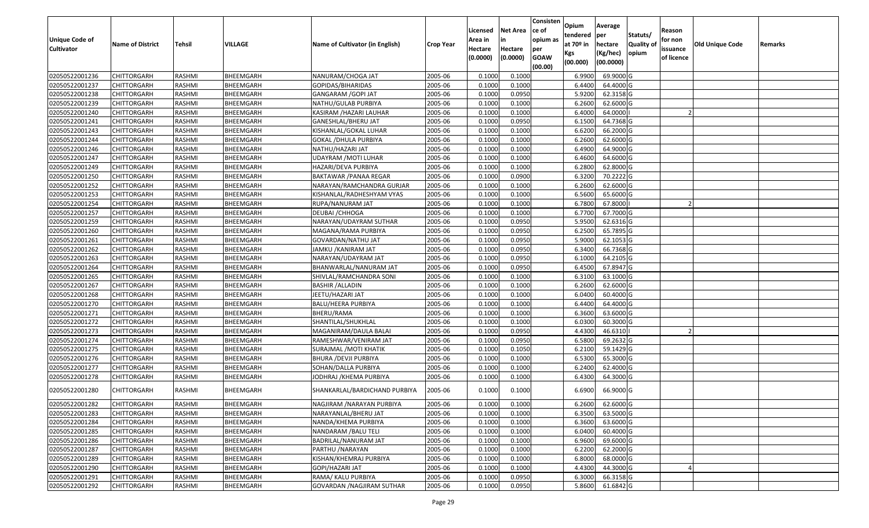| <b>Unique Code of</b> | <b>Name of District</b> | Tehsil        | VILLAGE   | Name of Cultivator (in English) | <b>Crop Year</b> | Licensed<br>Area in | <b>Net Area</b><br>in | Consisten<br>ce of<br>opium as | Opium<br>tendered<br>at $70°$ in | Average<br>per<br>hectare | Statuts/<br><b>Quality o</b> | Reason<br>for non      | <b>Old Unique Code</b> | Remarks |
|-----------------------|-------------------------|---------------|-----------|---------------------------------|------------------|---------------------|-----------------------|--------------------------------|----------------------------------|---------------------------|------------------------------|------------------------|------------------------|---------|
| <b>Cultivator</b>     |                         |               |           |                                 |                  | Hectare<br>(0.0000) | Hectare<br>(0.0000)   | per<br><b>GOAW</b><br>(00.00)  | Kgs<br>(00.000)                  | (Kg/hec)<br>(00.0000)     | opium                        | issuance<br>of licence |                        |         |
| 02050522001236        | CHITTORGARH             | RASHMI        | BHEEMGARH | NANURAM/CHOGA JAT               | 2005-06          | 0.1000              | 0.1000                |                                | 6.9900                           | 69.9000 G                 |                              |                        |                        |         |
| 02050522001237        | CHITTORGARH             | RASHMI        | BHEEMGARH | GOPIDAS/BIHARIDAS               | 2005-06          | 0.1000              | 0.1000                |                                | 6.4400                           | 64.4000 G                 |                              |                        |                        |         |
| 02050522001238        | CHITTORGARH             | RASHMI        | BHEEMGARH | GANGARAM /GOPI JAT              | 2005-06          | 0.1000              | 0.0950                |                                | 5.9200                           | 62.3158 G                 |                              |                        |                        |         |
| 02050522001239        | <b>CHITTORGARH</b>      | RASHMI        | BHEEMGARH | NATHU/GULAB PURBIYA             | 2005-06          | 0.1000              | 0.1000                |                                | 6.2600                           | 62.6000G                  |                              |                        |                        |         |
| 02050522001240        | CHITTORGARH             | RASHMI        | BHEEMGARH | KASIRAM / HAZARI LAUHAR         | 2005-06          | 0.1000              | 0.1000                |                                | 6.4000                           | 64.0000                   |                              |                        |                        |         |
| 02050522001241        | CHITTORGARH             | RASHMI        | BHEEMGARH | GANESHLAL/BHERU JAT             | 2005-06          | 0.1000              | 0.0950                |                                | 6.1500                           | 64.7368 G                 |                              |                        |                        |         |
| 02050522001243        | CHITTORGARH             | RASHMI        | BHEEMGARH | KISHANLAL/GOKAL LUHAR           | 2005-06          | 0.1000              | 0.1000                |                                | 6.6200                           | 66.2000 G                 |                              |                        |                        |         |
| 02050522001244        | CHITTORGARH             | <b>RASHMI</b> | BHEEMGARH | GOKAL /DHULA PURBIYA            | 2005-06          | 0.1000              | 0.1000                |                                | 6.2600                           | 62.6000G                  |                              |                        |                        |         |
| 02050522001246        | CHITTORGARH             | RASHMI        | BHEEMGARH | NATHU/HAZARI JAT                | 2005-06          | 0.1000              | 0.1000                |                                | 6.4900                           | 64.9000 G                 |                              |                        |                        |         |
| 02050522001247        | CHITTORGARH             | RASHMI        | BHEEMGARH | UDAYRAM / MOTI LUHAR            | 2005-06          | 0.1000              | 0.1000                |                                | 6.4600                           | 64.6000 G                 |                              |                        |                        |         |
| 02050522001249        | CHITTORGARH             | RASHMI        | BHEEMGARH | HAZARI/DEVA PURBIYA             | 2005-06          | 0.1000              | 0.1000                |                                | 6.2800                           | 62.8000 G                 |                              |                        |                        |         |
| 02050522001250        | <b>CHITTORGARH</b>      | RASHMI        | BHEEMGARH | BAKTAWAR / PANAA REGAR          | 2005-06          | 0.1000              | 0.0900                |                                | 6.3200                           | 70.2222 G                 |                              |                        |                        |         |
| 02050522001252        | <b>CHITTORGARH</b>      | RASHMI        | BHEEMGARH | NARAYAN/RAMCHANDRA GURJAR       | 2005-06          | 0.1000              | 0.1000                |                                | 6.2600                           | 62.6000G                  |                              |                        |                        |         |
| 02050522001253        | <b>CHITTORGARH</b>      | RASHMI        | BHEEMGARH | KISHANLAL/RADHESHYAM VYAS       | 2005-06          | 0.100               | 0.1000                |                                | 6.5600                           | 65.6000G                  |                              |                        |                        |         |
| 02050522001254        | CHITTORGARH             | RASHMI        | BHEEMGARH | RUPA/NANURAM JAT                | 2005-06          | 0.1000              | 0.1000                |                                | 6.7800                           | 67.8000                   |                              |                        |                        |         |
| 02050522001257        | <b>CHITTORGARH</b>      | RASHMI        | BHEEMGARH | DEUBAI / CHHOGA                 | 2005-06          | 0.1000              | 0.1000                |                                | 6.7700                           | 67.7000 G                 |                              |                        |                        |         |
| 02050522001259        | CHITTORGARH             | RASHMI        | BHEEMGARH | NARAYAN/UDAYRAM SUTHAR          | 2005-06          | 0.1000              | 0.0950                |                                | 5.9500                           | 62.6316 G                 |                              |                        |                        |         |
| 02050522001260        | CHITTORGARH             | RASHMI        | BHEEMGARH | MAGANA/RAMA PURBIYA             | 2005-06          | 0.1000              | 0.0950                |                                | 6.2500                           | 65.7895 G                 |                              |                        |                        |         |
| 02050522001261        | CHITTORGARH             | RASHMI        | BHEEMGARH | GOVARDAN/NATHU JAT              | 2005-06          | 0.100               | 0.0950                |                                | 5.9000                           | 62.1053 G                 |                              |                        |                        |         |
| 02050522001262        | CHITTORGARH             | RASHMI        | BHEEMGARH | JAMKU /KANIRAM JAT              | 2005-06          | 0.1000              | 0.0950                |                                | 6.3400                           | 66.7368 G                 |                              |                        |                        |         |
| 02050522001263        | CHITTORGARH             | RASHMI        | BHEEMGARH | NARAYAN/UDAYRAM JAT             | 2005-06          | 0.100               | 0.0950                |                                | 6.1000                           | 64.2105 G                 |                              |                        |                        |         |
| 02050522001264        | CHITTORGARH             | RASHMI        | BHEEMGARH | BHANWARLAL/NANURAM JAT          | 2005-06          | 0.100               | 0.0950                |                                | 6.4500                           | 67.8947 G                 |                              |                        |                        |         |
| 02050522001265        | CHITTORGARH             | RASHMI        | BHEEMGARH | SHIVLAL/RAMCHANDRA SONI         | 2005-06          | 0.1000              | 0.1000                |                                | 6.3100                           | 63.1000G                  |                              |                        |                        |         |
| 02050522001267        | <b>CHITTORGARH</b>      | RASHMI        | BHEEMGARH | <b>BASHIR /ALLADIN</b>          | 2005-06          | 0.1000              | 0.1000                |                                | 6.2600                           | 62.6000G                  |                              |                        |                        |         |
| 02050522001268        | CHITTORGARH             | RASHMI        | BHEEMGARH | JEETU/HAZARI JAT                | 2005-06          | 0.1000              | 0.1000                |                                | 6.0400                           | 60.4000 G                 |                              |                        |                        |         |
| 02050522001270        | CHITTORGARH             | RASHMI        | BHEEMGARH | BALU/HEERA PURBIYA              | 2005-06          | 0.1000              | 0.1000                |                                | 6.4400                           | 64.4000 G                 |                              |                        |                        |         |
| 02050522001271        | CHITTORGARH             | RASHMI        | BHEEMGARH | BHERU/RAMA                      | 2005-06          | 0.1000              | 0.1000                |                                | 6.3600                           | 63.6000 G                 |                              |                        |                        |         |
| 02050522001272        | CHITTORGARH             | RASHMI        | BHEEMGARH | SHANTILAL/SHUKHLAL              | 2005-06          | 0.1000              | 0.1000                |                                | 6.0300                           | 60.3000 G                 |                              |                        |                        |         |
| 02050522001273        | CHITTORGARH             | RASHMI        | BHEEMGARH | MAGANIRAM/DAULA BALAI           | 2005-06          | 0.1000              | 0.0950                |                                | 4.4300                           | 46.6310                   |                              |                        |                        |         |
| 02050522001274        | CHITTORGARH             | RASHMI        | BHEEMGARH | RAMESHWAR/VENIRAM JAT           | 2005-06          | 0.1000              | 0.0950                |                                | 6.5800                           | 69.2632 G                 |                              |                        |                        |         |
| 02050522001275        | CHITTORGARH             | RASHMI        | BHEEMGARH | SURAJMAL / MOTI KHATIK          | 2005-06          | 0.1000              | 0.1050                |                                | 6.2100                           | 59.1429 G                 |                              |                        |                        |         |
| 02050522001276        | CHITTORGARH             | RASHMI        | BHEEMGARH | BHURA /DEVJI PURBIYA            | 2005-06          | 0.1000              | 0.1000                |                                | 6.5300                           | 65.3000G                  |                              |                        |                        |         |
| 02050522001277        | CHITTORGARH             | RASHMI        | BHEEMGARH | SOHAN/DALLA PURBIYA             | 2005-06          | 0.1000              | 0.1000                |                                | 6.2400                           | 62.4000 G                 |                              |                        |                        |         |
| 02050522001278        | CHITTORGARH             | RASHMI        | BHEEMGARH | JODHRAJ /KHEMA PURBIYA          | 2005-06          | 0.1000              | 0.1000                |                                | 6.4300                           | 64.3000 G                 |                              |                        |                        |         |
| 02050522001280        | CHITTORGARH             | RASHMI        | BHEEMGARH | SHANKARLAL/BARDICHAND PURBIYA   | 2005-06          | 0.1000              | 0.1000                |                                | 6.6900                           | 66.9000 G                 |                              |                        |                        |         |
| 02050522001282        | <b>CHITTORGARH</b>      | RASHMI        | BHEEMGARH | NAGJIRAM / NARAYAN PURBIYA      | 2005-06          | 0.1000              | 0.1000                |                                | 6.2600                           | 62.6000 G                 |                              |                        |                        |         |
| 02050522001283        | <b>CHITTORGARH</b>      | RASHMI        | BHEEMGARH | NARAYANLAL/BHERU JAT            | 2005-06          | 0.1000              | 0.1000                |                                | 6.3500                           | 63.5000 G                 |                              |                        |                        |         |
| 02050522001284        | <b>CHITTORGARH</b>      | RASHMI        | BHEEMGARH | NANDA/KHEMA PURBIYA             | 2005-06          | 0.1000              | 0.1000                |                                | 6.3600                           | 63.6000 G                 |                              |                        |                        |         |
| 02050522001285        | <b>CHITTORGARH</b>      | RASHMI        | BHEEMGARH | NANDARAM / BALU TELI            | 2005-06          | 0.1000              | 0.1000                |                                | 6.0400                           | 60.4000 G                 |                              |                        |                        |         |
| 02050522001286        | CHITTORGARH             | RASHMI        | BHEEMGARH | BADRILAL/NANURAM JAT            | 2005-06          | 0.1000              | 0.1000                |                                | 6.9600                           | 69.6000 G                 |                              |                        |                        |         |
| 02050522001287        | <b>CHITTORGARH</b>      | RASHMI        | BHEEMGARH | PARTHU / NARAYAN                | 2005-06          | 0.1000              | 0.1000                |                                | 6.2200                           | 62.2000 G                 |                              |                        |                        |         |
| 02050522001289        | <b>CHITTORGARH</b>      | RASHMI        | BHEEMGARH | KISHAN/KHEMRAJ PURBIYA          | 2005-06          | 0.1000              | 0.1000                |                                | 6.8000                           | 68.0000 G                 |                              |                        |                        |         |
| 02050522001290        | CHITTORGARH             | RASHMI        | BHEEMGARH | GOPI/HAZARI JAT                 | 2005-06          | 0.1000              | 0.1000                |                                | 4.4300                           | 44.3000 G                 |                              |                        |                        |         |
| 02050522001291        | <b>CHITTORGARH</b>      | RASHMI        | BHEEMGARH | RAMA/ KALU PURBIYA              | 2005-06          | 0.1000              | 0.0950                |                                | 6.3000                           | 66.3158 G                 |                              |                        |                        |         |
| 02050522001292        | <b>CHITTORGARH</b>      | RASHMI        | BHEEMGARH | GOVARDAN / NAGJIRAM SUTHAR      | 2005-06          | 0.1000              | 0.0950                |                                | 5.8600                           | 61.6842 G                 |                              |                        |                        |         |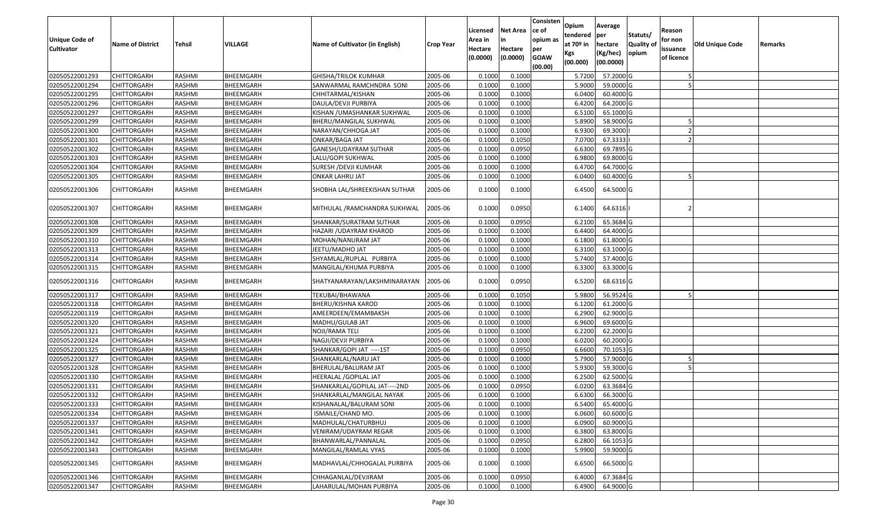| <b>Unique Code of</b><br><b>Cultivator</b> | <b>Name of District</b> | Tehsil | VILLAGE   | Name of Cultivator (in English) | <b>Crop Year</b> | Licensed<br>Area in<br>Hectare<br>(0.0000) | <b>Net Area</b><br>in<br>Hectare<br>(0.0000) | Consisten<br>ce of<br>opium as<br>per<br><b>GOAW</b><br>(00.00) | Opium<br>tendered<br>at $70°$ in<br>Kgs<br>(00.000) | Average<br>per<br>hectare<br>(Kg/hec)<br>(00.0000) | Statuts/<br>Quality of<br>opium | Reason<br>for non<br>issuance<br>of licence | <b>Old Unique Code</b> | Remarks |
|--------------------------------------------|-------------------------|--------|-----------|---------------------------------|------------------|--------------------------------------------|----------------------------------------------|-----------------------------------------------------------------|-----------------------------------------------------|----------------------------------------------------|---------------------------------|---------------------------------------------|------------------------|---------|
| 02050522001293                             | <b>CHITTORGARH</b>      | RASHMI | BHEEMGARH | <b>GHISHA/TRILOK KUMHAR</b>     | 2005-06          | 0.1000                                     | 0.1000                                       |                                                                 | 5.7200                                              | 57.2000 G                                          |                                 |                                             |                        |         |
| 02050522001294                             | CHITTORGARH             | RASHMI | BHEEMGARH | SANWARMAL RAMCHNDRA SONI        | 2005-06          | 0.1000                                     | 0.1000                                       |                                                                 | 5.9000                                              | 59.0000G                                           |                                 |                                             |                        |         |
| 02050522001295                             | CHITTORGARH             | RASHMI | BHEEMGARH | CHHITARMAL/KISHAN               | 2005-06          | 0.1000                                     | 0.1000                                       |                                                                 | 6.0400                                              | 60.4000 G                                          |                                 |                                             |                        |         |
| 02050522001296                             | <b>CHITTORGARH</b>      | RASHMI | BHEEMGARH | DAULA/DEVJI PURBIYA             | 2005-06          | 0.1000                                     | 0.1000                                       |                                                                 | 6.4200                                              | 64.2000 G                                          |                                 |                                             |                        |         |
| 02050522001297                             | <b>CHITTORGARH</b>      | RASHMI | BHEEMGARH | KISHAN / UMASHANKAR SUKHWAL     | 2005-06          | 0.1000                                     | 0.1000                                       |                                                                 | 6.5100                                              | 65.1000G                                           |                                 |                                             |                        |         |
| 02050522001299                             | <b>CHITTORGARH</b>      | RASHMI | BHEEMGARH | BHERU/MANGILAL SUKHWAL          | 2005-06          | 0.1000                                     | 0.1000                                       |                                                                 | 5.8900                                              | 58.9000G                                           |                                 |                                             |                        |         |
| 02050522001300                             | <b>CHITTORGARH</b>      | RASHMI | BHEEMGARH | NARAYAN/CHHOGA JAT              | 2005-06          | 0.1000                                     | 0.1000                                       |                                                                 | 6.9300                                              | 69.3000                                            |                                 | - 2                                         |                        |         |
| 02050522001301                             | <b>CHITTORGARH</b>      | RASHMI | BHEEMGARH | ONKAR/BAGA JAT                  | 2005-06          | 0.1000                                     | 0.1050                                       |                                                                 | 7.0700                                              | 67.3333                                            |                                 |                                             |                        |         |
| 02050522001302                             | <b>CHITTORGARH</b>      | RASHMI | BHEEMGARH | GANESH/UDAYRAM SUTHAR           | 2005-06          | 0.1000                                     | 0.0950                                       |                                                                 | 6.6300                                              | 69.7895 G                                          |                                 |                                             |                        |         |
| 02050522001303                             | CHITTORGARH             | RASHMI | BHEEMGARH | LALU/GOPI SUKHWAL               | 2005-06          | 0.1000                                     | 0.1000                                       |                                                                 | 6.9800                                              | 69.8000 G                                          |                                 |                                             |                        |         |
| 02050522001304                             | <b>CHITTORGARH</b>      | RASHMI | BHEEMGARH | SURESH / DEVJI KUMHAR           | 2005-06          | 0.1000                                     | 0.1000                                       |                                                                 | 6.4700                                              | 64.7000 G                                          |                                 |                                             |                        |         |
| 02050522001305                             | CHITTORGARH             | RASHMI | BHEEMGARH | ONKAR LAHRU JAT                 | 2005-06          | 0.1000                                     | 0.1000                                       |                                                                 | 6.0400                                              | 60.4000 G                                          |                                 |                                             |                        |         |
| 02050522001306                             | CHITTORGARH             | RASHMI | BHEEMGARH | SHOBHA LAL/SHREEKISHAN SUTHAR   | 2005-06          | 0.1000                                     | 0.1000                                       |                                                                 | 6.4500                                              | 64.5000 G                                          |                                 |                                             |                        |         |
| 02050522001307                             | CHITTORGARH             | RASHMI | BHEEMGARH | MITHULAL /RAMCHANDRA SUKHWAL    | 2005-06          | 0.1000                                     | 0.0950                                       |                                                                 | 6.1400                                              | 64.6316                                            |                                 |                                             |                        |         |
| 02050522001308                             | CHITTORGARH             | RASHMI | BHEEMGARH | SHANKAR/SURATRAM SUTHAR         | 2005-06          | 0.1000                                     | 0.0950                                       |                                                                 | 6.2100                                              | 65.3684 G                                          |                                 |                                             |                        |         |
| 02050522001309                             | CHITTORGARH             | RASHMI | BHEEMGARH | HAZARI / UDAYRAM KHAROD         | 2005-06          | 0.1000                                     | 0.1000                                       |                                                                 | 6.4400                                              | 64.4000 G                                          |                                 |                                             |                        |         |
| 02050522001310                             | CHITTORGARH             | RASHMI | BHEEMGARH | MOHAN/NANURAM JAT               | 2005-06          | 0.1000                                     | 0.1000                                       |                                                                 | 6.1800                                              | 61.8000 G                                          |                                 |                                             |                        |         |
| 02050522001313                             | CHITTORGARH             | RASHMI | BHEEMGARH | JEETU/MADHO JAT                 | 2005-06          | 0.1000                                     | 0.1000                                       |                                                                 | 6.3100                                              | 63.1000G                                           |                                 |                                             |                        |         |
| 02050522001314                             | CHITTORGARH             | RASHMI | BHEEMGARH | SHYAMLAL/RUPLAL PURBIYA         | 2005-06          | 0.1000                                     | 0.1000                                       |                                                                 | 5.7400                                              | 57.4000 G                                          |                                 |                                             |                        |         |
| 02050522001315                             | CHITTORGARH             | RASHMI | BHEEMGARH | MANGILAL/KHUMA PURBIYA          | 2005-06          | 0.1000                                     | 0.1000                                       |                                                                 | 6.3300                                              | 63.3000 G                                          |                                 |                                             |                        |         |
| 02050522001316                             | CHITTORGARH             | RASHMI | BHEEMGARH | SHATYANARAYAN/LAKSHMINARAYAN    | 2005-06          | 0.1000                                     | 0.0950                                       |                                                                 | 6.5200                                              | 68.6316 G                                          |                                 |                                             |                        |         |
| 02050522001317                             | CHITTORGARH             | RASHMI | BHEEMGARH | TEKUBAI/BHAWANA                 | 2005-06          | 0.1000                                     | 0.1050                                       |                                                                 | 5.9800                                              | 56.9524 G                                          |                                 |                                             |                        |         |
| 02050522001318                             | <b>CHITTORGARH</b>      | RASHMI | BHEEMGARH | BHERU/KISHNA KAROD              | 2005-06          | 0.1000                                     | 0.1000                                       |                                                                 | 6.1200                                              | 61.2000 G                                          |                                 |                                             |                        |         |
| 02050522001319                             | CHITTORGARH             | RASHMI | BHEEMGARH | AMEERDEEN/EMAMBAKSH             | 2005-06          | 0.1000                                     | 0.1000                                       |                                                                 | 6.2900                                              | 62.9000 G                                          |                                 |                                             |                        |         |
| 02050522001320                             | <b>CHITTORGARH</b>      | RASHMI | BHEEMGARH | MADHU/GULAB JAT                 | 2005-06          | 0.1000                                     | 0.1000                                       |                                                                 | 6.9600                                              | 69.6000 G                                          |                                 |                                             |                        |         |
| 02050522001321                             | CHITTORGARH             | RASHMI | BHEEMGARH | NOJI/RAMA TELI                  | 2005-06          | 0.1000                                     | 0.1000                                       |                                                                 | 6.2200                                              | 62.2000 G                                          |                                 |                                             |                        |         |
| 02050522001324                             | <b>CHITTORGARH</b>      | RASHMI | BHEEMGARH | NAGJI/DEVJI PURBIYA             | 2005-06          | 0.1000                                     | 0.1000                                       |                                                                 | 6.0200                                              | 60.2000 G                                          |                                 |                                             |                        |         |
| 02050522001325                             | CHITTORGARH             | RASHMI | BHEEMGARH | SHANKAR/GOPI JAT ----1ST        | 2005-06          | 0.1000                                     | 0.0950                                       |                                                                 | 6.6600                                              | 70.1053 G                                          |                                 |                                             |                        |         |
| 02050522001327                             | CHITTORGARH             | RASHMI | BHEEMGARH | SHANKARLAL/NARU JAT             | 2005-06          | 0.1000                                     | 0.1000                                       |                                                                 | 5.7900                                              | 57.9000 G                                          |                                 |                                             |                        |         |
| 02050522001328                             | CHITTORGARH             | RASHMI | BHEEMGARH | BHERULAL/BALURAM JAT            | 2005-06          | 0.1000                                     | 0.1000                                       |                                                                 | 5.9300                                              | 59.3000G                                           |                                 |                                             |                        |         |
| 02050522001330                             | CHITTORGARH             | RASHMI | BHEEMGARH | HEERALAL / GOPILAL JAT          | 2005-06          | 0.1000                                     | 0.1000                                       |                                                                 | 6.2500                                              | 62.5000G                                           |                                 |                                             |                        |         |
| 02050522001331                             | CHITTORGARH             | RASHMI | BHEEMGARH | SHANKARLAL/GOPILAL JAT----2ND   | 2005-06          | 0.1000                                     | 0.0950                                       |                                                                 | 6.0200                                              | 63.3684 G                                          |                                 |                                             |                        |         |
| 02050522001332                             | <b>CHITTORGARH</b>      | RASHMI | BHEEMGARH | SHANKARLAL/MANGILAL NAYAK       | 2005-06          | 0.1000                                     | 0.1000                                       |                                                                 | 6.6300                                              | 66.3000 G                                          |                                 |                                             |                        |         |
| 02050522001333                             | <b>CHITTORGARH</b>      | RASHMI | BHEEMGARH | KISHANALAL/BALURAM SONI         | 2005-06          | 0.1000                                     | 0.1000                                       |                                                                 | 6.5400                                              | 65.4000 G                                          |                                 |                                             |                        |         |
| 02050522001334                             | <b>CHITTORGARH</b>      | RASHMI | BHEEMGARH | ISMAILE/CHAND MO.               | 2005-06          | 0.1000                                     | 0.1000                                       |                                                                 | 6.0600                                              | 60.6000 G                                          |                                 |                                             |                        |         |
| 02050522001337                             | <b>CHITTORGARH</b>      | RASHMI | BHEEMGARH | MADHULAL/CHATURBHUJ             | 2005-06          | 0.1000                                     | 0.1000                                       |                                                                 | 6.0900                                              | 60.9000 G                                          |                                 |                                             |                        |         |
| 02050522001341                             | <b>CHITTORGARH</b>      | RASHMI | BHEEMGARH | VENIRAM/UDAYRAM REGAR           | 2005-06          | 0.1000                                     | 0.1000                                       |                                                                 | 6.3800                                              | 63.8000 G                                          |                                 |                                             |                        |         |
| 02050522001342                             | CHITTORGARH             | RASHMI | BHEEMGARH | BHANWARLAL/PANNALAL             | 2005-06          | 0.1000                                     | 0.0950                                       |                                                                 | 6.2800                                              | 66.1053 G                                          |                                 |                                             |                        |         |
| 02050522001343                             | CHITTORGARH             | RASHMI | BHEEMGARH | MANGILAL/RAMLAL VYAS            | 2005-06          | 0.1000                                     | 0.1000                                       |                                                                 | 5.9900                                              | 59.9000G                                           |                                 |                                             |                        |         |
| 02050522001345                             | <b>CHITTORGARH</b>      | RASHMI | BHEEMGARH | MADHAVLAL/CHHOGALAL PURBIYA     | 2005-06          | 0.1000                                     | 0.1000                                       |                                                                 | 6.6500                                              | 66.5000G                                           |                                 |                                             |                        |         |
| 02050522001346                             | <b>CHITTORGARH</b>      | RASHMI | BHEEMGARH | CHHAGANLAL/DEVJIRAM             | 2005-06          | 0.1000                                     | 0.0950                                       |                                                                 | 6.4000                                              | 67.3684 G                                          |                                 |                                             |                        |         |
| 02050522001347                             | CHITTORGARH             | RASHMI | BHEEMGARH | LAHARULAL/MOHAN PURBIYA         | 2005-06          | 0.1000                                     | 0.1000                                       |                                                                 | 6.4900                                              | 64.9000 G                                          |                                 |                                             |                        |         |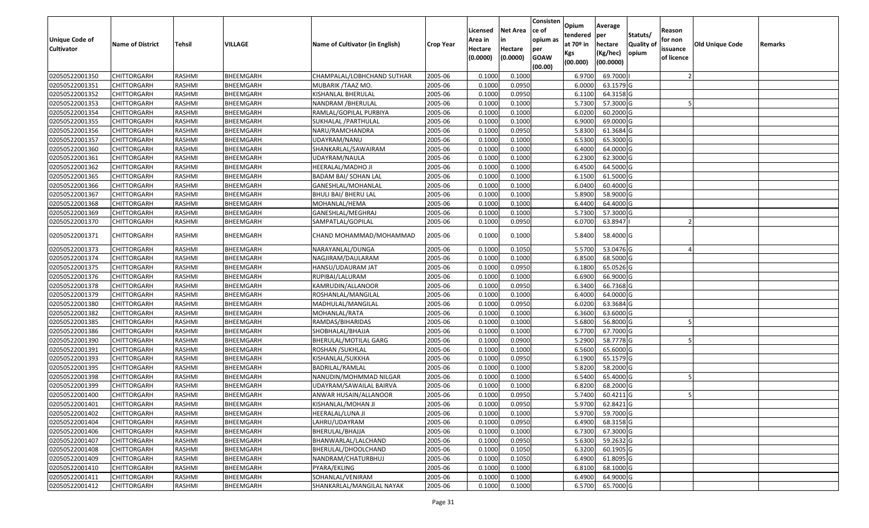| Unique Code of<br><b>Cultivator</b> | <b>Name of District</b> | Tehsil        | VILLAGE   | Name of Cultivator (in English) | <b>Crop Year</b> | Licensed<br>Area in<br>Hectare | <b>Net Area</b><br>in<br>Hectare | Consisten<br>ce of<br>opium as<br>per | Opium<br>tendered<br>at $70°$ in<br>Kgs | Average<br>per<br>hectare<br>(Kg/hec) | Statuts/<br><b>Quality o</b><br>opium | Reason<br>for non<br>issuance | Old Unique Code | Remarks |
|-------------------------------------|-------------------------|---------------|-----------|---------------------------------|------------------|--------------------------------|----------------------------------|---------------------------------------|-----------------------------------------|---------------------------------------|---------------------------------------|-------------------------------|-----------------|---------|
|                                     |                         |               |           |                                 |                  | (0.0000)                       | (0.0000)                         | <b>GOAW</b><br>(00.00)                | (00.000)                                | (00.0000)                             |                                       | of licence                    |                 |         |
| 02050522001350                      | CHITTORGARH             | RASHMI        | BHEEMGARH | CHAMPALAL/LOBHCHAND SUTHAR      | 2005-06          | 0.1000                         | 0.1000                           |                                       | 6.9700                                  | 69.7000                               |                                       |                               |                 |         |
| 02050522001351                      | CHITTORGARH             | RASHMI        | BHEEMGARH | MUBARIK /TAAZ MO.               | 2005-06          | 0.1000                         | 0.0950                           |                                       | 6.0000                                  | 63.1579 G                             |                                       |                               |                 |         |
| 02050522001352                      | CHITTORGARH             | RASHMI        | BHEEMGARH | KISHANLAL BHERULAL              | 2005-06          | 0.1000                         | 0.0950                           |                                       | 6.1100                                  | 64.3158 G                             |                                       |                               |                 |         |
| 02050522001353                      | <b>CHITTORGARH</b>      | RASHMI        | BHEEMGARH | NANDRAM /BHERULAL               | 2005-06          | 0.1000                         | 0.1000                           |                                       | 5.7300                                  | 57.3000G                              |                                       |                               |                 |         |
| 02050522001354                      | CHITTORGARH             | RASHMI        | BHEEMGARH | RAMLAL/GOPILAL PURBIYA          | 2005-06          | 0.1000                         | 0.1000                           |                                       | 6.0200                                  | 60.2000 G                             |                                       |                               |                 |         |
| 02050522001355                      | CHITTORGARH             | RASHMI        | BHEEMGARH | SUKHALAL / PARTHULAL            | 2005-06          | 0.1000                         | 0.1000                           |                                       | 6.9000                                  | 69.0000 G                             |                                       |                               |                 |         |
| 02050522001356                      | CHITTORGARH             | RASHMI        | BHEEMGARH | NARU/RAMCHANDRA                 | 2005-06          | 0.1000                         | 0.0950                           |                                       | 5.8300                                  | 61.3684 G                             |                                       |                               |                 |         |
| 02050522001357                      | CHITTORGARH             | <b>RASHMI</b> | BHEEMGARH | JDAYRAM/NANU                    | 2005-06          | 0.1000                         | 0.1000                           |                                       | 6.5300                                  | 65.3000G                              |                                       |                               |                 |         |
| 02050522001360                      | CHITTORGARH             | RASHMI        | BHEEMGARH | SHANKARLAL/SAWAIRAM             | 2005-06          | 0.1000                         | 0.1000                           |                                       | 6.4000                                  | 64.0000G                              |                                       |                               |                 |         |
| 02050522001361                      | CHITTORGARH             | RASHMI        | BHEEMGARH | UDAYRAM/NAULA                   | 2005-06          | 0.1000                         | 0.1000                           |                                       | 6.2300                                  | 62.3000 G                             |                                       |                               |                 |         |
| 02050522001362                      | CHITTORGARH             | RASHMI        | BHEEMGARH | HEERALAL/MADHO JI               | 2005-06          | 0.1000                         | 0.1000                           |                                       | 6.4500                                  | 64.5000 G                             |                                       |                               |                 |         |
| 02050522001365                      | <b>CHITTORGARH</b>      | RASHMI        | BHEEMGARH | <b>BADAM BAI/ SOHAN LAL</b>     | 2005-06          | 0.1000                         | 0.1000                           |                                       | 6.1500                                  | 61.5000 G                             |                                       |                               |                 |         |
| 02050522001366                      | <b>CHITTORGARH</b>      | RASHMI        | BHEEMGARH | GANESHLAL/MOHANLAL              | 2005-06          | 0.1000                         | 0.1000                           |                                       | 6.0400                                  | 60.4000 G                             |                                       |                               |                 |         |
| 02050522001367                      | <b>CHITTORGARH</b>      | RASHMI        | BHEEMGARH | BHULI BAI/ BHERU LAL            | 2005-06          | 0.1000                         | 0.1000                           |                                       | 5.8900                                  | 58.9000 G                             |                                       |                               |                 |         |
| 02050522001368                      | <b>CHITTORGARH</b>      | RASHMI        | BHEEMGARH | MOHANLAL/HEMA                   | 2005-06          | 0.1000                         | 0.1000                           |                                       | 6.4400                                  | 64.4000 G                             |                                       |                               |                 |         |
| 02050522001369                      | <b>CHITTORGARH</b>      | RASHMI        | BHEEMGARH | GANESHLAL/MEGHRAJ               | 2005-06          | 0.1000                         | 0.1000                           |                                       | 5.7300                                  | 57.3000G                              |                                       |                               |                 |         |
| 02050522001370                      | <b>CHITTORGARH</b>      | RASHMI        | BHEEMGARH | SAMPATLAL/GOPILAL               | 2005-06          | 0.1000                         | 0.0950                           |                                       | 6.0700                                  | 63.8947                               |                                       |                               |                 |         |
| 02050522001371                      | CHITTORGARH             | RASHMI        | BHEEMGARH | CHAND MOHAMMAD/MOHAMMAD         | 2005-06          | 0.1000                         | 0.1000                           |                                       | 5.8400                                  | 58.4000 G                             |                                       |                               |                 |         |
| 02050522001373                      | <b>CHITTORGARH</b>      | RASHMI        | BHEEMGARH | NARAYANLAL/DUNGA                | 2005-06          | 0.1000                         | 0.1050                           |                                       | 5.5700                                  | 53.0476 G                             |                                       |                               |                 |         |
| 02050522001374                      | CHITTORGARH             | RASHMI        | BHEEMGARH | NAGJIRAM/DAULARAM               | 2005-06          | 0.1000                         | 0.1000                           |                                       | 6.8500                                  | 68.5000 G                             |                                       |                               |                 |         |
| 02050522001375                      | CHITTORGARH             | RASHMI        | BHEEMGARH | HANSU/UDAURAM JAT               | 2005-06          | 0.1000                         | 0.0950                           |                                       | 6.1800                                  | 65.0526 G                             |                                       |                               |                 |         |
| 02050522001376                      | CHITTORGARH             | RASHMI        | BHEEMGARH | RUPIBAI/LALURAM                 | 2005-06          | 0.1000                         | 0.1000                           |                                       | 6.6900                                  | 66.9000 G                             |                                       |                               |                 |         |
| 02050522001378                      | CHITTORGARH             | RASHMI        | BHEEMGARH | KAMRUDIN/ALLANOOR               | 2005-06          | 0.1000                         | 0.0950                           |                                       | 6.3400                                  | 66.7368 G                             |                                       |                               |                 |         |
| 02050522001379                      | <b>CHITTORGARH</b>      | RASHMI        | BHEEMGARH | ROSHANLAL/MANGILAL              | 2005-06          | 0.1000                         | 0.1000                           |                                       | 6.4000                                  | 64.0000G                              |                                       |                               |                 |         |
| 02050522001380                      | CHITTORGARH             | RASHMI        | BHEEMGARH | MADHULAL/MANGILAL               | 2005-06          | 0.1000                         | 0.0950                           |                                       | 6.0200                                  | 63.3684 G                             |                                       |                               |                 |         |
| 02050522001382                      | CHITTORGARH             | RASHMI        | BHEEMGARH | MOHANLAL/RATA                   | 2005-06          | 0.1000                         | 0.1000                           |                                       | 6.3600                                  | 63.6000 G                             |                                       |                               |                 |         |
| 02050522001385                      | CHITTORGARH             | RASHMI        | BHEEMGARH | RAMDAS/BIHARIDAS                | 2005-06          | 0.1000                         | 0.1000                           |                                       | 5.6800                                  | 56.8000 G                             |                                       |                               |                 |         |
| 02050522001386                      | CHITTORGARH             | <b>RASHMI</b> | BHEEMGARH | SHOBHALAL/BHAJJA                | 2005-06          | 0.1000                         | 0.1000                           |                                       | 6.7700                                  | 67.7000 G                             |                                       |                               |                 |         |
| 02050522001390                      | CHITTORGARH             | RASHMI        | BHEEMGARH | BHERULAL/MOTILAL GARG           | 2005-06          | 0.1000                         | 0.0900                           |                                       | 5.2900                                  | 58.7778 G                             |                                       |                               |                 |         |
| 02050522001391                      | CHITTORGARH             | RASHMI        | BHEEMGARH | ROSHAN / SUKHLAL                | 2005-06          | 0.1000                         | 0.1000                           |                                       | 6.5600                                  | 65.6000G                              |                                       |                               |                 |         |
| 02050522001393                      | CHITTORGARH             | RASHMI        | BHEEMGARH | KISHANLAL/SUKKHA                | 2005-06          | 0.1000                         | 0.0950                           |                                       | 6.1900                                  | 65.1579 G                             |                                       |                               |                 |         |
| 02050522001395                      | CHITTORGARH             | RASHMI        | BHEEMGARH | BADRILAL/RAMLAL                 | 2005-06          | 0.1000                         | 0.1000                           |                                       | 5.8200                                  | 58.2000 G                             |                                       |                               |                 |         |
| 02050522001398                      | <b>CHITTORGARH</b>      | RASHMI        | BHEEMGARH | NANUDIN/MOHMMAD NILGAR          | 2005-06          | 0.1000                         | 0.1000                           |                                       | 6.5400                                  | 65.4000 G                             |                                       |                               |                 |         |
| 02050522001399                      | CHITTORGARH             | RASHMI        | BHEEMGARH | UDAYRAM/SAWAILAL BAIRVA         | 2005-06          | 0.100                          | 0.1000                           |                                       | 6.8200                                  | 68.2000 G                             |                                       |                               |                 |         |
| 02050522001400                      | CHITTORGARH             | RASHMI        | BHEEMGARH | ANWAR HUSAIN/ALLANOOR           | 2005-06          | 0.1000                         | 0.0950                           |                                       | 5.7400                                  | 60.4211G                              |                                       |                               |                 |         |
| 02050522001401                      | <b>CHITTORGARH</b>      | RASHMI        | BHEEMGARH | KISHANLAL/MOHAN JI              | 2005-06          | 0.1000                         | 0.0950                           |                                       | 5.9700                                  | 62.8421 G                             |                                       |                               |                 |         |
| 02050522001402                      | <b>CHITTORGARH</b>      | RASHMI        | BHEEMGARH | HEERALAL/LUNA JI                | 2005-06          | 0.1000                         | 0.1000                           |                                       | 5.9700                                  | 59.7000 G                             |                                       |                               |                 |         |
| 02050522001404                      | <b>CHITTORGARH</b>      | RASHMI        | BHEEMGARH | LAHRU/UDAYRAM                   | 2005-06          | 0.1000                         | 0.0950                           |                                       | 6.4900                                  | 68.3158 G                             |                                       |                               |                 |         |
| 02050522001406                      | <b>CHITTORGARH</b>      | RASHMI        | BHEEMGARH | BHERULAL/BHAJJA                 | 2005-06          | 0.1000                         | 0.1000                           |                                       | 6.7300                                  | 67.3000 G                             |                                       |                               |                 |         |
| 02050522001407                      | CHITTORGARH             | RASHMI        | BHEEMGARH | BHANWARLAL/LALCHAND             | 2005-06          | 0.1000                         | 0.0950                           |                                       | 5.6300                                  | 59.2632 G                             |                                       |                               |                 |         |
| 02050522001408                      | <b>CHITTORGARH</b>      | RASHMI        | BHEEMGARH | BHERULAL/DHOOLCHAND             | 2005-06          | 0.1000                         | 0.1050                           |                                       | 6.3200                                  | 60.1905 G                             |                                       |                               |                 |         |
| 02050522001409                      | <b>CHITTORGARH</b>      | RASHMI        | BHEEMGARH | NANDRAM/CHATURBHUJ              | 2005-06          | 0.1000                         | 0.1050                           |                                       | 6.4900                                  | 61.8095 G                             |                                       |                               |                 |         |
| 02050522001410                      | CHITTORGARH             | RASHMI        | BHEEMGARH | PYARA/EKLING                    | 2005-06          | 0.1000                         | 0.1000                           |                                       | 6.8100                                  | $68.1000$ G                           |                                       |                               |                 |         |
| 02050522001411                      | CHITTORGARH             | RASHMI        | BHEEMGARH | SOHANLAL/VENIRAM                | 2005-06          | 0.1000                         | 0.1000                           |                                       | 6.4900                                  | 64.9000 G                             |                                       |                               |                 |         |
| 02050522001412                      | <b>CHITTORGARH</b>      | RASHMI        | BHEEMGARH | SHANKARLAL/MANGILAL NAYAK       | 2005-06          | 0.1000                         | 0.1000                           |                                       | 6.5700                                  | 65.7000 G                             |                                       |                               |                 |         |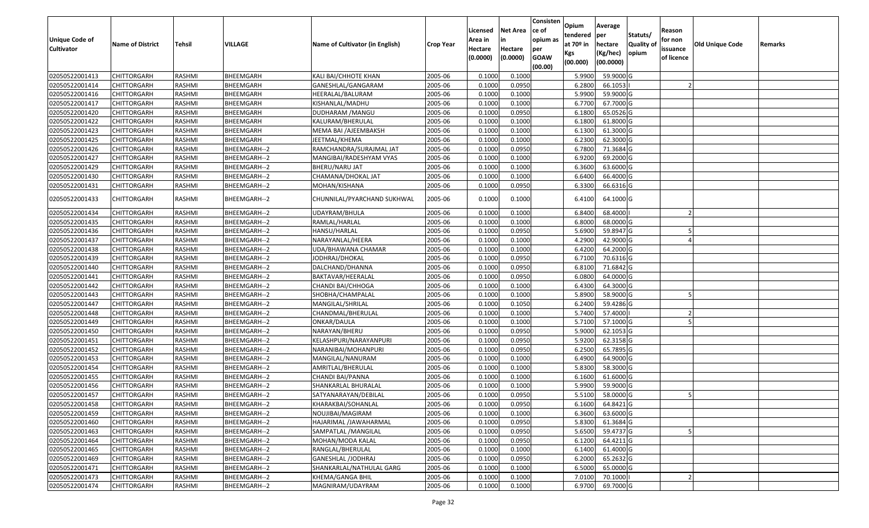| Unique Code of    | <b>Name of District</b> | Tehsil        | VILLAGE          | Name of Cultivator (in English) | <b>Crop Year</b> | Licensed<br>Area in | <b>Net Area</b><br>in | Consisten<br>ce of<br>opium as | Opium<br>tendered<br>at $70°$ in | Average<br>per<br>hectare | Statuts/<br><b>Quality o</b> | Reason<br>for non      | Old Unique Code | Remarks |
|-------------------|-------------------------|---------------|------------------|---------------------------------|------------------|---------------------|-----------------------|--------------------------------|----------------------------------|---------------------------|------------------------------|------------------------|-----------------|---------|
| <b>Cultivator</b> |                         |               |                  |                                 |                  | Hectare<br>(0.0000) | Hectare<br>(0.0000)   | per<br><b>GOAW</b><br>(00.00)  | Kgs<br>(00.000)                  | (Kg/hec)<br>(00.0000)     | opium                        | issuance<br>of licence |                 |         |
| 02050522001413    | CHITTORGARH             | RASHMI        | BHEEMGARH        | KALI BAI/CHHOTE KHAN            | 2005-06          | 0.1000              | 0.1000                |                                | 5.9900                           | 59.9000G                  |                              |                        |                 |         |
| 02050522001414    | CHITTORGARH             | RASHMI        | BHEEMGARH        | GANESHLAL/GANGARAM              | 2005-06          | 0.1000              | 0.0950                |                                | 6.2800                           | 66.1053                   |                              |                        |                 |         |
| 02050522001416    | CHITTORGARH             | RASHMI        | BHEEMGARH        | HEERALAL/BALURAM                | 2005-06          | 0.1000              | 0.1000                |                                | 5.9900                           | 59.9000G                  |                              |                        |                 |         |
| 02050522001417    | <b>CHITTORGARH</b>      | RASHMI        | BHEEMGARH        | KISHANLAL/MADHU                 | 2005-06          | 0.1000              | 0.1000                |                                | 6.7700                           | 67.7000 G                 |                              |                        |                 |         |
| 02050522001420    | CHITTORGARH             | RASHMI        | BHEEMGARH        | DUDHARAM / MANGU                | 2005-06          | 0.1000              | 0.0950                |                                | 6.1800                           | 65.0526 G                 |                              |                        |                 |         |
| 02050522001422    | CHITTORGARH             | RASHMI        | <b>BHEEMGARH</b> | KALURAM/BHERULAL                | 2005-06          | 0.1000              | 0.1000                |                                | 6.1800                           | 61.8000 G                 |                              |                        |                 |         |
| 02050522001423    | CHITTORGARH             | RASHMI        | BHEEMGARH        | MEMA BAI /AJEEMBAKSH            | 2005-06          | 0.1000              | 0.1000                |                                | 6.1300                           | 61.3000G                  |                              |                        |                 |         |
| 02050522001425    | CHITTORGARH             | <b>RASHMI</b> | BHEEMGARH        | JEETMAL/KHEMA                   | 2005-06          | 0.1000              | 0.1000                |                                | 6.2300                           | 62.3000G                  |                              |                        |                 |         |
| 02050522001426    | CHITTORGARH             | RASHMI        | BHEEMGARH--2     | RAMCHANDRA/SURAJMAL JAT         | 2005-06          | 0.1000              | 0.0950                |                                | 6.7800                           | 71.3684 G                 |                              |                        |                 |         |
| 02050522001427    | CHITTORGARH             | RASHMI        | BHEEMGARH--2     | MANGIBAI/RADESHYAM VYAS         | 2005-06          | 0.1000              | 0.1000                |                                | 6.9200                           | 69.2000 G                 |                              |                        |                 |         |
| 02050522001429    | CHITTORGARH             | RASHMI        | BHEEMGARH--2     | BHERU/NARU JAT                  | 2005-06          | 0.1000              | 0.1000                |                                | 6.3600                           | 63.6000 G                 |                              |                        |                 |         |
| 02050522001430    | CHITTORGARH             | RASHMI        | BHEEMGARH--2     | CHAMANA/DHOKAL JAT              | 2005-06          | 0.1000              | 0.1000                |                                | 6.6400                           | 66.4000 G                 |                              |                        |                 |         |
| 02050522001431    | <b>CHITTORGARH</b>      | RASHMI        | BHEEMGARH--2     | MOHAN/KISHANA                   | 2005-06          | 0.1000              | 0.0950                |                                | 6.3300                           | 66.6316 G                 |                              |                        |                 |         |
| 02050522001433    | CHITTORGARH             | RASHMI        | BHEEMGARH--2     | CHUNNILAL/PYARCHAND SUKHWAL     | 2005-06          | 0.1000              | 0.1000                |                                | 6.4100                           | 64.1000 G                 |                              |                        |                 |         |
| 02050522001434    | <b>CHITTORGARH</b>      | RASHMI        | BHEEMGARH--2     | UDAYRAM/BHULA                   | 2005-06          | 0.1000              | 0.1000                |                                | 6.8400                           | 68.4000                   |                              |                        |                 |         |
| 02050522001435    | CHITTORGARH             | RASHMI        | BHEEMGARH--2     | RAMLAL/HARLAL                   | 2005-06          | 0.1000              | 0.1000                |                                | 6.8000                           | 68.0000G                  |                              |                        |                 |         |
| 02050522001436    | CHITTORGARH             | RASHMI        | BHEEMGARH--2     | HANSU/HARLAL                    | 2005-06          | 0.1000              | 0.0950                |                                | 5.6900                           | 59.8947 G                 |                              |                        |                 |         |
| 02050522001437    | CHITTORGARH             | RASHMI        | BHEEMGARH--2     | NARAYANLAL/HEERA                | 2005-06          | 0.1000              | 0.1000                |                                | 4.2900                           | 42.9000G                  |                              |                        |                 |         |
| 02050522001438    | CHITTORGARH             | RASHMI        | BHEEMGARH--2     | UDA/BHAWANA CHAMAR              | 2005-06          | 0.1000              | 0.1000                |                                | 6.4200                           | 64.2000 G                 |                              |                        |                 |         |
| 02050522001439    | CHITTORGARH             | RASHMI        | BHEEMGARH--2     | JODHRAJ/DHOKAL                  | 2005-06          | 0.1000              | 0.0950                |                                | 6.7100                           | 70.6316 G                 |                              |                        |                 |         |
| 02050522001440    | CHITTORGARH             | RASHMI        | BHEEMGARH--2     | DALCHAND/DHANNA                 | 2005-06          | 0.1000              | 0.0950                |                                | 6.8100                           | 71.6842 G                 |                              |                        |                 |         |
| 02050522001441    | CHITTORGARH             | RASHMI        | BHEEMGARH--2     | BAKTAVAR/HEERALAL               | 2005-06          | 0.1000              | 0.0950                |                                | 6.0800                           | 64.0000G                  |                              |                        |                 |         |
| 02050522001442    | CHITTORGARH             | RASHMI        | BHEEMGARH--2     | CHANDI BAI/CHHOGA               | 2005-06          | 0.1000              | 0.1000                |                                | 6.4300                           | 64.3000 G                 |                              |                        |                 |         |
| 02050522001443    | CHITTORGARH             | RASHMI        | BHEEMGARH--2     | SHOBHA/CHAMPALAL                | 2005-06          | 0.1000              | 0.1000                |                                | 5.8900                           | 58.9000 G                 |                              |                        |                 |         |
| 02050522001447    | CHITTORGARH             | RASHMI        | BHEEMGARH--2     | MANGILAL/SHRILAL                | 2005-06          | 0.1000              | 0.1050                |                                | 6.2400                           | 59.4286 G                 |                              |                        |                 |         |
| 02050522001448    | CHITTORGARH             | RASHMI        | BHEEMGARH--2     | CHANDMAL/BHERULAL               | 2005-06          | 0.1000              | 0.1000                |                                | 5.7400                           | 57.4000                   |                              |                        |                 |         |
| 02050522001449    | CHITTORGARH             | RASHMI        | BHEEMGARH--2     | ONKAR/DAULA                     | 2005-06          | 0.1000              | 0.1000                |                                | 5.7100                           | 57.1000 G                 |                              |                        |                 |         |
| 02050522001450    | <b>CHITTORGARH</b>      | <b>RASHMI</b> | BHEEMGARH--2     | NARAYAN/BHERU                   | 2005-06          | 0.1000              | 0.0950                |                                | 5.9000                           | 62.1053 G                 |                              |                        |                 |         |
| 02050522001451    | CHITTORGARH             | RASHMI        | BHEEMGARH--2     | KELASHPURI/NARAYANPURI          | 2005-06          | 0.1000              | 0.0950                |                                | 5.9200                           | 62.3158 G                 |                              |                        |                 |         |
| 02050522001452    | CHITTORGARH             | RASHMI        | BHEEMGARH--2     | NARANIBAI/MOHANPURI             | 2005-06          | 0.1000              | 0.0950                |                                | 6.2500                           | 65.7895 G                 |                              |                        |                 |         |
| 02050522001453    | CHITTORGARH             | RASHMI        | BHEEMGARH--2     | MANGILAL/NANURAM                | 2005-06          | 0.1000              | 0.1000                |                                | 6.4900                           | 64.9000 G                 |                              |                        |                 |         |
| 02050522001454    | CHITTORGARH             | RASHMI        | BHEEMGARH--2     | AMRITLAL/BHERULAL               | 2005-06          | 0.1000              | 0.1000                |                                | 5.8300                           | 58.3000 G                 |                              |                        |                 |         |
| 02050522001455    | <b>CHITTORGARH</b>      | RASHMI        | BHEEMGARH--2     | CHANDI BAI/PANNA                | 2005-06          | 0.1000              | 0.1000                |                                | 6.1600                           | 61.6000 G                 |                              |                        |                 |         |
| 02050522001456    | CHITTORGARH             | RASHMI        | BHEEMGARH--2     | SHANKARLAL BHURALAL             | 2005-06          | 0.1000              | 0.1000                |                                | 5.9900                           | 59.9000G                  |                              |                        |                 |         |
| 02050522001457    | CHITTORGARH             | RASHMI        | BHEEMGARH--2     | SATYANARAYAN/DEBILAL            | 2005-06          | 0.1000              | 0.0950                |                                | 5.5100                           | 58.0000G                  |                              |                        |                 |         |
| 02050522001458    | <b>CHITTORGARH</b>      | RASHMI        | BHEEMGARH--2     | KHARAKBAI/SOHANLAL              | 2005-06          | 0.1000              | 0.0950                |                                | 6.1600                           | 64.8421 G                 |                              |                        |                 |         |
| 02050522001459    | <b>CHITTORGARH</b>      | RASHMI        | BHEEMGARH--2     | NOUJIBAI/MAGIRAM                | 2005-06          | 0.1000              | 0.1000                |                                | 6.3600                           | 63.6000 G                 |                              |                        |                 |         |
| 02050522001460    | <b>CHITTORGARH</b>      | RASHMI        | BHEEMGARH--2     | HAJARIMAL /JAWAHARMAL           | 2005-06          | 0.1000              | 0.0950                |                                | 5.8300                           | 61.3684 G                 |                              |                        |                 |         |
| 02050522001463    | <b>CHITTORGARH</b>      | RASHMI        | BHEEMGARH--2     | SAMPATLAL /MANGILAL             | 2005-06          | 0.1000              | 0.0950                |                                | 5.6500                           | 59.4737 G                 |                              |                        |                 |         |
| 02050522001464    | <b>CHITTORGARH</b>      | RASHMI        | BHEEMGARH--2     | MOHAN/MODA KALAL                | 2005-06          | 0.1000              | 0.0950                |                                | 6.1200                           | 64.4211 G                 |                              |                        |                 |         |
| 02050522001465    | <b>CHITTORGARH</b>      | RASHMI        | BHEEMGARH--2     | RANGLAL/BHERULAL                | 2005-06          | 0.1000              | 0.1000                |                                | 6.1400                           | 61.4000 G                 |                              |                        |                 |         |
| 02050522001469    | <b>CHITTORGARH</b>      | RASHMI        | BHEEMGARH--2     | GANESHLAL /JODHRAJ              | 2005-06          | 0.1000              | 0.0950                |                                | 6.2000                           | 65.2632 G                 |                              |                        |                 |         |
| 02050522001471    | CHITTORGARH             | RASHMI        | BHEEMGARH--2     | SHANKARLAL/NATHULAL GARG        | 2005-06          | 0.1000              | 0.1000                |                                | 6.5000                           | 65.0000 G                 |                              |                        |                 |         |
| 02050522001473    | <b>CHITTORGARH</b>      | RASHMI        | BHEEMGARH--2     | KHEMA/GANGA BHIL                | 2005-06          | 0.1000              | 0.1000                |                                | 7.0100                           | 70.1000                   |                              |                        |                 |         |
| 02050522001474    | <b>CHITTORGARH</b>      | RASHMI        | BHEEMGARH--2     | MAGNIRAM/UDAYRAM                | 2005-06          | 0.1000              | 0.1000                |                                | 6.9700                           | 69.7000 G                 |                              |                        |                 |         |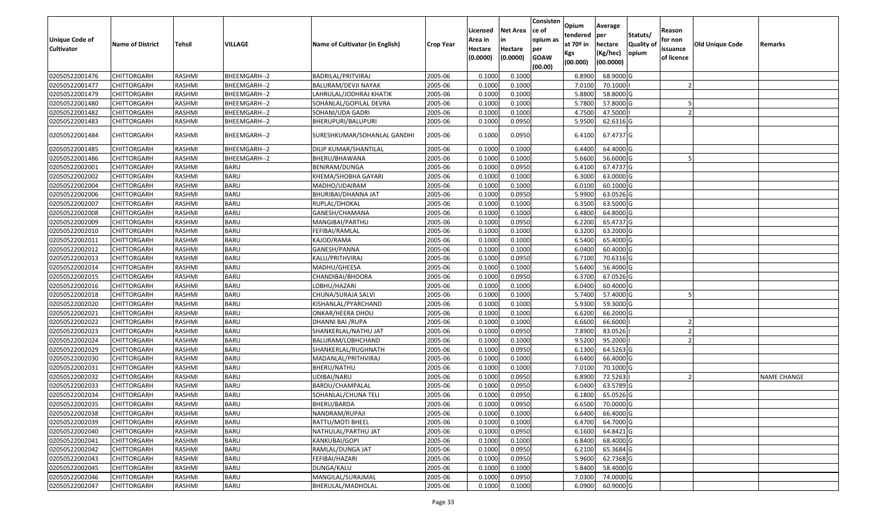| Unique Code of    | <b>Name of District</b> | Tehsil        | VILLAGE      | Name of Cultivator (in English) | <b>Crop Year</b> | Licensed<br>Area in | <b>Net Area</b><br>in | Consisten<br>ce of<br>opium as | Opium<br>tendered<br>at $70°$ in | Average<br>per<br>hectare | Statuts/<br><b>Quality o</b> | Reason<br>for non      | Old Unique Code | Remarks            |
|-------------------|-------------------------|---------------|--------------|---------------------------------|------------------|---------------------|-----------------------|--------------------------------|----------------------------------|---------------------------|------------------------------|------------------------|-----------------|--------------------|
| <b>Cultivator</b> |                         |               |              |                                 |                  | Hectare<br>(0.0000) | Hectare<br>(0.0000)   | per<br><b>GOAW</b><br>(00.00)  | Kgs<br>(00.000)                  | (Kg/hec)<br>(00.0000)     | opium                        | issuance<br>of licence |                 |                    |
| 02050522001476    | CHITTORGARH             | RASHMI        | BHEEMGARH--2 | BADRILAL/PRITVIRAJ              | 2005-06          | 0.1000              | 0.1000                |                                | 6.8900                           | 68.9000 G                 |                              |                        |                 |                    |
| 02050522001477    | CHITTORGARH             | RASHMI        | BHEEMGARH--2 | BALURAM/DEVJI NAYAK             | 2005-06          | 0.1000              | 0.1000                |                                | 7.0100                           | 70.1000                   |                              |                        |                 |                    |
| 02050522001479    | CHITTORGARH             | RASHMI        | BHEEMGARH--2 | LAHRULAL/JODHRAJ KHATIK         | 2005-06          | 0.1000              | 0.1000                |                                | 5.8800                           | 58.8000 G                 |                              |                        |                 |                    |
| 02050522001480    | <b>CHITTORGARH</b>      | RASHMI        | BHEEMGARH--2 | SOHANLAL/GOPILAL DEVRA          | 2005-06          | 0.1000              | 0.1000                |                                | 5.7800                           | 57.8000 G                 |                              |                        |                 |                    |
| 02050522001482    | CHITTORGARH             | RASHMI        | BHEEMGARH--2 | SOHANI/UDA GADRI                | 2005-06          | 0.1000              | 0.1000                |                                | 4.7500                           | 47.5000                   |                              |                        |                 |                    |
| 02050522001483    | CHITTORGARH             | RASHMI        | BHEEMGARH--2 | BHERUPURI/BALUPURI              | 2005-06          | 0.1000              | 0.0950                |                                | 5.9500                           | 62.6316 G                 |                              |                        |                 |                    |
| 02050522001484    | CHITTORGARH             | RASHMI        | BHEEMGARH--2 | SURESHKUMAR/SOHANLAL GANDHI     | 2005-06          | 0.1000              | 0.0950                |                                | 6.4100                           | 67.4737 G                 |                              |                        |                 |                    |
| 02050522001485    | <b>CHITTORGARH</b>      | RASHMI        | BHEEMGARH--2 | DILIP KUMAR/SHANTILAL           | 2005-06          | 0.1000              | 0.1000                |                                | 6.4400                           | 64.4000 G                 |                              |                        |                 |                    |
| 02050522001486    | <b>CHITTORGARH</b>      | RASHMI        | BHEEMGARH--2 | BHERU/BHAWANA                   | 2005-06          | 0.1000              | 0.1000                |                                | 5.6600                           | 56.6000 G                 |                              |                        |                 |                    |
| 02050522002001    | <b>CHITTORGARH</b>      | RASHMI        | <b>BARU</b>  | BENIRAM/DUNGA                   | 2005-06          | 0.1000              | 0.0950                |                                | 6.4100                           | 67.4737 G                 |                              |                        |                 |                    |
| 02050522002002    | CHITTORGARH             | RASHMI        | <b>BARU</b>  | KHEMA/SHOBHA GAYARI             | 2005-06          | 0.1000              | 0.1000                |                                | 6.3000                           | 63.0000G                  |                              |                        |                 |                    |
| 02050522002004    | <b>CHITTORGARH</b>      | RASHMI        | <b>BARU</b>  | MADHO/UDAIRAM                   | 2005-06          | 0.1000              | 0.1000                |                                | 6.0100                           | 60.1000 G                 |                              |                        |                 |                    |
| 02050522002006    | CHITTORGARH             | RASHMI        | <b>BARU</b>  | BHURIBAI/DHANNA JAT             | 2005-06          | 0.1000              | 0.0950                |                                | 5.9900                           | 63.0526 G                 |                              |                        |                 |                    |
| 02050522002007    | CHITTORGARH             | RASHMI        | <b>BARU</b>  | RUPLAL/DHOKAL                   | 2005-06          | 0.1000              | 0.1000                |                                | 6.3500                           | 63.5000G                  |                              |                        |                 |                    |
| 02050522002008    | CHITTORGARH             | RASHMI        | <b>BARU</b>  | GANESH/CHAMANA                  | 2005-06          | 0.1000              | 0.1000                |                                | 6.4800                           | 64.8000 G                 |                              |                        |                 |                    |
| 02050522002009    | CHITTORGARH             | RASHMI        | <b>BARU</b>  | MANGIBAI/PARTHU                 | 2005-06          | 0.100               | 0.0950                |                                | 6.2200                           | 65.4737 G                 |                              |                        |                 |                    |
| 02050522002010    | CHITTORGARH             | RASHMI        | <b>BARU</b>  | FEFIBAI/RAMLAL                  | 2005-06          | 0.1000              | 0.1000                |                                | 6.3200                           | 63.2000 G                 |                              |                        |                 |                    |
| 02050522002011    | CHITTORGARH             | RASHMI        | <b>BARU</b>  | KAJOD/RAMA                      | 2005-06          | 0.1000              | 0.1000                |                                | 6.5400                           | 65.4000 G                 |                              |                        |                 |                    |
| 02050522002012    | CHITTORGARH             | RASHMI        | <b>BARU</b>  | GANESH/PANNA                    | 2005-06          | 0.1000              | 0.1000                |                                | 6.0400                           | 60.4000 G                 |                              |                        |                 |                    |
| 02050522002013    | CHITTORGARH             | RASHMI        | <b>BARU</b>  | KALU/PRITHVIRAJ                 | 2005-06          | 0.1000              | 0.0950                |                                | 6.7100                           | 70.6316 G                 |                              |                        |                 |                    |
| 02050522002014    | CHITTORGARH             | RASHMI        | <b>BARU</b>  | MADHU/GHEESA                    | 2005-06          | 0.1000              | 0.1000                |                                | 5.6400                           | 56.4000 G                 |                              |                        |                 |                    |
| 02050522002015    | CHITTORGARH             | RASHMI        | <b>BARU</b>  | CHANDIBAI/BHOORA                | 2005-06          | 0.1000              | 0.0950                |                                | 6.3700                           | 67.0526 G                 |                              |                        |                 |                    |
| 02050522002016    | CHITTORGARH             | RASHMI        | <b>BARU</b>  | LOBHU/HAZARI                    | 2005-06          | 0.1000              | 0.1000                |                                | 6.0400                           | 60.4000 G                 |                              |                        |                 |                    |
| 02050522002018    | <b>CHITTORGARH</b>      | RASHMI        | <b>BARU</b>  | CHUNA/SURAJA SALVI              | 2005-06          | 0.1000              | 0.1000                |                                | 5.7400                           | 57.4000 G                 |                              |                        |                 |                    |
| 02050522002020    | CHITTORGARH             | RASHMI        | <b>BARU</b>  | KISHANLAL/PYARCHAND             | 2005-06          | 0.1000              | 0.1000                |                                | 5.9300                           | 59.3000G                  |                              |                        |                 |                    |
| 02050522002021    | CHITTORGARH             | RASHMI        | <b>BARU</b>  | ONKAR/HEERA DHOLI               | 2005-06          | 0.1000              | 0.1000                |                                | 6.6200                           | 66.2000 G                 |                              |                        |                 |                    |
| 02050522002022    | CHITTORGARH             | RASHMI        | <b>BARU</b>  | DHANNI BAI /RUPA                | 2005-06          | 0.1000              | 0.1000                |                                | 6.6600                           | 66.6000                   |                              |                        |                 |                    |
| 02050522002023    | <b>CHITTORGARH</b>      | <b>RASHMI</b> | <b>BARU</b>  | SHANKERLAL/NATHU JAT            | 2005-06          | 0.1000              | 0.0950                |                                | 7.8900                           | 83.0526                   |                              |                        |                 |                    |
| 02050522002024    | CHITTORGARH             | RASHMI        | <b>BARU</b>  | BALURAM/LOBHCHAND               | 2005-06          | 0.1000              | 0.1000                |                                | 9.5200                           | 95.2000                   |                              |                        |                 |                    |
| 02050522002029    | CHITTORGARH             | RASHMI        | <b>BARU</b>  | SHANKERLAL/RUGHNATH             | 2005-06          | 0.1000              | 0.0950                |                                | 6.1300                           | 64.5263 G                 |                              |                        |                 |                    |
| 02050522002030    | CHITTORGARH             | RASHMI        | <b>BARU</b>  | MADANLAL/PRITHVIRAJ             | 2005-06          | 0.1000              | 0.1000                |                                | 6.6400                           | 66.4000 G                 |                              |                        |                 |                    |
| 02050522002031    | CHITTORGARH             | RASHMI        | <b>BARU</b>  | BHERU/NATHU                     | 2005-06          | 0.1000              | 0.1000                |                                | 7.0100                           | 70.1000G                  |                              |                        |                 |                    |
| 02050522002032    | <b>CHITTORGARH</b>      | RASHMI        | <b>BARU</b>  | UDIBAI/NARU                     | 2005-06          | 0.1000              | 0.0950                |                                | 6.8900                           | 72.5263                   |                              |                        |                 | <b>NAME CHANGE</b> |
| 02050522002033    | CHITTORGARH             | RASHMI        | <b>BARU</b>  | BARDU/CHAMPALAL                 | 2005-06          | 0.1000              | 0.0950                |                                | 6.0400                           | 63.5789 G                 |                              |                        |                 |                    |
| 02050522002034    | CHITTORGARH             | RASHMI        | <b>BARU</b>  | SOHANLAL/CHUNA TELI             | 2005-06          | 0.1000              | 0.0950                |                                | 6.1800                           | 65.0526 G                 |                              |                        |                 |                    |
| 02050522002035    | <b>CHITTORGARH</b>      | RASHMI        | <b>BARU</b>  | BHERU/BARDA                     | 2005-06          | 0.1000              | 0.0950                |                                | 6.6500                           | 70.0000G                  |                              |                        |                 |                    |
| 02050522002038    | <b>CHITTORGARH</b>      | RASHMI        | <b>BARU</b>  | NANDRAM/RUPAJI                  | 2005-06          | 0.1000              | 0.1000                |                                | 6.6400                           | 66.4000 G                 |                              |                        |                 |                    |
| 02050522002039    | <b>CHITTORGARH</b>      | RASHMI        | <b>BARU</b>  | RATTU/MOTI BHEEL                | 2005-06          | 0.1000              | 0.1000                |                                | 6.4700                           | 64.7000 G                 |                              |                        |                 |                    |
| 02050522002040    | <b>CHITTORGARH</b>      | RASHMI        | <b>BARU</b>  | NATHULAL/PARTHU JAT             | 2005-06          | 0.1000              | 0.0950                |                                | 6.1600                           | 64.8421 G                 |                              |                        |                 |                    |
| 02050522002041    | <b>CHITTORGARH</b>      | RASHMI        | <b>BARU</b>  | KANKUBAI/GOPI                   | 2005-06          | 0.1000              | 0.1000                |                                | 6.8400                           | 68.4000 G                 |                              |                        |                 |                    |
| 02050522002042    | <b>CHITTORGARH</b>      | RASHMI        | <b>BARU</b>  | RAMLAL/DUNGA JAT                | 2005-06          | 0.1000              | 0.0950                |                                | 6.2100                           | 65.3684 G                 |                              |                        |                 |                    |
| 02050522002043    | <b>CHITTORGARH</b>      | RASHMI        | <b>BARU</b>  | FEFIBAI/HAZARI                  | 2005-06          | 0.1000              | 0.0950                |                                | 5.9600                           | 62.7368 G                 |                              |                        |                 |                    |
| 02050522002045    | CHITTORGARH             | RASHMI        | <b>BARU</b>  | DUNGA/KALU                      | 2005-06          | 0.1000              | 0.1000                |                                | 5.8400                           | 58.4000 G                 |                              |                        |                 |                    |
| 02050522002046    | CHITTORGARH             | RASHMI        | <b>BARU</b>  | MANGILAL/SURAJMAL               | 2005-06          | 0.1000              | 0.0950                |                                | 7.0300                           | 74.0000 G                 |                              |                        |                 |                    |
| 02050522002047    | <b>CHITTORGARH</b>      | RASHMI        | <b>BARU</b>  | BHERULAL/MADHOLAL               | 2005-06          | 0.1000              | 0.1000                |                                | 6.0900                           | 60.9000 G                 |                              |                        |                 |                    |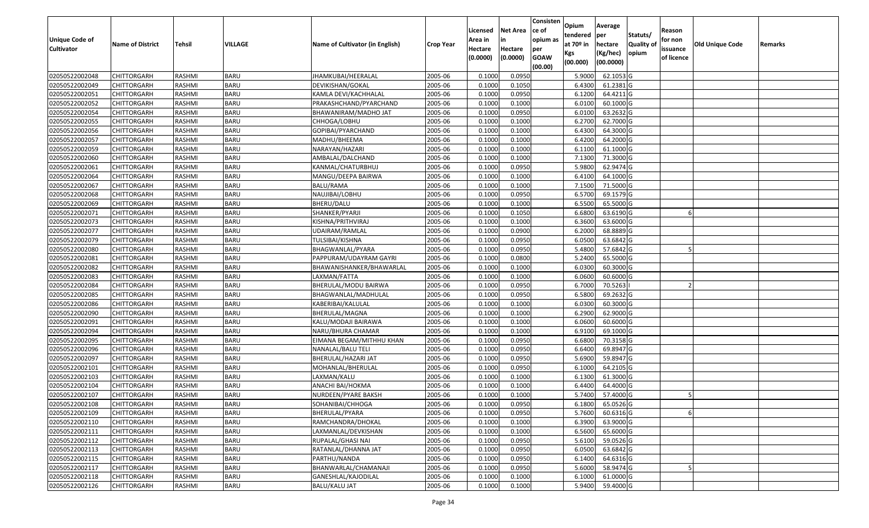| Unique Code of    |                         |               |             |                                 |                  | Licensed<br>Area in | <b>Net Area</b><br>in | Consisten<br>ce of<br>opium as | Opium<br>tendered              | Average<br>per                   | Statuts/                  | Reason<br>for non      |                 |         |
|-------------------|-------------------------|---------------|-------------|---------------------------------|------------------|---------------------|-----------------------|--------------------------------|--------------------------------|----------------------------------|---------------------------|------------------------|-----------------|---------|
| <b>Cultivator</b> | <b>Name of District</b> | Tehsil        | VILLAGE     | Name of Cultivator (in English) | <b>Crop Year</b> | Hectare<br>(0.0000) | Hectare<br>(0.0000)   | per<br><b>GOAW</b><br>(00.00)  | at $70°$ in<br>Kgs<br>(00.000) | hectare<br>(Kg/hec)<br>(00.0000) | <b>Quality o</b><br>opium | issuance<br>of licence | Old Unique Code | Remarks |
| 02050522002048    | CHITTORGARH             | RASHMI        | <b>BARU</b> | JHAMKUBAI/HEERALAL              | 2005-06          | 0.1000              | 0.0950                |                                | 5.9000                         | 62.1053 G                        |                           |                        |                 |         |
| 02050522002049    | CHITTORGARH             | RASHMI        | <b>BARU</b> | DEVIKISHAN/GOKAL                | 2005-06          | 0.1000              | 0.1050                |                                | 6.4300                         | $61.2381$ G                      |                           |                        |                 |         |
| 02050522002051    | CHITTORGARH             | RASHMI        | <b>BARU</b> | KAMLA DEVI/KACHHALAL            | 2005-06          | 0.1000              | 0.0950                |                                | 6.1200                         | 64.4211G                         |                           |                        |                 |         |
| 02050522002052    | <b>CHITTORGARH</b>      | RASHMI        | <b>BARU</b> | PRAKASHCHAND/PYARCHAND          | 2005-06          | 0.1000              | 0.1000                |                                | 6.0100                         | 60.1000 G                        |                           |                        |                 |         |
| 02050522002054    | CHITTORGARH             | RASHMI        | <b>BARU</b> | BHAWANIRAM/MADHO JAT            | 2005-06          | 0.1000              | 0.0950                |                                | 6.0100                         | 63.2632 G                        |                           |                        |                 |         |
| 02050522002055    | CHITTORGARH             | RASHMI        | <b>BARU</b> | CHHOGA/LOBHU                    | 2005-06          | 0.1000              | 0.1000                |                                | 6.2700                         | 62.7000 G                        |                           |                        |                 |         |
| 02050522002056    | CHITTORGARH             | RASHMI        | <b>BARU</b> | GOPIBAI/PYARCHAND               | 2005-06          | 0.1000              | 0.1000                |                                | 6.4300                         | 64.3000 G                        |                           |                        |                 |         |
| 02050522002057    | CHITTORGARH             | <b>RASHMI</b> | <b>BARU</b> | MADHU/BHEEMA                    | 2005-06          | 0.1000              | 0.1000                |                                | 6.4200                         | 64.2000 G                        |                           |                        |                 |         |
| 02050522002059    | CHITTORGARH             | RASHMI        | <b>BARU</b> | NARAYAN/HAZARI                  | 2005-06          | 0.1000              | 0.1000                |                                | 6.1100                         | 61.1000 G                        |                           |                        |                 |         |
| 02050522002060    | CHITTORGARH             | RASHMI        | <b>BARU</b> | AMBALAL/DALCHAND                | 2005-06          | 0.1000              | 0.1000                |                                | 7.1300                         | 71.3000 G                        |                           |                        |                 |         |
| 02050522002061    | CHITTORGARH             | RASHMI        | <b>BARU</b> | KANMAL/CHATURBHUJ               | 2005-06          | 0.1000              | 0.0950                |                                | 5.9800                         | 62.9474 G                        |                           |                        |                 |         |
| 02050522002064    | CHITTORGARH             | RASHMI        | <b>BARU</b> | MANGU/DEEPA BAIRWA              | 2005-06          | 0.1000              | 0.1000                |                                | 6.4100                         | 64.1000 G                        |                           |                        |                 |         |
| 02050522002067    | <b>CHITTORGARH</b>      | RASHMI        | <b>BARU</b> | <b>BALU/RAMA</b>                | 2005-06          | 0.1000              | 0.1000                |                                | 7.1500                         | 71.5000 G                        |                           |                        |                 |         |
| 02050522002068    | <b>CHITTORGARH</b>      | RASHMI        | <b>BARU</b> | NAUJIBAI/LOBHU                  | 2005-06          | 0.1000              | 0.0950                |                                | 6.5700                         | 69.1579 G                        |                           |                        |                 |         |
| 02050522002069    | <b>CHITTORGARH</b>      | RASHMI        | <b>BARU</b> | BHERU/DALU                      | 2005-06          | 0.1000              | 0.1000                |                                | 6.5500                         | 65.5000G                         |                           |                        |                 |         |
| 02050522002071    | CHITTORGARH             | RASHMI        | <b>BARU</b> | SHANKER/PYARJI                  | 2005-06          | 0.1000              | 0.1050                |                                | 6.6800                         | 63.6190 G                        |                           |                        |                 |         |
| 02050522002073    | CHITTORGARH             | RASHMI        | <b>BARU</b> | KISHNA/PRITHVIRAJ               | 2005-06          | 0.1000              | 0.1000                |                                | 6.3600                         | 63.6000 G                        |                           |                        |                 |         |
| 02050522002077    | CHITTORGARH             | RASHMI        | <b>BARU</b> | UDAIRAM/RAMLAL                  | 2005-06          | 0.1000              | 0.0900                |                                | 6.2000                         | 68.8889 G                        |                           |                        |                 |         |
| 02050522002079    | CHITTORGARH             | RASHMI        | <b>BARU</b> | TULSIBAI/KISHNA                 | 2005-06          | 0.1000              | 0.0950                |                                | 6.0500                         | 63.6842 G                        |                           |                        |                 |         |
| 02050522002080    | CHITTORGARH             | RASHMI        | <b>BARU</b> | BHAGWANLAL/PYARA                | 2005-06          | 0.1000              | 0.0950                |                                | 5.4800                         | 57.6842 G                        |                           |                        |                 |         |
| 02050522002081    | CHITTORGARH             | RASHMI        | <b>BARU</b> | PAPPURAM/UDAYRAM GAYRI          | 2005-06          | 0.1000              | 0.0800                |                                | 5.2400                         | 65.5000G                         |                           |                        |                 |         |
| 02050522002082    | CHITTORGARH             | RASHMI        | <b>BARU</b> | BHAWANISHANKER/BHAWARLAL        | 2005-06          | 0.1000              | 0.1000                |                                | 6.0300                         | 60.3000 G                        |                           |                        |                 |         |
| 02050522002083    | CHITTORGARH             | RASHMI        | <b>BARU</b> | LAXMAN/FATTA                    | 2005-06          | 0.1000              | 0.1000                |                                | 6.0600                         | 60.6000 G                        |                           |                        |                 |         |
| 02050522002084    | CHITTORGARH             | RASHMI        | <b>BARU</b> | BHERULAL/MODU BAIRWA            | 2005-06          | 0.1000              | 0.0950                |                                | 6.7000                         | 70.5263                          |                           |                        |                 |         |
| 02050522002085    | <b>CHITTORGARH</b>      | RASHMI        | <b>BARU</b> | BHAGWANLAL/MADHULAL             | 2005-06          | 0.1000              | 0.0950                |                                | 6.5800                         | 69.2632 G                        |                           |                        |                 |         |
| 02050522002086    | CHITTORGARH             | <b>RASHMI</b> | <b>BARU</b> | KABERIBAI/KALULAL               | 2005-06          | 0.1000              | 0.1000                |                                | 6.0300                         | 60.3000 G                        |                           |                        |                 |         |
| 02050522002090    | CHITTORGARH             | RASHMI        | <b>BARU</b> | BHERULAL/MAGNA                  | 2005-06          | 0.1000              | 0.1000                |                                | 6.2900                         | 62.9000 G                        |                           |                        |                 |         |
| 02050522002091    | CHITTORGARH             | RASHMI        | <b>BARU</b> | KALU/MODAJI BAIRAWA             | 2005-06          | 0.1000              | 0.1000                |                                | 6.0600                         | 60.6000 G                        |                           |                        |                 |         |
| 02050522002094    | CHITTORGARH             | RASHMI        | <b>BARU</b> | NARU/BHURA CHAMAR               | 2005-06          | 0.1000              | 0.1000                |                                | 6.9100                         | 69.1000 G                        |                           |                        |                 |         |
| 02050522002095    | CHITTORGARH             | RASHMI        | <b>BARU</b> | EIMANA BEGAM/MITHHU KHAN        | 2005-06          | 0.1000              | 0.0950                |                                | 6.6800                         | 70.3158 G                        |                           |                        |                 |         |
| 02050522002096    | CHITTORGARH             | RASHMI        | <b>BARU</b> | NANALAL/BALU TELI               | 2005-06          | 0.1000              | 0.0950                |                                | 6.6400                         | 69.8947 G                        |                           |                        |                 |         |
| 02050522002097    | CHITTORGARH             | RASHMI        | <b>BARU</b> | BHERULAL/HAZARI JAT             | 2005-06          | 0.1000              | 0.0950                |                                | 5.6900                         | 59.8947 G                        |                           |                        |                 |         |
| 02050522002101    | CHITTORGARH             | <b>RASHMI</b> | <b>BARU</b> | MOHANLAL/BHERULAL               | 2005-06          | 0.1000              | 0.0950                |                                | 6.1000                         | 64.2105 G                        |                           |                        |                 |         |
| 02050522002103    | <b>CHITTORGARH</b>      | RASHMI        | BARU        | LAXMAN/KALU                     | 2005-06          | 0.1000              | 0.1000                |                                | 6.1300                         | 61.3000 G                        |                           |                        |                 |         |
| 02050522002104    | CHITTORGARH             | RASHMI        | <b>BARU</b> | ANACHI BAI/HOKMA                | 2005-06          | 0.1000              | 0.1000                |                                | 6.4400                         | 64.4000 G                        |                           |                        |                 |         |
| 02050522002107    | CHITTORGARH             | RASHMI        | <b>BARU</b> | NURDEEN/PYARE BAKSH             | 2005-06          | 0.1000              | 0.1000                |                                | 5.7400                         | 57.4000 G                        |                           |                        |                 |         |
| 02050522002108    | <b>CHITTORGARH</b>      | RASHMI        | <b>BARU</b> | SOHANIBAI/CHHOGA                | 2005-06          | 0.1000              | 0.0950                |                                | 6.1800                         | 65.0526 G                        |                           |                        |                 |         |
| 02050522002109    | <b>CHITTORGARH</b>      | RASHMI        | <b>BARU</b> | BHERULAL/PYARA                  | 2005-06          | 0.1000              | 0.0950                |                                | 5.7600                         | 60.6316 G                        |                           |                        |                 |         |
| 02050522002110    | <b>CHITTORGARH</b>      | RASHMI        | <b>BARU</b> | RAMCHANDRA/DHOKAL               | 2005-06          | 0.1000              | 0.1000                |                                | 6.3900                         | 63.9000 G                        |                           |                        |                 |         |
| 02050522002111    | <b>CHITTORGARH</b>      | RASHMI        | <b>BARU</b> | LAXMANLAL/DEVKISHAN             | 2005-06          | 0.1000              | 0.1000                |                                | 6.5600                         | 65.6000 G                        |                           |                        |                 |         |
| 02050522002112    | <b>CHITTORGARH</b>      | RASHMI        | <b>BARU</b> | RUPALAL/GHASI NAI               | 2005-06          | 0.1000              | 0.0950                |                                | 5.6100                         | 59.0526 G                        |                           |                        |                 |         |
| 02050522002113    | <b>CHITTORGARH</b>      | RASHMI        | <b>BARU</b> | RATANLAL/DHANNA JAT             | 2005-06          | 0.1000              | 0.0950                |                                | 6.0500                         | 63.6842 G                        |                           |                        |                 |         |
| 02050522002115    | <b>CHITTORGARH</b>      | RASHMI        | <b>BARU</b> | PARTHU/NANDA                    | 2005-06          | 0.1000              | 0.0950                |                                | 6.1400                         | 64.6316 G                        |                           |                        |                 |         |
| 02050522002117    | <b>CHITTORGARH</b>      | RASHMI        | <b>BARU</b> | BHANWARLAL/CHAMANAJI            | 2005-06          | 0.1000              | 0.0950                |                                | 5.6000                         | 58.9474 G                        |                           |                        |                 |         |
| 02050522002118    | <b>CHITTORGARH</b>      | RASHMI        | <b>BARU</b> | GANESHLAL/KAJODILAL             | 2005-06          | 0.1000              | 0.1000                |                                | 6.1000                         | 61.0000 G                        |                           |                        |                 |         |
| 02050522002126    | <b>CHITTORGARH</b>      | RASHMI        | <b>BARU</b> | <b>BALU/KALU JAT</b>            | 2005-06          | 0.1000              | 0.1000                |                                | 5.9400                         | 59.4000 G                        |                           |                        |                 |         |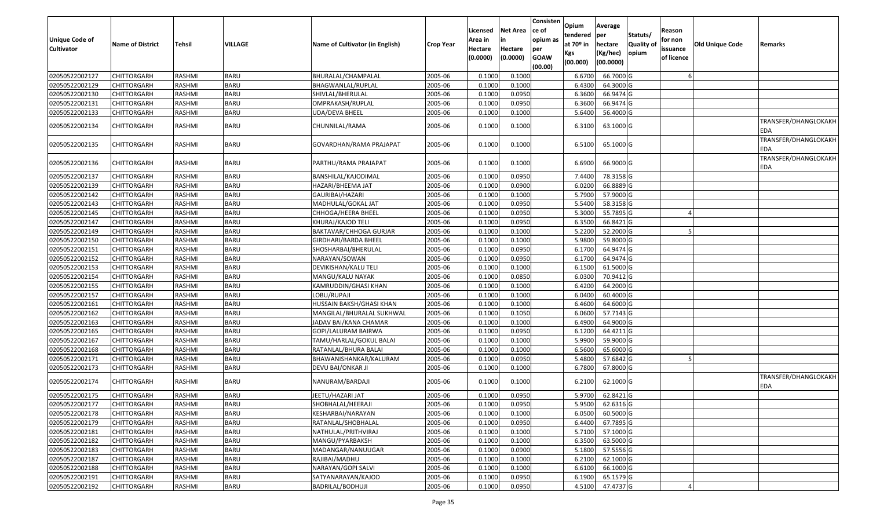| <b>Unique Code of</b><br><b>Cultivator</b> | <b>Name of District</b> | Tehsil        | <b>VILLAGE</b> | Name of Cultivator (in English) | <b>Crop Year</b> | Licensed<br>Area in<br>Hectare<br>(0.0000) | <b>Net Area</b><br>in<br>Hectare<br>(0.0000) | Consisten<br>ce of<br>opium as<br>per<br><b>GOAW</b><br>(00.00) | Opium<br>tendered<br>at 70 <sup>o</sup> in<br>Kgs<br>(00.000) | Average<br>per<br>hectare<br>(Kg/hec)<br>(00.0000) | Statuts/<br><b>Quality of</b><br>opium | Reason<br>for non<br>issuance<br>of licence | Old Unique Code | Remarks                     |
|--------------------------------------------|-------------------------|---------------|----------------|---------------------------------|------------------|--------------------------------------------|----------------------------------------------|-----------------------------------------------------------------|---------------------------------------------------------------|----------------------------------------------------|----------------------------------------|---------------------------------------------|-----------------|-----------------------------|
| 02050522002127                             | <b>CHITTORGARH</b>      | <b>RASHMI</b> | <b>BARU</b>    | BHURALAL/CHAMPALAL              | 2005-06          | 0.100                                      | 0.1000                                       |                                                                 | 6.6700                                                        | 66.7000 G                                          |                                        |                                             |                 |                             |
| 02050522002129                             | CHITTORGARH             | <b>RASHMI</b> | <b>BARU</b>    | BHAGWANLAL/RUPLAL               | 2005-06          | 0.1000                                     | 0.1000                                       |                                                                 | 6.4300                                                        | 64.3000 G                                          |                                        |                                             |                 |                             |
| 02050522002130                             | CHITTORGARH             | RASHMI        | <b>BARU</b>    | SHIVLAL/BHERULAL                | 2005-06          | 0.1000                                     | 0.0950                                       |                                                                 | 6.3600                                                        | 66.9474 G                                          |                                        |                                             |                 |                             |
| 02050522002131                             | <b>CHITTORGARH</b>      | <b>RASHMI</b> | <b>BARU</b>    | OMPRAKASH/RUPLAL                | 2005-06          | 0.1000                                     | 0.0950                                       |                                                                 | 6.3600                                                        | 66.9474 G                                          |                                        |                                             |                 |                             |
| 02050522002133                             | CHITTORGARH             | RASHMI        | <b>BARU</b>    | UDA/DEVA BHEEL                  | 2005-06          | 0.1000                                     | 0.1000                                       |                                                                 | 5.6400                                                        | 56.4000 G                                          |                                        |                                             |                 |                             |
| 02050522002134                             | CHITTORGARH             | RASHMI        | BARU           | CHUNNILAL/RAMA                  | 2005-06          | 0.1000                                     | 0.1000                                       |                                                                 | 6.3100                                                        | 63.1000 G                                          |                                        |                                             |                 | TRANSFER/DHANGLOKAKH<br>EDA |
| 02050522002135                             | CHITTORGARH             | RASHMI        | <b>BARU</b>    | GOVARDHAN/RAMA PRAJAPAT         | 2005-06          | 0.1000                                     | 0.1000                                       |                                                                 | 6.5100                                                        | 65.1000 G                                          |                                        |                                             |                 | TRANSFER/DHANGLOKAKH<br>EDA |
| 02050522002136                             | CHITTORGARH             | RASHMI        | BARU           | PARTHU/RAMA PRAJAPAT            | 2005-06          | 0.1000                                     | 0.1000                                       |                                                                 | 6.6900                                                        | 66.9000 G                                          |                                        |                                             |                 | TRANSFER/DHANGLOKAKH<br>EDA |
| 02050522002137                             | <b>CHITTORGARH</b>      | RASHMI        | <b>BARU</b>    | BANSHILAL/KAJODIMAL             | 2005-06          | 0.1000                                     | 0.0950                                       |                                                                 | 7.4400                                                        | 78.3158 G                                          |                                        |                                             |                 |                             |
| 02050522002139                             | CHITTORGARH             | RASHMI        | <b>BARU</b>    | HAZARI/BHEEMA JAT               | 2005-06          | 0.1000                                     | 0.0900                                       |                                                                 | 6.0200                                                        | 66.8889 G                                          |                                        |                                             |                 |                             |
| 02050522002142                             | <b>CHITTORGARH</b>      | RASHMI        | <b>BARU</b>    | GAURIBAI/HAZARI                 | 2005-06          | 0.1000                                     | 0.1000                                       |                                                                 | 5.7900                                                        | 57.9000 G                                          |                                        |                                             |                 |                             |
| 02050522002143                             | CHITTORGARH             | RASHMI        | <b>BARU</b>    | MADHULAL/GOKAL JAT              | 2005-06          | 0.1000                                     | 0.0950                                       |                                                                 | 5.5400                                                        | 58.3158 G                                          |                                        |                                             |                 |                             |
| 02050522002145                             | CHITTORGARH             | RASHMI        | <b>BARU</b>    | CHHOGA/HEERA BHEEL              | 2005-06          | 0.1000                                     | 0.0950                                       |                                                                 | 5.3000                                                        | 55.7895 G                                          |                                        |                                             |                 |                             |
| 02050522002147                             | <b>CHITTORGARH</b>      | <b>RASHMI</b> | <b>BARU</b>    | KHURAJ/KAJOD TELI               | 2005-06          | 0.1000                                     | 0.0950                                       |                                                                 | 6.350                                                         | 66.8421 G                                          |                                        |                                             |                 |                             |
| 02050522002149                             | CHITTORGARH             | <b>RASHMI</b> | <b>BARU</b>    | BAKTAVAR/CHHOGA GURJAR          | 2005-06          | 0.1000                                     | 0.1000                                       |                                                                 | 5.2200                                                        | 52.2000 G                                          |                                        |                                             |                 |                             |
| 02050522002150                             | <b>CHITTORGARH</b>      | RASHMI        | <b>BARU</b>    | GIRDHARI/BARDA BHEEL            | 2005-06          | 0.1000                                     | 0.1000                                       |                                                                 | 5.9800                                                        | 59.8000 G                                          |                                        |                                             |                 |                             |
| 02050522002151                             | <b>CHITTORGARH</b>      | RASHMI        | <b>BARU</b>    | SHOSHARBAI/BHERULAL             | 2005-06          | 0.1000                                     | 0.0950                                       |                                                                 | 6.170                                                         | 64.9474 G                                          |                                        |                                             |                 |                             |
| 02050522002152                             | <b>CHITTORGARH</b>      | <b>RASHMI</b> | <b>BARU</b>    | NARAYAN/SOWAN                   | 2005-06          | 0.1000                                     | 0.0950                                       |                                                                 | 6.170                                                         | 64.9474 G                                          |                                        |                                             |                 |                             |
| 02050522002153                             | <b>CHITTORGARH</b>      | RASHMI        | <b>BARU</b>    | DEVIKISHAN/KALU TELI            | 2005-06          | 0.1000                                     | 0.1000                                       |                                                                 | 6.1500                                                        | 61.5000 G                                          |                                        |                                             |                 |                             |
| 02050522002154                             | <b>CHITTORGARH</b>      | RASHMI        | <b>BARU</b>    | MANGU/KALU NAYAK                | 2005-06          | 0.1000                                     | 0.0850                                       |                                                                 | 6.0300                                                        | 70.9412 G                                          |                                        |                                             |                 |                             |
| 02050522002155                             | CHITTORGARH             | RASHMI        | <b>BARU</b>    | KAMRUDDIN/GHASI KHAN            | 2005-06          | 0.1000                                     | 0.1000                                       |                                                                 | 6.4200                                                        | 64.2000 G                                          |                                        |                                             |                 |                             |
| 02050522002157                             | <b>CHITTORGARH</b>      | RASHMI        | <b>BARU</b>    | LOBU/RUPAJI                     | 2005-06          | 0.100                                      | 0.1000                                       |                                                                 | 6.0400                                                        | 60.4000 G                                          |                                        |                                             |                 |                             |
| 02050522002161                             | <b>CHITTORGARH</b>      | <b>RASHMI</b> | <b>BARU</b>    | HUSSAIN BAKSH/GHASI KHAN        | 2005-06          | 0.1000                                     | 0.1000                                       |                                                                 | 6.4600                                                        | 64.6000 G                                          |                                        |                                             |                 |                             |
| 02050522002162                             | <b>CHITTORGARH</b>      | RASHMI        | <b>BARU</b>    | MANGILAL/BHURALAL SUKHWAL       | 2005-06          | 0.1000                                     | 0.1050                                       |                                                                 | 6.0600                                                        | 57.7143 G                                          |                                        |                                             |                 |                             |
| 02050522002163                             | <b>CHITTORGARH</b>      | RASHMI        | <b>BARU</b>    | JADAV BAI/KANA CHAMAR           | 2005-06          | 0.1000                                     | 0.1000                                       |                                                                 | 6.4900                                                        | 64.9000 G                                          |                                        |                                             |                 |                             |
| 02050522002165                             | <b>CHITTORGARH</b>      | RASHMI        | <b>BARU</b>    | GOPI/LALURAM BAIRWA             | 2005-06          | 0.1000                                     | 0.0950                                       |                                                                 | 6.1200                                                        | 64.4211 G                                          |                                        |                                             |                 |                             |
| 02050522002167                             | <b>CHITTORGARH</b>      | RASHMI        | <b>BARU</b>    | TAMU/HARLAL/GOKUL BALAI         | 2005-06          | 0.1000                                     | 0.1000                                       |                                                                 | 5.9900                                                        | 59.9000 G                                          |                                        |                                             |                 |                             |
| 02050522002168                             | <b>CHITTORGARH</b>      | RASHMI        | <b>BARU</b>    | RATANLAL/BHURA BALAI            | 2005-06          | 0.100                                      | 0.1000                                       |                                                                 | 6.5600                                                        | 65.6000 G                                          |                                        |                                             |                 |                             |
| 02050522002171                             | CHITTORGARH             | RASHMI        | <b>BARU</b>    | BHAWANISHANKAR/KALURAM          | 2005-06          | 0.1000                                     | 0.0950                                       |                                                                 | 5.4800                                                        | 57.6842 G                                          |                                        |                                             |                 |                             |
| 02050522002173                             | CHITTORGARH             | RASHMI        | BARU           | DEVU BAI/ONKAR JI               | 2005-06          | 0.100                                      | 0.1000                                       |                                                                 | 6.7800                                                        | 67.8000 G                                          |                                        |                                             |                 |                             |
| 02050522002174                             | CHITTORGARH             | RASHMI        | BARU           | NANURAM/BARDAJI                 | 2005-06          | 0.1000                                     | 0.1000                                       |                                                                 | 6.2100                                                        | 62.1000 G                                          |                                        |                                             |                 | TRANSFER/DHANGLOKAKH<br>EDA |
| 02050522002175                             | CHITTORGARH             | RASHMI        | BARU           | JEETU/HAZARI JAT                | 2005-06          | 0.1000                                     | 0.0950                                       |                                                                 | 5.9700                                                        | 62.8421 G                                          |                                        |                                             |                 |                             |
| 02050522002177                             | <b>CHITTORGARH</b>      | RASHMI        | BARU           | SHOBHALAL/HEERAJI               | 2005-06          | 0.1000                                     | 0.0950                                       |                                                                 | 5.9500                                                        | 62.6316 G                                          |                                        |                                             |                 |                             |
| 02050522002178                             | <b>CHITTORGARH</b>      | RASHMI        | <b>BARU</b>    | KESHARBAI/NARAYAN               | 2005-06          | 0.1000                                     | 0.1000                                       |                                                                 | 6.0500                                                        | 60.5000 G                                          |                                        |                                             |                 |                             |
| 02050522002179                             | <b>CHITTORGARH</b>      | RASHMI        | <b>BARU</b>    | RATANLAL/SHOBHALAL              | 2005-06          | 0.1000                                     | 0.0950                                       |                                                                 | 6.4400                                                        | 67.7895 G                                          |                                        |                                             |                 |                             |
| 02050522002181                             | <b>CHITTORGARH</b>      | RASHMI        | <b>BARU</b>    | NATHULAL/PRITHVIRAJ             | 2005-06          | 0.1000                                     | 0.1000                                       |                                                                 | 5.7100                                                        | 57.1000 G                                          |                                        |                                             |                 |                             |
| 02050522002182                             | <b>CHITTORGARH</b>      | RASHMI        | <b>BARU</b>    | MANGU/PYARBAKSH                 | 2005-06          | 0.1000                                     | 0.1000                                       |                                                                 | 6.3500                                                        | 63.5000 G                                          |                                        |                                             |                 |                             |
| 02050522002183                             | <b>CHITTORGARH</b>      | RASHMI        | <b>BARU</b>    | MADANGAR/NANUUGAR               | 2005-06          | 0.1000                                     | 0.0900                                       |                                                                 | 5.1800                                                        | 57.5556 G                                          |                                        |                                             |                 |                             |
| 02050522002187                             | <b>CHITTORGARH</b>      | RASHMI        | <b>BARU</b>    | RAJIBAI/MADHU                   | 2005-06          | 0.1000                                     | 0.1000                                       |                                                                 | 6.2100                                                        | 62.1000 G                                          |                                        |                                             |                 |                             |
| 02050522002188                             | <b>CHITTORGARH</b>      | RASHMI        | <b>BARU</b>    | NARAYAN/GOPI SALVI              | 2005-06          | 0.1000                                     | 0.1000                                       |                                                                 | 6.6100                                                        | 66.1000 G                                          |                                        |                                             |                 |                             |
| 02050522002191                             | CHITTORGARH             | RASHMI        | BARU           | SATYANARAYAN/KAJOD              | 2005-06          | 0.1000                                     | 0.0950                                       |                                                                 | 6.1900                                                        | 65.1579 G                                          |                                        |                                             |                 |                             |
| 02050522002192                             | <b>CHITTORGARH</b>      | RASHMI        | <b>BARU</b>    | BADRILAL/BODHUJI                | 2005-06          | 0.1000                                     | 0.0950                                       |                                                                 | 4.5100                                                        | 47.4737 G                                          |                                        |                                             |                 |                             |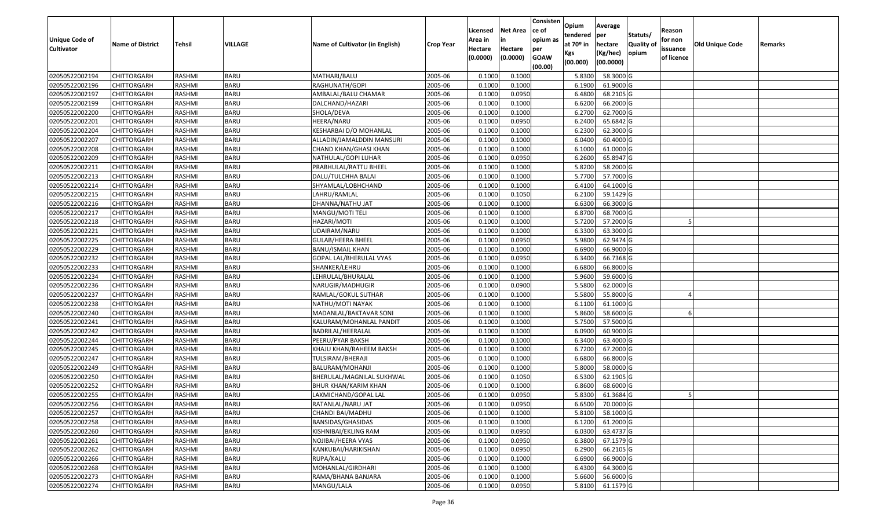| <b>Unique Code of</b> |                         |               | VILLAGE     |                                 |                  | Licensed<br>Area in | <b>Net Area</b><br>in | Consisten<br>ce of<br>opium as | Opium<br>tendered<br>at $70°$ in | Average<br>per                   | Statuts/<br><b>Quality o</b> | Reason<br>for non      | Old Unique Code |         |
|-----------------------|-------------------------|---------------|-------------|---------------------------------|------------------|---------------------|-----------------------|--------------------------------|----------------------------------|----------------------------------|------------------------------|------------------------|-----------------|---------|
| <b>Cultivator</b>     | <b>Name of District</b> | Tehsil        |             | Name of Cultivator (in English) | <b>Crop Year</b> | Hectare<br>(0.0000) | Hectare<br>(0.0000)   | per<br><b>GOAW</b><br>(00.00)  | Kgs<br>(00.000)                  | hectare<br>(Kg/hec)<br>(00.0000) | opium                        | issuance<br>of licence |                 | Remarks |
| 02050522002194        | CHITTORGARH             | RASHMI        | <b>BARU</b> | MATHARI/BALU                    | 2005-06          | 0.1000              | 0.1000                |                                | 5.8300                           | 58.3000 G                        |                              |                        |                 |         |
| 02050522002196        | CHITTORGARH             | RASHMI        | <b>BARU</b> | RAGHUNATH/GOPI                  | 2005-06          | 0.1000              | 0.1000                |                                | 6.1900                           | 61.9000 G                        |                              |                        |                 |         |
| 02050522002197        | CHITTORGARH             | RASHMI        | <b>BARU</b> | AMBALAL/BALU CHAMAR             | 2005-06          | 0.1000              | 0.0950                |                                | 6.4800                           | 68.2105 G                        |                              |                        |                 |         |
| 02050522002199        | <b>CHITTORGARH</b>      | RASHMI        | <b>BARU</b> | DALCHAND/HAZARI                 | 2005-06          | 0.1000              | 0.1000                |                                | 6.6200                           | 66.2000 G                        |                              |                        |                 |         |
| 02050522002200        | CHITTORGARH             | RASHMI        | <b>BARU</b> | SHOLA/DEVA                      | 2005-06          | 0.1000              | 0.1000                |                                | 6.2700                           | 62.7000 G                        |                              |                        |                 |         |
| 02050522002201        | CHITTORGARH             | RASHMI        | <b>BARU</b> | HEERA/NARU                      | 2005-06          | 0.1000              | 0.0950                |                                | 6.2400                           | $65.6842$ G                      |                              |                        |                 |         |
| 02050522002204        | CHITTORGARH             | RASHMI        | <b>BARU</b> | KESHARBAI D/O MOHANLAL          | 2005-06          | 0.1000              | 0.1000                |                                | 6.2300                           | 62.3000G                         |                              |                        |                 |         |
| 02050522002207        | CHITTORGARH             | <b>RASHMI</b> | <b>BARU</b> | ALLADIN/JAMALDDIN MANSURI       | 2005-06          | 0.1000              | 0.1000                |                                | 6.0400                           | 60.4000 G                        |                              |                        |                 |         |
| 02050522002208        | CHITTORGARH             | RASHMI        | <b>BARU</b> | CHAND KHAN/GHASI KHAN           | 2005-06          | 0.1000              | 0.1000                |                                | 6.1000                           | 61.0000G                         |                              |                        |                 |         |
| 02050522002209        | CHITTORGARH             | RASHMI        | <b>BARU</b> | NATHULAL/GOPI LUHAR             | 2005-06          | 0.1000              | 0.0950                |                                | 6.2600                           | 65.8947 G                        |                              |                        |                 |         |
| 02050522002211        | CHITTORGARH             | RASHMI        | <b>BARU</b> | PRABHULAL/RATTU BHEEL           | 2005-06          | 0.1000              | 0.1000                |                                | 5.8200                           | 58.2000 G                        |                              |                        |                 |         |
| 02050522002213        | <b>CHITTORGARH</b>      | RASHMI        | <b>BARU</b> | DALU/TULCHHA BALAI              | 2005-06          | 0.1000              | 0.1000                |                                | 5.7700                           | 57.7000 G                        |                              |                        |                 |         |
| 02050522002214        | <b>CHITTORGARH</b>      | RASHMI        | <b>BARU</b> | SHYAMLAL/LOBHCHAND              | 2005-06          | 0.1000              | 0.1000                |                                | 6.4100                           | 64.1000 G                        |                              |                        |                 |         |
| 02050522002215        | CHITTORGARH             | RASHMI        | <b>BARU</b> | LAHRU/RAMLAL                    | 2005-06          | 0.100               | 0.1050                |                                | 6.2100                           | 59.1429 G                        |                              |                        |                 |         |
| 02050522002216        | <b>CHITTORGARH</b>      | RASHMI        | <b>BARU</b> | DHANNA/NATHU JAT                | 2005-06          | 0.1000              | 0.1000                |                                | 6.6300                           | 66.3000 G                        |                              |                        |                 |         |
| 02050522002217        | CHITTORGARH             | RASHMI        | <b>BARU</b> | MANGU/MOTI TELI                 | 2005-06          | 0.1000              | 0.1000                |                                | 6.8700                           | 68.7000 G                        |                              |                        |                 |         |
| 02050522002218        | CHITTORGARH             | RASHMI        | <b>BARU</b> | HAZARI/MOTI                     | 2005-06          | 0.100               | 0.1000                |                                | 5.7200                           | 57.2000 G                        |                              |                        |                 |         |
| 02050522002221        | CHITTORGARH             | RASHMI        | <b>BARU</b> | UDAIRAM/NARU                    | 2005-06          | 0.100               | 0.1000                |                                | 6.3300                           | 63.3000G                         |                              |                        |                 |         |
| 02050522002225        | CHITTORGARH             | RASHMI        | <b>BARU</b> | GULAB/HEERA BHEEL               | 2005-06          | 0.100               | 0.0950                |                                | 5.9800                           | 62.9474 G                        |                              |                        |                 |         |
| 02050522002229        | CHITTORGARH             | RASHMI        | <b>BARU</b> | BANU/ISMAIL KHAN                | 2005-06          | 0.1000              | 0.1000                |                                | 6.6900                           | 66.9000 G                        |                              |                        |                 |         |
| 02050522002232        | CHITTORGARH             | RASHMI        | <b>BARU</b> | GOPAL LAL/BHERULAL VYAS         | 2005-06          | 0.100               | 0.0950                |                                | 6.3400                           | 66.7368 G                        |                              |                        |                 |         |
| 02050522002233        | CHITTORGARH             | RASHMI        | <b>BARU</b> | SHANKER/LEHRU                   | 2005-06          | 0.100               | 0.1000                |                                | 6.6800                           | 66.8000 G                        |                              |                        |                 |         |
| 02050522002234        | CHITTORGARH             | RASHMI        | <b>BARU</b> | LEHRULAL/BHURALAL               | 2005-06          | 0.1000              | 0.1000                |                                | 5.9600                           | 59.6000 G                        |                              |                        |                 |         |
| 02050522002236        | CHITTORGARH             | RASHMI        | <b>BARU</b> | NARUGIR/MADHUGIR                | 2005-06          | 0.100               | 0.0900                |                                | 5.5800                           | 62.0000 G                        |                              |                        |                 |         |
| 02050522002237        | <b>CHITTORGARH</b>      | RASHMI        | <b>BARU</b> | RAMLAL/GOKUL SUTHAR             | 2005-06          | 0.100               | 0.1000                |                                | 5.5800                           | 55.8000 G                        |                              |                        |                 |         |
| 02050522002238        | CHITTORGARH             | <b>RASHMI</b> | <b>BARU</b> | NATHU/MOTI NAYAK                | 2005-06          | 0.1000              | 0.1000                |                                | 6.1100                           | 61.1000 G                        |                              |                        |                 |         |
| 02050522002240        | CHITTORGARH             | RASHMI        | <b>BARU</b> | MADANLAL/BAKTAVAR SONI          | 2005-06          | 0.1000              | 0.1000                |                                | 5.8600                           | 58.6000 G                        |                              |                        |                 |         |
| 02050522002241        | CHITTORGARH             | RASHMI        | <b>BARU</b> | KALURAM/MOHANLAL PANDIT         | 2005-06          | 0.1000              | 0.1000                |                                | 5.7500                           | 57.5000 G                        |                              |                        |                 |         |
| 02050522002242        | CHITTORGARH             | RASHMI        | <b>BARU</b> | BADRILAL/HEERALAL               | 2005-06          | 0.1000              | 0.1000                |                                | 6.0900                           | 60.9000 G                        |                              |                        |                 |         |
| 02050522002244        | CHITTORGARH             | RASHMI        | <b>BARU</b> | PEERU/PYAR BAKSH                | 2005-06          | 0.1000              | 0.1000                |                                | 6.3400                           | 63.4000 G                        |                              |                        |                 |         |
| 02050522002245        | CHITTORGARH             | RASHMI        | <b>BARU</b> | KHAJU KHAN/RAHEEM BAKSH         | 2005-06          | 0.100               | 0.1000                |                                | 6.7200                           | 67.2000 G                        |                              |                        |                 |         |
| 02050522002247        | CHITTORGARH             | RASHMI        | <b>BARU</b> | TULSIRAM/BHERAJI                | 2005-06          | 0.1000              | 0.1000                |                                | 6.6800                           | 66.8000 G                        |                              |                        |                 |         |
| 02050522002249        | CHITTORGARH             | <b>RASHMI</b> | <b>BARU</b> | BALURAM/MOHANJI                 | 2005-06          | 0.100               | 0.1000                |                                | 5.8000                           | 58.0000G                         |                              |                        |                 |         |
| 02050522002250        | <b>CHITTORGARH</b>      | RASHMI        | BARU        | BHERULAL/MAGNILAL SUKHWAL       | 2005-06          | 0.1000              | 0.1050                |                                | 6.5300                           | 62.1905 G                        |                              |                        |                 |         |
| 02050522002252        | CHITTORGARH             | RASHMI        | <b>BARU</b> | BHUR KHAN/KARIM KHAN            | 2005-06          | 0.1000              | 0.1000                |                                | 6.8600                           | 68.6000 G                        |                              |                        |                 |         |
| 02050522002255        | CHITTORGARH             | RASHMI        | <b>BARU</b> | LAXMICHAND/GOPAL LAL            | 2005-06          | 0.1000              | 0.0950                |                                | 5.8300                           | 61.3684 G                        |                              |                        |                 |         |
| 02050522002256        | <b>CHITTORGARH</b>      | RASHMI        | <b>BARU</b> | RATANLAL/NARU JAT               | 2005-06          | 0.1000              | 0.0950                |                                |                                  | 6.6500 70.0000 G                 |                              |                        |                 |         |
| 02050522002257        | <b>CHITTORGARH</b>      | RASHMI        | <b>BARU</b> | CHANDI BAI/MADHU                | 2005-06          | 0.1000              | 0.1000                |                                | 5.8100                           | 58.1000 G                        |                              |                        |                 |         |
| 02050522002258        | <b>CHITTORGARH</b>      | RASHMI        | <b>BARU</b> | BANSIDAS/GHASIDAS               | 2005-06          | 0.1000              | 0.1000                |                                | 6.1200                           | 61.2000 G                        |                              |                        |                 |         |
| 02050522002260        | <b>CHITTORGARH</b>      | RASHMI        | <b>BARU</b> | KISHNIBAI/EKLING RAM            | 2005-06          | 0.1000              | 0.0950                |                                | 6.0300                           | 63.4737 G                        |                              |                        |                 |         |
| 02050522002261        | <b>CHITTORGARH</b>      | RASHMI        | <b>BARU</b> | NOJIBAI/HEERA VYAS              | 2005-06          | 0.1000              | 0.0950                |                                | 6.3800                           | 67.1579 G                        |                              |                        |                 |         |
| 02050522002262        | <b>CHITTORGARH</b>      | RASHMI        | <b>BARU</b> | KANKUBAI/HARIKISHAN             | 2005-06          | 0.1000              | 0.0950                |                                | 6.2900                           | 66.2105 G                        |                              |                        |                 |         |
| 02050522002266        | <b>CHITTORGARH</b>      | RASHMI        | <b>BARU</b> | RUPA/KALU                       | 2005-06          | 0.1000              | 0.1000                |                                | 6.6900                           | 66.9000 G                        |                              |                        |                 |         |
| 02050522002268        | CHITTORGARH             | RASHMI        | <b>BARU</b> | MOHANLAL/GIRDHARI               | 2005-06          | 0.1000              | 0.1000                |                                | 6.4300                           | 64.3000 G                        |                              |                        |                 |         |
| 02050522002273        | <b>CHITTORGARH</b>      | RASHMI        | <b>BARU</b> | RAMA/BHANA BANJARA              | 2005-06          | 0.1000              | 0.1000                |                                | 5.6600                           | 56.6000 G                        |                              |                        |                 |         |
| 02050522002274        | <b>CHITTORGARH</b>      | RASHMI        | <b>BARU</b> | MANGU/LALA                      | 2005-06          | 0.1000              | 0.0950                |                                | 5.8100                           | 61.1579 G                        |                              |                        |                 |         |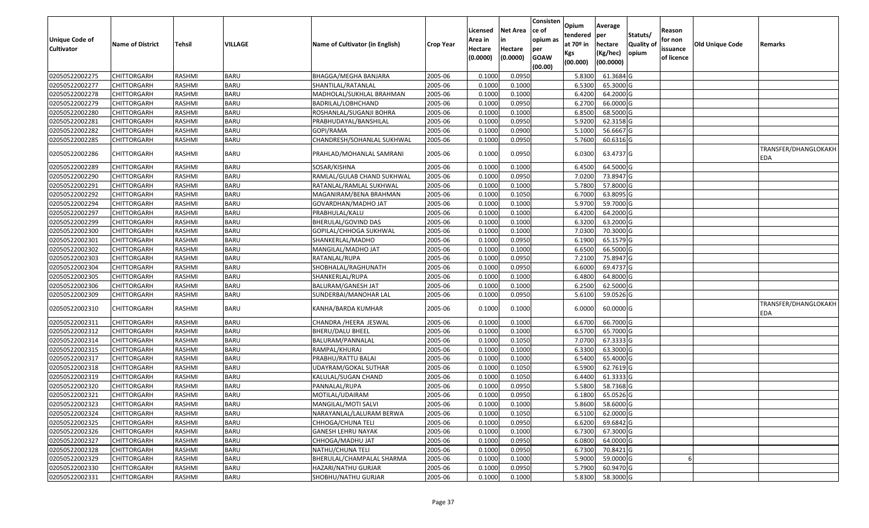| Unique Code of<br><b>Cultivator</b> | <b>Name of District</b> | Tehsil        | VILLAGE     | Name of Cultivator (in English) | Crop Year | Licensed<br>Area in<br>Hectare<br>(0.0000) | Net Area<br>in<br>Hectare<br>(0.0000) | Consisten<br>ce of<br>opium as<br>per<br><b>GOAW</b><br>(00.00) | Opium<br>tendered<br>at 70º in<br>Kgs<br>(00.000) | Average<br>per<br>hectare<br>(Kg/hec)<br>(00.0000) | Statuts/<br><b>Quality of</b><br>opium | Reason<br>for non<br>issuance<br>of licence | <b>Old Unique Code</b> | Remarks                     |
|-------------------------------------|-------------------------|---------------|-------------|---------------------------------|-----------|--------------------------------------------|---------------------------------------|-----------------------------------------------------------------|---------------------------------------------------|----------------------------------------------------|----------------------------------------|---------------------------------------------|------------------------|-----------------------------|
| 02050522002275                      | <b>CHITTORGARH</b>      | RASHMI        | <b>BARU</b> | BHAGGA/MEGHA BANJARA            | 2005-06   | 0.1000                                     | 0.0950                                |                                                                 | 5.8300                                            | 61.3684 G                                          |                                        |                                             |                        |                             |
| 02050522002277                      | CHITTORGARH             | RASHMI        | <b>BARU</b> | SHANTILAL/RATANLAL              | 2005-06   | 0.1000                                     | 0.1000                                |                                                                 | 6.5300                                            | 65.3000 G                                          |                                        |                                             |                        |                             |
| 02050522002278                      | CHITTORGARH             | RASHMI        | <b>BARU</b> | MADHOLAL/SUKHLAL BRAHMAN        | 2005-06   | 0.1000                                     | 0.1000                                |                                                                 | 6.4200                                            | 64.2000 G                                          |                                        |                                             |                        |                             |
| 02050522002279                      | <b>CHITTORGARH</b>      | RASHMI        | <b>BARU</b> | BADRILAL/LOBHCHAND              | 2005-06   | 0.1000                                     | 0.0950                                |                                                                 | 6.2700                                            | 66.0000 G                                          |                                        |                                             |                        |                             |
| 02050522002280                      | CHITTORGARH             | RASHMI        | <b>BARU</b> | ROSHANLAL/SUGANJI BOHRA         | 2005-06   | 0.1000                                     | 0.1000                                |                                                                 | 6.8500                                            | 68.5000 G                                          |                                        |                                             |                        |                             |
| 02050522002281                      | <b>CHITTORGARH</b>      | RASHMI        | <b>BARU</b> | PRABHUDAYAL/BANSHILAL           | 2005-06   | 0.1000                                     | 0.0950                                |                                                                 | 5.9200                                            | 62.3158 G                                          |                                        |                                             |                        |                             |
| 02050522002282                      | CHITTORGARH             | RASHMI        | <b>BARU</b> | GOPI/RAMA                       | 2005-06   | 0.1000                                     | 0.0900                                |                                                                 | 5.1000                                            | 56.6667 G                                          |                                        |                                             |                        |                             |
| 02050522002285                      | <b>CHITTORGARH</b>      | <b>RASHMI</b> | <b>BARU</b> | CHANDRESH/SOHANLAL SUKHWAL      | 2005-06   | 0.1000                                     | 0.0950                                |                                                                 | 5.7600                                            | 60.6316 G                                          |                                        |                                             |                        |                             |
| 02050522002286                      | CHITTORGARH             | RASHMI        | <b>BARU</b> | PRAHLAD/MOHANLAL SAMRANI        | 2005-06   | 0.1000                                     | 0.0950                                |                                                                 | 6.0300                                            | 63.4737 G                                          |                                        |                                             |                        | TRANSFER/DHANGLOKAKH<br>EDA |
| 02050522002289                      | <b>CHITTORGARH</b>      | RASHMI        | <b>BARU</b> | SOSAR/KISHNA                    | 2005-06   | 0.1000                                     | 0.1000                                |                                                                 | 6.4500                                            | 64.5000 G                                          |                                        |                                             |                        |                             |
| 02050522002290                      | <b>CHITTORGARH</b>      | RASHMI        | <b>BARU</b> | RAMLAL/GULAB CHAND SUKHWAL      | 2005-06   | 0.1000                                     | 0.0950                                |                                                                 | 7.0200                                            | 73.8947 G                                          |                                        |                                             |                        |                             |
| 02050522002291                      | <b>CHITTORGARH</b>      | RASHMI        | <b>BARU</b> | RATANLAL/RAMLAL SUKHWAL         | 2005-06   | 0.1000                                     | 0.1000                                |                                                                 | 5.7800                                            | 57.8000 G                                          |                                        |                                             |                        |                             |
| 02050522002292                      | <b>CHITTORGARH</b>      | RASHMI        | <b>BARU</b> | MAGANIRAM/BENA BRAHMAN          | 2005-06   | 0.1000                                     | 0.1050                                |                                                                 | 6.7000                                            | 63.8095 G                                          |                                        |                                             |                        |                             |
| 02050522002294                      | CHITTORGARH             | RASHMI        | <b>BARU</b> | GOVARDHAN/MADHO JAT             | 2005-06   | 0.1000                                     | 0.1000                                |                                                                 | 5.9700                                            | 59.7000 G                                          |                                        |                                             |                        |                             |
| 02050522002297                      | CHITTORGARH             | RASHMI        | <b>BARU</b> | PRABHULAL/KALU                  | 2005-06   | 0.1000                                     | 0.1000                                |                                                                 | 6.4200                                            | 64.2000 G                                          |                                        |                                             |                        |                             |
| 02050522002299                      | CHITTORGARH             | RASHMI        | <b>BARU</b> | BHERULAL/GOVIND DAS             | 2005-06   | 0.1000                                     | 0.1000                                |                                                                 | 6.3200                                            | 63.2000 G                                          |                                        |                                             |                        |                             |
| 02050522002300                      | CHITTORGARH             | RASHMI        | <b>BARU</b> | GOPILAL/CHHOGA SUKHWAL          | 2005-06   | 0.1000                                     | 0.1000                                |                                                                 | 7.0300                                            | 70.3000 G                                          |                                        |                                             |                        |                             |
| 02050522002301                      | CHITTORGARH             | RASHMI        | <b>BARU</b> | SHANKERLAL/MADHO                | 2005-06   | 0.1000                                     | 0.0950                                |                                                                 | 6.1900                                            | 65.1579 G                                          |                                        |                                             |                        |                             |
| 02050522002302                      | CHITTORGARH             | RASHMI        | <b>BARU</b> | MANGILAL/MADHO JAT              | 2005-06   | 0.1000                                     | 0.1000                                |                                                                 | 6.6500                                            | 66.5000 G                                          |                                        |                                             |                        |                             |
| 02050522002303                      | <b>CHITTORGARH</b>      | RASHMI        | <b>BARU</b> | RATANLAL/RUPA                   | 2005-06   | 0.1000                                     | 0.0950                                |                                                                 | 7.2100                                            | 75.8947 G                                          |                                        |                                             |                        |                             |
| 02050522002304                      | CHITTORGARH             | RASHMI        | <b>BARU</b> | SHOBHALAL/RAGHUNATH             | 2005-06   | 0.1000                                     | 0.0950                                |                                                                 | 6.6000                                            | 69.4737 G                                          |                                        |                                             |                        |                             |
| 02050522002305                      | CHITTORGARH             | RASHMI        | <b>BARU</b> | SHANKERLAL/RUPA                 | 2005-06   | 0.1000                                     | 0.1000                                |                                                                 | 6.4800                                            | 64.8000 G                                          |                                        |                                             |                        |                             |
| 02050522002306                      | CHITTORGARH             | RASHMI        | <b>BARU</b> | BALURAM/GANESH JAT              | 2005-06   | 0.1000                                     | 0.1000                                |                                                                 | 6.2500                                            | 62.5000 G                                          |                                        |                                             |                        |                             |
| 02050522002309                      | <b>CHITTORGARH</b>      | RASHMI        | <b>BARU</b> | SUNDERBAI/MANOHAR LAL           | 2005-06   | 0.1000                                     | 0.0950                                |                                                                 | 5.6100                                            | 59.0526 G                                          |                                        |                                             |                        |                             |
| 02050522002310                      | CHITTORGARH             | RASHMI        | <b>BARU</b> | KANHA/BARDA KUMHAR              | 2005-06   | 0.1000                                     | 0.1000                                |                                                                 | 6.0000                                            | 60.0000 G                                          |                                        |                                             |                        | TRANSFER/DHANGLOKAKH<br>EDA |
| 02050522002311                      | CHITTORGARH             | RASHMI        | <b>BARU</b> | CHANDRA /HEERA JESWAL           | 2005-06   | 0.1000                                     | 0.1000                                |                                                                 | 6.6700                                            | 66.7000 G                                          |                                        |                                             |                        |                             |
| 02050522002312                      | <b>CHITTORGARH</b>      | RASHMI        | <b>BARU</b> | <b>BHERU/DALU BHEEL</b>         | 2005-06   | 0.1000                                     | 0.1000                                |                                                                 | 6.5700                                            | 65.7000 G                                          |                                        |                                             |                        |                             |
| 02050522002314                      | CHITTORGARH             | RASHMI        | <b>BARU</b> | BALURAM/PANNALAL                | 2005-06   | 0.1000                                     | 0.1050                                |                                                                 | 7.0700                                            | 67.3333 G                                          |                                        |                                             |                        |                             |
| 02050522002315                      | CHITTORGARH             | RASHMI        | <b>BARU</b> | RAMPAL/KHURAJ                   | 2005-06   | 0.1000                                     | 0.1000                                |                                                                 | 6.3300                                            | 63.3000 G                                          |                                        |                                             |                        |                             |
| 02050522002317                      | CHITTORGARH             | RASHMI        | <b>BARU</b> | PRABHU/RATTU BALAI              | 2005-06   | 0.1000                                     | 0.1000                                |                                                                 | 6.5400                                            | 65.4000 G                                          |                                        |                                             |                        |                             |
| 02050522002318                      | <b>CHITTORGARH</b>      | RASHMI        | <b>BARU</b> | UDAYRAM/GOKAL SUTHAR            | 2005-06   | 0.1000                                     | 0.1050                                |                                                                 | 6.5900                                            | 62.7619 G                                          |                                        |                                             |                        |                             |
| 02050522002319                      | <b>CHITTORGARH</b>      | RASHMI        | <b>BARU</b> | KALULAL/SUGAN CHAND             | 2005-06   | 0.1000                                     | 0.1050                                |                                                                 | 6.4400                                            | 61.3333 G                                          |                                        |                                             |                        |                             |
| 02050522002320                      | CHITTORGARH             | RASHMI        | <b>BARU</b> | PANNALAL/RUPA                   | 2005-06   | 0.1000                                     | 0.0950                                |                                                                 | 5.5800                                            | 58.7368 G                                          |                                        |                                             |                        |                             |
| 02050522002321                      | CHITTORGARH             | RASHMI        | <b>BARU</b> | MOTILAL/UDAIRAM                 | 2005-06   | 0.1000                                     | 0.0950                                |                                                                 | 6.1800                                            | 65.0526 G                                          |                                        |                                             |                        |                             |
| 02050522002323                      | <b>CHITTORGARH</b>      | RASHMI        | <b>BARU</b> | MANGILAL/MOTI SALVI             | 2005-06   | 0.1000                                     | 0.1000                                |                                                                 | 5.8600                                            | 58.6000 G                                          |                                        |                                             |                        |                             |
| 02050522002324                      | <b>CHITTORGARH</b>      | RASHMI        | <b>BARU</b> | NARAYANLAL/LALURAM BERWA        | 2005-06   | 0.1000                                     | 0.1050                                |                                                                 | 6.5100                                            | 62.0000 G                                          |                                        |                                             |                        |                             |
| 02050522002325                      | <b>CHITTORGARH</b>      | RASHMI        | <b>BARU</b> | CHHOGA/CHUNA TELI               | 2005-06   | 0.1000                                     | 0.0950                                |                                                                 | 6.6200                                            | 69.6842 G                                          |                                        |                                             |                        |                             |
| 02050522002326                      | <b>CHITTORGARH</b>      | RASHMI        | <b>BARU</b> | <b>GANESH LEHRU NAYAK</b>       | 2005-06   | 0.1000                                     | 0.1000                                |                                                                 | 6.7300                                            | 67.3000 G                                          |                                        |                                             |                        |                             |
| 02050522002327                      | <b>CHITTORGARH</b>      | RASHMI        | <b>BARU</b> | CHHOGA/MADHU JAT                | 2005-06   | 0.1000                                     | 0.0950                                |                                                                 | 6.0800                                            | 64.0000 G                                          |                                        |                                             |                        |                             |
| 02050522002328                      | <b>CHITTORGARH</b>      | RASHMI        | <b>BARU</b> | NATHU/CHUNA TELI                | 2005-06   | 0.1000                                     | 0.0950                                |                                                                 | 6.7300                                            | 70.8421G                                           |                                        |                                             |                        |                             |
| 02050522002329                      | <b>CHITTORGARH</b>      | RASHMI        | <b>BARU</b> | BHERULAL/CHAMPALAL SHARMA       | 2005-06   | 0.1000                                     | 0.1000                                |                                                                 | 5.9000                                            | 59.0000 G                                          |                                        |                                             |                        |                             |
| 02050522002330                      | <b>CHITTORGARH</b>      | RASHMI        | <b>BARU</b> | HAZARI/NATHU GURJAR             | 2005-06   | 0.1000                                     | 0.0950                                |                                                                 | 5.7900                                            | 60.9470 G                                          |                                        |                                             |                        |                             |
| 02050522002331                      | <b>CHITTORGARH</b>      | RASHMI        | <b>BARU</b> | SHOBHU/NATHU GURJAR             | 2005-06   | 0.1000                                     | 0.1000                                |                                                                 | 5.8300                                            | 58.3000 G                                          |                                        |                                             |                        |                             |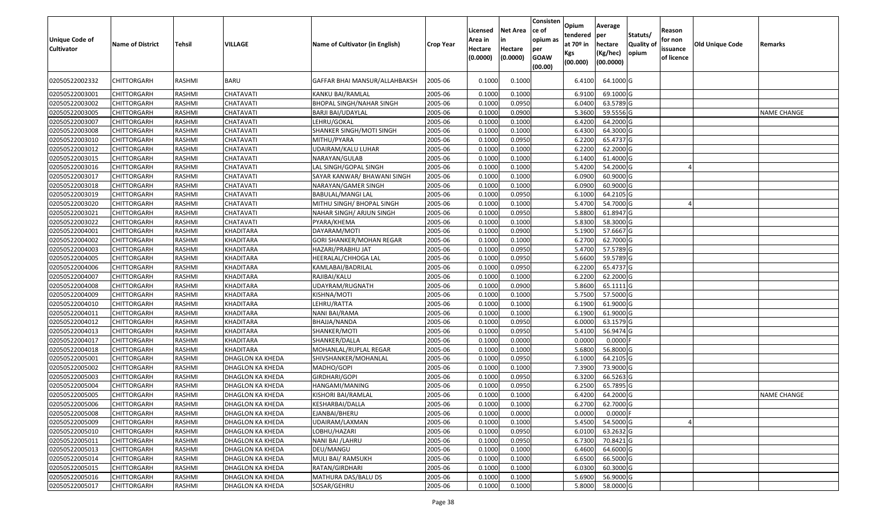| Unique Code of<br><b>Cultivator</b> | <b>Name of District</b> | <b>Tehsil</b> | VILLAGE                 | Name of Cultivator (in English) | <b>Crop Year</b> | Licensed<br>Area in<br>Hectare<br>(0.0000) | <b>Net Area</b><br>in<br>Hectare<br>(0.0000) | Consisten<br>ce of<br>opium as<br>per<br><b>GOAW</b><br>(00.00) | Opium<br>tendered<br>at $70°$ in<br>Kgs<br>(00.000) | Average<br>per<br>hectare<br>(Kg/hec)<br>(00.0000) | Statuts/<br><b>Quality o</b><br>opium | Reason<br>for non<br>issuance<br>of licence | <b>Old Unique Code</b> | Remarks            |
|-------------------------------------|-------------------------|---------------|-------------------------|---------------------------------|------------------|--------------------------------------------|----------------------------------------------|-----------------------------------------------------------------|-----------------------------------------------------|----------------------------------------------------|---------------------------------------|---------------------------------------------|------------------------|--------------------|
| 02050522002332                      | CHITTORGARH             | RASHMI        | <b>BARU</b>             | GAFFAR BHAI MANSUR/ALLAHBAKSH   | 2005-06          | 0.1000                                     | 0.1000                                       |                                                                 | 6.4100                                              | 64.1000 G                                          |                                       |                                             |                        |                    |
| 02050522003001                      | CHITTORGARH             | RASHMI        | CHATAVATI               | KANKU BAI/RAMLAL                | 2005-06          | 0.1000                                     | 0.1000                                       |                                                                 | 6.9100                                              | 69.1000G                                           |                                       |                                             |                        |                    |
| 02050522003002                      | <b>CHITTORGARH</b>      | RASHMI        | CHATAVATI               | <b>BHOPAL SINGH/NAHAR SINGH</b> | 2005-06          | 0.1000                                     | 0.0950                                       |                                                                 | 6.0400                                              | 63.5789 G                                          |                                       |                                             |                        |                    |
| 02050522003005                      | <b>CHITTORGARH</b>      | RASHMI        | CHATAVATI               | <b>BARJI BAI/UDAYLAL</b>        | 2005-06          | 0.1000                                     | 0.0900                                       |                                                                 | 5.3600                                              | 59.5556 G                                          |                                       |                                             |                        | <b>NAME CHANGE</b> |
| 02050522003007                      | CHITTORGARH             | RASHMI        | CHATAVATI               | LEHRU/GOKAL                     | 2005-06          | 0.1000                                     | 0.1000                                       |                                                                 | 6.4200                                              | 64.2000 G                                          |                                       |                                             |                        |                    |
| 02050522003008                      | CHITTORGARH             | RASHMI        | CHATAVATI               | SHANKER SINGH/MOTI SINGH        | 2005-06          | 0.1000                                     | 0.1000                                       |                                                                 | 6.4300                                              | 64.3000 G                                          |                                       |                                             |                        |                    |
| 02050522003010                      | <b>CHITTORGARH</b>      | <b>RASHMI</b> | CHATAVATI               | MITHU/PYARA                     | 2005-06          | 0.1000                                     | 0.0950                                       |                                                                 | 6.2200                                              | 65.4737 G                                          |                                       |                                             |                        |                    |
| 02050522003012                      | <b>CHITTORGARH</b>      | RASHMI        | CHATAVATI               | UDAIRAM/KALU LUHAR              | 2005-06          | 0.1000                                     | 0.1000                                       |                                                                 | 6.2200                                              | 62.2000 G                                          |                                       |                                             |                        |                    |
| 02050522003015                      | <b>CHITTORGARH</b>      | RASHMI        | CHATAVATI               | NARAYAN/GULAB                   | 2005-06          | 0.1000                                     | 0.1000                                       |                                                                 | 6.1400                                              | 61.4000 G                                          |                                       |                                             |                        |                    |
| 02050522003016                      | CHITTORGARH             | RASHMI        | CHATAVATI               | LAL SINGH/GOPAL SINGH           | 2005-06          | 0.1000                                     | 0.1000                                       |                                                                 | 5.4200                                              | 54.2000 G                                          |                                       |                                             |                        |                    |
| 02050522003017                      | <b>CHITTORGARH</b>      | RASHMI        | CHATAVATI               | SAYAR KANWAR/ BHAWANI SINGH     | 2005-06          | 0.1000                                     | 0.1000                                       |                                                                 | 6.0900                                              | 60.9000 G                                          |                                       |                                             |                        |                    |
| 02050522003018                      | <b>CHITTORGARH</b>      | RASHMI        | <b>CHATAVATI</b>        | NARAYAN/GAMER SINGH             | 2005-06          | 0.1000                                     | 0.1000                                       |                                                                 | 6.0900                                              | 60.9000 G                                          |                                       |                                             |                        |                    |
| 02050522003019                      | CHITTORGARH             | RASHMI        | CHATAVATI               | BABULAL/MANGI LAL               | 2005-06          | 0.100                                      | 0.0950                                       |                                                                 | 6.1000                                              | 64.2105 G                                          |                                       |                                             |                        |                    |
| 02050522003020                      | CHITTORGARH             | RASHMI        | CHATAVATI               | MITHU SINGH/ BHOPAL SINGH       | 2005-06          | 0.1000                                     | 0.1000                                       |                                                                 | 5.4700                                              | 54.7000 G                                          |                                       |                                             |                        |                    |
| 02050522003021                      | CHITTORGARH             | RASHMI        | CHATAVATI               | NAHAR SINGH/ ARJUN SINGH        | 2005-06          | 0.1000                                     | 0.0950                                       |                                                                 | 5.8800                                              | 61.8947 G                                          |                                       |                                             |                        |                    |
| 02050522003022                      | CHITTORGARH             | RASHMI        | CHATAVATI               | PYARA/KHEMA                     | 2005-06          | 0.1000                                     | 0.1000                                       |                                                                 | 5.8300                                              | 58.3000 G                                          |                                       |                                             |                        |                    |
| 02050522004001                      | CHITTORGARH             | RASHMI        | KHADITARA               | DAYARAM/MOTI                    | 2005-06          | 0.100                                      | 0.0900                                       |                                                                 | 5.1900                                              | 57.6667 G                                          |                                       |                                             |                        |                    |
| 02050522004002                      | CHITTORGARH             | RASHMI        | KHADITARA               | GORI SHANKER/MOHAN REGAR        | 2005-06          | 0.1000                                     | 0.1000                                       |                                                                 | 6.2700                                              | 62.7000 G                                          |                                       |                                             |                        |                    |
| 02050522004003                      | CHITTORGARH             | RASHMI        | <b>KHADITARA</b>        | HAZARI/PRABHU JAT               | 2005-06          | 0.1000                                     | 0.0950                                       |                                                                 | 5.4700                                              | 57.5789 G                                          |                                       |                                             |                        |                    |
| 02050522004005                      | CHITTORGARH             | RASHMI        | <b>KHADITARA</b>        | HEERALAL/CHHOGA LAL             | 2005-06          | 0.1000                                     | 0.0950                                       |                                                                 | 5.6600                                              | 59.5789 G                                          |                                       |                                             |                        |                    |
| 02050522004006                      | CHITTORGARH             | RASHMI        | <b>KHADITARA</b>        | KAMLABAI/BADRILAL               | 2005-06          | 0.1000                                     | 0.0950                                       |                                                                 | 6.2200                                              | 65.4737 G                                          |                                       |                                             |                        |                    |
| 02050522004007                      | CHITTORGARH             | RASHMI        | <b>KHADITARA</b>        | RAJIBAI/KALU                    | 2005-06          | 0.1000                                     | 0.1000                                       |                                                                 | 6.2200                                              | 62.2000 G                                          |                                       |                                             |                        |                    |
| 02050522004008                      | CHITTORGARH             | RASHMI        | KHADITARA               | JDAYRAM/RUGNATH                 | 2005-06          | 0.1000                                     | 0.0900                                       |                                                                 | 5.8600                                              | $65.1111$ G                                        |                                       |                                             |                        |                    |
| 02050522004009                      | <b>CHITTORGARH</b>      | RASHMI        | <b>KHADITARA</b>        | KISHNA/MOTI                     | 2005-06          | 0.1000                                     | 0.1000                                       |                                                                 | 5.7500                                              | 57.5000 G                                          |                                       |                                             |                        |                    |
| 02050522004010                      | CHITTORGARH             | <b>RASHMI</b> | <b>KHADITARA</b>        | LEHRU/RATTA                     | 2005-06          | 0.1000                                     | 0.1000                                       |                                                                 | 6.1900                                              | 61.9000G                                           |                                       |                                             |                        |                    |
| 02050522004011                      | <b>CHITTORGARH</b>      | RASHMI        | <b>KHADITARA</b>        | NANI BAI/RAMA                   | 2005-06          | 0.1000                                     | 0.1000                                       |                                                                 | 6.1900                                              | 61.9000G                                           |                                       |                                             |                        |                    |
| 02050522004012                      | CHITTORGARH             | RASHMI        | KHADITARA               | BHAJJA/NANDA                    | 2005-06          | 0.1000                                     | 0.0950                                       |                                                                 | 6.0000                                              | 63.1579 G                                          |                                       |                                             |                        |                    |
| 02050522004013                      | <b>CHITTORGARH</b>      | <b>RASHMI</b> | <b>KHADITARA</b>        | SHANKER/MOTI                    | 2005-06          | 0.1000                                     | 0.0950                                       |                                                                 | 5.4100                                              | 56.9474 G                                          |                                       |                                             |                        |                    |
| 02050522004017                      | <b>CHITTORGARH</b>      | RASHMI        | KHADITARA               | SHANKER/DALLA                   | 2005-06          | 0.1000                                     | 0.0000                                       |                                                                 | 0.0000                                              | $0.0000$ F                                         |                                       |                                             |                        |                    |
| 02050522004018                      | CHITTORGARH             | RASHMI        | KHADITARA               | MOHANLAL/RUPLAL REGAR           | 2005-06          | 0.1000                                     | 0.1000                                       |                                                                 | 5.6800                                              | 56.8000 G                                          |                                       |                                             |                        |                    |
| 02050522005001                      | <b>CHITTORGARH</b>      | RASHMI        | DHAGLON KA KHEDA        | SHIVSHANKER/MOHANLAL            | 2005-06          | 0.1000                                     | 0.0950                                       |                                                                 | 6.1000                                              | 64.2105 G                                          |                                       |                                             |                        |                    |
| 02050522005002                      | <b>CHITTORGARH</b>      | RASHMI        | DHAGLON KA KHEDA        | MADHO/GOPI                      | 2005-06          | 0.1000                                     | 0.1000                                       |                                                                 | 7.3900                                              | 73.9000 G                                          |                                       |                                             |                        |                    |
| 02050522005003                      | <b>CHITTORGARH</b>      | RASHMI        | DHAGLON KA KHEDA        | GIRDHARI/GOPI                   | 2005-06          | 0.1000                                     | 0.0950                                       |                                                                 | 6.3200                                              | 66.5263 G                                          |                                       |                                             |                        |                    |
| 02050522005004                      | CHITTORGARH             | RASHMI        | DHAGLON KA KHEDA        | HANGAMI/MANING                  | 2005-06          | 0.1000                                     | 0.0950                                       |                                                                 | 6.2500                                              | 65.7895 G                                          |                                       |                                             |                        |                    |
| 02050522005005                      | CHITTORGARH             | RASHMI        | DHAGLON KA KHEDA        | KISHORI BAI/RAMLAL              | 2005-06          | 0.1000                                     | 0.1000                                       |                                                                 | 6.4200                                              | 64.2000 G                                          |                                       |                                             |                        | <b>NAME CHANGE</b> |
| 02050522005006                      | <b>CHITTORGARH</b>      | RASHMI        | <b>DHAGLON KA KHEDA</b> | KESHARBAI/DALLA                 | 2005-06          | 0.1000                                     | 0.1000                                       |                                                                 | 6.2700                                              | 62.7000G                                           |                                       |                                             |                        |                    |
| 02050522005008                      | <b>CHITTORGARH</b>      | RASHMI        | DHAGLON KA KHEDA        | EJANBAI/BHERU                   | 2005-06          | 0.1000                                     | 0.0000                                       |                                                                 | 0.0000                                              | $0.0000$ F                                         |                                       |                                             |                        |                    |
| 02050522005009                      | <b>CHITTORGARH</b>      | RASHMI        | DHAGLON KA KHEDA        | UDAIRAM/LAXMAN                  | 2005-06          | 0.1000                                     | 0.1000                                       |                                                                 | 5.4500                                              | 54.5000 G                                          |                                       |                                             |                        |                    |
| 02050522005010                      | <b>CHITTORGARH</b>      | RASHMI        | DHAGLON KA KHEDA        | LOBHU/HAZARI                    | 2005-06          | 0.1000                                     | 0.0950                                       |                                                                 | 6.0100                                              | 63.2632 G                                          |                                       |                                             |                        |                    |
| 02050522005011                      | <b>CHITTORGARH</b>      | RASHMI        | DHAGLON KA KHEDA        | NANI BAI / LAHRU                | 2005-06          | 0.1000                                     | 0.0950                                       |                                                                 | 6.7300                                              | 70.8421 G                                          |                                       |                                             |                        |                    |
| 02050522005013                      | <b>CHITTORGARH</b>      | RASHMI        | DHAGLON KA KHEDA        | DEU/MANGU                       | 2005-06          | 0.1000                                     | 0.1000                                       |                                                                 | 6.4600                                              | 64.6000 G                                          |                                       |                                             |                        |                    |
| 02050522005014                      | <b>CHITTORGARH</b>      | RASHMI        | DHAGLON KA KHEDA        | MULI BAI/ RAMSUKH               | 2005-06          | 0.1000                                     | 0.1000                                       |                                                                 | 6.6500                                              | 66.5000 G                                          |                                       |                                             |                        |                    |
| 02050522005015                      | CHITTORGARH             | RASHMI        | DHAGLON KA KHEDA        | RATAN/GIRDHARI                  | 2005-06          | 0.1000                                     | 0.1000                                       |                                                                 | 6.0300                                              | $\overline{60.3000}$ G                             |                                       |                                             |                        |                    |
| 02050522005016                      | <b>CHITTORGARH</b>      | RASHMI        | DHAGLON KA KHEDA        | MATHURA DAS/BALU DS             | 2005-06          | 0.1000                                     | 0.1000                                       |                                                                 | 5.6900                                              | 56.9000 G                                          |                                       |                                             |                        |                    |
| 02050522005017                      | <b>CHITTORGARH</b>      | RASHMI        | DHAGLON KA KHEDA        | SOSAR/GEHRU                     | 2005-06          | 0.1000                                     | 0.1000                                       |                                                                 | 5.8000                                              | 58.0000 G                                          |                                       |                                             |                        |                    |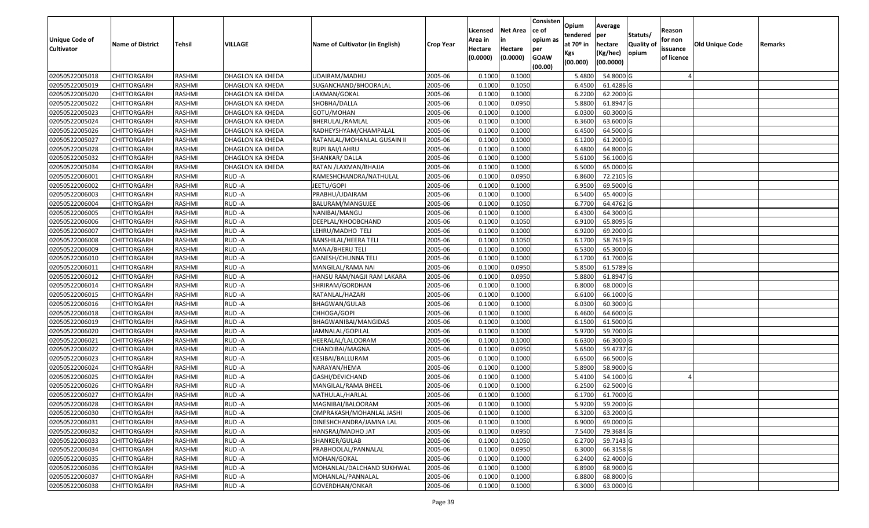| Unique Code of    | <b>Name of District</b> | Tehsil        | VILLAGE                 | Name of Cultivator (in English) | <b>Crop Year</b> | Licensed<br>Area in | <b>Net Area</b><br>in | Consisten<br>ce of<br>opium as | Opium<br>tendered<br>at $70°$ in | Average<br>per<br>hectare | Statuts/<br><b>Quality o</b> | Reason<br>for non      | Old Unique Code | Remarks |
|-------------------|-------------------------|---------------|-------------------------|---------------------------------|------------------|---------------------|-----------------------|--------------------------------|----------------------------------|---------------------------|------------------------------|------------------------|-----------------|---------|
| <b>Cultivator</b> |                         |               |                         |                                 |                  | Hectare<br>(0.0000) | Hectare<br>(0.0000)   | per<br><b>GOAW</b><br>(00.00)  | Kgs<br>(00.000)                  | (Kg/hec)<br>(00.0000)     | opium                        | issuance<br>of licence |                 |         |
| 02050522005018    | CHITTORGARH             | RASHMI        | DHAGLON KA KHEDA        | UDAIRAM/MADHU                   | 2005-06          | 0.1000              | 0.1000                |                                | 5.4800                           | 54.8000 G                 |                              |                        |                 |         |
| 02050522005019    | CHITTORGARH             | RASHMI        | DHAGLON KA KHEDA        | SUGANCHAND/BHOORALAL            | 2005-06          | 0.1000              | 0.1050                |                                | 6.4500                           | 61.4286 G                 |                              |                        |                 |         |
| 02050522005020    | CHITTORGARH             | RASHMI        | DHAGLON KA KHEDA        | LAXMAN/GOKAL                    | 2005-06          | 0.1000              | 0.1000                |                                | 6.2200                           | 62.2000 G                 |                              |                        |                 |         |
| 02050522005022    | <b>CHITTORGARH</b>      | RASHMI        | <b>DHAGLON KA KHEDA</b> | SHOBHA/DALLA                    | 2005-06          | 0.1000              | 0.0950                |                                | 5.8800                           | 61.8947 G                 |                              |                        |                 |         |
| 02050522005023    | CHITTORGARH             | RASHMI        | DHAGLON KA KHEDA        | GOTU/MOHAN                      | 2005-06          | 0.1000              | 0.1000                |                                | 6.0300                           | 60.3000 G                 |                              |                        |                 |         |
| 02050522005024    | <b>CHITTORGARH</b>      | RASHMI        | DHAGLON KA KHEDA        | BHERULAL/RAMLAL                 | 2005-06          | 0.1000              | 0.1000                |                                | 6.3600                           | 63.6000 G                 |                              |                        |                 |         |
| 02050522005026    | CHITTORGARH             | RASHMI        | DHAGLON KA KHEDA        | RADHEYSHYAM/CHAMPALAL           | 2005-06          | 0.1000              | 0.1000                |                                | 6.4500                           | 64.5000 G                 |                              |                        |                 |         |
| 02050522005027    | CHITTORGARH             | <b>RASHMI</b> | DHAGLON KA KHEDA        | RATANLAL/MOHANLAL GUSAIN II     | 2005-06          | 0.1000              | 0.1000                |                                | 6.1200                           | 61.2000G                  |                              |                        |                 |         |
| 02050522005028    | CHITTORGARH             | RASHMI        | DHAGLON KA KHEDA        | RUPI BAI/LAHRU                  | 2005-06          | 0.1000              | 0.1000                |                                | 6.4800                           | 64.8000 G                 |                              |                        |                 |         |
| 02050522005032    | CHITTORGARH             | RASHMI        | DHAGLON KA KHEDA        | SHANKAR/DALLA                   | 2005-06          | 0.1000              | 0.1000                |                                | 5.6100                           | 56.1000G                  |                              |                        |                 |         |
| 02050522005034    | CHITTORGARH             | RASHMI        | DHAGLON KA KHEDA        | RATAN / LAXMAN/BHAJJA           | 2005-06          | 0.1000              | 0.1000                |                                | 6.5000                           | 65.0000G                  |                              |                        |                 |         |
| 02050522006001    | <b>CHITTORGARH</b>      | RASHMI        | RUD-A                   | RAMESHCHANDRA/NATHULAL          | 2005-06          | 0.1000              | 0.0950                |                                | 6.8600                           | 72.2105 G                 |                              |                        |                 |         |
| 02050522006002    | <b>CHITTORGARH</b>      | RASHMI        | RUD-A                   | JEETU/GOPI                      | 2005-06          | 0.1000              | 0.1000                |                                | 6.9500                           | 69.5000G                  |                              |                        |                 |         |
| 02050522006003    | <b>CHITTORGARH</b>      | RASHMI        | RUD-A                   | PRABHU/UDAIRAM                  | 2005-06          | 0.1000              | 0.1000                |                                | 6.5400                           | 65.4000 G                 |                              |                        |                 |         |
| 02050522006004    | <b>CHITTORGARH</b>      | RASHMI        | RUD-A                   | BALURAM/MANGUJEE                | 2005-06          | 0.1000              | 0.1050                |                                | 6.7700                           | 64.4762 G                 |                              |                        |                 |         |
| 02050522006005    | CHITTORGARH             | RASHMI        | RUD-A                   | NANIBAI/MANGU                   | 2005-06          | 0.1000              | 0.1000                |                                | 6.4300                           | 64.3000 G                 |                              |                        |                 |         |
| 02050522006006    | CHITTORGARH             | RASHMI        | RUD-A                   | DEEPLAL/KHOOBCHAND              | 2005-06          | 0.1000              | 0.1050                |                                | 6.9100                           | 65.8095 G                 |                              |                        |                 |         |
| 02050522006007    | CHITTORGARH             | RASHMI        | RUD-A                   | LEHRU/MADHO TELI                | 2005-06          | 0.1000              | 0.1000                |                                | 6.9200                           | 69.2000 G                 |                              |                        |                 |         |
| 02050522006008    | CHITTORGARH             | RASHMI        | RUD-A                   | <b>BANSHILAL/HEERA TELI</b>     | 2005-06          | 0.1000              | 0.1050                |                                | 6.1700                           | 58.7619 G                 |                              |                        |                 |         |
| 02050522006009    | CHITTORGARH             | RASHMI        | RUD-A                   | MANA/BHERU TELI                 | 2005-06          | 0.1000              | 0.1000                |                                | 6.5300                           | 65.3000G                  |                              |                        |                 |         |
| 02050522006010    | CHITTORGARH             | RASHMI        | RUD-A                   | <b>GANESH/CHUNNA TELI</b>       | 2005-06          | 0.1000              | 0.1000                |                                | 6.1700                           | 61.7000 G                 |                              |                        |                 |         |
| 02050522006011    | CHITTORGARH             | RASHMI        | RUD-A                   | MANGILAL/RAMA NAI               | 2005-06          | 0.1000              | 0.0950                |                                | 5.8500                           | 61.5789 G                 |                              |                        |                 |         |
| 02050522006012    | CHITTORGARH             | RASHMI        | RUD-A                   | HANSU RAM/NAGJI RAM LAKARA      | 2005-06          | 0.1000              | 0.0950                |                                | 5.8800                           | 61.8947 G                 |                              |                        |                 |         |
| 02050522006014    | CHITTORGARH             | RASHMI        | RUD-A                   | SHRIRAM/GORDHAN                 | 2005-06          | 0.1000              | 0.1000                |                                | 6.8000                           | 68.0000 G                 |                              |                        |                 |         |
| 02050522006015    | <b>CHITTORGARH</b>      | RASHMI        | RUD-A                   | RATANLAL/HAZARI                 | 2005-06          | 0.1000              | 0.1000                |                                | 6.6100                           | 66.1000G                  |                              |                        |                 |         |
| 02050522006016    | CHITTORGARH             | RASHMI        | RUD-A                   | BHAGWAN/GULAB                   | 2005-06          | 0.1000              | 0.1000                |                                | 6.0300                           | 60.3000 G                 |                              |                        |                 |         |
| 02050522006018    | CHITTORGARH             | RASHMI        | RUD-A                   | CHHOGA/GOPI                     | 2005-06          | 0.1000              | 0.1000                |                                | 6.4600                           | 64.6000 G                 |                              |                        |                 |         |
| 02050522006019    | CHITTORGARH             | RASHMI        | RUD-A                   | BHAGWANIBAI/MANGIDAS            | 2005-06          | 0.1000              | 0.1000                |                                | 6.1500                           | 61.5000 G                 |                              |                        |                 |         |
| 02050522006020    | CHITTORGARH             | RASHMI        | RUD-A                   | JAMNALAL/GOPILAL                | 2005-06          | 0.1000              | 0.1000                |                                | 5.9700                           | 59.7000 G                 |                              |                        |                 |         |
| 02050522006021    | CHITTORGARH             | RASHMI        | RUD-A                   | HEERALAL/LALOORAM               | 2005-06          | 0.1000              | 0.1000                |                                | 6.6300                           | 66.3000 G                 |                              |                        |                 |         |
| 02050522006022    | CHITTORGARH             | RASHMI        | RUD-A                   | CHANDIBAI/MAGNA                 | 2005-06          | 0.1000              | 0.0950                |                                | 5.6500                           | 59.4737 G                 |                              |                        |                 |         |
| 02050522006023    | CHITTORGARH             | RASHMI        | RUD-A                   | KESIBAI/BALLURAM                | 2005-06          | 0.1000              | 0.1000                |                                | 6.6500                           | 66.5000G                  |                              |                        |                 |         |
| 02050522006024    | CHITTORGARH             | <b>RASHMI</b> | RUD-A                   | NARAYAN/HEMA                    | 2005-06          | 0.1000              | 0.1000                |                                | 5.8900                           | 58.9000G                  |                              |                        |                 |         |
| 02050522006025    | <b>CHITTORGARH</b>      | RASHMI        | RUD-A                   | GASHI/DEVICHAND                 | 2005-06          | 0.1000              | 0.1000                |                                | 5.4100                           | 54.1000 G                 |                              |                        |                 |         |
| 02050522006026    | CHITTORGARH             | RASHMI        | RUD-A                   | MANGILAL/RAMA BHEEL             | 2005-06          | 0.1000              | 0.1000                |                                | 6.2500                           | 62.5000 G                 |                              |                        |                 |         |
| 02050522006027    | CHITTORGARH             | RASHMI        | RUD-A                   | NATHULAL/HARLAL                 | 2005-06          | 0.1000              | 0.1000                |                                | 6.1700                           | 61.7000G                  |                              |                        |                 |         |
| 02050522006028    | <b>CHITTORGARH</b>      | RASHMI        | RUD-A                   | MAGNIBAI/BALOORAM               | 2005-06          | 0.1000              | 0.1000                |                                | 5.9200                           | 59.2000 G                 |                              |                        |                 |         |
| 02050522006030    | <b>CHITTORGARH</b>      | RASHMI        | RUD-A                   | OMPRAKASH/MOHANLAL JASHI        | 2005-06          | 0.1000              | 0.1000                |                                | 6.3200                           | 63.2000 G                 |                              |                        |                 |         |
| 02050522006031    | <b>CHITTORGARH</b>      | RASHMI        | RUD-A                   | DINESHCHANDRA/JAMNA LAL         | 2005-06          | 0.1000              | 0.1000                |                                | 6.9000                           | 69.0000 G                 |                              |                        |                 |         |
| 02050522006032    | <b>CHITTORGARH</b>      | RASHMI        | RUD-A                   | HANSRAJ/MADHO JAT               | 2005-06          | 0.1000              | 0.0950                |                                | 7.5400                           | 79.3684 G                 |                              |                        |                 |         |
| 02050522006033    | <b>CHITTORGARH</b>      | RASHMI        | RUD-A                   | SHANKER/GULAB                   | 2005-06          | 0.1000              | 0.1050                |                                | 6.2700                           | 59.7143 G                 |                              |                        |                 |         |
| 02050522006034    | <b>CHITTORGARH</b>      | RASHMI        | RUD-A                   | PRABHOOLAL/PANNALAL             | 2005-06          | 0.1000              | 0.0950                |                                | 6.3000                           | 66.3158 G                 |                              |                        |                 |         |
| 02050522006035    | <b>CHITTORGARH</b>      | RASHMI        | RUD-A                   | MOHAN/GOKAL                     | 2005-06          | 0.1000              | 0.1000                |                                | 6.2400                           | 62.4000 G                 |                              |                        |                 |         |
| 02050522006036    | CHITTORGARH             | RASHMI        | RUD-A                   | MOHANLAL/DALCHAND SUKHWAL       | 2005-06          | 0.1000              | 0.1000                |                                | 6.8900                           | 68.9000 G                 |                              |                        |                 |         |
| 02050522006037    | <b>CHITTORGARH</b>      | RASHMI        | RUD-A                   | MOHANLAL/PANNALAL               | 2005-06          | 0.1000              | 0.1000                |                                | 6.8800                           | 68.8000 G                 |                              |                        |                 |         |
| 02050522006038    | <b>CHITTORGARH</b>      | RASHMI        | RUD-A                   | GOVERDHAN/ONKAR                 | 2005-06          | 0.1000              | 0.1000                |                                | 6.3000                           | 63.0000 G                 |                              |                        |                 |         |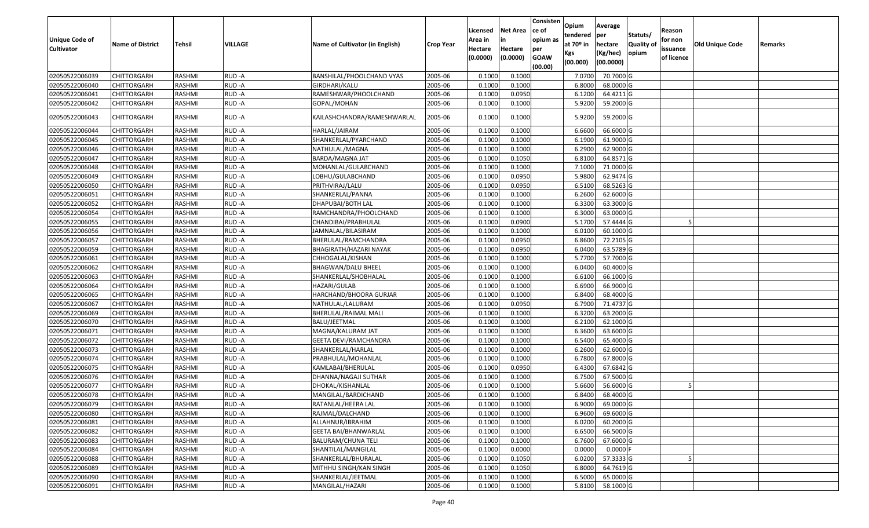| <b>Unique Code of</b><br><b>Cultivator</b> | <b>Name of District</b> | Tehsil        | VILLAGE | Name of Cultivator (in English) | Crop Year | Licensed<br>Area in<br>Hectare<br>(0.0000) | Net Area<br>in<br>Hectare<br>(0.0000) | Consisten<br>ce of<br>opium as<br>per<br><b>GOAW</b><br>(00.00) | Opium<br>tendered<br>at 70º in<br>Kgs<br>(00.000) | Average<br>per<br>hectare<br>(Kg/hec)<br>(00.0000) | Statuts/<br><b>Quality of</b><br>opium | Reason<br>for non<br>issuance<br>of licence | Old Unique Code | Remarks |
|--------------------------------------------|-------------------------|---------------|---------|---------------------------------|-----------|--------------------------------------------|---------------------------------------|-----------------------------------------------------------------|---------------------------------------------------|----------------------------------------------------|----------------------------------------|---------------------------------------------|-----------------|---------|
| 02050522006039                             | <b>CHITTORGARH</b>      | RASHMI        | RUD-A   | BANSHILAL/PHOOLCHAND VYAS       | 2005-06   | 0.1000                                     | 0.1000                                |                                                                 | 7.0700                                            | 70.7000 G                                          |                                        |                                             |                 |         |
| 02050522006040                             | CHITTORGARH             | RASHMI        | RUD-A   | GIRDHARI/KALU                   | 2005-06   | 0.1000                                     | 0.1000                                |                                                                 | 6.8000                                            | 68.0000 G                                          |                                        |                                             |                 |         |
| 02050522006041                             | CHITTORGARH             | RASHMI        | RUD-A   | RAMESHWAR/PHOOLCHAND            | 2005-06   | 0.1000                                     | 0.0950                                |                                                                 | 6.1200                                            | 64.4211 G                                          |                                        |                                             |                 |         |
| 02050522006042                             | <b>CHITTORGARH</b>      | RASHMI        | RUD-A   | GOPAL/MOHAN                     | 2005-06   | 0.1000                                     | 0.1000                                |                                                                 | 5.9200                                            | 59.2000 G                                          |                                        |                                             |                 |         |
| 02050522006043                             | CHITTORGARH             | RASHMI        | RUD -A  | KAILASHCHANDRA/RAMESHWARLAL     | 2005-06   | 0.1000                                     | 0.1000                                |                                                                 | 5.9200                                            | 59.2000 G                                          |                                        |                                             |                 |         |
| 02050522006044                             | CHITTORGARH             | RASHMI        | RUD-A   | HARLAL/JAIRAM                   | 2005-06   | 0.1000                                     | 0.1000                                |                                                                 | 6.6600                                            | 66.6000 G                                          |                                        |                                             |                 |         |
| 02050522006045                             | <b>CHITTORGARH</b>      | <b>RASHMI</b> | RUD-A   | SHANKERLAL/PYARCHAND            | 2005-06   | 0.1000                                     | 0.1000                                |                                                                 | 6.1900                                            | 61.9000 G                                          |                                        |                                             |                 |         |
| 02050522006046                             | <b>CHITTORGARH</b>      | RASHMI        | RUD-A   | NATHULAL/MAGNA                  | 2005-06   | 0.1000                                     | 0.1000                                |                                                                 | 6.2900                                            | 62.9000 G                                          |                                        |                                             |                 |         |
| 02050522006047                             | CHITTORGARH             | RASHMI        | RUD-A   | BARDA/MAGNA JAT                 | 2005-06   | 0.1000                                     | 0.1050                                |                                                                 | 6.8100                                            | 64.8571 G                                          |                                        |                                             |                 |         |
| 02050522006048                             | CHITTORGARH             | RASHMI        | RUD-A   | MOHANLAL/GULABCHAND             | 2005-06   | 0.1000                                     | 0.1000                                |                                                                 | 7.1000                                            | 71.0000 G                                          |                                        |                                             |                 |         |
| 02050522006049                             | <b>CHITTORGARH</b>      | <b>RASHMI</b> | RUD-A   | LOBHU/GULABCHAND                | 2005-06   | 0.1000                                     | 0.0950                                |                                                                 | 5.9800                                            | 62.9474 G                                          |                                        |                                             |                 |         |
| 02050522006050                             | <b>CHITTORGARH</b>      | RASHMI        | RUD-A   | PRITHVIRAJ/LALU                 | 2005-06   | 0.1000                                     | 0.0950                                |                                                                 | 6.5100                                            | 68.5263 G                                          |                                        |                                             |                 |         |
| 02050522006051                             | <b>CHITTORGARH</b>      | RASHMI        | RUD-A   | SHANKERLAL/PANNA                | 2005-06   | 0.1000                                     | 0.1000                                |                                                                 | 6.2600                                            | 62.6000 G                                          |                                        |                                             |                 |         |
| 02050522006052                             | CHITTORGARH             | RASHMI        | RUD-A   | DHAPUBAI/BOTH LAL               | 2005-06   | 0.1000                                     | 0.1000                                |                                                                 | 6.3300                                            | 63.3000 G                                          |                                        |                                             |                 |         |
| 02050522006054                             | CHITTORGARH             | RASHMI        | RUD-A   | RAMCHANDRA/PHOOLCHAND           | 2005-06   | 0.1000                                     | 0.1000                                |                                                                 | 6.3000                                            | 63.0000 G                                          |                                        |                                             |                 |         |
| 02050522006055                             | CHITTORGARH             | RASHMI        | RUD-A   | CHANDIBAI/PRABHULAL             | 2005-06   | 0.1000                                     | 0.0900                                |                                                                 | 5.1700                                            | 57.4444 G                                          |                                        |                                             |                 |         |
| 02050522006056                             | CHITTORGARH             | RASHMI        | RUD-A   | JAMNALAL/BILASIRAM              | 2005-06   | 0.1000                                     | 0.1000                                |                                                                 | 6.0100                                            | 60.1000 G                                          |                                        |                                             |                 |         |
| 02050522006057                             | CHITTORGARH             | RASHMI        | RUD-A   | BHERULAL/RAMCHANDRA             | 2005-06   | 0.1000                                     | 0.0950                                |                                                                 | 6.8600                                            | 72.2105 G                                          |                                        |                                             |                 |         |
| 02050522006059                             | CHITTORGARH             | RASHMI        | RUD-A   | BHAGIRATH/HAZARI NAYAK          | 2005-06   | 0.1000                                     | 0.0950                                |                                                                 | 6.0400                                            | 63.5789 G                                          |                                        |                                             |                 |         |
| 02050522006061                             | <b>CHITTORGARH</b>      | RASHMI        | RUD-A   | CHHOGALAL/KISHAN                | 2005-06   | 0.1000                                     | 0.1000                                |                                                                 | 5.7700                                            | 57.7000 G                                          |                                        |                                             |                 |         |
| 02050522006062                             | <b>CHITTORGARH</b>      | RASHMI        | RUD-A   | <b>BHAGWAN/DALU BHEEL</b>       | 2005-06   | 0.1000                                     | 0.1000                                |                                                                 | 6.0400                                            | 60.4000 G                                          |                                        |                                             |                 |         |
| 02050522006063                             | CHITTORGARH             | RASHMI        | RUD-A   | SHANKERLAL/SHOBHALAL            | 2005-06   | 0.1000                                     | 0.1000                                |                                                                 | 6.6100                                            | 66.1000 G                                          |                                        |                                             |                 |         |
| 02050522006064                             | CHITTORGARH             | RASHMI        | RUD-A   | HAZARI/GULAB                    | 2005-06   | 0.1000                                     | 0.1000                                |                                                                 | 6.6900                                            | 66.9000 G                                          |                                        |                                             |                 |         |
| 02050522006065                             | <b>CHITTORGARH</b>      | RASHMI        | RUD-A   | HARCHAND/BHOORA GURJAR          | 2005-06   | 0.1000                                     | 0.1000                                |                                                                 | 6.8400                                            | 68.4000 G                                          |                                        |                                             |                 |         |
| 02050522006067                             | CHITTORGARH             | RASHMI        | RUD-A   | NATHULAL/LALURAM                | 2005-06   | 0.1000                                     | 0.0950                                |                                                                 | 6.7900                                            | 71.4737 G                                          |                                        |                                             |                 |         |
| 02050522006069                             | CHITTORGARH             | RASHMI        | RUD-A   | BHERULAL/RAIMAL MALI            | 2005-06   | 0.1000                                     | 0.1000                                |                                                                 | 6.3200                                            | 63.2000 G                                          |                                        |                                             |                 |         |
| 02050522006070                             | CHITTORGARH             | RASHMI        | RUD-A   | BALU/JEETMAL                    | 2005-06   | 0.1000                                     | 0.1000                                |                                                                 | 6.2100                                            | 62.1000 G                                          |                                        |                                             |                 |         |
| 02050522006071                             | <b>CHITTORGARH</b>      | <b>RASHMI</b> | RUD-A   | MAGNA/KALURAM JAT               | 2005-06   | 0.1000                                     | 0.1000                                |                                                                 | 6.3600                                            | 63.6000 G                                          |                                        |                                             |                 |         |
| 02050522006072                             | CHITTORGARH             | RASHMI        | RUD-A   | <b>GEETA DEVI/RAMCHANDRA</b>    | 2005-06   | 0.1000                                     | 0.1000                                |                                                                 | 6.5400                                            | 65.4000 G                                          |                                        |                                             |                 |         |
| 02050522006073                             | CHITTORGARH             | RASHMI        | RUD-A   | SHANKERLAL/HARLAL               | 2005-06   | 0.1000                                     | 0.1000                                |                                                                 | 6.2600                                            | 62.6000 G                                          |                                        |                                             |                 |         |
| 02050522006074                             | CHITTORGARH             | RASHMI        | RUD-A   | PRABHULAL/MOHANLAL              | 2005-06   | 0.1000                                     | 0.1000                                |                                                                 | 6.7800                                            | 67.8000 G                                          |                                        |                                             |                 |         |
| 02050522006075                             | <b>CHITTORGARH</b>      | RASHMI        | RUD-A   | KAMLABAI/BHERULAL               | 2005-06   | 0.1000                                     | 0.0950                                |                                                                 | 6.4300                                            | 67.6842 G                                          |                                        |                                             |                 |         |
| 02050522006076                             | <b>CHITTORGARH</b>      | RASHMI        | RUD-A   | DHANNA/NAGAJI SUTHAR            | 2005-06   | 0.1000                                     | 0.1000                                |                                                                 | 6.7500                                            | 67.5000 G                                          |                                        |                                             |                 |         |
| 02050522006077                             | CHITTORGARH             | RASHMI        | RUD-A   | DHOKAL/KISHANLAL                | 2005-06   | 0.1000                                     | 0.1000                                |                                                                 | 5.6600                                            | 56.6000 G                                          |                                        |                                             |                 |         |
| 02050522006078                             | CHITTORGARH             | RASHMI        | RUD-A   | MANGILAL/BARDICHAND             | 2005-06   | 0.1000                                     | 0.1000                                |                                                                 | 6.8400                                            | 68.4000 G                                          |                                        |                                             |                 |         |
| 02050522006079                             | <b>CHITTORGARH</b>      | RASHMI        | RUD-A   | RATANLAL/HEERA LAL              | 2005-06   | 0.1000                                     | 0.1000                                |                                                                 | 6.9000                                            | 69.0000 G                                          |                                        |                                             |                 |         |
| 02050522006080                             | <b>CHITTORGARH</b>      | RASHMI        | RUD-A   | RAJMAL/DALCHAND                 | 2005-06   | 0.1000                                     | 0.1000                                |                                                                 | 6.9600                                            | 69.6000 G                                          |                                        |                                             |                 |         |
| 02050522006081                             | <b>CHITTORGARH</b>      | RASHMI        | RUD-A   | ALLAHNUR/IBRAHIM                | 2005-06   | 0.1000                                     | 0.1000                                |                                                                 | 6.0200                                            | 60.2000 G                                          |                                        |                                             |                 |         |
| 02050522006082                             | <b>CHITTORGARH</b>      | RASHMI        | RUD-A   | <b>GEETA BAI/BHANWARLAL</b>     | 2005-06   | 0.1000                                     | 0.1000                                |                                                                 | 6.6500                                            | 66.5000 G                                          |                                        |                                             |                 |         |
| 02050522006083                             | <b>CHITTORGARH</b>      | RASHMI        | RUD-A   | BALURAM/CHUNA TELI              | 2005-06   | 0.1000                                     | 0.1000                                |                                                                 | 6.7600                                            | 67.6000 G                                          |                                        |                                             |                 |         |
| 02050522006084                             | <b>CHITTORGARH</b>      | RASHMI        | RUD-A   | SHANTILAL/MANGILAL              | 2005-06   | 0.1000                                     | 0.0000                                |                                                                 | 0.0000                                            | $0.0000$ F                                         |                                        |                                             |                 |         |
| 02050522006088                             | <b>CHITTORGARH</b>      | RASHMI        | RUD-A   | SHANKERLAL/BHURALAL             | 2005-06   | 0.1000                                     | 0.1050                                |                                                                 | 6.0200                                            | 57.3333 G                                          |                                        |                                             |                 |         |
| 02050522006089                             | <b>CHITTORGARH</b>      | RASHMI        | RUD-A   | MITHHU SINGH/KAN SINGH          | 2005-06   | 0.1000                                     | 0.1050                                |                                                                 | 6.8000                                            | 64.7619 G                                          |                                        |                                             |                 |         |
| 02050522006090                             | <b>CHITTORGARH</b>      | RASHMI        | RUD-A   | SHANKERLAL/JEETMAL              | 2005-06   | 0.1000                                     | 0.1000                                |                                                                 | 6.5000                                            | 65.0000 G                                          |                                        |                                             |                 |         |
| 02050522006091                             | <b>CHITTORGARH</b>      | RASHMI        | RUD-A   | MANGILAL/HAZARI                 | 2005-06   | 0.1000                                     | 0.1000                                |                                                                 | 5.8100                                            | 58.1000 G                                          |                                        |                                             |                 |         |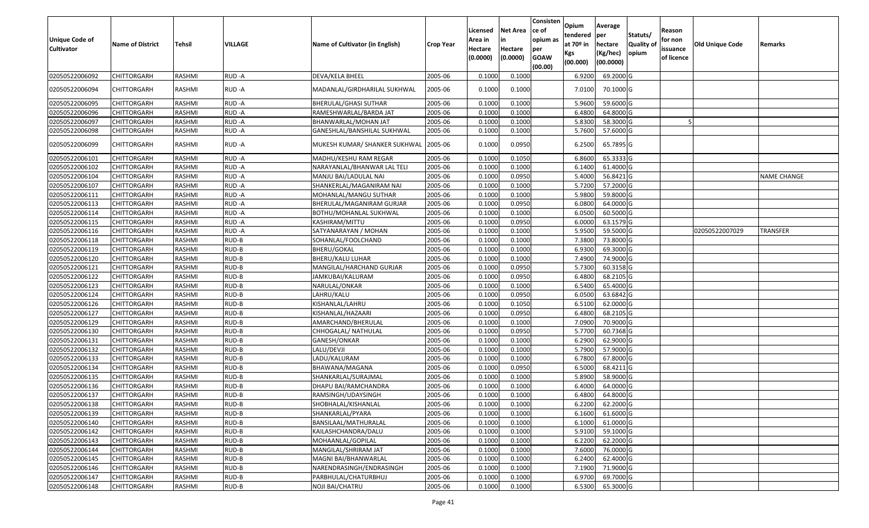| Unique Code of<br><b>Cultivator</b> | <b>Name of District</b> | Tehsil        | VILLAGE | Name of Cultivator (in English) | <b>Crop Year</b> | Licensed<br>Area in<br>Hectare<br>(0.0000) | Net Area<br>in<br>Hectare<br>(0.0000) | Consisten<br>ce of<br>opium as<br>per<br><b>GOAW</b><br>(00.00) | Opium<br>tendered<br>at 70º in<br>Kgs<br>(00.000) | Average<br> per<br>hectare<br>(Kg/hec)<br>(00.0000) | Statuts/<br><b>Quality of</b><br>opium | Reason<br>for non<br>issuance<br>of licence | <b>Old Unique Code</b> | Remarks     |
|-------------------------------------|-------------------------|---------------|---------|---------------------------------|------------------|--------------------------------------------|---------------------------------------|-----------------------------------------------------------------|---------------------------------------------------|-----------------------------------------------------|----------------------------------------|---------------------------------------------|------------------------|-------------|
| 02050522006092                      | <b>CHITTORGARH</b>      | RASHMI        | RUD-A   | DEVA/KELA BHEEL                 | 2005-06          | 0.1000                                     | 0.1000                                |                                                                 | 6.9200                                            | 69.2000 G                                           |                                        |                                             |                        |             |
| 02050522006094                      | CHITTORGARH             | RASHMI        | RUD-A   | MADANLAL/GIRDHARILAL SUKHWAL    | 2005-06          | 0.1000                                     | 0.1000                                |                                                                 | 7.0100                                            | 70.1000 G                                           |                                        |                                             |                        |             |
| 02050522006095                      | <b>CHITTORGARH</b>      | RASHMI        | RUD-A   | BHERULAL/GHASI SUTHAR           | 2005-06          | 0.1000                                     | 0.1000                                |                                                                 | 5.9600                                            | 59.6000 G                                           |                                        |                                             |                        |             |
| 02050522006096                      | <b>CHITTORGARH</b>      | RASHMI        | RUD-A   | RAMESHWARLAL/BARDA JAT          | 2005-06          | 0.1000                                     | 0.1000                                |                                                                 | 6.4800                                            | 64.8000 G                                           |                                        |                                             |                        |             |
| 02050522006097                      | <b>CHITTORGARH</b>      | RASHMI        | RUD-A   | BHANWARLAL/MOHAN JAT            | 2005-06          | 0.1000                                     | 0.1000                                |                                                                 | 5.8300                                            | 58.3000 G                                           |                                        |                                             |                        |             |
| 02050522006098                      | CHITTORGARH             | RASHMI        | RUD-A   | GANESHLAL/BANSHILAL SUKHWAL     | 2005-06          | 0.1000                                     | 0.1000                                |                                                                 | 5.7600                                            | 57.6000 G                                           |                                        |                                             |                        |             |
| 02050522006099                      | <b>CHITTORGARH</b>      | RASHMI        | RUD-A   | MUKESH KUMAR/ SHANKER SUKHWAL   | 2005-06          | 0.1000                                     | 0.0950                                |                                                                 | 6.2500                                            | 65.7895 G                                           |                                        |                                             |                        |             |
| 02050522006101                      | CHITTORGARH             | RASHMI        | RUD-A   | MADHU/KESHU RAM REGAR           | 2005-06          | 0.1000                                     | 0.1050                                |                                                                 | 6.8600                                            | 65.3333 G                                           |                                        |                                             |                        |             |
| 02050522006102                      | CHITTORGARH             | RASHMI        | RUD-A   | NARAYANLAL/BHANWAR LAL TELI     | 2005-06          | 0.1000                                     | 0.1000                                |                                                                 | 6.1400                                            | 61.4000 G                                           |                                        |                                             |                        |             |
| 02050522006104                      | <b>CHITTORGARH</b>      | RASHMI        | RUD-A   | MANJU BAI/LADULAL NAI           | 2005-06          | 0.1000                                     | 0.0950                                |                                                                 | 5.4000                                            | 56.8421 G                                           |                                        |                                             |                        | NAME CHANGE |
| 02050522006107                      | <b>CHITTORGARH</b>      | RASHMI        | RUD-A   | SHANKERLAL/MAGANIRAM NAI        | 2005-06          | 0.1000                                     | 0.1000                                |                                                                 | 5.7200                                            | 57.2000 G                                           |                                        |                                             |                        |             |
| 02050522006111                      | <b>CHITTORGARH</b>      | RASHMI        | RUD-A   | MOHANLAL/MANGU SUTHAR           | 2005-06          | 0.1000                                     | 0.1000                                |                                                                 | 5.9800                                            | 59.8000 G                                           |                                        |                                             |                        |             |
| 02050522006113                      | CHITTORGARH             | RASHMI        | RUD-A   | BHERULAL/MAGANIRAM GURJAR       | 2005-06          | 0.1000                                     | 0.0950                                |                                                                 | 6.0800                                            | 64.0000 G                                           |                                        |                                             |                        |             |
| 02050522006114                      | <b>CHITTORGARH</b>      | RASHMI        | RUD-A   | BOTHU/MOHANLAL SUKHWAL          | 2005-06          | 0.1000                                     | 0.1000                                |                                                                 | 6.0500                                            | 60.5000 G                                           |                                        |                                             |                        |             |
| 02050522006115                      | <b>CHITTORGARH</b>      | RASHMI        | RUD-A   | KASHIRAM/MITTU                  | 2005-06          | 0.1000                                     | 0.0950                                |                                                                 | 6.0000                                            | 63.1579 G                                           |                                        |                                             |                        |             |
| 02050522006116                      | <b>CHITTORGARH</b>      | RASHMI        | RUD-A   | SATYANARAYAN / MOHAN            | 2005-06          | 0.1000                                     | 0.1000                                |                                                                 | 5.9500                                            | 59.5000 G                                           |                                        |                                             | 02050522007029         | TRANSFER    |
| 02050522006118                      | CHITTORGARH             | RASHMI        | RUD-B   | SOHANLAL/FOOLCHAND              | 2005-06          | 0.1000                                     | 0.1000                                |                                                                 | 7.3800                                            | 73.8000 G                                           |                                        |                                             |                        |             |
| 02050522006119                      | CHITTORGARH             | RASHMI        | RUD-B   | <b>BHERU/GOKAL</b>              | 2005-06          | 0.1000                                     | 0.1000                                |                                                                 | 6.9300                                            | 69.3000 G                                           |                                        |                                             |                        |             |
| 02050522006120                      | CHITTORGARH             | RASHMI        | RUD-B   | BHERU/KALU LUHAR                | 2005-06          | 0.1000                                     | 0.1000                                |                                                                 | 7.4900                                            | 74.9000 G                                           |                                        |                                             |                        |             |
| 02050522006121                      | CHITTORGARH             | RASHMI        | RUD-B   | MANGILAL/HARCHAND GURJAR        | 2005-06          | 0.1000                                     | 0.0950                                |                                                                 | 5.7300                                            | 60.3158 G                                           |                                        |                                             |                        |             |
| 02050522006122                      | CHITTORGARH             | RASHMI        | RUD-B   | JAMKUBAI/KALURAM                | 2005-06          | 0.1000                                     | 0.0950                                |                                                                 | 6.4800                                            | 68.2105 G                                           |                                        |                                             |                        |             |
| 02050522006123                      | CHITTORGARH             | RASHMI        | RUD-B   | NARULAL/ONKAR                   | 2005-06          | 0.1000                                     | 0.1000                                |                                                                 | 6.5400                                            | 65.4000 G                                           |                                        |                                             |                        |             |
| 02050522006124                      | CHITTORGARH             | RASHMI        | RUD-B   | LAHRU/KALU                      | 2005-06          | 0.1000                                     | 0.0950                                |                                                                 | 6.0500                                            | 63.6842 G                                           |                                        |                                             |                        |             |
| 02050522006126                      | <b>CHITTORGARH</b>      | RASHMI        | RUD-B   | KISHANLAL/LAHRU                 | 2005-06          | 0.1000                                     | 0.1050                                |                                                                 | 6.5100                                            | 62.0000 G                                           |                                        |                                             |                        |             |
| 02050522006127                      | CHITTORGARH             | RASHMI        | RUD-B   | KISHANLAL/HAZAARI               | 2005-06          | 0.1000                                     | 0.0950                                |                                                                 | 6.4800                                            | 68.2105 G                                           |                                        |                                             |                        |             |
| 02050522006129                      | CHITTORGARH             | RASHMI        | RUD-B   | AMARCHAND/BHERULAL              | 2005-06          | 0.1000                                     | 0.1000                                |                                                                 | 7.0900                                            | 70.9000 G                                           |                                        |                                             |                        |             |
| 02050522006130                      | <b>CHITTORGARH</b>      | RASHMI        | RUD-B   | CHHOGALAL/ NATHULAL             | 2005-06          | 0.1000                                     | 0.0950                                |                                                                 | 5.7700                                            | 60.7368 G                                           |                                        |                                             |                        |             |
| 02050522006131                      | CHITTORGARH             | RASHMI        | RUD-B   | GANESH/ONKAR                    | 2005-06          | 0.1000                                     | 0.1000                                |                                                                 | 6.2900                                            | 62.9000 G                                           |                                        |                                             |                        |             |
| 02050522006132                      | CHITTORGARH             | RASHMI        | RUD-B   | LALU/DEVJI                      | 2005-06          | 0.1000                                     | 0.1000                                |                                                                 | 5.7900                                            | 57.9000 G                                           |                                        |                                             |                        |             |
| 02050522006133                      | CHITTORGARH             | RASHMI        | RUD-B   | LADU/KALURAM                    | 2005-06          | 0.1000                                     | 0.1000                                |                                                                 | 6.7800                                            | 67.8000 G                                           |                                        |                                             |                        |             |
| 02050522006134                      | <b>CHITTORGARH</b>      | <b>RASHMI</b> | RUD-B   | BHAWANA/MAGANA                  | 2005-06          | 0.1000                                     | 0.0950                                |                                                                 | 6.5000                                            | 68.4211 G                                           |                                        |                                             |                        |             |
| 02050522006135                      | CHITTORGARH             | RASHMI        | RUD-B   | SHANKARLAL/SURAJMAL             | 2005-06          | 0.1000                                     | 0.1000                                |                                                                 | 5.8900                                            | 58.9000 G                                           |                                        |                                             |                        |             |
| 02050522006136                      | CHITTORGARH             | RASHMI        | RUD-B   | DHAPU BAI/RAMCHANDRA            | 2005-06          | 0.1000                                     | 0.1000                                |                                                                 | 6.4000                                            | 64.0000 G                                           |                                        |                                             |                        |             |
| 02050522006137                      | CHITTORGARH             | RASHMI        | RUD-B   | RAMSINGH/UDAYSINGH              | 2005-06          | 0.1000                                     | 0.1000                                |                                                                 | 6.4800                                            | 64.8000 G                                           |                                        |                                             |                        |             |
| 02050522006138                      | CHITTORGARH             | RASHMI        | RUD-B   | SHOBHALAL/KISHANLAL             | 2005-06          | 0.1000                                     | 0.1000                                |                                                                 |                                                   | 6.2200 62.2000 G                                    |                                        |                                             |                        |             |
| 02050522006139                      | <b>CHITTORGARH</b>      | RASHMI        | RUD-B   | SHANKARLAL/PYARA                | 2005-06          | 0.1000                                     | 0.1000                                |                                                                 | 6.1600                                            | 61.6000 G                                           |                                        |                                             |                        |             |
| 02050522006140                      | <b>CHITTORGARH</b>      | RASHMI        | RUD-B   | BANSILAAL/MATHURALAL            | 2005-06          | 0.1000                                     | 0.1000                                |                                                                 | 6.1000                                            | 61.0000G                                            |                                        |                                             |                        |             |
| 02050522006142                      | <b>CHITTORGARH</b>      | RASHMI        | RUD-B   | KAILASHCHANDRA/DALU             | 2005-06          | 0.1000                                     | 0.1000                                |                                                                 | 5.9100                                            | 59.1000 G                                           |                                        |                                             |                        |             |
| 02050522006143                      | <b>CHITTORGARH</b>      | RASHMI        | RUD-B   | MOHAANLAL/GOPILAL               | 2005-06          | 0.1000                                     | 0.1000                                |                                                                 | 6.2200                                            | 62.2000 G                                           |                                        |                                             |                        |             |
| 02050522006144                      | <b>CHITTORGARH</b>      | RASHMI        | RUD-B   | MANGILAL/SHRIRAM JAT            | 2005-06          | 0.1000                                     | 0.1000                                |                                                                 | 7.6000                                            | 76.0000 G                                           |                                        |                                             |                        |             |
| 02050522006145                      | <b>CHITTORGARH</b>      | RASHMI        | RUD-B   | MAGNI BAI/BHANWARLAL            | 2005-06          | 0.1000                                     | 0.1000                                |                                                                 | 6.2400                                            | 62.4000 G                                           |                                        |                                             |                        |             |
| 02050522006146                      | <b>CHITTORGARH</b>      | RASHMI        | RUD-B   | NARENDRASINGH/ENDRASINGH        | 2005-06          | 0.1000                                     | 0.1000                                |                                                                 | 7.1900                                            | 71.9000 G                                           |                                        |                                             |                        |             |
| 02050522006147                      | <b>CHITTORGARH</b>      | RASHMI        | RUD-B   | PARBHULAL/CHATURBHUJ            | 2005-06          | 0.1000                                     | 0.1000                                |                                                                 | 6.9700                                            | 69.7000 G                                           |                                        |                                             |                        |             |
| 02050522006148                      | <b>CHITTORGARH</b>      | RASHMI        | RUD-B   | NOJI BAI/CHATRU                 | 2005-06          | 0.1000                                     | 0.1000                                |                                                                 |                                                   | 6.5300 65.3000 G                                    |                                        |                                             |                        |             |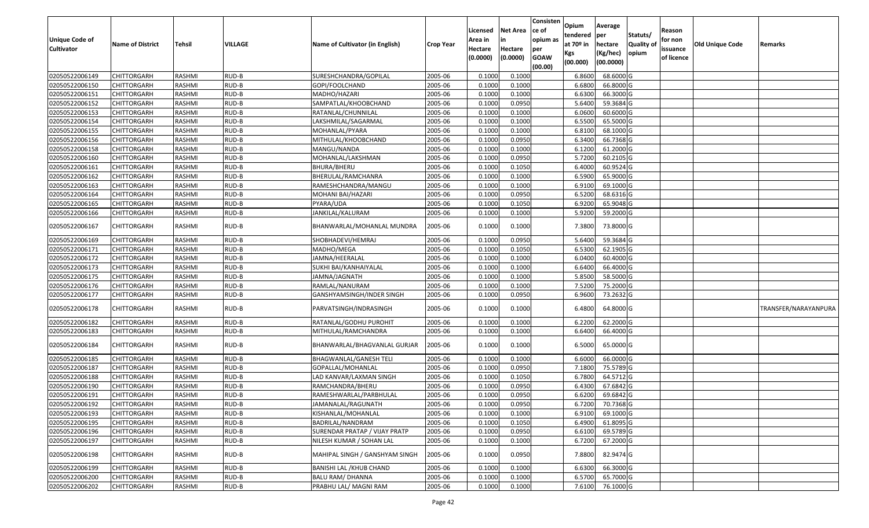| Unique Code of<br><b>Cultivator</b> | <b>Name of District</b> | Tehsil        | VILLAGE | Name of Cultivator (in English) | Crop Year | Licensed<br>Area in<br>Hectare<br>(0.0000) | Net Area<br>in<br>Hectare<br>(0.0000) | Consisten<br>ce of<br>opium as<br>per<br><b>GOAW</b><br>(00.00) | Opium<br>tendered<br>at 70º in<br>Kgs<br>(00.000) | Average<br>per<br>hectare<br>(Kg/hec)<br>(00.0000) | Statuts/<br><b>Quality of</b><br>opium | Reason<br>for non<br>issuance<br>of licence | <b>Old Unique Code</b> | Remarks              |
|-------------------------------------|-------------------------|---------------|---------|---------------------------------|-----------|--------------------------------------------|---------------------------------------|-----------------------------------------------------------------|---------------------------------------------------|----------------------------------------------------|----------------------------------------|---------------------------------------------|------------------------|----------------------|
| 02050522006149                      | <b>CHITTORGARH</b>      | RASHMI        | RUD-B   | SURESHCHANDRA/GOPILAL           | 2005-06   | 0.1000                                     | 0.1000                                |                                                                 | 6.8600                                            | 68.6000 G                                          |                                        |                                             |                        |                      |
| 02050522006150                      | CHITTORGARH             | RASHMI        | RUD-B   | GOPI/FOOLCHAND                  | 2005-06   | 0.1000                                     | 0.1000                                |                                                                 | 6.6800                                            | 66.8000 G                                          |                                        |                                             |                        |                      |
| 02050522006151                      | CHITTORGARH             | RASHMI        | RUD-B   | MADHO/HAZARI                    | 2005-06   | 0.1000                                     | 0.1000                                |                                                                 | 6.6300                                            | 66.3000 G                                          |                                        |                                             |                        |                      |
| 02050522006152                      | <b>CHITTORGARH</b>      | RASHMI        | RUD-B   | SAMPATLAL/KHOOBCHAND            | 2005-06   | 0.1000                                     | 0.0950                                |                                                                 | 5.6400                                            | 59.3684 G                                          |                                        |                                             |                        |                      |
| 02050522006153                      | CHITTORGARH             | RASHMI        | RUD-B   | RATANLAL/CHUNNILAL              | 2005-06   | 0.1000                                     | 0.1000                                |                                                                 | 6.0600                                            | 60.6000 G                                          |                                        |                                             |                        |                      |
| 02050522006154                      | <b>CHITTORGARH</b>      | RASHMI        | RUD-B   | LAKSHMILAL/SAGARMAL             | 2005-06   | 0.1000                                     | 0.1000                                |                                                                 | 6.5500                                            | 65.5000 G                                          |                                        |                                             |                        |                      |
| 02050522006155                      | CHITTORGARH             | RASHMI        | RUD-B   | MOHANLAL/PYARA                  | 2005-06   | 0.1000                                     | 0.1000                                |                                                                 | 6.8100                                            | 68.1000 G                                          |                                        |                                             |                        |                      |
| 02050522006156                      | <b>CHITTORGARH</b>      | <b>RASHMI</b> | RUD-B   | MITHULAL/KHOOBCHAND             | 2005-06   | 0.1000                                     | 0.0950                                |                                                                 | 6.3400                                            | 66.7368 G                                          |                                        |                                             |                        |                      |
| 02050522006158                      | CHITTORGARH             | RASHMI        | RUD-B   | MANGU/NANDA                     | 2005-06   | 0.1000                                     | 0.1000                                |                                                                 | 6.1200                                            | 61.2000 G                                          |                                        |                                             |                        |                      |
| 02050522006160                      | CHITTORGARH             | RASHMI        | RUD-B   | MOHANLAL/LAKSHMAN               | 2005-06   | 0.1000                                     | 0.0950                                |                                                                 | 5.7200                                            | 60.2105 G                                          |                                        |                                             |                        |                      |
| 02050522006161                      | CHITTORGARH             | RASHMI        | RUD-B   | BHURA/BHERU                     | 2005-06   | 0.1000                                     | 0.1050                                |                                                                 | 6.4000                                            | 60.9524 G                                          |                                        |                                             |                        |                      |
| 02050522006162                      | <b>CHITTORGARH</b>      | RASHMI        | RUD-B   | BHERULAL/RAMCHANRA              | 2005-06   | 0.1000                                     | 0.1000                                |                                                                 | 6.5900                                            | 65.9000 G                                          |                                        |                                             |                        |                      |
| 02050522006163                      | <b>CHITTORGARH</b>      | RASHMI        | RUD-B   | RAMESHCHANDRA/MANGU             | 2005-06   | 0.1000                                     | 0.1000                                |                                                                 | 6.9100                                            | 69.1000 G                                          |                                        |                                             |                        |                      |
| 02050522006164                      | <b>CHITTORGARH</b>      | RASHMI        | RUD-B   | MOHANI BAI/HAZARI               | 2005-06   | 0.1000                                     | 0.0950                                |                                                                 | 6.5200                                            | 68.6316 G                                          |                                        |                                             |                        |                      |
| 02050522006165                      | CHITTORGARH             | RASHMI        | RUD-B   | PYARA/UDA                       | 2005-06   | 0.1000                                     | 0.1050                                |                                                                 | 6.9200                                            | 65.9048 G                                          |                                        |                                             |                        |                      |
| 02050522006166                      | CHITTORGARH             | RASHMI        | RUD-B   | JANKILAL/KALURAM                | 2005-06   | 0.1000                                     | 0.1000                                |                                                                 | 5.9200                                            | 59.2000 G                                          |                                        |                                             |                        |                      |
| 02050522006167                      | CHITTORGARH             | RASHMI        | RUD-B   | BHANWARLAL/MOHANLAL MUNDRA      | 2005-06   | 0.1000                                     | 0.1000                                |                                                                 | 7.3800                                            | 73.8000 G                                          |                                        |                                             |                        |                      |
| 02050522006169                      | CHITTORGARH             | RASHMI        | RUD-B   | SHOBHADEVI/HEMRAJ               | 2005-06   | 0.1000                                     | 0.0950                                |                                                                 | 5.6400                                            | 59.3684 G                                          |                                        |                                             |                        |                      |
| 02050522006171                      | CHITTORGARH             | RASHMI        | RUD-B   | MADHO/MEGA                      | 2005-06   | 0.1000                                     | 0.1050                                |                                                                 | 6.5300                                            | 62.1905 G                                          |                                        |                                             |                        |                      |
| 02050522006172                      | <b>CHITTORGARH</b>      | RASHMI        | RUD-B   | JAMNA/HEERALAL                  | 2005-06   | 0.1000                                     | 0.1000                                |                                                                 | 6.0400                                            | 60.4000 G                                          |                                        |                                             |                        |                      |
| 02050522006173                      | <b>CHITTORGARH</b>      | RASHMI        | RUD-B   | SUKHI BAI/KANHAIYALAL           | 2005-06   | 0.1000                                     | 0.1000                                |                                                                 | 6.6400                                            | 66.4000 G                                          |                                        |                                             |                        |                      |
| 02050522006175                      | CHITTORGARH             | RASHMI        | RUD-B   | JAMNA/JAGNATH                   | 2005-06   | 0.1000                                     | 0.1000                                |                                                                 | 5.8500                                            | 58.5000 G                                          |                                        |                                             |                        |                      |
| 02050522006176                      | CHITTORGARH             | RASHMI        | RUD-B   | RAMLAL/NANURAM                  | 2005-06   | 0.1000                                     | 0.1000                                |                                                                 | 7.5200                                            | 75.2000 G                                          |                                        |                                             |                        |                      |
| 02050522006177                      | CHITTORGARH             | RASHMI        | RUD-B   | GANSHYAMSINGH/INDER SINGH       | 2005-06   | 0.1000                                     | 0.0950                                |                                                                 | 6.9600                                            | 73.2632 G                                          |                                        |                                             |                        |                      |
| 02050522006178                      | CHITTORGARH             | RASHMI        | RUD-B   | PARVATSINGH/INDRASINGH          | 2005-06   | 0.1000                                     | 0.1000                                |                                                                 | 6.4800                                            | 64.8000 G                                          |                                        |                                             |                        | TRANSFER/NARAYANPURA |
| 02050522006182                      | CHITTORGARH             | RASHMI        | RUD-B   | RATANLAL/GODHU PUROHIT          | 2005-06   | 0.1000                                     | 0.1000                                |                                                                 | 6.2200                                            | 62.2000 G                                          |                                        |                                             |                        |                      |
| 02050522006183                      | <b>CHITTORGARH</b>      | RASHMI        | RUD-B   | MITHULAL/RAMCHANDRA             | 2005-06   | 0.1000                                     | 0.1000                                |                                                                 | 6.6400                                            | 66.4000 G                                          |                                        |                                             |                        |                      |
| 02050522006184                      | CHITTORGARH             | RASHMI        | RUD-B   | BHANWARLAL/BHAGVANLAL GURJAR    | 2005-06   | 0.1000                                     | 0.1000                                |                                                                 | 6.5000                                            | 65.0000 G                                          |                                        |                                             |                        |                      |
| 02050522006185                      | CHITTORGARH             | RASHMI        | RUD-B   | BHAGWANLAL/GANESH TELI          | 2005-06   | 0.1000                                     | 0.1000                                |                                                                 | 6.6000                                            | 66.0000 G                                          |                                        |                                             |                        |                      |
| 02050522006187                      | CHITTORGARH             | RASHMI        | RUD-B   | GOPALLAL/MOHANLAL               | 2005-06   | 0.1000                                     | 0.0950                                |                                                                 | 7.1800                                            | 75.5789 G                                          |                                        |                                             |                        |                      |
| 02050522006188                      | CHITTORGARH             | RASHMI        | RUD-B   | LAD KANVAR/LAXMAN SINGH         | 2005-06   | 0.1000                                     | 0.1050                                |                                                                 | 6.7800                                            | 64.5712 G                                          |                                        |                                             |                        |                      |
| 02050522006190                      | CHITTORGARH             | RASHMI        | RUD-B   | RAMCHANDRA/BHERU                | 2005-06   | 0.1000                                     | 0.0950                                |                                                                 | 6.4300                                            | 67.6842 G                                          |                                        |                                             |                        |                      |
| 02050522006191                      | <b>CHITTORGARH</b>      | RASHMI        | RUD-B   | RAMESHWARLAL/PARBHULAL          | 2005-06   | 0.1000                                     | 0.0950                                |                                                                 | 6.6200                                            | 69.6842 G                                          |                                        |                                             |                        |                      |
| 02050522006192                      | <b>CHITTORGARH</b>      | RASHMI        | RUD-B   | JAMANALAL/RAGUNATH              | 2005-06   | 0.1000                                     | 0.0950                                |                                                                 | 6.7200                                            | 70.7368 G                                          |                                        |                                             |                        |                      |
| 02050522006193                      | <b>CHITTORGARH</b>      | RASHMI        | RUD-B   | KISHANLAL/MOHANLAL              | 2005-06   | 0.1000                                     | 0.1000                                |                                                                 | 6.9100                                            | 69.1000 G                                          |                                        |                                             |                        |                      |
| 02050522006195                      | <b>CHITTORGARH</b>      | RASHMI        | RUD-B   | BADRILAL/NANDRAM                | 2005-06   | 0.1000                                     | 0.1050                                |                                                                 | 6.4900                                            | 61.8095 G                                          |                                        |                                             |                        |                      |
| 02050522006196                      | <b>CHITTORGARH</b>      | RASHMI        | RUD-B   | SURENDAR PRATAP / VIJAY PRATP   | 2005-06   | 0.1000                                     | 0.0950                                |                                                                 | 6.6100                                            | 69.5789 G                                          |                                        |                                             |                        |                      |
| 02050522006197                      | CHITTORGARH             | RASHMI        | RUD-B   | NILESH KUMAR / SOHAN LAL        | 2005-06   | 0.1000                                     | 0.1000                                |                                                                 | 6.7200                                            | 67.2000 G                                          |                                        |                                             |                        |                      |
| 02050522006198                      | <b>CHITTORGARH</b>      | RASHMI        | RUD-B   | MAHIPAL SINGH / GANSHYAM SINGH  | 2005-06   | 0.1000                                     | 0.0950                                |                                                                 | 7.8800                                            | 82.9474 G                                          |                                        |                                             |                        |                      |
| 02050522006199                      | CHITTORGARH             | RASHMI        | RUD-B   | <b>BANISHI LAL / KHUB CHAND</b> | 2005-06   | 0.1000                                     | 0.1000                                |                                                                 | 6.6300                                            | 66.3000 G                                          |                                        |                                             |                        |                      |
| 02050522006200                      | CHITTORGARH             | RASHMI        | RUD-B   | <b>BALU RAM/ DHANNA</b>         | 2005-06   | 0.1000                                     | 0.1000                                |                                                                 | 6.5700                                            | 65.7000 G                                          |                                        |                                             |                        |                      |
| 02050522006202                      | <b>CHITTORGARH</b>      | RASHMI        | RUD-B   | PRABHU LAL/ MAGNI RAM           | 2005-06   | 0.1000                                     | 0.1000                                |                                                                 | 7.6100                                            | 76.1000 G                                          |                                        |                                             |                        |                      |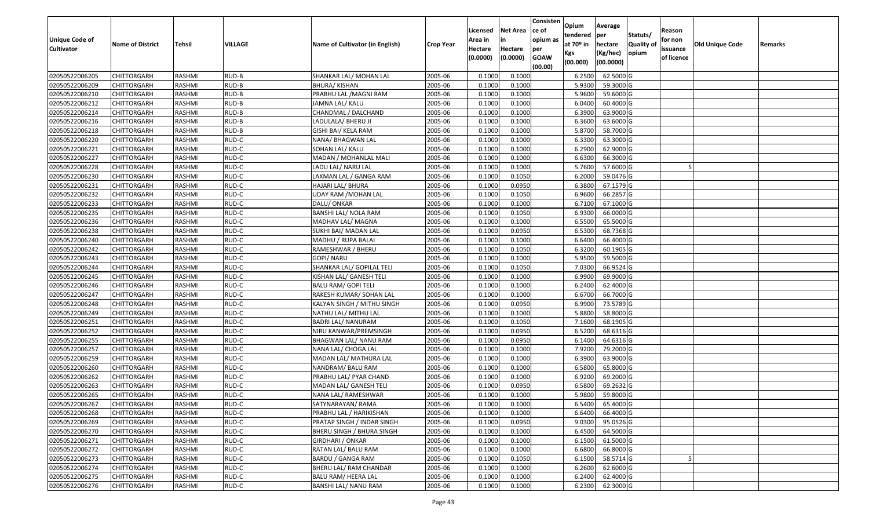| Unique Code of    | <b>Name of District</b> | Tehsil | VILLAGE | Name of Cultivator (in English) |                  | Licensed<br>Area in | <b>Net Area</b><br>in | Consisten<br>ce of<br>opium as | Opium<br>tendered<br>at $70°$ in | Average<br>per<br>hectare | Statuts/<br>Quality o | Reason<br>for non      | Old Unique Code |         |
|-------------------|-------------------------|--------|---------|---------------------------------|------------------|---------------------|-----------------------|--------------------------------|----------------------------------|---------------------------|-----------------------|------------------------|-----------------|---------|
| <b>Cultivator</b> |                         |        |         |                                 | <b>Crop Year</b> | Hectare<br>(0.0000) | Hectare<br>(0.0000)   | per<br><b>GOAW</b><br>(00.00)  | Kgs<br>(00.000)                  | (Kg/hec)<br>(00.0000)     | opium                 | issuance<br>of licence |                 | Remarks |
| 02050522006205    | CHITTORGARH             | RASHMI | RUD-B   | SHANKAR LAL/ MOHAN LAL          | 2005-06          | 0.1000              | 0.1000                |                                | 6.2500                           | 62.5000G                  |                       |                        |                 |         |
| 02050522006209    | CHITTORGARH             | RASHMI | RUD-B   | BHURA/ KISHAN                   | 2005-06          | 0.1000              | 0.1000                |                                | 5.9300                           | 59.3000 G                 |                       |                        |                 |         |
| 02050522006210    | CHITTORGARH             | RASHMI | RUD-B   | PRABHU LAL / MAGNI RAM          | 2005-06          | 0.1000              | 0.1000                |                                | 5.9600                           | 59.6000 G                 |                       |                        |                 |         |
| 02050522006212    | <b>CHITTORGARH</b>      | RASHMI | RUD-B   | JAMNA LAL/ KALU                 | 2005-06          | 0.1000              | 0.1000                |                                | 6.0400                           | 60.4000 G                 |                       |                        |                 |         |
| 02050522006214    | CHITTORGARH             | RASHMI | RUD-B   | CHANDMAL / DALCHAND             | 2005-06          | 0.1000              | 0.1000                |                                | 6.3900                           | 63.9000 G                 |                       |                        |                 |         |
| 02050522006216    | <b>CHITTORGARH</b>      | RASHMI | RUD-B   | LADULALA/ BHERU JI              | 2005-06          | 0.1000              | 0.1000                |                                | 6.3600                           | 63.6000 G                 |                       |                        |                 |         |
| 02050522006218    | CHITTORGARH             | RASHMI | RUD-B   | GISHI BAI/ KELA RAM             | 2005-06          | 0.1000              | 0.1000                |                                | 5.8700                           | 58.7000 G                 |                       |                        |                 |         |
| 02050522006220    | <b>CHITTORGARH</b>      | RASHMI | RUD-C   | NANA/ BHAGWAN LAL               | 2005-06          | 0.1000              | 0.1000                |                                | 6.3300                           | 63.3000G                  |                       |                        |                 |         |
| 02050522006221    | CHITTORGARH             | RASHMI | RUD-C   | SOHAN LAL/ KALU                 | 2005-06          | 0.1000              | 0.1000                |                                | 6.2900                           | 62.9000G                  |                       |                        |                 |         |
| 02050522006227    | CHITTORGARH             | RASHMI | RUD-C   | MADAN / MOHANLAL MALI           | 2005-06          | 0.1000              | 0.1000                |                                | 6.6300                           | 66.3000 G                 |                       |                        |                 |         |
| 02050522006228    | CHITTORGARH             | RASHMI | RUD-C   | LADU LAL/ NARU LAL              | 2005-06          | 0.1000              | 0.1000                |                                | 5.7600                           | 57.6000 G                 |                       |                        |                 |         |
| 02050522006230    | <b>CHITTORGARH</b>      | RASHMI | RUD-C   | LAXMAN LAL / GANGA RAM          | 2005-06          | 0.1000              | 0.1050                |                                | 6.2000                           | 59.0476 G                 |                       |                        |                 |         |
| 02050522006231    | <b>CHITTORGARH</b>      | RASHMI | RUD-C   | HAJARI LAL/ BHURA               | 2005-06          | 0.1000              | 0.0950                |                                | 6.3800                           | 67.1579 G                 |                       |                        |                 |         |
| 02050522006232    | <b>CHITTORGARH</b>      | RASHMI | RUD-C   | UDAY RAM /MOHAN LAL             | 2005-06          | 0.1000              | 0.1050                |                                | 6.9600                           | 66.2857 G                 |                       |                        |                 |         |
| 02050522006233    | <b>CHITTORGARH</b>      | RASHMI | RUD-C   | DALU/ ONKAR                     | 2005-06          | 0.1000              | 0.1000                |                                | 6.7100                           | 67.1000G                  |                       |                        |                 |         |
| 02050522006235    | <b>CHITTORGARH</b>      | RASHMI | RUD-C   | BANSHI LAL/ NOLA RAM            | 2005-06          | 0.1000              | 0.1050                |                                | 6.9300                           | 66.0000G                  |                       |                        |                 |         |
| 02050522006236    | CHITTORGARH             | RASHMI | RUD-C   | MADHAV LAL/ MAGNA               | 2005-06          | 0.1000              | 0.1000                |                                | 6.5500                           | 65.5000G                  |                       |                        |                 |         |
| 02050522006238    | CHITTORGARH             | RASHMI | RUD-C   | SUKHI BAI/ MADAN LAL            | 2005-06          | 0.1000              | 0.0950                |                                | 6.5300                           | 68.7368 G                 |                       |                        |                 |         |
| 02050522006240    | CHITTORGARH             | RASHMI | RUD-C   | MADHU / RUPA BALAI              | 2005-06          | 0.1000              | 0.1000                |                                | 6.6400                           | 66.4000 G                 |                       |                        |                 |         |
| 02050522006242    | CHITTORGARH             | RASHMI | RUD-C   | RAMESHWAR / BHERU               | 2005-06          | 0.1000              | 0.1050                |                                | 6.3200                           | 60.1905 G                 |                       |                        |                 |         |
| 02050522006243    | CHITTORGARH             | RASHMI | RUD-C   | GOPI/NARU                       | 2005-06          | 0.1000              | 0.1000                |                                | 5.9500                           | 59.5000 G                 |                       |                        |                 |         |
| 02050522006244    | CHITTORGARH             | RASHMI | RUD-C   | SHANKAR LAL/ GOPILAL TELI       | 2005-06          | 0.1000              | 0.1050                |                                | 7.0300                           | 66.9524 G                 |                       |                        |                 |         |
| 02050522006245    | CHITTORGARH             | RASHMI | RUD-C   | KISHAN LAL/ GANESH TELI         | 2005-06          | 0.1000              | 0.1000                |                                | 6.9900                           | 69.9000 G                 |                       |                        |                 |         |
| 02050522006246    | <b>CHITTORGARH</b>      | RASHMI | RUD-C   | <b>BALU RAM/ GOPI TELI</b>      | 2005-06          | 0.1000              | 0.1000                |                                | 6.2400                           | 62.4000 G                 |                       |                        |                 |         |
| 02050522006247    | <b>CHITTORGARH</b>      | RASHMI | RUD-C   | RAKESH KUMAR/ SOHAN LAL         | 2005-06          | 0.1000              | 0.1000                |                                | 6.6700                           | 66.7000 G                 |                       |                        |                 |         |
| 02050522006248    | CHITTORGARH             | RASHMI | RUD-C   | KALYAN SINGH / MITHU SINGH      | 2005-06          | 0.1000              | 0.0950                |                                | 6.9900                           | 73.5789 G                 |                       |                        |                 |         |
| 02050522006249    | CHITTORGARH             | RASHMI | RUD-C   | NATHU LAL/ MITHU LAL            | 2005-06          | 0.1000              | 0.1000                |                                | 5.8800                           | 58.8000 G                 |                       |                        |                 |         |
| 02050522006251    | CHITTORGARH             | RASHMI | RUD-C   | BADRI LAL/ NANURAM              | 2005-06          | 0.1000              | 0.1050                |                                | 7.1600                           | 68.1905 G                 |                       |                        |                 |         |
| 02050522006252    | CHITTORGARH             | RASHMI | RUD-C   | NIRU KANWAR/PREMSINGH           | 2005-06          | 0.1000              | 0.0950                |                                | 6.5200                           | 68.6316 G                 |                       |                        |                 |         |
| 02050522006255    | CHITTORGARH             | RASHMI | RUD-C   | BHAGWAN LAL/ NANU RAM           | 2005-06          | 0.1000              | 0.0950                |                                | 6.1400                           | $64.6316$ G               |                       |                        |                 |         |
| 02050522006257    | CHITTORGARH             | RASHMI | RUD-C   | NANA LAL/ CHOGA LAL             | 2005-06          | 0.1000              | 0.1000                |                                | 7.9200                           | 79.2000 G                 |                       |                        |                 |         |
| 02050522006259    | CHITTORGARH             | RASHMI | RUD-C   | MADAN LAL/ MATHURA LAL          | 2005-06          | 0.1000              | 0.1000                |                                | 6.3900                           | 63.9000 G                 |                       |                        |                 |         |
| 02050522006260    | CHITTORGARH             | RASHMI | RUD-C   | NANDRAM/ BALU RAM               | 2005-06          | 0.1000              | 0.1000                |                                | 6.5800                           | 65.8000 G                 |                       |                        |                 |         |
| 02050522006262    | <b>CHITTORGARH</b>      | RASHMI | RUD-C   | PRABHU LAL/ PYAR CHAND          | 2005-06          | 0.1000              | 0.1000                |                                | 6.9200                           | 69.2000 G                 |                       |                        |                 |         |
| 02050522006263    | CHITTORGARH             | RASHMI | RUD-C   | MADAN LAL/ GANESH TELI          | 2005-06          | 0.1000              | 0.0950                |                                | 6.5800                           | 69.2632 G                 |                       |                        |                 |         |
| 02050522006265    | CHITTORGARH             | RASHMI | RUD-C   | NANA LAL/ RAMESHWAR             | 2005-06          | 0.1000              | 0.1000                |                                | 5.9800                           | 59.8000 G                 |                       |                        |                 |         |
| 02050522006267    | <b>CHITTORGARH</b>      | RASHMI | RUD-C   | SATYNARAYAN/ RAMA               | 2005-06          | 0.1000              | 0.1000                |                                | 6.5400                           | 65.4000 G                 |                       |                        |                 |         |
| 02050522006268    | <b>CHITTORGARH</b>      | RASHMI | RUD-C   | PRABHU LAL / HARIKISHAN         | 2005-06          | 0.1000              | 0.1000                |                                | 6.6400                           | 66.4000 G                 |                       |                        |                 |         |
| 02050522006269    | <b>CHITTORGARH</b>      | RASHMI | RUD-C   | PRATAP SINGH / INDAR SINGH      | 2005-06          | 0.1000              | 0.0950                |                                | 9.0300                           | 95.0526 G                 |                       |                        |                 |         |
| 02050522006270    | <b>CHITTORGARH</b>      | RASHMI | RUD-C   | BHERU SINGH / BHURA SINGH       | 2005-06          | 0.1000              | 0.1000                |                                | 6.4500                           | 64.5000 G                 |                       |                        |                 |         |
| 02050522006271    | CHITTORGARH             | RASHMI | RUD-C   | GIRDHARI / ONKAR                | 2005-06          | 0.1000              | 0.1000                |                                | 6.1500                           | 61.5000 G                 |                       |                        |                 |         |
| 02050522006272    | <b>CHITTORGARH</b>      | RASHMI | RUD-C   | RATAN LAL/ BALU RAM             | 2005-06          | 0.1000              | 0.1000                |                                | 6.6800                           | 66.8000 G                 |                       |                        |                 |         |
| 02050522006273    | <b>CHITTORGARH</b>      | RASHMI | RUD-C   | BARDU / GANGA RAM               | 2005-06          | 0.1000              | 0.1050                |                                | 6.1500                           | 58.5714 G                 |                       |                        |                 |         |
| 02050522006274    | <b>CHITTORGARH</b>      | RASHMI | RUD-C   | BHERU LAL/ RAM CHANDAR          | 2005-06          | 0.1000              | 0.1000                |                                | 6.2600                           | 62.6000 G                 |                       |                        |                 |         |
| 02050522006275    | <b>CHITTORGARH</b>      | RASHMI | RUD-C   | BALU RAM/ HEERA LAL             | 2005-06          | 0.1000              | 0.1000                |                                | 6.2400                           | 62.4000 G                 |                       |                        |                 |         |
| 02050522006276    | <b>CHITTORGARH</b>      | RASHMI | RUD-C   | BANSHI LAL/ NANU RAM            | 2005-06          | 0.1000              | 0.1000                |                                | 6.2300                           | 62.3000 G                 |                       |                        |                 |         |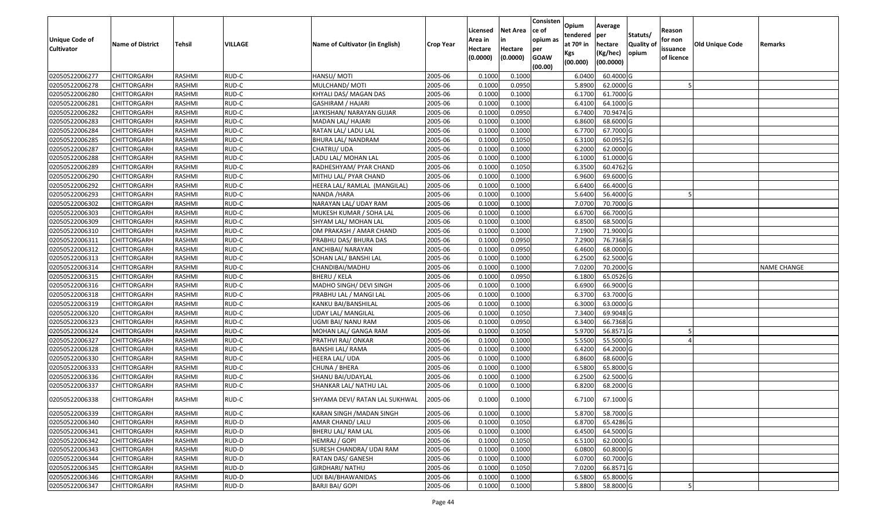| Unique Code of<br><b>Cultivator</b> | <b>Name of District</b> | Tehsil        | VILLAGE | Name of Cultivator (in English) | Crop Year | Licensed<br>Area in<br>Hectare<br>(0.0000) | Net Area<br>in<br>Hectare<br>(0.0000) | Consisten<br>ce of<br>opium as<br>per<br><b>GOAW</b><br>(00.00) | Opium<br>tendered<br>at 70º in<br>Kgs<br>(00.000) | Average<br>per<br>hectare<br>(Kg/hec)<br>(00.0000) | Statuts/<br><b>Quality of</b><br>opium | Reason<br>for non<br>issuance<br>of licence | <b>Old Unique Code</b> | Remarks     |
|-------------------------------------|-------------------------|---------------|---------|---------------------------------|-----------|--------------------------------------------|---------------------------------------|-----------------------------------------------------------------|---------------------------------------------------|----------------------------------------------------|----------------------------------------|---------------------------------------------|------------------------|-------------|
| 02050522006277                      | <b>CHITTORGARH</b>      | RASHMI        | RUD-C   | HANSU/MOTI                      | 2005-06   | 0.1000                                     | 0.1000                                |                                                                 | 6.0400                                            | 60.4000 G                                          |                                        |                                             |                        |             |
| 02050522006278                      | CHITTORGARH             | RASHMI        | RUD-C   | MULCHAND/MOTI                   | 2005-06   | 0.1000                                     | 0.0950                                |                                                                 | 5.8900                                            | 62.0000 G                                          |                                        |                                             |                        |             |
| 02050522006280                      | CHITTORGARH             | RASHMI        | RUD-C   | KHYALI DAS/ MAGAN DAS           | 2005-06   | 0.1000                                     | 0.1000                                |                                                                 | 6.1700                                            | 61.7000 G                                          |                                        |                                             |                        |             |
| 02050522006281                      | <b>CHITTORGARH</b>      | RASHMI        | RUD-C   | <b>GASHIRAM / HAJARI</b>        | 2005-06   | 0.1000                                     | 0.1000                                |                                                                 | 6.4100                                            | 64.1000 G                                          |                                        |                                             |                        |             |
| 02050522006282                      | CHITTORGARH             | RASHMI        | RUD-C   | JAYKISHAN/ NARAYAN GUJAR        | 2005-06   | 0.1000                                     | 0.0950                                |                                                                 | 6.7400                                            | 70.9474 G                                          |                                        |                                             |                        |             |
| 02050522006283                      | CHITTORGARH             | RASHMI        | RUD-C   | MADAN LAL/ HAJARI               | 2005-06   | 0.1000                                     | 0.1000                                |                                                                 | 6.8600                                            | 68.6000 G                                          |                                        |                                             |                        |             |
| 02050522006284                      | CHITTORGARH             | RASHMI        | RUD-C   | RATAN LAL/ LADU LAL             | 2005-06   | 0.1000                                     | 0.1000                                |                                                                 | 6.7700                                            | 67.7000 G                                          |                                        |                                             |                        |             |
| 02050522006285                      | <b>CHITTORGARH</b>      | <b>RASHMI</b> | RUD-C   | BHURA LAL/ NANDRAM              | 2005-06   | 0.1000                                     | 0.1050                                |                                                                 | 6.3100                                            | 60.0952 G                                          |                                        |                                             |                        |             |
| 02050522006287                      | CHITTORGARH             | RASHMI        | RUD-C   | CHATRU/ UDA                     | 2005-06   | 0.1000                                     | 0.1000                                |                                                                 | 6.2000                                            | 62.0000 G                                          |                                        |                                             |                        |             |
| 02050522006288                      | CHITTORGARH             | RASHMI        | RUD-C   | LADU LAL/ MOHAN LAL             | 2005-06   | 0.1000                                     | 0.1000                                |                                                                 | 6.1000                                            | 61.0000 G                                          |                                        |                                             |                        |             |
| 02050522006289                      | CHITTORGARH             | RASHMI        | RUD-C   | RADHESHYAM/ PYAR CHAND          | 2005-06   | 0.1000                                     | 0.1050                                |                                                                 | 6.3500                                            | 60.4762 G                                          |                                        |                                             |                        |             |
| 02050522006290                      | <b>CHITTORGARH</b>      | RASHMI        | RUD-C   | MITHU LAL/ PYAR CHAND           | 2005-06   | 0.1000                                     | 0.1000                                |                                                                 | 6.9600                                            | 69.6000 G                                          |                                        |                                             |                        |             |
| 02050522006292                      | <b>CHITTORGARH</b>      | RASHMI        | RUD-C   | HEERA LAL/ RAMLAL (MANGILAL)    | 2005-06   | 0.1000                                     | 0.1000                                |                                                                 | 6.6400                                            | 66.4000 G                                          |                                        |                                             |                        |             |
| 02050522006293                      | <b>CHITTORGARH</b>      | RASHMI        | RUD-C   | NANDA / HARA                    | 2005-06   | 0.1000                                     | 0.1000                                |                                                                 | 5.6400                                            | 56.4000 G                                          |                                        |                                             |                        |             |
| 02050522006302                      | CHITTORGARH             | RASHMI        | RUD-C   | NARAYAN LAL/ UDAY RAM           | 2005-06   | 0.1000                                     | 0.1000                                |                                                                 | 7.0700                                            | 70.7000 G                                          |                                        |                                             |                        |             |
| 02050522006303                      | <b>CHITTORGARH</b>      | RASHMI        | RUD-C   | MUKESH KUMAR / SOHA LAL         | 2005-06   | 0.1000                                     | 0.1000                                |                                                                 | 6.6700                                            | 66.7000 G                                          |                                        |                                             |                        |             |
| 02050522006309                      | <b>CHITTORGARH</b>      | RASHMI        | RUD-C   | SHYAM LAL/ MOHAN LAL            | 2005-06   | 0.1000                                     | 0.1000                                |                                                                 | 6.8500                                            | 68.5000 G                                          |                                        |                                             |                        |             |
| 02050522006310                      | CHITTORGARH             | RASHMI        | RUD-C   | OM PRAKASH / AMAR CHAND         | 2005-06   | 0.1000                                     | 0.1000                                |                                                                 | 7.1900                                            | 71.9000 G                                          |                                        |                                             |                        |             |
| 02050522006311                      | CHITTORGARH             | RASHMI        | RUD-C   | PRABHU DAS/ BHURA DAS           | 2005-06   | 0.1000                                     | 0.0950                                |                                                                 | 7.2900                                            | 76.7368 G                                          |                                        |                                             |                        |             |
| 02050522006312                      | CHITTORGARH             | RASHMI        | RUD-C   | ANCHIBAI/ NARAYAN               | 2005-06   | 0.1000                                     | 0.0950                                |                                                                 | 6.4600                                            | 68.0000 G                                          |                                        |                                             |                        |             |
| 02050522006313                      | CHITTORGARH             | RASHMI        | RUD-C   | SOHAN LAL/ BANSHI LAL           | 2005-06   | 0.1000                                     | 0.1000                                |                                                                 | 6.2500                                            | 62.5000 G                                          |                                        |                                             |                        |             |
| 02050522006314                      | CHITTORGARH             | RASHMI        | RUD-C   | CHANDIBAI/MADHU                 | 2005-06   | 0.1000                                     | 0.1000                                |                                                                 | 7.0200                                            | 70.2000 G                                          |                                        |                                             |                        | NAME CHANGE |
| 02050522006315                      | CHITTORGARH             | RASHMI        | RUD-C   | BHERU / KELA                    | 2005-06   | 0.1000                                     | 0.0950                                |                                                                 | 6.1800                                            | 65.0526 G                                          |                                        |                                             |                        |             |
| 02050522006316                      | CHITTORGARH             | RASHMI        | RUD-C   | MADHO SINGH/ DEVI SINGH         | 2005-06   | 0.1000                                     | 0.1000                                |                                                                 | 6.6900                                            | 66.9000 G                                          |                                        |                                             |                        |             |
| 02050522006318                      | <b>CHITTORGARH</b>      | RASHMI        | RUD-C   | PRABHU LAL / MANGI LAL          | 2005-06   | 0.1000                                     | 0.1000                                |                                                                 | 6.3700                                            | 63.7000 G                                          |                                        |                                             |                        |             |
| 02050522006319                      | CHITTORGARH             | RASHMI        | RUD-C   | KANKU BAI/BANSHILAL             | 2005-06   | 0.1000                                     | 0.1000                                |                                                                 | 6.3000                                            | 63.0000 G                                          |                                        |                                             |                        |             |
| 02050522006320                      | CHITTORGARH             | RASHMI        | RUD-C   | UDAY LAL/ MANGILAL              | 2005-06   | 0.1000                                     | 0.1050                                |                                                                 | 7.3400                                            | 69.9048 G                                          |                                        |                                             |                        |             |
| 02050522006323                      | CHITTORGARH             | RASHMI        | RUD-C   | UGMI BAI/ NANU RAM              | 2005-06   | 0.1000                                     | 0.0950                                |                                                                 | 6.3400                                            | 66.7368 G                                          |                                        |                                             |                        |             |
| 02050522006324                      | CHITTORGARH             | RASHMI        | RUD-C   | MOHAN LAL/ GANGA RAM            | 2005-06   | 0.1000                                     | 0.1050                                |                                                                 | 5.9700                                            | 56.8571 G                                          |                                        |                                             |                        |             |
| 02050522006327                      | CHITTORGARH             | RASHMI        | RUD-C   | PRATHVI RAJ/ONKAR               | 2005-06   | 0.1000                                     | 0.1000                                |                                                                 | 5.5500                                            | 55.5000 G                                          |                                        |                                             |                        |             |
| 02050522006328                      | CHITTORGARH             | RASHMI        | RUD-C   | BANSHI LAL/ RAMA                | 2005-06   | 0.1000                                     | 0.1000                                |                                                                 | 6.4200                                            | 64.2000 G                                          |                                        |                                             |                        |             |
| 02050522006330                      | CHITTORGARH             | RASHMI        | RUD-C   | HEERA LAL/ UDA                  | 2005-06   | 0.1000                                     | 0.1000                                |                                                                 | 6.8600                                            | 68.6000 G                                          |                                        |                                             |                        |             |
| 02050522006333                      | <b>CHITTORGARH</b>      | <b>RASHMI</b> | RUD-C   | CHUNA / BHERA                   | 2005-06   | 0.1000                                     | 0.1000                                |                                                                 | 6.5800                                            | 65.8000 G                                          |                                        |                                             |                        |             |
| 02050522006336                      | CHITTORGARH             | RASHMI        | RUD-C   | SHANU BAI/UDAYLAL               | 2005-06   | 0.1000                                     | 0.1000                                |                                                                 | 6.2500                                            | 62.5000 G                                          |                                        |                                             |                        |             |
| 02050522006337                      | CHITTORGARH             | RASHMI        | RUD-C   | SHANKAR LAL/ NATHU LAL          | 2005-06   | 0.1000                                     | 0.1000                                |                                                                 | 6.8200                                            | 68.2000 G                                          |                                        |                                             |                        |             |
| 02050522006338                      | CHITTORGARH             | RASHMI        | RUD-C   | SHYAMA DEVI/ RATAN LAL SUKHWAL  | 2005-06   | 0.1000                                     | 0.1000                                |                                                                 | 6.7100                                            | 67.1000 G                                          |                                        |                                             |                        |             |
| 02050522006339                      | <b>CHITTORGARH</b>      | RASHMI        | RUD-C   | KARAN SINGH / MADAN SINGH       | 2005-06   | 0.1000                                     | 0.1000                                |                                                                 | 5.8700                                            | 58.7000 G                                          |                                        |                                             |                        |             |
| 02050522006340                      | <b>CHITTORGARH</b>      | RASHMI        | RUD-D   | AMAR CHAND/ LALU                | 2005-06   | 0.1000                                     | 0.1050                                |                                                                 | 6.8700                                            | 65.4286 G                                          |                                        |                                             |                        |             |
| 02050522006341                      | <b>CHITTORGARH</b>      | RASHMI        | RUD-D   | BHERU LAL/ RAM LAL              | 2005-06   | 0.1000                                     | 0.1000                                |                                                                 | 6.4500                                            | 64.5000 G                                          |                                        |                                             |                        |             |
| 02050522006342                      | <b>CHITTORGARH</b>      | RASHMI        | RUD-D   | HEMRAJ / GOPI                   | 2005-06   | 0.1000                                     | 0.1050                                |                                                                 | 6.5100                                            | 62.0000 G                                          |                                        |                                             |                        |             |
| 02050522006343                      | <b>CHITTORGARH</b>      | RASHMI        | RUD-D   | SURESH CHANDRA/ UDAI RAM        | 2005-06   | 0.1000                                     | 0.1000                                |                                                                 | 6.0800                                            | 60.8000 G                                          |                                        |                                             |                        |             |
| 02050522006344                      | <b>CHITTORGARH</b>      | RASHMI        | RUD-D   | RATAN DAS/ GANESH               | 2005-06   | 0.1000                                     | 0.1000                                |                                                                 | 6.0700                                            | 60.7000 G                                          |                                        |                                             |                        |             |
| 02050522006345                      | <b>CHITTORGARH</b>      | RASHMI        | RUD-D   | <b>GIRDHARI/ NATHU</b>          | 2005-06   | 0.1000                                     | 0.1050                                |                                                                 | 7.0200                                            | 66.8571 G                                          |                                        |                                             |                        |             |
| 02050522006346                      | <b>CHITTORGARH</b>      | RASHMI        | RUD-D   | UDI BAI/BHAWANIDAS              | 2005-06   | 0.1000                                     | 0.1000                                |                                                                 | 6.5800                                            | 65.8000 G                                          |                                        |                                             |                        |             |
| 02050522006347                      | <b>CHITTORGARH</b>      | RASHMI        | RUD-D   | <b>BARJI BAI/ GOPI</b>          | 2005-06   | 0.1000                                     | 0.1000                                |                                                                 | 5.8800                                            | 58.8000 G                                          |                                        |                                             |                        |             |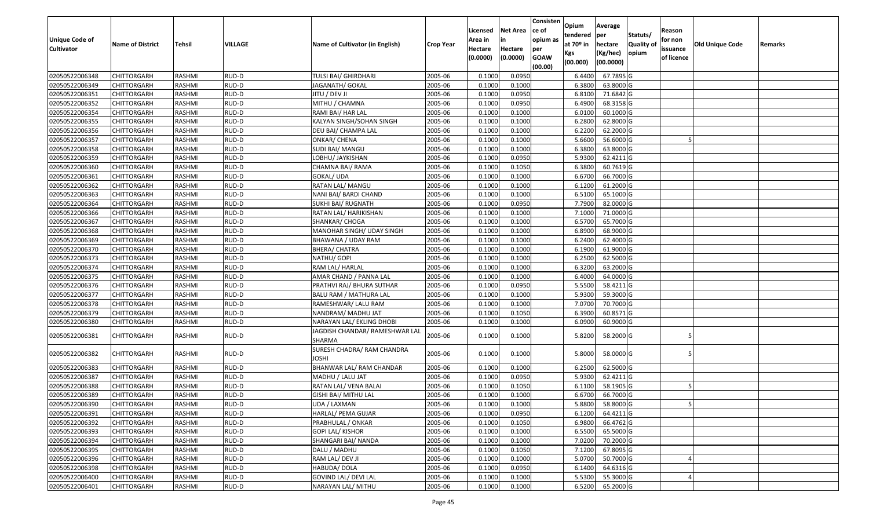| <b>Unique Code of</b><br><b>Cultivator</b> | <b>Name of District</b> | Tehsil        | <b>VILLAGE</b> | Name of Cultivator (in English)          | <b>Crop Year</b> | Licensed<br>Area in<br>Hectare | <b>Net Area</b><br>in<br>Hectare | Consisten<br>ce of<br>opium as<br>per | Opium<br>tendered<br>at $70°$ in | Average<br>per<br>hectare | Statuts/<br>Quality o | Reason<br>for non<br>issuance | Old Unique Code | Remarks |
|--------------------------------------------|-------------------------|---------------|----------------|------------------------------------------|------------------|--------------------------------|----------------------------------|---------------------------------------|----------------------------------|---------------------------|-----------------------|-------------------------------|-----------------|---------|
|                                            |                         |               |                |                                          |                  | (0.0000)                       | (0.0000)                         | <b>GOAW</b><br>(00.00)                | Kgs<br>(00.000)                  | (Kg/hec)<br>(00.0000)     | opium                 | of licence                    |                 |         |
| 02050522006348                             | CHITTORGARH             | RASHMI        | RUD-D          | TULSI BAI/ GHIRDHARI                     | 2005-06          | 0.1000                         | 0.0950                           |                                       | 6.4400                           | 67.7895 G                 |                       |                               |                 |         |
| 02050522006349                             | CHITTORGARH             | RASHMI        | RUD-D          | JAGANATH/ GOKAL                          | 2005-06          | 0.1000                         | 0.1000                           |                                       | 6.3800                           | 63.8000 G                 |                       |                               |                 |         |
| 02050522006351                             | CHITTORGARH             | RASHMI        | RUD-D          | JITU / DEV JI                            | 2005-06          | 0.1000                         | 0.0950                           |                                       | 6.8100                           | 71.6842 G                 |                       |                               |                 |         |
| 02050522006352                             | <b>CHITTORGARH</b>      | RASHMI        | RUD-D          | MITHU / CHAMNA                           | 2005-06          | 0.1000                         | 0.0950                           |                                       | 6.4900                           | 68.3158 G                 |                       |                               |                 |         |
| 02050522006354                             | CHITTORGARH             | RASHMI        | RUD-D          | RAMI BAI/ HAR LAL                        | 2005-06          | 0.1000                         | 0.1000                           |                                       | 6.0100                           | 60.1000 G                 |                       |                               |                 |         |
| 02050522006355                             | CHITTORGARH             | RASHMI        | RUD-D          | KALYAN SINGH/SOHAN SINGH                 | 2005-06          | 0.1000                         | 0.1000                           |                                       | 6.2800                           | 62.8000 G                 |                       |                               |                 |         |
| 02050522006356                             | CHITTORGARH             | RASHMI        | RUD-D          | DEU BAI/ CHAMPA LAL                      | 2005-06          | 0.1000                         | 0.1000                           |                                       | 6.2200                           | 62.2000 G                 |                       |                               |                 |         |
| 02050522006357                             | CHITTORGARH             | <b>RASHMI</b> | RUD-D          | ONKAR/ CHENA                             | 2005-06          | 0.1000                         | 0.1000                           |                                       | 5.6600                           | 56.6000 G                 |                       |                               |                 |         |
| 02050522006358                             | CHITTORGARH             | RASHMI        | RUD-D          | SUDI BAI/ MANGU                          | 2005-06          | 0.1000                         | 0.1000                           |                                       | 6.3800                           | 63.8000 G                 |                       |                               |                 |         |
| 02050522006359                             | CHITTORGARH             | RASHMI        | RUD-D          | LOBHU/ JAYKISHAN                         | 2005-06          | 0.1000                         | 0.0950                           |                                       | 5.9300                           | 62.4211 G                 |                       |                               |                 |         |
| 02050522006360                             | CHITTORGARH             | RASHMI        | RUD-D          | CHAMNA BAI/ RAMA                         | 2005-06          | 0.1000                         | 0.1050                           |                                       | 6.3800                           | 60.7619 G                 |                       |                               |                 |         |
| 02050522006361                             | <b>CHITTORGARH</b>      | RASHMI        | RUD-D          | GOKAL/ UDA                               | 2005-06          | 0.1000                         | 0.1000                           |                                       | 6.6700                           | 66.7000 G                 |                       |                               |                 |         |
| 02050522006362                             | <b>CHITTORGARH</b>      | RASHMI        | RUD-D          | RATAN LAL/ MANGU                         | 2005-06          | 0.1000                         | 0.1000                           |                                       | 6.1200                           | 61.2000 G                 |                       |                               |                 |         |
| 02050522006363                             | <b>CHITTORGARH</b>      | RASHMI        | RUD-D          | NANI BAI/ BARDI CHAND                    | 2005-06          | 0.1000                         | 0.1000                           |                                       | 6.5100                           | 65.1000 G                 |                       |                               |                 |         |
| 02050522006364                             | <b>CHITTORGARH</b>      | RASHMI        | RUD-D          | SUKHI BAI/ RUGNATH                       | 2005-06          | 0.1000                         | 0.0950                           |                                       | 7.7900                           | 82.0000G                  |                       |                               |                 |         |
| 02050522006366                             | <b>CHITTORGARH</b>      | RASHMI        | RUD-D          | RATAN LAL/ HARIKISHAN                    | 2005-06          | 0.1000                         | 0.1000                           |                                       | 7.1000                           | 71.0000G                  |                       |                               |                 |         |
| 02050522006367                             | CHITTORGARH             | RASHMI        | RUD-D          | SHANKAR/ CHOGA                           | 2005-06          | 0.1000                         | 0.1000                           |                                       | 6.5700                           | 65.7000 G                 |                       |                               |                 |         |
| 02050522006368                             | CHITTORGARH             | RASHMI        | RUD-D          | MANOHAR SINGH/ UDAY SINGH                | 2005-06          | 0.1000                         | 0.1000                           |                                       | 6.8900                           | 68.9000G                  |                       |                               |                 |         |
| 02050522006369                             | CHITTORGARH             | RASHMI        | RUD-D          | BHAWANA / UDAY RAM                       | 2005-06          | 0.1000                         | 0.1000                           |                                       | 6.2400                           | 62.4000 G                 |                       |                               |                 |         |
| 02050522006370                             | CHITTORGARH             | RASHMI        | RUD-D          | <b>BHERA/ CHATRA</b>                     | 2005-06          | 0.1000                         | 0.1000                           |                                       | 6.1900                           | 61.9000G                  |                       |                               |                 |         |
| 02050522006373                             | CHITTORGARH             | RASHMI        | RUD-D          | NATHU/ GOPI                              | 2005-06          | 0.1000                         | 0.1000                           |                                       | 6.2500                           | 62.5000G                  |                       |                               |                 |         |
| 02050522006374                             | CHITTORGARH             | RASHMI        | RUD-D          | RAM LAL/ HARLAL                          | 2005-06          | 0.1000                         | 0.1000                           |                                       | 6.3200                           | 63.2000 G                 |                       |                               |                 |         |
| 02050522006375                             | CHITTORGARH             | RASHMI        | RUD-D          | AMAR CHAND / PANNA LAL                   | 2005-06          | 0.1000                         | 0.1000                           |                                       | 6.4000                           | 64.0000G                  |                       |                               |                 |         |
| 02050522006376                             | <b>CHITTORGARH</b>      | RASHMI        | RUD-D          | PRATHVI RAJ/ BHURA SUTHAR                | 2005-06          | 0.1000                         | 0.0950                           |                                       | 5.5500                           | 58.4211G                  |                       |                               |                 |         |
| 02050522006377                             | <b>CHITTORGARH</b>      | RASHMI        | RUD-D          | BALU RAM / MATHURA LAL                   | 2005-06          | 0.1000                         | 0.1000                           |                                       | 5.9300                           | 59.3000G                  |                       |                               |                 |         |
| 02050522006378                             | CHITTORGARH             | RASHMI        | RUD-D          | RAMESHWAR/ LALU RAM                      | 2005-06          | 0.1000                         | 0.1000                           |                                       | 7.0700                           | 70.7000G                  |                       |                               |                 |         |
| 02050522006379                             | CHITTORGARH             | RASHMI        | RUD-D          | NANDRAM/ MADHU JAT                       | 2005-06          | 0.1000                         | 0.1050                           |                                       | 6.3900                           | 60.8571 G                 |                       |                               |                 |         |
| 02050522006380                             | CHITTORGARH             | RASHMI        | RUD-D          | NARAYAN LAL/ EKLING DHOBI                | 2005-06          | 0.1000                         | 0.1000                           |                                       | 6.0900                           | 60.9000 G                 |                       |                               |                 |         |
| 02050522006381                             | CHITTORGARH             | RASHMI        | RUD-D          | JAGDISH CHANDAR/ RAMESHWAR LAL<br>SHARMA | 2005-06          | 0.1000                         | 0.1000                           |                                       | 5.8200                           | 58.2000 G                 |                       |                               |                 |         |
| 02050522006382                             | CHITTORGARH             | RASHMI        | RUD-D          | SURESH CHADRA/ RAM CHANDRA<br>JOSHI      | 2005-06          | 0.1000                         | 0.1000                           |                                       | 5.8000                           | 58.0000 G                 |                       |                               |                 |         |
| 02050522006383                             | CHITTORGARH             | RASHMI        | RUD-D          | BHANWAR LAL/ RAM CHANDAR                 | 2005-06          | 0.1000                         | 0.1000                           |                                       | 6.2500                           | 62.5000 G                 |                       |                               |                 |         |
| 02050522006387                             | <b>CHITTORGARH</b>      | RASHMI        | RUD-D          | MADHU / LALU JAT                         | 2005-06          | 0.1000                         | 0.0950                           |                                       | 5.9300                           | $62.4211$ G               |                       |                               |                 |         |
| 02050522006388                             | CHITTORGARH             | RASHMI        | RUD-D          | RATAN LAL/ VENA BALAI                    | 2005-06          | 0.100                          | 0.1050                           |                                       | 6.1100                           | 58.1905 G                 |                       |                               |                 |         |
| 02050522006389                             | CHITTORGARH             | RASHMI        | RUD-D          | GISHI BAI/ MITHU LAL                     | 2005-06          | 0.1000                         | 0.1000                           |                                       | 6.6700                           | 66.7000 G                 |                       |                               |                 |         |
| 02050522006390                             | <b>CHITTORGARH</b>      | RASHMI        | RUD-D          | UDA / LAXMAN                             | 2005-06          | 0.1000                         | 0.1000                           |                                       | 5.8800                           | 58.8000G                  |                       |                               |                 |         |
| 02050522006391                             | <b>CHITTORGARH</b>      | RASHMI        | RUD-D          | HARLAL/ PEMA GUJAR                       | 2005-06          | 0.1000                         | 0.0950                           |                                       | 6.1200                           | 64.4211 G                 |                       |                               |                 |         |
| 02050522006392                             | <b>CHITTORGARH</b>      | RASHMI        | RUD-D          | PRABHULAL / ONKAR                        | 2005-06          | 0.1000                         | 0.1050                           |                                       | 6.9800                           | 66.4762 G                 |                       |                               |                 |         |
| 02050522006393                             | <b>CHITTORGARH</b>      | RASHMI        | RUD-D          | <b>GOPI LAL/ KISHOR</b>                  | 2005-06          | 0.1000                         | 0.1000                           |                                       | 6.5500                           | 65.5000 G                 |                       |                               |                 |         |
| 02050522006394                             | <b>CHITTORGARH</b>      | RASHMI        | RUD-D          | SHANGARI BAI/ NANDA                      | 2005-06          | 0.1000                         | 0.1000                           |                                       | 7.0200                           | 70.2000 G                 |                       |                               |                 |         |
| 02050522006395                             | <b>CHITTORGARH</b>      | RASHMI        | RUD-D          | DALU / MADHU                             | 2005-06          | 0.1000                         | 0.1050                           |                                       | 7.1200                           | 67.8095 G                 |                       |                               |                 |         |
| 02050522006396                             | <b>CHITTORGARH</b>      | RASHMI        | RUD-D          | RAM LAL/ DEV JI                          | 2005-06          | 0.1000                         | 0.1000                           |                                       | 5.0700                           | 50.7000 G                 |                       |                               |                 |         |
| 02050522006398                             | <b>CHITTORGARH</b>      | RASHMI        | RUD-D          | HABUDA/DOLA                              | 2005-06          | 0.1000                         | 0.0950                           |                                       | 6.1400                           | 64.6316 G                 |                       |                               |                 |         |
| 02050522006400                             | <b>CHITTORGARH</b>      | RASHMI        | RUD-D          | GOVIND LAL/ DEVI LAL                     | 2005-06          | 0.1000                         | 0.1000                           |                                       | 5.5300                           | 55.3000 G                 |                       |                               |                 |         |
| 02050522006401                             | <b>CHITTORGARH</b>      | RASHMI        | RUD-D          | NARAYAN LAL/ MITHU                       | 2005-06          | 0.1000                         | 0.1000                           |                                       | 6.5200                           | 65.2000 G                 |                       |                               |                 |         |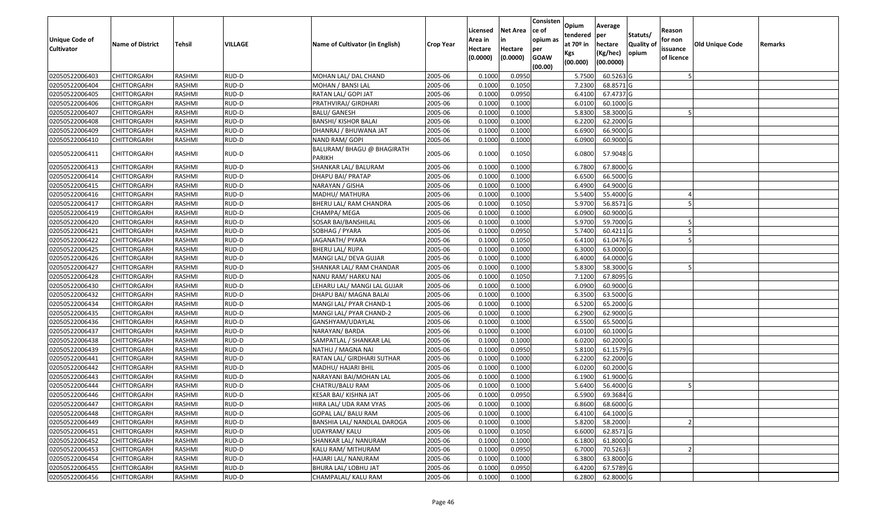| Unique Code of<br><b>Cultivator</b> | <b>Name of District</b> | Tehsil        | VILLAGE | Name of Cultivator (in English)             | Crop Year | Licensed<br>Area in<br>Hectare<br>(0.0000) | Net Area<br>in<br>Hectare<br>(0.0000) | Consisten<br>ce of<br>opium as<br>per<br><b>GOAW</b><br>(00.00) | Opium<br>tendered<br>at 70º in<br>Kgs<br>(00.000) | Average<br>per<br>hectare<br>(Kg/hec)<br>(00.0000) | Statuts/<br><b>Quality of</b><br>opium | Reason<br>for non<br>issuance<br>of licence | <b>Old Unique Code</b> | Remarks |
|-------------------------------------|-------------------------|---------------|---------|---------------------------------------------|-----------|--------------------------------------------|---------------------------------------|-----------------------------------------------------------------|---------------------------------------------------|----------------------------------------------------|----------------------------------------|---------------------------------------------|------------------------|---------|
| 02050522006403                      | <b>CHITTORGARH</b>      | RASHMI        | RUD-D   | MOHAN LAL/ DAL CHAND                        | 2005-06   | 0.1000                                     | 0.0950                                |                                                                 | 5.7500                                            | 60.5263 G                                          |                                        |                                             |                        |         |
| 02050522006404                      | CHITTORGARH             | RASHMI        | RUD-D   | MOHAN / BANSI LAL                           | 2005-06   | 0.1000                                     | 0.1050                                |                                                                 | 7.2300                                            | 68.8571 G                                          |                                        |                                             |                        |         |
| 02050522006405                      | CHITTORGARH             | RASHMI        | RUD-D   | RATAN LAL/ GOPI JAT                         | 2005-06   | 0.1000                                     | 0.0950                                |                                                                 | 6.4100                                            | 67.4737 G                                          |                                        |                                             |                        |         |
| 02050522006406                      | <b>CHITTORGARH</b>      | RASHMI        | RUD-D   | PRATHVIRAJ/ GIRDHARI                        | 2005-06   | 0.1000                                     | 0.1000                                |                                                                 | 6.0100                                            | 60.1000 G                                          |                                        |                                             |                        |         |
| 02050522006407                      | CHITTORGARH             | RASHMI        | RUD-D   | <b>BALU/ GANESH</b>                         | 2005-06   | 0.1000                                     | 0.1000                                |                                                                 | 5.8300                                            | 58.3000 G                                          |                                        |                                             |                        |         |
| 02050522006408                      | <b>CHITTORGARH</b>      | RASHMI        | RUD-D   | <b>BANSHI/ KISHOR BALAI</b>                 | 2005-06   | 0.1000                                     | 0.1000                                |                                                                 | 6.2200                                            | 62.2000 G                                          |                                        |                                             |                        |         |
| 02050522006409                      | CHITTORGARH             | RASHMI        | RUD-D   | DHANRAJ / BHUWANA JAT                       | 2005-06   | 0.1000                                     | 0.1000                                |                                                                 | 6.6900                                            | 66.9000 G                                          |                                        |                                             |                        |         |
| 02050522006410                      | <b>CHITTORGARH</b>      | <b>RASHMI</b> | RUD-D   | NAND RAM/ GOPI                              | 2005-06   | 0.1000                                     | 0.1000                                |                                                                 | 6.0900                                            | 60.9000 G                                          |                                        |                                             |                        |         |
| 02050522006411                      | CHITTORGARH             | RASHMI        | RUD-D   | BALURAM/ BHAGU @ BHAGIRATH<br><b>PARIKH</b> | 2005-06   | 0.1000                                     | 0.1050                                |                                                                 | 6.0800                                            | 57.9048 G                                          |                                        |                                             |                        |         |
| 02050522006413                      | CHITTORGARH             | RASHMI        | RUD-D   | SHANKAR LAL/ BALURAM                        | 2005-06   | 0.1000                                     | 0.1000                                |                                                                 | 6.7800                                            | 67.8000 G                                          |                                        |                                             |                        |         |
| 02050522006414                      | <b>CHITTORGARH</b>      | RASHMI        | RUD-D   | DHAPU BAI/ PRATAP                           | 2005-06   | 0.1000                                     | 0.1000                                |                                                                 | 6.6500                                            | 66.5000 G                                          |                                        |                                             |                        |         |
| 02050522006415                      | <b>CHITTORGARH</b>      | RASHMI        | RUD-D   | NARAYAN / GISHA                             | 2005-06   | 0.1000                                     | 0.1000                                |                                                                 | 6.4900                                            | 64.9000 G                                          |                                        |                                             |                        |         |
| 02050522006416                      | <b>CHITTORGARH</b>      | RASHMI        | RUD-D   | MADHU/ MATHURA                              | 2005-06   | 0.1000                                     | 0.1000                                |                                                                 | 5.5400                                            | 55.4000 G                                          |                                        |                                             |                        |         |
| 02050522006417                      | CHITTORGARH             | RASHMI        | RUD-D   | BHERU LAL/ RAM CHANDRA                      | 2005-06   | 0.1000                                     | 0.1050                                |                                                                 | 5.9700                                            | 56.8571 G                                          |                                        |                                             |                        |         |
| 02050522006419                      | CHITTORGARH             | <b>RASHMI</b> | RUD-D   | CHAMPA/ MEGA                                | 2005-06   | 0.1000                                     | 0.1000                                |                                                                 | 6.0900                                            | 60.9000 G                                          |                                        |                                             |                        |         |
| 02050522006420                      | CHITTORGARH             | RASHMI        | RUD-D   | SOSAR BAI/BANSHILAL                         | 2005-06   | 0.1000                                     | 0.1000                                |                                                                 | 5.9700                                            | 59.7000 G                                          |                                        |                                             |                        |         |
| 02050522006421                      | CHITTORGARH             | RASHMI        | RUD-D   | SOBHAG / PYARA                              | 2005-06   | 0.1000                                     | 0.0950                                |                                                                 | 5.7400                                            | 60.4211 G                                          |                                        |                                             |                        |         |
| 02050522006422                      | CHITTORGARH             | RASHMI        | RUD-D   | JAGANATH/ PYARA                             | 2005-06   | 0.1000                                     | 0.1050                                |                                                                 | 6.4100                                            | 61.0476 G                                          |                                        |                                             |                        |         |
| 02050522006425                      | CHITTORGARH             | RASHMI        | RUD-D   | BHERU LAL/ RUPA                             | 2005-06   | 0.1000                                     | 0.1000                                |                                                                 | 6.3000                                            | 63.0000 G                                          |                                        |                                             |                        |         |
| 02050522006426                      | <b>CHITTORGARH</b>      | RASHMI        | RUD-D   | MANGI LAL/ DEVA GUJAR                       | 2005-06   | 0.1000                                     | 0.1000                                |                                                                 | 6.4000                                            | 64.0000 G                                          |                                        |                                             |                        |         |
| 02050522006427                      | CHITTORGARH             | RASHMI        | RUD-D   | SHANKAR LAL/RAM CHANDAR                     | 2005-06   | 0.1000                                     | 0.1000                                |                                                                 | 5.8300                                            | 58.3000 G                                          |                                        |                                             |                        |         |
| 02050522006428                      | CHITTORGARH             | RASHMI        | RUD-D   | NANU RAM/ HARKU NAI                         | 2005-06   | 0.1000                                     | 0.1050                                |                                                                 | 7.1200                                            | 67.8095 G                                          |                                        |                                             |                        |         |
| 02050522006430                      | CHITTORGARH             | RASHMI        | RUD-D   | LEHARU LAL/ MANGI LAL GUJAR                 | 2005-06   | 0.1000                                     | 0.1000                                |                                                                 | 6.0900                                            | 60.9000 G                                          |                                        |                                             |                        |         |
| 02050522006432                      | <b>CHITTORGARH</b>      | RASHMI        | RUD-D   | DHAPU BAI/ MAGNA BALAI                      | 2005-06   | 0.1000                                     | 0.1000                                |                                                                 | 6.3500                                            | 63.5000 G                                          |                                        |                                             |                        |         |
| 02050522006434                      | CHITTORGARH             | RASHMI        | RUD-D   | MANGI LAL/ PYAR CHAND-1                     | 2005-06   | 0.1000                                     | 0.1000                                |                                                                 | 6.5200                                            | 65.2000 G                                          |                                        |                                             |                        |         |
| 02050522006435                      | CHITTORGARH             | RASHMI        | RUD-D   | MANGI LAL/ PYAR CHAND-2                     | 2005-06   | 0.1000                                     | 0.1000                                |                                                                 | 6.2900                                            | 62.9000 G                                          |                                        |                                             |                        |         |
| 02050522006436                      | CHITTORGARH             | RASHMI        | RUD-D   | GANSHYAM/UDAYLAL                            | 2005-06   | 0.1000                                     | 0.1000                                |                                                                 | 6.5500                                            | 65.5000 G                                          |                                        |                                             |                        |         |
| 02050522006437                      | <b>CHITTORGARH</b>      | <b>RASHMI</b> | RUD-D   | NARAYAN/BARDA                               | 2005-06   | 0.1000                                     | 0.1000                                |                                                                 | 6.0100                                            | 60.1000 G                                          |                                        |                                             |                        |         |
| 02050522006438                      | CHITTORGARH             | RASHMI        | RUD-D   | SAMPATLAL / SHANKAR LAL                     | 2005-06   | 0.1000                                     | 0.1000                                |                                                                 | 6.0200                                            | 60.2000 G                                          |                                        |                                             |                        |         |
| 02050522006439                      | CHITTORGARH             | RASHMI        | RUD-D   | NATHU / MAGNA NAI                           | 2005-06   | 0.1000                                     | 0.0950                                |                                                                 | 5.8100                                            | 61.1579 G                                          |                                        |                                             |                        |         |
| 02050522006441                      | CHITTORGARH             | RASHMI        | RUD-D   | RATAN LAL/ GIRDHARI SUTHAR                  | 2005-06   | 0.1000                                     | 0.1000                                |                                                                 | 6.2200                                            | 62.2000 G                                          |                                        |                                             |                        |         |
| 02050522006442                      | <b>CHITTORGARH</b>      | RASHMI        | RUD-D   | MADHU/ HAJARI BHIL                          | 2005-06   | 0.1000                                     | 0.1000                                |                                                                 | 6.0200                                            | 60.2000 G                                          |                                        |                                             |                        |         |
| 02050522006443                      | <b>CHITTORGARH</b>      | RASHMI        | RUD-D   | NARAYANI BAI/MOHAN LAL                      | 2005-06   | 0.1000                                     | 0.1000                                |                                                                 | 6.1900                                            | 61.9000 G                                          |                                        |                                             |                        |         |
| 02050522006444                      | CHITTORGARH             | RASHMI        | RUD-D   | CHATRU/BALU RAM                             | 2005-06   | 0.1000                                     | 0.1000                                |                                                                 | 5.6400                                            | 56.4000 G                                          |                                        |                                             |                        |         |
| 02050522006446                      | <b>CHITTORGARH</b>      | RASHMI        | RUD-D   | KESAR BAI/ KISHNA JAT                       | 2005-06   | 0.1000                                     | 0.0950                                |                                                                 | 6.5900                                            | 69.3684 G                                          |                                        |                                             |                        |         |
| 02050522006447                      | <b>CHITTORGARH</b>      | RASHMI        | RUD-D   | HIRA LAL/ UDA RAM VYAS                      | 2005-06   | 0.1000                                     | 0.1000                                |                                                                 | 6.8600                                            | 68.6000 G                                          |                                        |                                             |                        |         |
| 02050522006448                      | <b>CHITTORGARH</b>      | RASHMI        | RUD-D   | GOPAL LAL/ BALU RAM                         | 2005-06   | 0.1000                                     | 0.1000                                |                                                                 | 6.4100                                            | 64.1000 G                                          |                                        |                                             |                        |         |
| 02050522006449                      | <b>CHITTORGARH</b>      | RASHMI        | RUD-D   | BANSHIA LAL/ NANDLAL DAROGA                 | 2005-06   | 0.1000                                     | 0.1000                                |                                                                 | 5.8200                                            | 58.2000                                            |                                        |                                             |                        |         |
| 02050522006451                      | <b>CHITTORGARH</b>      | RASHMI        | RUD-D   | UDAYRAM/ KALU                               | 2005-06   | 0.1000                                     | 0.1050                                |                                                                 | 6.6000                                            | 62.8571 G                                          |                                        |                                             |                        |         |
| 02050522006452                      | <b>CHITTORGARH</b>      | RASHMI        | RUD-D   | SHANKAR LAL/ NANURAM                        | 2005-06   | 0.1000                                     | 0.1000                                |                                                                 | 6.1800                                            | 61.8000 G                                          |                                        |                                             |                        |         |
| 02050522006453                      | <b>CHITTORGARH</b>      | RASHMI        | RUD-D   | KALU RAM/ MITHURAM                          | 2005-06   | 0.1000                                     | 0.0950                                |                                                                 | 6.7000                                            | 70.5263                                            |                                        |                                             |                        |         |
| 02050522006454                      | <b>CHITTORGARH</b>      | RASHMI        | RUD-D   | HAJARI LAL/ NANURAM                         | 2005-06   | 0.1000                                     | 0.1000                                |                                                                 | 6.3800                                            | $63.8000$ G                                        |                                        |                                             |                        |         |
| 02050522006455                      | <b>CHITTORGARH</b>      | RASHMI        | RUD-D   | BHURA LAL/ LOBHU JAT                        | 2005-06   | 0.1000                                     | 0.0950                                |                                                                 | 6.4200                                            | 67.5789 G                                          |                                        |                                             |                        |         |
| 02050522006456                      | <b>CHITTORGARH</b>      | RASHMI        | RUD-D   | CHAMPALAL/ KALU RAM                         | 2005-06   | 0.1000                                     | 0.1000                                |                                                                 | 6.2800                                            | 62.8000 G                                          |                                        |                                             |                        |         |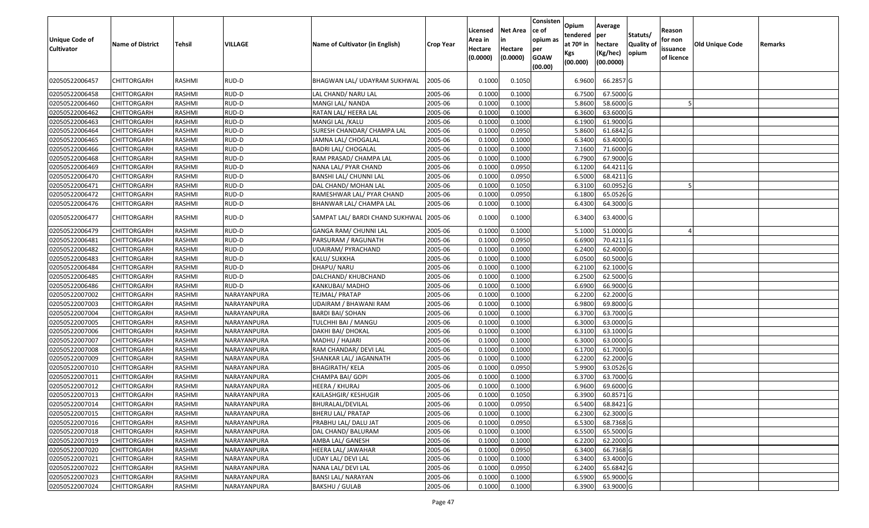| Unique Code of<br><b>Cultivator</b> | <b>Name of District</b> | Tehsil        | VILLAGE     | Name of Cultivator (in English) | <b>Crop Year</b> | Licensed<br>Area in<br>Hectare<br>(0.0000) | <b>Net Area</b><br>in<br>Hectare<br>(0.0000) | Consisten<br>ce of<br>opium as<br>per<br><b>GOAW</b><br>(00.00) | Opium<br>tendered<br>at $70°$ in<br>Kgs<br>(00.000) | Average<br>per<br>hectare<br>(Kg/hec)<br>(00.0000) | Statuts/<br>Quality o<br>opium | Reason<br>for non<br>issuance<br>of licence | Old Unique Code | Remarks |
|-------------------------------------|-------------------------|---------------|-------------|---------------------------------|------------------|--------------------------------------------|----------------------------------------------|-----------------------------------------------------------------|-----------------------------------------------------|----------------------------------------------------|--------------------------------|---------------------------------------------|-----------------|---------|
| 02050522006457                      | CHITTORGARH             | RASHMI        | RUD-D       | BHAGWAN LAL/ UDAYRAM SUKHWAL    | 2005-06          | 0.1000                                     | 0.1050                                       |                                                                 | 6.9600                                              | 66.2857 G                                          |                                |                                             |                 |         |
| 02050522006458                      | CHITTORGARH             | RASHMI        | RUD-D       | LAL CHAND/ NARU LAL             | 2005-06          | 0.1000                                     | 0.1000                                       |                                                                 | 6.7500                                              | 67.5000G                                           |                                |                                             |                 |         |
| 02050522006460                      | CHITTORGARH             | RASHMI        | RUD-D       | MANGI LAL/ NANDA                | 2005-06          | 0.1000                                     | 0.1000                                       |                                                                 | 5.8600                                              | 58.6000 G                                          |                                |                                             |                 |         |
| 02050522006462                      | <b>CHITTORGARH</b>      | RASHMI        | RUD-D       | RATAN LAL/ HEERA LAL            | 2005-06          | 0.1000                                     | 0.1000                                       |                                                                 | 6.3600                                              | 63.6000 G                                          |                                |                                             |                 |         |
| 02050522006463                      | CHITTORGARH             | RASHMI        | RUD-D       | MANGI LAL / KALU                | 2005-06          | 0.1000                                     | 0.1000                                       |                                                                 | 6.1900                                              | 61.9000G                                           |                                |                                             |                 |         |
| 02050522006464                      | CHITTORGARH             | RASHMI        | RUD-D       | SURESH CHANDAR/ CHAMPA LAL      | 2005-06          | 0.1000                                     | 0.0950                                       |                                                                 | 5.8600                                              | 61.6842 G                                          |                                |                                             |                 |         |
| 02050522006465                      | <b>CHITTORGARH</b>      | <b>RASHMI</b> | RUD-D       | JAMNA LAL/ CHOGALAL             | 2005-06          | 0.1000                                     | 0.1000                                       |                                                                 | 6.3400                                              | 63.4000 G                                          |                                |                                             |                 |         |
| 02050522006466                      | <b>CHITTORGARH</b>      | RASHMI        | RUD-D       | <b>BADRI LAL/ CHOGALAL</b>      | 2005-06          | 0.1000                                     | 0.1000                                       |                                                                 | 7.1600                                              | 71.6000 G                                          |                                |                                             |                 |         |
| 02050522006468                      | CHITTORGARH             | RASHMI        | RUD-D       | RAM PRASAD/ CHAMPA LAL          | 2005-06          | 0.1000                                     | 0.1000                                       |                                                                 | 6.7900                                              | 67.9000 G                                          |                                |                                             |                 |         |
| 02050522006469                      | <b>CHITTORGARH</b>      | RASHMI        | RUD-D       | NANA LAL/ PYAR CHAND            | 2005-06          | 0.1000                                     | 0.0950                                       |                                                                 | 6.1200                                              | 64.4211G                                           |                                |                                             |                 |         |
| 02050522006470                      | <b>CHITTORGARH</b>      | RASHMI        | RUD-D       | BANSHI LAL/ CHUNNI LAL          | 2005-06          | 0.1000                                     | 0.0950                                       |                                                                 | 6.5000                                              | 68.4211 G                                          |                                |                                             |                 |         |
| 02050522006471                      | <b>CHITTORGARH</b>      | RASHMI        | RUD-D       | DAL CHAND/ MOHAN LAL            | 2005-06          | 0.1000                                     | 0.1050                                       |                                                                 | 6.3100                                              | 60.0952 G                                          |                                |                                             |                 |         |
| 02050522006472                      | CHITTORGARH             | RASHMI        | RUD-D       | RAMESHWAR LAL/ PYAR CHAND       | 2005-06          | 0.1000                                     | 0.0950                                       |                                                                 | 6.1800                                              | 65.0526 G                                          |                                |                                             |                 |         |
| 02050522006476                      | CHITTORGARH             | RASHMI        | RUD-D       | BHANWAR LAL/ CHAMPA LAL         | 2005-06          | 0.1000                                     | 0.1000                                       |                                                                 | 6.4300                                              | 64.3000 G                                          |                                |                                             |                 |         |
| 02050522006477                      | CHITTORGARH             | RASHMI        | RUD-D       | SAMPAT LAL/ BARDI CHAND SUKHWAL | 2005-06          | 0.1000                                     | 0.1000                                       |                                                                 | 6.3400                                              | 63.4000 G                                          |                                |                                             |                 |         |
| 02050522006479                      | CHITTORGARH             | RASHMI        | RUD-D       | <b>GANGA RAM/ CHUNNI LAL</b>    | 2005-06          | 0.1000                                     | 0.1000                                       |                                                                 | 5.1000                                              | 51.0000G                                           |                                |                                             |                 |         |
| 02050522006481                      | CHITTORGARH             | RASHMI        | RUD-D       | PARSURAM / RAGUNATH             | 2005-06          | 0.1000                                     | 0.0950                                       |                                                                 | 6.6900                                              | 70.4211G                                           |                                |                                             |                 |         |
| 02050522006482                      | CHITTORGARH             | RASHMI        | RUD-D       | UDAIRAM/ PYRACHAND              | 2005-06          | 0.1000                                     | 0.1000                                       |                                                                 | 6.2400                                              | 62.4000 G                                          |                                |                                             |                 |         |
| 02050522006483                      | <b>CHITTORGARH</b>      | RASHMI        | RUD-D       | KALU/ SUKKHA                    | 2005-06          | 0.1000                                     | 0.1000                                       |                                                                 | 6.0500                                              | 60.5000 G                                          |                                |                                             |                 |         |
| 02050522006484                      | CHITTORGARH             | RASHMI        | RUD-D       | DHAPU/ NARU                     | 2005-06          | 0.1000                                     | 0.1000                                       |                                                                 | 6.2100                                              | 62.1000G                                           |                                |                                             |                 |         |
| 02050522006485                      | CHITTORGARH             | RASHMI        | RUD-D       | DALCHAND/ KHUBCHAND             | 2005-06          | 0.1000                                     | 0.1000                                       |                                                                 | 6.2500                                              | 62.5000 G                                          |                                |                                             |                 |         |
| 02050522006486                      | CHITTORGARH             | RASHMI        | RUD-D       | KANKUBAI/ MADHO                 | 2005-06          | 0.1000                                     | 0.1000                                       |                                                                 | 6.6900                                              | 66.9000 G                                          |                                |                                             |                 |         |
| 02050522007002                      | CHITTORGARH             | RASHMI        | NARAYANPURA | TEJMAL/ PRATAP                  | 2005-06          | 0.1000                                     | 0.1000                                       |                                                                 | 6.2200                                              | 62.2000 G                                          |                                |                                             |                 |         |
| 02050522007003                      | CHITTORGARH             | RASHMI        | NARAYANPURA | UDAIRAM / BHAWANI RAM           | 2005-06          | 0.1000                                     | 0.1000                                       |                                                                 | 6.9800                                              | 69.8000 G                                          |                                |                                             |                 |         |
| 02050522007004                      | CHITTORGARH             | RASHMI        | NARAYANPURA | BARDI BAI/ SOHAN                | 2005-06          | 0.1000                                     | 0.1000                                       |                                                                 | 6.3700                                              | 63.7000 G                                          |                                |                                             |                 |         |
| 02050522007005                      | CHITTORGARH             | RASHMI        | NARAYANPURA | TULCHHI BAI / MANGU             | 2005-06          | 0.1000                                     | 0.1000                                       |                                                                 | 6.3000                                              | 63.0000G                                           |                                |                                             |                 |         |
| 02050522007006                      | CHITTORGARH             | <b>RASHMI</b> | NARAYANPURA | DAKHI BAI/ DHOKAL               | 2005-06          | 0.1000                                     | 0.1000                                       |                                                                 | 6.3100                                              | 63.1000G                                           |                                |                                             |                 |         |
| 02050522007007                      | CHITTORGARH             | RASHMI        | NARAYANPURA | MADHU / HAJARI                  | 2005-06          | 0.1000                                     | 0.1000                                       |                                                                 | 6.3000                                              | 63.0000G                                           |                                |                                             |                 |         |
| 02050522007008                      | CHITTORGARH             | RASHMI        | NARAYANPURA | RAM CHANDAR/ DEVI LAL           | 2005-06          | 0.1000                                     | 0.1000                                       |                                                                 | 6.1700                                              | 61.7000 G                                          |                                |                                             |                 |         |
| 02050522007009                      | <b>CHITTORGARH</b>      | RASHMI        | NARAYANPURA | SHANKAR LAL/ JAGANNATH          | 2005-06          | 0.1000                                     | 0.1000                                       |                                                                 | 6.2200                                              | 62.2000G                                           |                                |                                             |                 |         |
| 02050522007010                      | <b>CHITTORGARH</b>      | RASHMI        | NARAYANPURA | <b>BHAGIRATH/ KELA</b>          | 2005-06          | 0.1000                                     | 0.0950                                       |                                                                 | 5.9900                                              | 63.0526 G                                          |                                |                                             |                 |         |
| 02050522007011                      | <b>CHITTORGARH</b>      | RASHMI        | NARAYANPURA | CHAMPA BAI/ GOPI                | 2005-06          | 0.1000                                     | 0.1000                                       |                                                                 | 6.3700                                              | 63.7000 G                                          |                                |                                             |                 |         |
| 02050522007012                      | CHITTORGARH             | RASHMI        | NARAYANPURA | HEERA / KHURAJ                  | 2005-06          | 0.1000                                     | 0.1000                                       |                                                                 | 6.9600                                              | 69.6000 G                                          |                                |                                             |                 |         |
| 02050522007013                      | CHITTORGARH             | RASHMI        | NARAYANPURA | KAILASHGIR/ KESHUGIR            | 2005-06          | 0.1000                                     | 0.1050                                       |                                                                 | 6.3900                                              | 60.8571G                                           |                                |                                             |                 |         |
| 02050522007014                      | <b>CHITTORGARH</b>      | RASHMI        | NARAYANPURA | BHURALAL/DEVILAL                | 2005-06          | 0.1000                                     | 0.0950                                       |                                                                 | 6.5400                                              | 68.8421 G                                          |                                |                                             |                 |         |
| 02050522007015                      | <b>CHITTORGARH</b>      | RASHMI        | NARAYANPURA | <b>BHERU LAL/ PRATAP</b>        | 2005-06          | 0.1000                                     | 0.1000                                       |                                                                 | 6.2300                                              | 62.3000 G                                          |                                |                                             |                 |         |
| 02050522007016                      | <b>CHITTORGARH</b>      | RASHMI        | NARAYANPURA | PRABHU LAL/ DALU JAT            | 2005-06          | 0.1000                                     | 0.0950                                       |                                                                 | 6.5300                                              | 68.7368 G                                          |                                |                                             |                 |         |
| 02050522007018                      | <b>CHITTORGARH</b>      | RASHMI        | NARAYANPURA | DAL CHAND/ BALURAM              | 2005-06          | 0.1000                                     | 0.1000                                       |                                                                 | 6.5500                                              | 65.5000 G                                          |                                |                                             |                 |         |
| 02050522007019                      | <b>CHITTORGARH</b>      | RASHMI        | NARAYANPURA | AMBA LAL/ GANESH                | 2005-06          | 0.1000                                     | 0.1000                                       |                                                                 | 6.2200                                              | 62.2000 G                                          |                                |                                             |                 |         |
| 02050522007020                      | <b>CHITTORGARH</b>      | RASHMI        | NARAYANPURA | HEERA LAL/ JAWAHAR              | 2005-06          | 0.1000                                     | 0.0950                                       |                                                                 | 6.3400                                              | 66.7368 G                                          |                                |                                             |                 |         |
| 02050522007021                      | <b>CHITTORGARH</b>      | RASHMI        | NARAYANPURA | UDAY LAL/ DEVI LAL              | 2005-06          | 0.1000                                     | 0.1000                                       |                                                                 | 6.3400                                              | 63.4000 G                                          |                                |                                             |                 |         |
| 02050522007022                      | <b>CHITTORGARH</b>      | RASHMI        | NARAYANPURA | NANA LAL/ DEVI LAL              | 2005-06          | 0.1000                                     | 0.0950                                       |                                                                 | 6.2400                                              | 65.6842 G                                          |                                |                                             |                 |         |
| 02050522007023                      | <b>CHITTORGARH</b>      | RASHMI        | NARAYANPURA | <b>BANSI LAL/ NARAYAN</b>       | 2005-06          | 0.1000                                     | 0.1000                                       |                                                                 | 6.5900                                              | 65.9000 G                                          |                                |                                             |                 |         |
| 02050522007024                      | <b>CHITTORGARH</b>      | RASHMI        | NARAYANPURA | <b>BAKSHU / GULAB</b>           | 2005-06          | 0.1000                                     | 0.1000                                       |                                                                 | 6.3900                                              | 63.9000 G                                          |                                |                                             |                 |         |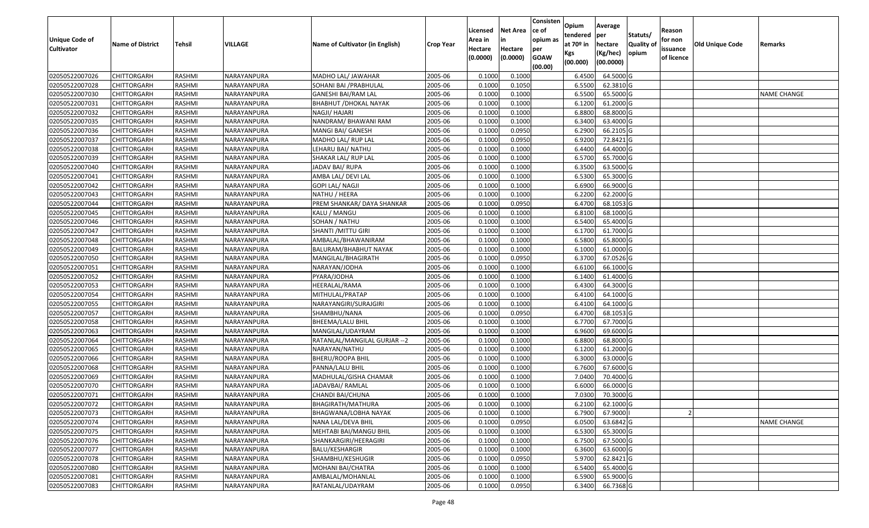| <b>Unique Code of</b><br><b>Cultivator</b> | <b>Name of District</b> | <b>Tehsil</b> | VILLAGE     | Name of Cultivator (in English) | <b>Crop Year</b> | Licensed<br>Area in<br>Hectare<br>(0.0000) | <b>Net Area</b><br>in<br>Hectare<br>(0.0000) | Consisten<br>ce of<br>opium as<br>per<br><b>GOAW</b><br>(00.00) | Opium<br>tendered<br>at $70°$ in<br>Kgs<br>(00.000) | Average<br>per<br>hectare<br>(Kg/hec)<br>(00.0000) | Statuts/<br>Quality of<br>opium | Reason<br>for non<br>issuance<br>of licence | <b>Old Unique Code</b> | Remarks            |
|--------------------------------------------|-------------------------|---------------|-------------|---------------------------------|------------------|--------------------------------------------|----------------------------------------------|-----------------------------------------------------------------|-----------------------------------------------------|----------------------------------------------------|---------------------------------|---------------------------------------------|------------------------|--------------------|
| 02050522007026                             | <b>CHITTORGARH</b>      | RASHMI        | NARAYANPURA | MADHO LAL/ JAWAHAR              | 2005-06          | 0.1000                                     | 0.1000                                       |                                                                 | 6.4500                                              | 64.5000 G                                          |                                 |                                             |                        |                    |
| 02050522007028                             | CHITTORGARH             | RASHMI        | NARAYANPURA | SOHANI BAI /PRABHULAL           | 2005-06          | 0.1000                                     | 0.1050                                       |                                                                 | 6.5500                                              | 62.3810 G                                          |                                 |                                             |                        |                    |
| 02050522007030                             | CHITTORGARH             | RASHMI        | NARAYANPURA | GANESHI BAI/RAM LAL             | 2005-06          | 0.1000                                     | 0.1000                                       |                                                                 | 6.5500                                              | 65.5000G                                           |                                 |                                             |                        | NAME CHANGE        |
| 02050522007031                             | <b>CHITTORGARH</b>      | RASHMI        | NARAYANPURA | BHABHUT / DHOKAL NAYAK          | 2005-06          | 0.1000                                     | 0.1000                                       |                                                                 | 6.1200                                              | 61.2000 G                                          |                                 |                                             |                        |                    |
| 02050522007032                             | <b>CHITTORGARH</b>      | RASHMI        | NARAYANPURA | NAGJI/ HAJARI                   | 2005-06          | 0.1000                                     | 0.1000                                       |                                                                 | 6.8800                                              | 68.8000 G                                          |                                 |                                             |                        |                    |
| 02050522007035                             | <b>CHITTORGARH</b>      | RASHMI        | NARAYANPURA | NANDRAM/ BHAWANI RAM            | 2005-06          | 0.1000                                     | 0.1000                                       |                                                                 | 6.3400                                              | 63.4000 G                                          |                                 |                                             |                        |                    |
| 02050522007036                             | <b>CHITTORGARH</b>      | RASHMI        | NARAYANPURA | MANGI BAI/ GANESH               | 2005-06          | 0.1000                                     | 0.0950                                       |                                                                 | 6.2900                                              | 66.2105 G                                          |                                 |                                             |                        |                    |
| 02050522007037                             | <b>CHITTORGARH</b>      | RASHMI        | NARAYANPURA | MADHO LAL/ RUP LAL              | 2005-06          | 0.1000                                     | 0.0950                                       |                                                                 | 6.9200                                              | 72.8421G                                           |                                 |                                             |                        |                    |
| 02050522007038                             | <b>CHITTORGARH</b>      | RASHMI        | NARAYANPURA | LEHARU BAI/ NATHU               | 2005-06          | 0.1000                                     | 0.1000                                       |                                                                 | 6.4400                                              | 64.4000 G                                          |                                 |                                             |                        |                    |
| 02050522007039                             | CHITTORGARH             | RASHMI        | NARAYANPURA | SHAKAR LAL/ RUP LAL             | 2005-06          | 0.1000                                     | 0.1000                                       |                                                                 | 6.5700                                              | 65.7000 G                                          |                                 |                                             |                        |                    |
| 02050522007040                             | <b>CHITTORGARH</b>      | RASHMI        | NARAYANPURA | JADAV BAI/ RUPA                 | 2005-06          | 0.1000                                     | 0.1000                                       |                                                                 | 6.3500                                              | 63.5000 G                                          |                                 |                                             |                        |                    |
| 02050522007041                             | CHITTORGARH             | RASHMI        | NARAYANPURA | AMBA LAL/ DEVI LAL              | 2005-06          | 0.1000                                     | 0.1000                                       |                                                                 | 6.5300                                              | 65.3000G                                           |                                 |                                             |                        |                    |
| 02050522007042                             | CHITTORGARH             | RASHMI        | NARAYANPURA | <b>GOPI LAL/ NAGJI</b>          | 2005-06          | 0.1000                                     | 0.1000                                       |                                                                 | 6.6900                                              | 66.9000 G                                          |                                 |                                             |                        |                    |
| 02050522007043                             | CHITTORGARH             | RASHMI        | NARAYANPURA | NATHU / HEERA                   | 2005-06          | 0.1000                                     | 0.1000                                       |                                                                 | 6.2200                                              | 62.2000 G                                          |                                 |                                             |                        |                    |
| 02050522007044                             | CHITTORGARH             | RASHMI        | NARAYANPURA | PREM SHANKAR/ DAYA SHANKAR      | 2005-06          | 0.1000                                     | 0.0950                                       |                                                                 | 6.4700                                              | 68.1053 G                                          |                                 |                                             |                        |                    |
| 02050522007045                             | CHITTORGARH             | RASHMI        | NARAYANPURA | KALU / MANGU                    | 2005-06          | 0.1000                                     | 0.1000                                       |                                                                 | 6.8100                                              | 68.1000 G                                          |                                 |                                             |                        |                    |
| 02050522007046                             | CHITTORGARH             | RASHMI        | NARAYANPURA | SOHAN / NATHU                   | 2005-06          | 0.1000                                     | 0.1000                                       |                                                                 | 6.5400                                              | 65.4000 G                                          |                                 |                                             |                        |                    |
| 02050522007047                             | CHITTORGARH             | RASHMI        | NARAYANPURA | SHANTI / MITTU GIRI             | 2005-06          | 0.1000                                     | 0.1000                                       |                                                                 | 6.1700                                              | 61.7000G                                           |                                 |                                             |                        |                    |
| 02050522007048                             | <b>CHITTORGARH</b>      | RASHMI        | NARAYANPURA | AMBALAL/BHAWANIRAM              | 2005-06          | 0.1000                                     | 0.1000                                       |                                                                 | 6.5800                                              | 65.8000 G                                          |                                 |                                             |                        |                    |
| 02050522007049                             | CHITTORGARH             | RASHMI        | NARAYANPURA | BALURAM/BHABHUT NAYAK           | 2005-06          | 0.1000                                     | 0.1000                                       |                                                                 | 6.1000                                              | 61.0000G                                           |                                 |                                             |                        |                    |
| 02050522007050                             | <b>CHITTORGARH</b>      | RASHMI        | NARAYANPURA | MANGILAL/BHAGIRATH              | 2005-06          | 0.1000                                     | 0.0950                                       |                                                                 | 6.3700                                              | 67.0526 G                                          |                                 |                                             |                        |                    |
| 02050522007051                             | CHITTORGARH             | RASHMI        | NARAYANPURA | NARAYAN/JODHA                   | 2005-06          | 0.1000                                     | 0.1000                                       |                                                                 | 6.6100                                              | 66.1000G                                           |                                 |                                             |                        |                    |
| 02050522007052                             | CHITTORGARH             | RASHMI        | NARAYANPURA | PYARA/JODHA                     | 2005-06          | 0.1000                                     | 0.1000                                       |                                                                 | 6.1400                                              | 61.4000 G                                          |                                 |                                             |                        |                    |
| 02050522007053                             | CHITTORGARH             | RASHMI        | NARAYANPURA | HEERALAL/RAMA                   | 2005-06          | 0.1000                                     | 0.1000                                       |                                                                 | 6.4300                                              | 64.3000 G                                          |                                 |                                             |                        |                    |
| 02050522007054                             | CHITTORGARH             | RASHMI        | NARAYANPURA | MITHULAL/PRATAP                 | 2005-06          | 0.1000                                     | 0.1000                                       |                                                                 | 6.4100                                              | 64.1000 G                                          |                                 |                                             |                        |                    |
| 02050522007055                             | CHITTORGARH             | RASHMI        | NARAYANPURA | NARAYANGIRI/SURAJGIRI           | 2005-06          | 0.1000                                     | 0.1000                                       |                                                                 | 6.4100                                              | 64.1000 G                                          |                                 |                                             |                        |                    |
| 02050522007057                             | CHITTORGARH             | RASHMI        | NARAYANPURA | SHAMBHU/NANA                    | 2005-06          | 0.1000                                     | 0.0950                                       |                                                                 | 6.4700                                              | 68.1053 G                                          |                                 |                                             |                        |                    |
| 02050522007058                             | CHITTORGARH             | RASHMI        | NARAYANPURA | BHEEMA/LALU BHIL                | 2005-06          | 0.1000                                     | 0.1000                                       |                                                                 | 6.7700                                              | 67.7000 G                                          |                                 |                                             |                        |                    |
| 02050522007063                             | <b>CHITTORGARH</b>      | RASHMI        | NARAYANPURA | MANGILAL/UDAYRAM                | 2005-06          | 0.1000                                     | 0.1000                                       |                                                                 | 6.9600                                              | 69.6000 G                                          |                                 |                                             |                        |                    |
| 02050522007064                             | <b>CHITTORGARH</b>      | RASHMI        | NARAYANPURA | RATANLAL/MANGILAL GURJAR -- 2   | 2005-06          | 0.1000                                     | 0.1000                                       |                                                                 | 6.8800                                              | 68.8000 G                                          |                                 |                                             |                        |                    |
| 02050522007065                             | <b>CHITTORGARH</b>      | RASHMI        | NARAYANPURA | NARAYAN/NATHU                   | 2005-06          | 0.1000                                     | 0.1000                                       |                                                                 | 6.1200                                              | 61.2000 G                                          |                                 |                                             |                        |                    |
| 02050522007066                             | <b>CHITTORGARH</b>      | RASHMI        | NARAYANPURA | BHERU/ROOPA BHIL                | 2005-06          | 0.1000                                     | 0.1000                                       |                                                                 | 6.3000                                              | 63.0000G                                           |                                 |                                             |                        |                    |
| 02050522007068                             | <b>CHITTORGARH</b>      | RASHMI        | NARAYANPURA | PANNA/LALU BHIL                 | 2005-06          | 0.1000                                     | 0.1000                                       |                                                                 | 6.7600                                              | 67.6000 G                                          |                                 |                                             |                        |                    |
| 02050522007069                             | <b>CHITTORGARH</b>      | RASHMI        | NARAYANPURA | MADHULAL/GISHA CHAMAR           | 2005-06          | 0.1000                                     | 0.1000                                       |                                                                 | 7.0400                                              | 70.4000 G                                          |                                 |                                             |                        |                    |
| 02050522007070                             | CHITTORGARH             | RASHMI        | NARAYANPURA | JADAVBAI/RAMLAL                 | 2005-06          | 0.1000                                     | 0.1000                                       |                                                                 | 6.6000                                              | 66.0000 G                                          |                                 |                                             |                        |                    |
| 02050522007071                             | CHITTORGARH             | RASHMI        | NARAYANPURA | CHANDI BAI/CHUNA                | 2005-06          | 0.1000                                     | 0.1000                                       |                                                                 | 7.0300                                              | 70.3000G                                           |                                 |                                             |                        |                    |
| 02050522007072                             | <b>CHITTORGARH</b>      | RASHMI        | NARAYANPURA | BHAGIRATH/MATHURA               | 2005-06          | 0.1000                                     | 0.1000                                       |                                                                 | 6.2100                                              | 62.1000 G                                          |                                 |                                             |                        |                    |
| 02050522007073                             | <b>CHITTORGARH</b>      | RASHMI        | NARAYANPURA | BHAGWANA/LOBHA NAYAK            | 2005-06          | 0.1000                                     | 0.1000                                       |                                                                 | 6.7900                                              | 67.9000                                            |                                 |                                             |                        |                    |
| 02050522007074                             | <b>CHITTORGARH</b>      | RASHMI        | NARAYANPURA | NANA LAL/DEVA BHIL              | 2005-06          | 0.1000                                     | 0.0950                                       |                                                                 | 6.0500                                              | 63.6842 G                                          |                                 |                                             |                        | <b>NAME CHANGE</b> |
| 02050522007075                             | <b>CHITTORGARH</b>      | RASHMI        | NARAYANPURA | MEHTABI BAI/MANGU BHIL          | 2005-06          | 0.1000                                     | 0.1000                                       |                                                                 | 6.5300                                              | 65.3000 G                                          |                                 |                                             |                        |                    |
| 02050522007076                             | <b>CHITTORGARH</b>      | RASHMI        | NARAYANPURA | SHANKARGIRI/HEERAGIRI           | 2005-06          | 0.1000                                     | 0.1000                                       |                                                                 | 6.7500                                              | 67.5000 G                                          |                                 |                                             |                        |                    |
| 02050522007077                             | <b>CHITTORGARH</b>      | RASHMI        | NARAYANPURA | <b>BALU/KESHARGIR</b>           | 2005-06          | 0.1000                                     | 0.1000                                       |                                                                 | 6.3600                                              | 63.6000 G                                          |                                 |                                             |                        |                    |
| 02050522007078                             | <b>CHITTORGARH</b>      | RASHMI        | NARAYANPURA | SHAMBHU/KESHUGIR                | 2005-06          | 0.1000                                     | 0.0950                                       |                                                                 | 5.9700                                              | 62.8421 G                                          |                                 |                                             |                        |                    |
| 02050522007080                             | <b>CHITTORGARH</b>      | RASHMI        | NARAYANPURA | MOHANI BAI/CHATRA               | 2005-06          | 0.1000                                     | 0.1000                                       |                                                                 | 6.5400                                              | 65.4000 G                                          |                                 |                                             |                        |                    |
| 02050522007081                             | CHITTORGARH             | RASHMI        | NARAYANPURA | AMBALAL/MOHANLAL                | 2005-06          | 0.1000                                     | 0.1000                                       |                                                                 | 6.5900                                              | 65.9000 G                                          |                                 |                                             |                        |                    |
| 02050522007083                             | <b>CHITTORGARH</b>      | RASHMI        | NARAYANPURA | RATANLAL/UDAYRAM                | 2005-06          | 0.1000                                     | 0.0950                                       |                                                                 | 6.3400                                              | 66.7368 G                                          |                                 |                                             |                        |                    |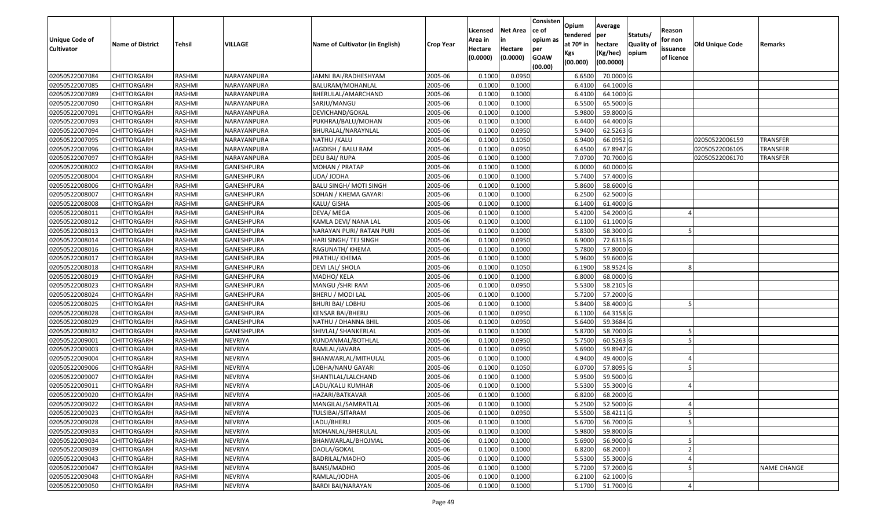| Unique Code of    | <b>Name of District</b> | Tehsil        | VILLAGE           | Name of Cultivator (in English) | <b>Crop Year</b> | Licensed<br>Area in | <b>Net Area</b><br>in | Consisten<br>ce of<br>opium as | Opium<br>tendered<br>at $70°$ in | Average<br>per<br>hectare | Statuts/<br><b>Quality o</b> | Reason<br>for non      | Old Unique Code | Remarks            |
|-------------------|-------------------------|---------------|-------------------|---------------------------------|------------------|---------------------|-----------------------|--------------------------------|----------------------------------|---------------------------|------------------------------|------------------------|-----------------|--------------------|
| <b>Cultivator</b> |                         |               |                   |                                 |                  | Hectare<br>(0.0000) | Hectare<br>(0.0000)   | per<br><b>GOAW</b><br>(00.00)  | Kgs<br>(00.000)                  | (Kg/hec)<br>(00.0000)     | opium                        | issuance<br>of licence |                 |                    |
| 02050522007084    | CHITTORGARH             | RASHMI        | NARAYANPURA       | JAMNI BAI/RADHESHYAM            | 2005-06          | 0.1000              | 0.0950                |                                | 6.6500                           | 70.0000G                  |                              |                        |                 |                    |
| 02050522007085    | CHITTORGARH             | RASHMI        | NARAYANPURA       | BALURAM/MOHANLAL                | 2005-06          | 0.1000              | 0.1000                |                                | 6.4100                           | 64.1000 G                 |                              |                        |                 |                    |
| 02050522007089    | CHITTORGARH             | RASHMI        | NARAYANPURA       | BHERULAL/AMARCHAND              | 2005-06          | 0.1000              | 0.1000                |                                | 6.4100                           | 64.1000 G                 |                              |                        |                 |                    |
| 02050522007090    | <b>CHITTORGARH</b>      | RASHMI        | NARAYANPURA       | SARJU/MANGU                     | 2005-06          | 0.1000              | 0.1000                |                                | 6.5500                           | 65.5000G                  |                              |                        |                 |                    |
| 02050522007091    | CHITTORGARH             | RASHMI        | NARAYANPURA       | DEVICHAND/GOKAL                 | 2005-06          | 0.1000              | 0.1000                |                                | 5.9800                           | 59.8000 G                 |                              |                        |                 |                    |
| 02050522007093    | CHITTORGARH             | RASHMI        | NARAYANPURA       | PUKHRAJ/BALU/MOHAN              | 2005-06          | 0.1000              | 0.1000                |                                | 6.4400                           | 64.4000 G                 |                              |                        |                 |                    |
| 02050522007094    | CHITTORGARH             | RASHMI        | NARAYANPURA       | BHURALAL/NARAYNLAL              | 2005-06          | 0.1000              | 0.0950                |                                | 5.9400                           | 62.5263 G                 |                              |                        |                 |                    |
| 02050522007095    | CHITTORGARH             | <b>RASHMI</b> | NARAYANPURA       | NATHU / KALU                    | 2005-06          | 0.1000              | 0.1050                |                                | 6.9400                           | 66.0952 G                 |                              |                        | 02050522006159  | <b>TRANSFER</b>    |
| 02050522007096    | CHITTORGARH             | RASHMI        | NARAYANPURA       | JAGDISH / BALU RAM              | 2005-06          | 0.1000              | 0.0950                |                                | 6.4500                           | 67.8947 G                 |                              |                        | 02050522006105  | <b>TRANSFER</b>    |
| 02050522007097    | CHITTORGARH             | RASHMI        | NARAYANPURA       | DEU BAI/ RUPA                   | 2005-06          | 0.1000              | 0.1000                |                                | 7.0700                           | 70.7000 G                 |                              |                        | 02050522006170  | <b>TRANSFER</b>    |
| 02050522008002    | CHITTORGARH             | RASHMI        | GANESHPURA        | MOHAN / PRATAP                  | 2005-06          | 0.1000              | 0.1000                |                                | 6.0000                           | 60.0000G                  |                              |                        |                 |                    |
| 02050522008004    | CHITTORGARH             | RASHMI        | GANESHPURA        | UDA/ JODHA                      | 2005-06          | 0.1000              | 0.1000                |                                | 5.7400                           | 57.4000 G                 |                              |                        |                 |                    |
| 02050522008006    | <b>CHITTORGARH</b>      | RASHMI        | GANESHPURA        | <b>BALU SINGH/ MOTI SINGH</b>   | 2005-06          | 0.1000              | 0.1000                |                                | 5.8600                           | 58.6000 G                 |                              |                        |                 |                    |
| 02050522008007    | <b>CHITTORGARH</b>      | RASHMI        | GANESHPURA        | SOHAN / KHEMA GAYARI            | 2005-06          | 0.1000              | 0.1000                |                                | 6.2500                           | 62.5000G                  |                              |                        |                 |                    |
| 02050522008008    | CHITTORGARH             | RASHMI        | GANESHPURA        | KALU/ GISHA                     | 2005-06          | 0.1000              | 0.1000                |                                | 6.1400                           | 61.4000 G                 |                              |                        |                 |                    |
| 02050522008011    | <b>CHITTORGARH</b>      | RASHMI        | GANESHPURA        | DEVA/MEGA                       | 2005-06          | 0.1000              | 0.1000                |                                | 5.4200                           | 54.2000 G                 |                              |                        |                 |                    |
| 02050522008012    | <b>CHITTORGARH</b>      | RASHMI        | GANESHPURA        | KAMLA DEVI/ NANA LAL            | 2005-06          | 0.1000              | 0.1000                |                                | 6.1100                           | 61.1000G                  |                              |                        |                 |                    |
| 02050522008013    | CHITTORGARH             | RASHMI        | GANESHPURA        | NARAYAN PURI/ RATAN PURI        | 2005-06          | 0.1000              | 0.1000                |                                | 5.8300                           | 58.3000 G                 |                              |                        |                 |                    |
| 02050522008014    | CHITTORGARH             | RASHMI        | GANESHPURA        | HARI SINGH/ TEJ SINGH           | 2005-06          | 0.1000              | 0.0950                |                                | 6.9000                           | 72.6316 G                 |                              |                        |                 |                    |
| 02050522008016    | CHITTORGARH             | RASHMI        | GANESHPURA        | RAGUNATH/ KHEMA                 | 2005-06          | 0.1000              | 0.1000                |                                | 5.7800                           | 57.8000 G                 |                              |                        |                 |                    |
| 02050522008017    | CHITTORGARH             | RASHMI        | <b>GANESHPURA</b> | PRATHU/ KHEMA                   | 2005-06          | 0.1000              | 0.1000                |                                | 5.9600                           | 59.6000G                  |                              |                        |                 |                    |
| 02050522008018    | CHITTORGARH             | RASHMI        | GANESHPURA        | DEVI LAL/ SHOLA                 | 2005-06          | 0.1000              | 0.1050                |                                | 6.1900                           | 58.9524 G                 |                              |                        |                 |                    |
| 02050522008019    | CHITTORGARH             | RASHMI        | GANESHPURA        | MADHO/ KELA                     | 2005-06          | 0.1000              | 0.1000                |                                | 6.8000                           | 68.0000G                  |                              |                        |                 |                    |
| 02050522008023    | <b>CHITTORGARH</b>      | RASHMI        | GANESHPURA        | MANGU / SHRI RAM                | 2005-06          | 0.100               | 0.0950                |                                | 5.5300                           | 58.2105 G                 |                              |                        |                 |                    |
| 02050522008024    | <b>CHITTORGARH</b>      | RASHMI        | <b>GANESHPURA</b> | BHERU / MODI LAL                | 2005-06          | 0.1000              | 0.1000                |                                | 5.7200                           | 57.2000 G                 |                              |                        |                 |                    |
| 02050522008025    | CHITTORGARH             | RASHMI        | GANESHPURA        | <b>BHURI BAI/ LOBHU</b>         | 2005-06          | 0.1000              | 0.1000                |                                | 5.8400                           | 58.4000 G                 |                              |                        |                 |                    |
| 02050522008028    | CHITTORGARH             | RASHMI        | GANESHPURA        | KENSAR BAI/BHERU                | 2005-06          | 0.100               | 0.0950                |                                | 6.1100                           | 64.3158 G                 |                              |                        |                 |                    |
| 02050522008029    | CHITTORGARH             | RASHMI        | GANESHPURA        | NATHU / DHANNA BHIL             | 2005-06          | 0.1000              | 0.0950                |                                | 5.6400                           | 59.3684 G                 |                              |                        |                 |                    |
| 02050522008032    | CHITTORGARH             | RASHMI        | GANESHPURA        | SHIVLAL/ SHANKERLAL             | 2005-06          | 0.1000              | 0.1000                |                                | 5.8700                           | 58.7000 G                 |                              |                        |                 |                    |
| 02050522009001    | CHITTORGARH             | RASHMI        | <b>NEVRIYA</b>    | KUNDANMAL/BOTHLAL               | 2005-06          | 0.1000              | 0.0950                |                                | 5.7500                           | $60.5263$ G               |                              |                        |                 |                    |
| 02050522009003    | CHITTORGARH             | RASHMI        | <b>NEVRIYA</b>    | RAMLAL/JAVARA                   | 2005-06          | 0.1000              | 0.0950                |                                | 5.6900                           | 59.8947 G                 |                              |                        |                 |                    |
| 02050522009004    | CHITTORGARH             | RASHMI        | <b>NEVRIYA</b>    | BHANWARLAL/MITHULAL             | 2005-06          | 0.1000              | 0.1000                |                                | 4.9400                           | 49.4000G                  |                              |                        |                 |                    |
| 02050522009006    | CHITTORGARH             | <b>RASHMI</b> | <b>NEVRIYA</b>    | OBHA/NANU GAYARI                | 2005-06          | 0.1000              | 0.1050                |                                | 6.0700                           | 57.8095 G                 |                              |                        |                 |                    |
| 02050522009007    | <b>CHITTORGARH</b>      | RASHMI        | <b>NEVRIYA</b>    | SHANTILAL/LALCHAND              | 2005-06          | 0.1000              | 0.1000                |                                | 5.9500                           | 59.5000 G                 |                              |                        |                 |                    |
| 02050522009011    | CHITTORGARH             | RASHMI        | <b>NEVRIYA</b>    | LADU/KALU KUMHAR                | 2005-06          | 0.1000              | 0.1000                |                                | 5.5300                           | 55.3000G                  |                              |                        |                 |                    |
| 02050522009020    | CHITTORGARH             | RASHMI        | <b>NEVRIYA</b>    | HAZARI/BATKAVAR                 | 2005-06          | 0.1000              | 0.1000                |                                | 6.8200                           | 68.2000 G                 |                              |                        |                 |                    |
| 02050522009022    | <b>CHITTORGARH</b>      | RASHMI        | NEVRIYA           | MANGILAL/SAMRATLAL              | 2005-06          | 0.1000              | 0.1000                |                                |                                  | 5.2500 52.5000 G          |                              |                        |                 |                    |
| 02050522009023    | <b>CHITTORGARH</b>      | RASHMI        | <b>NEVRIYA</b>    | TULSIBAI/SITARAM                | 2005-06          | 0.1000              | 0.0950                |                                | 5.5500                           | 58.4211 G                 |                              | 5                      |                 |                    |
| 02050522009028    | <b>CHITTORGARH</b>      | RASHMI        | <b>NEVRIYA</b>    | LADU/BHERU                      | 2005-06          | 0.1000              | 0.1000                |                                | 5.6700                           | 56.7000 G                 |                              |                        |                 |                    |
| 02050522009033    | <b>CHITTORGARH</b>      | RASHMI        | <b>NEVRIYA</b>    | MOHANLAL/BHERULAL               | 2005-06          | 0.1000              | 0.1000                |                                | 5.9800                           | 59.8000 G                 |                              |                        |                 |                    |
| 02050522009034    | <b>CHITTORGARH</b>      | RASHMI        | <b>NEVRIYA</b>    | BHANWARLAL/BHOJMAL              | 2005-06          | 0.1000              | 0.1000                |                                | 5.6900                           | 56.9000 G                 |                              |                        |                 |                    |
| 02050522009039    | <b>CHITTORGARH</b>      | RASHMI        | <b>NEVRIYA</b>    | DAOLA/GOKAL                     | 2005-06          | 0.1000              | 0.1000                |                                | 6.8200                           | 68.2000                   |                              |                        |                 |                    |
| 02050522009043    | <b>CHITTORGARH</b>      | RASHMI        | <b>NEVRIYA</b>    | <b>BADRILAL/MADHO</b>           | 2005-06          | 0.1000              | 0.1000                |                                | 5.5300                           | 55.3000 G                 |                              |                        |                 |                    |
| 02050522009047    | <b>CHITTORGARH</b>      | RASHMI        | <b>NEVRIYA</b>    | BANSI/MADHO                     | 2005-06          | 0.1000              | 0.1000                |                                | 5.7200                           | 57.2000 G                 |                              |                        |                 | <b>NAME CHANGE</b> |
| 02050522009048    | <b>CHITTORGARH</b>      | RASHMI        | <b>NEVRIYA</b>    | RAMLAL/JODHA                    | 2005-06          | 0.1000              | 0.1000                |                                | 6.2100                           | 62.1000 G                 |                              |                        |                 |                    |
| 02050522009050    | <b>CHITTORGARH</b>      | RASHMI        | <b>NEVRIYA</b>    | BARDI BAI/NARAYAN               | 2005-06          | 0.1000              | 0.1000                |                                | 5.1700                           | 51.7000 G                 |                              |                        |                 |                    |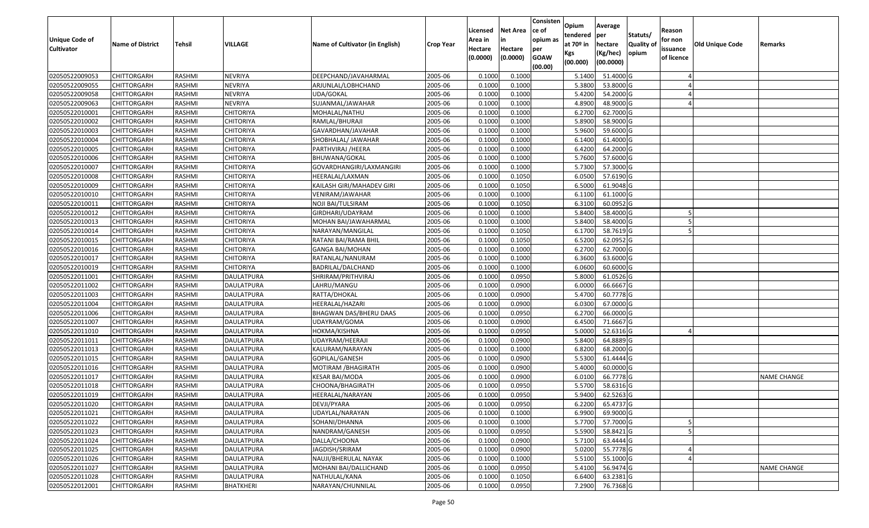| Unique Code of    | <b>Name of District</b> | Tehsil        | VILLAGE           | Name of Cultivator (in English) | <b>Crop Year</b> | Licensed<br>Area in | <b>Net Area</b><br>in | Consisten<br>ce of<br>opium as | Opium<br>tendered<br>at $70°$ in | Average<br>per<br>hectare | Statuts/<br><b>Quality o</b> | Reason<br>for non      | <b>Old Unique Code</b> | Remarks            |
|-------------------|-------------------------|---------------|-------------------|---------------------------------|------------------|---------------------|-----------------------|--------------------------------|----------------------------------|---------------------------|------------------------------|------------------------|------------------------|--------------------|
| <b>Cultivator</b> |                         |               |                   |                                 |                  | Hectare<br>(0.0000) | Hectare<br>(0.0000)   | per<br><b>GOAW</b><br>(00.00)  | Kgs<br>(00.000)                  | (Kg/hec)<br>(00.0000)     | opium                        | issuance<br>of licence |                        |                    |
| 02050522009053    | <b>CHITTORGARH</b>      | RASHMI        | <b>NEVRIYA</b>    | DEEPCHAND/JAVAHARMAL            | 2005-06          | 0.1000              | 0.1000                |                                | 5.1400                           | 51.4000 G                 |                              |                        |                        |                    |
| 02050522009055    | CHITTORGARH             | RASHMI        | <b>NEVRIYA</b>    | ARJUNLAL/LOBHCHAND              | 2005-06          | 0.1000              | 0.1000                |                                | 5.3800                           | 53.8000 G                 |                              |                        |                        |                    |
| 02050522009058    | CHITTORGARH             | RASHMI        | <b>NEVRIYA</b>    | UDA/GOKAL                       | 2005-06          | 0.1000              | 0.1000                |                                | 5.4200                           | 54.2000 G                 |                              |                        |                        |                    |
| 02050522009063    | <b>CHITTORGARH</b>      | RASHMI        | <b>NEVRIYA</b>    | SUJANMAL/JAWAHAR                | 2005-06          | 0.1000              | 0.1000                |                                | 4.8900                           | 48.9000G                  |                              |                        |                        |                    |
| 02050522010001    | CHITTORGARH             | RASHMI        | <b>CHITORIYA</b>  | MOHALAL/NATHU                   | 2005-06          | 0.1000              | 0.1000                |                                | 6.2700                           | 62.7000 G                 |                              |                        |                        |                    |
| 02050522010002    | <b>CHITTORGARH</b>      | RASHMI        | <b>CHITORIYA</b>  | RAMLAL/BHURAJI                  | 2005-06          | 0.1000              | 0.1000                |                                | 5.8900                           | 58.9000 G                 |                              |                        |                        |                    |
| 02050522010003    | CHITTORGARH             | RASHMI        | CHITORIYA         | GAVARDHAN/JAVAHAR               | 2005-06          | 0.1000              | 0.1000                |                                | 5.9600                           | 59.6000 G                 |                              |                        |                        |                    |
| 02050522010004    | <b>CHITTORGARH</b>      | <b>RASHMI</b> | <b>CHITORIYA</b>  | SHOBHALAL/ JAWAHAR              | 2005-06          | 0.1000              | 0.1000                |                                | 6.1400                           | 61.4000 G                 |                              |                        |                        |                    |
| 02050522010005    | CHITTORGARH             | RASHMI        | <b>CHITORIYA</b>  | PARTHVIRAJ /HEERA               | 2005-06          | 0.1000              | 0.1000                |                                | 6.4200                           | 64.2000 G                 |                              |                        |                        |                    |
| 02050522010006    | CHITTORGARH             | RASHMI        | <b>CHITORIYA</b>  | BHUWANA/GOKAL                   | 2005-06          | 0.1000              | 0.1000                |                                | 5.7600                           | 57.6000 G                 |                              |                        |                        |                    |
| 02050522010007    | CHITTORGARH             | RASHMI        | <b>CHITORIYA</b>  | GOVARDHANGIRI/LAXMANGIRI        | 2005-06          | 0.1000              | 0.1000                |                                | 5.7300                           | 57.3000 G                 |                              |                        |                        |                    |
| 02050522010008    | <b>CHITTORGARH</b>      | RASHMI        | <b>CHITORIYA</b>  | HEERALAL/LAXMAN                 | 2005-06          | 0.1000              | 0.1050                |                                | 6.0500                           | 57.6190 G                 |                              |                        |                        |                    |
| 02050522010009    | <b>CHITTORGARH</b>      | RASHMI        | <b>CHITORIYA</b>  | KAILASH GIRI/MAHADEV GIRI       | 2005-06          | 0.1000              | 0.1050                |                                | 6.5000                           | 61.9048 G                 |                              |                        |                        |                    |
| 02050522010010    | <b>CHITTORGARH</b>      | RASHMI        | <b>CHITORIYA</b>  | VENIRAM/JAWAHAR                 | 2005-06          | 0.100               | 0.1000                |                                | 6.1100                           | 61.1000G                  |                              |                        |                        |                    |
| 02050522010011    | <b>CHITTORGARH</b>      | RASHMI        | CHITORIYA         | NOJI BAI/TULSIRAM               | 2005-06          | 0.1000              | 0.1050                |                                | 6.3100                           | 60.0952 G                 |                              |                        |                        |                    |
| 02050522010012    | <b>CHITTORGARH</b>      | RASHMI        | <b>CHITORIYA</b>  | GIRDHARI/UDAYRAM                | 2005-06          | 0.1000              | 0.1000                |                                | 5.8400                           | 58.4000 G                 |                              |                        |                        |                    |
| 02050522010013    | <b>CHITTORGARH</b>      | RASHMI        | <b>CHITORIYA</b>  | MOHAN BAI/JAWAHARMAL            | 2005-06          | 0.1000              | 0.1000                |                                | 5.8400                           | 58.4000G                  |                              |                        |                        |                    |
| 02050522010014    | CHITTORGARH             | RASHMI        | <b>CHITORIYA</b>  | NARAYAN/MANGILAL                | 2005-06          | 0.100               | 0.1050                |                                | 6.1700                           | 58.7619 G                 |                              |                        |                        |                    |
| 02050522010015    | CHITTORGARH             | RASHMI        | CHITORIYA         | RATANI BAI/RAMA BHIL            | 2005-06          | 0.1000              | 0.1050                |                                | 6.5200                           | 62.0952 G                 |                              |                        |                        |                    |
| 02050522010016    | CHITTORGARH             | RASHMI        | CHITORIYA         | GANGA BAI/MOHAN                 | 2005-06          | 0.1000              | 0.1000                |                                | 6.2700                           | 62.7000 G                 |                              |                        |                        |                    |
| 02050522010017    | CHITTORGARH             | RASHMI        | <b>CHITORIYA</b>  | RATANLAL/NANURAM                | 2005-06          | 0.100               | 0.1000                |                                | 6.3600                           | 63.6000G                  |                              |                        |                        |                    |
| 02050522010019    | CHITTORGARH             | RASHMI        | <b>CHITORIYA</b>  | BADRILAL/DALCHAND               | 2005-06          | 0.100               | 0.1000                |                                | 6.0600                           | 60.6000 G                 |                              |                        |                        |                    |
| 02050522011001    | CHITTORGARH             | RASHMI        | <b>DAULATPURA</b> | SHRIRAM/PRITHVIRAJ              | 2005-06          | 0.1000              | 0.0950                |                                | 5.8000                           | 61.0526 G                 |                              |                        |                        |                    |
| 02050522011002    | CHITTORGARH             | RASHMI        | DAULATPURA        | LAHRU/MANGU                     | 2005-06          | 0.100               | 0.0900                |                                | 6.0000                           | 66.6667 G                 |                              |                        |                        |                    |
| 02050522011003    | <b>CHITTORGARH</b>      | RASHMI        | DAULATPURA        | RATTA/DHOKAL                    | 2005-06          | 0.1000              | 0.0900                |                                | 5.4700                           | 60.7778 G                 |                              |                        |                        |                    |
| 02050522011004    | CHITTORGARH             | RASHMI        | <b>DAULATPURA</b> | HEERALAL/HAZARI                 | 2005-06          | 0.1000              | 0.0900                |                                | 6.0300                           | 67.0000G                  |                              |                        |                        |                    |
| 02050522011006    | CHITTORGARH             | RASHMI        | <b>DAULATPURA</b> | BHAGWAN DAS/BHERU DAAS          | 2005-06          | 0.1000              | 0.0950                |                                | 6.2700                           | 66.0000G                  |                              |                        |                        |                    |
| 02050522011007    | CHITTORGARH             | RASHMI        | DAULATPURA        | JDAYRAM/GOMA                    | 2005-06          | 0.1000              | 0.0900                |                                | 6.4500                           | 71.6667 G                 |                              |                        |                        |                    |
| 02050522011010    | CHITTORGARH             | RASHMI        | <b>DAULATPURA</b> | HOKMA/KISHNA                    | 2005-06          | 0.1000              | 0.0950                |                                | 5.0000                           | 52.6316 G                 |                              |                        |                        |                    |
| 02050522011011    | CHITTORGARH             | RASHMI        | <b>DAULATPURA</b> | UDAYRAM/HEERAJI                 | 2005-06          | 0.1000              | 0.0900                |                                | 5.8400                           | 64.8889 G                 |                              |                        |                        |                    |
| 02050522011013    | CHITTORGARH             | RASHMI        | DAULATPURA        | KALURAM/NARAYAN                 | 2005-06          | 0.1000              | 0.1000                |                                | 6.8200                           | 68.2000 G                 |                              |                        |                        |                    |
| 02050522011015    | CHITTORGARH             | RASHMI        | DAULATPURA        | GOPILAL/GANESH                  | 2005-06          | 0.1000              | 0.0900                |                                | 5.5300                           | 61.4444 G                 |                              |                        |                        |                    |
| 02050522011016    | CHITTORGARH             | <b>RASHMI</b> | <b>DAULATPURA</b> | MOTIRAM /BHAGIRATH              | 2005-06          | 0.1000              | 0.0900                |                                | 5.4000                           | 60.0000G                  |                              |                        |                        |                    |
| 02050522011017    | <b>CHITTORGARH</b>      | RASHMI        | DAULATPURA        | <b>KESAR BAI/MODA</b>           | 2005-06          | 0.1000              | 0.0900                |                                | 6.0100                           | 66.7778 G                 |                              |                        |                        | <b>NAME CHANGE</b> |
| 02050522011018    | CHITTORGARH             | RASHMI        | <b>DAULATPURA</b> | CHOONA/BHAGIRATH                | 2005-06          | 0.1000              | 0.0950                |                                | 5.5700                           | 58.6316 G                 |                              |                        |                        |                    |
| 02050522011019    | CHITTORGARH             | RASHMI        | DAULATPURA        | HEERALAL/NARAYAN                | 2005-06          | 0.1000              | 0.0950                |                                | 5.9400                           | 62.5263 G                 |                              |                        |                        |                    |
| 02050522011020    | <b>CHITTORGARH</b>      | RASHMI        | <b>DAULATPURA</b> | DEVJI/PYARA                     | 2005-06          | 0.1000              | 0.0950                |                                | 6.2200                           | 65.4737 G                 |                              |                        |                        |                    |
| 02050522011021    | <b>CHITTORGARH</b>      | RASHMI        | DAULATPURA        | UDAYLAL/NARAYAN                 | 2005-06          | 0.1000              | 0.1000                |                                | 6.9900                           | 69.9000 G                 |                              |                        |                        |                    |
| 02050522011022    | <b>CHITTORGARH</b>      | RASHMI        | <b>DAULATPURA</b> | SOHANI/DHANNA                   | 2005-06          | 0.1000              | 0.1000                |                                | 5.7700                           | 57.7000 G                 |                              |                        |                        |                    |
| 02050522011023    | <b>CHITTORGARH</b>      | RASHMI        | DAULATPURA        | NANDRAM/GANESH                  | 2005-06          | 0.1000              | 0.0950                |                                | 5.5900                           | 58.8421 G                 |                              |                        |                        |                    |
| 02050522011024    | CHITTORGARH             | RASHMI        | DAULATPURA        | DALLA/CHOONA                    | 2005-06          | 0.1000              | 0.0900                |                                | 5.7100                           | 63.4444 G                 |                              |                        |                        |                    |
| 02050522011025    | <b>CHITTORGARH</b>      | RASHMI        | <b>DAULATPURA</b> | JAGDISH/SRIRAM                  | 2005-06          | 0.1000              | 0.0900                |                                | 5.0200                           | 55.7778 G                 |                              |                        |                        |                    |
| 02050522011026    | <b>CHITTORGARH</b>      | RASHMI        | <b>DAULATPURA</b> | NAUJI/BHERULAL NAYAK            | 2005-06          | 0.1000              | 0.1000                |                                | 5.5100                           | 55.1000 G                 |                              |                        |                        |                    |
| 02050522011027    | <b>CHITTORGARH</b>      | RASHMI        | DAULATPURA        | MOHANI BAI/DALLICHAND           | 2005-06          | 0.1000              | 0.0950                |                                | 5.4100                           | 56.9474 G                 |                              |                        |                        | <b>NAME CHANGE</b> |
| 02050522011028    | <b>CHITTORGARH</b>      | RASHMI        | DAULATPURA        | NATHULAL/KANA                   | 2005-06          | 0.1000              | 0.1050                |                                | 6.6400                           | 63.2381 G                 |                              |                        |                        |                    |
| 02050522012001    | <b>CHITTORGARH</b>      | RASHMI        | BHATKHERI         | NARAYAN/CHUNNILAL               | 2005-06          | 0.1000              | 0.0950                |                                | 7.2900                           | 76.7368 G                 |                              |                        |                        |                    |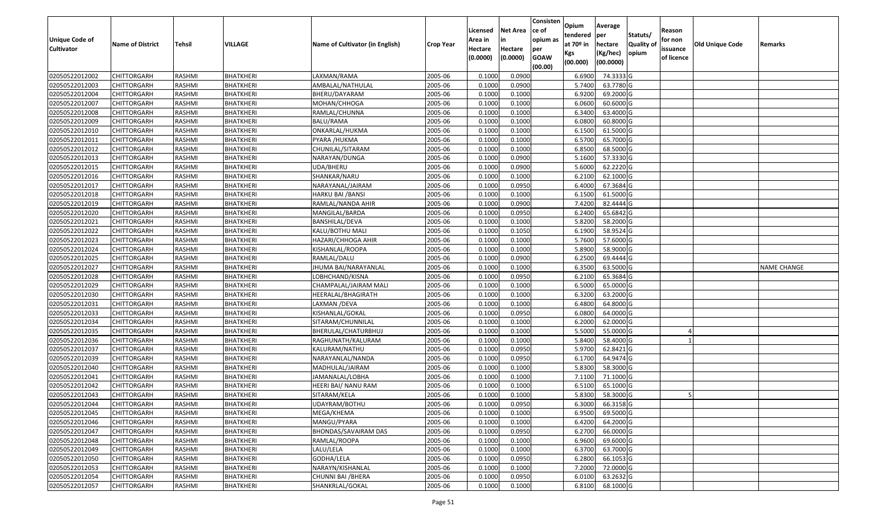| <b>Unique Code of</b> |                         |               |                  |                                 |                  | Licensed<br>Area in | <b>Net Area</b><br>in | Consisten<br>ce of<br>opium as | Opium<br>tendered              | Average<br>per                   | Statuts/                  | Reason<br>for non      |                        |                    |
|-----------------------|-------------------------|---------------|------------------|---------------------------------|------------------|---------------------|-----------------------|--------------------------------|--------------------------------|----------------------------------|---------------------------|------------------------|------------------------|--------------------|
| <b>Cultivator</b>     | <b>Name of District</b> | <b>Tehsil</b> | VILLAGE          | Name of Cultivator (in English) | <b>Crop Year</b> | Hectare<br>(0.0000) | Hectare<br>(0.0000)   | per<br><b>GOAW</b><br>(00.00)  | at $70°$ in<br>Kgs<br>(00.000) | hectare<br>(Kg/hec)<br>(00.0000) | <b>Quality o</b><br>opium | issuance<br>of licence | <b>Old Unique Code</b> | Remarks            |
| 02050522012002        | CHITTORGARH             | RASHMI        | <b>BHATKHERI</b> | LAXMAN/RAMA                     | 2005-06          | 0.1000              | 0.0900                |                                | 6.6900                         | 74.3333 G                        |                           |                        |                        |                    |
| 02050522012003        | CHITTORGARH             | RASHMI        | <b>BHATKHERI</b> | AMBALAL/NATHULAL                | 2005-06          | 0.1000              | 0.0900                |                                | 5.7400                         | 63.7780 G                        |                           |                        |                        |                    |
| 02050522012004        | CHITTORGARH             | RASHMI        | BHATKHERI        | BHERU/DAYARAM                   | 2005-06          | 0.1000              | 0.1000                |                                | 6.9200                         | 69.2000 G                        |                           |                        |                        |                    |
| 02050522012007        | <b>CHITTORGARH</b>      | RASHMI        | <b>BHATKHERI</b> | MOHAN/CHHOGA                    | 2005-06          | 0.1000              | 0.1000                |                                | 6.0600                         | 60.6000 G                        |                           |                        |                        |                    |
| 02050522012008        | CHITTORGARH             | RASHMI        | BHATKHERI        | RAMLAL/CHUNNA                   | 2005-06          | 0.1000              | 0.1000                |                                | 6.3400                         | 63.4000G                         |                           |                        |                        |                    |
| 02050522012009        | <b>CHITTORGARH</b>      | RASHMI        | <b>BHATKHERI</b> | BALU/RAMA                       | 2005-06          | 0.1000              | 0.1000                |                                | 6.0800                         | 60.8000G                         |                           |                        |                        |                    |
| 02050522012010        | CHITTORGARH             | RASHMI        | BHATKHERI        | ONKARLAL/HUKMA                  | 2005-06          | 0.1000              | 0.1000                |                                | 6.1500                         | 61.5000G                         |                           |                        |                        |                    |
| 02050522012011        | <b>CHITTORGARH</b>      | <b>RASHMI</b> | <b>BHATKHERI</b> | PYARA /HUKMA                    | 2005-06          | 0.1000              | 0.1000                |                                | 6.5700                         | 65.7000 G                        |                           |                        |                        |                    |
| 02050522012012        | CHITTORGARH             | RASHMI        | <b>BHATKHERI</b> | CHUNILAL/SITARAM                | 2005-06          | 0.1000              | 0.1000                |                                | 6.8500                         | 68.5000 G                        |                           |                        |                        |                    |
| 02050522012013        | <b>CHITTORGARH</b>      | RASHMI        | <b>BHATKHERI</b> | NARAYAN/DUNGA                   | 2005-06          | 0.1000              | 0.0900                |                                | 5.1600                         | 57.3330 G                        |                           |                        |                        |                    |
| 02050522012015        | CHITTORGARH             | RASHMI        | <b>BHATKHERI</b> | UDA/BHERU                       | 2005-06          | 0.1000              | 0.0900                |                                | 5.6000                         | 62.2220 G                        |                           |                        |                        |                    |
| 02050522012016        | <b>CHITTORGARH</b>      | RASHMI        | <b>BHATKHERI</b> | SHANKAR/NARU                    | 2005-06          | 0.1000              | 0.1000                |                                | 6.2100                         | 62.1000G                         |                           |                        |                        |                    |
| 02050522012017        | <b>CHITTORGARH</b>      | RASHMI        | <b>BHATKHERI</b> | NARAYANAL/JAIRAM                | 2005-06          | 0.1000              | 0.0950                |                                | 6.4000                         | 67.3684 G                        |                           |                        |                        |                    |
| 02050522012018        | <b>CHITTORGARH</b>      | RASHMI        | BHATKHERI        | HARKU BAI /BANSI                | 2005-06          | 0.1000              | 0.1000                |                                | 6.1500                         | 61.5000G                         |                           |                        |                        |                    |
| 02050522012019        | <b>CHITTORGARH</b>      | RASHMI        | BHATKHERI        | RAMLAL/NANDA AHIR               | 2005-06          | 0.1000              | 0.0900                |                                | 7.4200                         | 82.4444 G                        |                           |                        |                        |                    |
| 02050522012020        | <b>CHITTORGARH</b>      | RASHMI        | <b>BHATKHERI</b> | MANGILAL/BARDA                  | 2005-06          | 0.1000              | 0.0950                |                                | 6.2400                         | 65.6842 G                        |                           |                        |                        |                    |
| 02050522012021        | <b>CHITTORGARH</b>      | RASHMI        | <b>BHATKHERI</b> | BANSHILAL/DEVA                  | 2005-06          | 0.1000              | 0.1000                |                                | 5.8200                         | 58.2000 G                        |                           |                        |                        |                    |
| 02050522012022        | CHITTORGARH             | RASHMI        | <b>BHATKHERI</b> | KALU/BOTHU MALI                 | 2005-06          | 0.100               | 0.1050                |                                | 6.1900                         | 58.9524 G                        |                           |                        |                        |                    |
| 02050522012023        | CHITTORGARH             | RASHMI        | BHATKHERI        | HAZARI/CHHOGA AHIR              | 2005-06          | 0.100               | 0.1000                |                                | 5.7600                         | 57.6000 G                        |                           |                        |                        |                    |
| 02050522012024        | CHITTORGARH             | RASHMI        | BHATKHERI        | KISHANLAL/ROOPA                 | 2005-06          | 0.1000              | 0.1000                |                                | 5.8900                         | 58.9000 G                        |                           |                        |                        |                    |
| 02050522012025        | CHITTORGARH             | RASHMI        | <b>BHATKHERI</b> | RAMLAL/DALU                     | 2005-06          | 0.100               | 0.0900                |                                | 6.2500                         | 69.4444G                         |                           |                        |                        |                    |
| 02050522012027        | CHITTORGARH             | RASHMI        | BHATKHERI        | JHUMA BAI/NARAYANLAL            | 2005-06          | 0.100               | 0.1000                |                                | 6.3500                         | 63.5000 G                        |                           |                        |                        | <b>NAME CHANGE</b> |
| 02050522012028        | CHITTORGARH             | RASHMI        | BHATKHERI        | LOBHCHAND/KISNA                 | 2005-06          | 0.1000              | 0.0950                |                                | 6.2100                         | 65.3684 G                        |                           |                        |                        |                    |
| 02050522012029        | <b>CHITTORGARH</b>      | RASHMI        | BHATKHERI        | CHAMPALAL/JAIRAM MALI           | 2005-06          | 0.100               | 0.1000                |                                | 6.5000                         | 65.0000G                         |                           |                        |                        |                    |
| 02050522012030        | <b>CHITTORGARH</b>      | RASHMI        | <b>BHATKHERI</b> | HEERALAL/BHAGIRATH              | 2005-06          | 0.1000              | 0.1000                |                                | 6.3200                         | 63.2000 G                        |                           |                        |                        |                    |
| 02050522012031        | CHITTORGARH             | RASHMI        | BHATKHERI        | LAXMAN /DEVA                    | 2005-06          | 0.1000              | 0.1000                |                                | 6.4800                         | 64.8000 G                        |                           |                        |                        |                    |
| 02050522012033        | CHITTORGARH             | RASHMI        | <b>BHATKHERI</b> | KISHANLAL/GOKAL                 | 2005-06          | 0.1000              | 0.0950                |                                | 6.0800                         | 64.0000G                         |                           |                        |                        |                    |
| 02050522012034        | CHITTORGARH             | RASHMI        | BHATKHERI        | SITARAM/CHUNNILAL               | 2005-06          | 0.1000              | 0.1000                |                                | 6.2000                         | 62.0000G                         |                           |                        |                        |                    |
| 02050522012035        | CHITTORGARH             | RASHMI        | <b>BHATKHERI</b> | BHERULAL/CHATURBHUJ             | 2005-06          | 0.1000              | 0.1000                |                                | 5.5000                         | 55.0000G                         |                           |                        |                        |                    |
| 02050522012036        | CHITTORGARH             | RASHMI        | <b>BHATKHERI</b> | RAGHUNATH/KALURAM               | 2005-06          | 0.1000              | 0.1000                |                                | 5.8400                         | 58.4000 G                        |                           |                        |                        |                    |
| 02050522012037        | CHITTORGARH             | RASHMI        | <b>BHATKHERI</b> | KALURAM/NATHU                   | 2005-06          | 0.1000              | 0.0950                |                                | 5.9700                         | 62.8421G                         |                           |                        |                        |                    |
| 02050522012039        | CHITTORGARH             | RASHMI        | BHATKHERI        | NARAYANLAL/NANDA                | 2005-06          | 0.1000              | 0.0950                |                                | 6.1700                         | 64.9474 G                        |                           |                        |                        |                    |
| 02050522012040        | CHITTORGARH             | <b>RASHMI</b> | <b>BHATKHERI</b> | MADHULAL/JAIRAM                 | 2005-06          | 0.1000              | 0.1000                |                                | 5.8300                         | 58.3000G                         |                           |                        |                        |                    |
| 02050522012041        | <b>CHITTORGARH</b>      | RASHMI        | BHATKHERI        | JAMANALAL/LOBHA                 | 2005-06          | 0.1000              | 0.1000                |                                | 7.1100                         | 71.1000 G                        |                           |                        |                        |                    |
| 02050522012042        | CHITTORGARH             | RASHMI        | <b>BHATKHERI</b> | HEERI BAI/ NANU RAM             | 2005-06          | 0.1000              | 0.1000                |                                | 6.5100                         | 65.1000G                         |                           |                        |                        |                    |
| 02050522012043        | CHITTORGARH             | RASHMI        | <b>BHATKHERI</b> | SITARAM/KELA                    | 2005-06          | 0.1000              | 0.1000                |                                | 5.8300                         | 58.3000 G                        |                           |                        |                        |                    |
| 02050522012044        | <b>CHITTORGARH</b>      | RASHMI        | <b>BHATKHERI</b> | UDAYRAM/BOTHU                   | 2005-06          | 0.1000              | 0.0950                |                                | 6.3000                         | 66.3158 G                        |                           |                        |                        |                    |
| 02050522012045        | <b>CHITTORGARH</b>      | RASHMI        | <b>BHATKHERI</b> | MEGA/KHEMA                      | 2005-06          | 0.1000              | 0.1000                |                                | 6.9500                         | 69.5000 G                        |                           |                        |                        |                    |
| 02050522012046        | <b>CHITTORGARH</b>      | RASHMI        | <b>BHATKHERI</b> | MANGU/PYARA                     | 2005-06          | 0.1000              | 0.1000                |                                | 6.4200                         | 64.2000 G                        |                           |                        |                        |                    |
| 02050522012047        | <b>CHITTORGARH</b>      | RASHMI        | <b>BHATKHERI</b> | BHONDAS/SAVAIRAM DAS            | 2005-06          | 0.1000              | 0.0950                |                                | 6.2700                         | 66.0000 G                        |                           |                        |                        |                    |
| 02050522012048        | CHITTORGARH             | RASHMI        | <b>BHATKHERI</b> | RAMLAL/ROOPA                    | 2005-06          | 0.1000              | 0.1000                |                                | 6.9600                         | 69.6000 G                        |                           |                        |                        |                    |
| 02050522012049        | <b>CHITTORGARH</b>      | RASHMI        | <b>BHATKHERI</b> | LALU/LELA                       | 2005-06          | 0.1000              | 0.1000                |                                | 6.3700                         | 63.7000 G                        |                           |                        |                        |                    |
| 02050522012050        | <b>CHITTORGARH</b>      | RASHMI        | <b>BHATKHERI</b> | GODHA/LELA                      | 2005-06          | 0.1000              | 0.0950                |                                | 6.2800                         | 66.1053 G                        |                           |                        |                        |                    |
| 02050522012053        | <b>CHITTORGARH</b>      | RASHMI        | <b>BHATKHERI</b> | NARAYN/KISHANLAL                | 2005-06          | 0.1000              | 0.1000                |                                | 7.2000                         | 72.0000 G                        |                           |                        |                        |                    |
| 02050522012054        | <b>CHITTORGARH</b>      | RASHMI        | <b>BHATKHERI</b> | CHUNNI BAI / BHERA              | 2005-06          | 0.1000              | 0.0950                |                                | 6.0100                         | 63.2632 G                        |                           |                        |                        |                    |
| 02050522012057        | <b>CHITTORGARH</b>      | RASHMI        | <b>BHATKHERI</b> | SHANKRLAL/GOKAL                 | 2005-06          | 0.1000              | 0.1000                |                                | 6.8100                         | 68.1000 G                        |                           |                        |                        |                    |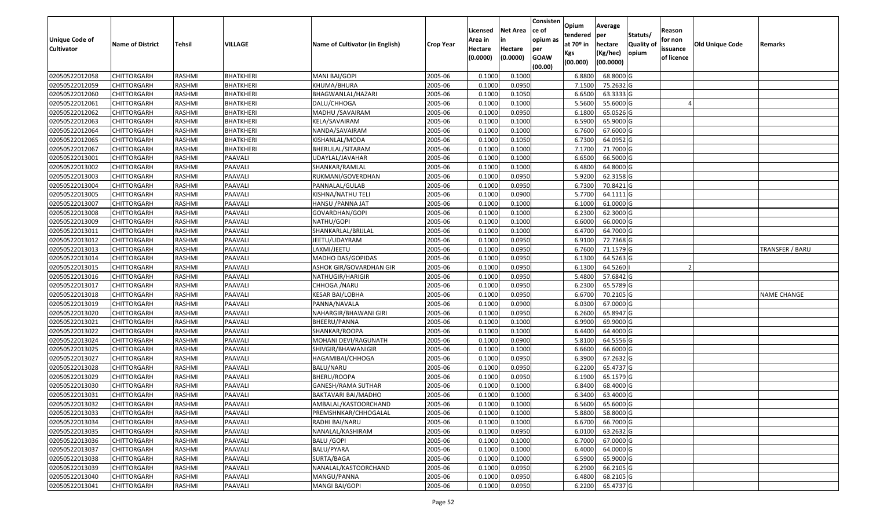| Unique Code of<br><b>Cultivator</b> | <b>Name of District</b> | <b>Tehsil</b> | VILLAGE          | Name of Cultivator (in English) | <b>Crop Year</b> | Licensed<br>Area in<br>Hectare<br>(0.0000) | <b>Net Area</b><br>in<br>Hectare<br>(0.0000) | Consisten<br>ce of<br>opium as<br>per<br><b>GOAW</b> | Opium<br>tendered<br>at $70°$ in<br>Kgs | Average<br>per<br>hectare<br>(Kg/hec) | Statuts/<br><b>Quality o</b><br>opium | Reason<br>for non<br>issuance<br>of licence | Old Unique Code | Remarks            |
|-------------------------------------|-------------------------|---------------|------------------|---------------------------------|------------------|--------------------------------------------|----------------------------------------------|------------------------------------------------------|-----------------------------------------|---------------------------------------|---------------------------------------|---------------------------------------------|-----------------|--------------------|
|                                     |                         |               |                  |                                 |                  |                                            |                                              | (00.00)                                              | (00.000)                                | (00.0000)                             |                                       |                                             |                 |                    |
| 02050522012058                      | CHITTORGARH             | RASHMI        | <b>BHATKHERI</b> | MANI BAI/GOPI                   | 2005-06          | 0.1000                                     | 0.1000                                       |                                                      | 6.8800                                  | 68.8000 G                             |                                       |                                             |                 |                    |
| 02050522012059                      | CHITTORGARH             | RASHMI        | <b>BHATKHERI</b> | KHUMA/BHURA                     | 2005-06          | 0.1000                                     | 0.0950                                       |                                                      | 7.1500                                  | 75.2632 G                             |                                       |                                             |                 |                    |
| 02050522012060                      | CHITTORGARH             | RASHMI        | BHATKHERI        | BHAGWANLAL/HAZARI               | 2005-06          | 0.1000                                     | 0.1050                                       |                                                      | 6.6500                                  | 63.3333 G                             |                                       |                                             |                 |                    |
| 02050522012061                      | <b>CHITTORGARH</b>      | RASHMI        | <b>BHATKHERI</b> | DALU/CHHOGA                     | 2005-06          | 0.1000                                     | 0.1000                                       |                                                      | 5.5600                                  | 55.6000G                              |                                       |                                             |                 |                    |
| 02050522012062                      | CHITTORGARH             | RASHMI        | BHATKHERI        | MADHU / SAVAIRAM                | 2005-06          | 0.1000                                     | 0.0950                                       |                                                      | 6.1800                                  | 65.0526 G                             |                                       |                                             |                 |                    |
| 02050522012063                      | CHITTORGARH             | RASHMI        | <b>BHATKHERI</b> | KELA/SAVAIRAM                   | 2005-06          | 0.1000                                     | 0.1000                                       |                                                      | 6.5900                                  | 65.9000 G                             |                                       |                                             |                 |                    |
| 02050522012064                      | CHITTORGARH             | RASHMI        | BHATKHERI        | NANDA/SAVAIRAM                  | 2005-06          | 0.1000                                     | 0.1000                                       |                                                      | 6.7600                                  | 67.6000 G                             |                                       |                                             |                 |                    |
| 02050522012065                      | CHITTORGARH             | <b>RASHMI</b> | <b>BHATKHERI</b> | KISHANLAL/MODA                  | 2005-06          | 0.1000                                     | 0.1050                                       |                                                      | 6.7300                                  | 64.0952 G                             |                                       |                                             |                 |                    |
| 02050522012067                      | CHITTORGARH             | RASHMI        | <b>BHATKHERI</b> | BHERULAL/SITARAM                | 2005-06          | 0.1000                                     | 0.1000                                       |                                                      | 7.1700                                  | 71.7000G                              |                                       |                                             |                 |                    |
| 02050522013001                      | CHITTORGARH             | RASHMI        | PAAVALI          | UDAYLAL/JAVAHAR                 | 2005-06          | 0.1000                                     | 0.1000                                       |                                                      | 6.6500                                  | 66.5000 G                             |                                       |                                             |                 |                    |
| 02050522013002                      | CHITTORGARH             | RASHMI        | PAAVALI          | SHANKAR/RAMLAL                  | 2005-06          | 0.1000                                     | 0.1000                                       |                                                      | 6.4800                                  | 64.8000 G                             |                                       |                                             |                 |                    |
| 02050522013003                      | <b>CHITTORGARH</b>      | RASHMI        | PAAVALI          | RUKMANI/GOVERDHAN               | 2005-06          | 0.1000                                     | 0.0950                                       |                                                      | 5.9200                                  | 62.3158 G                             |                                       |                                             |                 |                    |
| 02050522013004                      | <b>CHITTORGARH</b>      | RASHMI        | PAAVALI          | PANNALAL/GULAB                  | 2005-06          | 0.1000                                     | 0.0950                                       |                                                      | 6.7300                                  | 70.8421 G                             |                                       |                                             |                 |                    |
| 02050522013005                      | CHITTORGARH             | RASHMI        | PAAVALI          | KISHNA/NATHU TELI               | 2005-06          | 0.1000                                     | 0.0900                                       |                                                      | 5.7700                                  | 64.1111 G                             |                                       |                                             |                 |                    |
| 02050522013007                      | <b>CHITTORGARH</b>      | RASHMI        | PAAVALI          | HANSU / PANNA JAT               | 2005-06          | 0.1000                                     | 0.1000                                       |                                                      | 6.1000                                  | 61.0000G                              |                                       |                                             |                 |                    |
| 02050522013008                      | CHITTORGARH             | RASHMI        | PAAVALI          | GOVARDHAN/GOPI                  | 2005-06          | 0.1000                                     | 0.1000                                       |                                                      | 6.2300                                  | 62.3000 G                             |                                       |                                             |                 |                    |
| 02050522013009                      | CHITTORGARH             | RASHMI        | PAAVALI          | NATHU/GOPI                      | 2005-06          | 0.100                                      | 0.1000                                       |                                                      | 6.6000                                  | 66.0000G                              |                                       |                                             |                 |                    |
| 02050522013011                      | CHITTORGARH             | RASHMI        | PAAVALI          | SHANKARLAL/BRIJLAL              | 2005-06          | 0.100                                      | 0.1000                                       |                                                      | 6.4700                                  | 64.7000 G                             |                                       |                                             |                 |                    |
| 02050522013012                      | CHITTORGARH             | RASHMI        | PAAVALI          | JEETU/UDAYRAM                   | 2005-06          | 0.100                                      | 0.0950                                       |                                                      | 6.9100                                  | 72.7368 G                             |                                       |                                             |                 |                    |
| 02050522013013                      | CHITTORGARH             | RASHMI        | PAAVALI          | LAXMI/JEETU                     | 2005-06          | 0.1000                                     | 0.0950                                       |                                                      | 6.7600                                  | 71.1579 G                             |                                       |                                             |                 | TRANSFER / BARU    |
| 02050522013014                      | CHITTORGARH             | RASHMI        | PAAVALI          | MADHO DAS/GOPIDAS               | 2005-06          | 0.100                                      | 0.0950                                       |                                                      | 6.1300                                  | 64.5263 G                             |                                       |                                             |                 |                    |
| 02050522013015                      | CHITTORGARH             | RASHMI        | PAAVALI          | ASHOK GIR/GOVARDHAN GIR         | 2005-06          | 0.100                                      | 0.0950                                       |                                                      | 6.1300                                  | 64.5260                               |                                       |                                             |                 |                    |
| 02050522013016                      | CHITTORGARH             | RASHMI        | PAAVALI          | NATHUGIR/HARIGIR                | 2005-06          | 0.1000                                     | 0.0950                                       |                                                      | 5.4800                                  | 57.6842 G                             |                                       |                                             |                 |                    |
| 02050522013017                      | <b>CHITTORGARH</b>      | RASHMI        | PAAVALI          | CHHOGA / NARU                   | 2005-06          | 0.100                                      | 0.0950                                       |                                                      | 6.2300                                  | 65.5789 G                             |                                       |                                             |                 |                    |
| 02050522013018                      | <b>CHITTORGARH</b>      | RASHMI        | PAAVALI          | <b>KESAR BAI/LOBHA</b>          | 2005-06          | 0.1000                                     | 0.0950                                       |                                                      | 6.6700                                  | 70.2105 G                             |                                       |                                             |                 | <b>NAME CHANGE</b> |
| 02050522013019                      | CHITTORGARH             | RASHMI        | PAAVALI          | PANNA/NAVALA                    | 2005-06          | 0.1000                                     | 0.0900                                       |                                                      | 6.0300                                  | 67.0000G                              |                                       |                                             |                 |                    |
| 02050522013020                      | CHITTORGARH             | RASHMI        | PAAVALI          | NAHARGIR/BHAWANI GIRI           | 2005-06          | 0.1000                                     | 0.0950                                       |                                                      | 6.2600                                  | 65.8947 G                             |                                       |                                             |                 |                    |
| 02050522013021                      | CHITTORGARH             | RASHMI        | PAAVALI          | BHEERU/PANNA                    | 2005-06          | 0.1000                                     | 0.1000                                       |                                                      | 6.9900                                  | 69.9000 G                             |                                       |                                             |                 |                    |
| 02050522013022                      | CHITTORGARH             | RASHMI        | PAAVALI          | SHANKAR/ROOPA                   | 2005-06          | 0.1000                                     | 0.1000                                       |                                                      | 6.4400                                  | 64.4000 G                             |                                       |                                             |                 |                    |
| 02050522013024                      | CHITTORGARH             | RASHMI        | PAAVALI          | MOHANI DEVI/RAGUNATH            | 2005-06          | 0.1000                                     | 0.0900                                       |                                                      | 5.8100                                  | 64.5556 G                             |                                       |                                             |                 |                    |
| 02050522013025                      | CHITTORGARH             | RASHMI        | PAAVALI          | SHIVGIR/BHAWANIGIR              | 2005-06          | 0.100                                      | 0.1000                                       |                                                      | 6.6600                                  | 66.6000 G                             |                                       |                                             |                 |                    |
| 02050522013027                      | CHITTORGARH             | RASHMI        | PAAVALI          | HAGAMIBAI/CHHOGA                | 2005-06          | 0.1000                                     | 0.0950                                       |                                                      | 6.3900                                  | 67.2632 G                             |                                       |                                             |                 |                    |
| 02050522013028                      | CHITTORGARH             | <b>RASHMI</b> | PAAVALI          | BALU/NARU                       | 2005-06          | 0.1000                                     | 0.0950                                       |                                                      | 6.2200                                  | 65.4737 G                             |                                       |                                             |                 |                    |
| 02050522013029                      | <b>CHITTORGARH</b>      | RASHMI        | PAAVALI          | BHERU/ROOPA                     | 2005-06          | 0.1000                                     | 0.0950                                       |                                                      | 6.1900                                  | 65.1579 G                             |                                       |                                             |                 |                    |
| 02050522013030                      | CHITTORGARH             | RASHMI        | PAAVALI          | GANESH/RAMA SUTHAR              | 2005-06          | 0.1000                                     | 0.1000                                       |                                                      | 6.8400                                  | 68.4000 G                             |                                       |                                             |                 |                    |
| 02050522013031                      | CHITTORGARH             | RASHMI        | PAAVALI          | BAKTAVARI BAI/MADHO             | 2005-06          | 0.1000                                     | 0.1000                                       |                                                      | 6.3400                                  | 63.4000 G                             |                                       |                                             |                 |                    |
| 02050522013032                      | <b>CHITTORGARH</b>      | RASHMI        | PAAVALI          | AMBALAL/KASTOORCHAND            | 2005-06          | 0.1000                                     | 0.1000                                       |                                                      | 6.5600                                  | 65.6000G                              |                                       |                                             |                 |                    |
| 02050522013033                      | <b>CHITTORGARH</b>      | RASHMI        | PAAVALI          | PREMSHNKAR/CHHOGALAL            | 2005-06          | 0.1000                                     | 0.1000                                       |                                                      | 5.8800                                  | 58.8000 G                             |                                       |                                             |                 |                    |
| 02050522013034                      | <b>CHITTORGARH</b>      | RASHMI        | PAAVALI          | RADHI BAI/NARU                  | 2005-06          | 0.1000                                     | 0.1000                                       |                                                      | 6.6700                                  | 66.7000 G                             |                                       |                                             |                 |                    |
| 02050522013035                      | <b>CHITTORGARH</b>      | RASHMI        | PAAVALI          | NANALAL/KASHIRAM                | 2005-06          | 0.1000                                     | 0.0950                                       |                                                      | 6.0100                                  | 63.2632 G                             |                                       |                                             |                 |                    |
| 02050522013036                      | <b>CHITTORGARH</b>      | RASHMI        | PAAVALI          | <b>BALU /GOPI</b>               | 2005-06          | 0.1000                                     | 0.1000                                       |                                                      | 6.7000                                  | 67.0000 G                             |                                       |                                             |                 |                    |
| 02050522013037                      | <b>CHITTORGARH</b>      | RASHMI        | PAAVALI          | BALU/PYARA                      | 2005-06          | 0.1000                                     | 0.1000                                       |                                                      | 6.4000                                  | 64.0000 G                             |                                       |                                             |                 |                    |
| 02050522013038                      | <b>CHITTORGARH</b>      | RASHMI        | PAAVALI          | SURTA/BAGA                      | 2005-06          | 0.1000                                     | 0.1000                                       |                                                      | 6.5900                                  | 65.9000 G                             |                                       |                                             |                 |                    |
| 02050522013039                      | <b>CHITTORGARH</b>      | RASHMI        | PAAVALI          | NANALAL/KASTOORCHAND            | 2005-06          | 0.1000                                     | 0.0950                                       |                                                      | 6.2900                                  | 66.2105 G                             |                                       |                                             |                 |                    |
| 02050522013040                      | <b>CHITTORGARH</b>      | RASHMI        | PAAVALI          | MANGU/PANNA                     | 2005-06          | 0.1000                                     | 0.0950                                       |                                                      | 6.4800                                  | 68.2105 G                             |                                       |                                             |                 |                    |
| 02050522013041                      | <b>CHITTORGARH</b>      | RASHMI        | PAAVALI          | MANGI BAI/GOPI                  | 2005-06          | 0.1000                                     | 0.0950                                       |                                                      | 6.2200                                  | 65.4737 G                             |                                       |                                             |                 |                    |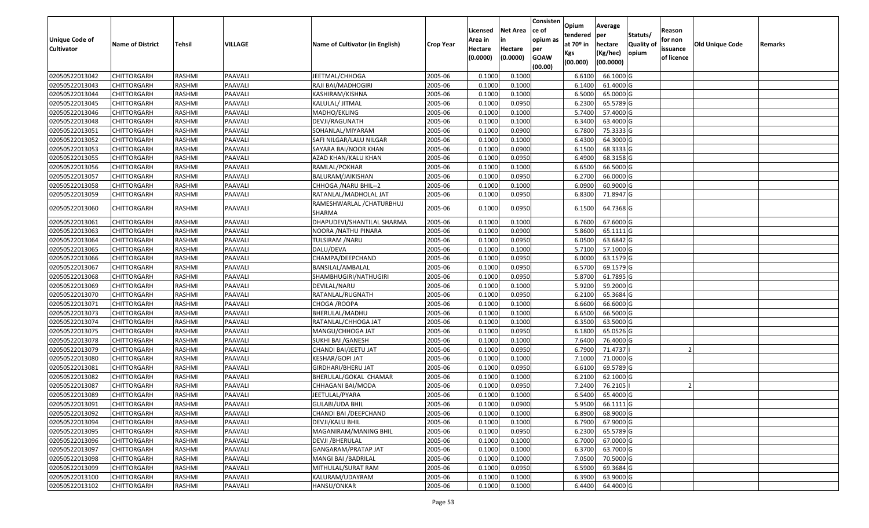| Unique Code of<br><b>Cultivator</b> | <b>Name of District</b> | <b>Tehsil</b> | VILLAGE | Name of Cultivator (in English)    | <b>Crop Year</b> | Licensed<br>Area in<br>Hectare<br>(0.0000) | <b>Net Area</b><br>in<br>Hectare<br>(0.0000) | Consisten<br>ce of<br>opium as<br>per<br><b>GOAW</b><br>(00.00) | Opium<br>tendered<br>at $70°$ in<br>Kgs<br>(00.000) | Average<br>per<br>hectare<br>(Kg/hec)<br>(00.0000) | Statuts/<br>Quality of<br>opium | Reason<br>for non<br>issuance<br>of licence | <b>Old Unique Code</b> | Remarks |
|-------------------------------------|-------------------------|---------------|---------|------------------------------------|------------------|--------------------------------------------|----------------------------------------------|-----------------------------------------------------------------|-----------------------------------------------------|----------------------------------------------------|---------------------------------|---------------------------------------------|------------------------|---------|
| 02050522013042                      | CHITTORGARH             | RASHMI        | PAAVALI | JEETMAL/CHHOGA                     | 2005-06          | 0.100                                      | 0.1000                                       |                                                                 | 6.6100                                              | 66.1000 G                                          |                                 |                                             |                        |         |
| 02050522013043                      | CHITTORGARH             | RASHMI        | PAAVALI | RAJI BAI/MADHOGIRI                 | 2005-06          | 0.1000                                     | 0.1000                                       |                                                                 | 6.1400                                              | 61.4000 G                                          |                                 |                                             |                        |         |
| 02050522013044                      | <b>CHITTORGARH</b>      | RASHMI        | PAAVALI | KASHIRAM/KISHNA                    | 2005-06          | 0.1000                                     | 0.1000                                       |                                                                 | 6.5000                                              | 65.0000G                                           |                                 |                                             |                        |         |
| 02050522013045                      | CHITTORGARH             | RASHMI        | PAAVALI | KALULAL/ JITMAL                    | 2005-06          | 0.1000                                     | 0.0950                                       |                                                                 | 6.2300                                              | 65.5789 G                                          |                                 |                                             |                        |         |
| 02050522013046                      | CHITTORGARH             | RASHMI        | PAAVALI | MADHO/EKLING                       | 2005-06          | 0.1000                                     | 0.1000                                       |                                                                 | 5.7400                                              | 57.4000G                                           |                                 |                                             |                        |         |
| 02050522013048                      | CHITTORGARH             | RASHMI        | PAAVALI | DEVJI/RAGUNATH                     | 2005-06          | 0.1000                                     | 0.1000                                       |                                                                 | 6.3400                                              | 63.4000G                                           |                                 |                                             |                        |         |
| 02050522013051                      | CHITTORGARH             | RASHMI        | PAAVALI | SOHANLAL/MIYARAM                   | 2005-06          | 0.1000                                     | 0.0900                                       |                                                                 | 6.7800                                              | 75.3333 G                                          |                                 |                                             |                        |         |
| 02050522013052                      | CHITTORGARH             | RASHMI        | PAAVALI | SAFI NILGAR/LALU NILGAR            | 2005-06          | 0.1000                                     | 0.1000                                       |                                                                 | 6.4300                                              | 64.3000 G                                          |                                 |                                             |                        |         |
| 02050522013053                      | CHITTORGARH             | RASHMI        | PAAVALI | SAYARA BAI/NOOR KHAN               | 2005-06          | 0.1000                                     | 0.0900                                       |                                                                 | 6.1500                                              | 68.3333 G                                          |                                 |                                             |                        |         |
| 02050522013055                      | CHITTORGARH             | RASHMI        | PAAVALI | AZAD KHAN/KALU KHAN                | 2005-06          | 0.1000                                     | 0.0950                                       |                                                                 | 6.4900                                              | 68.3158 G                                          |                                 |                                             |                        |         |
| 02050522013056                      | CHITTORGARH             | RASHMI        | PAAVALI | RAMLAL/POKHAR                      | 2005-06          | 0.1000                                     | 0.1000                                       |                                                                 | 6.6500                                              | 66.5000G                                           |                                 |                                             |                        |         |
| 02050522013057                      | <b>CHITTORGARH</b>      | RASHMI        | PAAVALI | BALURAM/JAIKISHAN                  | 2005-06          | 0.1000                                     | 0.0950                                       |                                                                 | 6.2700                                              | 66.0000G                                           |                                 |                                             |                        |         |
| 02050522013058                      | CHITTORGARH             | RASHMI        | PAAVALI | CHHOGA / NARU BHIL--2              | 2005-06          | 0.1000                                     | 0.1000                                       |                                                                 | 6.0900                                              | 60.9000 G                                          |                                 |                                             |                        |         |
| 02050522013059                      | CHITTORGARH             | RASHMI        | PAAVALI | RATANLAL/MADHOLAL JAT              | 2005-06          | 0.1000                                     | 0.0950                                       |                                                                 | 6.8300                                              | 71.8947 G                                          |                                 |                                             |                        |         |
| 02050522013060                      | CHITTORGARH             | RASHMI        | PAAVALI | RAMESHWARLAL /CHATURBHUJ<br>SHARMA | 2005-06          | 0.1000                                     | 0.0950                                       |                                                                 | 6.1500                                              | 64.7368 G                                          |                                 |                                             |                        |         |
| 02050522013061                      | <b>CHITTORGARH</b>      | RASHMI        | PAAVALI | DHAPUDEVI/SHANTILAL SHARMA         | 2005-06          | 0.1000                                     | 0.1000                                       |                                                                 | 6.7600                                              | 67.6000 G                                          |                                 |                                             |                        |         |
| 02050522013063                      | <b>CHITTORGARH</b>      | RASHMI        | PAAVALI | NOORA / NATHU PINARA               | 2005-06          | 0.1000                                     | 0.0900                                       |                                                                 | 5.8600                                              | $65.1111$ G                                        |                                 |                                             |                        |         |
| 02050522013064                      | <b>CHITTORGARH</b>      | RASHMI        | PAAVALI | TULSIRAM / NARU                    | 2005-06          | 0.1000                                     | 0.0950                                       |                                                                 | 6.0500                                              | 63.6842 G                                          |                                 |                                             |                        |         |
| 02050522013065                      | <b>CHITTORGARH</b>      | RASHMI        | PAAVALI | DALU/DEVA                          | 2005-06          | 0.1000                                     | 0.1000                                       |                                                                 | 5.7100                                              | 57.1000 G                                          |                                 |                                             |                        |         |
| 02050522013066                      | <b>CHITTORGARH</b>      | RASHMI        | PAAVALI | CHAMPA/DEEPCHAND                   | 2005-06          | 0.1000                                     | 0.0950                                       |                                                                 | 6.0000                                              | 63.1579 G                                          |                                 |                                             |                        |         |
| 02050522013067                      | CHITTORGARH             | RASHMI        | PAAVALI | BANSILAL/AMBALAL                   | 2005-06          | 0.1000                                     | 0.0950                                       |                                                                 | 6.5700                                              | 69.1579 G                                          |                                 |                                             |                        |         |
| 02050522013068                      | CHITTORGARH             | RASHMI        | PAAVALI | SHAMBHUGIRI/NATHUGIRI              | 2005-06          | 0.1000                                     | 0.0950                                       |                                                                 | 5.8700                                              | 61.7895 G                                          |                                 |                                             |                        |         |
| 02050522013069                      | CHITTORGARH             | RASHMI        | PAAVALI | DEVILAL/NARU                       | 2005-06          | 0.100                                      | 0.1000                                       |                                                                 | 5.9200                                              | 59.2000 G                                          |                                 |                                             |                        |         |
| 02050522013070                      | CHITTORGARH             | RASHMI        | PAAVALI | RATANLAL/RUGNATH                   | 2005-06          | 0.100                                      | 0.0950                                       |                                                                 | 6.2100                                              | 65.3684 G                                          |                                 |                                             |                        |         |
| 02050522013071                      | CHITTORGARH             | RASHMI        | PAAVALI | CHOGA /ROOPA                       | 2005-06          | 0.1000                                     | 0.1000                                       |                                                                 | 6.6600                                              | 66.6000 G                                          |                                 |                                             |                        |         |
| 02050522013073                      | CHITTORGARH             | RASHMI        | PAAVALI | BHERULAL/MADHU                     | 2005-06          | 0.1000                                     | 0.1000                                       |                                                                 | 6.6500                                              | 66.5000G                                           |                                 |                                             |                        |         |
| 02050522013074                      | CHITTORGARH             | RASHMI        | PAAVALI | RATANLAL/CHHOGA JAT                | 2005-06          | 0.1000                                     | 0.1000                                       |                                                                 | 6.3500                                              | 63.5000G                                           |                                 |                                             |                        |         |
| 02050522013075                      | CHITTORGARH             | RASHMI        | PAAVALI | MANGU/CHHOGA JAT                   | 2005-06          | 0.1000                                     | 0.0950                                       |                                                                 | 6.1800                                              | 65.0526 G                                          |                                 |                                             |                        |         |
| 02050522013078                      | CHITTORGARH             | RASHMI        | PAAVALI | SUKHI BAI / GANESH                 | 2005-06          | 0.1000                                     | 0.1000                                       |                                                                 | 7.6400                                              | 76.4000G                                           |                                 |                                             |                        |         |
| 02050522013079                      | <b>CHITTORGARH</b>      | RASHMI        | PAAVALI | CHANDI BAI/JEETU JAT               | 2005-06          | 0.1000                                     | 0.0950                                       |                                                                 | 6.7900                                              | 71.4737                                            |                                 |                                             |                        |         |
| 02050522013080                      | CHITTORGARH             | RASHMI        | PAAVALI | KESHAR/GOPI JAT                    | 2005-06          | 0.1000                                     | 0.1000                                       |                                                                 | 7.1000                                              | 71.0000 G                                          |                                 |                                             |                        |         |
| 02050522013081                      | CHITTORGARH             | RASHMI        | PAAVALI | GIRDHARI/BHERU JAT                 | 2005-06          | 0.1000                                     | 0.0950                                       |                                                                 | 6.6100                                              | 69.5789 G                                          |                                 |                                             |                        |         |
| 02050522013082                      | CHITTORGARH             | RASHMI        | PAAVALI | BHERULAL/GOKAL CHAMAR              | 2005-06          | 0.1000                                     | 0.1000                                       |                                                                 | 6.2100                                              | 62.1000G                                           |                                 |                                             |                        |         |
| 02050522013087                      | CHITTORGARH             | RASHMI        | PAAVALI | CHHAGANI BAI/MODA                  | 2005-06          | 0.1000                                     | 0.0950                                       |                                                                 | 7.2400                                              | 76.2105                                            |                                 |                                             |                        |         |
| 02050522013089                      | CHITTORGARH             | RASHMI        | PAAVALI | JEETULAL/PYARA                     | 2005-06          | 0.1000                                     | 0.1000                                       |                                                                 | 6.5400                                              | 65.4000 G                                          |                                 |                                             |                        |         |
| 02050522013091                      | <b>CHITTORGARH</b>      | RASHMI        | PAAVALI | <b>GULABI/UDA BHIL</b>             | 2005-06          | 0.1000                                     | 0.0900                                       |                                                                 | 5.9500                                              | 66.1111 G                                          |                                 |                                             |                        |         |
| 02050522013092                      | <b>CHITTORGARH</b>      | RASHMI        | PAAVALI | CHANDI BAI / DEEPCHAND             | 2005-06          | 0.1000                                     | 0.1000                                       |                                                                 | 6.8900                                              | 68.9000 G                                          |                                 |                                             |                        |         |
| 02050522013094                      | <b>CHITTORGARH</b>      | RASHMI        | PAAVALI | DEVJI/KALU BHIL                    | 2005-06          | 0.1000                                     | 0.1000                                       |                                                                 | 6.7900                                              | 67.9000 G                                          |                                 |                                             |                        |         |
| 02050522013095                      | <b>CHITTORGARH</b>      | RASHMI        | PAAVALI | MAGANIRAM/MANING BHIL              | 2005-06          | 0.1000                                     | 0.0950                                       |                                                                 | 6.2300                                              | 65.5789 G                                          |                                 |                                             |                        |         |
| 02050522013096                      | CHITTORGARH             | RASHMI        | PAAVALI | <b>DEVJI /BHERULAL</b>             | 2005-06          | 0.1000                                     | 0.1000                                       |                                                                 | 6.7000                                              | 67.0000 G                                          |                                 |                                             |                        |         |
| 02050522013097                      | <b>CHITTORGARH</b>      | RASHMI        | PAAVALI | GANGARAM/PRATAP JAT                | 2005-06          | 0.1000                                     | 0.1000                                       |                                                                 | 6.3700                                              | 63.7000 G                                          |                                 |                                             |                        |         |
| 02050522013098                      | <b>CHITTORGARH</b>      | RASHMI        | PAAVALI | MANGI BAI / BADRILAL               | 2005-06          | 0.1000                                     | 0.1000                                       |                                                                 | 7.0500                                              | 70.5000 G                                          |                                 |                                             |                        |         |
| 02050522013099                      | <b>CHITTORGARH</b>      | RASHMI        | PAAVALI | MITHULAL/SURAT RAM                 | 2005-06          | 0.1000                                     | 0.0950                                       |                                                                 | 6.5900                                              | 69.3684 G                                          |                                 |                                             |                        |         |
| 02050522013100                      | <b>CHITTORGARH</b>      | RASHMI        | PAAVALI | KALURAM/UDAYRAM                    | 2005-06          | 0.1000                                     | 0.1000                                       |                                                                 | 6.3900                                              | 63.9000 G                                          |                                 |                                             |                        |         |
| 02050522013102                      | <b>CHITTORGARH</b>      | RASHMI        | PAAVALI | HANSU/ONKAR                        | 2005-06          | 0.1000                                     | 0.1000                                       |                                                                 | 6.4400                                              | 64.4000 G                                          |                                 |                                             |                        |         |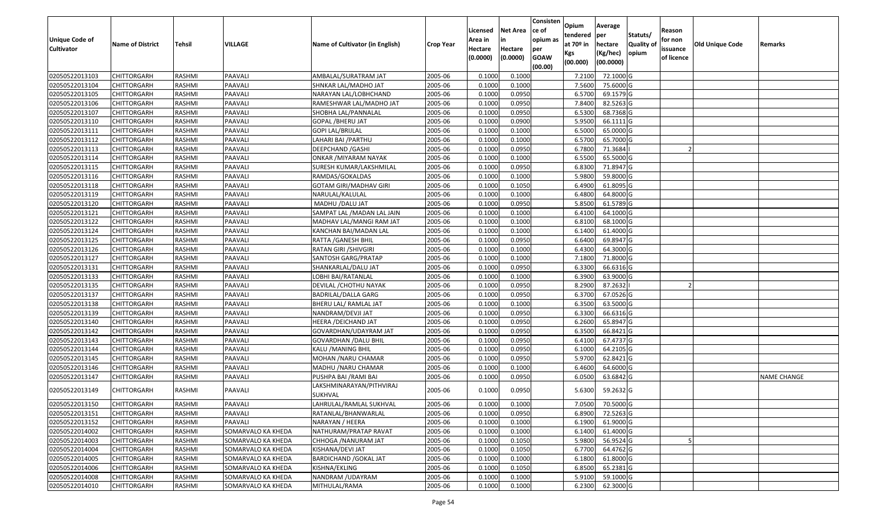| <b>Unique Code of</b> | <b>Name of District</b> | Tehsil        | VILLAGE            | Name of Cultivator (in English)     | <b>Crop Year</b> | Licensed<br>Area in | <b>Net Area</b><br>in | Consisten<br>ce of<br>opium as | Opium<br>tendered<br>at $70°$ in | Average<br>per<br>hectare | Statuts/<br><b>Quality o</b> | Reason<br>for non      | Old Unique Code | Remarks            |
|-----------------------|-------------------------|---------------|--------------------|-------------------------------------|------------------|---------------------|-----------------------|--------------------------------|----------------------------------|---------------------------|------------------------------|------------------------|-----------------|--------------------|
| <b>Cultivator</b>     |                         |               |                    |                                     |                  | Hectare<br>(0.0000) | Hectare<br>(0.0000)   | per<br><b>GOAW</b><br>(00.00)  | Kgs<br>(00.000)                  | (Kg/hec)<br>(00.0000)     | opium                        | issuance<br>of licence |                 |                    |
| 02050522013103        | <b>CHITTORGARH</b>      | RASHMI        | PAAVALI            | AMBALAL/SURATRAM JAT                | 2005-06          | 0.1000              | 0.1000                |                                | 7.2100                           | 72.1000 G                 |                              |                        |                 |                    |
| 02050522013104        | CHITTORGARH             | RASHMI        | PAAVALI            | SHNKAR LAL/MADHO JAT                | 2005-06          | 0.1000              | 0.1000                |                                | 7.5600                           | 75.6000G                  |                              |                        |                 |                    |
| 02050522013105        | CHITTORGARH             | RASHMI        | PAAVALI            | NARAYAN LAL/LOBHCHAND               | 2005-06          | 0.1000              | 0.0950                |                                | 6.5700                           | 69.1579 G                 |                              |                        |                 |                    |
| 02050522013106        | <b>CHITTORGARH</b>      | RASHMI        | PAAVALI            | RAMESHWAR LAL/MADHO JAT             | 2005-06          | 0.1000              | 0.0950                |                                | 7.8400                           | 82.5263 G                 |                              |                        |                 |                    |
| 02050522013107        | CHITTORGARH             | RASHMI        | PAAVALI            | SHOBHA LAL/PANNALAL                 | 2005-06          | 0.1000              | 0.0950                |                                | 6.5300                           | 68.7368 G                 |                              |                        |                 |                    |
| 02050522013110        | <b>CHITTORGARH</b>      | RASHMI        | PAAVALI            | GOPAL /BHERU JAT                    | 2005-06          | 0.1000              | 0.0900                |                                | 5.9500                           | 66.1111G                  |                              |                        |                 |                    |
| 02050522013111        | CHITTORGARH             | RASHMI        | PAAVALI            | GOPI LAL/BRIJLAL                    | 2005-06          | 0.1000              | 0.1000                |                                | 6.5000                           | 65.0000G                  |                              |                        |                 |                    |
| 02050522013112        | <b>CHITTORGARH</b>      | <b>RASHMI</b> | PAAVALI            | LAHARI BAI / PARTHU                 | 2005-06          | 0.1000              | 0.1000                |                                | 6.5700                           | 65.7000G                  |                              |                        |                 |                    |
| 02050522013113        | CHITTORGARH             | RASHMI        | PAAVALI            | DEEPCHAND / GASHI                   | 2005-06          | 0.1000              | 0.0950                |                                | 6.7800                           | 71.3684                   |                              |                        |                 |                    |
| 02050522013114        | CHITTORGARH             | RASHMI        | PAAVALI            | ONKAR / MIYARAM NAYAK               | 2005-06          | 0.1000              | 0.1000                |                                | 6.5500                           | 65.5000 G                 |                              |                        |                 |                    |
| 02050522013115        | CHITTORGARH             | RASHMI        | PAAVALI            | SURESH KUMAR/LAKSHMILAL             | 2005-06          | 0.1000              | 0.0950                |                                | 6.8300                           | 71.8947 G                 |                              |                        |                 |                    |
| 02050522013116        | <b>CHITTORGARH</b>      | RASHMI        | PAAVALI            | RAMDAS/GOKALDAS                     | 2005-06          | 0.1000              | 0.1000                |                                | 5.9800                           | 59.8000 G                 |                              |                        |                 |                    |
| 02050522013118        | <b>CHITTORGARH</b>      | RASHMI        | PAAVALI            | <b>GOTAM GIRI/MADHAV GIRI</b>       | 2005-06          | 0.1000              | 0.1050                |                                | 6.4900                           | 61.8095 G                 |                              |                        |                 |                    |
| 02050522013119        | <b>CHITTORGARH</b>      | RASHMI        | PAAVALI            | NARULAL/KALULAL                     | 2005-06          | 0.100               | 0.1000                |                                | 6.4800                           | 64.8000G                  |                              |                        |                 |                    |
| 02050522013120        | <b>CHITTORGARH</b>      | RASHMI        | PAAVALI            | MADHU / DALU JAT                    | 2005-06          | 0.1000              | 0.0950                |                                | 5.8500                           | 61.5789 G                 |                              |                        |                 |                    |
| 02050522013121        | <b>CHITTORGARH</b>      | RASHMI        | PAAVALI            | SAMPAT LAL / MADAN LAL JAIN         | 2005-06          | 0.1000              | 0.1000                |                                | 6.4100                           | 64.1000G                  |                              |                        |                 |                    |
| 02050522013122        | CHITTORGARH             | RASHMI        | PAAVALI            | MADHAV LAL/MANGI RAM JAT            | 2005-06          | 0.1000              | 0.1000                |                                | 6.8100                           | 68.1000 G                 |                              |                        |                 |                    |
| 02050522013124        | CHITTORGARH             | RASHMI        | PAAVALI            | KANCHAN BAI/MADAN LAL               | 2005-06          | 0.100               | 0.1000                |                                | 6.1400                           | 61.4000 G                 |                              |                        |                 |                    |
| 02050522013125        | CHITTORGARH             | RASHMI        | PAAVALI            | RATTA / GANESH BHIL                 | 2005-06          | 0.1000              | 0.0950                |                                | 6.6400                           | 69.8947 G                 |                              |                        |                 |                    |
| 02050522013126        | CHITTORGARH             | RASHMI        | PAAVALI            | RATAN GIRI /SHIVGIRI                | 2005-06          | 0.1000              | 0.1000                |                                | 6.4300                           | 64.3000 G                 |                              |                        |                 |                    |
| 02050522013127        | CHITTORGARH             | RASHMI        | PAAVALI            | SANTOSH GARG/PRATAP                 | 2005-06          | 0.100               | 0.1000                |                                | 7.1800                           | 71.8000 G                 |                              |                        |                 |                    |
| 02050522013131        | CHITTORGARH             | RASHMI        | PAAVALI            | SHANKARLAL/DALU JAT                 | 2005-06          | 0.100               | 0.0950                |                                | 6.3300                           | 66.6316 G                 |                              |                        |                 |                    |
| 02050522013133        | CHITTORGARH             | RASHMI        | PAAVALI            | LOBHI BAI/RATANLAL                  | 2005-06          | 0.1000              | 0.1000                |                                | 6.3900                           | 63.9000 G                 |                              |                        |                 |                    |
| 02050522013135        | <b>CHITTORGARH</b>      | RASHMI        | PAAVALI            | DEVILAL /CHOTHU NAYAK               | 2005-06          | 0.100               | 0.0950                |                                | 8.2900                           | 87.2632                   |                              |                        |                 |                    |
| 02050522013137        | <b>CHITTORGARH</b>      | RASHMI        | PAAVALI            | <b>BADRILAL/DALLA GARG</b>          | 2005-06          | 0.1000              | 0.0950                |                                | 6.3700                           | 67.0526 G                 |                              |                        |                 |                    |
| 02050522013138        | CHITTORGARH             | RASHMI        | PAAVALI            | BHERU LAL/ RAMLAL JAT               | 2005-06          | 0.1000              | 0.1000                |                                | 6.3500                           | 63.5000 G                 |                              |                        |                 |                    |
| 02050522013139        | CHITTORGARH             | RASHMI        | PAAVALI            | NANDRAM/DEVJI JAT                   | 2005-06          | 0.1000              | 0.0950                |                                | 6.3300                           | 66.6316 G                 |                              |                        |                 |                    |
| 02050522013140        | CHITTORGARH             | RASHMI        | PAAVALI            | HEERA /DEICHAND JAT                 | 2005-06          | 0.1000              | 0.0950                |                                | 6.2600                           | 65.8947 G                 |                              |                        |                 |                    |
| 02050522013142        | CHITTORGARH             | RASHMI        | PAAVALI            | GOVARDHAN/UDAYRAM JAT               | 2005-06          | 0.1000              | 0.0950                |                                | 6.3500                           | 66.8421 G                 |                              |                        |                 |                    |
| 02050522013143        | CHITTORGARH             | RASHMI        | PAAVALI            | GOVARDHAN /DALU BHIL                | 2005-06          | 0.1000              | 0.0950                |                                | 6.4100                           | 67.4737 G                 |                              |                        |                 |                    |
| 02050522013144        | CHITTORGARH             | RASHMI        | PAAVALI            | KALU /MANING BHIL                   | 2005-06          | 0.1000              | 0.0950                |                                | 6.1000                           | 64.2105 G                 |                              |                        |                 |                    |
| 02050522013145        | CHITTORGARH             | RASHMI        | PAAVALI            | MOHAN / NARU CHAMAR                 | 2005-06          | 0.1000              | 0.0950                |                                | 5.9700                           | 62.8421G                  |                              |                        |                 |                    |
| 02050522013146        | CHITTORGARH             | RASHMI        | PAAVALI            | MADHU /NARU CHAMAR                  | 2005-06          | 0.1000              | 0.1000                |                                | 6.4600                           | 64.6000 G                 |                              |                        |                 |                    |
| 02050522013147        | CHITTORGARH             | RASHMI        | PAAVALI            | PUSHPA BAI / RAMI BAI               | 2005-06          | 0.1000              | 0.0950                |                                | 6.0500                           | 63.6842 G                 |                              |                        |                 | <b>NAME CHANGE</b> |
| 02050522013149        | CHITTORGARH             | RASHMI        | PAAVALI            | LAKSHMINARAYAN/PITHVIRAJ<br>SUKHVAL | 2005-06          | 0.1000              | 0.0950                |                                | 5.6300                           | 59.2632 G                 |                              |                        |                 |                    |
| 02050522013150        | CHITTORGARH             | RASHMI        | PAAVALI            | LAHRULAL/RAMLAL SUKHVAL             | 2005-06          | 0.1000              | 0.1000                |                                |                                  | 7.0500 70.5000 G          |                              |                        |                 |                    |
| 02050522013151        | <b>CHITTORGARH</b>      | RASHMI        | PAAVALI            | RATANLAL/BHANWARLAL                 | 2005-06          | 0.1000              | 0.0950                |                                | 6.8900                           | 72.5263 G                 |                              |                        |                 |                    |
| 02050522013152        | <b>CHITTORGARH</b>      | RASHMI        | PAAVALI            | NARAYAN / HEERA                     | 2005-06          | 0.1000              | 0.1000                |                                | 6.1900                           | 61.9000 G                 |                              |                        |                 |                    |
| 02050522014002        | <b>CHITTORGARH</b>      | RASHMI        | SOMARVALO KA KHEDA | NATHURAM/PRATAP RAVAT               | 2005-06          | 0.1000              | 0.1000                |                                | 6.1400                           | $61.4000$ G               |                              |                        |                 |                    |
| 02050522014003        | <b>CHITTORGARH</b>      | RASHMI        | SOMARVALO KA KHEDA | CHHOGA / NANURAM JAT                | 2005-06          | 0.1000              | 0.1050                |                                | 5.9800                           | 56.9524 G                 |                              |                        |                 |                    |
| 02050522014004        | <b>CHITTORGARH</b>      | RASHMI        | SOMARVALO KA KHEDA | KISHANA/DEVI JAT                    | 2005-06          | 0.1000              | 0.1050                |                                | 6.7700                           | 64.4762 G                 |                              |                        |                 |                    |
| 02050522014005        | <b>CHITTORGARH</b>      | RASHMI        | SOMARVALO KA KHEDA | <b>BARDICHAND / GOKAL JAT</b>       | 2005-06          | 0.1000              | 0.1000                |                                | 6.1800                           | 61.8000 G                 |                              |                        |                 |                    |
| 02050522014006        | CHITTORGARH             | RASHMI        | SOMARVALO KA KHEDA | KISHNA/EKLING                       | 2005-06          | 0.1000              | 0.1050                |                                | 6.8500                           | 65.2381 G                 |                              |                        |                 |                    |
| 02050522014008        | <b>CHITTORGARH</b>      | RASHMI        | SOMARVALO KA KHEDA | NANDRAM / UDAYRAM                   | 2005-06          | 0.1000              | 0.1000                |                                | 5.9100                           | 59.1000 G                 |                              |                        |                 |                    |
| 02050522014010        | <b>CHITTORGARH</b>      | RASHMI        | SOMARVALO KA KHEDA | MITHULAL/RAMA                       | 2005-06          | 0.1000              | 0.1000                |                                | 6.2300                           | 62.3000 G                 |                              |                        |                 |                    |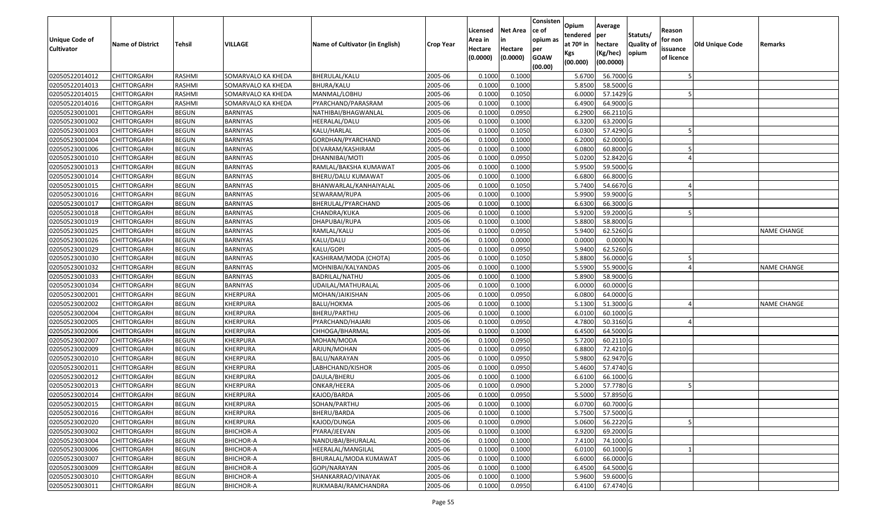| <b>Unique Code of</b><br><b>Cultivator</b> | <b>Name of District</b> | <b>Tehsil</b> | VILLAGE            | Name of Cultivator (in English) | <b>Crop Year</b> | Licensed<br>Area in<br>Hectare<br>(0.0000) | <b>Net Area</b><br>in<br>Hectare<br>(0.0000) | Consisten<br>ce of<br>opium as<br>per<br><b>GOAW</b> | Opium<br>tendered<br>at $70°$ in<br>Kgs | Average<br>per<br>hectare<br>(Kg/hec) | Statuts/<br><b>Quality o</b><br>opium | Reason<br>for non<br>issuance<br>of licence | <b>Old Unique Code</b> | Remarks            |
|--------------------------------------------|-------------------------|---------------|--------------------|---------------------------------|------------------|--------------------------------------------|----------------------------------------------|------------------------------------------------------|-----------------------------------------|---------------------------------------|---------------------------------------|---------------------------------------------|------------------------|--------------------|
|                                            |                         |               |                    |                                 |                  |                                            |                                              | (00.00)                                              | (00.000)                                | (00.0000)                             |                                       |                                             |                        |                    |
| 02050522014012                             | CHITTORGARH             | RASHMI        | SOMARVALO KA KHEDA | BHERULAL/KALU                   | 2005-06          | 0.1000                                     | 0.1000                                       |                                                      | 5.6700                                  | 56.7000 G                             |                                       |                                             |                        |                    |
| 02050522014013                             | CHITTORGARH             | RASHMI        | SOMARVALO KA KHEDA | <b>BHURA/KALU</b>               | 2005-06          | 0.1000                                     | 0.1000                                       |                                                      | 5.8500                                  | 58.5000 G                             |                                       |                                             |                        |                    |
| 02050522014015                             | CHITTORGARH             | RASHMI        | SOMARVALO KA KHEDA | MANMAL/LOBHU                    | 2005-06          | 0.1000                                     | 0.1050                                       |                                                      | 6.0000                                  | 57.1429 G                             |                                       |                                             |                        |                    |
| 02050522014016                             | <b>CHITTORGARH</b>      | RASHMI        | SOMARVALO KA KHEDA | PYARCHAND/PARASRAM              | 2005-06          | 0.1000                                     | 0.1000                                       |                                                      | 6.4900                                  | 64.9000G                              |                                       |                                             |                        |                    |
| 02050523001001                             | CHITTORGARH             | <b>BEGUN</b>  | BARNIYAS           | NATHIBAI/BHAGWANLAL             | 2005-06          | 0.1000                                     | 0.0950                                       |                                                      | 6.2900                                  | 66.2110 G                             |                                       |                                             |                        |                    |
| 02050523001002                             | CHITTORGARH             | <b>BEGUN</b>  | <b>BARNIYAS</b>    | HEERALAL/DALU                   | 2005-06          | 0.1000                                     | 0.1000                                       |                                                      | 6.3200                                  | 63.2000 G                             |                                       |                                             |                        |                    |
| 02050523001003                             | CHITTORGARH             | <b>BEGUN</b>  | BARNIYAS           | KALU/HARLAL                     | 2005-06          | 0.1000                                     | 0.1050                                       |                                                      | 6.0300                                  | 57.4290 G                             |                                       |                                             |                        |                    |
| 02050523001004                             | CHITTORGARH             | <b>BEGUN</b>  | <b>BARNIYAS</b>    | GORDHAN/PYARCHAND               | 2005-06          | 0.1000                                     | 0.1000                                       |                                                      | 6.2000                                  | 62.0000G                              |                                       |                                             |                        |                    |
| 02050523001006                             | CHITTORGARH             | <b>BEGUN</b>  | BARNIYAS           | DEVARAM/KASHIRAM                | 2005-06          | 0.1000                                     | 0.1000                                       |                                                      | 6.0800                                  | 60.8000 G                             |                                       |                                             |                        |                    |
| 02050523001010                             | CHITTORGARH             | <b>BEGUN</b>  | BARNIYAS           | DHANNIBAI/MOTI                  | 2005-06          | 0.1000                                     | 0.0950                                       |                                                      | 5.0200                                  | 52.8420 G                             |                                       |                                             |                        |                    |
| 02050523001013                             | CHITTORGARH             | <b>BEGUN</b>  | BARNIYAS           | RAMLAL/BAKSHA KUMAWAT           | 2005-06          | 0.1000                                     | 0.1000                                       |                                                      | 5.9500                                  | 59.5000 G                             |                                       |                                             |                        |                    |
| 02050523001014                             | CHITTORGARH             | <b>BEGUN</b>  | <b>BARNIYAS</b>    | BHERU/DALU KUMAWAT              | 2005-06          | 0.1000                                     | 0.1000                                       |                                                      | 6.6800                                  | 66.8000 G                             |                                       |                                             |                        |                    |
| 02050523001015                             | <b>CHITTORGARH</b>      | <b>BEGUN</b>  | <b>BARNIYAS</b>    | BHANWARLAL/KANHAIYALAL          | 2005-06          | 0.1000                                     | 0.1050                                       |                                                      | 5.7400                                  | 54.6670 G                             |                                       |                                             |                        |                    |
| 02050523001016                             | <b>CHITTORGARH</b>      | <b>BEGUN</b>  | BARNIYAS           | SEWARAM/RUPA                    | 2005-06          | 0.1000                                     | 0.1000                                       |                                                      | 5.9900                                  | 59.9000G                              |                                       |                                             |                        |                    |
| 02050523001017                             | <b>CHITTORGARH</b>      | <b>BEGUN</b>  | BARNIYAS           | BHERULAL/PYARCHAND              | 2005-06          | 0.1000                                     | 0.1000                                       |                                                      | 6.6300                                  | 66.3000 G                             |                                       |                                             |                        |                    |
| 02050523001018                             | CHITTORGARH             | <b>BEGUN</b>  | <b>BARNIYAS</b>    | CHANDRA/KUKA                    | 2005-06          | 0.1000                                     | 0.1000                                       |                                                      | 5.9200                                  | 59.2000 G                             |                                       |                                             |                        |                    |
| 02050523001019                             | CHITTORGARH             | <b>BEGUN</b>  | BARNIYAS           | DHAPUBAI/RUPA                   | 2005-06          | 0.1000                                     | 0.1000                                       |                                                      | 5.8800                                  | 58.8000G                              |                                       |                                             |                        |                    |
| 02050523001025                             | CHITTORGARH             | <b>BEGUN</b>  | BARNIYAS           | RAMLAL/KALU                     | 2005-06          | 0.1000                                     | 0.0950                                       |                                                      | 5.9400                                  | 62.5260 G                             |                                       |                                             |                        | <b>NAME CHANGE</b> |
| 02050523001026                             | CHITTORGARH             | <b>BEGUN</b>  | BARNIYAS           | KALU/DALU                       | 2005-06          | 0.1000                                     | 0.0000                                       |                                                      | 0.0000                                  | 0.0000N                               |                                       |                                             |                        |                    |
| 02050523001029                             | CHITTORGARH             | <b>BEGUN</b>  | BARNIYAS           | KALU/GOPI                       | 2005-06          | 0.1000                                     | 0.0950                                       |                                                      | 5.9400                                  | 62.5260 G                             |                                       |                                             |                        |                    |
| 02050523001030                             | CHITTORGARH             | <b>BEGUN</b>  | <b>BARNIYAS</b>    | KASHIRAM/MODA (CHOTA)           | 2005-06          | 0.1000                                     | 0.1050                                       |                                                      | 5.8800                                  | 56.0000G                              |                                       |                                             |                        |                    |
| 02050523001032                             | CHITTORGARH             | <b>BEGUN</b>  | BARNIYAS           | MOHNIBAI/KALYANDAS              | 2005-06          | 0.1000                                     | 0.1000                                       |                                                      | 5.590                                   | 55.9000G                              |                                       |                                             |                        | <b>NAME CHANGE</b> |
| 02050523001033                             | CHITTORGARH             | <b>BEGUN</b>  | BARNIYAS           | <b>BADRILAL/NATHU</b>           | 2005-06          | 0.1000                                     | 0.1000                                       |                                                      | 5.8900                                  | 58.9000 G                             |                                       |                                             |                        |                    |
| 02050523001034                             | CHITTORGARH             | <b>BEGUN</b>  | BARNIYAS           | JDAILAL/MATHURALAL              | 2005-06          | 0.1000                                     | 0.1000                                       |                                                      | 6.0000                                  | 60.0000G                              |                                       |                                             |                        |                    |
| 02050523002001                             | <b>CHITTORGARH</b>      | <b>BEGUN</b>  | KHERPURA           | MOHAN/JAIKISHAN                 | 2005-06          | 0.1000                                     | 0.0950                                       |                                                      | 6.0800                                  | 64.0000G                              |                                       |                                             |                        |                    |
| 02050523002002                             | CHITTORGARH             | <b>BEGUN</b>  | KHERPURA           | BALU/HOKMA                      | 2005-06          | 0.1000                                     | 0.1000                                       |                                                      | 5.1300                                  | 51.3000G                              |                                       |                                             |                        | <b>NAME CHANGE</b> |
| 02050523002004                             | CHITTORGARH             | <b>BEGUN</b>  | KHERPURA           | BHERU/PARTHU                    | 2005-06          | 0.1000                                     | 0.1000                                       |                                                      | 6.0100                                  | 60.1000 G                             |                                       |                                             |                        |                    |
| 02050523002005                             | CHITTORGARH             | <b>BEGUN</b>  | KHERPURA           | PYARCHAND/HAJARI                | 2005-06          | 0.1000                                     | 0.0950                                       |                                                      | 4.7800                                  | 50.3160 G                             |                                       |                                             |                        |                    |
| 02050523002006                             | CHITTORGARH             | <b>BEGUN</b>  | KHERPURA           | CHHOGA/BHARMAL                  | 2005-06          | 0.1000                                     | 0.1000                                       |                                                      | 6.4500                                  | 64.5000 G                             |                                       |                                             |                        |                    |
| 02050523002007                             | CHITTORGARH             | <b>BEGUN</b>  | KHERPURA           | MOHAN/MODA                      | 2005-06          | 0.1000                                     | 0.0950                                       |                                                      | 5.7200                                  | 60.2110 G                             |                                       |                                             |                        |                    |
| 02050523002009                             | CHITTORGARH             | <b>BEGUN</b>  | KHERPURA           | ARJUN/MOHAN                     | 2005-06          | 0.1000                                     | 0.0950                                       |                                                      | 6.8800                                  | 72.4210 G                             |                                       |                                             |                        |                    |
| 02050523002010                             | CHITTORGARH             | <b>BEGUN</b>  | KHERPURA           | BALU/NARAYAN                    | 2005-06          | 0.1000                                     | 0.0950                                       |                                                      | 5.9800                                  | 62.9470 G                             |                                       |                                             |                        |                    |
| 02050523002011                             | CHITTORGARH             | <b>BEGUN</b>  | KHERPURA           | LABHCHAND/KISHOR                | 2005-06          | 0.1000                                     | 0.0950                                       |                                                      | 5.4600                                  | 57.4740 G                             |                                       |                                             |                        |                    |
| 02050523002012                             | CHITTORGARH             | <b>BEGUN</b>  | KHERPURA           | DAULA/BHERU                     | 2005-06          | 0.1000                                     | 0.1000                                       |                                                      | 6.6100                                  | 66.1000G                              |                                       |                                             |                        |                    |
| 02050523002013                             | CHITTORGARH             | <b>BEGUN</b>  | KHERPURA           | ONKAR/HEERA                     | 2005-06          | 0.1000                                     | 0.0900                                       |                                                      | 5.2000                                  | 57.7780 G                             |                                       |                                             |                        |                    |
| 02050523002014                             | CHITTORGARH             | <b>BEGUN</b>  | KHERPURA           | KAJOD/BARDA                     | 2005-06          | 0.1000                                     | 0.0950                                       |                                                      | 5.5000                                  | 57.8950 G                             |                                       |                                             |                        |                    |
| 02050523002015                             | <b>CHITTORGARH</b>      | <b>BEGUN</b>  | KHERPURA           | SOHAN/PARTHU                    | 2005-06          | 0.1000                                     | 0.1000                                       |                                                      | 6.0700                                  | 60.7000 G                             |                                       |                                             |                        |                    |
| 02050523002016                             | <b>CHITTORGARH</b>      | <b>BEGUN</b>  | KHERPURA           | BHERU/BARDA                     | 2005-06          | 0.1000                                     | 0.1000                                       |                                                      | 5.7500                                  | 57.5000 G                             |                                       |                                             |                        |                    |
| 02050523002020                             | <b>CHITTORGARH</b>      | <b>BEGUN</b>  | KHERPURA           | KAJOD/DUNGA                     | 2005-06          | 0.1000                                     | 0.0900                                       |                                                      | 5.0600                                  | 56.2220 G                             |                                       |                                             |                        |                    |
| 02050523003002                             | <b>CHITTORGARH</b>      | <b>BEGUN</b>  | <b>BHICHOR-A</b>   | PYARA/JEEVAN                    | 2005-06          | 0.1000                                     | 0.1000                                       |                                                      | 6.9200                                  | 69.2000 G                             |                                       |                                             |                        |                    |
| 02050523003004                             | <b>CHITTORGARH</b>      | <b>BEGUN</b>  | <b>BHICHOR-A</b>   | NANDUBAI/BHURALAL               | 2005-06          | 0.1000                                     | 0.1000                                       |                                                      | 7.4100                                  | 74.1000 G                             |                                       |                                             |                        |                    |
| 02050523003006                             | <b>CHITTORGARH</b>      | <b>BEGUN</b>  | <b>BHICHOR-A</b>   | HEERALAL/MANGILAL               | 2005-06          | 0.1000                                     | 0.1000                                       |                                                      | 6.0100                                  | 60.1000 G                             |                                       |                                             |                        |                    |
| 02050523003007                             | <b>CHITTORGARH</b>      | <b>BEGUN</b>  | <b>BHICHOR-A</b>   | BHURALAL/MODA KUMAWAT           | 2005-06          | 0.1000                                     | 0.1000                                       |                                                      | 6.6000                                  | 66.0000 G                             |                                       |                                             |                        |                    |
| 02050523003009                             | CHITTORGARH             | <b>BEGUN</b>  | <b>BHICHOR-A</b>   | GOPI/NARAYAN                    | 2005-06          | 0.1000                                     | 0.1000                                       |                                                      | 6.4500                                  | 64.5000 G                             |                                       |                                             |                        |                    |
| 02050523003010                             | CHITTORGARH             | <b>BEGUN</b>  | <b>BHICHOR-A</b>   | SHANKARRAO/VINAYAK              | 2005-06          | 0.1000                                     | 0.1000                                       |                                                      | 5.9600                                  | 59.6000 G                             |                                       |                                             |                        |                    |
| 02050523003011                             | <b>CHITTORGARH</b>      | <b>BEGUN</b>  | <b>BHICHOR-A</b>   | RUKMABAI/RAMCHANDRA             | 2005-06          | 0.1000                                     | 0.0950                                       |                                                      | 6.4100                                  | 67.4740 G                             |                                       |                                             |                        |                    |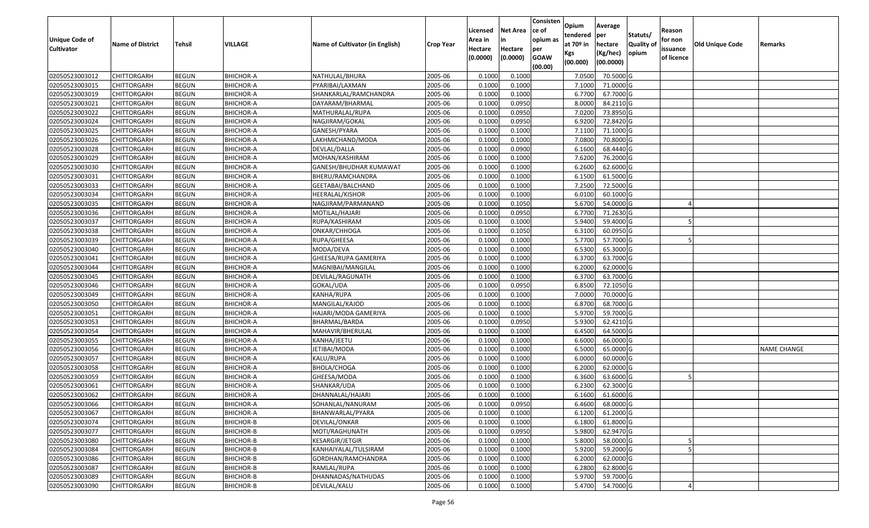| Unique Code of    |                         |               |                  |                                 |                  | Licensed<br>Area in | <b>Net Area</b><br>in | Consisten<br>ce of<br>opium as | Opium<br>tendered              | Average<br>per                   | Statuts/                  | Reason<br>for non      |                        |                    |
|-------------------|-------------------------|---------------|------------------|---------------------------------|------------------|---------------------|-----------------------|--------------------------------|--------------------------------|----------------------------------|---------------------------|------------------------|------------------------|--------------------|
| <b>Cultivator</b> | <b>Name of District</b> | <b>Tehsil</b> | VILLAGE          | Name of Cultivator (in English) | <b>Crop Year</b> | Hectare<br>(0.0000) | Hectare<br>(0.0000)   | per<br><b>GOAW</b><br>(00.00)  | at $70°$ in<br>Kgs<br>(00.000) | hectare<br>(Kg/hec)<br>(00.0000) | <b>Quality o</b><br>opium | issuance<br>of licence | <b>Old Unique Code</b> | Remarks            |
| 02050523003012    | CHITTORGARH             | <b>BEGUN</b>  | <b>BHICHOR-A</b> | NATHULAL/BHURA                  | 2005-06          | 0.1000              | 0.1000                |                                | 7.0500                         | 70.5000 G                        |                           |                        |                        |                    |
| 02050523003015    | CHITTORGARH             | <b>BEGUN</b>  | <b>BHICHOR-A</b> | PYARIBAI/LAXMAN                 | 2005-06          | 0.1000              | 0.1000                |                                | 7.1000                         | 71.0000 G                        |                           |                        |                        |                    |
| 02050523003019    | CHITTORGARH             | <b>BEGUN</b>  | <b>BHICHOR-A</b> | SHANKARLAL/RAMCHANDRA           | 2005-06          | 0.1000              | 0.1000                |                                | 6.7700                         | 67.7000 G                        |                           |                        |                        |                    |
| 02050523003021    | <b>CHITTORGARH</b>      | <b>BEGUN</b>  | <b>BHICHOR-A</b> | DAYARAM/BHARMAL                 | 2005-06          | 0.1000              | 0.0950                |                                | 8.0000                         | 84.2110 G                        |                           |                        |                        |                    |
| 02050523003022    | CHITTORGARH             | <b>BEGUN</b>  | <b>BHICHOR-A</b> | MATHURALAL/RUPA                 | 2005-06          | 0.1000              | 0.0950                |                                | 7.0200                         | 73.8950 G                        |                           |                        |                        |                    |
| 02050523003024    | <b>CHITTORGARH</b>      | <b>BEGUN</b>  | <b>BHICHOR-A</b> | NAGJIRAM/GOKAL                  | 2005-06          | 0.1000              | 0.0950                |                                | 6.9200                         | 72.8420G                         |                           |                        |                        |                    |
| 02050523003025    | CHITTORGARH             | <b>BEGUN</b>  | <b>BHICHOR-A</b> | GANESH/PYARA                    | 2005-06          | 0.1000              | 0.1000                |                                | 7.1100                         | 71.1000G                         |                           |                        |                        |                    |
| 02050523003026    | CHITTORGARH             | <b>BEGUN</b>  | <b>BHICHOR-A</b> | LAKHMICHAND/MODA                | 2005-06          | 0.1000              | 0.1000                |                                | 7.0800                         | 70.8000 G                        |                           |                        |                        |                    |
| 02050523003028    | CHITTORGARH             | <b>BEGUN</b>  | <b>BHICHOR-A</b> | DEVLAL/DALLA                    | 2005-06          | 0.1000              | 0.0900                |                                | 6.1600                         | 68.4440 G                        |                           |                        |                        |                    |
| 02050523003029    | CHITTORGARH             | <b>BEGUN</b>  | <b>BHICHOR-A</b> | MOHAN/KASHIRAM                  | 2005-06          | 0.1000              | 0.1000                |                                | 7.6200                         | 76.2000 G                        |                           |                        |                        |                    |
| 02050523003030    | CHITTORGARH             | <b>BEGUN</b>  | <b>BHICHOR-A</b> | GANESH/BHUDHAR KUMAWAT          | 2005-06          | 0.1000              | 0.1000                |                                | 6.2600                         | 62.6000G                         |                           |                        |                        |                    |
| 02050523003031    | <b>CHITTORGARH</b>      | <b>BEGUN</b>  | <b>BHICHOR-A</b> | BHERU/RAMCHANDRA                | 2005-06          | 0.1000              | 0.1000                |                                | 6.1500                         | 61.5000 G                        |                           |                        |                        |                    |
| 02050523003033    | <b>CHITTORGARH</b>      | <b>BEGUN</b>  | <b>BHICHOR-A</b> | GEETABAI/BALCHAND               | 2005-06          | 0.1000              | 0.1000                |                                | 7.2500                         | 72.5000 G                        |                           |                        |                        |                    |
| 02050523003034    | CHITTORGARH             | <b>BEGUN</b>  | <b>BHICHOR-A</b> | HEERALAL/KISHOR                 | 2005-06          | 0.1000              | 0.1000                |                                | 6.0100                         | 60.1000 G                        |                           |                        |                        |                    |
| 02050523003035    | <b>CHITTORGARH</b>      | <b>BEGUN</b>  | <b>BHICHOR-A</b> | NAGJIRAM/PARMANAND              | 2005-06          | 0.1000              | 0.1050                |                                | 5.6700                         | 54.0000 G                        |                           |                        |                        |                    |
| 02050523003036    | CHITTORGARH             | <b>BEGUN</b>  | <b>BHICHOR-A</b> | MOTILAL/HAJARI                  | 2005-06          | 0.1000              | 0.0950                |                                | 6.7700                         | 71.2630 G                        |                           |                        |                        |                    |
| 02050523003037    | CHITTORGARH             | <b>BEGUN</b>  | <b>BHICHOR-A</b> | RUPA/KASHIRAM                   | 2005-06          | 0.1000              | 0.1000                |                                | 5.9400                         | 59.4000 G                        |                           |                        |                        |                    |
| 02050523003038    | CHITTORGARH             | <b>BEGUN</b>  | <b>BHICHOR-A</b> | ONKAR/CHHOGA                    | 2005-06          | 0.1000              | 0.1050                |                                | 6.3100                         | 60.0950 G                        |                           |                        |                        |                    |
| 02050523003039    | CHITTORGARH             | <b>BEGUN</b>  | <b>BHICHOR-A</b> | RUPA/GHEESA                     | 2005-06          | 0.1000              | 0.1000                |                                | 5.7700                         | 57.7000 G                        |                           |                        |                        |                    |
| 02050523003040    | CHITTORGARH             | <b>BEGUN</b>  | <b>BHICHOR-A</b> | MODA/DEVA                       | 2005-06          | 0.1000              | 0.1000                |                                | 6.5300                         | 65.3000G                         |                           |                        |                        |                    |
| 02050523003041    | CHITTORGARH             | <b>BEGUN</b>  | <b>BHICHOR-A</b> | GHEESA/RUPA GAMERIYA            | 2005-06          | 0.1000              | 0.1000                |                                | 6.3700                         | 63.7000 G                        |                           |                        |                        |                    |
| 02050523003044    | CHITTORGARH             | <b>BEGUN</b>  | <b>BHICHOR-A</b> | MAGNIBAI/MANGILAL               | 2005-06          | 0.1000              | 0.1000                |                                | 6.2000                         | 62.0000G                         |                           |                        |                        |                    |
| 02050523003045    | CHITTORGARH             | <b>BEGUN</b>  | <b>BHICHOR-A</b> | DEVILAL/RAGUNATH                | 2005-06          | 0.1000              | 0.1000                |                                | 6.3700                         | 63.7000 G                        |                           |                        |                        |                    |
| 02050523003046    | CHITTORGARH             | <b>BEGUN</b>  | <b>BHICHOR-A</b> | GOKAL/UDA                       | 2005-06          | 0.1000              | 0.0950                |                                | 6.8500                         | 72.1050 G                        |                           |                        |                        |                    |
| 02050523003049    | <b>CHITTORGARH</b>      | <b>BEGUN</b>  | <b>BHICHOR-A</b> | KANHA/RUPA                      | 2005-06          | 0.1000              | 0.1000                |                                | 7.0000                         | 70.0000 G                        |                           |                        |                        |                    |
| 02050523003050    | CHITTORGARH             | <b>BEGUN</b>  | <b>BHICHOR-A</b> | MANGILAL/KAJOD                  | 2005-06          | 0.1000              | 0.1000                |                                | 6.8700                         | 68.7000 G                        |                           |                        |                        |                    |
| 02050523003051    | CHITTORGARH             | <b>BEGUN</b>  | <b>BHICHOR-A</b> | HAJARI/MODA GAMERIYA            | 2005-06          | 0.1000              | 0.1000                |                                | 5.9700                         | 59.7000G                         |                           |                        |                        |                    |
| 02050523003053    | CHITTORGARH             | <b>BEGUN</b>  | <b>BHICHOR-A</b> | BHARMAL/BARDA                   | 2005-06          | 0.1000              | 0.0950                |                                | 5.9300                         | 62.4210 G                        |                           |                        |                        |                    |
| 02050523003054    | CHITTORGARH             | <b>BEGUN</b>  | <b>BHICHOR-A</b> | MAHAVIR/BHERULAL                | 2005-06          | 0.1000              | 0.1000                |                                | 6.4500                         | 64.5000 G                        |                           |                        |                        |                    |
| 02050523003055    | CHITTORGARH             | <b>BEGUN</b>  | <b>BHICHOR-A</b> | KANHA/JEETU                     | 2005-06          | 0.1000              | 0.1000                |                                | 6.6000                         | 66.0000G                         |                           |                        |                        |                    |
| 02050523003056    | CHITTORGARH             | <b>BEGUN</b>  | <b>BHICHOR-A</b> | IETIBAI/MODA                    | 2005-06          | 0.1000              | 0.1000                |                                | 6.5000                         | 65.0000G                         |                           |                        |                        | <b>NAME CHANGE</b> |
| 02050523003057    | CHITTORGARH             | <b>BEGUN</b>  | <b>BHICHOR-A</b> | KALU/RUPA                       | 2005-06          | 0.1000              | 0.1000                |                                | 6.0000                         | 60.0000G                         |                           |                        |                        |                    |
| 02050523003058    | CHITTORGARH             | <b>BEGUN</b>  | <b>BHICHOR-A</b> | BHOLA/CHOGA                     | 2005-06          | 0.1000              | 0.1000                |                                | 6.2000                         | 62.0000G                         |                           |                        |                        |                    |
| 02050523003059    | CHITTORGARH             | <b>BEGUN</b>  | <b>BHICHOR-A</b> | GHEESA/MODA                     | 2005-06          | 0.1000              | 0.1000                |                                | 6.3600                         | 63.6000 G                        |                           |                        |                        |                    |
| 02050523003061    | CHITTORGARH             | <b>BEGUN</b>  | <b>BHICHOR-A</b> | SHANKAR/UDA                     | 2005-06          | 0.1000              | 0.1000                |                                | 6.2300                         | 62.3000 G                        |                           |                        |                        |                    |
| 02050523003062    | CHITTORGARH             | <b>BEGUN</b>  | <b>BHICHOR-A</b> | DHANNALAL/HAJARI                | 2005-06          | 0.1000              | 0.1000                |                                | 6.1600                         | 61.6000G                         |                           |                        |                        |                    |
| 02050523003066    | <b>CHITTORGARH</b>      | <b>BEGUN</b>  | <b>BHICHOR-A</b> | SOHANLAL/NANURAM                | 2005-06          | 0.1000              | 0.0950                |                                | 6.4600                         | 68.0000G                         |                           |                        |                        |                    |
| 02050523003067    | <b>CHITTORGARH</b>      | <b>BEGUN</b>  | BHICHOR-A        | BHANWARLAL/PYARA                | 2005-06          | 0.1000              | 0.1000                |                                | 6.1200                         | 61.2000 G                        |                           |                        |                        |                    |
| 02050523003074    | <b>CHITTORGARH</b>      | <b>BEGUN</b>  | BHICHOR-B        | DEVILAL/ONKAR                   | 2005-06          | 0.1000              | 0.1000                |                                | 6.1800                         | 61.8000 G                        |                           |                        |                        |                    |
| 02050523003077    | <b>CHITTORGARH</b>      | <b>BEGUN</b>  | <b>BHICHOR-B</b> | MOTI/RAGHUNATH                  | 2005-06          | 0.1000              | 0.0950                |                                | 5.9800                         | 62.9470 G                        |                           |                        |                        |                    |
| 02050523003080    | <b>CHITTORGARH</b>      | <b>BEGUN</b>  | <b>BHICHOR-B</b> | KESARGIR/JETGIR                 | 2005-06          | 0.1000              | 0.1000                |                                | 5.8000                         | 58.0000 G                        |                           |                        |                        |                    |
| 02050523003084    | <b>CHITTORGARH</b>      | <b>BEGUN</b>  | <b>BHICHOR-B</b> | KANHAIYALAL/TULSIRAM            | 2005-06          | 0.1000              | 0.1000                |                                | 5.9200                         | 59.2000 G                        |                           |                        |                        |                    |
| 02050523003086    | <b>CHITTORGARH</b>      | <b>BEGUN</b>  | <b>BHICHOR-B</b> | GORDHAN/RAMCHANDRA              | 2005-06          | 0.1000              | 0.1000                |                                | 6.2000                         | 62.0000 G                        |                           |                        |                        |                    |
| 02050523003087    | <b>CHITTORGARH</b>      | <b>BEGUN</b>  | <b>BHICHOR-B</b> | RAMLAL/RUPA                     | 2005-06          | 0.1000              | 0.1000                |                                | 6.2800                         | 62.8000 G                        |                           |                        |                        |                    |
| 02050523003089    | <b>CHITTORGARH</b>      | <b>BEGUN</b>  | BHICHOR-B        | DHANNADAS/NATHUDAS              | 2005-06          | 0.1000              | 0.1000                |                                | 5.9700                         | 59.7000 G                        |                           |                        |                        |                    |
| 02050523003090    | <b>CHITTORGARH</b>      | <b>BEGUN</b>  | <b>BHICHOR-B</b> | DEVILAL/KALU                    | 2005-06          | 0.1000              | 0.1000                |                                | 5.4700                         | 54.7000 G                        |                           |                        |                        |                    |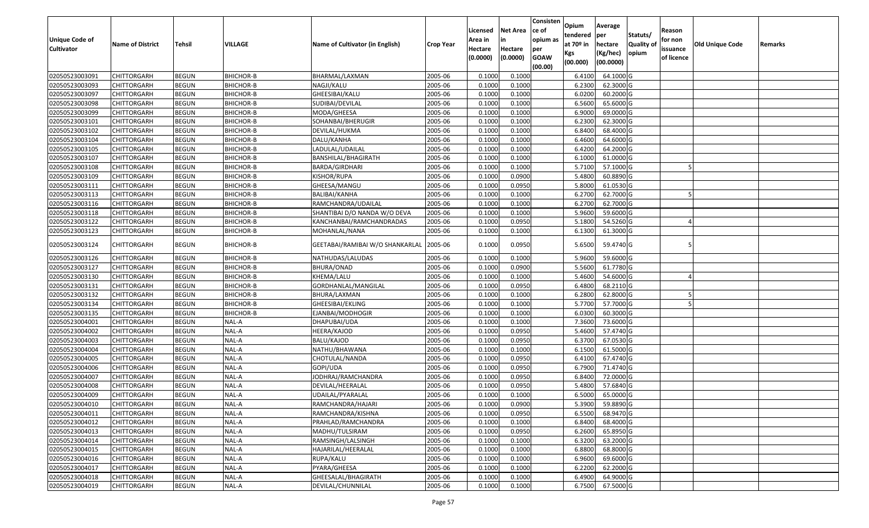| <b>Unique Code of</b> |                         |              |                  |                                         |                  | Licensed<br>Area in | <b>Net Area</b><br>in | Consisten<br>ce of<br>opium as | Opium<br>tendered              | Average<br>per                   | Statuts/                  | Reason<br>for non      |                 |         |
|-----------------------|-------------------------|--------------|------------------|-----------------------------------------|------------------|---------------------|-----------------------|--------------------------------|--------------------------------|----------------------------------|---------------------------|------------------------|-----------------|---------|
| <b>Cultivator</b>     | <b>Name of District</b> | Tehsil       | VILLAGE          | Name of Cultivator (in English)         | <b>Crop Year</b> | Hectare<br>(0.0000) | Hectare<br>(0.0000)   | per<br><b>GOAW</b>             | at $70°$ in<br>Kgs<br>(00.000) | hectare<br>(Kg/hec)<br>(00.0000) | <b>Quality o</b><br>opium | issuance<br>of licence | Old Unique Code | Remarks |
| 02050523003091        | CHITTORGARH             | <b>BEGUN</b> | BHICHOR-B        | BHARMAL/LAXMAN                          | 2005-06          | 0.1000              | 0.1000                | (00.00)                        | 6.4100                         | 64.1000 G                        |                           |                        |                 |         |
| 02050523003093        | CHITTORGARH             | <b>BEGUN</b> | <b>BHICHOR-B</b> | NAGJI/KALU                              | 2005-06          | 0.1000              | 0.1000                |                                | 6.2300                         | 62.3000G                         |                           |                        |                 |         |
| 02050523003097        | CHITTORGARH             | <b>BEGUN</b> | <b>BHICHOR-B</b> | GHEESIBAI/KALU                          | 2005-06          | 0.1000              | 0.1000                |                                | 6.0200                         | 60.2000 G                        |                           |                        |                 |         |
| 02050523003098        | <b>CHITTORGARH</b>      | <b>BEGUN</b> | <b>BHICHOR-B</b> | SUDIBAI/DEVILAL                         | 2005-06          | 0.1000              | 0.1000                |                                | 6.5600                         | 65.6000G                         |                           |                        |                 |         |
| 02050523003099        | CHITTORGARH             | <b>BEGUN</b> | <b>BHICHOR-B</b> | MODA/GHEESA                             | 2005-06          | 0.1000              | 0.1000                |                                | 6.9000                         | 69.0000G                         |                           |                        |                 |         |
| 02050523003101        | CHITTORGARH             | <b>BEGUN</b> | BHICHOR-B        | SOHANBAI/BHERUGIR                       | 2005-06          | 0.1000              | 0.1000                |                                | 6.2300                         | 62.3000G                         |                           |                        |                 |         |
| 02050523003102        | CHITTORGARH             | <b>BEGUN</b> | <b>BHICHOR-B</b> | DEVILAL/HUKMA                           | 2005-06          | 0.1000              | 0.1000                |                                | 6.8400                         | 68.4000 G                        |                           |                        |                 |         |
| 02050523003104        | <b>CHITTORGARH</b>      | <b>BEGUN</b> | BHICHOR-B        | DALU/KANHA                              | 2005-06          | 0.1000              | 0.1000                |                                | 6.4600                         | 64.6000 G                        |                           |                        |                 |         |
| 02050523003105        | CHITTORGARH             | <b>BEGUN</b> | BHICHOR-B        | LADULAL/UDAILAL                         | 2005-06          | 0.1000              | 0.1000                |                                | 6.4200                         | 64.2000 G                        |                           |                        |                 |         |
| 02050523003107        | CHITTORGARH             | <b>BEGUN</b> | BHICHOR-B        | BANSHILAL/BHAGIRATH                     | 2005-06          | 0.1000              | 0.1000                |                                | 6.1000                         | 61.0000 G                        |                           |                        |                 |         |
| 02050523003108        | CHITTORGARH             | <b>BEGUN</b> | <b>BHICHOR-B</b> | BARDA/GIRDHARI                          | 2005-06          | 0.1000              | 0.1000                |                                | 5.7100                         | 57.1000 G                        |                           |                        |                 |         |
| 02050523003109        | <b>CHITTORGARH</b>      | <b>BEGUN</b> | BHICHOR-B        | KISHOR/RUPA                             | 2005-06          | 0.1000              | 0.0900                |                                | 5.4800                         | 60.8890 G                        |                           |                        |                 |         |
| 02050523003111        | <b>CHITTORGARH</b>      | <b>BEGUN</b> | <b>BHICHOR-B</b> | GHEESA/MANGU                            | 2005-06          | 0.1000              | 0.0950                |                                | 5.8000                         | 61.0530 G                        |                           |                        |                 |         |
| 02050523003113        | <b>CHITTORGARH</b>      | <b>BEGUN</b> | BHICHOR-B        | BALIBAI/KANHA                           | 2005-06          | 0.1000              | 0.1000                |                                | 6.2700                         | 62.7000G                         |                           |                        |                 |         |
| 02050523003116        | <b>CHITTORGARH</b>      | <b>BEGUN</b> | <b>BHICHOR-B</b> | RAMCHANDRA/UDAILAL                      | 2005-06          | 0.1000              | 0.1000                |                                | 6.2700                         | 62.7000G                         |                           |                        |                 |         |
| 02050523003118        | <b>CHITTORGARH</b>      | <b>BEGUN</b> | BHICHOR-B        | SHANTIBAI D/O NANDA W/O DEVA            | 2005-06          | 0.1000              | 0.1000                |                                | 5.9600                         | 59.6000 G                        |                           |                        |                 |         |
| 02050523003122        | CHITTORGARH             | <b>BEGUN</b> | <b>BHICHOR-B</b> | KANCHANBAI/RAMCHANDRADAS                | 2005-06          | 0.1000              | 0.0950                |                                | 5.1800                         | 54.5260 G                        |                           |                        |                 |         |
| 02050523003123        | CHITTORGARH             | <b>BEGUN</b> | BHICHOR-B        | MOHANLAL/NANA                           | 2005-06          | 0.1000              | 0.1000                |                                | 6.1300                         | 61.3000 G                        |                           |                        |                 |         |
| 02050523003124        | CHITTORGARH             | <b>BEGUN</b> | <b>BHICHOR-B</b> | GEETABAI/RAMIBAI W/O SHANKARLAL 2005-06 |                  | 0.1000              | 0.0950                |                                | 5.6500                         | 59.4740 G                        |                           |                        |                 |         |
| 02050523003126        | CHITTORGARH             | <b>BEGUN</b> | <b>BHICHOR-B</b> | NATHUDAS/LALUDAS                        | 2005-06          | 0.1000              | 0.1000                |                                | 5.9600                         | 59.6000 G                        |                           |                        |                 |         |
| 02050523003127        | CHITTORGARH             | <b>BEGUN</b> | <b>BHICHOR-B</b> | BHURA/ONAD                              | 2005-06          | 0.1000              | 0.0900                |                                | 5.5600                         | 61.7780 G                        |                           |                        |                 |         |
| 02050523003130        | CHITTORGARH             | <b>BEGUN</b> | <b>BHICHOR-B</b> | KHEMA/LALU                              | 2005-06          | 0.1000              | 0.1000                |                                | 5.4600                         | 54.6000 G                        |                           |                        |                 |         |
| 02050523003131        | CHITTORGARH             | <b>BEGUN</b> | <b>BHICHOR-B</b> | GORDHANLAL/MANGILAL                     | 2005-06          | 0.1000              | 0.0950                |                                | 6.4800                         | 68.2110 G                        |                           |                        |                 |         |
| 02050523003132        | <b>CHITTORGARH</b>      | <b>BEGUN</b> | <b>BHICHOR-B</b> | BHURA/LAXMAN                            | 2005-06          | 0.1000              | 0.1000                |                                | 6.2800                         | 62.8000 G                        |                           |                        |                 |         |
| 02050523003134        | CHITTORGARH             | <b>BEGUN</b> | <b>BHICHOR-B</b> | GHEESIBAI/EKLING                        | 2005-06          | 0.1000              | 0.1000                |                                | 5.7700                         | 57.7000G                         |                           |                        |                 |         |
| 02050523003135        | CHITTORGARH             | <b>BEGUN</b> | BHICHOR-B        | EJANBAI/MODHOGIR                        | 2005-06          | 0.1000              | 0.1000                |                                | 6.0300                         | 60.3000 G                        |                           |                        |                 |         |
| 02050523004001        | CHITTORGARH             | <b>BEGUN</b> | NAL-A            | DHAPUBAI/UDA                            | 2005-06          | 0.1000              | 0.1000                |                                | 7.3600                         | 73.6000 G                        |                           |                        |                 |         |
| 02050523004002        | <b>CHITTORGARH</b>      | <b>BEGUN</b> | NAL-A            | HEERA/KAJOD                             | 2005-06          | 0.1000              | 0.0950                |                                | 5.4600                         | 57.4740 G                        |                           |                        |                 |         |
| 02050523004003        | CHITTORGARH             | <b>BEGUN</b> | NAL-A            | BALU/KAJOD                              | 2005-06          | 0.1000              | 0.0950                |                                | 6.3700                         | 67.0530 G                        |                           |                        |                 |         |
| 02050523004004        | CHITTORGARH             | <b>BEGUN</b> | NAL-A            | NATHU/BHAWANA                           | 2005-06          | 0.1000              | 0.1000                |                                | 6.1500                         | 61.5000G                         |                           |                        |                 |         |
| 02050523004005        | CHITTORGARH             | <b>BEGUN</b> | NAL-A            | CHOTULAL/NANDA                          | 2005-06          | 0.1000              | 0.0950                |                                | 6.4100                         | 67.4740 G                        |                           |                        |                 |         |
| 02050523004006        | CHITTORGARH             | <b>BEGUN</b> | NAL-A            | GOPI/UDA                                | 2005-06          | 0.1000              | 0.0950                |                                | 6.7900                         | 71.4740 G                        |                           |                        |                 |         |
| 02050523004007        | <b>CHITTORGARH</b>      | <b>BEGUN</b> | NAL-A            | JODHRAJ/RAMCHANDRA                      | 2005-06          | 0.1000              | 0.0950                |                                | 6.8400                         | 72.0000 G                        |                           |                        |                 |         |
| 02050523004008        | CHITTORGARH             | <b>BEGUN</b> | NAL-A            | DEVILAL/HEERALAL                        | 2005-06          | 0.100               | 0.0950                |                                | 5.4800                         | 57.6840 G                        |                           |                        |                 |         |
| 02050523004009        | CHITTORGARH             | <b>BEGUN</b> | NAL-A            | JDAILAL/PYARALAL                        | 2005-06          | 0.1000              | 0.1000                |                                | 6.5000                         | 65.0000G                         |                           |                        |                 |         |
| 02050523004010        | <b>CHITTORGARH</b>      | <b>BEGUN</b> | NAL-A            | RAMCHANDRA/HAJARI                       | 2005-06          | 0.1000              | 0.0900                |                                | 5.3900                         | 59.8890G                         |                           |                        |                 |         |
| 02050523004011        | <b>CHITTORGARH</b>      | <b>BEGUN</b> | NAL-A            | RAMCHANDRA/KISHNA                       | 2005-06          | 0.1000              | 0.0950                |                                | 6.5500                         | 68.9470 G                        |                           |                        |                 |         |
| 02050523004012        | <b>CHITTORGARH</b>      | <b>BEGUN</b> | NAL-A            | PRAHLAD/RAMCHANDRA                      | 2005-06          | 0.1000              | 0.1000                |                                | 6.8400                         | 68.4000 G                        |                           |                        |                 |         |
| 02050523004013        | <b>CHITTORGARH</b>      | <b>BEGUN</b> | NAL-A            | MADHU/TULSIRAM                          | 2005-06          | 0.1000              | 0.0950                |                                | 6.2600                         | 65.8950 G                        |                           |                        |                 |         |
| 02050523004014        | CHITTORGARH             | <b>BEGUN</b> | NAL-A            | RAMSINGH/LALSINGH                       | 2005-06          | 0.1000              | 0.1000                |                                | 6.3200                         | 63.2000 G                        |                           |                        |                 |         |
| 02050523004015        | <b>CHITTORGARH</b>      | <b>BEGUN</b> | NAL-A            | HAJARILAL/HEERALAL                      | 2005-06          | 0.1000              | 0.1000                |                                | 6.8800                         | 68.8000 G                        |                           |                        |                 |         |
| 02050523004016        | <b>CHITTORGARH</b>      | <b>BEGUN</b> | NAL-A            | RUPA/KALU                               | 2005-06          | 0.1000              | 0.1000                |                                | 6.9600                         | 69.6000 G                        |                           |                        |                 |         |
| 02050523004017        | CHITTORGARH             | <b>BEGUN</b> | NAL-A            | PYARA/GHEESA                            | 2005-06          | 0.1000              | 0.1000                |                                | 6.2200                         | 62.2000 G                        |                           |                        |                 |         |
| 02050523004018        | CHITTORGARH             | <b>BEGUN</b> | NAL-A            | GHEESALAL/BHAGIRATH                     | 2005-06          | 0.1000              | 0.1000                |                                | 6.4900                         | 64.9000 G                        |                           |                        |                 |         |
| 02050523004019        | <b>CHITTORGARH</b>      | <b>BEGUN</b> | NAL-A            | DEVILAL/CHUNNILAL                       | 2005-06          | 0.1000              | 0.1000                |                                | 6.7500                         | 67.5000 G                        |                           |                        |                 |         |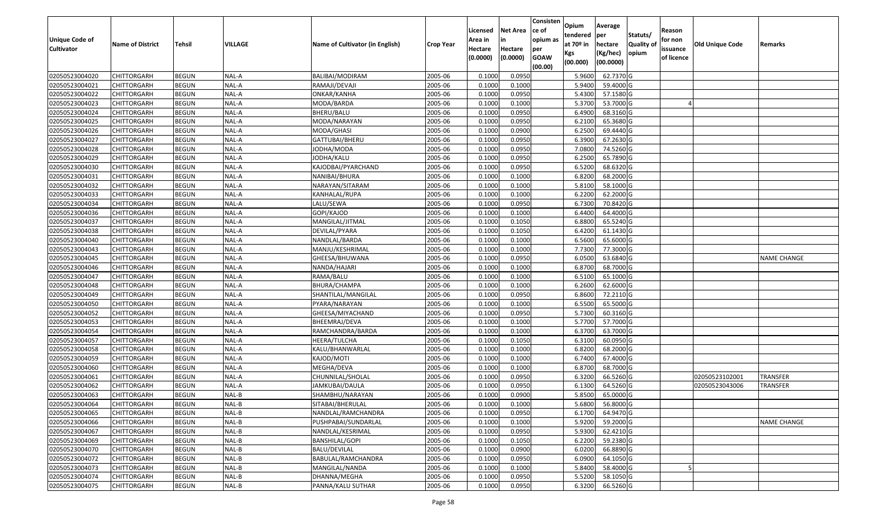|                       |                         |               |         |                                 |                  | Licensed | <b>Net Area</b> | Consisten<br>ce of | Opium           | Average               |                           | Reason     |                        |                    |
|-----------------------|-------------------------|---------------|---------|---------------------------------|------------------|----------|-----------------|--------------------|-----------------|-----------------------|---------------------------|------------|------------------------|--------------------|
| <b>Unique Code of</b> |                         |               |         |                                 |                  | Area in  | in              | opium as           | tendered        | per                   | Statuts/                  | for non    |                        |                    |
| <b>Cultivator</b>     | <b>Name of District</b> | <b>Tehsil</b> | VILLAGE | Name of Cultivator (in English) | <b>Crop Year</b> | Hectare  | Hectare         | per                | at $70°$ in     | hectare               | <b>Quality o</b><br>opium | issuance   | <b>Old Unique Code</b> | Remarks            |
|                       |                         |               |         |                                 |                  | (0.0000) | (0.0000)        | <b>GOAW</b>        | Kgs<br>(00.000) | (Kg/hec)<br>(00.0000) |                           | of licence |                        |                    |
|                       |                         |               |         |                                 |                  |          |                 | (00.00)            |                 |                       |                           |            |                        |                    |
| 02050523004020        | CHITTORGARH             | <b>BEGUN</b>  | NAL-A   | BALIBAI/MODIRAM                 | 2005-06          | 0.1000   | 0.0950          |                    | 5.9600          | 62.7370 G             |                           |            |                        |                    |
| 02050523004021        | CHITTORGARH             | <b>BEGUN</b>  | NAL-A   | RAMAJI/DEVAJI                   | 2005-06          | 0.1000   | 0.1000          |                    | 5.9400          | 59.4000 G             |                           |            |                        |                    |
| 02050523004022        | CHITTORGARH             | <b>BEGUN</b>  | NAL-A   | ONKAR/KANHA                     | 2005-06          | 0.1000   | 0.0950          |                    | 5.4300          | 57.1580 G             |                           |            |                        |                    |
| 02050523004023        | <b>CHITTORGARH</b>      | <b>BEGUN</b>  | NAL-A   | MODA/BARDA                      | 2005-06          | 0.1000   | 0.1000          |                    | 5.3700          | 53.7000 G             |                           |            |                        |                    |
| 02050523004024        | CHITTORGARH             | <b>BEGUN</b>  | NAL-A   | BHERU/BALU                      | 2005-06          | 0.1000   | 0.0950          |                    | 6.4900          | 68.3160 G             |                           |            |                        |                    |
| 02050523004025        | CHITTORGARH             | <b>BEGUN</b>  | NAL-A   | MODA/NARAYAN                    | 2005-06          | 0.1000   | 0.0950          |                    | 6.2100          | 65.3680 G             |                           |            |                        |                    |
| 02050523004026        | CHITTORGARH             | <b>BEGUN</b>  | NAL-A   | MODA/GHASI                      | 2005-06          | 0.1000   | 0.0900          |                    | 6.2500          | 69.4440 G             |                           |            |                        |                    |
| 02050523004027        | CHITTORGARH             | <b>BEGUN</b>  | NAL-A   | GATTUBAI/BHERU                  | 2005-06          | 0.1000   | 0.0950          |                    | 6.3900          | 67.2630 G             |                           |            |                        |                    |
| 02050523004028        | CHITTORGARH             | <b>BEGUN</b>  | NAL-A   | JODHA/MODA                      | 2005-06          | 0.1000   | 0.0950          |                    | 7.0800          | 74.5260 G             |                           |            |                        |                    |
| 02050523004029        | <b>CHITTORGARH</b>      | <b>BEGUN</b>  | NAL-A   | JODHA/KALU                      | 2005-06          | 0.1000   | 0.0950          |                    | 6.2500          | 65.7890 G             |                           |            |                        |                    |
| 02050523004030        | CHITTORGARH             | <b>BEGUN</b>  | NAL-A   | KAJODBAI/PYARCHAND              | 2005-06          | 0.1000   | 0.0950          |                    | 6.5200          | 68.6320 G             |                           |            |                        |                    |
| 02050523004031        | <b>CHITTORGARH</b>      | <b>BEGUN</b>  | NAL-A   | NANIBAI/BHURA                   | 2005-06          | 0.1000   | 0.1000          |                    | 6.8200          | 68.2000 G             |                           |            |                        |                    |
| 02050523004032        | <b>CHITTORGARH</b>      | <b>BEGUN</b>  | NAL-A   | NARAYAN/SITARAM                 | 2005-06          | 0.1000   | 0.1000          |                    | 5.8100          | 58.1000 G             |                           |            |                        |                    |
| 02050523004033        | CHITTORGARH             | <b>BEGUN</b>  | NAL-A   | KANHALAL/RUPA                   | 2005-06          | 0.1000   | 0.1000          |                    | 6.2200          | 62.2000 G             |                           |            |                        |                    |
| 02050523004034        | <b>CHITTORGARH</b>      | <b>BEGUN</b>  | NAL-A   | LALU/SEWA                       | 2005-06          | 0.1000   | 0.0950          |                    | 6.7300          | 70.8420 G             |                           |            |                        |                    |
| 02050523004036        | CHITTORGARH             | <b>BEGUN</b>  | NAL-A   | GOPI/KAJOD                      | 2005-06          | 0.1000   | 0.1000          |                    | 6.4400          | 64.4000 G             |                           |            |                        |                    |
| 02050523004037        | CHITTORGARH             | <b>BEGUN</b>  | NAL-A   | MANGILAL/JITMAL                 | 2005-06          | 0.1000   | 0.1050          |                    | 6.8800          | 65.5240 G             |                           |            |                        |                    |
| 02050523004038        | CHITTORGARH             | <b>BEGUN</b>  | NAL-A   | DEVILAL/PYARA                   | 2005-06          | 0.1000   | 0.1050          |                    | 6.4200          | 61.1430 G             |                           |            |                        |                    |
| 02050523004040        | CHITTORGARH             | <b>BEGUN</b>  | NAL-A   | NANDLAL/BARDA                   | 2005-06          | 0.1000   | 0.1000          |                    | 6.5600          | 65.6000G              |                           |            |                        |                    |
| 02050523004043        | CHITTORGARH             | <b>BEGUN</b>  | NAL-A   | MANJU/KESHRIMAL                 | 2005-06          | 0.1000   | 0.1000          |                    | 7.7300          | 77.3000G              |                           |            |                        |                    |
| 02050523004045        | CHITTORGARH             | <b>BEGUN</b>  | NAL-A   | GHEESA/BHUWANA                  | 2005-06          | 0.100    | 0.0950          |                    | 6.0500          | 63.6840 G             |                           |            |                        | <b>NAME CHANGE</b> |
| 02050523004046        | CHITTORGARH             | <b>BEGUN</b>  | NAL-A   | NANDA/HAJARI                    | 2005-06          | 0.100    | 0.1000          |                    | 6.870           | 68.7000 G             |                           |            |                        |                    |
| 02050523004047        | CHITTORGARH             | <b>BEGUN</b>  | NAL-A   | RAMA/BALU                       | 2005-06          | 0.1000   | 0.1000          |                    | 6.5100          | 65.1000G              |                           |            |                        |                    |
| 02050523004048        | CHITTORGARH             | <b>BEGUN</b>  | NAL-A   | BHURA/CHAMPA                    | 2005-06          | 0.100    | 0.1000          |                    | 6.2600          | 62.6000G              |                           |            |                        |                    |
| 02050523004049        | <b>CHITTORGARH</b>      | <b>BEGUN</b>  | NAL-A   | SHANTILAL/MANGILAL              | 2005-06          | 0.1000   | 0.0950          |                    | 6.8600          | 72.2110 G             |                           |            |                        |                    |
| 02050523004050        | CHITTORGARH             | <b>BEGUN</b>  | NAL-A   | PYARA/NARAYAN                   | 2005-06          | 0.1000   | 0.1000          |                    | 6.5500          | 65.5000G              |                           |            |                        |                    |
| 02050523004052        | CHITTORGARH             | <b>BEGUN</b>  | NAL-A   | GHEESA/MIYACHAND                | 2005-06          | 0.1000   | 0.0950          |                    | 5.7300          | 60.3160 G             |                           |            |                        |                    |
| 02050523004053        | CHITTORGARH             | <b>BEGUN</b>  | NAL-A   | BHEEMRAJ/DEVA                   | 2005-06          | 0.1000   | 0.1000          |                    | 5.7700          | 57.7000G              |                           |            |                        |                    |
| 02050523004054        | CHITTORGARH             | <b>BEGUN</b>  | NAL-A   | RAMCHANDRA/BARDA                | 2005-06          | 0.1000   | 0.1000          |                    | 6.3700          | 63.7000 G             |                           |            |                        |                    |
| 02050523004057        | <b>CHITTORGARH</b>      | <b>BEGUN</b>  | NAL-A   | HEERA/TULCHA                    | 2005-06          | 0.1000   | 0.1050          |                    | 6.3100          | 60.0950 G             |                           |            |                        |                    |
| 02050523004058        | CHITTORGARH             | <b>BEGUN</b>  | NAL-A   | KALU/BHANWARLAL                 | 2005-06          | 0.1000   | 0.1000          |                    | 6.8200          | 68.2000 G             |                           |            |                        |                    |
| 02050523004059        | CHITTORGARH             | <b>BEGUN</b>  | NAL-A   | KAJOD/MOTI                      | 2005-06          | 0.1000   | 0.1000          |                    | 6.7400          | 67.4000 G             |                           |            |                        |                    |
| 02050523004060        | CHITTORGARH             | <b>BEGUN</b>  | NAL-A   | MEGHA/DEVA                      | 2005-06          | 0.1000   | 0.1000          |                    | 6.8700          | 68.7000G              |                           |            |                        |                    |
| 02050523004061        | CHITTORGARH             | <b>BEGUN</b>  | NAL-A   | CHUNNILAL/SHOLAL                | 2005-06          | 0.1000   | 0.0950          |                    | 6.3200          | 66.5260 G             |                           |            | 02050523102001         | <b>TRANSFER</b>    |
| 02050523004062        | CHITTORGARH             | <b>BEGUN</b>  | NAL-A   | IAMKUBAI/DAULA                  | 2005-06          | 0.1000   | 0.0950          |                    | 6.1300          | 64.5260 G             |                           |            | 02050523043006         | <b>TRANSFER</b>    |
| 02050523004063        | CHITTORGARH             | <b>BEGUN</b>  | NAL-B   | SHAMBHU/NARAYAN                 | 2005-06          | 0.1000   | 0.0900          |                    | 5.8500          | 65.0000G              |                           |            |                        |                    |
| 02050523004064        | <b>CHITTORGARH</b>      | <b>BEGUN</b>  | $NAL-B$ | SITABAI/BHERULAL                | 2005-06          | 0.1000   | 0.1000          |                    | 5.6800          | 56.8000 G             |                           |            |                        |                    |
| 02050523004065        | <b>CHITTORGARH</b>      | <b>BEGUN</b>  | NAL-B   | NANDLAL/RAMCHANDRA              | 2005-06          | 0.1000   | 0.0950          |                    | 6.1700          | 64.9470 G             |                           |            |                        |                    |
| 02050523004066        | <b>CHITTORGARH</b>      | <b>BEGUN</b>  | NAL-B   | PUSHPABAI/SUNDARLAL             | 2005-06          | 0.1000   | 0.1000          |                    | 5.9200          | 59.2000 G             |                           |            |                        | <b>NAME CHANGE</b> |
| 02050523004067        | <b>CHITTORGARH</b>      | <b>BEGUN</b>  | NAL-B   | NANDLAL/KESRIMAL                | 2005-06          | 0.1000   | 0.0950          |                    | 5.9300          | 62.4210 G             |                           |            |                        |                    |
| 02050523004069        | <b>CHITTORGARH</b>      | <b>BEGUN</b>  | NAL-B   | BANSHILAL/GOPI                  | 2005-06          | 0.1000   | 0.1050          |                    | 6.2200          | 59.2380 G             |                           |            |                        |                    |
| 02050523004070        | <b>CHITTORGARH</b>      | <b>BEGUN</b>  | NAL-B   | <b>BALU/DEVILAL</b>             | 2005-06          | 0.1000   | 0.0900          |                    | 6.0200          | 66.8890 G             |                           |            |                        |                    |
| 02050523004072        | <b>CHITTORGARH</b>      | <b>BEGUN</b>  | NAL-B   | BABULAL/RAMCHANDRA              | 2005-06          | 0.1000   | 0.0950          |                    | 6.0900          | 64.1050 G             |                           |            |                        |                    |
| 02050523004073        | CHITTORGARH             | <b>BEGUN</b>  | NAL-B   | MANGILAL/NANDA                  | 2005-06          | 0.1000   | 0.1000          |                    | 5.8400          | 58.4000 G             |                           |            |                        |                    |
| 02050523004074        | <b>CHITTORGARH</b>      | <b>BEGUN</b>  | $NAL-B$ | DHANNA/MEGHA                    | 2005-06          | 0.1000   | 0.0950          |                    | 5.5200          | 58.1050 G             |                           |            |                        |                    |
| 02050523004075        | <b>CHITTORGARH</b>      | <b>BEGUN</b>  | $NAL-B$ | PANNA/KALU SUTHAR               | 2005-06          | 0.1000   | 0.0950          |                    | 6.3200          | 66.5260 G             |                           |            |                        |                    |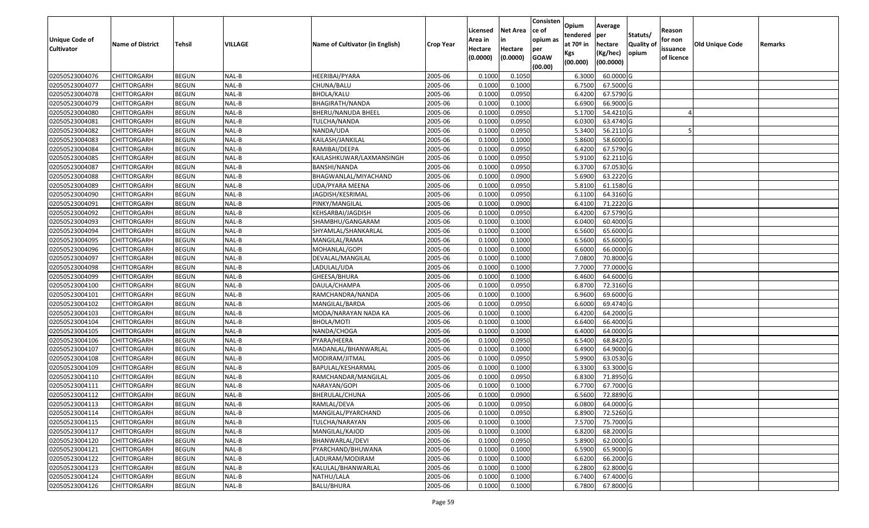| Unique Code of<br><b>Cultivator</b> | <b>Name of District</b> | <b>Tehsil</b> | VILLAGE | Name of Cultivator (in English) | <b>Crop Year</b> | Licensed<br>Area in<br>Hectare<br>(0.0000) | <b>Net Area</b><br>in<br>Hectare<br>(0.0000) | Consisten<br>ce of<br>opium as<br>per<br><b>GOAW</b><br>(00.00) | Opium<br>tendered<br>at $70°$ in<br>Kgs<br>(00.000) | Average<br>per<br>hectare<br>(Kg/hec)<br>(00.0000) | Statuts/<br>Quality of<br>opium | Reason<br>for non<br>issuance<br>of licence | <b>Old Unique Code</b> | Remarks |
|-------------------------------------|-------------------------|---------------|---------|---------------------------------|------------------|--------------------------------------------|----------------------------------------------|-----------------------------------------------------------------|-----------------------------------------------------|----------------------------------------------------|---------------------------------|---------------------------------------------|------------------------|---------|
| 02050523004076                      | CHITTORGARH             | <b>BEGUN</b>  | NAL-B   | HEERIBAI/PYARA                  | 2005-06          | 0.1000                                     | 0.1050                                       |                                                                 | 6.3000                                              | 60.0000G                                           |                                 |                                             |                        |         |
| 02050523004077                      | CHITTORGARH             | <b>BEGUN</b>  | NAL-B   | CHUNA/BALU                      | 2005-06          | 0.1000                                     | 0.1000                                       |                                                                 | 6.7500                                              | 67.5000 G                                          |                                 |                                             |                        |         |
| 02050523004078                      | CHITTORGARH             | <b>BEGUN</b>  | NAL-B   | BHOLA/KALU                      | 2005-06          | 0.100                                      | 0.0950                                       |                                                                 | 6.4200                                              | 67.5790 G                                          |                                 |                                             |                        |         |
| 02050523004079                      | CHITTORGARH             | <b>BEGUN</b>  | NAL-B   | BHAGIRATH/NANDA                 | 2005-06          | 0.1000                                     | 0.1000                                       |                                                                 | 6.6900                                              | 66.9000 G                                          |                                 |                                             |                        |         |
| 02050523004080                      | CHITTORGARH             | <b>BEGUN</b>  | NAL-B   | BHERU/NANUDA BHEEL              | 2005-06          | 0.1000                                     | 0.0950                                       |                                                                 | 5.1700                                              | 54.4210 G                                          |                                 |                                             |                        |         |
| 02050523004081                      | CHITTORGARH             | <b>BEGUN</b>  | NAL-B   | TULCHA/NANDA                    | 2005-06          | 0.1000                                     | 0.0950                                       |                                                                 | 6.0300                                              | 63.4740 G                                          |                                 |                                             |                        |         |
| 02050523004082                      | CHITTORGARH             | <b>BEGUN</b>  | NAL-B   | NANDA/UDA                       | 2005-06          | 0.1000                                     | 0.0950                                       |                                                                 | 5.3400                                              | 56.2110 G                                          |                                 |                                             |                        |         |
| 02050523004083                      | CHITTORGARH             | <b>BEGUN</b>  | NAL-B   | KAILASH/JANKILAL                | 2005-06          | 0.1000                                     | 0.1000                                       |                                                                 | 5.8600                                              | 58.6000 G                                          |                                 |                                             |                        |         |
| 02050523004084                      | CHITTORGARH             | <b>BEGUN</b>  | NAL-B   | RAMIBAI/DEEPA                   | 2005-06          | 0.1000                                     | 0.0950                                       |                                                                 | 6.4200                                              | 67.5790 G                                          |                                 |                                             |                        |         |
| 02050523004085                      | CHITTORGARH             | <b>BEGUN</b>  | NAL-B   | KAILASHKUWAR/LAXMANSINGH        | 2005-06          | 0.1000                                     | 0.0950                                       |                                                                 | 5.9100                                              | 62.2110G                                           |                                 |                                             |                        |         |
| 02050523004087                      | CHITTORGARH             | <b>BEGUN</b>  | NAL-B   | BANSHI/NANDA                    | 2005-06          | 0.1000                                     | 0.0950                                       |                                                                 | 6.3700                                              | 67.0530 G                                          |                                 |                                             |                        |         |
| 02050523004088                      | <b>CHITTORGARH</b>      | <b>BEGUN</b>  | NAL-B   | BHAGWANLAL/MIYACHAND            | 2005-06          | 0.1000                                     | 0.0900                                       |                                                                 | 5.6900                                              | 63.2220 G                                          |                                 |                                             |                        |         |
| 02050523004089                      | CHITTORGARH             | <b>BEGUN</b>  | NAL-B   | UDA/PYARA MEENA                 | 2005-06          | 0.1000                                     | 0.0950                                       |                                                                 | 5.8100                                              | 61.1580 G                                          |                                 |                                             |                        |         |
| 02050523004090                      | CHITTORGARH             | <b>BEGUN</b>  | NAL-B   | JAGDISH/KESRIMAL                | 2005-06          | 0.1000                                     | 0.0950                                       |                                                                 | 6.1100                                              | 64.3160 G                                          |                                 |                                             |                        |         |
| 02050523004091                      | CHITTORGARH             | <b>BEGUN</b>  | NAL-B   | PINKY/MANGILAL                  | 2005-06          | 0.1000                                     | 0.0900                                       |                                                                 | 6.4100                                              | 71.2220 G                                          |                                 |                                             |                        |         |
| 02050523004092                      | <b>CHITTORGARH</b>      | <b>BEGUN</b>  | NAL-B   | KEHSARBAI/JAGDISH               | 2005-06          | 0.1000                                     | 0.0950                                       |                                                                 | 6.4200                                              | 67.5790 G                                          |                                 |                                             |                        |         |
| 02050523004093                      | <b>CHITTORGARH</b>      | <b>BEGUN</b>  | NAL-B   | SHAMBHU/GANGARAM                | 2005-06          | 0.1000                                     | 0.1000                                       |                                                                 | 6.0400                                              | 60.4000 G                                          |                                 |                                             |                        |         |
| 02050523004094                      | CHITTORGARH             | <b>BEGUN</b>  | NAL-B   | SHYAMLAL/SHANKARLAL             | 2005-06          | 0.100                                      | 0.1000                                       |                                                                 | 6.5600                                              | 65.6000G                                           |                                 |                                             |                        |         |
| 02050523004095                      | CHITTORGARH             | <b>BEGUN</b>  | NAL-B   | MANGILAL/RAMA                   | 2005-06          | 0.1000                                     | 0.1000                                       |                                                                 | 6.5600                                              | 65.6000G                                           |                                 |                                             |                        |         |
| 02050523004096                      | CHITTORGARH             | <b>BEGUN</b>  | NAL-B   | MOHANLAL/GOPI                   | 2005-06          | 0.1000                                     | 0.1000                                       |                                                                 | 6.6000                                              | 66.0000G                                           |                                 |                                             |                        |         |
| 02050523004097                      | <b>CHITTORGARH</b>      | <b>BEGUN</b>  | NAL-B   | DEVALAL/MANGILAL                | 2005-06          | 0.1000                                     | 0.1000                                       |                                                                 | 7.0800                                              | 70.8000 G                                          |                                 |                                             |                        |         |
| 02050523004098                      | <b>CHITTORGARH</b>      | <b>BEGUN</b>  | NAL-B   | LADULAL/UDA                     | 2005-06          | 0.1000                                     | 0.1000                                       |                                                                 | 7.7000                                              | 77.0000 G                                          |                                 |                                             |                        |         |
| 02050523004099                      | CHITTORGARH             | <b>BEGUN</b>  | NAL-B   | GHEESA/BHURA                    | 2005-06          | 0.1000                                     | 0.1000                                       |                                                                 | 6.4600                                              | 64.6000 G                                          |                                 |                                             |                        |         |
| 02050523004100                      | CHITTORGARH             | <b>BEGUN</b>  | NAL-B   | DAULA/CHAMPA                    | 2005-06          | 0.1000                                     | 0.0950                                       |                                                                 | 6.8700                                              | 72.3160 G                                          |                                 |                                             |                        |         |
| 02050523004101                      | CHITTORGARH             | <b>BEGUN</b>  | NAL-B   | RAMCHANDRA/NANDA                | 2005-06          | 0.1000                                     | 0.1000                                       |                                                                 | 6.9600                                              | 69.6000 G                                          |                                 |                                             |                        |         |
| 02050523004102                      | CHITTORGARH             | <b>BEGUN</b>  | NAL-B   | MANGILAL/BARDA                  | 2005-06          | 0.1000                                     | 0.0950                                       |                                                                 | 6.6000                                              | 69.4740 G                                          |                                 |                                             |                        |         |
| 02050523004103                      | CHITTORGARH             | <b>BEGUN</b>  | NAL-B   | MODA/NARAYAN NADA KA            | 2005-06          | 0.1000                                     | 0.1000                                       |                                                                 | 6.4200                                              | 64.2000 G                                          |                                 |                                             |                        |         |
| 02050523004104                      | CHITTORGARH             | <b>BEGUN</b>  | NAL-B   | BHOLA/MOTI                      | 2005-06          | 0.1000                                     | 0.1000                                       |                                                                 | 6.6400                                              | 66.4000 G                                          |                                 |                                             |                        |         |
| 02050523004105                      | CHITTORGARH             | <b>BEGUN</b>  | NAL-B   | NANDA/CHOGA                     | 2005-06          | 0.1000                                     | 0.1000                                       |                                                                 | 6.4000                                              | 64.0000 G                                          |                                 |                                             |                        |         |
| 02050523004106                      | CHITTORGARH             | <b>BEGUN</b>  | NAL-B   | PYARA/HEERA                     | 2005-06          | 0.1000                                     | 0.0950                                       |                                                                 | 6.5400                                              | $68.8420$ G                                        |                                 |                                             |                        |         |
| 02050523004107                      | CHITTORGARH             | <b>BEGUN</b>  | NAL-B   | MADANLAL/BHANWARLAL             | 2005-06          | 0.1000                                     | 0.1000                                       |                                                                 | 6.4900                                              | 64.9000 G                                          |                                 |                                             |                        |         |
| 02050523004108                      | CHITTORGARH             | <b>BEGUN</b>  | NAL-B   | MODIRAM/JITMAL                  | 2005-06          | 0.1000                                     | 0.0950                                       |                                                                 | 5.9900                                              | 63.0530 G                                          |                                 |                                             |                        |         |
| 02050523004109                      | CHITTORGARH             | <b>BEGUN</b>  | NAL-B   | BAPULAL/KESHARMAL               | 2005-06          | 0.1000                                     | 0.1000                                       |                                                                 | 6.3300                                              | 63.3000G                                           |                                 |                                             |                        |         |
| 02050523004110                      | CHITTORGARH             | <b>BEGUN</b>  | NAL-B   | RAMCHANDAR/MANGILAL             | 2005-06          | 0.1000                                     | 0.0950                                       |                                                                 | 6.8300                                              | 71.8950 G                                          |                                 |                                             |                        |         |
| 02050523004111                      | CHITTORGARH             | <b>BEGUN</b>  | NAL-B   | NARAYAN/GOPI                    | 2005-06          | 0.1000                                     | 0.1000                                       |                                                                 | 6.7700                                              | 67.7000 G                                          |                                 |                                             |                        |         |
| 02050523004112                      | CHITTORGARH             | <b>BEGUN</b>  | NAL-B   | BHERULAL/CHUNA                  | 2005-06          | 0.1000                                     | 0.0900                                       |                                                                 | 6.5600                                              | 72.8890 G                                          |                                 |                                             |                        |         |
| 02050523004113                      | <b>CHITTORGARH</b>      | <b>BEGUN</b>  | $NAL-B$ | RAMLAL/DEVA                     | 2005-06          | 0.1000                                     | 0.0950                                       |                                                                 | 6.0800                                              | 64.0000 G                                          |                                 |                                             |                        |         |
| 02050523004114                      | <b>CHITTORGARH</b>      | <b>BEGUN</b>  | NAL-B   | MANGILAL/PYARCHAND              | 2005-06          | 0.1000                                     | 0.0950                                       |                                                                 | 6.8900                                              | 72.5260 G                                          |                                 |                                             |                        |         |
| 02050523004115                      | <b>CHITTORGARH</b>      | <b>BEGUN</b>  | NAL-B   | TULCHA/NARAYAN                  | 2005-06          | 0.1000                                     | 0.1000                                       |                                                                 | 7.5700                                              | 75.7000 G                                          |                                 |                                             |                        |         |
| 02050523004117                      | <b>CHITTORGARH</b>      | <b>BEGUN</b>  | NAL-B   | MANGILAL/KAJOD                  | 2005-06          | 0.1000                                     | 0.1000                                       |                                                                 | 6.8200                                              | 68.2000 G                                          |                                 |                                             |                        |         |
| 02050523004120                      | <b>CHITTORGARH</b>      | <b>BEGUN</b>  | $NAL-B$ | BHANWARLAL/DEVI                 | 2005-06          | 0.1000                                     | 0.0950                                       |                                                                 | 5.8900                                              | 62.0000 G                                          |                                 |                                             |                        |         |
| 02050523004121                      | <b>CHITTORGARH</b>      | <b>BEGUN</b>  | NAL-B   | PYARCHAND/BHUWANA               | 2005-06          | 0.1000                                     | 0.1000                                       |                                                                 | 6.5900                                              | 65.9000 G                                          |                                 |                                             |                        |         |
| 02050523004122                      | <b>CHITTORGARH</b>      | <b>BEGUN</b>  | NAL-B   | LADURAM/MODIRAM                 | 2005-06          | 0.1000                                     | 0.1000                                       |                                                                 | 6.6200                                              | 66.2000 G                                          |                                 |                                             |                        |         |
| 02050523004123                      | <b>CHITTORGARH</b>      | <b>BEGUN</b>  | NAL-B   | KALULAL/BHANWARLAL              | 2005-06          | 0.1000                                     | 0.1000                                       |                                                                 | 6.2800                                              | 62.8000 G                                          |                                 |                                             |                        |         |
| 02050523004124                      | <b>CHITTORGARH</b>      | <b>BEGUN</b>  | NAL-B   | NATHU/LALA                      | 2005-06          | 0.1000                                     | 0.1000                                       |                                                                 | 6.7400                                              | 67.4000 G                                          |                                 |                                             |                        |         |
| 02050523004126                      | <b>CHITTORGARH</b>      | <b>BEGUN</b>  | NAL-B   | BALU/BHURA                      | 2005-06          | 0.1000                                     | 0.1000                                       |                                                                 | 6.7800                                              | 67.8000 G                                          |                                 |                                             |                        |         |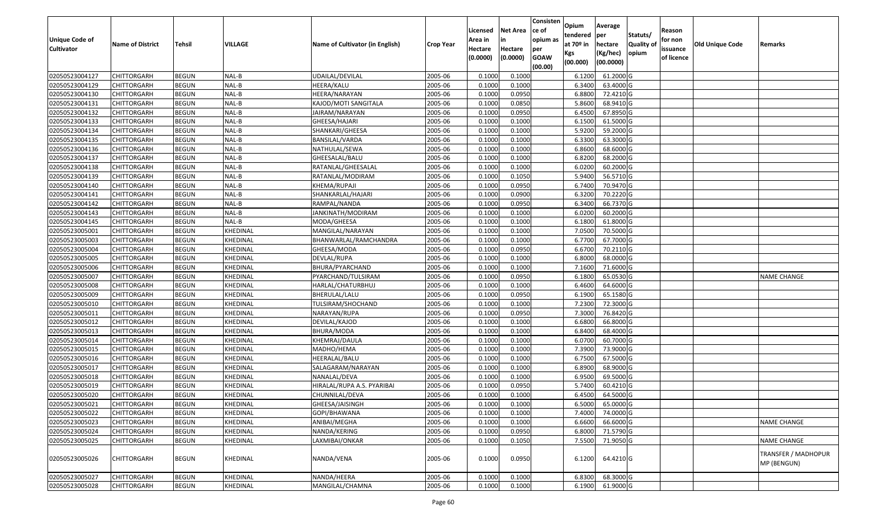| Statuts/<br>tendered<br>per<br>opium as<br>Unique Code of<br>for non<br>Area in<br>in<br>at $70°$ in<br><b>Quality o</b><br>VILLAGE<br><b>Name of District</b><br><b>Tehsil</b><br>Name of Cultivator (in English)<br>hectare<br><b>Crop Year</b><br><b>Cultivator</b><br>Hectare<br>Hectare<br>issuance<br>per<br>opium | <b>Old Unique Code</b><br>Remarks         |
|--------------------------------------------------------------------------------------------------------------------------------------------------------------------------------------------------------------------------------------------------------------------------------------------------------------------------|-------------------------------------------|
|                                                                                                                                                                                                                                                                                                                          |                                           |
| (Kg/hec)<br>Kgs                                                                                                                                                                                                                                                                                                          |                                           |
| (0.0000)<br><b>GOAW</b><br>(0.0000)<br>of licence<br>(00.0000)<br>(00.000)                                                                                                                                                                                                                                               |                                           |
| (00.00)                                                                                                                                                                                                                                                                                                                  |                                           |
| 02050523004127<br>NAL-B<br>UDAILAL/DEVILAL<br>0.1000<br>0.1000<br>61.2000 G<br>CHITTORGARH<br><b>BEGUN</b><br>2005-06<br>6.1200                                                                                                                                                                                          |                                           |
| 02050523004129<br>NAL-B<br>0.1000<br>0.1000<br>6.3400<br>63.4000 G<br>CHITTORGARH<br><b>BEGUN</b><br>HEERA/KALU<br>2005-06                                                                                                                                                                                               |                                           |
| NAL-B<br>2005-06<br>0.1000<br>0.0950<br>6.8800<br>72.4210 G<br>02050523004130<br>CHITTORGARH<br><b>BEGUN</b><br>HEERA/NARAYAN                                                                                                                                                                                            |                                           |
| 02050523004131<br><b>CHITTORGARH</b><br><b>BEGUN</b><br>NAL-B<br>KAJOD/MOTI SANGITALA<br>2005-06<br>0.1000<br>0.0850<br>5.8600<br>68.9410 G                                                                                                                                                                              |                                           |
| 02050523004132<br><b>BEGUN</b><br>NAL-B<br>2005-06<br>0.1000<br>0.0950<br>67.8950 G<br>CHITTORGARH<br>JAIRAM/NARAYAN<br>6.4500                                                                                                                                                                                           |                                           |
| 02050523004133<br>CHITTORGARH<br><b>BEGUN</b><br>NAL-B<br>2005-06<br>0.1000<br>0.1000<br>6.1500<br>61.5000 G<br>GHEESA/HAJARI                                                                                                                                                                                            |                                           |
| <b>BEGUN</b><br>NAL-B<br>2005-06<br>0.1000<br>0.1000<br>5.9200<br>59.2000 G<br>02050523004134<br>CHITTORGARH<br>SHANKARI/GHEESA                                                                                                                                                                                          |                                           |
| 02050523004135<br>CHITTORGARH<br><b>BEGUN</b><br>NAL-B<br>BANSILAL/VARDA<br>2005-06<br>0.1000<br>0.1000<br>6.3300<br>63.3000 G                                                                                                                                                                                           |                                           |
| 02050523004136<br>NAL-B<br>2005-06<br>0.1000<br>68.6000 G<br>CHITTORGARH<br><b>BEGUN</b><br>NATHULAL/SEWA<br>0.1000<br>6.8600                                                                                                                                                                                            |                                           |
| 02050523004137<br><b>BEGUN</b><br>NAL-B<br>2005-06<br>0.1000<br>0.1000<br>6.8200<br>68.2000 G<br>CHITTORGARH<br>GHEESALAL/BALU                                                                                                                                                                                           |                                           |
| 0.1000<br>02050523004138<br><b>BEGUN</b><br>NAL-B<br>0.1000<br>6.0200<br>60.2000 G<br>CHITTORGARH<br>RATANLAL/GHEESALAL<br>2005-06                                                                                                                                                                                       |                                           |
| 02050523004139<br>CHITTORGARH<br><b>BEGUN</b><br>NAL-B<br>2005-06<br>0.1000<br>0.1050<br>5.9400<br>56.5710 G<br>RATANLAL/MODIRAM                                                                                                                                                                                         |                                           |
| 70.9470 G<br>02050523004140<br>NAL-B<br>0.1000<br>0.0950<br>6.7400<br><b>CHITTORGARH</b><br><b>BEGUN</b><br>KHEMA/RUPAJI<br>2005-06                                                                                                                                                                                      |                                           |
| 70.2220 G<br>02050523004141<br>NAL-B<br>2005-06<br>0.100<br>0.0900<br>6.3200<br>CHITTORGARH<br><b>BEGUN</b><br>SHANKARLAL/HAJARI                                                                                                                                                                                         |                                           |
| 6.3400<br><b>BEGUN</b><br>NAL-B<br>0.1000<br>0.0950<br>66.7370 G<br>02050523004142<br><b>CHITTORGARH</b><br>2005-06<br>RAMPAL/NANDA                                                                                                                                                                                      |                                           |
| 02050523004143<br><b>BEGUN</b><br>NAL-B<br>2005-06<br>0.1000<br>0.1000<br>6.0200<br>60.2000 G<br>CHITTORGARH<br>JANKINATH/MODIRAM                                                                                                                                                                                        |                                           |
| 02050523004145<br>NAL-B<br>0.100<br>0.1000<br>6.1800<br>61.8000 G<br>CHITTORGARH<br><b>BEGUN</b><br>MODA/GHEESA<br>2005-06                                                                                                                                                                                               |                                           |
| 02050523005001<br>70.5000 G<br>KHEDINAL<br>2005-06<br>0.100<br>0.1000<br>7.0500<br>CHITTORGARH<br><b>BEGUN</b><br>MANGILAL/NARAYAN                                                                                                                                                                                       |                                           |
| 6.7700<br>02050523005003<br><b>BEGUN</b><br>KHEDINAL<br>0.100<br>0.1000<br>67.7000 G<br>CHITTORGARH<br>BHANWARLAL/RAMCHANDRA<br>2005-06                                                                                                                                                                                  |                                           |
| <b>BEGUN</b><br>KHEDINAL<br>2005-06<br>0.1000<br>0.0950<br>6.6700<br>70.2110G<br>02050523005004<br>CHITTORGARH<br>GHEESA/MODA                                                                                                                                                                                            |                                           |
| 02050523005005<br>KHEDINAL<br>DEVLAL/RUPA<br>2005-06<br>0.100<br>0.1000<br>6.8000<br>68.0000G<br>CHITTORGARH<br><b>BEGUN</b>                                                                                                                                                                                             |                                           |
| 02050523005006<br><b>BEGUN</b><br>2005-06<br>0.100<br>0.1000<br>7.1600<br>71.6000G<br>CHITTORGARH<br>KHEDINAL<br>BHURA/PYARCHAND                                                                                                                                                                                         |                                           |
| 02050523005007<br>KHEDINAL<br>0.1000<br>0.0950<br>6.1800<br>65.0530 G<br>CHITTORGARH<br><b>BEGUN</b><br>PYARCHAND/TULSIRAM<br>2005-06                                                                                                                                                                                    | <b>NAME CHANGE</b>                        |
| KHEDINAL<br>0.100<br>0.1000<br>64.6000 G<br>02050523005008<br>CHITTORGARH<br><b>BEGUN</b><br>HARLAL/CHATURBHUJ<br>2005-06<br>6.4600                                                                                                                                                                                      |                                           |
| 65.1580 G<br>02050523005009<br><b>CHITTORGARH</b><br><b>BEGUN</b><br>KHEDINAL<br>BHERULAL/LALU<br>2005-06<br>0.1000<br>0.0950<br>6.1900                                                                                                                                                                                  |                                           |
| 02050523005010<br>0.1000<br>7.2300<br>72.3000G<br>CHITTORGARH<br><b>BEGUN</b><br>KHEDINAL<br>TULSIRAM/SHOCHAND<br>2005-06<br>0.1000                                                                                                                                                                                      |                                           |
| 02050523005011<br><b>BEGUN</b><br>KHEDINAL<br>2005-06<br>0.1000<br>0.0950<br>7.3000<br>76.8420 G<br>CHITTORGARH<br>NARAYAN/RUPA                                                                                                                                                                                          |                                           |
| 0.1000<br>0.1000<br>6.6800<br>66.8000 G<br>02050523005012<br>CHITTORGARH<br><b>BEGUN</b><br>KHEDINAL<br>2005-06<br>DEVILAL/KAJOD                                                                                                                                                                                         |                                           |
| 02050523005013<br><b>BEGUN</b><br>KHEDINAL<br>2005-06<br>0.1000<br>0.1000<br>6.8400<br>68.4000 G<br>CHITTORGARH<br>BHURA/MODA                                                                                                                                                                                            |                                           |
| 02050523005014<br><b>BEGUN</b><br>KHEDINAL<br>KHEMRAJ/DAULA<br>2005-06<br>0.1000<br>0.1000<br>6.0700<br>60.7000 G<br>CHITTORGARH                                                                                                                                                                                         |                                           |
| 73.9000 G<br>02050523005015<br><b>BEGUN</b><br>KHEDINAL<br>2005-06<br>0.100<br>0.1000<br>7.3900<br>CHITTORGARH<br>МАDНО/НЕМА                                                                                                                                                                                             |                                           |
| <b>BEGUN</b><br>KHEDINAL<br>2005-06<br>0.100<br>0.1000<br>6.7500<br>67.5000G<br>02050523005016<br>CHITTORGARH<br>HEERALAL/BALU                                                                                                                                                                                           |                                           |
| 02050523005017<br>CHITTORGARH<br><b>BEGUN</b><br>KHEDINAL<br>2005-06<br>0.100<br>0.1000<br>6.8900<br>68.9000 G<br>SALAGARAM/NARAYAN                                                                                                                                                                                      |                                           |
| 02050523005018<br>2005-06<br>69.5000 G<br>CHITTORGARH<br><b>BEGUN</b><br>KHEDINAL<br>NANALAL/DEVA<br>0.1000<br>0.1000<br>6.9500                                                                                                                                                                                          |                                           |
| 02050523005019<br><b>BEGUN</b><br>KHEDINAL<br>HIRALAL/RUPA A.S. PYARIBAI<br>0.1000<br>0.0950<br>5.7400<br>60.4210 G<br>CHITTORGARH<br>2005-06                                                                                                                                                                            |                                           |
| 02050523005020<br>0.1000<br>0.1000<br>6.4500<br>64.5000 G<br>CHITTORGARH<br><b>BEGUN</b><br>KHEDINAL<br>2005-06<br>CHUNNILAL/DEVA                                                                                                                                                                                        |                                           |
| 02050523005021<br><b>BEGUN</b><br>GHEESA/JAISINGH<br>2005-06<br>0.1000<br>0.1000<br>65.0000G<br><b>CHITTORGARH</b><br>KHEDINAL<br>6.5000                                                                                                                                                                                 |                                           |
| 02050523005022<br>2005-06<br>0.1000<br>0.1000<br>7.4000<br>74.0000 G<br><b>CHITTORGARH</b><br><b>BEGUN</b><br>KHEDINAL<br>GOPI/BHAWANA                                                                                                                                                                                   |                                           |
| 02050523005023<br>0.1000<br>6.6600<br>66.6000 G<br><b>CHITTORGARH</b><br><b>BEGUN</b><br>KHEDINAL<br>ANIBAI/MEGHA<br>2005-06<br>0.1000                                                                                                                                                                                   | <b>NAME CHANGE</b>                        |
| 02050523005024<br>0.0950<br>6.8000<br>71.5790 G<br><b>BEGUN</b><br>KHEDINAL<br>2005-06<br>0.1000<br>CHITTORGARH<br>NANDA/KERING                                                                                                                                                                                          |                                           |
| 0.1050<br>71.9050 G<br>02050523005025<br><b>BEGUN</b><br>KHEDINAL<br>LAXMIBAI/ONKAR<br>2005-06<br>7.5500<br>CHITTORGARH<br>0.1000                                                                                                                                                                                        | <b>NAME CHANGE</b>                        |
| 0.0950<br>64.4210 G<br>02050523005026<br><b>CHITTORGARH</b><br><b>BEGUN</b><br>KHEDINAL<br>NANDA/VENA<br>2005-06<br>0.1000<br>6.1200                                                                                                                                                                                     | <b>TRANSFER / MADHOPUR</b><br>MP (BENGUN) |
| KHEDINAL<br>NANDA/HEERA<br>0.1000<br>0.1000<br>6.8300<br>68.3000 G<br>02050523005027<br>CHITTORGARH<br><b>BEGUN</b><br>2005-06                                                                                                                                                                                           |                                           |
| 02050523005028<br>0.1000<br>0.1000<br>6.1900<br>61.9000 G<br><b>CHITTORGARH</b><br>KHEDINAL<br>MANGILAL/CHAMNA<br>2005-06<br><b>BEGUN</b>                                                                                                                                                                                |                                           |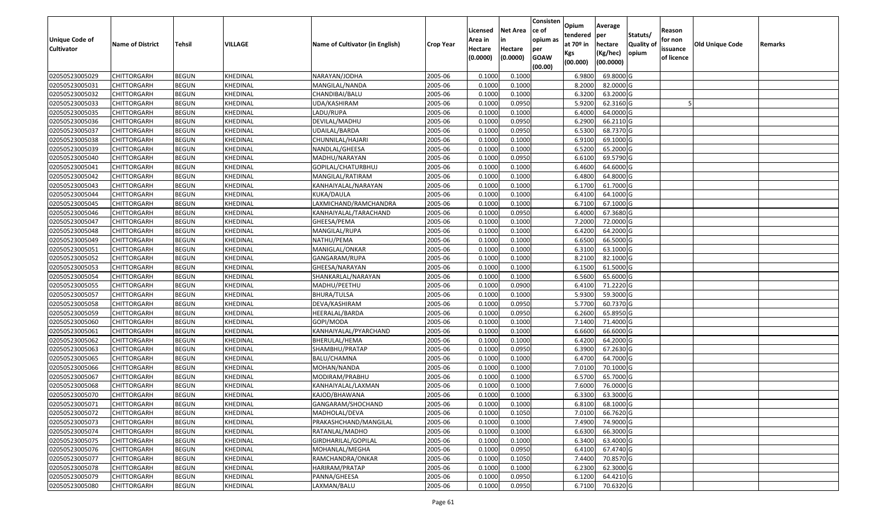| <b>Unique Code of</b><br><b>Cultivator</b> | <b>Name of District</b> | <b>Tehsil</b> | VILLAGE  | Name of Cultivator (in English) | <b>Crop Year</b> | Licensed<br>Area in<br>Hectare | <b>Net Area</b><br>in<br>Hectare | Consisten<br>ce of<br>opium as<br>per | Opium<br>tendered<br>at $70°$ in | Average<br>per<br>hectare | Statuts/<br><b>Quality o</b> | Reason<br>for non<br>issuance | Old Unique Code | Remarks |
|--------------------------------------------|-------------------------|---------------|----------|---------------------------------|------------------|--------------------------------|----------------------------------|---------------------------------------|----------------------------------|---------------------------|------------------------------|-------------------------------|-----------------|---------|
|                                            |                         |               |          |                                 |                  | (0.0000)                       | (0.0000)                         | <b>GOAW</b><br>(00.00)                | Kgs<br>(00.000)                  | (Kg/hec)<br>(00.0000)     | opium                        | of licence                    |                 |         |
| 02050523005029                             | CHITTORGARH             | <b>BEGUN</b>  | KHEDINAL | NARAYAN/JODHA                   | 2005-06          | 0.1000                         | 0.1000                           |                                       | 6.9800                           | 69.8000 G                 |                              |                               |                 |         |
| 02050523005031                             | CHITTORGARH             | <b>BEGUN</b>  | KHEDINAL | MANGILAL/NANDA                  | 2005-06          | 0.1000                         | 0.1000                           |                                       | 8.2000                           | 82.0000 G                 |                              |                               |                 |         |
| 02050523005032                             | CHITTORGARH             | <b>BEGUN</b>  | KHEDINAL | CHANDIBAI/BALU                  | 2005-06          | 0.1000                         | 0.1000                           |                                       | 6.3200                           | 63.2000 G                 |                              |                               |                 |         |
| 02050523005033                             | <b>CHITTORGARH</b>      | <b>BEGUN</b>  | KHEDINAL | UDA/KASHIRAM                    | 2005-06          | 0.1000                         | 0.0950                           |                                       | 5.9200                           | 62.3160G                  |                              |                               |                 |         |
| 02050523005035                             | CHITTORGARH             | <b>BEGUN</b>  | KHEDINAL | LADU/RUPA                       | 2005-06          | 0.1000                         | 0.1000                           |                                       | 6.4000                           | 64.0000G                  |                              |                               |                 |         |
| 02050523005036                             | CHITTORGARH             | <b>BEGUN</b>  | KHEDINAL | DEVILAL/MADHU                   | 2005-06          | 0.1000                         | 0.0950                           |                                       | 6.2900                           | 66.2110 G                 |                              |                               |                 |         |
| 02050523005037                             | CHITTORGARH             | <b>BEGUN</b>  | KHEDINAL | JDAILAL/BARDA                   | 2005-06          | 0.1000                         | 0.0950                           |                                       | 6.5300                           | 68.7370 G                 |                              |                               |                 |         |
| 02050523005038                             | CHITTORGARH             | <b>BEGUN</b>  | KHEDINAL | CHUNNILAL/HAJARI                | 2005-06          | 0.1000                         | 0.1000                           |                                       | 6.9100                           | 69.1000G                  |                              |                               |                 |         |
| 02050523005039                             | CHITTORGARH             | <b>BEGUN</b>  | KHEDINAL | NANDLAL/GHEESA                  | 2005-06          | 0.1000                         | 0.1000                           |                                       | 6.5200                           | 65.2000 G                 |                              |                               |                 |         |
| 02050523005040                             | CHITTORGARH             | <b>BEGUN</b>  | KHEDINAL | MADHU/NARAYAN                   | 2005-06          | 0.1000                         | 0.0950                           |                                       | 6.6100                           | 69.5790 G                 |                              |                               |                 |         |
| 02050523005041                             | CHITTORGARH             | <b>BEGUN</b>  | KHEDINAL | GOPILAL/CHATURBHUJ              | 2005-06          | 0.1000                         | 0.1000                           |                                       | 6.4600                           | 64.6000 G                 |                              |                               |                 |         |
| 02050523005042                             | CHITTORGARH             | <b>BEGUN</b>  | KHEDINAL | MANGILAL/RATIRAM                | 2005-06          | 0.1000                         | 0.1000                           |                                       | 6.4800                           | 64.8000 G                 |                              |                               |                 |         |
| 02050523005043                             | <b>CHITTORGARH</b>      | <b>BEGUN</b>  | KHEDINAL | KANHAIYALAL/NARAYAN             | 2005-06          | 0.1000                         | 0.1000                           |                                       | 6.1700                           | 61.7000 G                 |                              |                               |                 |         |
| 02050523005044                             | CHITTORGARH             | <b>BEGUN</b>  | KHEDINAL | KUKA/DAULA                      | 2005-06          | 0.100                          | 0.1000                           |                                       | 6.4100                           | 64.1000 G                 |                              |                               |                 |         |
| 02050523005045                             | CHITTORGARH             | <b>BEGUN</b>  | KHEDINAL | LAXMICHAND/RAMCHANDRA           | 2005-06          | 0.1000                         | 0.1000                           |                                       | 6.7100                           | 67.1000G                  |                              |                               |                 |         |
| 02050523005046                             | CHITTORGARH             | <b>BEGUN</b>  | KHEDINAL | KANHAIYALAL/TARACHAND           | 2005-06          | 0.1000                         | 0.0950                           |                                       | 6.4000                           | 67.3680 G                 |                              |                               |                 |         |
| 02050523005047                             | CHITTORGARH             | <b>BEGUN</b>  | KHEDINAL | GHEESA/PEMA                     | 2005-06          | 0.1000                         | 0.1000                           |                                       | 7.2000                           | 72.0000G                  |                              |                               |                 |         |
| 02050523005048                             | CHITTORGARH             | <b>BEGUN</b>  | KHEDINAL | MANGILAL/RUPA                   | 2005-06          | 0.1000                         | 0.1000                           |                                       | 6.4200                           | 64.2000 G                 |                              |                               |                 |         |
| 02050523005049                             | CHITTORGARH             | <b>BEGUN</b>  | KHEDINAL | NATHU/PEMA                      | 2005-06          | 0.1000                         | 0.1000                           |                                       | 6.6500                           | 66.5000G                  |                              |                               |                 |         |
| 02050523005051                             | CHITTORGARH             | <b>BEGUN</b>  | KHEDINAL | MANIGLAL/ONKAR                  | 2005-06          | 0.1000                         | 0.1000                           |                                       | 6.3100                           | 63.1000G                  |                              |                               |                 |         |
| 02050523005052                             | CHITTORGARH             | <b>BEGUN</b>  | KHEDINAL | GANGARAM/RUPA                   | 2005-06          | 0.1000                         | 0.1000                           |                                       | 8.2100                           | 82.1000 G                 |                              |                               |                 |         |
| 02050523005053                             | CHITTORGARH             | <b>BEGUN</b>  | KHEDINAL | GHEESA/NARAYAN                  | 2005-06          | 0.1000                         | 0.1000                           |                                       | 6.1500                           | 61.5000G                  |                              |                               |                 |         |
| 02050523005054                             | CHITTORGARH             | <b>BEGUN</b>  | KHEDINAL | SHANKARLAL/NARAYAN              | 2005-06          | 0.1000                         | 0.1000                           |                                       | 6.5600                           | 65.6000G                  |                              |                               |                 |         |
| 02050523005055                             | CHITTORGARH             | <b>BEGUN</b>  | KHEDINAL | MADHU/PEETHU                    | 2005-06          | 0.1000                         | 0.0900                           |                                       | 6.4100                           | 71.2220 G                 |                              |                               |                 |         |
| 02050523005057                             | <b>CHITTORGARH</b>      | <b>BEGUN</b>  | KHEDINAL | <b>BHURA/TULSA</b>              | 2005-06          | 0.1000                         | 0.1000                           |                                       | 5.9300                           | 59.3000G                  |                              |                               |                 |         |
| 02050523005058                             | CHITTORGARH             | <b>BEGUN</b>  | KHEDINAL | DEVA/KASHIRAM                   | 2005-06          | 0.1000                         | 0.0950                           |                                       | 5.7700                           | 60.7370 G                 |                              |                               |                 |         |
| 02050523005059                             | CHITTORGARH             | <b>BEGUN</b>  | KHEDINAL | HEERALAL/BARDA                  | 2005-06          | 0.1000                         | 0.0950                           |                                       | 6.2600                           | 65.8950 G                 |                              |                               |                 |         |
| 02050523005060                             | CHITTORGARH             | <b>BEGUN</b>  | KHEDINAL | GOPI/MODA                       | 2005-06          | 0.1000                         | 0.1000                           |                                       | 7.1400                           | 71.4000 G                 |                              |                               |                 |         |
| 02050523005061                             | CHITTORGARH             | <b>BEGUN</b>  | KHEDINAL | KANHAIYALAL/PYARCHAND           | 2005-06          | 0.1000                         | 0.1000                           |                                       | 6.6600                           | 66.6000 G                 |                              |                               |                 |         |
| 02050523005062                             | CHITTORGARH             | <b>BEGUN</b>  | KHEDINAL | BHERULAL/HEMA                   | 2005-06          | 0.1000                         | 0.1000                           |                                       | 6.4200                           | 64.2000 G                 |                              |                               |                 |         |
| 02050523005063                             | CHITTORGARH             | <b>BEGUN</b>  | KHEDINAL | SHAMBHU/PRATAP                  | 2005-06          | 0.1000                         | 0.0950                           |                                       | 6.3900                           | 67.2630 G                 |                              |                               |                 |         |
| 02050523005065                             | CHITTORGARH             | <b>BEGUN</b>  | KHEDINAL | BALU/CHAMNA                     | 2005-06          | 0.1000                         | 0.1000                           |                                       | 6.4700                           | 64.7000 G                 |                              |                               |                 |         |
| 02050523005066                             | CHITTORGARH             | <b>BEGUN</b>  | KHEDINAL | MOHAN/NANDA                     | 2005-06          | 0.1000                         | 0.1000                           |                                       | 7.0100                           | 70.1000 G                 |                              |                               |                 |         |
| 02050523005067                             | CHITTORGARH             | <b>BEGUN</b>  | KHEDINAL | MODIRAM/PRABHU                  | 2005-06          | 0.1000                         | 0.1000                           |                                       | 6.5700                           | 65.7000 G                 |                              |                               |                 |         |
| 02050523005068                             | CHITTORGARH             | <b>BEGUN</b>  | KHEDINAL | KANHAIYALAL/LAXMAN              | 2005-06          | 0.1000                         | 0.1000                           |                                       | 7.6000                           | 76.0000 G                 |                              |                               |                 |         |
| 02050523005070                             | CHITTORGARH             | <b>BEGUN</b>  | KHEDINAL | KAJOD/BHAWANA                   | 2005-06          | 0.1000                         | 0.1000                           |                                       | 6.3300                           | 63.3000G                  |                              |                               |                 |         |
| 02050523005071                             | <b>CHITTORGARH</b>      | <b>BEGUN</b>  | KHEDINAL | GANGARAM/SHOCHAND               | 2005-06          | 0.1000                         | 0.1000                           |                                       | 6.8100                           | 68.1000G                  |                              |                               |                 |         |
| 02050523005072                             | <b>CHITTORGARH</b>      | <b>BEGUN</b>  | KHEDINAL | MADHOLAL/DEVA                   | 2005-06          | 0.1000                         | 0.1050                           |                                       | 7.0100                           | 66.7620 G                 |                              |                               |                 |         |
| 02050523005073                             | <b>CHITTORGARH</b>      | <b>BEGUN</b>  | KHEDINAL | PRAKASHCHAND/MANGILAL           | 2005-06          | 0.1000                         | 0.1000                           |                                       | 7.4900                           | 74.9000 G                 |                              |                               |                 |         |
| 02050523005074                             | <b>CHITTORGARH</b>      | <b>BEGUN</b>  | KHEDINAL | RATANLAL/MADHO                  | 2005-06          | 0.1000                         | 0.1000                           |                                       | 6.6300                           | 66.3000 G                 |                              |                               |                 |         |
| 02050523005075                             | <b>CHITTORGARH</b>      | <b>BEGUN</b>  | KHEDINAL | GIRDHARILAL/GOPILAL             | 2005-06          | 0.1000                         | 0.1000                           |                                       | 6.3400                           | 63.4000 G                 |                              |                               |                 |         |
| 02050523005076                             | <b>CHITTORGARH</b>      | <b>BEGUN</b>  | KHEDINAL | MOHANLAL/MEGHA                  | 2005-06          | 0.1000                         | 0.0950                           |                                       | 6.4100                           | 67.4740 G                 |                              |                               |                 |         |
| 02050523005077                             | <b>CHITTORGARH</b>      | <b>BEGUN</b>  | KHEDINAL | RAMCHANDRA/ONKAR                | 2005-06          | 0.1000                         | 0.1050                           |                                       | 7.4400                           | 70.8570 G                 |                              |                               |                 |         |
| 02050523005078                             | CHITTORGARH             | <b>BEGUN</b>  | KHEDINAL | HARIRAM/PRATAP                  | 2005-06          | 0.1000                         | 0.1000                           |                                       | 6.2300                           | 62.3000 G                 |                              |                               |                 |         |
| 02050523005079                             | <b>CHITTORGARH</b>      | <b>BEGUN</b>  | KHEDINAL | PANNA/GHEESA                    | 2005-06          | 0.1000                         | 0.0950                           |                                       | 6.1200                           | 64.4210 G                 |                              |                               |                 |         |
| 02050523005080                             | <b>CHITTORGARH</b>      | <b>BEGUN</b>  | KHEDINAL | LAXMAN/BALU                     | 2005-06          | 0.1000                         | 0.0950                           |                                       | 6.7100                           | 70.6320 G                 |                              |                               |                 |         |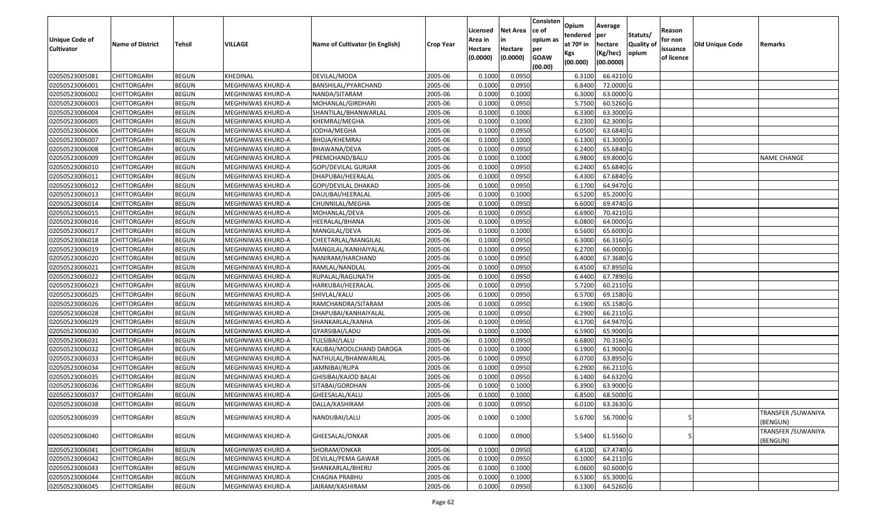| <b>Unique Code of</b> |                         |              |                   |                                 |                  | Licensed<br>Area in | <b>Net Area</b><br>in | Consisten<br>ce of<br>opium as | Opium<br>tendered | Average<br>per        | Statuts/         | Reason<br>for non |                 |                                 |
|-----------------------|-------------------------|--------------|-------------------|---------------------------------|------------------|---------------------|-----------------------|--------------------------------|-------------------|-----------------------|------------------|-------------------|-----------------|---------------------------------|
| <b>Cultivator</b>     | <b>Name of District</b> | Tehsil       | VILLAGE           | Name of Cultivator (in English) | <b>Crop Year</b> | Hectare             | Hectare               | per                            | at $70°$ in       | hectare               | <b>Quality o</b> | issuance          | Old Unique Code | Remarks                         |
|                       |                         |              |                   |                                 |                  | (0.0000)            | (0.0000)              | <b>GOAW</b><br>(00.00)         | Kgs<br>(00.000)   | (Kg/hec)<br>(00.0000) | opium            | of licence        |                 |                                 |
| 02050523005081        | CHITTORGARH             | <b>BEGUN</b> | KHEDINAL          | DEVILAL/MODA                    | 2005-06          | 0.1000              | 0.0950                |                                | 6.3100            | 66.4210 G             |                  |                   |                 |                                 |
| 02050523006001        | CHITTORGARH             | <b>BEGUN</b> | MEGHNIWAS KHURD-A | BANSHILAL/PYARCHAND             | 2005-06          | 0.1000              | 0.0950                |                                | 6.8400            | 72.0000G              |                  |                   |                 |                                 |
| 02050523006002        | CHITTORGARH             | <b>BEGUN</b> | MEGHNIWAS KHURD-A | NANDA/SITARAM                   | 2005-06          | 0.1000              | 0.1000                |                                | 6.3000            | 63.0000G              |                  |                   |                 |                                 |
| 02050523006003        | <b>CHITTORGARH</b>      | <b>BEGUN</b> | MEGHNIWAS KHURD-A | MOHANLAL/GIRDHARI               | 2005-06          | 0.1000              | 0.0950                |                                | 5.7500            | 60.5260 G             |                  |                   |                 |                                 |
| 02050523006004        | CHITTORGARH             | <b>BEGUN</b> | MEGHNIWAS KHURD-A | SHANTILAL/BHANWARLAL            | 2005-06          | 0.1000              | 0.1000                |                                | 6.3300            | 63.3000 G             |                  |                   |                 |                                 |
| 02050523006005        | CHITTORGARH             | <b>BEGUN</b> | MEGHNIWAS KHURD-A | KHEMRAJ/MEGHA                   | 2005-06          | 0.1000              | 0.1000                |                                | 6.2300            | 62.3000G              |                  |                   |                 |                                 |
| 02050523006006        | CHITTORGARH             | <b>BEGUN</b> | MEGHNIWAS KHURD-A | JODHA/MEGHA                     | 2005-06          | 0.1000              | 0.0950                |                                | 6.0500            | 63.6840 G             |                  |                   |                 |                                 |
| 02050523006007        | CHITTORGARH             | <b>BEGUN</b> | MEGHNIWAS KHURD-A | BHOJA/KHEMRAJ                   | 2005-06          | 0.1000              | 0.1000                |                                | 6.1300            | 61.3000G              |                  |                   |                 |                                 |
| 02050523006008        | <b>CHITTORGARH</b>      | <b>BEGUN</b> | MEGHNIWAS KHURD-A | BHAWANA/DEVA                    | 2005-06          | 0.1000              | 0.0950                |                                | 6.2400            | 65.6840 G             |                  |                   |                 |                                 |
| 02050523006009        | CHITTORGARH             | <b>BEGUN</b> | MEGHNIWAS KHURD-A | PREMCHAND/BALU                  | 2005-06          | 0.1000              | 0.1000                |                                | 6.9800            | 69.8000 G             |                  |                   |                 | NAME CHANGE                     |
| 02050523006010        | CHITTORGARH             | <b>BEGUN</b> | MEGHNIWAS KHURD-A | GOPI/DEVILAL GURJAR             | 2005-06          | 0.1000              | 0.0950                |                                | 6.2400            | 65.6840 G             |                  |                   |                 |                                 |
| 02050523006011        | <b>CHITTORGARH</b>      | <b>BEGUN</b> | MEGHNIWAS KHURD-A | DHAPUBAI/HEERALAL               | 2005-06          | 0.1000              | 0.0950                |                                | 6.4300            | 67.6840 G             |                  |                   |                 |                                 |
| 02050523006012        | <b>CHITTORGARH</b>      | <b>BEGUN</b> | MEGHNIWAS KHURD-A | GOPI/DEVILAL DHAKAD             | 2005-06          | 0.1000              | 0.0950                |                                | 6.1700            | 64.9470 G             |                  |                   |                 |                                 |
| 02050523006013        | <b>CHITTORGARH</b>      | <b>BEGUN</b> | MEGHNIWAS KHURD-A | DAULIBAI/HEERALAL               | 2005-06          | 0.1000              | 0.1000                |                                | 6.5200            | 65.2000 G             |                  |                   |                 |                                 |
| 02050523006014        | CHITTORGARH             | <b>BEGUN</b> | MEGHNIWAS KHURD-A | CHUNNILAL/MEGHA                 | 2005-06          | 0.1000              | 0.0950                |                                | 6.6000            | 69.4740 G             |                  |                   |                 |                                 |
| 02050523006015        | <b>CHITTORGARH</b>      | <b>BEGUN</b> | MEGHNIWAS KHURD-A | MOHANLAL/DEVA                   | 2005-06          | 0.1000              | 0.0950                |                                | 6.6900            | 70.4210 G             |                  |                   |                 |                                 |
| 02050523006016        | <b>CHITTORGARH</b>      | <b>BEGUN</b> | MEGHNIWAS KHURD-A | HEERALAL/BHANA                  | 2005-06          | 0.1000              | 0.0950                |                                | 6.0800            | 64.0000G              |                  |                   |                 |                                 |
| 02050523006017        | CHITTORGARH             | <b>BEGUN</b> | MEGHNIWAS KHURD-A | MANGILAL/DEVA                   | 2005-06          | 0.1000              | 0.1000                |                                | 6.5600            | 65.6000 G             |                  |                   |                 |                                 |
| 02050523006018        | CHITTORGARH             | <b>BEGUN</b> | MEGHNIWAS KHURD-A | CHEETARLAL/MANGILAL             | 2005-06          | 0.1000              | 0.0950                |                                | 6.3000            | 66.3160 G             |                  |                   |                 |                                 |
| 02050523006019        | CHITTORGARH             | <b>BEGUN</b> | MEGHNIWAS KHURD-A | MANGILAL/KANHAIYALAL            | 2005-06          | 0.1000              | 0.0950                |                                | 6.2700            | 66.0000G              |                  |                   |                 |                                 |
| 02050523006020        | CHITTORGARH             | <b>BEGUN</b> | MEGHNIWAS KHURD-A | NANIRAM/HARCHAND                | 2005-06          | 0.100               | 0.0950                |                                | 6.4000            | 67.3680 G             |                  |                   |                 |                                 |
| 02050523006021        | CHITTORGARH             | <b>BEGUN</b> | MEGHNIWAS KHURD-A | RAMLAL/NANDLAL                  | 2005-06          | 0.100               | 0.0950                |                                | 6.4500            | 67.8950 G             |                  |                   |                 |                                 |
| 02050523006022        | CHITTORGARH             | <b>BEGUN</b> | MEGHNIWAS KHURD-A | RUPALAL/RAGUNATH                | 2005-06          | 0.1000              | 0.0950                |                                | 6.4400            | 67.7890 G             |                  |                   |                 |                                 |
| 02050523006023        | <b>CHITTORGARH</b>      | <b>BEGUN</b> | MEGHNIWAS KHURD-A | HARKUBAI/HEERALAL               | 2005-06          | 0.100               | 0.0950                |                                | 5.7200            | 60.2110 G             |                  |                   |                 |                                 |
| 02050523006025        | CHITTORGARH             | <b>BEGUN</b> | MEGHNIWAS KHURD-A | SHIVLAL/KALU                    | 2005-06          | 0.1000              | 0.0950                |                                | 6.5700            | 69.1580 G             |                  |                   |                 |                                 |
| 02050523006026        | CHITTORGARH             | <b>BEGUN</b> | MEGHNIWAS KHURD-A | RAMCHANDRA/SITARAM              | 2005-06          | 0.1000              | 0.0950                |                                | 6.1900            | 65.1580 G             |                  |                   |                 |                                 |
| 02050523006028        | CHITTORGARH             | <b>BEGUN</b> | MEGHNIWAS KHURD-A | DHAPUBAI/KANHAIYALAL            | 2005-06          | 0.100               | 0.0950                |                                | 6.2900            | 66.2110 G             |                  |                   |                 |                                 |
| 02050523006029        | CHITTORGARH             | <b>BEGUN</b> | MEGHNIWAS KHURD-A | SHANKARLAL/KANHA                | 2005-06          | 0.1000              | 0.0950                |                                | 6.1700            | 64.9470 G             |                  |                   |                 |                                 |
| 02050523006030        | CHITTORGARH             | <b>BEGUN</b> | MEGHNIWAS KHURD-A | GYARSIBAI/LADU                  | 2005-06          | 0.1000              | 0.1000                |                                | 6.5900            | 65.9000 G             |                  |                   |                 |                                 |
| 02050523006031        | CHITTORGARH             | <b>BEGUN</b> | MEGHNIWAS KHURD-A | TULSIBAI/LALU                   | 2005-06          | 0.1000              | 0.0950                |                                | 6.6800            | $70.3160$ G           |                  |                   |                 |                                 |
| 02050523006032        | CHITTORGARH             | <b>BEGUN</b> | MEGHNIWAS KHURD-A | KALIBAI/MOOLCHAND DAROGA        | 2005-06          | 0.100               | 0.1000                |                                | 6.1900            | 61.9000G              |                  |                   |                 |                                 |
| 02050523006033        | CHITTORGARH             | <b>BEGUN</b> | MEGHNIWAS KHURD-A | NATHULAL/BHANWARLAI             | 2005-06          | 0.1000              | 0.0950                |                                | 6.0700            | 63.8950 G             |                  |                   |                 |                                 |
| 02050523006034        | CHITTORGARH             | <b>BEGUN</b> | MEGHNIWAS KHURD-A | JAMNIBAI/RUPA                   | 2005-06          | 0.1000              | 0.0950                |                                | 6.2900            | 66.2110 G             |                  |                   |                 |                                 |
| 02050523006035        | <b>CHITTORGARH</b>      | <b>BEGUN</b> | MEGHNIWAS KHURD-A | GHISIBAI/KAJOD BALAI            | 2005-06          | 0.1000              | 0.0950                |                                | 6.1400            | 64.6320 G             |                  |                   |                 |                                 |
| 02050523006036        | CHITTORGARH             | <b>BEGUN</b> | MEGHNIWAS KHURD-A | SITABAI/GORDHAN                 | 2005-06          | 0.1000              | 0.1000                |                                | 6.3900            | 63.9000 G             |                  |                   |                 |                                 |
| 02050523006037        | CHITTORGARH             | <b>BEGUN</b> | MEGHNIWAS KHURD-A | GHEESALAL/KALU                  | 2005-06          | 0.1000              | 0.1000                |                                | 6.8500            | 68.5000 G             |                  |                   |                 |                                 |
| 02050523006038        | <b>CHITTORGARH</b>      | <b>BEGUN</b> | MEGHNIWAS KHURD-A | DALLA/KASHIRAM                  | 2005-06          | 0.1000              | 0.0950                |                                | 6.0100            | 63.2630 G             |                  |                   |                 |                                 |
| 02050523006039        | <b>CHITTORGARH</b>      | <b>BEGUN</b> | MEGHNIWAS KHURD-A | NANDUBAI/LALU                   | 2005-06          | 0.1000              | 0.1000                |                                | 5.6700            | 56.7000 G             |                  |                   |                 | TRANSFER / SUWANIYA<br>(BENGUN) |
| 02050523006040        | CHITTORGARH             | <b>BEGUN</b> | MEGHNIWAS KHURD-A | GHEESALAL/ONKAR                 | 2005-06          | 0.1000              | 0.0900                |                                | 5.5400            | 61.5560 G             |                  |                   |                 | TRANSFER / SUWANIYA<br>(BENGUN) |
| 02050523006041        | <b>CHITTORGARH</b>      | <b>BEGUN</b> | MEGHNIWAS KHURD-A | SHORAM/ONKAR                    | 2005-06          | 0.1000              | 0.0950                |                                | 6.4100            | 67.4740 G             |                  |                   |                 |                                 |
| 02050523006042        | <b>CHITTORGARH</b>      | <b>BEGUN</b> | MEGHNIWAS KHURD-A | DEVILAL/PEMA GAWAR              | 2005-06          | 0.1000              | 0.0950                |                                | 6.1000            | 64.2110 G             |                  |                   |                 |                                 |
| 02050523006043        | <b>CHITTORGARH</b>      | <b>BEGUN</b> | MEGHNIWAS KHURD-A | SHANKARLAL/BHERU                | 2005-06          | 0.1000              | 0.1000                |                                | 6.0600            | 60.6000 G             |                  |                   |                 |                                 |
| 02050523006044        | <b>CHITTORGARH</b>      | <b>BEGUN</b> | MEGHNIWAS KHURD-A | CHAGNA PRABHU                   | 2005-06          | 0.1000              | 0.1000                |                                | 6.5300            | 65.3000 G             |                  |                   |                 |                                 |
| 02050523006045        | <b>CHITTORGARH</b>      | <b>BEGUN</b> | MEGHNIWAS KHURD-A | JAIRAM/KASHIRAM                 | 2005-06          | 0.1000              | 0.0950                |                                | 6.1300            | 64.5260 G             |                  |                   |                 |                                 |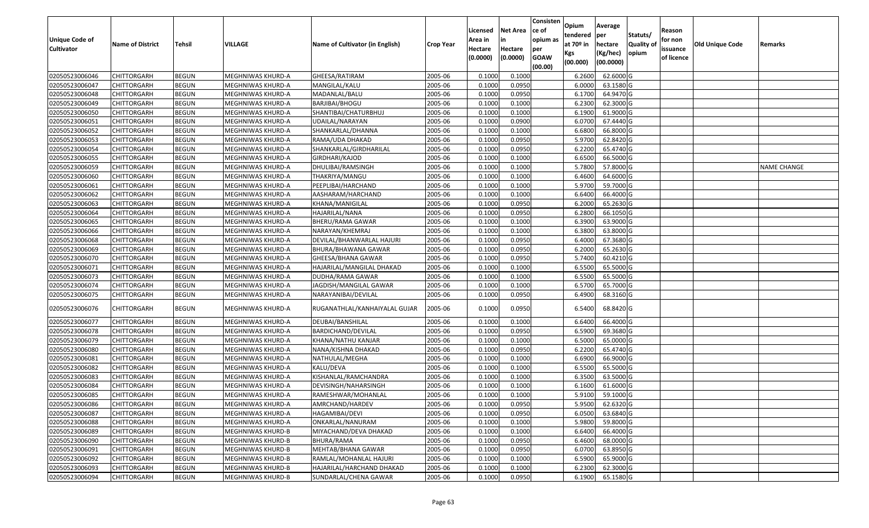| <b>Unique Code of</b><br><b>Cultivator</b> | <b>Name of District</b> | Tehsil       | VILLAGE           | Name of Cultivator (in English) | <b>Crop Year</b> | Licensed<br>Area in<br>Hectare<br>(0.0000) | Net Area<br>in<br>Hectare<br>(0.0000) | Consisten<br>ce of<br>opium as<br>per<br><b>GOAW</b><br>(00.00) | Opium<br>tendered<br>at $70°$ in<br>Kgs<br>(00.000) | Average<br> per<br>hectare<br>(Kg/hec)<br>(00.0000) | Statuts/<br><b>Quality of</b><br>opium | Reason<br>for non<br>issuance<br>of licence | <b>Old Unique Code</b> | Remarks            |
|--------------------------------------------|-------------------------|--------------|-------------------|---------------------------------|------------------|--------------------------------------------|---------------------------------------|-----------------------------------------------------------------|-----------------------------------------------------|-----------------------------------------------------|----------------------------------------|---------------------------------------------|------------------------|--------------------|
| 02050523006046                             | <b>CHITTORGARH</b>      | <b>BEGUN</b> | MEGHNIWAS KHURD-A | GHEESA/RATIRAM                  | 2005-06          | 0.1000                                     | 0.1000                                |                                                                 | 6.2600                                              | 62.6000 G                                           |                                        |                                             |                        |                    |
| 02050523006047                             | CHITTORGARH             | <b>BEGUN</b> | MEGHNIWAS KHURD-A | MANGILAL/KALU                   | 2005-06          | 0.1000                                     | 0.0950                                |                                                                 | 6.0000                                              | 63.1580 G                                           |                                        |                                             |                        |                    |
| 02050523006048                             | CHITTORGARH             | <b>BEGUN</b> | MEGHNIWAS KHURD-A | MADANLAL/BALU                   | 2005-06          | 0.1000                                     | 0.0950                                |                                                                 | 6.1700                                              | 64.9470 G                                           |                                        |                                             |                        |                    |
| 02050523006049                             | <b>CHITTORGARH</b>      | <b>BEGUN</b> | MEGHNIWAS KHURD-A | BARJIBAI/BHOGU                  | 2005-06          | 0.1000                                     | 0.1000                                |                                                                 | 6.2300                                              | 62.3000 G                                           |                                        |                                             |                        |                    |
| 02050523006050                             | <b>CHITTORGARH</b>      | <b>BEGUN</b> | MEGHNIWAS KHURD-A | SHANTIBAI/CHATURBHUJ            | 2005-06          | 0.1000                                     | 0.1000                                |                                                                 | 6.1900                                              | 61.9000 G                                           |                                        |                                             |                        |                    |
| 02050523006051                             | <b>CHITTORGARH</b>      | <b>BEGUN</b> | MEGHNIWAS KHURD-A | UDAILAL/NARAYAN                 | 2005-06          | 0.1000                                     | 0.0900                                |                                                                 | 6.0700                                              | 67.4440 G                                           |                                        |                                             |                        |                    |
| 02050523006052                             | CHITTORGARH             | <b>BEGUN</b> | MEGHNIWAS KHURD-A | SHANKARLAL/DHANNA               | 2005-06          | 0.1000                                     | 0.1000                                |                                                                 | 6.6800                                              | 66.8000 G                                           |                                        |                                             |                        |                    |
| 02050523006053                             | <b>CHITTORGARH</b>      | <b>BEGUN</b> | MEGHNIWAS KHURD-A | RAMA/UDA DHAKAD                 | 2005-06          | 0.1000                                     | 0.0950                                |                                                                 | 5.9700                                              | 62.8420 G                                           |                                        |                                             |                        |                    |
| 02050523006054                             | <b>CHITTORGARH</b>      | <b>BEGUN</b> | MEGHNIWAS KHURD-A | SHANKARLAL/GIRDHARILAL          | 2005-06          | 0.1000                                     | 0.0950                                |                                                                 | 6.2200                                              | 65.4740 G                                           |                                        |                                             |                        |                    |
| 02050523006055                             | CHITTORGARH             | <b>BEGUN</b> | MEGHNIWAS KHURD-A | GIRDHARI/KAJOD                  | 2005-06          | 0.1000                                     | 0.1000                                |                                                                 | 6.6500                                              | 66.5000 G                                           |                                        |                                             |                        |                    |
| 02050523006059                             | CHITTORGARH             | <b>BEGUN</b> | MEGHNIWAS KHURD-A | DHULIBAI/RAMSINGH               | 2005-06          | 0.1000                                     | 0.1000                                |                                                                 | 5.7800                                              | 57.8000 G                                           |                                        |                                             |                        | <b>NAME CHANGE</b> |
| 02050523006060                             | CHITTORGARH             | <b>BEGUN</b> | MEGHNIWAS KHURD-A | THAKRIYA/MANGU                  | 2005-06          | 0.1000                                     | 0.1000                                |                                                                 | 6.4600                                              | 64.6000 G                                           |                                        |                                             |                        |                    |
| 02050523006061                             | CHITTORGARH             | <b>BEGUN</b> | MEGHNIWAS KHURD-A | PEEPLIBAI/HARCHAND              | 2005-06          | 0.1000                                     | 0.1000                                |                                                                 | 5.9700                                              | 59.7000 G                                           |                                        |                                             |                        |                    |
| 02050523006062                             | CHITTORGARH             | <b>BEGUN</b> | MEGHNIWAS KHURD-A | AASHARAM/HARCHAND               | 2005-06          | 0.1000                                     | 0.1000                                |                                                                 | 6.6400                                              | 66.4000 G                                           |                                        |                                             |                        |                    |
| 02050523006063                             | CHITTORGARH             | <b>BEGUN</b> | MEGHNIWAS KHURD-A | KHANA/MANIGILAL                 | 2005-06          | 0.1000                                     | 0.0950                                |                                                                 | 6.2000                                              | 65.2630 G                                           |                                        |                                             |                        |                    |
| 02050523006064                             | CHITTORGARH             | <b>BEGUN</b> | MEGHNIWAS KHURD-A | HAJARILAL/NANA                  | 2005-06          | 0.1000                                     | 0.0950                                |                                                                 | 6.2800                                              | 66.1050 G                                           |                                        |                                             |                        |                    |
| 02050523006065                             | CHITTORGARH             | <b>BEGUN</b> | MEGHNIWAS KHURD-A | BHERU/RAMA GAWAR                | 2005-06          | 0.1000                                     | 0.1000                                |                                                                 | 6.3900                                              | 63.9000 G                                           |                                        |                                             |                        |                    |
| 02050523006066                             | <b>CHITTORGARH</b>      | <b>BEGUN</b> | MEGHNIWAS KHURD-A | NARAYAN/KHEMRAJ                 | 2005-06          | 0.1000                                     | 0.1000                                |                                                                 | 6.3800                                              | 63.8000 G                                           |                                        |                                             |                        |                    |
| 02050523006068                             | CHITTORGARH             | <b>BEGUN</b> | MEGHNIWAS KHURD-A | DEVILAL/BHANWARLAL HAJURI       | 2005-06          | 0.1000                                     | 0.0950                                |                                                                 | 6.4000                                              | 67.3680 G                                           |                                        |                                             |                        |                    |
| 02050523006069                             | CHITTORGARH             | <b>BEGUN</b> | MEGHNIWAS KHURD-A | BHURA/BHAWANA GAWAR             | 2005-06          | 0.1000                                     | 0.0950                                |                                                                 | 6.2000                                              | 65.2630 G                                           |                                        |                                             |                        |                    |
| 02050523006070                             | <b>CHITTORGARH</b>      | <b>BEGUN</b> | MEGHNIWAS KHURD-A | GHEESA/BHANA GAWAR              | 2005-06          | 0.1000                                     | 0.0950                                |                                                                 | 5.7400                                              | 60.4210 G                                           |                                        |                                             |                        |                    |
| 02050523006071                             | CHITTORGARH             | <b>BEGUN</b> | MEGHNIWAS KHURD-A | HAJARILAL/MANGILAL DHAKAD       | 2005-06          | 0.1000                                     | 0.1000                                |                                                                 | 6.5500                                              | 65.5000 G                                           |                                        |                                             |                        |                    |
| 02050523006073                             | CHITTORGARH             | <b>BEGUN</b> | MEGHNIWAS KHURD-A | DUDHA/RAMA GAWAR                | 2005-06          | 0.1000                                     | 0.1000                                |                                                                 | 6.5500                                              | 65.5000 G                                           |                                        |                                             |                        |                    |
| 02050523006074                             | CHITTORGARH             | <b>BEGUN</b> | MEGHNIWAS KHURD-A | JAGDISH/MANGILAL GAWAR          | 2005-06          | 0.1000                                     | 0.1000                                |                                                                 | 6.5700                                              | 65.7000 G                                           |                                        |                                             |                        |                    |
| 02050523006075                             | CHITTORGARH             | <b>BEGUN</b> | MEGHNIWAS KHURD-A | NARAYANIBAI/DEVILAL             | 2005-06          | 0.1000                                     | 0.0950                                |                                                                 | 6.4900                                              | 68.3160 G                                           |                                        |                                             |                        |                    |
| 02050523006076                             | CHITTORGARH             | <b>BEGUN</b> | MEGHNIWAS KHURD-A | RUGANATHLAL/KANHAIYALAL GUJAR   | 2005-06          | 0.1000                                     | 0.0950                                |                                                                 | 6.5400                                              | 68.8420 G                                           |                                        |                                             |                        |                    |
| 02050523006077                             | <b>CHITTORGARH</b>      | <b>BEGUN</b> | MEGHNIWAS KHURD-A | DEUBAI/BANSHILAL                | 2005-06          | 0.1000                                     | 0.1000                                |                                                                 | 6.6400                                              | 66.4000 G                                           |                                        |                                             |                        |                    |
| 02050523006078                             | <b>CHITTORGARH</b>      | <b>BEGUN</b> | MEGHNIWAS KHURD-A | BARDICHAND/DEVILAL              | 2005-06          | 0.1000                                     | 0.0950                                |                                                                 | 6.5900                                              | 69.3680 G                                           |                                        |                                             |                        |                    |
| 02050523006079                             | <b>CHITTORGARH</b>      | <b>BEGUN</b> | MEGHNIWAS KHURD-A | KHANA/NATHU KANJAR              | 2005-06          | 0.1000                                     | 0.1000                                |                                                                 | 6.5000                                              | 65.0000 G                                           |                                        |                                             |                        |                    |
| 02050523006080                             | <b>CHITTORGARH</b>      | <b>BEGUN</b> | MEGHNIWAS KHURD-A | NANA/KISHNA DHAKAD              | 2005-06          | 0.1000                                     | 0.0950                                |                                                                 | 6.2200                                              | 65.4740 G                                           |                                        |                                             |                        |                    |
| 02050523006081                             | CHITTORGARH             | <b>BEGUN</b> | MEGHNIWAS KHURD-A | NATHULAL/MEGHA                  | 2005-06          | 0.1000                                     | 0.1000                                |                                                                 | 6.6900                                              | 66.9000 G                                           |                                        |                                             |                        |                    |
| 02050523006082                             | CHITTORGARH             | <b>BEGUN</b> | MEGHNIWAS KHURD-A | KALU/DEVA                       | 2005-06          | 0.1000                                     | 0.1000                                |                                                                 | 6.5500                                              | 65.5000 G                                           |                                        |                                             |                        |                    |
| 02050523006083                             | CHITTORGARH             | <b>BEGUN</b> | MEGHNIWAS KHURD-A | KISHANLAL/RAMCHANDRA            | 2005-06          | 0.1000                                     | 0.1000                                |                                                                 | 6.3500                                              | 63.5000 G                                           |                                        |                                             |                        |                    |
| 02050523006084                             | CHITTORGARH             | <b>BEGUN</b> | MEGHNIWAS KHURD-A | DEVISINGH/NAHARSINGH            | 2005-06          | 0.1000                                     | 0.1000                                |                                                                 | 6.1600                                              | 61.6000 G                                           |                                        |                                             |                        |                    |
| 02050523006085                             | CHITTORGARH             | <b>BEGUN</b> | MEGHNIWAS KHURD-A | RAMESHWAR/MOHANLAL              | 2005-06          | 0.1000                                     | 0.1000                                |                                                                 | 5.9100                                              | 59.1000 G                                           |                                        |                                             |                        |                    |
| 02050523006086                             | <b>CHITTORGARH</b>      | <b>BEGUN</b> | MEGHNIWAS KHURD-A | AMRCHAND/HARDEV                 | 2005-06          | 0.1000                                     | 0.0950                                |                                                                 | 5.9500                                              | 62.6320 G                                           |                                        |                                             |                        |                    |
| 02050523006087                             | <b>CHITTORGARH</b>      | <b>BEGUN</b> | MEGHNIWAS KHURD-A | HAGAMIBAI/DEVI                  | 2005-06          | 0.1000                                     | 0.0950                                |                                                                 | 6.0500                                              | 63.6840 G                                           |                                        |                                             |                        |                    |
| 02050523006088                             | <b>CHITTORGARH</b>      | <b>BEGUN</b> | MEGHNIWAS KHURD-A | ONKARLAL/NANURAM                | 2005-06          | 0.1000                                     | 0.1000                                |                                                                 | 5.9800                                              | 59.8000 G                                           |                                        |                                             |                        |                    |
| 02050523006089                             | <b>CHITTORGARH</b>      | <b>BEGUN</b> | MEGHNIWAS KHURD-B | MIYACHAND/DEVA DHAKAD           | 2005-06          | 0.1000                                     | 0.1000                                |                                                                 | 6.6400                                              | 66.4000 G                                           |                                        |                                             |                        |                    |
| 02050523006090                             | <b>CHITTORGARH</b>      | <b>BEGUN</b> | MEGHNIWAS KHURD-B | BHURA/RAMA                      | 2005-06          | 0.1000                                     | 0.0950                                |                                                                 | 6.4600                                              | 68.0000 G                                           |                                        |                                             |                        |                    |
| 02050523006091                             | <b>CHITTORGARH</b>      | <b>BEGUN</b> | MEGHNIWAS KHURD-B | MEHTAB/BHANA GAWAR              | 2005-06          | 0.1000                                     | 0.0950                                |                                                                 | 6.0700                                              | 63.8950 G                                           |                                        |                                             |                        |                    |
| 02050523006092                             | <b>CHITTORGARH</b>      | <b>BEGUN</b> | MEGHNIWAS KHURD-B | RAMLAL/MOHANLAL HAJURI          | 2005-06          | 0.1000                                     | 0.1000                                |                                                                 | 6.5900                                              | 65.9000 G                                           |                                        |                                             |                        |                    |
| 02050523006093                             | <b>CHITTORGARH</b>      | <b>BEGUN</b> | MEGHNIWAS KHURD-B | HAJARILAL/HARCHAND DHAKAD       | 2005-06          | 0.1000                                     | 0.1000                                |                                                                 | 6.2300                                              | 62.3000 G                                           |                                        |                                             |                        |                    |
| 02050523006094                             | <b>CHITTORGARH</b>      | <b>BEGUN</b> | MEGHNIWAS KHURD-B | SUNDARLAL/CHENA GAWAR           | 2005-06          | 0.1000                                     | 0.0950                                |                                                                 | 6.1900                                              | 65.1580 G                                           |                                        |                                             |                        |                    |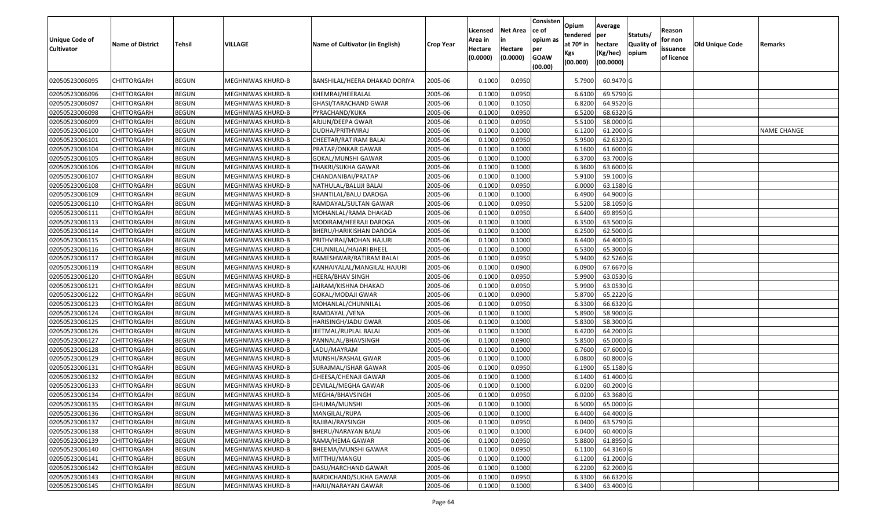| <b>Unique Code of</b><br><b>Cultivator</b> | <b>Name of District</b>           | <b>Tehsil</b>                | VILLAGE                                | Name of Cultivator (in English)            | <b>Crop Year</b>   | Licensed<br>Area in<br>Hectare<br>(0.0000) | <b>Net Area</b><br>in<br>Hectare<br>(0.0000) | Consisten<br>ce of<br>opium as<br>per<br><b>GOAW</b><br>(00.00) | Opium<br>tendered<br>at $70°$ in<br>Kgs<br>(00.000) | Average<br>per<br>hectare<br>(Kg/hec)<br>(00.0000) | Statuts/<br>Quality of<br>opium | Reason<br>for non<br>issuance<br>of licence | <b>Old Unique Code</b> | Remarks            |
|--------------------------------------------|-----------------------------------|------------------------------|----------------------------------------|--------------------------------------------|--------------------|--------------------------------------------|----------------------------------------------|-----------------------------------------------------------------|-----------------------------------------------------|----------------------------------------------------|---------------------------------|---------------------------------------------|------------------------|--------------------|
| 02050523006095                             | CHITTORGARH                       | <b>BEGUN</b>                 | MEGHNIWAS KHURD-B                      | BANSHILAL/HEERA DHAKAD DORIYA              | 2005-06            | 0.1000                                     | 0.0950                                       |                                                                 | 5.7900                                              | 60.9470 G                                          |                                 |                                             |                        |                    |
| 02050523006096                             | <b>CHITTORGARH</b>                | <b>BEGUN</b>                 | MEGHNIWAS KHURD-B                      | KHEMRAJ/HEERALAL                           | 2005-06            | 0.1000                                     | 0.0950                                       |                                                                 | 6.6100                                              | 69.5790 G                                          |                                 |                                             |                        |                    |
| 02050523006097                             | CHITTORGARH                       | <b>BEGUN</b>                 | MEGHNIWAS KHURD-B                      | GHASI/TARACHAND GWAR                       | 2005-06            | 0.1000                                     | 0.1050                                       |                                                                 | 6.8200                                              | 64.9520 G                                          |                                 |                                             |                        |                    |
| 02050523006098                             | <b>CHITTORGARH</b>                | <b>BEGUN</b>                 | MEGHNIWAS KHURD-B                      | PYRACHAND/KUKA                             | 2005-06            | 0.1000                                     | 0.0950                                       |                                                                 | 6.5200                                              | 68.6320 G                                          |                                 |                                             |                        |                    |
| 02050523006099                             | CHITTORGARH                       | <b>BEGUN</b>                 | MEGHNIWAS KHURD-B                      | ARJUN/DEEPA GWAR                           | 2005-06            | 0.100                                      | 0.0950                                       |                                                                 | 5.5100                                              | 58.0000G                                           |                                 |                                             |                        |                    |
| 02050523006100                             | <b>CHITTORGARH</b>                | <b>BEGUN</b>                 | MEGHNIWAS KHURD-B                      | DUDHA/PRITHVIRAJ                           | 2005-06            | 0.1000                                     | 0.1000                                       |                                                                 | 6.1200                                              | 61.2000 G                                          |                                 |                                             |                        | <b>NAME CHANGE</b> |
| 02050523006101                             | <b>CHITTORGARH</b>                | <b>BEGUN</b>                 | MEGHNIWAS KHURD-B                      | CHEETAR/RATIRAM BALAI                      | 2005-06            | 0.1000                                     | 0.0950                                       |                                                                 | 5.9500                                              | 62.6320 G                                          |                                 |                                             |                        |                    |
| 02050523006104                             | CHITTORGARH                       | <b>BEGUN</b>                 | MEGHNIWAS KHURD-B                      | PRATAP/ONKAR GAWAR                         | 2005-06            | 0.1000                                     | 0.1000                                       |                                                                 | 6.1600                                              | 61.6000G                                           |                                 |                                             |                        |                    |
| 02050523006105                             | CHITTORGARH                       | <b>BEGUN</b>                 | MEGHNIWAS KHURD-B                      | GOKAL/MUNSHI GAWAR                         | 2005-06            | 0.100                                      | 0.1000                                       |                                                                 | 6.3700                                              | 63.7000 G                                          |                                 |                                             |                        |                    |
| 02050523006106                             | CHITTORGARH                       | <b>BEGUN</b>                 | MEGHNIWAS KHURD-B                      | THAKRI/SUKHA GAWAR                         | 2005-06            | 0.100                                      | 0.1000                                       |                                                                 | 6.3600                                              | 63.6000 G                                          |                                 |                                             |                        |                    |
| 02050523006107                             | CHITTORGARH                       | <b>BEGUN</b>                 | MEGHNIWAS KHURD-B                      | CHANDANIBAI/PRATAP                         | 2005-06            | 0.100                                      | 0.1000                                       |                                                                 | 5.9100                                              | 59.1000G                                           |                                 |                                             |                        |                    |
| 02050523006108                             | CHITTORGARH                       | <b>BEGUN</b>                 | MEGHNIWAS KHURD-B                      | NATHULAL/BALUJI BALAI                      | 2005-06            | 0.1000                                     | 0.0950                                       |                                                                 | 6.0000                                              | 63.1580 G                                          |                                 |                                             |                        |                    |
| 02050523006109                             | CHITTORGARH                       | <b>BEGUN</b>                 | MEGHNIWAS KHURD-B                      | SHANTILAL/BALU DAROGA                      | 2005-06            | 0.1000                                     | 0.1000                                       |                                                                 | 6.4900                                              | 64.9000G                                           |                                 |                                             |                        |                    |
| 02050523006110                             | CHITTORGARH                       | <b>BEGUN</b>                 | MEGHNIWAS KHURD-B                      | RAMDAYAL/SULTAN GAWAR                      | 2005-06            | 0.100                                      | 0.0950                                       |                                                                 | 5.5200                                              | 58.1050 G                                          |                                 |                                             |                        |                    |
| 02050523006111                             | <b>CHITTORGARH</b>                | <b>BEGUN</b>                 | MEGHNIWAS KHURD-B                      | MOHANLAL/RAMA DHAKAD                       | 2005-06            | 0.1000                                     | 0.0950                                       |                                                                 | 6.6400                                              | 69.8950 G                                          |                                 |                                             |                        |                    |
| 02050523006113                             | CHITTORGARH                       | <b>BEGUN</b>                 | MEGHNIWAS KHURD-B                      | MODIRAM/HEERAJI DAROGA                     | 2005-06            | 0.1000                                     | 0.1000                                       |                                                                 | 6.3500                                              | 63.5000G                                           |                                 |                                             |                        |                    |
| 02050523006114                             | CHITTORGARH                       | <b>BEGUN</b>                 | MEGHNIWAS KHURD-B                      | BHERU/HARIKISHAN DAROGA                    | 2005-06            | 0.100                                      | 0.1000                                       |                                                                 | 6.2500                                              | 62.5000G                                           |                                 |                                             |                        |                    |
| 02050523006115                             | CHITTORGARH                       | <b>BEGUN</b>                 | MEGHNIWAS KHURD-B                      | PRITHVIRAJ/MOHAN HAJURI                    | 2005-06            | 0.1000                                     | 0.1000                                       |                                                                 | 6.4400                                              | 64.4000 G                                          |                                 |                                             |                        |                    |
| 02050523006116                             | CHITTORGARH                       | <b>BEGUN</b>                 | MEGHNIWAS KHURD-B                      | CHUNNILAL/HAJARI BHEEL                     | 2005-06            | 0.1000                                     | 0.1000                                       |                                                                 | 6.5300                                              | 65.3000G                                           |                                 |                                             |                        |                    |
| 02050523006117                             | CHITTORGARH                       | <b>BEGUN</b>                 | MEGHNIWAS KHURD-B                      | RAMESHWAR/RATIRAM BALAI                    | 2005-06            | 0.1000                                     | 0.0950                                       |                                                                 | 5.9400                                              | 62.5260 G                                          |                                 |                                             |                        |                    |
| 02050523006119                             | CHITTORGARH                       | <b>BEGUN</b>                 | MEGHNIWAS KHURD-B                      | KANHAIYALAL/MANGILAL HAJURI                | 2005-06            | 0.1000                                     | 0.0900                                       |                                                                 | 6.0900                                              | 67.6670 G                                          |                                 |                                             |                        |                    |
| 02050523006120                             | CHITTORGARH                       | <b>BEGUN</b>                 | MEGHNIWAS KHURD-B                      | HEERA/BHAV SINGH                           | 2005-06            | 0.1000                                     | 0.0950                                       |                                                                 | 5.9900                                              | 63.0530 G                                          |                                 |                                             |                        |                    |
| 02050523006121                             | CHITTORGARH                       | <b>BEGUN</b>                 | MEGHNIWAS KHURD-B                      | JAIRAM/KISHNA DHAKAD                       | 2005-06            | 0.1000                                     | 0.0950                                       |                                                                 | 5.9900                                              | 63.0530 G                                          |                                 |                                             |                        |                    |
| 02050523006122                             | CHITTORGARH                       | <b>BEGUN</b>                 | MEGHNIWAS KHURD-B                      | GOKAL/MODAJI GWAR                          | 2005-06            | 0.1000                                     | 0.0900                                       |                                                                 | 5.8700                                              | 65.2220 G                                          |                                 |                                             |                        |                    |
| 02050523006123                             | CHITTORGARH                       | <b>BEGUN</b>                 | MEGHNIWAS KHURD-B                      | MOHANLAL/CHUNNILAL                         | 2005-06            | 0.1000                                     | 0.0950                                       |                                                                 | 6.3300                                              | 66.6320 G                                          |                                 |                                             |                        |                    |
| 02050523006124                             | <b>CHITTORGARH</b>                | <b>BEGUN</b>                 | MEGHNIWAS KHURD-B                      | RAMDAYAL / VENA                            | 2005-06            | 0.1000                                     | 0.1000                                       |                                                                 | 5.8900                                              | 58.9000 G                                          |                                 |                                             |                        |                    |
| 02050523006125                             | <b>CHITTORGARH</b>                | <b>BEGUN</b>                 | MEGHNIWAS KHURD-B                      | HARISINGH/JADU GWAR                        | 2005-06            | 0.1000                                     | 0.1000                                       |                                                                 | 5.8300                                              | 58.3000 G                                          |                                 |                                             |                        |                    |
| 02050523006126                             | <b>CHITTORGARH</b>                | <b>BEGUN</b>                 | MEGHNIWAS KHURD-B                      | JEETMAL/RUPLAL BALAI                       | 2005-06            | 0.1000                                     | 0.1000                                       |                                                                 | 6.4200                                              | 64.2000 G                                          |                                 |                                             |                        |                    |
| 02050523006127                             | <b>CHITTORGARH</b>                | <b>BEGUN</b>                 | MEGHNIWAS KHURD-B                      | PANNALAL/BHAVSINGH                         | 2005-06            | 0.1000                                     | 0.0900                                       |                                                                 | 5.8500                                              | 65.0000G                                           |                                 |                                             |                        |                    |
| 02050523006128                             | <b>CHITTORGARH</b>                | <b>BEGUN</b>                 | MEGHNIWAS KHURD-B                      | LADU/MAYRAM                                | 2005-06            | 0.1000<br>0.1000                           | 0.1000                                       |                                                                 | 6.7600<br>6.0800                                    | 67.6000 G<br>60.8000G                              |                                 |                                             |                        |                    |
| 02050523006129                             | CHITTORGARH                       | <b>BEGUN</b><br><b>BEGUN</b> | MEGHNIWAS KHURD-B                      | MUNSHI/RASHAL GWAR<br>SURAJMAL/ISHAR GAWAR | 2005-06<br>2005-06 | 0.1000                                     | 0.1000<br>0.0950                             |                                                                 |                                                     | 65.1580 G                                          |                                 |                                             |                        |                    |
| 02050523006131<br>02050523006132           | CHITTORGARH<br><b>CHITTORGARH</b> | <b>BEGUN</b>                 | MEGHNIWAS KHURD-B<br>MEGHNIWAS KHURD-B | GHEESA/CHENAJI GAWAR                       | 2005-06            | 0.1000                                     | 0.1000                                       |                                                                 | 6.1900<br>6.1400                                    | 61.4000 G                                          |                                 |                                             |                        |                    |
| 02050523006133                             | CHITTORGARH                       | <b>BEGUN</b>                 | MEGHNIWAS KHURD-B                      | DEVILAL/MEGHA GAWAR                        | 2005-06            | 0.1000                                     | 0.1000                                       |                                                                 | 6.020                                               | 60.2000 G                                          |                                 |                                             |                        |                    |
| 02050523006134                             | CHITTORGARH                       | <b>BEGUN</b>                 | MEGHNIWAS KHURD-B                      | MEGHA/BHAVSINGH                            | 2005-06            | 0.100                                      | 0.0950                                       |                                                                 | 6.0200                                              | 63.3680 G                                          |                                 |                                             |                        |                    |
| 02050523006135                             | <b>CHITTORGARH</b>                | <b>BEGUN</b>                 | MEGHNIWAS KHURD-B                      | GHUMA/MUNSHI                               | 2005-06            | 0.1000                                     | 0.1000                                       |                                                                 | 6.5000                                              | 65.0000 G                                          |                                 |                                             |                        |                    |
| 02050523006136                             | <b>CHITTORGARH</b>                | <b>BEGUN</b>                 | MEGHNIWAS KHURD-B                      | MANGILAL/RUPA                              | 2005-06            | 0.1000                                     | 0.1000                                       |                                                                 | 6.4400                                              | 64.4000 G                                          |                                 |                                             |                        |                    |
| 02050523006137                             | <b>CHITTORGARH</b>                | <b>BEGUN</b>                 | MEGHNIWAS KHURD-B                      | RAJIBAI/RAYSINGH                           | 2005-06            | 0.1000                                     | 0.0950                                       |                                                                 | 6.0400                                              | 63.5790 G                                          |                                 |                                             |                        |                    |
| 02050523006138                             | <b>CHITTORGARH</b>                | <b>BEGUN</b>                 | MEGHNIWAS KHURD-B                      | BHERU/NARAYAN BALAI                        | 2005-06            | 0.1000                                     | 0.1000                                       |                                                                 | 6.0400                                              | 60.4000 G                                          |                                 |                                             |                        |                    |
| 02050523006139                             | <b>CHITTORGARH</b>                | <b>BEGUN</b>                 | MEGHNIWAS KHURD-B                      | RAMA/HEMA GAWAR                            | 2005-06            | 0.1000                                     | 0.0950                                       |                                                                 | 5.8800                                              | 61.8950 G                                          |                                 |                                             |                        |                    |
| 02050523006140                             | <b>CHITTORGARH</b>                | <b>BEGUN</b>                 | MEGHNIWAS KHURD-B                      | BHEEMA/MUNSHI GAWAR                        | 2005-06            | 0.1000                                     | 0.0950                                       |                                                                 | 6.1100                                              | 64.3160 G                                          |                                 |                                             |                        |                    |
| 02050523006141                             | <b>CHITTORGARH</b>                | <b>BEGUN</b>                 | MEGHNIWAS KHURD-B                      | MITTHU/MANGU                               | 2005-06            | 0.1000                                     | 0.1000                                       |                                                                 | 6.1200                                              | 61.2000 G                                          |                                 |                                             |                        |                    |
| 02050523006142                             | <b>CHITTORGARH</b>                | <b>BEGUN</b>                 | MEGHNIWAS KHURD-B                      | DASU/HARCHAND GAWAR                        | 2005-06            | 0.1000                                     | 0.1000                                       |                                                                 | 6.2200                                              | 62.2000 G                                          |                                 |                                             |                        |                    |
| 02050523006143                             | CHITTORGARH                       | <b>BEGUN</b>                 | MEGHNIWAS KHURD-B                      | BARDICHAND/SUKHA GAWAR                     | 2005-06            | 0.1000                                     | 0.0950                                       |                                                                 | 6.3300                                              | 66.6320 G                                          |                                 |                                             |                        |                    |
| 02050523006145                             | <b>CHITTORGARH</b>                | <b>BEGUN</b>                 | MEGHNIWAS KHURD-B                      | HARJI/NARAYAN GAWAR                        | 2005-06            | 0.1000                                     | 0.1000                                       |                                                                 | 6.3400                                              | 63.4000 G                                          |                                 |                                             |                        |                    |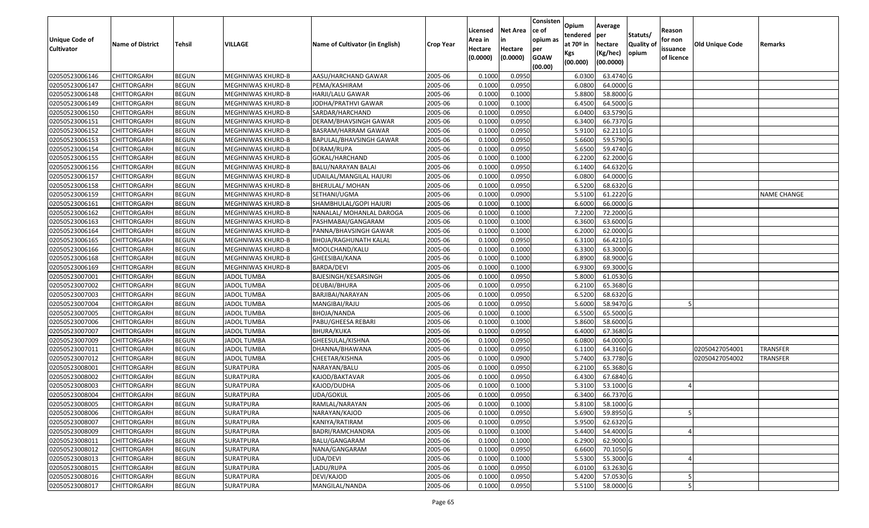| <b>Unique Code of</b><br><b>Cultivator</b> | <b>Name of District</b> | <b>Tehsil</b> | VILLAGE                  | Name of Cultivator (in English) | <b>Crop Year</b> | Licensed<br>Area in<br>Hectare<br>(0.0000) | <b>Net Area</b><br>in<br>Hectare<br>(0.0000) | Consisten<br>ce of<br>opium as<br>per<br><b>GOAW</b><br>(00.00) | Opium<br>tendered<br>at 70º in<br>Kgs<br>(00.000) | Average<br>per<br>hectare<br>(Kg/hec)<br>(00.0000) | Statuts/<br><b>Quality o</b><br>opium | Reason<br>for non<br>issuance<br>of licence | Old Unique Code | Remarks            |
|--------------------------------------------|-------------------------|---------------|--------------------------|---------------------------------|------------------|--------------------------------------------|----------------------------------------------|-----------------------------------------------------------------|---------------------------------------------------|----------------------------------------------------|---------------------------------------|---------------------------------------------|-----------------|--------------------|
| 02050523006146                             | <b>CHITTORGARH</b>      | <b>BEGUN</b>  | MEGHNIWAS KHURD-B        | AASU/HARCHAND GAWAR             | 2005-06          | 0.1000                                     | 0.0950                                       |                                                                 | 6.0300                                            | 63.4740 G                                          |                                       |                                             |                 |                    |
| 02050523006147                             | <b>CHITTORGARH</b>      | <b>BEGUN</b>  | MEGHNIWAS KHURD-B        | PEMA/KASHIRAM                   | 2005-06          | 0.1000                                     | 0.0950                                       |                                                                 | 6.0800                                            | 64.0000 G                                          |                                       |                                             |                 |                    |
| 02050523006148                             | <b>CHITTORGARH</b>      | <b>BEGUN</b>  | MEGHNIWAS KHURD-B        | HARJI/LALU GAWAR                | 2005-06          | 0.1000                                     | 0.1000                                       |                                                                 | 5.8800                                            | 58.8000 G                                          |                                       |                                             |                 |                    |
| 02050523006149                             | <b>CHITTORGARH</b>      | <b>BEGUN</b>  | MEGHNIWAS KHURD-B        | JODHA/PRATHVI GAWAR             | 2005-06          | 0.1000                                     | 0.1000                                       |                                                                 | 6.4500                                            | 64.5000 G                                          |                                       |                                             |                 |                    |
| 02050523006150                             | <b>CHITTORGARH</b>      | <b>BEGUN</b>  | MEGHNIWAS KHURD-B        | SARDAR/HARCHAND                 | 2005-06          | 0.1000                                     | 0.0950                                       |                                                                 | 6.0400                                            | 63.5790 G                                          |                                       |                                             |                 |                    |
| 02050523006151                             | <b>CHITTORGARH</b>      | <b>BEGUN</b>  | MEGHNIWAS KHURD-B        | DERAM/BHAVSINGH GAWAR           | 2005-06          | 0.1000                                     | 0.0950                                       |                                                                 | 6.3400                                            | 66.7370 G                                          |                                       |                                             |                 |                    |
| 02050523006152                             | CHITTORGARH             | <b>BEGUN</b>  | MEGHNIWAS KHURD-B        | BASRAM/HARRAM GAWAR             | 2005-06          | 0.1000                                     | 0.0950                                       |                                                                 | 5.9100                                            | 62.2110 G                                          |                                       |                                             |                 |                    |
| 02050523006153                             | <b>CHITTORGARH</b>      | <b>BEGUN</b>  | MEGHNIWAS KHURD-B        | BAPULAL/BHAVSINGH GAWAR         | 2005-06          | 0.1000                                     | 0.0950                                       |                                                                 | 5.6600                                            | 59.5790 G                                          |                                       |                                             |                 |                    |
| 02050523006154                             | <b>CHITTORGARH</b>      | <b>BEGUN</b>  | MEGHNIWAS KHURD-B        | DERAM/RUPA                      | 2005-06          | 0.1000                                     | 0.0950                                       |                                                                 | 5.6500                                            | 59.4740 G                                          |                                       |                                             |                 |                    |
| 02050523006155                             | <b>CHITTORGARH</b>      | <b>BEGUN</b>  | MEGHNIWAS KHURD-B        | GOKAL/HARCHAND                  | 2005-06          | 0.1000                                     | 0.1000                                       |                                                                 | 6.2200                                            | 62.2000 G                                          |                                       |                                             |                 |                    |
| 02050523006156                             | <b>CHITTORGARH</b>      | <b>BEGUN</b>  | MEGHNIWAS KHURD-B        | BALU/NARAYAN BALAI              | 2005-06          | 0.1000                                     | 0.0950                                       |                                                                 | 6.1400                                            | 64.6320 G                                          |                                       |                                             |                 |                    |
| 02050523006157                             | <b>CHITTORGARH</b>      | <b>BEGUN</b>  | MEGHNIWAS KHURD-B        | UDAILAL/MANGILAL HAJURI         | 2005-06          | 0.1000                                     | 0.0950                                       |                                                                 | 6.0800                                            | 64.0000 G                                          |                                       |                                             |                 |                    |
| 02050523006158                             | <b>CHITTORGARH</b>      | <b>BEGUN</b>  | MEGHNIWAS KHURD-B        | <b>BHERULAL/ MOHAN</b>          | 2005-06          | 0.1000                                     | 0.0950                                       |                                                                 | 6.5200                                            | 68.6320 G                                          |                                       |                                             |                 |                    |
| 02050523006159                             | <b>CHITTORGARH</b>      | <b>BEGUN</b>  | MEGHNIWAS KHURD-B        | SETHANI/UGMA                    | 2005-06          | 0.1000                                     | 0.0900                                       |                                                                 | 5.5100                                            | 61.2220 G                                          |                                       |                                             |                 | <b>NAME CHANGE</b> |
| 02050523006161                             | CHITTORGARH             | <b>BEGUN</b>  | MEGHNIWAS KHURD-B        | SHAMBHULAL/GOPI HAJURI          | 2005-06          | 0.1000                                     | 0.1000                                       |                                                                 | 6.6000                                            | 66.0000 G                                          |                                       |                                             |                 |                    |
| 02050523006162                             | <b>CHITTORGARH</b>      | <b>BEGUN</b>  | MEGHNIWAS KHURD-B        | NANALAL/ MOHANLAL DAROGA        | 2005-06          | 0.1000                                     | 0.1000                                       |                                                                 | 7.2200                                            | 72.2000 G                                          |                                       |                                             |                 |                    |
| 02050523006163                             | <b>CHITTORGARH</b>      | <b>BEGUN</b>  | MEGHNIWAS KHURD-B        | PASHMABAI/GANGARAM              | 2005-06          | 0.1000                                     | 0.1000                                       |                                                                 | 6.3600                                            | 63.6000 G                                          |                                       |                                             |                 |                    |
| 02050523006164                             | <b>CHITTORGARH</b>      | <b>BEGUN</b>  | MEGHNIWAS KHURD-B        | PANNA/BHAVSINGH GAWAR           | 2005-06          | 0.100                                      | 0.1000                                       |                                                                 | 6.2000                                            | 62.0000 G                                          |                                       |                                             |                 |                    |
| 02050523006165                             | <b>CHITTORGARH</b>      | <b>BEGUN</b>  | MEGHNIWAS KHURD-B        | BHOJA/RAGHUNATH KALAL           | 2005-06          | 0.1000                                     | 0.0950                                       |                                                                 | 6.3100                                            | 66.4210 G                                          |                                       |                                             |                 |                    |
| 02050523006166                             | <b>CHITTORGARH</b>      | <b>BEGUN</b>  | MEGHNIWAS KHURD-B        | MOOLCHAND/KALU                  | 2005-06          | 0.1000                                     | 0.1000                                       |                                                                 | 6.3300                                            | 63.3000 G                                          |                                       |                                             |                 |                    |
| 02050523006168                             | <b>CHITTORGARH</b>      | <b>BEGUN</b>  | <b>MEGHNIWAS KHURD-B</b> | GHEESIBAI/KANA                  | 2005-06          | 0.1000                                     | 0.1000                                       |                                                                 | 6.8900                                            | 68.9000 G                                          |                                       |                                             |                 |                    |
| 02050523006169                             | <b>CHITTORGARH</b>      | <b>BEGUN</b>  | MEGHNIWAS KHURD-B        | <b>BARDA/DEVI</b>               | 2005-06          | 0.1000                                     | 0.1000                                       |                                                                 | 6.9300                                            | 69.3000 G                                          |                                       |                                             |                 |                    |
| 02050523007001                             | <b>CHITTORGARH</b>      | <b>BEGUN</b>  | JADOL TUMBA              | BAJESINGH/KESARSINGH            | 2005-06          | 0.1000                                     | 0.0950                                       |                                                                 | 5.8000                                            | 61.0530 G                                          |                                       |                                             |                 |                    |
| 02050523007002                             | <b>CHITTORGARH</b>      | <b>BEGUN</b>  | JADOL TUMBA              | DEUBAI/BHURA                    | 2005-06          | 0.1000                                     | 0.0950                                       |                                                                 | 6.2100                                            | 65.3680 G                                          |                                       |                                             |                 |                    |
| 02050523007003                             | <b>CHITTORGARH</b>      | <b>BEGUN</b>  | JADOL TUMBA              | BARJIBAI/NARAYAN                | 2005-06          | 0.1000                                     | 0.0950                                       |                                                                 | 6.5200                                            | 68.6320 G                                          |                                       |                                             |                 |                    |
| 02050523007004                             | <b>CHITTORGARH</b>      | <b>BEGUN</b>  | JADOL TUMBA              | MANGIBAI/RAJU                   | 2005-06          | 0.1000                                     | 0.0950                                       |                                                                 | 5.6000                                            | 58.9470 G                                          |                                       |                                             |                 |                    |
| 02050523007005                             | <b>CHITTORGARH</b>      | <b>BEGUN</b>  | JADOL TUMBA              | BHOJA/NANDA                     | 2005-06          | 0.1000                                     | 0.1000                                       |                                                                 | 6.5500                                            | 65.5000 G                                          |                                       |                                             |                 |                    |
| 02050523007006                             | <b>CHITTORGARH</b>      | <b>BEGUN</b>  | JADOL TUMBA              | PABU/GHEESA REBARI              | 2005-06          | 0.1000                                     | 0.1000                                       |                                                                 | 5.8600                                            | 58.6000 G                                          |                                       |                                             |                 |                    |
| 02050523007007                             | <b>CHITTORGARH</b>      | <b>BEGUN</b>  | JADOL TUMBA              | <b>BHURA/KUKA</b>               | 2005-06          | 0.1000                                     | 0.0950                                       |                                                                 | 6.4000                                            | 67.3680 G                                          |                                       |                                             |                 |                    |
| 02050523007009                             | <b>CHITTORGARH</b>      | <b>BEGUN</b>  | <b>JADOL TUMBA</b>       | GHEESULAL/KISHNA                | 2005-06          | 0.1000                                     | 0.0950                                       |                                                                 | 6.0800                                            | 64.0000 G                                          |                                       |                                             |                 |                    |
| 02050523007011                             | <b>CHITTORGARH</b>      | <b>BEGUN</b>  | JADOL TUMBA              | DHANNA/BHAWANA                  | 2005-06          | 0.1000                                     | 0.0950                                       |                                                                 | 6.1100                                            | 64.3160 G                                          |                                       |                                             | 02050427054001  | <b>TRANSFER</b>    |
| 02050523007012                             | CHITTORGARH             | <b>BEGUN</b>  | JADOL TUMBA              | CHEETAR/KISHNA                  | 2005-06          | 0.1000                                     | 0.0900                                       |                                                                 | 5.7400                                            | 63.7780 G                                          |                                       |                                             | 02050427054002  | TRANSFER           |
| 02050523008001                             | <b>CHITTORGARH</b>      | <b>BEGUN</b>  | SURATPURA                | NARAYAN/BALU                    | 2005-06          | 0.1000                                     | 0.0950                                       |                                                                 | 6.2100                                            | 65.3680 G                                          |                                       |                                             |                 |                    |
| 02050523008002                             | <b>CHITTORGARH</b>      | <b>BEGUN</b>  | SURATPURA                | KAJOD/BAKTAVAR                  | 2005-06          | 0.1000                                     | 0.0950                                       |                                                                 | 6.4300                                            | 67.6840 G                                          |                                       |                                             |                 |                    |
| 02050523008003                             | <b>CHITTORGARH</b>      | <b>BEGUN</b>  | SURATPURA                | KAJOD/DUDHA                     | 2005-06          | 0.1000                                     | 0.1000                                       |                                                                 | 5.3100                                            | 53.1000 G                                          |                                       |                                             |                 |                    |
| 02050523008004                             | <b>CHITTORGARH</b>      | <b>BEGUN</b>  | SURATPURA                | UDA/GOKUL                       | 2005-06          | 0.1000                                     | 0.0950                                       |                                                                 | 6.3400                                            | 66.7370 G                                          |                                       |                                             |                 |                    |
| 02050523008005                             | CHITTORGARH             | <b>BEGUN</b>  | SURATPURA                | RAMLAL/NARAYAN                  | 2005-06          | 0.1000                                     | 0.1000                                       |                                                                 |                                                   | 5.8100 58.1000 G                                   |                                       |                                             |                 |                    |
| 02050523008006                             | <b>CHITTORGARH</b>      | <b>BEGUN</b>  | <b>SURATPURA</b>         | NARAYAN/KAJOD                   | 2005-06          | 0.1000                                     | 0.0950                                       |                                                                 | 5.6900                                            | 59.8950 G                                          |                                       |                                             |                 |                    |
| 02050523008007                             | <b>CHITTORGARH</b>      | <b>BEGUN</b>  | <b>SURATPURA</b>         | KANIYA/RATIRAM                  | 2005-06          | 0.1000                                     | 0.0950                                       |                                                                 | 5.9500                                            | 62.6320 G                                          |                                       |                                             |                 |                    |
| 02050523008009                             | <b>CHITTORGARH</b>      | <b>BEGUN</b>  | <b>SURATPURA</b>         | BADRI/RAMCHANDRA                | 2005-06          | 0.1000                                     | 0.1000                                       |                                                                 | 5.4400                                            | 54.4000 G                                          |                                       |                                             |                 |                    |
| 02050523008011                             | <b>CHITTORGARH</b>      | <b>BEGUN</b>  | SURATPURA                | BALU/GANGARAM                   | 2005-06          | 0.1000                                     | 0.1000                                       |                                                                 | 6.2900                                            | 62.9000 G                                          |                                       |                                             |                 |                    |
| 02050523008012                             | <b>CHITTORGARH</b>      | <b>BEGUN</b>  | <b>SURATPURA</b>         | NANA/GANGARAM                   | 2005-06          | 0.1000                                     | 0.0950                                       |                                                                 | 6.6600                                            | 70.1050 G                                          |                                       |                                             |                 |                    |
| 02050523008013                             | <b>CHITTORGARH</b>      | <b>BEGUN</b>  | <b>SURATPURA</b>         | UDA/DEVI                        | 2005-06          | 0.1000                                     | 0.1000                                       |                                                                 | 5.5300                                            | 55.3000 G                                          |                                       |                                             |                 |                    |
| 02050523008015                             | <b>CHITTORGARH</b>      | <b>BEGUN</b>  | SURATPURA                | LADU/RUPA                       | 2005-06          | 0.1000                                     | 0.0950                                       |                                                                 | 6.0100                                            | 63.2630 G                                          |                                       |                                             |                 |                    |
| 02050523008016                             | <b>CHITTORGARH</b>      | <b>BEGUN</b>  | SURATPURA                | DEVI/KAJOD                      | 2005-06          | 0.1000                                     | 0.0950                                       |                                                                 | 5.4200                                            | 57.0530 G                                          |                                       |                                             |                 |                    |
| 02050523008017                             | <b>CHITTORGARH</b>      | <b>BEGUN</b>  | SURATPURA                | MANGILAL/NANDA                  | 2005-06          | 0.1000                                     | 0.0950                                       |                                                                 | 5.5100                                            | 58.0000 G                                          |                                       |                                             |                 |                    |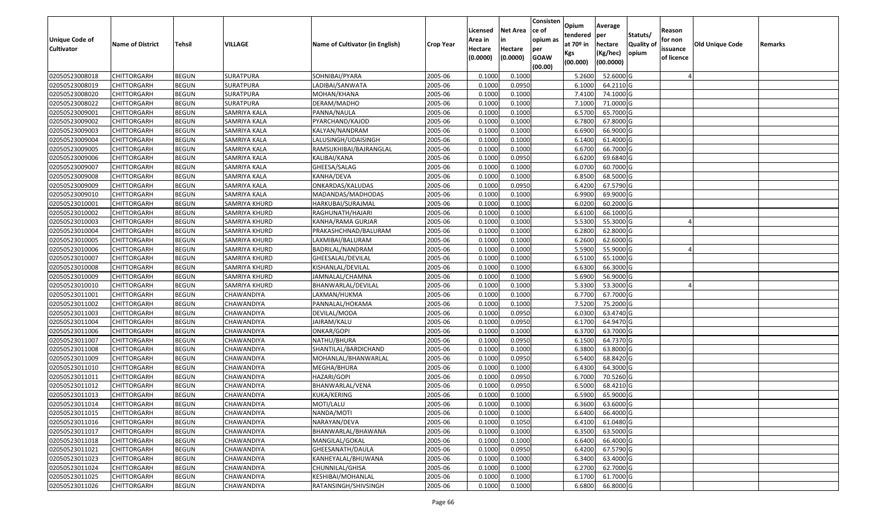| <b>Unique Code of</b> | <b>Name of District</b> | Tehsil       | <b>VILLAGE</b>      | Name of Cultivator (in English) | <b>Crop Year</b> | Licensed<br>Area in | <b>Net Area</b><br>in | Consisten<br>ce of<br>opium as | Opium<br>tendered<br>at $70°$ in | Average<br>per<br>hectare | Statuts/<br><b>Quality o</b> | Reason<br>for non      | Old Unique Code | Remarks |
|-----------------------|-------------------------|--------------|---------------------|---------------------------------|------------------|---------------------|-----------------------|--------------------------------|----------------------------------|---------------------------|------------------------------|------------------------|-----------------|---------|
| <b>Cultivator</b>     |                         |              |                     |                                 |                  | Hectare<br>(0.0000) | Hectare<br>(0.0000)   | per<br><b>GOAW</b><br>(00.00)  | Kgs<br>(00.000)                  | (Kg/hec)<br>(00.0000)     | opium                        | issuance<br>of licence |                 |         |
| 02050523008018        | CHITTORGARH             | <b>BEGUN</b> | <b>SURATPURA</b>    | SOHNIBAI/PYARA                  | 2005-06          | 0.1000              | 0.1000                |                                | 5.2600                           | 52.6000G                  |                              |                        |                 |         |
| 02050523008019        | CHITTORGARH             | <b>BEGUN</b> | SURATPURA           | LADIBAI/SANWATA                 | 2005-06          | 0.1000              | 0.0950                |                                | 6.1000                           | 64.2110 G                 |                              |                        |                 |         |
| 02050523008020        | CHITTORGARH             | <b>BEGUN</b> | SURATPURA           | MOHAN/KHANA                     | 2005-06          | 0.1000              | 0.1000                |                                | 7.4100                           | 74.1000G                  |                              |                        |                 |         |
| 02050523008022        | <b>CHITTORGARH</b>      | <b>BEGUN</b> | <b>SURATPURA</b>    | DERAM/MADHO                     | 2005-06          | 0.1000              | 0.1000                |                                | 7.1000                           | 71.0000 G                 |                              |                        |                 |         |
| 02050523009001        | CHITTORGARH             | <b>BEGUN</b> | SAMRIYA KALA        | PANNA/NAULA                     | 2005-06          | 0.1000              | 0.1000                |                                | 6.5700                           | 65.7000 G                 |                              |                        |                 |         |
| 02050523009002        | CHITTORGARH             | <b>BEGUN</b> | SAMRIYA KALA        | PYARCHAND/KAJOD                 | 2005-06          | 0.1000              | 0.1000                |                                | 6.7800                           | 67.8000 G                 |                              |                        |                 |         |
| 02050523009003        | CHITTORGARH             | <b>BEGUN</b> | SAMRIYA KALA        | KALYAN/NANDRAM                  | 2005-06          | 0.1000              | 0.1000                |                                | 6.6900                           | 66.9000 G                 |                              |                        |                 |         |
| 02050523009004        | CHITTORGARH             | <b>BEGUN</b> | SAMRIYA KALA        | LALUSINGH/UDAISINGH             | 2005-06          | 0.1000              | 0.1000                |                                | 6.1400                           | 61.4000 G                 |                              |                        |                 |         |
| 02050523009005        | CHITTORGARH             | <b>BEGUN</b> | SAMRIYA KALA        | RAMSUKHIBAI/BAJRANGLAL          | 2005-06          | 0.1000              | 0.1000                |                                | 6.6700                           | 66.7000 G                 |                              |                        |                 |         |
| 02050523009006        | CHITTORGARH             | <b>BEGUN</b> | SAMRIYA KALA        | KALIBAI/KANA                    | 2005-06          | 0.1000              | 0.0950                |                                | 6.6200                           | 69.6840 G                 |                              |                        |                 |         |
| 02050523009007        | CHITTORGARH             | <b>BEGUN</b> | SAMRIYA KALA        | GHEESA/SALAG                    | 2005-06          | 0.1000              | 0.1000                |                                | 6.0700                           | 60.7000 G                 |                              |                        |                 |         |
| 02050523009008        | CHITTORGARH             | <b>BEGUN</b> | <b>SAMRIYA KALA</b> | KANHA/DEVA                      | 2005-06          | 0.1000              | 0.1000                |                                | 6.8500                           | 68.5000 G                 |                              |                        |                 |         |
| 02050523009009        | <b>CHITTORGARH</b>      | <b>BEGUN</b> | SAMRIYA KALA        | ONKARDAS/KALUDAS                | 2005-06          | 0.1000              | 0.0950                |                                | 6.4200                           | 67.5790 G                 |                              |                        |                 |         |
| 02050523009010        | <b>CHITTORGARH</b>      | <b>BEGUN</b> | SAMRIYA KALA        | MADANDAS/MADHODAS               | 2005-06          | 0.1000              | 0.1000                |                                | 6.9900                           | 69.9000 G                 |                              |                        |                 |         |
| 02050523010001        | CHITTORGARH             | <b>BEGUN</b> | SAMRIYA KHURD       | HARKUBAI/SURAJMAL               | 2005-06          | 0.1000              | 0.1000                |                                | 6.0200                           | 60.2000 G                 |                              |                        |                 |         |
| 02050523010002        | <b>CHITTORGARH</b>      | <b>BEGUN</b> | SAMRIYA KHURD       | RAGHUNATH/HAJARI                | 2005-06          | 0.1000              | 0.1000                |                                | 6.6100                           | 66.1000G                  |                              |                        |                 |         |
| 02050523010003        | CHITTORGARH             | <b>BEGUN</b> | SAMRIYA KHURD       | KANHA/RAMA GURJAR               | 2005-06          | 0.1000              | 0.1000                |                                | 5.5300                           | 55.3000 G                 |                              |                        |                 |         |
| 02050523010004        | CHITTORGARH             | <b>BEGUN</b> | SAMRIYA KHURD       | PRAKASHCHNAD/BALURAM            | 2005-06          | 0.100               | 0.1000                |                                | 6.2800                           | 62.8000 G                 |                              |                        |                 |         |
| 02050523010005        | CHITTORGARH             | <b>BEGUN</b> | SAMRIYA KHURD       | LAXMIBAI/BALURAM                | 2005-06          | 0.100               | 0.1000                |                                | 6.2600                           | 62.6000G                  |                              |                        |                 |         |
| 02050523010006        | CHITTORGARH             | <b>BEGUN</b> | SAMRIYA KHURD       | BADRILAL/NANDRAM                | 2005-06          | 0.1000              | 0.1000                |                                | 5.5900                           | 55.9000G                  |                              |                        |                 |         |
| 02050523010007        | CHITTORGARH             | <b>BEGUN</b> | SAMRIYA KHURD       | GHEESALAL/DEVILAL               | 2005-06          | 0.100               | 0.1000                |                                | 6.5100                           | 65.1000G                  |                              |                        |                 |         |
| 02050523010008        | CHITTORGARH             | <b>BEGUN</b> | SAMRIYA KHURD       | KISHANLAL/DEVILAL               | 2005-06          | 0.100               | 0.1000                |                                | 6.6300                           | 66.3000 G                 |                              |                        |                 |         |
| 02050523010009        | CHITTORGARH             | <b>BEGUN</b> | SAMRIYA KHURD       | JAMNALAL/CHAMNA                 | 2005-06          | 0.1000              | 0.1000                |                                | 5.6900                           | 56.9000 G                 |                              |                        |                 |         |
| 02050523010010        | <b>CHITTORGARH</b>      | <b>BEGUN</b> | SAMRIYA KHURD       | BHANWARLAL/DEVILAL              | 2005-06          | 0.100               | 0.1000                |                                | 5.3300                           | 53.3000G                  |                              |                        |                 |         |
| 02050523011001        | <b>CHITTORGARH</b>      | <b>BEGUN</b> | CHAWANDIYA          | LAXMAN/HUKMA                    | 2005-06          | 0.100               | 0.1000                |                                | 6.7700                           | 67.7000 G                 |                              |                        |                 |         |
| 02050523011002        | CHITTORGARH             | <b>BEGUN</b> | CHAWANDIYA          | PANNALAL/HOKAMA                 | 2005-06          | 0.1000              | 0.1000                |                                | 7.5200                           | 75.2000 G                 |                              |                        |                 |         |
| 02050523011003        | CHITTORGARH             | <b>BEGUN</b> | CHAWANDIYA          | DEVILAL/MODA                    | 2005-06          | 0.100               | 0.0950                |                                | 6.0300                           | 63.4740 G                 |                              |                        |                 |         |
| 02050523011004        | CHITTORGARH             | <b>BEGUN</b> | CHAWANDIYA          | JAIRAM/KALU                     | 2005-06          | 0.1000              | 0.0950                |                                | 6.1700                           | 64.9470 G                 |                              |                        |                 |         |
| 02050523011006        | CHITTORGARH             | <b>BEGUN</b> | CHAWANDIYA          | ONKAR/GOPI                      | 2005-06          | 0.1000              | 0.1000                |                                | 6.3700                           | 63.7000 G                 |                              |                        |                 |         |
| 02050523011007        | CHITTORGARH             | <b>BEGUN</b> | CHAWANDIYA          | NATHU/BHURA                     | 2005-06          | 0.1000              | 0.0950                |                                | 6.1500                           | 64.7370 G                 |                              |                        |                 |         |
| 02050523011008        | CHITTORGARH             | <b>BEGUN</b> | CHAWANDIYA          | SHANTILAL/BARDICHAND            | 2005-06          | 0.100               | 0.1000                |                                | 6.3800                           | 63.8000 G                 |                              |                        |                 |         |
| 02050523011009        | CHITTORGARH             | <b>BEGUN</b> | CHAWANDIYA          | MOHANLAL/BHANWARLAI             | 2005-06          | 0.1000              | 0.0950                |                                | 6.5400                           | 68.8420 G                 |                              |                        |                 |         |
| 02050523011010        | CHITTORGARH             | <b>BEGUN</b> | CHAWANDIYA          | MEGHA/BHURA                     | 2005-06          | 0.100               | 0.1000                |                                | 6.4300                           | 64.3000G                  |                              |                        |                 |         |
| 02050523011011        | CHITTORGARH             | <b>BEGUN</b> | CHAWANDIYA          | HAZARI/GOPI                     | 2005-06          | 0.1000              | 0.0950                |                                | 6.7000                           | 70.5260 G                 |                              |                        |                 |         |
| 02050523011012        | CHITTORGARH             | <b>BEGUN</b> | CHAWANDIYA          | BHANWARLAL/VENA                 | 2005-06          | 0.1000              | 0.0950                |                                | 6.5000                           | 68.4210 G                 |                              |                        |                 |         |
| 02050523011013        | CHITTORGARH             | <b>BEGUN</b> | CHAWANDIYA          | KUKA/KERING                     | 2005-06          | 0.1000              | 0.1000                |                                | 6.5900                           | 65.9000 G                 |                              |                        |                 |         |
| 02050523011014        | <b>CHITTORGARH</b>      | <b>BEGUN</b> | CHAWANDIYA          | MOTI/LALU                       | 2005-06          | 0.1000              | 0.1000                |                                | 6.3600                           | $63.6000$ G               |                              |                        |                 |         |
| 02050523011015        | <b>CHITTORGARH</b>      | <b>BEGUN</b> | CHAWANDIYA          | NANDA/MOTI                      | 2005-06          | 0.1000              | 0.1000                |                                | 6.6400                           | 66.4000 G                 |                              |                        |                 |         |
| 02050523011016        | <b>CHITTORGARH</b>      | <b>BEGUN</b> | CHAWANDIYA          | NARAYAN/DEVA                    | 2005-06          | 0.1000              | 0.1050                |                                | 6.4100                           | 61.0480 G                 |                              |                        |                 |         |
| 02050523011017        | <b>CHITTORGARH</b>      | <b>BEGUN</b> | CHAWANDIYA          | BHANWARLAL/BHAWANA              | 2005-06          | 0.1000              | 0.1000                |                                | 6.3500                           | 63.5000 G                 |                              |                        |                 |         |
| 02050523011018        | CHITTORGARH             | <b>BEGUN</b> | CHAWANDIYA          | MANGILAL/GOKAL                  | 2005-06          | 0.1000              | 0.1000                |                                | 6.6400                           | 66.4000 G                 |                              |                        |                 |         |
| 02050523011021        | <b>CHITTORGARH</b>      | <b>BEGUN</b> | <b>CHAWANDIYA</b>   | GHEESANATH/DAULA                | 2005-06          | 0.1000              | 0.0950                |                                | 6.4200                           | 67.5790 G                 |                              |                        |                 |         |
| 02050523011023        | <b>CHITTORGARH</b>      | <b>BEGUN</b> | CHAWANDIYA          | KANHEYALAL/BHUWANA              | 2005-06          | 0.1000              | 0.1000                |                                | 6.3400                           | 63.4000 G                 |                              |                        |                 |         |
| 02050523011024        | <b>CHITTORGARH</b>      | <b>BEGUN</b> | CHAWANDIYA          | CHUNNILAL/GHISA                 | 2005-06          | 0.1000              | 0.1000                |                                | 6.2700                           | 62.7000 G                 |                              |                        |                 |         |
| 02050523011025        | <b>CHITTORGARH</b>      | <b>BEGUN</b> | CHAWANDIYA          | KESHIBAI/MOHANLAL               | 2005-06          | 0.1000              | 0.1000                |                                | 6.1700                           | 61.7000 G                 |                              |                        |                 |         |
| 02050523011026        | <b>CHITTORGARH</b>      | <b>BEGUN</b> | CHAWANDIYA          | RATANSINGH/SHIVSINGH            | 2005-06          | 0.1000              | 0.1000                |                                | 6.6800                           | 66.8000 G                 |                              |                        |                 |         |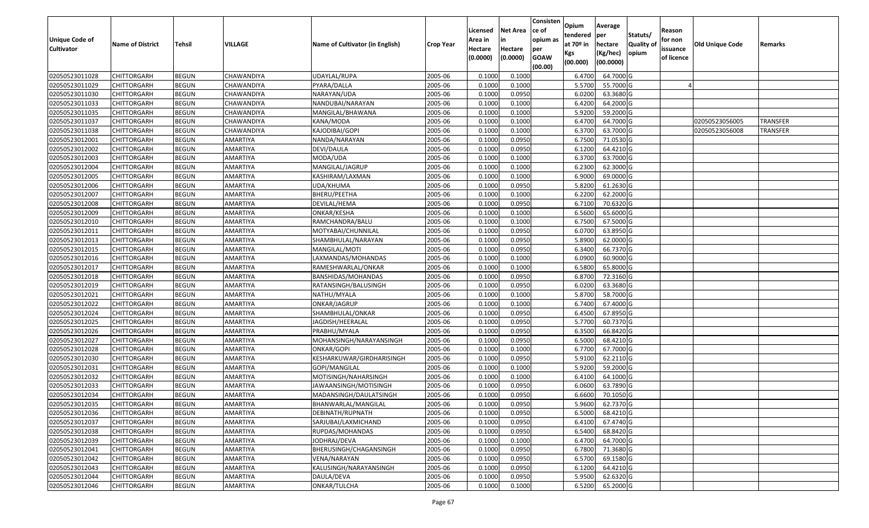| <b>Unique Code of</b><br><b>Cultivator</b> | <b>Name of District</b> | <b>Tehsil</b> | VILLAGE           | Name of Cultivator (in English) | <b>Crop Year</b> | Licensed<br>Area in<br>Hectare<br>(0.0000) | <b>Net Area</b><br>in<br>Hectare<br>(0.0000) | Consisten<br>ce of<br>opium as<br>per<br><b>GOAW</b><br>(00.00) | Opium<br>tendered<br>at 70º in<br>Kgs<br>(00.000) | Average<br>per<br>hectare<br>(Kg/hec)<br>(00.0000) | Statuts/<br><b>Quality of</b><br>opium | Reason<br>for non<br>issuance<br>of licence | Old Unique Code | Remarks  |
|--------------------------------------------|-------------------------|---------------|-------------------|---------------------------------|------------------|--------------------------------------------|----------------------------------------------|-----------------------------------------------------------------|---------------------------------------------------|----------------------------------------------------|----------------------------------------|---------------------------------------------|-----------------|----------|
| 02050523011028                             | <b>CHITTORGARH</b>      | <b>BEGUN</b>  | CHAWANDIYA        | UDAYLAL/RUPA                    | 2005-06          | 0.1000                                     | 0.1000                                       |                                                                 | 6.4700                                            | 64.7000 G                                          |                                        |                                             |                 |          |
| 02050523011029                             | <b>CHITTORGARH</b>      | <b>BEGUN</b>  | CHAWANDIYA        | PYARA/DALLA                     | 2005-06          | 0.1000                                     | 0.1000                                       |                                                                 | 5.5700                                            | 55.7000 G                                          |                                        |                                             |                 |          |
| 02050523011030                             | <b>CHITTORGARH</b>      | <b>BEGUN</b>  | CHAWANDIYA        | NARAYAN/UDA                     | 2005-06          | 0.1000                                     | 0.0950                                       |                                                                 | 6.0200                                            | 63.3680 G                                          |                                        |                                             |                 |          |
| 02050523011033                             | <b>CHITTORGARH</b>      | <b>BEGUN</b>  | <b>CHAWANDIYA</b> | NANDUBAI/NARAYAN                | 2005-06          | 0.1000                                     | 0.1000                                       |                                                                 | 6.4200                                            | 64.2000 G                                          |                                        |                                             |                 |          |
| 02050523011035                             | <b>CHITTORGARH</b>      | <b>BEGUN</b>  | CHAWANDIYA        | MANGILAL/BHAWANA                | 2005-06          | 0.1000                                     | 0.1000                                       |                                                                 | 5.9200                                            | 59.2000 G                                          |                                        |                                             |                 |          |
| 02050523011037                             | <b>CHITTORGARH</b>      | <b>BEGUN</b>  | CHAWANDIYA        | KANA/MODA                       | 2005-06          | 0.1000                                     | 0.1000                                       |                                                                 | 6.4700                                            | 64.7000 G                                          |                                        |                                             | 02050523056005  | TRANSFER |
| 02050523011038                             | <b>CHITTORGARH</b>      | <b>BEGUN</b>  | CHAWANDIYA        | KAJODIBAI/GOPI                  | 2005-06          | 0.1000                                     | 0.1000                                       |                                                                 | 6.3700                                            | 63.7000 G                                          |                                        |                                             | 02050523056008  | TRANSFER |
| 02050523012001                             | <b>CHITTORGARH</b>      | <b>BEGUN</b>  | AMARTIYA          | NANDA/NARAYAN                   | 2005-06          | 0.1000                                     | 0.0950                                       |                                                                 | 6.7500                                            | 71.0530 G                                          |                                        |                                             |                 |          |
| 02050523012002                             | <b>CHITTORGARH</b>      | <b>BEGUN</b>  | AMARTIYA          | DEVI/DAULA                      | 2005-06          | 0.1000                                     | 0.0950                                       |                                                                 | 6.1200                                            | 64.4210 G                                          |                                        |                                             |                 |          |
| 02050523012003                             | <b>CHITTORGARH</b>      | <b>BEGUN</b>  | AMARTIYA          | MODA/UDA                        | 2005-06          | 0.1000                                     | 0.1000                                       |                                                                 | 6.3700                                            | 63.7000 G                                          |                                        |                                             |                 |          |
| 02050523012004                             | <b>CHITTORGARH</b>      | <b>BEGUN</b>  | AMARTIYA          | MANGILAL/JAGRUP                 | 2005-06          | 0.1000                                     | 0.1000                                       |                                                                 | 6.2300                                            | 62.3000 G                                          |                                        |                                             |                 |          |
| 02050523012005                             | <b>CHITTORGARH</b>      | <b>BEGUN</b>  | AMARTIYA          | KASHIRAM/LAXMAN                 | 2005-06          | 0.1000                                     | 0.1000                                       |                                                                 | 6.9000                                            | 69.0000 G                                          |                                        |                                             |                 |          |
| 02050523012006                             | <b>CHITTORGARH</b>      | <b>BEGUN</b>  | AMARTIYA          | UDA/KHUMA                       | 2005-06          | 0.1000                                     | 0.0950                                       |                                                                 | 5.8200                                            | 61.2630 G                                          |                                        |                                             |                 |          |
| 02050523012007                             | <b>CHITTORGARH</b>      | <b>BEGUN</b>  | AMARTIYA          | BHERU/PEETHA                    | 2005-06          | 0.1000                                     | 0.1000                                       |                                                                 | 6.2200                                            | 62.2000 G                                          |                                        |                                             |                 |          |
| 02050523012008                             | <b>CHITTORGARH</b>      | <b>BEGUN</b>  | AMARTIYA          | DEVILAL/HEMA                    | 2005-06          | 0.1000                                     | 0.0950                                       |                                                                 | 6.7100                                            | 70.6320 G                                          |                                        |                                             |                 |          |
| 02050523012009                             | <b>CHITTORGARH</b>      | <b>BEGUN</b>  | AMARTIYA          | ONKAR/KESHA                     | 2005-06          | 0.1000                                     | 0.1000                                       |                                                                 | 6.5600                                            | 65.6000 G                                          |                                        |                                             |                 |          |
| 02050523012010                             | <b>CHITTORGARH</b>      | <b>BEGUN</b>  | AMARTIYA          | RAMCHANDRA/BALU                 | 2005-06          | 0.1000                                     | 0.1000                                       |                                                                 | 6.7500                                            | 67.5000 G                                          |                                        |                                             |                 |          |
| 02050523012011                             | <b>CHITTORGARH</b>      | <b>BEGUN</b>  | AMARTIYA          | MOTYABAI/CHUNNILAL              | 2005-06          | 0.1000                                     | 0.0950                                       |                                                                 | 6.0700                                            | 63.8950 G                                          |                                        |                                             |                 |          |
| 02050523012013                             | <b>CHITTORGARH</b>      | <b>BEGUN</b>  | AMARTIYA          | SHAMBHULAL/NARAYAN              | 2005-06          | 0.1000                                     | 0.0950                                       |                                                                 | 5.8900                                            | 62.0000 G                                          |                                        |                                             |                 |          |
| 02050523012015                             | <b>CHITTORGARH</b>      | <b>BEGUN</b>  | AMARTIYA          | MANGILAL/MOTI                   | 2005-06          | 0.1000                                     | 0.0950                                       |                                                                 | 6.3400                                            | 66.7370 G                                          |                                        |                                             |                 |          |
| 02050523012016                             | <b>CHITTORGARH</b>      | <b>BEGUN</b>  | AMARTIYA          | LAXMANDAS/MOHANDAS              | 2005-06          | 0.1000                                     | 0.1000                                       |                                                                 | 6.0900                                            | 60.9000 G                                          |                                        |                                             |                 |          |
| 02050523012017                             | <b>CHITTORGARH</b>      | <b>BEGUN</b>  | AMARTIYA          | RAMESHWARLAL/ONKAR              | 2005-06          | 0.1000                                     | 0.1000                                       |                                                                 | 6.5800                                            | 65.8000 G                                          |                                        |                                             |                 |          |
| 02050523012018                             | <b>CHITTORGARH</b>      | <b>BEGUN</b>  | AMARTIYA          | BANSHIDAS/MOHANDAS              | 2005-06          | 0.1000                                     | 0.0950                                       |                                                                 | 6.8700                                            | 72.3160 G                                          |                                        |                                             |                 |          |
| 02050523012019                             | <b>CHITTORGARH</b>      | <b>BEGUN</b>  | AMARTIYA          | RATANSINGH/BALUSINGH            | 2005-06          | 0.1000                                     | 0.0950                                       |                                                                 | 6.0200                                            | 63.3680 G                                          |                                        |                                             |                 |          |
| 02050523012021                             | <b>CHITTORGARH</b>      | <b>BEGUN</b>  | AMARTIYA          | NATHU/MYALA                     | 2005-06          | 0.1000                                     | 0.1000                                       |                                                                 | 5.8700                                            | 58.7000 G                                          |                                        |                                             |                 |          |
| 02050523012022                             | <b>CHITTORGARH</b>      | <b>BEGUN</b>  | AMARTIYA          | ONKAR/JAGRUP                    | 2005-06          | 0.1000                                     | 0.1000                                       |                                                                 | 6.7400                                            | 67.4000 G                                          |                                        |                                             |                 |          |
| 02050523012024                             | <b>CHITTORGARH</b>      | <b>BEGUN</b>  | AMARTIYA          | SHAMBHULAL/ONKAR                | 2005-06          | 0.1000                                     | 0.0950                                       |                                                                 | 6.4500                                            | 67.8950 G                                          |                                        |                                             |                 |          |
| 02050523012025                             | <b>CHITTORGARH</b>      | <b>BEGUN</b>  | AMARTIYA          | JAGDISH/HEERALAL                | 2005-06          | 0.1000                                     | 0.0950                                       |                                                                 | 5.7700                                            | 60.7370 G                                          |                                        |                                             |                 |          |
| 02050523012026                             | <b>CHITTORGARH</b>      | <b>BEGUN</b>  | AMARTIYA          | PRABHU/MYALA                    | 2005-06          | 0.1000                                     | 0.0950                                       |                                                                 | 6.3500                                            | 66.8420 G                                          |                                        |                                             |                 |          |
| 02050523012027                             | <b>CHITTORGARH</b>      | <b>BEGUN</b>  | AMARTIYA          | MOHANSINGH/NARAYANSINGH         | 2005-06          | 0.1000                                     | 0.0950                                       |                                                                 | 6.5000                                            | 68.4210 G                                          |                                        |                                             |                 |          |
| 02050523012028                             | <b>CHITTORGARH</b>      | <b>BEGUN</b>  | AMARTIYA          | ONKAR/GOPI                      | 2005-06          | 0.1000                                     | 0.1000                                       |                                                                 | 6.7700                                            | 67.7000 G                                          |                                        |                                             |                 |          |
| 02050523012030                             | <b>CHITTORGARH</b>      | <b>BEGUN</b>  | AMARTIYA          | KESHARKUWAR/GIRDHARISINGH       | 2005-06          | 0.1000                                     | 0.0950                                       |                                                                 | 5.9100                                            | 62.2110 G                                          |                                        |                                             |                 |          |
| 02050523012031                             | <b>CHITTORGARH</b>      | <b>BEGUN</b>  | AMARTIYA          | GOPI/MANGILAL                   | 2005-06          | 0.1000                                     | 0.1000                                       |                                                                 | 5.9200                                            | 59.2000 G                                          |                                        |                                             |                 |          |
| 02050523012032                             | <b>CHITTORGARH</b>      | <b>BEGUN</b>  | AMARTIYA          | MOTISINGH/NAHARSINGH            | 2005-06          | 0.1000                                     | 0.1000                                       |                                                                 | 6.4100                                            | 64.1000 G                                          |                                        |                                             |                 |          |
| 02050523012033                             | <b>CHITTORGARH</b>      | <b>BEGUN</b>  | AMARTIYA          | JAWAANSINGH/MOTISINGH           | 2005-06          | 0.1000                                     | 0.0950                                       |                                                                 | 6.0600                                            | 63.7890 G                                          |                                        |                                             |                 |          |
| 02050523012034                             | <b>CHITTORGARH</b>      | <b>BEGUN</b>  | AMARTIYA          | MADANSINGH/DAULATSINGH          | 2005-06          | 0.1000                                     | 0.0950                                       |                                                                 | 6.6600                                            | 70.1050 G                                          |                                        |                                             |                 |          |
| 02050523012035                             | CHITTORGARH             | <b>BEGUN</b>  | AMARTIYA          | BHANWARLAL/MANGILAL             | 2005-06          | 0.1000                                     | 0.0950                                       |                                                                 | 5.9600                                            | 62.7370 G                                          |                                        |                                             |                 |          |
| 02050523012036                             | <b>CHITTORGARH</b>      | <b>BEGUN</b>  | AMARTIYA          | DEBINATH/RUPNATH                | 2005-06          | 0.1000                                     | 0.0950                                       |                                                                 | 6.5000                                            | 68.4210 G                                          |                                        |                                             |                 |          |
| 02050523012037                             | <b>CHITTORGARH</b>      | <b>BEGUN</b>  | AMARTIYA          | SARJUBAI/LAXMICHAND             | 2005-06          | 0.1000                                     | 0.0950                                       |                                                                 | 6.4100                                            | 67.4740 G                                          |                                        |                                             |                 |          |
| 02050523012038                             | <b>CHITTORGARH</b>      | <b>BEGUN</b>  | AMARTIYA          | RUPDAS/MOHANDAS                 | 2005-06          | 0.1000                                     | 0.0950                                       |                                                                 | 6.5400                                            | 68.8420 G                                          |                                        |                                             |                 |          |
| 02050523012039                             | <b>CHITTORGARH</b>      | <b>BEGUN</b>  | AMARTIYA          | JODHRAJ/DEVA                    | 2005-06          | 0.1000                                     | 0.1000                                       |                                                                 | 6.4700                                            | 64.7000 G                                          |                                        |                                             |                 |          |
| 02050523012041                             | <b>CHITTORGARH</b>      | <b>BEGUN</b>  | <b>AMARTIYA</b>   | BHERUSINGH/CHAGANSINGH          | 2005-06          | 0.1000                                     | 0.0950                                       |                                                                 | 6.7800                                            | 71.3680 G                                          |                                        |                                             |                 |          |
| 02050523012042                             | <b>CHITTORGARH</b>      | <b>BEGUN</b>  | AMARTIYA          | VENA/NARAYAN                    | 2005-06          | 0.1000                                     | 0.0950                                       |                                                                 | 6.5700                                            | 69.1580 G                                          |                                        |                                             |                 |          |
| 02050523012043                             | <b>CHITTORGARH</b>      | <b>BEGUN</b>  | AMARTIYA          | KALUSINGH/NARAYANSINGH          | 2005-06          | 0.1000                                     | 0.0950                                       |                                                                 | 6.1200                                            | 64.4210 G                                          |                                        |                                             |                 |          |
| 02050523012044                             | <b>CHITTORGARH</b>      | <b>BEGUN</b>  | AMARTIYA          | DAULA/DEVA                      | 2005-06          | 0.1000                                     | 0.0950                                       |                                                                 | 5.9500                                            | 62.6320 G                                          |                                        |                                             |                 |          |
| 02050523012046                             | <b>CHITTORGARH</b>      | <b>BEGUN</b>  | AMARTIYA          | ONKAR/TULCHA                    | 2005-06          | 0.1000                                     | 0.1000                                       |                                                                 | 6.5200                                            | 65.2000 G                                          |                                        |                                             |                 |          |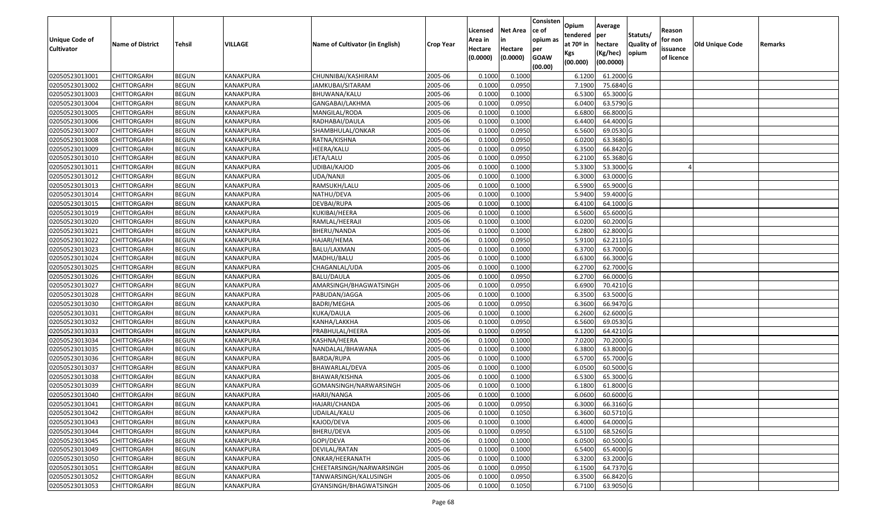| Unique Code of    | <b>Name of District</b> | <b>Tehsil</b> | VILLAGE          | Name of Cultivator (in English) |                  | Licensed<br>Area in | <b>Net Area</b><br>in | Consisten<br>ce of<br>opium as | Opium<br>tendered<br>at $70°$ in | Average<br>per<br>hectare | Statuts/<br><b>Quality o</b> | Reason<br>for non      | Old Unique Code |         |
|-------------------|-------------------------|---------------|------------------|---------------------------------|------------------|---------------------|-----------------------|--------------------------------|----------------------------------|---------------------------|------------------------------|------------------------|-----------------|---------|
| <b>Cultivator</b> |                         |               |                  |                                 | <b>Crop Year</b> | Hectare<br>(0.0000) | Hectare<br>(0.0000)   | per<br><b>GOAW</b><br>(00.00)  | Kgs<br>(00.000)                  | (Kg/hec)<br>(00.0000)     | opium                        | issuance<br>of licence |                 | Remarks |
| 02050523013001    | CHITTORGARH             | <b>BEGUN</b>  | <b>KANAKPURA</b> | CHUNNIBAI/KASHIRAM              | 2005-06          | 0.1000              | 0.1000                |                                | 6.1200                           | 61.2000 G                 |                              |                        |                 |         |
| 02050523013002    | CHITTORGARH             | <b>BEGUN</b>  | KANAKPURA        | JAMKUBAI/SITARAM                | 2005-06          | 0.1000              | 0.0950                |                                | 7.1900                           | 75.6840 G                 |                              |                        |                 |         |
| 02050523013003    | CHITTORGARH             | <b>BEGUN</b>  | KANAKPURA        | BHUWANA/KALU                    | 2005-06          | 0.1000              | 0.1000                |                                | 6.5300                           | 65.3000G                  |                              |                        |                 |         |
| 02050523013004    | <b>CHITTORGARH</b>      | <b>BEGUN</b>  | <b>KANAKPURA</b> | GANGABAI/LAKHMA                 | 2005-06          | 0.1000              | 0.0950                |                                | 6.0400                           | 63.5790 G                 |                              |                        |                 |         |
| 02050523013005    | CHITTORGARH             | <b>BEGUN</b>  | <b>KANAKPURA</b> | MANGILAL/RODA                   | 2005-06          | 0.1000              | 0.1000                |                                | 6.6800                           | 66.8000 G                 |                              |                        |                 |         |
| 02050523013006    | CHITTORGARH             | <b>BEGUN</b>  | <b>KANAKPURA</b> | RADHABAI/DAULA                  | 2005-06          | 0.1000              | 0.1000                |                                | 6.4400                           | 64.4000 G                 |                              |                        |                 |         |
| 02050523013007    | CHITTORGARH             | <b>BEGUN</b>  | KANAKPURA        | SHAMBHULAL/ONKAR                | 2005-06          | 0.1000              | 0.0950                |                                | 6.5600                           | 69.0530 G                 |                              |                        |                 |         |
| 02050523013008    | CHITTORGARH             | <b>BEGUN</b>  | <b>KANAKPURA</b> | RATNA/KISHNA                    | 2005-06          | 0.1000              | 0.0950                |                                | 6.0200                           | 63.3680 G                 |                              |                        |                 |         |
| 02050523013009    | CHITTORGARH             | <b>BEGUN</b>  | <b>KANAKPURA</b> | HEERA/KALU                      | 2005-06          | 0.1000              | 0.0950                |                                | 6.3500                           | 66.8420 G                 |                              |                        |                 |         |
| 02050523013010    | CHITTORGARH             | <b>BEGUN</b>  | KANAKPURA        | JETA/LALU                       | 2005-06          | 0.1000              | 0.0950                |                                | 6.2100                           | 65.3680 G                 |                              |                        |                 |         |
| 02050523013011    | CHITTORGARH             | <b>BEGUN</b>  | KANAKPURA        | UDIBAI/KAJOD                    | 2005-06          | 0.1000              | 0.1000                |                                | 5.3300                           | 53.3000 G                 |                              |                        |                 |         |
| 02050523013012    | <b>CHITTORGARH</b>      | <b>BEGUN</b>  | <b>KANAKPURA</b> | UDA/NANJI                       | 2005-06          | 0.1000              | 0.1000                |                                | 6.3000                           | 63.0000 G                 |                              |                        |                 |         |
| 02050523013013    | <b>CHITTORGARH</b>      | <b>BEGUN</b>  | <b>KANAKPURA</b> | RAMSUKH/LALU                    | 2005-06          | 0.1000              | 0.1000                |                                | 6.5900                           | 65.9000 G                 |                              |                        |                 |         |
| 02050523013014    | CHITTORGARH             | <b>BEGUN</b>  | KANAKPURA        | NATHU/DEVA                      | 2005-06          | 0.1000              | 0.1000                |                                | 5.9400                           | 59.4000 G                 |                              |                        |                 |         |
| 02050523013015    | CHITTORGARH             | <b>BEGUN</b>  | KANAKPURA        | DEVBAI/RUPA                     | 2005-06          | 0.1000              | 0.1000                |                                | 6.4100                           | 64.1000 G                 |                              |                        |                 |         |
| 02050523013019    | CHITTORGARH             | <b>BEGUN</b>  | KANAKPURA        | KUKIBAI/HEERA                   | 2005-06          | 0.1000              | 0.1000                |                                | 6.5600                           | 65.6000G                  |                              |                        |                 |         |
| 02050523013020    | CHITTORGARH             | <b>BEGUN</b>  | KANAKPURA        | RAMLAL/HEERAJI                  | 2005-06          | 0.1000              | 0.1000                |                                | 6.0200                           | 60.2000G                  |                              |                        |                 |         |
| 02050523013021    | CHITTORGARH             | <b>BEGUN</b>  | KANAKPURA        | BHERU/NANDA                     | 2005-06          | 0.100               | 0.1000                |                                | 6.2800                           | 62.8000 G                 |                              |                        |                 |         |
| 02050523013022    | CHITTORGARH             | <b>BEGUN</b>  | KANAKPURA        | HAJARI/HEMA                     | 2005-06          | 0.100               | 0.0950                |                                | 5.9100                           | 62.2110G                  |                              |                        |                 |         |
| 02050523013023    | CHITTORGARH             | <b>BEGUN</b>  | KANAKPURA        | BALU/LAXMAN                     | 2005-06          | 0.1000              | 0.1000                |                                | 6.3700                           | 63.7000 G                 |                              |                        |                 |         |
| 02050523013024    | CHITTORGARH             | <b>BEGUN</b>  | <b>KANAKPURA</b> | MADHU/BALU                      | 2005-06          | 0.100               | 0.1000                |                                | 6.6300                           | 66.3000 G                 |                              |                        |                 |         |
| 02050523013025    | CHITTORGARH             | <b>BEGUN</b>  | KANAKPURA        | CHAGANLAL/UDA                   | 2005-06          | 0.100               | 0.1000                |                                | 6.2700                           | 62.7000 G                 |                              |                        |                 |         |
| 02050523013026    | CHITTORGARH             | <b>BEGUN</b>  | KANAKPURA        | <b>BALU/DAULA</b>               | 2005-06          | 0.1000              | 0.0950                |                                | 6.2700                           | 66.0000G                  |                              |                        |                 |         |
| 02050523013027    | CHITTORGARH             | <b>BEGUN</b>  | KANAKPURA        | AMARSINGH/BHAGWATSINGH          | 2005-06          | 0.100               | 0.0950                |                                | 6.6900                           | 70.4210 G                 |                              |                        |                 |         |
| 02050523013028    | <b>CHITTORGARH</b>      | <b>BEGUN</b>  | KANAKPURA        | PABUDAN/JAGGA                   | 2005-06          | 0.1000              | 0.1000                |                                | 6.3500                           | 63.5000G                  |                              |                        |                 |         |
| 02050523013030    | CHITTORGARH             | <b>BEGUN</b>  | KANAKPURA        | <b>BADRI/MEGHA</b>              | 2005-06          | 0.1000              | 0.0950                |                                | 6.3600                           | 66.9470 G                 |                              |                        |                 |         |
| 02050523013031    | CHITTORGARH             | <b>BEGUN</b>  | KANAKPURA        | KUKA/DAULA                      | 2005-06          | 0.1000              | 0.1000                |                                | 6.2600                           | 62.6000G                  |                              |                        |                 |         |
| 02050523013032    | CHITTORGARH             | <b>BEGUN</b>  | KANAKPURA        | KANHA/LAKKHA                    | 2005-06          | 0.1000              | 0.0950                |                                | 6.5600                           | 69.0530 G                 |                              |                        |                 |         |
| 02050523013033    | CHITTORGARH             | <b>BEGUN</b>  | <b>KANAKPURA</b> | PRABHULAL/HEERA                 | 2005-06          | 0.1000              | 0.0950                |                                | 6.1200                           | 64.4210 G                 |                              |                        |                 |         |
| 02050523013034    | CHITTORGARH             | <b>BEGUN</b>  | <b>KANAKPURA</b> | KASHNA/HEERA                    | 2005-06          | 0.1000              | 0.1000                |                                | 7.0200                           | 70.2000 G                 |                              |                        |                 |         |
| 02050523013035    | CHITTORGARH             | <b>BEGUN</b>  | <b>KANAKPURA</b> | NANDALAL/BHAWANA                | 2005-06          | 0.1000              | 0.1000                |                                | 6.3800                           | 63.8000 G                 |                              |                        |                 |         |
| 02050523013036    | CHITTORGARH             | <b>BEGUN</b>  | KANAKPURA        | BARDA/RUPA                      | 2005-06          | 0.1000              | 0.1000                |                                | 6.5700                           | 65.7000 G                 |                              |                        |                 |         |
| 02050523013037    | CHITTORGARH             | <b>BEGUN</b>  | <b>KANAKPURA</b> | BHAWARLAL/DEVA                  | 2005-06          | 0.1000              | 0.1000                |                                | 6.0500                           | 60.5000G                  |                              |                        |                 |         |
| 02050523013038    | CHITTORGARH             | <b>BEGUN</b>  | KANAKPURA        | BHAWAR/KISHNA                   | 2005-06          | 0.1000              | 0.1000                |                                | 6.5300                           | 65.3000 G                 |                              |                        |                 |         |
| 02050523013039    | CHITTORGARH             | <b>BEGUN</b>  | KANAKPURA        | GOMANSINGH/NARWARSINGH          | 2005-06          | 0.1000              | 0.1000                |                                | 6.1800                           | 61.8000 G                 |                              |                        |                 |         |
| 02050523013040    | CHITTORGARH             | <b>BEGUN</b>  | KANAKPURA        | HARJI/NANGA                     | 2005-06          | 0.1000              | 0.1000                |                                | 6.0600                           | 60.6000 G                 |                              |                        |                 |         |
| 02050523013041    | <b>CHITTORGARH</b>      | <b>BEGUN</b>  | KANAKPURA        | HAJARI/CHANDA                   | 2005-06          | 0.1000              | 0.0950                |                                | 6.3000                           | 66.3160 G                 |                              |                        |                 |         |
| 02050523013042    | <b>CHITTORGARH</b>      | <b>BEGUN</b>  | KANAKPURA        | UDAILAL/KALU                    | 2005-06          | 0.1000              | 0.1050                |                                | 6.3600                           | 60.5710 G                 |                              |                        |                 |         |
| 02050523013043    | <b>CHITTORGARH</b>      | <b>BEGUN</b>  | KANAKPURA        | KAJOD/DEVA                      | 2005-06          | 0.1000              | 0.1000                |                                | 6.4000                           | 64.0000 G                 |                              |                        |                 |         |
| 02050523013044    | <b>CHITTORGARH</b>      | <b>BEGUN</b>  | KANAKPURA        | BHERU/DEVA                      | 2005-06          | 0.1000              | 0.0950                |                                | 6.5100                           | 68.5260 G                 |                              |                        |                 |         |
| 02050523013045    | <b>CHITTORGARH</b>      | <b>BEGUN</b>  | KANAKPURA        | GOPI/DEVA                       | 2005-06          | 0.1000              | 0.1000                |                                | 6.0500                           | 60.5000 G                 |                              |                        |                 |         |
| 02050523013049    | <b>CHITTORGARH</b>      | <b>BEGUN</b>  | KANAKPURA        | DEVILAL/RATAN                   | 2005-06          | 0.1000              | 0.1000                |                                | 6.5400                           | 65.4000 G                 |                              |                        |                 |         |
| 02050523013050    | <b>CHITTORGARH</b>      | <b>BEGUN</b>  | KANAKPURA        | ONKAR/HEERANATH                 | 2005-06          | 0.1000              | 0.1000                |                                | 6.3200                           | 63.2000 G                 |                              |                        |                 |         |
| 02050523013051    | <b>CHITTORGARH</b>      | <b>BEGUN</b>  | KANAKPURA        | CHEETARSINGH/NARWARSINGH        | 2005-06          | 0.1000              | 0.0950                |                                | 6.1500                           | 64.7370 G                 |                              |                        |                 |         |
| 02050523013052    | CHITTORGARH             | <b>BEGUN</b>  | KANAKPURA        | TANWARSINGH/KALUSINGH           | 2005-06          | 0.1000              | 0.0950                |                                | 6.3500                           | 66.8420 G                 |                              |                        |                 |         |
| 02050523013053    | <b>CHITTORGARH</b>      | <b>BEGUN</b>  | KANAKPURA        | GYANSINGH/BHAGWATSINGH          | 2005-06          | 0.1000              | 0.1050                |                                | 6.7100                           | 63.9050 G                 |                              |                        |                 |         |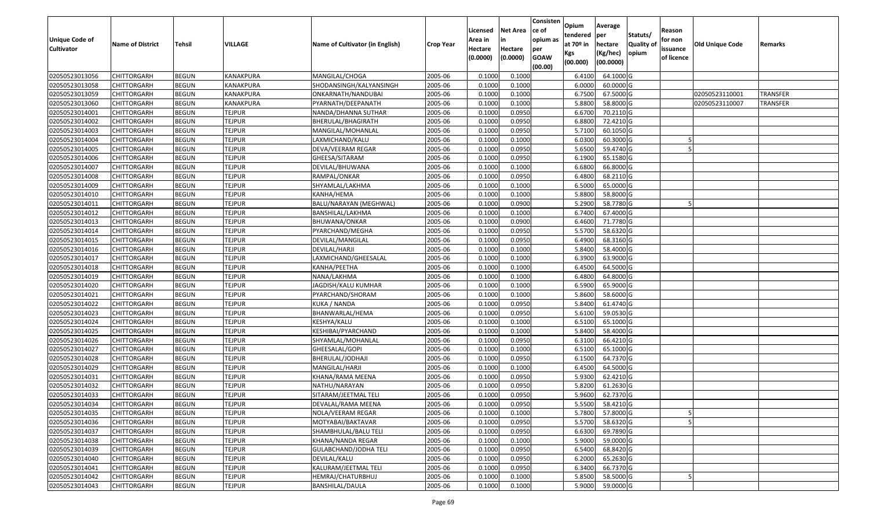| <b>Unique Code of</b><br><b>Cultivator</b> | <b>Name of District</b> | Tehsil       | VILLAGE       | Name of Cultivator (in English) | <b>Crop Year</b> | Licensed<br>Area in<br>Hectare<br>(0.0000) | Net Area<br>in<br>Hectare<br>(0.0000) | Consisten<br>ce of<br>opium as<br>per<br><b>GOAW</b><br>(00.00) | Opium<br>tendered<br>at 70º in<br>Kgs<br>(00.000) | Average<br>per<br>hectare<br>(Kg/hec)<br>(00.0000) | Statuts/<br><b>Quality of</b><br>opium | Reason<br>for non<br>issuance<br>of licence | Old Unique Code | Remarks         |
|--------------------------------------------|-------------------------|--------------|---------------|---------------------------------|------------------|--------------------------------------------|---------------------------------------|-----------------------------------------------------------------|---------------------------------------------------|----------------------------------------------------|----------------------------------------|---------------------------------------------|-----------------|-----------------|
| 02050523013056                             | <b>CHITTORGARH</b>      | <b>BEGUN</b> | KANAKPURA     | MANGILAL/CHOGA                  | 2005-06          | 0.1000                                     | 0.1000                                |                                                                 | 6.4100                                            | 64.1000 G                                          |                                        |                                             |                 |                 |
| 02050523013058                             | CHITTORGARH             | <b>BEGUN</b> | KANAKPURA     | SHODANSINGH/KALYANSINGH         | 2005-06          | 0.1000                                     | 0.1000                                |                                                                 | 6.0000                                            | 60.0000 G                                          |                                        |                                             |                 |                 |
| 02050523013059                             | CHITTORGARH             | <b>BEGUN</b> | KANAKPURA     | ONKARNATH/NANDUBAI              | 2005-06          | 0.1000                                     | 0.1000                                |                                                                 | 6.7500                                            | 67.5000 G                                          |                                        |                                             | 02050523110001  | TRANSFER        |
| 02050523013060                             | <b>CHITTORGARH</b>      | <b>BEGUN</b> | KANAKPURA     | PYARNATH/DEEPANATH              | 2005-06          | 0.1000                                     | 0.1000                                |                                                                 | 5.8800                                            | 58.8000 G                                          |                                        |                                             | 02050523110007  | <b>TRANSFER</b> |
| 02050523014001                             | CHITTORGARH             | <b>BEGUN</b> | <b>TEJPUR</b> | NANDA/DHANNA SUTHAR             | 2005-06          | 0.1000                                     | 0.0950                                |                                                                 | 6.6700                                            | 70.2110 G                                          |                                        |                                             |                 |                 |
| 02050523014002                             | CHITTORGARH             | <b>BEGUN</b> | TEJPUR        | BHERULAL/BHAGIRATH              | 2005-06          | 0.1000                                     | 0.0950                                |                                                                 | 6.8800                                            | 72.4210 G                                          |                                        |                                             |                 |                 |
| 02050523014003                             | CHITTORGARH             | <b>BEGUN</b> | <b>TEJPUR</b> | MANGILAL/MOHANLAL               | 2005-06          | 0.1000                                     | 0.0950                                |                                                                 | 5.7100                                            | 60.1050 G                                          |                                        |                                             |                 |                 |
| 02050523014004                             | <b>CHITTORGARH</b>      | <b>BEGUN</b> | <b>TEJPUR</b> | LAXMICHAND/KALU                 | 2005-06          | 0.1000                                     | 0.1000                                |                                                                 | 6.0300                                            | 60.3000 G                                          |                                        |                                             |                 |                 |
| 02050523014005                             | CHITTORGARH             | <b>BEGUN</b> | <b>TEJPUR</b> | DEVA/VEERAM REGAR               | 2005-06          | 0.1000                                     | 0.0950                                |                                                                 | 5.6500                                            | 59.4740 G                                          |                                        |                                             |                 |                 |
| 02050523014006                             | CHITTORGARH             | <b>BEGUN</b> | <b>TEJPUR</b> | GHEESA/SITARAM                  | 2005-06          | 0.1000                                     | 0.0950                                |                                                                 | 6.1900                                            | 65.1580 G                                          |                                        |                                             |                 |                 |
| 02050523014007                             | CHITTORGARH             | <b>BEGUN</b> | <b>TEJPUR</b> | DEVILAL/BHUWANA                 | 2005-06          | 0.1000                                     | 0.1000                                |                                                                 | 6.6800                                            | 66.8000 G                                          |                                        |                                             |                 |                 |
| 02050523014008                             | <b>CHITTORGARH</b>      | <b>BEGUN</b> | <b>TEJPUR</b> | RAMPAL/ONKAR                    | 2005-06          | 0.1000                                     | 0.0950                                |                                                                 | 6.4800                                            | 68.2110 G                                          |                                        |                                             |                 |                 |
| 02050523014009                             | <b>CHITTORGARH</b>      | <b>BEGUN</b> | <b>TEJPUR</b> | SHYAMLAL/LAKHMA                 | 2005-06          | 0.1000                                     | 0.1000                                |                                                                 | 6.5000                                            | 65.0000 G                                          |                                        |                                             |                 |                 |
| 02050523014010                             | <b>CHITTORGARH</b>      | <b>BEGUN</b> | <b>TEJPUR</b> | KANHA/HEMA                      | 2005-06          | 0.1000                                     | 0.1000                                |                                                                 | 5.8800                                            | 58.8000 G                                          |                                        |                                             |                 |                 |
| 02050523014011                             | CHITTORGARH             | <b>BEGUN</b> | <b>TEJPUR</b> | BALU/NARAYAN (MEGHWAL)          | 2005-06          | 0.1000                                     | 0.0900                                |                                                                 | 5.2900                                            | 58.7780 G                                          |                                        |                                             |                 |                 |
| 02050523014012                             | <b>CHITTORGARH</b>      | <b>BEGUN</b> | <b>TEJPUR</b> | BANSHILAL/LAKHMA                | 2005-06          | 0.1000                                     | 0.1000                                |                                                                 | 6.7400                                            | 67.4000 G                                          |                                        |                                             |                 |                 |
| 02050523014013                             | <b>CHITTORGARH</b>      | <b>BEGUN</b> | <b>TEJPUR</b> | BHUWANA/ONKAR                   | 2005-06          | 0.1000                                     | 0.0900                                |                                                                 | 6.4600                                            | 71.7780 G                                          |                                        |                                             |                 |                 |
| 02050523014014                             | CHITTORGARH             | <b>BEGUN</b> | <b>TEJPUR</b> | PYARCHAND/MEGHA                 | 2005-06          | 0.1000                                     | 0.0950                                |                                                                 | 5.5700                                            | 58.6320 G                                          |                                        |                                             |                 |                 |
| 02050523014015                             | CHITTORGARH             | <b>BEGUN</b> | <b>TEJPUR</b> | DEVILAL/MANGILAL                | 2005-06          | 0.1000                                     | 0.0950                                |                                                                 | 6.4900                                            | 68.3160 G                                          |                                        |                                             |                 |                 |
| 02050523014016                             | CHITTORGARH             | <b>BEGUN</b> | <b>TEJPUR</b> | DEVILAL/HARJI                   | 2005-06          | 0.1000                                     | 0.1000                                |                                                                 | 5.8400                                            | 58.4000 G                                          |                                        |                                             |                 |                 |
| 02050523014017                             | CHITTORGARH             | <b>BEGUN</b> | <b>TEJPUR</b> | LAXMICHAND/GHEESALAL            | 2005-06          | 0.1000                                     | 0.1000                                |                                                                 | 6.3900                                            | 63.9000 G                                          |                                        |                                             |                 |                 |
| 02050523014018                             | CHITTORGARH             | <b>BEGUN</b> | <b>TEJPUR</b> | KANHA/PEETHA                    | 2005-06          | 0.1000                                     | 0.1000                                |                                                                 | 6.4500                                            | 64.5000 G                                          |                                        |                                             |                 |                 |
| 02050523014019                             | CHITTORGARH             | <b>BEGUN</b> | <b>TEJPUR</b> | NANA/LAKHMA                     | 2005-06          | 0.1000                                     | 0.1000                                |                                                                 | 6.4800                                            | 64.8000 G                                          |                                        |                                             |                 |                 |
| 02050523014020                             | CHITTORGARH             | <b>BEGUN</b> | <b>TEJPUR</b> | JAGDISH/KALU KUMHAR             | 2005-06          | 0.1000                                     | 0.1000                                |                                                                 | 6.5900                                            | 65.9000 G                                          |                                        |                                             |                 |                 |
| 02050523014021                             | CHITTORGARH             | <b>BEGUN</b> | <b>TEJPUR</b> | PYARCHAND/SHORAM                | 2005-06          | 0.1000                                     | 0.1000                                |                                                                 | 5.8600                                            | 58.6000 G                                          |                                        |                                             |                 |                 |
| 02050523014022                             | CHITTORGARH             | <b>BEGUN</b> | <b>TEJPUR</b> | KUKA / NANDA                    | 2005-06          | 0.1000                                     | 0.0950                                |                                                                 | 5.8400                                            | 61.4740 G                                          |                                        |                                             |                 |                 |
| 02050523014023                             | CHITTORGARH             | <b>BEGUN</b> | <b>TEJPUR</b> | BHANWARLAL/HEMA                 | 2005-06          | 0.1000                                     | 0.0950                                |                                                                 | 5.6100                                            | 59.0530 G                                          |                                        |                                             |                 |                 |
| 02050523014024                             | CHITTORGARH             | <b>BEGUN</b> | <b>TEJPUR</b> | KESHYA/KALU                     | 2005-06          | 0.1000                                     | 0.1000                                |                                                                 | 6.5100                                            | 65.1000 G                                          |                                        |                                             |                 |                 |
| 02050523014025                             | CHITTORGARH             | <b>BEGUN</b> | <b>TEJPUR</b> | KESHIBAI/PYARCHAND              | 2005-06          | 0.1000                                     | 0.1000                                |                                                                 | 5.8400                                            | 58.4000 G                                          |                                        |                                             |                 |                 |
| 02050523014026                             | CHITTORGARH             | <b>BEGUN</b> | <b>TEJPUR</b> | SHYAMLAL/MOHANLAL               | 2005-06          | 0.1000                                     | 0.0950                                |                                                                 | 6.3100                                            | 66.4210 G                                          |                                        |                                             |                 |                 |
| 02050523014027                             | CHITTORGARH             | <b>BEGUN</b> | <b>TEJPUR</b> | GHEESALAL/GOPI                  | 2005-06          | 0.1000                                     | 0.1000                                |                                                                 | 6.5100                                            | 65.1000 G                                          |                                        |                                             |                 |                 |
| 02050523014028                             | CHITTORGARH             | <b>BEGUN</b> | <b>TEJPUR</b> | BHERULAL/JODHAJI                | 2005-06          | 0.1000                                     | 0.0950                                |                                                                 | 6.1500                                            | 64.7370 G                                          |                                        |                                             |                 |                 |
| 02050523014029                             | CHITTORGARH             | <b>BEGUN</b> | <b>TEJPUR</b> | MANGILAL/HARJI                  | 2005-06          | 0.1000                                     | 0.1000                                |                                                                 | 6.4500                                            | 64.5000 G                                          |                                        |                                             |                 |                 |
| 02050523014031                             | CHITTORGARH             | <b>BEGUN</b> | <b>TEJPUR</b> | KHANA/RAMA MEENA                | 2005-06          | 0.1000                                     | 0.0950                                |                                                                 | 5.9300                                            | 62.4210 G                                          |                                        |                                             |                 |                 |
| 02050523014032                             | CHITTORGARH             | <b>BEGUN</b> | <b>TEJPUR</b> | NATHU/NARAYAN                   | 2005-06          | 0.1000                                     | 0.0950                                |                                                                 | 5.8200                                            | 61.2630 G                                          |                                        |                                             |                 |                 |
| 02050523014033                             | CHITTORGARH             | <b>BEGUN</b> | <b>TEJPUR</b> | SITARAM/JEETMAL TELI            | 2005-06          | 0.1000                                     | 0.0950                                |                                                                 | 5.9600                                            | 62.7370 G                                          |                                        |                                             |                 |                 |
| 02050523014034                             | <b>CHITTORGARH</b>      | <b>BEGUN</b> | <b>TEJPUR</b> | DEVALAL/RAMA MEENA              | 2005-06          | 0.1000                                     | 0.0950                                |                                                                 |                                                   | 5.5500 58.4210 G                                   |                                        |                                             |                 |                 |
| 02050523014035                             | <b>CHITTORGARH</b>      | <b>BEGUN</b> | <b>TEJPUR</b> | NOLA/VEERAM REGAR               | 2005-06          | 0.1000                                     | 0.1000                                |                                                                 | 5.7800                                            | 57.8000 G                                          |                                        |                                             |                 |                 |
| 02050523014036                             | <b>CHITTORGARH</b>      | <b>BEGUN</b> | <b>TEJPUR</b> | MOTYABAI/BAKTAVAR               | 2005-06          | 0.1000                                     | 0.0950                                |                                                                 | 5.5700                                            | 58.6320 G                                          |                                        |                                             |                 |                 |
| 02050523014037                             | <b>CHITTORGARH</b>      | <b>BEGUN</b> | <b>TEJPUR</b> | SHAMBHULAL/BALU TELI            | 2005-06          | 0.1000                                     | 0.0950                                |                                                                 | 6.6300                                            | 69.7890 G                                          |                                        |                                             |                 |                 |
| 02050523014038                             | <b>CHITTORGARH</b>      | <b>BEGUN</b> | <b>TEJPUR</b> | KHANA/NANDA REGAR               | 2005-06          | 0.1000                                     | 0.1000                                |                                                                 | 5.9000                                            | 59.0000 G                                          |                                        |                                             |                 |                 |
| 02050523014039                             | <b>CHITTORGARH</b>      | <b>BEGUN</b> | <b>TEJPUR</b> | <b>GULABCHAND/JODHA TELI</b>    | 2005-06          | 0.1000                                     | 0.0950                                |                                                                 | 6.5400                                            | 68.8420 G                                          |                                        |                                             |                 |                 |
| 02050523014040                             | <b>CHITTORGARH</b>      | <b>BEGUN</b> | <b>TEJPUR</b> | DEVILAL/KALU                    | 2005-06          | 0.1000                                     | 0.0950                                |                                                                 | 6.2000                                            | 65.2630 G                                          |                                        |                                             |                 |                 |
| 02050523014041                             | <b>CHITTORGARH</b>      | <b>BEGUN</b> | <b>TEJPUR</b> | KALURAM/JEETMAL TELI            | 2005-06          | 0.1000                                     | 0.0950                                |                                                                 | 6.3400                                            | 66.7370 G                                          |                                        |                                             |                 |                 |
| 02050523014042                             | <b>CHITTORGARH</b>      | <b>BEGUN</b> | <b>TEJPUR</b> | HEMRAJ/CHATURBHUJ               | 2005-06          | 0.1000                                     | 0.1000                                |                                                                 | 5.8500                                            | 58.5000 G                                          |                                        |                                             |                 |                 |
| 02050523014043                             | <b>CHITTORGARH</b>      | <b>BEGUN</b> | <b>TEJPUR</b> | <b>BANSHILAL/DAULA</b>          | 2005-06          | 0.1000                                     | 0.1000                                |                                                                 | 5.9000                                            | 59.0000G                                           |                                        |                                             |                 |                 |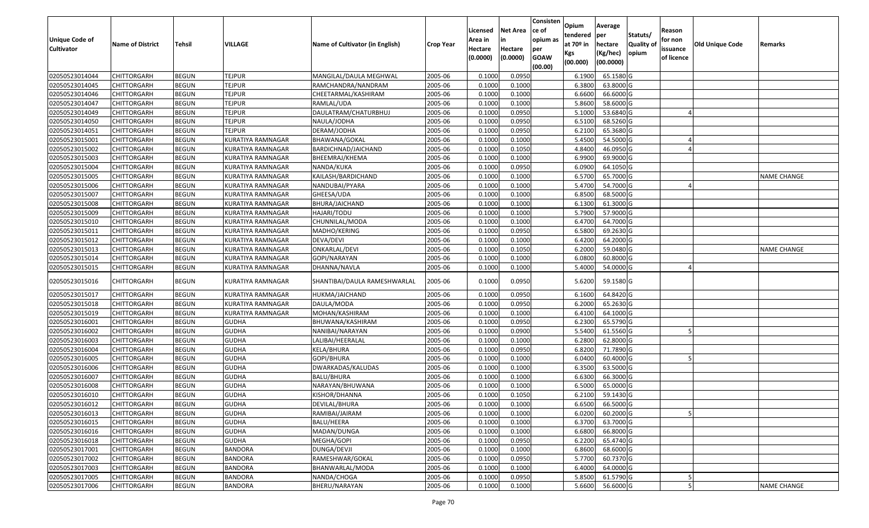| <b>Unique Code of</b><br><b>Cultivator</b> | <b>Name of District</b> | <b>Tehsil</b> | VILLAGE                  | Name of Cultivator (in English) | <b>Crop Year</b> | Licensed<br>Area in<br>Hectare<br>(0.0000) | <b>Net Area</b><br>in<br>Hectare<br>(0.0000) | Consisten<br>ce of<br>opium as<br>per<br><b>GOAW</b><br>(00.00) | Opium<br>tendered<br>at $70°$ in<br>Kgs<br>(00.000) | Average<br>per<br>hectare<br>(Kg/hec)<br>(00.0000) | Statuts/<br>Quality of<br>opium | Reason<br>for non<br>issuance<br>of licence | <b>Old Unique Code</b> | Remarks            |
|--------------------------------------------|-------------------------|---------------|--------------------------|---------------------------------|------------------|--------------------------------------------|----------------------------------------------|-----------------------------------------------------------------|-----------------------------------------------------|----------------------------------------------------|---------------------------------|---------------------------------------------|------------------------|--------------------|
| 02050523014044                             | <b>CHITTORGARH</b>      | <b>BEGUN</b>  | <b>TEJPUR</b>            | MANGILAL/DAULA MEGHWAL          | 2005-06          | 0.1000                                     | 0.0950                                       |                                                                 | 6.1900                                              | 65.1580 G                                          |                                 |                                             |                        |                    |
| 02050523014045                             | CHITTORGARH             | <b>BEGUN</b>  | <b>TEJPUR</b>            | RAMCHANDRA/NANDRAM              | 2005-06          | 0.1000                                     | 0.1000                                       |                                                                 | 6.3800                                              | 63.8000 G                                          |                                 |                                             |                        |                    |
| 02050523014046                             | <b>CHITTORGARH</b>      | <b>BEGUN</b>  | <b>TEJPUR</b>            | CHEETARMAL/KASHIRAM             | 2005-06          | 0.1000                                     | 0.1000                                       |                                                                 | 6.6600                                              | 66.6000 G                                          |                                 |                                             |                        |                    |
| 02050523014047                             | <b>CHITTORGARH</b>      | <b>BEGUN</b>  | <b>TEJPUR</b>            | RAMLAL/UDA                      | 2005-06          | 0.1000                                     | 0.1000                                       |                                                                 | 5.8600                                              | 58.6000 G                                          |                                 |                                             |                        |                    |
| 02050523014049                             | <b>CHITTORGARH</b>      | <b>BEGUN</b>  | <b>TEJPUR</b>            | DAULATRAM/CHATURBHUJ            | 2005-06          | 0.1000                                     | 0.0950                                       |                                                                 | 5.1000                                              | 53.6840 G                                          |                                 |                                             |                        |                    |
| 02050523014050                             | CHITTORGARH             | <b>BEGUN</b>  | <b>TEJPUR</b>            | NAULA/JODHA                     | 2005-06          | 0.1000                                     | 0.0950                                       |                                                                 | 6.5100                                              | 68.5260 G                                          |                                 |                                             |                        |                    |
| 02050523014051                             | CHITTORGARH             | <b>BEGUN</b>  | <b>TEJPUR</b>            | DERAM/JODHA                     | 2005-06          | 0.1000                                     | 0.0950                                       |                                                                 | 6.2100                                              | 65.3680 G                                          |                                 |                                             |                        |                    |
| 02050523015001                             | <b>CHITTORGARH</b>      | <b>BEGUN</b>  | <b>KURATIYA RAMNAGAR</b> | BHAWANA/GOKAL                   | 2005-06          | 0.1000                                     | 0.1000                                       |                                                                 | 5.4500                                              | 54.5000 G                                          |                                 |                                             |                        |                    |
| 02050523015002                             | <b>CHITTORGARH</b>      | <b>BEGUN</b>  | KURATIYA RAMNAGAR        | BARDICHNAD/JAICHAND             | 2005-06          | 0.1000                                     | 0.1050                                       |                                                                 | 4.8400                                              | 46.0950 G                                          |                                 |                                             |                        |                    |
| 02050523015003                             | CHITTORGARH             | <b>BEGUN</b>  | KURATIYA RAMNAGAR        | BHEEMRAJ/KHEMA                  | 2005-06          | 0.1000                                     | 0.1000                                       |                                                                 | 6.9900                                              | 69.9000 G                                          |                                 |                                             |                        |                    |
| 02050523015004                             | <b>CHITTORGARH</b>      | <b>BEGUN</b>  | KURATIYA RAMNAGAR        | NANDA/KUKA                      | 2005-06          | 0.1000                                     | 0.0950                                       |                                                                 | 6.0900                                              | 64.1050 G                                          |                                 |                                             |                        |                    |
| 02050523015005                             | <b>CHITTORGARH</b>      | <b>BEGUN</b>  | KURATIYA RAMNAGAR        | KAILASH/BARDICHAND              | 2005-06          | 0.1000                                     | 0.1000                                       |                                                                 | 6.5700                                              | 65.7000 G                                          |                                 |                                             |                        | NAME CHANGE        |
| 02050523015006                             | <b>CHITTORGARH</b>      | <b>BEGUN</b>  | KURATIYA RAMNAGAR        | NANDUBAI/PYARA                  | 2005-06          | 0.1000                                     | 0.1000                                       |                                                                 | 5.4700                                              | 54.7000 G                                          |                                 |                                             |                        |                    |
| 02050523015007                             | <b>CHITTORGARH</b>      | <b>BEGUN</b>  | KURATIYA RAMNAGAR        | GHEESA/UDA                      | 2005-06          | 0.1000                                     | 0.1000                                       |                                                                 | 6.8500                                              | 68.5000 G                                          |                                 |                                             |                        |                    |
| 02050523015008                             | <b>CHITTORGARH</b>      | <b>BEGUN</b>  | KURATIYA RAMNAGAR        | BHURA/JAICHAND                  | 2005-06          | 0.1000                                     | 0.1000                                       |                                                                 | 6.1300                                              | 61.3000 G                                          |                                 |                                             |                        |                    |
| 02050523015009                             | <b>CHITTORGARH</b>      | <b>BEGUN</b>  | KURATIYA RAMNAGAR        | HAJARI/TODU                     | 2005-06          | 0.1000                                     | 0.1000                                       |                                                                 | 5.7900                                              | 57.9000 G                                          |                                 |                                             |                        |                    |
| 02050523015010                             | <b>CHITTORGARH</b>      | <b>BEGUN</b>  | KURATIYA RAMNAGAR        | CHUNNILAL/MODA                  | 2005-06          | 0.1000                                     | 0.1000                                       |                                                                 | 6.4700                                              | 64.7000 G                                          |                                 |                                             |                        |                    |
| 02050523015011                             | <b>CHITTORGARH</b>      | <b>BEGUN</b>  | KURATIYA RAMNAGAR        | MADHO/KERING                    | 2005-06          | 0.1000                                     | 0.0950                                       |                                                                 | 6.5800                                              | 69.2630 G                                          |                                 |                                             |                        |                    |
| 02050523015012                             | <b>CHITTORGARH</b>      | <b>BEGUN</b>  | KURATIYA RAMNAGAR        | DEVA/DEVI                       | 2005-06          | 0.1000                                     | 0.1000                                       |                                                                 | 6.4200                                              | 64.2000 G                                          |                                 |                                             |                        |                    |
| 02050523015013                             | <b>CHITTORGARH</b>      | <b>BEGUN</b>  | <b>KURATIYA RAMNAGAR</b> | ONKARLAL/DEVI                   | 2005-06          | 0.1000                                     | 0.1050                                       |                                                                 | 6.2000                                              | 59.0480 G                                          |                                 |                                             |                        | NAME CHANGE        |
| 02050523015014                             | <b>CHITTORGARH</b>      | <b>BEGUN</b>  | KURATIYA RAMNAGAR        | GOPI/NARAYAN                    | 2005-06          | 0.1000                                     | 0.1000                                       |                                                                 | 6.0800                                              | 60.8000 G                                          |                                 |                                             |                        |                    |
| 02050523015015                             | CHITTORGARH             | <b>BEGUN</b>  | KURATIYA RAMNAGAR        | DHANNA/NAVLA                    | 2005-06          | 0.1000                                     | 0.1000                                       |                                                                 | 5.4000                                              | 54.0000 G                                          |                                 |                                             |                        |                    |
| 02050523015016                             | CHITTORGARH             | <b>BEGUN</b>  | KURATIYA RAMNAGAR        | SHANTIBAI/DAULA RAMESHWARLAL    | 2005-06          | 0.1000                                     | 0.0950                                       |                                                                 | 5.6200                                              | 59.1580 G                                          |                                 |                                             |                        |                    |
| 02050523015017                             | <b>CHITTORGARH</b>      | <b>BEGUN</b>  | KURATIYA RAMNAGAR        | HUKMA/JAICHAND                  | 2005-06          | 0.1000                                     | 0.0950                                       |                                                                 | 6.1600                                              | 64.8420 G                                          |                                 |                                             |                        |                    |
| 02050523015018                             | <b>CHITTORGARH</b>      | <b>BEGUN</b>  | KURATIYA RAMNAGAR        | DAULA/MODA                      | 2005-06          | 0.1000                                     | 0.0950                                       |                                                                 | 6.2000                                              | 65.2630 G                                          |                                 |                                             |                        |                    |
| 02050523015019                             | CHITTORGARH             | <b>BEGUN</b>  | KURATIYA RAMNAGAR        | MOHAN/KASHIRAM                  | 2005-06          | 0.1000                                     | 0.1000                                       |                                                                 | 6.4100                                              | 64.1000 G                                          |                                 |                                             |                        |                    |
| 02050523016001                             | <b>CHITTORGARH</b>      | <b>BEGUN</b>  | <b>GUDHA</b>             | BHUWANA/KASHIRAM                | 2005-06          | 0.1000                                     | 0.0950                                       |                                                                 | 6.2300                                              | 65.5790 G                                          |                                 |                                             |                        |                    |
| 02050523016002                             | <b>CHITTORGARH</b>      | <b>BEGUN</b>  | <b>GUDHA</b>             | NANIBAI/NARAYAN                 | 2005-06          | 0.1000                                     | 0.0900                                       |                                                                 | 5.5400                                              | 61.5560 G                                          |                                 |                                             |                        |                    |
| 02050523016003                             | CHITTORGARH             | <b>BEGUN</b>  | <b>GUDHA</b>             | LALIBAI/HEERALAL                | 2005-06          | 0.1000                                     | 0.1000                                       |                                                                 | 6.2800                                              | 62.8000 G                                          |                                 |                                             |                        |                    |
| 02050523016004                             | CHITTORGARH             | <b>BEGUN</b>  | <b>GUDHA</b>             | KELA/BHURA                      | 2005-06          | 0.1000                                     | 0.0950                                       |                                                                 | 6.8200                                              | 71.7890 G                                          |                                 |                                             |                        |                    |
| 02050523016005                             | CHITTORGARH             | <b>BEGUN</b>  | <b>GUDHA</b>             | GOPI/BHURA                      | 2005-06          | 0.1000                                     | 0.1000                                       |                                                                 | 6.0400                                              | 60.4000 G                                          |                                 |                                             |                        |                    |
| 02050523016006                             | <b>CHITTORGARH</b>      | <b>BEGUN</b>  | <b>GUDHA</b>             | DWARKADAS/KALUDAS               | 2005-06          | 0.1000                                     | 0.1000                                       |                                                                 | 6.3500                                              | 63.5000 G                                          |                                 |                                             |                        |                    |
| 02050523016007                             | <b>CHITTORGARH</b>      | <b>BEGUN</b>  | <b>GUDHA</b>             | BALU/BHURA                      | 2005-06          | 0.1000                                     | 0.1000                                       |                                                                 | 6.6300                                              | 66.3000 G                                          |                                 |                                             |                        |                    |
| 02050523016008                             | CHITTORGARH             | <b>BEGUN</b>  | <b>GUDHA</b>             | NARAYAN/BHUWANA                 | 2005-06          | 0.1000                                     | 0.1000                                       |                                                                 | 6.5000                                              | 65.0000G                                           |                                 |                                             |                        |                    |
| 02050523016010                             | <b>CHITTORGARH</b>      | <b>BEGUN</b>  | <b>GUDHA</b>             | KISHOR/DHANNA                   | 2005-06          | 0.1000                                     | 0.1050                                       |                                                                 | 6.2100                                              | 59.1430 G                                          |                                 |                                             |                        |                    |
| 02050523016012                             | <b>CHITTORGARH</b>      | <b>BEGUN</b>  | <b>GUDHA</b>             | DEVILAL/BHURA                   | 2005-06          | 0.1000                                     | 0.1000                                       |                                                                 | 6.6500                                              | 66.5000G                                           |                                 |                                             |                        |                    |
| 02050523016013                             | <b>CHITTORGARH</b>      | <b>BEGUN</b>  | <b>GUDHA</b>             | RAMIBAI/JAIRAM                  | 2005-06          | 0.1000                                     | 0.1000                                       |                                                                 | 6.0200                                              | 60.2000 G                                          |                                 |                                             |                        |                    |
| 02050523016015                             | <b>CHITTORGARH</b>      | <b>BEGUN</b>  | <b>GUDHA</b>             | BALU/HEERA                      | 2005-06          | 0.1000                                     | 0.1000                                       |                                                                 | 6.3700                                              | 63.7000 G                                          |                                 |                                             |                        |                    |
| 02050523016016                             | <b>CHITTORGARH</b>      | <b>BEGUN</b>  | <b>GUDHA</b>             | MADAN/DUNGA                     | 2005-06          | 0.1000                                     | 0.1000                                       |                                                                 | 6.6800                                              | 66.8000 G                                          |                                 |                                             |                        |                    |
| 02050523016018                             | <b>CHITTORGARH</b>      | <b>BEGUN</b>  | <b>GUDHA</b>             | MEGHA/GOPI                      | 2005-06          | 0.1000                                     | 0.0950                                       |                                                                 | 6.2200                                              | 65.4740 G                                          |                                 |                                             |                        |                    |
| 02050523017001                             | <b>CHITTORGARH</b>      | <b>BEGUN</b>  | <b>BANDORA</b>           | DUNGA/DEVJI                     | 2005-06          | 0.1000                                     | 0.1000                                       |                                                                 | 6.8600                                              | 68.6000G                                           |                                 |                                             |                        |                    |
| 02050523017002                             | <b>CHITTORGARH</b>      | <b>BEGUN</b>  | <b>BANDORA</b>           | RAMESHWAR/GOKAL                 | 2005-06          | 0.1000                                     | 0.0950                                       |                                                                 | 5.7700                                              | 60.7370 G                                          |                                 |                                             |                        |                    |
| 02050523017003                             | <b>CHITTORGARH</b>      | <b>BEGUN</b>  | <b>BANDORA</b>           | BHANWARLAL/MODA                 | 2005-06          | 0.1000                                     | 0.1000                                       |                                                                 | 6.4000                                              | 64.0000 G                                          |                                 |                                             |                        |                    |
| 02050523017005                             | <b>CHITTORGARH</b>      | <b>BEGUN</b>  | <b>BANDORA</b>           | NANDA/CHOGA                     | 2005-06          | 0.1000                                     | 0.0950                                       |                                                                 | 5.8500                                              | 61.5790 G                                          |                                 |                                             |                        |                    |
| 02050523017006                             | <b>CHITTORGARH</b>      | <b>BEGUN</b>  | <b>BANDORA</b>           | BHERU/NARAYAN                   | 2005-06          | 0.1000                                     | 0.1000                                       |                                                                 | 5.6600                                              | 56.6000G                                           |                                 |                                             |                        | <b>NAME CHANGE</b> |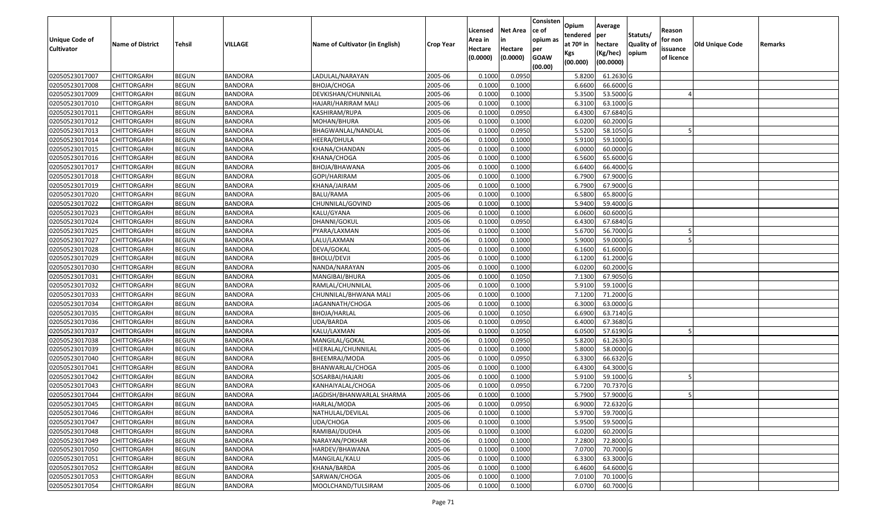| <b>Unique Code of</b> |                         |               |                |                                 |                  | Licensed<br>Area in | <b>Net Area</b><br>in | Consisten<br>ce of<br>opium as | Opium<br>tendered              | Average<br>per                   | Statuts/                  | Reason<br>for non      |                 |         |
|-----------------------|-------------------------|---------------|----------------|---------------------------------|------------------|---------------------|-----------------------|--------------------------------|--------------------------------|----------------------------------|---------------------------|------------------------|-----------------|---------|
| <b>Cultivator</b>     | <b>Name of District</b> | <b>Tehsil</b> | VILLAGE        | Name of Cultivator (in English) | <b>Crop Year</b> | Hectare<br>(0.0000) | Hectare<br>(0.0000)   | per<br><b>GOAW</b><br>(00.00)  | at $70°$ in<br>Kgs<br>(00.000) | hectare<br>(Kg/hec)<br>(00.0000) | <b>Quality o</b><br>opium | issuance<br>of licence | Old Unique Code | Remarks |
| 02050523017007        | CHITTORGARH             | <b>BEGUN</b>  | <b>BANDORA</b> | LADULAL/NARAYAN                 | 2005-06          | 0.1000              | 0.0950                |                                | 5.8200                         | 61.2630 G                        |                           |                        |                 |         |
| 02050523017008        | CHITTORGARH             | <b>BEGUN</b>  | <b>BANDORA</b> | BHOJA/CHOGA                     | 2005-06          | 0.1000              | 0.1000                |                                | 6.6600                         | 66.6000 G                        |                           |                        |                 |         |
| 02050523017009        | CHITTORGARH             | <b>BEGUN</b>  | <b>BANDORA</b> | DEVKISHAN/CHUNNILAL             | 2005-06          | 0.1000              | 0.1000                |                                | 5.3500                         | 53.5000 G                        |                           |                        |                 |         |
| 02050523017010        | <b>CHITTORGARH</b>      | <b>BEGUN</b>  | <b>BANDORA</b> | HAJARI/HARIRAM MALI             | 2005-06          | 0.1000              | 0.1000                |                                | 6.3100                         | 63.1000G                         |                           |                        |                 |         |
| 02050523017011        | CHITTORGARH             | <b>BEGUN</b>  | <b>BANDORA</b> | KASHIRAM/RUPA                   | 2005-06          | 0.1000              | 0.0950                |                                | 6.4300                         | 67.6840 G                        |                           |                        |                 |         |
| 02050523017012        | CHITTORGARH             | <b>BEGUN</b>  | <b>BANDORA</b> | MOHAN/BHURA                     | 2005-06          | 0.1000              | 0.1000                |                                | 6.0200                         | 60.2000 G                        |                           |                        |                 |         |
| 02050523017013        | CHITTORGARH             | <b>BEGUN</b>  | <b>BANDORA</b> | BHAGWANLAL/NANDLAL              | 2005-06          | 0.1000              | 0.0950                |                                | 5.5200                         | 58.1050 G                        |                           |                        |                 |         |
| 02050523017014        | CHITTORGARH             | <b>BEGUN</b>  | <b>BANDORA</b> | HEERA/DHULA                     | 2005-06          | 0.1000              | 0.1000                |                                | 5.9100                         | 59.1000G                         |                           |                        |                 |         |
| 02050523017015        | CHITTORGARH             | <b>BEGUN</b>  | <b>BANDORA</b> | KHANA/CHANDAN                   | 2005-06          | 0.1000              | 0.1000                |                                | 6.0000                         | 60.0000G                         |                           |                        |                 |         |
| 02050523017016        | CHITTORGARH             | <b>BEGUN</b>  | <b>BANDORA</b> | KHANA/CHOGA                     | 2005-06          | 0.1000              | 0.1000                |                                | 6.5600                         | 65.6000 G                        |                           |                        |                 |         |
| 02050523017017        | CHITTORGARH             | <b>BEGUN</b>  | <b>BANDORA</b> | BHOJA/BHAWANA                   | 2005-06          | 0.1000              | 0.1000                |                                | 6.6400                         | 66.4000 G                        |                           |                        |                 |         |
| 02050523017018        | CHITTORGARH             | <b>BEGUN</b>  | <b>BANDORA</b> | GOPI/HARIRAM                    | 2005-06          | 0.1000              | 0.1000                |                                | 6.7900                         | 67.9000 G                        |                           |                        |                 |         |
| 02050523017019        | <b>CHITTORGARH</b>      | <b>BEGUN</b>  | <b>BANDORA</b> | KHANA/JAIRAM                    | 2005-06          | 0.1000              | 0.1000                |                                | 6.7900                         | 67.9000 G                        |                           |                        |                 |         |
| 02050523017020        | CHITTORGARH             | <b>BEGUN</b>  | <b>BANDORA</b> | BALU/RAMA                       | 2005-06          | 0.1000              | 0.1000                |                                | 6.5800                         | 65.8000G                         |                           |                        |                 |         |
| 02050523017022        | <b>CHITTORGARH</b>      | <b>BEGUN</b>  | <b>BANDORA</b> | CHUNNILAL/GOVIND                | 2005-06          | 0.1000              | 0.1000                |                                | 5.9400                         | 59.4000 G                        |                           |                        |                 |         |
| 02050523017023        | CHITTORGARH             | <b>BEGUN</b>  | <b>BANDORA</b> | KALU/GYANA                      | 2005-06          | 0.1000              | 0.1000                |                                | 6.0600                         | 60.6000 G                        |                           |                        |                 |         |
| 02050523017024        | CHITTORGARH             | <b>BEGUN</b>  | <b>BANDORA</b> | DHANNI/GOKUL                    | 2005-06          | 0.1000              | 0.0950                |                                | 6.4300                         | 67.6840 G                        |                           |                        |                 |         |
| 02050523017025        | CHITTORGARH             | <b>BEGUN</b>  | <b>BANDORA</b> | PYARA/LAXMAN                    | 2005-06          | 0.1000              | 0.1000                |                                | 5.6700                         | 56.7000G                         |                           |                        |                 |         |
| 02050523017027        | CHITTORGARH             | <b>BEGUN</b>  | <b>BANDORA</b> | LALU/LAXMAN                     | 2005-06          | 0.1000              | 0.1000                |                                | 5.9000                         | 59.0000G                         |                           |                        |                 |         |
| 02050523017028        | CHITTORGARH             | <b>BEGUN</b>  | <b>BANDORA</b> | DEVA/GOKAL                      | 2005-06          | 0.1000              | 0.1000                |                                | 6.1600                         | 61.6000G                         |                           |                        |                 |         |
| 02050523017029        | CHITTORGARH             | <b>BEGUN</b>  | <b>BANDORA</b> | BHOLU/DEVJI                     | 2005-06          | 0.1000              | 0.1000                |                                | 6.1200                         | 61.2000 G                        |                           |                        |                 |         |
| 02050523017030        | CHITTORGARH             | <b>BEGUN</b>  | <b>BANDORA</b> | NANDA/NARAYAN                   | 2005-06          | 0.1000              | 0.1000                |                                | 6.0200                         | 60.2000 G                        |                           |                        |                 |         |
| 02050523017031        | CHITTORGARH             | <b>BEGUN</b>  | <b>BANDORA</b> | MANGIBAI/BHURA                  | 2005-06          | 0.1000              | 0.1050                |                                | 7.1300                         | 67.9050 G                        |                           |                        |                 |         |
| 02050523017032        | <b>CHITTORGARH</b>      | <b>BEGUN</b>  | <b>BANDORA</b> | RAMLAL/CHUNNILAL                | 2005-06          | 0.1000              | 0.1000                |                                | 5.9100                         | 59.1000G                         |                           |                        |                 |         |
| 02050523017033        | <b>CHITTORGARH</b>      | <b>BEGUN</b>  | <b>BANDORA</b> | CHUNNILAL/BHWANA MALI           | 2005-06          | 0.1000              | 0.1000                |                                | 7.1200                         | 71.2000 G                        |                           |                        |                 |         |
| 02050523017034        | CHITTORGARH             | <b>BEGUN</b>  | <b>BANDORA</b> | JAGANNATH/CHOGA                 | 2005-06          | 0.1000              | 0.1000                |                                | 6.3000                         | 63.0000G                         |                           |                        |                 |         |
| 02050523017035        | CHITTORGARH             | <b>BEGUN</b>  | <b>BANDORA</b> | BHOJA/HARLAL                    | 2005-06          | 0.1000              | 0.1050                |                                | 6.6900                         | 63.7140 G                        |                           |                        |                 |         |
| 02050523017036        | CHITTORGARH             | <b>BEGUN</b>  | <b>BANDORA</b> | JDA/BARDA                       | 2005-06          | 0.1000              | 0.0950                |                                | 6.4000                         | 67.3680 G                        |                           |                        |                 |         |
| 02050523017037        | CHITTORGARH             | <b>BEGUN</b>  | <b>BANDORA</b> | KALU/LAXMAN                     | 2005-06          | 0.1000              | 0.1050                |                                | 6.0500                         | 57.6190 G                        |                           |                        |                 |         |
| 02050523017038        | CHITTORGARH             | <b>BEGUN</b>  | <b>BANDORA</b> | MANGILAL/GOKAL                  | 2005-06          | 0.1000              | 0.0950                |                                | 5.8200                         | $61.2630$ G                      |                           |                        |                 |         |
| 02050523017039        | CHITTORGARH             | <b>BEGUN</b>  | <b>BANDORA</b> | HEERALAL/CHUNNILAL              | 2005-06          | 0.1000              | 0.1000                |                                | 5.8000                         | 58.0000G                         |                           |                        |                 |         |
| 02050523017040        | CHITTORGARH             | <b>BEGUN</b>  | <b>BANDORA</b> | BHEEMRAJ/MODA                   | 2005-06          | 0.1000              | 0.0950                |                                | 6.3300                         | 66.6320 G                        |                           |                        |                 |         |
| 02050523017041        | CHITTORGARH             | <b>BEGUN</b>  | <b>BANDORA</b> | BHANWARLAL/CHOGA                | 2005-06          | 0.1000              | 0.1000                |                                | 6.4300                         | 64.3000 G                        |                           |                        |                 |         |
| 02050523017042        | CHITTORGARH             | <b>BEGUN</b>  | <b>BANDORA</b> | SOSARBAI/HAJARI                 | 2005-06          | 0.1000              | 0.1000                |                                | 5.9100                         | 59.1000 G                        |                           |                        |                 |         |
| 02050523017043        | CHITTORGARH             | <b>BEGUN</b>  | <b>BANDORA</b> | KANHAIYALAL/CHOGA               | 2005-06          | 0.1000              | 0.0950                |                                | 6.7200                         | 70.7370 G                        |                           |                        |                 |         |
| 02050523017044        | CHITTORGARH             | <b>BEGUN</b>  | <b>BANDORA</b> | JAGDISH/BHANWARLAL SHARMA       | 2005-06          | 0.1000              | 0.1000                |                                | 5.7900                         | 57.9000 G                        |                           |                        |                 |         |
| 02050523017045        | <b>CHITTORGARH</b>      | <b>BEGUN</b>  | <b>BANDORA</b> | HARLAL/MODA                     | 2005-06          | 0.1000              | 0.0950                |                                |                                | 6.9000 72.6320 G                 |                           |                        |                 |         |
| 02050523017046        | <b>CHITTORGARH</b>      | <b>BEGUN</b>  | <b>BANDORA</b> | NATHULAL/DEVILAL                | 2005-06          | 0.1000              | 0.1000                |                                | 5.9700                         | 59.7000 G                        |                           |                        |                 |         |
| 02050523017047        | <b>CHITTORGARH</b>      | <b>BEGUN</b>  | <b>BANDORA</b> | UDA/CHOGA                       | 2005-06          | 0.1000              | 0.1000                |                                | 5.9500                         | 59.5000 G                        |                           |                        |                 |         |
| 02050523017048        | <b>CHITTORGARH</b>      | <b>BEGUN</b>  | <b>BANDORA</b> | RAMIBAI/DUDHA                   | 2005-06          | 0.1000              | 0.1000                |                                | 6.0200                         | 60.2000 G                        |                           |                        |                 |         |
| 02050523017049        | <b>CHITTORGARH</b>      | <b>BEGUN</b>  | <b>BANDORA</b> | NARAYAN/POKHAR                  | 2005-06          | 0.1000              | 0.1000                |                                | 7.2800                         | 72.8000 G                        |                           |                        |                 |         |
| 02050523017050        | <b>CHITTORGARH</b>      | <b>BEGUN</b>  | <b>BANDORA</b> | HARDEV/BHAWANA                  | 2005-06          | 0.1000              | 0.1000                |                                | 7.0700                         | 70.7000 G                        |                           |                        |                 |         |
| 02050523017051        | <b>CHITTORGARH</b>      | <b>BEGUN</b>  | <b>BANDORA</b> | MANGILAL/KALU                   | 2005-06          | 0.1000              | 0.1000                |                                | 6.3300                         | 63.3000 G                        |                           |                        |                 |         |
| 02050523017052        | <b>CHITTORGARH</b>      | <b>BEGUN</b>  | <b>BANDORA</b> | KHANA/BARDA                     | 2005-06          | 0.1000              | 0.1000                |                                | 6.4600                         | 64.6000 G                        |                           |                        |                 |         |
| 02050523017053        | <b>CHITTORGARH</b>      | <b>BEGUN</b>  | <b>BANDORA</b> | SARWAN/CHOGA                    | 2005-06          | 0.1000              | 0.1000                |                                | 7.0100                         | 70.1000 G                        |                           |                        |                 |         |
| 02050523017054        | <b>CHITTORGARH</b>      | <b>BEGUN</b>  | <b>BANDORA</b> | MOOLCHAND/TULSIRAM              | 2005-06          | 0.1000              | 0.1000                |                                | 6.0700                         | 60.7000 G                        |                           |                        |                 |         |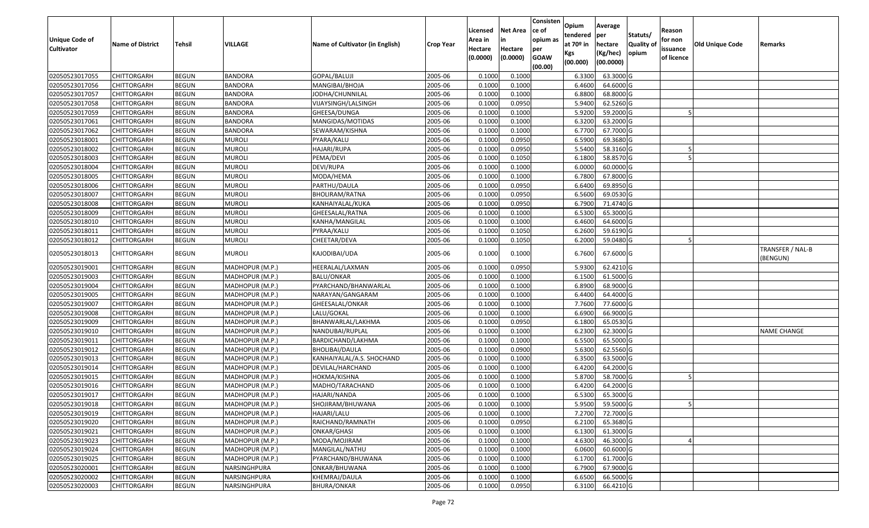| <b>Unique Code of</b><br><b>Cultivator</b> | <b>Name of District</b> | <b>Tehsil</b> | VILLAGE         | Name of Cultivator (in English) | <b>Crop Year</b> | Licensed<br>Area in<br>Hectare<br>(0.0000) | <b>Net Area</b><br>in<br>Hectare<br>(0.0000) | Consisten<br>ce of<br>opium as<br>per<br><b>GOAW</b><br>(00.00) | Opium<br>tendered<br>at $70°$ in<br>Kgs<br>(00.000) | Average<br>per<br>hectare<br>(Kg/hec)<br>(00.0000) | Statuts/<br><b>Quality o</b><br>opium | Reason<br>for non<br>issuance<br>of licence | <b>Old Unique Code</b> | Remarks                      |
|--------------------------------------------|-------------------------|---------------|-----------------|---------------------------------|------------------|--------------------------------------------|----------------------------------------------|-----------------------------------------------------------------|-----------------------------------------------------|----------------------------------------------------|---------------------------------------|---------------------------------------------|------------------------|------------------------------|
| 02050523017055                             | CHITTORGARH             | <b>BEGUN</b>  | <b>BANDORA</b>  | GOPAL/BALUJI                    | 2005-06          | 0.1000                                     | 0.1000                                       |                                                                 | 6.3300                                              | 63.3000 G                                          |                                       |                                             |                        |                              |
| 02050523017056                             | CHITTORGARH             | <b>BEGUN</b>  | <b>BANDORA</b>  | MANGIBAI/BHOJA                  | 2005-06          | 0.1000                                     | 0.1000                                       |                                                                 | 6.4600                                              | 64.6000 G                                          |                                       |                                             |                        |                              |
| 02050523017057                             | CHITTORGARH             | <b>BEGUN</b>  | <b>BANDORA</b>  | IODHA/CHUNNILAL                 | 2005-06          | 0.1000                                     | 0.1000                                       |                                                                 | 6.8800                                              | 68.8000 G                                          |                                       |                                             |                        |                              |
| 02050523017058                             | <b>CHITTORGARH</b>      | <b>BEGUN</b>  | <b>BANDORA</b>  | VIJAYSINGH/LALSINGH             | 2005-06          | 0.1000                                     | 0.0950                                       |                                                                 | 5.9400                                              | 62.5260 G                                          |                                       |                                             |                        |                              |
| 02050523017059                             | CHITTORGARH             | <b>BEGUN</b>  | <b>BANDORA</b>  | GHEESA/DUNGA                    | 2005-06          | 0.1000                                     | 0.1000                                       |                                                                 | 5.9200                                              | 59.2000 G                                          |                                       |                                             |                        |                              |
| 02050523017061                             | CHITTORGARH             | <b>BEGUN</b>  | <b>BANDORA</b>  | MANGIDAS/MOTIDAS                | 2005-06          | 0.1000                                     | 0.1000                                       |                                                                 | 6.3200                                              | 63.2000 G                                          |                                       |                                             |                        |                              |
| 02050523017062                             | CHITTORGARH             | <b>BEGUN</b>  | <b>BANDORA</b>  | SEWARAM/KISHNA                  | 2005-06          | 0.1000                                     | 0.1000                                       |                                                                 | 6.7700                                              | 67.7000 G                                          |                                       |                                             |                        |                              |
| 02050523018001                             | CHITTORGARH             | <b>BEGUN</b>  | <b>MUROLI</b>   | PYARA/KALU                      | 2005-06          | 0.1000                                     | 0.0950                                       |                                                                 | 6.5900                                              | 69.3680G                                           |                                       |                                             |                        |                              |
| 02050523018002                             | <b>CHITTORGARH</b>      | <b>BEGUN</b>  | <b>MUROLI</b>   | HAJARI/RUPA                     | 2005-06          | 0.1000                                     | 0.0950                                       |                                                                 | 5.5400                                              | 58.3160 G                                          |                                       |                                             |                        |                              |
| 02050523018003                             | CHITTORGARH             | <b>BEGUN</b>  | <b>MUROLI</b>   | PEMA/DEVI                       | 2005-06          | 0.1000                                     | 0.1050                                       |                                                                 | 6.1800                                              | 58.8570 G                                          |                                       |                                             |                        |                              |
| 02050523018004                             | CHITTORGARH             | <b>BEGUN</b>  | <b>MUROLI</b>   | DEVI/RUPA                       | 2005-06          | 0.1000                                     | 0.1000                                       |                                                                 | 6.0000                                              | 60.0000G                                           |                                       |                                             |                        |                              |
| 02050523018005                             | CHITTORGARH             | <b>BEGUN</b>  | <b>MUROLI</b>   | MODA/HEMA                       | 2005-06          | 0.1000                                     | 0.1000                                       |                                                                 | 6.7800                                              | 67.8000 G                                          |                                       |                                             |                        |                              |
| 02050523018006                             | <b>CHITTORGARH</b>      | <b>BEGUN</b>  | <b>MUROLI</b>   | PARTHU/DAULA                    | 2005-06          | 0.1000                                     | 0.0950                                       |                                                                 | 6.6400                                              | 69.8950 G                                          |                                       |                                             |                        |                              |
| 02050523018007                             | <b>CHITTORGARH</b>      | <b>BEGUN</b>  | <b>MUROLI</b>   | BHOLIRAM/RATNA                  | 2005-06          | 0.1000                                     | 0.0950                                       |                                                                 | 6.5600                                              | 69.0530 G                                          |                                       |                                             |                        |                              |
| 02050523018008                             | <b>CHITTORGARH</b>      | <b>BEGUN</b>  | <b>MUROLI</b>   | KANHAIYALAL/KUKA                | 2005-06          | 0.1000                                     | 0.0950                                       |                                                                 | 6.7900                                              | 71.4740 G                                          |                                       |                                             |                        |                              |
| 02050523018009                             | <b>CHITTORGARH</b>      | <b>BEGUN</b>  | <b>MUROLI</b>   | GHEESALAL/RATNA                 | 2005-06          | 0.1000                                     | 0.1000                                       |                                                                 | 6.5300                                              | 65.3000G                                           |                                       |                                             |                        |                              |
| 02050523018010                             | CHITTORGARH             | <b>BEGUN</b>  | <b>MUROLI</b>   | KANHA/MANGILAL                  | 2005-06          | 0.1000                                     | 0.1000                                       |                                                                 | 6.4600                                              | 64.6000 G                                          |                                       |                                             |                        |                              |
| 02050523018011                             | CHITTORGARH             | <b>BEGUN</b>  | <b>MUROLI</b>   | PYRAA/KALU                      | 2005-06          | 0.1000                                     | 0.1050                                       |                                                                 | 6.2600                                              | 59.6190 G                                          |                                       |                                             |                        |                              |
| 02050523018012                             | CHITTORGARH             | <b>BEGUN</b>  | <b>MUROLI</b>   | CHEETAR/DEVA                    | 2005-06          | 0.1000                                     | 0.1050                                       |                                                                 | 6.2000                                              | 59.0480 G                                          |                                       |                                             |                        |                              |
| 02050523018013                             | CHITTORGARH             | <b>BEGUN</b>  | <b>MUROLI</b>   | KAJODIBAI/UDA                   | 2005-06          | 0.1000                                     | 0.1000                                       |                                                                 | 6.7600                                              | 67.6000 G                                          |                                       |                                             |                        | TRANSFER / NAL-B<br>(BENGUN) |
| 02050523019001                             | CHITTORGARH             | <b>BEGUN</b>  | MADHOPUR (M.P.) | HEERALAL/LAXMAN                 | 2005-06          | 0.1000                                     | 0.0950                                       |                                                                 | 5.9300                                              | 62.4210 G                                          |                                       |                                             |                        |                              |
| 02050523019003                             | CHITTORGARH             | <b>BEGUN</b>  | MADHOPUR (M.P.) | <b>BALU/ONKAR</b>               | 2005-06          | 0.1000                                     | 0.1000                                       |                                                                 | 6.1500                                              | 61.5000G                                           |                                       |                                             |                        |                              |
| 02050523019004                             | CHITTORGARH             | <b>BEGUN</b>  | MADHOPUR (M.P.) | PYARCHAND/BHANWARLAL            | 2005-06          | 0.1000                                     | 0.1000                                       |                                                                 | 6.8900                                              | 68.9000 G                                          |                                       |                                             |                        |                              |
| 02050523019005                             | <b>CHITTORGARH</b>      | <b>BEGUN</b>  | MADHOPUR (M.P.) | NARAYAN/GANGARAM                | 2005-06          | 0.1000                                     | 0.1000                                       |                                                                 | 6.4400                                              | 64.4000 G                                          |                                       |                                             |                        |                              |
| 02050523019007                             | CHITTORGARH             | <b>BEGUN</b>  | MADHOPUR (M.P.) | GHEESALAL/ONKAR                 | 2005-06          | 0.1000                                     | 0.1000                                       |                                                                 | 7.7600                                              | 77.6000G                                           |                                       |                                             |                        |                              |
| 02050523019008                             | CHITTORGARH             | <b>BEGUN</b>  | MADHOPUR (M.P.) | LALU/GOKAL                      | 2005-06          | 0.1000                                     | 0.1000                                       |                                                                 | 6.6900                                              | 66.9000 G                                          |                                       |                                             |                        |                              |
| 02050523019009                             | <b>CHITTORGARH</b>      | <b>BEGUN</b>  | MADHOPUR (M.P.) | BHANWARLAL/LAKHMA               | 2005-06          | 0.1000                                     | 0.0950                                       |                                                                 | 6.1800                                              | 65.0530 G                                          |                                       |                                             |                        |                              |
| 02050523019010                             | <b>CHITTORGARH</b>      | <b>BEGUN</b>  | MADHOPUR (M.P.) | NANDUBAI/RUPLAL                 | 2005-06          | 0.1000                                     | 0.1000                                       |                                                                 | 6.2300                                              | 62.3000 G                                          |                                       |                                             |                        | <b>NAME CHANGE</b>           |
| 02050523019011                             | CHITTORGARH             | <b>BEGUN</b>  | MADHOPUR (M.P.) | BARDICHAND/LAKHMA               | 2005-06          | 0.1000                                     | 0.1000                                       |                                                                 | 6.5500                                              | 65.5000G                                           |                                       |                                             |                        |                              |
| 02050523019012                             | CHITTORGARH             | <b>BEGUN</b>  | MADHOPUR (M.P.) | BHOLIBAI/DAULA                  | 2005-06          | 0.1000                                     | 0.0900                                       |                                                                 | 5.6300                                              | 62.5560 G                                          |                                       |                                             |                        |                              |
| 02050523019013                             | CHITTORGARH             | <b>BEGUN</b>  | MADHOPUR (M.P.) | KANHAIYALAL/A.S. SHOCHAND       | 2005-06          | 0.1000                                     | 0.1000                                       |                                                                 | 6.3500                                              | 63.5000 G                                          |                                       |                                             |                        |                              |
| 02050523019014                             | CHITTORGARH             | <b>BEGUN</b>  | MADHOPUR (M.P.) | DEVILAL/HARCHAND                | 2005-06          | 0.1000                                     | 0.1000                                       |                                                                 | 6.4200                                              | 64.2000 G                                          |                                       |                                             |                        |                              |
| 02050523019015                             | <b>CHITTORGARH</b>      | <b>BEGUN</b>  | MADHOPUR (M.P.) | HOKMA/KISHNA                    | 2005-06          | 0.1000                                     | 0.1000                                       |                                                                 | 5.8700                                              | 58.7000 G                                          |                                       |                                             |                        |                              |
| 02050523019016                             | CHITTORGARH             | <b>BEGUN</b>  | MADHOPUR (M.P.) | MADHO/TARACHAND                 | 2005-06          | 0.1000                                     | 0.1000                                       |                                                                 | 6.4200                                              | 64.2000 G                                          |                                       |                                             |                        |                              |
| 02050523019017                             | CHITTORGARH             | <b>BEGUN</b>  | MADHOPUR (M.P.) | HAJARI/NANDA                    | 2005-06          | 0.1000                                     | 0.1000                                       |                                                                 | 6.5300                                              | 65.3000G                                           |                                       |                                             |                        |                              |
| 02050523019018                             | <b>CHITTORGARH</b>      | <b>BEGUN</b>  | MADHOPUR (M.P.) | SHOJIRAM/BHUWANA                | 2005-06          | 0.1000                                     | 0.1000                                       |                                                                 | 5.9500                                              | 59.5000 G                                          |                                       |                                             |                        |                              |
| 02050523019019                             | <b>CHITTORGARH</b>      | <b>BEGUN</b>  | MADHOPUR (M.P.) | HAJARI/LALU                     | 2005-06          | 0.1000                                     | 0.1000                                       |                                                                 | 7.2700                                              | 72.7000 G                                          |                                       |                                             |                        |                              |
| 02050523019020                             | <b>CHITTORGARH</b>      | <b>BEGUN</b>  | MADHOPUR (M.P.) | RAICHAND/RAMNATH                | 2005-06          | 0.1000                                     | 0.0950                                       |                                                                 | 6.2100                                              | 65.3680 G                                          |                                       |                                             |                        |                              |
| 02050523019021                             | <b>CHITTORGARH</b>      | <b>BEGUN</b>  | MADHOPUR (M.P.) | ONKAR/GHASI                     | 2005-06          | 0.1000                                     | 0.1000                                       |                                                                 | 6.1300                                              | 61.3000 G                                          |                                       |                                             |                        |                              |
| 02050523019023                             | <b>CHITTORGARH</b>      | <b>BEGUN</b>  | MADHOPUR (M.P.) | MODA/MOJIRAM                    | 2005-06          | 0.1000                                     | 0.1000                                       |                                                                 | 4.6300                                              | 46.3000 G                                          |                                       |                                             |                        |                              |
| 02050523019024                             | <b>CHITTORGARH</b>      | <b>BEGUN</b>  | MADHOPUR (M.P.) | MANGILAL/NATHU                  | 2005-06          | 0.1000                                     | 0.1000                                       |                                                                 | 6.0600                                              | 60.6000 G                                          |                                       |                                             |                        |                              |
| 02050523019025                             | <b>CHITTORGARH</b>      | <b>BEGUN</b>  | MADHOPUR (M.P.) | PYARCHAND/BHUWANA               | 2005-06          | 0.1000                                     | 0.1000                                       |                                                                 | 6.1700                                              | 61.7000 G                                          |                                       |                                             |                        |                              |
| 02050523020001                             | CHITTORGARH             | <b>BEGUN</b>  | NARSINGHPURA    | ONKAR/BHUWANA                   | 2005-06          | 0.1000                                     | 0.1000                                       |                                                                 | 6.7900                                              | 67.9000 G                                          |                                       |                                             |                        |                              |
| 02050523020002                             | CHITTORGARH             | <b>BEGUN</b>  | NARSINGHPURA    | KHEMRAJ/DAULA                   | 2005-06          | 0.1000                                     | 0.1000                                       |                                                                 | 6.6500                                              | 66.5000 G                                          |                                       |                                             |                        |                              |
| 02050523020003                             | <b>CHITTORGARH</b>      | <b>BEGUN</b>  | NARSINGHPURA    | <b>BHURA/ONKAR</b>              | 2005-06          | 0.1000                                     | 0.0950                                       |                                                                 | 6.3100                                              | 66.4210 G                                          |                                       |                                             |                        |                              |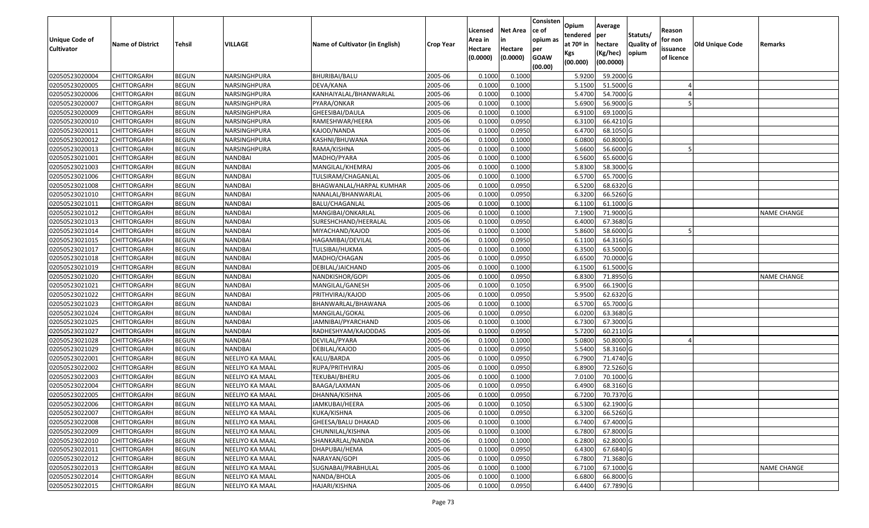| <b>Unique Code of</b><br><b>Cultivator</b> | <b>Name of District</b> | <b>Tehsil</b> | <b>VILLAGE</b>         | Name of Cultivator (in English) | <b>Crop Year</b> | Licensed<br>Area in<br>Hectare | <b>Net Area</b><br>in<br>Hectare | Consisten<br>lce of<br>opium as<br>per | Opium<br>tendered<br>at $70°$ in | Average<br>per<br>hectare<br>(Kg/hec) | Statuts/<br>Quality of<br>opium | Reason<br>for non<br>issuance | <b>Old Unique Code</b> | Remarks            |
|--------------------------------------------|-------------------------|---------------|------------------------|---------------------------------|------------------|--------------------------------|----------------------------------|----------------------------------------|----------------------------------|---------------------------------------|---------------------------------|-------------------------------|------------------------|--------------------|
|                                            |                         |               |                        |                                 |                  | (0.0000)                       | (0.0000)                         | <b>GOAW</b><br>(00.00)                 | Kgs<br>(00.000)                  | (00.0000)                             |                                 | of licence                    |                        |                    |
| 02050523020004                             | <b>CHITTORGARH</b>      | <b>BEGUN</b>  | NARSINGHPURA           | BHURIBAI/BALU                   | 2005-06          | 0.1000                         | 0.1000                           |                                        | 5.9200                           | 59.2000 G                             |                                 |                               |                        |                    |
| 02050523020005                             | CHITTORGARH             | <b>BEGUN</b>  | NARSINGHPURA           | DEVA/KANA                       | 2005-06          | 0.1000                         | 0.1000                           |                                        | 5.1500                           | 51.5000 G                             |                                 |                               |                        |                    |
| 02050523020006                             | <b>CHITTORGARH</b>      | <b>BEGUN</b>  | NARSINGHPURA           | KANHAIYALAL/BHANWARLAL          | 2005-06          | 0.1000                         | 0.1000                           |                                        | 5.4700                           | 54.7000 G                             |                                 |                               |                        |                    |
| 02050523020007                             | <b>CHITTORGARH</b>      | <b>BEGUN</b>  | NARSINGHPURA           | PYARA/ONKAR                     | 2005-06          | 0.1000                         | 0.1000                           |                                        | 5.6900                           | 56.9000 G                             |                                 |                               |                        |                    |
| 02050523020009                             | <b>CHITTORGARH</b>      | <b>BEGUN</b>  | NARSINGHPURA           | GHEESIBAI/DAULA                 | 2005-06          | 0.1000                         | 0.1000                           |                                        | 6.9100                           | 69.1000 G                             |                                 |                               |                        |                    |
| 02050523020010                             | CHITTORGARH             | <b>BEGUN</b>  | NARSINGHPURA           | RAMESHWAR/HEERA                 | 2005-06          | 0.1000                         | 0.0950                           |                                        | 6.3100                           | 66.4210 G                             |                                 |                               |                        |                    |
| 02050523020011                             | CHITTORGARH             | <b>BEGUN</b>  | NARSINGHPURA           | KAJOD/NANDA                     | 2005-06          | 0.1000                         | 0.0950                           |                                        | 6.4700                           | 68.1050 G                             |                                 |                               |                        |                    |
| 02050523020012                             | <b>CHITTORGARH</b>      | <b>BEGUN</b>  | NARSINGHPURA           | KASHNI/BHUWANA                  | 2005-06          | 0.1000                         | 0.1000                           |                                        | 6.0800                           | 60.8000 G                             |                                 |                               |                        |                    |
| 02050523020013                             | <b>CHITTORGARH</b>      | <b>BEGUN</b>  | NARSINGHPURA           | RAMA/KISHNA                     | 2005-06          | 0.1000                         | 0.1000                           |                                        | 5.6600                           | 56.6000 G                             |                                 |                               |                        |                    |
| 02050523021001                             | <b>CHITTORGARH</b>      | <b>BEGUN</b>  | NANDBAI                | MADHO/PYARA                     | 2005-06          | 0.1000                         | 0.1000                           |                                        | 6.5600                           | 65.6000 G                             |                                 |                               |                        |                    |
| 02050523021003                             | <b>CHITTORGARH</b>      | <b>BEGUN</b>  | <b>NANDBAI</b>         | MANGILAL/KHEMRAJ                | 2005-06          | 0.1000                         | 0.1000                           |                                        | 5.8300                           | 58.3000 G                             |                                 |                               |                        |                    |
| 02050523021006                             | <b>CHITTORGARH</b>      | <b>BEGUN</b>  | <b>NANDBAI</b>         | TULSIRAM/CHAGANLAL              | 2005-06          | 0.1000                         | 0.1000                           |                                        | 6.5700                           | 65.7000 G                             |                                 |                               |                        |                    |
| 02050523021008                             | <b>CHITTORGARH</b>      | <b>BEGUN</b>  | <b>NANDBAI</b>         | BHAGWANLAL/HARPAL KUMHAR        | 2005-06          | 0.1000                         | 0.0950                           |                                        | 6.5200                           | 68.6320 G                             |                                 |                               |                        |                    |
| 02050523021010                             | <b>CHITTORGARH</b>      | <b>BEGUN</b>  | <b>NANDBAI</b>         | NANALAL/BHANWARLAL              | 2005-06          | 0.1000                         | 0.0950                           |                                        | 6.3200                           | 66.5260 G                             |                                 |                               |                        |                    |
| 02050523021011                             | <b>CHITTORGARH</b>      | <b>BEGUN</b>  | <b>NANDBAI</b>         | BALU/CHAGANLAL                  | 2005-06          | 0.1000                         | 0.1000                           |                                        | 6.1100                           | 61.1000 G                             |                                 |                               |                        |                    |
| 02050523021012                             | <b>CHITTORGARH</b>      | <b>BEGUN</b>  | <b>NANDBAI</b>         | MANGIBAI/ONKARLAL               | 2005-06          | 0.1000                         | 0.1000                           |                                        | 7.1900                           | 71.9000G                              |                                 |                               |                        | NAME CHANGE        |
| 02050523021013                             | <b>CHITTORGARH</b>      | <b>BEGUN</b>  | <b>NANDBAI</b>         | SURESHCHAND/HEERALAL            | 2005-06          | 0.1000                         | 0.0950                           |                                        | 6.4000                           | 67.3680 G                             |                                 |                               |                        |                    |
| 02050523021014                             | <b>CHITTORGARH</b>      | <b>BEGUN</b>  | NANDBAI                | MIYACHAND/KAJOD                 | 2005-06          | 0.1000                         | 0.1000                           |                                        | 5.8600                           | 58.6000 G                             |                                 |                               |                        |                    |
| 02050523021015                             | <b>CHITTORGARH</b>      | <b>BEGUN</b>  | NANDBAI                | HAGAMIBAI/DEVILAL               | 2005-06          | 0.1000                         | 0.0950                           |                                        | 6.1100                           | 64.3160 G                             |                                 |                               |                        |                    |
| 02050523021017                             | <b>CHITTORGARH</b>      | <b>BEGUN</b>  | <b>NANDBAI</b>         | TULSIBAI/HUKMA                  | 2005-06          | 0.1000                         | 0.1000                           |                                        | 6.3500                           | 63.5000 G                             |                                 |                               |                        |                    |
| 02050523021018                             | <b>CHITTORGARH</b>      | <b>BEGUN</b>  | <b>NANDBAI</b>         | MADHO/CHAGAN                    | 2005-06          | 0.1000                         | 0.0950                           |                                        | 6.6500                           | 70.0000 G                             |                                 |                               |                        |                    |
| 02050523021019                             | <b>CHITTORGARH</b>      | <b>BEGUN</b>  | NANDBAI                | DEBILAL/JAICHAND                | 2005-06          | 0.1000                         | 0.1000                           |                                        | 6.1500                           | 61.5000 G                             |                                 |                               |                        |                    |
| 02050523021020                             | CHITTORGARH             | <b>BEGUN</b>  | <b>NANDBAI</b>         | NANDKISHOR/GOPI                 | 2005-06          | 0.1000                         | 0.0950                           |                                        | 6.8300                           | 71.8950 G                             |                                 |                               |                        | <b>NAME CHANGE</b> |
| 02050523021021                             | <b>CHITTORGARH</b>      | <b>BEGUN</b>  | NANDBAI                | MANGILAL/GANESH                 | 2005-06          | 0.1000                         | 0.1050                           |                                        | 6.9500                           | 66.1900 G                             |                                 |                               |                        |                    |
| 02050523021022                             | <b>CHITTORGARH</b>      | <b>BEGUN</b>  | <b>NANDBAI</b>         | PRITHVIRAJ/KAJOD                | 2005-06          | 0.1000                         | 0.0950                           |                                        | 5.9500                           | 62.6320 G                             |                                 |                               |                        |                    |
| 02050523021023                             | <b>CHITTORGARH</b>      | <b>BEGUN</b>  | <b>NANDBAI</b>         | BHANWARLAL/BHAWANA              | 2005-06          | 0.1000                         | 0.1000                           |                                        | 6.5700                           | 65.7000 G                             |                                 |                               |                        |                    |
| 02050523021024                             | <b>CHITTORGARH</b>      | <b>BEGUN</b>  | <b>NANDBAI</b>         | MANGILAL/GOKAL                  | 2005-06          | 0.1000                         | 0.0950                           |                                        | 6.0200                           | 63.3680 G                             |                                 |                               |                        |                    |
| 02050523021025                             | <b>CHITTORGARH</b>      | <b>BEGUN</b>  | <b>NANDBAI</b>         | IAMNIBAI/PYARCHAND              | 2005-06          | 0.1000                         | 0.1000                           |                                        | 6.7300                           | 67.3000 G                             |                                 |                               |                        |                    |
| 02050523021027                             | <b>CHITTORGARH</b>      | <b>BEGUN</b>  | <b>NANDBAI</b>         | RADHESHYAM/KAJODDAS             | 2005-06          | 0.1000                         | 0.0950                           |                                        | 5.7200                           | 60.2110 G                             |                                 |                               |                        |                    |
| 02050523021028                             | <b>CHITTORGARH</b>      | <b>BEGUN</b>  | <b>NANDBAI</b>         | DEVILAL/PYARA                   | 2005-06          | 0.1000                         | 0.1000                           |                                        | 5.0800                           | 50.8000 G                             |                                 |                               |                        |                    |
| 02050523021029                             | CHITTORGARH             | <b>BEGUN</b>  | <b>NANDBAI</b>         | DEBILAL/KAJOD                   | 2005-06          | 0.1000                         | 0.0950                           |                                        | 5.5400                           | 58.3160 G                             |                                 |                               |                        |                    |
| 02050523022001                             | CHITTORGARH             | <b>BEGUN</b>  | NEELIYO KA MAAL        | KALU/BARDA                      | 2005-06          | 0.1000                         | 0.0950                           |                                        | 6.7900                           | 71.4740 G                             |                                 |                               |                        |                    |
| 02050523022002                             | <b>CHITTORGARH</b>      | <b>BEGUN</b>  | NEELIYO KA MAAL        | RUPA/PRITHVIRAJ                 | 2005-06          | 0.1000                         | 0.0950                           |                                        | 6.8900                           | 72.5260 G                             |                                 |                               |                        |                    |
| 02050523022003                             | CHITTORGARH             | <b>BEGUN</b>  | NEELIYO KA MAAL        | TEKUBAI/BHERU                   | 2005-06          | 0.1000                         | 0.1000                           |                                        | 7.0100                           | 70.1000 G                             |                                 |                               |                        |                    |
| 02050523022004                             | CHITTORGARH             | <b>BEGUN</b>  | NEELIYO KA MAAL        | BAAGA/LAXMAN                    | 2005-06          | 0.1000                         | 0.0950                           |                                        | 6.4900                           | 68.3160 G                             |                                 |                               |                        |                    |
| 02050523022005                             | <b>CHITTORGARH</b>      | <b>BEGUN</b>  | <b>NEELIYO KA MAAL</b> | DHANNA/KISHNA                   | 2005-06          | 0.1000                         | 0.0950                           |                                        | 6.7200                           | 70.7370 G                             |                                 |                               |                        |                    |
| 02050523022006                             | <b>CHITTORGARH</b>      | <b>BEGUN</b>  | NEELIYO KA MAAL        | JAMKUBAI/HEERA                  | 2005-06          | 0.1000                         | 0.1050                           |                                        | 6.5300                           | 62.1900 G                             |                                 |                               |                        |                    |
| 02050523022007                             | CHITTORGARH             | <b>BEGUN</b>  | NEELIYO KA MAAL        | KUKA/KISHNA                     | 2005-06          | 0.1000                         | 0.0950                           |                                        | 6.3200                           | 66.5260 G                             |                                 |                               |                        |                    |
| 02050523022008                             | <b>CHITTORGARH</b>      | <b>BEGUN</b>  | NEELIYO KA MAAL        | GHEESA/BALU DHAKAD              | 2005-06          | 0.1000                         | 0.1000                           |                                        | 6.7400                           | 67.4000 G                             |                                 |                               |                        |                    |
| 02050523022009                             | <b>CHITTORGARH</b>      | <b>BEGUN</b>  | NEELIYO KA MAAL        | CHUNNILAL/KISHNA                | 2005-06          | 0.1000                         | 0.1000                           |                                        | 6.7800                           | 67.8000 G                             |                                 |                               |                        |                    |
| 02050523022010                             | <b>CHITTORGARH</b>      | <b>BEGUN</b>  | NEELIYO KA MAAL        | SHANKARLAL/NANDA                | 2005-06          | 0.1000                         | 0.1000                           |                                        | 6.2800                           | 62.8000 G                             |                                 |                               |                        |                    |
| 02050523022011                             | <b>CHITTORGARH</b>      | <b>BEGUN</b>  | NEELIYO KA MAAL        | DHAPUBAI/HEMA                   | 2005-06          | 0.1000                         | 0.0950                           |                                        | 6.4300                           | 67.6840 G                             |                                 |                               |                        |                    |
| 02050523022012                             | <b>CHITTORGARH</b>      | <b>BEGUN</b>  | NEELIYO KA MAAL        | NARAYAN/GOPI                    | 2005-06          | 0.1000                         | 0.0950                           |                                        | 6.7800                           | 71.3680 G                             |                                 |                               |                        |                    |
| 02050523022013                             | <b>CHITTORGARH</b>      | <b>BEGUN</b>  | NEELIYO KA MAAL        | SUGNABAI/PRABHULAL              | 2005-06          | 0.1000                         | 0.1000                           |                                        | 6.7100                           | 67.1000 G                             |                                 |                               |                        | NAME CHANGE        |
| 02050523022014                             | <b>CHITTORGARH</b>      | <b>BEGUN</b>  | NEELIYO KA MAAL        | NANDA/BHOLA                     | 2005-06          | 0.1000                         | 0.1000                           |                                        | 6.6800                           | 66.8000 G                             |                                 |                               |                        |                    |
| 02050523022015                             | <b>CHITTORGARH</b>      | <b>BEGUN</b>  | NEELIYO KA MAAL        | HAJARI/KISHNA                   | 2005-06          | 0.1000                         | 0.0950                           |                                        | 6.4400                           | 67.7890 G                             |                                 |                               |                        |                    |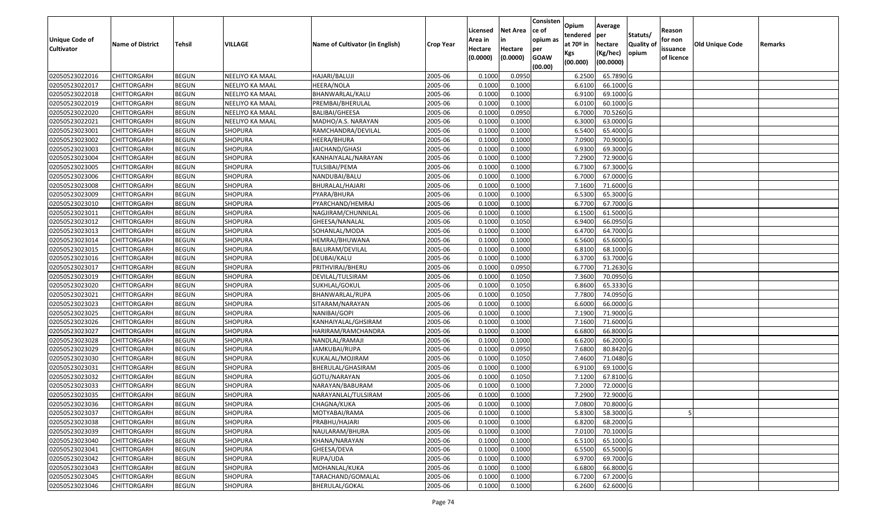| Unique Code of    | <b>Name of District</b> | Tehsil       | VILLAGE                | Name of Cultivator (in English) | <b>Crop Year</b> | Licensed<br>Area in | <b>Net Area</b><br>in | Consisten<br>ce of<br>opium as | Opium<br>tendered<br>at $70°$ in | Average<br>per<br>hectare | Statuts/<br><b>Quality o</b> | Reason<br>for non      | Old Unique Code | Remarks |
|-------------------|-------------------------|--------------|------------------------|---------------------------------|------------------|---------------------|-----------------------|--------------------------------|----------------------------------|---------------------------|------------------------------|------------------------|-----------------|---------|
| <b>Cultivator</b> |                         |              |                        |                                 |                  | Hectare<br>(0.0000) | Hectare<br>(0.0000)   | per<br><b>GOAW</b><br>(00.00)  | Kgs<br>(00.000)                  | (Kg/hec)<br>(00.0000)     | opium                        | issuance<br>of licence |                 |         |
| 02050523022016    | CHITTORGARH             | <b>BEGUN</b> | NEELIYO KA MAAL        | HAJARI/BALUJI                   | 2005-06          | 0.1000              | 0.0950                |                                | 6.2500                           | 65.7890 G                 |                              |                        |                 |         |
| 02050523022017    | CHITTORGARH             | <b>BEGUN</b> | NEELIYO KA MAAL        | HEERA/NOLA                      | 2005-06          | 0.1000              | 0.1000                |                                | 6.6100                           | 66.1000G                  |                              |                        |                 |         |
| 02050523022018    | CHITTORGARH             | <b>BEGUN</b> | NEELIYO KA MAAL        | BHANWARLAL/KALU                 | 2005-06          | 0.1000              | 0.1000                |                                | 6.9100                           | 69.1000G                  |                              |                        |                 |         |
| 02050523022019    | <b>CHITTORGARH</b>      | <b>BEGUN</b> | <b>NEELIYO KA MAAL</b> | PREMBAI/BHERULAL                | 2005-06          | 0.1000              | 0.1000                |                                | 6.0100                           | 60.1000G                  |                              |                        |                 |         |
| 02050523022020    | CHITTORGARH             | <b>BEGUN</b> | NEELIYO KA MAAL        | <b>BALIBAI/GHEESA</b>           | 2005-06          | 0.1000              | 0.0950                |                                | 6.7000                           | 70.5260 G                 |                              |                        |                 |         |
| 02050523022021    | CHITTORGARH             | <b>BEGUN</b> | NEELIYO KA MAAL        | MADHO/A.S. NARAYAN              | 2005-06          | 0.1000              | 0.1000                |                                | 6.3000                           | 63.0000 G                 |                              |                        |                 |         |
| 02050523023001    | CHITTORGARH             | <b>BEGUN</b> | SHOPURA                | RAMCHANDRA/DEVILAL              | 2005-06          | 0.1000              | 0.1000                |                                | 6.5400                           | 65.4000 G                 |                              |                        |                 |         |
| 02050523023002    | CHITTORGARH             | <b>BEGUN</b> | SHOPURA                | HEERA/BHURA                     | 2005-06          | 0.1000              | 0.1000                |                                | 7.0900                           | 70.9000G                  |                              |                        |                 |         |
| 02050523023003    | CHITTORGARH             | <b>BEGUN</b> | <b>SHOPURA</b>         | JAICHAND/GHASI                  | 2005-06          | 0.1000              | 0.1000                |                                | 6.9300                           | 69.3000 G                 |                              |                        |                 |         |
| 02050523023004    | CHITTORGARH             | <b>BEGUN</b> | SHOPURA                | KANHAIYALAL/NARAYAN             | 2005-06          | 0.1000              | 0.1000                |                                | 7.2900                           | 72.9000G                  |                              |                        |                 |         |
| 02050523023005    | CHITTORGARH             | <b>BEGUN</b> | <b>SHOPURA</b>         | TULSIBAI/PEMA                   | 2005-06          | 0.1000              | 0.1000                |                                | 6.7300                           | 67.3000 G                 |                              |                        |                 |         |
| 02050523023006    | CHITTORGARH             | <b>BEGUN</b> | <b>SHOPURA</b>         | NANDUBAI/BALU                   | 2005-06          | 0.1000              | 0.1000                |                                | 6.7000                           | 67.0000 G                 |                              |                        |                 |         |
| 02050523023008    | <b>CHITTORGARH</b>      | <b>BEGUN</b> | <b>SHOPURA</b>         | BHURALAL/HAJARI                 | 2005-06          | 0.1000              | 0.1000                |                                | 7.1600                           | 71.6000 G                 |                              |                        |                 |         |
| 02050523023009    | CHITTORGARH             | <b>BEGUN</b> | <b>SHOPURA</b>         | PYARA/BHURA                     | 2005-06          | 0.1000              | 0.1000                |                                | 6.5300                           | 65.3000G                  |                              |                        |                 |         |
| 02050523023010    | <b>CHITTORGARH</b>      | <b>BEGUN</b> | <b>SHOPURA</b>         | PYARCHAND/HEMRAJ                | 2005-06          | 0.1000              | 0.1000                |                                | 6.7700                           | 67.7000 G                 |                              |                        |                 |         |
| 02050523023011    | <b>CHITTORGARH</b>      | <b>BEGUN</b> | <b>SHOPURA</b>         | NAGJIRAM/CHUNNILAL              | 2005-06          | 0.1000              | 0.1000                |                                | 6.1500                           | 61.5000G                  |                              |                        |                 |         |
| 02050523023012    | CHITTORGARH             | <b>BEGUN</b> | <b>SHOPURA</b>         | GHEESA/NANALAL                  | 2005-06          | 0.1000              | 0.1050                |                                | 6.9400                           | 66.0950G                  |                              |                        |                 |         |
| 02050523023013    | CHITTORGARH             | <b>BEGUN</b> | <b>SHOPURA</b>         | SOHANLAL/MODA                   | 2005-06          | 0.1000              | 0.1000                |                                | 6.4700                           | 64.7000G                  |                              |                        |                 |         |
| 02050523023014    | CHITTORGARH             | <b>BEGUN</b> | <b>SHOPURA</b>         | HEMRAJ/BHUWANA                  | 2005-06          | 0.1000              | 0.1000                |                                | 6.5600                           | 65.6000G                  |                              |                        |                 |         |
| 02050523023015    | CHITTORGARH             | <b>BEGUN</b> | SHOPURA                | BALURAM/DEVILAL                 | 2005-06          | 0.1000              | 0.1000                |                                | 6.8100                           | 68.1000 G                 |                              |                        |                 |         |
| 02050523023016    | CHITTORGARH             | <b>BEGUN</b> | <b>SHOPURA</b>         | DEUBAI/KALU                     | 2005-06          | 0.1000              | 0.1000                |                                | 6.3700                           | 63.7000 G                 |                              |                        |                 |         |
| 02050523023017    | CHITTORGARH             | <b>BEGUN</b> | SHOPURA                | PRITHVIRAJ/BHERU                | 2005-06          | 0.1000              | 0.0950                |                                | 6.770                            | 71.2630 G                 |                              |                        |                 |         |
| 02050523023019    | CHITTORGARH             | <b>BEGUN</b> | <b>SHOPURA</b>         | DEVILAL/TULSIRAM                | 2005-06          | 0.1000              | 0.1050                |                                | 7.3600                           | 70.0950 G                 |                              |                        |                 |         |
| 02050523023020    | <b>CHITTORGARH</b>      | <b>BEGUN</b> | SHOPURA                | SUKHLAL/GOKUL                   | 2005-06          | 0.1000              | 0.1050                |                                | 6.8600                           | 65.3330 G                 |                              |                        |                 |         |
| 02050523023021    | <b>CHITTORGARH</b>      | <b>BEGUN</b> | SHOPURA                | BHANWARLAL/RUPA                 | 2005-06          | 0.1000              | 0.1050                |                                | 7.7800                           | 74.0950 G                 |                              |                        |                 |         |
| 02050523023023    | CHITTORGARH             | <b>BEGUN</b> | <b>SHOPURA</b>         | SITARAM/NARAYAN                 | 2005-06          | 0.1000              | 0.1000                |                                | 6.6000                           | 66.0000G                  |                              |                        |                 |         |
| 02050523023025    | CHITTORGARH             | <b>BEGUN</b> | SHOPURA                | NANIBAI/GOPI                    | 2005-06          | 0.1000              | 0.1000                |                                | 7.1900                           | 71.9000 G                 |                              |                        |                 |         |
| 02050523023026    | CHITTORGARH             | <b>BEGUN</b> | <b>SHOPURA</b>         | KANHAIYALAL/GHSIRAM             | 2005-06          | 0.1000              | 0.1000                |                                | 7.1600                           | 71.6000 G                 |                              |                        |                 |         |
| 02050523023027    | CHITTORGARH             | <b>BEGUN</b> | <b>SHOPURA</b>         | HARIRAM/RAMCHANDRA              | 2005-06          | 0.1000              | 0.1000                |                                | 6.6800                           | 66.8000 G                 |                              |                        |                 |         |
| 02050523023028    | CHITTORGARH             | <b>BEGUN</b> | <b>SHOPURA</b>         | NANDLAL/RAMAJI                  | 2005-06          | 0.1000              | 0.1000                |                                | 6.6200                           | 66.2000 G                 |                              |                        |                 |         |
| 02050523023029    | CHITTORGARH             | <b>BEGUN</b> | SHOPURA                | JAMKUBAI/RUPA                   | 2005-06          | 0.1000              | 0.0950                |                                | 7.6800                           | 80.8420 G                 |                              |                        |                 |         |
| 02050523023030    | CHITTORGARH             | <b>BEGUN</b> | SHOPURA                | KUKALAL/MOJIRAM                 | 2005-06          | 0.1000              | 0.1050                |                                | 7.4600                           | 71.0480G                  |                              |                        |                 |         |
| 02050523023031    | CHITTORGARH             | <b>BEGUN</b> | <b>SHOPURA</b>         | BHERULAL/GHASIRAM               | 2005-06          | 0.1000              | 0.1000                |                                | 6.9100                           | 69.1000G                  |                              |                        |                 |         |
| 02050523023032    | CHITTORGARH             | <b>BEGUN</b> | <b>SHOPURA</b>         | GOTU/NARAYAN                    | 2005-06          | 0.1000              | 0.1050                |                                | 7.1200                           | 67.8100 G                 |                              |                        |                 |         |
| 02050523023033    | CHITTORGARH             | <b>BEGUN</b> | SHOPURA                | NARAYAN/BABURAM                 | 2005-06          | 0.1000              | 0.1000                |                                | 7.2000                           | 72.0000 G                 |                              |                        |                 |         |
| 02050523023035    | CHITTORGARH             | <b>BEGUN</b> | SHOPURA                | NARAYANLAL/TULSIRAM             | 2005-06          | 0.1000              | 0.1000                |                                | 7.2900                           | 72.9000G                  |                              |                        |                 |         |
| 02050523023036    | <b>CHITTORGARH</b>      | <b>BEGUN</b> | <b>SHOPURA</b>         | CHAGNA/KUKA                     | 2005-06          | 0.1000              | 0.1000                |                                |                                  | 7.0800 70.8000 G          |                              |                        |                 |         |
| 02050523023037    | <b>CHITTORGARH</b>      | <b>BEGUN</b> | <b>SHOPURA</b>         | MOTYABAI/RAMA                   | 2005-06          | 0.1000              | 0.1000                |                                | 5.8300                           | 58.3000 G                 |                              | 5                      |                 |         |
| 02050523023038    | <b>CHITTORGARH</b>      | <b>BEGUN</b> | <b>SHOPURA</b>         | PRABHU/HAJARI                   | 2005-06          | 0.1000              | 0.1000                |                                | 6.8200                           | 68.2000 G                 |                              |                        |                 |         |
| 02050523023039    | <b>CHITTORGARH</b>      | <b>BEGUN</b> | <b>SHOPURA</b>         | NAULARAM/BHURA                  | 2005-06          | 0.1000              | 0.1000                |                                | 7.0100                           | 70.1000 G                 |                              |                        |                 |         |
| 02050523023040    | <b>CHITTORGARH</b>      | <b>BEGUN</b> | <b>SHOPURA</b>         | KHANA/NARAYAN                   | 2005-06          | 0.1000              | 0.1000                |                                | 6.5100                           | 65.1000 G                 |                              |                        |                 |         |
| 02050523023041    | <b>CHITTORGARH</b>      | <b>BEGUN</b> | <b>SHOPURA</b>         | GHEESA/DEVA                     | 2005-06          | 0.1000              | 0.1000                |                                | 6.5500                           | 65.5000 G                 |                              |                        |                 |         |
| 02050523023042    | <b>CHITTORGARH</b>      | <b>BEGUN</b> | <b>SHOPURA</b>         | RUPA/UDA                        | 2005-06          | 0.1000              | 0.1000                |                                | 6.9700                           | 69.7000 G                 |                              |                        |                 |         |
| 02050523023043    | CHITTORGARH             | <b>BEGUN</b> | <b>SHOPURA</b>         | MOHANLAL/KUKA                   | 2005-06          | 0.1000              | 0.1000                |                                | 6.6800                           | 66.8000 G                 |                              |                        |                 |         |
| 02050523023045    | <b>CHITTORGARH</b>      | <b>BEGUN</b> | SHOPURA                | TARACHAND/GOMALAL               | 2005-06          | 0.1000              | 0.1000                |                                | 6.7200                           | 67.2000 G                 |                              |                        |                 |         |
| 02050523023046    | <b>CHITTORGARH</b>      | <b>BEGUN</b> | SHOPURA                | BHERULAL/GOKAL                  | 2005-06          | 0.1000              | 0.1000                |                                | 6.2600                           | 62.6000 G                 |                              |                        |                 |         |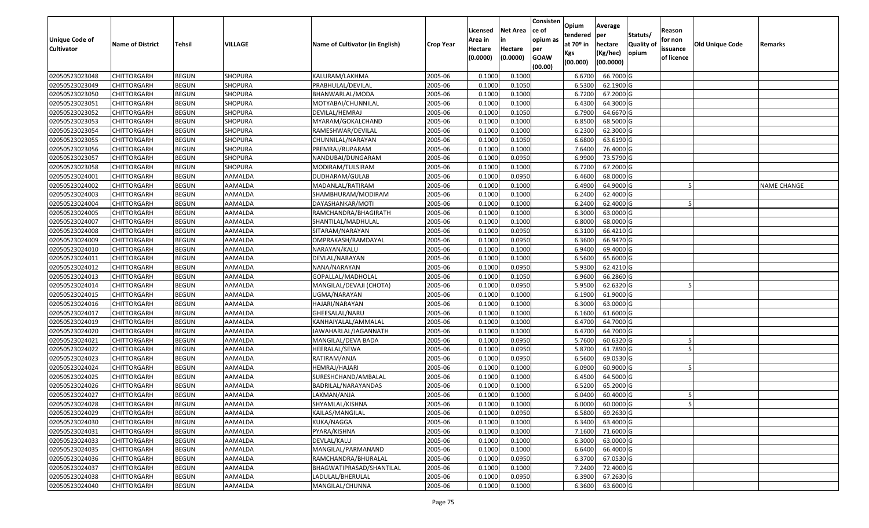| Unique Code of    | <b>Name of District</b> | <b>Tehsil</b> | VILLAGE        | Name of Cultivator (in English) | <b>Crop Year</b> | Licensed<br>Area in | <b>Net Area</b><br>in | Consisten<br>ce of<br>opium as | Opium<br>tendered<br>at $70°$ in | Average<br>per<br>hectare | Statuts/<br><b>Quality o</b> | Reason<br>for non      | Old Unique Code | Remarks            |
|-------------------|-------------------------|---------------|----------------|---------------------------------|------------------|---------------------|-----------------------|--------------------------------|----------------------------------|---------------------------|------------------------------|------------------------|-----------------|--------------------|
| <b>Cultivator</b> |                         |               |                |                                 |                  | Hectare<br>(0.0000) | Hectare<br>(0.0000)   | per<br><b>GOAW</b><br>(00.00)  | Kgs<br>(00.000)                  | (Kg/hec)<br>(00.0000)     | opium                        | issuance<br>of licence |                 |                    |
| 02050523023048    | CHITTORGARH             | <b>BEGUN</b>  | <b>SHOPURA</b> | KALURAM/LAKHMA                  | 2005-06          | 0.1000              | 0.1000                |                                | 6.6700                           | 66.7000 G                 |                              |                        |                 |                    |
| 02050523023049    | CHITTORGARH             | <b>BEGUN</b>  | SHOPURA        | PRABHULAL/DEVILAL               | 2005-06          | 0.1000              | 0.1050                |                                | 6.5300                           | 62.1900 G                 |                              |                        |                 |                    |
| 02050523023050    | CHITTORGARH             | <b>BEGUN</b>  | <b>SHOPURA</b> | BHANWARLAL/MODA                 | 2005-06          | 0.1000              | 0.1000                |                                | 6.7200                           | 67.2000 G                 |                              |                        |                 |                    |
| 02050523023051    | <b>CHITTORGARH</b>      | <b>BEGUN</b>  | SHOPURA        | MOTYABAI/CHUNNILAL              | 2005-06          | 0.1000              | 0.1000                |                                | 6.4300                           | 64.3000 G                 |                              |                        |                 |                    |
| 02050523023052    | CHITTORGARH             | <b>BEGUN</b>  | <b>SHOPURA</b> | DEVILAL/HEMRAJ                  | 2005-06          | 0.1000              | 0.1050                |                                | 6.7900                           | 64.6670 G                 |                              |                        |                 |                    |
| 02050523023053    | CHITTORGARH             | <b>BEGUN</b>  | SHOPURA        | MYARAM/GOKALCHAND               | 2005-06          | 0.1000              | 0.1000                |                                | 6.8500                           | 68.5000 G                 |                              |                        |                 |                    |
| 02050523023054    | CHITTORGARH             | <b>BEGUN</b>  | SHOPURA        | RAMESHWAR/DEVILAL               | 2005-06          | 0.1000              | 0.1000                |                                | 6.2300                           | 62.3000G                  |                              |                        |                 |                    |
| 02050523023055    | CHITTORGARH             | <b>BEGUN</b>  | SHOPURA        | CHUNNILAL/NARAYAN               | 2005-06          | 0.1000              | 0.1050                |                                | 6.6800                           | 63.6190 G                 |                              |                        |                 |                    |
| 02050523023056    | CHITTORGARH             | <b>BEGUN</b>  | <b>SHOPURA</b> | PREMRAJ/RUPARAM                 | 2005-06          | 0.1000              | 0.1000                |                                | 7.6400                           | 76.4000G                  |                              |                        |                 |                    |
| 02050523023057    | CHITTORGARH             | <b>BEGUN</b>  | SHOPURA        | NANDUBAI/DUNGARAM               | 2005-06          | 0.1000              | 0.0950                |                                | 6.9900                           | 73.5790 G                 |                              |                        |                 |                    |
| 02050523023058    | CHITTORGARH             | <b>BEGUN</b>  | <b>SHOPURA</b> | MODIRAM/TULSIRAM                | 2005-06          | 0.1000              | 0.1000                |                                | 6.7200                           | 67.2000 G                 |                              |                        |                 |                    |
| 02050523024001    | <b>CHITTORGARH</b>      | <b>BEGUN</b>  | AAMALDA        | DUDHARAM/GULAB                  | 2005-06          | 0.1000              | 0.0950                |                                | 6.4600                           | 68.0000 G                 |                              |                        |                 |                    |
| 02050523024002    | <b>CHITTORGARH</b>      | <b>BEGUN</b>  | AAMALDA        | MADANLAL/RATIRAM                | 2005-06          | 0.1000              | 0.1000                |                                | 6.4900                           | 64.9000 G                 |                              |                        |                 | <b>NAME CHANGE</b> |
| 02050523024003    | CHITTORGARH             | <b>BEGUN</b>  | AAMALDA        | SHAMBHURAM/MODIRAM              | 2005-06          | 0.1000              | 0.1000                |                                | 6.2400                           | 62.4000 G                 |                              |                        |                 |                    |
| 02050523024004    | CHITTORGARH             | <b>BEGUN</b>  | AAMALDA        | DAYASHANKAR/MOTI                | 2005-06          | 0.1000              | 0.1000                |                                | 6.2400                           | 62.4000 G                 |                              |                        |                 |                    |
| 02050523024005    | CHITTORGARH             | <b>BEGUN</b>  | AAMALDA        | RAMCHANDRA/BHAGIRATH            | 2005-06          | 0.1000              | 0.1000                |                                | 6.3000                           | 63.0000G                  |                              |                        |                 |                    |
| 02050523024007    | CHITTORGARH             | <b>BEGUN</b>  | AAMALDA        | SHANTILAL/MADHULAL              | 2005-06          | 0.1000              | 0.1000                |                                | 6.8000                           | 68.0000G                  |                              |                        |                 |                    |
| 02050523024008    | CHITTORGARH             | <b>BEGUN</b>  | AAMALDA        | SITARAM/NARAYAN                 | 2005-06          | 0.1000              | 0.0950                |                                | 6.3100                           | 66.4210 G                 |                              |                        |                 |                    |
| 02050523024009    | CHITTORGARH             | <b>BEGUN</b>  | AAMALDA        | OMPRAKASH/RAMDAYAL              | 2005-06          | 0.1000              | 0.0950                |                                | 6.3600                           | 66.9470 G                 |                              |                        |                 |                    |
| 02050523024010    | CHITTORGARH             | <b>BEGUN</b>  | AAMALDA        | NARAYAN/KALU                    | 2005-06          | 0.1000              | 0.1000                |                                | 6.9400                           | 69.4000 G                 |                              |                        |                 |                    |
| 02050523024011    | CHITTORGARH             | <b>BEGUN</b>  | AAMALDA        | DEVLAL/NARAYAN                  | 2005-06          | 0.1000              | 0.1000                |                                | 6.5600                           | 65.6000G                  |                              |                        |                 |                    |
| 02050523024012    | CHITTORGARH             | <b>BEGUN</b>  | AAMALDA        | NANA/NARAYAN                    | 2005-06          | 0.1000              | 0.0950                |                                | 5.9300                           | 62.4210 G                 |                              |                        |                 |                    |
| 02050523024013    | CHITTORGARH             | <b>BEGUN</b>  | AAMALDA        | GOPALLAL/MADHOLAL               | 2005-06          | 0.1000              | 0.1050                |                                | 6.9600                           | 66.2860 G                 |                              |                        |                 |                    |
| 02050523024014    | CHITTORGARH             | <b>BEGUN</b>  | AAMALDA        | MANGILAL/DEVAJI (CHOTA)         | 2005-06          | 0.1000              | 0.0950                |                                | 5.9500                           | 62.6320 G                 |                              |                        |                 |                    |
| 02050523024015    | <b>CHITTORGARH</b>      | <b>BEGUN</b>  | AAMALDA        | UGMA/NARAYAN                    | 2005-06          | 0.1000              | 0.1000                |                                | 6.1900                           | 61.9000G                  |                              |                        |                 |                    |
| 02050523024016    | CHITTORGARH             | <b>BEGUN</b>  | AAMALDA        | HAJARI/NARAYAN                  | 2005-06          | 0.1000              | 0.1000                |                                | 6.3000                           | 63.0000G                  |                              |                        |                 |                    |
| 02050523024017    | CHITTORGARH             | <b>BEGUN</b>  | AAMALDA        | GHEESALAL/NARU                  | 2005-06          | 0.1000              | 0.1000                |                                | 6.1600                           | 61.6000G                  |                              |                        |                 |                    |
| 02050523024019    | CHITTORGARH             | <b>BEGUN</b>  | AAMALDA        | KANHAIYALAL/AMMALAL             | 2005-06          | 0.1000              | 0.1000                |                                | 6.4700                           | 64.7000 G                 |                              |                        |                 |                    |
| 02050523024020    | CHITTORGARH             | <b>BEGUN</b>  | AAMALDA        | JAWAHARLAL/JAGANNATH            | 2005-06          | 0.1000              | 0.1000                |                                | 6.4700                           | 64.7000 G                 |                              |                        |                 |                    |
| 02050523024021    | CHITTORGARH             | <b>BEGUN</b>  | AAMALDA        | MANGILAL/DEVA BADA              | 2005-06          | 0.1000              | 0.0950                |                                | 5.7600                           | 60.6320 G                 |                              |                        |                 |                    |
| 02050523024022    | CHITTORGARH             | <b>BEGUN</b>  | AAMALDA        | HEERALAL/SEWA                   | 2005-06          | 0.1000              | 0.0950                |                                | 5.8700                           | 61.7890 G                 |                              |                        |                 |                    |
| 02050523024023    | CHITTORGARH             | <b>BEGUN</b>  | AAMALDA        | RATIRAM/ANJA                    | 2005-06          | 0.1000              | 0.0950                |                                | 6.5600                           | 69.0530 G                 |                              |                        |                 |                    |
| 02050523024024    | CHITTORGARH             | <b>BEGUN</b>  | AAMALDA        | HEMRAJ/HAJARI                   | 2005-06          | 0.1000              | 0.1000                |                                | 6.0900                           | 60.9000 G                 |                              |                        |                 |                    |
| 02050523024025    | CHITTORGARH             | <b>BEGUN</b>  | AAMALDA        | SURESHCHAND/AMBALAL             | 2005-06          | 0.1000              | 0.1000                |                                | 6.4500                           | 64.5000 G                 |                              |                        |                 |                    |
| 02050523024026    | CHITTORGARH             | <b>BEGUN</b>  | AAMALDA        | BADRILAL/NARAYANDAS             | 2005-06          | 0.1000              | 0.1000                |                                | 6.5200                           | 65.2000 G                 |                              |                        |                 |                    |
| 02050523024027    | CHITTORGARH             | <b>BEGUN</b>  | AAMALDA        | LAXMAN/ANJA                     | 2005-06          | 0.1000              | 0.1000                |                                | 6.0400                           | 60.4000 G                 |                              |                        |                 |                    |
| 02050523024028    | <b>CHITTORGARH</b>      | <b>BEGUN</b>  | AAMALDA        | SHYAMLAL/KISHNA                 | 2005-06          | 0.1000              | 0.1000                |                                | 6.0000                           | 60.0000 G                 |                              |                        |                 |                    |
| 02050523024029    | <b>CHITTORGARH</b>      | <b>BEGUN</b>  | AAMALDA        | KAILAS/MANGILAL                 | 2005-06          | 0.1000              | 0.0950                |                                | 6.5800                           | 69.2630 G                 |                              |                        |                 |                    |
| 02050523024030    | <b>CHITTORGARH</b>      | <b>BEGUN</b>  | AAMALDA        | KUKA/NAGGA                      | 2005-06          | 0.1000              | 0.1000                |                                | 6.3400                           | 63.4000 G                 |                              |                        |                 |                    |
| 02050523024031    | <b>CHITTORGARH</b>      | <b>BEGUN</b>  | AAMALDA        | PYARA/KISHNA                    | 2005-06          | 0.1000              | 0.1000                |                                | 7.1600                           | 71.6000 G                 |                              |                        |                 |                    |
| 02050523024033    | <b>CHITTORGARH</b>      | <b>BEGUN</b>  | AAMALDA        | DEVLAL/KALU                     | 2005-06          | 0.1000              | 0.1000                |                                | 6.3000                           | 63.0000 G                 |                              |                        |                 |                    |
| 02050523024035    | <b>CHITTORGARH</b>      | <b>BEGUN</b>  | AAMALDA        | MANGILAL/PARMANAND              | 2005-06          | 0.1000              | 0.1000                |                                | 6.6400                           | 66.4000 G                 |                              |                        |                 |                    |
| 02050523024036    | <b>CHITTORGARH</b>      | <b>BEGUN</b>  | AAMALDA        | RAMCHANDRA/BHURALAL             | 2005-06          | 0.1000              | 0.0950                |                                | 6.3700                           | 67.0530 G                 |                              |                        |                 |                    |
| 02050523024037    | CHITTORGARH             | <b>BEGUN</b>  | AAMALDA        | BHAGWATIPRASAD/SHANTILAL        | 2005-06          | 0.1000              | 0.1000                |                                | 7.2400                           | 72.4000 G                 |                              |                        |                 |                    |
| 02050523024038    | <b>CHITTORGARH</b>      | <b>BEGUN</b>  | AAMALDA        | LADULAL/BHERULAL                | 2005-06          | 0.1000              | 0.0950                |                                | 6.3900                           | 67.2630 G                 |                              |                        |                 |                    |
| 02050523024040    | <b>CHITTORGARH</b>      | <b>BEGUN</b>  | AAMALDA        | MANGILAL/CHUNNA                 | 2005-06          | 0.1000              | 0.1000                |                                | 6.3600                           | 63.6000 G                 |                              |                        |                 |                    |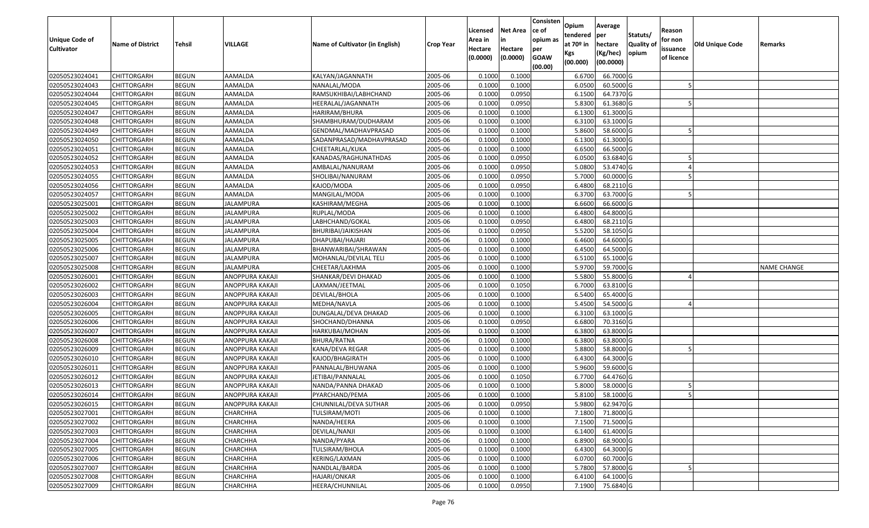| Unique Code of<br><b>Cultivator</b> | <b>Name of District</b> | Tehsil       | VILLAGE          | Name of Cultivator (in English) | <b>Crop Year</b> | Licensed<br>Area in<br>Hectare<br>(0.0000) | Net Area<br>in<br>Hectare<br>(0.0000) | Consisten<br>ce of<br>opium as<br>per<br><b>GOAW</b><br>(00.00) | Opium<br>tendered<br>at 70º in<br>Kgs<br>(00.000) | Average<br>per<br>hectare<br>(Kg/hec)<br>(00.0000) | Statuts/<br><b>Quality of</b><br>opium | Reason<br>for non<br>issuance<br>of licence | Old Unique Code | Remarks            |
|-------------------------------------|-------------------------|--------------|------------------|---------------------------------|------------------|--------------------------------------------|---------------------------------------|-----------------------------------------------------------------|---------------------------------------------------|----------------------------------------------------|----------------------------------------|---------------------------------------------|-----------------|--------------------|
| 02050523024041                      | <b>CHITTORGARH</b>      | <b>BEGUN</b> | AAMALDA          | KALYAN/JAGANNATH                | 2005-06          | 0.1000                                     | 0.1000                                |                                                                 | 6.6700                                            | 66.7000 G                                          |                                        |                                             |                 |                    |
| 02050523024043                      | CHITTORGARH             | <b>BEGUN</b> | AAMALDA          | NANALAL/MODA                    | 2005-06          | 0.1000                                     | 0.1000                                |                                                                 | 6.0500                                            | 60.5000 G                                          |                                        |                                             |                 |                    |
| 02050523024044                      | CHITTORGARH             | <b>BEGUN</b> | AAMALDA          | RAMSUKHIBAI/LABHCHAND           | 2005-06          | 0.1000                                     | 0.0950                                |                                                                 | 6.1500                                            | 64.7370 G                                          |                                        |                                             |                 |                    |
| 02050523024045                      | <b>CHITTORGARH</b>      | <b>BEGUN</b> | AAMALDA          | HEERALAL/JAGANNATH              | 2005-06          | 0.1000                                     | 0.0950                                |                                                                 | 5.8300                                            | 61.3680 G                                          |                                        |                                             |                 |                    |
| 02050523024047                      | CHITTORGARH             | <b>BEGUN</b> | AAMALDA          | HARIRAM/BHURA                   | 2005-06          | 0.1000                                     | 0.1000                                |                                                                 | 6.1300                                            | 61.3000 G                                          |                                        |                                             |                 |                    |
| 02050523024048                      | CHITTORGARH             | <b>BEGUN</b> | AAMALDA          | SHAMBHURAM/DUDHARAM             | 2005-06          | 0.1000                                     | 0.1000                                |                                                                 | 6.3100                                            | 63.1000 G                                          |                                        |                                             |                 |                    |
| 02050523024049                      | CHITTORGARH             | <b>BEGUN</b> | AAMALDA          | GENDMAL/MADHAVPRASAD            | 2005-06          | 0.1000                                     | 0.1000                                |                                                                 | 5.8600                                            | 58.6000 G                                          |                                        |                                             |                 |                    |
| 02050523024050                      | <b>CHITTORGARH</b>      | <b>BEGUN</b> | AAMALDA          | SADANPRASAD/MADHAVPRASAD        | 2005-06          | 0.1000                                     | 0.1000                                |                                                                 | 6.1300                                            | 61.3000 G                                          |                                        |                                             |                 |                    |
| 02050523024051                      | CHITTORGARH             | <b>BEGUN</b> | AAMALDA          | CHEETARLAL/KUKA                 | 2005-06          | 0.1000                                     | 0.1000                                |                                                                 | 6.6500                                            | 66.5000 G                                          |                                        |                                             |                 |                    |
| 02050523024052                      | CHITTORGARH             | <b>BEGUN</b> | AAMALDA          | KANADAS/RAGHUNATHDAS            | 2005-06          | 0.1000                                     | 0.0950                                |                                                                 | 6.0500                                            | 63.6840 G                                          |                                        |                                             |                 |                    |
| 02050523024053                      | CHITTORGARH             | <b>BEGUN</b> | AAMALDA          | AMBALAL/NANURAM                 | 2005-06          | 0.1000                                     | 0.0950                                |                                                                 | 5.0800                                            | 53.4740 G                                          |                                        |                                             |                 |                    |
| 02050523024055                      | <b>CHITTORGARH</b>      | <b>BEGUN</b> | AAMALDA          | SHOLIBAI/NANURAM                | 2005-06          | 0.1000                                     | 0.0950                                |                                                                 | 5.7000                                            | 60.0000 G                                          |                                        |                                             |                 |                    |
| 02050523024056                      | <b>CHITTORGARH</b>      | <b>BEGUN</b> | AAMALDA          | KAJOD/MODA                      | 2005-06          | 0.1000                                     | 0.0950                                |                                                                 | 6.4800                                            | 68.2110 G                                          |                                        |                                             |                 |                    |
| 02050523024057                      | <b>CHITTORGARH</b>      | <b>BEGUN</b> | AAMALDA          | MANGILAL/MODA                   | 2005-06          | 0.1000                                     | 0.1000                                |                                                                 | 6.3700                                            | 63.7000 G                                          |                                        |                                             |                 |                    |
| 02050523025001                      | CHITTORGARH             | <b>BEGUN</b> | JALAMPURA        | KASHIRAM/MEGHA                  | 2005-06          | 0.1000                                     | 0.1000                                |                                                                 | 6.6600                                            | 66.6000 G                                          |                                        |                                             |                 |                    |
| 02050523025002                      | <b>CHITTORGARH</b>      | <b>BEGUN</b> | <b>JALAMPURA</b> | RUPLAL/MODA                     | 2005-06          | 0.1000                                     | 0.1000                                |                                                                 | 6.4800                                            | 64.8000 G                                          |                                        |                                             |                 |                    |
| 02050523025003                      | CHITTORGARH             | <b>BEGUN</b> | JALAMPURA        | LABHCHAND/GOKAL                 | 2005-06          | 0.1000                                     | 0.0950                                |                                                                 | 6.4800                                            | 68.2110 G                                          |                                        |                                             |                 |                    |
| 02050523025004                      | CHITTORGARH             | <b>BEGUN</b> | JALAMPURA        | BHURIBAI/JAIKISHAN              | 2005-06          | 0.1000                                     | 0.0950                                |                                                                 | 5.5200                                            | 58.1050 G                                          |                                        |                                             |                 |                    |
| 02050523025005                      | CHITTORGARH             | <b>BEGUN</b> | JALAMPURA        | DHAPUBAI/HAJARI                 | 2005-06          | 0.1000                                     | 0.1000                                |                                                                 | 6.4600                                            | 64.6000 G                                          |                                        |                                             |                 |                    |
| 02050523025006                      | CHITTORGARH             | <b>BEGUN</b> | JALAMPURA        | BHANWARIBAI/SHRAWAN             | 2005-06          | 0.1000                                     | 0.1000                                |                                                                 | 6.4500                                            | 64.5000 G                                          |                                        |                                             |                 |                    |
| 02050523025007                      | CHITTORGARH             | <b>BEGUN</b> | JALAMPURA        | MOHANLAL/DEVILAL TELI           | 2005-06          | 0.1000                                     | 0.1000                                |                                                                 | 6.5100                                            | 65.1000 G                                          |                                        |                                             |                 |                    |
| 02050523025008                      | CHITTORGARH             | <b>BEGUN</b> | JALAMPURA        | CHEETAR/LAKHMA                  | 2005-06          | 0.1000                                     | 0.1000                                |                                                                 | 5.9700                                            | 59.7000 G                                          |                                        |                                             |                 | <b>NAME CHANGE</b> |
| 02050523026001                      | CHITTORGARH             | <b>BEGUN</b> | ANOPPURA KAKAJI  | SHANKAR/DEVI DHAKAD             | 2005-06          | 0.1000                                     | 0.1000                                |                                                                 | 5.5800                                            | 55.8000 G                                          |                                        |                                             |                 |                    |
| 02050523026002                      | CHITTORGARH             | <b>BEGUN</b> | ANOPPURA KAKAJI  | LAXMAN/JEETMAL                  | 2005-06          | 0.1000                                     | 0.1050                                |                                                                 | 6.7000                                            | 63.8100 G                                          |                                        |                                             |                 |                    |
| 02050523026003                      | CHITTORGARH             | <b>BEGUN</b> | ANOPPURA KAKAJI  | DEVILAL/BHOLA                   | 2005-06          | 0.1000                                     | 0.1000                                |                                                                 | 6.5400                                            | 65.4000 G                                          |                                        |                                             |                 |                    |
| 02050523026004                      | CHITTORGARH             | <b>BEGUN</b> | ANOPPURA KAKAJI  | MEDHA/NAVLA                     | 2005-06          | 0.1000                                     | 0.1000                                |                                                                 | 5.4500                                            | 54.5000 G                                          |                                        |                                             |                 |                    |
| 02050523026005                      | CHITTORGARH             | <b>BEGUN</b> | ANOPPURA KAKAJI  | DUNGALAL/DEVA DHAKAD            | 2005-06          | 0.1000                                     | 0.1000                                |                                                                 | 6.3100                                            | 63.1000 G                                          |                                        |                                             |                 |                    |
| 02050523026006                      | CHITTORGARH             | <b>BEGUN</b> | ANOPPURA KAKAJI  | SHOCHAND/DHANNA                 | 2005-06          | 0.1000                                     | 0.0950                                |                                                                 | 6.6800                                            | 70.3160 G                                          |                                        |                                             |                 |                    |
| 02050523026007                      | CHITTORGARH             | <b>BEGUN</b> | ANOPPURA KAKAJI  | HARKUBAI/MOHAN                  | 2005-06          | 0.1000                                     | 0.1000                                |                                                                 | 6.3800                                            | 63.8000 G                                          |                                        |                                             |                 |                    |
| 02050523026008                      | CHITTORGARH             | <b>BEGUN</b> | ANOPPURA KAKAJI  | BHURA/RATNA                     | 2005-06          | 0.1000                                     | 0.1000                                |                                                                 | 6.3800                                            | 63.8000 G                                          |                                        |                                             |                 |                    |
| 02050523026009                      | CHITTORGARH             | <b>BEGUN</b> | ANOPPURA KAKAJI  | KANA/DEVA REGAR                 | 2005-06          | 0.1000                                     | 0.1000                                |                                                                 | 5.8800                                            | 58.8000 G                                          |                                        |                                             |                 |                    |
| 02050523026010                      | CHITTORGARH             | <b>BEGUN</b> | ANOPPURA KAKAJI  | KAJOD/BHAGIRATH                 | 2005-06          | 0.1000                                     | 0.1000                                |                                                                 | 6.4300                                            | 64.3000 G                                          |                                        |                                             |                 |                    |
| 02050523026011                      | CHITTORGARH             | <b>BEGUN</b> | ANOPPURA KAKAJI  | PANNALAL/BHUWANA                | 2005-06          | 0.1000                                     | 0.1000                                |                                                                 | 5.9600                                            | 59.6000 G                                          |                                        |                                             |                 |                    |
| 02050523026012                      | CHITTORGARH             | <b>BEGUN</b> | ANOPPURA KAKAJI  | JETIBAI/PANNALAL                | 2005-06          | 0.1000                                     | 0.1050                                |                                                                 | 6.7700                                            | 64.4760 G                                          |                                        |                                             |                 |                    |
| 02050523026013                      | CHITTORGARH             | <b>BEGUN</b> | ANOPPURA KAKAJI  | NANDA/PANNA DHAKAD              | 2005-06          | 0.1000                                     | 0.1000                                |                                                                 | 5.8000                                            | 58.0000 G                                          |                                        |                                             |                 |                    |
| 02050523026014                      | CHITTORGARH             | <b>BEGUN</b> | ANOPPURA KAKAJI  | PYARCHAND/PEMA                  | 2005-06          | 0.1000                                     | 0.1000                                |                                                                 | 5.8100                                            | 58.1000 G                                          |                                        |                                             |                 |                    |
| 02050523026015                      | <b>CHITTORGARH</b>      | <b>BEGUN</b> | ANOPPURA KAKAJI  | CHUNNILAL/DEVA SUTHAR           | 2005-06          | 0.1000                                     | 0.0950                                |                                                                 |                                                   | 5.9800 62.9470 G                                   |                                        |                                             |                 |                    |
| 02050523027001                      | <b>CHITTORGARH</b>      | <b>BEGUN</b> | CHARCHHA         | TULSIRAM/MOTI                   | 2005-06          | 0.1000                                     | 0.1000                                |                                                                 | 7.1800                                            | 71.8000 G                                          |                                        |                                             |                 |                    |
| 02050523027002                      | <b>CHITTORGARH</b>      | <b>BEGUN</b> | CHARCHHA         | NANDA/HEERA                     | 2005-06          | 0.1000                                     | 0.1000                                |                                                                 | 7.1500                                            | 71.5000 G                                          |                                        |                                             |                 |                    |
| 02050523027003                      | <b>CHITTORGARH</b>      | <b>BEGUN</b> | CHARCHHA         | DEVILAL/NANJI                   | 2005-06          | 0.1000                                     | 0.1000                                |                                                                 | 6.1400                                            | 61.4000 G                                          |                                        |                                             |                 |                    |
| 02050523027004                      | <b>CHITTORGARH</b>      | <b>BEGUN</b> | CHARCHHA         | NANDA/PYARA                     | 2005-06          | 0.1000                                     | 0.1000                                |                                                                 | 6.8900                                            | 68.9000 G                                          |                                        |                                             |                 |                    |
| 02050523027005                      | <b>CHITTORGARH</b>      | <b>BEGUN</b> | <b>CHARCHHA</b>  | TULSIRAM/BHOLA                  | 2005-06          | 0.1000                                     | 0.1000                                |                                                                 | 6.4300                                            | 64.3000 G                                          |                                        |                                             |                 |                    |
| 02050523027006                      | <b>CHITTORGARH</b>      | <b>BEGUN</b> | CHARCHHA         | KERING/LAXMAN                   | 2005-06          | 0.1000                                     | 0.1000                                |                                                                 | 6.0700                                            | 60.7000 G                                          |                                        |                                             |                 |                    |
| 02050523027007                      | <b>CHITTORGARH</b>      | <b>BEGUN</b> | CHARCHHA         | NANDLAL/BARDA                   | 2005-06          | 0.1000                                     | 0.1000                                |                                                                 | 5.7800                                            | 57.8000 G                                          |                                        |                                             |                 |                    |
| 02050523027008                      | <b>CHITTORGARH</b>      | <b>BEGUN</b> | CHARCHHA         | HAJARI/ONKAR                    | 2005-06          | 0.1000                                     | 0.1000                                |                                                                 | 6.4100                                            | 64.1000 G                                          |                                        |                                             |                 |                    |
| 02050523027009                      | <b>CHITTORGARH</b>      | <b>BEGUN</b> | CHARCHHA         | HEERA/CHUNNILAL                 | 2005-06          | 0.1000                                     | 0.0950                                |                                                                 | 7.1900                                            | 75.6840 G                                          |                                        |                                             |                 |                    |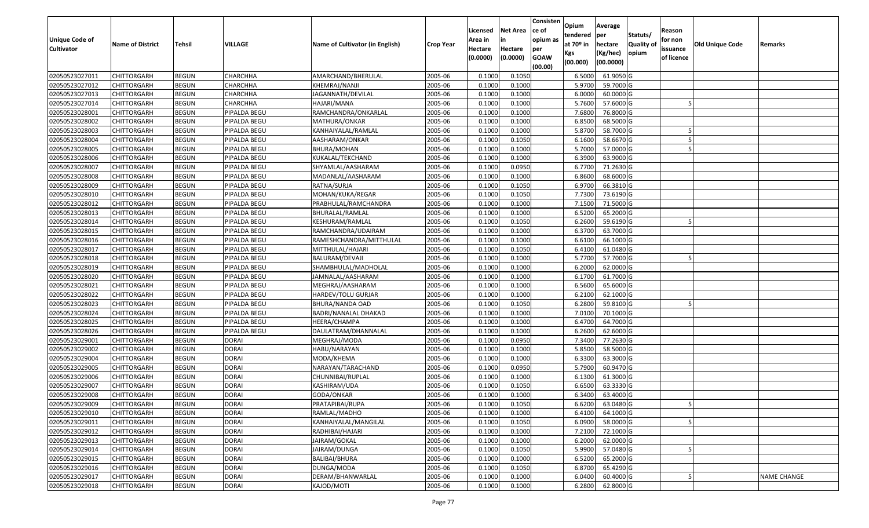| <b>Unique Code of</b><br><b>Cultivator</b> | <b>Name of District</b> | Tehsil       | VILLAGE      | Name of Cultivator (in English) | <b>Crop Year</b> | Licensed<br>Area in<br>Hectare | <b>Net Area</b><br>in<br>Hectare | Consisten<br>ce of<br>opium as<br>per | Opium<br>tendered<br>at $70°$ in | Average<br>per<br>hectare | Statuts/<br><b>Quality o</b> | Reason<br>for non<br>issuance | Old Unique Code | Remarks            |
|--------------------------------------------|-------------------------|--------------|--------------|---------------------------------|------------------|--------------------------------|----------------------------------|---------------------------------------|----------------------------------|---------------------------|------------------------------|-------------------------------|-----------------|--------------------|
|                                            |                         |              |              |                                 |                  | (0.0000)                       | (0.0000)                         | <b>GOAW</b><br>(00.00)                | Kgs<br>(00.000)                  | (Kg/hec)<br>(00.0000)     | opium                        | of licence                    |                 |                    |
| 02050523027011                             | CHITTORGARH             | <b>BEGUN</b> | CHARCHHA     | AMARCHAND/BHERULAL              | 2005-06          | 0.1000                         | 0.1050                           |                                       | 6.5000                           | 61.9050 G                 |                              |                               |                 |                    |
| 02050523027012                             | CHITTORGARH             | <b>BEGUN</b> | CHARCHHA     | KHEMRAJ/NANJI                   | 2005-06          | 0.1000                         | 0.1000                           |                                       | 5.9700                           | 59.7000 G                 |                              |                               |                 |                    |
| 02050523027013                             | CHITTORGARH             | <b>BEGUN</b> | CHARCHHA     | JAGANNATH/DEVILAL               | 2005-06          | 0.1000                         | 0.1000                           |                                       | 6.0000                           | 60.0000 G                 |                              |                               |                 |                    |
| 02050523027014                             | <b>CHITTORGARH</b>      | <b>BEGUN</b> | CHARCHHA     | HAJARI/MANA                     | 2005-06          | 0.1000                         | 0.1000                           |                                       | 5.7600                           | 57.6000 G                 |                              |                               |                 |                    |
| 02050523028001                             | CHITTORGARH             | <b>BEGUN</b> | PIPALDA BEGU | RAMCHANDRA/ONKARLAL             | 2005-06          | 0.1000                         | 0.1000                           |                                       | 7.6800                           | 76.8000 G                 |                              |                               |                 |                    |
| 02050523028002                             | CHITTORGARH             | <b>BEGUN</b> | PIPALDA BEGU | MATHURA/ONKAR                   | 2005-06          | 0.1000                         | 0.1000                           |                                       | 6.8500                           | 68.5000 G                 |                              |                               |                 |                    |
| 02050523028003                             | CHITTORGARH             | <b>BEGUN</b> | PIPALDA BEGU | KANHAIYALAL/RAMLAL              | 2005-06          | 0.1000                         | 0.1000                           |                                       | 5.8700                           | 58.7000 G                 |                              |                               |                 |                    |
| 02050523028004                             | CHITTORGARH             | <b>BEGUN</b> | PIPALDA BEGU | AASHARAM/ONKAR                  | 2005-06          | 0.1000                         | 0.1050                           |                                       | 6.1600                           | 58.6670 G                 |                              |                               |                 |                    |
| 02050523028005                             | CHITTORGARH             | <b>BEGUN</b> | PIPALDA BEGU | BHURA/MOHAN                     | 2005-06          | 0.1000                         | 0.1000                           |                                       | 5.7000                           | 57.0000 G                 |                              |                               |                 |                    |
| 02050523028006                             | CHITTORGARH             | <b>BEGUN</b> | PIPALDA BEGU | KUKALAL/TEKCHAND                | 2005-06          | 0.1000                         | 0.1000                           |                                       | 6.3900                           | 63.9000 G                 |                              |                               |                 |                    |
| 02050523028007                             | CHITTORGARH             | <b>BEGUN</b> | PIPALDA BEGU | SHYAMLAL/AASHARAM               | 2005-06          | 0.1000                         | 0.0950                           |                                       | 6.7700                           | 71.2630 G                 |                              |                               |                 |                    |
| 02050523028008                             | CHITTORGARH             | <b>BEGUN</b> | PIPALDA BEGU | MADANLAL/AASHARAM               | 2005-06          | 0.1000                         | 0.1000                           |                                       | 6.8600                           | 68.6000 G                 |                              |                               |                 |                    |
| 02050523028009                             | <b>CHITTORGARH</b>      | <b>BEGUN</b> | PIPALDA BEGU | RATNA/SURJA                     | 2005-06          | 0.1000                         | 0.1050                           |                                       | 6.9700                           | 66.3810 G                 |                              |                               |                 |                    |
| 02050523028010                             | <b>CHITTORGARH</b>      | <b>BEGUN</b> | PIPALDA BEGU | MOHAN/KUKA/REGAR                | 2005-06          | 0.1000                         | 0.1050                           |                                       | 7.7300                           | 73.6190 G                 |                              |                               |                 |                    |
| 02050523028012                             | CHITTORGARH             | <b>BEGUN</b> | PIPALDA BEGU | PRABHULAL/RAMCHANDRA            | 2005-06          | 0.1000                         | 0.1000                           |                                       | 7.1500                           | 71.5000 G                 |                              |                               |                 |                    |
| 02050523028013                             | CHITTORGARH             | <b>BEGUN</b> | PIPALDA BEGU | BHURALAL/RAMLAL                 | 2005-06          | 0.1000                         | 0.1000                           |                                       | 6.5200                           | 65.2000 G                 |                              |                               |                 |                    |
| 02050523028014                             | CHITTORGARH             | <b>BEGUN</b> | PIPALDA BEGU | KESHURAM/RAMLAL                 | 2005-06          | 0.1000                         | 0.1050                           |                                       | 6.2600                           | 59.6190 G                 |                              |                               |                 |                    |
| 02050523028015                             | CHITTORGARH             | <b>BEGUN</b> | PIPALDA BEGU | RAMCHANDRA/UDAIRAM              | 2005-06          | 0.1000                         | 0.1000                           |                                       | 6.3700                           | 63.7000G                  |                              |                               |                 |                    |
| 02050523028016                             | CHITTORGARH             | <b>BEGUN</b> | PIPALDA BEGU | RAMESHCHANDRA/MITTHULAL         | 2005-06          | 0.1000                         | 0.1000                           |                                       | 6.6100                           | 66.1000G                  |                              |                               |                 |                    |
| 02050523028017                             | CHITTORGARH             | <b>BEGUN</b> | PIPALDA BEGU | MITTHULAL/HAJARI                | 2005-06          | 0.1000                         | 0.1050                           |                                       | 6.4100                           | 61.0480 G                 |                              |                               |                 |                    |
| 02050523028018                             | CHITTORGARH             | <b>BEGUN</b> | PIPALDA BEGU | BALURAM/DEVAJI                  | 2005-06          | 0.1000                         | 0.1000                           |                                       | 5.7700                           | 57.7000 G                 |                              |                               |                 |                    |
| 02050523028019                             | CHITTORGARH             | <b>BEGUN</b> | PIPALDA BEGU | SHAMBHULAL/MADHOLAL             | 2005-06          | 0.1000                         | 0.1000                           |                                       | 6.2000                           | 62.0000G                  |                              |                               |                 |                    |
| 02050523028020                             | CHITTORGARH             | <b>BEGUN</b> | PIPALDA BEGU | JAMNALAL/AASHARAM               | 2005-06          | 0.1000                         | 0.1000                           |                                       | 6.1700                           | 61.7000G                  |                              |                               |                 |                    |
| 02050523028021                             | CHITTORGARH             | <b>BEGUN</b> | PIPALDA BEGU | MEGHRAJ/AASHARAM                | 2005-06          | 0.1000                         | 0.1000                           |                                       | 6.5600                           | 65.6000G                  |                              |                               |                 |                    |
| 02050523028022                             | <b>CHITTORGARH</b>      | <b>BEGUN</b> | PIPALDA BEGU | HARDEV/TOLU GURJAR              | 2005-06          | 0.1000                         | 0.1000                           |                                       | 6.2100                           | 62.1000 G                 |                              |                               |                 |                    |
| 02050523028023                             | CHITTORGARH             | <b>BEGUN</b> | PIPALDA BEGU | BHURA/NANDA OAD                 | 2005-06          | 0.1000                         | 0.1050                           |                                       | 6.2800                           | 59.8100 G                 |                              |                               |                 |                    |
| 02050523028024                             | CHITTORGARH             | <b>BEGUN</b> | PIPALDA BEGU | BADRI/NANALAL DHAKAD            | 2005-06          | 0.1000                         | 0.1000                           |                                       | 7.0100                           | 70.1000G                  |                              |                               |                 |                    |
| 02050523028025                             | CHITTORGARH             | <b>BEGUN</b> | PIPALDA BEGU | HEERA/CHAMPA                    | 2005-06          | 0.1000                         | 0.1000                           |                                       | 6.4700                           | 64.7000 G                 |                              |                               |                 |                    |
| 02050523028026                             | CHITTORGARH             | <b>BEGUN</b> | PIPALDA BEGU | DAULATRAM/DHANNALAL             | 2005-06          | 0.1000                         | 0.1000                           |                                       | 6.2600                           | 62.6000 G                 |                              |                               |                 |                    |
| 02050523029001                             | CHITTORGARH             | <b>BEGUN</b> | <b>DORAI</b> | MEGHRAJ/MODA                    | 2005-06          | 0.1000                         | 0.0950                           |                                       | 7.3400                           | 77.2630 G                 |                              |                               |                 |                    |
| 02050523029002                             | CHITTORGARH             | <b>BEGUN</b> | <b>DORAI</b> | HABU/NARAYAN                    | 2005-06          | 0.1000                         | 0.1000                           |                                       | 5.8500                           | 58.5000 G                 |                              |                               |                 |                    |
| 02050523029004                             | CHITTORGARH             | <b>BEGUN</b> | <b>DORAI</b> | MODA/KHEMA                      | 2005-06          | 0.1000                         | 0.1000                           |                                       | 6.3300                           | 63.3000 G                 |                              |                               |                 |                    |
| 02050523029005                             | CHITTORGARH             | <b>BEGUN</b> | <b>DORAI</b> | NARAYAN/TARACHAND               | 2005-06          | 0.1000                         | 0.0950                           |                                       | 5.7900                           | 60.9470 G                 |                              |                               |                 |                    |
| 02050523029006                             | CHITTORGARH             | <b>BEGUN</b> | <b>DORAI</b> | CHUNNIBAI/RUPLAL                | 2005-06          | 0.1000                         | 0.1000                           |                                       | 6.1300                           | 61.3000 G                 |                              |                               |                 |                    |
| 02050523029007                             | CHITTORGARH             | <b>BEGUN</b> | <b>DORAI</b> | KASHIRAM/UDA                    | 2005-06          | 0.1000                         | 0.1050                           |                                       | 6.6500                           | 63.3330 G                 |                              |                               |                 |                    |
| 02050523029008                             | CHITTORGARH             | <b>BEGUN</b> | <b>DORAI</b> | GODA/ONKAR                      | 2005-06          | 0.1000                         | 0.1000                           |                                       | 6.3400                           | 63.4000 G                 |                              |                               |                 |                    |
| 02050523029009                             | <b>CHITTORGARH</b>      | <b>BEGUN</b> | <b>DORAI</b> | PRATAPIBAI/RUPA                 | 2005-06          | 0.1000                         | 0.1050                           |                                       | 6.6200                           | 63.0480 G                 |                              |                               |                 |                    |
| 02050523029010                             | <b>CHITTORGARH</b>      | <b>BEGUN</b> | <b>DORAI</b> | RAMLAL/MADHO                    | 2005-06          | 0.1000                         | 0.1000                           |                                       | 6.4100                           | 64.1000 G                 |                              |                               |                 |                    |
| 02050523029011                             | <b>CHITTORGARH</b>      | <b>BEGUN</b> | <b>DORAI</b> | KANHAIYALAL/MANGILAL            | 2005-06          | 0.1000                         | 0.1050                           |                                       | 6.0900                           | 58.0000 G                 |                              |                               |                 |                    |
| 02050523029012                             | <b>CHITTORGARH</b>      | <b>BEGUN</b> | <b>DORAI</b> | RADHIBAI/HAJARI                 | 2005-06          | 0.1000                         | 0.1000                           |                                       | 7.2100                           | 72.1000 G                 |                              |                               |                 |                    |
| 02050523029013                             | <b>CHITTORGARH</b>      | <b>BEGUN</b> | <b>DORAI</b> | JAIRAM/GOKAL                    | 2005-06          | 0.1000                         | 0.1000                           |                                       | 6.2000                           | 62.0000 G                 |                              |                               |                 |                    |
| 02050523029014                             | <b>CHITTORGARH</b>      | <b>BEGUN</b> | <b>DORAI</b> | JAIRAM/DUNGA                    | 2005-06          | 0.1000                         | 0.1050                           |                                       | 5.9900                           | 57.0480 G                 |                              |                               |                 |                    |
| 02050523029015                             | <b>CHITTORGARH</b>      | <b>BEGUN</b> | <b>DORAI</b> | BALIBAI/BHURA                   | 2005-06          | 0.1000                         | 0.1000                           |                                       | 6.5200                           | 65.2000 G                 |                              |                               |                 |                    |
| 02050523029016                             | CHITTORGARH             | <b>BEGUN</b> | <b>DORAI</b> | DUNGA/MODA                      | 2005-06          | 0.1000                         | 0.1050                           |                                       | 6.8700                           | 65.4290 G                 |                              |                               |                 |                    |
| 02050523029017                             | CHITTORGARH             | <b>BEGUN</b> | <b>DORAI</b> | DERAM/BHANWARLAL                | 2005-06          | 0.1000                         | 0.1000                           |                                       | 6.0400                           | 60.4000 G                 |                              |                               |                 | <b>NAME CHANGE</b> |
| 02050523029018                             | <b>CHITTORGARH</b>      | <b>BEGUN</b> | <b>DORAI</b> | KAJOD/MOTI                      | 2005-06          | 0.1000                         | 0.1000                           |                                       | 6.2800                           | 62.8000 G                 |                              |                               |                 |                    |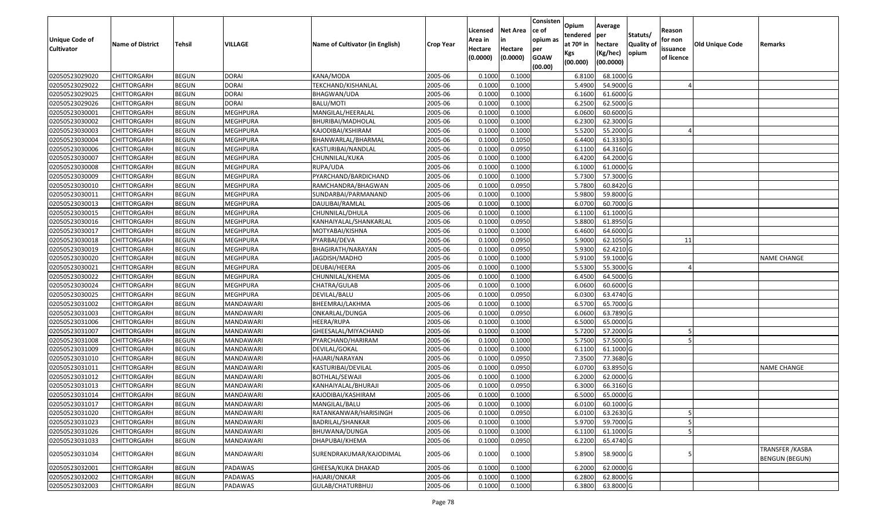| <b>Unique Code of</b> | <b>Name of District</b> | <b>Tehsil</b> | VILLAGE          | Name of Cultivator (in English) | <b>Crop Year</b> | Licensed<br>Area in | <b>Net Area</b><br>in | Consisten<br>ce of<br>opium as | Opium<br>tendered<br>at $70°$ in | Average<br>per<br>hectare | Statuts/<br><b>Quality o</b> | Reason<br>for non      | Old Unique Code | Remarks                                   |
|-----------------------|-------------------------|---------------|------------------|---------------------------------|------------------|---------------------|-----------------------|--------------------------------|----------------------------------|---------------------------|------------------------------|------------------------|-----------------|-------------------------------------------|
| <b>Cultivator</b>     |                         |               |                  |                                 |                  | Hectare<br>(0.0000) | Hectare<br>(0.0000)   | per<br><b>GOAW</b><br>(00.00)  | Kgs<br>(00.000)                  | (Kg/hec)<br>(00.0000)     | opium                        | issuance<br>of licence |                 |                                           |
| 02050523029020        | CHITTORGARH             | <b>BEGUN</b>  | <b>DORAI</b>     | KANA/MODA                       | 2005-06          | 0.1000              | 0.1000                |                                | 6.8100                           | 68.1000 G                 |                              |                        |                 |                                           |
| 02050523029022        | CHITTORGARH             | <b>BEGUN</b>  | <b>DORAI</b>     | TEKCHAND/KISHANLAL              | 2005-06          | 0.1000              | 0.1000                |                                | 5.4900                           | 54.9000 G                 |                              |                        |                 |                                           |
| 02050523029025        | CHITTORGARH             | <b>BEGUN</b>  | <b>DORAI</b>     | BHAGWAN/UDA                     | 2005-06          | 0.1000              | 0.1000                |                                | 6.1600                           | 61.6000G                  |                              |                        |                 |                                           |
| 02050523029026        | <b>CHITTORGARH</b>      | <b>BEGUN</b>  | <b>DORAI</b>     | <b>BALU/MOTI</b>                | 2005-06          | 0.1000              | 0.1000                |                                | 6.2500                           | 62.5000G                  |                              |                        |                 |                                           |
| 02050523030001        | CHITTORGARH             | <b>BEGUN</b>  | <b>MEGHPURA</b>  | MANGILAL/HEERALAL               | 2005-06          | 0.1000              | 0.1000                |                                | 6.0600                           | 60.6000G                  |                              |                        |                 |                                           |
| 02050523030002        | CHITTORGARH             | <b>BEGUN</b>  | <b>MEGHPURA</b>  | BHURIBAI/MADHOLAL               | 2005-06          | 0.1000              | 0.1000                |                                | 6.2300                           | 62.3000G                  |                              |                        |                 |                                           |
| 02050523030003        | CHITTORGARH             | <b>BEGUN</b>  | MEGHPURA         | KAJODIBAI/KSHIRAM               | 2005-06          | 0.1000              | 0.1000                |                                | 5.5200                           | 55.2000 G                 |                              |                        |                 |                                           |
| 02050523030004        | CHITTORGARH             | <b>BEGUN</b>  | <b>MEGHPURA</b>  | BHANWARLAL/BHARMAL              | 2005-06          | 0.1000              | 0.1050                |                                | 6.4400                           | 61.3330 G                 |                              |                        |                 |                                           |
| 02050523030006        | CHITTORGARH             | <b>BEGUN</b>  | <b>MEGHPURA</b>  | KASTURIBAI/NANDLAL              | 2005-06          | 0.1000              | 0.0950                |                                | 6.1100                           | 64.3160 G                 |                              |                        |                 |                                           |
| 02050523030007        | CHITTORGARH             | <b>BEGUN</b>  | <b>MEGHPURA</b>  | CHUNNILAL/KUKA                  | 2005-06          | 0.1000              | 0.1000                |                                | 6.4200                           | 64.2000 G                 |                              |                        |                 |                                           |
| 02050523030008        | CHITTORGARH             | <b>BEGUN</b>  | MEGHPURA         | RUPA/UDA                        | 2005-06          | 0.1000              | 0.1000                |                                | 6.1000                           | 61.0000 G                 |                              |                        |                 |                                           |
| 02050523030009        | CHITTORGARH             | <b>BEGUN</b>  | <b>MEGHPURA</b>  | PYARCHAND/BARDICHAND            | 2005-06          | 0.1000              | 0.1000                |                                | 5.7300                           | 57.3000 G                 |                              |                        |                 |                                           |
| 02050523030010        | <b>CHITTORGARH</b>      | <b>BEGUN</b>  | <b>MEGHPURA</b>  | RAMCHANDRA/BHAGWAN              | 2005-06          | 0.1000              | 0.0950                |                                | 5.7800                           | 60.8420 G                 |                              |                        |                 |                                           |
| 02050523030011        | <b>CHITTORGARH</b>      | <b>BEGUN</b>  | MEGHPURA         | SUNDARBAI/PARMANAND             | 2005-06          | 0.1000              | 0.1000                |                                | 5.9800                           | 59.8000 G                 |                              |                        |                 |                                           |
| 02050523030013        | CHITTORGARH             | <b>BEGUN</b>  | MEGHPURA         | DAULIBAI/RAMLAL                 | 2005-06          | 0.1000              | 0.1000                |                                | 6.0700                           | 60.7000 G                 |                              |                        |                 |                                           |
| 02050523030015        | CHITTORGARH             | <b>BEGUN</b>  | <b>MEGHPURA</b>  | CHUNNILAL/DHULA                 | 2005-06          | 0.1000              | 0.1000                |                                | 6.1100                           | 61.1000G                  |                              |                        |                 |                                           |
| 02050523030016        | CHITTORGARH             | <b>BEGUN</b>  | MEGHPURA         | KANHAIYALAL/SHANKARLAL          | 2005-06          | 0.1000              | 0.0950                |                                | 5.8800                           | 61.8950 G                 |                              |                        |                 |                                           |
| 02050523030017        | CHITTORGARH             | <b>BEGUN</b>  | <b>MEGHPURA</b>  | MOTYABAI/KISHNA                 | 2005-06          | 0.1000              | 0.1000                |                                | 6.4600                           | 64.6000 G                 |                              |                        |                 |                                           |
| 02050523030018        | CHITTORGARH             | <b>BEGUN</b>  | MEGHPURA         | PYARBAI/DEVA                    | 2005-06          | 0.100               | 0.0950                |                                | 5.9000                           | 62.1050 G                 |                              | 11                     |                 |                                           |
| 02050523030019        | CHITTORGARH             | <b>BEGUN</b>  | MEGHPURA         | BHAGIRATH/NARAYAN               | 2005-06          | 0.1000              | 0.0950                |                                | 5.9300                           | 62.4210 G                 |                              |                        |                 |                                           |
| 02050523030020        | CHITTORGARH             | <b>BEGUN</b>  | <b>MEGHPURA</b>  | JAGDISH/MADHO                   | 2005-06          | 0.1000              | 0.1000                |                                | 5.9100                           | 59.1000 G                 |                              |                        |                 | <b>NAME CHANGE</b>                        |
| 02050523030021        | CHITTORGARH             | <b>BEGUN</b>  | MEGHPURA         | DEUBAI/HEERA                    | 2005-06          | 0.100               | 0.1000                |                                | 5.5300                           | 55.3000G                  |                              |                        |                 |                                           |
| 02050523030022        | CHITTORGARH             | <b>BEGUN</b>  | MEGHPURA         | CHUNNILAL/KHEMA                 | 2005-06          | 0.1000              | 0.1000                |                                | 6.4500                           | 64.5000 G                 |                              |                        |                 |                                           |
| 02050523030024        | CHITTORGARH             | <b>BEGUN</b>  | MEGHPURA         | CHATRA/GULAB                    | 2005-06          | 0.100               | 0.1000                |                                | 6.0600                           | 60.6000 G                 |                              |                        |                 |                                           |
| 02050523030025        | <b>CHITTORGARH</b>      | <b>BEGUN</b>  | <b>MEGHPURA</b>  | DEVILAL/BALU                    | 2005-06          | 0.1000              | 0.0950                |                                | 6.0300                           | 63.4740 G                 |                              |                        |                 |                                           |
| 02050523031002        | CHITTORGARH             | <b>BEGUN</b>  | MANDAWARI        | BHEEMRAJ/LAKHMA                 | 2005-06          | 0.1000              | 0.1000                |                                | 6.5700                           | 65.7000 G                 |                              |                        |                 |                                           |
| 02050523031003        | CHITTORGARH             | <b>BEGUN</b>  | <b>MANDAWARI</b> | ONKARLAL/DUNGA                  | 2005-06          | 0.1000              | 0.0950                |                                | 6.0600                           | 63.7890 G                 |                              |                        |                 |                                           |
| 02050523031006        | CHITTORGARH             | <b>BEGUN</b>  | MANDAWARI        | HEERA/RUPA                      | 2005-06          | 0.1000              | 0.1000                |                                | 6.5000                           | 65.0000G                  |                              |                        |                 |                                           |
| 02050523031007        | CHITTORGARH             | <b>BEGUN</b>  | MANDAWARI        | GHEESALAL/MIYACHAND             | 2005-06          | 0.1000              | 0.1000                |                                | 5.7200                           | 57.2000 G                 |                              |                        |                 |                                           |
| 02050523031008        | CHITTORGARH             | <b>BEGUN</b>  | MANDAWARI        | PYARCHAND/HARIRAM               | 2005-06          | 0.1000              | 0.1000                |                                | 5.7500                           | 57.5000G                  |                              |                        |                 |                                           |
| 02050523031009        | CHITTORGARH             | <b>BEGUN</b>  | MANDAWARI        | DEVILAL/GOKAL                   | 2005-06          | 0.100               | 0.1000                |                                | 6.1100                           | 61.1000G                  |                              |                        |                 |                                           |
| 02050523031010        | CHITTORGARH             | <b>BEGUN</b>  | MANDAWARI        | HAJARI/NARAYAN                  | 2005-06          | 0.1000              | 0.0950                |                                | 7.3500                           | 77.3680 G                 |                              |                        |                 |                                           |
| 02050523031011        | CHITTORGARH             | <b>BEGUN</b>  | MANDAWARI        | KASTURIBAI/DEVILAL              | 2005-06          | 0.1000              | 0.0950                |                                | 6.0700                           | 63.8950 G                 |                              |                        |                 | <b>NAME CHANGE</b>                        |
| 02050523031012        | CHITTORGARH             | <b>BEGUN</b>  | MANDAWARI        | <b>BOTHLAL/SEWAJI</b>           | 2005-06          | 0.1000              | 0.1000                |                                | 6.2000                           | 62.0000G                  |                              |                        |                 |                                           |
| 02050523031013        | CHITTORGARH             | <b>BEGUN</b>  | MANDAWARI        | KANHAIYALAL/BHURAJI             | 2005-06          | 0.1000              | 0.0950                |                                | 6.3000                           | 66.3160 G                 |                              |                        |                 |                                           |
| 02050523031014        | CHITTORGARH             | <b>BEGUN</b>  | MANDAWARI        | KAJODIBAI/KASHIRAM              | 2005-06          | 0.1000              | 0.1000                |                                | 6.5000                           | 65.0000G                  |                              |                        |                 |                                           |
| 02050523031017        | <b>CHITTORGARH</b>      | <b>BEGUN</b>  | MANDAWARI        | MANGILAL/BALU                   | 2005-06          | 0.1000              | 0.1000                |                                | 6.0100                           | $60.1000$ G               |                              |                        |                 |                                           |
| 02050523031020        | <b>CHITTORGARH</b>      | <b>BEGUN</b>  | MANDAWARI        | RATANKANWAR/HARISINGH           | 2005-06          | 0.1000              | 0.0950                |                                | 6.0100                           | 63.2630 G                 |                              | 5                      |                 |                                           |
| 02050523031023        | <b>CHITTORGARH</b>      | <b>BEGUN</b>  | MANDAWARI        | BADRILAL/SHANKAR                | 2005-06          | 0.1000              | 0.1000                |                                | 5.9700                           | 59.7000 G                 |                              |                        |                 |                                           |
| 02050523031026        | <b>CHITTORGARH</b>      | <b>BEGUN</b>  | MANDAWARI        | BHUWANA/DUNGA                   | 2005-06          | 0.1000              | 0.1000                |                                | 6.1100                           | 61.1000 G                 |                              |                        |                 |                                           |
| 02050523031033        | CHITTORGARH             | <b>BEGUN</b>  | MANDAWARI        | DHAPUBAI/KHEMA                  | 2005-06          | 0.1000              | 0.0950                |                                | 6.2200                           | 65.4740 G                 |                              |                        |                 |                                           |
| 02050523031034        | CHITTORGARH             | <b>BEGUN</b>  | MANDAWARI        | SURENDRAKUMAR/KAJODIMAL         | 2005-06          | 0.1000              | 0.1000                |                                | 5.8900                           | 58.9000 G                 |                              |                        |                 | TRANSFER / KASBA<br><b>BENGUN (BEGUN)</b> |
| 02050523032001        | CHITTORGARH             | <b>BEGUN</b>  | PADAWAS          | GHEESA/KUKA DHAKAD              | 2005-06          | 0.1000              | 0.1000                |                                | 6.2000                           | 62.0000G                  |                              |                        |                 |                                           |
| 02050523032002        | CHITTORGARH             | <b>BEGUN</b>  | PADAWAS          | HAJARI/ONKAR                    | 2005-06          | 0.1000              | 0.1000                |                                | 6.2800                           | 62.8000 G                 |                              |                        |                 |                                           |
| 02050523032003        | <b>CHITTORGARH</b>      | <b>BEGUN</b>  | PADAWAS          | GULAB/CHATURBHUJ                | 2005-06          | 0.1000              | 0.1000                |                                | 6.3800                           | 63.8000 G                 |                              |                        |                 |                                           |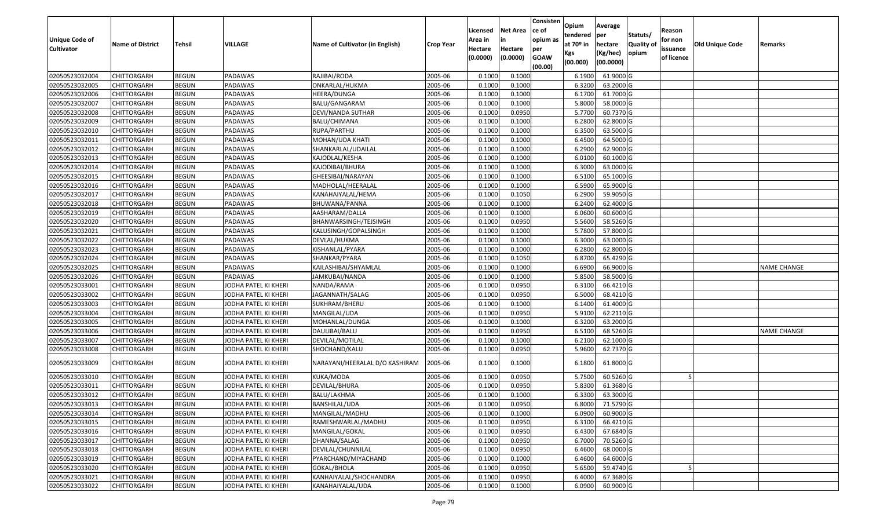| <b>Unique Code of</b><br><b>Cultivator</b> | <b>Name of District</b> | Tehsil       | VILLAGE              | Name of Cultivator (in English) | <b>Crop Year</b> | Licensed<br>Area in<br>Hectare | <b>Net Area</b><br>in<br>Hectare | Consisten<br>ce of<br>opium as<br>per | Opium<br>tendered<br>at $70°$ in | Average<br>per<br>hectare | Statuts/<br><b>Quality o</b> | Reason<br>for non<br>issuance | Old Unique Code | Remarks            |
|--------------------------------------------|-------------------------|--------------|----------------------|---------------------------------|------------------|--------------------------------|----------------------------------|---------------------------------------|----------------------------------|---------------------------|------------------------------|-------------------------------|-----------------|--------------------|
|                                            |                         |              |                      |                                 |                  | (0.0000)                       | (0.0000)                         | <b>GOAW</b><br>(00.00)                | Kgs<br>(00.000)                  | (Kg/hec)<br>(00.0000)     | opium                        | of licence                    |                 |                    |
| 02050523032004                             | CHITTORGARH             | <b>BEGUN</b> | PADAWAS              | RAJIBAI/RODA                    | 2005-06          | 0.1000                         | 0.1000                           |                                       | 6.1900                           | 61.9000G                  |                              |                               |                 |                    |
| 02050523032005                             | CHITTORGARH             | <b>BEGUN</b> | PADAWAS              | ONKARLAL/HUKMA                  | 2005-06          | 0.1000                         | 0.1000                           |                                       | 6.3200                           | 63.2000 G                 |                              |                               |                 |                    |
| 02050523032006                             | CHITTORGARH             | <b>BEGUN</b> | PADAWAS              | HEERA/DUNGA                     | 2005-06          | 0.1000                         | 0.1000                           |                                       | 6.1700                           | 61.7000G                  |                              |                               |                 |                    |
| 02050523032007                             | <b>CHITTORGARH</b>      | <b>BEGUN</b> | PADAWAS              | BALU/GANGARAM                   | 2005-06          | 0.1000                         | 0.1000                           |                                       | 5.8000                           | 58.0000G                  |                              |                               |                 |                    |
| 02050523032008                             | CHITTORGARH             | <b>BEGUN</b> | PADAWAS              | DEVI/NANDA SUTHAR               | 2005-06          | 0.1000                         | 0.0950                           |                                       | 5.7700                           | 60.7370 G                 |                              |                               |                 |                    |
| 02050523032009                             | CHITTORGARH             | <b>BEGUN</b> | PADAWAS              | BALU/CHIMANA                    | 2005-06          | 0.1000                         | 0.1000                           |                                       | 6.2800                           | 62.8000 G                 |                              |                               |                 |                    |
| 02050523032010                             | CHITTORGARH             | <b>BEGUN</b> | PADAWAS              | RUPA/PARTHU                     | 2005-06          | 0.1000                         | 0.1000                           |                                       | 6.3500                           | 63.5000G                  |                              |                               |                 |                    |
| 02050523032011                             | CHITTORGARH             | <b>BEGUN</b> | PADAWAS              | MOHAN/UDA KHATI                 | 2005-06          | 0.1000                         | 0.1000                           |                                       | 6.4500                           | 64.5000 G                 |                              |                               |                 |                    |
| 02050523032012                             | CHITTORGARH             | <b>BEGUN</b> | PADAWAS              | SHANKARLAL/UDAILAL              | 2005-06          | 0.1000                         | 0.1000                           |                                       | 6.2900                           | 62.9000 G                 |                              |                               |                 |                    |
| 02050523032013                             | CHITTORGARH             | <b>BEGUN</b> | PADAWAS              | KAJODLAL/KESHA                  | 2005-06          | 0.1000                         | 0.1000                           |                                       | 6.0100                           | 60.1000 G                 |                              |                               |                 |                    |
| 02050523032014                             | CHITTORGARH             | <b>BEGUN</b> | PADAWAS              | KAJODIBAI/BHURA                 | 2005-06          | 0.1000                         | 0.1000                           |                                       | 6.3000                           | 63.0000G                  |                              |                               |                 |                    |
| 02050523032015                             | CHITTORGARH             | <b>BEGUN</b> | PADAWAS              | GHEESIBAI/NARAYAN               | 2005-06          | 0.1000                         | 0.1000                           |                                       | 6.5100                           | 65.1000 G                 |                              |                               |                 |                    |
| 02050523032016                             | <b>CHITTORGARH</b>      | <b>BEGUN</b> | PADAWAS              | MADHOLAL/HEERALAL               | 2005-06          | 0.1000                         | 0.1000                           |                                       | 6.5900                           | 65.9000G                  |                              |                               |                 |                    |
| 02050523032017                             | CHITTORGARH             | <b>BEGUN</b> | PADAWAS              | KANAHAIYALAL/HEMA               | 2005-06          | 0.100                          | 0.1050                           |                                       | 6.2900                           | 59.9050 G                 |                              |                               |                 |                    |
| 02050523032018                             | CHITTORGARH             | <b>BEGUN</b> | PADAWAS              | BHUWANA/PANNA                   | 2005-06          | 0.1000                         | 0.1000                           |                                       | 6.2400                           | 62.4000 G                 |                              |                               |                 |                    |
| 02050523032019                             | CHITTORGARH             | <b>BEGUN</b> | PADAWAS              | AASHARAM/DALLA                  | 2005-06          | 0.1000                         | 0.1000                           |                                       | 6.0600                           | 60.6000 G                 |                              |                               |                 |                    |
| 02050523032020                             | CHITTORGARH             | <b>BEGUN</b> | PADAWAS              | BHANWARSINGH/TEJSINGH           | 2005-06          | 0.1000                         | 0.0950                           |                                       | 5.5600                           | 58.5260 G                 |                              |                               |                 |                    |
| 02050523032021                             | CHITTORGARH             | <b>BEGUN</b> | PADAWAS              | KALUSINGH/GOPALSINGH            | 2005-06          | 0.1000                         | 0.1000                           |                                       | 5.7800                           | 57.8000 G                 |                              |                               |                 |                    |
| 02050523032022                             | CHITTORGARH             | <b>BEGUN</b> | PADAWAS              | DEVLAL/HUKMA                    | 2005-06          | 0.100                          | 0.1000                           |                                       | 6.3000                           | 63.0000G                  |                              |                               |                 |                    |
| 02050523032023                             | CHITTORGARH             | <b>BEGUN</b> | PADAWAS              | KISHANLAL/PYARA                 | 2005-06          | 0.1000                         | 0.1000                           |                                       | 6.2800                           | 62.8000 G                 |                              |                               |                 |                    |
| 02050523032024                             | CHITTORGARH             | <b>BEGUN</b> | PADAWAS              | SHANKAR/PYARA                   | 2005-06          | 0.100                          | 0.1050                           |                                       | 6.8700                           | 65.4290 G                 |                              |                               |                 |                    |
| 02050523032025                             | CHITTORGARH             | <b>BEGUN</b> | PADAWAS              | KAILASHIBAI/SHYAMLAL            | 2005-06          | 0.100                          | 0.1000                           |                                       | 6.690                            | 66.9000 G                 |                              |                               |                 | <b>NAME CHANGE</b> |
| 02050523032026                             | CHITTORGARH             | <b>BEGUN</b> | PADAWAS              | JAMKUBAI/NANDA                  | 2005-06          | 0.1000                         | 0.1000                           |                                       | 5.8500                           | 58.5000G                  |                              |                               |                 |                    |
| 02050523033001                             | CHITTORGARH             | <b>BEGUN</b> | JODHA PATEL KI KHERI | NANDA/RAMA                      | 2005-06          | 0.100                          | 0.0950                           |                                       | 6.3100                           | 66.4210 G                 |                              |                               |                 |                    |
| 02050523033002                             | CHITTORGARH             | <b>BEGUN</b> | JODHA PATEL KI KHERI | JAGANNATH/SALAG                 | 2005-06          | 0.1000                         | 0.0950                           |                                       | 6.5000                           | 68.4210 G                 |                              |                               |                 |                    |
| 02050523033003                             | CHITTORGARH             | <b>BEGUN</b> | JODHA PATEL KI KHERI | SUKHRAM/BHERU                   | 2005-06          | 0.1000                         | 0.1000                           |                                       | 6.1400                           | 61.4000 G                 |                              |                               |                 |                    |
| 02050523033004                             | CHITTORGARH             | <b>BEGUN</b> | JODHA PATEL KI KHERI | MANGILAL/UDA                    | 2005-06          | 0.100                          | 0.0950                           |                                       | 5.9100                           | 62.2110G                  |                              |                               |                 |                    |
| 02050523033005                             | CHITTORGARH             | <b>BEGUN</b> | JODHA PATEL KI KHERI | MOHANLAL/DUNGA                  | 2005-06          | 0.1000                         | 0.1000                           |                                       | 6.3200                           | 63.2000 G                 |                              |                               |                 |                    |
| 02050523033006                             | CHITTORGARH             | <b>BEGUN</b> | JODHA PATEL KI KHERI | DAULIBAI/BALU                   | 2005-06          | 0.1000                         | 0.0950                           |                                       | 6.5100                           | 68.5260 G                 |                              |                               |                 | <b>NAME CHANGE</b> |
| 02050523033007                             | CHITTORGARH             | <b>BEGUN</b> | JODHA PATEL KI KHERI | DEVILAL/MOTILAL                 | 2005-06          | 0.1000                         | 0.1000                           |                                       | 6.2100                           | 62.1000G                  |                              |                               |                 |                    |
| 02050523033008                             | CHITTORGARH             | <b>BEGUN</b> | JODHA PATEL KI KHERI | SHOCHAND/KALU                   | 2005-06          | 0.1000                         | 0.0950                           |                                       | 5.9600                           | 62.7370 G                 |                              |                               |                 |                    |
| 02050523033009                             | CHITTORGARH             | <b>BEGUN</b> | JODHA PATEL KI KHERI | NARAYANI/HEERALAL D/O KASHIRAM  | 2005-06          | 0.1000                         | 0.1000                           |                                       | 6.1800                           | 61.8000 G                 |                              |                               |                 |                    |
| 02050523033010                             | <b>CHITTORGARH</b>      | <b>BEGUN</b> | JODHA PATEL KI KHERI | KUKA/MODA                       | 2005-06          | 0.1000                         | 0.0950                           |                                       | 5.7500                           | 60.5260 G                 |                              |                               |                 |                    |
| 02050523033011                             | CHITTORGARH             | <b>BEGUN</b> | JODHA PATEL KI KHERI | DEVILAL/BHURA                   | 2005-06          | 0.1000                         | 0.0950                           |                                       | 5.8300                           | 61.3680 G                 |                              |                               |                 |                    |
| 02050523033012                             | CHITTORGARH             | <b>BEGUN</b> | JODHA PATEL KI KHERI | BALU/LAKHMA                     | 2005-06          | 0.1000                         | 0.1000                           |                                       | 6.3300                           | 63.3000 G                 |                              |                               |                 |                    |
| 02050523033013                             | <b>CHITTORGARH</b>      | <b>BEGUN</b> | JODHA PATEL KI KHERI | BANSHILAL/UDA                   | 2005-06          | 0.1000                         | 0.0950                           |                                       |                                  | 6.8000 71.5790 G          |                              |                               |                 |                    |
| 02050523033014                             | <b>CHITTORGARH</b>      | <b>BEGUN</b> | JODHA PATEL KI KHERI | MANGILAL/MADHU                  | 2005-06          | 0.1000                         | 0.1000                           |                                       | 6.0900                           | 60.9000 G                 |                              |                               |                 |                    |
| 02050523033015                             | <b>CHITTORGARH</b>      | <b>BEGUN</b> | JODHA PATEL KI KHERI | RAMESHWARLAL/MADHU              | 2005-06          | 0.1000                         | 0.0950                           |                                       | 6.3100                           | 66.4210 G                 |                              |                               |                 |                    |
| 02050523033016                             | <b>CHITTORGARH</b>      | <b>BEGUN</b> | JODHA PATEL KI KHERI | MANGILAL/GOKAL                  | 2005-06          | 0.1000                         | 0.0950                           |                                       | 6.4300                           | 67.6840 G                 |                              |                               |                 |                    |
| 02050523033017                             | CHITTORGARH             | <b>BEGUN</b> | JODHA PATEL KI KHERI | DHANNA/SALAG                    | 2005-06          | 0.1000                         | 0.0950                           |                                       | 6.7000                           | 70.5260 G                 |                              |                               |                 |                    |
| 02050523033018                             | <b>CHITTORGARH</b>      | <b>BEGUN</b> | JODHA PATEL KI KHERI | DEVILAL/CHUNNILAL               | 2005-06          | 0.1000                         | 0.0950                           |                                       | 6.4600                           | 68.0000 G                 |                              |                               |                 |                    |
| 02050523033019                             | <b>CHITTORGARH</b>      | <b>BEGUN</b> | JODHA PATEL KI KHERI | PYARCHAND/MIYACHAND             | 2005-06          | 0.1000                         | 0.1000                           |                                       | 6.4600                           | 64.6000 G                 |                              |                               |                 |                    |
| 02050523033020                             | <b>CHITTORGARH</b>      | <b>BEGUN</b> | JODHA PATEL KI KHERI | GOKAL/BHOLA                     | 2005-06          | 0.1000                         | 0.0950                           |                                       | 5.6500                           | 59.4740 G                 |                              |                               |                 |                    |
| 02050523033021                             | <b>CHITTORGARH</b>      | <b>BEGUN</b> | JODHA PATEL KI KHERI | KANHAIYALAL/SHOCHANDRA          | 2005-06          | 0.1000                         | 0.0950                           |                                       | 6.4000                           | 67.3680 G                 |                              |                               |                 |                    |
| 02050523033022                             | <b>CHITTORGARH</b>      | <b>BEGUN</b> | JODHA PATEL KI KHERI | KANAHAIYALAL/UDA                | 2005-06          | 0.1000                         | 0.1000                           |                                       | 6.0900                           | $60.9000$ G               |                              |                               |                 |                    |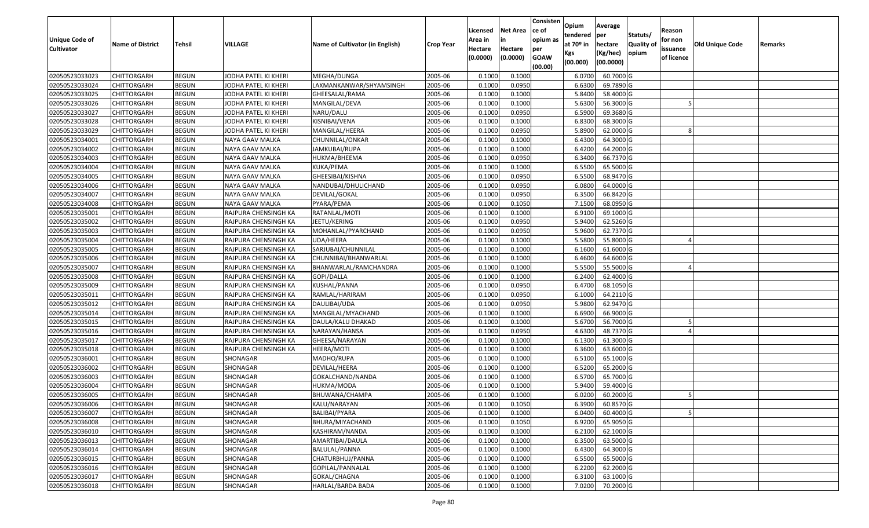| <b>Unique Code of</b><br><b>Cultivator</b> | <b>Name of District</b> | <b>Tehsil</b> | VILLAGE              | Name of Cultivator (in English) | <b>Crop Year</b> | Licensed<br>Area in<br>Hectare | <b>Net Area</b><br>in<br>Hectare | Consisten<br>ce of<br>opium as<br>per | Opium<br>tendered<br>at $70°$ in | Average<br>per<br>hectare | Statuts/<br><b>Quality o</b> | Reason<br>for non<br>issuance | Old Unique Code | Remarks |
|--------------------------------------------|-------------------------|---------------|----------------------|---------------------------------|------------------|--------------------------------|----------------------------------|---------------------------------------|----------------------------------|---------------------------|------------------------------|-------------------------------|-----------------|---------|
|                                            |                         |               |                      |                                 |                  | (0.0000)                       | (0.0000)                         | <b>GOAW</b><br>(00.00)                | Kgs<br>(00.000)                  | (Kg/hec)<br>(00.0000)     | opium                        | of licence                    |                 |         |
| 02050523033023                             | CHITTORGARH             | <b>BEGUN</b>  | JODHA PATEL KI KHERI | MEGHA/DUNGA                     | 2005-06          | 0.1000                         | 0.1000                           |                                       | 6.0700                           | 60.7000 G                 |                              |                               |                 |         |
| 02050523033024                             | CHITTORGARH             | <b>BEGUN</b>  | JODHA PATEL KI KHERI | LAXMANKANWAR/SHYAMSINGH         | 2005-06          | 0.1000                         | 0.0950                           |                                       | 6.6300                           | 69.7890 G                 |                              |                               |                 |         |
| 02050523033025                             | CHITTORGARH             | <b>BEGUN</b>  | JODHA PATEL KI KHERI | GHEESALAL/RAMA                  | 2005-06          | 0.100                          | 0.1000                           |                                       | 5.8400                           | 58.4000 G                 |                              |                               |                 |         |
| 02050523033026                             | <b>CHITTORGARH</b>      | <b>BEGUN</b>  | JODHA PATEL KI KHERI | MANGILAL/DEVA                   | 2005-06          | 0.1000                         | 0.1000                           |                                       | 5.6300                           | 56.3000G                  |                              |                               |                 |         |
| 02050523033027                             | CHITTORGARH             | <b>BEGUN</b>  | JODHA PATEL KI KHERI | NARU/DALU                       | 2005-06          | 0.1000                         | 0.0950                           |                                       | 6.5900                           | 69.3680 G                 |                              |                               |                 |         |
| 02050523033028                             | CHITTORGARH             | <b>BEGUN</b>  | JODHA PATEL KI KHERI | KISNIBAI/VENA                   | 2005-06          | 0.1000                         | 0.1000                           |                                       | 6.8300                           | 68.3000 G                 |                              |                               |                 |         |
| 02050523033029                             | CHITTORGARH             | <b>BEGUN</b>  | JODHA PATEL KI KHERI | MANGILAL/HEERA                  | 2005-06          | 0.1000                         | 0.0950                           |                                       | 5.8900                           | 62.0000G                  |                              |                               |                 |         |
| 02050523034001                             | CHITTORGARH             | <b>BEGUN</b>  | NAYA GAAV MALKA      | CHUNNILAL/ONKAR                 | 2005-06          | 0.1000                         | 0.1000                           |                                       | 6.4300                           | 64.3000 G                 |                              |                               |                 |         |
| 02050523034002                             | CHITTORGARH             | <b>BEGUN</b>  | NAYA GAAV MALKA      | JAMKUBAI/RUPA                   | 2005-06          | 0.1000                         | 0.1000                           |                                       | 6.4200                           | 64.2000 G                 |                              |                               |                 |         |
| 02050523034003                             | CHITTORGARH             | <b>BEGUN</b>  | NAYA GAAV MALKA      | HUKMA/BHEEMA                    | 2005-06          | 0.1000                         | 0.0950                           |                                       | 6.3400                           | 66.7370 G                 |                              |                               |                 |         |
| 02050523034004                             | CHITTORGARH             | <b>BEGUN</b>  | NAYA GAAV MALKA      | KUKA/PEMA                       | 2005-06          | 0.1000                         | 0.1000                           |                                       | 6.5500                           | 65.5000G                  |                              |                               |                 |         |
| 02050523034005                             | CHITTORGARH             | <b>BEGUN</b>  | NAYA GAAV MALKA      | GHEESIBAI/KISHNA                | 2005-06          | 0.1000                         | 0.0950                           |                                       | 6.5500                           | 68.9470 G                 |                              |                               |                 |         |
| 02050523034006                             | <b>CHITTORGARH</b>      | <b>BEGUN</b>  | NAYA GAAV MALKA      | NANDUBAI/DHULICHAND             | 2005-06          | 0.1000                         | 0.0950                           |                                       | 6.0800                           | 64.0000G                  |                              |                               |                 |         |
| 02050523034007                             | CHITTORGARH             | <b>BEGUN</b>  | NAYA GAAV MALKA      | DEVILAL/GOKAL                   | 2005-06          | 0.1000                         | 0.0950                           |                                       | 6.3500                           | 66.8420 G                 |                              |                               |                 |         |
| 02050523034008                             | CHITTORGARH             | <b>BEGUN</b>  | NAYA GAAV MALKA      | PYARA/PEMA                      | 2005-06          | 0.1000                         | 0.1050                           |                                       | 7.1500                           | 68.0950 G                 |                              |                               |                 |         |
| 02050523035001                             | <b>CHITTORGARH</b>      | <b>BEGUN</b>  | RAJPURA CHENSINGH KA | RATANLAL/MOTI                   | 2005-06          | 0.1000                         | 0.1000                           |                                       | 6.9100                           | 69.1000G                  |                              |                               |                 |         |
| 02050523035002                             | CHITTORGARH             | <b>BEGUN</b>  | RAJPURA CHENSINGH KA | JEETU/KERING                    | 2005-06          | 0.1000                         | 0.0950                           |                                       | 5.9400                           | 62.5260 G                 |                              |                               |                 |         |
| 02050523035003                             | CHITTORGARH             | <b>BEGUN</b>  | RAJPURA CHENSINGH KA | MOHANLAL/PYARCHAND              | 2005-06          | 0.1000                         | 0.0950                           |                                       | 5.9600                           | 62.7370 G                 |                              |                               |                 |         |
| 02050523035004                             | CHITTORGARH             | <b>BEGUN</b>  | RAJPURA CHENSINGH KA | UDA/HEERA                       | 2005-06          | 0.1000                         | 0.1000                           |                                       | 5.5800                           | 55.8000 G                 |                              |                               |                 |         |
| 02050523035005                             | CHITTORGARH             | <b>BEGUN</b>  | RAJPURA CHENSINGH KA | SARJUBAI/CHUNNILAL              | 2005-06          | 0.1000                         | 0.1000                           |                                       | 6.1600                           | 61.6000G                  |                              |                               |                 |         |
| 02050523035006                             | CHITTORGARH             | <b>BEGUN</b>  | RAJPURA CHENSINGH KA | CHUNNIBAI/BHANWARLAL            | 2005-06          | 0.1000                         | 0.1000                           |                                       | 6.4600                           | 64.6000 G                 |                              |                               |                 |         |
| 02050523035007                             | CHITTORGARH             | <b>BEGUN</b>  | RAJPURA CHENSINGH KA | BHANWARLAL/RAMCHANDRA           | 2005-06          | 0.1000                         | 0.1000                           |                                       | 5.5500                           | 55.5000G                  |                              |                               |                 |         |
| 02050523035008                             | CHITTORGARH             | <b>BEGUN</b>  | RAJPURA CHENSINGH KA | GOPI/DALLA                      | 2005-06          | 0.1000                         | 0.1000                           |                                       | 6.2400                           | 62.4000 G                 |                              |                               |                 |         |
| 02050523035009                             | CHITTORGARH             | <b>BEGUN</b>  | RAJPURA CHENSINGH KA | KUSHAL/PANNA                    | 2005-06          | 0.1000                         | 0.0950                           |                                       | 6.4700                           | 68.1050 G                 |                              |                               |                 |         |
| 02050523035011                             | CHITTORGARH             | <b>BEGUN</b>  | RAJPURA CHENSINGH KA | RAMLAL/HARIRAM                  | 2005-06          | 0.1000                         | 0.0950                           |                                       | 6.1000                           | 64.2110 G                 |                              |                               |                 |         |
| 02050523035012                             | CHITTORGARH             | <b>BEGUN</b>  | RAJPURA CHENSINGH KA | DAULIBAI/UDA                    | 2005-06          | 0.1000                         | 0.0950                           |                                       | 5.9800                           | 62.9470 G                 |                              |                               |                 |         |
| 02050523035014                             | CHITTORGARH             | <b>BEGUN</b>  | RAJPURA CHENSINGH KA | MANGILAL/MYACHAND               | 2005-06          | 0.1000                         | 0.1000                           |                                       | 6.6900                           | 66.9000 G                 |                              |                               |                 |         |
| 02050523035015                             | CHITTORGARH             | <b>BEGUN</b>  | RAJPURA CHENSINGH KA | DAULA/KALU DHAKAD               | 2005-06          | 0.1000                         | 0.1000                           |                                       | 5.6700                           | 56.7000 G                 |                              |                               |                 |         |
| 02050523035016                             | CHITTORGARH             | <b>BEGUN</b>  | RAJPURA CHENSINGH KA | NARAYAN/HANSA                   | 2005-06          | 0.1000                         | 0.0950                           |                                       | 4.6300                           | 48.7370 G                 |                              |                               |                 |         |
| 02050523035017                             | CHITTORGARH             | <b>BEGUN</b>  | RAJPURA CHENSINGH KA | GHEESA/NARAYAN                  | 2005-06          | 0.1000                         | 0.1000                           |                                       | 6.1300                           | 61.3000 G                 |                              |                               |                 |         |
| 02050523035018                             | CHITTORGARH             | <b>BEGUN</b>  | RAJPURA CHENSINGH KA | HEERA/MOTI                      | 2005-06          | 0.1000                         | 0.1000                           |                                       | 6.3600                           | 63.6000 G                 |                              |                               |                 |         |
| 02050523036001                             | CHITTORGARH             | <b>BEGUN</b>  | SHONAGAR             | MADHO/RUPA                      | 2005-06          | 0.1000                         | 0.1000                           |                                       | 6.5100                           | 65.1000G                  |                              |                               |                 |         |
| 02050523036002                             | CHITTORGARH             | <b>BEGUN</b>  | SHONAGAR             | DEVILAL/HEERA                   | 2005-06          | 0.1000                         | 0.1000                           |                                       | 6.5200                           | 65.2000 G                 |                              |                               |                 |         |
| 02050523036003                             | CHITTORGARH             | <b>BEGUN</b>  | SHONAGAR             | GOKALCHAND/NANDA                | 2005-06          | 0.1000                         | 0.1000                           |                                       | 6.5700                           | 65.7000 G                 |                              |                               |                 |         |
| 02050523036004                             | CHITTORGARH             | <b>BEGUN</b>  | SHONAGAR             | HUKMA/MODA                      | 2005-06          | 0.1000                         | 0.1000                           |                                       | 5.9400                           | 59.4000 G                 |                              |                               |                 |         |
| 02050523036005                             | CHITTORGARH             | <b>BEGUN</b>  | SHONAGAR             | BHUWANA/CHAMPA                  | 2005-06          | 0.1000                         | 0.1000                           |                                       | 6.0200                           | 60.2000 G                 |                              |                               |                 |         |
| 02050523036006                             | <b>CHITTORGARH</b>      | <b>BEGUN</b>  | SHONAGAR             | KALU/NARAYAN                    | 2005-06          | 0.1000                         | 0.1050                           |                                       | 6.3900                           | 60.8570 G                 |                              |                               |                 |         |
| 02050523036007                             | <b>CHITTORGARH</b>      | <b>BEGUN</b>  | SHONAGAR             | BALIBAI/PYARA                   | 2005-06          | 0.1000                         | 0.1000                           |                                       | 6.0400                           | 60.4000 G                 |                              | 5                             |                 |         |
| 02050523036008                             | <b>CHITTORGARH</b>      | <b>BEGUN</b>  | SHONAGAR             | BHURA/MIYACHAND                 | 2005-06          | 0.1000                         | 0.1050                           |                                       | 6.9200                           | 65.9050 G                 |                              |                               |                 |         |
| 02050523036010                             | <b>CHITTORGARH</b>      | <b>BEGUN</b>  | SHONAGAR             | KASHIRAM/NANDA                  | 2005-06          | 0.1000                         | 0.1000                           |                                       | 6.2100                           | 62.1000 G                 |                              |                               |                 |         |
| 02050523036013                             | CHITTORGARH             | <b>BEGUN</b>  | SHONAGAR             | AMARTIBAI/DAULA                 | 2005-06          | 0.1000                         | 0.1000                           |                                       | 6.3500                           | 63.5000 G                 |                              |                               |                 |         |
| 02050523036014                             | <b>CHITTORGARH</b>      | <b>BEGUN</b>  | SHONAGAR             | BALULAL/PANNA                   | 2005-06          | 0.1000                         | 0.1000                           |                                       | 6.4300                           | 64.3000 G                 |                              |                               |                 |         |
| 02050523036015                             | <b>CHITTORGARH</b>      | <b>BEGUN</b>  | SHONAGAR             | CHATURBHUJ/PANNA                | 2005-06          | 0.1000                         | 0.1000                           |                                       | 6.5500                           | 65.5000 G                 |                              |                               |                 |         |
| 02050523036016                             | CHITTORGARH             | <b>BEGUN</b>  | SHONAGAR             | GOPILAL/PANNALAL                | 2005-06          | 0.1000                         | 0.1000                           |                                       | 6.2200                           | 62.2000 G                 |                              |                               |                 |         |
| 02050523036017                             | CHITTORGARH             | <b>BEGUN</b>  | SHONAGAR             | GOKAL/CHAGNA                    | 2005-06          | 0.1000                         | 0.1000                           |                                       | 6.3100                           | 63.1000 G                 |                              |                               |                 |         |
| 02050523036018                             | <b>CHITTORGARH</b>      | <b>BEGUN</b>  | SHONAGAR             | HARLAL/BARDA BADA               | 2005-06          | 0.1000                         | 0.1000                           |                                       | 7.0200                           | 70.2000 G                 |                              |                               |                 |         |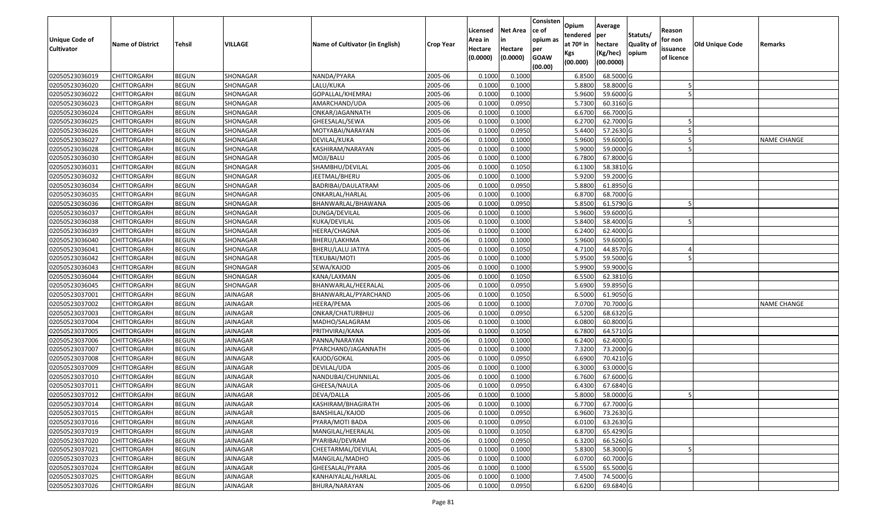| Unique Code of    | <b>Name of District</b> | <b>Tehsil</b> | VILLAGE         | Name of Cultivator (in English) |                  | Licensed<br>Area in | <b>Net Area</b><br>in | Consisten<br>ce of<br>opium as | Opium<br>tendered<br>at $70°$ in | Average<br>per<br>hectare | Statuts/<br><b>Quality o</b> | Reason<br>for non      | <b>Old Unique Code</b> | Remarks            |
|-------------------|-------------------------|---------------|-----------------|---------------------------------|------------------|---------------------|-----------------------|--------------------------------|----------------------------------|---------------------------|------------------------------|------------------------|------------------------|--------------------|
| <b>Cultivator</b> |                         |               |                 |                                 | <b>Crop Year</b> | Hectare<br>(0.0000) | Hectare<br>(0.0000)   | per<br><b>GOAW</b><br>(00.00)  | Kgs<br>(00.000)                  | (Kg/hec)<br>(00.0000)     | opium                        | issuance<br>of licence |                        |                    |
| 02050523036019    | CHITTORGARH             | <b>BEGUN</b>  | SHONAGAR        | NANDA/PYARA                     | 2005-06          | 0.1000              | 0.1000                |                                | 6.8500                           | 68.5000 G                 |                              |                        |                        |                    |
| 02050523036020    | CHITTORGARH             | <b>BEGUN</b>  | SHONAGAR        | LALU/KUKA                       | 2005-06          | 0.1000              | 0.1000                |                                | 5.8800                           | 58.8000 G                 |                              |                        |                        |                    |
| 02050523036022    | CHITTORGARH             | <b>BEGUN</b>  | SHONAGAR        | GOPALLAL/KHEMRAJ                | 2005-06          | 0.1000              | 0.1000                |                                | 5.9600                           | 59.6000 G                 |                              |                        |                        |                    |
| 02050523036023    | <b>CHITTORGARH</b>      | <b>BEGUN</b>  | SHONAGAR        | AMARCHAND/UDA                   | 2005-06          | 0.1000              | 0.0950                |                                | 5.7300                           | 60.3160G                  |                              |                        |                        |                    |
| 02050523036024    | CHITTORGARH             | <b>BEGUN</b>  | SHONAGAR        | ONKAR/JAGANNATH                 | 2005-06          | 0.1000              | 0.1000                |                                | 6.6700                           | 66.7000G                  |                              |                        |                        |                    |
| 02050523036025    | CHITTORGARH             | <b>BEGUN</b>  | SHONAGAR        | GHEESALAL/SEWA                  | 2005-06          | 0.1000              | 0.1000                |                                | 6.2700                           | 62.7000G                  |                              |                        |                        |                    |
| 02050523036026    | CHITTORGARH             | <b>BEGUN</b>  | SHONAGAR        | MOTYABAI/NARAYAN                | 2005-06          | 0.1000              | 0.0950                |                                | 5.4400                           | 57.2630 G                 |                              |                        |                        |                    |
| 02050523036027    | CHITTORGARH             | <b>BEGUN</b>  | SHONAGAR        | DEVILAL/KUKA                    | 2005-06          | 0.1000              | 0.1000                |                                | 5.9600                           | 59.6000G                  |                              |                        |                        | <b>NAME CHANGE</b> |
| 02050523036028    | CHITTORGARH             | <b>BEGUN</b>  | SHONAGAR        | KASHIRAM/NARAYAN                | 2005-06          | 0.1000              | 0.1000                |                                | 5.9000                           | 59.0000G                  |                              |                        |                        |                    |
| 02050523036030    | CHITTORGARH             | <b>BEGUN</b>  | SHONAGAR        | MOJI/BALU                       | 2005-06          | 0.1000              | 0.1000                |                                | 6.7800                           | 67.8000 G                 |                              |                        |                        |                    |
| 02050523036031    | CHITTORGARH             | <b>BEGUN</b>  | SHONAGAR        | SHAMBHU/DEVILAL                 | 2005-06          | 0.1000              | 0.1050                |                                | 6.1300                           | 58.3810 G                 |                              |                        |                        |                    |
| 02050523036032    | CHITTORGARH             | <b>BEGUN</b>  | SHONAGAR        | JEETMAL/BHERU                   | 2005-06          | 0.1000              | 0.1000                |                                | 5.9200                           | 59.2000 G                 |                              |                        |                        |                    |
| 02050523036034    | <b>CHITTORGARH</b>      | <b>BEGUN</b>  | SHONAGAR        | BADRIBAI/DAULATRAM              | 2005-06          | 0.1000              | 0.0950                |                                | 5.8800                           | 61.8950 G                 |                              |                        |                        |                    |
| 02050523036035    | CHITTORGARH             | <b>BEGUN</b>  | SHONAGAR        | ONKARLAL/HARLAL                 | 2005-06          | 0.1000              | 0.1000                |                                | 6.8700                           | 68.7000 G                 |                              |                        |                        |                    |
| 02050523036036    | CHITTORGARH             | <b>BEGUN</b>  | SHONAGAR        | BHANWARLAL/BHAWANA              | 2005-06          | 0.1000              | 0.0950                |                                | 5.8500                           | 61.5790 G                 |                              |                        |                        |                    |
| 02050523036037    | CHITTORGARH             | <b>BEGUN</b>  | SHONAGAR        | DUNGA/DEVILAL                   | 2005-06          | 0.1000              | 0.1000                |                                | 5.9600                           | 59.6000 G                 |                              |                        |                        |                    |
| 02050523036038    | CHITTORGARH             | <b>BEGUN</b>  | SHONAGAR        | KUKA/DEVILAL                    | 2005-06          | 0.1000              | 0.1000                |                                | 5.8400                           | 58.4000G                  |                              |                        |                        |                    |
| 02050523036039    | CHITTORGARH             | <b>BEGUN</b>  | SHONAGAR        | HEERA/CHAGNA                    | 2005-06          | 0.1000              | 0.1000                |                                | 6.2400                           | 62.4000 G                 |                              |                        |                        |                    |
| 02050523036040    | CHITTORGARH             | <b>BEGUN</b>  | SHONAGAR        | BHERU/LAKHMA                    | 2005-06          | 0.1000              | 0.1000                |                                | 5.9600                           | 59.6000G                  |                              |                        |                        |                    |
| 02050523036041    | CHITTORGARH             | <b>BEGUN</b>  | SHONAGAR        | BHERU/LALU JATIYA               | 2005-06          | 0.1000              | 0.1050                |                                | 4.7100                           | 44.8570 G                 |                              |                        |                        |                    |
| 02050523036042    | CHITTORGARH             | <b>BEGUN</b>  | SHONAGAR        | <b>TEKUBAI/MOTI</b>             | 2005-06          | 0.1000              | 0.1000                |                                | 5.9500                           | 59.5000 G                 |                              |                        |                        |                    |
| 02050523036043    | CHITTORGARH             | <b>BEGUN</b>  | SHONAGAR        | SEWA/KAJOD                      | 2005-06          | 0.1000              | 0.1000                |                                | 5.9900                           | 59.9000G                  |                              |                        |                        |                    |
| 02050523036044    | CHITTORGARH             | <b>BEGUN</b>  | SHONAGAR        | KANA/LAXMAN                     | 2005-06          | 0.1000              | 0.1050                |                                | 6.5500                           | 62.3810 G                 |                              |                        |                        |                    |
| 02050523036045    | CHITTORGARH             | <b>BEGUN</b>  | SHONAGAR        | BHANWARLAL/HEERALAL             | 2005-06          | 0.1000              | 0.0950                |                                | 5.6900                           | 59.8950 G                 |                              |                        |                        |                    |
| 02050523037001    | <b>CHITTORGARH</b>      | <b>BEGUN</b>  | <b>JAINAGAR</b> | BHANWARLAL/PYARCHAND            | 2005-06          | 0.1000              | 0.1050                |                                | 6.5000                           | 61.9050 G                 |                              |                        |                        |                    |
| 02050523037002    | CHITTORGARH             | <b>BEGUN</b>  | JAINAGAR        | HEERA/PEMA                      | 2005-06          | 0.1000              | 0.1000                |                                | 7.0700                           | 70.7000G                  |                              |                        |                        | <b>NAME CHANGE</b> |
| 02050523037003    | CHITTORGARH             | <b>BEGUN</b>  | <b>JAINAGAR</b> | ONKAR/CHATURBHUJ                | 2005-06          | 0.1000              | 0.0950                |                                | 6.5200                           | 68.6320 G                 |                              |                        |                        |                    |
| 02050523037004    | CHITTORGARH             | <b>BEGUN</b>  | JAINAGAR        | MADHO/SALAGRAM                  | 2005-06          | 0.1000              | 0.1000                |                                | 6.0800                           | 60.8000 G                 |                              |                        |                        |                    |
| 02050523037005    | CHITTORGARH             | <b>BEGUN</b>  | <b>JAINAGAR</b> | PRITHVIRAJ/KANA                 | 2005-06          | 0.1000              | 0.1050                |                                | 6.7800                           | 64.5710 G                 |                              |                        |                        |                    |
| 02050523037006    | CHITTORGARH             | <b>BEGUN</b>  | JAINAGAR        | PANNA/NARAYAN                   | 2005-06          | 0.1000              | 0.1000                |                                | 6.2400                           | 62.4000 G                 |                              |                        |                        |                    |
| 02050523037007    | CHITTORGARH             | <b>BEGUN</b>  | JAINAGAR        | PYARCHAND/JAGANNATH             | 2005-06          | 0.1000              | 0.1000                |                                | 7.3200                           | 73.2000 G                 |                              |                        |                        |                    |
| 02050523037008    | CHITTORGARH             | <b>BEGUN</b>  | JAINAGAR        | KAJOD/GOKAL                     | 2005-06          | 0.1000              | 0.0950                |                                | 6.6900                           | 70.4210G                  |                              |                        |                        |                    |
| 02050523037009    | CHITTORGARH             | <b>BEGUN</b>  | JAINAGAR        | DEVILAL/UDA                     | 2005-06          | 0.1000              | 0.1000                |                                | 6.3000                           | 63.0000G                  |                              |                        |                        |                    |
| 02050523037010    | CHITTORGARH             | <b>BEGUN</b>  | <b>JAINAGAR</b> | NANDUBAI/CHUNNILAL              | 2005-06          | 0.1000              | 0.1000                |                                | 6.7600                           | 67.6000 G                 |                              |                        |                        |                    |
| 02050523037011    | CHITTORGARH             | <b>BEGUN</b>  | JAINAGAR        | GHEESA/NAULA                    | 2005-06          | 0.1000              | 0.0950                |                                | 6.4300                           | 67.6840 G                 |                              |                        |                        |                    |
| 02050523037012    | CHITTORGARH             | <b>BEGUN</b>  | JAINAGAR        | DEVA/DALLA                      | 2005-06          | 0.1000              | 0.1000                |                                | 5.8000                           | 58.0000G                  |                              |                        |                        |                    |
| 02050523037014    | <b>CHITTORGARH</b>      | <b>BEGUN</b>  | <b>JAINAGAR</b> | KASHIRAM/BHAGIRATH              | 2005-06          | 0.1000              | 0.1000                |                                | 6.7700                           | 67.7000G                  |                              |                        |                        |                    |
| 02050523037015    | <b>CHITTORGARH</b>      | <b>BEGUN</b>  | JAINAGAR        | BANSHILAL/KAJOD                 | 2005-06          | 0.1000              | 0.0950                |                                | 6.9600                           | 73.2630 G                 |                              |                        |                        |                    |
| 02050523037016    | <b>CHITTORGARH</b>      | <b>BEGUN</b>  | JAINAGAR        | PYARA/MOTI BADA                 | 2005-06          | 0.1000              | 0.0950                |                                | 6.0100                           | 63.2630 G                 |                              |                        |                        |                    |
| 02050523037019    | <b>CHITTORGARH</b>      | <b>BEGUN</b>  | JAINAGAR        | MANGILAL/HEERALAL               | 2005-06          | 0.1000              | 0.1050                |                                | 6.8700                           | 65.4290 G                 |                              |                        |                        |                    |
| 02050523037020    | <b>CHITTORGARH</b>      | <b>BEGUN</b>  | JAINAGAR        | PYARIBAI/DEVRAM                 | 2005-06          | 0.1000              | 0.0950                |                                | 6.3200                           | 66.5260 G                 |                              |                        |                        |                    |
| 02050523037021    | <b>CHITTORGARH</b>      | <b>BEGUN</b>  | JAINAGAR        | CHEETARMAL/DEVILAL              | 2005-06          | 0.1000              | 0.1000                |                                | 5.8300                           | 58.3000 G                 |                              |                        |                        |                    |
| 02050523037023    | <b>CHITTORGARH</b>      | <b>BEGUN</b>  | JAINAGAR        | MANGILAL/MADHO                  | 2005-06          | 0.1000              | 0.1000                |                                | 6.0700                           | 60.7000 G                 |                              |                        |                        |                    |
| 02050523037024    | CHITTORGARH             | <b>BEGUN</b>  | JAINAGAR        | GHEESALAL/PYARA                 | 2005-06          | 0.1000              | 0.1000                |                                | 6.5500                           | 65.5000 G                 |                              |                        |                        |                    |
| 02050523037025    | CHITTORGARH             | <b>BEGUN</b>  | JAINAGAR        | KANHAIYALAL/HARLAL              | 2005-06          | 0.1000              | 0.1000                |                                | 7.4500                           | 74.5000 G                 |                              |                        |                        |                    |
| 02050523037026    | <b>CHITTORGARH</b>      | <b>BEGUN</b>  | JAINAGAR        | BHURA/NARAYAN                   | 2005-06          | 0.1000              | 0.0950                |                                | 6.6200                           | 69.6840 G                 |                              |                        |                        |                    |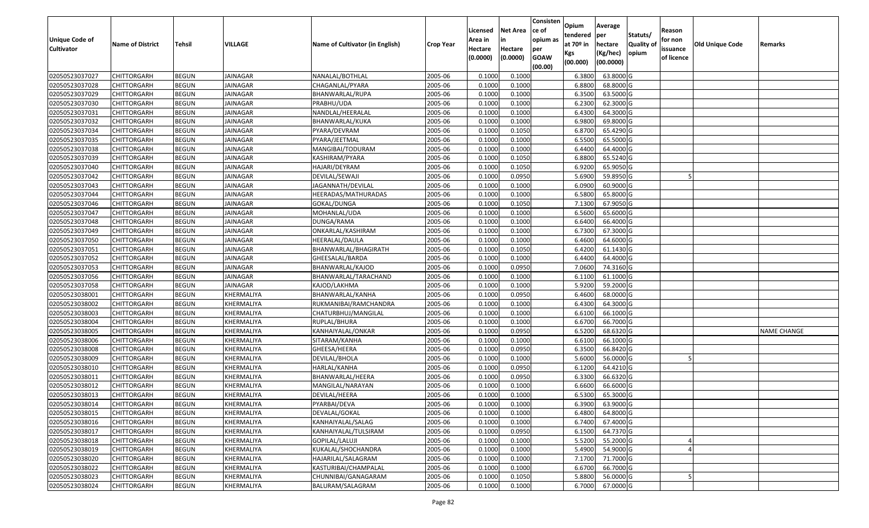| Unique Code of    | <b>Name of District</b> | <b>Tehsil</b> | <b>VILLAGE</b>  | Name of Cultivator (in English) | <b>Crop Year</b> | Licensed<br>Area in | <b>Net Area</b><br>in | Consisten<br>ce of<br>opium as | Opium<br>tendered<br>at $70°$ in | Average<br>per<br>hectare | Statuts/<br><b>Quality o</b> | Reason<br>for non      | Old Unique Code | Remarks            |
|-------------------|-------------------------|---------------|-----------------|---------------------------------|------------------|---------------------|-----------------------|--------------------------------|----------------------------------|---------------------------|------------------------------|------------------------|-----------------|--------------------|
| <b>Cultivator</b> |                         |               |                 |                                 |                  | Hectare<br>(0.0000) | Hectare<br>(0.0000)   | per<br><b>GOAW</b><br>(00.00)  | Kgs<br>(00.000)                  | (Kg/hec)<br>(00.0000)     | opium                        | issuance<br>of licence |                 |                    |
| 02050523037027    | CHITTORGARH             | <b>BEGUN</b>  | <b>JAINAGAR</b> | NANALAL/BOTHLAL                 | 2005-06          | 0.1000              | 0.1000                |                                | 6.3800                           | 63.8000 G                 |                              |                        |                 |                    |
| 02050523037028    | CHITTORGARH             | <b>BEGUN</b>  | JAINAGAR        | CHAGANLAL/PYARA                 | 2005-06          | 0.1000              | 0.1000                |                                | 6.8800                           | 68.8000 G                 |                              |                        |                 |                    |
| 02050523037029    | CHITTORGARH             | <b>BEGUN</b>  | JAINAGAR        | BHANWARLAL/RUPA                 | 2005-06          | 0.1000              | 0.1000                |                                | 6.3500                           | 63.5000G                  |                              |                        |                 |                    |
| 02050523037030    | <b>CHITTORGARH</b>      | <b>BEGUN</b>  | <b>JAINAGAR</b> | PRABHU/UDA                      | 2005-06          | 0.1000              | 0.1000                |                                | 6.2300                           | 62.3000G                  |                              |                        |                 |                    |
| 02050523037031    | CHITTORGARH             | <b>BEGUN</b>  | <b>JAINAGAR</b> | NANDLAL/HEERALAL                | 2005-06          | 0.1000              | 0.1000                |                                | 6.4300                           | 64.3000 G                 |                              |                        |                 |                    |
| 02050523037032    | CHITTORGARH             | <b>BEGUN</b>  | <b>JAINAGAR</b> | BHANWARLAL/KUKA                 | 2005-06          | 0.1000              | 0.1000                |                                | 6.9800                           | 69.8000 G                 |                              |                        |                 |                    |
| 02050523037034    | CHITTORGARH             | <b>BEGUN</b>  | JAINAGAR        | PYARA/DEVRAM                    | 2005-06          | 0.1000              | 0.1050                |                                | 6.8700                           | 65.4290 G                 |                              |                        |                 |                    |
| 02050523037035    | <b>CHITTORGARH</b>      | <b>BEGUN</b>  | JAINAGAR        | PYARA/JEETMAL                   | 2005-06          | 0.1000              | 0.1000                |                                | 6.5500                           | 65.5000G                  |                              |                        |                 |                    |
| 02050523037038    | CHITTORGARH             | <b>BEGUN</b>  | <b>JAINAGAR</b> | MANGIBAI/TODURAM                | 2005-06          | 0.1000              | 0.1000                |                                | 6.4400                           | 64.4000 G                 |                              |                        |                 |                    |
| 02050523037039    | CHITTORGARH             | <b>BEGUN</b>  | <b>JAINAGAR</b> | KASHIRAM/PYARA                  | 2005-06          | 0.1000              | 0.1050                |                                | 6.8800                           | 65.5240 G                 |                              |                        |                 |                    |
| 02050523037040    | CHITTORGARH             | <b>BEGUN</b>  | <b>JAINAGAR</b> | HAJARI/DEYRAM                   | 2005-06          | 0.1000              | 0.1050                |                                | 6.9200                           | 65.9050 G                 |                              |                        |                 |                    |
| 02050523037042    | <b>CHITTORGARH</b>      | <b>BEGUN</b>  | <b>JAINAGAR</b> | DEVILAL/SEWAJI                  | 2005-06          | 0.1000              | 0.0950                |                                | 5.6900                           | 59.8950 G                 |                              |                        |                 |                    |
| 02050523037043    | <b>CHITTORGARH</b>      | <b>BEGUN</b>  | <b>JAINAGAR</b> | JAGANNATH/DEVILAL               | 2005-06          | 0.1000              | 0.1000                |                                | 6.0900                           | 60.9000 G                 |                              |                        |                 |                    |
| 02050523037044    | CHITTORGARH             | <b>BEGUN</b>  | JAINAGAR        | HEERADAS/MATHURADAS             | 2005-06          | 0.1000              | 0.1000                |                                | 6.5800                           | 65.8000G                  |                              |                        |                 |                    |
| 02050523037046    | CHITTORGARH             | <b>BEGUN</b>  | JAINAGAR        | GOKAL/DUNGA                     | 2005-06          | 0.1000              | 0.1050                |                                | 7.1300                           | 67.9050 G                 |                              |                        |                 |                    |
| 02050523037047    | CHITTORGARH             | <b>BEGUN</b>  | <b>JAINAGAR</b> | MOHANLAL/UDA                    | 2005-06          | 0.1000              | 0.1000                |                                | 6.5600                           | 65.6000G                  |                              |                        |                 |                    |
| 02050523037048    | CHITTORGARH             | <b>BEGUN</b>  | <b>JAINAGAR</b> | DUNGA/RAMA                      | 2005-06          | 0.1000              | 0.1000                |                                | 6.6400                           | 66.4000G                  |                              |                        |                 |                    |
| 02050523037049    | CHITTORGARH             | <b>BEGUN</b>  | JAINAGAR        | ONKARLAL/KASHIRAM               | 2005-06          | 0.1000              | 0.1000                |                                | 6.7300                           | 67.3000 G                 |                              |                        |                 |                    |
| 02050523037050    | CHITTORGARH             | <b>BEGUN</b>  | JAINAGAR        | HEERALAL/DAULA                  | 2005-06          | 0.1000              | 0.1000                |                                | 6.4600                           | 64.6000 G                 |                              |                        |                 |                    |
| 02050523037051    | CHITTORGARH             | <b>BEGUN</b>  | <b>JAINAGAR</b> | BHANWARLAL/BHAGIRATH            | 2005-06          | 0.1000              | 0.1050                |                                | 6.4200                           | 61.1430 G                 |                              |                        |                 |                    |
| 02050523037052    | CHITTORGARH             | <b>BEGUN</b>  | <b>JAINAGAR</b> | GHEESALAL/BARDA                 | 2005-06          | 0.1000              | 0.1000                |                                | 6.4400                           | 64.4000G                  |                              |                        |                 |                    |
| 02050523037053    | CHITTORGARH             | <b>BEGUN</b>  | <b>JAINAGAR</b> | BHANWARLAL/KAJOD                | 2005-06          | 0.1000              | 0.0950                |                                | 7.0600                           | 74.3160 G                 |                              |                        |                 |                    |
| 02050523037056    | CHITTORGARH             | <b>BEGUN</b>  | JAINAGAR        | BHANWARLAL/TARACHAND            | 2005-06          | 0.1000              | 0.1000                |                                | 6.1100                           | 61.1000G                  |                              |                        |                 |                    |
| 02050523037058    | CHITTORGARH             | <b>BEGUN</b>  | <b>JAINAGAR</b> | KAJOD/LAKHMA                    | 2005-06          | 0.1000              | 0.1000                |                                | 5.9200                           | 59.2000 G                 |                              |                        |                 |                    |
| 02050523038001    | <b>CHITTORGARH</b>      | <b>BEGUN</b>  | KHERMALIYA      | BHANWARLAL/KANHA                | 2005-06          | 0.1000              | 0.0950                |                                | 6.4600                           | 68.0000 G                 |                              |                        |                 |                    |
| 02050523038002    | CHITTORGARH             | <b>BEGUN</b>  | KHERMALIYA      | RUKMANIBAI/RAMCHANDRA           | 2005-06          | 0.1000              | 0.1000                |                                | 6.4300                           | 64.3000 G                 |                              |                        |                 |                    |
| 02050523038003    | CHITTORGARH             | <b>BEGUN</b>  | KHERMALIYA      | CHATURBHUJ/MANGILAL             | 2005-06          | 0.1000              | 0.1000                |                                | 6.6100                           | 66.1000G                  |                              |                        |                 |                    |
| 02050523038004    | CHITTORGARH             | <b>BEGUN</b>  | KHERMALIYA      | RUPLAL/BHURA                    | 2005-06          | 0.1000              | 0.1000                |                                | 6.6700                           | 66.7000 G                 |                              |                        |                 |                    |
| 02050523038005    | CHITTORGARH             | <b>BEGUN</b>  | KHERMALIYA      | KANHAIYALAL/ONKAR               | 2005-06          | 0.1000              | 0.0950                |                                | 6.5200                           | 68.6320 G                 |                              |                        |                 | <b>NAME CHANGE</b> |
| 02050523038006    | CHITTORGARH             | <b>BEGUN</b>  | KHERMALIYA      | SITARAM/KANHA                   | 2005-06          | 0.1000              | 0.1000                |                                | 6.6100                           | 66.1000G                  |                              |                        |                 |                    |
| 02050523038008    | CHITTORGARH             | <b>BEGUN</b>  | KHERMALIYA      | GHEESA/HEERA                    | 2005-06          | 0.1000              | 0.0950                |                                | 6.3500                           | 66.8420 G                 |                              |                        |                 |                    |
| 02050523038009    | CHITTORGARH             | <b>BEGUN</b>  | KHERMALIYA      | DEVILAL/BHOLA                   | 2005-06          | 0.1000              | 0.1000                |                                | 5.6000                           | 56.0000G                  |                              |                        |                 |                    |
| 02050523038010    | CHITTORGARH             | <b>BEGUN</b>  | KHERMALIYA      | HARLAL/KANHA                    | 2005-06          | 0.1000              | 0.0950                |                                | 6.1200                           | 64.4210G                  |                              |                        |                 |                    |
| 02050523038011    | CHITTORGARH             | <b>BEGUN</b>  | KHERMALIYA      | BHANWARLAL/HEERA                | 2005-06          | 0.1000              | 0.0950                |                                | 6.3300                           | 66.6320 G                 |                              |                        |                 |                    |
| 02050523038012    | CHITTORGARH             | <b>BEGUN</b>  | KHERMALIYA      | MANGILAL/NARAYAN                | 2005-06          | 0.1000              | 0.1000                |                                | 6.6600                           | 66.6000 G                 |                              |                        |                 |                    |
| 02050523038013    | CHITTORGARH             | <b>BEGUN</b>  | KHERMALIYA      | DEVILAL/HEERA                   | 2005-06          | 0.1000              | 0.1000                |                                | 6.5300                           | 65.3000 G                 |                              |                        |                 |                    |
| 02050523038014    | <b>CHITTORGARH</b>      | <b>BEGUN</b>  | KHERMALIYA      | PYARBAI/DEVA                    | 2005-06          | 0.1000              | 0.1000                |                                | 6.3900                           | 63.9000G                  |                              |                        |                 |                    |
| 02050523038015    | <b>CHITTORGARH</b>      | <b>BEGUN</b>  | KHERMALIYA      | DEVALAL/GOKAL                   | 2005-06          | 0.1000              | 0.1000                |                                | 6.4800                           | 64.8000 G                 |                              |                        |                 |                    |
| 02050523038016    | <b>CHITTORGARH</b>      | <b>BEGUN</b>  | KHERMALIYA      | KANHAIYALAL/SALAG               | 2005-06          | 0.1000              | 0.1000                |                                | 6.7400                           | 67.4000 G                 |                              |                        |                 |                    |
| 02050523038017    | <b>CHITTORGARH</b>      | <b>BEGUN</b>  | KHERMALIYA      | KANHAIYALAL/TULSIRAM            | 2005-06          | 0.1000              | 0.0950                |                                | 6.1500                           | 64.7370 G                 |                              |                        |                 |                    |
| 02050523038018    | <b>CHITTORGARH</b>      | <b>BEGUN</b>  | KHERMALIYA      | GOPILAL/LALUJI                  | 2005-06          | 0.1000              | 0.1000                |                                | 5.5200                           | 55.2000 G                 |                              |                        |                 |                    |
| 02050523038019    | <b>CHITTORGARH</b>      | <b>BEGUN</b>  | KHERMALIYA      | KUKALAL/SHOCHANDRA              | 2005-06          | 0.1000              | 0.1000                |                                | 5.4900                           | 54.9000 G                 |                              |                        |                 |                    |
| 02050523038020    | <b>CHITTORGARH</b>      | <b>BEGUN</b>  | KHERMALIYA      | HAJARILAL/SALAGRAM              | 2005-06          | 0.1000              | 0.1000                |                                | 7.1700                           | 71.7000 G                 |                              |                        |                 |                    |
| 02050523038022    | CHITTORGARH             | <b>BEGUN</b>  | KHERMALIYA      | KASTURIBAI/CHAMPALAL            | 2005-06          | 0.1000              | 0.1000                |                                | 6.6700                           | 66.7000 G                 |                              |                        |                 |                    |
| 02050523038023    | CHITTORGARH             | <b>BEGUN</b>  | KHERMALIYA      | CHUNNIBAI/GANAGARAM             | 2005-06          | 0.1000              | 0.1050                |                                | 5.8800                           | 56.0000 G                 |                              |                        |                 |                    |
| 02050523038024    | <b>CHITTORGARH</b>      | <b>BEGUN</b>  | KHERMALIYA      | BALURAM/SALAGRAM                | 2005-06          | 0.1000              | 0.1000                |                                | 6.7000                           | 67.0000 G                 |                              |                        |                 |                    |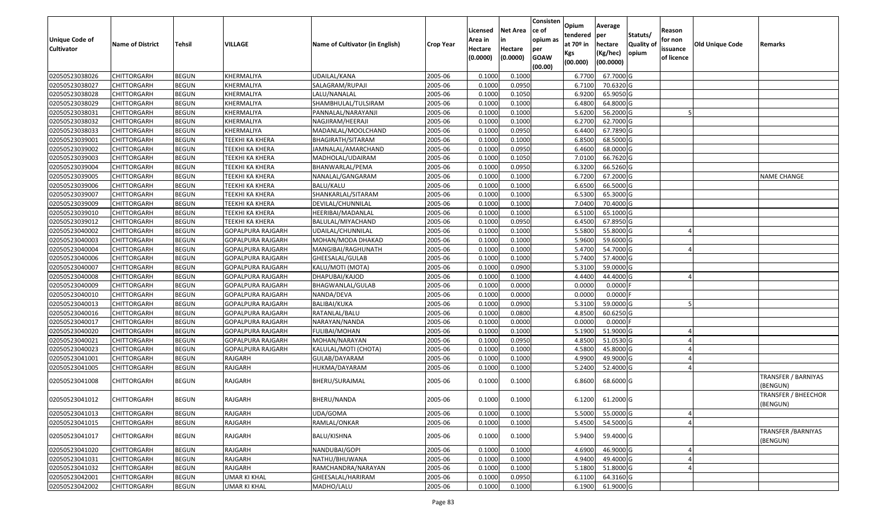| Unique Code of<br><b>Cultivator</b> | <b>Name of District</b> | <b>Tehsil</b> | VILLAGE                  | Name of Cultivator (in English) | <b>Crop Year</b> | Licensed<br>Area in<br>Hectare<br>(0.0000) | <b>Net Area</b><br>in<br>Hectare<br>(0.0000) | Consisten<br>ce of<br>opium as<br>per<br><b>GOAW</b><br>(00.00) | Opium<br>tendered<br>at $70°$ in<br>Kgs<br>(00.000) | Average<br>per<br>hectare<br>(Kg/hec)<br>(00.0000) | Statuts/<br><b>Quality o</b><br>opium | Reason<br>for non<br>issuance<br>of licence | Old Unique Code | Remarks                                |
|-------------------------------------|-------------------------|---------------|--------------------------|---------------------------------|------------------|--------------------------------------------|----------------------------------------------|-----------------------------------------------------------------|-----------------------------------------------------|----------------------------------------------------|---------------------------------------|---------------------------------------------|-----------------|----------------------------------------|
| 02050523038026                      | CHITTORGARH             | <b>BEGUN</b>  | KHERMALIYA               | UDAILAL/KANA                    | 2005-06          | 0.1000                                     | 0.1000                                       |                                                                 | 6.7700                                              | 67.7000 G                                          |                                       |                                             |                 |                                        |
| 02050523038027                      | CHITTORGARH             | <b>BEGUN</b>  | KHERMALIYA               | SALAGRAM/RUPAJI                 | 2005-06          | 0.1000                                     | 0.0950                                       |                                                                 | 6.7100                                              | 70.6320 G                                          |                                       |                                             |                 |                                        |
| 02050523038028                      | CHITTORGARH             | <b>BEGUN</b>  | KHERMALIYA               | LALU/NANALAL                    | 2005-06          | 0.1000                                     | 0.1050                                       |                                                                 | 6.9200                                              | 65.9050 G                                          |                                       |                                             |                 |                                        |
| 02050523038029                      | <b>CHITTORGARH</b>      | <b>BEGUN</b>  | KHERMALIYA               | SHAMBHULAL/TULSIRAM             | 2005-06          | 0.1000                                     | 0.1000                                       |                                                                 | 6.4800                                              | 64.8000 G                                          |                                       |                                             |                 |                                        |
| 02050523038031                      | CHITTORGARH             | <b>BEGUN</b>  | KHERMALIYA               | PANNALAL/NARAYANJI              | 2005-06          | 0.1000                                     | 0.1000                                       |                                                                 | 5.6200                                              | 56.2000 G                                          |                                       |                                             |                 |                                        |
| 02050523038032                      | CHITTORGARH             | <b>BEGUN</b>  | KHERMALIYA               | NAGJIRAM/HEERAJI                | 2005-06          | 0.1000                                     | 0.1000                                       |                                                                 | 6.2700                                              | 62.7000 G                                          |                                       |                                             |                 |                                        |
| 02050523038033                      | CHITTORGARH             | <b>BEGUN</b>  | KHERMALIYA               | MADANLAL/MOOLCHAND              | 2005-06          | 0.1000                                     | 0.0950                                       |                                                                 | 6.4400                                              | 67.7890 G                                          |                                       |                                             |                 |                                        |
| 02050523039001                      | CHITTORGARH             | <b>BEGUN</b>  | <b>TEEKHI KA KHERA</b>   | BHAGIRATH/SITARAM               | 2005-06          | 0.1000                                     | 0.1000                                       |                                                                 | 6.8500                                              | 68.5000 G                                          |                                       |                                             |                 |                                        |
| 02050523039002                      | CHITTORGARH             | <b>BEGUN</b>  | <b>TEEKHI KA KHERA</b>   | JAMNALAL/AMARCHAND              | 2005-06          | 0.1000                                     | 0.0950                                       |                                                                 | 6.4600                                              | 68.0000G                                           |                                       |                                             |                 |                                        |
| 02050523039003                      | CHITTORGARH             | <b>BEGUN</b>  | TEEKHI KA KHERA          | MADHOLAL/UDAIRAM                | 2005-06          | 0.1000                                     | 0.1050                                       |                                                                 | 7.0100                                              | 66.7620 G                                          |                                       |                                             |                 |                                        |
| 02050523039004                      | CHITTORGARH             | <b>BEGUN</b>  | TEEKHI KA KHERA          | BHANWARLAL/PEMA                 | 2005-06          | 0.1000                                     | 0.0950                                       |                                                                 | 6.3200                                              | 66.5260 G                                          |                                       |                                             |                 |                                        |
| 02050523039005                      | CHITTORGARH             | <b>BEGUN</b>  | <b>TEEKHI KA KHERA</b>   | NANALAL/GANGARAM                | 2005-06          | 0.1000                                     | 0.1000                                       |                                                                 | 6.7200                                              | 67.2000 G                                          |                                       |                                             |                 | <b>NAME CHANGE</b>                     |
| 02050523039006                      | <b>CHITTORGARH</b>      | <b>BEGUN</b>  | <b>TEEKHI KA KHERA</b>   | BALU/KALU                       | 2005-06          | 0.1000                                     | 0.1000                                       |                                                                 | 6.6500                                              | 66.5000 G                                          |                                       |                                             |                 |                                        |
| 02050523039007                      | CHITTORGARH             | <b>BEGUN</b>  | TEEKHI KA KHERA          | SHANKARLAL/SITARAM              | 2005-06          | 0.1000                                     | 0.1000                                       |                                                                 | 6.5300                                              | 65.3000G                                           |                                       |                                             |                 |                                        |
| 02050523039009                      | CHITTORGARH             | <b>BEGUN</b>  | TEEKHI KA KHERA          | DEVILAL/CHUNNILAL               | 2005-06          | 0.1000                                     | 0.1000                                       |                                                                 | 7.0400                                              | 70.4000 G                                          |                                       |                                             |                 |                                        |
| 02050523039010                      | CHITTORGARH             | <b>BEGUN</b>  | TEEKHI KA KHERA          | HEERIBAI/MADANLAL               | 2005-06          | 0.1000                                     | 0.1000                                       |                                                                 | 6.5100                                              | 65.1000G                                           |                                       |                                             |                 |                                        |
| 02050523039012                      | CHITTORGARH             | <b>BEGUN</b>  | TEEKHI KA KHERA          | BALULAL/MIYACHAND               | 2005-06          | 0.1000                                     | 0.0950                                       |                                                                 | 6.4500                                              | 67.8950 G                                          |                                       |                                             |                 |                                        |
| 02050523040002                      | CHITTORGARH             | <b>BEGUN</b>  | GOPALPURA RAJGARH        | UDAILAL/CHUNNILAL               | 2005-06          | 0.1000                                     | 0.1000                                       |                                                                 | 5.5800                                              | 55.8000 G                                          |                                       |                                             |                 |                                        |
| 02050523040003                      | CHITTORGARH             | <b>BEGUN</b>  | GOPALPURA RAJGARH        | MOHAN/MODA DHAKAD               | 2005-06          | 0.1000                                     | 0.1000                                       |                                                                 | 5.9600                                              | 59.6000G                                           |                                       |                                             |                 |                                        |
| 02050523040004                      | CHITTORGARH             | <b>BEGUN</b>  | GOPALPURA RAJGARH        | MANGIBAI/RAGHUNATH              | 2005-06          | 0.1000                                     | 0.1000                                       |                                                                 | 5.4700                                              | 54.7000 G                                          |                                       |                                             |                 |                                        |
| 02050523040006                      | CHITTORGARH             | <b>BEGUN</b>  | GOPALPURA RAJGARH        | GHEESALAL/GULAB                 | 2005-06          | 0.1000                                     | 0.1000                                       |                                                                 | 5.7400                                              | 57.4000 G                                          |                                       |                                             |                 |                                        |
| 02050523040007                      | CHITTORGARH             | <b>BEGUN</b>  | GOPALPURA RAJGARH        | KALU/MOTI (MOTA)                | 2005-06          | 0.1000                                     | 0.0900                                       |                                                                 | 5.3100                                              | 59.0000G                                           |                                       |                                             |                 |                                        |
| 02050523040008                      | CHITTORGARH             | <b>BEGUN</b>  | GOPALPURA RAJGARH        | DHAPUBAI/KAJOD                  | 2005-06          | 0.1000                                     | 0.1000                                       |                                                                 | 4.4400                                              | 44.4000 G                                          |                                       |                                             |                 |                                        |
| 02050523040009                      | CHITTORGARH             | <b>BEGUN</b>  | GOPALPURA RAJGARH        | BHAGWANLAL/GULAB                | 2005-06          | 0.1000                                     | 0.0000                                       |                                                                 | 0.0000                                              | 0.0000                                             |                                       |                                             |                 |                                        |
| 02050523040010                      | <b>CHITTORGARH</b>      | <b>BEGUN</b>  | <b>GOPALPURA RAJGARH</b> | NANDA/DEVA                      | 2005-06          | 0.1000                                     | 0.0000                                       |                                                                 | 0.0000                                              | 0.0000F                                            |                                       |                                             |                 |                                        |
| 02050523040013                      | CHITTORGARH             | <b>BEGUN</b>  | GOPALPURA RAJGARH        | <b>BALIBAI/KUKA</b>             | 2005-06          | 0.1000                                     | 0.0900                                       |                                                                 | 5.3100                                              | 59.0000 G                                          |                                       |                                             |                 |                                        |
| 02050523040016                      | CHITTORGARH             | <b>BEGUN</b>  | GOPALPURA RAJGARH        | RATANLAL/BALU                   | 2005-06          | 0.1000                                     | 0.0800                                       |                                                                 | 4.8500                                              | 60.6250 G                                          |                                       |                                             |                 |                                        |
| 02050523040017                      | CHITTORGARH             | <b>BEGUN</b>  | GOPALPURA RAJGARH        | NARAYAN/NANDA                   | 2005-06          | 0.1000                                     | 0.0000                                       |                                                                 | 0.0000                                              | $0.0000$ F                                         |                                       |                                             |                 |                                        |
| 02050523040020                      | CHITTORGARH             | <b>BEGUN</b>  | GOPALPURA RAJGARH        | FULIBAI/MOHAN                   | 2005-06          | 0.1000                                     | 0.1000                                       |                                                                 | 5.1900                                              | 51.9000 G                                          |                                       |                                             |                 |                                        |
| 02050523040021                      | CHITTORGARH             | <b>BEGUN</b>  | GOPALPURA RAJGARH        | MOHAN/NARAYAN                   | 2005-06          | 0.1000                                     | 0.0950                                       |                                                                 | 4.8500                                              | 51.0530 G                                          |                                       |                                             |                 |                                        |
| 02050523040023                      | CHITTORGARH             | <b>BEGUN</b>  | GOPALPURA RAJGARH        | KALULAL/MOTI (CHOTA)            | 2005-06          | 0.1000                                     | 0.1000                                       |                                                                 | 4.5800                                              | 45.8000G                                           |                                       |                                             |                 |                                        |
| 02050523041001                      | CHITTORGARH             | <b>BEGUN</b>  | RAJGARH                  | GULAB/DAYARAM                   | 2005-06          | 0.1000                                     | 0.1000                                       |                                                                 | 4.9900                                              | 49.9000 G                                          |                                       |                                             |                 |                                        |
| 02050523041005                      | CHITTORGARH             | <b>BEGUN</b>  | RAJGARH                  | HUKMA/DAYARAM                   | 2005-06          | 0.1000                                     | 0.1000                                       |                                                                 | 5.2400                                              | 52.4000G                                           |                                       |                                             |                 |                                        |
| 02050523041008                      | CHITTORGARH             | <b>BEGUN</b>  | RAJGARH                  | BHERU/SURAJMAL                  | 2005-06          | 0.1000                                     | 0.1000                                       |                                                                 | 6.8600                                              | 68.6000 G                                          |                                       |                                             |                 | TRANSFER / BARNIYAS<br>(BENGUN)        |
| 02050523041012                      | CHITTORGARH             | <b>BEGUN</b>  | RAJGARH                  | <b>BHERU/NANDA</b>              | 2005-06          | 0.1000                                     | 0.1000                                       |                                                                 | 6.1200                                              | 61.2000 G                                          |                                       |                                             |                 | <b>TRANSFER / BHEECHOR</b><br>(BENGUN) |
| 02050523041013                      | <b>CHITTORGARH</b>      | <b>BEGUN</b>  | RAJGARH                  | UDA/GOMA                        | 2005-06          | 0.1000                                     | 0.1000                                       |                                                                 | 5.5000                                              | 55.0000G                                           |                                       |                                             |                 |                                        |
| 02050523041015                      | CHITTORGARH             | <b>BEGUN</b>  | RAJGARH                  | RAMLAL/ONKAR                    | 2005-06          | 0.1000                                     | 0.1000                                       |                                                                 | 5.4500                                              | 54.5000 G                                          |                                       |                                             |                 |                                        |
| 02050523041017                      | <b>CHITTORGARH</b>      | <b>BEGUN</b>  | RAJGARH                  | BALU/KISHNA                     | 2005-06          | 0.1000                                     | 0.1000                                       |                                                                 | 5.9400                                              | 59.4000 G                                          |                                       |                                             |                 | <b>TRANSFER / BARNIYAS</b><br>(BENGUN) |
| 02050523041020                      | <b>CHITTORGARH</b>      | <b>BEGUN</b>  | RAJGARH                  | NANDUBAI/GOPI                   | 2005-06          | 0.1000                                     | 0.1000                                       |                                                                 | 4.6900                                              | $46.9000$ G                                        |                                       |                                             |                 |                                        |
| 02050523041031                      | <b>CHITTORGARH</b>      | <b>BEGUN</b>  | RAJGARH                  | NATHU/BHUWANA                   | 2005-06          | 0.1000                                     | 0.1000                                       |                                                                 | 4.9400                                              | 49.4000 G                                          |                                       |                                             |                 |                                        |
| 02050523041032                      | <b>CHITTORGARH</b>      | <b>BEGUN</b>  | RAJGARH                  | RAMCHANDRA/NARAYAN              | 2005-06          | 0.1000                                     | 0.1000                                       |                                                                 | 5.1800                                              | 51.8000 G                                          |                                       |                                             |                 |                                        |
| 02050523042001                      | CHITTORGARH             | <b>BEGUN</b>  | UMAR KI KHAL             | GHEESALAL/HARIRAM               | 2005-06          | 0.1000                                     | 0.0950                                       |                                                                 | 6.1100                                              | 64.3160 G                                          |                                       |                                             |                 |                                        |
| 02050523042002                      | <b>CHITTORGARH</b>      | <b>BEGUN</b>  | <b>UMAR KI KHAL</b>      | MADHO/LALU                      | 2005-06          | 0.1000                                     | 0.1000                                       |                                                                 | 6.1900                                              | $61.9000$ G                                        |                                       |                                             |                 |                                        |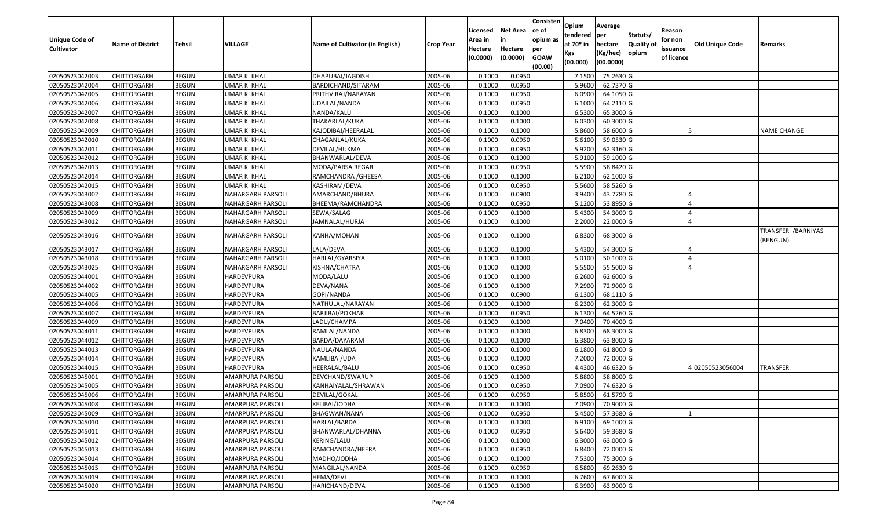| <b>Unique Code of</b><br><b>Cultivator</b> | <b>Name of District</b> | Tehsil       | VILLAGE                  | Name of Cultivator (in English) | <b>Crop Year</b> | Licensed<br>Area in<br>Hectare<br>(0.0000) | <b>Net Area</b><br>in<br>Hectare<br>(0.0000) | Consisten<br>ce of<br>opium as<br>per<br><b>GOAW</b> | Opium<br>tendered<br>at 70º in<br>Kgs<br>(00.000) | Average<br>per<br>hectare<br>(Kg/hec)<br>(00.0000) | Statuts/<br>Quality of<br>opium | Reason<br>for non<br>issuance<br>of licence | Old Unique Code | Remarks                         |
|--------------------------------------------|-------------------------|--------------|--------------------------|---------------------------------|------------------|--------------------------------------------|----------------------------------------------|------------------------------------------------------|---------------------------------------------------|----------------------------------------------------|---------------------------------|---------------------------------------------|-----------------|---------------------------------|
|                                            |                         |              |                          |                                 |                  |                                            |                                              | (00.00)                                              |                                                   |                                                    |                                 |                                             |                 |                                 |
| 02050523042003                             | <b>CHITTORGARH</b>      | <b>BEGUN</b> | UMAR KI KHAL             | DHAPUBAI/JAGDISH                | 2005-06          | 0.1000                                     | 0.0950                                       |                                                      | 7.1500                                            | 75.2630 G                                          |                                 |                                             |                 |                                 |
| 02050523042004                             | <b>CHITTORGARH</b>      | <b>BEGUN</b> | UMAR KI KHAL             | BARDICHAND/SITARAM              | 2005-06          | 0.1000                                     | 0.0950                                       |                                                      | 5.9600                                            | 62.7370 G                                          |                                 |                                             |                 |                                 |
| 02050523042005                             | <b>CHITTORGARH</b>      | <b>BEGUN</b> | UMAR KI KHAL             | PRITHVIRAJ/NARAYAN              | 2005-06          | 0.1000                                     | 0.0950                                       |                                                      | 6.0900                                            | 64.1050 G                                          |                                 |                                             |                 |                                 |
| 02050523042006                             | <b>CHITTORGARH</b>      | <b>BEGUN</b> | <b>UMAR KI KHAL</b>      | UDAILAL/NANDA                   | 2005-06          | 0.1000                                     | 0.0950                                       |                                                      | 6.1000                                            | 64.2110 G                                          |                                 |                                             |                 |                                 |
| 02050523042007                             | <b>CHITTORGARH</b>      | <b>BEGUN</b> | UMAR KI KHAL             | NANDA/KALU                      | 2005-06          | 0.1000                                     | 0.1000                                       |                                                      | 6.5300                                            | 65.3000 G                                          |                                 |                                             |                 |                                 |
| 02050523042008                             | <b>CHITTORGARH</b>      | <b>BEGUN</b> | <b>UMAR KI KHAL</b>      | THAKARLAL/KUKA                  | 2005-06          | 0.1000                                     | 0.1000                                       |                                                      | 6.0300                                            | 60.3000 G                                          |                                 |                                             |                 |                                 |
| 02050523042009                             | CHITTORGARH             | <b>BEGUN</b> | UMAR KI KHAL             | KAJODIBAI/HEERALAL              | 2005-06          | 0.1000                                     | 0.1000                                       |                                                      | 5.8600                                            | 58.6000 G                                          |                                 |                                             |                 | <b>NAME CHANGE</b>              |
| 02050523042010                             | <b>CHITTORGARH</b>      | <b>BEGUN</b> | <b>UMAR KI KHAL</b>      | CHAGANLAL/KUKA                  | 2005-06          | 0.1000                                     | 0.0950                                       |                                                      | 5.6100                                            | 59.0530 G                                          |                                 |                                             |                 |                                 |
| 02050523042011                             | <b>CHITTORGARH</b>      | <b>BEGUN</b> | UMAR KI KHAL             | DEVILAL/HUKMA                   | 2005-06          | 0.1000                                     | 0.0950                                       |                                                      | 5.9200                                            | 62.3160 G                                          |                                 |                                             |                 |                                 |
| 02050523042012                             | <b>CHITTORGARH</b>      | <b>BEGUN</b> | <b>UMAR KI KHAL</b>      | BHANWARLAL/DEVA                 | 2005-06          | 0.1000                                     | 0.1000                                       |                                                      | 5.9100                                            | 59.1000 G                                          |                                 |                                             |                 |                                 |
| 02050523042013                             | <b>CHITTORGARH</b>      | <b>BEGUN</b> | UMAR KI KHAL             | MODA/PARSA REGAR                | 2005-06          | 0.1000                                     | 0.0950                                       |                                                      | 5.5900                                            | 58.8420 G                                          |                                 |                                             |                 |                                 |
| 02050523042014                             | <b>CHITTORGARH</b>      | <b>BEGUN</b> | UMAR KI KHAL             | RAMCHANDRA / GHEESA             | 2005-06          | 0.1000                                     | 0.1000                                       |                                                      | 6.2100                                            | 62.1000 G                                          |                                 |                                             |                 |                                 |
| 02050523042015                             | <b>CHITTORGARH</b>      | <b>BEGUN</b> | UMAR KI KHAL             | KASHIRAM/DEVA                   | 2005-06          | 0.1000                                     | 0.0950                                       |                                                      | 5.5600                                            | 58.5260 G                                          |                                 |                                             |                 |                                 |
| 02050523043002                             | <b>CHITTORGARH</b>      | <b>BEGUN</b> | NAHARGARH PARSOLI        | AMARCHAND/BHURA                 | 2005-06          | 0.1000                                     | 0.0900                                       |                                                      | 3.9400                                            | 43.7780 G                                          |                                 |                                             |                 |                                 |
| 02050523043008                             | CHITTORGARH             | <b>BEGUN</b> | NAHARGARH PARSOLI        | BHEEMA/RAMCHANDRA               | 2005-06          | 0.1000                                     | 0.0950                                       |                                                      | 5.1200                                            | 53.8950 G                                          |                                 |                                             |                 |                                 |
| 02050523043009                             | <b>CHITTORGARH</b>      | <b>BEGUN</b> | NAHARGARH PARSOLI        | SEWA/SALAG                      | 2005-06          | 0.1000                                     | 0.1000                                       |                                                      | 5.4300                                            | 54.3000 G                                          |                                 |                                             |                 |                                 |
| 02050523043012                             | <b>CHITTORGARH</b>      | <b>BEGUN</b> | NAHARGARH PARSOLI        | JAMNALAL/HURJA                  | 2005-06          | 0.1000                                     | 0.1000                                       |                                                      | 2.2000                                            | 22.0000 G                                          |                                 |                                             |                 |                                 |
| 02050523043016                             | <b>CHITTORGARH</b>      | <b>BEGUN</b> | NAHARGARH PARSOLI        | KANHA/MOHAN                     | 2005-06          | 0.1000                                     | 0.1000                                       |                                                      | 6.8300                                            | 68.3000 G                                          |                                 |                                             |                 | TRANSFER / BARNIYAS<br>(BENGUN) |
| 02050523043017                             | <b>CHITTORGARH</b>      | <b>BEGUN</b> | <b>NAHARGARH PARSOLI</b> | LALA/DEVA                       | 2005-06          | 0.1000                                     | 0.1000                                       |                                                      | 5.4300                                            | 54.3000 G                                          |                                 |                                             |                 |                                 |
| 02050523043018                             | <b>CHITTORGARH</b>      | <b>BEGUN</b> | <b>NAHARGARH PARSOLI</b> | HARLAL/GYARSIYA                 | 2005-06          | 0.1000                                     | 0.1000                                       |                                                      | 5.0100                                            | 50.1000 G                                          |                                 |                                             |                 |                                 |
| 02050523043025                             | <b>CHITTORGARH</b>      | <b>BEGUN</b> | NAHARGARH PARSOLI        | KISHNA/CHATRA                   | 2005-06          | 0.1000                                     | 0.1000                                       |                                                      | 5.5500                                            | 55.5000 G                                          |                                 |                                             |                 |                                 |
| 02050523044001                             | <b>CHITTORGARH</b>      | <b>BEGUN</b> | HARDEVPURA               | MODA/LALU                       | 2005-06          | 0.1000                                     | 0.1000                                       |                                                      | 6.2600                                            | 62.6000 G                                          |                                 |                                             |                 |                                 |
| 02050523044002                             | CHITTORGARH             | <b>BEGUN</b> | HARDEVPURA               | DEVA/NANA                       | 2005-06          | 0.1000                                     | 0.1000                                       |                                                      | 7.2900                                            | 72.9000 G                                          |                                 |                                             |                 |                                 |
| 02050523044005                             | <b>CHITTORGARH</b>      | <b>BEGUN</b> | <b>HARDEVPURA</b>        | GOPI/NANDA                      | 2005-06          | 0.1000                                     | 0.0900                                       |                                                      | 6.1300                                            | 68.1110 G                                          |                                 |                                             |                 |                                 |
| 02050523044006                             | <b>CHITTORGARH</b>      | <b>BEGUN</b> | HARDEVPURA               | NATHULAL/NARAYAN                | 2005-06          | 0.1000                                     | 0.1000                                       |                                                      | 6.2300                                            | 62.3000 G                                          |                                 |                                             |                 |                                 |
| 02050523044007                             | <b>CHITTORGARH</b>      | <b>BEGUN</b> | HARDEVPURA               | BARJIBAI/POKHAR                 | 2005-06          | 0.1000                                     | 0.0950                                       |                                                      | 6.1300                                            | 64.5260 G                                          |                                 |                                             |                 |                                 |
| 02050523044009                             | <b>CHITTORGARH</b>      | <b>BEGUN</b> | HARDEVPURA               | LADU/CHAMPA                     | 2005-06          | 0.1000                                     | 0.1000                                       |                                                      | 7.0400                                            | 70.4000 G                                          |                                 |                                             |                 |                                 |
| 02050523044011                             | <b>CHITTORGARH</b>      | <b>BEGUN</b> | HARDEVPURA               | RAMLAL/NANDA                    | 2005-06          | 0.1000                                     | 0.1000                                       |                                                      | 6.8300                                            | 68.3000 G                                          |                                 |                                             |                 |                                 |
| 02050523044012                             | <b>CHITTORGARH</b>      | <b>BEGUN</b> | HARDEVPURA               | BARDA/DAYARAM                   | 2005-06          | 0.1000                                     | 0.1000                                       |                                                      | 6.3800                                            | 63.8000 G                                          |                                 |                                             |                 |                                 |
| 02050523044013                             | <b>CHITTORGARH</b>      | <b>BEGUN</b> | HARDEVPURA               | NAULA/NANDA                     | 2005-06          | 0.1000                                     | 0.1000                                       |                                                      | 6.1800                                            | 61.8000 G                                          |                                 |                                             |                 |                                 |
| 02050523044014                             | CHITTORGARH             | <b>BEGUN</b> | HARDEVPURA               | KAMLIBAI/UDA                    | 2005-06          | 0.1000                                     | 0.1000                                       |                                                      | 7.2000                                            | 72.0000 G                                          |                                 |                                             |                 |                                 |
| 02050523044015                             | <b>CHITTORGARH</b>      | <b>BEGUN</b> | HARDEVPURA               | HEERALAL/BALU                   | 2005-06          | 0.1000                                     | 0.0950                                       |                                                      | 4.4300                                            | 46.6320 G                                          |                                 |                                             | 402050523056004 | <b>TRANSFER</b>                 |
| 02050523045001                             | <b>CHITTORGARH</b>      | <b>BEGUN</b> | AMARPURA PARSOLI         | DEVCHAND/SWARUP                 | 2005-06          | 0.1000                                     | 0.1000                                       |                                                      | 5.8800                                            | 58.8000 G                                          |                                 |                                             |                 |                                 |
| 02050523045005                             | <b>CHITTORGARH</b>      | <b>BEGUN</b> | AMARPURA PARSOLI         | KANHAIYALAL/SHRAWAN             | 2005-06          | 0.1000                                     | 0.0950                                       |                                                      | 7.0900                                            | 74.6320 G                                          |                                 |                                             |                 |                                 |
| 02050523045006                             | <b>CHITTORGARH</b>      | <b>BEGUN</b> | AMARPURA PARSOLI         | DEVILAL/GOKAL                   | 2005-06          | 0.1000                                     | 0.0950                                       |                                                      | 5.8500                                            | 61.5790 G                                          |                                 |                                             |                 |                                 |
| 02050523045008                             | <b>CHITTORGARH</b>      | <b>BEGUN</b> | AMARPURA PARSOLI         | KELIBAI/JODHA                   | 2005-06          | 0.1000                                     | 0.1000                                       |                                                      |                                                   | 7.0900 70.9000 G                                   |                                 |                                             |                 |                                 |
| 02050523045009                             | <b>CHITTORGARH</b>      | <b>BEGUN</b> | AMARPURA PARSOLI         | BHAGWAN/NANA                    | 2005-06          | 0.1000                                     | 0.0950                                       |                                                      | 5.4500                                            | 57.3680 G                                          |                                 |                                             |                 |                                 |
| 02050523045010                             | <b>CHITTORGARH</b>      | <b>BEGUN</b> | AMARPURA PARSOLI         | HARLAL/BARDA                    | 2005-06          | 0.1000                                     | 0.1000                                       |                                                      | 6.9100                                            | 69.1000 G                                          |                                 |                                             |                 |                                 |
| 02050523045011                             | <b>CHITTORGARH</b>      | <b>BEGUN</b> | AMARPURA PARSOLI         | BHANWARLAL/DHANNA               | 2005-06          | 0.1000                                     | 0.0950                                       |                                                      | 5.6400                                            | 59.3680 G                                          |                                 |                                             |                 |                                 |
| 02050523045012                             | <b>CHITTORGARH</b>      | <b>BEGUN</b> | AMARPURA PARSOLI         | KERING/LALU                     | 2005-06          | 0.1000                                     | 0.1000                                       |                                                      | 6.3000                                            | 63.0000 G                                          |                                 |                                             |                 |                                 |
| 02050523045013                             | <b>CHITTORGARH</b>      | <b>BEGUN</b> | AMARPURA PARSOLI         | RAMCHANDRA/HEERA                | 2005-06          | 0.1000                                     | 0.0950                                       |                                                      | 6.8400                                            | 72.0000 G                                          |                                 |                                             |                 |                                 |
| 02050523045014                             | <b>CHITTORGARH</b>      | <b>BEGUN</b> | AMARPURA PARSOLI         | MADHO/JODHA                     | 2005-06          | 0.1000                                     | 0.1000                                       |                                                      | 7.5300                                            | 75.3000 G                                          |                                 |                                             |                 |                                 |
| 02050523045015                             | <b>CHITTORGARH</b>      | <b>BEGUN</b> | AMARPURA PARSOLI         | MANGILAL/NANDA                  | 2005-06          | 0.1000                                     | 0.0950                                       |                                                      | 6.5800                                            | 69.2630 G                                          |                                 |                                             |                 |                                 |
| 02050523045019                             | <b>CHITTORGARH</b>      | <b>BEGUN</b> | AMARPURA PARSOLI         | HEMA/DEVI                       | 2005-06          | 0.1000                                     | 0.1000                                       |                                                      | 6.7600                                            | 67.6000 G                                          |                                 |                                             |                 |                                 |
| 02050523045020                             | <b>CHITTORGARH</b>      | <b>BEGUN</b> | AMARPURA PARSOLI         | HARICHAND/DEVA                  | 2005-06          | 0.1000                                     | 0.1000                                       |                                                      | 6.3900                                            | 63.9000 G                                          |                                 |                                             |                 |                                 |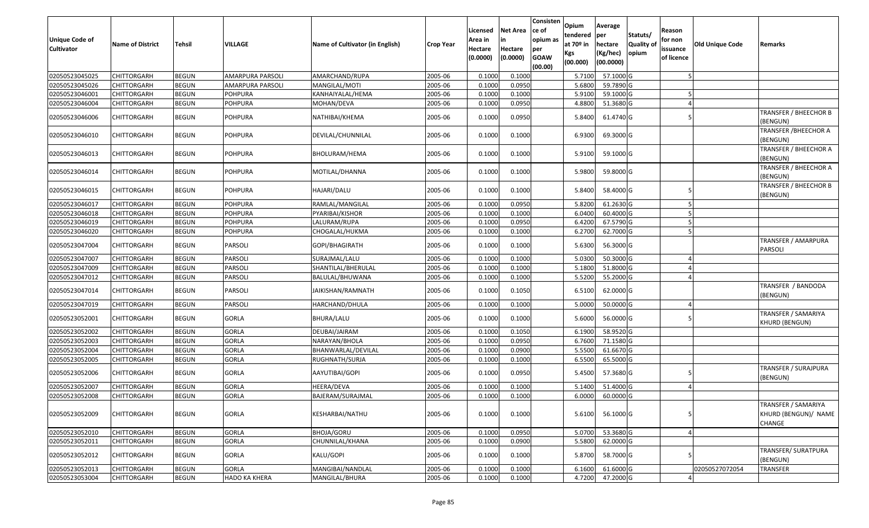| <b>Unique Code of</b><br><b>Cultivator</b> | <b>Name of District</b> | Tehsil       | <b>VILLAGE</b>          | Name of Cultivator (in English) | <b>Crop Year</b> | Licensed<br>Area in<br>Hectare<br>(0.0000) | <b>Net Area</b><br>in<br>Hectare<br>(0.0000) | Consisten<br>ce of<br>opium as<br>per<br><b>GOAW</b><br>(00.00) | Opium<br>tendered<br>at 70 <sup>o</sup> in<br><b>Kgs</b><br>(00.000) | Average<br>per<br>hectare<br>(Kg/hec)<br>(00.0000) | Statuts/<br>Quality of<br>opium | Reason<br>for non<br>issuance<br>of licence | Old Unique Code | Remarks                                               |
|--------------------------------------------|-------------------------|--------------|-------------------------|---------------------------------|------------------|--------------------------------------------|----------------------------------------------|-----------------------------------------------------------------|----------------------------------------------------------------------|----------------------------------------------------|---------------------------------|---------------------------------------------|-----------------|-------------------------------------------------------|
| 02050523045025                             | <b>CHITTORGARH</b>      | <b>BEGUN</b> | <b>AMARPURA PARSOLI</b> | AMARCHAND/RUPA                  | 2005-06          | 0.1000                                     | 0.1000                                       |                                                                 | 5.7100                                                               | 57.1000 G                                          |                                 |                                             |                 |                                                       |
| 02050523045026                             | <b>CHITTORGARH</b>      | <b>BEGUN</b> | AMARPURA PARSOLI        | MANGILAL/MOTI                   | 2005-06          | 0.1000                                     | 0.0950                                       |                                                                 | 5.6800                                                               | 59.7890 G                                          |                                 |                                             |                 |                                                       |
| 02050523046001                             | <b>CHITTORGARH</b>      | <b>BEGUN</b> | <b>POHPURA</b>          | KANHAIYALAL/HEMA                | 2005-06          | 0.1000                                     | 0.1000                                       |                                                                 | 5.9100                                                               | 59.1000 G                                          |                                 |                                             |                 |                                                       |
| 02050523046004                             | <b>CHITTORGARH</b>      | <b>BEGUN</b> | <b>POHPURA</b>          | MOHAN/DEVA                      | 2005-06          | 0.1000                                     | 0.0950                                       |                                                                 | 4.8800                                                               | 51.3680 G                                          |                                 |                                             |                 |                                                       |
| 02050523046006                             | <b>CHITTORGARH</b>      | <b>BEGUN</b> | <b>POHPURA</b>          | NATHIBAI/KHEMA                  | 2005-06          | 0.1000                                     | 0.0950                                       |                                                                 | 5.8400                                                               | 61.4740 G                                          |                                 |                                             |                 | TRANSFER / BHEECHOR B<br>(BENGUN)                     |
| 02050523046010                             | <b>CHITTORGARH</b>      | <b>BEGUN</b> | <b>POHPURA</b>          | DEVILAL/CHUNNILAL               | 2005-06          | 0.1000                                     | 0.1000                                       |                                                                 | 6.9300                                                               | 69.3000 G                                          |                                 |                                             |                 | <b>TRANSFER / BHEECHOR A</b><br>(BENGUN)              |
| 02050523046013                             | <b>CHITTORGARH</b>      | <b>BEGUN</b> | <b>POHPURA</b>          | <b>BHOLURAM/HEMA</b>            | 2005-06          | 0.1000                                     | 0.1000                                       |                                                                 | 5.9100                                                               | 59.1000 G                                          |                                 |                                             |                 | TRANSFER / BHEECHOR A<br>(BENGUN)                     |
| 02050523046014                             | CHITTORGARH             | <b>BEGUN</b> | <b>POHPURA</b>          | MOTILAL/DHANNA                  | 2005-06          | 0.1000                                     | 0.1000                                       |                                                                 | 5.9800                                                               | 59.8000 G                                          |                                 |                                             |                 | TRANSFER / BHEECHOR A<br>(BENGUN)                     |
| 02050523046015                             | <b>CHITTORGARH</b>      | <b>BEGUN</b> | <b>POHPURA</b>          | HAJARI/DALU                     | 2005-06          | 0.1000                                     | 0.1000                                       |                                                                 | 5.8400                                                               | 58.4000 G                                          |                                 |                                             |                 | TRANSFER / BHEECHOR B<br>(BENGUN)                     |
| 02050523046017                             | <b>CHITTORGARH</b>      | <b>BEGUN</b> | <b>POHPURA</b>          | RAMLAL/MANGILAL                 | 2005-06          | 0.1000                                     | 0.0950                                       |                                                                 | 5.8200                                                               | 61.2630 G                                          |                                 |                                             |                 |                                                       |
| 02050523046018                             | <b>CHITTORGARH</b>      | <b>BEGUN</b> | <b>POHPURA</b>          | PYARIBAI/KISHOR                 | 2005-06          | 0.1000                                     | 0.1000                                       |                                                                 | 6.0400                                                               | 60.4000 G                                          |                                 |                                             |                 |                                                       |
| 02050523046019                             | <b>CHITTORGARH</b>      | <b>BEGUN</b> | <b>POHPURA</b>          | LALURAM/RUPA                    | 2005-06          | 0.1000                                     | 0.0950                                       |                                                                 | 6.4200                                                               | 67.5790 G                                          |                                 |                                             |                 |                                                       |
| 02050523046020                             | <b>CHITTORGARH</b>      | <b>BEGUN</b> | <b>POHPURA</b>          | CHOGALAL/HUKMA                  | 2005-06          | 0.1000                                     | 0.1000                                       |                                                                 | 6.2700                                                               | 62.7000 G                                          |                                 |                                             |                 |                                                       |
| 02050523047004                             | CHITTORGARH             | <b>BEGUN</b> | PARSOLI                 | GOPI/BHAGIRATH                  | 2005-06          | 0.1000                                     | 0.1000                                       |                                                                 | 5.6300                                                               | 56.3000 G                                          |                                 |                                             |                 | TRANSFER / AMARPURA<br>PARSOLI                        |
| 02050523047007                             | CHITTORGARH             | <b>BEGUN</b> | PARSOLI                 | SURAJMAL/LALU                   | 2005-06          | 0.1000                                     | 0.1000                                       |                                                                 | 5.0300                                                               | 50.3000G                                           |                                 |                                             |                 |                                                       |
| 02050523047009                             | <b>CHITTORGARH</b>      | <b>BEGUN</b> | PARSOLI                 | SHANTILAL/BHERULAL              | 2005-06          | 0.1000                                     | 0.1000                                       |                                                                 | 5.1800                                                               | 51.8000 G                                          |                                 |                                             |                 |                                                       |
| 02050523047012                             | <b>CHITTORGARH</b>      | <b>BEGUN</b> | PARSOLI                 | BALULAL/BHUWANA                 | 2005-06          | 0.1000                                     | 0.1000                                       |                                                                 | 5.5200                                                               | 55.2000 G                                          |                                 |                                             |                 |                                                       |
| 02050523047014                             | <b>CHITTORGARH</b>      | <b>BEGUN</b> | PARSOLI                 | JAIKISHAN/RAMNATH               | 2005-06          | 0.1000                                     | 0.1050                                       |                                                                 | 6.5100                                                               | 62.0000 G                                          |                                 |                                             |                 | TRANSFER / BANDODA<br>(BENGUN)                        |
| 02050523047019                             | <b>CHITTORGARH</b>      | <b>BEGUN</b> | <b>PARSOLI</b>          | HARCHAND/DHULA                  | 2005-06          | 0.1000                                     | 0.1000                                       |                                                                 | 5.0000                                                               | 50.0000 G                                          |                                 |                                             |                 |                                                       |
| 02050523052001                             | <b>CHITTORGARH</b>      | <b>BEGUN</b> | <b>GORLA</b>            | <b>BHURA/LALU</b>               | 2005-06          | 0.1000                                     | 0.1000                                       |                                                                 | 5.6000                                                               | 56.0000 G                                          |                                 |                                             |                 | TRANSFER / SAMARIYA<br>KHURD (BENGUN)                 |
| 02050523052002                             | <b>CHITTORGARH</b>      | <b>BEGUN</b> | <b>GORLA</b>            | DEUBAI/JAIRAM                   | 2005-06          | 0.1000                                     | 0.1050                                       |                                                                 | 6.1900                                                               | 58.9520 G                                          |                                 |                                             |                 |                                                       |
| 02050523052003                             | <b>CHITTORGARH</b>      | <b>BEGUN</b> | <b>GORLA</b>            | NARAYAN/BHOLA                   | 2005-06          | 0.1000                                     | 0.0950                                       |                                                                 | 6.7600                                                               | 71.1580 G                                          |                                 |                                             |                 |                                                       |
| 02050523052004                             | <b>CHITTORGARH</b>      | <b>BEGUN</b> | <b>GORLA</b>            | BHANWARLAL/DEVILAL              | 2005-06          | 0.1000                                     | 0.0900                                       |                                                                 | 5.5500                                                               | 61.6670 G                                          |                                 |                                             |                 |                                                       |
| 02050523052005                             | <b>CHITTORGARH</b>      | <b>BEGUN</b> | <b>GORLA</b>            | RUGHNATH/SURJA                  | 2005-06          | 0.1000                                     | 0.1000                                       |                                                                 | 6.5500                                                               | 65.5000 G                                          |                                 |                                             |                 |                                                       |
| 02050523052006                             | <b>CHITTORGARH</b>      | <b>BEGUN</b> | <b>GORLA</b>            | AAYUTIBAI/GOPI                  | 2005-06          | 0.1000                                     | 0.0950                                       |                                                                 | 5.4500                                                               | 57.3680 G                                          |                                 |                                             |                 | TRANSFER / SURAJPURA<br><b>BENGUN)</b>                |
| 02050523052007                             | <b>CHITTORGARH</b>      | <b>BEGUN</b> | <b>GORLA</b>            | <b>HEERA/DEVA</b>               | 2005-06          | 0.1000                                     | 0.1000                                       |                                                                 | 5.140                                                                | 51.4000 G                                          |                                 |                                             |                 |                                                       |
| 02050523052008                             | <b>CHITTORGARH</b>      | <b>BEGUN</b> | <b>GORLA</b>            | BAJERAM/SURAJMAL                | 2005-06          | 0.1000                                     | 0.1000                                       |                                                                 | 6.0000                                                               | 60.0000 G                                          |                                 |                                             |                 |                                                       |
| 02050523052009                             | <b>CHITTORGARH</b>      | <b>BEGUN</b> | <b>GORLA</b>            | KESHARBAI/NATHU                 | 2005-06          | 0.1000                                     | 0.1000                                       |                                                                 | 5.6100                                                               | 56.1000 G                                          |                                 | 5                                           |                 | TRANSFER / SAMARIYA<br>KHURD (BENGUN)/ NAME<br>CHANGE |
| 02050523052010                             | <b>CHITTORGARH</b>      | <b>BEGUN</b> | <b>GORLA</b>            | <b>BHOJA/GORU</b>               | 2005-06          | 0.1000                                     | 0.0950                                       |                                                                 | 5.0700                                                               | 53.3680 G                                          |                                 |                                             |                 |                                                       |
| 02050523052011                             | <b>CHITTORGARH</b>      | <b>BEGUN</b> | <b>GORLA</b>            | CHUNNILAL/KHANA                 | 2005-06          | 0.1000                                     | 0.0900                                       |                                                                 | 5.5800                                                               | 62.0000 G                                          |                                 |                                             |                 |                                                       |
| 02050523052012                             | <b>CHITTORGARH</b>      | <b>BEGUN</b> | <b>GORLA</b>            | KALU/GOPI                       | 2005-06          | 0.1000                                     | 0.1000                                       |                                                                 | 5.8700                                                               | 58.7000 G                                          |                                 |                                             |                 | TRANSFER/ SURATPURA<br>(BENGUN)                       |
| 02050523052013                             | <b>CHITTORGARH</b>      | <b>BEGUN</b> | <b>GORLA</b>            | MANGIBAI/NANDLAL                | 2005-06          | 0.1000                                     | 0.1000                                       |                                                                 | 6.1600                                                               | 61.6000 G                                          |                                 |                                             | 02050527072054  | <b>TRANSFER</b>                                       |
| 02050523053004                             | <b>CHITTORGARH</b>      | <b>BEGUN</b> | <b>HADO KA KHERA</b>    | MANGILAL/BHURA                  | 2005-06          | 0.1000                                     | 0.1000                                       |                                                                 | 4.7200                                                               | 47.2000 G                                          |                                 |                                             |                 |                                                       |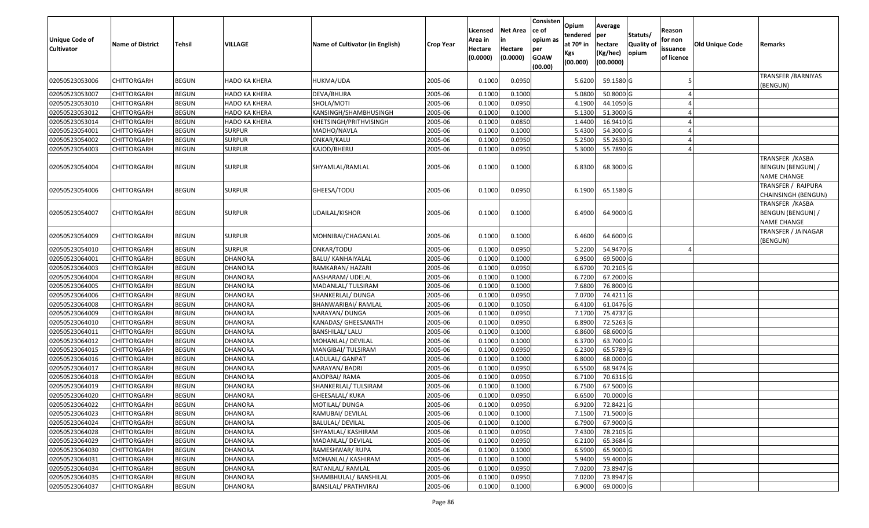| <b>Unique Code of</b><br><b>Cultivator</b> | <b>Name of District</b> | Tehsil       | <b>VILLAGE</b> | Name of Cultivator (in English) | <b>Crop Year</b> | Licensed<br>Area in<br>Hectare<br>(0.0000) | <b>Net Area</b><br>Hectare<br>(0.0000) | Consisten<br>ce of<br>opium as<br>per<br><b>GOAW</b><br>(00.00) | <b>Opium</b><br>tendered<br>at 70 <sup>o</sup> in<br>Kgs<br>(00.000) | Average<br>per<br>hectare<br>(Kg/hec)<br>(00.0000) | Statuts/<br>Quality of<br>opium | Reason<br>for non<br>issuance<br>of licence | Old Unique Code | Remarks                                                     |
|--------------------------------------------|-------------------------|--------------|----------------|---------------------------------|------------------|--------------------------------------------|----------------------------------------|-----------------------------------------------------------------|----------------------------------------------------------------------|----------------------------------------------------|---------------------------------|---------------------------------------------|-----------------|-------------------------------------------------------------|
| 02050523053006                             | CHITTORGARH             | <b>BEGUN</b> | HADO KA KHERA  | HUKMA/UDA                       | 2005-06          | 0.1000                                     | 0.0950                                 |                                                                 | 5.6200                                                               | 59.1580 G                                          |                                 |                                             |                 | <b>TRANSFER / BARNIYAS</b><br>(BENGUN)                      |
| 02050523053007                             | CHITTORGARH             | <b>BEGUN</b> | HADO KA KHERA  | DEVA/BHURA                      | 2005-06          | 0.1000                                     | 0.1000                                 |                                                                 | 5.0800                                                               | 50.8000 G                                          |                                 |                                             |                 |                                                             |
| 02050523053010                             | CHITTORGARH             | <b>BEGUN</b> | HADO KA KHERA  | SHOLA/MOTI                      | 2005-06          | 0.1000                                     | 0.0950                                 |                                                                 | 4.1900                                                               | 44.1050 G                                          |                                 |                                             |                 |                                                             |
| 02050523053012                             | CHITTORGARH             | <b>BEGUN</b> | HADO KA KHERA  | KANSINGH/SHAMBHUSINGH           | 2005-06          | 0.1000                                     | 0.1000                                 |                                                                 | 5.1300                                                               | 51.3000 G                                          |                                 |                                             |                 |                                                             |
| 02050523053014                             | CHITTORGARH             | <b>BEGUN</b> | HADO KA KHERA  | KHETSINGH/PRITHVISINGH          | 2005-06          | 0.1000                                     | 0.0850                                 |                                                                 | 1.4400                                                               | 16.9410 G                                          |                                 |                                             |                 |                                                             |
| 02050523054001                             | CHITTORGARH             | <b>BEGUN</b> | <b>SURPUR</b>  | MADHO/NAVLA                     | 2005-06          | 0.1000                                     | 0.1000                                 |                                                                 | 5.4300                                                               | 54.3000 G                                          |                                 |                                             |                 |                                                             |
| 02050523054002                             | CHITTORGARH             | <b>BEGUN</b> | <b>SURPUR</b>  | ONKAR/KALU                      | 2005-06          | 0.1000                                     | 0.0950                                 |                                                                 | 5.2500                                                               | 55.2630 G                                          |                                 |                                             |                 |                                                             |
| 02050523054003                             | CHITTORGARH             | <b>BEGUN</b> | <b>SURPUR</b>  | KAJOD/BHERU                     | 2005-06          | 0.1000                                     | 0.0950                                 |                                                                 | 5.3000                                                               | 55.7890 G                                          |                                 |                                             |                 |                                                             |
| 02050523054004                             | CHITTORGARH             | <b>BEGUN</b> | SURPUR         | SHYAMLAL/RAMLAL                 | 2005-06          | 0.1000                                     | 0.1000                                 |                                                                 | 6.8300                                                               | 68.3000 G                                          |                                 |                                             |                 | TRANSFER / KASBA<br>BENGUN (BENGUN) /<br><b>NAME CHANGE</b> |
| 02050523054006                             | CHITTORGARH             | <b>BEGUN</b> | SURPUR         | GHEESA/TODU                     | 2005-06          | 0.1000                                     | 0.0950                                 |                                                                 | 6.1900                                                               | 65.1580 G                                          |                                 |                                             |                 | TRANSFER / RAJPURA<br>CHAINSINGH (BENGUN)                   |
| 02050523054007                             | CHITTORGARH             | <b>BEGUN</b> | SURPUR         | UDAILAL/KISHOR                  | 2005-06          | 0.1000                                     | 0.1000                                 |                                                                 | 6.4900                                                               | 64.9000 G                                          |                                 |                                             |                 | TRANSFER /KASBA<br>BENGUN (BENGUN) /<br><b>NAME CHANGE</b>  |
| 02050523054009                             | CHITTORGARH             | <b>BEGUN</b> | SURPUR         | MOHNIBAI/CHAGANLAL              | 2005-06          | 0.1000                                     | 0.1000                                 |                                                                 | 6.4600                                                               | 64.6000 G                                          |                                 |                                             |                 | <b>TRANSFER / JAINAGAR</b><br>(BENGUN)                      |
| 02050523054010                             | CHITTORGARH             | <b>BEGUN</b> | SURPUR         | ONKAR/TODU                      | 2005-06          | 0.1000                                     | 0.0950                                 |                                                                 | 5.2200                                                               | 54.9470 G                                          |                                 |                                             |                 |                                                             |
| 02050523064001                             | CHITTORGARH             | <b>BEGUN</b> | <b>DHANORA</b> | BALU/ KANHAIYALAL               | 2005-06          | 0.1000                                     | 0.1000                                 |                                                                 | 6.9500                                                               | 69.5000 G                                          |                                 |                                             |                 |                                                             |
| 02050523064003                             | CHITTORGARH             | <b>BEGUN</b> | <b>DHANORA</b> | RAMKARAN/ HAZARI                | 2005-06          | 0.1000                                     | 0.0950                                 |                                                                 | 6.6700                                                               | 70.2105 G                                          |                                 |                                             |                 |                                                             |
| 02050523064004                             | CHITTORGARH             | <b>BEGUN</b> | <b>DHANORA</b> | AASHARAM/UDELAL                 | 2005-06          | 0.1000                                     | 0.1000                                 |                                                                 | 6.7200                                                               | 67.2000 G                                          |                                 |                                             |                 |                                                             |
| 02050523064005                             | CHITTORGARH             | <b>BEGUN</b> | <b>DHANORA</b> | MADANLAL/TULSIRAM               | 2005-06          | 0.1000                                     | 0.1000                                 |                                                                 | 7.6800                                                               | 76.8000 G                                          |                                 |                                             |                 |                                                             |
| 02050523064006                             | <b>CHITTORGARH</b>      | <b>BEGUN</b> | <b>DHANORA</b> | SHANKERLAL/ DUNGA               | 2005-06          | 0.1000                                     | 0.0950                                 |                                                                 | 7.0700                                                               | 74.4211 G                                          |                                 |                                             |                 |                                                             |
| 02050523064008                             | <b>CHITTORGARH</b>      | <b>BEGUN</b> | <b>DHANORA</b> | BHANWARIBAI/ RAMLAL             | 2005-06          | 0.1000                                     | 0.1050                                 |                                                                 | 6.4100                                                               | 61.0476 G                                          |                                 |                                             |                 |                                                             |
| 02050523064009                             | <b>CHITTORGARH</b>      | <b>BEGUN</b> | <b>DHANORA</b> | NARAYAN/ DUNGA                  | 2005-06          | 0.1000                                     | 0.0950                                 |                                                                 | 7.1700                                                               | 75.4737 G                                          |                                 |                                             |                 |                                                             |
| 02050523064010                             | CHITTORGARH             | <b>BEGUN</b> | <b>DHANORA</b> | KANADAS/ GHEESANATH             | 2005-06          | 0.1000                                     | 0.0950                                 |                                                                 | 6.8900                                                               | 72.5263 G                                          |                                 |                                             |                 |                                                             |
| 02050523064011                             | CHITTORGARH             | <b>BEGUN</b> | <b>DHANORA</b> | <b>BANSHILAL/ LALU</b>          | 2005-06          | 0.1000                                     | 0.1000                                 |                                                                 | 6.8600                                                               | 68.6000 G                                          |                                 |                                             |                 |                                                             |
| 02050523064012                             | <b>CHITTORGARH</b>      | <b>BEGUN</b> | <b>DHANORA</b> | MOHANLAL/ DEVILAL               | 2005-06          | 0.1000                                     | 0.1000                                 |                                                                 | 6.3700                                                               | 63.7000 G                                          |                                 |                                             |                 |                                                             |
| 02050523064015                             | CHITTORGARH             | <b>BEGUN</b> | <b>DHANORA</b> | MANGIBAI/ TULSIRAM              | 2005-06          | 0.1000                                     | 0.0950                                 |                                                                 | 6.2300                                                               | 65.5789 G                                          |                                 |                                             |                 |                                                             |
| 02050523064016                             | CHITTORGARH             | <b>BEGUN</b> | <b>DHANORA</b> | LADULAL/ GANPAT                 | 2005-06          | 0.1000                                     | 0.1000                                 |                                                                 | 6.8000                                                               | 68.0000 G                                          |                                 |                                             |                 |                                                             |
| 02050523064017                             | CHITTORGARH             | <b>BEGUN</b> | <b>DHANORA</b> | NARAYAN/ BADRI                  | 2005-06          | 0.1000                                     | 0.0950                                 |                                                                 | 6.5500                                                               | 68.9474 G                                          |                                 |                                             |                 |                                                             |
| 02050523064018                             | CHITTORGARH             | <b>BEGUN</b> | <b>DHANORA</b> | ANOPBAI/RAMA                    | 2005-06          | 0.1000                                     | 0.0950                                 |                                                                 | 6.7100                                                               | 70.6316 G                                          |                                 |                                             |                 |                                                             |
| 02050523064019                             | CHITTORGARH             | <b>BEGUN</b> | <b>DHANORA</b> | SHANKERLAL/ TULSIRAM            | 2005-06          | 0.1000                                     | 0.1000                                 |                                                                 | 6.7500                                                               | 67.5000 G                                          |                                 |                                             |                 |                                                             |
| 02050523064020                             | CHITTORGARH             | <b>BEGUN</b> | <b>DHANORA</b> | GHEESALAL/ KUKA                 | 2005-06          | 0.1000                                     | 0.0950                                 |                                                                 | 6.6500                                                               | 70.0000 G                                          |                                 |                                             |                 |                                                             |
| 02050523064022                             | <b>CHITTORGARH</b>      | <b>BEGUN</b> | DHANORA        | MOTILAL/ DUNGA                  | 2005-06          | 0.1000                                     | 0.0950                                 |                                                                 | 6.9200                                                               | 72.8421G                                           |                                 |                                             |                 |                                                             |
| 02050523064023                             | <b>CHITTORGARH</b>      | <b>BEGUN</b> | DHANORA        | RAMUBAI/ DEVILAL                | 2005-06          | 0.1000                                     | 0.1000                                 |                                                                 | 7.1500                                                               | 71.5000 G                                          |                                 |                                             |                 |                                                             |
| 02050523064024                             | <b>CHITTORGARH</b>      | <b>BEGUN</b> | <b>DHANORA</b> | <b>BALULAL/ DEVILAL</b>         | 2005-06          | 0.1000                                     | 0.1000                                 |                                                                 | 6.7900                                                               | 67.9000 G                                          |                                 |                                             |                 |                                                             |
| 02050523064028                             | <b>CHITTORGARH</b>      | <b>BEGUN</b> | <b>DHANORA</b> | SHYAMLAL/ KASHIRAM              | 2005-06          | 0.1000                                     | 0.0950                                 |                                                                 | 7.4300                                                               | 78.2105 G                                          |                                 |                                             |                 |                                                             |
| 02050523064029                             | CHITTORGARH             | <b>BEGUN</b> | <b>DHANORA</b> | MADANLAL/ DEVILAL               | 2005-06          | 0.1000                                     | 0.0950                                 |                                                                 | 6.2100                                                               | 65.3684 G                                          |                                 |                                             |                 |                                                             |
| 02050523064030                             | <b>CHITTORGARH</b>      | <b>BEGUN</b> | <b>DHANORA</b> | RAMESHWAR/RUPA                  | 2005-06          | 0.1000                                     | 0.1000                                 |                                                                 | 6.5900                                                               | 65.9000 G                                          |                                 |                                             |                 |                                                             |
| 02050523064031                             | <b>CHITTORGARH</b>      | <b>BEGUN</b> | <b>DHANORA</b> | MOHANLAL/ KASHIRAM              | 2005-06          | 0.1000                                     | 0.1000                                 |                                                                 | 5.9400                                                               | 59.4000G                                           |                                 |                                             |                 |                                                             |
| 02050523064034                             | CHITTORGARH             | <b>BEGUN</b> | <b>DHANORA</b> | RATANLAL/ RAMLAL                | 2005-06          | 0.1000                                     | 0.0950                                 |                                                                 | 7.0200                                                               | 73.8947 G                                          |                                 |                                             |                 |                                                             |
| 02050523064035                             | CHITTORGARH             | <b>BEGUN</b> | <b>DHANORA</b> | SHAMBHULAL/ BANSHILAL           | 2005-06          | 0.1000                                     | 0.0950                                 |                                                                 | 7.0200                                                               | 73.8947 G                                          |                                 |                                             |                 |                                                             |
| 02050523064037                             | CHITTORGARH             | <b>BEGUN</b> | DHANORA        | <b>BANSILAL/ PRATHVIRAJ</b>     | 2005-06          | 0.1000                                     | 0.1000                                 |                                                                 | 6.9000                                                               | 69.0000 G                                          |                                 |                                             |                 |                                                             |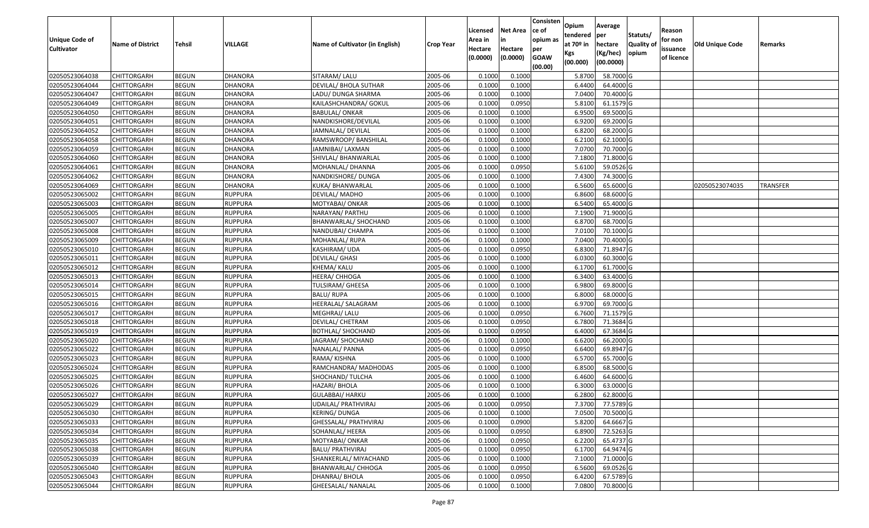| Unique Code of    |                         |               |                |                                 |                  | Licensed<br>Area in | <b>Net Area</b><br>in | Consisten<br>ce of<br>opium as | Opium<br>tendered              | Average<br>per                   | Statuts/                  | Reason<br>for non      |                 |                 |
|-------------------|-------------------------|---------------|----------------|---------------------------------|------------------|---------------------|-----------------------|--------------------------------|--------------------------------|----------------------------------|---------------------------|------------------------|-----------------|-----------------|
| <b>Cultivator</b> | <b>Name of District</b> | <b>Tehsil</b> | VILLAGE        | Name of Cultivator (in English) | <b>Crop Year</b> | Hectare<br>(0.0000) | Hectare<br>(0.0000)   | per<br><b>GOAW</b><br>(00.00)  | at $70°$ in<br>Kgs<br>(00.000) | hectare<br>(Kg/hec)<br>(00.0000) | <b>Quality o</b><br>opium | issuance<br>of licence | Old Unique Code | Remarks         |
| 02050523064038    | CHITTORGARH             | <b>BEGUN</b>  | <b>DHANORA</b> | SITARAM/ LALU                   | 2005-06          | 0.1000              | 0.1000                |                                | 5.8700                         | 58.7000 G                        |                           |                        |                 |                 |
| 02050523064044    | CHITTORGARH             | <b>BEGUN</b>  | <b>DHANORA</b> | DEVILAL/ BHOLA SUTHAR           | 2005-06          | 0.1000              | 0.1000                |                                | 6.4400                         | 64.4000 G                        |                           |                        |                 |                 |
| 02050523064047    | CHITTORGARH             | <b>BEGUN</b>  | <b>DHANORA</b> | LADU/ DUNGA SHARMA              | 2005-06          | 0.1000              | 0.1000                |                                | 7.0400                         | 70.4000 G                        |                           |                        |                 |                 |
| 02050523064049    | <b>CHITTORGARH</b>      | <b>BEGUN</b>  | <b>DHANORA</b> | KAILASHCHANDRA/ GOKUL           | 2005-06          | 0.1000              | 0.0950                |                                | 5.8100                         | 61.1579 G                        |                           |                        |                 |                 |
| 02050523064050    | CHITTORGARH             | <b>BEGUN</b>  | <b>DHANORA</b> | <b>BABULAL/ONKAR</b>            | 2005-06          | 0.1000              | 0.1000                |                                | 6.9500                         | 69.5000 G                        |                           |                        |                 |                 |
| 02050523064051    | CHITTORGARH             | <b>BEGUN</b>  | <b>DHANORA</b> | NANDKISHORE/DEVILAL             | 2005-06          | 0.1000              | 0.1000                |                                | 6.9200                         | 69.2000 G                        |                           |                        |                 |                 |
| 02050523064052    | CHITTORGARH             | <b>BEGUN</b>  | <b>DHANORA</b> | JAMNALAL/ DEVILAL               | 2005-06          | 0.1000              | 0.1000                |                                | 6.8200                         | 68.2000 G                        |                           |                        |                 |                 |
| 02050523064058    | CHITTORGARH             | <b>BEGUN</b>  | <b>DHANORA</b> | RAMSWROOP/BANSHILAL             | 2005-06          | 0.1000              | 0.1000                |                                | 6.2100                         | 62.1000G                         |                           |                        |                 |                 |
| 02050523064059    | CHITTORGARH             | <b>BEGUN</b>  | DHANORA        | JAMNIBAI/ LAXMAN                | 2005-06          | 0.1000              | 0.1000                |                                | 7.0700                         | 70.7000G                         |                           |                        |                 |                 |
| 02050523064060    | CHITTORGARH             | <b>BEGUN</b>  | DHANORA        | SHIVLAL/ BHANWARLAL             | 2005-06          | 0.1000              | 0.1000                |                                | 7.1800                         | 71.8000 G                        |                           |                        |                 |                 |
| 02050523064061    | CHITTORGARH             | <b>BEGUN</b>  | <b>DHANORA</b> | MOHANLAL/ DHANNA                | 2005-06          | 0.1000              | 0.0950                |                                | 5.6100                         | 59.0526 G                        |                           |                        |                 |                 |
| 02050523064062    | <b>CHITTORGARH</b>      | <b>BEGUN</b>  | DHANORA        | NANDKISHORE/ DUNGA              | 2005-06          | 0.1000              | 0.1000                |                                | 7.4300                         | 74.3000 G                        |                           |                        |                 |                 |
| 02050523064069    | <b>CHITTORGARH</b>      | <b>BEGUN</b>  | <b>DHANORA</b> | KUKA/ BHANWARLAL                | 2005-06          | 0.1000              | 0.1000                |                                | 6.5600                         | 65.6000G                         |                           |                        | 02050523074035  | <b>TRANSFER</b> |
| 02050523065002    | <b>CHITTORGARH</b>      | <b>BEGUN</b>  | <b>RUPPURA</b> | DEVILAL/ MADHO                  | 2005-06          | 0.1000              | 0.1000                |                                | 6.8600                         | 68.6000 G                        |                           |                        |                 |                 |
| 02050523065003    | CHITTORGARH             | <b>BEGUN</b>  | <b>RUPPURA</b> | MOTYABAI/ ONKAR                 | 2005-06          | 0.1000              | 0.1000                |                                | 6.5400                         | 65.4000 G                        |                           |                        |                 |                 |
| 02050523065005    | CHITTORGARH             | <b>BEGUN</b>  | <b>RUPPURA</b> | NARAYAN/ PARTHU                 | 2005-06          | 0.1000              | 0.1000                |                                | 7.1900                         | 71.9000G                         |                           |                        |                 |                 |
| 02050523065007    | CHITTORGARH             | <b>BEGUN</b>  | <b>RUPPURA</b> | BHANWARLAL/ SHOCHAND            | 2005-06          | 0.1000              | 0.1000                |                                | 6.8700                         | 68.7000 G                        |                           |                        |                 |                 |
| 02050523065008    | CHITTORGARH             | <b>BEGUN</b>  | <b>RUPPURA</b> | NANDUBAI/ CHAMPA                | 2005-06          | 0.1000              | 0.1000                |                                | 7.0100                         | 70.1000 G                        |                           |                        |                 |                 |
| 02050523065009    | CHITTORGARH             | <b>BEGUN</b>  | <b>RUPPURA</b> | MOHANLAL/ RUPA                  | 2005-06          | 0.1000              | 0.1000                |                                | 7.0400                         | 70.4000 G                        |                           |                        |                 |                 |
| 02050523065010    | CHITTORGARH             | <b>BEGUN</b>  | <b>RUPPURA</b> | KASHIRAM/ UDA                   | 2005-06          | 0.1000              | 0.0950                |                                | 6.8300                         | 71.8947 G                        |                           |                        |                 |                 |
| 02050523065011    | CHITTORGARH             | <b>BEGUN</b>  | <b>RUPPURA</b> | DEVILAL/ GHASI                  | 2005-06          | 0.1000              | 0.1000                |                                | 6.0300                         | 60.3000G                         |                           |                        |                 |                 |
| 02050523065012    | CHITTORGARH             | <b>BEGUN</b>  | <b>RUPPURA</b> | KHEMA/ KALU                     | 2005-06          | 0.1000              | 0.1000                |                                | 6.1700                         | 61.7000G                         |                           |                        |                 |                 |
| 02050523065013    | CHITTORGARH             | <b>BEGUN</b>  | <b>RUPPURA</b> | HEERA/ CHHOGA                   | 2005-06          | 0.1000              | 0.1000                |                                | 6.3400                         | 63.4000 G                        |                           |                        |                 |                 |
| 02050523065014    | CHITTORGARH             | <b>BEGUN</b>  | <b>RUPPURA</b> | TULSIRAM/ GHEESA                | 2005-06          | 0.1000              | 0.1000                |                                | 6.9800                         | 69.8000 G                        |                           |                        |                 |                 |
| 02050523065015    | <b>CHITTORGARH</b>      | <b>BEGUN</b>  | <b>RUPPURA</b> | <b>BALU/RUPA</b>                | 2005-06          | 0.1000              | 0.1000                |                                | 6.8000                         | 68.0000G                         |                           |                        |                 |                 |
| 02050523065016    | CHITTORGARH             | <b>BEGUN</b>  | <b>RUPPURA</b> | HEERALAL/ SALAGRAM              | 2005-06          | 0.1000              | 0.1000                |                                | 6.9700                         | 69.7000 G                        |                           |                        |                 |                 |
| 02050523065017    | CHITTORGARH             | <b>BEGUN</b>  | <b>RUPPURA</b> | MEGHRAJ/ LALU                   | 2005-06          | 0.1000              | 0.0950                |                                | 6.7600                         | 71.1579 G                        |                           |                        |                 |                 |
| 02050523065018    | CHITTORGARH             | <b>BEGUN</b>  | <b>RUPPURA</b> | DEVILAL/ CHETRAM                | 2005-06          | 0.1000              | 0.0950                |                                | 6.7800                         | 71.3684 G                        |                           |                        |                 |                 |
| 02050523065019    | CHITTORGARH             | <b>BEGUN</b>  | <b>RUPPURA</b> | <b>BOTHLAL/ SHOCHAND</b>        | 2005-06          | 0.1000              | 0.0950                |                                | 6.4000                         | 67.3684 G                        |                           |                        |                 |                 |
| 02050523065020    | CHITTORGARH             | <b>BEGUN</b>  | <b>RUPPURA</b> | JAGRAM/ SHOCHAND                | 2005-06          | 0.1000              | 0.1000                |                                | 6.6200                         | 66.2000 G                        |                           |                        |                 |                 |
| 02050523065022    | CHITTORGARH             | <b>BEGUN</b>  | <b>RUPPURA</b> | NANALAL/ PANNA                  | 2005-06          | 0.1000              | 0.0950                |                                | 6.6400                         | 69.8947 G                        |                           |                        |                 |                 |
| 02050523065023    | CHITTORGARH             | <b>BEGUN</b>  | <b>RUPPURA</b> | RAMA/ KISHNA                    | 2005-06          | 0.1000              | 0.1000                |                                | 6.5700                         | 65.7000 G                        |                           |                        |                 |                 |
| 02050523065024    | CHITTORGARH             | <b>BEGUN</b>  | <b>RUPPURA</b> | RAMCHANDRA/ MADHODAS            | 2005-06          | 0.1000              | 0.1000                |                                | 6.8500                         | 68.5000G                         |                           |                        |                 |                 |
| 02050523065025    | CHITTORGARH             | <b>BEGUN</b>  | <b>RUPPURA</b> | SHOCHAND/ TULCHA                | 2005-06          | 0.1000              | 0.1000                |                                | 6.4600                         | 64.6000 G                        |                           |                        |                 |                 |
| 02050523065026    | CHITTORGARH             | <b>BEGUN</b>  | <b>RUPPURA</b> | HAZARI/ BHOLA                   | 2005-06          | 0.1000              | 0.1000                |                                | 6.3000                         | 63.0000 G                        |                           |                        |                 |                 |
| 02050523065027    | CHITTORGARH             | <b>BEGUN</b>  | <b>RUPPURA</b> | GULABBAI/ HARKU                 | 2005-06          | 0.1000              | 0.1000                |                                | 6.2800                         | 62.8000 G                        |                           |                        |                 |                 |
| 02050523065029    | <b>CHITTORGARH</b>      | <b>BEGUN</b>  | <b>RUPPURA</b> | UDAILAL/ PRATHVIRAJ             | 2005-06          | 0.1000              | 0.0950                |                                |                                | 7.3700 77.5789 G                 |                           |                        |                 |                 |
| 02050523065030    | <b>CHITTORGARH</b>      | <b>BEGUN</b>  | <b>RUPPURA</b> | KERING/ DUNGA                   | 2005-06          | 0.1000              | 0.1000                |                                | 7.0500                         | 70.5000 G                        |                           |                        |                 |                 |
| 02050523065033    | <b>CHITTORGARH</b>      | <b>BEGUN</b>  | <b>RUPPURA</b> | GHESSALAL/ PRATHVIRAJ           | 2005-06          | 0.1000              | 0.0900                |                                | 5.8200                         | 64.6667 G                        |                           |                        |                 |                 |
| 02050523065034    | <b>CHITTORGARH</b>      | <b>BEGUN</b>  | <b>RUPPURA</b> | SOHANLAL/ HEERA                 | 2005-06          | 0.1000              | 0.0950                |                                | 6.8900                         | 72.5263 G                        |                           |                        |                 |                 |
| 02050523065035    | <b>CHITTORGARH</b>      | <b>BEGUN</b>  | <b>RUPPURA</b> | MOTYABAI/ ONKAR                 | 2005-06          | 0.1000              | 0.0950                |                                | 6.2200                         | 65.4737 G                        |                           |                        |                 |                 |
| 02050523065038    | <b>CHITTORGARH</b>      | <b>BEGUN</b>  | <b>RUPPURA</b> | <b>BALU/ PRATHVIRAJ</b>         | 2005-06          | 0.1000              | 0.0950                |                                | 6.1700                         | 64.9474 G                        |                           |                        |                 |                 |
| 02050523065039    | <b>CHITTORGARH</b>      | <b>BEGUN</b>  | <b>RUPPURA</b> | SHANKERLAL/ MIYACHAND           | 2005-06          | 0.1000              | 0.1000                |                                | 7.1000                         | 71.0000 G                        |                           |                        |                 |                 |
| 02050523065040    | CHITTORGARH             | <b>BEGUN</b>  | <b>RUPPURA</b> | BHANWARLAL/ CHHOGA              | 2005-06          | 0.1000              | 0.0950                |                                | 6.5600                         | 69.0526 G                        |                           |                        |                 |                 |
| 02050523065043    | <b>CHITTORGARH</b>      | <b>BEGUN</b>  | <b>RUPPURA</b> | DHANRAJ/ BHOLA                  | 2005-06          | 0.1000              | 0.0950                |                                | 6.4200                         | 67.5789 G                        |                           |                        |                 |                 |
| 02050523065044    | <b>CHITTORGARH</b>      | <b>BEGUN</b>  | <b>RUPPURA</b> | GHEESALAL/ NANALAL              | 2005-06          | 0.1000              | 0.1000                |                                | 7.0800                         | 70.8000 G                        |                           |                        |                 |                 |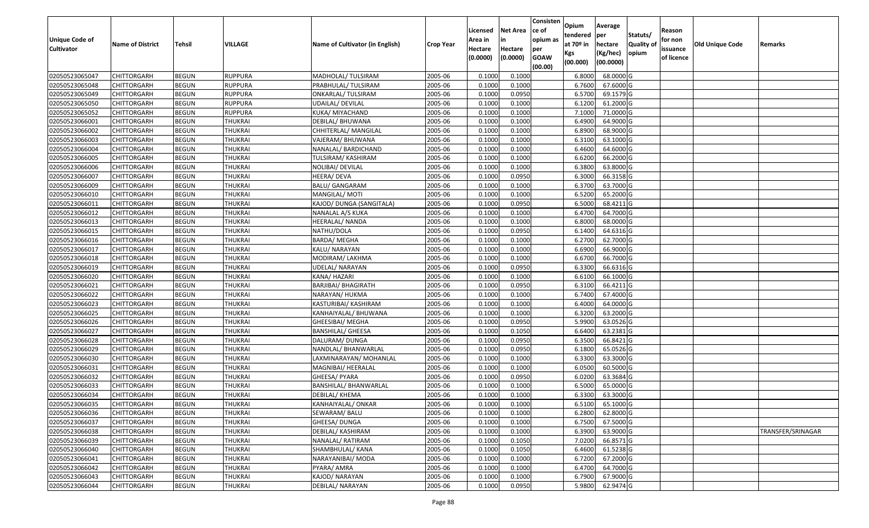| <b>Unique Code of</b> |                         |              |                |                                 |                  | Licensed<br>Area in | <b>Net Area</b><br>in | Consisten<br>ce of<br>opium as | Opium<br>tendered              | Average<br>per                   | Statuts/                  | Reason<br>for non      |                 |                   |
|-----------------------|-------------------------|--------------|----------------|---------------------------------|------------------|---------------------|-----------------------|--------------------------------|--------------------------------|----------------------------------|---------------------------|------------------------|-----------------|-------------------|
| <b>Cultivator</b>     | <b>Name of District</b> | Tehsil       | VILLAGE        | Name of Cultivator (in English) | <b>Crop Year</b> | Hectare<br>(0.0000) | Hectare<br>(0.0000)   | per<br><b>GOAW</b><br>(00.00)  | at $70°$ in<br>Kgs<br>(00.000) | hectare<br>(Kg/hec)<br>(00.0000) | <b>Quality o</b><br>opium | issuance<br>of licence | Old Unique Code | Remarks           |
| 02050523065047        | CHITTORGARH             | <b>BEGUN</b> | <b>RUPPURA</b> | MADHOLAL/ TULSIRAM              | 2005-06          | 0.1000              | 0.1000                |                                | 6.8000                         | 68.0000G                         |                           |                        |                 |                   |
| 02050523065048        | CHITTORGARH             | <b>BEGUN</b> | <b>RUPPURA</b> | PRABHULAL/ TULSIRAM             | 2005-06          | 0.1000              | 0.1000                |                                | 6.7600                         | 67.6000 G                        |                           |                        |                 |                   |
| 02050523065049        | CHITTORGARH             | <b>BEGUN</b> | <b>RUPPURA</b> | ONKARLAL/ TULSIRAM              | 2005-06          | 0.1000              | 0.0950                |                                | 6.5700                         | 69.1579 G                        |                           |                        |                 |                   |
| 02050523065050        | <b>CHITTORGARH</b>      | <b>BEGUN</b> | <b>RUPPURA</b> | UDAILAL/ DEVILAL                | 2005-06          | 0.1000              | 0.1000                |                                | 6.1200                         | 61.2000 G                        |                           |                        |                 |                   |
| 02050523065052        | CHITTORGARH             | <b>BEGUN</b> | <b>RUPPURA</b> | KUKA/ MIYACHAND                 | 2005-06          | 0.1000              | 0.1000                |                                | 7.1000                         | 71.0000 G                        |                           |                        |                 |                   |
| 02050523066001        | CHITTORGARH             | <b>BEGUN</b> | <b>THUKRAI</b> | DEBILAL/ BHUWANA                | 2005-06          | 0.1000              | 0.1000                |                                | 6.4900                         | 64.9000 G                        |                           |                        |                 |                   |
| 02050523066002        | CHITTORGARH             | <b>BEGUN</b> | <b>THUKRAI</b> | CHHITERLAL/ MANGILAL            | 2005-06          | 0.1000              | 0.1000                |                                | 6.8900                         | 68.9000 G                        |                           |                        |                 |                   |
| 02050523066003        | CHITTORGARH             | <b>BEGUN</b> | <b>THUKRAI</b> | VAJERAM/ BHUWANA                | 2005-06          | 0.1000              | 0.1000                |                                | 6.3100                         | 63.1000G                         |                           |                        |                 |                   |
| 02050523066004        | CHITTORGARH             | <b>BEGUN</b> | <b>THUKRAI</b> | NANALAL/ BARDICHAND             | 2005-06          | 0.1000              | 0.1000                |                                | 6.4600                         | 64.6000 G                        |                           |                        |                 |                   |
| 02050523066005        | CHITTORGARH             | <b>BEGUN</b> | <b>THUKRAI</b> | TULSIRAM/ KASHIRAM              | 2005-06          | 0.1000              | 0.1000                |                                | 6.6200                         | 66.2000 G                        |                           |                        |                 |                   |
| 02050523066006        | CHITTORGARH             | <b>BEGUN</b> | <b>THUKRAI</b> | NOLIBAI/ DEVILAL                | 2005-06          | 0.1000              | 0.1000                |                                | 6.3800                         | 63.8000 G                        |                           |                        |                 |                   |
| 02050523066007        | CHITTORGARH             | <b>BEGUN</b> | <b>THUKRAI</b> | HEERA/ DEVA                     | 2005-06          | 0.1000              | 0.0950                |                                | 6.3000                         | 66.3158 G                        |                           |                        |                 |                   |
| 02050523066009        | <b>CHITTORGARH</b>      | <b>BEGUN</b> | <b>THUKRAI</b> | <b>BALU/ GANGARAM</b>           | 2005-06          | 0.1000              | 0.1000                |                                | 6.3700                         | 63.7000 G                        |                           |                        |                 |                   |
| 02050523066010        | <b>CHITTORGARH</b>      | <b>BEGUN</b> | <b>THUKRAI</b> | MANGILAL/ MOTI                  | 2005-06          | 0.100               | 0.1000                |                                | 6.5200                         | 65.2000 G                        |                           |                        |                 |                   |
| 02050523066011        | CHITTORGARH             | <b>BEGUN</b> | <b>THUKRAI</b> | KAJOD/ DUNGA (SANGITALA)        | 2005-06          | 0.1000              | 0.0950                |                                | 6.5000                         | 68.4211G                         |                           |                        |                 |                   |
| 02050523066012        | CHITTORGARH             | <b>BEGUN</b> | <b>THUKRAI</b> | NANALAL A/S KUKA                | 2005-06          | 0.1000              | 0.1000                |                                | 6.4700                         | 64.7000 G                        |                           |                        |                 |                   |
| 02050523066013        | CHITTORGARH             | <b>BEGUN</b> | <b>THUKRAI</b> | HEERALAL/NANDA                  | 2005-06          | 0.1000              | 0.1000                |                                | 6.8000                         | 68.0000G                         |                           |                        |                 |                   |
| 02050523066015        | CHITTORGARH             | <b>BEGUN</b> | <b>THUKRAI</b> | NATHU/DOLA                      | 2005-06          | 0.1000              | 0.0950                |                                | 6.1400                         | 64.6316 G                        |                           |                        |                 |                   |
| 02050523066016        | CHITTORGARH             | <b>BEGUN</b> | <b>THUKRAI</b> | BARDA/ MEGHA                    | 2005-06          | 0.100               | 0.1000                |                                | 6.2700                         | 62.7000 G                        |                           |                        |                 |                   |
| 02050523066017        | CHITTORGARH             | <b>BEGUN</b> | <b>THUKRAI</b> | KALU/ NARAYAN                   | 2005-06          | 0.1000              | 0.1000                |                                | 6.6900                         | 66.9000 G                        |                           |                        |                 |                   |
| 02050523066018        | CHITTORGARH             | <b>BEGUN</b> | <b>THUKRAI</b> | MODIRAM/ LAKHMA                 | 2005-06          | 0.100               | 0.1000                |                                | 6.6700                         | 66.7000 G                        |                           |                        |                 |                   |
| 02050523066019        | CHITTORGARH             | <b>BEGUN</b> | <b>THUKRAI</b> | UDELAL/NARAYAN                  | 2005-06          | 0.100               | 0.0950                |                                | 6.3300                         | 66.6316 G                        |                           |                        |                 |                   |
| 02050523066020        | CHITTORGARH             | <b>BEGUN</b> | <b>THUKRAI</b> | KANA/ HAZARI                    | 2005-06          | 0.1000              | 0.1000                |                                | 6.6100                         | 66.1000G                         |                           |                        |                 |                   |
| 02050523066021        | CHITTORGARH             | <b>BEGUN</b> | <b>THUKRAI</b> | <b>BARJIBAI/ BHAGIRATH</b>      | 2005-06          | 0.100               | 0.0950                |                                | 6.3100                         | 66.4211G                         |                           |                        |                 |                   |
| 02050523066022        | <b>CHITTORGARH</b>      | <b>BEGUN</b> | <b>THUKRAI</b> | NARAYAN/ HUKMA                  | 2005-06          | 0.1000              | 0.1000                |                                | 6.7400                         | 67.4000 G                        |                           |                        |                 |                   |
| 02050523066023        | CHITTORGARH             | <b>BEGUN</b> | <b>THUKRAI</b> | KASTURIBAI/ KASHIRAM            | 2005-06          | 0.1000              | 0.1000                |                                | 6.4000                         | 64.0000G                         |                           |                        |                 |                   |
| 02050523066025        | CHITTORGARH             | <b>BEGUN</b> | <b>THUKRAI</b> | KANHAIYALAL/ BHUWANA            | 2005-06          | 0.100               | 0.1000                |                                | 6.3200                         | 63.2000 G                        |                           |                        |                 |                   |
| 02050523066026        | CHITTORGARH             | <b>BEGUN</b> | <b>THUKRAI</b> | GHEESIBAI/ MEGHA                | 2005-06          | 0.1000              | 0.0950                |                                | 5.9900                         | 63.0526 G                        |                           |                        |                 |                   |
| 02050523066027        | CHITTORGARH             | <b>BEGUN</b> | <b>THUKRAI</b> | <b>BANSHILAL/ GHEESA</b>        | 2005-06          | 0.1000              | 0.1050                |                                | 6.6400                         | 63.2381 G                        |                           |                        |                 |                   |
| 02050523066028        | CHITTORGARH             | <b>BEGUN</b> | <b>THUKRAI</b> | DALURAM/ DUNGA                  | 2005-06          | 0.1000              | 0.0950                |                                | 6.3500                         | 66.8421 G                        |                           |                        |                 |                   |
| 02050523066029        | CHITTORGARH             | <b>BEGUN</b> | <b>THUKRAI</b> | NANDLAL/ BHANWARLAL             | 2005-06          | 0.1000              | 0.0950                |                                | 6.1800                         | 65.0526 G                        |                           |                        |                 |                   |
| 02050523066030        | CHITTORGARH             | <b>BEGUN</b> | <b>THUKRAI</b> | LAXMINARAYAN/ MOHANLAL          | 2005-06          | 0.1000              | 0.1000                |                                | 6.3300                         | 63.3000 G                        |                           |                        |                 |                   |
| 02050523066031        | CHITTORGARH             | <b>BEGUN</b> | <b>THUKRAI</b> | MAGNIBAI/ HEERALAL              | 2005-06          | 0.100               | 0.1000                |                                | 6.0500                         | 60.5000 G                        |                           |                        |                 |                   |
| 02050523066032        | CHITTORGARH             | <b>BEGUN</b> | <b>THUKRAI</b> | GHEESA/ PYARA                   | 2005-06          | 0.1000              | 0.0950                |                                | 6.0200                         | 63.3684 G                        |                           |                        |                 |                   |
| 02050523066033        | CHITTORGARH             | <b>BEGUN</b> | <b>THUKRAI</b> | BANSHILAL/ BHANWARLAL           | 2005-06          | 0.1000              | 0.1000                |                                | 6.5000                         | 65.0000 G                        |                           |                        |                 |                   |
| 02050523066034        | CHITTORGARH             | <b>BEGUN</b> | <b>THUKRAI</b> | DEBILAL/ KHEMA                  | 2005-06          | 0.1000              | 0.1000                |                                | 6.3300                         | 63.3000G                         |                           |                        |                 |                   |
| 02050523066035        | <b>CHITTORGARH</b>      | <b>BEGUN</b> | <b>THUKRAI</b> | KANHAIYALAL/ ONKAR              | 2005-06          | 0.1000              | 0.1000                |                                | 6.5100                         | 65.1000G                         |                           |                        |                 |                   |
| 02050523066036        | <b>CHITTORGARH</b>      | <b>BEGUN</b> | <b>THUKRAI</b> | SEWARAM/ BALU                   | 2005-06          | 0.1000              | 0.1000                |                                | 6.2800                         | 62.8000 G                        |                           |                        |                 |                   |
| 02050523066037        | <b>CHITTORGARH</b>      | <b>BEGUN</b> | <b>THUKRAI</b> | GHEESA/ DUNGA                   | 2005-06          | 0.1000              | 0.1000                |                                | 6.7500                         | 67.5000 G                        |                           |                        |                 |                   |
| 02050523066038        | <b>CHITTORGARH</b>      | <b>BEGUN</b> | <b>THUKRAI</b> | DEBILAL/ KASHIRAM               | 2005-06          | 0.1000              | 0.1000                |                                | 6.3900                         | 63.9000 G                        |                           |                        |                 | TRANSFER/SRINAGAR |
| 02050523066039        | <b>CHITTORGARH</b>      | <b>BEGUN</b> | <b>THUKRAI</b> | NANALAL/RATIRAM                 | 2005-06          | 0.1000              | 0.1050                |                                | 7.0200                         | 66.8571 G                        |                           |                        |                 |                   |
| 02050523066040        | <b>CHITTORGARH</b>      | <b>BEGUN</b> | <b>THUKRAI</b> | SHAMBHULAL/ KANA                | 2005-06          | 0.1000              | 0.1050                |                                | 6.4600                         | 61.5238 G                        |                           |                        |                 |                   |
| 02050523066041        | <b>CHITTORGARH</b>      | <b>BEGUN</b> | <b>THUKRAI</b> | NARAYANIBAI/ MODA               | 2005-06          | 0.1000              | 0.1000                |                                | 6.7200                         | 67.2000 G                        |                           |                        |                 |                   |
| 02050523066042        | CHITTORGARH             | <b>BEGUN</b> | <b>THUKRAI</b> | PYARA/ AMRA                     | 2005-06          | 0.1000              | 0.1000                |                                | 6.4700                         | 64.7000 G                        |                           |                        |                 |                   |
| 02050523066043        | CHITTORGARH             | <b>BEGUN</b> | <b>THUKRAI</b> | KAJOD/ NARAYAN                  | 2005-06          | 0.1000              | 0.1000                |                                | 6.7900                         | 67.9000 G                        |                           |                        |                 |                   |
| 02050523066044        | <b>CHITTORGARH</b>      | <b>BEGUN</b> | <b>THUKRAI</b> | DEBILAL/ NARAYAN                | 2005-06          | 0.1000              | 0.0950                |                                | 5.9800                         | 62.9474 G                        |                           |                        |                 |                   |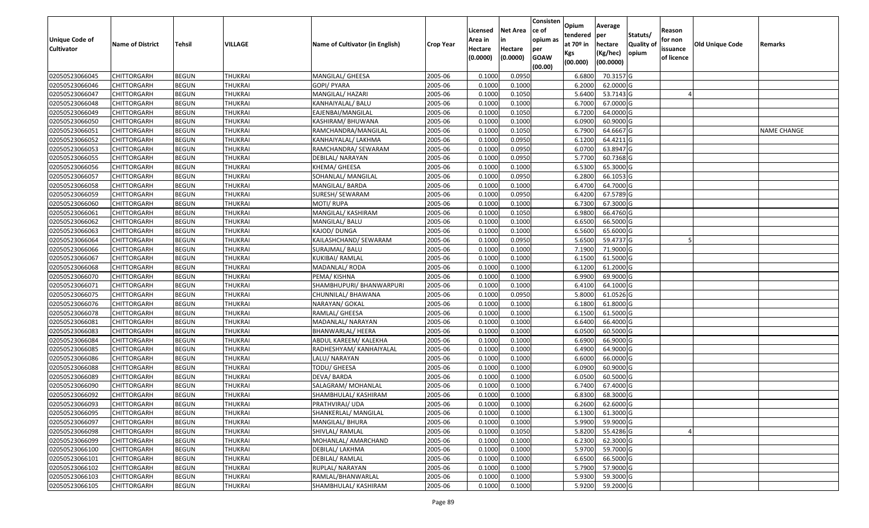| Unique Code of    |                         |               |                |                                 |                  | Licensed<br>Area in | <b>Net Area</b><br>in | Consisten<br>ce of<br>opium as | Opium<br>tendered              | Average<br>per                   | Statuts/                  | Reason<br>for non      |                 |                    |
|-------------------|-------------------------|---------------|----------------|---------------------------------|------------------|---------------------|-----------------------|--------------------------------|--------------------------------|----------------------------------|---------------------------|------------------------|-----------------|--------------------|
| <b>Cultivator</b> | <b>Name of District</b> | <b>Tehsil</b> | VILLAGE        | Name of Cultivator (in English) | <b>Crop Year</b> | Hectare<br>(0.0000) | Hectare<br>(0.0000)   | per<br><b>GOAW</b><br>(00.00)  | at $70°$ in<br>Kgs<br>(00.000) | hectare<br>(Kg/hec)<br>(00.0000) | <b>Quality o</b><br>opium | issuance<br>of licence | Old Unique Code | Remarks            |
| 02050523066045    | CHITTORGARH             | <b>BEGUN</b>  | <b>THUKRAI</b> | MANGILAL/ GHEESA                | 2005-06          | 0.1000              | 0.0950                |                                | 6.6800                         | 70.3157 G                        |                           |                        |                 |                    |
| 02050523066046    | CHITTORGARH             | <b>BEGUN</b>  | <b>THUKRAI</b> | GOPI/ PYARA                     | 2005-06          | 0.1000              | 0.1000                |                                | 6.2000                         | 62.0000G                         |                           |                        |                 |                    |
| 02050523066047    | CHITTORGARH             | <b>BEGUN</b>  | <b>THUKRAI</b> | MANGILAL/ HAZARI                | 2005-06          | 0.1000              | 0.1050                |                                | 5.6400                         | 53.7143 G                        |                           |                        |                 |                    |
| 02050523066048    | <b>CHITTORGARH</b>      | <b>BEGUN</b>  | <b>THUKRAI</b> | KANHAIYALAL/ BALU               | 2005-06          | 0.1000              | 0.1000                |                                | 6.7000                         | 67.0000G                         |                           |                        |                 |                    |
| 02050523066049    | CHITTORGARH             | <b>BEGUN</b>  | <b>THUKRAI</b> | EAJENBAI/MANGILAL               | 2005-06          | 0.1000              | 0.1050                |                                | 6.7200                         | 64.0000G                         |                           |                        |                 |                    |
| 02050523066050    | CHITTORGARH             | <b>BEGUN</b>  | <b>THUKRAI</b> | KASHIRAM/ BHUWANA               | 2005-06          | 0.1000              | 0.1000                |                                | 6.0900                         | 60.9000G                         |                           |                        |                 |                    |
| 02050523066051    | CHITTORGARH             | <b>BEGUN</b>  | <b>THUKRAI</b> | RAMCHANDRA/MANGILAL             | 2005-06          | 0.1000              | 0.1050                |                                | 6.7900                         | 64.6667 G                        |                           |                        |                 | <b>NAME CHANGE</b> |
| 02050523066052    | CHITTORGARH             | <b>BEGUN</b>  | <b>THUKRAI</b> | KANHAIYALAL/ LAKHMA             | 2005-06          | 0.1000              | 0.0950                |                                | 6.1200                         | 64.4211G                         |                           |                        |                 |                    |
| 02050523066053    | CHITTORGARH             | <b>BEGUN</b>  | <b>THUKRAI</b> | RAMCHANDRA/ SEWARAM             | 2005-06          | 0.1000              | 0.0950                |                                | 6.0700                         | 63.8947 G                        |                           |                        |                 |                    |
| 02050523066055    | CHITTORGARH             | <b>BEGUN</b>  | <b>THUKRAI</b> | DEBILAL/ NARAYAN                | 2005-06          | 0.1000              | 0.0950                |                                | 5.7700                         | 60.7368 G                        |                           |                        |                 |                    |
| 02050523066056    | CHITTORGARH             | <b>BEGUN</b>  | <b>THUKRAI</b> | KHEMA/ GHEESA                   | 2005-06          | 0.1000              | 0.1000                |                                | 6.5300                         | 65.3000G                         |                           |                        |                 |                    |
| 02050523066057    | CHITTORGARH             | <b>BEGUN</b>  | <b>THUKRAI</b> | SOHANLAL/ MANGILAL              | 2005-06          | 0.1000              | 0.0950                |                                | 6.2800                         | 66.1053 G                        |                           |                        |                 |                    |
| 02050523066058    | <b>CHITTORGARH</b>      | <b>BEGUN</b>  | <b>THUKRAI</b> | MANGILAL/ BARDA                 | 2005-06          | 0.1000              | 0.1000                |                                | 6.4700                         | 64.7000 G                        |                           |                        |                 |                    |
| 02050523066059    | CHITTORGARH             | <b>BEGUN</b>  | <b>THUKRAI</b> | SURESH/ SEWARAM                 | 2005-06          | 0.100               | 0.0950                |                                | 6.4200                         | 67.5789 G                        |                           |                        |                 |                    |
| 02050523066060    | CHITTORGARH             | <b>BEGUN</b>  | <b>THUKRAI</b> | MOTI/ RUPA                      | 2005-06          | 0.1000              | 0.1000                |                                | 6.7300                         | 67.3000 G                        |                           |                        |                 |                    |
| 02050523066061    | CHITTORGARH             | <b>BEGUN</b>  | <b>THUKRAI</b> | MANGILAL/ KASHIRAM              | 2005-06          | 0.1000              | 0.1050                |                                | 6.9800                         | 66.4760 G                        |                           |                        |                 |                    |
| 02050523066062    | CHITTORGARH             | <b>BEGUN</b>  | <b>THUKRAI</b> | MANGILAL/ BALU                  | 2005-06          | 0.1000              | 0.1000                |                                | 6.6500                         | 66.5000G                         |                           |                        |                 |                    |
| 02050523066063    | CHITTORGARH             | <b>BEGUN</b>  | <b>THUKRAI</b> | KAJOD/ DUNGA                    | 2005-06          | 0.100               | 0.1000                |                                | 6.5600                         | 65.6000 G                        |                           |                        |                 |                    |
| 02050523066064    | CHITTORGARH             | <b>BEGUN</b>  | <b>THUKRAI</b> | KAILASHCHAND/ SEWARAM           | 2005-06          | 0.1000              | 0.0950                |                                | 5.6500                         | 59.4737 G                        |                           |                        |                 |                    |
| 02050523066066    | CHITTORGARH             | <b>BEGUN</b>  | <b>THUKRAI</b> | SURAJMAL/BALU                   | 2005-06          | 0.1000              | 0.1000                |                                | 7.1900                         | 71.9000 G                        |                           |                        |                 |                    |
| 02050523066067    | CHITTORGARH             | <b>BEGUN</b>  | <b>THUKRAI</b> | KUKIBAI/ RAMLAL                 | 2005-06          | 0.1000              | 0.1000                |                                | 6.1500                         | 61.5000 G                        |                           |                        |                 |                    |
| 02050523066068    | CHITTORGARH             | <b>BEGUN</b>  | <b>THUKRAI</b> | MADANLAL/ RODA                  | 2005-06          | 0.1000              | 0.1000                |                                | 6.1200                         | 61.2000 G                        |                           |                        |                 |                    |
| 02050523066070    | CHITTORGARH             | <b>BEGUN</b>  | <b>THUKRAI</b> | PEMA/ KISHNA                    | 2005-06          | 0.1000              | 0.1000                |                                | 6.9900                         | 69.9000 G                        |                           |                        |                 |                    |
| 02050523066071    | CHITTORGARH             | <b>BEGUN</b>  | <b>THUKRAI</b> | SHAMBHUPURI/ BHANWARPURI        | 2005-06          | 0.1000              | 0.1000                |                                | 6.4100                         | 64.1000 G                        |                           |                        |                 |                    |
| 02050523066075    | <b>CHITTORGARH</b>      | <b>BEGUN</b>  | <b>THUKRAI</b> | CHUNNILAL/ BHAWANA              | 2005-06          | 0.1000              | 0.0950                |                                | 5.8000                         | 61.0526 G                        |                           |                        |                 |                    |
| 02050523066076    | CHITTORGARH             | <b>BEGUN</b>  | <b>THUKRAI</b> | NARAYAN/ GOKAL                  | 2005-06          | 0.1000              | 0.1000                |                                | 6.1800                         | 61.8000G                         |                           |                        |                 |                    |
| 02050523066078    | CHITTORGARH             | <b>BEGUN</b>  | <b>THUKRAI</b> | RAMLAL/ GHEESA                  | 2005-06          | 0.1000              | 0.1000                |                                | 6.1500                         | 61.5000G                         |                           |                        |                 |                    |
| 02050523066081    | CHITTORGARH             | <b>BEGUN</b>  | <b>THUKRAI</b> | MADANLAL/ NARAYAN               | 2005-06          | 0.1000              | 0.1000                |                                | 6.6400                         | 66.4000 G                        |                           |                        |                 |                    |
| 02050523066083    | CHITTORGARH             | <b>BEGUN</b>  | <b>THUKRAI</b> | BHANWARLAL/ HEERA               | 2005-06          | 0.1000              | 0.1000                |                                | 6.0500                         | 60.5000 G                        |                           |                        |                 |                    |
| 02050523066084    | CHITTORGARH             | <b>BEGUN</b>  | <b>THUKRAI</b> | ABDUL KAREEM/ KALEKHA           | 2005-06          | 0.1000              | 0.1000                |                                | 6.6900                         | 66.9000 G                        |                           |                        |                 |                    |
| 02050523066085    | CHITTORGARH             | <b>BEGUN</b>  | <b>THUKRAI</b> | RADHESHYAM/ KANHAIYALAL         | 2005-06          | 0.1000              | 0.1000                |                                | 6.4900                         | 64.9000 G                        |                           |                        |                 |                    |
| 02050523066086    | CHITTORGARH             | <b>BEGUN</b>  | <b>THUKRAI</b> | LALU/ NARAYAN                   | 2005-06          | 0.1000              | 0.1000                |                                | 6.6000                         | 66.0000G                         |                           |                        |                 |                    |
| 02050523066088    | CHITTORGARH             | <b>BEGUN</b>  | <b>THUKRAI</b> | TODU/ GHEESA                    | 2005-06          | 0.1000              | 0.1000                |                                | 6.0900                         | 60.9000 G                        |                           |                        |                 |                    |
| 02050523066089    | CHITTORGARH             | <b>BEGUN</b>  | <b>THUKRAI</b> | DEVA/BARDA                      | 2005-06          | 0.1000              | 0.1000                |                                | 6.0500                         | 60.5000 G                        |                           |                        |                 |                    |
| 02050523066090    | CHITTORGARH             | <b>BEGUN</b>  | <b>THUKRAI</b> | SALAGRAM/ MOHANLAL              | 2005-06          | 0.1000              | 0.1000                |                                | 6.7400                         | 67.4000 G                        |                           |                        |                 |                    |
| 02050523066092    | CHITTORGARH             | <b>BEGUN</b>  | <b>THUKRAI</b> | SHAMBHULAL/ KASHIRAM            | 2005-06          | 0.1000              | 0.1000                |                                | 6.8300                         | 68.3000 G                        |                           |                        |                 |                    |
| 02050523066093    | <b>CHITTORGARH</b>      | <b>BEGUN</b>  | <b>THUKRAI</b> | PRATHVIRAJ/ UDA                 | 2005-06          | 0.1000              | 0.1000                |                                | 6.2600                         | 62.6000 G                        |                           |                        |                 |                    |
| 02050523066095    | <b>CHITTORGARH</b>      | <b>BEGUN</b>  | <b>THUKRAI</b> | SHANKERLAL/ MANGILAL            | 2005-06          | 0.1000              | 0.1000                |                                | 6.1300                         | 61.3000 G                        |                           |                        |                 |                    |
| 02050523066097    | <b>CHITTORGARH</b>      | <b>BEGUN</b>  | <b>THUKRAI</b> | MANGILAL/ BHURA                 | 2005-06          | 0.1000              | 0.1000                |                                | 5.9900                         | 59.9000 G                        |                           |                        |                 |                    |
| 02050523066098    | <b>CHITTORGARH</b>      | <b>BEGUN</b>  | <b>THUKRAI</b> | SHIVLAL/RAMLAL                  | 2005-06          | 0.1000              | 0.1050                |                                | 5.8200                         | 55.4286 G                        |                           |                        |                 |                    |
| 02050523066099    | <b>CHITTORGARH</b>      | <b>BEGUN</b>  | <b>THUKRAI</b> | MOHANLAL/ AMARCHAND             | 2005-06          | 0.1000              | 0.1000                |                                | 6.2300                         | 62.3000 G                        |                           |                        |                 |                    |
| 02050523066100    | <b>CHITTORGARH</b>      | <b>BEGUN</b>  | <b>THUKRAI</b> | DEBILAL/ LAKHMA                 | 2005-06          | 0.1000              | 0.1000                |                                | 5.9700                         | 59.7000 G                        |                           |                        |                 |                    |
| 02050523066101    | <b>CHITTORGARH</b>      | <b>BEGUN</b>  | <b>THUKRAI</b> | DEBILAL/RAMLAL                  | 2005-06          | 0.1000              | 0.1000                |                                | 6.6500                         | 66.5000 G                        |                           |                        |                 |                    |
| 02050523066102    | <b>CHITTORGARH</b>      | <b>BEGUN</b>  | <b>THUKRAI</b> | RUPLAL/ NARAYAN                 | 2005-06          | 0.1000              | 0.1000                |                                | 5.7900                         | 57.9000 G                        |                           |                        |                 |                    |
| 02050523066103    | <b>CHITTORGARH</b>      | <b>BEGUN</b>  | <b>THUKRAI</b> | RAMLAL/BHANWARLAL               | 2005-06          | 0.1000              | 0.1000                |                                | 5.9300                         | 59.3000 G                        |                           |                        |                 |                    |
| 02050523066105    | <b>CHITTORGARH</b>      | <b>BEGUN</b>  | <b>THUKRAI</b> | SHAMBHULAL/ KASHIRAM            | 2005-06          | 0.1000              | 0.1000                |                                | 5.9200                         | 59.2000 G                        |                           |                        |                 |                    |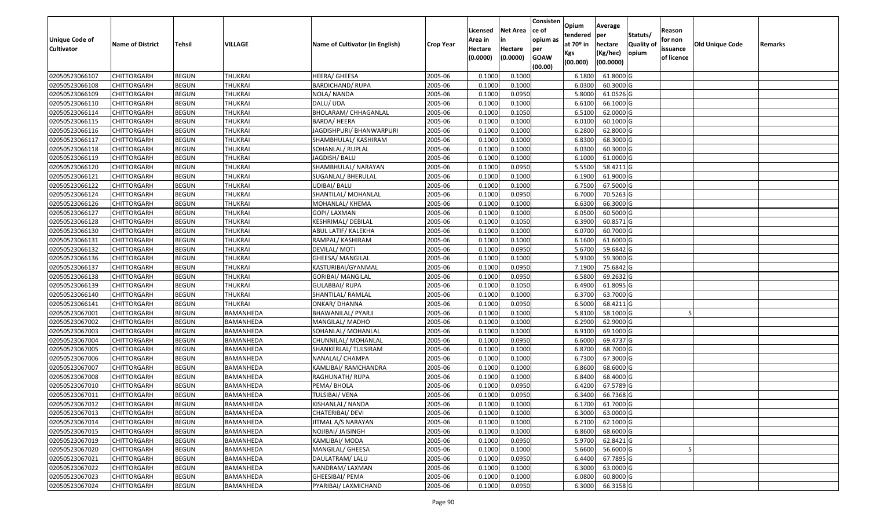| Unique Code of    | <b>Name of District</b> | Tehsil       | VILLAGE        | Name of Cultivator (in English) | <b>Crop Year</b> | Licensed<br>Area in | <b>Net Area</b><br>in | Consisten<br>ce of<br>opium as | Opium<br>tendered<br>at $70°$ in | Average<br>per<br>hectare | Statuts/<br><b>Quality o</b> | Reason<br>for non      | Old Unique Code | Remarks |
|-------------------|-------------------------|--------------|----------------|---------------------------------|------------------|---------------------|-----------------------|--------------------------------|----------------------------------|---------------------------|------------------------------|------------------------|-----------------|---------|
| <b>Cultivator</b> |                         |              |                |                                 |                  | Hectare<br>(0.0000) | Hectare<br>(0.0000)   | per<br><b>GOAW</b><br>(00.00)  | Kgs<br>(00.000)                  | (Kg/hec)<br>(00.0000)     | opium                        | issuance<br>of licence |                 |         |
| 02050523066107    | CHITTORGARH             | <b>BEGUN</b> | <b>THUKRAI</b> | HEERA/ GHEESA                   | 2005-06          | 0.1000              | 0.1000                |                                | 6.1800                           | 61.8000G                  |                              |                        |                 |         |
| 02050523066108    | CHITTORGARH             | <b>BEGUN</b> | <b>THUKRAI</b> | BARDICHAND/ RUPA                | 2005-06          | 0.1000              | 0.1000                |                                | 6.0300                           | 60.3000 G                 |                              |                        |                 |         |
| 02050523066109    | CHITTORGARH             | <b>BEGUN</b> | <b>THUKRAI</b> | NOLA/ NANDA                     | 2005-06          | 0.1000              | 0.0950                |                                | 5.8000                           | 61.0526 G                 |                              |                        |                 |         |
| 02050523066110    | <b>CHITTORGARH</b>      | <b>BEGUN</b> | <b>THUKRAI</b> | DALU/ UDA                       | 2005-06          | 0.1000              | 0.1000                |                                | 6.6100                           | 66.1000G                  |                              |                        |                 |         |
| 02050523066114    | CHITTORGARH             | <b>BEGUN</b> | <b>THUKRAI</b> | BHOLARAM/ CHHAGANLAL            | 2005-06          | 0.1000              | 0.1050                |                                | 6.5100                           | 62.0000G                  |                              |                        |                 |         |
| 02050523066115    | CHITTORGARH             | <b>BEGUN</b> | THUKRAI        | <b>BARDA/ HEERA</b>             | 2005-06          | 0.1000              | 0.1000                |                                | 6.0100                           | 60.1000 G                 |                              |                        |                 |         |
| 02050523066116    | CHITTORGARH             | <b>BEGUN</b> | <b>THUKRAI</b> | JAGDISHPURI/ BHANWARPURI        | 2005-06          | 0.1000              | 0.1000                |                                | 6.2800                           | 62.8000 G                 |                              |                        |                 |         |
| 02050523066117    | CHITTORGARH             | <b>BEGUN</b> | <b>THUKRAI</b> | SHAMBHULAL/ KASHIRAM            | 2005-06          | 0.1000              | 0.1000                |                                | 6.8300                           | 68.3000 G                 |                              |                        |                 |         |
| 02050523066118    | CHITTORGARH             | <b>BEGUN</b> | <b>THUKRAI</b> | SOHANLAL/ RUPLAL                | 2005-06          | 0.1000              | 0.1000                |                                | 6.0300                           | 60.3000 G                 |                              |                        |                 |         |
| 02050523066119    | CHITTORGARH             | <b>BEGUN</b> | <b>THUKRAI</b> | JAGDISH/BALU                    | 2005-06          | 0.1000              | 0.1000                |                                | 6.1000                           | 61.0000 G                 |                              |                        |                 |         |
| 02050523066120    | CHITTORGARH             | <b>BEGUN</b> | <b>THUKRAI</b> | SHAMBHULAL/ NARAYAN             | 2005-06          | 0.1000              | 0.0950                |                                | 5.5500                           | 58.4211 G                 |                              |                        |                 |         |
| 02050523066121    | <b>CHITTORGARH</b>      | <b>BEGUN</b> | <b>THUKRAI</b> | SUGANLAL/ BHERULAL              | 2005-06          | 0.1000              | 0.1000                |                                | 6.1900                           | 61.9000 G                 |                              |                        |                 |         |
| 02050523066122    | <b>CHITTORGARH</b>      | <b>BEGUN</b> | <b>THUKRAI</b> | UDIBAI/ BALU                    | 2005-06          | 0.1000              | 0.1000                |                                | 6.7500                           | 67.5000 G                 |                              |                        |                 |         |
| 02050523066124    | CHITTORGARH             | <b>BEGUN</b> | <b>THUKRAI</b> | SHANTILAL/ MOHANLAL             | 2005-06          | 0.1000              | 0.0950                |                                | 6.7000                           | 70.5263 G                 |                              |                        |                 |         |
| 02050523066126    | <b>CHITTORGARH</b>      | <b>BEGUN</b> | <b>THUKRAI</b> | MOHANLAL/ KHEMA                 | 2005-06          | 0.1000              | 0.1000                |                                | 6.6300                           | 66.3000 G                 |                              |                        |                 |         |
| 02050523066127    | <b>CHITTORGARH</b>      | <b>BEGUN</b> | <b>THUKRAI</b> | GOPI/ LAXMAN                    | 2005-06          | 0.1000              | 0.1000                |                                | 6.0500                           | 60.5000 G                 |                              |                        |                 |         |
| 02050523066128    | CHITTORGARH             | <b>BEGUN</b> | <b>THUKRAI</b> | KESHRIMAL/ DEBILAL              | 2005-06          | 0.1000              | 0.1050                |                                | 6.3900                           | 60.8571G                  |                              |                        |                 |         |
| 02050523066130    | CHITTORGARH             | <b>BEGUN</b> | <b>THUKRAI</b> | ABUL LATIF/ KALEKHA             | 2005-06          | 0.1000              | 0.1000                |                                | 6.0700                           | 60.7000 G                 |                              |                        |                 |         |
| 02050523066131    | CHITTORGARH             | <b>BEGUN</b> | <b>THUKRAI</b> | RAMPAL/ KASHIRAM                | 2005-06          | 0.1000              | 0.1000                |                                | 6.1600                           | 61.6000G                  |                              |                        |                 |         |
| 02050523066132    | CHITTORGARH             | <b>BEGUN</b> | <b>THUKRAI</b> | DEVILAL/ MOTI                   | 2005-06          | 0.1000              | 0.0950                |                                | 5.6700                           | 59.6842 G                 |                              |                        |                 |         |
| 02050523066136    | CHITTORGARH             | <b>BEGUN</b> | <b>THUKRAI</b> | GHEESA/ MANGILAL                | 2005-06          | 0.100               | 0.1000                |                                | 5.9300                           | 59.3000 G                 |                              |                        |                 |         |
| 02050523066137    | CHITTORGARH             | <b>BEGUN</b> | <b>THUKRAI</b> | KASTURIBAI/GYANMAL              | 2005-06          | 0.100               | 0.0950                |                                | 7.1900                           | 75.6842 G                 |                              |                        |                 |         |
| 02050523066138    | CHITTORGARH             | <b>BEGUN</b> | <b>THUKRAI</b> | GORIBAI/ MANGILAL               | 2005-06          | 0.1000              | 0.0950                |                                | 6.5800                           | 69.2632 G                 |                              |                        |                 |         |
| 02050523066139    | <b>CHITTORGARH</b>      | <b>BEGUN</b> | <b>THUKRAI</b> | <b>GULABBAI/ RUPA</b>           | 2005-06          | 0.100               | 0.1050                |                                | 6.4900                           | 61.8095 G                 |                              |                        |                 |         |
| 02050523066140    | <b>CHITTORGARH</b>      | <b>BEGUN</b> | <b>THUKRAI</b> | SHANTILAL/ RAMLAL               | 2005-06          | 0.1000              | 0.1000                |                                | 6.3700                           | 63.7000 G                 |                              |                        |                 |         |
| 02050523066141    | CHITTORGARH             | <b>BEGUN</b> | <b>THUKRAI</b> | ONKAR/ DHANNA                   | 2005-06          | 0.1000              | 0.0950                |                                | 6.5000                           | 68.4211G                  |                              |                        |                 |         |
| 02050523067001    | CHITTORGARH             | <b>BEGUN</b> | BAMANHEDA      | BHAWANILAL/ PYARJI              | 2005-06          | 0.100               | 0.1000                |                                | 5.8100                           | 58.1000G                  |                              |                        |                 |         |
| 02050523067002    | CHITTORGARH             | <b>BEGUN</b> | BAMANHEDA      | MANGILAL/ MADHO                 | 2005-06          | 0.1000              | 0.1000                |                                | 6.2900                           | 62.9000 G                 |                              |                        |                 |         |
| 02050523067003    | CHITTORGARH             | <b>BEGUN</b> | BAMANHEDA      | SOHANLAL/ MOHANLAL              | 2005-06          | 0.1000              | 0.1000                |                                | 6.9100                           | 69.1000 G                 |                              |                        |                 |         |
| 02050523067004    | CHITTORGARH             | <b>BEGUN</b> | BAMANHEDA      | CHUNNILAL/ MOHANLAL             | 2005-06          | 0.1000              | 0.0950                |                                | 6.6000                           | 69.4737 G                 |                              |                        |                 |         |
| 02050523067005    | CHITTORGARH             | <b>BEGUN</b> | BAMANHEDA      | SHANKERLAL/ TULSIRAM            | 2005-06          | 0.1000              | 0.1000                |                                | 6.8700                           | 68.7000 G                 |                              |                        |                 |         |
| 02050523067006    | CHITTORGARH             | <b>BEGUN</b> | BAMANHEDA      | NANALAL/ CHAMPA                 | 2005-06          | 0.1000              | 0.1000                |                                | 6.7300                           | 67.3000 G                 |                              |                        |                 |         |
| 02050523067007    | CHITTORGARH             | <b>BEGUN</b> | BAMANHEDA      | KAMLIBAI/ RAMCHANDRA            | 2005-06          | 0.100               | 0.1000                |                                | 6.8600                           | 68.6000G                  |                              |                        |                 |         |
| 02050523067008    | CHITTORGARH             | <b>BEGUN</b> | BAMANHEDA      | RAGHUNATH/RUPA                  | 2005-06          | 0.1000              | 0.1000                |                                | 6.8400                           | 68.4000 G                 |                              |                        |                 |         |
| 02050523067010    | CHITTORGARH             | <b>BEGUN</b> | BAMANHEDA      | PEMA/ BHOLA                     | 2005-06          | 0.1000              | 0.0950                |                                | 6.4200                           | 67.5789 G                 |                              |                        |                 |         |
| 02050523067011    | CHITTORGARH             | <b>BEGUN</b> | BAMANHEDA      | TULSIBAI/ VENA                  | 2005-06          | 0.1000              | 0.0950                |                                | 6.3400                           | 66.7368 G                 |                              |                        |                 |         |
| 02050523067012    | <b>CHITTORGARH</b>      | <b>BEGUN</b> | BAMANHEDA      | KISHANLAL/ NANDA                | 2005-06          | 0.1000              | 0.1000                |                                | 6.1700                           | $61.7000$ G               |                              |                        |                 |         |
| 02050523067013    | <b>CHITTORGARH</b>      | <b>BEGUN</b> | BAMANHEDA      | CHATERIBAI/ DEVI                | 2005-06          | 0.1000              | 0.1000                |                                | 6.3000                           | 63.0000 G                 |                              |                        |                 |         |
| 02050523067014    | <b>CHITTORGARH</b>      | <b>BEGUN</b> | BAMANHEDA      | JITMAL A/S NARAYAN              | 2005-06          | 0.1000              | 0.1000                |                                | 6.2100                           | 62.1000 G                 |                              |                        |                 |         |
| 02050523067015    | <b>CHITTORGARH</b>      | <b>BEGUN</b> | BAMANHEDA      | NOJIBAI/ JAISINGH               | 2005-06          | 0.1000              | 0.1000                |                                | 6.8600                           | 68.6000 G                 |                              |                        |                 |         |
| 02050523067019    | CHITTORGARH             | <b>BEGUN</b> | BAMANHEDA      | KAMLIBAI/ MODA                  | 2005-06          | 0.1000              | 0.0950                |                                | 5.9700                           | 62.8421 G                 |                              |                        |                 |         |
| 02050523067020    | <b>CHITTORGARH</b>      | <b>BEGUN</b> | BAMANHEDA      | MANGILAL/ GHEESA                | 2005-06          | 0.1000              | 0.1000                |                                | 5.6600                           | 56.6000 G                 |                              |                        |                 |         |
| 02050523067021    | <b>CHITTORGARH</b>      | <b>BEGUN</b> | BAMANHEDA      | DAULATRAM/ LALU                 | 2005-06          | 0.1000              | 0.0950                |                                | 6.4400                           | 67.7895 G                 |                              |                        |                 |         |
| 02050523067022    | <b>CHITTORGARH</b>      | <b>BEGUN</b> | BAMANHEDA      | NANDRAM/LAXMAN                  | 2005-06          | 0.1000              | 0.1000                |                                | 6.3000                           | 63.0000 G                 |                              |                        |                 |         |
| 02050523067023    | <b>CHITTORGARH</b>      | <b>BEGUN</b> | BAMANHEDA      | GHEESIBAI/ PEMA                 | 2005-06          | 0.1000              | 0.1000                |                                | 6.0800                           | 60.8000 G                 |                              |                        |                 |         |
| 02050523067024    | <b>CHITTORGARH</b>      | <b>BEGUN</b> | BAMANHEDA      | PYARIBAI/ LAXMICHAND            | 2005-06          | 0.1000              | 0.0950                |                                | 6.3000                           | 66.3158 G                 |                              |                        |                 |         |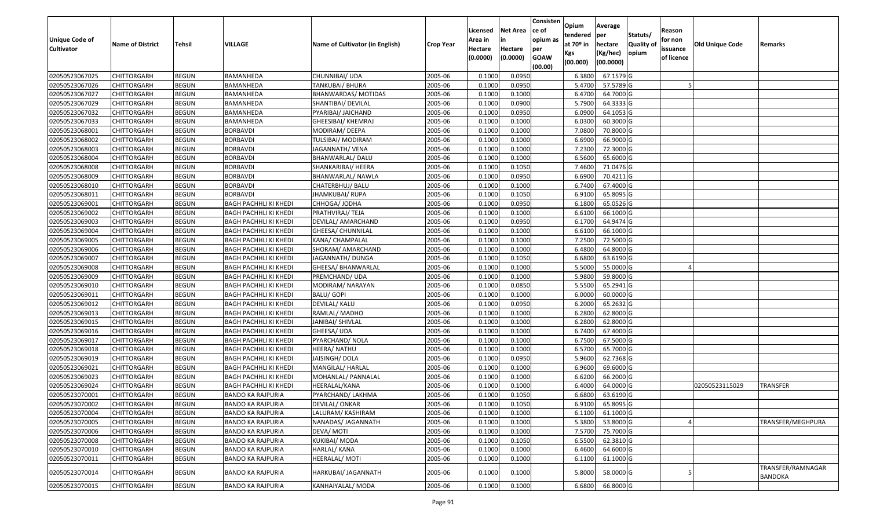| <b>Unique Code of</b> | <b>Name of District</b> | Tehsil       | VILLAGE                      | Name of Cultivator (in English) | <b>Crop Year</b> | Licensed<br>Area in | <b>Net Area</b><br>in | Consisten<br>ce of<br>opium as | Opium<br>tendered<br>at $70°$ in | Average<br>per<br>hectare | Statuts/<br>Quality o | Reason<br>for non      | <b>Old Unique Code</b> | Remarks                             |
|-----------------------|-------------------------|--------------|------------------------------|---------------------------------|------------------|---------------------|-----------------------|--------------------------------|----------------------------------|---------------------------|-----------------------|------------------------|------------------------|-------------------------------------|
| <b>Cultivator</b>     |                         |              |                              |                                 |                  | Hectare<br>(0.0000) | Hectare<br>(0.0000)   | per<br><b>GOAW</b><br>(00.00)  | Kgs<br>(00.000)                  | (Kg/hec)<br>(00.0000)     | opium                 | issuance<br>of licence |                        |                                     |
| 02050523067025        | CHITTORGARH             | <b>BEGUN</b> | BAMANHEDA                    | CHUNNIBAI/ UDA                  | 2005-06          | 0.1000              | 0.0950                |                                | 6.3800                           | 67.1579 G                 |                       |                        |                        |                                     |
| 02050523067026        | CHITTORGARH             | <b>BEGUN</b> | BAMANHEDA                    | TANKUBAI/ BHURA                 | 2005-06          | 0.1000              | 0.0950                |                                | 5.4700                           | 57.5789 G                 |                       |                        |                        |                                     |
| 02050523067027        | CHITTORGARH             | <b>BEGUN</b> | BAMANHEDA                    | BHANWARDAS/ MOTIDAS             | 2005-06          | 0.1000              | 0.1000                |                                | 6.4700                           | 64.7000 G                 |                       |                        |                        |                                     |
| 02050523067029        | <b>CHITTORGARH</b>      | <b>BEGUN</b> | BAMANHEDA                    | SHANTIBAI/ DEVILAL              | 2005-06          | 0.1000              | 0.0900                |                                | 5.7900                           | 64.3333 G                 |                       |                        |                        |                                     |
| 02050523067032        | CHITTORGARH             | <b>BEGUN</b> | BAMANHEDA                    | PYARIBAI/ JAICHAND              | 2005-06          | 0.1000              | 0.0950                |                                | 6.0900                           | 64.1053 G                 |                       |                        |                        |                                     |
| 02050523067033        | CHITTORGARH             | <b>BEGUN</b> | BAMANHEDA                    | GHEESIBAI/ KHEMRAJ              | 2005-06          | 0.1000              | 0.1000                |                                | 6.0300                           | 60.3000 G                 |                       |                        |                        |                                     |
| 02050523068001        | CHITTORGARH             | <b>BEGUN</b> | <b>BORBAVDI</b>              | MODIRAM/ DEEPA                  | 2005-06          | 0.1000              | 0.1000                |                                | 7.0800                           | 70.8000 G                 |                       |                        |                        |                                     |
| 02050523068002        | CHITTORGARH             | <b>BEGUN</b> | <b>BORBAVDI</b>              | TULSIBAI/ MODIRAM               | 2005-06          | 0.1000              | 0.1000                |                                | 6.6900                           | 66.9000G                  |                       |                        |                        |                                     |
| 02050523068003        | <b>CHITTORGARH</b>      | <b>BEGUN</b> | <b>BORBAVDI</b>              | JAGANNATH/ VENA                 | 2005-06          | 0.1000              | 0.1000                |                                | 7.2300                           | 72.3000G                  |                       |                        |                        |                                     |
| 02050523068004        | CHITTORGARH             | <b>BEGUN</b> | <b>BORBAVDI</b>              | BHANWARLAL/ DALU                | 2005-06          | 0.1000              | 0.1000                |                                | 6.5600                           | 65.6000 G                 |                       |                        |                        |                                     |
| 02050523068008        | CHITTORGARH             | <b>BEGUN</b> | <b>BORBAVDI</b>              | SHANKARIBAI/ HEERA              | 2005-06          | 0.1000              | 0.1050                |                                | 7.4600                           | 71.0476 G                 |                       |                        |                        |                                     |
| 02050523068009        | CHITTORGARH             | <b>BEGUN</b> | <b>BORBAVDI</b>              | BHANWARLAL/ NAWLA               | 2005-06          | 0.1000              | 0.0950                |                                | 6.6900                           | 70.4211 G                 |                       |                        |                        |                                     |
| 02050523068010        | <b>CHITTORGARH</b>      | <b>BEGUN</b> | <b>BORBAVDI</b>              | CHATERBHUJ/ BALU                | 2005-06          | 0.1000              | 0.1000                |                                | 6.7400                           | 67.4000 G                 |                       |                        |                        |                                     |
| 02050523068011        | <b>CHITTORGARH</b>      | <b>BEGUN</b> | <b>BORBAVDI</b>              | JHAMKUBAI/RUPA                  | 2005-06          | 0.1000              | 0.1050                |                                | 6.9100                           | 65.8095 G                 |                       |                        |                        |                                     |
| 02050523069001        | CHITTORGARH             | <b>BEGUN</b> | <b>BAGH PACHHLI KI KHEDI</b> | CHHOGA/ JODHA                   | 2005-06          | 0.1000              | 0.0950                |                                | 6.1800                           | 65.0526 G                 |                       |                        |                        |                                     |
| 02050523069002        | <b>CHITTORGARH</b>      | <b>BEGUN</b> | BAGH PACHHLI KI KHEDI        | PRATHVIRAJ/ TEJA                | 2005-06          | 0.1000              | 0.1000                |                                | 6.6100                           | 66.1000G                  |                       |                        |                        |                                     |
| 02050523069003        | <b>CHITTORGARH</b>      | <b>BEGUN</b> | <b>BAGH PACHHLI KI KHEDI</b> | DEVILAL/ AMARCHAND              | 2005-06          | 0.1000              | 0.0950                |                                | 6.1700                           | 64.9474 G                 |                       |                        |                        |                                     |
| 02050523069004        | CHITTORGARH             | <b>BEGUN</b> | BAGH PACHHLI KI KHEDI        | GHEESA/ CHUNNILAL               | 2005-06          | 0.1000              | 0.1000                |                                | 6.6100                           | 66.1000G                  |                       |                        |                        |                                     |
| 02050523069005        | CHITTORGARH             | <b>BEGUN</b> | <b>BAGH PACHHLI KI KHEDI</b> | KANA/ CHAMPALAL                 | 2005-06          | 0.100               | 0.1000                |                                | 7.2500                           | 72.5000G                  |                       |                        |                        |                                     |
| 02050523069006        | CHITTORGARH             | <b>BEGUN</b> | BAGH PACHHLI KI KHEDI        | SHORAM/ AMARCHAND               | 2005-06          | 0.1000              | 0.1000                |                                | 6.4800                           | 64.8000 G                 |                       |                        |                        |                                     |
| 02050523069007        | CHITTORGARH             | <b>BEGUN</b> | <b>BAGH PACHHLI KI KHEDI</b> | JAGANNATH/DUNGA                 | 2005-06          | 0.1000              | 0.1050                |                                | 6.6800                           | 63.6190 G                 |                       |                        |                        |                                     |
| 02050523069008        | CHITTORGARH             | <b>BEGUN</b> | BAGH PACHHLI KI KHEDI        | GHEESA/ BHANWARLAL              | 2005-06          | 0.100               | 0.1000                |                                | 5.5000                           | 55.0000G                  |                       |                        |                        |                                     |
| 02050523069009        | CHITTORGARH             | <b>BEGUN</b> | <b>BAGH PACHHLI KI KHEDI</b> | PREMCHAND/ UDA                  | 2005-06          | 0.1000              | 0.1000                |                                | 5.9800                           | 59.8000 G                 |                       |                        |                        |                                     |
| 02050523069010        | <b>CHITTORGARH</b>      | <b>BEGUN</b> | <b>BAGH PACHHLI KI KHEDI</b> | MODIRAM/ NARAYAN                | 2005-06          | 0.1000              | 0.0850                |                                | 5.5500                           | 65.2941 G                 |                       |                        |                        |                                     |
| 02050523069011        | <b>CHITTORGARH</b>      | <b>BEGUN</b> | <b>BAGH PACHHLI KI KHEDI</b> | <b>BALU/ GOPI</b>               | 2005-06          | 0.1000              | 0.1000                |                                | 6.0000                           | 60.0000G                  |                       |                        |                        |                                     |
| 02050523069012        | CHITTORGARH             | <b>BEGUN</b> | BAGH PACHHLI KI KHEDI        | DEVILAL/ KALU                   | 2005-06          | 0.1000              | 0.0950                |                                | 6.2000                           | 65.2632 G                 |                       |                        |                        |                                     |
| 02050523069013        | CHITTORGARH             | <b>BEGUN</b> | BAGH PACHHLI KI KHEDI        | RAMLAL/ MADHO                   | 2005-06          | 0.1000              | 0.1000                |                                | 6.2800                           | 62.8000 G                 |                       |                        |                        |                                     |
| 02050523069015        | CHITTORGARH             | <b>BEGUN</b> | <b>BAGH PACHHLI KI KHEDI</b> | JANIBAI/ SHIVLAL                | 2005-06          | 0.1000              | 0.1000                |                                | 6.2800                           | 62.8000 G                 |                       |                        |                        |                                     |
| 02050523069016        | CHITTORGARH             | <b>BEGUN</b> | <b>BAGH PACHHLI KI KHEDI</b> | GHEESA/ UDA                     | 2005-06          | 0.1000              | 0.1000                |                                | 6.7400                           | 67.4000 G                 |                       |                        |                        |                                     |
| 02050523069017        | CHITTORGARH             | <b>BEGUN</b> | BAGH PACHHLI KI KHEDI        | PYARCHAND/NOLA                  | 2005-06          | 0.1000              | 0.1000                |                                | 6.7500                           | 67.5000 G                 |                       |                        |                        |                                     |
| 02050523069018        | CHITTORGARH             | <b>BEGUN</b> | <b>BAGH PACHHLI KI KHEDI</b> | HEERA/ NATHU                    | 2005-06          | 0.1000              | 0.1000                |                                | 6.5700                           | 65.7000 G                 |                       |                        |                        |                                     |
| 02050523069019        | CHITTORGARH             | <b>BEGUN</b> | BAGH PACHHLI KI KHEDI        | JAISINGH/ DOLA                  | 2005-06          | 0.1000              | 0.0950                |                                | 5.9600                           | 62.7368 G                 |                       |                        |                        |                                     |
| 02050523069021        | CHITTORGARH             | <b>BEGUN</b> | <b>BAGH PACHHLI KI KHEDI</b> | MANGILAL/ HARLAL                | 2005-06          | 0.1000              | 0.1000                |                                | 6.9600                           | 69.6000G                  |                       |                        |                        |                                     |
| 02050523069023        | <b>CHITTORGARH</b>      | <b>BEGUN</b> | BAGH PACHHLI KI KHEDI        | MOHANLAL/ PANNALAL              | 2005-06          | 0.1000              | 0.1000                |                                | 6.6200                           | 66.2000 G                 |                       |                        |                        |                                     |
| 02050523069024        | CHITTORGARH             | <b>BEGUN</b> | <b>BAGH PACHHLI KI KHEDI</b> | HEERALAL/KANA                   | 2005-06          | 0.1000              | 0.1000                |                                | 6.4000                           | 64.0000 G                 |                       |                        | 02050523115029         | TRANSFER                            |
| 02050523070001        | CHITTORGARH             | <b>BEGUN</b> | <b>BANDO KA RAJPURIA</b>     | PYARCHAND/ LAKHMA               | 2005-06          | 0.1000              | 0.1050                |                                | 6.6800                           | 63.6190 G                 |                       |                        |                        |                                     |
| 02050523070002        | <b>CHITTORGARH</b>      | <b>BEGUN</b> | <b>BANDO KA RAJPURIA</b>     | <b>DEVILAL/ ONKAR</b>           | 2005-06          | 0.1000              | 0.1050                |                                | 6.9100                           | 65.8095 G                 |                       |                        |                        |                                     |
| 02050523070004        | <b>CHITTORGARH</b>      | <b>BEGUN</b> | <b>BANDO KA RAJPURIA</b>     | LALURAM/ KASHIRAM               | 2005-06          | 0.1000              | 0.1000                |                                | 6.1100                           | 61.1000 G                 |                       |                        |                        |                                     |
| 02050523070005        | <b>CHITTORGARH</b>      | <b>BEGUN</b> | <b>BANDO KA RAJPURIA</b>     | NANADAS/ JAGANNATH              | 2005-06          | 0.1000              | 0.1000                |                                | 5.3800                           | 53.8000 G                 |                       |                        |                        | TRANSFER/MEGHPURA                   |
| 02050523070006        | <b>CHITTORGARH</b>      | <b>BEGUN</b> | <b>BANDO KA RAJPURIA</b>     | DEVA/MOTI                       | 2005-06          | 0.1000              | 0.1000                |                                | 7.5700                           | 75.7000 G                 |                       |                        |                        |                                     |
| 02050523070008        | CHITTORGARH             | <b>BEGUN</b> | <b>BANDO KA RAJPURIA</b>     | KUKIBAI/ MODA                   | 2005-06          | 0.1000              | 0.1050                |                                | 6.5500                           | 62.3810 G                 |                       |                        |                        |                                     |
| 02050523070010        | <b>CHITTORGARH</b>      | <b>BEGUN</b> | <b>BANDO KA RAJPURIA</b>     | HARLAL/ KANA                    | 2005-06          | 0.1000              | 0.1000                |                                | 6.4600                           | 64.6000 G                 |                       |                        |                        |                                     |
| 02050523070011        | <b>CHITTORGARH</b>      | <b>BEGUN</b> | <b>BANDO KA RAJPURIA</b>     | HEERALAL/ MOTI                  | 2005-06          | 0.1000              | 0.1000                |                                | 6.1100                           | 61.1000 G                 |                       |                        |                        |                                     |
| 02050523070014        | CHITTORGARH             | <b>BEGUN</b> | <b>BANDO KA RAJPURIA</b>     | HARKUBAI/ JAGANNATH             | 2005-06          | 0.1000              | 0.1000                |                                | 5.8000                           | 58.0000 G                 |                       |                        |                        | TRANSFER/RAMNAGAR<br><b>BANDOKA</b> |
| 02050523070015        | <b>CHITTORGARH</b>      | <b>BEGUN</b> | <b>BANDO KA RAJPURIA</b>     | KANHAIYALAL/ MODA               | 2005-06          | 0.1000              | 0.1000                |                                | 6.6800                           | 66.8000 G                 |                       |                        |                        |                                     |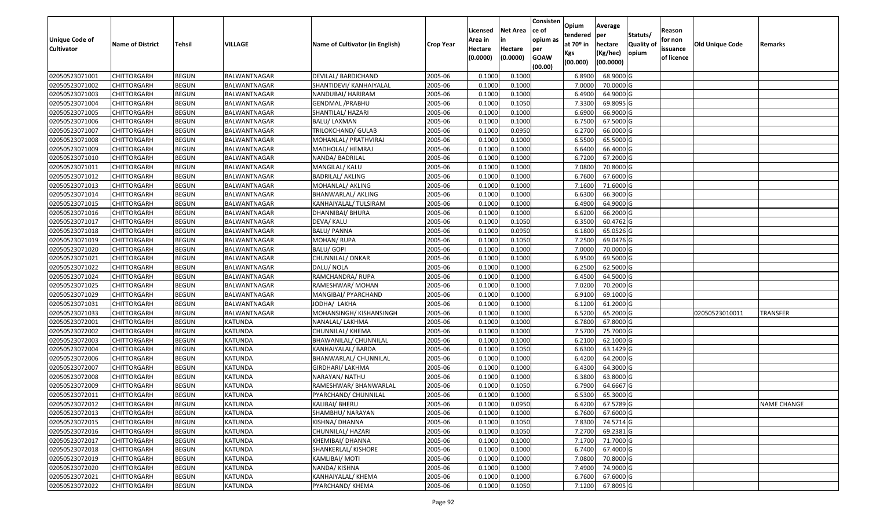| <b>Unique Code of</b> |                         |              |                |                                 |                  | Licensed<br>Area in | <b>Net Area</b><br>in | Consisten<br>ce of<br>opium as | Opium<br>tendered              | Average<br>per                   | Statuts/                  | Reason<br>for non      |                 |                    |
|-----------------------|-------------------------|--------------|----------------|---------------------------------|------------------|---------------------|-----------------------|--------------------------------|--------------------------------|----------------------------------|---------------------------|------------------------|-----------------|--------------------|
| <b>Cultivator</b>     | <b>Name of District</b> | Tehsil       | VILLAGE        | Name of Cultivator (in English) | <b>Crop Year</b> | Hectare<br>(0.0000) | Hectare<br>(0.0000)   | per<br><b>GOAW</b><br>(00.00)  | at $70°$ in<br>Kgs<br>(00.000) | hectare<br>(Kg/hec)<br>(00.0000) | <b>Quality o</b><br>opium | issuance<br>of licence | Old Unique Code | Remarks            |
| 02050523071001        | CHITTORGARH             | <b>BEGUN</b> | BALWANTNAGAR   | DEVILAL/ BARDICHAND             | 2005-06          | 0.1000              | 0.1000                |                                | 6.8900                         | 68.9000 G                        |                           |                        |                 |                    |
| 02050523071002        | CHITTORGARH             | <b>BEGUN</b> | BALWANTNAGAR   | SHANTIDEVI/ KANHAIYALAL         | 2005-06          | 0.1000              | 0.1000                |                                | 7.0000                         | 70.0000G                         |                           |                        |                 |                    |
| 02050523071003        | CHITTORGARH             | <b>BEGUN</b> | BALWANTNAGAR   | NANDUBAI/ HARIRAM               | 2005-06          | 0.1000              | 0.1000                |                                | 6.4900                         | 64.9000 G                        |                           |                        |                 |                    |
| 02050523071004        | <b>CHITTORGARH</b>      | <b>BEGUN</b> | BALWANTNAGAR   | <b>GENDMAL / PRABHU</b>         | 2005-06          | 0.1000              | 0.1050                |                                | 7.3300                         | 69.8095 G                        |                           |                        |                 |                    |
| 02050523071005        | CHITTORGARH             | <b>BEGUN</b> | BALWANTNAGAR   | SHANTILAL/ HAZARI               | 2005-06          | 0.1000              | 0.1000                |                                | 6.6900                         | 66.9000 G                        |                           |                        |                 |                    |
| 02050523071006        | CHITTORGARH             | <b>BEGUN</b> | BALWANTNAGAR   | BALU/ LAXMAN                    | 2005-06          | 0.1000              | 0.1000                |                                | 6.7500                         | 67.5000 G                        |                           |                        |                 |                    |
| 02050523071007        | CHITTORGARH             | <b>BEGUN</b> | BALWANTNAGAR   | TRILOKCHAND/ GULAB              | 2005-06          | 0.1000              | 0.0950                |                                | 6.2700                         | 66.0000 G                        |                           |                        |                 |                    |
| 02050523071008        | <b>CHITTORGARH</b>      | <b>BEGUN</b> | BALWANTNAGAR   | MOHANLAL/ PRATHVIRAJ            | 2005-06          | 0.1000              | 0.1000                |                                | 6.5500                         | 65.5000G                         |                           |                        |                 |                    |
| 02050523071009        | CHITTORGARH             | <b>BEGUN</b> | BALWANTNAGAR   | MADHOLAL/ HEMRAJ                | 2005-06          | 0.1000              | 0.1000                |                                | 6.6400                         | 66.4000 G                        |                           |                        |                 |                    |
| 02050523071010        | CHITTORGARH             | <b>BEGUN</b> | BALWANTNAGAR   | NANDA/ BADRILAL                 | 2005-06          | 0.1000              | 0.1000                |                                | 6.7200                         | 67.2000 G                        |                           |                        |                 |                    |
| 02050523071011        | CHITTORGARH             | <b>BEGUN</b> | BALWANTNAGAR   | MANGILAL/ KALU                  | 2005-06          | 0.1000              | 0.1000                |                                | 7.0800                         | 70.8000 G                        |                           |                        |                 |                    |
| 02050523071012        | <b>CHITTORGARH</b>      | <b>BEGUN</b> | BALWANTNAGAR   | <b>BADRILAL/ AKLING</b>         | 2005-06          | 0.1000              | 0.1000                |                                | 6.7600                         | 67.6000 G                        |                           |                        |                 |                    |
| 02050523071013        | <b>CHITTORGARH</b>      | <b>BEGUN</b> | BALWANTNAGAR   | MOHANLAL/ AKLING                | 2005-06          | 0.1000              | 0.1000                |                                | 7.1600                         | 71.6000 G                        |                           |                        |                 |                    |
| 02050523071014        | <b>CHITTORGARH</b>      | <b>BEGUN</b> | BALWANTNAGAR   | BHANWARLAL/ AKLING              | 2005-06          | 0.100               | 0.1000                |                                | 6.6300                         | 66.3000G                         |                           |                        |                 |                    |
| 02050523071015        | CHITTORGARH             | <b>BEGUN</b> | BALWANTNAGAR   | KANHAIYALAL/ TULSIRAM           | 2005-06          | 0.1000              | 0.1000                |                                | 6.4900                         | 64.9000 G                        |                           |                        |                 |                    |
| 02050523071016        | <b>CHITTORGARH</b>      | <b>BEGUN</b> | BALWANTNAGAR   | DHANNIBAI/ BHURA                | 2005-06          | 0.1000              | 0.1000                |                                | 6.6200                         | 66.2000 G                        |                           |                        |                 |                    |
| 02050523071017        | <b>CHITTORGARH</b>      | <b>BEGUN</b> | BALWANTNAGAR   | DEVA/ KALU                      | 2005-06          | 0.1000              | 0.1050                |                                | 6.3500                         | 60.4762 G                        |                           |                        |                 |                    |
| 02050523071018        | CHITTORGARH             | <b>BEGUN</b> | BALWANTNAGAR   | <b>BALU/ PANNA</b>              | 2005-06          | 0.100               | 0.0950                |                                | 6.1800                         | 65.0526 G                        |                           |                        |                 |                    |
| 02050523071019        | CHITTORGARH             | <b>BEGUN</b> | BALWANTNAGAR   | MOHAN/RUPA                      | 2005-06          | 0.100               | 0.1050                |                                | 7.2500                         | 69.0476 G                        |                           |                        |                 |                    |
| 02050523071020        | CHITTORGARH             | <b>BEGUN</b> | BALWANTNAGAR   | BALU/ GOPI                      | 2005-06          | 0.1000              | 0.1000                |                                | 7.0000                         | 70.0000G                         |                           |                        |                 |                    |
| 02050523071021        | CHITTORGARH             | <b>BEGUN</b> | BALWANTNAGAR   | CHUNNILAL/ ONKAR                | 2005-06          | 0.100               | 0.1000                |                                | 6.9500                         | 69.5000G                         |                           |                        |                 |                    |
| 02050523071022        | CHITTORGARH             | <b>BEGUN</b> | BALWANTNAGAR   | DALU/ NOLA                      | 2005-06          | 0.100               | 0.1000                |                                | 6.2500                         | 62.5000 G                        |                           |                        |                 |                    |
| 02050523071024        | CHITTORGARH             | <b>BEGUN</b> | BALWANTNAGAR   | RAMCHANDRA/ RUPA                | 2005-06          | 0.1000              | 0.1000                |                                | 6.4500                         | 64.5000 G                        |                           |                        |                 |                    |
| 02050523071025        | <b>CHITTORGARH</b>      | <b>BEGUN</b> | BALWANTNAGAR   | RAMESHWAR/ MOHAN                | 2005-06          | 0.100               | 0.1000                |                                | 7.0200                         | 70.2000 G                        |                           |                        |                 |                    |
| 02050523071029        | CHITTORGARH             | <b>BEGUN</b> | BALWANTNAGAR   | MANGIBAI/ PYARCHAND             | 2005-06          | 0.1000              | 0.1000                |                                | 6.9100                         | 69.1000G                         |                           |                        |                 |                    |
| 02050523071031        | CHITTORGARH             | <b>BEGUN</b> | BALWANTNAGAR   | JODHA/ LAKHA                    | 2005-06          | 0.1000              | 0.1000                |                                | 6.1200                         | 61.2000 G                        |                           |                        |                 |                    |
| 02050523071033        | CHITTORGARH             | <b>BEGUN</b> | BALWANTNAGAR   | MOHANSINGH/ KISHANSINGH         | 2005-06          | 0.100               | 0.1000                |                                | 6.5200                         | 65.2000 G                        |                           |                        | 02050523010011  | TRANSFER           |
| 02050523072001        | CHITTORGARH             | <b>BEGUN</b> | KATUNDA        | NANALAL/ LAKHMA                 | 2005-06          | 0.1000              | 0.1000                |                                | 6.7800                         | 67.8000 G                        |                           |                        |                 |                    |
| 02050523072002        | CHITTORGARH             | <b>BEGUN</b> | <b>KATUNDA</b> | CHUNNILAL/ KHEMA                | 2005-06          | 0.1000              | 0.1000                |                                | 7.5700                         | 75.7000 G                        |                           |                        |                 |                    |
| 02050523072003        | CHITTORGARH             | <b>BEGUN</b> | <b>KATUNDA</b> | BHAWANILAL/ CHUNNILAL           | 2005-06          | 0.1000              | 0.1000                |                                | 6.2100                         | 62.1000G                         |                           |                        |                 |                    |
| 02050523072004        | CHITTORGARH             | <b>BEGUN</b> | <b>KATUNDA</b> | KANHAIYALAL/ BARDA              | 2005-06          | 0.1000              | 0.1050                |                                | 6.6300                         | 63.1429 G                        |                           |                        |                 |                    |
| 02050523072006        | CHITTORGARH             | <b>BEGUN</b> | KATUNDA        | BHANWARLAL/ CHUNNILAL           | 2005-06          | 0.1000              | 0.1000                |                                | 6.4200                         | 64.2000 G                        |                           |                        |                 |                    |
| 02050523072007        | CHITTORGARH             | <b>BEGUN</b> | <b>KATUNDA</b> | GIRDHARI/ LAKHMA                | 2005-06          | 0.1000              | 0.1000                |                                | 6.4300                         | 64.3000G                         |                           |                        |                 |                    |
| 02050523072008        | <b>CHITTORGARH</b>      | <b>BEGUN</b> | <b>KATUNDA</b> | NARAYAN/ NATHU                  | 2005-06          | 0.1000              | 0.1000                |                                | 6.3800                         | 63.8000 G                        |                           |                        |                 |                    |
| 02050523072009        | CHITTORGARH             | <b>BEGUN</b> | KATUNDA        | RAMESHWAR/ BHANWARLAL           | 2005-06          | 0.1000              | 0.1050                |                                | 6.7900                         | 64.6667 G                        |                           |                        |                 |                    |
| 02050523072011        | CHITTORGARH             | <b>BEGUN</b> | KATUNDA        | PYARCHAND/ CHUNNILAL            | 2005-06          | 0.1000              | 0.1000                |                                | 6.5300                         | 65.3000 G                        |                           |                        |                 |                    |
| 02050523072012        | <b>CHITTORGARH</b>      | <b>BEGUN</b> | KATUNDA        | KALIBAI/ BHERU                  | 2005-06          | 0.1000              | 0.0950                |                                |                                | 6.4200 67.5789 G                 |                           |                        |                 | <b>NAME CHANGE</b> |
| 02050523072013        | <b>CHITTORGARH</b>      | <b>BEGUN</b> | KATUNDA        | SHAMBHU/ NARAYAN                | 2005-06          | 0.1000              | 0.1000                |                                | 6.7600                         | 67.6000 G                        |                           |                        |                 |                    |
| 02050523072015        | <b>CHITTORGARH</b>      | <b>BEGUN</b> | KATUNDA        | KISHNA/ DHANNA                  | 2005-06          | 0.1000              | 0.1050                |                                | 7.8300                         | 74.5714 G                        |                           |                        |                 |                    |
| 02050523072016        | <b>CHITTORGARH</b>      | <b>BEGUN</b> | KATUNDA        | CHUNNILAL/ HAZARI               | 2005-06          | 0.1000              | 0.1050                |                                | 7.2700                         | 69.2381 G                        |                           |                        |                 |                    |
| 02050523072017        | CHITTORGARH             | <b>BEGUN</b> | KATUNDA        | KHEMIBAI/ DHANNA                | 2005-06          | 0.1000              | 0.1000                |                                | 7.1700                         | 71.7000 G                        |                           |                        |                 |                    |
| 02050523072018        | <b>CHITTORGARH</b>      | <b>BEGUN</b> | <b>KATUNDA</b> | SHANKERLAL/ KISHORE             | 2005-06          | 0.1000              | 0.1000                |                                | 6.7400                         | 67.4000 G                        |                           |                        |                 |                    |
| 02050523072019        | <b>CHITTORGARH</b>      | <b>BEGUN</b> | <b>KATUNDA</b> | KAMLIBAI/ MOTI                  | 2005-06          | 0.1000              | 0.1000                |                                | 7.0800                         | 70.8000 G                        |                           |                        |                 |                    |
| 02050523072020        | <b>CHITTORGARH</b>      | <b>BEGUN</b> | KATUNDA        | NANDA/KISHNA                    | 2005-06          | 0.1000              | 0.1000                |                                | 7.4900                         | 74.9000 G                        |                           |                        |                 |                    |
| 02050523072021        | <b>CHITTORGARH</b>      | <b>BEGUN</b> | KATUNDA        | KANHAIYALAL/ KHEMA              | 2005-06          | 0.1000              | 0.1000                |                                | 6.7600                         | 67.6000 G                        |                           |                        |                 |                    |
| 02050523072022        | <b>CHITTORGARH</b>      | <b>BEGUN</b> | KATUNDA        | PYARCHAND/ KHEMA                | 2005-06          | 0.1000              | 0.1050                |                                | 7.1200                         | 67.8095 G                        |                           |                        |                 |                    |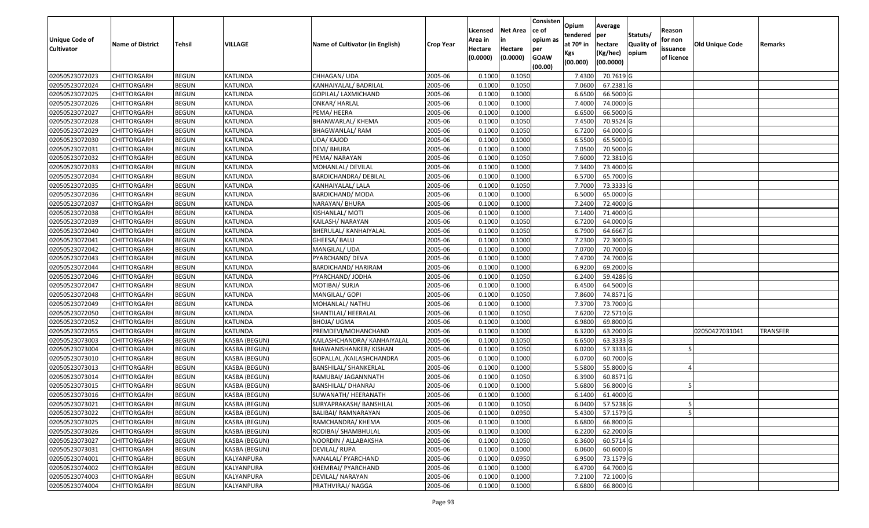| <b>Unique Code of</b><br><b>Cultivator</b> | <b>Name of District</b> | Tehsil       | VILLAGE        | Name of Cultivator (in English) | <b>Crop Year</b> | Licensed<br>Area in<br>Hectare | <b>Net Area</b><br>in<br>Hectare | Consisten<br>ce of<br>opium as<br>per | Opium<br>tendered<br>at $70°$ in | Average<br>per<br>hectare | Statuts/<br><b>Quality o</b> | Reason<br>for non<br>issuance | <b>Old Unique Code</b> | Remarks         |
|--------------------------------------------|-------------------------|--------------|----------------|---------------------------------|------------------|--------------------------------|----------------------------------|---------------------------------------|----------------------------------|---------------------------|------------------------------|-------------------------------|------------------------|-----------------|
|                                            |                         |              |                |                                 |                  | (0.0000)                       | (0.0000)                         | <b>GOAW</b><br>(00.00)                | Kgs<br>(00.000)                  | (Kg/hec)<br>(00.0000)     | opium                        | of licence                    |                        |                 |
| 02050523072023                             | CHITTORGARH             | <b>BEGUN</b> | KATUNDA        | CHHAGAN/ UDA                    | 2005-06          | 0.1000                         | 0.1050                           |                                       | 7.4300                           | 70.7619 G                 |                              |                               |                        |                 |
| 02050523072024                             | CHITTORGARH             | <b>BEGUN</b> | KATUNDA        | KANHAIYALAL/ BADRILAL           | 2005-06          | 0.1000                         | 0.1050                           |                                       | 7.0600                           | 67.2381G                  |                              |                               |                        |                 |
| 02050523072025                             | CHITTORGARH             | <b>BEGUN</b> | KATUNDA        | GOPILAL/ LAXMICHAND             | 2005-06          | 0.1000                         | 0.1000                           |                                       | 6.6500                           | 66.5000G                  |                              |                               |                        |                 |
| 02050523072026                             | CHITTORGARH             | <b>BEGUN</b> | <b>KATUNDA</b> | <b>ONKAR/ HARLAL</b>            | 2005-06          | 0.1000                         | 0.1000                           |                                       | 7.4000                           | 74.0000G                  |                              |                               |                        |                 |
| 02050523072027                             | CHITTORGARH             | <b>BEGUN</b> | KATUNDA        | PEMA/ HEERA                     | 2005-06          | 0.1000                         | 0.1000                           |                                       | 6.6500                           | 66.5000 G                 |                              |                               |                        |                 |
| 02050523072028                             | CHITTORGARH             | <b>BEGUN</b> | <b>KATUNDA</b> | BHANWARLAL/ KHEMA               | 2005-06          | 0.1000                         | 0.1050                           |                                       | 7.4500                           | $\overline{70.9524}$ G    |                              |                               |                        |                 |
| 02050523072029                             | CHITTORGARH             | <b>BEGUN</b> | KATUNDA        | BHAGWANLAL/ RAM                 | 2005-06          | 0.1000                         | 0.1050                           |                                       | 6.7200                           | 64.0000G                  |                              |                               |                        |                 |
| 02050523072030                             | <b>CHITTORGARH</b>      | <b>BEGUN</b> | <b>KATUNDA</b> | UDA/KAJOD                       | 2005-06          | 0.1000                         | 0.1000                           |                                       | 6.5500                           | 65.5000G                  |                              |                               |                        |                 |
| 02050523072031                             | CHITTORGARH             | <b>BEGUN</b> | <b>KATUNDA</b> | <b>DEVI/BHURA</b>               | 2005-06          | 0.1000                         | 0.1000                           |                                       | 7.0500                           | 70.5000G                  |                              |                               |                        |                 |
| 02050523072032                             | CHITTORGARH             | <b>BEGUN</b> | <b>KATUNDA</b> | PEMA/ NARAYAN                   | 2005-06          | 0.1000                         | 0.1050                           |                                       | 7.6000                           | 72.3810 G                 |                              |                               |                        |                 |
| 02050523072033                             | CHITTORGARH             | <b>BEGUN</b> | <b>KATUNDA</b> | MOHANLAL/ DEVILAL               | 2005-06          | 0.1000                         | 0.1000                           |                                       | 7.3400                           | 73.4000G                  |                              |                               |                        |                 |
| 02050523072034                             | CHITTORGARH             | <b>BEGUN</b> | KATUNDA        | BARDICHANDRA/ DEBILAL           | 2005-06          | 0.1000                         | 0.1000                           |                                       | 6.5700                           | 65.7000 G                 |                              |                               |                        |                 |
| 02050523072035                             | <b>CHITTORGARH</b>      | <b>BEGUN</b> | <b>KATUNDA</b> | KANHAIYALAL/ LALA               | 2005-06          | 0.1000                         | 0.1050                           |                                       | 7.7000                           | 73.3333 G                 |                              |                               |                        |                 |
| 02050523072036                             | <b>CHITTORGARH</b>      | <b>BEGUN</b> | KATUNDA        | <b>BARDICHAND/ MODA</b>         | 2005-06          | 0.1000                         | 0.1000                           |                                       | 6.5000                           | 65.0000 G                 |                              |                               |                        |                 |
| 02050523072037                             | CHITTORGARH             | <b>BEGUN</b> | KATUNDA        | NARAYAN/ BHURA                  | 2005-06          | 0.1000                         | 0.1000                           |                                       | 7.2400                           | 72.4000G                  |                              |                               |                        |                 |
| 02050523072038                             | <b>CHITTORGARH</b>      | <b>BEGUN</b> | KATUNDA        | KISHANLAL/ MOTI                 | 2005-06          | 0.1000                         | 0.1000                           |                                       | 7.1400                           | 71.4000G                  |                              |                               |                        |                 |
| 02050523072039                             | <b>CHITTORGARH</b>      | <b>BEGUN</b> | KATUNDA        | KAILASH/NARAYAN                 | 2005-06          | 0.1000                         | 0.1050                           |                                       | 6.7200                           | 64.0000G                  |                              |                               |                        |                 |
| 02050523072040                             | CHITTORGARH             | <b>BEGUN</b> | KATUNDA        | BHERULAL/ KANHAIYALAL           | 2005-06          | 0.1000                         | 0.1050                           |                                       | 6.7900                           | 64.6667 G                 |                              |                               |                        |                 |
| 02050523072041                             | CHITTORGARH             | <b>BEGUN</b> | KATUNDA        | GHEESA/ BALU                    | 2005-06          | 0.1000                         | 0.1000                           |                                       | 7.2300                           | 72.3000G                  |                              |                               |                        |                 |
| 02050523072042                             | CHITTORGARH             | <b>BEGUN</b> | <b>KATUNDA</b> | MANGILAL/ UDA                   | 2005-06          | 0.1000                         | 0.1000                           |                                       | 7.0700                           | 70.7000G                  |                              |                               |                        |                 |
| 02050523072043                             | CHITTORGARH             | <b>BEGUN</b> | <b>KATUNDA</b> | PYARCHAND/ DEVA                 | 2005-06          | 0.1000                         | 0.1000                           |                                       | 7.4700                           | 74.7000G                  |                              |                               |                        |                 |
| 02050523072044                             | CHITTORGARH             | <b>BEGUN</b> | KATUNDA        | BARDICHAND/ HARIRAM             | 2005-06          | 0.1000                         | 0.1000                           |                                       | 6.9200                           | 69.2000 G                 |                              |                               |                        |                 |
| 02050523072046                             | CHITTORGARH             | <b>BEGUN</b> | KATUNDA        | PYARCHAND/ JODHA                | 2005-06          | 0.1000                         | 0.1050                           |                                       | 6.2400                           | 59.4286 G                 |                              |                               |                        |                 |
| 02050523072047                             | CHITTORGARH             | <b>BEGUN</b> | KATUNDA        | MOTIBAI/ SURJA                  | 2005-06          | 0.1000                         | 0.1000                           |                                       | 6.4500                           | 64.5000 G                 |                              |                               |                        |                 |
| 02050523072048                             | CHITTORGARH             | <b>BEGUN</b> | <b>KATUNDA</b> | MANGILAL/ GOPI                  | 2005-06          | 0.1000                         | 0.1050                           |                                       | 7.8600                           | 74.8571 G                 |                              |                               |                        |                 |
| 02050523072049                             | CHITTORGARH             | <b>BEGUN</b> | KATUNDA        | MOHANLAL/ NATHU                 | 2005-06          | 0.1000                         | 0.1000                           |                                       | 7.3700                           | 73.7000 G                 |                              |                               |                        |                 |
| 02050523072050                             | CHITTORGARH             | <b>BEGUN</b> | <b>KATUNDA</b> | SHANTILAL/ HEERALAL             | 2005-06          | 0.1000                         | 0.1050                           |                                       | 7.6200                           | 72.5710 G                 |                              |                               |                        |                 |
| 02050523072052                             | CHITTORGARH             | <b>BEGUN</b> | KATUNDA        | BHOJA/ UGMA                     | 2005-06          | 0.1000                         | 0.1000                           |                                       | 6.9800                           | 69.8000 G                 |                              |                               |                        |                 |
| 02050523072055                             | CHITTORGARH             | <b>BEGUN</b> | <b>KATUNDA</b> | PREMDEVI/MOHANCHAND             | 2005-06          | 0.1000                         | 0.1000                           |                                       | 6.3200                           | 63.2000 G                 |                              |                               | 02050427031041         | <b>TRANSFER</b> |
| 02050523073003                             | CHITTORGARH             | <b>BEGUN</b> | KASBA (BEGUN)  | KAILASHCHANDRA/ KANHAIYALAL     | 2005-06          | 0.1000                         | 0.1050                           |                                       | 6.6500                           | 63.3333 G                 |                              |                               |                        |                 |
| 02050523073004                             | CHITTORGARH             | <b>BEGUN</b> | KASBA (BEGUN)  | BHAWANISHANKER/ KISHAN          | 2005-06          | 0.1000                         | 0.1050                           |                                       | 6.0200                           | 57.3333 G                 |                              |                               |                        |                 |
| 02050523073010                             | CHITTORGARH             | <b>BEGUN</b> | KASBA (BEGUN)  | GOPALLAL /KAILASHCHANDRA        | 2005-06          | 0.1000                         | 0.1000                           |                                       | 6.0700                           | 60.7000 G                 |                              |                               |                        |                 |
| 02050523073013                             | CHITTORGARH             | <b>BEGUN</b> | KASBA (BEGUN)  | <b>BANSHILAL/ SHANKERLAL</b>    | 2005-06          | 0.1000                         | 0.1000                           |                                       | 5.5800                           | 55.8000 G                 |                              |                               |                        |                 |
| 02050523073014                             | CHITTORGARH             | <b>BEGUN</b> | KASBA (BEGUN)  | RAMUBAI/ JAGANNNATH             | 2005-06          | 0.1000                         | 0.1050                           |                                       | 6.3900                           | 60.8571 G                 |                              |                               |                        |                 |
| 02050523073015                             | CHITTORGARH             | <b>BEGUN</b> | KASBA (BEGUN)  | BANSHILAL/ DHANRAJ              | 2005-06          | 0.1000                         | 0.1000                           |                                       | 5.6800                           | 56.8000 G                 |                              |                               |                        |                 |
| 02050523073016                             | CHITTORGARH             | <b>BEGUN</b> | KASBA (BEGUN)  | SUWANATH/ HEERANATH             | 2005-06          | 0.1000                         | 0.1000                           |                                       | 6.1400                           | 61.4000 G                 |                              |                               |                        |                 |
| 02050523073021                             | <b>CHITTORGARH</b>      | <b>BEGUN</b> | KASBA (BEGUN)  | SURYAPRAKASH/ BANSHILAL         | 2005-06          | 0.1000                         | 0.1050                           |                                       |                                  | 6.0400 57.5238 G          |                              |                               |                        |                 |
| 02050523073022                             | <b>CHITTORGARH</b>      | <b>BEGUN</b> | KASBA (BEGUN)  | BALIBAI/ RAMNARAYAN             | 2005-06          | 0.1000                         | 0.0950                           |                                       | 5.4300                           | 57.1579 G                 |                              |                               |                        |                 |
| 02050523073025                             | <b>CHITTORGARH</b>      | <b>BEGUN</b> | KASBA (BEGUN)  | RAMCHANDRA/ KHEMA               | 2005-06          | 0.1000                         | 0.1000                           |                                       | 6.6800                           | 66.8000 G                 |                              |                               |                        |                 |
| 02050523073026                             | <b>CHITTORGARH</b>      | <b>BEGUN</b> | KASBA (BEGUN)  | RODIBAI/ SHAMBHULAL             | 2005-06          | 0.1000                         | 0.1000                           |                                       | 6.2200                           | 62.2000 G                 |                              |                               |                        |                 |
| 02050523073027                             | CHITTORGARH             | <b>BEGUN</b> | KASBA (BEGUN)  | NOORDIN / ALLABAKSHA            | 2005-06          | 0.1000                         | 0.1050                           |                                       | 6.3600                           | 60.5714 G                 |                              |                               |                        |                 |
| 02050523073031                             | <b>CHITTORGARH</b>      | <b>BEGUN</b> | KASBA (BEGUN)  | DEVILAL/RUPA                    | 2005-06          | 0.1000                         | 0.1000                           |                                       | 6.0600                           | 60.6000 G                 |                              |                               |                        |                 |
| 02050523074001                             | <b>CHITTORGARH</b>      | <b>BEGUN</b> | KALYANPURA     | NANALAL/ PYARCHAND              | 2005-06          | 0.1000                         | 0.0950                           |                                       | 6.9500                           | 73.1579 G                 |                              |                               |                        |                 |
| 02050523074002                             | CHITTORGARH             | <b>BEGUN</b> | KALYANPURA     | KHEMRAJ/ PYARCHAND              | 2005-06          | 0.1000                         | 0.1000                           |                                       | 6.4700                           | 64.7000 G                 |                              |                               |                        |                 |
| 02050523074003                             | <b>CHITTORGARH</b>      | <b>BEGUN</b> | KALYANPURA     | DEVILAL/ NARAYAN                | 2005-06          | 0.1000                         | 0.1000                           |                                       | 7.2100                           | 72.1000 G                 |                              |                               |                        |                 |
| 02050523074004                             | <b>CHITTORGARH</b>      | <b>BEGUN</b> | KALYANPURA     | PRATHVIRAJ/ NAGGA               | 2005-06          | 0.1000                         | 0.1000                           |                                       | 6.6800                           | 66.8000 G                 |                              |                               |                        |                 |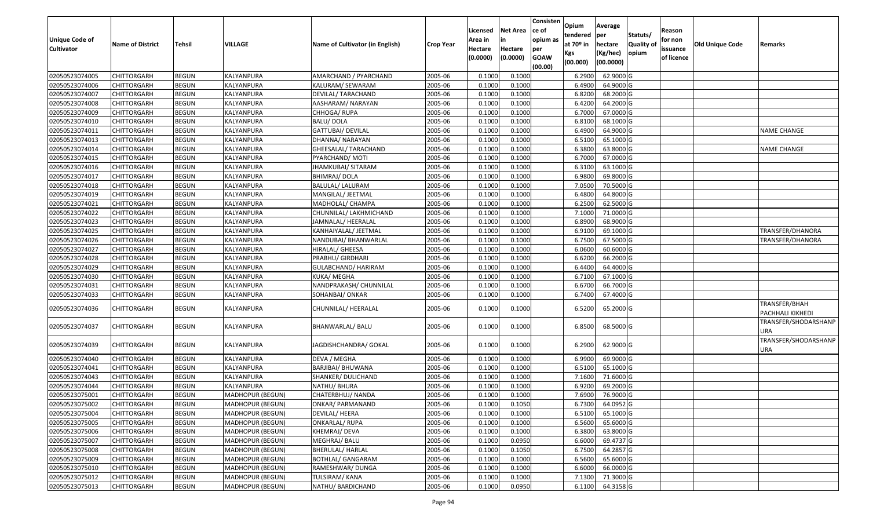| <b>Unique Code of</b><br><b>Cultivator</b> | <b>Name of District</b> | Tehsil       | VILLAGE                 | Name of Cultivator (in English) | <b>Crop Year</b> | Licensed<br>Area in<br>Hectare<br>(0.0000) | Net Area<br>in<br>Hectare<br>(0.0000) | Consisten<br>ce of<br>opium as<br>per<br><b>GOAW</b><br>(00.00) | Opium<br>tendered<br>at 70 <sup>o</sup> in<br>Kgs<br>(00.000) | Average<br>per<br>hectare<br>(Kg/hec)<br>(00.0000) | Statuts/<br><b>Quality of</b><br>opium | Reason<br>for non<br>issuance<br>of licence | <b>Old Unique Code</b> | Remarks                           |
|--------------------------------------------|-------------------------|--------------|-------------------------|---------------------------------|------------------|--------------------------------------------|---------------------------------------|-----------------------------------------------------------------|---------------------------------------------------------------|----------------------------------------------------|----------------------------------------|---------------------------------------------|------------------------|-----------------------------------|
| 02050523074005                             | <b>CHITTORGARH</b>      | <b>BEGUN</b> | KALYANPURA              | AMARCHAND / PYARCHAND           | 2005-06          | 0.1000                                     | 0.1000                                |                                                                 | 6.2900                                                        | 62.9000 G                                          |                                        |                                             |                        |                                   |
| 02050523074006                             | CHITTORGARH             | <b>BEGUN</b> | KALYANPURA              | KALURAM/ SEWARAM                | 2005-06          | 0.1000                                     | 0.1000                                |                                                                 | 6.4900                                                        | 64.9000 G                                          |                                        |                                             |                        |                                   |
| 02050523074007                             | CHITTORGARH             | <b>BEGUN</b> | KALYANPURA              | DEVILAL/ TARACHAND              | 2005-06          | 0.1000                                     | 0.1000                                |                                                                 | 6.8200                                                        | 68.2000 G                                          |                                        |                                             |                        |                                   |
| 02050523074008                             | <b>CHITTORGARH</b>      | <b>BEGUN</b> | KALYANPURA              | AASHARAM/ NARAYAN               | 2005-06          | 0.1000                                     | 0.1000                                |                                                                 | 6.4200                                                        | 64.2000 G                                          |                                        |                                             |                        |                                   |
| 02050523074009                             | <b>CHITTORGARH</b>      | <b>BEGUN</b> | KALYANPURA              | CHHOGA/RUPA                     | 2005-06          | 0.1000                                     | 0.1000                                |                                                                 | 6.7000                                                        | 67.0000 G                                          |                                        |                                             |                        |                                   |
| 02050523074010                             | <b>CHITTORGARH</b>      | <b>BEGUN</b> | KALYANPURA              | <b>BALU/DOLA</b>                | 2005-06          | 0.1000                                     | 0.1000                                |                                                                 | 6.8100                                                        | 68.1000 G                                          |                                        |                                             |                        |                                   |
| 02050523074011                             | CHITTORGARH             | <b>BEGUN</b> | KALYANPURA              | GATTUBAI/ DEVILAL               | 2005-06          | 0.1000                                     | 0.1000                                |                                                                 | 6.4900                                                        | 64.9000 G                                          |                                        |                                             |                        | <b>NAME CHANGE</b>                |
| 02050523074013                             | <b>CHITTORGARH</b>      | <b>BEGUN</b> | KALYANPURA              | DHANNA/ NARAYAN                 | 2005-06          | 0.1000                                     | 0.1000                                |                                                                 | 6.5100                                                        | 65.1000 G                                          |                                        |                                             |                        |                                   |
| 02050523074014                             | CHITTORGARH             | <b>BEGUN</b> | KALYANPURA              | GHEESALAL/ TARACHAND            | 2005-06          | 0.1000                                     | 0.1000                                |                                                                 | 6.3800                                                        | 63.8000 G                                          |                                        |                                             |                        | <b>NAME CHANGE</b>                |
| 02050523074015                             | CHITTORGARH             | <b>BEGUN</b> | KALYANPURA              | PYARCHAND/ MOTI                 | 2005-06          | 0.1000                                     | 0.1000                                |                                                                 | 6.7000                                                        | 67.0000 G                                          |                                        |                                             |                        |                                   |
| 02050523074016                             | CHITTORGARH             | <b>BEGUN</b> | KALYANPURA              | JHAMKUBAI/ SITARAM              | 2005-06          | 0.1000                                     | 0.1000                                |                                                                 | 6.3100                                                        | 63.1000 G                                          |                                        |                                             |                        |                                   |
| 02050523074017                             | CHITTORGARH             | <b>BEGUN</b> | KALYANPURA              | <b>BHIMRAJ/DOLA</b>             | 2005-06          | 0.1000                                     | 0.1000                                |                                                                 | 6.9800                                                        | 69.8000 G                                          |                                        |                                             |                        |                                   |
| 02050523074018                             | CHITTORGARH             | <b>BEGUN</b> | KALYANPURA              | BALULAL/ LALURAM                | 2005-06          | 0.1000                                     | 0.1000                                |                                                                 | 7.0500                                                        | 70.5000 G                                          |                                        |                                             |                        |                                   |
| 02050523074019                             | CHITTORGARH             | <b>BEGUN</b> | KALYANPURA              | MANGILAL/ JEETMAL               | 2005-06          | 0.1000                                     | 0.1000                                |                                                                 | 6.4800                                                        | 64.8000 G                                          |                                        |                                             |                        |                                   |
| 02050523074021                             | CHITTORGARH             | <b>BEGUN</b> | KALYANPURA              | MADHOLAL/ CHAMPA                | 2005-06          | 0.1000                                     | 0.1000                                |                                                                 | 6.2500                                                        | 62.5000 G                                          |                                        |                                             |                        |                                   |
| 02050523074022                             | CHITTORGARH             | <b>BEGUN</b> | KALYANPURA              | CHUNNILAL/ LAKHMICHAND          | 2005-06          | 0.1000                                     | 0.1000                                |                                                                 | 7.1000                                                        | 71.0000 G                                          |                                        |                                             |                        |                                   |
| 02050523074023                             | CHITTORGARH             | <b>BEGUN</b> | KALYANPURA              | JAMNALAL/ HEERALAL              | 2005-06          | 0.1000                                     | 0.1000                                |                                                                 | 6.8900                                                        | 68.9000 G                                          |                                        |                                             |                        |                                   |
| 02050523074025                             | CHITTORGARH             | <b>BEGUN</b> | KALYANPURA              | KANHAIYALAL/ JEETMAL            | 2005-06          | 0.1000                                     | 0.1000                                |                                                                 | 6.9100                                                        | 69.1000 G                                          |                                        |                                             |                        | TRANSFER/DHANORA                  |
| 02050523074026                             | CHITTORGARH             | <b>BEGUN</b> | KALYANPURA              | NANDUBAI/ BHANWARLAL            | 2005-06          | 0.1000                                     | 0.1000                                |                                                                 | 6.7500                                                        | 67.5000 G                                          |                                        |                                             |                        | TRANSFER/DHANORA                  |
| 02050523074027                             | CHITTORGARH             | <b>BEGUN</b> | KALYANPURA              | HIRALAL/ GHEESA                 | 2005-06          | 0.1000                                     | 0.1000                                |                                                                 | 6.0600                                                        | 60.6000 G                                          |                                        |                                             |                        |                                   |
| 02050523074028                             | <b>CHITTORGARH</b>      | <b>BEGUN</b> | KALYANPURA              | PRABHU/ GIRDHARI                | 2005-06          | 0.1000                                     | 0.1000                                |                                                                 | 6.6200                                                        | 66.2000 G                                          |                                        |                                             |                        |                                   |
| 02050523074029                             | CHITTORGARH             | <b>BEGUN</b> | KALYANPURA              | GULABCHAND/ HARIRAM             | 2005-06          | 0.1000                                     | 0.1000                                |                                                                 | 6.4400                                                        | 64.4000 G                                          |                                        |                                             |                        |                                   |
| 02050523074030                             | CHITTORGARH             | <b>BEGUN</b> | KALYANPURA              | KUKA/ MEGHA                     | 2005-06          | 0.1000                                     | 0.1000                                |                                                                 | 6.7100                                                        | 67.1000 G                                          |                                        |                                             |                        |                                   |
| 02050523074031                             | CHITTORGARH             | <b>BEGUN</b> | KALYANPURA              | NANDPRAKASH/ CHUNNILAL          | 2005-06          | 0.1000                                     | 0.1000                                |                                                                 | 6.6700                                                        | 66.7000 G                                          |                                        |                                             |                        |                                   |
| 02050523074033                             | CHITTORGARH             | <b>BEGUN</b> | KALYANPURA              | SOHANBAI/ ONKAR                 | 2005-06          | 0.1000                                     | 0.1000                                |                                                                 | 6.7400                                                        | 67.4000 G                                          |                                        |                                             |                        |                                   |
| 02050523074036                             | CHITTORGARH             | <b>BEGUN</b> | KALYANPURA              | CHUNNILAL/ HEERALAL             | 2005-06          | 0.1000                                     | 0.1000                                |                                                                 | 6.5200                                                        | 65.2000 G                                          |                                        |                                             |                        | TRANSFER/BHAH<br>PACHHALI KIKHEDI |
| 02050523074037                             | CHITTORGARH             | <b>BEGUN</b> | KALYANPURA              | BHANWARLAL/ BALU                | 2005-06          | 0.1000                                     | 0.1000                                |                                                                 | 6.8500                                                        | 68.5000 G                                          |                                        |                                             |                        | TRANSFER/SHODARSHANP<br>URA       |
| 02050523074039                             | CHITTORGARH             | <b>BEGUN</b> | KALYANPURA              | JAGDISHCHANDRA/ GOKAL           | 2005-06          | 0.1000                                     | 0.1000                                |                                                                 | 6.2900                                                        | 62.9000 G                                          |                                        |                                             |                        | TRANSFER/SHODARSHANP<br>URA       |
| 02050523074040                             | CHITTORGARH             | <b>BEGUN</b> | KALYANPURA              | DEVA / MEGHA                    | 2005-06          | 0.1000                                     | 0.1000                                |                                                                 | 6.9900                                                        | 69.9000 G                                          |                                        |                                             |                        |                                   |
| 02050523074041                             | CHITTORGARH             | <b>BEGUN</b> | KALYANPURA              | <b>BARJIBAI/ BHUWANA</b>        | 2005-06          | 0.1000                                     | 0.1000                                |                                                                 | 6.5100                                                        | 65.1000 G                                          |                                        |                                             |                        |                                   |
| 02050523074043                             | CHITTORGARH             | <b>BEGUN</b> | KALYANPURA              | SHANKER/ DULICHAND              | 2005-06          | 0.1000                                     | 0.1000                                |                                                                 | 7.1600                                                        | 71.6000 G                                          |                                        |                                             |                        |                                   |
| 02050523074044                             | CHITTORGARH             | <b>BEGUN</b> | KALYANPURA              | NATHU/ BHURA                    | 2005-06          | 0.1000                                     | 0.1000                                |                                                                 | 6.9200                                                        | 69.2000 G                                          |                                        |                                             |                        |                                   |
| 02050523075001                             | CHITTORGARH             | <b>BEGUN</b> | <b>MADHOPUR (BEGUN)</b> | CHATERBHUJ/ NANDA               | 2005-06          | 0.1000                                     | 0.1000                                |                                                                 | 7.6900                                                        | 76.9000 G                                          |                                        |                                             |                        |                                   |
| 02050523075002                             | <b>CHITTORGARH</b>      | <b>BEGUN</b> | MADHOPUR (BEGUN)        | <b>ONKAR/ PARMANAND</b>         | 2005-06          | 0.1000                                     | 0.1050                                |                                                                 |                                                               | 6.7300 64.0952 G                                   |                                        |                                             |                        |                                   |
| 02050523075004                             | <b>CHITTORGARH</b>      | <b>BEGUN</b> | MADHOPUR (BEGUN)        | DEVILAL/ HEERA                  | 2005-06          | 0.1000                                     | 0.1000                                |                                                                 | 6.5100                                                        | 65.1000 G                                          |                                        |                                             |                        |                                   |
| 02050523075005                             | <b>CHITTORGARH</b>      | <b>BEGUN</b> | MADHOPUR (BEGUN)        | <b>ONKARLAL/ RUPA</b>           | 2005-06          | 0.1000                                     | 0.1000                                |                                                                 | 6.5600                                                        | 65.6000 G                                          |                                        |                                             |                        |                                   |
| 02050523075006                             | <b>CHITTORGARH</b>      | <b>BEGUN</b> | <b>MADHOPUR (BEGUN)</b> | KHEMRAJ/DEVA                    | 2005-06          | 0.1000                                     | 0.1000                                |                                                                 | 6.3800                                                        | 63.8000 G                                          |                                        |                                             |                        |                                   |
| 02050523075007                             | <b>CHITTORGARH</b>      | <b>BEGUN</b> | <b>MADHOPUR (BEGUN)</b> | MEGHRAJ/ BALU                   | 2005-06          | 0.1000                                     | 0.0950                                |                                                                 | 6.6000                                                        | 69.4737 G                                          |                                        |                                             |                        |                                   |
| 02050523075008                             | <b>CHITTORGARH</b>      | <b>BEGUN</b> | MADHOPUR (BEGUN)        | <b>BHERULAL/ HARLAL</b>         | 2005-06          | 0.1000                                     | 0.1050                                |                                                                 | 6.7500                                                        | 64.2857 G                                          |                                        |                                             |                        |                                   |
| 02050523075009                             | <b>CHITTORGARH</b>      | <b>BEGUN</b> | MADHOPUR (BEGUN)        | <b>BOTHLAL/ GANGARAM</b>        | 2005-06          | 0.1000                                     | 0.1000                                |                                                                 | 6.5600                                                        | 65.6000 G                                          |                                        |                                             |                        |                                   |
| 02050523075010                             | <b>CHITTORGARH</b>      | <b>BEGUN</b> | <b>MADHOPUR (BEGUN)</b> | RAMESHWAR/ DUNGA                | 2005-06          | 0.1000                                     | 0.1000                                |                                                                 | 6.6000                                                        | 66.0000 G                                          |                                        |                                             |                        |                                   |
| 02050523075012                             | CHITTORGARH             | <b>BEGUN</b> | MADHOPUR (BEGUN)        | TULSIRAM/ KANA                  | 2005-06          | 0.1000                                     | 0.1000                                |                                                                 | 7.1300                                                        | 71.3000 G                                          |                                        |                                             |                        |                                   |
| 02050523075013                             | <b>CHITTORGARH</b>      | <b>BEGUN</b> | MADHOPUR (BEGUN)        | NATHU/ BARDICHAND               | 2005-06          | 0.1000                                     | 0.0950                                |                                                                 | 6.1100                                                        | 64.3158 G                                          |                                        |                                             |                        |                                   |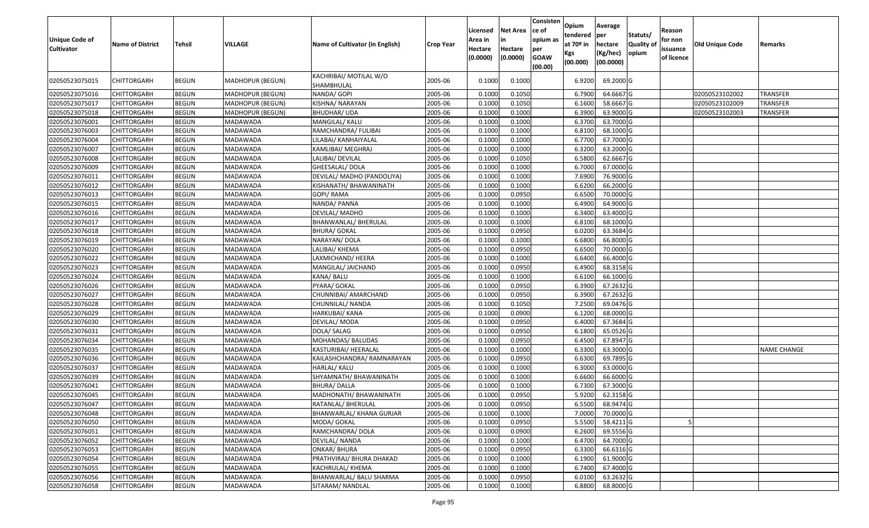| <b>Unique Code of</b><br><b>Cultivator</b> | <b>Name of District</b> | <b>Tehsil</b> | VILLAGE                 | Name of Cultivator (in English)      | <b>Crop Year</b> | Licensed<br>Area in<br>Hectare<br>(0.0000) | <b>Net Area</b><br>in<br>Hectare<br>(0.0000) | Consisten<br>ce of<br>opium as<br>per<br><b>GOAW</b><br>(00.00) | Opium<br>tendered<br>at $70°$ in<br>Kgs<br>(00.000) | Average<br>per<br>hectare<br>(Kg/hec)<br>(00.0000) | Statuts/<br>Quality of<br>opium | Reason<br>for non<br>issuance<br>of licence | <b>Old Unique Code</b> | Remarks            |
|--------------------------------------------|-------------------------|---------------|-------------------------|--------------------------------------|------------------|--------------------------------------------|----------------------------------------------|-----------------------------------------------------------------|-----------------------------------------------------|----------------------------------------------------|---------------------------------|---------------------------------------------|------------------------|--------------------|
| 02050523075015                             | CHITTORGARH             | <b>BEGUN</b>  | MADHOPUR (BEGUN)        | KACHRIBAI/ MOTILAL W/O<br>SHAMBHULAL | 2005-06          | 0.1000                                     | 0.1000                                       |                                                                 | 6.9200                                              | 69.2000 G                                          |                                 |                                             |                        |                    |
| 02050523075016                             | <b>CHITTORGARH</b>      | <b>BEGUN</b>  | MADHOPUR (BEGUN)        | NANDA/ GOPI                          | 2005-06          | 0.1000                                     | 0.1050                                       |                                                                 | 6.7900                                              | 64.6667 G                                          |                                 |                                             | 02050523102002         | <b>TRANSFER</b>    |
| 02050523075017                             | <b>CHITTORGARH</b>      | <b>BEGUN</b>  | MADHOPUR (BEGUN)        | KISHNA/ NARAYAN                      | 2005-06          | 0.1000                                     | 0.1050                                       |                                                                 | 6.1600                                              | 58.6667 G                                          |                                 |                                             | 02050523102009         | <b>TRANSFER</b>    |
| 02050523075018                             | <b>CHITTORGARH</b>      | <b>BEGUN</b>  | <b>MADHOPUR (BEGUN)</b> | <b>BHUDHAR/ UDA</b>                  | 2005-06          | 0.1000                                     | 0.1000                                       |                                                                 | 6.3900                                              | 63.9000 G                                          |                                 |                                             | 02050523102003         | <b>TRANSFER</b>    |
| 02050523076001                             | CHITTORGARH             | <b>BEGUN</b>  | MADAWADA                | MANGILAL/ KALU                       | 2005-06          | 0.1000                                     | 0.1000                                       |                                                                 | 6.3700                                              | 63.7000 G                                          |                                 |                                             |                        |                    |
| 02050523076003                             | <b>CHITTORGARH</b>      | <b>BEGUN</b>  | MADAWADA                | RAMCHANDRA/ FULIBAI                  | 2005-06          | 0.1000                                     | 0.1000                                       |                                                                 | 6.8100                                              | 68.1000G                                           |                                 |                                             |                        |                    |
| 02050523076004                             | CHITTORGARH             | <b>BEGUN</b>  | MADAWADA                | LILABAI/ KANHAIYALAL                 | 2005-06          | 0.1000                                     | 0.1000                                       |                                                                 | 6.7700                                              | 67.7000 G                                          |                                 |                                             |                        |                    |
| 02050523076007                             | CHITTORGARH             | <b>BEGUN</b>  | MADAWADA                | KAMLIBAI/ MEGHRAJ                    | 2005-06          | 0.1000                                     | 0.1000                                       |                                                                 | 6.3200                                              | 63.2000 G                                          |                                 |                                             |                        |                    |
| 02050523076008                             | CHITTORGARH             | <b>BEGUN</b>  | MADAWADA                | LALIBAI/ DEVILAL                     | 2005-06          | 0.1000                                     | 0.1050                                       |                                                                 | 6.5800                                              | 62.6667 G                                          |                                 |                                             |                        |                    |
| 02050523076009                             | CHITTORGARH             | <b>BEGUN</b>  | MADAWADA                | GHEESALAL/ DOLA                      | 2005-06          | 0.1000                                     | 0.1000                                       |                                                                 | 6.7000                                              | 67.0000 G                                          |                                 |                                             |                        |                    |
| 02050523076011                             | CHITTORGARH             | <b>BEGUN</b>  | MADAWADA                | DEVILAL/ MADHO (PANDOLIYA)           | 2005-06          | 0.1000                                     | 0.1000                                       |                                                                 | 7.6900                                              | 76.9000G                                           |                                 |                                             |                        |                    |
| 02050523076012                             | <b>CHITTORGARH</b>      | <b>BEGUN</b>  | MADAWADA                | KISHANATH/ BHAWANINATH               | 2005-06          | 0.1000                                     | 0.1000                                       |                                                                 | 6.6200                                              | 66.2000 G                                          |                                 |                                             |                        |                    |
| 02050523076013                             | CHITTORGARH             | <b>BEGUN</b>  | MADAWADA                | GOPI/ RAMA                           | 2005-06          | 0.1000                                     | 0.0950                                       |                                                                 | 6.6500                                              | 70.0000 G                                          |                                 |                                             |                        |                    |
| 02050523076015                             | CHITTORGARH             | <b>BEGUN</b>  | MADAWADA                | NANDA/ PANNA                         | 2005-06          | 0.1000                                     | 0.1000                                       |                                                                 | 6.4900                                              | 64.9000 G                                          |                                 |                                             |                        |                    |
| 02050523076016                             | CHITTORGARH             | <b>BEGUN</b>  | MADAWADA                | DEVILAL/MADHO                        | 2005-06          | 0.1000                                     | 0.1000                                       |                                                                 | 6.3400                                              | 63.4000 G                                          |                                 |                                             |                        |                    |
| 02050523076017                             | CHITTORGARH             | <b>BEGUN</b>  | MADAWADA                | <b>BHANWANLAL/ BHERULAL</b>          | 2005-06          | 0.1000                                     | 0.1000                                       |                                                                 | 6.8100                                              | 68.1000 G                                          |                                 |                                             |                        |                    |
| 02050523076018                             | CHITTORGARH             | <b>BEGUN</b>  | MADAWADA                | <b>BHURA/ GOKAL</b>                  | 2005-06          | 0.1000                                     | 0.0950                                       |                                                                 | 6.0200                                              | 63.3684 G                                          |                                 |                                             |                        |                    |
| 02050523076019                             | <b>CHITTORGARH</b>      | <b>BEGUN</b>  | MADAWADA                | NARAYAN/ DOLA                        | 2005-06          | 0.1000                                     | 0.1000                                       |                                                                 | 6.6800                                              | 66.8000 G                                          |                                 |                                             |                        |                    |
| 02050523076020                             | CHITTORGARH             | <b>BEGUN</b>  | MADAWADA                | LALIBAI/ KHEMA                       | 2005-06          | 0.1000                                     | 0.0950                                       |                                                                 | 6.6500                                              | 70.0000G                                           |                                 |                                             |                        |                    |
| 02050523076022                             | CHITTORGARH             | <b>BEGUN</b>  | MADAWADA                | LAXMICHAND/ HEERA                    | 2005-06          | 0.1000                                     | 0.1000                                       |                                                                 | 6.6400                                              | 66.4000 G                                          |                                 |                                             |                        |                    |
| 02050523076023                             | CHITTORGARH             | <b>BEGUN</b>  | MADAWADA                | MANGILAL/ JAICHAND                   | 2005-06          | 0.1000                                     | 0.0950                                       |                                                                 | 6.4900                                              | 68.3158 G                                          |                                 |                                             |                        |                    |
| 02050523076024                             | CHITTORGARH             | <b>BEGUN</b>  | MADAWADA                | KANA/ BALU                           | 2005-06          | 0.1000                                     | 0.1000                                       |                                                                 | 6.6100                                              | 66.1000 G                                          |                                 |                                             |                        |                    |
| 02050523076026                             | CHITTORGARH             | <b>BEGUN</b>  | MADAWADA                | PYARA/ GOKAL                         | 2005-06          | 0.1000                                     | 0.0950                                       |                                                                 | 6.3900                                              | 67.2632 G                                          |                                 |                                             |                        |                    |
| 02050523076027                             | CHITTORGARH             | <b>BEGUN</b>  | MADAWADA                | CHUNNIBAI/ AMARCHAND                 | 2005-06          | 0.1000                                     | 0.0950                                       |                                                                 | 6.3900                                              | 67.2632 G                                          |                                 |                                             |                        |                    |
| 02050523076028                             | <b>CHITTORGARH</b>      | <b>BEGUN</b>  | MADAWADA                | CHUNNILAL/ NANDA                     | 2005-06          | 0.1000                                     | 0.1050                                       |                                                                 | 7.2500                                              | 69.0476 G                                          |                                 |                                             |                        |                    |
| 02050523076029                             | <b>CHITTORGARH</b>      | <b>BEGUN</b>  | MADAWADA                | HARKUBAI/ KANA                       | 2005-06          | 0.1000                                     | 0.0900                                       |                                                                 | 6.1200                                              | 68.0000 G                                          |                                 |                                             |                        |                    |
| 02050523076030                             | <b>CHITTORGARH</b>      | <b>BEGUN</b>  | MADAWADA                | DEVILAL/ MODA                        | 2005-06          | 0.1000                                     | 0.0950                                       |                                                                 | 6.4000                                              | 67.3684 G                                          |                                 |                                             |                        |                    |
| 02050523076031                             | CHITTORGARH             | <b>BEGUN</b>  | MADAWADA                | DOLA/ SALAG                          | 2005-06          | 0.1000                                     | 0.0950                                       |                                                                 | 6.1800                                              | 65.0526 G                                          |                                 |                                             |                        |                    |
| 02050523076034                             | <b>CHITTORGARH</b>      | <b>BEGUN</b>  | MADAWADA                | MOHANDAS/ BALUDAS                    | 2005-06          | 0.1000                                     | 0.0950                                       |                                                                 | 6.4500                                              | 67.8947 G                                          |                                 |                                             |                        |                    |
| 02050523076035                             | <b>CHITTORGARH</b>      | <b>BEGUN</b>  | MADAWADA                | KASTURIBAI/ HEERALAL                 | 2005-06          | 0.1000                                     | 0.1000                                       |                                                                 | 6.3300                                              | 63.3000 G                                          |                                 |                                             |                        | <b>NAME CHANGE</b> |
| 02050523076036                             | <b>CHITTORGARH</b>      | <b>BEGUN</b>  | MADAWADA                | KAILASHCHANDRA/ RAMNARAYAN           | 2005-06          | 0.1000                                     | 0.0950                                       |                                                                 | 6.6300                                              | 69.7895 G                                          |                                 |                                             |                        |                    |
| 02050523076037                             | CHITTORGARH             | <b>BEGUN</b>  | MADAWADA                | HARLAL/ KALU                         | 2005-06          | 0.1000                                     | 0.1000                                       |                                                                 | 6.3000                                              | 63.0000G                                           |                                 |                                             |                        |                    |
| 02050523076039                             | CHITTORGARH             | <b>BEGUN</b>  | MADAWADA                | SHYAMNATH/ BHAWANINATH               | 2005-06          | 0.100                                      | 0.1000                                       |                                                                 | 6.6600                                              | 66.6000 G                                          |                                 |                                             |                        |                    |
| 02050523076041                             | CHITTORGARH             | <b>BEGUN</b>  | MADAWADA                | BHURA/ DALLA                         | 2005-06          | 0.100                                      | 0.1000                                       |                                                                 | 6.730                                               | 67.3000 G                                          |                                 |                                             |                        |                    |
| 02050523076045                             | CHITTORGARH             | <b>BEGUN</b>  | MADAWADA                | MADHONATH/BHAWANINATH                | 2005-06          | 0.100                                      | 0.0950                                       |                                                                 | 5.9200                                              | 62.3158 G                                          |                                 |                                             |                        |                    |
| 02050523076047                             | <b>CHITTORGARH</b>      | <b>BEGUN</b>  | MADAWADA                | RATANLAL/ BHERULAL                   | 2005-06          | 0.1000                                     | 0.0950                                       |                                                                 | 6.5500                                              | 68.9474 G                                          |                                 |                                             |                        |                    |
| 02050523076048                             | <b>CHITTORGARH</b>      | <b>BEGUN</b>  | MADAWADA                | BHANWARLAL/ KHANA GURJAR             | 2005-06          | 0.1000                                     | 0.1000                                       |                                                                 | 7.0000                                              | 70.0000 G                                          |                                 |                                             |                        |                    |
| 02050523076050                             | <b>CHITTORGARH</b>      | <b>BEGUN</b>  | MADAWADA                | MODA/ GOKAL                          | 2005-06          | 0.1000                                     | 0.0950                                       |                                                                 | 5.5500                                              | 58.4211 G                                          |                                 |                                             |                        |                    |
| 02050523076051                             | <b>CHITTORGARH</b>      | <b>BEGUN</b>  | MADAWADA                | RAMCHANDRA/ DOLA                     | 2005-06          | 0.1000                                     | 0.0900                                       |                                                                 | 6.2600                                              | 69.5556 G                                          |                                 |                                             |                        |                    |
| 02050523076052                             | <b>CHITTORGARH</b>      | <b>BEGUN</b>  | MADAWADA                | DEVILAL/ NANDA                       | 2005-06          | 0.1000                                     | 0.1000                                       |                                                                 | 6.4700                                              | 64.7000 G                                          |                                 |                                             |                        |                    |
| 02050523076053                             | <b>CHITTORGARH</b>      | <b>BEGUN</b>  | MADAWADA                | <b>ONKAR/ BHURA</b>                  | 2005-06          | 0.1000                                     | 0.0950                                       |                                                                 | 6.3300                                              | 66.6316 G                                          |                                 |                                             |                        |                    |
| 02050523076054                             | <b>CHITTORGARH</b>      | <b>BEGUN</b>  | MADAWADA                | PRATHVIRAJ/ BHURA DHAKAD             | 2005-06          | 0.1000                                     | 0.1000                                       |                                                                 | 6.1900                                              | 61.9000 G                                          |                                 |                                             |                        |                    |
| 02050523076055                             | <b>CHITTORGARH</b>      | <b>BEGUN</b>  | MADAWADA                | KACHRULAL/ KHEMA                     | 2005-06          | 0.1000                                     | 0.1000                                       |                                                                 | 6.7400                                              | 67.4000 G                                          |                                 |                                             |                        |                    |
| 02050523076056                             | CHITTORGARH             | <b>BEGUN</b>  | MADAWADA                | BHANWARLAL/ BALU SHARMA              | 2005-06          | 0.1000                                     | 0.0950                                       |                                                                 | 6.0100                                              | 63.2632 G                                          |                                 |                                             |                        |                    |
| 02050523076058                             | <b>CHITTORGARH</b>      | <b>BEGUN</b>  | MADAWADA                | SITARAM/ NANDLAL                     | 2005-06          | 0.1000                                     | 0.1000                                       |                                                                 | 6.8800                                              | 68.8000 G                                          |                                 |                                             |                        |                    |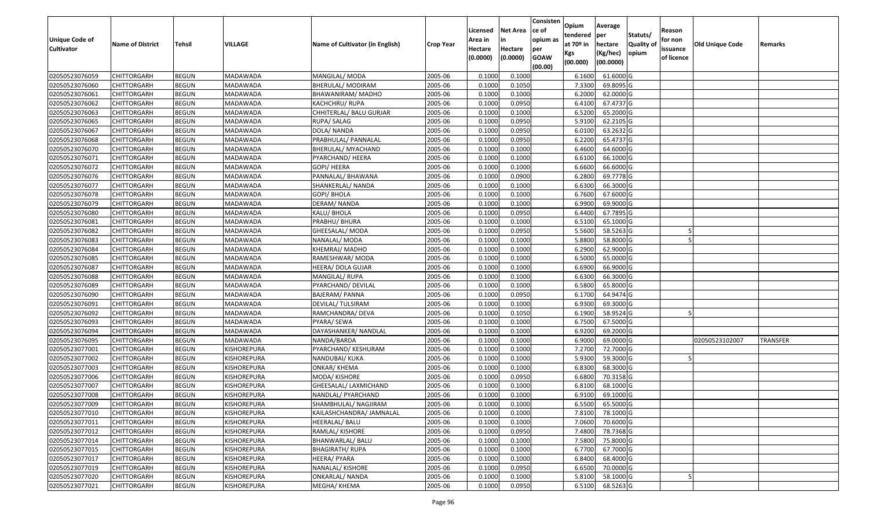| <b>Unique Code of</b> | <b>Name of District</b> | Tehsil       | VILLAGE            | Name of Cultivator (in English) | <b>Crop Year</b> | Licensed<br>Area in | <b>Net Area</b><br>in | Consisten<br>ce of<br>opium as | Opium<br>tendered<br>at $70°$ in | Average<br>per<br>hectare | Statuts/<br><b>Quality o</b> | Reason<br>for non      | Old Unique Code | Remarks         |
|-----------------------|-------------------------|--------------|--------------------|---------------------------------|------------------|---------------------|-----------------------|--------------------------------|----------------------------------|---------------------------|------------------------------|------------------------|-----------------|-----------------|
| <b>Cultivator</b>     |                         |              |                    |                                 |                  | Hectare<br>(0.0000) | Hectare<br>(0.0000)   | per<br><b>GOAW</b><br>(00.00)  | Kgs<br>(00.000)                  | (Kg/hec)<br>(00.0000)     | opium                        | issuance<br>of licence |                 |                 |
| 02050523076059        | CHITTORGARH             | <b>BEGUN</b> | MADAWADA           | MANGILAL/ MODA                  | 2005-06          | 0.1000              | 0.1000                |                                | 6.1600                           | 61.6000G                  |                              |                        |                 |                 |
| 02050523076060        | CHITTORGARH             | <b>BEGUN</b> | MADAWADA           | BHERULAL/ MODIRAM               | 2005-06          | 0.1000              | 0.1050                |                                | 7.3300                           | 69.8095 G                 |                              |                        |                 |                 |
| 02050523076061        | CHITTORGARH             | <b>BEGUN</b> | MADAWADA           | BHAWANIRAM/ MADHO               | 2005-06          | 0.1000              | 0.1000                |                                | 6.2000                           | 62.0000G                  |                              |                        |                 |                 |
| 02050523076062        | <b>CHITTORGARH</b>      | <b>BEGUN</b> | MADAWADA           | KACHCHRU/RUPA                   | 2005-06          | 0.1000              | 0.0950                |                                | 6.4100                           | 67.4737 G                 |                              |                        |                 |                 |
| 02050523076063        | CHITTORGARH             | <b>BEGUN</b> | MADAWADA           | CHHITERLAL/ BALU GURJAR         | 2005-06          | 0.1000              | 0.1000                |                                | 6.5200                           | 65.2000 G                 |                              |                        |                 |                 |
| 02050523076065        | CHITTORGARH             | <b>BEGUN</b> | MADAWADA           | RUPA/ SALAG                     | 2005-06          | 0.1000              | 0.0950                |                                | 5.9100                           | $62.2105$ G               |                              |                        |                 |                 |
| 02050523076067        | CHITTORGARH             | <b>BEGUN</b> | MADAWADA           | DOLA/ NANDA                     | 2005-06          | 0.1000              | 0.0950                |                                | 6.0100                           | 63.2632 G                 |                              |                        |                 |                 |
| 02050523076068        | <b>CHITTORGARH</b>      | <b>BEGUN</b> | MADAWADA           | PRABHULAL/ PANNALAL             | 2005-06          | 0.1000              | 0.0950                |                                | 6.2200                           | 65.4737 G                 |                              |                        |                 |                 |
| 02050523076070        | CHITTORGARH             | <b>BEGUN</b> | MADAWADA           | BHERULAL/ MYACHAND              | 2005-06          | 0.1000              | 0.1000                |                                | 6.4600                           | 64.6000 G                 |                              |                        |                 |                 |
| 02050523076071        | CHITTORGARH             | <b>BEGUN</b> | MADAWADA           | PYARCHAND/ HEERA                | 2005-06          | 0.1000              | 0.1000                |                                | 6.6100                           | 66.1000G                  |                              |                        |                 |                 |
| 02050523076072        | CHITTORGARH             | <b>BEGUN</b> | MADAWADA           | GOPI/ HEERA                     | 2005-06          | 0.1000              | 0.1000                |                                | 6.6600                           | 66.6000 G                 |                              |                        |                 |                 |
| 02050523076076        | <b>CHITTORGARH</b>      | <b>BEGUN</b> | MADAWADA           | PANNALAL/ BHAWANA               | 2005-06          | 0.1000              | 0.0900                |                                | 6.2800                           | 69.7778 G                 |                              |                        |                 |                 |
| 02050523076077        | <b>CHITTORGARH</b>      | <b>BEGUN</b> | MADAWADA           | SHANKERLAL/ NANDA               | 2005-06          | 0.1000              | 0.1000                |                                | 6.6300                           | 66.3000 G                 |                              |                        |                 |                 |
| 02050523076078        | <b>CHITTORGARH</b>      | <b>BEGUN</b> | MADAWADA           | GOPI/ BHOLA                     | 2005-06          | 0.100               | 0.1000                |                                | 6.7600                           | 67.6000G                  |                              |                        |                 |                 |
| 02050523076079        | CHITTORGARH             | <b>BEGUN</b> | MADAWADA           | DERAM/ NANDA                    | 2005-06          | 0.1000              | 0.1000                |                                | 6.9900                           | 69.9000 G                 |                              |                        |                 |                 |
| 02050523076080        | CHITTORGARH             | <b>BEGUN</b> | MADAWADA           | KALU/ BHOLA                     | 2005-06          | 0.1000              | 0.0950                |                                | 6.4400                           | 67.7895 G                 |                              |                        |                 |                 |
| 02050523076081        | <b>CHITTORGARH</b>      | <b>BEGUN</b> | MADAWADA           | PRABHU/ BHURA                   | 2005-06          | 0.1000              | 0.1000                |                                | 6.5100                           | 65.1000G                  |                              |                        |                 |                 |
| 02050523076082        | CHITTORGARH             | <b>BEGUN</b> | MADAWADA           | GHEESALAL/ MODA                 | 2005-06          | 0.1000              | 0.0950                |                                | 5.5600                           | 58.5263 G                 |                              |                        |                 |                 |
| 02050523076083        | CHITTORGARH             | <b>BEGUN</b> | MADAWADA           | NANALAL/ MODA                   | 2005-06          | 0.100               | 0.1000                |                                | 5.8800                           | 58.8000 G                 |                              |                        |                 |                 |
| 02050523076084        | CHITTORGARH             | <b>BEGUN</b> | MADAWADA           | KHEMRAJ/ MADHO                  | 2005-06          | 0.1000              | 0.1000                |                                | 6.2900                           | 62.9000G                  |                              |                        |                 |                 |
| 02050523076085        | CHITTORGARH             | <b>BEGUN</b> | MADAWADA           | RAMESHWAR/ MODA                 | 2005-06          | 0.100               | 0.1000                |                                | 6.5000                           | 65.0000G                  |                              |                        |                 |                 |
| 02050523076087        | CHITTORGARH             | <b>BEGUN</b> | MADAWADA           | HEERA/ DOLA GUJAR               | 2005-06          | 0.100               | 0.1000                |                                | 6.690                            | 66.9000 G                 |                              |                        |                 |                 |
| 02050523076088        | CHITTORGARH             | <b>BEGUN</b> | MADAWADA           | MANGILAL/RUPA                   | 2005-06          | 0.1000              | 0.1000                |                                | 6.6300                           | 66.3000 G                 |                              |                        |                 |                 |
| 02050523076089        | CHITTORGARH             | <b>BEGUN</b> | MADAWADA           | PYARCHAND/ DEVILAL              | 2005-06          | 0.100               | 0.1000                |                                | 6.5800                           | 65.8000 G                 |                              |                        |                 |                 |
| 02050523076090        | <b>CHITTORGARH</b>      | <b>BEGUN</b> | MADAWADA           | <b>BAJERAM/ PANNA</b>           | 2005-06          | 0.100               | 0.0950                |                                | 6.1700                           | 64.9474 G                 |                              |                        |                 |                 |
| 02050523076091        | CHITTORGARH             | <b>BEGUN</b> | MADAWADA           | DEVILAL/ TULSIRAM               | 2005-06          | 0.1000              | 0.1000                |                                | 6.9300                           | 69.3000 G                 |                              |                        |                 |                 |
| 02050523076092        | CHITTORGARH             | <b>BEGUN</b> | MADAWADA           | RAMCHANDRA/ DEVA                | 2005-06          | 0.100               | 0.1050                |                                | 6.1900                           | 58.9524 G                 |                              |                        |                 |                 |
| 02050523076093        | CHITTORGARH             | <b>BEGUN</b> | MADAWADA           | PYARA/ SEWA                     | 2005-06          | 0.1000              | 0.1000                |                                | 6.7500                           | 67.5000G                  |                              |                        |                 |                 |
| 02050523076094        | CHITTORGARH             | <b>BEGUN</b> | MADAWADA           | DAYASHANKER/ NANDLAL            | 2005-06          | 0.1000              | 0.1000                |                                | 6.9200                           | 69.2000 G                 |                              |                        |                 |                 |
| 02050523076095        | CHITTORGARH             | <b>BEGUN</b> | MADAWADA           | NANDA/BARDA                     | 2005-06          | 0.1000              | 0.1000                |                                | 6.9000                           | 69.0000G                  |                              |                        | 02050523102007  | <b>TRANSFER</b> |
| 02050523077001        | CHITTORGARH             | <b>BEGUN</b> | KISHOREPURA        | PYARCHAND/ KESHURAM             | 2005-06          | 0.100               | 0.1000                |                                | 7.2700                           | 72.7000G                  |                              |                        |                 |                 |
| 02050523077002        | CHITTORGARH             | <b>BEGUN</b> | KISHOREPURA        | NANDUBAI/ KUKA                  | 2005-06          | 0.1000              | 0.1000                |                                | 5.9300                           | 59.3000G                  |                              |                        |                 |                 |
| 02050523077003        | CHITTORGARH             | <b>BEGUN</b> | KISHOREPURA        | ONKAR/KHEMA                     | 2005-06          | 0.100               | 0.1000                |                                | 6.8300                           | 68.3000 G                 |                              |                        |                 |                 |
| 02050523077006        | CHITTORGARH             | <b>BEGUN</b> | KISHOREPURA        | MODA/ KISHORE                   | 2005-06          | 0.1000              | 0.0950                |                                | 6.6800                           | 70.3158 G                 |                              |                        |                 |                 |
| 02050523077007        | CHITTORGARH             | <b>BEGUN</b> | KISHOREPURA        | GHEESALAL/ LAXMICHAND           | 2005-06          | 0.1000              | 0.1000                |                                | 6.8100                           | 68.1000 G                 |                              |                        |                 |                 |
| 02050523077008        | CHITTORGARH             | <b>BEGUN</b> | KISHOREPURA        | NANDLAL/ PYARCHAND              | 2005-06          | 0.1000              | 0.1000                |                                | 6.9100                           | 69.1000 G                 |                              |                        |                 |                 |
| 02050523077009        | <b>CHITTORGARH</b>      | <b>BEGUN</b> | KISHOREPURA        | SHAMBHULAL/ NAGJIRAM            | 2005-06          | 0.1000              | 0.1000                |                                | 6.5500                           | 65.5000G                  |                              |                        |                 |                 |
| 02050523077010        | <b>CHITTORGARH</b>      | <b>BEGUN</b> | KISHOREPURA        | KAILASHCHANDRA/ JAMNALAL        | 2005-06          | 0.1000              | 0.1000                |                                | 7.8100                           | 78.1000 G                 |                              |                        |                 |                 |
| 02050523077011        | <b>CHITTORGARH</b>      | <b>BEGUN</b> | KISHOREPURA        | HEERALAL/ BALU                  | 2005-06          | 0.1000              | 0.1000                |                                | 7.0600                           | 70.6000 G                 |                              |                        |                 |                 |
| 02050523077012        | <b>CHITTORGARH</b>      | <b>BEGUN</b> | KISHOREPURA        | RAMLAL/ KISHORE                 | 2005-06          | 0.1000              | 0.0950                |                                | 7.4800                           | 78.7368 G                 |                              |                        |                 |                 |
| 02050523077014        | CHITTORGARH             | <b>BEGUN</b> | KISHOREPURA        | BHANWARLAL/ BALU                | 2005-06          | 0.1000              | 0.1000                |                                | 7.5800                           | 75.8000 G                 |                              |                        |                 |                 |
| 02050523077015        | <b>CHITTORGARH</b>      | <b>BEGUN</b> | <b>KISHOREPURA</b> | <b>BHAGIRATH/ RUPA</b>          | 2005-06          | 0.1000              | 0.1000                |                                | 6.7700                           | 67.7000 G                 |                              |                        |                 |                 |
| 02050523077017        | <b>CHITTORGARH</b>      | <b>BEGUN</b> | KISHOREPURA        | HEERA/ PYARA                    | 2005-06          | 0.1000              | 0.1000                |                                | 6.8400                           | 68.4000 G                 |                              |                        |                 |                 |
| 02050523077019        | <b>CHITTORGARH</b>      | <b>BEGUN</b> | KISHOREPURA        | NANALAL/ KISHORE                | 2005-06          | 0.1000              | 0.0950                |                                | 6.6500                           | 70.0000 G                 |                              |                        |                 |                 |
| 02050523077020        | CHITTORGARH             | <b>BEGUN</b> | KISHOREPURA        | ONKARLAL/ NANDA                 | 2005-06          | 0.1000              | 0.1000                |                                | 5.8100                           | 58.1000 G                 |                              |                        |                 |                 |
| 02050523077021        | <b>CHITTORGARH</b>      | <b>BEGUN</b> | KISHOREPURA        | MEGHA/ KHEMA                    | 2005-06          | 0.1000              | 0.0950                |                                | 6.5100                           | 68.5263 G                 |                              |                        |                 |                 |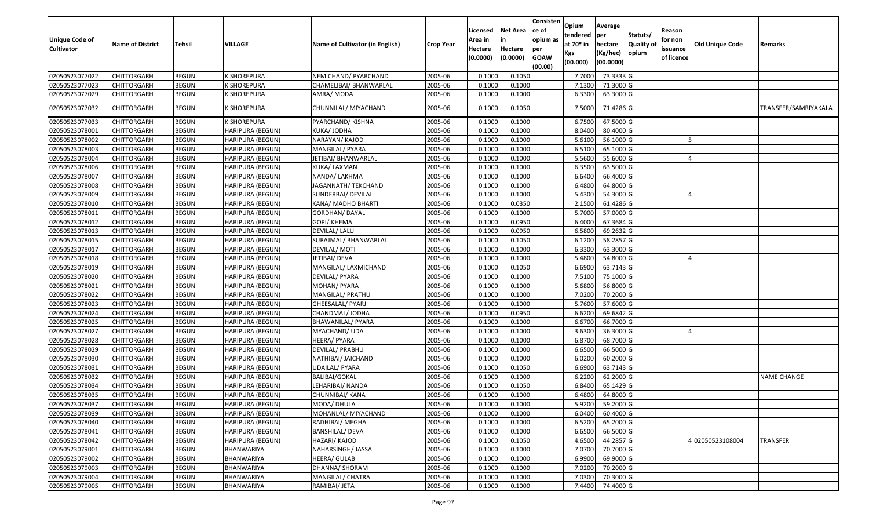| <b>Unique Code of</b><br><b>Cultivator</b> | <b>Name of District</b> | Tehsil       | VILLAGE                 | Name of Cultivator (in English) | <b>Crop Year</b> | Licensed<br>Area in<br>Hectare | <b>Net Area</b><br>in<br>Hectare | Consisten<br>ce of<br>opium as | Opium<br>tendered<br>at $70°$ in | Average<br>per<br>hectare | Statuts/<br><b>Quality o</b> | Reason<br>for non<br>issuance | Old Unique Code | Remarks              |
|--------------------------------------------|-------------------------|--------------|-------------------------|---------------------------------|------------------|--------------------------------|----------------------------------|--------------------------------|----------------------------------|---------------------------|------------------------------|-------------------------------|-----------------|----------------------|
|                                            |                         |              |                         |                                 |                  | (0.0000)                       | (0.0000)                         | per<br><b>GOAW</b><br>(00.00)  | Kgs<br>(00.000)                  | (Kg/hec)<br>(00.0000)     | opium                        | of licence                    |                 |                      |
| 02050523077022                             | CHITTORGARH             | <b>BEGUN</b> | KISHOREPURA             | NEMICHAND/ PYARCHAND            | 2005-06          | 0.1000                         | 0.1050                           |                                | 7.7000                           | 73.3333 G                 |                              |                               |                 |                      |
| 02050523077023                             | CHITTORGARH             | <b>BEGUN</b> | KISHOREPURA             | CHAMELIBAI/ BHANWARLAL          | 2005-06          | 0.1000                         | 0.1000                           |                                | 7.1300                           | 71.3000 G                 |                              |                               |                 |                      |
| 02050523077029                             | CHITTORGARH             | <b>BEGUN</b> | KISHOREPURA             | AMRA/ MODA                      | 2005-06          | 0.1000                         | 0.1000                           |                                | 6.3300                           | 63.3000 G                 |                              |                               |                 |                      |
| 02050523077032                             | CHITTORGARH             | <b>BEGUN</b> | KISHOREPURA             | CHUNNILAL/ MIYACHAND            | 2005-06          | 0.1000                         | 0.1050                           |                                | 7.5000                           | 71.4286 G                 |                              |                               |                 | TRANSFER/SAMRIYAKALA |
| 02050523077033                             | CHITTORGARH             | <b>BEGUN</b> | KISHOREPURA             | PYARCHAND/ KISHNA               | 2005-06          | 0.1000                         | 0.1000                           |                                | 6.7500                           | 67.5000 G                 |                              |                               |                 |                      |
| 02050523078001                             | CHITTORGARH             | <b>BEGUN</b> | HARIPURA (BEGUN)        | KUKA/ JODHA                     | 2005-06          | 0.1000                         | 0.1000                           |                                | 8.0400                           | 80.4000 G                 |                              |                               |                 |                      |
| 02050523078002                             | <b>CHITTORGARH</b>      | <b>BEGUN</b> | <b>HARIPURA (BEGUN)</b> | NARAYAN/ KAJOD                  | 2005-06          | 0.1000                         | 0.1000                           |                                | 5.6100                           | 56.1000G                  |                              |                               |                 |                      |
| 02050523078003                             | CHITTORGARH             | <b>BEGUN</b> | HARIPURA (BEGUN)        | MANGILAL/ PYARA                 | 2005-06          | 0.1000                         | 0.1000                           |                                | 6.5100                           | 65.1000 G                 |                              |                               |                 |                      |
| 02050523078004                             | CHITTORGARH             | <b>BEGUN</b> | HARIPURA (BEGUN)        | JETIBAI/ BHANWARLAL             | 2005-06          | 0.1000                         | 0.1000                           |                                | 5.5600                           | 55.6000G                  |                              |                               |                 |                      |
| 02050523078006                             | CHITTORGARH             | <b>BEGUN</b> | HARIPURA (BEGUN)        | KUKA/ LAXMAN                    | 2005-06          | 0.1000                         | 0.1000                           |                                | 6.3500                           | 63.5000G                  |                              |                               |                 |                      |
| 02050523078007                             | CHITTORGARH             | <b>BEGUN</b> | HARIPURA (BEGUN)        | NANDA/ LAKHMA                   | 2005-06          | 0.1000                         | 0.1000                           |                                | 6.6400                           | 66.4000 G                 |                              |                               |                 |                      |
| 02050523078008                             | <b>CHITTORGARH</b>      | <b>BEGUN</b> | <b>HARIPURA (BEGUN)</b> | JAGANNATH/TEKCHAND              | 2005-06          | 0.1000                         | 0.1000                           |                                | 6.4800                           | 64.8000 G                 |                              |                               |                 |                      |
| 02050523078009                             | CHITTORGARH             | <b>BEGUN</b> | HARIPURA (BEGUN)        | SUNDERBAI/ DEVILAL              | 2005-06          | 0.1000                         | 0.1000                           |                                | 5.4300                           | 54.3000 G                 |                              |                               |                 |                      |
| 02050523078010                             | CHITTORGARH             | <b>BEGUN</b> | HARIPURA (BEGUN)        | KANA/ MADHO BHARTI              | 2005-06          | 0.1000                         | 0.0350                           |                                | 2.1500                           | 61.4286 G                 |                              |                               |                 |                      |
| 02050523078011                             | CHITTORGARH             | <b>BEGUN</b> | HARIPURA (BEGUN)        | GORDHAN/ DAYAL                  | 2005-06          | 0.1000                         | 0.1000                           |                                | 5.7000                           | 57.0000 G                 |                              |                               |                 |                      |
| 02050523078012                             | CHITTORGARH             | <b>BEGUN</b> | <b>HARIPURA (BEGUN)</b> | GOPI/ KHEMA                     | 2005-06          | 0.1000                         | 0.0950                           |                                | 6.4000                           | 67.3684 G                 |                              |                               |                 |                      |
| 02050523078013                             | CHITTORGARH             | <b>BEGUN</b> | HARIPURA (BEGUN)        | DEVILAL/ LALU                   | 2005-06          | 0.1000                         | 0.0950                           |                                | 6.580                            | 69.2632 G                 |                              |                               |                 |                      |
| 02050523078015                             | CHITTORGARH             | <b>BEGUN</b> | HARIPURA (BEGUN)        | SURAJMAL/ BHANWARLAL            | 2005-06          | 0.1000                         | 0.1050                           |                                | 6.1200                           | 58.2857 G                 |                              |                               |                 |                      |
| 02050523078017                             | CHITTORGARH             | <b>BEGUN</b> | HARIPURA (BEGUN)        | DEVILAL/ MOTI                   | 2005-06          | 0.1000                         | 0.1000                           |                                | 6.3300                           | 63.3000 G                 |                              |                               |                 |                      |
| 02050523078018                             | CHITTORGARH             | <b>BEGUN</b> | <b>HARIPURA (BEGUN)</b> | JETIBAI/ DEVA                   | 2005-06          | 0.1000                         | 0.1000                           |                                | 5.4800                           | 54.8000 G                 |                              |                               |                 |                      |
| 02050523078019                             | CHITTORGARH             | <b>BEGUN</b> | HARIPURA (BEGUN)        | MANGILAL/ LAXMICHAND            | 2005-06          | 0.1000                         | 0.1050                           |                                | 6.6900                           | 63.7143 G                 |                              |                               |                 |                      |
| 02050523078020                             | CHITTORGARH             | <b>BEGUN</b> | HARIPURA (BEGUN)        | DEVILAL/ PYARA                  | 2005-06          | 0.1000                         | 0.1000                           |                                | 7.5100                           | 75.1000G                  |                              |                               |                 |                      |
| 02050523078021                             | CHITTORGARH             | <b>BEGUN</b> | HARIPURA (BEGUN)        | MOHAN/ PYARA                    | 2005-06          | 0.1000                         | 0.1000                           |                                | 5.6800                           | 56.8000 G                 |                              |                               |                 |                      |
| 02050523078022                             | <b>CHITTORGARH</b>      | <b>BEGUN</b> | <b>HARIPURA (BEGUN)</b> | MANGILAL/ PRATHU                | 2005-06          | 0.1000                         | 0.1000                           |                                | 7.0200                           | 70.2000 G                 |                              |                               |                 |                      |
| 02050523078023                             | CHITTORGARH             | <b>BEGUN</b> | <b>HARIPURA (BEGUN)</b> | GHEESALAL/ PYARJI               | 2005-06          | 0.1000                         | 0.1000                           |                                | 5.7600                           | 57.6000G                  |                              |                               |                 |                      |
| 02050523078024                             | CHITTORGARH             | <b>BEGUN</b> | HARIPURA (BEGUN)        | CHANDMAL/ JODHA                 | 2005-06          | 0.1000                         | 0.0950                           |                                | 6.6200                           | 69.6842 G                 |                              |                               |                 |                      |
| 02050523078025                             | CHITTORGARH             | <b>BEGUN</b> | HARIPURA (BEGUN)        | BHAWANILAL/ PYARA               | 2005-06          | 0.1000                         | 0.1000                           |                                | 6.6700                           | 66.7000 G                 |                              |                               |                 |                      |
| 02050523078027                             | <b>CHITTORGARH</b>      | <b>BEGUN</b> | <b>HARIPURA (BEGUN)</b> | MYACHAND/ UDA                   | 2005-06          | 0.1000                         | 0.1000                           |                                | 3.6300                           | 36.3000 G                 |                              |                               |                 |                      |
| 02050523078028                             | CHITTORGARH             | <b>BEGUN</b> | HARIPURA (BEGUN)        | HEERA/ PYARA                    | 2005-06          | 0.1000                         | 0.1000                           |                                | 6.8700                           | 68.7000 G                 |                              |                               |                 |                      |
| 02050523078029                             | CHITTORGARH             | <b>BEGUN</b> | HARIPURA (BEGUN)        | DEVILAL/ PRABHU                 | 2005-06          | 0.1000                         | 0.1000                           |                                | 6.6500                           | 66.5000G                  |                              |                               |                 |                      |
| 02050523078030                             | CHITTORGARH             | <b>BEGUN</b> | HARIPURA (BEGUN)        | NATHIBAI/ JAICHAND              | 2005-06          | 0.1000                         | 0.1000                           |                                | 6.0200                           | 60.2000 G                 |                              |                               |                 |                      |
| 02050523078031                             | <b>CHITTORGARH</b>      | <b>BEGUN</b> | HARIPURA (BEGUN)        | <b>UDAILAL/ PYARA</b>           | 2005-06          | 0.1000                         | 0.1050                           |                                | 6.6900                           | 63.7143 G                 |                              |                               |                 |                      |
| 02050523078032                             | <b>CHITTORGARH</b>      | <b>BEGUN</b> | HARIPURA (BEGUN)        | BALIBAI/GOKAL                   | 2005-06          | 0.1000                         | 0.1000                           |                                | 6.2200                           | 62.2000 G                 |                              |                               |                 | <b>NAME CHANGE</b>   |
| 02050523078034                             | CHITTORGARH             | <b>BEGUN</b> | HARIPURA (BEGUN)        | LEHARIBAI/ NANDA                | 2005-06          | 0.1000                         | 0.1050                           |                                | 6.8400                           | 65.1429 G                 |                              |                               |                 |                      |
| 02050523078035                             | CHITTORGARH             | <b>BEGUN</b> | HARIPURA (BEGUN)        | CHUNNIBAI/ KANA                 | 2005-06          | 0.1000                         | 0.1000                           |                                | 6.4800                           | 64.8000 G                 |                              |                               |                 |                      |
| 02050523078037                             | <b>CHITTORGARH</b>      | <b>BEGUN</b> | HARIPURA (BEGUN)        | MODA/ DHULA                     | 2005-06          | 0.1000                         | 0.1000                           |                                | 5.9200                           | 59.2000G                  |                              |                               |                 |                      |
| 02050523078039                             | <b>CHITTORGARH</b>      | <b>BEGUN</b> | HARIPURA (BEGUN)        | MOHANLAL/ MIYACHAND             | 2005-06          | 0.1000                         | 0.1000                           |                                | 6.0400                           | 60.4000 G                 |                              |                               |                 |                      |
| 02050523078040                             | <b>CHITTORGARH</b>      | <b>BEGUN</b> | <b>HARIPURA (BEGUN)</b> | RADHIBAI/ MEGHA                 | 2005-06          | 0.1000                         | 0.1000                           |                                | 6.5200                           | 65.2000 G                 |                              |                               |                 |                      |
| 02050523078041                             | <b>CHITTORGARH</b>      | <b>BEGUN</b> | HARIPURA (BEGUN)        | <b>BANSHILAL/ DEVA</b>          | 2005-06          | 0.1000                         | 0.1000                           |                                | 6.6500                           | $66.5000$ G               |                              |                               |                 |                      |
| 02050523078042                             | <b>CHITTORGARH</b>      | <b>BEGUN</b> | <b>HARIPURA (BEGUN)</b> | HAZARI/ KAJOD                   | 2005-06          | 0.1000                         | 0.1050                           |                                | 4.6500                           | 44.2857 G                 |                              |                               | 402050523108004 | <b>TRANSFER</b>      |
| 02050523079001                             | <b>CHITTORGARH</b>      | <b>BEGUN</b> | BHANWARIYA              | NAHARSINGH/ JASSA               | 2005-06          | 0.1000                         | 0.1000                           |                                | 7.0700                           | 70.7000 G                 |                              |                               |                 |                      |
| 02050523079002                             | <b>CHITTORGARH</b>      | <b>BEGUN</b> | BHANWARIYA              | <b>HEERA/ GULAB</b>             | 2005-06          | 0.1000                         | 0.1000                           |                                | 6.9900                           | 69.9000 G                 |                              |                               |                 |                      |
| 02050523079003                             | <b>CHITTORGARH</b>      | <b>BEGUN</b> | BHANWARIYA              | DHANNA/ SHORAM                  | 2005-06          | 0.1000                         | 0.1000                           |                                | 7.0200                           | 70.2000 G                 |                              |                               |                 |                      |
| 02050523079004                             | <b>CHITTORGARH</b>      | <b>BEGUN</b> | BHANWARIYA              | MANGILAL/ CHATRA                | 2005-06          | 0.1000                         | 0.1000                           |                                | 7.0300                           | 70.3000 G                 |                              |                               |                 |                      |
| 02050523079005                             | <b>CHITTORGARH</b>      | <b>BEGUN</b> | <b>BHANWARIYA</b>       | RAMIBAI/ JETA                   | 2005-06          | 0.1000                         | 0.1000                           |                                | 7.4400                           | 74.4000 G                 |                              |                               |                 |                      |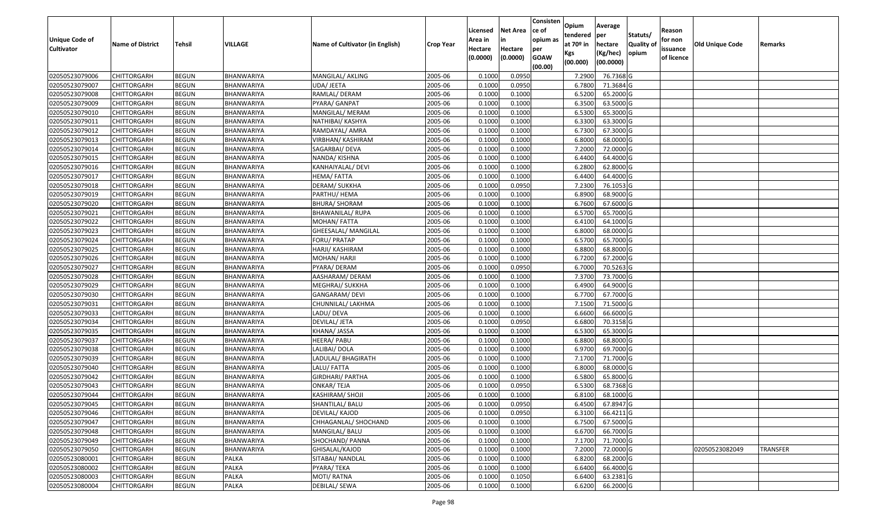| Unique Code of    |                         |               |                   |                                 |                  | Licensed<br>Area in | <b>Net Area</b><br>in | Consisten<br>ce of<br>opium as | Opium<br>tendered | Average<br>per | Statuts/         | Reason<br>for non |                        |                 |
|-------------------|-------------------------|---------------|-------------------|---------------------------------|------------------|---------------------|-----------------------|--------------------------------|-------------------|----------------|------------------|-------------------|------------------------|-----------------|
| <b>Cultivator</b> | <b>Name of District</b> | <b>Tehsil</b> | VILLAGE           | Name of Cultivator (in English) | <b>Crop Year</b> | Hectare             | Hectare               | per                            | at $70°$ in       | hectare        | <b>Quality o</b> | issuance          | <b>Old Unique Code</b> | Remarks         |
|                   |                         |               |                   |                                 |                  | (0.0000)            | (0.0000)              | <b>GOAW</b>                    | Kgs               | (Kg/hec)       | opium            | of licence        |                        |                 |
|                   |                         |               |                   |                                 |                  |                     |                       | (00.00)                        | (00.000)          | (00.0000)      |                  |                   |                        |                 |
| 02050523079006    | CHITTORGARH             | <b>BEGUN</b>  | BHANWARIYA        | MANGILAL/ AKLING                | 2005-06          | 0.1000              | 0.0950                |                                | 7.2900            | 76.7368 G      |                  |                   |                        |                 |
| 02050523079007    | CHITTORGARH             | <b>BEGUN</b>  | BHANWARIYA        | UDA/ JEETA                      | 2005-06          | 0.1000              | 0.0950                |                                | 6.7800            | 71.3684 G      |                  |                   |                        |                 |
| 02050523079008    | CHITTORGARH             | <b>BEGUN</b>  | BHANWARIYA        | RAMLAL/ DERAM                   | 2005-06          | 0.1000              | 0.1000                |                                | 6.5200            | 65.2000 G      |                  |                   |                        |                 |
| 02050523079009    | <b>CHITTORGARH</b>      | <b>BEGUN</b>  | <b>BHANWARIYA</b> | PYARA/ GANPAT                   | 2005-06          | 0.1000              | 0.1000                |                                | 6.3500            | 63.5000G       |                  |                   |                        |                 |
| 02050523079010    | CHITTORGARH             | <b>BEGUN</b>  | BHANWARIYA        | MANGILAL/ MERAM                 | 2005-06          | 0.1000              | 0.1000                |                                | 6.5300            | 65.3000G       |                  |                   |                        |                 |
| 02050523079011    | CHITTORGARH             | <b>BEGUN</b>  | BHANWARIYA        | NATHIBAI/ KASHYA                | 2005-06          | 0.1000              | 0.1000                |                                | 6.3300            | 63.3000 G      |                  |                   |                        |                 |
| 02050523079012    | CHITTORGARH             | <b>BEGUN</b>  | BHANWARIYA        | RAMDAYAL/ AMRA                  | 2005-06          | 0.1000              | 0.1000                |                                | 6.7300            | 67.3000 G      |                  |                   |                        |                 |
| 02050523079013    | <b>CHITTORGARH</b>      | <b>BEGUN</b>  | BHANWARIYA        | VIRBHAN/ KASHIRAM               | 2005-06          | 0.1000              | 0.1000                |                                | 6.8000            | 68.0000G       |                  |                   |                        |                 |
| 02050523079014    | CHITTORGARH             | <b>BEGUN</b>  | BHANWARIYA        | SAGARBAI/ DEVA                  | 2005-06          | 0.1000              | 0.1000                |                                | 7.2000            | 72.0000G       |                  |                   |                        |                 |
| 02050523079015    | CHITTORGARH             | <b>BEGUN</b>  | BHANWARIYA        | NANDA/ KISHNA                   | 2005-06          | 0.1000              | 0.1000                |                                | 6.4400            | 64.4000 G      |                  |                   |                        |                 |
| 02050523079016    | CHITTORGARH             | <b>BEGUN</b>  | BHANWARIYA        | KANHAIYALAL/ DEVI               | 2005-06          | 0.1000              | 0.1000                |                                | 6.2800            | 62.8000 G      |                  |                   |                        |                 |
| 02050523079017    | CHITTORGARH             | <b>BEGUN</b>  | BHANWARIYA        | HEMA/FATTA                      | 2005-06          | 0.1000              | 0.1000                |                                | 6.4400            | 64.4000 G      |                  |                   |                        |                 |
| 02050523079018    | <b>CHITTORGARH</b>      | <b>BEGUN</b>  | BHANWARIYA        | DERAM/ SUKKHA                   | 2005-06          | 0.1000              | 0.0950                |                                | 7.2300            | 76.1053 G      |                  |                   |                        |                 |
| 02050523079019    | CHITTORGARH             | <b>BEGUN</b>  | BHANWARIYA        | PARTHU/ HEMA                    | 2005-06          | 0.1000              | 0.1000                |                                | 6.8900            | 68.9000G       |                  |                   |                        |                 |
| 02050523079020    | CHITTORGARH             | <b>BEGUN</b>  | BHANWARIYA        | BHURA/ SHORAM                   | 2005-06          | 0.1000              | 0.1000                |                                | 6.7600            | 67.6000G       |                  |                   |                        |                 |
| 02050523079021    | CHITTORGARH             | <b>BEGUN</b>  | BHANWARIYA        | <b>BHAWANILAL/ RUPA</b>         | 2005-06          | 0.1000              | 0.1000                |                                | 6.5700            | 65.7000 G      |                  |                   |                        |                 |
| 02050523079022    | CHITTORGARH             | <b>BEGUN</b>  | BHANWARIYA        | MOHAN/FATTA                     | 2005-06          | 0.1000              | 0.1000                |                                | 6.4100            | 64.1000 G      |                  |                   |                        |                 |
| 02050523079023    | CHITTORGARH             | <b>BEGUN</b>  | BHANWARIYA        | GHEESALAL/ MANGILAL             | 2005-06          | 0.1000              | 0.1000                |                                | 6.8000            | 68.0000G       |                  |                   |                        |                 |
| 02050523079024    | CHITTORGARH             | <b>BEGUN</b>  | BHANWARIYA        | FORU/ PRATAP                    | 2005-06          | 0.1000              | 0.1000                |                                | 6.5700            | 65.7000 G      |                  |                   |                        |                 |
| 02050523079025    | CHITTORGARH             | <b>BEGUN</b>  | BHANWARIYA        | HARJI/ KASHIRAM                 | 2005-06          | 0.1000              | 0.1000                |                                | 6.8800            | 68.8000 G      |                  |                   |                        |                 |
| 02050523079026    | CHITTORGARH             | <b>BEGUN</b>  | <b>BHANWARIYA</b> | MOHAN/ HARJI                    | 2005-06          | 0.1000              | 0.1000                |                                | 6.7200            | 67.2000 G      |                  |                   |                        |                 |
| 02050523079027    | CHITTORGARH             | <b>BEGUN</b>  | BHANWARIYA        | PYARA/ DERAM                    | 2005-06          | 0.100               | 0.0950                |                                | 6.700             | $70.5263$ G    |                  |                   |                        |                 |
| 02050523079028    | CHITTORGARH             | <b>BEGUN</b>  | BHANWARIYA        | AASHARAM/ DERAM                 | 2005-06          | 0.1000              | 0.1000                |                                | 7.3700            | 73.7000G       |                  |                   |                        |                 |
| 02050523079029    | CHITTORGARH             | <b>BEGUN</b>  | BHANWARIYA        | MEGHRAJ/ SUKKHA                 | 2005-06          | 0.100               | 0.1000                |                                | 6.4900            | 64.9000 G      |                  |                   |                        |                 |
| 02050523079030    | <b>CHITTORGARH</b>      | <b>BEGUN</b>  | <b>BHANWARIYA</b> | GANGARAM/ DEVI                  | 2005-06          | 0.1000              | 0.1000                |                                | 6.7700            | 67.7000 G      |                  |                   |                        |                 |
| 02050523079031    | CHITTORGARH             | <b>BEGUN</b>  | BHANWARIYA        | CHUNNILAL/ LAKHMA               | 2005-06          | 0.1000              | 0.1000                |                                | 7.1500            | 71.5000G       |                  |                   |                        |                 |
| 02050523079033    | CHITTORGARH             | <b>BEGUN</b>  | BHANWARIYA        | LADU/ DEVA                      | 2005-06          | 0.1000              | 0.1000                |                                | 6.6600            | 66.6000 G      |                  |                   |                        |                 |
| 02050523079034    | CHITTORGARH             | <b>BEGUN</b>  | BHANWARIYA        | DEVILAL/ JETA                   | 2005-06          | 0.1000              | 0.0950                |                                | 6.6800            | 70.3158 G      |                  |                   |                        |                 |
| 02050523079035    | CHITTORGARH             | <b>BEGUN</b>  | <b>BHANWARIYA</b> | KHANA/ JASSA                    | 2005-06          | 0.1000              | 0.1000                |                                | 6.5300            | 65.3000 G      |                  |                   |                        |                 |
| 02050523079037    | CHITTORGARH             | <b>BEGUN</b>  | BHANWARIYA        | HEERA/ PABU                     | 2005-06          | 0.1000              | 0.1000                |                                | 6.8800            | 68.8000 G      |                  |                   |                        |                 |
| 02050523079038    | CHITTORGARH             | <b>BEGUN</b>  | BHANWARIYA        | LALIBAI/ DOLA                   | 2005-06          | 0.1000              | 0.1000                |                                | 6.9700            | 69.7000 G      |                  |                   |                        |                 |
| 02050523079039    | CHITTORGARH             | <b>BEGUN</b>  | BHANWARIYA        | LADULAL/ BHAGIRATH              | 2005-06          | 0.1000              | 0.1000                |                                | 7.1700            | 71.7000G       |                  |                   |                        |                 |
| 02050523079040    | CHITTORGARH             | <b>BEGUN</b>  | BHANWARIYA        | LALU/ FATTA                     | 2005-06          | 0.1000              | 0.1000                |                                | 6.8000            | 68.0000G       |                  |                   |                        |                 |
| 02050523079042    | CHITTORGARH             | <b>BEGUN</b>  | BHANWARIYA        | GIRDHARI/ PARTHA                | 2005-06          | 0.1000              | 0.1000                |                                | 6.5800            | 65.8000 G      |                  |                   |                        |                 |
| 02050523079043    | CHITTORGARH             | <b>BEGUN</b>  | BHANWARIYA        | <b>ONKAR/TEJA</b>               | 2005-06          | 0.1000              | 0.0950                |                                | 6.5300            | 68.7368 G      |                  |                   |                        |                 |
| 02050523079044    | CHITTORGARH             | <b>BEGUN</b>  | BHANWARIYA        | KASHIRAM/ SHOJI                 | 2005-06          | 0.1000              | 0.1000                |                                | 6.8100            | 68.1000 G      |                  |                   |                        |                 |
| 02050523079045    | <b>CHITTORGARH</b>      | <b>BEGUN</b>  | BHANWARIYA        | SHANTILAL/ BALU                 | 2005-06          | 0.1000              | 0.0950                |                                | 6.4500            | 67.8947 G      |                  |                   |                        |                 |
| 02050523079046    | <b>CHITTORGARH</b>      | <b>BEGUN</b>  | BHANWARIYA        | DEVILAL/ KAJOD                  | 2005-06          | 0.1000              | 0.0950                |                                | 6.3100            | 66.4211 G      |                  |                   |                        |                 |
| 02050523079047    | <b>CHITTORGARH</b>      | <b>BEGUN</b>  | BHANWARIYA        | CHHAGANLAL/ SHOCHAND            | 2005-06          | 0.1000              | 0.1000                |                                | 6.7500            | 67.5000 G      |                  |                   |                        |                 |
| 02050523079048    | <b>CHITTORGARH</b>      | <b>BEGUN</b>  | BHANWARIYA        | MANGILAL/ BALU                  | 2005-06          | 0.1000              | 0.1000                |                                | 6.6700            | 66.7000 G      |                  |                   |                        |                 |
| 02050523079049    | <b>CHITTORGARH</b>      | <b>BEGUN</b>  | BHANWARIYA        | SHOCHAND/ PANNA                 | 2005-06          | 0.1000              | 0.1000                |                                | 7.1700            | 71.7000 G      |                  |                   |                        |                 |
| 02050523079050    | <b>CHITTORGARH</b>      | <b>BEGUN</b>  | <b>BHANWARIYA</b> | GHISALAL/KAJOD                  | 2005-06          | 0.1000              | 0.1000                |                                | 7.2000            | 72.0000 G      |                  |                   | 02050523082049         | <b>TRANSFER</b> |
| 02050523080001    | <b>CHITTORGARH</b>      | <b>BEGUN</b>  | PALKA             | SITABAI/ NANDLAL                | 2005-06          | 0.1000              | 0.1000                |                                | 6.8200            | 68.2000 G      |                  |                   |                        |                 |
| 02050523080002    | <b>CHITTORGARH</b>      | <b>BEGUN</b>  | PALKA             | PYARA/ TEKA                     | 2005-06          | 0.1000              | 0.1000                |                                | 6.6400            | 66.4000 G      |                  |                   |                        |                 |
| 02050523080003    | CHITTORGARH             | <b>BEGUN</b>  | PALKA             | MOTI/ RATNA                     | 2005-06          | 0.1000              | 0.1050                |                                | 6.6400            | 63.2381 G      |                  |                   |                        |                 |
| 02050523080004    | <b>CHITTORGARH</b>      | <b>BEGUN</b>  | PALKA             | DEBILAL/ SEWA                   | 2005-06          | 0.1000              | 0.1000                |                                | 6.6200            | 66.2000 G      |                  |                   |                        |                 |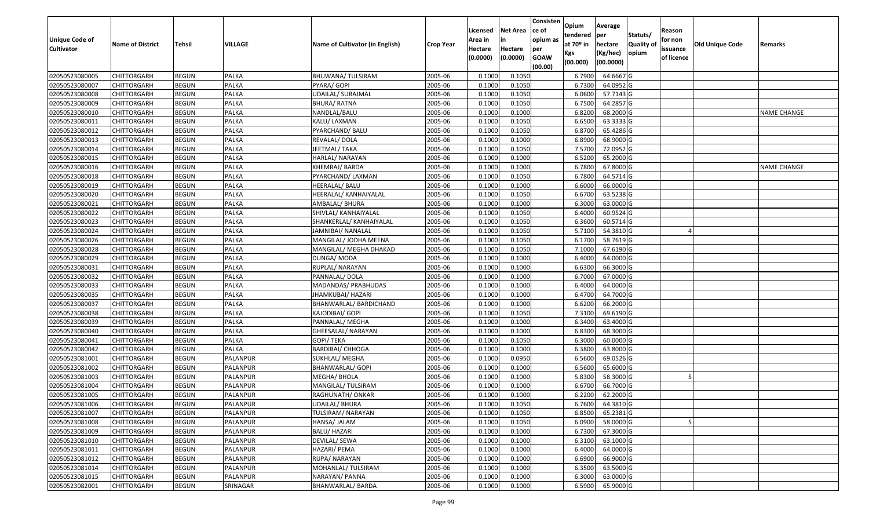| <b>Unique Code of</b><br><b>Cultivator</b> | <b>Name of District</b> | <b>Tehsil</b> | VILLAGE      | Name of Cultivator (in English) | <b>Crop Year</b> | Licensed<br>Area in<br>Hectare<br>(0.0000) | <b>Net Area</b><br>in<br>Hectare<br>(0.0000) | Consisten<br>ce of<br>opium as<br>per<br><b>GOAW</b><br>(00.00) | Opium<br>tendered<br>at $70°$ in<br>Kgs<br>(00.000) | Average<br><b>per</b><br>hectare<br>(Kg/hec)<br>(00.0000) | Statuts/<br><b>Quality of</b><br>opium | Reason<br>for non<br>issuance<br>of licence | <b>Old Unique Code</b> | Remarks            |
|--------------------------------------------|-------------------------|---------------|--------------|---------------------------------|------------------|--------------------------------------------|----------------------------------------------|-----------------------------------------------------------------|-----------------------------------------------------|-----------------------------------------------------------|----------------------------------------|---------------------------------------------|------------------------|--------------------|
| 02050523080005                             | <b>CHITTORGARH</b>      | <b>BEGUN</b>  | PALKA        | BHUWANA/ TULSIRAM               | 2005-06          | 0.1000                                     | 0.1050                                       |                                                                 | 6.7900                                              | 64.6667 G                                                 |                                        |                                             |                        |                    |
| 02050523080007                             | <b>CHITTORGARH</b>      | <b>BEGUN</b>  | PALKA        | PYARA/ GOPI                     | 2005-06          | 0.1000                                     | 0.1050                                       |                                                                 | 6.7300                                              | 64.0952 G                                                 |                                        |                                             |                        |                    |
| 02050523080008                             | <b>CHITTORGARH</b>      | <b>BEGUN</b>  | PALKA        | UDAILAL/ SURAJMAL               | 2005-06          | 0.1000                                     | 0.1050                                       |                                                                 | 6.0600                                              | 57.7143 G                                                 |                                        |                                             |                        |                    |
| 02050523080009                             | <b>CHITTORGARH</b>      | <b>BEGUN</b>  | PALKA        | <b>BHURA/ RATNA</b>             | 2005-06          | 0.1000                                     | 0.1050                                       |                                                                 | 6.7500                                              | 64.2857 G                                                 |                                        |                                             |                        |                    |
| 02050523080010                             | <b>CHITTORGARH</b>      | <b>BEGUN</b>  | PALKA        | NANDLAL/BALU                    | 2005-06          | 0.1000                                     | 0.1000                                       |                                                                 | 6.8200                                              | 68.2000 G                                                 |                                        |                                             |                        | <b>NAME CHANGE</b> |
| 02050523080011                             | <b>CHITTORGARH</b>      | <b>BEGUN</b>  | PALKA        | KALU/ LAXMAN                    | 2005-06          | 0.1000                                     | 0.1050                                       |                                                                 | 6.6500                                              | 63.3333 G                                                 |                                        |                                             |                        |                    |
| 02050523080012                             | <b>CHITTORGARH</b>      | <b>BEGUN</b>  | PALKA        | PYARCHAND/ BALU                 | 2005-06          | 0.1000                                     | 0.1050                                       |                                                                 | 6.8700                                              | 65.4286 G                                                 |                                        |                                             |                        |                    |
| 02050523080013                             | <b>CHITTORGARH</b>      | <b>BEGUN</b>  | PALKA        | REVALAL/ DOLA                   | 2005-06          | 0.1000                                     | 0.1000                                       |                                                                 | 6.8900                                              | 68.9000 G                                                 |                                        |                                             |                        |                    |
| 02050523080014                             | <b>CHITTORGARH</b>      | <b>BEGUN</b>  | PALKA        | JEETMAL/ TAKA                   | 2005-06          | 0.1000                                     | 0.1050                                       |                                                                 | 7.5700                                              | 72.0952 G                                                 |                                        |                                             |                        |                    |
| 02050523080015                             | <b>CHITTORGARH</b>      | <b>BEGUN</b>  | PALKA        | HARLAL/ NARAYAN                 | 2005-06          | 0.1000                                     | 0.1000                                       |                                                                 | 6.5200                                              | 65.2000 G                                                 |                                        |                                             |                        |                    |
| 02050523080016                             | <b>CHITTORGARH</b>      | <b>BEGUN</b>  | PALKA        | KHEMRAJ/ BARDA                  | 2005-06          | 0.1000                                     | 0.1000                                       |                                                                 | 6.7800                                              | 67.8000 G                                                 |                                        |                                             |                        | <b>NAME CHANGE</b> |
| 02050523080018                             | <b>CHITTORGARH</b>      | <b>BEGUN</b>  | PALKA        | PYARCHAND/ LAXMAN               | 2005-06          | 0.1000                                     | 0.1050                                       |                                                                 | 6.7800                                              | 64.5714 G                                                 |                                        |                                             |                        |                    |
| 02050523080019                             | <b>CHITTORGARH</b>      | <b>BEGUN</b>  | PALKA        | HEERALAL/ BALU                  | 2005-06          | 0.1000                                     | 0.1000                                       |                                                                 | 6.6000                                              | 66.0000 G                                                 |                                        |                                             |                        |                    |
| 02050523080020                             | <b>CHITTORGARH</b>      | <b>BEGUN</b>  | PALKA        | HEERALAL/ KANHAIYALAL           | 2005-06          | 0.1000                                     | 0.1050                                       |                                                                 | 6.6700                                              | 63.5238 G                                                 |                                        |                                             |                        |                    |
| 02050523080021                             | <b>CHITTORGARH</b>      | <b>BEGUN</b>  | PALKA        | AMBALAL/ BHURA                  | 2005-06          | 0.1000                                     | 0.1000                                       |                                                                 | 6.3000                                              | 63.0000 G                                                 |                                        |                                             |                        |                    |
| 02050523080022                             | <b>CHITTORGARH</b>      | <b>BEGUN</b>  | PALKA        | SHIVLAL/ KANHAIYALAL            | 2005-06          | 0.1000                                     | 0.1050                                       |                                                                 | 6.4000                                              | 60.9524 G                                                 |                                        |                                             |                        |                    |
| 02050523080023                             | <b>CHITTORGARH</b>      | <b>BEGUN</b>  | PALKA        | SHANKERLAL/ KANHAIYALAL         | 2005-06          | 0.1000                                     | 0.1050                                       |                                                                 | 6.3600                                              | 60.5714 G                                                 |                                        |                                             |                        |                    |
| 02050523080024                             | <b>CHITTORGARH</b>      | <b>BEGUN</b>  | PALKA        | JAMNIBAI/ NANALAL               | 2005-06          | 0.1000                                     | 0.1050                                       |                                                                 | 5.7100                                              | 54.3810 G                                                 |                                        |                                             |                        |                    |
| 02050523080026                             | <b>CHITTORGARH</b>      | <b>BEGUN</b>  | PALKA        | MANGILAL/ JODHA MEENA           | 2005-06          | 0.1000                                     | 0.1050                                       |                                                                 | 6.1700                                              | 58.7619 G                                                 |                                        |                                             |                        |                    |
| 02050523080028                             | <b>CHITTORGARH</b>      | <b>BEGUN</b>  | PALKA        | MANGILAL/ MEGHA DHAKAD          | 2005-06          | 0.1000                                     | 0.1050                                       |                                                                 | 7.1000                                              | 67.6190 G                                                 |                                        |                                             |                        |                    |
| 02050523080029                             | <b>CHITTORGARH</b>      | <b>BEGUN</b>  | PALKA        | DUNGA/ MODA                     | 2005-06          | 0.1000                                     | 0.1000                                       |                                                                 | 6.4000                                              | 64.0000 G                                                 |                                        |                                             |                        |                    |
| 02050523080031                             | <b>CHITTORGARH</b>      | <b>BEGUN</b>  | PALKA        | RUPLAL/ NARAYAN                 | 2005-06          | 0.1000                                     | 0.1000                                       |                                                                 | 6.6300                                              | 66.3000 G                                                 |                                        |                                             |                        |                    |
| 02050523080032                             | <b>CHITTORGARH</b>      | <b>BEGUN</b>  | <b>PALKA</b> | PANNALAL/DOLA                   | 2005-06          | 0.1000                                     | 0.1000                                       |                                                                 | 6.7000                                              | 67.0000 G                                                 |                                        |                                             |                        |                    |
| 02050523080033                             | <b>CHITTORGARH</b>      | <b>BEGUN</b>  | PALKA        | MADANDAS/ PRABHUDAS             | 2005-06          | 0.1000                                     | 0.1000                                       |                                                                 | 6.4000                                              | 64.0000 G                                                 |                                        |                                             |                        |                    |
| 02050523080035                             | <b>CHITTORGARH</b>      | <b>BEGUN</b>  | <b>PALKA</b> | JHAMKUBAI/ HAZARI               | 2005-06          | 0.1000                                     | 0.1000                                       |                                                                 | 6.4700                                              | 64.7000 G                                                 |                                        |                                             |                        |                    |
| 02050523080037                             | <b>CHITTORGARH</b>      | <b>BEGUN</b>  | PALKA        | BHANWARLAL/ BARDICHAND          | 2005-06          | 0.1000                                     | 0.1000                                       |                                                                 | 6.6200                                              | 66.2000 G                                                 |                                        |                                             |                        |                    |
| 02050523080038                             | <b>CHITTORGARH</b>      | <b>BEGUN</b>  | PALKA        | KAJODIBAI/ GOPI                 | 2005-06          | 0.1000                                     | 0.1050                                       |                                                                 | 7.3100                                              | 69.6190 G                                                 |                                        |                                             |                        |                    |
| 02050523080039                             | <b>CHITTORGARH</b>      | <b>BEGUN</b>  | PALKA        | PANNALAL/ MEGHA                 | 2005-06          | 0.1000                                     | 0.1000                                       |                                                                 | 6.3400                                              | 63.4000 G                                                 |                                        |                                             |                        |                    |
| 02050523080040                             | <b>CHITTORGARH</b>      | <b>BEGUN</b>  | <b>PALKA</b> | GHEESALAL/ NARAYAN              | 2005-06          | 0.1000                                     | 0.1000                                       |                                                                 | 6.8300                                              | 68.3000 G                                                 |                                        |                                             |                        |                    |
| 02050523080041                             | <b>CHITTORGARH</b>      | <b>BEGUN</b>  | PALKA        | <b>GOPI/ TEKA</b>               | 2005-06          | 0.1000                                     | 0.1050                                       |                                                                 | 6.3000                                              | 60.0000 G                                                 |                                        |                                             |                        |                    |
| 02050523080042                             | <b>CHITTORGARH</b>      | <b>BEGUN</b>  | <b>PALKA</b> | <b>BARDIBAI/ CHHOGA</b>         | 2005-06          | 0.1000                                     | 0.1000                                       |                                                                 | 6.3800                                              | 63.8000 G                                                 |                                        |                                             |                        |                    |
| 02050523081001                             | <b>CHITTORGARH</b>      | <b>BEGUN</b>  | PALANPUR     | SUKHLAL/ MEGHA                  | 2005-06          | 0.1000                                     | 0.0950                                       |                                                                 | 6.5600                                              | 69.0526 G                                                 |                                        |                                             |                        |                    |
| 02050523081002                             | <b>CHITTORGARH</b>      | <b>BEGUN</b>  | PALANPUR     | <b>BHANWARLAL/ GOPI</b>         | 2005-06          | 0.1000                                     | 0.1000                                       |                                                                 | 6.5600                                              | 65.6000 G                                                 |                                        |                                             |                        |                    |
| 02050523081003                             | <b>CHITTORGARH</b>      | <b>BEGUN</b>  | PALANPUR     | MEGHA/ BHOLA                    | 2005-06          | 0.1000                                     | 0.1000                                       |                                                                 | 5.8300                                              | 58.3000 G                                                 |                                        |                                             |                        |                    |
| 02050523081004                             | <b>CHITTORGARH</b>      | <b>BEGUN</b>  | PALANPUR     | MANGILAL/TULSIRAM               | 2005-06          | 0.1000                                     | 0.1000                                       |                                                                 | 6.6700                                              | 66.7000 G                                                 |                                        |                                             |                        |                    |
| 02050523081005                             | <b>CHITTORGARH</b>      | <b>BEGUN</b>  | PALANPUR     | RAGHUNATH/ ONKAR                | 2005-06          | 0.1000                                     | 0.1000                                       |                                                                 | 6.2200                                              | 62.2000 G                                                 |                                        |                                             |                        |                    |
| 02050523081006                             | <b>CHITTORGARH</b>      | <b>BEGUN</b>  | PALANPUR     | <b>UDAILAL/ BHURA</b>           | 2005-06          | 0.1000                                     | 0.1050                                       |                                                                 | 6.7600                                              | 64.3810 G                                                 |                                        |                                             |                        |                    |
| 02050523081007                             | <b>CHITTORGARH</b>      | <b>BEGUN</b>  | PALANPUR     | TULSIRAM/ NARAYAN               | 2005-06          | 0.1000                                     | 0.1050                                       |                                                                 | 6.8500                                              | 65.2381 G                                                 |                                        |                                             |                        |                    |
| 02050523081008                             | <b>CHITTORGARH</b>      | <b>BEGUN</b>  | PALANPUR     | HANSA/ JALAM                    | 2005-06          | 0.1000                                     | 0.1050                                       |                                                                 | 6.0900                                              | 58.0000 G                                                 |                                        |                                             |                        |                    |
| 02050523081009                             | <b>CHITTORGARH</b>      | BEGUN         | PALANPUR     | <b>BALU/ HAZARI</b>             | 2005-06          | 0.1000                                     | 0.1000                                       |                                                                 | 6.7300                                              | 67.3000 G                                                 |                                        |                                             |                        |                    |
| 02050523081010                             | <b>CHITTORGARH</b>      | <b>BEGUN</b>  | PALANPUR     | DEVILAL/ SEWA                   | 2005-06          | 0.1000                                     | 0.1000                                       |                                                                 | 6.3100                                              | 63.1000 G                                                 |                                        |                                             |                        |                    |
| 02050523081011                             | <b>CHITTORGARH</b>      | <b>BEGUN</b>  | PALANPUR     | HAZARI/ PEMA                    | 2005-06          | 0.1000                                     | 0.1000                                       |                                                                 | 6.4000                                              | 64.0000 G                                                 |                                        |                                             |                        |                    |
| 02050523081012                             | <b>CHITTORGARH</b>      | <b>BEGUN</b>  | PALANPUR     | RUPA/ NARAYAN                   | 2005-06          | 0.1000                                     | 0.1000                                       |                                                                 | 6.6900                                              | 66.9000 G                                                 |                                        |                                             |                        |                    |
| 02050523081014                             | <b>CHITTORGARH</b>      | <b>BEGUN</b>  | PALANPUR     | MOHANLAL/ TULSIRAM              | 2005-06          | 0.1000                                     | 0.1000                                       |                                                                 | 6.3500                                              | 63.5000 G                                                 |                                        |                                             |                        |                    |
| 02050523081015                             | <b>CHITTORGARH</b>      | <b>BEGUN</b>  | PALANPUR     | NARAYAN/ PANNA                  | 2005-06          | 0.1000                                     | 0.1000                                       |                                                                 | 6.3000                                              | 63.0000 G                                                 |                                        |                                             |                        |                    |
| 02050523082001                             | <b>CHITTORGARH</b>      | <b>BEGUN</b>  | SRINAGAR     | <b>BHANWARLAL/ BARDA</b>        | 2005-06          | 0.1000                                     | 0.1000                                       |                                                                 | 6.5900                                              | 65.9000 G                                                 |                                        |                                             |                        |                    |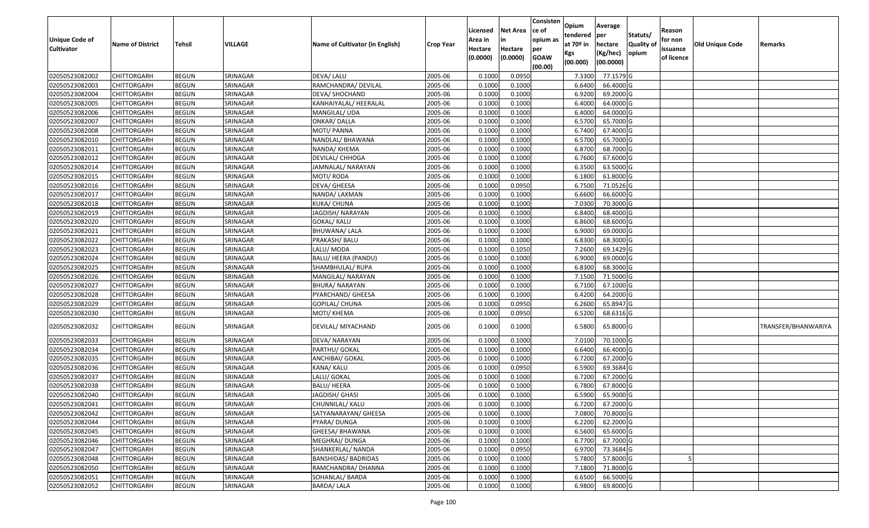| <b>Unique Code of</b><br><b>Cultivator</b> | <b>Name of District</b> | Tehsil       | <b>VILLAGE</b> | Name of Cultivator (in English) | <b>Crop Year</b> | Licensed<br>Area in<br>Hectare | <b>Net Area</b><br>in<br>Hectare | Consisten<br>ce of<br>opium as<br>per | Opium<br>tendered<br>at $70°$ in<br>Kgs | Average<br>per<br>hectare<br>(Kg/hec) | Statuts/<br><b>Quality o</b><br>opium | Reason<br>for non<br>issuance | <b>Old Unique Code</b> | Remarks             |
|--------------------------------------------|-------------------------|--------------|----------------|---------------------------------|------------------|--------------------------------|----------------------------------|---------------------------------------|-----------------------------------------|---------------------------------------|---------------------------------------|-------------------------------|------------------------|---------------------|
|                                            |                         |              |                |                                 |                  | (0.0000)                       | (0.0000)                         | <b>GOAW</b><br>(00.00)                | (00.000)                                | (00.0000)                             |                                       | of licence                    |                        |                     |
| 02050523082002                             | CHITTORGARH             | <b>BEGUN</b> | SRINAGAR       | DEVA/ LALU                      | 2005-06          | 0.1000                         | 0.0950                           |                                       | 7.3300                                  | 77.1579 G                             |                                       |                               |                        |                     |
| 02050523082003                             | CHITTORGARH             | <b>BEGUN</b> | SRINAGAR       | RAMCHANDRA/ DEVILAL             | 2005-06          | 0.1000                         | 0.1000                           |                                       | 6.6400                                  | 66.4000 G                             |                                       |                               |                        |                     |
| 02050523082004                             | CHITTORGARH             | <b>BEGUN</b> | SRINAGAR       | DEVA/ SHOCHAND                  | 2005-06          | 0.1000                         | 0.1000                           |                                       | 6.9200                                  | 69.2000 G                             |                                       |                               |                        |                     |
| 02050523082005                             | <b>CHITTORGARH</b>      | <b>BEGUN</b> | SRINAGAR       | KANHAIYALAL/ HEERALAL           | 2005-06          | 0.1000                         | 0.1000                           |                                       | 6.4000                                  | 64.0000G                              |                                       |                               |                        |                     |
| 02050523082006                             | CHITTORGARH             | <b>BEGUN</b> | SRINAGAR       | MANGILAL/ UDA                   | 2005-06          | 0.1000                         | 0.1000                           |                                       | 6.4000                                  | 64.0000 G                             |                                       |                               |                        |                     |
| 02050523082007                             | CHITTORGARH             | <b>BEGUN</b> | SRINAGAR       | ONKAR/DALLA                     | 2005-06          | 0.1000                         | 0.1000                           |                                       | 6.5700                                  | 65.7000 G                             |                                       |                               |                        |                     |
| 02050523082008                             | CHITTORGARH             | <b>BEGUN</b> | SRINAGAR       | MOTI/ PANNA                     | 2005-06          | 0.1000                         | 0.1000                           |                                       | 6.7400                                  | 67.4000 G                             |                                       |                               |                        |                     |
| 02050523082010                             | <b>CHITTORGARH</b>      | <b>BEGUN</b> | SRINAGAR       | NANDLAL/ BHAWANA                | 2005-06          | 0.1000                         | 0.1000                           |                                       | 6.5700                                  | 65.7000 G                             |                                       |                               |                        |                     |
| 02050523082011                             | CHITTORGARH             | <b>BEGUN</b> | SRINAGAR       | NANDA/ KHEMA                    | 2005-06          | 0.1000                         | 0.1000                           |                                       | 6.8700                                  | 68.7000 G                             |                                       |                               |                        |                     |
| 02050523082012                             | CHITTORGARH             | <b>BEGUN</b> | SRINAGAR       | DEVILAL/ CHHOGA                 | 2005-06          | 0.1000                         | 0.1000                           |                                       | 6.7600                                  | 67.6000 G                             |                                       |                               |                        |                     |
| 02050523082014                             | CHITTORGARH             | <b>BEGUN</b> | SRINAGAR       | JAMNALAL/NARAYAN                | 2005-06          | 0.1000                         | 0.1000                           |                                       | 6.3500                                  | 63.5000G                              |                                       |                               |                        |                     |
| 02050523082015                             | <b>CHITTORGARH</b>      | <b>BEGUN</b> | SRINAGAR       | MOTI/ RODA                      | 2005-06          | 0.1000                         | 0.1000                           |                                       | 6.1800                                  | 61.8000 G                             |                                       |                               |                        |                     |
| 02050523082016                             | <b>CHITTORGARH</b>      | <b>BEGUN</b> | SRINAGAR       | DEVA/ GHEESA                    | 2005-06          | 0.1000                         | 0.0950                           |                                       | 6.7500                                  | 71.0526 G                             |                                       |                               |                        |                     |
| 02050523082017                             | CHITTORGARH             | <b>BEGUN</b> | SRINAGAR       | NANDA/ LAXMAN                   | 2005-06          | 0.1000                         | 0.1000                           |                                       | 6.6600                                  | 66.6000 G                             |                                       |                               |                        |                     |
| 02050523082018                             | CHITTORGARH             | <b>BEGUN</b> | SRINAGAR       | KUKA/ CHUNA                     | 2005-06          | 0.1000                         | 0.1000                           |                                       | 7.0300                                  | 70.3000G                              |                                       |                               |                        |                     |
| 02050523082019                             | CHITTORGARH             | <b>BEGUN</b> | SRINAGAR       | JAGDISH/NARAYAN                 | 2005-06          | 0.1000                         | 0.1000                           |                                       | 6.8400                                  | 68.4000 G                             |                                       |                               |                        |                     |
| 02050523082020                             | <b>CHITTORGARH</b>      | <b>BEGUN</b> | SRINAGAR       | GOKAL/ KALU                     | 2005-06          | 0.1000                         | 0.1000                           |                                       | 6.8600                                  | 68.6000 G                             |                                       |                               |                        |                     |
| 02050523082021                             | CHITTORGARH             | <b>BEGUN</b> | SRINAGAR       | BHUWANA/ LALA                   | 2005-06          | 0.1000                         | 0.1000                           |                                       | 6.9000                                  | 69.0000 G                             |                                       |                               |                        |                     |
| 02050523082022                             | CHITTORGARH             | <b>BEGUN</b> | SRINAGAR       | PRAKASH/ BALU                   | 2005-06          | 0.100                          | 0.1000                           |                                       | 6.8300                                  | 68.3000 G                             |                                       |                               |                        |                     |
| 02050523082023                             | CHITTORGARH             | <b>BEGUN</b> | SRINAGAR       | LALU/ MODA                      | 2005-06          | 0.1000                         | 0.1050                           |                                       | 7.2600                                  | 69.1429 G                             |                                       |                               |                        |                     |
| 02050523082024                             | CHITTORGARH             | <b>BEGUN</b> | SRINAGAR       | BALU/ HEERA (PANDU)             | 2005-06          | 0.100                          | 0.1000                           |                                       | 6.9000                                  | 69.0000G                              |                                       |                               |                        |                     |
| 02050523082025                             | CHITTORGARH             | <b>BEGUN</b> | SRINAGAR       | SHAMBHULAL/RUPA                 | 2005-06          | 0.100                          | 0.1000                           |                                       | 6.8300                                  | 68.3000 G                             |                                       |                               |                        |                     |
| 02050523082026                             | CHITTORGARH             | <b>BEGUN</b> | SRINAGAR       | MANGILAL/ NARAYAN               | 2005-06          | 0.1000                         | 0.1000                           |                                       | 7.1500                                  | 71.5000 G                             |                                       |                               |                        |                     |
| 02050523082027                             | CHITTORGARH             | <b>BEGUN</b> | SRINAGAR       | <b>BHURA/ NARAYAN</b>           | 2005-06          | 0.100                          | 0.1000                           |                                       | 6.7100                                  | 67.1000G                              |                                       |                               |                        |                     |
| 02050523082028                             | <b>CHITTORGARH</b>      | <b>BEGUN</b> | SRINAGAR       | PYARCHAND/ GHEESA               | 2005-06          | 0.100                          | 0.1000                           |                                       | 6.4200                                  | 64.2000 G                             |                                       |                               |                        |                     |
| 02050523082029                             | CHITTORGARH             | <b>BEGUN</b> | SRINAGAR       | GOPILAL/ CHUNA                  | 2005-06          | 0.1000                         | 0.0950                           |                                       | 6.2600                                  | 65.8947 G                             |                                       |                               |                        |                     |
| 02050523082030                             | CHITTORGARH             | <b>BEGUN</b> | SRINAGAR       | MOTI/ KHEMA                     | 2005-06          | 0.1000                         | 0.0950                           |                                       | 6.5200                                  | 68.6316 G                             |                                       |                               |                        |                     |
| 02050523082032                             | CHITTORGARH             | <b>BEGUN</b> | SRINAGAR       | DEVILAL/ MIYACHAND              | 2005-06          | 0.1000                         | 0.1000                           |                                       | 6.5800                                  | 65.8000 G                             |                                       |                               |                        | TRANSFER/BHANWARIYA |
| 02050523082033                             | <b>CHITTORGARH</b>      | <b>BEGUN</b> | SRINAGAR       | DEVA/ NARAYAN                   | 2005-06          | 0.100                          | 0.1000                           |                                       | 7.0100                                  | 70.1000G                              |                                       |                               |                        |                     |
| 02050523082034                             | CHITTORGARH             | <b>BEGUN</b> | SRINAGAR       | PARTHU/ GOKAL                   | 2005-06          | 0.1000                         | 0.1000                           |                                       | 6.6400                                  | 66.4000 G                             |                                       |                               |                        |                     |
| 02050523082035                             | CHITTORGARH             | <b>BEGUN</b> | SRINAGAR       | ANCHIBAI/ GOKAL                 | 2005-06          | 0.1000                         | 0.1000                           |                                       | 6.7200                                  | 67.2000 G                             |                                       |                               |                        |                     |
| 02050523082036                             | CHITTORGARH             | <b>BEGUN</b> | SRINAGAR       | KANA/ KALU                      | 2005-06          | 0.1000                         | 0.0950                           |                                       | 6.5900                                  | 69.3684 G                             |                                       |                               |                        |                     |
| 02050523082037                             | <b>CHITTORGARH</b>      | <b>BEGUN</b> | SRINAGAR       | LALU/ GOKAL                     | 2005-06          | 0.1000                         | 0.1000                           |                                       | 6.7200                                  | 67.2000 G                             |                                       |                               |                        |                     |
| 02050523082038                             | CHITTORGARH             | <b>BEGUN</b> | SRINAGAR       | <b>BALU/ HEERA</b>              | 2005-06          | 0.1000                         | 0.1000                           |                                       | 6.7800                                  | 67.8000 G                             |                                       |                               |                        |                     |
| 02050523082040                             | CHITTORGARH             | <b>BEGUN</b> | SRINAGAR       | JAGDISH/ GHASI                  | 2005-06          | 0.1000                         | 0.1000                           |                                       | 6.5900                                  | 65.9000 G                             |                                       |                               |                        |                     |
| 02050523082041                             | <b>CHITTORGARH</b>      | <b>BEGUN</b> | SRINAGAR       | CHUNNILAL/ KALU                 | 2005-06          | 0.1000                         | 0.1000                           |                                       | 6.7200                                  | $67.2000$ G                           |                                       |                               |                        |                     |
| 02050523082042                             | <b>CHITTORGARH</b>      | <b>BEGUN</b> | SRINAGAR       | SATYANARAYAN/ GHEESA            | 2005-06          | 0.1000                         | 0.1000                           |                                       | 7.0800                                  | 70.8000 G                             |                                       |                               |                        |                     |
| 02050523082044                             | <b>CHITTORGARH</b>      | <b>BEGUN</b> | SRINAGAR       | PYARA/ DUNGA                    | 2005-06          | 0.1000                         | 0.1000                           |                                       | 6.2200                                  | 62.2000 G                             |                                       |                               |                        |                     |
| 02050523082045                             | <b>CHITTORGARH</b>      | <b>BEGUN</b> | SRINAGAR       | GHEESA/ BHAWANA                 | 2005-06          | 0.1000                         | 0.1000                           |                                       | 6.5600                                  | 65.6000 G                             |                                       |                               |                        |                     |
| 02050523082046                             | CHITTORGARH             | <b>BEGUN</b> | SRINAGAR       | MEGHRAJ/ DUNGA                  | 2005-06          | 0.1000                         | 0.1000                           |                                       | 6.7700                                  | 67.7000 G                             |                                       |                               |                        |                     |
| 02050523082047                             | <b>CHITTORGARH</b>      | <b>BEGUN</b> | SRINAGAR       | SHANKERLAL/ NANDA               | 2005-06          | 0.1000                         | 0.0950                           |                                       | 6.9700                                  | 73.3684 G                             |                                       |                               |                        |                     |
| 02050523082048                             | <b>CHITTORGARH</b>      | <b>BEGUN</b> | SRINAGAR       | <b>BANSHIDAS/ BADRIDAS</b>      | 2005-06          | 0.1000                         | 0.1000                           |                                       | 5.7800                                  | 57.8000 G                             |                                       |                               |                        |                     |
| 02050523082050                             | <b>CHITTORGARH</b>      | <b>BEGUN</b> | SRINAGAR       | RAMCHANDRA/ DHANNA              | 2005-06          | 0.1000                         | 0.1000                           |                                       | 7.1800                                  | 71.8000 G                             |                                       |                               |                        |                     |
| 02050523082051                             | CHITTORGARH             | <b>BEGUN</b> | SRINAGAR       | SOHANLAL/ BARDA                 | 2005-06          | 0.1000                         | 0.1000                           |                                       | 6.6500                                  | 66.5000 G                             |                                       |                               |                        |                     |
| 02050523082052                             | <b>CHITTORGARH</b>      | <b>BEGUN</b> | SRINAGAR       | <b>BARDA/LALA</b>               | 2005-06          | 0.1000                         | 0.1000                           |                                       | 6.9800                                  | 69.8000 G                             |                                       |                               |                        |                     |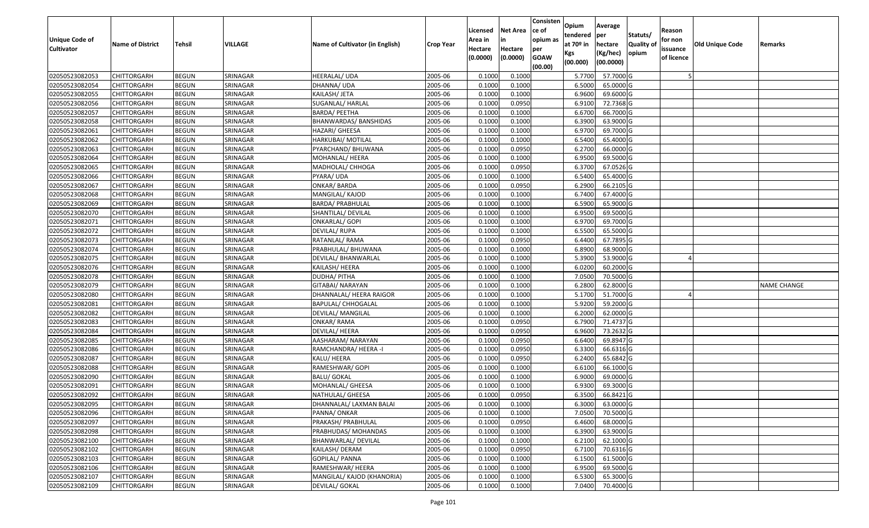| <b>Unique Code of</b><br><b>Cultivator</b> | <b>Name of District</b> | Tehsil       | VILLAGE  | Name of Cultivator (in English) | <b>Crop Year</b> | Licensed<br>Area in<br>Hectare<br>(0.0000) | Net Area<br>in<br>Hectare<br>(0.0000) | Consisten<br>ce of<br>opium as<br>per<br><b>GOAW</b><br>(00.00) | Opium<br>tendered<br>at 70º in<br>Kgs<br>(00.000) | Average<br>per<br>hectare<br>(Kg/hec)<br>(00.0000) | Statuts/<br><b>Quality of</b><br>opium | Reason<br>for non<br>issuance<br>of licence | Old Unique Code | Remarks            |
|--------------------------------------------|-------------------------|--------------|----------|---------------------------------|------------------|--------------------------------------------|---------------------------------------|-----------------------------------------------------------------|---------------------------------------------------|----------------------------------------------------|----------------------------------------|---------------------------------------------|-----------------|--------------------|
| 02050523082053                             | <b>CHITTORGARH</b>      | <b>BEGUN</b> | SRINAGAR | <b>HEERALAL/ UDA</b>            | 2005-06          | 0.1000                                     | 0.1000                                |                                                                 | 5.7700                                            | 57.7000 G                                          |                                        |                                             |                 |                    |
| 02050523082054                             | CHITTORGARH             | <b>BEGUN</b> | SRINAGAR | DHANNA/ UDA                     | 2005-06          | 0.1000                                     | 0.1000                                |                                                                 | 6.5000                                            | 65.0000 G                                          |                                        |                                             |                 |                    |
| 02050523082055                             | CHITTORGARH             | <b>BEGUN</b> | SRINAGAR | KAILASH/ JETA                   | 2005-06          | 0.1000                                     | 0.1000                                |                                                                 | 6.9600                                            | 69.6000 G                                          |                                        |                                             |                 |                    |
| 02050523082056                             | <b>CHITTORGARH</b>      | <b>BEGUN</b> | SRINAGAR | SUGANLAL/ HARLAL                | 2005-06          | 0.1000                                     | 0.0950                                |                                                                 | 6.9100                                            | 72.7368 G                                          |                                        |                                             |                 |                    |
| 02050523082057                             | CHITTORGARH             | <b>BEGUN</b> | SRINAGAR | BARDA/ PEETHA                   | 2005-06          | 0.1000                                     | 0.1000                                |                                                                 | 6.6700                                            | 66.7000 G                                          |                                        |                                             |                 |                    |
| 02050523082058                             | CHITTORGARH             | <b>BEGUN</b> | SRINAGAR | BHANWARDAS/BANSHIDAS            | 2005-06          | 0.1000                                     | 0.1000                                |                                                                 | 6.3900                                            | 63.9000 G                                          |                                        |                                             |                 |                    |
| 02050523082061                             | CHITTORGARH             | <b>BEGUN</b> | SRINAGAR | HAZARI/ GHEESA                  | 2005-06          | 0.1000                                     | 0.1000                                |                                                                 | 6.9700                                            | 69.7000 G                                          |                                        |                                             |                 |                    |
| 02050523082062                             | <b>CHITTORGARH</b>      | <b>BEGUN</b> | SRINAGAR | HARKUBAI/ MOTILAL               | 2005-06          | 0.1000                                     | 0.1000                                |                                                                 | 6.5400                                            | 65.4000 G                                          |                                        |                                             |                 |                    |
| 02050523082063                             | CHITTORGARH             | <b>BEGUN</b> | SRINAGAR | PYARCHAND/ BHUWANA              | 2005-06          | 0.1000                                     | 0.0950                                |                                                                 | 6.2700                                            | 66.0000 G                                          |                                        |                                             |                 |                    |
| 02050523082064                             | CHITTORGARH             | <b>BEGUN</b> | SRINAGAR | MOHANLAL/ HEERA                 | 2005-06          | 0.1000                                     | 0.1000                                |                                                                 | 6.9500                                            | 69.5000 G                                          |                                        |                                             |                 |                    |
| 02050523082065                             | CHITTORGARH             | <b>BEGUN</b> | SRINAGAR | MADHOLAL/ CHHOGA                | 2005-06          | 0.1000                                     | 0.0950                                |                                                                 | 6.3700                                            | 67.0526 G                                          |                                        |                                             |                 |                    |
| 02050523082066                             | <b>CHITTORGARH</b>      | <b>BEGUN</b> | SRINAGAR | PYARA/ UDA                      | 2005-06          | 0.1000                                     | 0.1000                                |                                                                 | 6.5400                                            | 65.4000 G                                          |                                        |                                             |                 |                    |
| 02050523082067                             | <b>CHITTORGARH</b>      | <b>BEGUN</b> | SRINAGAR | <b>ONKAR/BARDA</b>              | 2005-06          | 0.1000                                     | 0.0950                                |                                                                 | 6.2900                                            | 66.2105 G                                          |                                        |                                             |                 |                    |
| 02050523082068                             | <b>CHITTORGARH</b>      | <b>BEGUN</b> | SRINAGAR | MANGILAL/ KAJOD                 | 2005-06          | 0.1000                                     | 0.1000                                |                                                                 | 6.7400                                            | 67.4000 G                                          |                                        |                                             |                 |                    |
| 02050523082069                             | CHITTORGARH             | <b>BEGUN</b> | SRINAGAR | <b>BARDA/ PRABHULAL</b>         | 2005-06          | 0.1000                                     | 0.1000                                |                                                                 | 6.5900                                            | 65.9000 G                                          |                                        |                                             |                 |                    |
| 02050523082070                             | <b>CHITTORGARH</b>      | <b>BEGUN</b> | SRINAGAR | SHANTILAL/ DEVILAL              | 2005-06          | 0.1000                                     | 0.1000                                |                                                                 | 6.9500                                            | 69.5000 G                                          |                                        |                                             |                 |                    |
| 02050523082071                             | <b>CHITTORGARH</b>      | <b>BEGUN</b> | SRINAGAR | <b>ONKARLAL/ GOPI</b>           | 2005-06          | 0.1000                                     | 0.1000                                |                                                                 | 6.9700                                            | 69.7000 G                                          |                                        |                                             |                 |                    |
| 02050523082072                             | CHITTORGARH             | <b>BEGUN</b> | SRINAGAR | DEVILAL/RUPA                    | 2005-06          | 0.1000                                     | 0.1000                                |                                                                 | 6.5500                                            | 65.5000 G                                          |                                        |                                             |                 |                    |
| 02050523082073                             | CHITTORGARH             | <b>BEGUN</b> | SRINAGAR | RATANLAL/RAMA                   | 2005-06          | 0.1000                                     | 0.0950                                |                                                                 | 6.4400                                            | 67.7895 G                                          |                                        |                                             |                 |                    |
| 02050523082074                             | CHITTORGARH             | <b>BEGUN</b> | SRINAGAR | PRABHULAL/ BHUWANA              | 2005-06          | 0.1000                                     | 0.1000                                |                                                                 | 6.8900                                            | 68.9000 G                                          |                                        |                                             |                 |                    |
| 02050523082075                             | CHITTORGARH             | <b>BEGUN</b> | SRINAGAR | DEVILAL/ BHANWARLAL             | 2005-06          | 0.1000                                     | 0.1000                                |                                                                 | 5.3900                                            | 53.9000 G                                          |                                        |                                             |                 |                    |
| 02050523082076                             | CHITTORGARH             | <b>BEGUN</b> | SRINAGAR | KAILASH/HEERA                   | 2005-06          | 0.1000                                     | 0.1000                                |                                                                 | 6.0200                                            | 60.2000 G                                          |                                        |                                             |                 |                    |
| 02050523082078                             | CHITTORGARH             | <b>BEGUN</b> | SRINAGAR | DUDHA/ PITHA                    | 2005-06          | 0.1000                                     | 0.1000                                |                                                                 | 7.0500                                            | 70.5000 G                                          |                                        |                                             |                 |                    |
| 02050523082079                             | CHITTORGARH             | <b>BEGUN</b> | SRINAGAR | GITABAI/ NARAYAN                | 2005-06          | 0.1000                                     | 0.1000                                |                                                                 | 6.2800                                            | 62.8000 G                                          |                                        |                                             |                 | <b>NAME CHANGE</b> |
| 02050523082080                             | <b>CHITTORGARH</b>      | <b>BEGUN</b> | SRINAGAR | DHANNALAL/ HEERA RAIGOR         | 2005-06          | 0.1000                                     | 0.1000                                |                                                                 | 5.1700                                            | 51.7000 G                                          |                                        |                                             |                 |                    |
| 02050523082081                             | CHITTORGARH             | <b>BEGUN</b> | SRINAGAR | <b>BAPULAL/ CHHOGALAL</b>       | 2005-06          | 0.1000                                     | 0.1000                                |                                                                 | 5.9200                                            | 59.2000 G                                          |                                        |                                             |                 |                    |
| 02050523082082                             | CHITTORGARH             | <b>BEGUN</b> | SRINAGAR | DEVILAL/ MANGILAL               | 2005-06          | 0.1000                                     | 0.1000                                |                                                                 | 6.2000                                            | 62.0000 G                                          |                                        |                                             |                 |                    |
| 02050523082083                             | CHITTORGARH             | <b>BEGUN</b> | SRINAGAR | <b>ONKAR/ RAMA</b>              | 2005-06          | 0.1000                                     | 0.0950                                |                                                                 | 6.7900                                            | 71.4737 G                                          |                                        |                                             |                 |                    |
| 02050523082084                             | CHITTORGARH             | <b>BEGUN</b> | SRINAGAR | DEVILAL/ HEERA                  | 2005-06          | 0.1000                                     | 0.0950                                |                                                                 | 6.9600                                            | 73.2632 G                                          |                                        |                                             |                 |                    |
| 02050523082085                             | CHITTORGARH             | <b>BEGUN</b> | SRINAGAR | AASHARAM/ NARAYAN               | 2005-06          | 0.1000                                     | 0.0950                                |                                                                 | 6.6400                                            | 69.8947 G                                          |                                        |                                             |                 |                    |
| 02050523082086                             | CHITTORGARH             | <b>BEGUN</b> | SRINAGAR | RAMCHANDRA/ HEERA -I            | 2005-06          | 0.1000                                     | 0.0950                                |                                                                 | 6.3300                                            | 66.6316 G                                          |                                        |                                             |                 |                    |
| 02050523082087                             | CHITTORGARH             | <b>BEGUN</b> | SRINAGAR | KALU/ HEERA                     | 2005-06          | 0.1000                                     | 0.0950                                |                                                                 | 6.2400                                            | 65.6842 G                                          |                                        |                                             |                 |                    |
| 02050523082088                             | <b>CHITTORGARH</b>      | <b>BEGUN</b> | SRINAGAR | RAMESHWAR/ GOPI                 | 2005-06          | 0.1000                                     | 0.1000                                |                                                                 | 6.6100                                            | 66.1000 G                                          |                                        |                                             |                 |                    |
| 02050523082090                             | <b>CHITTORGARH</b>      | <b>BEGUN</b> | SRINAGAR | <b>BALU/ GOKAL</b>              | 2005-06          | 0.1000                                     | 0.1000                                |                                                                 | 6.9000                                            | 69.0000 G                                          |                                        |                                             |                 |                    |
| 02050523082091                             | CHITTORGARH             | <b>BEGUN</b> | SRINAGAR | MOHANLAL/ GHEESA                | 2005-06          | 0.1000                                     | 0.1000                                |                                                                 | 6.9300                                            | 69.3000 G                                          |                                        |                                             |                 |                    |
| 02050523082092                             | CHITTORGARH             | <b>BEGUN</b> | SRINAGAR | NATHULAL/ GHEESA                | 2005-06          | 0.1000                                     | 0.0950                                |                                                                 | 6.3500                                            | 66.8421 G                                          |                                        |                                             |                 |                    |
| 02050523082095                             | <b>CHITTORGARH</b>      | <b>BEGUN</b> | SRINAGAR | DHANNALAL/ LAXMAN BALAI         | 2005-06          | 0.1000                                     | 0.1000                                |                                                                 | 6.3000                                            | 63.0000 G                                          |                                        |                                             |                 |                    |
| 02050523082096                             | <b>CHITTORGARH</b>      | <b>BEGUN</b> | SRINAGAR | PANNA/ ONKAR                    | 2005-06          | 0.1000                                     | 0.1000                                |                                                                 | 7.0500                                            | 70.5000 G                                          |                                        |                                             |                 |                    |
| 02050523082097                             | <b>CHITTORGARH</b>      | <b>BEGUN</b> | SRINAGAR | PRAKASH/ PRABHULAL              | 2005-06          | 0.1000                                     | 0.0950                                |                                                                 | 6.4600                                            | 68.0000 G                                          |                                        |                                             |                 |                    |
| 02050523082098                             | <b>CHITTORGARH</b>      | <b>BEGUN</b> | SRINAGAR | PRABHUDAS/ MOHANDAS             | 2005-06          | 0.1000                                     | 0.1000                                |                                                                 | 6.3900                                            | 63.9000 G                                          |                                        |                                             |                 |                    |
| 02050523082100                             | <b>CHITTORGARH</b>      | <b>BEGUN</b> | SRINAGAR | BHANWARLAL/ DEVILAL             | 2005-06          | 0.1000                                     | 0.1000                                |                                                                 | 6.2100                                            | 62.1000 G                                          |                                        |                                             |                 |                    |
| 02050523082102                             | <b>CHITTORGARH</b>      | <b>BEGUN</b> | SRINAGAR | KAILASH/DERAM                   | 2005-06          | 0.1000                                     | 0.0950                                |                                                                 | 6.7100                                            | 70.6316 G                                          |                                        |                                             |                 |                    |
| 02050523082103                             | <b>CHITTORGARH</b>      | <b>BEGUN</b> | SRINAGAR | <b>GOPILAL/ PANNA</b>           | 2005-06          | 0.1000                                     | 0.1000                                |                                                                 | 6.1500                                            | 61.5000 G                                          |                                        |                                             |                 |                    |
| 02050523082106                             | <b>CHITTORGARH</b>      | <b>BEGUN</b> | SRINAGAR | RAMESHWAR/ HEERA                | 2005-06          | 0.1000                                     | 0.1000                                |                                                                 | 6.9500                                            | 69.5000 G                                          |                                        |                                             |                 |                    |
| 02050523082107                             | <b>CHITTORGARH</b>      | <b>BEGUN</b> | SRINAGAR | MANGILAL/ KAJOD (KHANORIA)      | 2005-06          | 0.1000                                     | 0.1000                                |                                                                 | 6.5300                                            | 65.3000 G                                          |                                        |                                             |                 |                    |
| 02050523082109                             | <b>CHITTORGARH</b>      | <b>BEGUN</b> | SRINAGAR | DEVILAL/ GOKAL                  | 2005-06          | 0.1000                                     | 0.1000                                |                                                                 | 7.0400                                            | 70.4000 G                                          |                                        |                                             |                 |                    |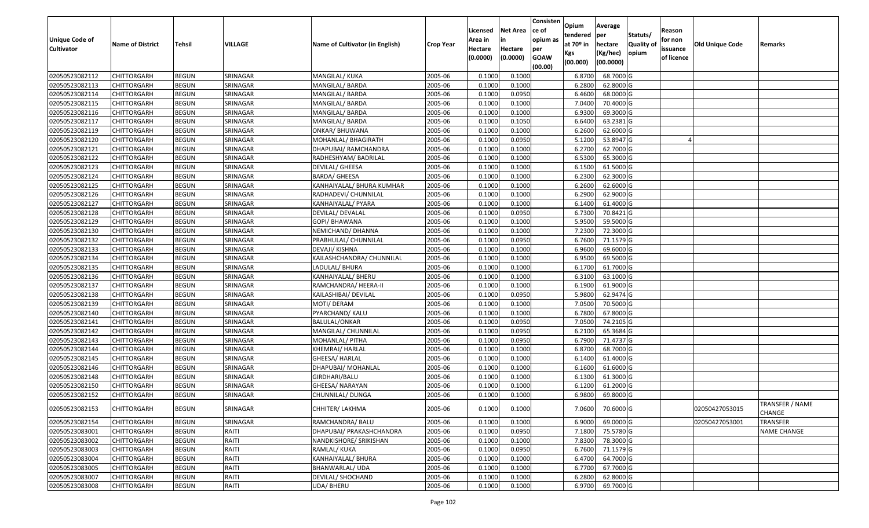| Unique Code of<br><b>Cultivator</b> | <b>Name of District</b> | <b>Tehsil</b> | VILLAGE  | Name of Cultivator (in English) | <b>Crop Year</b> | Licensed<br>Area in<br>Hectare<br>(0.0000) | <b>Net Area</b><br>in<br>Hectare<br>(0.0000) | Consisten<br>ce of<br>opium as<br>per<br><b>GOAW</b> | Opium<br>tendered<br>at $70°$ in<br>Kgs<br>(00.000) | Average<br>per<br>hectare<br>(Kg/hec)<br>(00.0000) | Statuts/<br><b>Quality o</b><br>opium | Reason<br>for non<br>issuance<br>of licence | <b>Old Unique Code</b> | Remarks                   |
|-------------------------------------|-------------------------|---------------|----------|---------------------------------|------------------|--------------------------------------------|----------------------------------------------|------------------------------------------------------|-----------------------------------------------------|----------------------------------------------------|---------------------------------------|---------------------------------------------|------------------------|---------------------------|
|                                     |                         |               |          |                                 |                  |                                            |                                              | (00.00)                                              |                                                     |                                                    |                                       |                                             |                        |                           |
| 02050523082112                      | CHITTORGARH             | <b>BEGUN</b>  | SRINAGAR | MANGILAL/ KUKA                  | 2005-06          | 0.1000                                     | 0.1000                                       |                                                      | 6.8700                                              | 68.7000 G                                          |                                       |                                             |                        |                           |
| 02050523082113                      | CHITTORGARH             | <b>BEGUN</b>  | SRINAGAR | MANGILAL/ BARDA                 | 2005-06          | 0.1000                                     | 0.1000                                       |                                                      | 6.2800                                              | 62.8000 G                                          |                                       |                                             |                        |                           |
| 02050523082114                      | CHITTORGARH             | <b>BEGUN</b>  | SRINAGAR | MANGILAL/ BARDA                 | 2005-06          | 0.1000                                     | 0.0950                                       |                                                      | 6.4600                                              | 68.0000G                                           |                                       |                                             |                        |                           |
| 02050523082115                      | <b>CHITTORGARH</b>      | <b>BEGUN</b>  | SRINAGAR | MANGILAL/ BARDA                 | 2005-06          | 0.1000                                     | 0.1000                                       |                                                      | 7.0400                                              | 70.4000 G                                          |                                       |                                             |                        |                           |
| 02050523082116                      | CHITTORGARH             | <b>BEGUN</b>  | SRINAGAR | MANGILAL/ BARDA                 | 2005-06          | 0.1000                                     | 0.1000                                       |                                                      | 6.930                                               | 69.3000 G                                          |                                       |                                             |                        |                           |
| 02050523082117                      | CHITTORGARH             | <b>BEGUN</b>  | SRINAGAR | MANGILAL/ BARDA                 | 2005-06          | 0.1000                                     | 0.1050                                       |                                                      | 6.6400                                              | 63.2381G                                           |                                       |                                             |                        |                           |
| 02050523082119                      | CHITTORGARH             | <b>BEGUN</b>  | SRINAGAR | ONKAR/ BHUWANA                  | 2005-06          | 0.1000                                     | 0.1000                                       |                                                      | 6.2600                                              | 62.6000G                                           |                                       |                                             |                        |                           |
| 02050523082120                      | <b>CHITTORGARH</b>      | <b>BEGUN</b>  | SRINAGAR | MOHANLAL/ BHAGIRATH             | 2005-06          | 0.1000                                     | 0.0950                                       |                                                      | 5.1200                                              | 53.8947 G                                          |                                       |                                             |                        |                           |
| 02050523082121                      | CHITTORGARH             | <b>BEGUN</b>  | SRINAGAR | DHAPUBAI/ RAMCHANDRA            | 2005-06          | 0.1000                                     | 0.1000                                       |                                                      | 6.2700                                              | 62.7000 G                                          |                                       |                                             |                        |                           |
| 02050523082122                      | CHITTORGARH             | <b>BEGUN</b>  | SRINAGAR | RADHESHYAM/ BADRILAL            | 2005-06          | 0.1000                                     | 0.1000                                       |                                                      | 6.5300                                              | 65.3000 G                                          |                                       |                                             |                        |                           |
| 02050523082123                      | CHITTORGARH             | <b>BEGUN</b>  | SRINAGAR | DEVILAL/ GHEESA                 | 2005-06          | 0.1000                                     | 0.1000                                       |                                                      | 6.1500                                              | 61.5000 G                                          |                                       |                                             |                        |                           |
| 02050523082124                      | <b>CHITTORGARH</b>      | <b>BEGUN</b>  | SRINAGAR | BARDA/ GHEESA                   | 2005-06          | 0.100                                      | 0.1000                                       |                                                      | 6.2300                                              | 62.3000 G                                          |                                       |                                             |                        |                           |
| 02050523082125                      | <b>CHITTORGARH</b>      | <b>BEGUN</b>  | SRINAGAR | KANHAIYALAL/ BHURA KUMHAR       | 2005-06          | 0.1000                                     | 0.1000                                       |                                                      | 6.2600                                              | 62.6000G                                           |                                       |                                             |                        |                           |
| 02050523082126                      | <b>CHITTORGARH</b>      | <b>BEGUN</b>  | SRINAGAR | RADHADEVI/ CHUNNILAL            | 2005-06          | 0.100                                      | 0.1000                                       |                                                      | 6.2900                                              | 62.9000G                                           |                                       |                                             |                        |                           |
| 02050523082127                      | CHITTORGARH             | <b>BEGUN</b>  | SRINAGAR | KANHAIYALAL/ PYARA              | 2005-06          | 0.1000                                     | 0.1000                                       |                                                      | 6.1400                                              | 61.4000 G                                          |                                       |                                             |                        |                           |
| 02050523082128                      | CHITTORGARH             | <b>BEGUN</b>  | SRINAGAR | DEVILAL/ DEVALAL                | 2005-06          | 0.1000                                     | 0.0950                                       |                                                      | 6.7300                                              | 70.8421 G                                          |                                       |                                             |                        |                           |
| 02050523082129                      | CHITTORGARH             | <b>BEGUN</b>  | SRINAGAR | GOPI/ BHAWANA                   | 2005-06          | 0.100                                      | 0.1000                                       |                                                      | 5.9500                                              | 59.5000G                                           |                                       |                                             |                        |                           |
| 02050523082130                      | CHITTORGARH             | <b>BEGUN</b>  | SRINAGAR | NEMICHAND/ DHANNA               | 2005-06          | 0.100                                      | 0.1000                                       |                                                      | 7.2300                                              | 72.3000G                                           |                                       |                                             |                        |                           |
| 02050523082132                      | CHITTORGARH             | <b>BEGUN</b>  | SRINAGAR | PRABHULAL/ CHUNNILAL            | 2005-06          | 0.100                                      | 0.0950                                       |                                                      | 6.7600                                              | 71.1579 G                                          |                                       |                                             |                        |                           |
| 02050523082133                      | CHITTORGARH             | <b>BEGUN</b>  | SRINAGAR | DEVAJI/ KISHNA                  | 2005-06          | 0.1000                                     | 0.1000                                       |                                                      | 6.9600                                              | 69.6000 G                                          |                                       |                                             |                        |                           |
| 02050523082134                      | CHITTORGARH             | <b>BEGUN</b>  | SRINAGAR | KAILASHCHANDRA/ CHUNNILAL       | 2005-06          | 0.100                                      | 0.1000                                       |                                                      | 6.9500                                              | 69.5000G                                           |                                       |                                             |                        |                           |
| 02050523082135                      | CHITTORGARH             | <b>BEGUN</b>  | SRINAGAR | LADULAL/ BHURA                  | 2005-06          | 0.100                                      | 0.1000                                       |                                                      | 6.1700                                              | 61.7000G                                           |                                       |                                             |                        |                           |
| 02050523082136                      | CHITTORGARH             | <b>BEGUN</b>  | SRINAGAR | KANHAIYALAL/ BHERU              | 2005-06          | 0.1000                                     | 0.1000                                       |                                                      | 6.3100                                              | 63.1000G                                           |                                       |                                             |                        |                           |
| 02050523082137                      | CHITTORGARH             | <b>BEGUN</b>  | SRINAGAR | RAMCHANDRA/ HEERA-II            | 2005-06          | 0.100                                      | 0.1000                                       |                                                      | 6.1900                                              | 61.9000G                                           |                                       |                                             |                        |                           |
| 02050523082138                      | <b>CHITTORGARH</b>      | <b>BEGUN</b>  | SRINAGAR | KAILASHIBAI/ DEVILAL            | 2005-06          | 0.100                                      | 0.0950                                       |                                                      | 5.9800                                              | 62.9474 G                                          |                                       |                                             |                        |                           |
| 02050523082139                      | CHITTORGARH             | <b>BEGUN</b>  | SRINAGAR | MOTI/ DERAM                     | 2005-06          | 0.1000                                     | 0.1000                                       |                                                      | 7.0500                                              | 70.5000G                                           |                                       |                                             |                        |                           |
| 02050523082140                      | CHITTORGARH             | <b>BEGUN</b>  | SRINAGAR | PYARCHAND/ KALU                 | 2005-06          | 0.1000                                     | 0.1000                                       |                                                      | 6.7800                                              | 67.8000 G                                          |                                       |                                             |                        |                           |
| 02050523082141                      | CHITTORGARH             | <b>BEGUN</b>  | SRINAGAR | BALULAL/ONKAR                   | 2005-06          | 0.1000                                     | 0.0950                                       |                                                      | 7.0500                                              | 74.2105 G                                          |                                       |                                             |                        |                           |
| 02050523082142                      | CHITTORGARH             | <b>BEGUN</b>  | SRINAGAR | MANGILAL/ CHUNNILAL             | 2005-06          | 0.1000                                     | 0.0950                                       |                                                      | 6.2100                                              | 65.3684 G                                          |                                       |                                             |                        |                           |
| 02050523082143                      | CHITTORGARH             | <b>BEGUN</b>  | SRINAGAR | MOHANLAL/ PITHA                 | 2005-06          | 0.1000                                     | 0.0950                                       |                                                      | 6.7900                                              | 71.4737 G                                          |                                       |                                             |                        |                           |
| 02050523082144                      | CHITTORGARH             | <b>BEGUN</b>  | SRINAGAR | KHEMRAJ/ HARLAL                 | 2005-06          | 0.100                                      | 0.1000                                       |                                                      | 6.8700                                              | 68.7000 G                                          |                                       |                                             |                        |                           |
| 02050523082145                      | CHITTORGARH             | <b>BEGUN</b>  | SRINAGAR | GHEESA/ HARLAL                  | 2005-06          | 0.100                                      | 0.1000                                       |                                                      | 6.1400                                              | 61.4000 G                                          |                                       |                                             |                        |                           |
| 02050523082146                      | CHITTORGARH             | <b>BEGUN</b>  | SRINAGAR | DHAPUBAI/ MOHANLAL              | 2005-06          | 0.100                                      | 0.1000                                       |                                                      | 6.1600                                              | 61.6000G                                           |                                       |                                             |                        |                           |
| 02050523082148                      | CHITTORGARH             | <b>BEGUN</b>  | SRINAGAR | GIRDHARI/BALU                   | 2005-06          | 0.1000                                     | 0.1000                                       |                                                      | 6.1300                                              | 61.3000G                                           |                                       |                                             |                        |                           |
| 02050523082150                      | CHITTORGARH             | <b>BEGUN</b>  | SRINAGAR | GHEESA/ NARAYAN                 | 2005-06          | 0.1000                                     | 0.1000                                       |                                                      | 6.1200                                              | 61.2000 G                                          |                                       |                                             |                        |                           |
| 02050523082152                      | CHITTORGARH             | <b>BEGUN</b>  | SRINAGAR | CHUNNILAL/ DUNGA                | 2005-06          | 0.1000                                     | 0.1000                                       |                                                      | 6.9800                                              | 69.8000 G                                          |                                       |                                             |                        |                           |
| 02050523082153                      | <b>CHITTORGARH</b>      | <b>BEGUN</b>  | SRINAGAR | CHHITER/ LAKHMA                 | 2005-06          | 0.1000                                     | 0.1000                                       |                                                      | 7.0600                                              | 70.6000 G                                          |                                       |                                             | 02050427053015         | TRANSFER / NAME<br>CHANGE |
| 02050523082154                      | <b>CHITTORGARH</b>      | <b>BEGUN</b>  | SRINAGAR | RAMCHANDRA/ BALU                | 2005-06          | 0.1000                                     | 0.1000                                       |                                                      | 6.9000                                              | 69.0000G                                           |                                       |                                             | 02050427053001         | <b>TRANSFER</b>           |
| 02050523083001                      | <b>CHITTORGARH</b>      | <b>BEGUN</b>  | RAITI    | DHAPUBAI/ PRAKASHCHANDRA        | 2005-06          | 0.1000                                     | 0.0950                                       |                                                      | 7.1800                                              | 75.5780 G                                          |                                       |                                             |                        | <b>NAME CHANGE</b>        |
| 02050523083002                      | CHITTORGARH             | <b>BEGUN</b>  | RAITI    | NANDKISHORE/ SRIKISHAN          | 2005-06          | 0.1000                                     | 0.1000                                       |                                                      | 7.8300                                              | 78.3000 G                                          |                                       |                                             |                        |                           |
| 02050523083003                      | <b>CHITTORGARH</b>      | <b>BEGUN</b>  | RAITI    | RAMLAL/ KUKA                    | 2005-06          | 0.1000                                     | 0.0950                                       |                                                      | 6.7600                                              | $71.1579$ G                                        |                                       |                                             |                        |                           |
| 02050523083004                      | <b>CHITTORGARH</b>      | <b>BEGUN</b>  | RAITI    | KANHAIYALAL/ BHURA              | 2005-06          | 0.1000                                     | 0.1000                                       |                                                      | 6.4700                                              | 64.7000 G                                          |                                       |                                             |                        |                           |
| 02050523083005                      | CHITTORGARH             | <b>BEGUN</b>  | RAITI    | BHANWARLAL/ UDA                 | 2005-06          | 0.1000                                     | 0.1000                                       |                                                      | 6.7700                                              | 67.7000 G                                          |                                       |                                             |                        |                           |
| 02050523083007                      | CHITTORGARH             | <b>BEGUN</b>  | RAITI    | DEVILAL/ SHOCHAND               | 2005-06          | 0.1000                                     | 0.1000                                       |                                                      | 6.2800                                              | 62.8000 G                                          |                                       |                                             |                        |                           |
| 02050523083008                      | <b>CHITTORGARH</b>      | <b>BEGUN</b>  | RAITI    | UDA/ BHERU                      | 2005-06          | 0.1000                                     | 0.1000                                       |                                                      | 6.9700                                              | 69.7000 G                                          |                                       |                                             |                        |                           |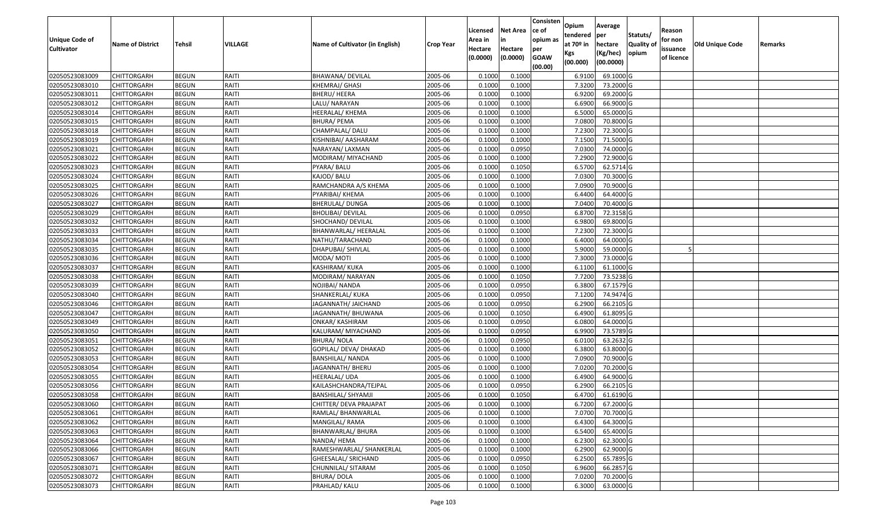|                                     |                         |              |         |                                 |                  | Licensed           | <b>Net Area</b> | Consisten<br>ce of | Opium<br>tendered | Average<br>per | Statuts/         | Reason              |                 |         |
|-------------------------------------|-------------------------|--------------|---------|---------------------------------|------------------|--------------------|-----------------|--------------------|-------------------|----------------|------------------|---------------------|-----------------|---------|
| Unique Code of<br><b>Cultivator</b> | <b>Name of District</b> | Tehsil       | VILLAGE | Name of Cultivator (in English) | <b>Crop Year</b> | Area in<br>Hectare | in<br>Hectare   | opium as           | at $70°$ in       | hectare        | <b>Quality o</b> | for non<br>issuance | Old Unique Code | Remarks |
|                                     |                         |              |         |                                 |                  | (0.0000)           | (0.0000)        | per<br><b>GOAW</b> | Kgs               | (Kg/hec)       | opium            | of licence          |                 |         |
|                                     |                         |              |         |                                 |                  |                    |                 | (00.00)            | (00.000)          | (00.0000)      |                  |                     |                 |         |
| 02050523083009                      | CHITTORGARH             | <b>BEGUN</b> | RAITI   | BHAWANA/ DEVILAL                | 2005-06          | 0.1000             | 0.1000          |                    | 6.9100            | 69.1000G       |                  |                     |                 |         |
| 02050523083010                      | CHITTORGARH             | <b>BEGUN</b> | RAITI   | KHEMRAJ/ GHASI                  | 2005-06          | 0.1000             | 0.1000          |                    | 7.3200            | 73.2000 G      |                  |                     |                 |         |
| 02050523083011                      | CHITTORGARH             | <b>BEGUN</b> | RAITI   | BHERU/ HEERA                    | 2005-06          | 0.1000             | 0.1000          |                    | 6.9200            | 69.2000 G      |                  |                     |                 |         |
| 02050523083012                      | <b>CHITTORGARH</b>      | <b>BEGUN</b> | RAITI   | LALU/ NARAYAN                   | 2005-06          | 0.1000             | 0.1000          |                    | 6.6900            | 66.9000 G      |                  |                     |                 |         |
| 02050523083014                      | CHITTORGARH             | <b>BEGUN</b> | RAITI   | <b>HEERALAL/ KHEMA</b>          | 2005-06          | 0.1000             | 0.1000          |                    | 6.5000            | 65.0000G       |                  |                     |                 |         |
| 02050523083015                      | CHITTORGARH             | <b>BEGUN</b> | RAITI   | <b>BHURA/ PEMA</b>              | 2005-06          | 0.1000             | 0.1000          |                    | 7.0800            | 70.8000 G      |                  |                     |                 |         |
| 02050523083018                      | CHITTORGARH             | <b>BEGUN</b> | RAITI   | CHAMPALAL/ DALU                 | 2005-06          | 0.1000             | 0.1000          |                    | 7.2300            | 72.3000G       |                  |                     |                 |         |
| 02050523083019                      | <b>CHITTORGARH</b>      | <b>BEGUN</b> | RAITI   | KISHNIBAI/ AASHARAM             | 2005-06          | 0.1000             | 0.1000          |                    | 7.1500            | 71.5000 G      |                  |                     |                 |         |
| 02050523083021                      | CHITTORGARH             | <b>BEGUN</b> | RAITI   | NARAYAN/ LAXMAN                 | 2005-06          | 0.1000             | 0.0950          |                    | 7.0300            | 74.0000G       |                  |                     |                 |         |
| 02050523083022                      | CHITTORGARH             | <b>BEGUN</b> | RAITI   | MODIRAM/ MIYACHAND              | 2005-06          | 0.1000             | 0.1000          |                    | 7.2900            | 72.9000 G      |                  |                     |                 |         |
| 02050523083023                      | CHITTORGARH             | <b>BEGUN</b> | RAITI   | PYARA/ BALU                     | 2005-06          | 0.1000             | 0.1050          |                    | 6.5700            | 62.5714 G      |                  |                     |                 |         |
| 02050523083024                      | CHITTORGARH             | <b>BEGUN</b> | RAITI   | KAJOD/ BALU                     | 2005-06          | 0.1000             | 0.1000          |                    | 7.0300            | 70.3000 G      |                  |                     |                 |         |
| 02050523083025                      | <b>CHITTORGARH</b>      | <b>BEGUN</b> | RAITI   | RAMCHANDRA A/S KHEMA            | 2005-06          | 0.1000             | 0.1000          |                    | 7.0900            | 70.9000 G      |                  |                     |                 |         |
| 02050523083026                      | CHITTORGARH             | <b>BEGUN</b> | RAITI   | PYARIBAI/ KHEMA                 | 2005-06          | 0.1000             | 0.1000          |                    | 6.4400            | 64.4000 G      |                  |                     |                 |         |
| 02050523083027                      | CHITTORGARH             | <b>BEGUN</b> | RAITI   | BHERULAL/ DUNGA                 | 2005-06          | 0.1000             | 0.1000          |                    | 7.0400            | 70.4000 G      |                  |                     |                 |         |
| 02050523083029                      | CHITTORGARH             | <b>BEGUN</b> | RAITI   | <b>BHOLIBAI/ DEVILAL</b>        | 2005-06          | 0.1000             | 0.0950          |                    | 6.8700            | 72.3158 G      |                  |                     |                 |         |
| 02050523083032                      | CHITTORGARH             | <b>BEGUN</b> | RAITI   | SHOCHAND/DEVILAL                | 2005-06          | 0.1000             | 0.1000          |                    | 6.9800            | 69.8000 G      |                  |                     |                 |         |
| 02050523083033                      | CHITTORGARH             | <b>BEGUN</b> | RAITI   | BHANWARLAL/ HEERALAL            | 2005-06          | 0.1000             | 0.1000          |                    | 7.2300            | 72.3000G       |                  |                     |                 |         |
| 02050523083034                      | CHITTORGARH             | <b>BEGUN</b> | RAITI   | NATHU/TARACHAND                 | 2005-06          | 0.100              | 0.1000          |                    | 6.4000            | 64.0000 G      |                  |                     |                 |         |
| 02050523083035                      | CHITTORGARH             | <b>BEGUN</b> | RAITI   | DHAPUBAI/ SHIVLAL               | 2005-06          | 0.1000             | 0.1000          |                    | 5.9000            | 59.0000G       |                  |                     |                 |         |
| 02050523083036                      | CHITTORGARH             | <b>BEGUN</b> | RAITI   | MODA/ MOTI                      | 2005-06          | 0.100              | 0.1000          |                    | 7.3000            | 73.0000G       |                  |                     |                 |         |
| 02050523083037                      | CHITTORGARH             | <b>BEGUN</b> | RAITI   | KASHIRAM/KUKA                   | 2005-06          | 0.1000             | 0.1000          |                    | 6.1100            | 61.1000G       |                  |                     |                 |         |
| 02050523083038                      | CHITTORGARH             | <b>BEGUN</b> | RAITI   | MODIRAM/ NARAYAN                | 2005-06          | 0.1000             | 0.1050          |                    | 7.7200            | 73.5238 G      |                  |                     |                 |         |
| 02050523083039                      | CHITTORGARH             | <b>BEGUN</b> | RAITI   | NOJIBAI/ NANDA                  | 2005-06          | 0.1000             | 0.0950          |                    | 6.3800            | 67.1579 G      |                  |                     |                 |         |
| 02050523083040                      | <b>CHITTORGARH</b>      | <b>BEGUN</b> | RAITI   | SHANKERLAL/ KUKA                | 2005-06          | 0.1000             | 0.0950          |                    | 7.1200            | 74.9474 G      |                  |                     |                 |         |
| 02050523083046                      | CHITTORGARH             | <b>BEGUN</b> | RAITI   | JAGANNATH/ JAICHAND             | 2005-06          | 0.1000             | 0.0950          |                    | 6.2900            | 66.2105 G      |                  |                     |                 |         |
| 02050523083047                      | CHITTORGARH             | <b>BEGUN</b> | RAITI   | JAGANNATH/ BHUWANA              | 2005-06          | 0.1000             | 0.1050          |                    | 6.4900            | 61.8095 G      |                  |                     |                 |         |
| 02050523083049                      | CHITTORGARH             | <b>BEGUN</b> | RAITI   | ONKAR/ KASHIRAM                 | 2005-06          | 0.1000             | 0.0950          |                    | 6.0800            | 64.0000G       |                  |                     |                 |         |
| 02050523083050                      | CHITTORGARH             | <b>BEGUN</b> | RAITI   | KALURAM/ MIYACHAND              | 2005-06          | 0.1000             | 0.0950          |                    | 6.9900            | 73.5789 G      |                  |                     |                 |         |
| 02050523083051                      | CHITTORGARH             | <b>BEGUN</b> | RAITI   | <b>BHURA/ NOLA</b>              | 2005-06          | 0.1000             | 0.0950          |                    | 6.0100            | 63.2632 G      |                  |                     |                 |         |
| 02050523083052                      | CHITTORGARH             | <b>BEGUN</b> | RAITI   | GOPILAL/ DEVA/ DHAKAD           | 2005-06          | 0.1000             | 0.1000          |                    | 6.3800            | 63.8000 G      |                  |                     |                 |         |
| 02050523083053                      | CHITTORGARH             | <b>BEGUN</b> | RAITI   | <b>BANSHILAL/ NANDA</b>         | 2005-06          | 0.1000             | 0.1000          |                    | 7.0900            | 70.9000 G      |                  |                     |                 |         |
| 02050523083054                      | CHITTORGARH             | <b>BEGUN</b> | RAITI   | JAGANNATH/ BHERU                | 2005-06          | 0.1000             | 0.1000          |                    | 7.0200            | 70.2000 G      |                  |                     |                 |         |
| 02050523083055                      | CHITTORGARH             | <b>BEGUN</b> | RAITI   | HEERALAL/ UDA                   | 2005-06          | 0.1000             | 0.1000          |                    | 6.4900            | 64.9000 G      |                  |                     |                 |         |
| 02050523083056                      | CHITTORGARH             | <b>BEGUN</b> | RAITI   | KAILASHCHANDRA/TEJPAL           | 2005-06          | 0.1000             | 0.0950          |                    | 6.2900            | 66.2105 G      |                  |                     |                 |         |
| 02050523083058                      | CHITTORGARH             | <b>BEGUN</b> | RAITI   | BANSHILAL/ SHYAMJI              | 2005-06          | 0.1000             | 0.1050          |                    | 6.4700            | 61.6190 G      |                  |                     |                 |         |
| 02050523083060                      | CHITTORGARH             | <b>BEGUN</b> | RAITI   | CHITTER/ DEVA PRAJAPAT          | 2005-06          | 0.1000             | 0.1000          |                    | 6.7200            | $67.2000$ G    |                  |                     |                 |         |
| 02050523083061                      | <b>CHITTORGARH</b>      | <b>BEGUN</b> | RAITI   | RAMLAL/ BHANWARLAL              | 2005-06          | 0.1000             | 0.1000          |                    | 7.0700            | 70.7000 G      |                  |                     |                 |         |
| 02050523083062                      | <b>CHITTORGARH</b>      | <b>BEGUN</b> | RAITI   | MANGILAL/RAMA                   | 2005-06          | 0.1000             | 0.1000          |                    | 6.4300            | 64.3000 G      |                  |                     |                 |         |
| 02050523083063                      | <b>CHITTORGARH</b>      | <b>BEGUN</b> | RAITI   | BHANWARLAL/ BHURA               | 2005-06          | 0.1000             | 0.1000          |                    | 6.5400            | 65.4000 G      |                  |                     |                 |         |
| 02050523083064                      | CHITTORGARH             | <b>BEGUN</b> | RAITI   | NANDA/ HEMA                     | 2005-06          | 0.1000             | 0.1000          |                    | 6.2300            | 62.3000 G      |                  |                     |                 |         |
| 02050523083066                      | <b>CHITTORGARH</b>      | <b>BEGUN</b> | RAITI   | RAMESHWARLAL/ SHANKERLAL        | 2005-06          | 0.1000             | 0.1000          |                    | 6.2900            | 62.9000 G      |                  |                     |                 |         |
| 02050523083067                      | <b>CHITTORGARH</b>      | <b>BEGUN</b> | RAITI   | GHEESALAL/ SRICHAND             | 2005-06          | 0.1000             | 0.0950          |                    | 6.2500            | 65.7895 G      |                  |                     |                 |         |
| 02050523083071                      | <b>CHITTORGARH</b>      | <b>BEGUN</b> | RAITI   | CHUNNILAL/ SITARAM              | 2005-06          | 0.1000             | 0.1050          |                    | 6.9600            | 66.2857 G      |                  |                     |                 |         |
| 02050523083072                      | CHITTORGARH             | <b>BEGUN</b> | RAITI   | <b>BHURA/DOLA</b>               | 2005-06          | 0.1000             | 0.1000          |                    | 7.0200            | 70.2000 G      |                  |                     |                 |         |
| 02050523083073                      | <b>CHITTORGARH</b>      | <b>BEGUN</b> | RAITI   | PRAHLAD/ KALU                   | 2005-06          | 0.1000             | 0.1000          |                    | 6.3000            | 63.0000 G      |                  |                     |                 |         |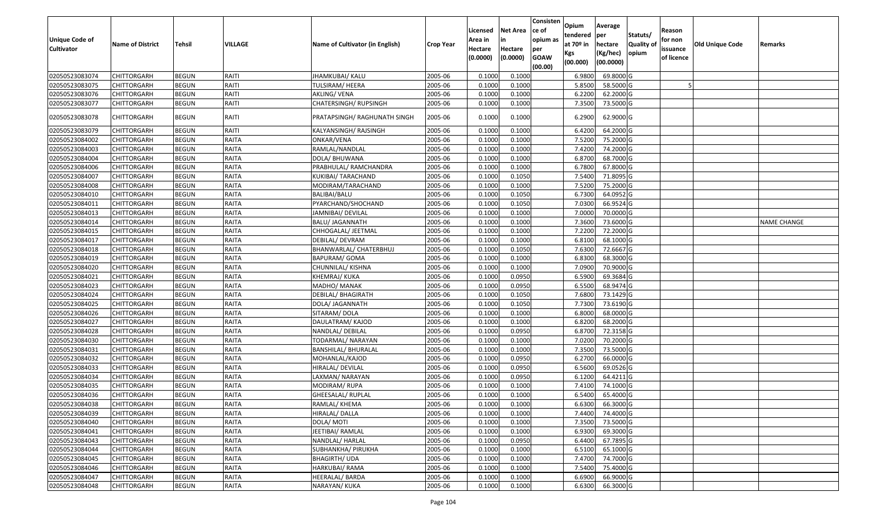| Unique Code of<br><b>Cultivator</b> | <b>Name of District</b> | Tehsil       | VILLAGE      | Name of Cultivator (in English) | Crop Year | Licensed<br>Area in<br>Hectare<br>(0.0000) | Net Area<br>in<br>Hectare<br>(0.0000) | Consisten<br>ce of<br>opium as<br>per<br><b>GOAW</b><br>(00.00) | Opium<br>tendered<br>at 70º in<br>Kgs<br>(00.000) | Average<br>per<br>hectare<br>(Kg/hec)<br>(00.0000) | Statuts/<br><b>Quality of</b><br>opium | Reason<br>for non<br>issuance<br>of licence | <b>Old Unique Code</b> | Remarks            |
|-------------------------------------|-------------------------|--------------|--------------|---------------------------------|-----------|--------------------------------------------|---------------------------------------|-----------------------------------------------------------------|---------------------------------------------------|----------------------------------------------------|----------------------------------------|---------------------------------------------|------------------------|--------------------|
| 02050523083074                      | <b>CHITTORGARH</b>      | <b>BEGUN</b> | RAITI        | <b>JHAMKUBAI/ KALU</b>          | 2005-06   | 0.1000                                     | 0.1000                                |                                                                 | 6.9800                                            | 69.8000 G                                          |                                        |                                             |                        |                    |
| 02050523083075                      | CHITTORGARH             | <b>BEGUN</b> | RAITI        | TULSIRAM/HEERA                  | 2005-06   | 0.1000                                     | 0.1000                                |                                                                 | 5.8500                                            | 58.5000 G                                          |                                        |                                             |                        |                    |
| 02050523083076                      | CHITTORGARH             | <b>BEGUN</b> | RAITI        | AKLING/VENA                     | 2005-06   | 0.1000                                     | 0.1000                                |                                                                 | 6.2200                                            | 62.2000 G                                          |                                        |                                             |                        |                    |
| 02050523083077                      | <b>CHITTORGARH</b>      | <b>BEGUN</b> | RAITI        | CHATERSINGH/RUPSINGH            | 2005-06   | 0.1000                                     | 0.1000                                |                                                                 | 7.3500                                            | 73.5000 G                                          |                                        |                                             |                        |                    |
| 02050523083078                      | CHITTORGARH             | <b>BEGUN</b> | RAITI        | PRATAPSINGH/ RAGHUNATH SINGH    | 2005-06   | 0.1000                                     | 0.1000                                |                                                                 | 6.2900                                            | 62.9000 G                                          |                                        |                                             |                        |                    |
| 02050523083079                      | CHITTORGARH             | <b>BEGUN</b> | RAITI        | KALYANSINGH/RAJSINGH            | 2005-06   | 0.1000                                     | 0.1000                                |                                                                 | 6.4200                                            | 64.2000 G                                          |                                        |                                             |                        |                    |
| 02050523084002                      | <b>CHITTORGARH</b>      | <b>BEGUN</b> | RAITA        | ONKAR/VENA                      | 2005-06   | 0.1000                                     | 0.1000                                |                                                                 | 7.5200                                            | 75.2000 G                                          |                                        |                                             |                        |                    |
| 02050523084003                      | CHITTORGARH             | <b>BEGUN</b> | RAITA        | RAMLAL/NANDLAL                  | 2005-06   | 0.1000                                     | 0.1000                                |                                                                 | 7.4200                                            | 74.2000 G                                          |                                        |                                             |                        |                    |
| 02050523084004                      | CHITTORGARH             | <b>BEGUN</b> | RAITA        | DOLA/ BHUWANA                   | 2005-06   | 0.1000                                     | 0.1000                                |                                                                 | 6.8700                                            | 68.7000 G                                          |                                        |                                             |                        |                    |
| 02050523084006                      | CHITTORGARH             | <b>BEGUN</b> | RAITA        | PRABHULAL/ RAMCHANDRA           | 2005-06   | 0.1000                                     | 0.1000                                |                                                                 | 6.7800                                            | 67.8000 G                                          |                                        |                                             |                        |                    |
| 02050523084007                      | <b>CHITTORGARH</b>      | <b>BEGUN</b> | RAITA        | KUKIBAI/ TARACHAND              | 2005-06   | 0.1000                                     | 0.1050                                |                                                                 | 7.5400                                            | 71.8095 G                                          |                                        |                                             |                        |                    |
| 02050523084008                      | <b>CHITTORGARH</b>      | <b>BEGUN</b> | RAITA        | MODIRAM/TARACHAND               | 2005-06   | 0.1000                                     | 0.1000                                |                                                                 | 7.5200                                            | 75.2000 G                                          |                                        |                                             |                        |                    |
| 02050523084010                      | <b>CHITTORGARH</b>      | <b>BEGUN</b> | RAITA        | BALIBAI/BALU                    | 2005-06   | 0.1000                                     | 0.1050                                |                                                                 | 6.7300                                            | 64.0952 G                                          |                                        |                                             |                        |                    |
| 02050523084011                      | CHITTORGARH             | <b>BEGUN</b> | RAITA        | PYARCHAND/SHOCHAND              | 2005-06   | 0.1000                                     | 0.1050                                |                                                                 | 7.0300                                            | 66.9524 G                                          |                                        |                                             |                        |                    |
| 02050523084013                      | CHITTORGARH             | <b>BEGUN</b> | RAITA        | JAMNIBAI/ DEVILAL               | 2005-06   | 0.1000                                     | 0.1000                                |                                                                 | 7.0000                                            | 70.0000 G                                          |                                        |                                             |                        |                    |
| 02050523084014                      | CHITTORGARH             | <b>BEGUN</b> | RAITA        | <b>BALU/ JAGANNATH</b>          | 2005-06   | 0.1000                                     | 0.1000                                |                                                                 | 7.3600                                            | 73.6000 G                                          |                                        |                                             |                        | <b>NAME CHANGE</b> |
| 02050523084015                      | CHITTORGARH             | <b>BEGUN</b> | RAITA        | CHHOGALAL/ JEETMAL              | 2005-06   | 0.1000                                     | 0.1000                                |                                                                 | 7.2200                                            | 72.2000 G                                          |                                        |                                             |                        |                    |
| 02050523084017                      | CHITTORGARH             | <b>BEGUN</b> | RAITA        | DEBILAL/ DEVRAM                 | 2005-06   | 0.1000                                     | 0.1000                                |                                                                 | 6.8100                                            | 68.1000 G                                          |                                        |                                             |                        |                    |
| 02050523084018                      | CHITTORGARH             | <b>BEGUN</b> | RAITA        | BHANWARLAL/ CHATERBHUJ          | 2005-06   | 0.1000                                     | 0.1050                                |                                                                 | 7.6300                                            | 72.6667 G                                          |                                        |                                             |                        |                    |
| 02050523084019                      | CHITTORGARH             | <b>BEGUN</b> | RAITA        | <b>BAPURAM/ GOMA</b>            | 2005-06   | 0.1000                                     | 0.1000                                |                                                                 | 6.8300                                            | 68.3000 G                                          |                                        |                                             |                        |                    |
| 02050523084020                      | CHITTORGARH             | <b>BEGUN</b> | RAITA        | CHUNNILAL/ KISHNA               | 2005-06   | 0.1000                                     | 0.1000                                |                                                                 | 7.0900                                            | 70.9000 G                                          |                                        |                                             |                        |                    |
| 02050523084021                      | CHITTORGARH             | <b>BEGUN</b> | RAITA        | KHEMRAJ/ KUKA                   | 2005-06   | 0.1000                                     | 0.0950                                |                                                                 | 6.5900                                            | 69.3684 G                                          |                                        |                                             |                        |                    |
| 02050523084023                      | CHITTORGARH             | <b>BEGUN</b> | RAITA        | MADHO/ MANAK                    | 2005-06   | 0.1000                                     | 0.0950                                |                                                                 | 6.5500                                            | 68.9474 G                                          |                                        |                                             |                        |                    |
| 02050523084024                      | <b>CHITTORGARH</b>      | <b>BEGUN</b> | RAITA        | <b>DEBILAL/ BHAGIRATH</b>       | 2005-06   | 0.1000                                     | 0.1050                                |                                                                 | 7.6800                                            | 73.1429 G                                          |                                        |                                             |                        |                    |
| 02050523084025                      | CHITTORGARH             | <b>BEGUN</b> | RAITA        | DOLA/ JAGANNATH                 | 2005-06   | 0.1000                                     | 0.1050                                |                                                                 | 7.7300                                            | 73.6190 G                                          |                                        |                                             |                        |                    |
| 02050523084026                      | CHITTORGARH             | <b>BEGUN</b> | RAITA        | SITARAM/DOLA                    | 2005-06   | 0.1000                                     | 0.1000                                |                                                                 | 6.8000                                            | 68.0000 G                                          |                                        |                                             |                        |                    |
| 02050523084027                      | CHITTORGARH             | <b>BEGUN</b> | RAITA        | DAULATRAM/ KAJOD                | 2005-06   | 0.1000                                     | 0.1000                                |                                                                 | 6.8200                                            | 68.2000 G                                          |                                        |                                             |                        |                    |
| 02050523084028                      | <b>CHITTORGARH</b>      | <b>BEGUN</b> | RAITA        | NANDLAL/ DEBILAL                | 2005-06   | 0.1000                                     | 0.0950                                |                                                                 | 6.8700                                            | 72.3158 G                                          |                                        |                                             |                        |                    |
| 02050523084030                      | CHITTORGARH             | <b>BEGUN</b> | RAITA        | TODARMAL/ NARAYAN               | 2005-06   | 0.1000                                     | 0.1000                                |                                                                 | 7.0200                                            | 70.2000 G                                          |                                        |                                             |                        |                    |
| 02050523084031                      | CHITTORGARH             | <b>BEGUN</b> | RAITA        | BANSHILAL/ BHURALAL             | 2005-06   | 0.1000                                     | 0.1000                                |                                                                 | 7.3500                                            | 73.5000 G                                          |                                        |                                             |                        |                    |
| 02050523084032                      | CHITTORGARH             | <b>BEGUN</b> | RAITA        | MOHANLAL/KAJOD                  | 2005-06   | 0.1000                                     | 0.0950                                |                                                                 | 6.2700                                            | 66.0000 G                                          |                                        |                                             |                        |                    |
| 02050523084033                      | <b>CHITTORGARH</b>      | <b>BEGUN</b> | RAITA        | HIRALAL/ DEVILAL                | 2005-06   | 0.1000                                     | 0.0950                                |                                                                 | 6.5600                                            | 69.0526 G                                          |                                        |                                             |                        |                    |
| 02050523084034                      | <b>CHITTORGARH</b>      | <b>BEGUN</b> | RAITA        | LAXMAN/ NARAYAN                 | 2005-06   | 0.1000                                     | 0.0950                                |                                                                 | 6.1200                                            | 64.4211 G                                          |                                        |                                             |                        |                    |
| 02050523084035                      | CHITTORGARH             | <b>BEGUN</b> | RAITA        | MODIRAM/ RUPA                   | 2005-06   | 0.1000                                     | 0.1000                                |                                                                 | 7.4100                                            | 74.1000 G                                          |                                        |                                             |                        |                    |
| 02050523084036                      | CHITTORGARH             | <b>BEGUN</b> | RAITA        | GHEESALAL/ RUPLAL               | 2005-06   | 0.1000                                     | 0.1000                                |                                                                 | 6.5400                                            | 65.4000 G                                          |                                        |                                             |                        |                    |
| 02050523084038                      | <b>CHITTORGARH</b>      | <b>BEGUN</b> | <b>RAITA</b> | RAMLAL/ KHEMA                   | 2005-06   | 0.1000                                     | 0.1000                                |                                                                 | 6.6300                                            | 66.3000 G                                          |                                        |                                             |                        |                    |
| 02050523084039                      | <b>CHITTORGARH</b>      | <b>BEGUN</b> | RAITA        | HIRALAL/DALLA                   | 2005-06   | 0.1000                                     | 0.1000                                |                                                                 | 7.4400                                            | 74.4000 G                                          |                                        |                                             |                        |                    |
| 02050523084040                      | <b>CHITTORGARH</b>      | <b>BEGUN</b> | <b>RAITA</b> | DOLA/ MOTI                      | 2005-06   | 0.1000                                     | 0.1000                                |                                                                 | 7.3500                                            | 73.5000 G                                          |                                        |                                             |                        |                    |
| 02050523084041                      | <b>CHITTORGARH</b>      | <b>BEGUN</b> | <b>RAITA</b> | JEETIBAI/ RAMLAL                | 2005-06   | 0.1000                                     | 0.1000                                |                                                                 | 6.9300                                            | 69.3000 G                                          |                                        |                                             |                        |                    |
| 02050523084043                      | <b>CHITTORGARH</b>      | <b>BEGUN</b> | RAITA        | NANDLAL/ HARLAL                 | 2005-06   | 0.1000                                     | 0.0950                                |                                                                 | 6.4400                                            | 67.7895 G                                          |                                        |                                             |                        |                    |
| 02050523084044                      | <b>CHITTORGARH</b>      | <b>BEGUN</b> | <b>RAITA</b> | SUBHANKHA/ PIRUKHA              | 2005-06   | 0.1000                                     | 0.1000                                |                                                                 | 6.5100                                            | 65.1000 G                                          |                                        |                                             |                        |                    |
| 02050523084045                      | <b>CHITTORGARH</b>      | <b>BEGUN</b> | RAITA        | <b>BHAGIRTH/ UDA</b>            | 2005-06   | 0.1000                                     | 0.1000                                |                                                                 | 7.4700                                            | 74.7000 G                                          |                                        |                                             |                        |                    |
| 02050523084046                      | <b>CHITTORGARH</b>      | <b>BEGUN</b> | RAITA        | HARKUBAI/ RAMA                  | 2005-06   | 0.1000                                     | 0.1000                                |                                                                 | 7.5400                                            | 75.4000 G                                          |                                        |                                             |                        |                    |
| 02050523084047                      | <b>CHITTORGARH</b>      | <b>BEGUN</b> | RAITA        | HEERALAL/ BARDA                 | 2005-06   | 0.1000                                     | 0.1000                                |                                                                 | 6.6900                                            | 66.9000 G                                          |                                        |                                             |                        |                    |
| 02050523084048                      | <b>CHITTORGARH</b>      | <b>BEGUN</b> | RAITA        | NARAYAN/ KUKA                   | 2005-06   | 0.1000                                     | 0.1000                                |                                                                 | 6.6300                                            | 66.3000 G                                          |                                        |                                             |                        |                    |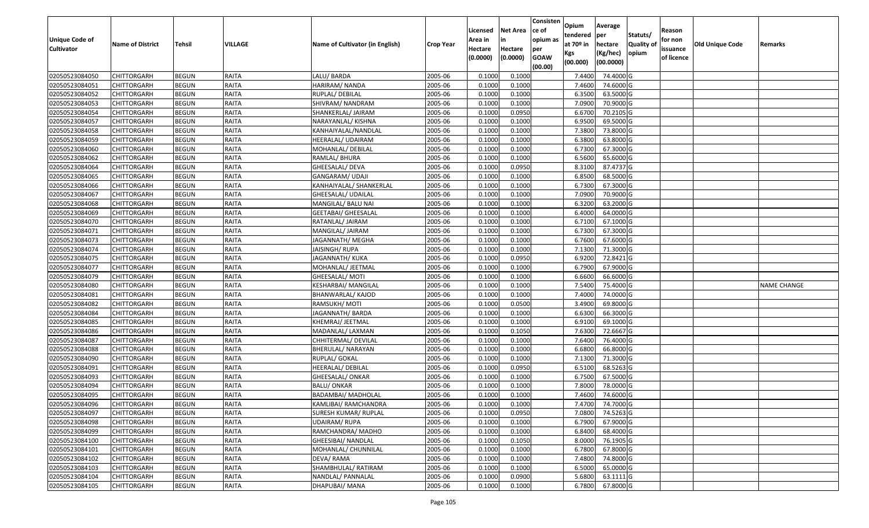| Unique Code of<br><b>Cultivator</b> | <b>Name of District</b> | <b>Tehsil</b> | VILLAGE      | Name of Cultivator (in English) | <b>Crop Year</b> | Licensed<br>Area in<br>Hectare<br>(0.0000) | <b>Net Area</b><br>in<br>Hectare<br>(0.0000) | Consisten<br>ce of<br>opium as<br>per<br><b>GOAW</b><br>(00.00) | Opium<br>tendered<br>at 70º in<br>Kgs<br>(00.000) | Average<br>per<br>hectare<br>(Kg/hec)<br>(00.0000) | Statuts/<br>Quality of<br>opium | Reason<br>for non<br>issuance<br>of licence | <b>Old Unique Code</b> | Remarks            |
|-------------------------------------|-------------------------|---------------|--------------|---------------------------------|------------------|--------------------------------------------|----------------------------------------------|-----------------------------------------------------------------|---------------------------------------------------|----------------------------------------------------|---------------------------------|---------------------------------------------|------------------------|--------------------|
| 02050523084050                      | CHITTORGARH             | <b>BEGUN</b>  | RAITA        | LALU/BARDA                      | 2005-06          | 0.1000                                     | 0.1000                                       |                                                                 | 7.4400                                            | 74.4000 G                                          |                                 |                                             |                        |                    |
| 02050523084051                      | CHITTORGARH             | <b>BEGUN</b>  | RAITA        | HARIRAM/ NANDA                  | 2005-06          | 0.1000                                     | 0.1000                                       |                                                                 | 7.4600                                            | 74.6000 G                                          |                                 |                                             |                        |                    |
| 02050523084052                      | CHITTORGARH             | <b>BEGUN</b>  | <b>RAITA</b> | RUPLAL/DEBILAL                  | 2005-06          | 0.1000                                     | 0.1000                                       |                                                                 | 6.3500                                            | 63.5000G                                           |                                 |                                             |                        |                    |
| 02050523084053                      | CHITTORGARH             | <b>BEGUN</b>  | <b>RAITA</b> | SHIVRAM/ NANDRAM                | 2005-06          | 0.1000                                     | 0.1000                                       |                                                                 | 7.0900                                            | 70.9000 G                                          |                                 |                                             |                        |                    |
| 02050523084054                      | CHITTORGARH             | <b>BEGUN</b>  | RAITA        | SHANKERLAL/ JAIRAM              | 2005-06          | 0.1000                                     | 0.0950                                       |                                                                 | 6.6700                                            | 70.2105 G                                          |                                 |                                             |                        |                    |
| 02050523084057                      | CHITTORGARH             | <b>BEGUN</b>  | RAITA        | NARAYANLAL/ KISHNA              | 2005-06          | 0.1000                                     | 0.1000                                       |                                                                 | 6.9500                                            | 69.5000G                                           |                                 |                                             |                        |                    |
| 02050523084058                      | CHITTORGARH             | <b>BEGUN</b>  | RAITA        | KANHAIYALAL/NANDLAL             | 2005-06          | 0.1000                                     | 0.1000                                       |                                                                 | 7.3800                                            | 73.8000 G                                          |                                 |                                             |                        |                    |
| 02050523084059                      | CHITTORGARH             | <b>BEGUN</b>  | RAITA        | HEERALAL/ UDAIRAM               | 2005-06          | 0.1000                                     | 0.1000                                       |                                                                 | 6.3800                                            | 63.8000G                                           |                                 |                                             |                        |                    |
| 02050523084060                      | CHITTORGARH             | <b>BEGUN</b>  | RAITA        | MOHANLAL/ DEBILAL               | 2005-06          | 0.1000                                     | 0.1000                                       |                                                                 | 6.7300                                            | 67.3000 G                                          |                                 |                                             |                        |                    |
| 02050523084062                      | CHITTORGARH             | <b>BEGUN</b>  | <b>RAITA</b> | RAMLAL/ BHURA                   | 2005-06          | 0.1000                                     | 0.1000                                       |                                                                 | 6.5600                                            | 65.6000G                                           |                                 |                                             |                        |                    |
| 02050523084064                      | CHITTORGARH             | <b>BEGUN</b>  | <b>RAITA</b> | GHEESALAL/ DEVA                 | 2005-06          | 0.1000                                     | 0.0950                                       |                                                                 | 8.3100                                            | 87.4737 G                                          |                                 |                                             |                        |                    |
| 02050523084065                      | <b>CHITTORGARH</b>      | <b>BEGUN</b>  | RAITA        | GANGARAM/ UDAJI                 | 2005-06          | 0.1000                                     | 0.1000                                       |                                                                 | 6.8500                                            | 68.5000 G                                          |                                 |                                             |                        |                    |
| 02050523084066                      | CHITTORGARH             | <b>BEGUN</b>  | <b>RAITA</b> | KANHAIYALAL/ SHANKERLAL         | 2005-06          | 0.1000                                     | 0.1000                                       |                                                                 | 6.7300                                            | 67.3000 G                                          |                                 |                                             |                        |                    |
| 02050523084067                      | CHITTORGARH             | <b>BEGUN</b>  | RAITA        | GHEESALAL/ UDAILAL              | 2005-06          | 0.1000                                     | 0.1000                                       |                                                                 | 7.0900                                            | 70.9000 G                                          |                                 |                                             |                        |                    |
| 02050523084068                      | CHITTORGARH             | <b>BEGUN</b>  | <b>RAITA</b> | MANGILAL/ BALU NAI              | 2005-06          | 0.1000                                     | 0.1000                                       |                                                                 | 6.3200                                            | 63.2000 G                                          |                                 |                                             |                        |                    |
| 02050523084069                      | <b>CHITTORGARH</b>      | <b>BEGUN</b>  | <b>RAITA</b> | <b>GEETABAI/ GHEESALAL</b>      | 2005-06          | 0.1000                                     | 0.1000                                       |                                                                 | 6.4000                                            | 64.0000 G                                          |                                 |                                             |                        |                    |
| 02050523084070                      | <b>CHITTORGARH</b>      | <b>BEGUN</b>  | RAITA        | RATANLAL/ JAIRAM                | 2005-06          | 0.1000                                     | 0.1000                                       |                                                                 | 6.7100                                            | 67.1000 G                                          |                                 |                                             |                        |                    |
| 02050523084071                      | <b>CHITTORGARH</b>      | <b>BEGUN</b>  | <b>RAITA</b> | MANGILAL/ JAIRAM                | 2005-06          | 0.100                                      | 0.1000                                       |                                                                 | 6.7300                                            | 67.3000 G                                          |                                 |                                             |                        |                    |
| 02050523084073                      | CHITTORGARH             | <b>BEGUN</b>  | <b>RAITA</b> | JAGANNATH/ MEGHA                | 2005-06          | 0.1000                                     | 0.1000                                       |                                                                 | 6.7600                                            | 67.6000 G                                          |                                 |                                             |                        |                    |
| 02050523084074                      | <b>CHITTORGARH</b>      | <b>BEGUN</b>  | <b>RAITA</b> | JAISINGH/ RUPA                  | 2005-06          | 0.1000                                     | 0.1000                                       |                                                                 | 7.1300                                            | 71.3000 G                                          |                                 |                                             |                        |                    |
| 02050523084075                      | <b>CHITTORGARH</b>      | <b>BEGUN</b>  | RAITA        | JAGANNATH/ KUKA                 | 2005-06          | 0.1000                                     | 0.0950                                       |                                                                 | 6.9200                                            | 72.8421 G                                          |                                 |                                             |                        |                    |
| 02050523084077                      | CHITTORGARH             | <b>BEGUN</b>  | <b>RAITA</b> | MOHANLAL/ JEETMAL               | 2005-06          | 0.1000                                     | 0.1000                                       |                                                                 | 6.7900                                            | 67.9000 G                                          |                                 |                                             |                        |                    |
| 02050523084079                      | CHITTORGARH             | <b>BEGUN</b>  | <b>RAITA</b> | GHEESALAL/ MOTI                 | 2005-06          | 0.1000                                     | 0.1000                                       |                                                                 | 6.6600                                            | 66.6000 G                                          |                                 |                                             |                        |                    |
| 02050523084080                      | CHITTORGARH             | <b>BEGUN</b>  | <b>RAITA</b> | KESHARBAI/ MANGILAL             | 2005-06          | 0.1000                                     | 0.1000                                       |                                                                 | 7.5400                                            | 75.4000G                                           |                                 |                                             |                        | <b>NAME CHANGE</b> |
| 02050523084081                      | CHITTORGARH             | <b>BEGUN</b>  | RAITA        | BHANWARLAL/ KAJOD               | 2005-06          | 0.100                                      | 0.1000                                       |                                                                 | 7.4000                                            | 74.0000 G                                          |                                 |                                             |                        |                    |
| 02050523084082                      | CHITTORGARH             | <b>BEGUN</b>  | RAITA        | RAMSUKH/ MOTI                   | 2005-06          | 0.1000                                     | 0.0500                                       |                                                                 | 3.4900                                            | 69.8000 G                                          |                                 |                                             |                        |                    |
| 02050523084084                      | CHITTORGARH             | <b>BEGUN</b>  | <b>RAITA</b> | JAGANNATH/ BARDA                | 2005-06          | 0.100                                      | 0.1000                                       |                                                                 | 6.6300                                            | 66.3000 G                                          |                                 |                                             |                        |                    |
| 02050523084085                      | CHITTORGARH             | <b>BEGUN</b>  | <b>RAITA</b> | KHEMRAJ/ JEETMAL                | 2005-06          | 0.1000                                     | 0.1000                                       |                                                                 | 6.9100                                            | 69.1000G                                           |                                 |                                             |                        |                    |
| 02050523084086                      | CHITTORGARH             | <b>BEGUN</b>  | <b>RAITA</b> | MADANLAL/ LAXMAN                | 2005-06          | 0.1000                                     | 0.1050                                       |                                                                 | 7.6300                                            | 72.6667 G                                          |                                 |                                             |                        |                    |
| 02050523084087                      | CHITTORGARH             | <b>BEGUN</b>  | RAITA        | CHHITERMAL/ DEVILAL             | 2005-06          | 0.1000                                     | 0.1000                                       |                                                                 | 7.6400                                            | 76.4000G                                           |                                 |                                             |                        |                    |
| 02050523084088                      | CHITTORGARH             | <b>BEGUN</b>  | RAITA        | BHERULAL/ NARAYAN               | 2005-06          | 0.1000                                     | 0.1000                                       |                                                                 | 6.6800                                            | 66.8000 G                                          |                                 |                                             |                        |                    |
| 02050523084090                      | CHITTORGARH             | <b>BEGUN</b>  | RAITA        | RUPLAL/ GOKAL                   | 2005-06          | 0.1000                                     | 0.1000                                       |                                                                 | 7.1300                                            | 71.3000G                                           |                                 |                                             |                        |                    |
| 02050523084091                      | CHITTORGARH             | <b>BEGUN</b>  | RAITA        | HEERALAL/DEBILAL                | 2005-06          | 0.1000                                     | 0.0950                                       |                                                                 | 6.5100                                            | 68.5263 G                                          |                                 |                                             |                        |                    |
| 02050523084093                      | CHITTORGARH             | <b>BEGUN</b>  | RAITA        | GHEESALAL/ ONKAR                | 2005-06          | 0.1000                                     | 0.1000                                       |                                                                 | 6.7500                                            | 67.5000 G                                          |                                 |                                             |                        |                    |
| 02050523084094                      | CHITTORGARH             | <b>BEGUN</b>  | RAITA        | BALU/ ONKAR                     | 2005-06          | 0.100                                      | 0.1000                                       |                                                                 | 7.8000                                            | 78.0000G                                           |                                 |                                             |                        |                    |
| 02050523084095                      | CHITTORGARH             | <b>BEGUN</b>  | RAITA        | BADAMBAI/ MADHOLAL              | 2005-06          | 0.1000                                     | 0.1000                                       |                                                                 | 7.4600                                            | 74.6000 G                                          |                                 |                                             |                        |                    |
| 02050523084096                      | <b>CHITTORGARH</b>      | <b>BEGUN</b>  | RAITA        | KAMLIBAI/ RAMCHANDRA            | 2005-06          | 0.1000                                     | 0.1000                                       |                                                                 |                                                   | 7.4700 74.7000 G                                   |                                 |                                             |                        |                    |
| 02050523084097                      | <b>CHITTORGARH</b>      | <b>BEGUN</b>  | RAITA        | SURESH KUMAR/ RUPLAL            | 2005-06          | 0.1000                                     | 0.0950                                       |                                                                 | 7.0800                                            | 74.5263 G                                          |                                 |                                             |                        |                    |
| 02050523084098                      | <b>CHITTORGARH</b>      | <b>BEGUN</b>  | <b>RAITA</b> | <b>UDAIRAM/RUPA</b>             | 2005-06          | 0.1000                                     | 0.1000                                       |                                                                 | 6.7900                                            | 67.9000 G                                          |                                 |                                             |                        |                    |
| 02050523084099                      | <b>CHITTORGARH</b>      | <b>BEGUN</b>  | <b>RAITA</b> | RAMCHANDRA/ MADHO               | 2005-06          | 0.1000                                     | 0.1000                                       |                                                                 | 6.8400                                            | 68.4000 G                                          |                                 |                                             |                        |                    |
| 02050523084100                      | <b>CHITTORGARH</b>      | <b>BEGUN</b>  | RAITA        | <b>GHEESIBAI/ NANDLAL</b>       | 2005-06          | 0.1000                                     | 0.1050                                       |                                                                 | 8.0000                                            | 76.1905 G                                          |                                 |                                             |                        |                    |
| 02050523084101                      | <b>CHITTORGARH</b>      | <b>BEGUN</b>  | <b>RAITA</b> | MOHANLAL/ CHUNNILAL             | 2005-06          | 0.1000                                     | 0.1000                                       |                                                                 | 6.7800                                            | 67.8000 G                                          |                                 |                                             |                        |                    |
| 02050523084102                      | <b>CHITTORGARH</b>      | <b>BEGUN</b>  | <b>RAITA</b> | DEVA/RAMA                       | 2005-06          | 0.1000                                     | 0.1000                                       |                                                                 | 7.4800                                            | 74.8000 G                                          |                                 |                                             |                        |                    |
| 02050523084103                      | <b>CHITTORGARH</b>      | <b>BEGUN</b>  | RAITA        | SHAMBHULAL/ RATIRAM             | 2005-06          | 0.1000                                     | 0.1000                                       |                                                                 | 6.5000                                            | 65.0000 G                                          |                                 |                                             |                        |                    |
| 02050523084104                      | <b>CHITTORGARH</b>      | <b>BEGUN</b>  | RAITA        | NANDLAL/ PANNALAL               | 2005-06          | 0.1000                                     | 0.0900                                       |                                                                 | 5.6800                                            | 63.1111 G                                          |                                 |                                             |                        |                    |
| 02050523084105                      | <b>CHITTORGARH</b>      | <b>BEGUN</b>  | RAITA        | DHAPUBAI/ MANA                  | 2005-06          | 0.1000                                     | 0.1000                                       |                                                                 | 6.7800                                            | 67.8000 G                                          |                                 |                                             |                        |                    |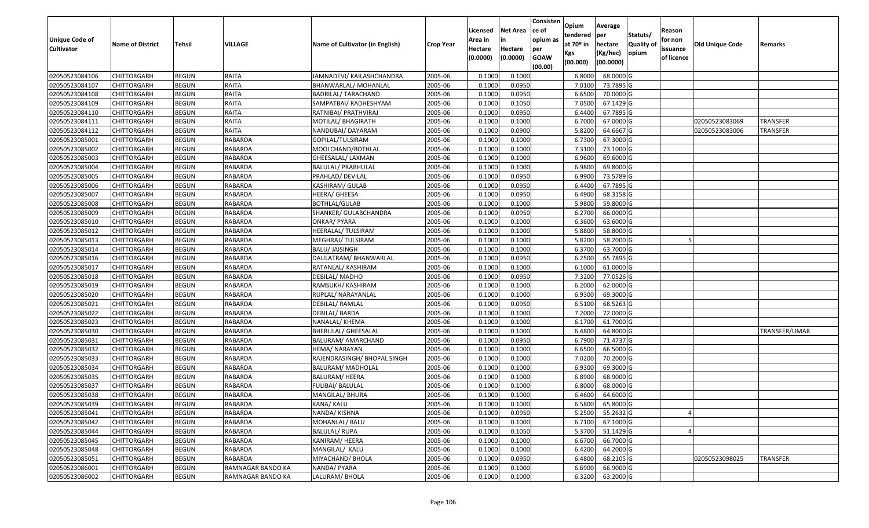| Unique Code of<br>Cultivator | <b>Name of District</b> | Tehsil       | VILLAGE           | Name of Cultivator (in English) | <b>Crop Year</b> | Licensed<br>Area in<br>Hectare<br>(0.0000) | Net Area<br>Hectare<br>(0.0000) | Consisten<br>ce of<br>opium as<br>per<br><b>GOAW</b><br>(00.00) | Opium<br>tendered<br>at 70º in<br>Kgs<br>(00.000) | Average<br>per<br>hectare<br>(Kg/hec)<br>(00.0000) | Statuts/<br>Quality of<br>opium | Reason<br>for non<br>issuance<br>of licence | Old Unique Code | Remarks         |
|------------------------------|-------------------------|--------------|-------------------|---------------------------------|------------------|--------------------------------------------|---------------------------------|-----------------------------------------------------------------|---------------------------------------------------|----------------------------------------------------|---------------------------------|---------------------------------------------|-----------------|-----------------|
| 02050523084106               | CHITTORGARH             | <b>BEGUN</b> | RAITA             | JAMNADEVI/ KAILASHCHANDRA       | 2005-06          | 0.1000                                     | 0.1000                          |                                                                 | 6.8000                                            | 68.0000 G                                          |                                 |                                             |                 |                 |
| 02050523084107               | CHITTORGARH             | <b>BEGUN</b> | RAITA             | BHANWARLAL/ MOHANLAL            | 2005-06          | 0.1000                                     | 0.0950                          |                                                                 | 7.0100                                            | 73.7895 G                                          |                                 |                                             |                 |                 |
| 02050523084108               | CHITTORGARH             | <b>BEGUN</b> | RAITA             | <b>BADRILAL/ TARACHAND</b>      | 2005-06          | 0.1000                                     | 0.0950                          |                                                                 | 6.6500                                            | 70.0000 G                                          |                                 |                                             |                 |                 |
| 02050523084109               | CHITTORGARH             | <b>BEGUN</b> | RAITA             | SAMPATBAI/ RADHESHYAM           | 2005-06          | 0.1000                                     | 0.1050                          |                                                                 | 7.0500                                            | 67.1429 G                                          |                                 |                                             |                 |                 |
| 02050523084110               | CHITTORGARH             | <b>BEGUN</b> | RAITA             | RATNIBAI/ PRATHVIRAJ            | 2005-06          | 0.1000                                     | 0.0950                          |                                                                 | 6.4400                                            | 67.7895 G                                          |                                 |                                             |                 |                 |
| 02050523084111               | CHITTORGARH             | <b>BEGUN</b> | RAITA             | MOTILAL/ BHAGIRATH              | 2005-06          | 0.1000                                     | 0.1000                          |                                                                 | 6.7000                                            | 67.0000 G                                          |                                 |                                             | 02050523083069  | <b>TRANSFER</b> |
| 02050523084112               | CHITTORGARH             | <b>BEGUN</b> | RAITA             | NANDUBAI/ DAYARAM               | 2005-06          | 0.1000                                     | 0.0900                          |                                                                 | 5.8200                                            | 64.6667 G                                          |                                 |                                             | 02050523083006  | TRANSFER        |
| 02050523085001               | CHITTORGARH             | <b>BEGUN</b> | RABARDA           | GOPILAL/TULSIRAM                | 2005-06          | 0.1000                                     | 0.1000                          |                                                                 | 6.7300                                            | 67.3000 G                                          |                                 |                                             |                 |                 |
| 02050523085002               | CHITTORGARH             | <b>BEGUN</b> | RABARDA           | MOOLCHAND/BOTHLAL               | 2005-06          | 0.1000                                     | 0.1000                          |                                                                 | 7.3100                                            | 73.1000 G                                          |                                 |                                             |                 |                 |
| 02050523085003               | CHITTORGARH             | <b>BEGUN</b> | RABARDA           | GHEESALAL/ LAXMAN               | 2005-06          | 0.1000                                     | 0.1000                          |                                                                 | 6.9600                                            | 69.6000 G                                          |                                 |                                             |                 |                 |
| 02050523085004               | CHITTORGARH             | <b>BEGUN</b> | RABARDA           | BALULAL/ PRABHULAL              | 2005-06          | 0.1000                                     | 0.1000                          |                                                                 | 6.9800                                            | 69.8000 G                                          |                                 |                                             |                 |                 |
| 02050523085005               | <b>CHITTORGARH</b>      | <b>BEGUN</b> | RABARDA           | PRAHLAD/ DEVILAL                | 2005-06          | 0.1000                                     | 0.0950                          |                                                                 | 6.9900                                            | 73.5789 G                                          |                                 |                                             |                 |                 |
| 02050523085006               | <b>CHITTORGARH</b>      | <b>BEGUN</b> | RABARDA           | KASHIRAM/ GULAB                 | 2005-06          | 0.1000                                     | 0.0950                          |                                                                 | 6.4400                                            | 67.7895 G                                          |                                 |                                             |                 |                 |
| 02050523085007               | CHITTORGARH             | <b>BEGUN</b> | RABARDA           | HEERA/ GHEESA                   | 2005-06          | 0.1000                                     | 0.0950                          |                                                                 | 6.4900                                            | 68.3158 G                                          |                                 |                                             |                 |                 |
| 02050523085008               | CHITTORGARH             | <b>BEGUN</b> | RABARDA           | BOTHLAL/GULAB                   | 2005-06          | 0.1000                                     | 0.1000                          |                                                                 | 5.9800                                            | 59.8000 G                                          |                                 |                                             |                 |                 |
| 02050523085009               | CHITTORGARH             | <b>BEGUN</b> | RABARDA           | SHANKER/ GULABCHANDRA           | 2005-06          | 0.1000                                     | 0.0950                          |                                                                 | 6.2700                                            | 66.0000 G                                          |                                 |                                             |                 |                 |
| 02050523085010               | CHITTORGARH             | <b>BEGUN</b> | RABARDA           | ONKAR/ PYARA                    | 2005-06          | 0.1000                                     | 0.1000                          |                                                                 | 6.3600                                            | 63.6000 G                                          |                                 |                                             |                 |                 |
| 02050523085012               | CHITTORGARH             | <b>BEGUN</b> | RABARDA           | HEERALAL/ TULSIRAM              | 2005-06          | 0.1000                                     | 0.1000                          |                                                                 | 5.8800                                            | 58.8000 G                                          |                                 |                                             |                 |                 |
| 02050523085013               | CHITTORGARH             | <b>BEGUN</b> | RABARDA           | MEGHRAJ/TULSIRAM                | 2005-06          | 0.1000                                     | 0.1000                          |                                                                 | 5.8200                                            | 58.2000 G                                          |                                 |                                             |                 |                 |
| 02050523085014               | CHITTORGARH             | <b>BEGUN</b> | RABARDA           | BALU/ JAISINGH                  | 2005-06          | 0.1000                                     | 0.1000                          |                                                                 | 6.3700                                            | 63.7000 G                                          |                                 |                                             |                 |                 |
| 02050523085016               | CHITTORGARH             | <b>BEGUN</b> | RABARDA           | DAULATRAM/ BHANWARLAL           | 2005-06          | 0.1000                                     | 0.0950                          |                                                                 | 6.2500                                            | 65.7895 G                                          |                                 |                                             |                 |                 |
| 02050523085017               | CHITTORGARH             | <b>BEGUN</b> | RABARDA           | RATANLAL/ KASHIRAM              | 2005-06          | 0.1000                                     | 0.1000                          |                                                                 | 6.1000                                            | 61.0000 G                                          |                                 |                                             |                 |                 |
| 02050523085018               | CHITTORGARH             | <b>BEGUN</b> | RABARDA           | DEBILAL/MADHO                   | 2005-06          | 0.1000                                     | 0.0950                          |                                                                 | 7.3200                                            | 77.0526 G                                          |                                 |                                             |                 |                 |
| 02050523085019               | CHITTORGARH             | <b>BEGUN</b> | RABARDA           | RAMSUKH/ KASHIRAM               | 2005-06          | 0.1000                                     | 0.1000                          |                                                                 | 6.2000                                            | 62.0000 G                                          |                                 |                                             |                 |                 |
| 02050523085020               | CHITTORGARH             | <b>BEGUN</b> | RABARDA           | RUPLAL/ NARAYANLAL              | 2005-06          | 0.1000                                     | 0.1000                          |                                                                 | 6.9300                                            | 69.3000 G                                          |                                 |                                             |                 |                 |
| 02050523085021               | CHITTORGARH             | <b>BEGUN</b> | RABARDA           | DEBILAL/RAMLAL                  | 2005-06          | 0.1000                                     | 0.0950                          |                                                                 | 6.5100                                            | 68.5263 G                                          |                                 |                                             |                 |                 |
| 02050523085022               | CHITTORGARH             | <b>BEGUN</b> | RABARDA           | DEBILAL/BARDA                   | 2005-06          | 0.1000                                     | 0.1000                          |                                                                 | 7.2000                                            | 72.0000 G                                          |                                 |                                             |                 |                 |
| 02050523085023               | CHITTORGARH             | <b>BEGUN</b> | RABARDA           | NANALAL/ KHEMA                  | 2005-06          | 0.1000                                     | 0.1000                          |                                                                 | 6.1700                                            | 61.7000 G                                          |                                 |                                             |                 |                 |
| 02050523085030               | CHITTORGARH             | <b>BEGUN</b> | RABARDA           | BHERULAL/ GHEESALAL             | 2005-06          | 0.1000                                     | 0.1000                          |                                                                 | 6.4800                                            | 64.8000 G                                          |                                 |                                             |                 | TRANSFER/UMAR   |
| 02050523085031               | CHITTORGARH             | <b>BEGUN</b> | RABARDA           | BALURAM/ AMARCHAND              | 2005-06          | 0.1000                                     | 0.0950                          |                                                                 | 6.7900                                            | 71.4737 G                                          |                                 |                                             |                 |                 |
| 02050523085032               | CHITTORGARH             | <b>BEGUN</b> | RABARDA           | HEMA/ NARAYAN                   | 2005-06          | 0.1000                                     | 0.1000                          |                                                                 | 6.6500                                            | 66.5000 G                                          |                                 |                                             |                 |                 |
| 02050523085033               | CHITTORGARH             | <b>BEGUN</b> | RABARDA           | RAJENDRASINGH/ BHOPAL SINGH     | 2005-06          | 0.1000                                     | 0.1000                          |                                                                 | 7.0200                                            | 70.2000 G                                          |                                 |                                             |                 |                 |
| 02050523085034               | CHITTORGARH             | <b>BEGUN</b> | RABARDA           | BALURAM/ MADHOLAL               | 2005-06          | 0.1000                                     | 0.1000                          |                                                                 | 6.9300                                            | 69.3000 G                                          |                                 |                                             |                 |                 |
| 02050523085035               | CHITTORGARH             | <b>BEGUN</b> | RABARDA           | <b>BALURAM/ HEERA</b>           | 2005-06          | 0.1000                                     | 0.1000                          |                                                                 | 6.8900                                            | 68.9000 G                                          |                                 |                                             |                 |                 |
| 02050523085037               | CHITTORGARH             | <b>BEGUN</b> | RABARDA           | FULIBAI/ BALULAL                | 2005-06          | 0.1000                                     | 0.1000                          |                                                                 | 6.8000                                            | 68.0000 G                                          |                                 |                                             |                 |                 |
| 02050523085038               | CHITTORGARH             | <b>BEGUN</b> | RABARDA           | MANGILAL/ BHURA                 | 2005-06          | 0.1000                                     | 0.1000                          |                                                                 | 6.4600                                            | 64.6000 G                                          |                                 |                                             |                 |                 |
| 02050523085039               | <b>CHITTORGARH</b>      | <b>BEGUN</b> | <b>RABARDA</b>    | KANA/ KALU                      | 2005-06          | 0.1000                                     | 0.1000                          |                                                                 | 6.5800                                            | 65.8000 G                                          |                                 |                                             |                 |                 |
| 02050523085041               | <b>CHITTORGARH</b>      | <b>BEGUN</b> | RABARDA           | NANDA/ KISHNA                   | 2005-06          | 0.1000                                     | 0.0950                          |                                                                 | 5.2500                                            | 55.2632 G                                          |                                 |                                             |                 |                 |
| 02050523085042               | <b>CHITTORGARH</b>      | <b>BEGUN</b> | RABARDA           | MOHANLAL/ BALU                  | 2005-06          | 0.1000                                     | 0.1000                          |                                                                 | 6.7100                                            | 67.1000 G                                          |                                 |                                             |                 |                 |
| 02050523085044               | <b>CHITTORGARH</b>      | <b>BEGUN</b> | RABARDA           | <b>BALULAL/ RUPA</b>            | 2005-06          | 0.1000                                     | 0.1050                          |                                                                 | 5.3700                                            | 51.1429 G                                          |                                 |                                             |                 |                 |
| 02050523085045               | <b>CHITTORGARH</b>      | <b>BEGUN</b> | RABARDA           | KANIRAM/ HEERA                  | 2005-06          | 0.1000                                     | 0.1000                          |                                                                 | 6.6700                                            | 66.7000 G                                          |                                 |                                             |                 |                 |
| 02050523085048               | <b>CHITTORGARH</b>      | <b>BEGUN</b> | RABARDA           | MANGILAL/ KALU                  | 2005-06          | 0.1000                                     | 0.1000                          |                                                                 | 6.4200                                            | 64.2000 G                                          |                                 |                                             |                 |                 |
| 02050523085051               | <b>CHITTORGARH</b>      | <b>BEGUN</b> | RABARDA           | MIYACHAND/ BHOLA                | 2005-06          | 0.1000                                     | 0.0950                          |                                                                 | 6.4800                                            | 68.2105 G                                          |                                 |                                             | 02050523098025  | <b>TRANSFER</b> |
| 02050523086001               | <b>CHITTORGARH</b>      | <b>BEGUN</b> | RAMNAGAR BANDO KA | NANDA/ PYARA                    | 2005-06          | 0.1000                                     | 0.1000                          |                                                                 | 6.6900                                            | 66.9000 G                                          |                                 |                                             |                 |                 |
| 02050523086002               | <b>CHITTORGARH</b>      | <b>BEGUN</b> | RAMNAGAR BANDO KA | LALURAM/ BHOLA                  | 2005-06          | 0.1000                                     | 0.1000                          |                                                                 | 6.3200                                            | 63.2000 G                                          |                                 |                                             |                 |                 |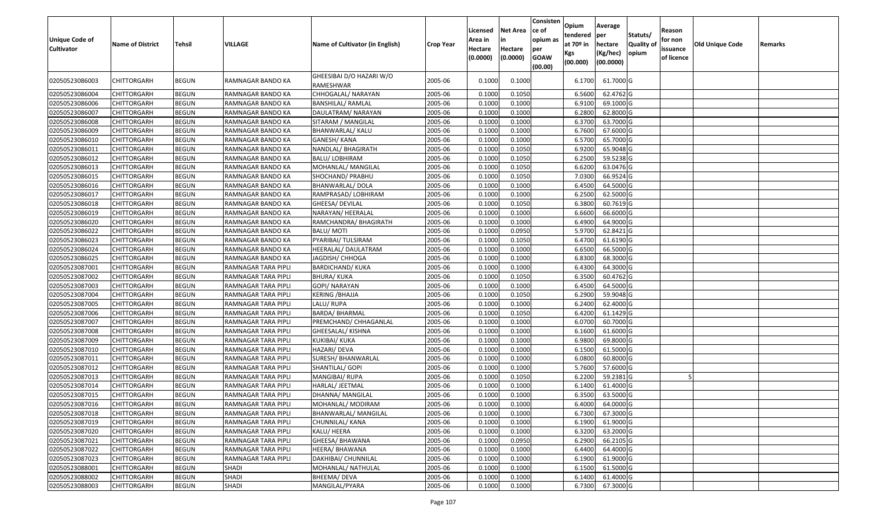| <b>Unique Code of</b><br><b>Cultivator</b> | <b>Name of District</b>                  | Tehsil                       | VILLAGE                                    | Name of Cultivator (in English)       | <b>Crop Year</b>   | Licensed<br>Area in<br>Hectare<br>(0.0000) | <b>Net Area</b><br>in<br>Hectare<br>(0.0000) | Consisten<br>ce of<br>opium as<br>per<br><b>GOAW</b><br>(00.00) | Opium<br>tendered<br>at 70º in<br>Kgs<br>(00.000) | Average<br>per<br>hectare<br>(Kg/hec)<br>(00.0000) | Statuts/<br><b>Quality of</b><br>opium | Reason<br>for non<br>issuance<br>of licence | <b>Old Unique Code</b> | Remarks |
|--------------------------------------------|------------------------------------------|------------------------------|--------------------------------------------|---------------------------------------|--------------------|--------------------------------------------|----------------------------------------------|-----------------------------------------------------------------|---------------------------------------------------|----------------------------------------------------|----------------------------------------|---------------------------------------------|------------------------|---------|
| 02050523086003                             | CHITTORGARH                              | <b>BEGUN</b>                 | RAMNAGAR BANDO KA                          | GHEESIBAI D/O HAZARI W/O<br>RAMESHWAR | 2005-06            | 0.1000                                     | 0.1000                                       |                                                                 | 6.1700                                            | 61.7000 G                                          |                                        |                                             |                        |         |
| 02050523086004                             | <b>CHITTORGARH</b>                       | <b>BEGUN</b>                 | RAMNAGAR BANDO KA                          | CHHOGALAL/ NARAYAN                    | 2005-06            | 0.1000                                     | 0.1050                                       |                                                                 | 6.5600                                            | 62.4762 G                                          |                                        |                                             |                        |         |
| 02050523086006                             | <b>CHITTORGARH</b>                       | <b>BEGUN</b>                 | RAMNAGAR BANDO KA                          | <b>BANSHILAL/ RAMLAL</b>              | 2005-06            | 0.1000                                     | 0.1000                                       |                                                                 | 6.9100                                            | 69.1000 G                                          |                                        |                                             |                        |         |
| 02050523086007                             | <b>CHITTORGARH</b>                       | <b>BEGUN</b>                 | RAMNAGAR BANDO KA                          | DAULATRAM/ NARAYAN                    | 2005-06            | 0.1000                                     | 0.1000                                       |                                                                 | 6.2800                                            | 62.8000 G                                          |                                        |                                             |                        |         |
| 02050523086008                             | <b>CHITTORGARH</b>                       | <b>BEGUN</b>                 | RAMNAGAR BANDO KA                          | SITARAM / MANGILAL                    | 2005-06            | 0.1000                                     | 0.1000                                       |                                                                 | 6.3700                                            | 63.7000 G                                          |                                        |                                             |                        |         |
| 02050523086009                             | CHITTORGARH                              | <b>BEGUN</b>                 | RAMNAGAR BANDO KA                          | BHANWARLAL/ KALU                      | 2005-06            | 0.1000                                     | 0.1000                                       |                                                                 | 6.7600                                            | 67.6000 G                                          |                                        |                                             |                        |         |
| 02050523086010                             | <b>CHITTORGARH</b>                       | <b>BEGUN</b>                 | RAMNAGAR BANDO KA                          | GANESH/ KANA                          | 2005-06            | 0.1000                                     | 0.1000                                       |                                                                 | 6.5700                                            | 65.7000 G                                          |                                        |                                             |                        |         |
| 02050523086011                             | <b>CHITTORGARH</b>                       | <b>BEGUN</b>                 | RAMNAGAR BANDO KA                          | NANDLAL/ BHAGIRATH                    | 2005-06            | 0.1000                                     | 0.1050                                       |                                                                 | 6.9200                                            | 65.9048 G                                          |                                        |                                             |                        |         |
| 02050523086012                             | <b>CHITTORGARH</b>                       | <b>BEGUN</b>                 | RAMNAGAR BANDO KA                          | <b>BALU/ LOBHIRAM</b>                 | 2005-06            | 0.1000                                     | 0.1050                                       |                                                                 | 6.2500                                            | 59.5238 G                                          |                                        |                                             |                        |         |
| 02050523086013                             | <b>CHITTORGARH</b>                       | <b>BEGUN</b>                 | RAMNAGAR BANDO KA                          | MOHANLAL/ MANGILAL                    | 2005-06            | 0.1000                                     | 0.1050                                       |                                                                 | 6.6200                                            | 63.0476 G                                          |                                        |                                             |                        |         |
| 02050523086015                             | CHITTORGARH                              | <b>BEGUN</b>                 | RAMNAGAR BANDO KA                          | SHOCHAND/ PRABHU                      | 2005-06            | 0.1000                                     | 0.1050                                       |                                                                 | 7.0300                                            | 66.9524 G                                          |                                        |                                             |                        |         |
| 02050523086016                             | <b>CHITTORGARH</b>                       | <b>BEGUN</b>                 | RAMNAGAR BANDO KA                          | <b>BHANWARLAL/ DOLA</b>               | 2005-06            | 0.1000                                     | 0.1000                                       |                                                                 | 6.4500                                            | 64.5000 G                                          |                                        |                                             |                        |         |
| 02050523086017                             | <b>CHITTORGARH</b>                       | <b>BEGUN</b>                 | RAMNAGAR BANDO KA                          | RAMPRASAD/LOBHIRAM                    | 2005-06            | 0.1000                                     | 0.1000                                       |                                                                 | 6.2500                                            | 62.5000 G                                          |                                        |                                             |                        |         |
| 02050523086018                             | <b>CHITTORGARH</b>                       | <b>BEGUN</b>                 | RAMNAGAR BANDO KA                          | GHEESA/ DEVILAL                       | 2005-06            | 0.1000                                     | 0.1050                                       |                                                                 | 6.3800                                            | 60.7619 G                                          |                                        |                                             |                        |         |
| 02050523086019                             | <b>CHITTORGARH</b>                       | <b>BEGUN</b>                 | RAMNAGAR BANDO KA                          | NARAYAN/ HEERALAL                     | 2005-06            | 0.1000                                     | 0.1000                                       |                                                                 | 6.6600                                            | 66.6000 G                                          |                                        |                                             |                        |         |
| 02050523086020                             | <b>CHITTORGARH</b>                       | <b>BEGUN</b>                 | RAMNAGAR BANDO KA                          | RAMCHANDRA/ BHAGIRATH                 | 2005-06            | 0.1000                                     | 0.1000                                       |                                                                 | 6.4900                                            | 64.9000 G                                          |                                        |                                             |                        |         |
| 02050523086022                             | <b>CHITTORGARH</b>                       | <b>BEGUN</b>                 | RAMNAGAR BANDO KA                          | <b>BALU/MOTI</b>                      | 2005-06            | 0.1000                                     | 0.0950                                       |                                                                 | 5.9700                                            | 62.8421 G                                          |                                        |                                             |                        |         |
| 02050523086023                             | <b>CHITTORGARH</b>                       | <b>BEGUN</b>                 | RAMNAGAR BANDO KA                          | PYARIBAI/ TULSIRAM                    | 2005-06            | 0.1000                                     | 0.1050                                       |                                                                 | 6.4700                                            | 61.6190 G                                          |                                        |                                             |                        |         |
| 02050523086024                             | <b>CHITTORGARH</b>                       | <b>BEGUN</b>                 | RAMNAGAR BANDO KA                          | HEERALAL/ DAULATRAM                   | 2005-06            | 0.1000                                     | 0.1000                                       |                                                                 | 6.6500                                            | 66.5000 G                                          |                                        |                                             |                        |         |
| 02050523086025                             | <b>CHITTORGARH</b>                       | <b>BEGUN</b>                 | RAMNAGAR BANDO KA                          | JAGDISH/ CHHOGA                       | 2005-06            | 0.1000                                     | 0.1000                                       |                                                                 | 6.8300                                            | 68.3000 G                                          |                                        |                                             |                        |         |
| 02050523087001                             | <b>CHITTORGARH</b>                       | <b>BEGUN</b>                 | RAMNAGAR TARA PIPLI                        | <b>BARDICHAND/ KUKA</b>               | 2005-06            | 0.1000                                     | 0.1000                                       |                                                                 | 6.4300                                            | 64.3000 G                                          |                                        |                                             |                        |         |
| 02050523087002                             | <b>CHITTORGARH</b>                       | <b>BEGUN</b>                 | RAMNAGAR TARA PIPLI                        | <b>BHURA/ KUKA</b>                    | 2005-06            | 0.1000                                     | 0.1050                                       |                                                                 | 6.3500                                            | 60.4762 G                                          |                                        |                                             |                        |         |
| 02050523087003                             | CHITTORGARH                              | <b>BEGUN</b>                 | RAMNAGAR TARA PIPLI                        | GOPI/ NARAYAN                         | 2005-06            | 0.1000                                     | 0.1000                                       |                                                                 | 6.4500                                            | 64.5000 G                                          |                                        |                                             |                        |         |
| 02050523087004                             | <b>CHITTORGARH</b>                       | <b>BEGUN</b>                 | RAMNAGAR TARA PIPLI                        | <b>KERING / BHAJJA</b>                | 2005-06            | 0.1000                                     | 0.1050                                       |                                                                 | 6.2900                                            | 59.9048 G                                          |                                        |                                             |                        |         |
| 02050523087005                             | <b>CHITTORGARH</b>                       | <b>BEGUN</b>                 | RAMNAGAR TARA PIPLI                        | LALU/RUPA                             | 2005-06            | 0.1000                                     | 0.1000                                       |                                                                 | 6.2400                                            | 62.4000 G                                          |                                        |                                             |                        |         |
| 02050523087006                             | <b>CHITTORGARH</b>                       | <b>BEGUN</b>                 | RAMNAGAR TARA PIPLI                        | BARDA/ BHARMAL                        | 2005-06            | 0.1000                                     | 0.1050                                       |                                                                 | 6.4200                                            | 61.1429 G                                          |                                        |                                             |                        |         |
| 02050523087007                             | <b>CHITTORGARH</b>                       | <b>BEGUN</b>                 | RAMNAGAR TARA PIPLI                        | PREMCHAND/ CHHAGANLAL                 | 2005-06            | 0.1000                                     | 0.1000                                       |                                                                 | 6.0700                                            | 60.7000 G                                          |                                        |                                             |                        |         |
| 02050523087008                             | <b>CHITTORGARH</b>                       | <b>BEGUN</b>                 | RAMNAGAR TARA PIPLI                        | GHEESALAL/ KISHNA                     | 2005-06            | 0.1000                                     | 0.1000                                       |                                                                 | 6.1600                                            | 61.6000 G                                          |                                        |                                             |                        |         |
| 02050523087009                             | <b>CHITTORGARH</b>                       | <b>BEGUN</b>                 | RAMNAGAR TARA PIPLI                        | <b>KUKIBAI/ KUKA</b>                  | 2005-06            | 0.1000                                     | 0.1000                                       |                                                                 | 6.9800                                            | 69.8000 G                                          |                                        |                                             |                        |         |
| 02050523087010                             | <b>CHITTORGARH</b>                       | <b>BEGUN</b>                 | RAMNAGAR TARA PIPLI                        | HAZARI/ DEVA                          | 2005-06            | 0.1000                                     | 0.1000                                       |                                                                 | 6.1500                                            | 61.5000 G                                          |                                        |                                             |                        |         |
| 02050523087011                             | <b>CHITTORGARH</b>                       | <b>BEGUN</b>                 | RAMNAGAR TARA PIPLI                        | SURESH/ BHANWARLAL                    | 2005-06            | 0.1000                                     | 0.1000                                       |                                                                 | 6.0800                                            | 60.8000 G                                          |                                        |                                             |                        |         |
| 02050523087012                             | <b>CHITTORGARH</b>                       | <b>BEGUN</b><br><b>BEGUN</b> | RAMNAGAR TARA PIPLI                        | SHANTILAL/ GOPI                       | 2005-06            | 0.1000<br>0.1000                           | 0.1000<br>0.1050                             |                                                                 | 5.7600<br>6.2200                                  | 57.6000 G<br>59.2381 G                             |                                        |                                             |                        |         |
| 02050523087013                             | <b>CHITTORGARH</b>                       |                              | RAMNAGAR TARA PIPLI                        | MANGIBAI/ RUPA                        | 2005-06            |                                            |                                              |                                                                 |                                                   |                                                    |                                        |                                             |                        |         |
| 02050523087014                             | CHITTORGARH                              | <b>BEGUN</b>                 | RAMNAGAR TARA PIPLI                        | HARLAL/ JEETMAL                       | 2005-06            | 0.1000                                     | 0.1000                                       |                                                                 | 6.1400                                            | 61.4000 G                                          |                                        |                                             |                        |         |
| 02050523087015<br>02050523087016           | <b>CHITTORGARH</b><br><b>CHITTORGARH</b> | <b>BEGUN</b><br><b>BEGUN</b> | RAMNAGAR TARA PIPLI<br>RAMNAGAR TARA PIPLI | DHANNA/ MANGILAL<br>MOHANLAL/ MODIRAM | 2005-06<br>2005-06 | 0.1000<br>0.1000                           | 0.1000<br>0.1000                             |                                                                 | 6.3500<br>6.4000                                  | 63.5000 G<br>64.0000G                              |                                        |                                             |                        |         |
| 02050523087018                             | <b>CHITTORGARH</b>                       | <b>BEGUN</b>                 | RAMNAGAR TARA PIPLI                        | BHANWARLAL/ MANGILAL                  | 2005-06            | 0.1000                                     | 0.1000                                       |                                                                 | 6.7300                                            | 67.3000 G                                          |                                        |                                             |                        |         |
| 02050523087019                             | <b>CHITTORGARH</b>                       | <b>BEGUN</b>                 | RAMNAGAR TARA PIPLI                        | CHUNNILAL/ KANA                       | 2005-06            | 0.1000                                     | 0.1000                                       |                                                                 | 6.1900                                            | 61.9000 G                                          |                                        |                                             |                        |         |
| 02050523087020                             | <b>CHITTORGARH</b>                       | <b>BEGUN</b>                 | RAMNAGAR TARA PIPLI                        | KALU/ HEERA                           | 2005-06            | 0.1000                                     | 0.1000                                       |                                                                 | 6.3200                                            | 63.2000 G                                          |                                        |                                             |                        |         |
|                                            |                                          |                              |                                            |                                       |                    | 0.1000                                     | 0.0950                                       |                                                                 | 6.2900                                            | 66.2105 G                                          |                                        |                                             |                        |         |
| 02050523087021<br>02050523087022           | <b>CHITTORGARH</b><br><b>CHITTORGARH</b> | <b>BEGUN</b><br><b>BEGUN</b> | RAMNAGAR TARA PIPLI<br>RAMNAGAR TARA PIPLI | GHEESA/ BHAWANA<br>HEERA/ BHAWANA     | 2005-06<br>2005-06 | 0.1000                                     | 0.1000                                       |                                                                 | 6.4400                                            | 64.4000 G                                          |                                        |                                             |                        |         |
| 02050523087023                             | <b>CHITTORGARH</b>                       | <b>BEGUN</b>                 | RAMNAGAR TARA PIPLI                        | DAKHIBAI/ CHUNNILAL                   | 2005-06            | 0.1000                                     | 0.1000                                       |                                                                 | 6.1900                                            | 61.9000 G                                          |                                        |                                             |                        |         |
| 02050523088001                             | <b>CHITTORGARH</b>                       | <b>BEGUN</b>                 | <b>SHADI</b>                               | MOHANLAL/ NATHULAL                    | 2005-06            | 0.1000                                     | 0.1000                                       |                                                                 | 6.1500                                            | 61.5000 G                                          |                                        |                                             |                        |         |
| 02050523088002                             | CHITTORGARH                              | <b>BEGUN</b>                 | SHADI                                      | BHEEMA/ DEVA                          | 2005-06            | 0.1000                                     | 0.1000                                       |                                                                 | 6.1400                                            | 61.4000 G                                          |                                        |                                             |                        |         |
| 02050523088003                             | <b>CHITTORGARH</b>                       | <b>BEGUN</b>                 | SHADI                                      | MANGILAL/PYARA                        | 2005-06            | 0.1000                                     | 0.1000                                       |                                                                 | 6.7300                                            | 67.3000G                                           |                                        |                                             |                        |         |
|                                            |                                          |                              |                                            |                                       |                    |                                            |                                              |                                                                 |                                                   |                                                    |                                        |                                             |                        |         |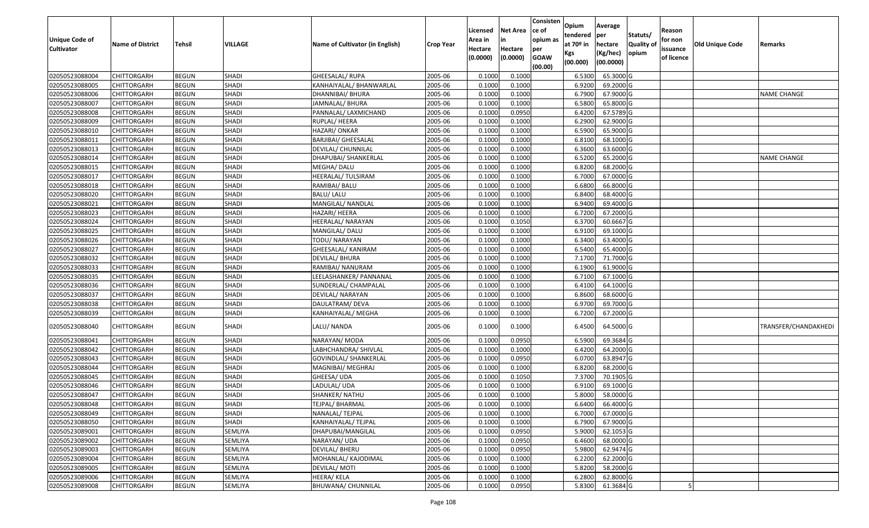| <b>Unique Code of</b><br><b>Cultivator</b> | <b>Name of District</b> | Tehsil       | VILLAGE      | Name of Cultivator (in English) | <b>Crop Year</b> | Licensed<br>Area in<br>Hectare<br>(0.0000) | Net Area<br>in<br>Hectare<br>(0.0000) | Consisten<br>ce of<br>opium as<br>per<br><b>GOAW</b><br>(00.00) | Opium<br>tendered<br>at 70º in<br>Kgs<br>(00.000) | Average<br>per<br>hectare<br>(Kg/hec)<br>(00.0000) | Statuts/<br><b>Quality of</b><br>opium | Reason<br>for non<br>issuance<br>of licence | Old Unique Code | Remarks              |
|--------------------------------------------|-------------------------|--------------|--------------|---------------------------------|------------------|--------------------------------------------|---------------------------------------|-----------------------------------------------------------------|---------------------------------------------------|----------------------------------------------------|----------------------------------------|---------------------------------------------|-----------------|----------------------|
| 02050523088004                             | <b>CHITTORGARH</b>      | <b>BEGUN</b> | SHADI        | GHEESALAL/RUPA                  | 2005-06          | 0.1000                                     | 0.1000                                |                                                                 | 6.5300                                            | 65.3000 G                                          |                                        |                                             |                 |                      |
| 02050523088005                             | CHITTORGARH             | <b>BEGUN</b> | <b>SHADI</b> | KANHAIYALAL/ BHANWARLAL         | 2005-06          | 0.1000                                     | 0.1000                                |                                                                 | 6.9200                                            | 69.2000 G                                          |                                        |                                             |                 |                      |
| 02050523088006                             | CHITTORGARH             | <b>BEGUN</b> | <b>SHADI</b> | DHANNIBAI/ BHURA                | 2005-06          | 0.1000                                     | 0.1000                                |                                                                 | 6.7900                                            | 67.9000 G                                          |                                        |                                             |                 | NAME CHANGE          |
| 02050523088007                             | <b>CHITTORGARH</b>      | <b>BEGUN</b> | <b>SHADI</b> | JAMNALAL/ BHURA                 | 2005-06          | 0.1000                                     | 0.1000                                |                                                                 | 6.5800                                            | 65.8000 G                                          |                                        |                                             |                 |                      |
| 02050523088008                             | CHITTORGARH             | <b>BEGUN</b> | <b>SHADI</b> | PANNALAL/ LAXMICHAND            | 2005-06          | 0.1000                                     | 0.0950                                |                                                                 | 6.4200                                            | 67.5789 G                                          |                                        |                                             |                 |                      |
| 02050523088009                             | CHITTORGARH             | <b>BEGUN</b> | <b>SHADI</b> | RUPLAL/ HEERA                   | 2005-06          | 0.1000                                     | 0.1000                                |                                                                 | 6.2900                                            | 62.9000 G                                          |                                        |                                             |                 |                      |
| 02050523088010                             | CHITTORGARH             | <b>BEGUN</b> | <b>SHADI</b> | HAZARI/ ONKAR                   | 2005-06          | 0.1000                                     | 0.1000                                |                                                                 | 6.5900                                            | 65.9000 G                                          |                                        |                                             |                 |                      |
| 02050523088011                             | <b>CHITTORGARH</b>      | <b>BEGUN</b> | <b>SHADI</b> | <b>BARJIBAI/ GHEESALAL</b>      | 2005-06          | 0.1000                                     | 0.1000                                |                                                                 | 6.8100                                            | 68.1000 G                                          |                                        |                                             |                 |                      |
| 02050523088013                             | CHITTORGARH             | <b>BEGUN</b> | <b>SHADI</b> | DEVILAL/ CHUNNILAL              | 2005-06          | 0.1000                                     | 0.1000                                |                                                                 | 6.3600                                            | 63.6000 G                                          |                                        |                                             |                 |                      |
| 02050523088014                             | CHITTORGARH             | <b>BEGUN</b> | <b>SHADI</b> | DHAPUBAI/ SHANKERLAL            | 2005-06          | 0.1000                                     | 0.1000                                |                                                                 | 6.5200                                            | 65.2000 G                                          |                                        |                                             |                 | NAME CHANGE          |
| 02050523088015                             | CHITTORGARH             | <b>BEGUN</b> | <b>SHADI</b> | MEGHA/ DALU                     | 2005-06          | 0.1000                                     | 0.1000                                |                                                                 | 6.8200                                            | 68.2000 G                                          |                                        |                                             |                 |                      |
| 02050523088017                             | <b>CHITTORGARH</b>      | <b>BEGUN</b> | <b>SHADI</b> | HEERALAL/ TULSIRAM              | 2005-06          | 0.1000                                     | 0.1000                                |                                                                 | 6.7000                                            | 67.0000 G                                          |                                        |                                             |                 |                      |
| 02050523088018                             | <b>CHITTORGARH</b>      | <b>BEGUN</b> | <b>SHADI</b> | RAMIBAI/ BALU                   | 2005-06          | 0.1000                                     | 0.1000                                |                                                                 | 6.6800                                            | 66.8000 G                                          |                                        |                                             |                 |                      |
| 02050523088020                             | <b>CHITTORGARH</b>      | <b>BEGUN</b> | <b>SHADI</b> | <b>BALU/LALU</b>                | 2005-06          | 0.1000                                     | 0.1000                                |                                                                 | 6.8400                                            | 68.4000 G                                          |                                        |                                             |                 |                      |
| 02050523088021                             | CHITTORGARH             | <b>BEGUN</b> | <b>SHADI</b> | MANGILAL/ NANDLAL               | 2005-06          | 0.1000                                     | 0.1000                                |                                                                 | 6.9400                                            | 69.4000 G                                          |                                        |                                             |                 |                      |
| 02050523088023                             | <b>CHITTORGARH</b>      | <b>BEGUN</b> | <b>SHADI</b> | HAZARI/ HEERA                   | 2005-06          | 0.1000                                     | 0.1000                                |                                                                 | 6.7200                                            | 67.2000 G                                          |                                        |                                             |                 |                      |
| 02050523088024                             | <b>CHITTORGARH</b>      | <b>BEGUN</b> | <b>SHADI</b> | HEERALAL/ NARAYAN               | 2005-06          | 0.1000                                     | 0.1050                                |                                                                 | 6.3700                                            | 60.6667 G                                          |                                        |                                             |                 |                      |
| 02050523088025                             | CHITTORGARH             | <b>BEGUN</b> | SHADI        | MANGILAL/ DALU                  | 2005-06          | 0.1000                                     | 0.1000                                |                                                                 | 6.9100                                            | 69.1000 G                                          |                                        |                                             |                 |                      |
| 02050523088026                             | CHITTORGARH             | <b>BEGUN</b> | <b>SHADI</b> | TODU/ NARAYAN                   | 2005-06          | 0.1000                                     | 0.1000                                |                                                                 | 6.3400                                            | 63.4000 G                                          |                                        |                                             |                 |                      |
| 02050523088027                             | CHITTORGARH             | <b>BEGUN</b> | <b>SHADI</b> | GHEESALAL/ KANIRAM              | 2005-06          | 0.1000                                     | 0.1000                                |                                                                 | 6.5400                                            | 65.4000 G                                          |                                        |                                             |                 |                      |
| 02050523088032                             | CHITTORGARH             | <b>BEGUN</b> | SHADI        | DEVILAL/ BHURA                  | 2005-06          | 0.1000                                     | 0.1000                                |                                                                 | 7.1700                                            | 71.7000 G                                          |                                        |                                             |                 |                      |
| 02050523088033                             | CHITTORGARH             | <b>BEGUN</b> | <b>SHADI</b> | RAMIBAI/ NANURAM                | 2005-06          | 0.1000                                     | 0.1000                                |                                                                 | 6.1900                                            | 61.9000 G                                          |                                        |                                             |                 |                      |
| 02050523088035                             | CHITTORGARH             | <b>BEGUN</b> | SHADI        | LEELASHANKER/ PANNANAL          | 2005-06          | 0.1000                                     | 0.1000                                |                                                                 | 6.7100                                            | 67.1000 G                                          |                                        |                                             |                 |                      |
| 02050523088036                             | CHITTORGARH             | <b>BEGUN</b> | <b>SHADI</b> | SUNDERLAL/ CHAMPALAL            | 2005-06          | 0.1000                                     | 0.1000                                |                                                                 | 6.4100                                            | 64.1000 G                                          |                                        |                                             |                 |                      |
| 02050523088037                             | <b>CHITTORGARH</b>      | <b>BEGUN</b> | <b>SHADI</b> | DEVILAL/ NARAYAN                | 2005-06          | 0.1000                                     | 0.1000                                |                                                                 | 6.8600                                            | 68.6000 G                                          |                                        |                                             |                 |                      |
| 02050523088038                             | CHITTORGARH             | <b>BEGUN</b> | SHADI        | DAULATRAM/ DEVA                 | 2005-06          | 0.1000                                     | 0.1000                                |                                                                 | 6.9700                                            | 69.7000 G                                          |                                        |                                             |                 |                      |
| 02050523088039                             | CHITTORGARH             | <b>BEGUN</b> | SHADI        | KANHAIYALAL/ MEGHA              | 2005-06          | 0.1000                                     | 0.1000                                |                                                                 | 6.7200                                            | 67.2000 G                                          |                                        |                                             |                 |                      |
| 02050523088040                             | CHITTORGARH             | <b>BEGUN</b> | <b>SHADI</b> | LALU/NANDA                      | 2005-06          | 0.1000                                     | 0.1000                                |                                                                 | 6.4500                                            | 64.5000 G                                          |                                        |                                             |                 | TRANSFER/CHANDAKHEDI |
| 02050523088041                             | CHITTORGARH             | <b>BEGUN</b> | <b>SHADI</b> | NARAYAN/ MODA                   | 2005-06          | 0.1000                                     | 0.0950                                |                                                                 | 6.5900                                            | 69.3684 G                                          |                                        |                                             |                 |                      |
| 02050523088042                             | CHITTORGARH             | <b>BEGUN</b> | <b>SHADI</b> | LABHCHANDRA/ SHIVLAL            | 2005-06          | 0.1000                                     | 0.1000                                |                                                                 | 6.4200                                            | 64.2000 G                                          |                                        |                                             |                 |                      |
| 02050523088043                             | CHITTORGARH             | <b>BEGUN</b> | <b>SHADI</b> | GOVINDLAL/ SHANKERLAL           | 2005-06          | 0.1000                                     | 0.0950                                |                                                                 | 6.0700                                            | 63.8947 G                                          |                                        |                                             |                 |                      |
| 02050523088044                             | <b>CHITTORGARH</b>      | <b>BEGUN</b> | <b>SHADI</b> | MAGNIBAI/ MEGHRAJ               | 2005-06          | 0.1000                                     | 0.1000                                |                                                                 | 6.8200                                            | 68.2000 G                                          |                                        |                                             |                 |                      |
| 02050523088045                             | <b>CHITTORGARH</b>      | <b>BEGUN</b> | <b>SHADI</b> | GHEESA/ UDA                     | 2005-06          | 0.1000                                     | 0.1050                                |                                                                 | 7.3700                                            | 70.1905 G                                          |                                        |                                             |                 |                      |
| 02050523088046                             | CHITTORGARH             | <b>BEGUN</b> | <b>SHADI</b> | LADULAL/ UDA                    | 2005-06          | 0.1000                                     | 0.1000                                |                                                                 | 6.9100                                            | 69.1000 G                                          |                                        |                                             |                 |                      |
| 02050523088047                             | CHITTORGARH             | <b>BEGUN</b> | <b>SHADI</b> | SHANKER/NATHU                   | 2005-06          | 0.1000                                     | 0.1000                                |                                                                 | 5.8000                                            | 58.0000 G                                          |                                        |                                             |                 |                      |
| 02050523088048                             | <b>CHITTORGARH</b>      | <b>BEGUN</b> | SHADI        | TEJPAL/ BHARMAL                 | 2005-06          | 0.1000                                     | 0.1000                                |                                                                 | 6.6400                                            | 66.4000 G                                          |                                        |                                             |                 |                      |
| 02050523088049                             | <b>CHITTORGARH</b>      | <b>BEGUN</b> | <b>SHADI</b> | NANALAL/ TEJPAL                 | 2005-06          | 0.1000                                     | 0.1000                                |                                                                 | 6.7000                                            | 67.0000 G                                          |                                        |                                             |                 |                      |
| 02050523088050                             | <b>CHITTORGARH</b>      | <b>BEGUN</b> | SHADI        | KANHAIYALAL/ TEJPAL             | 2005-06          | 0.1000                                     | 0.1000                                |                                                                 | 6.7900                                            | 67.9000 G                                          |                                        |                                             |                 |                      |
| 02050523089001                             | <b>CHITTORGARH</b>      | <b>BEGUN</b> | SEMLIYA      | DHAPUBAI/MANGILAL               | 2005-06          | 0.1000                                     | 0.0950                                |                                                                 | 5.9000                                            | 62.1053 G                                          |                                        |                                             |                 |                      |
| 02050523089002                             | <b>CHITTORGARH</b>      | <b>BEGUN</b> | SEMLIYA      | NARAYAN/ UDA                    | 2005-06          | 0.1000                                     | 0.0950                                |                                                                 | 6.4600                                            | 68.0000 G                                          |                                        |                                             |                 |                      |
| 02050523089003                             | <b>CHITTORGARH</b>      | <b>BEGUN</b> | SEMLIYA      | <b>DEVILAL/ BHERU</b>           | 2005-06          | 0.1000                                     | 0.0950                                |                                                                 | 5.9800                                            | 62.9474 G                                          |                                        |                                             |                 |                      |
| 02050523089004                             | <b>CHITTORGARH</b>      | <b>BEGUN</b> | SEMLIYA      | MOHANLAL/ KAJODIMAL             | 2005-06          | 0.1000                                     | 0.1000                                |                                                                 | 6.2200                                            | 62.2000 G                                          |                                        |                                             |                 |                      |
| 02050523089005                             | <b>CHITTORGARH</b>      | <b>BEGUN</b> | SEMLIYA      | DEVILAL/ MOTI                   | 2005-06          | 0.1000                                     | 0.1000                                |                                                                 | 5.8200                                            | 58.2000 G                                          |                                        |                                             |                 |                      |
| 02050523089006                             | <b>CHITTORGARH</b>      | <b>BEGUN</b> | SEMLIYA      | HEERA/ KELA                     | 2005-06          | 0.1000                                     | 0.1000                                |                                                                 | 6.2800                                            | 62.8000 G                                          |                                        |                                             |                 |                      |
| 02050523089008                             | <b>CHITTORGARH</b>      | <b>BEGUN</b> | SEMLIYA      | <b>BHUWANA/ CHUNNILAL</b>       | 2005-06          | 0.1000                                     | 0.0950                                |                                                                 | 5.8300                                            | 61.3684 G                                          |                                        |                                             |                 |                      |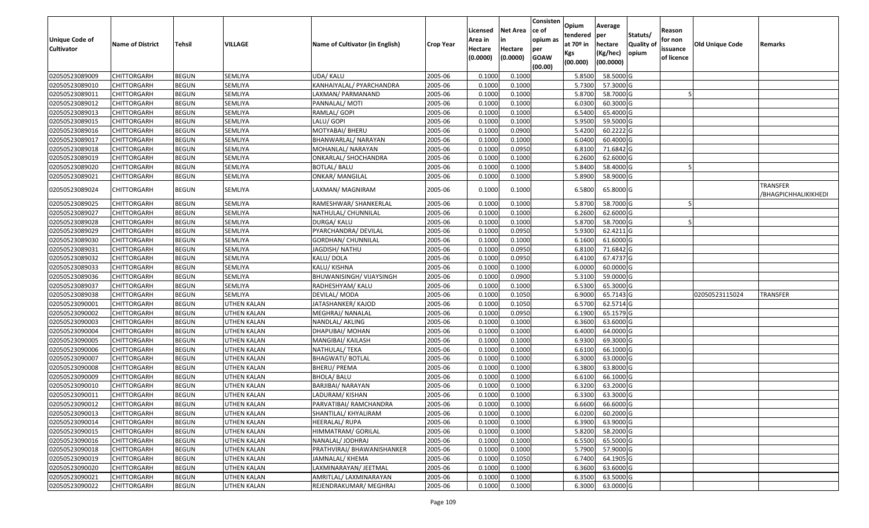| <b>Unique Code of</b> | <b>Name of District</b> | <b>Tehsil</b> | VILLAGE            | Name of Cultivator (in English) | <b>Crop Year</b> | Licensed<br>Area in | <b>Net Area</b><br>in | Consisten<br>ce of<br>opium as | Opium<br>tendered<br>at $70°$ in | Average<br>per<br>hectare | Statuts/<br><b>Quality o</b> | Reason<br>for non      | <b>Old Unique Code</b> | Remarks                                 |
|-----------------------|-------------------------|---------------|--------------------|---------------------------------|------------------|---------------------|-----------------------|--------------------------------|----------------------------------|---------------------------|------------------------------|------------------------|------------------------|-----------------------------------------|
| <b>Cultivator</b>     |                         |               |                    |                                 |                  | Hectare<br>(0.0000) | Hectare<br>(0.0000)   | per<br><b>GOAW</b><br>(00.00)  | Kgs<br>(00.000)                  | (Kg/hec)<br>(00.0000)     | opium                        | issuance<br>of licence |                        |                                         |
| 02050523089009        | CHITTORGARH             | <b>BEGUN</b>  | SEMLIYA            | UDA/ KALU                       | 2005-06          | 0.1000              | 0.1000                |                                | 5.8500                           | 58.5000G                  |                              |                        |                        |                                         |
| 02050523089010        | CHITTORGARH             | <b>BEGUN</b>  | SEMLIYA            | KANHAIYALAL/ PYARCHANDRA        | 2005-06          | 0.1000              | 0.1000                |                                | 5.7300                           | 57.3000 G                 |                              |                        |                        |                                         |
| 02050523089011        | CHITTORGARH             | <b>BEGUN</b>  | <b>SEMLIYA</b>     | LAXMAN/ PARMANAND               | 2005-06          | 0.1000              | 0.1000                |                                | 5.8700                           | 58.7000 G                 |                              |                        |                        |                                         |
| 02050523089012        | <b>CHITTORGARH</b>      | <b>BEGUN</b>  | SEMLIYA            | PANNALAL/ MOTI                  | 2005-06          | 0.1000              | 0.1000                |                                | 6.0300                           | 60.3000 G                 |                              |                        |                        |                                         |
| 02050523089013        | CHITTORGARH             | <b>BEGUN</b>  | <b>SEMLIYA</b>     | RAMLAL/ GOPI                    | 2005-06          | 0.1000              | 0.1000                |                                | 6.5400                           | 65.4000 G                 |                              |                        |                        |                                         |
| 02050523089015        | CHITTORGARH             | <b>BEGUN</b>  | SEMLIYA            | LALU/ GOPI                      | 2005-06          | 0.1000              | 0.1000                |                                | 5.9500                           | 59.5000 G                 |                              |                        |                        |                                         |
| 02050523089016        | CHITTORGARH             | <b>BEGUN</b>  | SEMLIYA            | MOTYABAI/ BHERU                 | 2005-06          | 0.1000              | 0.0900                |                                | 5.4200                           | 60.2222 G                 |                              |                        |                        |                                         |
| 02050523089017        | CHITTORGARH             | <b>BEGUN</b>  | <b>SEMLIYA</b>     | BHANWARLAL/ NARAYAN             | 2005-06          | 0.1000              | 0.1000                |                                | 6.0400                           | 60.4000G                  |                              |                        |                        |                                         |
| 02050523089018        | CHITTORGARH             | <b>BEGUN</b>  | <b>SEMLIYA</b>     | MOHANLAL/ NARAYAN               | 2005-06          | 0.1000              | 0.0950                |                                | 6.8100                           | 71.6842 G                 |                              |                        |                        |                                         |
| 02050523089019        | CHITTORGARH             | <b>BEGUN</b>  | SEMLIYA            | ONKARLAL/ SHOCHANDRA            | 2005-06          | 0.1000              | 0.1000                |                                | 6.2600                           | 62.6000 G                 |                              |                        |                        |                                         |
| 02050523089020        | CHITTORGARH             | <b>BEGUN</b>  | SEMLIYA            | <b>BOTLAL/ BALU</b>             | 2005-06          | 0.1000              | 0.1000                |                                | 5.8400                           | 58.4000 G                 |                              |                        |                        |                                         |
| 02050523089021        | CHITTORGARH             | <b>BEGUN</b>  | SEMLIYA            | <b>ONKAR/ MANGILAL</b>          | 2005-06          | 0.1000              | 0.1000                |                                | 5.8900                           | 58.9000 G                 |                              |                        |                        |                                         |
| 02050523089024        | CHITTORGARH             | <b>BEGUN</b>  | SEMLIYA            | LAXMAN/ MAGNIRAM                | 2005-06          | 0.1000              | 0.1000                |                                | 6.5800                           | 65.8000 G                 |                              |                        |                        | <b>TRANSFER</b><br>/BHAGPICHHALIKIKHEDI |
| 02050523089025        | CHITTORGARH             | <b>BEGUN</b>  | <b>SEMLIYA</b>     | RAMESHWAR/ SHANKERLAL           | 2005-06          | 0.1000              | 0.1000                |                                | 5.8700                           | 58.7000 G                 |                              |                        |                        |                                         |
| 02050523089027        | CHITTORGARH             | <b>BEGUN</b>  | <b>SEMLIYA</b>     | NATHULAL/ CHUNNILAL             | 2005-06          | 0.1000              | 0.1000                |                                | 6.2600                           | 62.6000G                  |                              |                        |                        |                                         |
| 02050523089028        | CHITTORGARH             | <b>BEGUN</b>  | SEMLIYA            | DURGA/ KALU                     | 2005-06          | 0.1000              | 0.1000                |                                | 5.8700                           | 58.7000 G                 |                              |                        |                        |                                         |
| 02050523089029        | CHITTORGARH             | <b>BEGUN</b>  | SEMLIYA            | PYARCHANDRA/ DEVILAL            | 2005-06          | 0.1000              | 0.0950                |                                | 5.9300                           | 62.4211 G                 |                              |                        |                        |                                         |
| 02050523089030        | CHITTORGARH             | <b>BEGUN</b>  | SEMLIYA            | GORDHAN/ CHUNNILAL              | 2005-06          | 0.1000              | 0.1000                |                                | 6.1600                           | 61.6000G                  |                              |                        |                        |                                         |
| 02050523089031        | CHITTORGARH             | <b>BEGUN</b>  | <b>SEMLIYA</b>     | JAGDISH/ NATHU                  | 2005-06          | 0.1000              | 0.0950                |                                | 6.8100                           | 71.6842 G                 |                              |                        |                        |                                         |
| 02050523089032        | CHITTORGARH             | <b>BEGUN</b>  | SEMLIYA            | KALU/DOLA                       | 2005-06          | 0.1000              | 0.0950                |                                | 6.4100                           | 67.4737 G                 |                              |                        |                        |                                         |
| 02050523089033        | CHITTORGARH             | <b>BEGUN</b>  | SEMLIYA            | KALU/ KISHNA                    | 2005-06          | 0.1000              | 0.1000                |                                | 6.0000                           | 60.0000 G                 |                              |                        |                        |                                         |
| 02050523089036        | CHITTORGARH             | <b>BEGUN</b>  | SEMLIYA            | BHUWANISINGH/ VIJAYSINGH        | 2005-06          | 0.1000              | 0.0900                |                                | 5.3100                           | 59.0000G                  |                              |                        |                        |                                         |
| 02050523089037        | CHITTORGARH             | <b>BEGUN</b>  | <b>SEMLIYA</b>     | RADHESHYAM/ KALU                | 2005-06          | 0.1000              | 0.1000                |                                | 6.5300                           | 65.3000G                  |                              |                        |                        |                                         |
| 02050523089038        | CHITTORGARH             | <b>BEGUN</b>  | SEMLIYA            | DEVILAL/ MODA                   | 2005-06          | 0.1000              | 0.1050                |                                | 6.9000                           | 65.7143 G                 |                              |                        | 02050523115024         | <b>TRANSFER</b>                         |
| 02050523090001        | CHITTORGARH             | <b>BEGUN</b>  | UTHEN KALAN        | JATASHANKER/KAJOD               | 2005-06          | 0.1000              | 0.1050                |                                | 6.5700                           | 62.5714 G                 |                              |                        |                        |                                         |
| 02050523090002        | CHITTORGARH             | <b>BEGUN</b>  | <b>UTHEN KALAN</b> | MEGHRAJ/ NANALAL                | 2005-06          | 0.1000              | 0.0950                |                                | 6.1900                           | 65.1579 G                 |                              |                        |                        |                                         |
| 02050523090003        | CHITTORGARH             | <b>BEGUN</b>  | UTHEN KALAN        | NANDLAL/ AKLING                 | 2005-06          | 0.1000              | 0.1000                |                                | 6.3600                           | 63.6000 G                 |                              |                        |                        |                                         |
| 02050523090004        | CHITTORGARH             | <b>BEGUN</b>  | <b>UTHEN KALAN</b> | DHAPUBAI/ MOHAN                 | 2005-06          | 0.1000              | 0.1000                |                                | 6.4000                           | 64.0000 G                 |                              |                        |                        |                                         |
| 02050523090005        | CHITTORGARH             | <b>BEGUN</b>  | UTHEN KALAN        | MANGIBAI/ KAILASH               | 2005-06          | 0.1000              | 0.1000                |                                | 6.9300                           | 69.3000 G                 |                              |                        |                        |                                         |
| 02050523090006        | CHITTORGARH             | <b>BEGUN</b>  | UTHEN KALAN        | NATHULAL/ TEKA                  | 2005-06          | 0.1000              | 0.1000                |                                | 6.6100                           | 66.1000G                  |                              |                        |                        |                                         |
| 02050523090007        | CHITTORGARH             | <b>BEGUN</b>  | UTHEN KALAN        | <b>BHAGWATI/ BOTLAL</b>         | 2005-06          | 0.1000              | 0.1000                |                                | 6.3000                           | 63.0000G                  |                              |                        |                        |                                         |
| 02050523090008        | CHITTORGARH             | <b>BEGUN</b>  | <b>UTHEN KALAN</b> | <b>BHERU/ PREMA</b>             | 2005-06          | 0.1000              | 0.1000                |                                | 6.3800                           | 63.8000 G                 |                              |                        |                        |                                         |
| 02050523090009        | <b>CHITTORGARH</b>      | <b>BEGUN</b>  | UTHEN KALAN        | BHOLA/ BALU                     | 2005-06          | 0.1000              | 0.1000                |                                | 6.6100                           | 66.1000 G                 |                              |                        |                        |                                         |
| 02050523090010        | CHITTORGARH             | <b>BEGUN</b>  | <b>UTHEN KALAN</b> | BARJIBAI/ NARAYAN               | 2005-06          | 0.1000              | 0.1000                |                                | 6.3200                           | 63.2000 G                 |                              |                        |                        |                                         |
| 02050523090011        | CHITTORGARH             | <b>BEGUN</b>  | UTHEN KALAN        | LADURAM/ KISHAN                 | 2005-06          | 0.1000              | 0.1000                |                                | 6.3300                           | 63.3000 G                 |                              |                        |                        |                                         |
| 02050523090012        | <b>CHITTORGARH</b>      | <b>BEGUN</b>  | <b>UTHEN KALAN</b> | PARVATIBAI/ RAMCHANDRA          | 2005-06          | 0.1000              | 0.1000                |                                | 6.6600                           | 66.6000 G                 |                              |                        |                        |                                         |
| 02050523090013        | <b>CHITTORGARH</b>      | <b>BEGUN</b>  | UTHEN KALAN        | SHANTILAL/ KHYALIRAM            | 2005-06          | 0.1000              | 0.1000                |                                | 6.0200                           | 60.2000 G                 |                              |                        |                        |                                         |
| 02050523090014        | <b>CHITTORGARH</b>      | <b>BEGUN</b>  | UTHEN KALAN        | HEERALAL/RUPA                   | 2005-06          | 0.1000              | 0.1000                |                                | 6.3900                           | 63.9000 G                 |                              |                        |                        |                                         |
| 02050523090015        | <b>CHITTORGARH</b>      | <b>BEGUN</b>  | UTHEN KALAN        | HIMMATRAM/ GORILAL              | 2005-06          | 0.1000              | 0.1000                |                                | 5.8200                           | 58.2000 G                 |                              |                        |                        |                                         |
| 02050523090016        | <b>CHITTORGARH</b>      | <b>BEGUN</b>  | <b>UTHEN KALAN</b> | NANALAL/ JODHRAJ                | 2005-06          | 0.1000              | 0.1000                |                                | 6.5500                           | 65.5000 G                 |                              |                        |                        |                                         |
| 02050523090018        | <b>CHITTORGARH</b>      | <b>BEGUN</b>  | <b>UTHEN KALAN</b> | PRATHVIRAJ/ BHAWANISHANKER      | 2005-06          | 0.1000              | 0.1000                |                                | 5.7900                           | 57.9000 G                 |                              |                        |                        |                                         |
| 02050523090019        | <b>CHITTORGARH</b>      | <b>BEGUN</b>  | UTHEN KALAN        | JAMNALAL/ KHEMA                 | 2005-06          | 0.1000              | 0.1050                |                                | 6.7400                           | 64.1905 G                 |                              |                        |                        |                                         |
| 02050523090020        | CHITTORGARH             | <b>BEGUN</b>  | UTHEN KALAN        | LAXMINARAYAN/ JEETMAL           | 2005-06          | 0.1000              | 0.1000                |                                | 6.3600                           | 63.6000 G                 |                              |                        |                        |                                         |
| 02050523090021        | <b>CHITTORGARH</b>      | <b>BEGUN</b>  | UTHEN KALAN        | AMRITLAL/ LAXMINARAYAN          | 2005-06          | 0.1000              | 0.1000                |                                | 6.3500                           | 63.5000 G                 |                              |                        |                        |                                         |
| 02050523090022        | <b>CHITTORGARH</b>      | <b>BEGUN</b>  | <b>UTHEN KALAN</b> | REJENDRAKUMAR/ MEGHRAJ          | 2005-06          | 0.1000              | 0.1000                |                                | 6.3000                           | 63.0000 G                 |                              |                        |                        |                                         |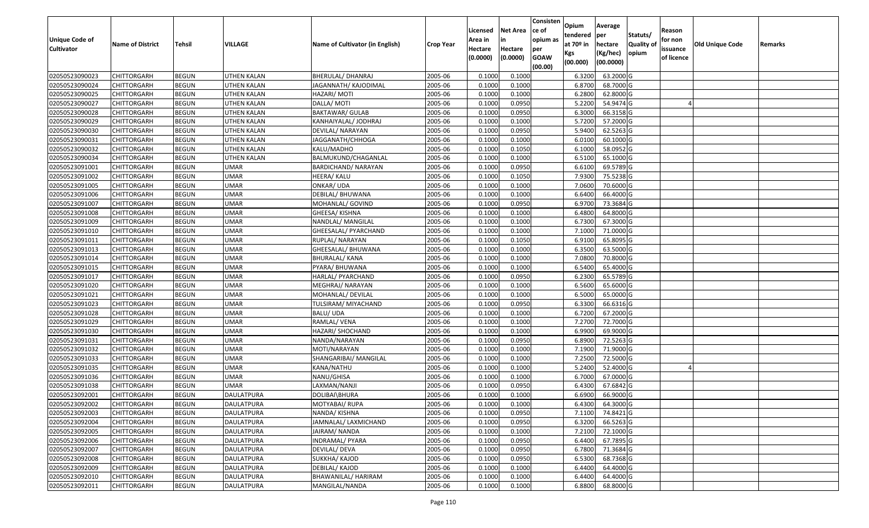| Unique Code of    | <b>Name of District</b> | <b>Tehsil</b> | VILLAGE            | Name of Cultivator (in English) | <b>Crop Year</b> | Licensed<br>Area in | <b>Net Area</b><br>in | Consisten<br>ce of<br>opium as | Opium<br>tendered<br>at $70°$ in | Average<br>per<br>hectare | Statuts/<br><b>Quality o</b> | Reason<br>for non      | Old Unique Code | Remarks |
|-------------------|-------------------------|---------------|--------------------|---------------------------------|------------------|---------------------|-----------------------|--------------------------------|----------------------------------|---------------------------|------------------------------|------------------------|-----------------|---------|
| <b>Cultivator</b> |                         |               |                    |                                 |                  | Hectare<br>(0.0000) | Hectare<br>(0.0000)   | per<br><b>GOAW</b><br>(00.00)  | Kgs<br>(00.000)                  | (Kg/hec)<br>(00.0000)     | opium                        | issuance<br>of licence |                 |         |
| 02050523090023    | CHITTORGARH             | <b>BEGUN</b>  | UTHEN KALAN        | <b>BHERULAL/ DHANRAJ</b>        | 2005-06          | 0.1000              | 0.1000                |                                | 6.3200                           | 63.2000 G                 |                              |                        |                 |         |
| 02050523090024    | CHITTORGARH             | <b>BEGUN</b>  | UTHEN KALAN        | JAGANNATH/ KAJODIMAL            | 2005-06          | 0.1000              | 0.1000                |                                | 6.8700                           | 68.7000 G                 |                              |                        |                 |         |
| 02050523090025    | CHITTORGARH             | <b>BEGUN</b>  | UTHEN KALAN        | HAZARI/ MOTI                    | 2005-06          | 0.1000              | 0.1000                |                                | 6.2800                           | 62.8000 G                 |                              |                        |                 |         |
| 02050523090027    | <b>CHITTORGARH</b>      | <b>BEGUN</b>  | <b>UTHEN KALAN</b> | DALLA/ MOTI                     | 2005-06          | 0.1000              | 0.0950                |                                | 5.2200                           | 54.9474 G                 |                              |                        |                 |         |
| 02050523090028    | CHITTORGARH             | <b>BEGUN</b>  | UTHEN KALAN        | <b>BAKTAWAR/ GULAB</b>          | 2005-06          | 0.1000              | 0.0950                |                                | 6.3000                           | 66.3158 G                 |                              |                        |                 |         |
| 02050523090029    | <b>CHITTORGARH</b>      | <b>BEGUN</b>  | <b>UTHEN KALAN</b> | KANHAIYALAL/ JODHRAJ            | 2005-06          | 0.1000              | 0.1000                |                                | 5.7200                           | 57.2000 G                 |                              |                        |                 |         |
| 02050523090030    | CHITTORGARH             | <b>BEGUN</b>  | UTHEN KALAN        | DEVILAL/ NARAYAN                | 2005-06          | 0.1000              | 0.0950                |                                | 5.9400                           | 62.5263 G                 |                              |                        |                 |         |
| 02050523090031    | <b>CHITTORGARH</b>      | <b>BEGUN</b>  | <b>UTHEN KALAN</b> | JAGGANATH/CHHOGA                | 2005-06          | 0.1000              | 0.1000                |                                | 6.0100                           | 60.1000G                  |                              |                        |                 |         |
| 02050523090032    | CHITTORGARH             | <b>BEGUN</b>  | UTHEN KALAN        | KALU/MADHO                      | 2005-06          | 0.1000              | 0.1050                |                                | 6.1000                           | 58.0952G                  |                              |                        |                 |         |
| 02050523090034    | <b>CHITTORGARH</b>      | <b>BEGUN</b>  | UTHEN KALAN        | BALMUKUND/CHAGANLAL             | 2005-06          | 0.1000              | 0.1000                |                                | 6.5100                           | 65.1000G                  |                              |                        |                 |         |
| 02050523091001    | CHITTORGARH             | <b>BEGUN</b>  | <b>UMAR</b>        | BARDICHAND/ NARAYAN             | 2005-06          | 0.1000              | 0.0950                |                                | 6.6100                           | 69.5789 G                 |                              |                        |                 |         |
| 02050523091002    | <b>CHITTORGARH</b>      | <b>BEGUN</b>  | <b>UMAR</b>        | HEERA/ KALU                     | 2005-06          | 0.1000              | 0.1050                |                                | 7.9300                           | 75.5238 G                 |                              |                        |                 |         |
| 02050523091005    | <b>CHITTORGARH</b>      | <b>BEGUN</b>  | <b>UMAR</b>        | ONKAR/ UDA                      | 2005-06          | 0.1000              | 0.1000                |                                | 7.0600                           | 70.6000 G                 |                              |                        |                 |         |
| 02050523091006    | <b>CHITTORGARH</b>      | <b>BEGUN</b>  | <b>UMAR</b>        | DEBILAL/ BHUWANA                | 2005-06          | 0.1000              | 0.1000                |                                | 6.6400                           | 66.4000 G                 |                              |                        |                 |         |
| 02050523091007    | <b>CHITTORGARH</b>      | <b>BEGUN</b>  | <b>UMAR</b>        | MOHANLAL/ GOVIND                | 2005-06          | 0.1000              | 0.0950                |                                | 6.9700                           | 73.3684 G                 |                              |                        |                 |         |
| 02050523091008    | CHITTORGARH             | <b>BEGUN</b>  | <b>UMAR</b>        | GHEESA/ KISHNA                  | 2005-06          | 0.1000              | 0.1000                |                                | 6.4800                           | 64.8000 G                 |                              |                        |                 |         |
| 02050523091009    | CHITTORGARH             | <b>BEGUN</b>  | <b>UMAR</b>        | NANDLAL/ MANGILAL               | 2005-06          | 0.1000              | 0.1000                |                                | 6.7300                           | 67.3000 G                 |                              |                        |                 |         |
| 02050523091010    | CHITTORGARH             | <b>BEGUN</b>  | <b>UMAR</b>        | GHEESALAL/ PYARCHAND            | 2005-06          | 0.1000              | 0.1000                |                                | 7.1000                           | 71.0000 G                 |                              |                        |                 |         |
| 02050523091011    | CHITTORGARH             | <b>BEGUN</b>  | <b>UMAR</b>        | RUPLAL/ NARAYAN                 | 2005-06          | 0.1000              | 0.1050                |                                | 6.9100                           | 65.8095 G                 |                              |                        |                 |         |
| 02050523091013    | CHITTORGARH             | <b>BEGUN</b>  | <b>UMAR</b>        | GHEESALAL/ BHUWANA              | 2005-06          | 0.1000              | 0.1000                |                                | 6.3500                           | 63.5000G                  |                              |                        |                 |         |
| 02050523091014    | CHITTORGARH             | <b>BEGUN</b>  | <b>UMAR</b>        | <b>BHURALAL/ KANA</b>           | 2005-06          | 0.1000              | 0.1000                |                                | 7.0800                           | 70.8000 G                 |                              |                        |                 |         |
| 02050523091015    | CHITTORGARH             | <b>BEGUN</b>  | <b>UMAR</b>        | PYARA/ BHUWANA                  | 2005-06          | 0.100               | 0.1000                |                                | 6.5400                           | 65.4000 G                 |                              |                        |                 |         |
| 02050523091017    | CHITTORGARH             | <b>BEGUN</b>  | <b>UMAR</b>        | HARLAL/ PYARCHAND               | 2005-06          | 0.1000              | 0.0950                |                                | 6.2300                           | 65.5789 G                 |                              |                        |                 |         |
| 02050523091020    | CHITTORGARH             | <b>BEGUN</b>  | <b>UMAR</b>        | MEGHRAJ/ NARAYAN                | 2005-06          | 0.100               | 0.1000                |                                | 6.5600                           | 65.6000G                  |                              |                        |                 |         |
| 02050523091021    | <b>CHITTORGARH</b>      | <b>BEGUN</b>  | <b>UMAR</b>        | MOHANLAL/ DEVILAL               | 2005-06          | 0.1000              | 0.1000                |                                | 6.5000                           | 65.0000G                  |                              |                        |                 |         |
| 02050523091023    | CHITTORGARH             | <b>BEGUN</b>  | <b>UMAR</b>        | TULSIRAM/ MIYACHAND             | 2005-06          | 0.1000              | 0.0950                |                                | 6.3300                           | 66.6316 G                 |                              |                        |                 |         |
| 02050523091028    | CHITTORGARH             | <b>BEGUN</b>  | <b>UMAR</b>        | <b>BALU/ UDA</b>                | 2005-06          | 0.1000              | 0.1000                |                                | 6.7200                           | 67.2000 G                 |                              |                        |                 |         |
| 02050523091029    | CHITTORGARH             | <b>BEGUN</b>  | <b>UMAR</b>        | RAMLAL/ VENA                    | 2005-06          | 0.1000              | 0.1000                |                                | 7.2700                           | 72.7000G                  |                              |                        |                 |         |
| 02050523091030    | CHITTORGARH             | <b>BEGUN</b>  | <b>UMAR</b>        | HAZARI/ SHOCHAND                | 2005-06          | 0.1000              | 0.1000                |                                | 6.9900                           | 69.9000 G                 |                              |                        |                 |         |
| 02050523091031    | CHITTORGARH             | <b>BEGUN</b>  | <b>UMAR</b>        | NANDA/NARAYAN                   | 2005-06          | 0.1000              | 0.0950                |                                | 6.8900                           | 72.5263 G                 |                              |                        |                 |         |
| 02050523091032    | CHITTORGARH             | <b>BEGUN</b>  | <b>UMAR</b>        | MOTI/NARAYAN                    | 2005-06          | 0.1000              | 0.1000                |                                | 7.1900                           | 71.9000 G                 |                              |                        |                 |         |
| 02050523091033    | CHITTORGARH             | <b>BEGUN</b>  | <b>UMAR</b>        | SHANGARIBAI/ MANGILAL           | 2005-06          | 0.1000              | 0.1000                |                                | 7.2500                           | 72.5000G                  |                              |                        |                 |         |
| 02050523091035    | CHITTORGARH             | <b>BEGUN</b>  | <b>UMAR</b>        | KANA/NATHU                      | 2005-06          | 0.1000              | 0.1000                |                                | 5.2400                           | 52.4000 G                 |                              |                        |                 |         |
| 02050523091036    | CHITTORGARH             | <b>BEGUN</b>  | <b>UMAR</b>        | NANU/GHISA                      | 2005-06          | 0.1000              | 0.1000                |                                | 6.7000                           | 67.0000G                  |                              |                        |                 |         |
| 02050523091038    | CHITTORGARH             | <b>BEGUN</b>  | <b>UMAR</b>        | LAXMAN/NANJI                    | 2005-06          | 0.1000              | 0.0950                |                                | 6.4300                           | 67.6842 G                 |                              |                        |                 |         |
| 02050523092001    | CHITTORGARH             | <b>BEGUN</b>  | <b>DAULATPURA</b>  | DOLIBAI\BHURA                   | 2005-06          | 0.1000              | 0.1000                |                                | 6.6900                           | 66.9000 G                 |                              |                        |                 |         |
| 02050523092002    | <b>CHITTORGARH</b>      | <b>BEGUN</b>  | DAULATPURA         | MOTYABAI/ RUPA                  | 2005-06          | 0.1000              | 0.1000                |                                | 6.4300                           | 64.3000 G                 |                              |                        |                 |         |
| 02050523092003    | <b>CHITTORGARH</b>      | <b>BEGUN</b>  | DAULATPURA         | NANDA/KISHNA                    | 2005-06          | 0.1000              | 0.0950                |                                | 7.1100                           | 74.8421 G                 |                              |                        |                 |         |
| 02050523092004    | <b>CHITTORGARH</b>      | <b>BEGUN</b>  | DAULATPURA         | JAMNALAL/ LAXMICHAND            | 2005-06          | 0.1000              | 0.0950                |                                | 6.3200                           | 66.5263 G                 |                              |                        |                 |         |
| 02050523092005    | <b>CHITTORGARH</b>      | <b>BEGUN</b>  | DAULATPURA         | JAIRAM/ NANDA                   | 2005-06          | 0.1000              | 0.1000                |                                | 7.2100                           | 72.1000 G                 |                              |                        |                 |         |
| 02050523092006    | CHITTORGARH             | <b>BEGUN</b>  | DAULATPURA         | INDRAMAL/ PYARA                 | 2005-06          | 0.1000              | 0.0950                |                                | 6.4400                           | 67.7895 G                 |                              |                        |                 |         |
| 02050523092007    | <b>CHITTORGARH</b>      | <b>BEGUN</b>  | <b>DAULATPURA</b>  | DEVILAL/ DEVA                   | 2005-06          | 0.1000              | 0.0950                |                                | 6.7800                           | 71.3684 G                 |                              |                        |                 |         |
| 02050523092008    | <b>CHITTORGARH</b>      | <b>BEGUN</b>  | DAULATPURA         | SUKKHA/ KAJOD                   | 2005-06          | 0.1000              | 0.0950                |                                | 6.5300                           | 68.7368 G                 |                              |                        |                 |         |
| 02050523092009    | <b>CHITTORGARH</b>      | <b>BEGUN</b>  | DAULATPURA         | DEBILAL/ KAJOD                  | 2005-06          | 0.1000              | 0.1000                |                                | 6.4400                           | 64.4000 G                 |                              |                        |                 |         |
| 02050523092010    | <b>CHITTORGARH</b>      | <b>BEGUN</b>  | DAULATPURA         | BHAWANILAL/ HARIRAM             | 2005-06          | 0.1000              | 0.1000                |                                | 6.4400                           | 64.4000 G                 |                              |                        |                 |         |
| 02050523092011    | <b>CHITTORGARH</b>      | <b>BEGUN</b>  | DAULATPURA         | MANGILAL/NANDA                  | 2005-06          | 0.1000              | 0.1000                |                                | 6.8800                           | 68.8000 G                 |                              |                        |                 |         |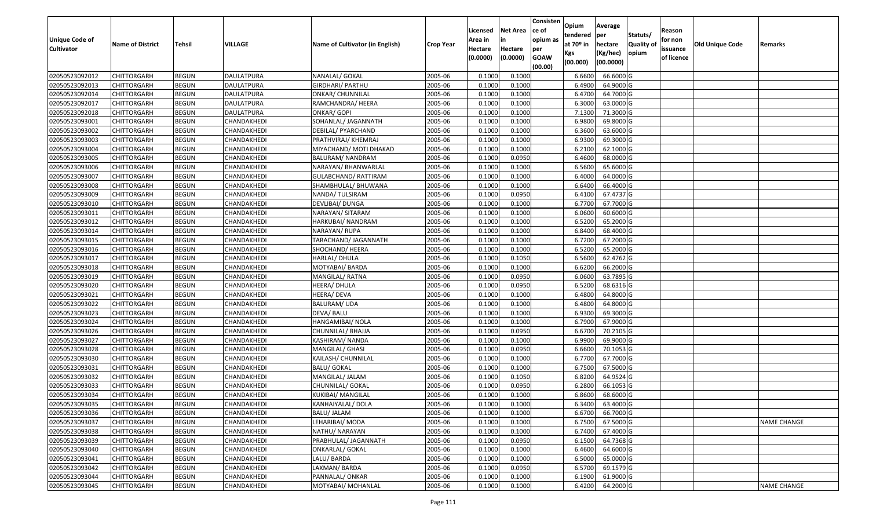| <b>Unique Code of</b><br><b>Cultivator</b> | <b>Name of District</b> | <b>Tehsil</b> | VILLAGE           | Name of Cultivator (in English) | <b>Crop Year</b> | Licensed<br>Area in<br>Hectare | <b>Net Area</b><br>in<br>Hectare | Consisten<br>ce of<br>opium as<br>per | Opium<br>tendered<br>at 70º in | Average<br>per<br>hectare | Statuts/<br>Quality of | Reason<br>for non<br>issuance | Old Unique Code | Remarks            |
|--------------------------------------------|-------------------------|---------------|-------------------|---------------------------------|------------------|--------------------------------|----------------------------------|---------------------------------------|--------------------------------|---------------------------|------------------------|-------------------------------|-----------------|--------------------|
|                                            |                         |               |                   |                                 |                  | (0.0000)                       | (0.0000)                         | <b>GOAW</b><br>(00.00)                | Kgs<br>(00.000)                | (Kg/hec)<br>(00.0000)     | opium                  | of licence                    |                 |                    |
| 02050523092012                             | <b>CHITTORGARH</b>      | <b>BEGUN</b>  | <b>DAULATPURA</b> | NANALAL/ GOKAL                  | 2005-06          | 0.1000                         | 0.1000                           |                                       | 6.6600                         | 66.6000 G                 |                        |                               |                 |                    |
| 02050523092013                             | <b>CHITTORGARH</b>      | <b>BEGUN</b>  | <b>DAULATPURA</b> | <b>GIRDHARI/ PARTHU</b>         | 2005-06          | 0.1000                         | 0.1000                           |                                       | 6.4900                         | 64.9000 G                 |                        |                               |                 |                    |
| 02050523092014                             | <b>CHITTORGARH</b>      | <b>BEGUN</b>  | DAULATPURA        | ONKAR/ CHUNNILAL                | 2005-06          | 0.1000                         | 0.1000                           |                                       | 6.4700                         | 64.7000 G                 |                        |                               |                 |                    |
| 02050523092017                             | <b>CHITTORGARH</b>      | <b>BEGUN</b>  | <b>DAULATPURA</b> | RAMCHANDRA/ HEERA               | 2005-06          | 0.1000                         | 0.1000                           |                                       | 6.3000                         | 63.0000 G                 |                        |                               |                 |                    |
| 02050523092018                             | <b>CHITTORGARH</b>      | <b>BEGUN</b>  | <b>DAULATPURA</b> | ONKAR/ GOPI                     | 2005-06          | 0.1000                         | 0.1000                           |                                       | 7.1300                         | 71.3000 G                 |                        |                               |                 |                    |
| 02050523093001                             | <b>CHITTORGARH</b>      | <b>BEGUN</b>  | CHANDAKHEDI       | SOHANLAL/ JAGANNATH             | 2005-06          | 0.1000                         | 0.1000                           |                                       | 6.9800                         | 69.8000 G                 |                        |                               |                 |                    |
| 02050523093002                             | CHITTORGARH             | <b>BEGUN</b>  | CHANDAKHEDI       | DEBILAL/ PYARCHAND              | 2005-06          | 0.1000                         | 0.1000                           |                                       | 6.3600                         | 63.6000 G                 |                        |                               |                 |                    |
| 02050523093003                             | <b>CHITTORGARH</b>      | <b>BEGUN</b>  | CHANDAKHEDI       | PRATHVIRAJ/ KHEMRAJ             | 2005-06          | 0.1000                         | 0.1000                           |                                       | 6.9300                         | 69.3000 G                 |                        |                               |                 |                    |
| 02050523093004                             | <b>CHITTORGARH</b>      | <b>BEGUN</b>  | CHANDAKHEDI       | MIYACHAND/ MOTI DHAKAD          | 2005-06          | 0.1000                         | 0.1000                           |                                       | 6.2100                         | 62.1000 G                 |                        |                               |                 |                    |
| 02050523093005                             | <b>CHITTORGARH</b>      | <b>BEGUN</b>  | CHANDAKHEDI       | BALURAM/ NANDRAM                | 2005-06          | 0.1000                         | 0.0950                           |                                       | 6.4600                         | 68.0000 G                 |                        |                               |                 |                    |
| 02050523093006                             | <b>CHITTORGARH</b>      | <b>BEGUN</b>  | CHANDAKHEDI       | NARAYAN/ BHANWARLAL             | 2005-06          | 0.1000                         | 0.1000                           |                                       | 6.5600                         | 65.6000 G                 |                        |                               |                 |                    |
| 02050523093007                             | <b>CHITTORGARH</b>      | <b>BEGUN</b>  | CHANDAKHEDI       | <b>GULABCHAND/ RATTIRAM</b>     | 2005-06          | 0.1000                         | 0.1000                           |                                       | 6.4000                         | 64.0000 G                 |                        |                               |                 |                    |
| 02050523093008                             | <b>CHITTORGARH</b>      | <b>BEGUN</b>  | CHANDAKHEDI       | SHAMBHULAL/ BHUWANA             | 2005-06          | 0.1000                         | 0.1000                           |                                       | 6.6400                         | 66.4000 G                 |                        |                               |                 |                    |
| 02050523093009                             | <b>CHITTORGARH</b>      | <b>BEGUN</b>  | CHANDAKHEDI       | NANDA/ TULSIRAM                 | 2005-06          | 0.1000                         | 0.0950                           |                                       | 6.4100                         | 67.4737 G                 |                        |                               |                 |                    |
| 02050523093010                             | CHITTORGARH             | <b>BEGUN</b>  | CHANDAKHEDI       | DEVLIBAI/ DUNGA                 | 2005-06          | 0.1000                         | 0.1000                           |                                       | 6.7700                         | 67.7000 G                 |                        |                               |                 |                    |
| 02050523093011                             | <b>CHITTORGARH</b>      | <b>BEGUN</b>  | CHANDAKHEDI       | NARAYAN/ SITARAM                | 2005-06          | 0.1000                         | 0.1000                           |                                       | 6.0600                         | 60.6000 G                 |                        |                               |                 |                    |
| 02050523093012                             | <b>CHITTORGARH</b>      | <b>BEGUN</b>  | CHANDAKHEDI       | HARKUBAI/ NANDRAM               | 2005-06          | 0.1000                         | 0.1000                           |                                       | 6.5200                         | 65.2000 G                 |                        |                               |                 |                    |
| 02050523093014                             | <b>CHITTORGARH</b>      | <b>BEGUN</b>  | CHANDAKHEDI       | NARAYAN/RUPA                    | 2005-06          | 0.1000                         | 0.1000                           |                                       | 6.8400                         | 68.4000 G                 |                        |                               |                 |                    |
| 02050523093015                             | <b>CHITTORGARH</b>      | <b>BEGUN</b>  | CHANDAKHEDI       | TARACHAND/ JAGANNATH            | 2005-06          | 0.1000                         | 0.1000                           |                                       | 6.7200                         | 67.2000 G                 |                        |                               |                 |                    |
| 02050523093016                             | <b>CHITTORGARH</b>      | <b>BEGUN</b>  | CHANDAKHEDI       | SHOCHAND/ HEERA                 | 2005-06          | 0.1000                         | 0.1000                           |                                       | 6.5200                         | 65.2000 G                 |                        |                               |                 |                    |
| 02050523093017                             | <b>CHITTORGARH</b>      | <b>BEGUN</b>  | CHANDAKHEDI       | HARLAL/ DHULA                   | 2005-06          | 0.1000                         | 0.1050                           |                                       | 6.5600                         | 62.4762 G                 |                        |                               |                 |                    |
| 02050523093018                             | <b>CHITTORGARH</b>      | <b>BEGUN</b>  | CHANDAKHEDI       | MOTYABAI/ BARDA                 | 2005-06          | 0.1000                         | 0.1000                           |                                       | 6.6200                         | 66.2000 G                 |                        |                               |                 |                    |
| 02050523093019                             | <b>CHITTORGARH</b>      | <b>BEGUN</b>  | CHANDAKHEDI       | MANGILAL/ RATNA                 | 2005-06          | 0.1000                         | 0.0950                           |                                       | 6.0600                         | 63.7895 G                 |                        |                               |                 |                    |
| 02050523093020                             | <b>CHITTORGARH</b>      | <b>BEGUN</b>  | CHANDAKHEDI       | HEERA/ DHULA                    | 2005-06          | 0.1000                         | 0.0950                           |                                       | 6.5200                         | 68.6316 G                 |                        |                               |                 |                    |
| 02050523093021                             | <b>CHITTORGARH</b>      | <b>BEGUN</b>  | CHANDAKHEDI       | HEERA/ DEVA                     | 2005-06          | 0.1000                         | 0.1000                           |                                       | 6.4800                         | 64.8000 G                 |                        |                               |                 |                    |
| 02050523093022                             | <b>CHITTORGARH</b>      | <b>BEGUN</b>  | CHANDAKHEDI       | <b>BALURAM/ UDA</b>             | 2005-06          | 0.1000                         | 0.1000                           |                                       | 6.4800                         | 64.8000 G                 |                        |                               |                 |                    |
| 02050523093023                             | <b>CHITTORGARH</b>      | <b>BEGUN</b>  | CHANDAKHEDI       | DEVA/ BALU                      | 2005-06          | 0.1000                         | 0.1000                           |                                       | 6.9300                         | 69.3000 G                 |                        |                               |                 |                    |
| 02050523093024                             | <b>CHITTORGARH</b>      | <b>BEGUN</b>  | CHANDAKHEDI       | HANGAMIBAI/ NOLA                | 2005-06          | 0.1000                         | 0.1000                           |                                       | 6.7900                         | 67.9000 G                 |                        |                               |                 |                    |
| 02050523093026                             | <b>CHITTORGARH</b>      | <b>BEGUN</b>  | CHANDAKHEDI       | CHUNNILAL/ BHAJJA               | 2005-06          | 0.1000                         | 0.0950                           |                                       | 6.6700                         | 70.2105 G                 |                        |                               |                 |                    |
| 02050523093027                             | <b>CHITTORGARH</b>      | <b>BEGUN</b>  | CHANDAKHEDI       | KASHIRAM/ NANDA                 | 2005-06          | 0.1000                         | 0.1000                           |                                       | 6.9900                         | 69.9000 G                 |                        |                               |                 |                    |
| 02050523093028                             | <b>CHITTORGARH</b>      | <b>BEGUN</b>  | CHANDAKHEDI       | MANGILAL/ GHASI                 | 2005-06          | 0.1000                         | 0.0950                           |                                       | 6.6600                         | 70.1053 G                 |                        |                               |                 |                    |
| 02050523093030                             | CHITTORGARH             | <b>BEGUN</b>  | CHANDAKHEDI       | KAILASH/ CHUNNILAL              | 2005-06          | 0.1000                         | 0.1000                           |                                       | 6.7700                         | 67.7000 G                 |                        |                               |                 |                    |
| 02050523093031                             | <b>CHITTORGARH</b>      | <b>BEGUN</b>  | CHANDAKHEDI       | <b>BALU/ GOKAL</b>              | 2005-06          | 0.1000                         | 0.1000                           |                                       | 6.7500                         | 67.5000 G                 |                        |                               |                 |                    |
| 02050523093032                             | <b>CHITTORGARH</b>      | <b>BEGUN</b>  | CHANDAKHEDI       | MANGILAL/ JALAM                 | 2005-06          | 0.1000                         | 0.1050                           |                                       | 6.8200                         | 64.9524 G                 |                        |                               |                 |                    |
| 02050523093033                             | <b>CHITTORGARH</b>      | <b>BEGUN</b>  | CHANDAKHEDI       | CHUNNILAL/ GOKAL                | 2005-06          | 0.1000                         | 0.0950                           |                                       | 6.2800                         | 66.1053 G                 |                        |                               |                 |                    |
| 02050523093034                             | <b>CHITTORGARH</b>      | <b>BEGUN</b>  | CHANDAKHEDI       | KUKIBAI/ MANGILAL               | 2005-06          | 0.1000                         | 0.1000                           |                                       | 6.8600                         | 68.6000 G                 |                        |                               |                 |                    |
| 02050523093035                             | <b>CHITTORGARH</b>      | <b>BEGUN</b>  | CHANDAKHEDI       | KANHAIYALAL/ DOLA               | 2005-06          | 0.1000                         | 0.1000                           |                                       | 6.3400                         | 63.4000 G                 |                        |                               |                 |                    |
| 02050523093036                             | <b>CHITTORGARH</b>      | <b>BEGUN</b>  | CHANDAKHEDI       | BALU/ JALAM                     | 2005-06          | 0.1000                         | 0.1000                           |                                       | 6.6700                         | 66.7000 G                 |                        |                               |                 |                    |
| 02050523093037                             | <b>CHITTORGARH</b>      | <b>BEGUN</b>  | CHANDAKHEDI       | LEHARIBAI/ MODA                 | 2005-06          | 0.1000                         | 0.1000                           |                                       | 6.7500                         | 67.5000 G                 |                        |                               |                 | <b>NAME CHANGE</b> |
| 02050523093038                             | <b>CHITTORGARH</b>      | <b>BEGUN</b>  | CHANDAKHEDI       | NATHU/ NARAYAN                  | 2005-06          | 0.1000                         | 0.1000                           |                                       | 6.7400                         | 67.4000 G                 |                        |                               |                 |                    |
| 02050523093039                             | <b>CHITTORGARH</b>      | <b>BEGUN</b>  | CHANDAKHEDI       | PRABHULAL/ JAGANNATH            | 2005-06          | 0.1000                         | 0.0950                           |                                       | 6.1500                         | 64.7368 G                 |                        |                               |                 |                    |
| 02050523093040                             | <b>CHITTORGARH</b>      | <b>BEGUN</b>  | CHANDAKHEDI       | <b>ONKARLAL/ GOKAL</b>          | 2005-06          | 0.1000                         | 0.1000                           |                                       | 6.4600                         | 64.6000 G                 |                        |                               |                 |                    |
| 02050523093041                             | <b>CHITTORGARH</b>      | <b>BEGUN</b>  | CHANDAKHEDI       | LALU/ BARDA                     | 2005-06          | 0.1000                         | 0.1000                           |                                       | 6.5000                         | 65.0000 G                 |                        |                               |                 |                    |
| 02050523093042                             | <b>CHITTORGARH</b>      | <b>BEGUN</b>  | CHANDAKHEDI       | LAXMAN/BARDA                    | 2005-06          | 0.1000                         | 0.0950                           |                                       | 6.5700                         | 69.1579 G                 |                        |                               |                 |                    |
| 02050523093044                             | <b>CHITTORGARH</b>      | <b>BEGUN</b>  | CHANDAKHEDI       | PANNALAL/ ONKAR                 | 2005-06          | 0.1000                         | 0.1000                           |                                       | 6.1900                         | 61.9000 G                 |                        |                               |                 |                    |
| 02050523093045                             | <b>CHITTORGARH</b>      | <b>BEGUN</b>  | CHANDAKHEDI       | MOTYABAI/ MOHANLAL              | 2005-06          | 0.1000                         | 0.1000                           |                                       | 6.4200                         | 64.2000 G                 |                        |                               |                 | <b>NAME CHANGE</b> |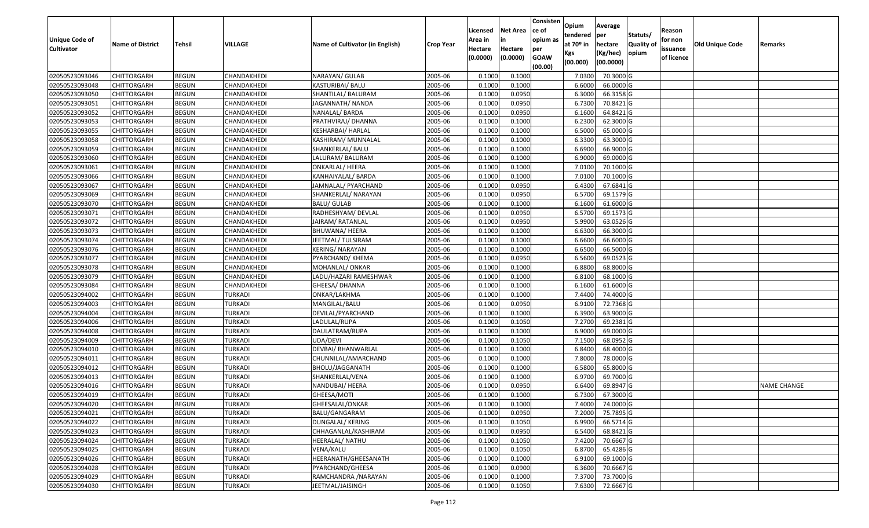| Unique Code of    | <b>Name of District</b> | <b>Tehsil</b> | VILLAGE        | Name of Cultivator (in English) | <b>Crop Year</b> | Licensed<br>Area in | <b>Net Area</b><br>in | Consisten<br>ce of<br>opium as | Opium<br>tendered<br>at $70°$ in | Average<br>per<br>hectare | Statuts/<br><b>Quality o</b> | Reason<br>for non      | <b>Old Unique Code</b> | Remarks            |
|-------------------|-------------------------|---------------|----------------|---------------------------------|------------------|---------------------|-----------------------|--------------------------------|----------------------------------|---------------------------|------------------------------|------------------------|------------------------|--------------------|
| <b>Cultivator</b> |                         |               |                |                                 |                  | Hectare<br>(0.0000) | Hectare<br>(0.0000)   | per<br><b>GOAW</b><br>(00.00)  | Kgs<br>(00.000)                  | (Kg/hec)<br>(00.0000)     | opium                        | issuance<br>of licence |                        |                    |
| 02050523093046    | <b>CHITTORGARH</b>      | <b>BEGUN</b>  | CHANDAKHEDI    | NARAYAN/ GULAB                  | 2005-06          | 0.1000              | 0.1000                |                                | 7.0300                           | 70.3000 G                 |                              |                        |                        |                    |
| 02050523093048    | CHITTORGARH             | <b>BEGUN</b>  | CHANDAKHEDI    | KASTURIBAI/ BALU                | 2005-06          | 0.1000              | 0.1000                |                                | 6.6000                           | 66.0000G                  |                              |                        |                        |                    |
| 02050523093050    | CHITTORGARH             | <b>BEGUN</b>  | CHANDAKHEDI    | SHANTILAL/ BALURAM              | 2005-06          | 0.1000              | 0.0950                |                                | 6.3000                           | 66.3158 G                 |                              |                        |                        |                    |
| 02050523093051    | <b>CHITTORGARH</b>      | <b>BEGUN</b>  | CHANDAKHEDI    | JAGANNATH/ NANDA                | 2005-06          | 0.1000              | 0.0950                |                                | 6.7300                           | 70.8421 G                 |                              |                        |                        |                    |
| 02050523093052    | CHITTORGARH             | <b>BEGUN</b>  | CHANDAKHEDI    | NANALAL/BARDA                   | 2005-06          | 0.1000              | 0.0950                |                                | 6.1600                           | 64.8421 G                 |                              |                        |                        |                    |
| 02050523093053    | <b>CHITTORGARH</b>      | <b>BEGUN</b>  | CHANDAKHEDI    | PRATHVIRAJ/ DHANNA              | 2005-06          | 0.1000              | 0.1000                |                                | 6.2300                           | 62.3000 G                 |                              |                        |                        |                    |
| 02050523093055    | CHITTORGARH             | <b>BEGUN</b>  | CHANDAKHEDI    | KESHARBAI/ HARLAL               | 2005-06          | 0.1000              | 0.1000                |                                | 6.5000                           | 65.0000G                  |                              |                        |                        |                    |
| 02050523093058    | <b>CHITTORGARH</b>      | <b>BEGUN</b>  | CHANDAKHEDI    | KASHIRAM/ MUNNALAL              | 2005-06          | 0.1000              | 0.1000                |                                | 6.3300                           | 63.3000 G                 |                              |                        |                        |                    |
| 02050523093059    | CHITTORGARH             | <b>BEGUN</b>  | CHANDAKHEDI    | SHANKERLAL/ BALU                | 2005-06          | 0.1000              | 0.1000                |                                | 6.6900                           | 66.9000 G                 |                              |                        |                        |                    |
| 02050523093060    | <b>CHITTORGARH</b>      | <b>BEGUN</b>  | CHANDAKHEDI    | LALURAM/ BALURAM                | 2005-06          | 0.1000              | 0.1000                |                                | 6.9000                           | 69.0000 G                 |                              |                        |                        |                    |
| 02050523093061    | CHITTORGARH             | <b>BEGUN</b>  | CHANDAKHEDI    | ONKARLAL/ HEERA                 | 2005-06          | 0.1000              | 0.1000                |                                | 7.0100                           | 70.1000G                  |                              |                        |                        |                    |
| 02050523093066    | <b>CHITTORGARH</b>      | <b>BEGUN</b>  | CHANDAKHEDI    | KANHAIYALAL/ BARDA              | 2005-06          | 0.1000              | 0.1000                |                                | 7.0100                           | 70.1000 G                 |                              |                        |                        |                    |
| 02050523093067    | <b>CHITTORGARH</b>      | <b>BEGUN</b>  | CHANDAKHEDI    | JAMNALAL/ PYARCHAND             | 2005-06          | 0.1000              | 0.0950                |                                | 6.4300                           | 67.6841 G                 |                              |                        |                        |                    |
| 02050523093069    | <b>CHITTORGARH</b>      | <b>BEGUN</b>  | CHANDAKHEDI    | SHANKERLAL/ NARAYAN             | 2005-06          | 0.1000              | 0.0950                |                                | 6.5700                           | 69.1579 G                 |                              |                        |                        |                    |
| 02050523093070    | <b>CHITTORGARH</b>      | <b>BEGUN</b>  | CHANDAKHEDI    | BALU/ GULAB                     | 2005-06          | 0.1000              | 0.1000                |                                | 6.1600                           | 61.6000G                  |                              |                        |                        |                    |
| 02050523093071    | CHITTORGARH             | <b>BEGUN</b>  | CHANDAKHEDI    | RADHESHYAM/ DEVLAL              | 2005-06          | 0.1000              | 0.0950                |                                | 6.5700                           | 69.1573 G                 |                              |                        |                        |                    |
| 02050523093072    | CHITTORGARH             | <b>BEGUN</b>  | CHANDAKHEDI    | JAIRAM/RATANLAL                 | 2005-06          | 0.1000              | 0.0950                |                                | 5.9900                           | 63.0526 G                 |                              |                        |                        |                    |
| 02050523093073    | CHITTORGARH             | <b>BEGUN</b>  | CHANDAKHEDI    | BHUWANA/ HEERA                  | 2005-06          | 0.1000              | 0.1000                |                                | 6.6300                           | 66.3000 G                 |                              |                        |                        |                    |
| 02050523093074    | CHITTORGARH             | <b>BEGUN</b>  | CHANDAKHEDI    | JEETMAL/TULSIRAM                | 2005-06          | 0.100               | 0.1000                |                                | 6.6600                           | 66.6000 G                 |                              |                        |                        |                    |
| 02050523093076    | CHITTORGARH             | <b>BEGUN</b>  | CHANDAKHEDI    | KERING/NARAYAN                  | 2005-06          | 0.1000              | 0.1000                |                                | 6.6500                           | 66.5000G                  |                              |                        |                        |                    |
| 02050523093077    | CHITTORGARH             | <b>BEGUN</b>  | CHANDAKHEDI    | PYARCHAND/ KHEMA                | 2005-06          | 0.1000              | 0.0950                |                                | 6.5600                           | 69.0523 G                 |                              |                        |                        |                    |
| 02050523093078    | CHITTORGARH             | <b>BEGUN</b>  | CHANDAKHEDI    | MOHANLAL/ ONKAR                 | 2005-06          | 0.100               | 0.1000                |                                | 6.8800                           | 68.8000 G                 |                              |                        |                        |                    |
| 02050523093079    | CHITTORGARH             | <b>BEGUN</b>  | CHANDAKHEDI    | LADU/HAZARI RAMESHWAR           | 2005-06          | 0.1000              | 0.1000                |                                | 6.8100                           | 68.1000 G                 |                              |                        |                        |                    |
| 02050523093084    | CHITTORGARH             | <b>BEGUN</b>  | CHANDAKHEDI    | GHEESA/ DHANNA                  | 2005-06          | 0.100               | 0.1000                |                                | 6.1600                           | 61.6000G                  |                              |                        |                        |                    |
| 02050523094002    | <b>CHITTORGARH</b>      | <b>BEGUN</b>  | <b>TURKADI</b> | ONKAR/LAKHMA                    | 2005-06          | 0.1000              | 0.1000                |                                | 7.4400                           | 74.4000 G                 |                              |                        |                        |                    |
| 02050523094003    | CHITTORGARH             | <b>BEGUN</b>  | <b>TURKADI</b> | MANGILAL/BALU                   | 2005-06          | 0.1000              | 0.0950                |                                | 6.9100                           | 72.7368 G                 |                              |                        |                        |                    |
| 02050523094004    | <b>CHITTORGARH</b>      | <b>BEGUN</b>  | <b>TURKADI</b> | DEVILAL/PYARCHAND               | 2005-06          | 0.1000              | 0.1000                |                                | 6.3900                           | 63.9000 G                 |                              |                        |                        |                    |
| 02050523094006    | CHITTORGARH             | <b>BEGUN</b>  | <b>TURKADI</b> | LADULAL/RUPA                    | 2005-06          | 0.1000              | 0.1050                |                                | 7.2700                           | 69.2381 G                 |                              |                        |                        |                    |
| 02050523094008    | <b>CHITTORGARH</b>      | <b>BEGUN</b>  | <b>TURKADI</b> | DAULATRAM/RUPA                  | 2005-06          | 0.1000              | 0.1000                |                                | 6.9000                           | 69.0000G                  |                              |                        |                        |                    |
| 02050523094009    | <b>CHITTORGARH</b>      | <b>BEGUN</b>  | <b>TURKADI</b> | UDA/DEVI                        | 2005-06          | 0.1000              | 0.1050                |                                | 7.1500                           | 68.0952 G                 |                              |                        |                        |                    |
| 02050523094010    | CHITTORGARH             | <b>BEGUN</b>  | <b>TURKADI</b> | DEVBAI/ BHANWARLAL              | 2005-06          | 0.1000              | 0.1000                |                                | 6.8400                           | 68.4000 G                 |                              |                        |                        |                    |
| 02050523094011    | CHITTORGARH             | <b>BEGUN</b>  | <b>TURKADI</b> | CHUNNILAL/AMARCHAND             | 2005-06          | 0.1000              | 0.1000                |                                | 7.8000                           | 78.0000G                  |                              |                        |                        |                    |
| 02050523094012    | CHITTORGARH             | <b>BEGUN</b>  | <b>TURKADI</b> | BHOLU/JAGGANATH                 | 2005-06          | 0.1000              | 0.1000                |                                | 6.5800                           | 65.8000 G                 |                              |                        |                        |                    |
| 02050523094013    | CHITTORGARH             | <b>BEGUN</b>  | TURKADI        | SHANKERLAL/VENA                 | 2005-06          | 0.1000              | 0.1000                |                                | 6.9700                           | 69.7000 G                 |                              |                        |                        |                    |
| 02050523094016    | CHITTORGARH             | <b>BEGUN</b>  | <b>TURKADI</b> | NANDUBAI/ HEERA                 | 2005-06          | 0.1000              | 0.0950                |                                | 6.6400                           | 69.8947 G                 |                              |                        |                        | <b>NAME CHANGE</b> |
| 02050523094019    | CHITTORGARH             | <b>BEGUN</b>  | <b>TURKADI</b> | GHEESA/MOTI                     | 2005-06          | 0.1000              | 0.1000                |                                | 6.7300                           | 67.3000G                  |                              |                        |                        |                    |
| 02050523094020    | <b>CHITTORGARH</b>      | <b>BEGUN</b>  | <b>TURKADI</b> | GHEESALAL/ONKAR                 | 2005-06          | 0.1000              | 0.1000                |                                |                                  | 7.4000 74.0000 G          |                              |                        |                        |                    |
| 02050523094021    | <b>CHITTORGARH</b>      | <b>BEGUN</b>  | TURKADI        | BALU/GANGARAM                   | 2005-06          | 0.1000              | 0.0950                |                                | 7.2000                           | 75.7895 G                 |                              |                        |                        |                    |
| 02050523094022    | <b>CHITTORGARH</b>      | <b>BEGUN</b>  | <b>TURKADI</b> | DUNGALAL/ KERING                | 2005-06          | 0.1000              | 0.1050                |                                | 6.9900                           | 66.5714 G                 |                              |                        |                        |                    |
| 02050523094023    | <b>CHITTORGARH</b>      | <b>BEGUN</b>  | <b>TURKADI</b> | CHHAGANLAL/KASHIRAM             | 2005-06          | 0.1000              | 0.0950                |                                | 6.5400                           | 68.8421 G                 |                              |                        |                        |                    |
| 02050523094024    | <b>CHITTORGARH</b>      | <b>BEGUN</b>  | <b>TURKADI</b> | HEERALAL/ NATHU                 | 2005-06          | 0.1000              | 0.1050                |                                | 7.4200                           | 70.6667 G                 |                              |                        |                        |                    |
| 02050523094025    | <b>CHITTORGARH</b>      | <b>BEGUN</b>  | <b>TURKADI</b> | VENA/KALU                       | 2005-06          | 0.1000              | 0.1050                |                                | 6.8700                           | 65.4286 G                 |                              |                        |                        |                    |
| 02050523094026    | <b>CHITTORGARH</b>      | <b>BEGUN</b>  | <b>TURKADI</b> | HEERANATH/GHEESANATH            | 2005-06          | 0.1000              | 0.1000                |                                | 6.9100                           | 69.1000 G                 |                              |                        |                        |                    |
| 02050523094028    | CHITTORGARH             | <b>BEGUN</b>  | <b>TURKADI</b> | PYARCHAND/GHEESA                | 2005-06          | 0.1000              | 0.0900                |                                | 6.3600                           | 70.6667 G                 |                              |                        |                        |                    |
| 02050523094029    | CHITTORGARH             | <b>BEGUN</b>  | <b>TURKADI</b> | RAMCHANDRA /NARAYAN             | 2005-06          | 0.1000              | 0.1000                |                                | 7.3700                           | 73.7000 G                 |                              |                        |                        |                    |
| 02050523094030    | <b>CHITTORGARH</b>      | <b>BEGUN</b>  | <b>TURKADI</b> | JEETMAL/JAISINGH                | 2005-06          | 0.1000              | 0.1050                |                                | 7.6300                           | 72.6667 G                 |                              |                        |                        |                    |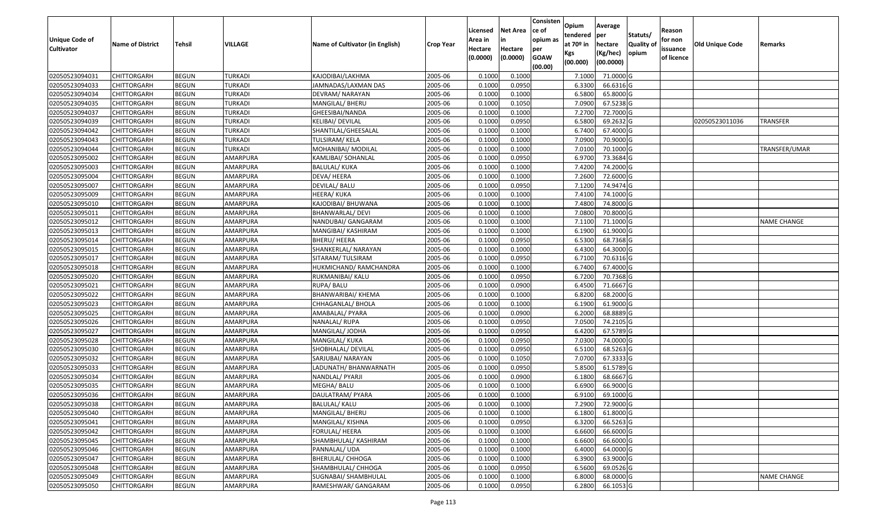| <b>Unique Code of</b> | <b>Name of District</b> | <b>Tehsil</b> | VILLAGE        | Name of Cultivator (in English) | <b>Crop Year</b> | Licensed<br>Area in | <b>Net Area</b><br>in | Consisten<br>ce of<br>opium as | Opium<br>tendered<br>at $70°$ in | Average<br>per<br>hectare | Statuts/<br><b>Quality o</b> | Reason<br>for non      | Old Unique Code | Remarks            |
|-----------------------|-------------------------|---------------|----------------|---------------------------------|------------------|---------------------|-----------------------|--------------------------------|----------------------------------|---------------------------|------------------------------|------------------------|-----------------|--------------------|
| <b>Cultivator</b>     |                         |               |                |                                 |                  | Hectare<br>(0.0000) | Hectare<br>(0.0000)   | per<br><b>GOAW</b><br>(00.00)  | Kgs<br>(00.000)                  | (Kg/hec)<br>(00.0000)     | opium                        | issuance<br>of licence |                 |                    |
| 02050523094031        | CHITTORGARH             | <b>BEGUN</b>  | <b>TURKADI</b> | KAJODIBAI/LAKHMA                | 2005-06          | 0.1000              | 0.1000                |                                | 7.1000                           | 71.0000 G                 |                              |                        |                 |                    |
| 02050523094033        | CHITTORGARH             | <b>BEGUN</b>  | <b>TURKADI</b> | JAMNADAS/LAXMAN DAS             | 2005-06          | 0.1000              | 0.0950                |                                | 6.3300                           | 66.6316 G                 |                              |                        |                 |                    |
| 02050523094034        | CHITTORGARH             | <b>BEGUN</b>  | <b>TURKADI</b> | DEVRAM/ NARAYAN                 | 2005-06          | 0.100               | 0.1000                |                                | 6.5800                           | 65.8000 G                 |                              |                        |                 |                    |
| 02050523094035        | <b>CHITTORGARH</b>      | <b>BEGUN</b>  | <b>TURKADI</b> | MANGILAL/ BHERU                 | 2005-06          | 0.1000              | 0.1050                |                                | 7.0900                           | 67.5238 G                 |                              |                        |                 |                    |
| 02050523094037        | CHITTORGARH             | <b>BEGUN</b>  | <b>TURKADI</b> | GHEESIBAI/NANDA                 | 2005-06          | 0.1000              | 0.1000                |                                | 7.2700                           | 72.7000G                  |                              |                        |                 |                    |
| 02050523094039        | CHITTORGARH             | <b>BEGUN</b>  | <b>TURKADI</b> | KELIBAI/ DEVILAL                | 2005-06          | 0.1000              | 0.0950                |                                | 6.5800                           | 69.2632 G                 |                              |                        | 02050523011036  | TRANSFER           |
| 02050523094042        | CHITTORGARH             | <b>BEGUN</b>  | TURKADI        | SHANTILAL/GHEESALAL             | 2005-06          | 0.1000              | 0.1000                |                                | 6.7400                           | 67.4000 G                 |                              |                        |                 |                    |
| 02050523094043        | CHITTORGARH             | <b>BEGUN</b>  | <b>TURKADI</b> | TULSIRAM/KELA                   | 2005-06          | 0.1000              | 0.1000                |                                | 7.0900                           | 70.9000G                  |                              |                        |                 |                    |
| 02050523094044        | CHITTORGARH             | <b>BEGUN</b>  | <b>TURKADI</b> | MOHANIBAI/ MODILAL              | 2005-06          | 0.1000              | 0.1000                |                                | 7.0100                           | 70.1000G                  |                              |                        |                 | TRANSFER/UMAR      |
| 02050523095002        | CHITTORGARH             | <b>BEGUN</b>  | AMARPURA       | KAMLIBAI/ SOHANLAL              | 2005-06          | 0.1000              | 0.0950                |                                | 6.9700                           | 73.3684 G                 |                              |                        |                 |                    |
| 02050523095003        | CHITTORGARH             | <b>BEGUN</b>  | AMARPURA       | <b>BALULAL/ KUKA</b>            | 2005-06          | 0.1000              | 0.1000                |                                | 7.4200                           | 74.2000 G                 |                              |                        |                 |                    |
| 02050523095004        | CHITTORGARH             | <b>BEGUN</b>  | AMARPURA       | DEVA/HEERA                      | 2005-06          | 0.1000              | 0.1000                |                                | 7.2600                           | 72.6000 G                 |                              |                        |                 |                    |
| 02050523095007        | <b>CHITTORGARH</b>      | <b>BEGUN</b>  | AMARPURA       | DEVILAL/ BALU                   | 2005-06          | 0.1000              | 0.0950                |                                | 7.1200                           | 74.9474 G                 |                              |                        |                 |                    |
| 02050523095009        | CHITTORGARH             | <b>BEGUN</b>  | AMARPURA       | HEERA/ KUKA                     | 2005-06          | 0.100               | 0.1000                |                                | 7.4100                           | 74.1000 G                 |                              |                        |                 |                    |
| 02050523095010        | CHITTORGARH             | <b>BEGUN</b>  | AMARPURA       | KAJODIBAI/ BHUWANA              | 2005-06          | 0.1000              | 0.1000                |                                | 7.4800                           | 74.8000 G                 |                              |                        |                 |                    |
| 02050523095011        | CHITTORGARH             | <b>BEGUN</b>  | AMARPURA       | BHANWARLAL/DEVI                 | 2005-06          | 0.1000              | 0.1000                |                                | 7.0800                           | 70.8000 G                 |                              |                        |                 |                    |
| 02050523095012        | CHITTORGARH             | <b>BEGUN</b>  | AMARPURA       | NANDUBAI/ GANGARAM              | 2005-06          | 0.100               | 0.1000                |                                | 7.1100                           | 71.1000 G                 |                              |                        |                 | <b>NAME CHANGE</b> |
| 02050523095013        | CHITTORGARH             | <b>BEGUN</b>  | AMARPURA       | MANGIBAI/ KASHIRAM              | 2005-06          | 0.100               | 0.1000                |                                | 6.1900                           | 61.9000 G                 |                              |                        |                 |                    |
| 02050523095014        | CHITTORGARH             | <b>BEGUN</b>  | AMARPURA       | BHERU/ HEERA                    | 2005-06          | 0.100               | 0.0950                |                                | 6.5300                           | 68.7368 G                 |                              |                        |                 |                    |
| 02050523095015        | CHITTORGARH             | <b>BEGUN</b>  | AMARPURA       | SHANKERLAL/ NARAYAN             | 2005-06          | 0.1000              | 0.1000                |                                | 6.4300                           | 64.3000 G                 |                              |                        |                 |                    |
| 02050523095017        | CHITTORGARH             | <b>BEGUN</b>  | AMARPURA       | SITARAM/ TULSIRAM               | 2005-06          | 0.100               | 0.0950                |                                | 6.7100                           | 70.6316 G                 |                              |                        |                 |                    |
| 02050523095018        | CHITTORGARH             | <b>BEGUN</b>  | AMARPURA       | HUKMICHAND/ RAMCHANDRA          | 2005-06          | 0.100               | 0.1000                |                                | 6.7400                           | 67.4000 G                 |                              |                        |                 |                    |
| 02050523095020        | CHITTORGARH             | <b>BEGUN</b>  | AMARPURA       | RUKMANIBAI/ KALU                | 2005-06          | 0.1000              | 0.0950                |                                | 6.7200                           | 70.7368 G                 |                              |                        |                 |                    |
| 02050523095021        | CHITTORGARH             | <b>BEGUN</b>  | AMARPURA       | RUPA/ BALU                      | 2005-06          | 0.1000              | 0.0900                |                                | 6.4500                           | 71.6667G                  |                              |                        |                 |                    |
| 02050523095022        | <b>CHITTORGARH</b>      | <b>BEGUN</b>  | AMARPURA       | <b>BHANWARIBAI/ KHEMA</b>       | 2005-06          | 0.1000              | 0.1000                |                                | 6.8200                           | 68.2000 G                 |                              |                        |                 |                    |
| 02050523095023        | CHITTORGARH             | <b>BEGUN</b>  | AMARPURA       | CHHAGANLAL/ BHOLA               | 2005-06          | 0.1000              | 0.1000                |                                | 6.1900                           | 61.9000G                  |                              |                        |                 |                    |
| 02050523095025        | CHITTORGARH             | <b>BEGUN</b>  | AMARPURA       | AMABALAL/ PYARA                 | 2005-06          | 0.1000              | 0.0900                |                                | 6.2000                           | 68.8889 G                 |                              |                        |                 |                    |
| 02050523095026        | CHITTORGARH             | <b>BEGUN</b>  | AMARPURA       | NANALAL/RUPA                    | 2005-06          | 0.1000              | 0.0950                |                                | 7.0500                           | 74.2105 G                 |                              |                        |                 |                    |
| 02050523095027        | CHITTORGARH             | <b>BEGUN</b>  | AMARPURA       | MANGILAL/ JODHA                 | 2005-06          | 0.1000              | 0.0950                |                                | 6.4200                           | 67.5789 G                 |                              |                        |                 |                    |
| 02050523095028        | CHITTORGARH             | <b>BEGUN</b>  | AMARPURA       | MANGILAL/ KUKA                  | 2005-06          | 0.1000              | 0.0950                |                                | 7.0300                           | 74.0000 G                 |                              |                        |                 |                    |
| 02050523095030        | CHITTORGARH             | <b>BEGUN</b>  | AMARPURA       | SHOBHALAL/ DEVILAL              | 2005-06          | 0.1000              | 0.0950                |                                | 6.5100                           | 68.5263 G                 |                              |                        |                 |                    |
| 02050523095032        | CHITTORGARH             | <b>BEGUN</b>  | AMARPURA       | SARJUBAI/ NARAYAN               | 2005-06          | 0.1000              | 0.1050                |                                | 7.0700                           | 67.3333 G                 |                              |                        |                 |                    |
| 02050523095033        | CHITTORGARH             | <b>BEGUN</b>  | AMARPURA       | LADUNATH/BHANWARNATH            | 2005-06          | 0.1000              | 0.0950                |                                | 5.8500                           | 61.5789 G                 |                              |                        |                 |                    |
| 02050523095034        | CHITTORGARH             | <b>BEGUN</b>  | AMARPURA       | NANDLAL/ PYARJI                 | 2005-06          | 0.1000              | 0.0900                |                                | 6.1800                           | 68.6667 G                 |                              |                        |                 |                    |
| 02050523095035        | CHITTORGARH             | <b>BEGUN</b>  | AMARPURA       | MEGHA/ BALU                     | 2005-06          | 0.1000              | 0.1000                |                                | 6.6900                           | 66.9000 G                 |                              |                        |                 |                    |
| 02050523095036        | CHITTORGARH             | <b>BEGUN</b>  | AMARPURA       | DAULATRAM/ PYARA                | 2005-06          | 0.1000              | 0.1000                |                                | 6.9100                           | 69.1000 G                 |                              |                        |                 |                    |
| 02050523095038        | <b>CHITTORGARH</b>      | <b>BEGUN</b>  | AMARPURA       | <b>BALULAL/ KALU</b>            | 2005-06          | 0.1000              | 0.1000                |                                |                                  | 7.2900 72.9000 G          |                              |                        |                 |                    |
| 02050523095040        | <b>CHITTORGARH</b>      | <b>BEGUN</b>  | AMARPURA       | MANGILAL/ BHERU                 | 2005-06          | 0.1000              | 0.1000                |                                | 6.1800                           | 61.8000 G                 |                              |                        |                 |                    |
| 02050523095041        | <b>CHITTORGARH</b>      | <b>BEGUN</b>  | AMARPURA       | MANGILAL/ KISHNA                | 2005-06          | 0.1000              | 0.0950                |                                | 6.3200                           | 66.5263 G                 |                              |                        |                 |                    |
| 02050523095042        | <b>CHITTORGARH</b>      | <b>BEGUN</b>  | AMARPURA       | FORULAL/ HEERA                  | 2005-06          | 0.1000              | 0.1000                |                                | 6.6600                           | 66.6000 G                 |                              |                        |                 |                    |
| 02050523095045        | CHITTORGARH             | <b>BEGUN</b>  | AMARPURA       | SHAMBHULAL/ KASHIRAM            | 2005-06          | 0.1000              | 0.1000                |                                | 6.6600                           | 66.6000 G                 |                              |                        |                 |                    |
| 02050523095046        | <b>CHITTORGARH</b>      | <b>BEGUN</b>  | AMARPURA       | PANNALAL/ UDA                   | 2005-06          | 0.1000              | 0.1000                |                                | 6.4000                           | 64.0000 G                 |                              |                        |                 |                    |
| 02050523095047        | <b>CHITTORGARH</b>      | <b>BEGUN</b>  | AMARPURA       | <b>BHERULAL/ CHHOGA</b>         | 2005-06          | 0.1000              | 0.1000                |                                | 6.3900                           | 63.9000 G                 |                              |                        |                 |                    |
| 02050523095048        | CHITTORGARH             | <b>BEGUN</b>  | AMARPURA       | SHAMBHULAL/ CHHOGA              | 2005-06          | 0.1000              | 0.0950                |                                | 6.5600                           | 69.0526 G                 |                              |                        |                 |                    |
| 02050523095049        | CHITTORGARH             | <b>BEGUN</b>  | AMARPURA       | SUGNABAI/ SHAMBHULAL            | 2005-06          | 0.1000              | 0.1000                |                                | 6.8000                           | 68.0000 G                 |                              |                        |                 | <b>NAME CHANGE</b> |
| 02050523095050        | <b>CHITTORGARH</b>      | <b>BEGUN</b>  | AMARPURA       | RAMESHWAR/ GANGARAM             | 2005-06          | 0.1000              | 0.0950                |                                | 6.2800                           | 66.1053 G                 |                              |                        |                 |                    |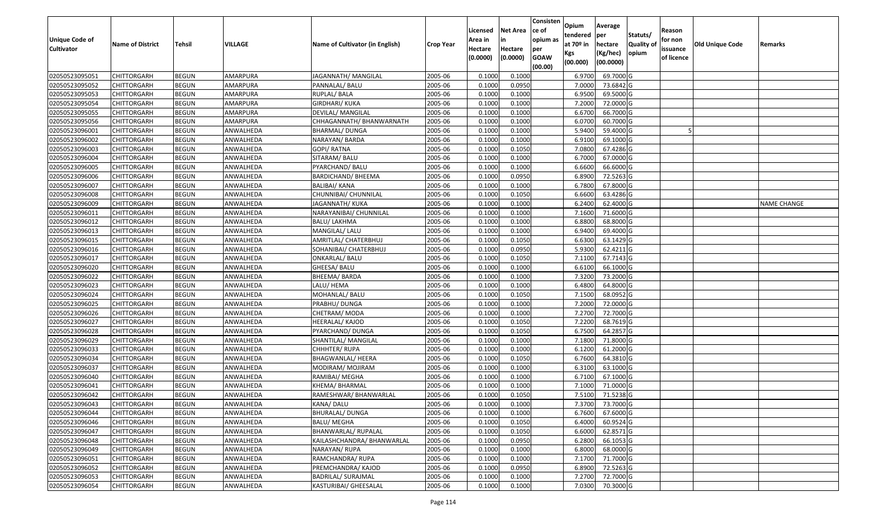| Unique Code of<br><b>Cultivator</b> | <b>Name of District</b> | <b>Tehsil</b> | VILLAGE   | Name of Cultivator (in English) | <b>Crop Year</b> | Licensed<br>Area in<br>Hectare | <b>Net Area</b><br>in<br>Hectare | Consisten<br>ce of<br>opium as<br>per | Opium<br>tendered<br>at $70°$ in<br>Kgs | Average<br>per<br>hectare<br>(Kg/hec) | Statuts/<br><b>Quality o</b><br>opium | Reason<br>for non<br>issuance | <b>Old Unique Code</b> | Remarks            |
|-------------------------------------|-------------------------|---------------|-----------|---------------------------------|------------------|--------------------------------|----------------------------------|---------------------------------------|-----------------------------------------|---------------------------------------|---------------------------------------|-------------------------------|------------------------|--------------------|
|                                     |                         |               |           |                                 |                  | (0.0000)                       | (0.0000)                         | <b>GOAW</b><br>(00.00)                | (00.000)                                | (00.0000)                             |                                       | of licence                    |                        |                    |
| 02050523095051                      | CHITTORGARH             | <b>BEGUN</b>  | AMARPURA  | JAGANNATH/ MANGILAL             | 2005-06          | 0.1000                         | 0.1000                           |                                       | 6.9700                                  | 69.7000 G                             |                                       |                               |                        |                    |
| 02050523095052                      | CHITTORGARH             | <b>BEGUN</b>  | AMARPURA  | PANNALAL/ BALU                  | 2005-06          | 0.1000                         | 0.0950                           |                                       | 7.0000                                  | 73.6842 G                             |                                       |                               |                        |                    |
| 02050523095053                      | CHITTORGARH             | <b>BEGUN</b>  | AMARPURA  | RUPLAL/ BALA                    | 2005-06          | 0.1000                         | 0.1000                           |                                       | 6.9500                                  | 69.5000G                              |                                       |                               |                        |                    |
| 02050523095054                      | <b>CHITTORGARH</b>      | <b>BEGUN</b>  | AMARPURA  | <b>GIRDHARI/ KUKA</b>           | 2005-06          | 0.1000                         | 0.1000                           |                                       | 7.2000                                  | 72.0000G                              |                                       |                               |                        |                    |
| 02050523095055                      | CHITTORGARH             | <b>BEGUN</b>  | AMARPURA  | DEVILAL/ MANGILAL               | 2005-06          | 0.1000                         | 0.1000                           |                                       | 6.6700                                  | 66.7000 G                             |                                       |                               |                        |                    |
| 02050523095056                      | CHITTORGARH             | <b>BEGUN</b>  | AMARPURA  | CHHAGANNATH/ BHANWARNATH        | 2005-06          | 0.1000                         | 0.1000                           |                                       | 6.0700                                  | 60.7000 G                             |                                       |                               |                        |                    |
| 02050523096001                      | CHITTORGARH             | <b>BEGUN</b>  | ANWALHEDA | BHARMAL/ DUNGA                  | 2005-06          | 0.1000                         | 0.1000                           |                                       | 5.9400                                  | 59.4000 G                             |                                       |                               |                        |                    |
| 02050523096002                      | CHITTORGARH             | <b>BEGUN</b>  | ANWALHEDA | NARAYAN/ BARDA                  | 2005-06          | 0.1000                         | 0.1000                           |                                       | 6.9100                                  | 69.1000G                              |                                       |                               |                        |                    |
| 02050523096003                      | CHITTORGARH             | <b>BEGUN</b>  | ANWALHEDA | GOPI/ RATNA                     | 2005-06          | 0.1000                         | 0.1050                           |                                       | 7.0800                                  | 67.4286 G                             |                                       |                               |                        |                    |
| 02050523096004                      | CHITTORGARH             | <b>BEGUN</b>  | ANWALHEDA | SITARAM/BALU                    | 2005-06          | 0.1000                         | 0.1000                           |                                       | 6.7000                                  | 67.0000 G                             |                                       |                               |                        |                    |
| 02050523096005                      | CHITTORGARH             | <b>BEGUN</b>  | ANWALHEDA | PYARCHAND/ BALU                 | 2005-06          | 0.1000                         | 0.1000                           |                                       | 6.6600                                  | 66.6000 G                             |                                       |                               |                        |                    |
| 02050523096006                      | CHITTORGARH             | <b>BEGUN</b>  | ANWALHEDA | <b>BARDICHAND/ BHEEMA</b>       | 2005-06          | 0.1000                         | 0.0950                           |                                       | 6.8900                                  | 72.5263 G                             |                                       |                               |                        |                    |
| 02050523096007                      | <b>CHITTORGARH</b>      | <b>BEGUN</b>  | ANWALHEDA | <b>BALIBAI/ KANA</b>            | 2005-06          | 0.1000                         | 0.1000                           |                                       | 6.7800                                  | 67.8000 G                             |                                       |                               |                        |                    |
| 02050523096008                      | <b>CHITTORGARH</b>      | <b>BEGUN</b>  | ANWALHEDA | CHUNNIBAI/ CHUNNILAL            | 2005-06          | 0.1000                         | 0.1050                           |                                       | 6.6600                                  | 63.4286 G                             |                                       |                               |                        |                    |
| 02050523096009                      | <b>CHITTORGARH</b>      | <b>BEGUN</b>  | ANWALHEDA | JAGANNATH/ KUKA                 | 2005-06          | 0.1000                         | 0.1000                           |                                       | 6.2400                                  | 62.4000 G                             |                                       |                               |                        | <b>NAME CHANGE</b> |
| 02050523096011                      | <b>CHITTORGARH</b>      | <b>BEGUN</b>  | ANWALHEDA | NARAYANIBAI/ CHUNNILAL          | 2005-06          | 0.1000                         | 0.1000                           |                                       | 7.1600                                  | 71.6000G                              |                                       |                               |                        |                    |
| 02050523096012                      | CHITTORGARH             | <b>BEGUN</b>  | ANWALHEDA | <b>BALU/ LAKHMA</b>             | 2005-06          | 0.1000                         | 0.1000                           |                                       | 6.8800                                  | 68.8000G                              |                                       |                               |                        |                    |
| 02050523096013                      | CHITTORGARH             | <b>BEGUN</b>  | ANWALHEDA | MANGILAL/ LALU                  | 2005-06          | 0.1000                         | 0.1000                           |                                       | 6.9400                                  | 69.4000 G                             |                                       |                               |                        |                    |
| 02050523096015                      | CHITTORGARH             | <b>BEGUN</b>  | ANWALHEDA | AMRITLAL/ CHATERBHUJ            | 2005-06          | 0.1000                         | 0.1050                           |                                       | 6.6300                                  | 63.1429 G                             |                                       |                               |                        |                    |
| 02050523096016                      | CHITTORGARH             | <b>BEGUN</b>  | ANWALHEDA | SOHANIBAI/ CHATERBHUJ           | 2005-06          | 0.1000                         | 0.0950                           |                                       | 5.9300                                  | $62.4211$ G                           |                                       |                               |                        |                    |
| 02050523096017                      | CHITTORGARH             | <b>BEGUN</b>  | ANWALHEDA | <b>ONKARLAL/ BALU</b>           | 2005-06          | 0.1000                         | 0.1050                           |                                       | 7.1100                                  | 67.7143 G                             |                                       |                               |                        |                    |
| 02050523096020                      | CHITTORGARH             | <b>BEGUN</b>  | ANWALHEDA | GHEESA/ BALU                    | 2005-06          | 0.1000                         | 0.1000                           |                                       | 6.6100                                  | 66.1000 G                             |                                       |                               |                        |                    |
| 02050523096022                      | CHITTORGARH             | <b>BEGUN</b>  | ANWALHEDA | BHEEMA/ BARDA                   | 2005-06          | 0.1000                         | 0.1000                           |                                       | 7.3200                                  | 73.2000 G                             |                                       |                               |                        |                    |
| 02050523096023                      | <b>CHITTORGARH</b>      | <b>BEGUN</b>  | ANWALHEDA | LALU/ HEMA                      | 2005-06          | 0.1000                         | 0.1000                           |                                       | 6.4800                                  | 64.8000 G                             |                                       |                               |                        |                    |
| 02050523096024                      | <b>CHITTORGARH</b>      | <b>BEGUN</b>  | ANWALHEDA | MOHANLAL/ BALU                  | 2005-06          | 0.1000                         | 0.1050                           |                                       | 7.1500                                  | 68.0952 G                             |                                       |                               |                        |                    |
| 02050523096025                      | CHITTORGARH             | <b>BEGUN</b>  | ANWALHEDA | PRABHU/ DUNGA                   | 2005-06          | 0.1000                         | 0.1000                           |                                       | 7.2000                                  | 72.0000G                              |                                       |                               |                        |                    |
| 02050523096026                      | CHITTORGARH             | <b>BEGUN</b>  | ANWALHEDA | CHETRAM/ MODA                   | 2005-06          | 0.1000                         | 0.1000                           |                                       | 7.2700                                  | 72.7000 G                             |                                       |                               |                        |                    |
| 02050523096027                      | CHITTORGARH             | <b>BEGUN</b>  | ANWALHEDA | HEERALAL/ KAJOD                 | 2005-06          | 0.1000                         | 0.1050                           |                                       | 7.2200                                  | 68.7619 G                             |                                       |                               |                        |                    |
| 02050523096028                      | CHITTORGARH             | <b>BEGUN</b>  | ANWALHEDA | PYARCHAND/ DUNGA                | 2005-06          | 0.1000                         | 0.1050                           |                                       | 6.7500                                  | 64.2857 G                             |                                       |                               |                        |                    |
| 02050523096029                      | CHITTORGARH             | <b>BEGUN</b>  | ANWALHEDA | SHANTILAL/ MANGILAL             | 2005-06          | 0.1000                         | 0.1000                           |                                       | 7.1800                                  | 71.8000 G                             |                                       |                               |                        |                    |
| 02050523096033                      | CHITTORGARH             | <b>BEGUN</b>  | ANWALHEDA | CHHHTER/ RUPA                   | 2005-06          | 0.1000                         | 0.1000                           |                                       | 6.1200                                  | 61.2000 G                             |                                       |                               |                        |                    |
| 02050523096034                      | CHITTORGARH             | <b>BEGUN</b>  | ANWALHEDA | BHAGWANLAL/ HEERA               | 2005-06          | 0.1000                         | 0.1050                           |                                       | 6.7600                                  | 64.3810 G                             |                                       |                               |                        |                    |
| 02050523096037                      | CHITTORGARH             | <b>BEGUN</b>  | ANWALHEDA | MODIRAM/ MOJIRAM                | 2005-06          | 0.1000                         | 0.1000                           |                                       | 6.3100                                  | 63.1000G                              |                                       |                               |                        |                    |
| 02050523096040                      | CHITTORGARH             | <b>BEGUN</b>  | ANWALHEDA | RAMIBAI/ MEGHA                  | 2005-06          | 0.1000                         | 0.1000                           |                                       | 6.7100                                  | 67.1000 G                             |                                       |                               |                        |                    |
| 02050523096041                      | CHITTORGARH             | <b>BEGUN</b>  | ANWALHEDA | KHEMA/BHARMAL                   | 2005-06          | 0.1000                         | 0.1000                           |                                       | 7.1000                                  | 71.0000G                              |                                       |                               |                        |                    |
| 02050523096042                      | CHITTORGARH             | <b>BEGUN</b>  | ANWALHEDA | RAMESHWAR/ BHANWARLAL           | 2005-06          | 0.1000                         | 0.1050                           |                                       | 7.5100                                  | 71.5238 G                             |                                       |                               |                        |                    |
| 02050523096043                      | <b>CHITTORGARH</b>      | <b>BEGUN</b>  | ANWALHEDA | KANA/DALU                       | 2005-06          | 0.1000                         | 0.1000                           |                                       |                                         | 7.3700 73.7000 G                      |                                       |                               |                        |                    |
| 02050523096044                      | <b>CHITTORGARH</b>      | <b>BEGUN</b>  | ANWALHEDA | BHURALAL/ DUNGA                 | 2005-06          | 0.1000                         | 0.1000                           |                                       | 6.7600                                  | 67.6000 G                             |                                       |                               |                        |                    |
| 02050523096046                      | <b>CHITTORGARH</b>      | <b>BEGUN</b>  | ANWALHEDA | <b>BALU/ MEGHA</b>              | 2005-06          | 0.1000                         | 0.1050                           |                                       | 6.4000                                  | 60.9524 G                             |                                       |                               |                        |                    |
| 02050523096047                      | <b>CHITTORGARH</b>      | <b>BEGUN</b>  | ANWALHEDA | BHANWARLAL/ RUPALAL             | 2005-06          | 0.1000                         | 0.1050                           |                                       | 6.6000                                  | 62.8571 G                             |                                       |                               |                        |                    |
| 02050523096048                      | <b>CHITTORGARH</b>      | <b>BEGUN</b>  | ANWALHEDA | KAILASHCHANDRA/ BHANWARLAL      | 2005-06          | 0.1000                         | 0.0950                           |                                       | 6.2800                                  | 66.1053 G                             |                                       |                               |                        |                    |
| 02050523096049                      | <b>CHITTORGARH</b>      | <b>BEGUN</b>  | ANWALHEDA | NARAYAN/RUPA                    | 2005-06          | 0.1000                         | 0.1000                           |                                       | 6.8000                                  | 68.0000 G                             |                                       |                               |                        |                    |
| 02050523096051                      | <b>CHITTORGARH</b>      | <b>BEGUN</b>  | ANWALHEDA | RAMCHANDRA/ RUPA                | 2005-06          | 0.1000                         | 0.1000                           |                                       | 7.1700                                  | 71.7000 G                             |                                       |                               |                        |                    |
| 02050523096052                      | <b>CHITTORGARH</b>      | <b>BEGUN</b>  | ANWALHEDA | PREMCHANDRA/ KAJOD              | 2005-06          | 0.1000                         | 0.0950                           |                                       | 6.8900                                  | 72.5263 G                             |                                       |                               |                        |                    |
| 02050523096053                      | <b>CHITTORGARH</b>      | <b>BEGUN</b>  | ANWALHEDA | <b>BADRILAL/ SURAJMAL</b>       | 2005-06          | 0.1000                         | 0.1000                           |                                       | 7.2700                                  | 72.7000 G                             |                                       |                               |                        |                    |
| 02050523096054                      | <b>CHITTORGARH</b>      | <b>BEGUN</b>  | ANWALHEDA | KASTURIBAI/ GHEESALAL           | 2005-06          | 0.1000                         | 0.1000                           |                                       | 7.0300                                  | 70.3000 G                             |                                       |                               |                        |                    |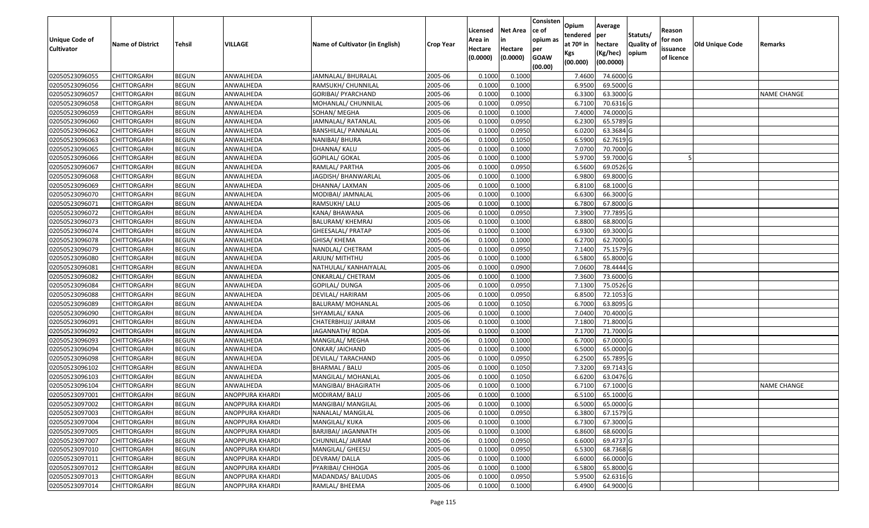| <b>Unique Code of</b><br><b>Cultivator</b> | <b>Name of District</b> | <b>Tehsil</b> | VILLAGE                | Name of Cultivator (in English) | <b>Crop Year</b> | Licensed<br>Area in<br>Hectare<br>(0.0000) | <b>Net Area</b><br>in<br>Hectare<br>(0.0000) | Consisten<br>ce of<br>opium as<br>per<br><b>GOAW</b><br>(00.00) | Opium<br>tendered<br>at $70°$ in<br>Kgs<br>(00.000) | Average<br>per<br>hectare<br>(Kg/hec)<br>(00.0000) | Statuts/<br>Quality of<br>opium | Reason<br>for non<br>issuance<br>of licence | <b>Old Unique Code</b> | Remarks            |
|--------------------------------------------|-------------------------|---------------|------------------------|---------------------------------|------------------|--------------------------------------------|----------------------------------------------|-----------------------------------------------------------------|-----------------------------------------------------|----------------------------------------------------|---------------------------------|---------------------------------------------|------------------------|--------------------|
| 02050523096055                             | <b>CHITTORGARH</b>      | <b>BEGUN</b>  | ANWALHEDA              | JAMNALAL/ BHURALAL              | 2005-06          | 0.1000                                     | 0.1000                                       |                                                                 | 7.4600                                              | 74.6000 G                                          |                                 |                                             |                        |                    |
| 02050523096056                             | CHITTORGARH             | <b>BEGUN</b>  | ANWALHEDA              | RAMSUKH/ CHUNNILAL              | 2005-06          | 0.1000                                     | 0.1000                                       |                                                                 | 6.9500                                              | 69.5000G                                           |                                 |                                             |                        |                    |
| 02050523096057                             | <b>CHITTORGARH</b>      | <b>BEGUN</b>  | ANWALHEDA              | GORIBAI/ PYARCHAND              | 2005-06          | 0.1000                                     | 0.1000                                       |                                                                 | 6.3300                                              | 63.3000 G                                          |                                 |                                             |                        | <b>NAME CHANGE</b> |
| 02050523096058                             | <b>CHITTORGARH</b>      | <b>BEGUN</b>  | ANWALHEDA              | MOHANLAL/ CHUNNILAL             | 2005-06          | 0.1000                                     | 0.0950                                       |                                                                 | 6.7100                                              | 70.6316 G                                          |                                 |                                             |                        |                    |
| 02050523096059                             | <b>CHITTORGARH</b>      | <b>BEGUN</b>  | ANWALHEDA              | SOHAN/ MEGHA                    | 2005-06          | 0.1000                                     | 0.1000                                       |                                                                 | 7.4000                                              | 74.0000 G                                          |                                 |                                             |                        |                    |
| 02050523096060                             | CHITTORGARH             | <b>BEGUN</b>  | ANWALHEDA              | JAMNALAL/ RATANLAL              | 2005-06          | 0.1000                                     | 0.0950                                       |                                                                 | 6.2300                                              | 65.5789 G                                          |                                 |                                             |                        |                    |
| 02050523096062                             | <b>CHITTORGARH</b>      | <b>BEGUN</b>  | ANWALHEDA              | BANSHILAL/ PANNALAL             | 2005-06          | 0.1000                                     | 0.0950                                       |                                                                 | 6.0200                                              | 63.3684 G                                          |                                 |                                             |                        |                    |
| 02050523096063                             | <b>CHITTORGARH</b>      | <b>BEGUN</b>  | ANWALHEDA              | NANIBAI/ BHURA                  | 2005-06          | 0.1000                                     | 0.1050                                       |                                                                 | 6.5900                                              | 62.7619 G                                          |                                 |                                             |                        |                    |
| 02050523096065                             | <b>CHITTORGARH</b>      | <b>BEGUN</b>  | ANWALHEDA              | DHANNA/ KALU                    | 2005-06          | 0.1000                                     | 0.1000                                       |                                                                 | 7.0700                                              | 70.7000 G                                          |                                 |                                             |                        |                    |
| 02050523096066                             | <b>CHITTORGARH</b>      | <b>BEGUN</b>  | ANWALHEDA              | GOPILAL/ GOKAL                  | 2005-06          | 0.1000                                     | 0.1000                                       |                                                                 | 5.9700                                              | 59.7000 G                                          |                                 |                                             |                        |                    |
| 02050523096067                             | <b>CHITTORGARH</b>      | <b>BEGUN</b>  | ANWALHEDA              | RAMLAL/ PARTHA                  | 2005-06          | 0.1000                                     | 0.0950                                       |                                                                 | 6.5600                                              | 69.0526 G                                          |                                 |                                             |                        |                    |
| 02050523096068                             | CHITTORGARH             | <b>BEGUN</b>  | ANWALHEDA              | JAGDISH/BHANWARLAL              | 2005-06          | 0.1000                                     | 0.1000                                       |                                                                 | 6.9800                                              | 69.8000 G                                          |                                 |                                             |                        |                    |
| 02050523096069                             | <b>CHITTORGARH</b>      | <b>BEGUN</b>  | ANWALHEDA              | DHANNA/ LAXMAN                  | 2005-06          | 0.1000                                     | 0.1000                                       |                                                                 | 6.8100                                              | 68.1000 G                                          |                                 |                                             |                        |                    |
| 02050523096070                             | CHITTORGARH             | <b>BEGUN</b>  | ANWALHEDA              | MODIBAI/ JAMNALAL               | 2005-06          | 0.1000                                     | 0.1000                                       |                                                                 | 6.6300                                              | 66.3000 G                                          |                                 |                                             |                        |                    |
| 02050523096071                             | CHITTORGARH             | <b>BEGUN</b>  | ANWALHEDA              | RAMSUKH/ LALU                   | 2005-06          | 0.1000                                     | 0.1000                                       |                                                                 | 6.7800                                              | 67.8000 G                                          |                                 |                                             |                        |                    |
| 02050523096072                             | CHITTORGARH             | <b>BEGUN</b>  | ANWALHEDA              | KANA/ BHAWANA                   | 2005-06          | 0.1000                                     | 0.0950                                       |                                                                 | 7.3900                                              | 77.7895 G                                          |                                 |                                             |                        |                    |
| 02050523096073                             | CHITTORGARH             | <b>BEGUN</b>  | ANWALHEDA              | BALURAM/ KHEMRAJ                | 2005-06          | 0.1000                                     | 0.1000                                       |                                                                 | 6.8800                                              | 68.8000 G                                          |                                 |                                             |                        |                    |
| 02050523096074                             | CHITTORGARH             | <b>BEGUN</b>  | ANWALHEDA              | GHEESALAL/ PRATAP               | 2005-06          | 0.1000                                     | 0.1000                                       |                                                                 | 6.9300                                              | 69.3000G                                           |                                 |                                             |                        |                    |
| 02050523096078                             | <b>CHITTORGARH</b>      | <b>BEGUN</b>  | ANWALHEDA              | GHISA/ KHEMA                    | 2005-06          | 0.1000                                     | 0.1000                                       |                                                                 | 6.2700                                              | 62.7000 G                                          |                                 |                                             |                        |                    |
| 02050523096079                             | CHITTORGARH             | <b>BEGUN</b>  | ANWALHEDA              | NANDLAL/ CHETRAM                | 2005-06          | 0.1000                                     | 0.0950                                       |                                                                 | 7.1400                                              | 75.1579 G                                          |                                 |                                             |                        |                    |
| 02050523096080                             | <b>CHITTORGARH</b>      | <b>BEGUN</b>  | ANWALHEDA              | ARJUN/MITHTHU                   | 2005-06          | 0.1000                                     | 0.1000                                       |                                                                 | 6.5800                                              | 65.8000 G                                          |                                 |                                             |                        |                    |
| 02050523096081                             | CHITTORGARH             | <b>BEGUN</b>  | ANWALHEDA              | NATHULAL/ KANHAIYALAL           | 2005-06          | 0.1000                                     | 0.0900                                       |                                                                 | 7.0600                                              | 78.4444 G                                          |                                 |                                             |                        |                    |
| 02050523096082                             | CHITTORGARH             | <b>BEGUN</b>  | ANWALHEDA              | ONKARLAL/ CHETRAM               | 2005-06          | 0.1000                                     | 0.1000                                       |                                                                 | 7.3600                                              | 73.6000G                                           |                                 |                                             |                        |                    |
| 02050523096084                             | CHITTORGARH             | <b>BEGUN</b>  | ANWALHEDA              | GOPILAL/ DUNGA                  | 2005-06          | 0.1000                                     | 0.0950                                       |                                                                 | 7.1300                                              | 75.0526 G                                          |                                 |                                             |                        |                    |
| 02050523096088                             | CHITTORGARH             | <b>BEGUN</b>  | ANWALHEDA              | DEVILAL/ HARIRAM                | 2005-06          | 0.1000                                     | 0.0950                                       |                                                                 | 6.8500                                              | 72.1053 G                                          |                                 |                                             |                        |                    |
| 02050523096089                             | <b>CHITTORGARH</b>      | <b>BEGUN</b>  | ANWALHEDA              | BALURAM/ MOHANLAL               | 2005-06          | 0.1000                                     | 0.1050                                       |                                                                 | 6.7000                                              | 63.8095 G                                          |                                 |                                             |                        |                    |
| 02050523096090                             | CHITTORGARH             | <b>BEGUN</b>  | ANWALHEDA              | SHYAMLAL/ KANA                  | 2005-06          | 0.1000                                     | 0.1000                                       |                                                                 | 7.0400                                              | 70.4000 G                                          |                                 |                                             |                        |                    |
| 02050523096091                             | <b>CHITTORGARH</b>      | <b>BEGUN</b>  | ANWALHEDA              | CHATERBHUJ/ JAIRAM              | 2005-06          | 0.1000                                     | 0.1000                                       |                                                                 | 7.1800                                              | 71.8000 G                                          |                                 |                                             |                        |                    |
| 02050523096092                             | <b>CHITTORGARH</b>      | <b>BEGUN</b>  | ANWALHEDA              | JAGANNATH/ RODA                 | 2005-06          | 0.1000                                     | 0.1000                                       |                                                                 | 7.1700                                              | 71.7000 G                                          |                                 |                                             |                        |                    |
| 02050523096093                             | <b>CHITTORGARH</b>      | <b>BEGUN</b>  | ANWALHEDA              | MANGILAL/ MEGHA                 | 2005-06          | 0.1000                                     | 0.1000                                       |                                                                 | 6.7000                                              | 67.0000 G                                          |                                 |                                             |                        |                    |
| 02050523096094                             | <b>CHITTORGARH</b>      | <b>BEGUN</b>  | ANWALHEDA              | ONKAR/ JAICHAND                 | 2005-06          | 0.1000                                     | 0.1000                                       |                                                                 | 6.5000                                              | 65.0000G                                           |                                 |                                             |                        |                    |
| 02050523096098                             | <b>CHITTORGARH</b>      | <b>BEGUN</b>  | ANWALHEDA              | DEVILAL/ TARACHAND              | 2005-06          | 0.1000                                     | 0.0950                                       |                                                                 | 6.2500                                              | 65.7895 G                                          |                                 |                                             |                        |                    |
| 02050523096102                             | <b>CHITTORGARH</b>      | <b>BEGUN</b>  | ANWALHEDA              | BHARMAL / BALU                  | 2005-06          | 0.1000                                     | 0.1050                                       |                                                                 | 7.3200                                              | 69.7143 G                                          |                                 |                                             |                        |                    |
| 02050523096103                             | CHITTORGARH             | <b>BEGUN</b>  | ANWALHEDA              | MANGILAL/ MOHANLAL              | 2005-06          | 0.1000                                     | 0.1050                                       |                                                                 | 6.6200                                              | 63.0476 G                                          |                                 |                                             |                        |                    |
| 02050523096104                             | CHITTORGARH             | <b>BEGUN</b>  | ANWALHEDA              | MANGIBAI/ BHAGIRATH             | 2005-06          | 0.1000                                     | 0.1000                                       |                                                                 | 6.7100                                              | 67.1000G                                           |                                 |                                             |                        | <b>NAME CHANGE</b> |
| 02050523097001                             | CHITTORGARH             | <b>BEGUN</b>  | ANOPPURA KHARDI        | MODIRAM/ BALU                   | 2005-06          | 0.1000                                     | 0.1000                                       |                                                                 | 6.5100                                              | 65.1000G                                           |                                 |                                             |                        |                    |
| 02050523097002                             | <b>CHITTORGARH</b>      | <b>BEGUN</b>  | <b>ANOPPURA KHARDI</b> | MANGIBAI/ MANGILAL              | 2005-06          | 0.1000                                     | 0.1000                                       |                                                                 | 6.5000                                              | 65.0000G                                           |                                 |                                             |                        |                    |
| 02050523097003                             | <b>CHITTORGARH</b>      | <b>BEGUN</b>  | ANOPPURA KHARDI        | NANALAL/ MANGILAL               | 2005-06          | 0.1000                                     | 0.0950                                       |                                                                 | 6.3800                                              | 67.1579 G                                          |                                 |                                             |                        |                    |
| 02050523097004                             | <b>CHITTORGARH</b>      | <b>BEGUN</b>  | ANOPPURA KHARDI        | MANGILAL/ KUKA                  | 2005-06          | 0.1000                                     | 0.1000                                       |                                                                 | 6.7300                                              | 67.3000 G                                          |                                 |                                             |                        |                    |
| 02050523097005                             | <b>CHITTORGARH</b>      | <b>BEGUN</b>  | ANOPPURA KHARDI        | <b>BARJIBAI/ JAGANNATH</b>      | 2005-06          | 0.1000                                     | 0.1000                                       |                                                                 | 6.8600                                              | 68.6000 G                                          |                                 |                                             |                        |                    |
| 02050523097007                             | <b>CHITTORGARH</b>      | <b>BEGUN</b>  | ANOPPURA KHARDI        | CHUNNILAL/ JAIRAM               | 2005-06          | 0.1000                                     | 0.0950                                       |                                                                 | 6.6000                                              | 69.4737 G                                          |                                 |                                             |                        |                    |
| 02050523097010                             | <b>CHITTORGARH</b>      | <b>BEGUN</b>  | ANOPPURA KHARDI        | MANGILAL/ GHEESU                | 2005-06          | 0.1000                                     | 0.0950                                       |                                                                 | 6.5300                                              | 68.7368 G                                          |                                 |                                             |                        |                    |
| 02050523097011                             | <b>CHITTORGARH</b>      | <b>BEGUN</b>  | ANOPPURA KHARDI        | DEVRAM/DALLA                    | 2005-06          | 0.1000                                     | 0.1000                                       |                                                                 | 6.6000                                              | 66.0000 G                                          |                                 |                                             |                        |                    |
| 02050523097012                             | <b>CHITTORGARH</b>      | <b>BEGUN</b>  | ANOPPURA KHARDI        | PYARIBAI/ CHHOGA                | 2005-06          | 0.1000                                     | 0.1000                                       |                                                                 | 6.5800                                              | 65.8000 G                                          |                                 |                                             |                        |                    |
| 02050523097013                             | <b>CHITTORGARH</b>      | <b>BEGUN</b>  | ANOPPURA KHARDI        | MADANDAS/ BALUDAS               | 2005-06          | 0.1000                                     | 0.0950                                       |                                                                 | 5.9500                                              | 62.6316 G                                          |                                 |                                             |                        |                    |
| 02050523097014                             | <b>CHITTORGARH</b>      | <b>BEGUN</b>  | <b>ANOPPURA KHARDI</b> | RAMLAL/ BHEEMA                  | 2005-06          | 0.1000                                     | 0.1000                                       |                                                                 | 6.4900                                              | 64.9000 G                                          |                                 |                                             |                        |                    |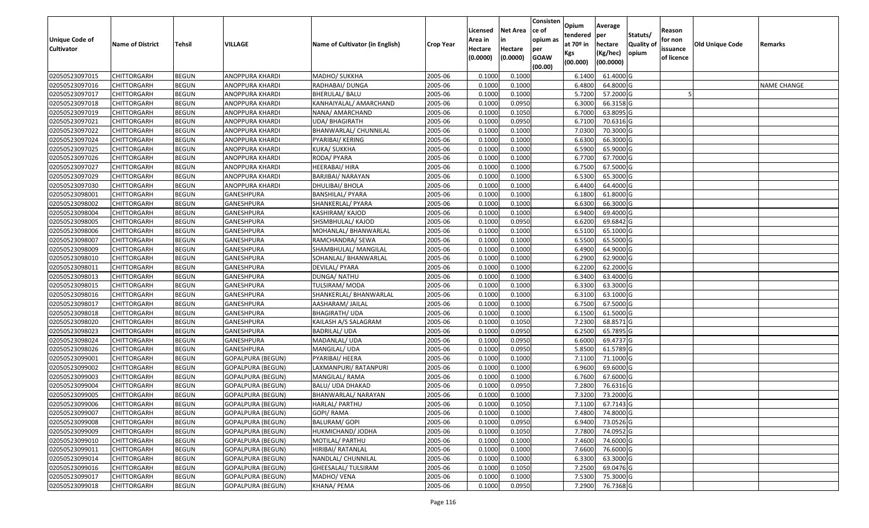| <b>Unique Code of</b><br><b>Cultivator</b> | <b>Name of District</b> | <b>Tehsil</b> | VILLAGE                  | Name of Cultivator (in English) | <b>Crop Year</b> | Licensed<br>Area in<br>Hectare<br>(0.0000) | <b>Net Area</b><br>in<br>Hectare<br>(0.0000) | Consisten<br>ce of<br>opium as<br>per<br><b>GOAW</b><br>(00.00) | Opium<br>tendered<br>at 70º in<br>Kgs<br>(00.000) | Average<br>per<br>hectare<br>(Kg/hec)<br>(00.0000) | Statuts/<br>Quality of<br>opium | Reason<br>for non<br>issuance<br>of licence | Old Unique Code | Remarks            |
|--------------------------------------------|-------------------------|---------------|--------------------------|---------------------------------|------------------|--------------------------------------------|----------------------------------------------|-----------------------------------------------------------------|---------------------------------------------------|----------------------------------------------------|---------------------------------|---------------------------------------------|-----------------|--------------------|
| 02050523097015                             | <b>CHITTORGARH</b>      | <b>BEGUN</b>  | ANOPPURA KHARDI          | MADHO/ SUKKHA                   | 2005-06          | 0.1000                                     | 0.1000                                       |                                                                 | 6.1400                                            | 61.4000 G                                          |                                 |                                             |                 |                    |
| 02050523097016                             | <b>CHITTORGARH</b>      | <b>BEGUN</b>  | ANOPPURA KHARDI          | RADHABAI/ DUNGA                 | 2005-06          | 0.1000                                     | 0.1000                                       |                                                                 | 6.4800                                            | 64.8000 G                                          |                                 |                                             |                 | <b>NAME CHANGE</b> |
| 02050523097017                             | <b>CHITTORGARH</b>      | <b>BEGUN</b>  | ANOPPURA KHARDI          | <b>BHERULAL/ BALU</b>           | 2005-06          | 0.1000                                     | 0.1000                                       |                                                                 | 5.7200                                            | 57.2000 G                                          |                                 |                                             |                 |                    |
| 02050523097018                             | <b>CHITTORGARH</b>      | <b>BEGUN</b>  | ANOPPURA KHARDI          | KANHAIYALAL/ AMARCHAND          | 2005-06          | 0.1000                                     | 0.0950                                       |                                                                 | 6.3000                                            | 66.3158 G                                          |                                 |                                             |                 |                    |
| 02050523097019                             | <b>CHITTORGARH</b>      | <b>BEGUN</b>  | ANOPPURA KHARDI          | NANA/ AMARCHAND                 | 2005-06          | 0.1000                                     | 0.1050                                       |                                                                 | 6.7000                                            | 63.8095 G                                          |                                 |                                             |                 |                    |
| 02050523097021                             | <b>CHITTORGARH</b>      | <b>BEGUN</b>  | ANOPPURA KHARDI          | UDA/ BHAGIRATH                  | 2005-06          | 0.1000                                     | 0.0950                                       |                                                                 | 6.7100                                            | 70.6316 G                                          |                                 |                                             |                 |                    |
| 02050523097022                             | CHITTORGARH             | <b>BEGUN</b>  | ANOPPURA KHARDI          | BHANWARLAL/ CHUNNILAL           | 2005-06          | 0.1000                                     | 0.1000                                       |                                                                 | 7.0300                                            | 70.3000 G                                          |                                 |                                             |                 |                    |
| 02050523097024                             | <b>CHITTORGARH</b>      | <b>BEGUN</b>  | ANOPPURA KHARDI          | PYARIBAI/ KERING                | 2005-06          | 0.1000                                     | 0.1000                                       |                                                                 | 6.6300                                            | 66.3000 G                                          |                                 |                                             |                 |                    |
| 02050523097025                             | <b>CHITTORGARH</b>      | <b>BEGUN</b>  | ANOPPURA KHARDI          | KUKA/ SUKKHA                    | 2005-06          | 0.1000                                     | 0.1000                                       |                                                                 | 6.5900                                            | 65.9000 G                                          |                                 |                                             |                 |                    |
| 02050523097026                             | <b>CHITTORGARH</b>      | <b>BEGUN</b>  | ANOPPURA KHARDI          | RODA/ PYARA                     | 2005-06          | 0.1000                                     | 0.1000                                       |                                                                 | 6.7700                                            | 67.7000 G                                          |                                 |                                             |                 |                    |
| 02050523097027                             | <b>CHITTORGARH</b>      | <b>BEGUN</b>  | ANOPPURA KHARDI          | HEERABAI/ HIRA                  | 2005-06          | 0.1000                                     | 0.1000                                       |                                                                 | 6.7500                                            | 67.5000 G                                          |                                 |                                             |                 |                    |
| 02050523097029                             | <b>CHITTORGARH</b>      | <b>BEGUN</b>  | ANOPPURA KHARDI          | BARJIBAI/ NARAYAN               | 2005-06          | 0.1000                                     | 0.1000                                       |                                                                 | 6.5300                                            | 65.3000 G                                          |                                 |                                             |                 |                    |
| 02050523097030                             | <b>CHITTORGARH</b>      | <b>BEGUN</b>  | ANOPPURA KHARDI          | DHULIBAI/ BHOLA                 | 2005-06          | 0.1000                                     | 0.1000                                       |                                                                 | 6.4400                                            | 64.4000 G                                          |                                 |                                             |                 |                    |
| 02050523098001                             | <b>CHITTORGARH</b>      | <b>BEGUN</b>  | GANESHPURA               | BANSHILAL/ PYARA                | 2005-06          | 0.1000                                     | 0.1000                                       |                                                                 | 6.1800                                            | 61.8000 G                                          |                                 |                                             |                 |                    |
| 02050523098002                             | <b>CHITTORGARH</b>      | <b>BEGUN</b>  | GANESHPURA               | SHANKERLAL/ PYARA               | 2005-06          | 0.1000                                     | 0.1000                                       |                                                                 | 6.6300                                            | 66.3000 G                                          |                                 |                                             |                 |                    |
| 02050523098004                             | <b>CHITTORGARH</b>      | <b>BEGUN</b>  | GANESHPURA               | KASHIRAM/KAJOD                  | 2005-06          | 0.1000                                     | 0.1000                                       |                                                                 | 6.9400                                            | 69.4000 G                                          |                                 |                                             |                 |                    |
| 02050523098005                             | <b>CHITTORGARH</b>      | <b>BEGUN</b>  | GANESHPURA               | SHSMBHULAL/ KAJOD               | 2005-06          | 0.1000                                     | 0.0950                                       |                                                                 | 6.6200                                            | 69.6842 G                                          |                                 |                                             |                 |                    |
| 02050523098006                             | <b>CHITTORGARH</b>      | <b>BEGUN</b>  | GANESHPURA               | MOHANLAL/ BHANWARLAL            | 2005-06          | 0.1000                                     | 0.1000                                       |                                                                 | 6.5100                                            | 65.1000 G                                          |                                 |                                             |                 |                    |
| 02050523098007                             | <b>CHITTORGARH</b>      | <b>BEGUN</b>  | GANESHPURA               | RAMCHANDRA/ SEWA                | 2005-06          | 0.1000                                     | 0.1000                                       |                                                                 | 6.5500                                            | 65.5000 G                                          |                                 |                                             |                 |                    |
| 02050523098009                             | <b>CHITTORGARH</b>      | <b>BEGUN</b>  | GANESHPURA               | SHAMBHULAL/ MANGILAL            | 2005-06          | 0.1000                                     | 0.1000                                       |                                                                 | 6.4900                                            | 64.9000 G                                          |                                 |                                             |                 |                    |
| 02050523098010                             | <b>CHITTORGARH</b>      | <b>BEGUN</b>  | GANESHPURA               | SOHANLAL/ BHANWARLAL            | 2005-06          | 0.1000                                     | 0.1000                                       |                                                                 | 6.2900                                            | 62.9000 G                                          |                                 |                                             |                 |                    |
| 02050523098011                             | <b>CHITTORGARH</b>      | <b>BEGUN</b>  | GANESHPURA               | DEVILAL/ PYARA                  | 2005-06          | 0.1000                                     | 0.1000                                       |                                                                 | 6.2200                                            | 62.2000 G                                          |                                 |                                             |                 |                    |
| 02050523098013                             | <b>CHITTORGARH</b>      | <b>BEGUN</b>  | GANESHPURA               | DUNGA/ NATHU                    | 2005-06          | 0.1000                                     | 0.1000                                       |                                                                 | 6.3400                                            | 63.4000 G                                          |                                 |                                             |                 |                    |
| 02050523098015                             | <b>CHITTORGARH</b>      | <b>BEGUN</b>  | GANESHPURA               | TULSIRAM/ MODA                  | 2005-06          | 0.1000                                     | 0.1000                                       |                                                                 | 6.3300                                            | 63.3000 G                                          |                                 |                                             |                 |                    |
| 02050523098016                             | <b>CHITTORGARH</b>      | <b>BEGUN</b>  | GANESHPURA               | SHANKERLAL/ BHANWARLAL          | 2005-06          | 0.1000                                     | 0.1000                                       |                                                                 | 6.3100                                            | 63.1000 G                                          |                                 |                                             |                 |                    |
| 02050523098017                             | <b>CHITTORGARH</b>      | <b>BEGUN</b>  | GANESHPURA               | AASHARAM/ JAILAL                | 2005-06          | 0.1000                                     | 0.1000                                       |                                                                 | 6.7500                                            | 67.5000 G                                          |                                 |                                             |                 |                    |
| 02050523098018                             | <b>CHITTORGARH</b>      | <b>BEGUN</b>  | GANESHPURA               | BHAGIRATH/ UDA                  | 2005-06          | 0.1000                                     | 0.1000                                       |                                                                 | 6.1500                                            | 61.5000 G                                          |                                 |                                             |                 |                    |
| 02050523098020                             | <b>CHITTORGARH</b>      | <b>BEGUN</b>  | GANESHPURA               | KAILASH A/S SALAGRAM            | 2005-06          | 0.1000                                     | 0.1050                                       |                                                                 | 7.2300                                            | 68.8571 G                                          |                                 |                                             |                 |                    |
| 02050523098023                             | <b>CHITTORGARH</b>      | <b>BEGUN</b>  | GANESHPURA               | <b>BADRILAL/ UDA</b>            | 2005-06          | 0.1000                                     | 0.0950                                       |                                                                 | 6.2500                                            | 65.7895 G                                          |                                 |                                             |                 |                    |
| 02050523098024                             | <b>CHITTORGARH</b>      | <b>BEGUN</b>  | GANESHPURA               | MADANLAL/ UDA                   | 2005-06          | 0.1000                                     | 0.0950                                       |                                                                 | 6.6000                                            | 69.4737 G                                          |                                 |                                             |                 |                    |
| 02050523098026                             | <b>CHITTORGARH</b>      | <b>BEGUN</b>  | GANESHPURA               | MANGILAL/ UDA                   | 2005-06          | 0.1000                                     | 0.0950                                       |                                                                 | 5.8500                                            | 61.5789 G                                          |                                 |                                             |                 |                    |
| 02050523099001                             | CHITTORGARH             | <b>BEGUN</b>  | <b>GOPALPURA (BEGUN)</b> | PYARIBAI/ HEERA                 | 2005-06          | 0.1000                                     | 0.1000                                       |                                                                 | 7.1100                                            | 71.1000 G                                          |                                 |                                             |                 |                    |
| 02050523099002                             | <b>CHITTORGARH</b>      | <b>BEGUN</b>  | <b>GOPALPURA (BEGUN)</b> | LAXMANPURI/ RATANPURI           | 2005-06          | 0.1000                                     | 0.1000                                       |                                                                 | 6.9600                                            | 69.6000 G                                          |                                 |                                             |                 |                    |
| 02050523099003                             | <b>CHITTORGARH</b>      | <b>BEGUN</b>  | <b>GOPALPURA (BEGUN)</b> | MANGILAL/RAMA                   | 2005-06          | 0.1000                                     | 0.1000                                       |                                                                 | 6.7600                                            | 67.6000 G                                          |                                 |                                             |                 |                    |
| 02050523099004                             | CHITTORGARH             | <b>BEGUN</b>  | <b>GOPALPURA (BEGUN)</b> | BALU/ UDA DHAKAD                | 2005-06          | 0.1000                                     | 0.0950                                       |                                                                 | 7.2800                                            | 76.6316 G                                          |                                 |                                             |                 |                    |
| 02050523099005                             | <b>CHITTORGARH</b>      | <b>BEGUN</b>  | GOPALPURA (BEGUN)        | BHANWARLAL/ NARAYAN             | 2005-06          | 0.1000                                     | 0.1000                                       |                                                                 | 7.3200                                            | 73.2000 G                                          |                                 |                                             |                 |                    |
| 02050523099006                             | <b>CHITTORGARH</b>      | <b>BEGUN</b>  | <b>GOPALPURA (BEGUN)</b> | HARLAL/ PARTHU                  | 2005-06          | 0.1000                                     | 0.1050                                       |                                                                 |                                                   | 7.1100 67.7143 G                                   |                                 |                                             |                 |                    |
| 02050523099007                             | <b>CHITTORGARH</b>      | <b>BEGUN</b>  | GOPALPURA (BEGUN)        | GOPI/ RAMA                      | 2005-06          | 0.1000                                     | 0.1000                                       |                                                                 | 7.4800                                            | 74.8000 G                                          |                                 |                                             |                 |                    |
| 02050523099008                             | <b>CHITTORGARH</b>      | <b>BEGUN</b>  | <b>GOPALPURA (BEGUN)</b> | <b>BALURAM/ GOPI</b>            | 2005-06          | 0.1000                                     | 0.0950                                       |                                                                 | 6.9400                                            | 73.0526 G                                          |                                 |                                             |                 |                    |
| 02050523099009                             | <b>CHITTORGARH</b>      | <b>BEGUN</b>  | <b>GOPALPURA (BEGUN)</b> | HUKMICHAND/ JODHA               | 2005-06          | 0.1000                                     | 0.1050                                       |                                                                 | 7.7800                                            | 74.0952 G                                          |                                 |                                             |                 |                    |
| 02050523099010                             | <b>CHITTORGARH</b>      | <b>BEGUN</b>  | <b>GOPALPURA (BEGUN)</b> | MOTILAL/ PARTHU                 | 2005-06          | 0.1000                                     | 0.1000                                       |                                                                 | 7.4600                                            | 74.6000 G                                          |                                 |                                             |                 |                    |
| 02050523099011                             | <b>CHITTORGARH</b>      | <b>BEGUN</b>  | GOPALPURA (BEGUN)        | HIRIBAI/ RATANLAL               | 2005-06          | 0.1000                                     | 0.1000                                       |                                                                 | 7.6600                                            | 76.6000 G                                          |                                 |                                             |                 |                    |
| 02050523099014                             | <b>CHITTORGARH</b>      | <b>BEGUN</b>  | <b>GOPALPURA (BEGUN)</b> | NANDLAL/ CHUNNILAL              | 2005-06          | 0.1000                                     | 0.1000                                       |                                                                 | 6.3300                                            | 63.3000 G                                          |                                 |                                             |                 |                    |
| 02050523099016                             | <b>CHITTORGARH</b>      | <b>BEGUN</b>  | <b>GOPALPURA (BEGUN)</b> | GHEESALAL/ TULSIRAM             | 2005-06          | 0.1000                                     | 0.1050                                       |                                                                 | 7.2500                                            | 69.0476 G                                          |                                 |                                             |                 |                    |
| 02050523099017                             | <b>CHITTORGARH</b>      | <b>BEGUN</b>  | <b>GOPALPURA (BEGUN)</b> | MADHO/ VENA                     | 2005-06          | 0.1000                                     | 0.1000                                       |                                                                 | 7.5300                                            | 75.3000 G                                          |                                 |                                             |                 |                    |
| 02050523099018                             | <b>CHITTORGARH</b>      | <b>BEGUN</b>  | <b>GOPALPURA (BEGUN)</b> | KHANA/ PEMA                     | 2005-06          | 0.1000                                     | 0.0950                                       |                                                                 | 7.2900                                            | 76.7368 G                                          |                                 |                                             |                 |                    |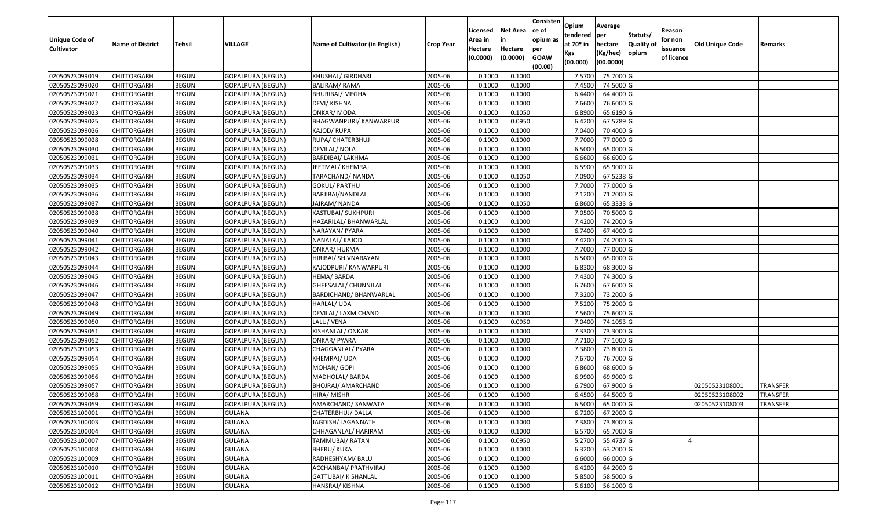| <b>Unique Code of</b> | <b>Name of District</b> | Tehsil       | VILLAGE                  | Name of Cultivator (in English) | <b>Crop Year</b> | Licensed<br>Area in | <b>Net Area</b><br>in | Consisten<br>ce of<br>opium as | Opium<br>tendered<br>at $70°$ in | Average<br>per<br>hectare | Statuts/<br>Quality o | Reason<br>for non      | <b>Old Unique Code</b> | Remarks         |
|-----------------------|-------------------------|--------------|--------------------------|---------------------------------|------------------|---------------------|-----------------------|--------------------------------|----------------------------------|---------------------------|-----------------------|------------------------|------------------------|-----------------|
| <b>Cultivator</b>     |                         |              |                          |                                 |                  | Hectare<br>(0.0000) | Hectare<br>(0.0000)   | per<br><b>GOAW</b><br>(00.00)  | Kgs<br>(00.000)                  | (Kg/hec)<br>(00.0000)     | opium                 | issuance<br>of licence |                        |                 |
| 02050523099019        | CHITTORGARH             | <b>BEGUN</b> | <b>GOPALPURA (BEGUN)</b> | KHUSHAL/ GIRDHARI               | 2005-06          | 0.1000              | 0.1000                |                                | 7.5700                           | 75.7000 G                 |                       |                        |                        |                 |
| 02050523099020        | CHITTORGARH             | <b>BEGUN</b> | <b>GOPALPURA (BEGUN)</b> | <b>BALIRAM/ RAMA</b>            | 2005-06          | 0.1000              | 0.1000                |                                | 7.4500                           | 74.5000G                  |                       |                        |                        |                 |
| 02050523099021        | CHITTORGARH             | <b>BEGUN</b> | GOPALPURA (BEGUN)        | BHURIBAI/ MEGHA                 | 2005-06          | 0.1000              | 0.1000                |                                | 6.4400                           | 64.4000 G                 |                       |                        |                        |                 |
| 02050523099022        | <b>CHITTORGARH</b>      | <b>BEGUN</b> | <b>GOPALPURA (BEGUN)</b> | DEVI/ KISHNA                    | 2005-06          | 0.1000              | 0.1000                |                                | 7.6600                           | 76.6000G                  |                       |                        |                        |                 |
| 02050523099023        | CHITTORGARH             | <b>BEGUN</b> | <b>GOPALPURA (BEGUN)</b> | ONKAR/ MODA                     | 2005-06          | 0.1000              | 0.1050                |                                | 6.8900                           | 65.6190 G                 |                       |                        |                        |                 |
| 02050523099025        | CHITTORGARH             | <b>BEGUN</b> | <b>GOPALPURA (BEGUN)</b> | <b>BHAGWANPURI/ KANWARPURI</b>  | 2005-06          | 0.1000              | 0.0950                |                                | 6.4200                           | 67.5789 G                 |                       |                        |                        |                 |
| 02050523099026        | CHITTORGARH             | <b>BEGUN</b> | GOPALPURA (BEGUN)        | KAJOD/ RUPA                     | 2005-06          | 0.1000              | 0.1000                |                                | 7.0400                           | 70.4000 G                 |                       |                        |                        |                 |
| 02050523099028        | <b>CHITTORGARH</b>      | <b>BEGUN</b> | GOPALPURA (BEGUN)        | RUPA/ CHATERBHUJ                | 2005-06          | 0.1000              | 0.1000                |                                | 7.7000                           | 77.0000G                  |                       |                        |                        |                 |
| 02050523099030        | CHITTORGARH             | <b>BEGUN</b> | <b>GOPALPURA (BEGUN)</b> | DEVILAL/ NOLA                   | 2005-06          | 0.1000              | 0.1000                |                                | 6.5000                           | 65.0000G                  |                       |                        |                        |                 |
| 02050523099031        | CHITTORGARH             | <b>BEGUN</b> | <b>GOPALPURA (BEGUN)</b> | <b>BARDIBAI/ LAKHMA</b>         | 2005-06          | 0.1000              | 0.1000                |                                | 6.6600                           | 66.6000 G                 |                       |                        |                        |                 |
| 02050523099033        | CHITTORGARH             | <b>BEGUN</b> | <b>GOPALPURA (BEGUN)</b> | JEETMAL/ KHEMRAJ                | 2005-06          | 0.1000              | 0.1000                |                                | 6.5900                           | 65.9000G                  |                       |                        |                        |                 |
| 02050523099034        | CHITTORGARH             | <b>BEGUN</b> | GOPALPURA (BEGUN)        | TARACHAND/ NANDA                | 2005-06          | 0.1000              | 0.1050                |                                | 7.0900                           | 67.5238 G                 |                       |                        |                        |                 |
| 02050523099035        | <b>CHITTORGARH</b>      | <b>BEGUN</b> | <b>GOPALPURA (BEGUN)</b> | <b>GOKUL/ PARTHU</b>            | 2005-06          | 0.1000              | 0.1000                |                                | 7.7000                           | 77.0000 G                 |                       |                        |                        |                 |
| 02050523099036        | <b>CHITTORGARH</b>      | <b>BEGUN</b> | <b>GOPALPURA (BEGUN)</b> | BARJIBAI/NANDLAL                | 2005-06          | 0.1000              | 0.1000                |                                | 7.1200                           | 71.2000 G                 |                       |                        |                        |                 |
| 02050523099037        | CHITTORGARH             | <b>BEGUN</b> | <b>GOPALPURA (BEGUN)</b> | JAIRAM/NANDA                    | 2005-06          | 0.1000              | 0.1050                |                                | 6.8600                           | 65.3333 G                 |                       |                        |                        |                 |
| 02050523099038        | CHITTORGARH             | <b>BEGUN</b> | GOPALPURA (BEGUN)        | KASTUBAI/ SUKHPURI              | 2005-06          | 0.1000              | 0.1000                |                                | 7.0500                           | 70.5000G                  |                       |                        |                        |                 |
| 02050523099039        | <b>CHITTORGARH</b>      | <b>BEGUN</b> | <b>GOPALPURA (BEGUN)</b> | HAZARILAL/ BHANWARLAL           | 2005-06          | 0.1000              | 0.1000                |                                | 7.4200                           | 74.2000 G                 |                       |                        |                        |                 |
| 02050523099040        | CHITTORGARH             | <b>BEGUN</b> | <b>GOPALPURA (BEGUN)</b> | NARAYAN/ PYARA                  | 2005-06          | 0.1000              | 0.1000                |                                | 6.7400                           | 67.4000 G                 |                       |                        |                        |                 |
| 02050523099041        | CHITTORGARH             | <b>BEGUN</b> | <b>GOPALPURA (BEGUN)</b> | NANALAL/ KAJOD                  | 2005-06          | 0.1000              | 0.1000                |                                | 7.4200                           | 74.2000 G                 |                       |                        |                        |                 |
| 02050523099042        | CHITTORGARH             | <b>BEGUN</b> | <b>GOPALPURA (BEGUN)</b> | ONKAR/ HUKMA                    | 2005-06          | 0.1000              | 0.1000                |                                | 7.7000                           | 77.0000G                  |                       |                        |                        |                 |
| 02050523099043        | CHITTORGARH             | <b>BEGUN</b> | <b>GOPALPURA (BEGUN)</b> | HIRIBAI/ SHIVNARAYAN            | 2005-06          | 0.1000              | 0.1000                |                                | 6.5000                           | 65.0000G                  |                       |                        |                        |                 |
| 02050523099044        | CHITTORGARH             | <b>BEGUN</b> | <b>GOPALPURA (BEGUN)</b> | KAJODPURI/ KANWARPURI           | 2005-06          | 0.1000              | 0.1000                |                                | 6.8300                           | 68.3000 G                 |                       |                        |                        |                 |
| 02050523099045        | CHITTORGARH             | <b>BEGUN</b> | <b>GOPALPURA (BEGUN)</b> | HEMA/BARDA                      | 2005-06          | 0.1000              | 0.1000                |                                | 7.4300                           | 74.3000G                  |                       |                        |                        |                 |
| 02050523099046        | CHITTORGARH             | <b>BEGUN</b> | <b>GOPALPURA (BEGUN)</b> | GHEESALAL/ CHUNNILAL            | 2005-06          | 0.1000              | 0.1000                |                                | 6.7600                           | 67.6000 G                 |                       |                        |                        |                 |
| 02050523099047        | CHITTORGARH             | <b>BEGUN</b> | <b>GOPALPURA (BEGUN)</b> | BARDICHAND/ BHANWARLAL          | 2005-06          | 0.1000              | 0.1000                |                                | 7.3200                           | 73.2000 G                 |                       |                        |                        |                 |
| 02050523099048        | CHITTORGARH             | <b>BEGUN</b> | <b>GOPALPURA (BEGUN)</b> | HARLAL/ UDA                     | 2005-06          | 0.1000              | 0.1000                |                                | 7.5200                           | 75.2000 G                 |                       |                        |                        |                 |
| 02050523099049        | CHITTORGARH             | <b>BEGUN</b> | <b>GOPALPURA (BEGUN)</b> | DEVILAL/ LAXMICHAND             | 2005-06          | 0.1000              | 0.1000                |                                | 7.5600                           | 75.6000G                  |                       |                        |                        |                 |
| 02050523099050        | CHITTORGARH             | <b>BEGUN</b> | GOPALPURA (BEGUN)        | LALU/ VENA                      | 2005-06          | 0.1000              | 0.0950                |                                | 7.0400                           | 74.1053 G                 |                       |                        |                        |                 |
| 02050523099051        | CHITTORGARH             | <b>BEGUN</b> | <b>GOPALPURA (BEGUN)</b> | KISHANLAL/ ONKAR                | 2005-06          | 0.1000              | 0.1000                |                                | 7.3300                           | 73.3000 G                 |                       |                        |                        |                 |
| 02050523099052        | CHITTORGARH             | <b>BEGUN</b> | <b>GOPALPURA (BEGUN)</b> | ONKAR/ PYARA                    | 2005-06          | 0.1000              | 0.1000                |                                | 7.7100                           | 77.1000G                  |                       |                        |                        |                 |
| 02050523099053        | CHITTORGARH             | <b>BEGUN</b> | <b>GOPALPURA (BEGUN)</b> | CHAGGANLAL/ PYARA               | 2005-06          | 0.1000              | 0.1000                |                                | 7.3800                           | 73.8000 G                 |                       |                        |                        |                 |
| 02050523099054        | CHITTORGARH             | <b>BEGUN</b> | GOPALPURA (BEGUN)        | KHEMRAJ/ UDA                    | 2005-06          | 0.1000              | 0.1000                |                                | 7.6700                           | 76.7000 G                 |                       |                        |                        |                 |
| 02050523099055        | CHITTORGARH             | <b>BEGUN</b> | <b>GOPALPURA (BEGUN)</b> | MOHAN/ GOPI                     | 2005-06          | 0.1000              | 0.1000                |                                | 6.8600                           | 68.6000 G                 |                       |                        |                        |                 |
| 02050523099056        | CHITTORGARH             | <b>BEGUN</b> | <b>GOPALPURA (BEGUN)</b> | MADHOLAL/ BARDA                 | 2005-06          | 0.1000              | 0.1000                |                                | 6.9900                           | 69.9000 G                 |                       |                        |                        |                 |
| 02050523099057        | CHITTORGARH             | <b>BEGUN</b> | <b>GOPALPURA (BEGUN)</b> | BHOJRAJ/ AMARCHAND              | 2005-06          | 0.1000              | 0.1000                |                                | 6.7900                           | 67.9000 G                 |                       |                        | 02050523108001         | TRANSFER        |
| 02050523099058        | CHITTORGARH             | <b>BEGUN</b> | GOPALPURA (BEGUN)        | HIRA/ MISHRI                    | 2005-06          | 0.1000              | 0.1000                |                                | 6.4500                           | 64.5000 G                 |                       |                        | 02050523108002         | TRANSFER        |
| 02050523099059        | <b>CHITTORGARH</b>      | <b>BEGUN</b> | GOPALPURA (BEGUN)        | AMARCHAND/ SANWATA              | 2005-06          | 0.1000              | 0.1000                |                                | 6.5000                           | 65.0000G                  |                       |                        | 02050523108003         | <b>TRANSFER</b> |
| 02050523100001        | <b>CHITTORGARH</b>      | <b>BEGUN</b> | <b>GULANA</b>            | CHATERBHUJ/ DALLA               | 2005-06          | 0.1000              | 0.1000                |                                | 6.7200                           | 67.2000 G                 |                       |                        |                        |                 |
| 02050523100003        | <b>CHITTORGARH</b>      | <b>BEGUN</b> | <b>GULANA</b>            | JAGDISH/ JAGANNATH              | 2005-06          | 0.1000              | 0.1000                |                                | 7.3800                           | 73.8000 G                 |                       |                        |                        |                 |
| 02050523100004        | <b>CHITTORGARH</b>      | <b>BEGUN</b> | <b>GULANA</b>            | CHHAGANLAL/ HARIRAM             | 2005-06          | 0.1000              | 0.1000                |                                | 6.5700                           | 65.7000 G                 |                       |                        |                        |                 |
| 02050523100007        | <b>CHITTORGARH</b>      | <b>BEGUN</b> | <b>GULANA</b>            | TAMMUBAI/ RATAN                 | 2005-06          | 0.1000              | 0.0950                |                                | 5.2700                           | 55.4737 G                 |                       |                        |                        |                 |
| 02050523100008        | <b>CHITTORGARH</b>      | <b>BEGUN</b> | <b>GULANA</b>            | <b>BHERU/ KUKA</b>              | 2005-06          | 0.1000              | 0.1000                |                                | 6.3200                           | 63.2000 G                 |                       |                        |                        |                 |
| 02050523100009        | <b>CHITTORGARH</b>      | <b>BEGUN</b> | <b>GULANA</b>            | RADHESHYAM/ BALU                | 2005-06          | 0.1000              | 0.1000                |                                | 6.6000                           | 66.0000 G                 |                       |                        |                        |                 |
| 02050523100010        | <b>CHITTORGARH</b>      | <b>BEGUN</b> | <b>GULANA</b>            | ACCHANBAI/ PRATHVIRAJ           | 2005-06          | 0.1000              | 0.1000                |                                | 6.4200                           | 64.2000 G                 |                       |                        |                        |                 |
| 02050523100011        | CHITTORGARH             | <b>BEGUN</b> | <b>GULANA</b>            | GATTUBAI/ KISHANLAL             | 2005-06          | 0.1000              | 0.1000                |                                | 5.8500                           | 58.5000 G                 |                       |                        |                        |                 |
| 02050523100012        | <b>CHITTORGARH</b>      | <b>BEGUN</b> | <b>GULANA</b>            | HANSRAJ/ KISHNA                 | 2005-06          | 0.1000              | 0.1000                |                                | 5.6100                           | 56.1000 G                 |                       |                        |                        |                 |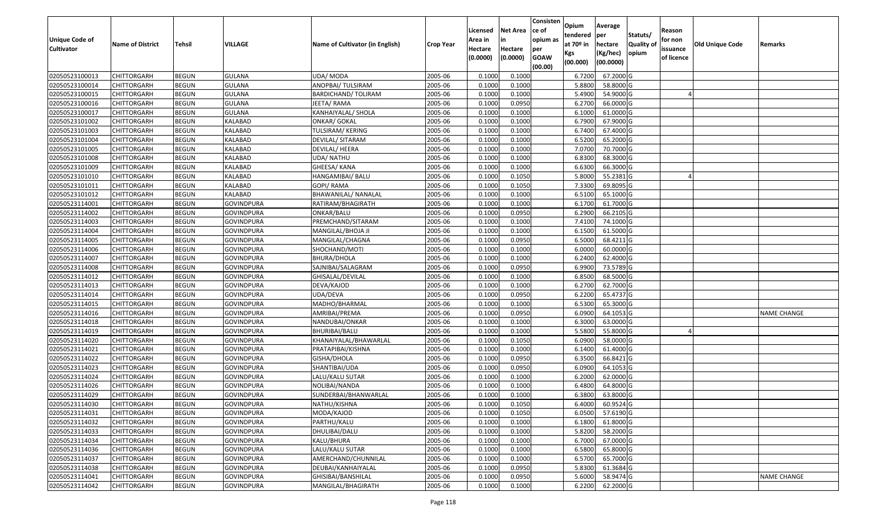| Unique Code of    |                         |               |                   |                                 |                  | Licensed<br>Area in | <b>Net Area</b><br>in | Consisten<br>ce of<br>opium as | Opium<br>tendered<br>at $70°$ in | Average<br>per                   | Statuts/                  | Reason<br>for non      |                 |                    |
|-------------------|-------------------------|---------------|-------------------|---------------------------------|------------------|---------------------|-----------------------|--------------------------------|----------------------------------|----------------------------------|---------------------------|------------------------|-----------------|--------------------|
| <b>Cultivator</b> | <b>Name of District</b> | <b>Tehsil</b> | VILLAGE           | Name of Cultivator (in English) | <b>Crop Year</b> | Hectare<br>(0.0000) | Hectare<br>(0.0000)   | per<br><b>GOAW</b><br>(00.00)  | Kgs<br>(00.000)                  | hectare<br>(Kg/hec)<br>(00.0000) | <b>Quality o</b><br>opium | issuance<br>of licence | Old Unique Code | Remarks            |
| 02050523100013    | CHITTORGARH             | <b>BEGUN</b>  | <b>GULANA</b>     | UDA/ MODA                       | 2005-06          | 0.1000              | 0.1000                |                                | 6.7200                           | 67.2000 G                        |                           |                        |                 |                    |
| 02050523100014    | CHITTORGARH             | <b>BEGUN</b>  | <b>GULANA</b>     | ANOPBAI/ TULSIRAM               | 2005-06          | 0.1000              | 0.1000                |                                | 5.8800                           | 58.8000 G                        |                           |                        |                 |                    |
| 02050523100015    | CHITTORGARH             | <b>BEGUN</b>  | <b>GULANA</b>     | BARDICHAND/ TOLIRAM             | 2005-06          | 0.1000              | 0.1000                |                                | 5.4900                           | 54.9000 G                        |                           |                        |                 |                    |
| 02050523100016    | CHITTORGARH             | <b>BEGUN</b>  | <b>GULANA</b>     | JEETA/RAMA                      | 2005-06          | 0.1000              | 0.0950                |                                | 6.2700                           | 66.0000G                         |                           |                        |                 |                    |
| 02050523100017    | CHITTORGARH             | <b>BEGUN</b>  | <b>GULANA</b>     | KANHAIYALAL/ SHOLA              | 2005-06          | 0.1000              | 0.1000                |                                | 6.1000                           | 61.0000G                         |                           |                        |                 |                    |
| 02050523101002    | CHITTORGARH             | <b>BEGUN</b>  | KALABAD           | ONKAR/ GOKAL                    | 2005-06          | 0.1000              | 0.1000                |                                | 6.7900                           | 67.9000 G                        |                           |                        |                 |                    |
| 02050523101003    | CHITTORGARH             | <b>BEGUN</b>  | KALABAD           | TULSIRAM/ KERING                | 2005-06          | 0.1000              | 0.1000                |                                | 6.7400                           | 67.4000 G                        |                           |                        |                 |                    |
| 02050523101004    | <b>CHITTORGARH</b>      | <b>BEGUN</b>  | KALABAD           | DEVILAL/ SITARAM                | 2005-06          | 0.1000              | 0.1000                |                                | 6.5200                           | 65.2000G                         |                           |                        |                 |                    |
| 02050523101005    | CHITTORGARH             | <b>BEGUN</b>  | KALABAD           | DEVILAL/ HEERA                  | 2005-06          | 0.1000              | 0.1000                |                                | 7.0700                           | 70.7000G                         |                           |                        |                 |                    |
| 02050523101008    | CHITTORGARH             | <b>BEGUN</b>  | KALABAD           | UDA/ NATHU                      | 2005-06          | 0.1000              | 0.1000                |                                | 6.8300                           | 68.3000 G                        |                           |                        |                 |                    |
| 02050523101009    | CHITTORGARH             | <b>BEGUN</b>  | KALABAD           | GHEESA/ KANA                    | 2005-06          | 0.1000              | 0.1000                |                                | 6.6300                           | 66.3000 G                        |                           |                        |                 |                    |
| 02050523101010    | <b>CHITTORGARH</b>      | <b>BEGUN</b>  | KALABAD           | HANGAMIBAI/ BALU                | 2005-06          | 0.1000              | 0.1050                |                                | 5.8000                           | 55.2381 G                        |                           |                        |                 |                    |
| 02050523101011    | <b>CHITTORGARH</b>      | <b>BEGUN</b>  | KALABAD           | GOPI/ RAMA                      | 2005-06          | 0.1000              | 0.1050                |                                | 7.3300                           | 69.8095 G                        |                           |                        |                 |                    |
| 02050523101012    | <b>CHITTORGARH</b>      | <b>BEGUN</b>  | KALABAD           | BHAWANILAL/ NANALAL             | 2005-06          | 0.1000              | 0.1000                |                                | 6.5100                           | 65.1000G                         |                           |                        |                 |                    |
| 02050523114001    | CHITTORGARH             | <b>BEGUN</b>  | <b>GOVINDPURA</b> | RATIRAM/BHAGIRATH               | 2005-06          | 0.1000              | 0.1000                |                                | 6.1700                           | 61.7000G                         |                           |                        |                 |                    |
| 02050523114002    | CHITTORGARH             | <b>BEGUN</b>  | <b>GOVINDPURA</b> | ONKAR/BALU                      | 2005-06          | 0.1000              | 0.0950                |                                | 6.2900                           | 66.2105 G                        |                           |                        |                 |                    |
| 02050523114003    | CHITTORGARH             | <b>BEGUN</b>  | <b>GOVINDPURA</b> | PREMCHAND/SITARAM               | 2005-06          | 0.1000              | 0.1000                |                                | 7.4100                           | 74.1000 G                        |                           |                        |                 |                    |
| 02050523114004    | CHITTORGARH             | <b>BEGUN</b>  | <b>GOVINDPURA</b> | MANGILAL/BHOJA JI               | 2005-06          | 0.1000              | 0.1000                |                                | 6.1500                           | 61.5000G                         |                           |                        |                 |                    |
| 02050523114005    | CHITTORGARH             | <b>BEGUN</b>  | <b>GOVINDPURA</b> | MANGILAL/CHAGNA                 | 2005-06          | 0.1000              | 0.0950                |                                | 6.5000                           | 68.4211G                         |                           |                        |                 |                    |
| 02050523114006    | CHITTORGARH             | <b>BEGUN</b>  | <b>GOVINDPURA</b> | SHOCHAND/MOTI                   | 2005-06          | 0.1000              | 0.1000                |                                | 6.0000                           | 60.0000G                         |                           |                        |                 |                    |
| 02050523114007    | CHITTORGARH             | <b>BEGUN</b>  | <b>GOVINDPURA</b> | <b>BHURA/DHOLA</b>              | 2005-06          | 0.1000              | 0.1000                |                                | 6.2400                           | 62.4000G                         |                           |                        |                 |                    |
| 02050523114008    | CHITTORGARH             | <b>BEGUN</b>  | <b>GOVINDPURA</b> | SAJNIBAI/SALAGRAM               | 2005-06          | 0.1000              | 0.0950                |                                | 6.990                            | 73.5789 G                        |                           |                        |                 |                    |
| 02050523114012    | CHITTORGARH             | <b>BEGUN</b>  | <b>GOVINDPURA</b> | GHISALAL/DEVILAL                | 2005-06          | 0.1000              | 0.1000                |                                | 6.8500                           | 68.5000 G                        |                           |                        |                 |                    |
| 02050523114013    | CHITTORGARH             | <b>BEGUN</b>  | <b>GOVINDPURA</b> | DEVA/KAJOD                      | 2005-06          | 0.1000              | 0.1000                |                                | 6.2700                           | 62.7000 G                        |                           |                        |                 |                    |
| 02050523114014    | <b>CHITTORGARH</b>      | <b>BEGUN</b>  | <b>GOVINDPURA</b> | UDA/DEVA                        | 2005-06          | 0.1000              | 0.0950                |                                | 6.2200                           | 65.4737 G                        |                           |                        |                 |                    |
| 02050523114015    | CHITTORGARH             | <b>BEGUN</b>  | <b>GOVINDPURA</b> | MADHO/BHARMAL                   | 2005-06          | 0.1000              | 0.1000                |                                | 6.5300                           | 65.3000G                         |                           |                        |                 |                    |
| 02050523114016    | CHITTORGARH             | <b>BEGUN</b>  | <b>GOVINDPURA</b> | AMRIBAI/PREMA                   | 2005-06          | 0.1000              | 0.0950                |                                | 6.0900                           | 64.1053 G                        |                           |                        |                 | <b>NAME CHANGE</b> |
| 02050523114018    | CHITTORGARH             | <b>BEGUN</b>  | <b>GOVINDPURA</b> | NANDUBAI/ONKAR                  | 2005-06          | 0.1000              | 0.1000                |                                | 6.3000                           | 63.0000G                         |                           |                        |                 |                    |
| 02050523114019    | CHITTORGARH             | <b>BEGUN</b>  | <b>GOVINDPURA</b> | BHURIBAI/BALU                   | 2005-06          | 0.1000              | 0.1000                |                                | 5.5800                           | 55.8000 G                        |                           |                        |                 |                    |
| 02050523114020    | CHITTORGARH             | <b>BEGUN</b>  | <b>GOVINDPURA</b> | KHANAIYALAL/BHAWARLAL           | 2005-06          | 0.1000              | 0.1050                |                                | 6.0900                           | 58.0000G                         |                           |                        |                 |                    |
| 02050523114021    | CHITTORGARH             | <b>BEGUN</b>  | <b>GOVINDPURA</b> | PRATAPIBAI/KISHNA               | 2005-06          | 0.1000              | 0.1000                |                                | 6.1400                           | 61.4000 G                        |                           |                        |                 |                    |
| 02050523114022    | CHITTORGARH             | <b>BEGUN</b>  | <b>GOVINDPURA</b> | GISHA/DHOLA                     | 2005-06          | 0.1000              | 0.0950                |                                | 6.3500                           | 66.8421G                         |                           |                        |                 |                    |
| 02050523114023    | CHITTORGARH             | <b>BEGUN</b>  | <b>GOVINDPURA</b> | SHANTIBAI/UDA                   | 2005-06          | 0.1000              | 0.0950                |                                | 6.0900                           | 64.1053 G                        |                           |                        |                 |                    |
| 02050523114024    | CHITTORGARH             | <b>BEGUN</b>  | <b>GOVINDPURA</b> | LALU/KALU SUTAR                 | 2005-06          | 0.1000              | 0.1000                |                                | 6.2000                           | 62.0000 G                        |                           |                        |                 |                    |
| 02050523114026    | CHITTORGARH             | <b>BEGUN</b>  | <b>GOVINDPURA</b> | NOLIBAI/NANDA                   | 2005-06          | 0.1000              | 0.1000                |                                | 6.4800                           | 64.8000 G                        |                           |                        |                 |                    |
| 02050523114029    | CHITTORGARH             | <b>BEGUN</b>  | <b>GOVINDPURA</b> | SUNDERBAI/BHANWARLAL            | 2005-06          | 0.1000              | 0.1000                |                                | 6.3800                           | 63.8000 G                        |                           |                        |                 |                    |
| 02050523114030    | <b>CHITTORGARH</b>      | <b>BEGUN</b>  | <b>GOVINDPURA</b> | NATHU/KISHNA                    | 2005-06          | 0.1000              | 0.1050                |                                | 6.4000                           | 60.9524 G                        |                           |                        |                 |                    |
| 02050523114031    | <b>CHITTORGARH</b>      | <b>BEGUN</b>  | GOVINDPURA        | MODA/KAJOD                      | 2005-06          | 0.1000              | 0.1050                |                                | 6.0500                           | 57.6190 G                        |                           |                        |                 |                    |
| 02050523114032    | <b>CHITTORGARH</b>      | <b>BEGUN</b>  | <b>GOVINDPURA</b> | PARTHU/KALU                     | 2005-06          | 0.1000              | 0.1000                |                                | 6.1800                           | 61.8000 G                        |                           |                        |                 |                    |
| 02050523114033    | <b>CHITTORGARH</b>      | <b>BEGUN</b>  | <b>GOVINDPURA</b> | DHULIBAI/DALU                   | 2005-06          | 0.1000              | 0.1000                |                                | 5.8200                           | 58.2000 G                        |                           |                        |                 |                    |
| 02050523114034    | <b>CHITTORGARH</b>      | <b>BEGUN</b>  | <b>GOVINDPURA</b> | KALU/BHURA                      | 2005-06          | 0.1000              | 0.1000                |                                | 6.7000                           | 67.0000 G                        |                           |                        |                 |                    |
| 02050523114036    | <b>CHITTORGARH</b>      | <b>BEGUN</b>  | <b>GOVINDPURA</b> | LALU/KALU SUTAR                 | 2005-06          | 0.1000              | 0.1000                |                                | 6.5800                           | 65.8000 G                        |                           |                        |                 |                    |
| 02050523114037    | <b>CHITTORGARH</b>      | <b>BEGUN</b>  | <b>GOVINDPURA</b> | AMERCHAND/CHUNNILAL             | 2005-06          | 0.1000              | 0.1000                |                                | 6.5700                           | 65.7000 G                        |                           |                        |                 |                    |
| 02050523114038    | <b>CHITTORGARH</b>      | <b>BEGUN</b>  | <b>GOVINDPURA</b> | DEUBAI/KANHAIYALAL              | 2005-06          | 0.1000              | 0.0950                |                                | 5.8300                           | 61.3684 G                        |                           |                        |                 |                    |
| 02050523114041    | <b>CHITTORGARH</b>      | <b>BEGUN</b>  | <b>GOVINDPURA</b> | GHISIBAI/BANSHILAL              | 2005-06          | 0.1000              | 0.0950                |                                | 5.6000                           | 58.9474 G                        |                           |                        |                 | NAME CHANGE        |
| 02050523114042    | <b>CHITTORGARH</b>      | <b>BEGUN</b>  | <b>GOVINDPURA</b> | MANGILAL/BHAGIRATH              | 2005-06          | 0.1000              | 0.1000                |                                | 6.2200                           | 62.2000 G                        |                           |                        |                 |                    |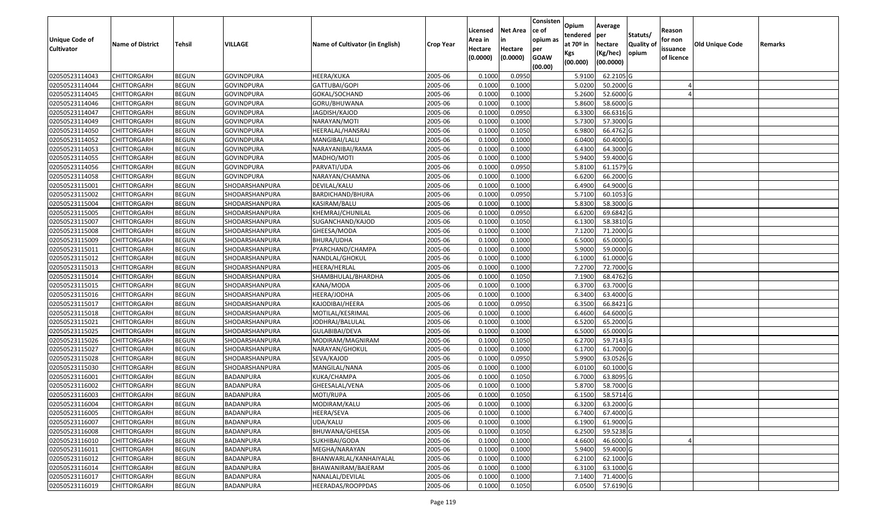| <b>Unique Code of</b> |                         |               |                   |                                 |                  | Licensed<br>Area in | <b>Net Area</b><br>in | Consisten<br>ce of<br>opium as | Opium<br>tendered<br>at $70°$ in | Average<br>per                   | Statuts/                  | Reason<br>for non      |                 |         |
|-----------------------|-------------------------|---------------|-------------------|---------------------------------|------------------|---------------------|-----------------------|--------------------------------|----------------------------------|----------------------------------|---------------------------|------------------------|-----------------|---------|
| <b>Cultivator</b>     | <b>Name of District</b> | <b>Tehsil</b> | <b>VILLAGE</b>    | Name of Cultivator (in English) | <b>Crop Year</b> | Hectare<br>(0.0000) | Hectare<br>(0.0000)   | per<br><b>GOAW</b><br>(00.00)  | Kgs<br>(00.000)                  | hectare<br>(Kg/hec)<br>(00.0000) | <b>Quality o</b><br>opium | issuance<br>of licence | Old Unique Code | Remarks |
| 02050523114043        | CHITTORGARH             | <b>BEGUN</b>  | <b>GOVINDPURA</b> | HEERA/KUKA                      | 2005-06          | 0.1000              | 0.0950                |                                | 5.9100                           | 62.2105 G                        |                           |                        |                 |         |
| 02050523114044        | CHITTORGARH             | <b>BEGUN</b>  | <b>GOVINDPURA</b> | GATTUBAI/GOPI                   | 2005-06          | 0.1000              | 0.1000                |                                | 5.0200                           | 50.2000 G                        |                           |                        |                 |         |
| 02050523114045        | CHITTORGARH             | <b>BEGUN</b>  | <b>GOVINDPURA</b> | GOKAL/SOCHAND                   | 2005-06          | 0.1000              | 0.1000                |                                | 5.2600                           | 52.6000G                         |                           |                        |                 |         |
| 02050523114046        | <b>CHITTORGARH</b>      | <b>BEGUN</b>  | <b>GOVINDPURA</b> | GORU/BHUWANA                    | 2005-06          | 0.1000              | 0.1000                |                                | 5.8600                           | 58.6000 G                        |                           |                        |                 |         |
| 02050523114047        | CHITTORGARH             | <b>BEGUN</b>  | <b>GOVINDPURA</b> | JAGDISH/KAJOD                   | 2005-06          | 0.1000              | 0.0950                |                                | 6.3300                           | 66.6316 G                        |                           |                        |                 |         |
| 02050523114049        | CHITTORGARH             | <b>BEGUN</b>  | <b>GOVINDPURA</b> | NARAYAN/MOTI                    | 2005-06          | 0.1000              | 0.1000                |                                | 5.7300                           | 57.3000G                         |                           |                        |                 |         |
| 02050523114050        | CHITTORGARH             | <b>BEGUN</b>  | <b>GOVINDPURA</b> | HEERALAL/HANSRAJ                | 2005-06          | 0.1000              | 0.1050                |                                | 6.9800                           | 66.4762 G                        |                           |                        |                 |         |
| 02050523114052        | CHITTORGARH             | <b>BEGUN</b>  | <b>GOVINDPURA</b> | MANGIBAI/LALU                   | 2005-06          | 0.1000              | 0.1000                |                                | 6.0400                           | 60.4000 G                        |                           |                        |                 |         |
| 02050523114053        | CHITTORGARH             | <b>BEGUN</b>  | <b>GOVINDPURA</b> | NARAYANIBAI/RAMA                | 2005-06          | 0.1000              | 0.1000                |                                | 6.4300                           | 64.3000 G                        |                           |                        |                 |         |
| 02050523114055        | CHITTORGARH             | <b>BEGUN</b>  | GOVINDPURA        | MADHO/MOTI                      | 2005-06          | 0.1000              | 0.1000                |                                | 5.9400                           | 59.4000 G                        |                           |                        |                 |         |
| 02050523114056        | CHITTORGARH             | <b>BEGUN</b>  | <b>GOVINDPURA</b> | PARVATI/UDA                     | 2005-06          | 0.1000              | 0.0950                |                                | 5.8100                           | 61.1579 G                        |                           |                        |                 |         |
| 02050523114058        | <b>CHITTORGARH</b>      | <b>BEGUN</b>  | <b>GOVINDPURA</b> | NARAYAN/CHAMNA                  | 2005-06          | 0.1000              | 0.1000                |                                | 6.6200                           | 66.2000 G                        |                           |                        |                 |         |
| 02050523115001        | <b>CHITTORGARH</b>      | <b>BEGUN</b>  | SHODARSHANPURA    | DEVILAL/KALU                    | 2005-06          | 0.1000              | 0.1000                |                                | 6.4900                           | 64.9000 G                        |                           |                        |                 |         |
| 02050523115002        | <b>CHITTORGARH</b>      | <b>BEGUN</b>  | SHODARSHANPURA    | BARDICHAND/BHURA                | 2005-06          | 0.1000              | 0.0950                |                                | 5.7100                           | 60.1053 G                        |                           |                        |                 |         |
| 02050523115004        | CHITTORGARH             | <b>BEGUN</b>  | SHODARSHANPURA    | KASIRAM/BALU                    | 2005-06          | 0.1000              | 0.1000                |                                | 5.8300                           | 58.3000G                         |                           |                        |                 |         |
| 02050523115005        | CHITTORGARH             | <b>BEGUN</b>  | SHODARSHANPURA    | KHEMRAJ/CHUNILAL                | 2005-06          | 0.1000              | 0.0950                |                                | 6.6200                           | 69.6842 G                        |                           |                        |                 |         |
| 02050523115007        | CHITTORGARH             | <b>BEGUN</b>  | SHODARSHANPURA    | SUGANCHAND/KAJOD                | 2005-06          | 0.1000              | 0.1050                |                                | 6.1300                           | 58.3810 G                        |                           |                        |                 |         |
| 02050523115008        | CHITTORGARH             | <b>BEGUN</b>  | SHODARSHANPURA    | GHEESA/MODA                     | 2005-06          | 0.1000              | 0.1000                |                                | 7.1200                           | 71.2000 G                        |                           |                        |                 |         |
| 02050523115009        | CHITTORGARH             | <b>BEGUN</b>  | SHODARSHANPURA    | BHURA/UDHA                      | 2005-06          | 0.1000              | 0.1000                |                                | 6.5000                           | 65.0000G                         |                           |                        |                 |         |
| 02050523115011        | CHITTORGARH             | <b>BEGUN</b>  | SHODARSHANPURA    | PYARCHAND/CHAMPA                | 2005-06          | 0.1000              | 0.1000                |                                | 5.9000                           | 59.0000G                         |                           |                        |                 |         |
| 02050523115012        | CHITTORGARH             | <b>BEGUN</b>  | SHODARSHANPURA    | NANDLAL/GHOKUL                  | 2005-06          | 0.1000              | 0.1000                |                                | 6.1000                           | 61.0000 G                        |                           |                        |                 |         |
| 02050523115013        | CHITTORGARH             | <b>BEGUN</b>  | SHODARSHANPURA    | HEERA/HERLAL                    | 2005-06          | 0.1000              | 0.1000                |                                | 7.2700                           | 72.7000 G                        |                           |                        |                 |         |
| 02050523115014        | CHITTORGARH             | <b>BEGUN</b>  | SHODARSHANPURA    | SHAMBHULAL/BHARDHA              | 2005-06          | 0.1000              | 0.1050                |                                | 7.1900                           | 68.4762 G                        |                           |                        |                 |         |
| 02050523115015        | CHITTORGARH             | <b>BEGUN</b>  | SHODARSHANPURA    | KANA/MODA                       | 2005-06          | 0.1000              | 0.1000                |                                | 6.3700                           | 63.7000 G                        |                           |                        |                 |         |
| 02050523115016        | <b>CHITTORGARH</b>      | <b>BEGUN</b>  | SHODARSHANPURA    | HEERA/JODHA                     | 2005-06          | 0.1000              | 0.1000                |                                | 6.3400                           | 63.4000 G                        |                           |                        |                 |         |
| 02050523115017        | CHITTORGARH             | <b>BEGUN</b>  | SHODARSHANPURA    | KAJODIBAI/HEERA                 | 2005-06          | 0.1000              | 0.0950                |                                | 6.3500                           | 66.8421G                         |                           |                        |                 |         |
| 02050523115018        | CHITTORGARH             | <b>BEGUN</b>  | SHODARSHANPURA    | MOTILAL/KESRIMAL                | 2005-06          | 0.1000              | 0.1000                |                                | 6.4600                           | 64.6000 G                        |                           |                        |                 |         |
| 02050523115021        | CHITTORGARH             | <b>BEGUN</b>  | SHODARSHANPURA    | JODHRAJ/BALULAL                 | 2005-06          | 0.1000              | 0.1000                |                                | 6.5200                           | 65.2000 G                        |                           |                        |                 |         |
| 02050523115025        | CHITTORGARH             | <b>BEGUN</b>  | SHODARSHANPURA    | GULABIBAI/DEVA                  | 2005-06          | 0.1000              | 0.1000                |                                | 6.5000                           | 65.0000 G                        |                           |                        |                 |         |
| 02050523115026        | CHITTORGARH             | <b>BEGUN</b>  | SHODARSHANPURA    | MODIRAM/MAGNIRAM                | 2005-06          | 0.1000              | 0.1050                |                                | 6.2700                           | 59.7143 G                        |                           |                        |                 |         |
| 02050523115027        | CHITTORGARH             | <b>BEGUN</b>  | SHODARSHANPURA    | NARAYAN/GHOKUL                  | 2005-06          | 0.1000              | 0.1000                |                                | 6.1700                           | 61.7000G                         |                           |                        |                 |         |
| 02050523115028        | CHITTORGARH             | <b>BEGUN</b>  | SHODARSHANPURA    | SEVA/KAJOD                      | 2005-06          | 0.1000              | 0.0950                |                                | 5.9900                           | 63.0526 G                        |                           |                        |                 |         |
| 02050523115030        | CHITTORGARH             | <b>BEGUN</b>  | SHODARSHANPURA    | MANGILAL/NANA                   | 2005-06          | 0.1000              | 0.1000                |                                | 6.0100                           | 60.1000G                         |                           |                        |                 |         |
| 02050523116001        | <b>CHITTORGARH</b>      | <b>BEGUN</b>  | <b>BADANPURA</b>  | KUKA/CHAMPA                     | 2005-06          | 0.1000              | 0.1050                |                                | 6.7000                           | 63.8095 G                        |                           |                        |                 |         |
| 02050523116002        | CHITTORGARH             | <b>BEGUN</b>  | BADANPURA         | GHEESALAL/VENA                  | 2005-06          | 0.1000              | 0.1000                |                                | 5.8700                           | 58.7000 G                        |                           |                        |                 |         |
| 02050523116003        | CHITTORGARH             | <b>BEGUN</b>  | BADANPURA         | MOTI/RUPA                       | 2005-06          | 0.1000              | 0.1050                |                                | 6.1500                           | 58.5714 G                        |                           |                        |                 |         |
| 02050523116004        | <b>CHITTORGARH</b>      | <b>BEGUN</b>  | BADANPURA         | MODIRAM/KALU                    | 2005-06          | 0.1000              | 0.1000                |                                | 6.3200                           | 63.2000G                         |                           |                        |                 |         |
| 02050523116005        | <b>CHITTORGARH</b>      | <b>BEGUN</b>  | BADANPURA         | HEERA/SEVA                      | 2005-06          | 0.1000              | 0.1000                |                                | 6.7400                           | 67.4000 G                        |                           |                        |                 |         |
| 02050523116007        | <b>CHITTORGARH</b>      | <b>BEGUN</b>  | BADANPURA         | UDA/KALU                        | 2005-06          | 0.1000              | 0.1000                |                                | 6.1900                           | 61.9000 G                        |                           |                        |                 |         |
| 02050523116008        | <b>CHITTORGARH</b>      | <b>BEGUN</b>  | BADANPURA         | BHUWANA/GHEESA                  | 2005-06          | 0.1000              | 0.1050                |                                | 6.2500                           | 59.5238 G                        |                           |                        |                 |         |
| 02050523116010        | CHITTORGARH             | <b>BEGUN</b>  | BADANPURA         | SUKHIBAI/GODA                   | 2005-06          | 0.1000              | 0.1000                |                                | 4.6600                           | 46.6000 G                        |                           |                        |                 |         |
| 02050523116011        | <b>CHITTORGARH</b>      | <b>BEGUN</b>  | BADANPURA         | MEGHA/NARAYAN                   | 2005-06          | 0.1000              | 0.1000                |                                | 5.9400                           | 59.4000 G                        |                           |                        |                 |         |
| 02050523116012        | <b>CHITTORGARH</b>      | <b>BEGUN</b>  | BADANPURA         | BHANWARLAL/KANHAIYALAL          | 2005-06          | 0.1000              | 0.1000                |                                | 6.2100                           | 62.1000 G                        |                           |                        |                 |         |
| 02050523116014        | CHITTORGARH             | <b>BEGUN</b>  | BADANPURA         | BHAWANIRAM/BAJERAM              | 2005-06          | 0.1000              | 0.1000                |                                | 6.3100                           | 63.1000 G                        |                           |                        |                 |         |
| 02050523116017        | <b>CHITTORGARH</b>      | <b>BEGUN</b>  | BADANPURA         | NANALAL/DEVILAL                 | 2005-06          | 0.1000              | 0.1000                |                                | 7.1400                           | 71.4000 G                        |                           |                        |                 |         |
| 02050523116019        | <b>CHITTORGARH</b>      | <b>BEGUN</b>  | BADANPURA         | HEERADAS/ROOPPDAS               | 2005-06          | 0.1000              | 0.1050                |                                | 6.0500                           | 57.6190 G                        |                           |                        |                 |         |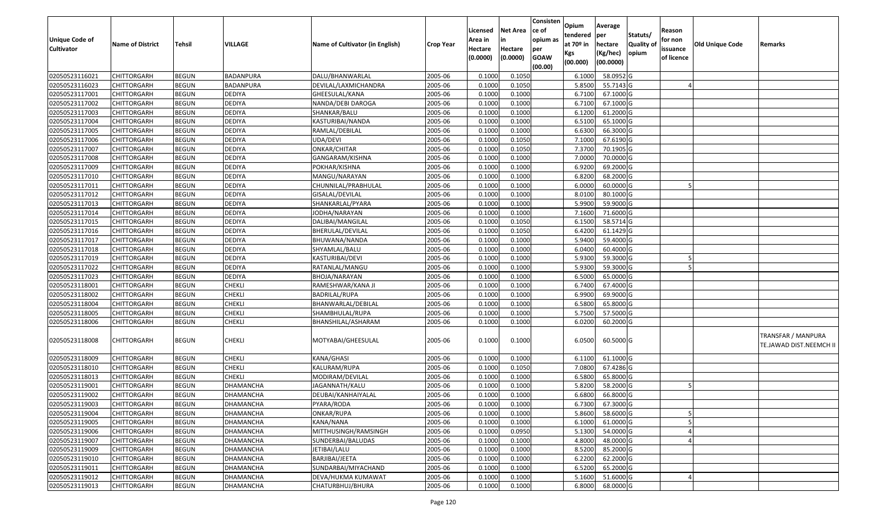| <b>Unique Code of</b><br><b>Cultivator</b> | <b>Name of District</b> | <b>Tehsil</b> | <b>VILLAGE</b>   | Name of Cultivator (in English) | <b>Crop Year</b> | Licensed<br>Area in<br>Hectare | <b>Net Area</b><br>in<br>Hectare | Consisten<br>ce of<br>opium as<br>per | Opium<br>tendered<br>at $70°$ in | Average<br>per<br>hectare | Statuts/<br><b>Quality o</b> | Reason<br>for non<br>issuance | Old Unique Code | Remarks                                              |
|--------------------------------------------|-------------------------|---------------|------------------|---------------------------------|------------------|--------------------------------|----------------------------------|---------------------------------------|----------------------------------|---------------------------|------------------------------|-------------------------------|-----------------|------------------------------------------------------|
|                                            |                         |               |                  |                                 |                  | (0.0000)                       | (0.0000)                         | <b>GOAW</b><br>(00.00)                | Kgs<br>(00.000)                  | (Kg/hec)<br>(00.0000)     | opium                        | of licence                    |                 |                                                      |
| 02050523116021                             | CHITTORGARH             | <b>BEGUN</b>  | BADANPURA        | DALU/BHANWARLAL                 | 2005-06          | 0.1000                         | 0.1050                           |                                       | 6.1000                           | 58.0952G                  |                              |                               |                 |                                                      |
| 02050523116023                             | CHITTORGARH             | <b>BEGUN</b>  | BADANPURA        | DEVILAL/LAXMICHANDRA            | 2005-06          | 0.1000                         | 0.1050                           |                                       | 5.8500                           | 55.7143 G                 |                              |                               |                 |                                                      |
| 02050523117001                             | CHITTORGARH             | <b>BEGUN</b>  | <b>DEDIYA</b>    | GHEESULAL/KANA                  | 2005-06          | 0.1000                         | 0.1000                           |                                       | 6.7100                           | 67.1000G                  |                              |                               |                 |                                                      |
| 02050523117002                             | <b>CHITTORGARH</b>      | <b>BEGUN</b>  | <b>DEDIYA</b>    | NANDA/DEBI DAROGA               | 2005-06          | 0.1000                         | 0.1000                           |                                       | 6.7100                           | 67.1000G                  |                              |                               |                 |                                                      |
| 02050523117003                             | CHITTORGARH             | <b>BEGUN</b>  | <b>DEDIYA</b>    | SHANKAR/BALU                    | 2005-06          | 0.1000                         | 0.1000                           |                                       | 6.1200                           | 61.2000 G                 |                              |                               |                 |                                                      |
| 02050523117004                             | CHITTORGARH             | <b>BEGUN</b>  | <b>DEDIYA</b>    | KASTURIBAI/NANDA                | 2005-06          | 0.1000                         | 0.1000                           |                                       | 6.5100                           | 65.1000G                  |                              |                               |                 |                                                      |
| 02050523117005                             | CHITTORGARH             | <b>BEGUN</b>  | <b>DEDIYA</b>    | RAMLAL/DEBILAL                  | 2005-06          | 0.1000                         | 0.1000                           |                                       | 6.6300                           | 66.3000 G                 |                              |                               |                 |                                                      |
| 02050523117006                             | CHITTORGARH             | <b>BEGUN</b>  | <b>DEDIYA</b>    | UDA/DEVI                        | 2005-06          | 0.1000                         | 0.1050                           |                                       | 7.1000                           | 67.6190 G                 |                              |                               |                 |                                                      |
| 02050523117007                             | CHITTORGARH             | <b>BEGUN</b>  | <b>DEDIYA</b>    | ONKAR/CHITAR                    | 2005-06          | 0.1000                         | 0.1050                           |                                       | 7.3700                           | 70.1905 G                 |                              |                               |                 |                                                      |
| 02050523117008                             | <b>CHITTORGARH</b>      | <b>BEGUN</b>  | <b>DEDIYA</b>    | GANGARAM/KISHNA                 | 2005-06          | 0.1000                         | 0.1000                           |                                       | 7.0000                           | 70.0000 G                 |                              |                               |                 |                                                      |
| 02050523117009                             | CHITTORGARH             | <b>BEGUN</b>  | <b>DEDIYA</b>    | POKHAR/KISHNA                   | 2005-06          | 0.1000                         | 0.1000                           |                                       | 6.9200                           | 69.2000 G                 |                              |                               |                 |                                                      |
| 02050523117010                             | <b>CHITTORGARH</b>      | <b>BEGUN</b>  | <b>DEDIYA</b>    | MANGU/NARAYAN                   | 2005-06          | 0.1000                         | 0.1000                           |                                       | 6.8200                           | 68.2000 G                 |                              |                               |                 |                                                      |
| 02050523117011                             | <b>CHITTORGARH</b>      | <b>BEGUN</b>  | <b>DEDIYA</b>    | CHUNNILAL/PRABHULAL             | 2005-06          | 0.1000                         | 0.1000                           |                                       | 6.0000                           | 60.0000G                  |                              |                               |                 |                                                      |
| 02050523117012                             | <b>CHITTORGARH</b>      | <b>BEGUN</b>  | <b>DEDIYA</b>    | GISALAL/DEVILAL                 | 2005-06          | 0.1000                         | 0.1000                           |                                       | 8.0100                           | 80.1000 G                 |                              |                               |                 |                                                      |
| 02050523117013                             | <b>CHITTORGARH</b>      | <b>BEGUN</b>  | <b>DEDIYA</b>    | SHANKARLAL/PYARA                | 2005-06          | 0.1000                         | 0.1000                           |                                       | 5.9900                           | 59.9000 G                 |                              |                               |                 |                                                      |
| 02050523117014                             | CHITTORGARH             | <b>BEGUN</b>  | <b>DEDIYA</b>    | JODHA/NARAYAN                   | 2005-06          | 0.1000                         | 0.1000                           |                                       | 7.1600                           | 71.6000 G                 |                              |                               |                 |                                                      |
| 02050523117015                             | CHITTORGARH             | <b>BEGUN</b>  | <b>DEDIYA</b>    | DALIBAI/MANGILAL                | 2005-06          | 0.1000                         | 0.1050                           |                                       | 6.1500                           | 58.5714 G                 |                              |                               |                 |                                                      |
| 02050523117016                             | CHITTORGARH             | <b>BEGUN</b>  | <b>DEDIYA</b>    | BHERULAL/DEVILAL                | 2005-06          | 0.1000                         | 0.1050                           |                                       | 6.4200                           | 61.1429 G                 |                              |                               |                 |                                                      |
| 02050523117017                             | CHITTORGARH             | <b>BEGUN</b>  | <b>DEDIYA</b>    | BHUWANA/NANDA                   | 2005-06          | 0.1000                         | 0.1000                           |                                       | 5.9400                           | 59.4000G                  |                              |                               |                 |                                                      |
| 02050523117018                             | CHITTORGARH             | <b>BEGUN</b>  | <b>DEDIYA</b>    | SHYAMLAL/BALU                   | 2005-06          | 0.1000                         | 0.1000                           |                                       | 6.0400                           | 60.4000 G                 |                              |                               |                 |                                                      |
| 02050523117019                             | CHITTORGARH             | <b>BEGUN</b>  | <b>DEDIYA</b>    | KASTURIBAI/DEVI                 | 2005-06          | 0.1000                         | 0.1000                           |                                       | 5.9300                           | 59.3000 G                 |                              |                               |                 |                                                      |
| 02050523117022                             | CHITTORGARH             | <b>BEGUN</b>  | <b>DEDIYA</b>    | RATANLAL/MANGU                  | 2005-06          | 0.1000                         | 0.1000                           |                                       | 5.9300                           | 59.3000G                  |                              |                               |                 |                                                      |
| 02050523117023                             | CHITTORGARH             | <b>BEGUN</b>  | <b>DEDIYA</b>    | BHOJA/NARAYAN                   | 2005-06          | 0.1000                         | 0.1000                           |                                       | 6.5000                           | 65.0000G                  |                              |                               |                 |                                                      |
| 02050523118001                             | <b>CHITTORGARH</b>      | <b>BEGUN</b>  | <b>CHEKLI</b>    | RAMESHWAR/KANA JI               | 2005-06          | 0.1000                         | 0.1000                           |                                       | 6.7400                           | 67.4000 G                 |                              |                               |                 |                                                      |
| 02050523118002                             | <b>CHITTORGARH</b>      | <b>BEGUN</b>  | <b>CHEKLI</b>    | <b>BADRILAL/RUPA</b>            | 2005-06          | 0.100                          | 0.1000                           |                                       | 6.9900                           | 69.9000 G                 |                              |                               |                 |                                                      |
| 02050523118004                             | CHITTORGARH             | <b>BEGUN</b>  | <b>CHEKLI</b>    | BHANWARLAL/DEBILAL              | 2005-06          | 0.1000                         | 0.1000                           |                                       | 6.5800                           | 65.8000 G                 |                              |                               |                 |                                                      |
| 02050523118005                             | CHITTORGARH             | <b>BEGUN</b>  | <b>CHEKLI</b>    | SHAMBHULAL/RUPA                 | 2005-06          | 0.1000                         | 0.1000                           |                                       | 5.7500                           | 57.5000G                  |                              |                               |                 |                                                      |
| 02050523118006                             | CHITTORGARH             | <b>BEGUN</b>  | <b>CHEKLI</b>    | BHANSHILAL/ASHARAM              | 2005-06          | 0.1000                         | 0.1000                           |                                       | 6.0200                           | 60.2000 G                 |                              |                               |                 |                                                      |
| 02050523118008                             | CHITTORGARH             | <b>BEGUN</b>  | <b>CHEKLI</b>    | MOTYABAI/GHEESULAL              | 2005-06          | 0.1000                         | 0.1000                           |                                       | 6.0500                           | 60.5000 G                 |                              |                               |                 | <b>TRANSFAR / MANPURA</b><br>TE.JAWAD DIST.NEEMCH II |
| 02050523118009                             | <b>CHITTORGARH</b>      | <b>BEGUN</b>  | <b>CHEKLI</b>    | KANA/GHASI                      | 2005-06          | 0.1000                         | 0.1000                           |                                       | 6.1100                           | 61.1000 G                 |                              |                               |                 |                                                      |
| 02050523118010                             | <b>CHITTORGARH</b>      | <b>BEGUN</b>  | <b>CHEKLI</b>    | KALURAM/RUPA                    | 2005-06          | 0.1000                         | 0.1050                           |                                       | 7.0800                           | 67.4286 G                 |                              |                               |                 |                                                      |
| 02050523118013                             | <b>CHITTORGARH</b>      | <b>BEGUN</b>  | <b>CHEKLI</b>    | MODIRAM/DEVILAL                 | 2005-06          | 0.1000                         | 0.1000                           |                                       | 6.5800                           | 65.8000 G                 |                              |                               |                 |                                                      |
| 02050523119001                             | CHITTORGARH             | <b>BEGUN</b>  | DHAMANCHA        | JAGANNATH/KALU                  | 2005-06          | 0.1000                         | 0.1000                           |                                       | 5.8200                           | 58.2000 G                 |                              |                               |                 |                                                      |
| 02050523119002                             | CHITTORGARH             | <b>BEGUN</b>  | DHAMANCHA        | DEUBAI/KANHAIYALAL              | 2005-06          | 0.1000                         | 0.1000                           |                                       | 6.6800                           | 66.8000 G                 |                              |                               |                 |                                                      |
| 02050523119003                             | <b>CHITTORGARH</b>      | <b>BEGUN</b>  | <b>DHAMANCHA</b> | PYARA/RODA                      | 2005-06          | 0.1000                         | 0.1000                           |                                       | 6.7300                           | 67.3000 G                 |                              |                               |                 |                                                      |
| 02050523119004                             | <b>CHITTORGARH</b>      | <b>BEGUN</b>  | DHAMANCHA        | ONKAR/RUPA                      | 2005-06          | 0.1000                         | 0.1000                           |                                       | 5.8600                           | 58.6000 G                 |                              | 5                             |                 |                                                      |
| 02050523119005                             | <b>CHITTORGARH</b>      | <b>BEGUN</b>  | DHAMANCHA        | KANA/NANA                       | 2005-06          | 0.1000                         | 0.1000                           |                                       | 6.1000                           | 61.0000 G                 |                              |                               |                 |                                                      |
| 02050523119006                             | <b>CHITTORGARH</b>      | <b>BEGUN</b>  | DHAMANCHA        | MITTHUSINGH/RAMSINGH            | 2005-06          | 0.1000                         | 0.0950                           |                                       | 5.1300                           | 54.0000 G                 |                              |                               |                 |                                                      |
| 02050523119007                             | CHITTORGARH             | <b>BEGUN</b>  | DHAMANCHA        | SUNDERBAI/BALUDAS               | 2005-06          | 0.1000                         | 0.1000                           |                                       | 4.8000                           | 48.0000 G                 |                              |                               |                 |                                                      |
| 02050523119009                             | <b>CHITTORGARH</b>      | <b>BEGUN</b>  | <b>DHAMANCHA</b> | JETIBAI/LALU                    | 2005-06          | 0.1000                         | 0.1000                           |                                       | 8.5200                           | 85.2000 G                 |                              |                               |                 |                                                      |
| 02050523119010                             | <b>CHITTORGARH</b>      | <b>BEGUN</b>  | DHAMANCHA        | BARJIBAI/JEETA                  | 2005-06          | 0.1000                         | 0.1000                           |                                       | 6.2200                           | 62.2000 G                 |                              |                               |                 |                                                      |
| 02050523119011                             | <b>CHITTORGARH</b>      | <b>BEGUN</b>  | DHAMANCHA        | SUNDARBAI/MIYACHAND             | 2005-06          | 0.1000                         | 0.1000                           |                                       | 6.5200                           | 65.2000 G                 |                              |                               |                 |                                                      |
| 02050523119012                             | <b>CHITTORGARH</b>      | <b>BEGUN</b>  | DHAMANCHA        | DEVA/HUKMA KUMAWAT              | 2005-06          | 0.1000                         | 0.1000                           |                                       | 5.1600                           | 51.6000 G                 |                              |                               |                 |                                                      |
| 02050523119013                             | <b>CHITTORGARH</b>      | <b>BEGUN</b>  | <b>DHAMANCHA</b> | CHATURBHUJ/BHURA                | 2005-06          | 0.1000                         | 0.1000                           |                                       | 6.8000                           | 68.0000 G                 |                              |                               |                 |                                                      |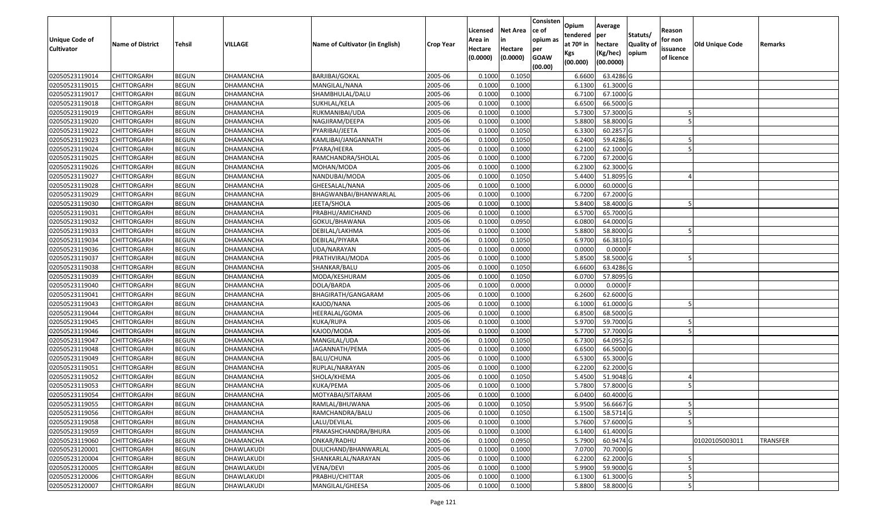| Unique Code of    | <b>Name of District</b> | <b>Tehsil</b> | <b>VILLAGE</b>    | Name of Cultivator (in English) | <b>Crop Year</b> | Licensed<br>Area in | <b>Net Area</b><br>in | Consisten<br>ce of<br>opium as | Opium<br>tendered<br>at $70°$ in | Average<br>per<br>hectare | Statuts/<br><b>Quality o</b> | Reason<br>for non      | <b>Old Unique Code</b> | Remarks         |
|-------------------|-------------------------|---------------|-------------------|---------------------------------|------------------|---------------------|-----------------------|--------------------------------|----------------------------------|---------------------------|------------------------------|------------------------|------------------------|-----------------|
| <b>Cultivator</b> |                         |               |                   |                                 |                  | Hectare<br>(0.0000) | Hectare<br>(0.0000)   | per<br><b>GOAW</b><br>(00.00)  | Kgs<br>(00.000)                  | (Kg/hec)<br>(00.0000)     | opium                        | issuance<br>of licence |                        |                 |
| 02050523119014    | CHITTORGARH             | <b>BEGUN</b>  | DHAMANCHA         | BARJIBAI/GOKAL                  | 2005-06          | 0.1000              | 0.1050                |                                | 6.6600                           | 63.4286 G                 |                              |                        |                        |                 |
| 02050523119015    | CHITTORGARH             | <b>BEGUN</b>  | DHAMANCHA         | MANGILAL/NANA                   | 2005-06          | 0.1000              | 0.1000                |                                | 6.1300                           | 61.3000 G                 |                              |                        |                        |                 |
| 02050523119017    | CHITTORGARH             | <b>BEGUN</b>  | DHAMANCHA         | SHAMBHULAL/DALU                 | 2005-06          | 0.1000              | 0.1000                |                                | 6.7100                           | 67.1000 G                 |                              |                        |                        |                 |
| 02050523119018    | <b>CHITTORGARH</b>      | <b>BEGUN</b>  | <b>DHAMANCHA</b>  | SUKHLAL/KELA                    | 2005-06          | 0.1000              | 0.1000                |                                | 6.6500                           | 66.5000G                  |                              |                        |                        |                 |
| 02050523119019    | CHITTORGARH             | <b>BEGUN</b>  | DHAMANCHA         | RUKMANIBAI/UDA                  | 2005-06          | 0.1000              | 0.1000                |                                | 5.7300                           | 57.3000G                  |                              |                        |                        |                 |
| 02050523119020    | CHITTORGARH             | <b>BEGUN</b>  | <b>DHAMANCHA</b>  | NAGJIRAM/DEEPA                  | 2005-06          | 0.1000              | 0.1000                |                                | 5.8800                           | 58.8000 G                 |                              |                        |                        |                 |
| 02050523119022    | CHITTORGARH             | <b>BEGUN</b>  | DHAMANCHA         | PYARIBAI/JEETA                  | 2005-06          | 0.1000              | 0.1050                |                                | 6.3300                           | 60.2857 G                 |                              |                        |                        |                 |
| 02050523119023    | <b>CHITTORGARH</b>      | <b>BEGUN</b>  | DHAMANCHA         | KAMLIBAI/JANGANNATH             | 2005-06          | 0.1000              | 0.1050                |                                | 6.2400                           | 59.4286 G                 |                              |                        |                        |                 |
| 02050523119024    | CHITTORGARH             | <b>BEGUN</b>  | DHAMANCHA         | PYARA/HEERA                     | 2005-06          | 0.1000              | 0.1000                |                                | 6.2100                           | 62.1000G                  |                              |                        |                        |                 |
| 02050523119025    | CHITTORGARH             | <b>BEGUN</b>  | DHAMANCHA         | RAMCHANDRA/SHOLAL               | 2005-06          | 0.1000              | 0.1000                |                                | 6.7200                           | 67.2000 G                 |                              |                        |                        |                 |
| 02050523119026    | CHITTORGARH             | <b>BEGUN</b>  | DHAMANCHA         | MOHAN/MODA                      | 2005-06          | 0.1000              | 0.1000                |                                | 6.2300                           | 62.3000G                  |                              |                        |                        |                 |
| 02050523119027    | CHITTORGARH             | <b>BEGUN</b>  | DHAMANCHA         | NANDUBAI/MODA                   | 2005-06          | 0.1000              | 0.1050                |                                | 5.4400                           | 51.8095 G                 |                              |                        |                        |                 |
| 02050523119028    | <b>CHITTORGARH</b>      | <b>BEGUN</b>  | DHAMANCHA         | GHEESALAL/NANA                  | 2005-06          | 0.1000              | 0.1000                |                                | 6.0000                           | 60.0000G                  |                              |                        |                        |                 |
| 02050523119029    | CHITTORGARH             | <b>BEGUN</b>  | DHAMANCHA         | BHAGWANBAI/BHANWARLAL           | 2005-06          | 0.100               | 0.1000                |                                | 6.7200                           | 67.2000 G                 |                              |                        |                        |                 |
| 02050523119030    | <b>CHITTORGARH</b>      | <b>BEGUN</b>  | DHAMANCHA         | JEETA/SHOLA                     | 2005-06          | 0.1000              | 0.1000                |                                | 5.8400                           | 58.4000G                  |                              |                        |                        |                 |
| 02050523119031    | CHITTORGARH             | <b>BEGUN</b>  | DHAMANCHA         | PRABHU/AMICHAND                 | 2005-06          | 0.1000              | 0.1000                |                                | 6.5700                           | 65.7000 G                 |                              |                        |                        |                 |
| 02050523119032    | CHITTORGARH             | <b>BEGUN</b>  | DHAMANCHA         | GOKUL/BHAWANA                   | 2005-06          | 0.1000              | 0.0950                |                                | 6.0800                           | 64.0000G                  |                              |                        |                        |                 |
| 02050523119033    | CHITTORGARH             | <b>BEGUN</b>  | DHAMANCHA         | DEBILAL/LAKHMA                  | 2005-06          | 0.1000              | 0.1000                |                                | 5.8800                           | 58.8000 G                 |                              |                        |                        |                 |
| 02050523119034    | CHITTORGARH             | <b>BEGUN</b>  | DHAMANCHA         | DEBILAL/PIYARA                  | 2005-06          | 0.100               | 0.1050                |                                | 6.9700                           | 66.3810 G                 |                              |                        |                        |                 |
| 02050523119036    | CHITTORGARH             | <b>BEGUN</b>  | DHAMANCHA         | UDA/NARAYAN                     | 2005-06          | 0.1000              | 0.0000                |                                | 0.0000                           | 0.0000                    |                              |                        |                        |                 |
| 02050523119037    | CHITTORGARH             | <b>BEGUN</b>  | DHAMANCHA         | PRATHVIRAJ/MODA                 | 2005-06          | 0.100               | 0.1000                |                                | 5.8500                           | 58.5000G                  |                              |                        |                        |                 |
| 02050523119038    | CHITTORGARH             | <b>BEGUN</b>  | DHAMANCHA         | SHANKAR/BALU                    | 2005-06          | 0.100               | 0.1050                |                                | 6.6600                           | 63.4286 G                 |                              |                        |                        |                 |
| 02050523119039    | CHITTORGARH             | <b>BEGUN</b>  | DHAMANCHA         | MODA/KESHURAM                   | 2005-06          | 0.1000              | 0.1050                |                                | 6.0700                           | 57.8095 G                 |                              |                        |                        |                 |
| 02050523119040    | CHITTORGARH             | <b>BEGUN</b>  | DHAMANCHA         | DOLA/BARDA                      | 2005-06          | 0.100               | 0.0000                |                                | 0.0000                           | 0.0000F                   |                              |                        |                        |                 |
| 02050523119041    | <b>CHITTORGARH</b>      | <b>BEGUN</b>  | DHAMANCHA         | BHAGIRATH/GANGARAM              | 2005-06          | 0.1000              | 0.1000                |                                | 6.2600                           | 62.6000G                  |                              |                        |                        |                 |
| 02050523119043    | CHITTORGARH             | <b>BEGUN</b>  | DHAMANCHA         | KAJOD/NANA                      | 2005-06          | 0.1000              | 0.1000                |                                | 6.1000                           | 61.0000G                  |                              |                        |                        |                 |
| 02050523119044    | CHITTORGARH             | <b>BEGUN</b>  | DHAMANCHA         | HEERALAL/GOMA                   | 2005-06          | 0.1000              | 0.1000                |                                | 6.8500                           | 68.5000 G                 |                              |                        |                        |                 |
| 02050523119045    | CHITTORGARH             | <b>BEGUN</b>  | DHAMANCHA         | KUKA/RUPA                       | 2005-06          | 0.1000              | 0.1000                |                                | 5.9700                           | 59.7000G                  |                              |                        |                        |                 |
| 02050523119046    | CHITTORGARH             | <b>BEGUN</b>  | <b>DHAMANCHA</b>  | KAJOD/MODA                      | 2005-06          | 0.1000              | 0.1000                |                                | 5.7700                           | 57.7000 G                 |                              |                        |                        |                 |
| 02050523119047    | CHITTORGARH             | <b>BEGUN</b>  | DHAMANCHA         | MANGILAL/UDA                    | 2005-06          | 0.1000              | 0.1050                |                                | 6.7300                           | 64.0952 G                 |                              |                        |                        |                 |
| 02050523119048    | CHITTORGARH             | <b>BEGUN</b>  | DHAMANCHA         | JAGANNATH/PEMA                  | 2005-06          | 0.1000              | 0.1000                |                                | 6.6500                           | 66.5000 G                 |                              |                        |                        |                 |
| 02050523119049    | CHITTORGARH             | <b>BEGUN</b>  | DHAMANCHA         | BALU/CHUNA                      | 2005-06          | 0.1000              | 0.1000                |                                | 6.5300                           | 65.3000G                  |                              |                        |                        |                 |
| 02050523119051    | CHITTORGARH             | <b>BEGUN</b>  | DHAMANCHA         | RUPLAL/NARAYAN                  | 2005-06          | 0.100               | 0.1000                |                                | 6.2200                           | 62.2000G                  |                              |                        |                        |                 |
| 02050523119052    | CHITTORGARH             | <b>BEGUN</b>  | DHAMANCHA         | SHOLA/KHEMA                     | 2005-06          | 0.1000              | 0.1050                |                                | 5.4500                           | 51.9048 G                 |                              |                        |                        |                 |
| 02050523119053    | CHITTORGARH             | <b>BEGUN</b>  | DHAMANCHA         | KUKA/PEMA                       | 2005-06          | 0.1000              | 0.1000                |                                | 5.7800                           | 57.8000G                  |                              |                        |                        |                 |
| 02050523119054    | CHITTORGARH             | <b>BEGUN</b>  | DHAMANCHA         | MOTYABAI/SITARAM                | 2005-06          | 0.1000              | 0.1000                |                                | 6.0400                           | 60.4000 G                 |                              |                        |                        |                 |
| 02050523119055    | <b>CHITTORGARH</b>      | <b>BEGUN</b>  | <b>DHAMANCHA</b>  | RAMLAL/BHUWANA                  | 2005-06          | 0.1000              | 0.1050                |                                |                                  | 5.9500 56.6667 G          |                              |                        |                        |                 |
| 02050523119056    | <b>CHITTORGARH</b>      | <b>BEGUN</b>  | DHAMANCHA         | RAMCHANDRA/BALU                 | 2005-06          | 0.1000              | 0.1050                |                                | 6.1500                           | 58.5714 G                 |                              | 5                      |                        |                 |
| 02050523119058    | <b>CHITTORGARH</b>      | <b>BEGUN</b>  | DHAMANCHA         | LALU/DEVILAL                    | 2005-06          | 0.1000              | 0.1000                |                                | 5.7600                           | 57.6000 G                 |                              |                        |                        |                 |
| 02050523119059    | <b>CHITTORGARH</b>      | <b>BEGUN</b>  | <b>DHAMANCHA</b>  | PRAKASHCHANDRA/BHURA            | 2005-06          | 0.1000              | 0.1000                |                                | 6.1400                           | 61.4000 G                 |                              |                        |                        |                 |
| 02050523119060    | <b>CHITTORGARH</b>      | <b>BEGUN</b>  | <b>DHAMANCHA</b>  | ONKAR/RADHU                     | 2005-06          | 0.1000              | 0.0950                |                                | 5.7900                           | 60.9474 G                 |                              |                        | 01020105003011         | <b>TRANSFER</b> |
| 02050523120001    | <b>CHITTORGARH</b>      | <b>BEGUN</b>  | <b>DHAWLAKUDI</b> | DULICHAND/BHANWARLAL            | 2005-06          | 0.1000              | 0.1000                |                                | 7.0700                           | 70.7000 G                 |                              |                        |                        |                 |
| 02050523120004    | <b>CHITTORGARH</b>      | <b>BEGUN</b>  | DHAWLAKUDI        | SHANKARLAL/NARAYAN              | 2005-06          | 0.1000              | 0.1000                |                                | 6.2200                           | 62.2000 G                 |                              |                        |                        |                 |
| 02050523120005    | CHITTORGARH             | <b>BEGUN</b>  | DHAWLAKUDI        | <b>VENA/DEVI</b>                | 2005-06          | 0.1000              | 0.1000                |                                | 5.9900                           | 59.9000 G                 |                              |                        |                        |                 |
| 02050523120006    | <b>CHITTORGARH</b>      | <b>BEGUN</b>  | DHAWLAKUDI        | PRABHU/CHITTAR                  | 2005-06          | 0.1000              | 0.1000                |                                | 6.1300                           | 61.3000 G                 |                              |                        |                        |                 |
| 02050523120007    | <b>CHITTORGARH</b>      | <b>BEGUN</b>  | DHAWLAKUDI        | MANGILAL/GHEESA                 | 2005-06          | 0.1000              | 0.1000                |                                | 5.8800                           | 58.8000 G                 |                              |                        |                        |                 |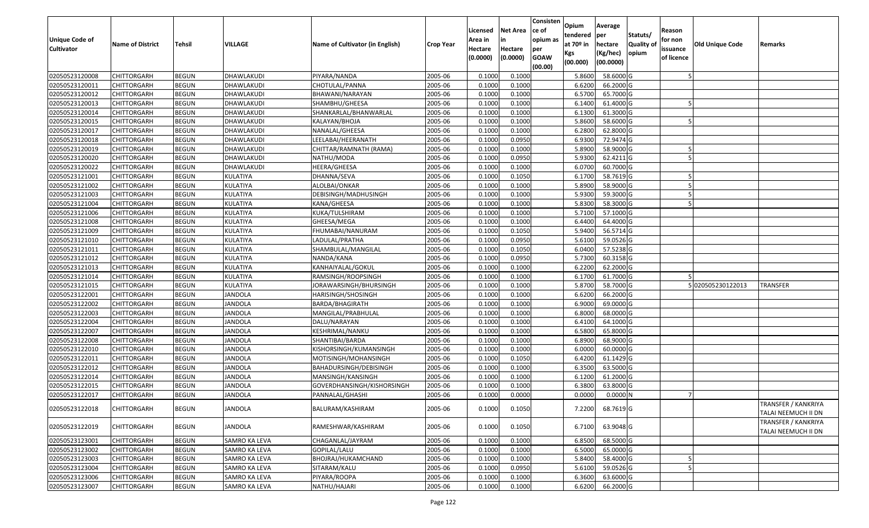| Unique Code of<br><b>Cultivator</b> | <b>Name of District</b> | Tehsil       | VILLAGE        | Name of Cultivator (in English) | <b>Crop Year</b> | Licensed<br>Area in<br>Hectare<br>(0.0000) | Net Area<br>in<br>Hectare<br>(0.0000) | Consisten<br>ce of<br>opium as<br>per<br><b>GOAW</b><br>(00.00) | Opium<br>tendered<br>at 70º in<br>Kgs<br>(00.000) | Average<br>per<br>hectare<br>(Kg/hec)<br>(00.0000) | Statuts/<br><b>Quality of</b><br>opium | Reason<br>for non<br>issuance<br>of licence | <b>Old Unique Code</b> | Remarks                                    |
|-------------------------------------|-------------------------|--------------|----------------|---------------------------------|------------------|--------------------------------------------|---------------------------------------|-----------------------------------------------------------------|---------------------------------------------------|----------------------------------------------------|----------------------------------------|---------------------------------------------|------------------------|--------------------------------------------|
| 02050523120008                      | <b>CHITTORGARH</b>      | <b>BEGUN</b> | DHAWLAKUDI     | PIYARA/NANDA                    | 2005-06          | 0.1000                                     | 0.1000                                |                                                                 | 5.8600                                            | 58.6000 G                                          |                                        |                                             |                        |                                            |
| 02050523120011                      | CHITTORGARH             | <b>BEGUN</b> | DHAWLAKUDI     | CHOTULAL/PANNA                  | 2005-06          | 0.1000                                     | 0.1000                                |                                                                 | 6.6200                                            | 66.2000 G                                          |                                        |                                             |                        |                                            |
| 02050523120012                      | CHITTORGARH             | <b>BEGUN</b> | DHAWLAKUDI     | BHAWANI/NARAYAN                 | 2005-06          | 0.1000                                     | 0.1000                                |                                                                 | 6.5700                                            | 65.7000 G                                          |                                        |                                             |                        |                                            |
| 02050523120013                      | <b>CHITTORGARH</b>      | <b>BEGUN</b> | DHAWLAKUDI     | SHAMBHU/GHEESA                  | 2005-06          | 0.1000                                     | 0.1000                                |                                                                 | 6.1400                                            | 61.4000 G                                          |                                        |                                             |                        |                                            |
| 02050523120014                      | CHITTORGARH             | <b>BEGUN</b> | DHAWLAKUDI     | SHANKARLAL/BHANWARLAL           | 2005-06          | 0.1000                                     | 0.1000                                |                                                                 | 6.1300                                            | 61.3000 G                                          |                                        |                                             |                        |                                            |
| 02050523120015                      | CHITTORGARH             | <b>BEGUN</b> | DHAWLAKUDI     | KALAYAN/BHOJA                   | 2005-06          | 0.1000                                     | 0.1000                                |                                                                 | 5.8600                                            | 58.6000 G                                          |                                        |                                             |                        |                                            |
| 02050523120017                      | CHITTORGARH             | <b>BEGUN</b> | DHAWLAKUDI     | NANALAL/GHEESA                  | 2005-06          | 0.1000                                     | 0.1000                                |                                                                 | 6.2800                                            | 62.8000 G                                          |                                        |                                             |                        |                                            |
| 02050523120018                      | <b>CHITTORGARH</b>      | <b>BEGUN</b> | DHAWLAKUDI     | LEELABAI/HEERANATH              | 2005-06          | 0.1000                                     | 0.0950                                |                                                                 | 6.9300                                            | 72.9474 G                                          |                                        |                                             |                        |                                            |
| 02050523120019                      | CHITTORGARH             | <b>BEGUN</b> | DHAWLAKUDI     | CHITTAR/RAMNATH (RAMA)          | 2005-06          | 0.1000                                     | 0.1000                                |                                                                 | 5.8900                                            | 58.9000 G                                          |                                        |                                             |                        |                                            |
| 02050523120020                      | CHITTORGARH             | <b>BEGUN</b> | DHAWLAKUDI     | NATHU/MODA                      | 2005-06          | 0.1000                                     | 0.0950                                |                                                                 | 5.9300                                            | 62.4211 G                                          |                                        |                                             |                        |                                            |
| 02050523120022                      | CHITTORGARH             | <b>BEGUN</b> | DHAWLAKUDI     | HEERA/GHEESA                    | 2005-06          | 0.1000                                     | 0.1000                                |                                                                 | 6.0700                                            | 60.7000 G                                          |                                        |                                             |                        |                                            |
| 02050523121001                      | <b>CHITTORGARH</b>      | <b>BEGUN</b> | KULATIYA       | DHANNA/SEVA                     | 2005-06          | 0.1000                                     | 0.1050                                |                                                                 | 6.1700                                            | 58.7619 G                                          |                                        |                                             |                        |                                            |
| 02050523121002                      | <b>CHITTORGARH</b>      | <b>BEGUN</b> | KULATIYA       | ALOLBAI/ONKAR                   | 2005-06          | 0.1000                                     | 0.1000                                |                                                                 | 5.8900                                            | 58.9000 G                                          |                                        |                                             |                        |                                            |
| 02050523121003                      | <b>CHITTORGARH</b>      | <b>BEGUN</b> | KULATIYA       | DEBISINGH/MADHUSINGH            | 2005-06          | 0.1000                                     | 0.1000                                |                                                                 | 5.9300                                            | 59.3000 G                                          |                                        |                                             |                        |                                            |
| 02050523121004                      | CHITTORGARH             | <b>BEGUN</b> | KULATIYA       | KANA/GHEESA                     | 2005-06          | 0.1000                                     | 0.1000                                |                                                                 | 5.8300                                            | 58.3000 G                                          |                                        |                                             |                        |                                            |
| 02050523121006                      | <b>CHITTORGARH</b>      | <b>BEGUN</b> | KULATIYA       | KUKA/TULSHIRAM                  | 2005-06          | 0.1000                                     | 0.1000                                |                                                                 | 5.7100                                            | 57.1000 G                                          |                                        |                                             |                        |                                            |
| 02050523121008                      | CHITTORGARH             | <b>BEGUN</b> | KULATIYA       | GHEESA/MEGA                     | 2005-06          | 0.1000                                     | 0.1000                                |                                                                 | 6.4400                                            | 64.4000 G                                          |                                        |                                             |                        |                                            |
| 02050523121009                      | CHITTORGARH             | <b>BEGUN</b> | KULATIYA       | FHUMABAI/NANURAM                | 2005-06          | 0.1000                                     | 0.1050                                |                                                                 | 5.9400                                            | 56.5714 G                                          |                                        |                                             |                        |                                            |
| 02050523121010                      | CHITTORGARH             | <b>BEGUN</b> | KULATIYA       | LADULAL/PRATHA                  | 2005-06          | 0.1000                                     | 0.0950                                |                                                                 | 5.6100                                            | 59.0526 G                                          |                                        |                                             |                        |                                            |
| 02050523121011                      | CHITTORGARH             | <b>BEGUN</b> | KULATIYA       | SHAMBULAL/MANGILAL              | 2005-06          | 0.1000                                     | 0.1050                                |                                                                 | 6.0400                                            | 57.5238 G                                          |                                        |                                             |                        |                                            |
| 02050523121012                      | CHITTORGARH             | <b>BEGUN</b> | KULATIYA       | NANDA/KANA                      | 2005-06          | 0.1000                                     | 0.0950                                |                                                                 | 5.7300                                            | 60.3158 G                                          |                                        |                                             |                        |                                            |
| 02050523121013                      | CHITTORGARH             | <b>BEGUN</b> | KULATIYA       | KANHAIYALAL/GOKUL               | 2005-06          | 0.1000                                     | 0.1000                                |                                                                 | 6.2200                                            | 62.2000 G                                          |                                        |                                             |                        |                                            |
| 02050523121014                      | CHITTORGARH             | <b>BEGUN</b> | KULATIYA       | RAMSINGH/ROOPSINGH              | 2005-06          | 0.1000                                     | 0.1000                                |                                                                 | 6.1700                                            | 61.7000 G                                          |                                        |                                             |                        |                                            |
| 02050523121015                      | CHITTORGARH             | <b>BEGUN</b> | KULATIYA       | IORAWARSINGH/BHURSINGH          | 2005-06          | 0.1000                                     | 0.1000                                |                                                                 | 5.8700                                            | 58.7000 G                                          |                                        |                                             | 5020505230122013       | <b>TRANSFER</b>                            |
| 02050523122001                      | CHITTORGARH             | <b>BEGUN</b> | <b>JANDOLA</b> | HARISINGH/SHOSINGH              | 2005-06          | 0.1000                                     | 0.1000                                |                                                                 | 6.6200                                            | 66.2000 G                                          |                                        |                                             |                        |                                            |
| 02050523122002                      | CHITTORGARH             | <b>BEGUN</b> | <b>JANDOLA</b> | BARDA/BHAGIRATH                 | 2005-06          | 0.1000                                     | 0.1000                                |                                                                 | 6.9000                                            | 69.0000 G                                          |                                        |                                             |                        |                                            |
| 02050523122003                      | CHITTORGARH             | <b>BEGUN</b> | <b>JANDOLA</b> | MANGILAL/PRABHULAL              | 2005-06          | 0.1000                                     | 0.1000                                |                                                                 | 6.8000                                            | 68.0000 G                                          |                                        |                                             |                        |                                            |
| 02050523122004                      | CHITTORGARH             | <b>BEGUN</b> | JANDOLA        | DALU/NARAYAN                    | 2005-06          | 0.1000                                     | 0.1000                                |                                                                 | 6.4100                                            | 64.1000 G                                          |                                        |                                             |                        |                                            |
| 02050523122007                      | CHITTORGARH             | <b>BEGUN</b> | <b>JANDOLA</b> | KESHRIMAL/NANKU                 | 2005-06          | 0.1000                                     | 0.1000                                |                                                                 | 6.5800                                            | 65.8000 G                                          |                                        |                                             |                        |                                            |
| 02050523122008                      | CHITTORGARH             | <b>BEGUN</b> | <b>JANDOLA</b> | SHANTIBAI/BARDA                 | 2005-06          | 0.1000                                     | 0.1000                                |                                                                 | 6.8900                                            | 68.9000 G                                          |                                        |                                             |                        |                                            |
| 02050523122010                      | CHITTORGARH             | <b>BEGUN</b> | <b>JANDOLA</b> | KISHORSINGH/KUMANSINGH          | 2005-06          | 0.1000                                     | 0.1000                                |                                                                 | 6.0000                                            | 60.0000 G                                          |                                        |                                             |                        |                                            |
| 02050523122011                      | CHITTORGARH             | <b>BEGUN</b> | <b>JANDOLA</b> | MOTISINGH/MOHANSINGH            | 2005-06          | 0.1000                                     | 0.1050                                |                                                                 | 6.4200                                            | 61.1429 G                                          |                                        |                                             |                        |                                            |
| 02050523122012                      | CHITTORGARH             | <b>BEGUN</b> | <b>JANDOLA</b> | BAHADURSINGH/DEBISINGH          | 2005-06          | 0.1000                                     | 0.1000                                |                                                                 | 6.3500                                            | 63.5000 G                                          |                                        |                                             |                        |                                            |
| 02050523122014                      | <b>CHITTORGARH</b>      | <b>BEGUN</b> | JANDOLA        | MANSINGH/KANSINGH               | 2005-06          | 0.1000                                     | 0.1000                                |                                                                 | 6.1200                                            | 61.2000 G                                          |                                        |                                             |                        |                                            |
| 02050523122015                      | CHITTORGARH             | <b>BEGUN</b> | <b>JANDOLA</b> | GOVERDHANSINGH/KISHORSINGH      | 2005-06          | 0.1000                                     | 0.1000                                |                                                                 | 6.3800                                            | 63.8000 G                                          |                                        |                                             |                        |                                            |
| 02050523122017                      | CHITTORGARH             | <b>BEGUN</b> | JANDOLA        | PANNALAL/GHASHI                 | 2005-06          | 0.1000                                     | 0.0000                                |                                                                 | 0.0000                                            | $0.0000$ N                                         |                                        |                                             |                        |                                            |
| 02050523122018                      | <b>CHITTORGARH</b>      | <b>BEGUN</b> | <b>JANDOLA</b> | BALURAM/KASHIRAM                | 2005-06          | 0.1000                                     | 0.1050                                |                                                                 | 7.2200                                            | 68.7619 G                                          |                                        |                                             |                        | TRANSFER / KANKRIYA<br>TALAI NEEMUCH II DN |
| 02050523122019                      | CHITTORGARH             | <b>BEGUN</b> | JANDOLA        | RAMESHWAR/KASHIRAM              | 2005-06          | 0.1000                                     | 0.1050                                |                                                                 | 6.7100                                            | 63.9048 G                                          |                                        |                                             |                        | TRANSFER / KANKRIYA<br>TALAI NEEMUCH II DN |
| 02050523123001                      | <b>CHITTORGARH</b>      | <b>BEGUN</b> | SAMRO KA LEVA  | CHAGANLAL/JAYRAM                | 2005-06          | 0.1000                                     | 0.1000                                |                                                                 | 6.8500                                            | 68.5000 G                                          |                                        |                                             |                        |                                            |
| 02050523123002                      | <b>CHITTORGARH</b>      | <b>BEGUN</b> | SAMRO KA LEVA  | GOPILAL/LALU                    | 2005-06          | 0.1000                                     | 0.1000                                |                                                                 | 6.5000                                            | 65.0000G                                           |                                        |                                             |                        |                                            |
| 02050523123003                      | <b>CHITTORGARH</b>      | <b>BEGUN</b> | SAMRO KA LEVA  | BHOJRAJ/HUKAMCHAND              | 2005-06          | 0.1000                                     | 0.1000                                |                                                                 | 5.8400                                            | 58.4000 G                                          |                                        |                                             |                        |                                            |
| 02050523123004                      | <b>CHITTORGARH</b>      | <b>BEGUN</b> | SAMRO KA LEVA  | SITARAM/KALU                    | 2005-06          | 0.1000                                     | 0.0950                                |                                                                 | 5.6100                                            | 59.0526 G                                          |                                        |                                             |                        |                                            |
| 02050523123006                      | <b>CHITTORGARH</b>      | <b>BEGUN</b> | SAMRO KA LEVA  | PIYARA/ROOPA                    | 2005-06          | 0.1000                                     | 0.1000                                |                                                                 | 6.3600                                            | 63.6000 G                                          |                                        |                                             |                        |                                            |
| 02050523123007                      | <b>CHITTORGARH</b>      | <b>BEGUN</b> | SAMRO KA LEVA  | NATHU/HAJARI                    | 2005-06          | 0.1000                                     | 0.1000                                |                                                                 | 6.6200                                            | 66.2000 G                                          |                                        |                                             |                        |                                            |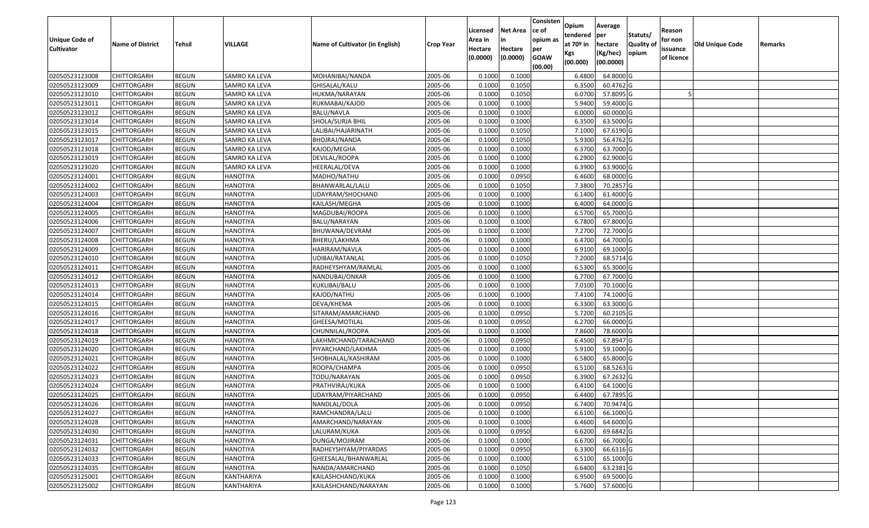| <b>Unique Code of</b> | <b>Name of District</b> | Tehsil       | <b>VILLAGE</b>       | Name of Cultivator (in English) | <b>Crop Year</b> | Licensed<br>Area in | <b>Net Area</b><br>in | Consisten<br>ce of<br>opium as | Opium<br>tendered<br>at $70°$ in | Average<br>per<br>hectare | Statuts/<br><b>Quality o</b> | Reason<br>for non      | Old Unique Code | Remarks |
|-----------------------|-------------------------|--------------|----------------------|---------------------------------|------------------|---------------------|-----------------------|--------------------------------|----------------------------------|---------------------------|------------------------------|------------------------|-----------------|---------|
| <b>Cultivator</b>     |                         |              |                      |                                 |                  | Hectare<br>(0.0000) | Hectare<br>(0.0000)   | per<br><b>GOAW</b><br>(00.00)  | Kgs<br>(00.000)                  | (Kg/hec)<br>(00.0000)     | opium                        | issuance<br>of licence |                 |         |
| 02050523123008        | CHITTORGARH             | <b>BEGUN</b> | <b>SAMRO KA LEVA</b> | MOHANIBAI/NANDA                 | 2005-06          | 0.1000              | 0.1000                |                                | 6.4800                           | 64.8000 G                 |                              |                        |                 |         |
| 02050523123009        | CHITTORGARH             | <b>BEGUN</b> | SAMRO KA LEVA        | GHISALAL/KALU                   | 2005-06          | 0.1000              | 0.1050                |                                | 6.3500                           | 60.4762 G                 |                              |                        |                 |         |
| 02050523123010        | CHITTORGARH             | <b>BEGUN</b> | SAMRO KA LEVA        | HUKMA/NARAYAN                   | 2005-06          | 0.1000              | 0.1050                |                                | 6.0700                           | 57.8095 G                 |                              |                        |                 |         |
| 02050523123011        | <b>CHITTORGARH</b>      | <b>BEGUN</b> | <b>SAMRO KA LEVA</b> | RUKMABAI/KAJOD                  | 2005-06          | 0.1000              | 0.1000                |                                | 5.9400                           | 59.4000G                  |                              |                        |                 |         |
| 02050523123012        | CHITTORGARH             | <b>BEGUN</b> | SAMRO KA LEVA        | BALU/NAVLA                      | 2005-06          | 0.1000              | 0.1000                |                                | 6.0000                           | 60.0000G                  |                              |                        |                 |         |
| 02050523123014        | CHITTORGARH             | <b>BEGUN</b> | SAMRO KA LEVA        | SHOLA/SURJA BHIL                | 2005-06          | 0.1000              | 0.1000                |                                | 6.3500                           | 63.5000 G                 |                              |                        |                 |         |
| 02050523123015        | CHITTORGARH             | <b>BEGUN</b> | SAMRO KA LEVA        | LALIBAI/HAJARINATH              | 2005-06          | 0.1000              | 0.1050                |                                | 7.1000                           | 67.6190 G                 |                              |                        |                 |         |
| 02050523123017        | CHITTORGARH             | <b>BEGUN</b> | SAMRO KA LEVA        | BHOJRAJ/NANDA                   | 2005-06          | 0.1000              | 0.1050                |                                | 5.9300                           | 56.4762 G                 |                              |                        |                 |         |
| 02050523123018        | CHITTORGARH             | <b>BEGUN</b> | SAMRO KA LEVA        | KAJOD/MEGHA                     | 2005-06          | 0.1000              | 0.1000                |                                | 6.3700                           | 63.7000 G                 |                              |                        |                 |         |
| 02050523123019        | CHITTORGARH             | <b>BEGUN</b> | SAMRO KA LEVA        | DEVILAL/ROOPA                   | 2005-06          | 0.1000              | 0.1000                |                                | 6.2900                           | 62.9000 G                 |                              |                        |                 |         |
| 02050523123020        | CHITTORGARH             | <b>BEGUN</b> | SAMRO KA LEVA        | HEERALAL/DEVA                   | 2005-06          | 0.1000              | 0.1000                |                                | 6.3900                           | 63.9000 G                 |                              |                        |                 |         |
| 02050523124001        | <b>CHITTORGARH</b>      | <b>BEGUN</b> | <b>HANOTIYA</b>      | MADHO/NATHU                     | 2005-06          | 0.1000              | 0.0950                |                                | 6.4600                           | 68.0000 G                 |                              |                        |                 |         |
| 02050523124002        | <b>CHITTORGARH</b>      | <b>BEGUN</b> | <b>HANOTIYA</b>      | BHANWARLAL/LALU                 | 2005-06          | 0.1000              | 0.1050                |                                | 7.3800                           | 70.2857 G                 |                              |                        |                 |         |
| 02050523124003        | CHITTORGARH             | <b>BEGUN</b> | <b>HANOTIYA</b>      | UDAYRAM/SHOCHAND                | 2005-06          | 0.1000              | 0.1000                |                                | 6.1400                           | 61.4000 G                 |                              |                        |                 |         |
| 02050523124004        | CHITTORGARH             | <b>BEGUN</b> | <b>HANOTIYA</b>      | KAILASH/MEGHA                   | 2005-06          | 0.1000              | 0.1000                |                                | 6.4000                           | 64.0000G                  |                              |                        |                 |         |
| 02050523124005        | <b>CHITTORGARH</b>      | <b>BEGUN</b> | <b>HANOTIYA</b>      | MAGDUBAI/ROOPA                  | 2005-06          | 0.1000              | 0.1000                |                                | 6.5700                           | 65.7000 G                 |                              |                        |                 |         |
| 02050523124006        | CHITTORGARH             | <b>BEGUN</b> | <b>HANOTIYA</b>      | BALU/NARAYAN                    | 2005-06          | 0.1000              | 0.1000                |                                | 6.7800                           | 67.8000 G                 |                              |                        |                 |         |
| 02050523124007        | CHITTORGARH             | <b>BEGUN</b> | <b>HANOTIYA</b>      | BHUWANA/DEVRAM                  | 2005-06          | 0.100               | 0.1000                |                                | 7.2700                           | 72.7000G                  |                              |                        |                 |         |
| 02050523124008        | CHITTORGARH             | <b>BEGUN</b> | <b>HANOTIYA</b>      | BHERU/LAKHMA                    | 2005-06          | 0.100               | 0.1000                |                                | 6.4700                           | 64.7000 G                 |                              |                        |                 |         |
| 02050523124009        | CHITTORGARH             | <b>BEGUN</b> | <b>HANOTIYA</b>      | HARIRAM/NAVLA                   | 2005-06          | 0.1000              | 0.1000                |                                | 6.9100                           | 69.1000G                  |                              |                        |                 |         |
| 02050523124010        | CHITTORGARH             | <b>BEGUN</b> | <b>HANOTIYA</b>      | UDIBAI/RATANLAI                 | 2005-06          | 0.100               | 0.1050                |                                | 7.2000                           | 68.5714 G                 |                              |                        |                 |         |
| 02050523124011        | CHITTORGARH             | <b>BEGUN</b> | <b>HANOTIYA</b>      | RADHEYSHYAM/RAMLAL              | 2005-06          | 0.100               | 0.1000                |                                | 6.5300                           | 65.3000G                  |                              |                        |                 |         |
| 02050523124012        | CHITTORGARH             | <b>BEGUN</b> | <b>HANOTIYA</b>      | NANDUBAI/ONKAR                  | 2005-06          | 0.1000              | 0.1000                |                                | 6.7700                           | 67.7000 G                 |                              |                        |                 |         |
| 02050523124013        | <b>CHITTORGARH</b>      | <b>BEGUN</b> | <b>HANOTIYA</b>      | KUKLIBAI/BALU                   | 2005-06          | 0.100               | 0.1000                |                                | 7.0100                           | 70.1000 G                 |                              |                        |                 |         |
| 02050523124014        | <b>CHITTORGARH</b>      | <b>BEGUN</b> | <b>HANOTIYA</b>      | KAJOD/NATHU                     | 2005-06          | 0.100               | 0.1000                |                                | 7.4100                           | 74.1000G                  |                              |                        |                 |         |
| 02050523124015        | CHITTORGARH             | <b>BEGUN</b> | <b>HANOTIYA</b>      | DEVA/KHEMA                      | 2005-06          | 0.1000              | 0.1000                |                                | 6.3300                           | 63.3000 G                 |                              |                        |                 |         |
| 02050523124016        | CHITTORGARH             | <b>BEGUN</b> | <b>HANOTIYA</b>      | SITARAM/AMARCHAND               | 2005-06          | 0.1000              | 0.0950                |                                | 5.7200                           | 60.2105 G                 |                              |                        |                 |         |
| 02050523124017        | CHITTORGARH             | <b>BEGUN</b> | <b>HANOTIYA</b>      | GHEESA/MOTILAL                  | 2005-06          | 0.1000              | 0.0950                |                                | 6.2700                           | 66.0000G                  |                              |                        |                 |         |
| 02050523124018        | CHITTORGARH             | <b>BEGUN</b> | <b>HANOTIYA</b>      | CHUNNILAL/ROOPA                 | 2005-06          | 0.1000              | 0.1000                |                                | 7.8600                           | 78.6000 G                 |                              |                        |                 |         |
| 02050523124019        | CHITTORGARH             | <b>BEGUN</b> | <b>HANOTIYA</b>      | LAKHMICHAND/TARACHAND           | 2005-06          | 0.1000              | 0.0950                |                                | 6.4500                           | $67.8947$ G               |                              |                        |                 |         |
| 02050523124020        | CHITTORGARH             | <b>BEGUN</b> | <b>HANOTIYA</b>      | PIYARCHAND/LAKHMA               | 2005-06          | 0.1000              | 0.1000                |                                | 5.9100                           | 59.1000G                  |                              |                        |                 |         |
| 02050523124021        | CHITTORGARH             | <b>BEGUN</b> | <b>HANOTIYA</b>      | SHOBHALAL/KASHIRAM              | 2005-06          | 0.1000              | 0.1000                |                                | 6.5800                           | 65.8000 G                 |                              |                        |                 |         |
| 02050523124022        | CHITTORGARH             | <b>BEGUN</b> | <b>HANOTIYA</b>      | ROOPA/CHAMPA                    | 2005-06          | 0.1000              | 0.0950                |                                | 6.5100                           | 68.5263 G                 |                              |                        |                 |         |
| 02050523124023        | CHITTORGARH             | <b>BEGUN</b> | <b>HANOTIYA</b>      | TODU/NARAYAN                    | 2005-06          | 0.1000              | 0.0950                |                                | 6.3900                           | 67.2632 G                 |                              |                        |                 |         |
| 02050523124024        | CHITTORGARH             | <b>BEGUN</b> | <b>HANOTIYA</b>      | PRATHVIRAJ/KUKA                 | 2005-06          | 0.1000              | 0.1000                |                                | 6.4100                           | 64.1000 G                 |                              |                        |                 |         |
| 02050523124025        | CHITTORGARH             | <b>BEGUN</b> | <b>HANOTIYA</b>      | JDAYRAM/PIYARCHAND              | 2005-06          | 0.1000              | 0.0950                |                                | 6.4400                           | 67.7895 G                 |                              |                        |                 |         |
| 02050523124026        | <b>CHITTORGARH</b>      | <b>BEGUN</b> | <b>HANOTIYA</b>      | NANDLAL/DOLA                    | 2005-06          | 0.1000              | 0.0950                |                                |                                  | 6.7400 70.9474 G          |                              |                        |                 |         |
| 02050523124027        | <b>CHITTORGARH</b>      | <b>BEGUN</b> | <b>HANOTIYA</b>      | RAMCHANDRA/LALU                 | 2005-06          | 0.1000              | 0.1000                |                                | 6.6100                           | 66.1000 G                 |                              |                        |                 |         |
| 02050523124028        | <b>CHITTORGARH</b>      | <b>BEGUN</b> | <b>HANOTIYA</b>      | AMARCHAND/NARAYAN               | 2005-06          | 0.1000              | 0.1000                |                                | 6.4600                           | 64.6000 G                 |                              |                        |                 |         |
| 02050523124030        | <b>CHITTORGARH</b>      | <b>BEGUN</b> | <b>HANOTIYA</b>      | LALURAM/KUKA                    | 2005-06          | 0.1000              | 0.0950                |                                | 6.6200                           | 69.6842 G                 |                              |                        |                 |         |
| 02050523124031        | <b>CHITTORGARH</b>      | <b>BEGUN</b> | <b>HANOTIYA</b>      | DUNGA/MOJIRAM                   | 2005-06          | 0.1000              | 0.1000                |                                | 6.6700                           | 66.7000 G                 |                              |                        |                 |         |
| 02050523124032        | <b>CHITTORGARH</b>      | <b>BEGUN</b> | <b>HANOTIYA</b>      | RADHEYSHYAM/PIYARDAS            | 2005-06          | 0.1000              | 0.0950                |                                | 6.3300                           | 66.6316 G                 |                              |                        |                 |         |
| 02050523124033        | <b>CHITTORGARH</b>      | <b>BEGUN</b> | <b>HANOTIYA</b>      | GHEESALAL/BHANWARLAL            | 2005-06          | 0.1000              | 0.1000                |                                | 6.5100                           | 65.1000 G                 |                              |                        |                 |         |
| 02050523124035        | CHITTORGARH             | <b>BEGUN</b> | <b>HANOTIYA</b>      | NANDA/AMARCHAND                 | 2005-06          | 0.1000              | 0.1050                |                                | 6.6400                           | 63.2381 G                 |                              |                        |                 |         |
| 02050523125001        | <b>CHITTORGARH</b>      | <b>BEGUN</b> | KANTHARIYA           | KAILASHCHAND/KUKA               | 2005-06          | 0.1000              | 0.1000                |                                | 6.9500                           | 69.5000 G                 |                              |                        |                 |         |
| 02050523125002        | <b>CHITTORGARH</b>      | <b>BEGUN</b> | KANTHARIYA           | KAILASHCHAND/NARAYAN            | 2005-06          | 0.1000              | 0.1000                |                                | 5.7600                           | 57.6000 G                 |                              |                        |                 |         |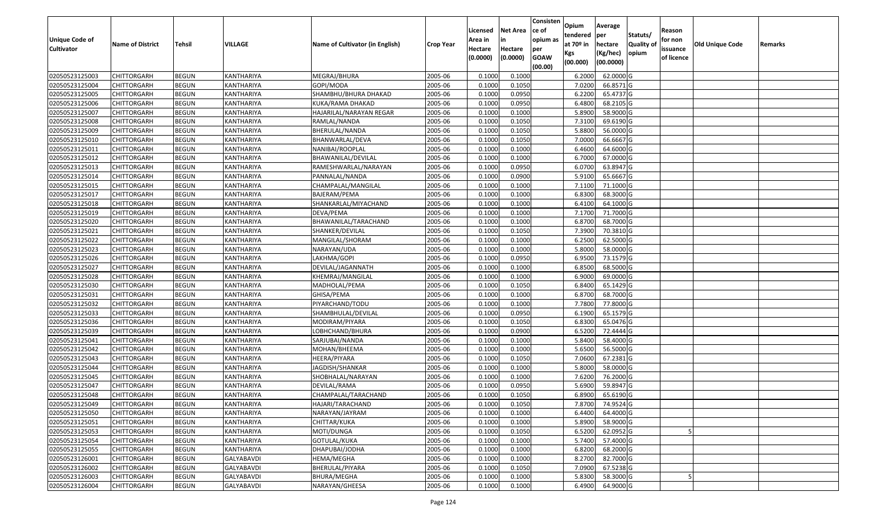| <b>Unique Code of</b> | <b>Name of District</b> | Tehsil       | VILLAGE           | Name of Cultivator (in English) | <b>Crop Year</b> | Licensed<br>Area in | <b>Net Area</b><br>in | Consisten<br>ce of<br>opium as | Opium<br>tendered<br>at $70°$ in | Average<br>per<br>hectare | Statuts/<br><b>Quality o</b> | Reason<br>for non      | Old Unique Code | Remarks |
|-----------------------|-------------------------|--------------|-------------------|---------------------------------|------------------|---------------------|-----------------------|--------------------------------|----------------------------------|---------------------------|------------------------------|------------------------|-----------------|---------|
| <b>Cultivator</b>     |                         |              |                   |                                 |                  | Hectare<br>(0.0000) | Hectare<br>(0.0000)   | per<br><b>GOAW</b><br>(00.00)  | Kgs<br>(00.000)                  | (Kg/hec)<br>(00.0000)     | opium                        | issuance<br>of licence |                 |         |
| 02050523125003        | CHITTORGARH             | <b>BEGUN</b> | KANTHARIYA        | MEGRAJ/BHURA                    | 2005-06          | 0.1000              | 0.1000                |                                | 6.2000                           | 62.0000G                  |                              |                        |                 |         |
| 02050523125004        | CHITTORGARH             | <b>BEGUN</b> | KANTHARIYA        | GOPI/MODA                       | 2005-06          | 0.1000              | 0.1050                |                                | 7.0200                           | 66.8571 G                 |                              |                        |                 |         |
| 02050523125005        | CHITTORGARH             | <b>BEGUN</b> | KANTHARIYA        | SHAMBHU/BHURA DHAKAD            | 2005-06          | 0.1000              | 0.0950                |                                | 6.2200                           | 65.4737 G                 |                              |                        |                 |         |
| 02050523125006        | <b>CHITTORGARH</b>      | <b>BEGUN</b> | KANTHARIYA        | KUKA/RAMA DHAKAD                | 2005-06          | 0.1000              | 0.0950                |                                | 6.4800                           | 68.2105 G                 |                              |                        |                 |         |
| 02050523125007        | CHITTORGARH             | <b>BEGUN</b> | KANTHARIYA        | HAJARILAL/NARAYAN REGAR         | 2005-06          | 0.1000              | 0.1000                |                                | 5.8900                           | 58.9000 G                 |                              |                        |                 |         |
| 02050523125008        | CHITTORGARH             | <b>BEGUN</b> | KANTHARIYA        | RAMLAL/NANDA                    | 2005-06          | 0.1000              | 0.1050                |                                | 7.3100                           | 69.6190 G                 |                              |                        |                 |         |
| 02050523125009        | CHITTORGARH             | <b>BEGUN</b> | KANTHARIYA        | BHERULAL/NANDA                  | 2005-06          | 0.1000              | 0.1050                |                                | 5.8800                           | 56.0000G                  |                              |                        |                 |         |
| 02050523125010        | <b>CHITTORGARH</b>      | <b>BEGUN</b> | <b>KANTHARIYA</b> | BHANWARLAL/DEVA                 | 2005-06          | 0.1000              | 0.1050                |                                | 7.0000                           | 66.6667 G                 |                              |                        |                 |         |
| 02050523125011        | CHITTORGARH             | <b>BEGUN</b> | KANTHARIYA        | NANIBAI/ROOPLAL                 | 2005-06          | 0.1000              | 0.1000                |                                | 6.4600                           | 64.6000 G                 |                              |                        |                 |         |
| 02050523125012        | CHITTORGARH             | <b>BEGUN</b> | KANTHARIYA        | BHAWANILAL/DEVILAL              | 2005-06          | 0.1000              | 0.1000                |                                | 6.7000                           | 67.0000 G                 |                              |                        |                 |         |
| 02050523125013        | CHITTORGARH             | <b>BEGUN</b> | KANTHARIYA        | RAMESHWARLAL/NARAYAN            | 2005-06          | 0.1000              | 0.0950                |                                | 6.0700                           | 63.8947 G                 |                              |                        |                 |         |
| 02050523125014        | <b>CHITTORGARH</b>      | <b>BEGUN</b> | KANTHARIYA        | PANNALAL/NANDA                  | 2005-06          | 0.1000              | 0.0900                |                                | 5.9100                           | 65.6667 G                 |                              |                        |                 |         |
| 02050523125015        | <b>CHITTORGARH</b>      | <b>BEGUN</b> | KANTHARIYA        | CHAMPALAL/MANGILAL              | 2005-06          | 0.1000              | 0.1000                |                                | 7.1100                           | 71.1000 G                 |                              |                        |                 |         |
| 02050523125017        | CHITTORGARH             | <b>BEGUN</b> | KANTHARIYA        | BAJERAM/PEMA                    | 2005-06          | 0.1000              | 0.1000                |                                | 6.8300                           | 68.3000G                  |                              |                        |                 |         |
| 02050523125018        | CHITTORGARH             | <b>BEGUN</b> | KANTHARIYA        | SHANKARLAL/MIYACHAND            | 2005-06          | 0.1000              | 0.1000                |                                | 6.4100                           | 64.1000 G                 |                              |                        |                 |         |
| 02050523125019        | CHITTORGARH             | <b>BEGUN</b> | KANTHARIYA        | DEVA/PEMA                       | 2005-06          | 0.1000              | 0.1000                |                                | 7.1700                           | 71.7000G                  |                              |                        |                 |         |
| 02050523125020        | CHITTORGARH             | <b>BEGUN</b> | KANTHARIYA        | BHAWANILAL/TARACHAND            | 2005-06          | 0.1000              | 0.1000                |                                | 6.8700                           | 68.7000 G                 |                              |                        |                 |         |
| 02050523125021        | CHITTORGARH             | <b>BEGUN</b> | KANTHARIYA        | SHANKER/DEVILAL                 | 2005-06          | 0.1000              | 0.1050                |                                | 7.3900                           | 70.3810 G                 |                              |                        |                 |         |
| 02050523125022        | CHITTORGARH             | <b>BEGUN</b> | KANTHARIYA        | MANGILAL/SHORAM                 | 2005-06          | 0.1000              | 0.1000                |                                | 6.2500                           | 62.5000G                  |                              |                        |                 |         |
| 02050523125023        | CHITTORGARH             | <b>BEGUN</b> | KANTHARIYA        | NARAYAN/UDA                     | 2005-06          | 0.1000              | 0.1000                |                                | 5.8000                           | 58.0000G                  |                              |                        |                 |         |
| 02050523125026        | CHITTORGARH             | <b>BEGUN</b> | KANTHARIYA        | LAKHMA/GOPI                     | 2005-06          | 0.1000              | 0.0950                |                                | 6.9500                           | 73.1579 G                 |                              |                        |                 |         |
| 02050523125027        | CHITTORGARH             | <b>BEGUN</b> | KANTHARIYA        | DEVILAL/JAGANNATH               | 2005-06          | 0.1000              | 0.1000                |                                | 6.850                            | 68.5000 G                 |                              |                        |                 |         |
| 02050523125028        | CHITTORGARH             | <b>BEGUN</b> | KANTHARIYA        | KHEMRAJ/MANGILAL                | 2005-06          | 0.1000              | 0.1000                |                                | 6.9000                           | 69.0000G                  |                              |                        |                 |         |
| 02050523125030        | CHITTORGARH             | <b>BEGUN</b> | KANTHARIYA        | MADHOLAL/PEMA                   | 2005-06          | 0.1000              | 0.1050                |                                | 6.8400                           | 65.1429 G                 |                              |                        |                 |         |
| 02050523125031        | CHITTORGARH             | <b>BEGUN</b> | KANTHARIYA        | GHISA/PEMA                      | 2005-06          | 0.1000              | 0.1000                |                                | 6.8700                           | 68.7000 G                 |                              |                        |                 |         |
| 02050523125032        | CHITTORGARH             | <b>BEGUN</b> | KANTHARIYA        | PIYARCHAND/TODU                 | 2005-06          | 0.1000              | 0.1000                |                                | 7.7800                           | 77.8000 G                 |                              |                        |                 |         |
| 02050523125033        | CHITTORGARH             | <b>BEGUN</b> | KANTHARIYA        | SHAMBHULAL/DEVILAL              | 2005-06          | 0.1000              | 0.0950                |                                | 6.1900                           | 65.1579 G                 |                              |                        |                 |         |
| 02050523125036        | CHITTORGARH             | <b>BEGUN</b> | KANTHARIYA        | MODIRAM/PIYARA                  | 2005-06          | 0.1000              | 0.1050                |                                | 6.8300                           | 65.0476 G                 |                              |                        |                 |         |
| 02050523125039        | CHITTORGARH             | <b>BEGUN</b> | KANTHARIYA        | LOBHCHAND/BHURA                 | 2005-06          | 0.1000              | 0.0900                |                                | 6.5200                           | 72.4444 G                 |                              |                        |                 |         |
| 02050523125041        | CHITTORGARH             | <b>BEGUN</b> | KANTHARIYA        | SARJUBAI/NANDA                  | 2005-06          | 0.1000              | 0.1000                |                                | 5.8400                           | 58.4000 G                 |                              |                        |                 |         |
| 02050523125042        | CHITTORGARH             | <b>BEGUN</b> | KANTHARIYA        | MOHAN/BHEEMA                    | 2005-06          | 0.1000              | 0.1000                |                                | 5.6500                           | 56.5000G                  |                              |                        |                 |         |
| 02050523125043        | CHITTORGARH             | <b>BEGUN</b> | KANTHARIYA        | HEERA/PIYARA                    | 2005-06          | 0.1000              | 0.1050                |                                | 7.0600                           | 67.2381G                  |                              |                        |                 |         |
| 02050523125044        | CHITTORGARH             | <b>BEGUN</b> | KANTHARIYA        | JAGDISH/SHANKAR                 | 2005-06          | 0.1000              | 0.1000                |                                | 5.8000                           | 58.0000G                  |                              |                        |                 |         |
| 02050523125045        | CHITTORGARH             | <b>BEGUN</b> | KANTHARIYA        | SHOBHALAL/NARAYAN               | 2005-06          | 0.1000              | 0.1000                |                                | 7.6200                           | 76.2000 G                 |                              |                        |                 |         |
| 02050523125047        | CHITTORGARH             | <b>BEGUN</b> | KANTHARIYA        | DEVILAL/RAMA                    | 2005-06          | 0.1000              | 0.0950                |                                | 5.6900                           | 59.8947 G                 |                              |                        |                 |         |
| 02050523125048        | CHITTORGARH             | <b>BEGUN</b> | KANTHARIYA        | CHAMPALAL/TARACHAND             | 2005-06          | 0.1000              | 0.1050                |                                | 6.8900                           | 65.6190 G                 |                              |                        |                 |         |
| 02050523125049        | <b>CHITTORGARH</b>      | <b>BEGUN</b> | KANTHARIYA        | HAJARI/TARACHAND                | 2005-06          | 0.1000              | 0.1050                |                                |                                  | 7.8700 74.9524 G          |                              |                        |                 |         |
| 02050523125050        | <b>CHITTORGARH</b>      | <b>BEGUN</b> | KANTHARIYA        | NARAYAN/JAYRAM                  | 2005-06          | 0.1000              | 0.1000                |                                | 6.4400                           | 64.4000 G                 |                              |                        |                 |         |
| 02050523125051        | <b>CHITTORGARH</b>      | <b>BEGUN</b> | KANTHARIYA        | CHITTAR/KUKA                    | 2005-06          | 0.1000              | 0.1000                |                                | 5.8900                           | 58.9000 G                 |                              |                        |                 |         |
| 02050523125053        | <b>CHITTORGARH</b>      | <b>BEGUN</b> | KANTHARIYA        | MOTI/DUNGA                      | 2005-06          | 0.1000              | 0.1050                |                                | 6.5200                           | 62.0952 G                 |                              |                        |                 |         |
| 02050523125054        | <b>CHITTORGARH</b>      | <b>BEGUN</b> | KANTHARIYA        | GOTULAL/KUKA                    | 2005-06          | 0.1000              | 0.1000                |                                | 5.7400                           | 57.4000 G                 |                              |                        |                 |         |
| 02050523125055        | <b>CHITTORGARH</b>      | <b>BEGUN</b> | KANTHARIYA        | DHAPUBAI/JODHA                  | 2005-06          | 0.1000              | 0.1000                |                                | 6.8200                           | 68.2000 G                 |                              |                        |                 |         |
| 02050523126001        | <b>CHITTORGARH</b>      | <b>BEGUN</b> | GALYABAVDI        | HEMA/MEGHA                      | 2005-06          | 0.1000              | 0.1000                |                                | 8.2700                           | 82.7000 G                 |                              |                        |                 |         |
| 02050523126002        | <b>CHITTORGARH</b>      | <b>BEGUN</b> | GALYABAVDI        | BHERULAL/PIYARA                 | 2005-06          | 0.1000              | 0.1050                |                                | 7.0900                           | 67.5238 G                 |                              |                        |                 |         |
| 02050523126003        | <b>CHITTORGARH</b>      | <b>BEGUN</b> | GALYABAVDI        | BHURA/MEGHA                     | 2005-06          | 0.1000              | 0.1000                |                                | 5.8300                           | 58.3000 G                 |                              |                        |                 |         |
| 02050523126004        | <b>CHITTORGARH</b>      | <b>BEGUN</b> | GALYABAVDI        | NARAYAN/GHEESA                  | 2005-06          | 0.1000              | 0.1000                |                                | 6.4900                           | 64.9000 G                 |                              |                        |                 |         |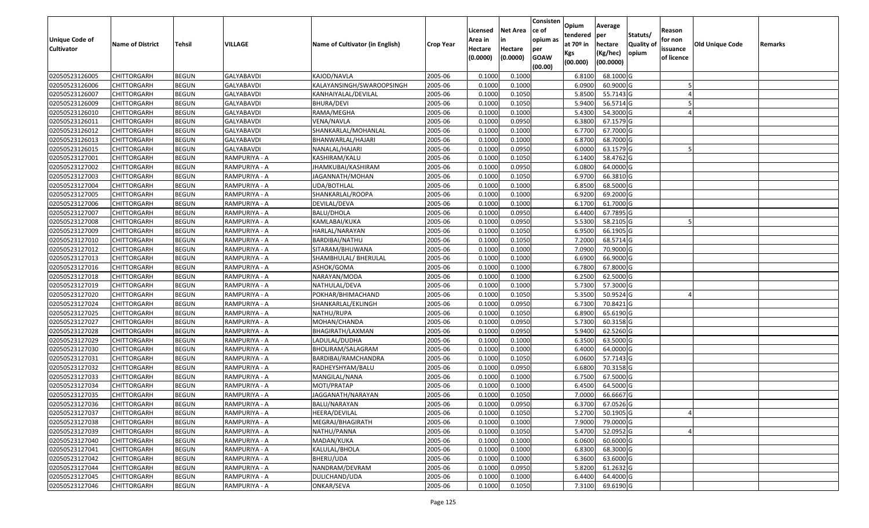| <b>Unique Code of</b> | <b>Name of District</b> | <b>Tehsil</b> | VILLAGE           | Name of Cultivator (in English) | <b>Crop Year</b> | Licensed<br>Area in | <b>Net Area</b><br>in | Consisten<br>ce of<br>opium as | Opium<br>tendered<br>at $70°$ in | Average<br>per<br>hectare | Statuts/<br><b>Quality o</b> | Reason<br>for non      | Old Unique Code | Remarks |
|-----------------------|-------------------------|---------------|-------------------|---------------------------------|------------------|---------------------|-----------------------|--------------------------------|----------------------------------|---------------------------|------------------------------|------------------------|-----------------|---------|
| <b>Cultivator</b>     |                         |               |                   |                                 |                  | Hectare<br>(0.0000) | Hectare<br>(0.0000)   | per<br><b>GOAW</b><br>(00.00)  | Kgs<br>(00.000)                  | (Kg/hec)<br>(00.0000)     | opium                        | issuance<br>of licence |                 |         |
| 02050523126005        | CHITTORGARH             | <b>BEGUN</b>  | <b>GALYABAVDI</b> | KAJOD/NAVLA                     | 2005-06          | 0.1000              | 0.1000                |                                | 6.8100                           | 68.1000 G                 |                              |                        |                 |         |
| 02050523126006        | CHITTORGARH             | <b>BEGUN</b>  | GALYABAVDI        | KALAYANSINGH/SWAROOPSINGH       | 2005-06          | 0.1000              | 0.1000                |                                | 6.0900                           | 60.9000 G                 |                              |                        |                 |         |
| 02050523126007        | CHITTORGARH             | <b>BEGUN</b>  | GALYABAVDI        | KANHAIYALAL/DEVILAL             | 2005-06          | 0.1000              | 0.1050                |                                | 5.8500                           | 55.7143 G                 |                              |                        |                 |         |
| 02050523126009        | <b>CHITTORGARH</b>      | <b>BEGUN</b>  | <b>GALYABAVDI</b> | <b>BHURA/DEVI</b>               | 2005-06          | 0.1000              | 0.1050                |                                | 5.9400                           | 56.5714 G                 |                              |                        |                 |         |
| 02050523126010        | CHITTORGARH             | <b>BEGUN</b>  | <b>GALYABAVDI</b> | RAMA/MEGHA                      | 2005-06          | 0.1000              | 0.1000                |                                | 5.4300                           | 54.3000 G                 |                              |                        |                 |         |
| 02050523126011        | CHITTORGARH             | <b>BEGUN</b>  | <b>GALYABAVDI</b> | VENA/NAVLA                      | 2005-06          | 0.1000              | 0.0950                |                                | 6.3800                           | 67.1579 G                 |                              |                        |                 |         |
| 02050523126012        | CHITTORGARH             | <b>BEGUN</b>  | GALYABAVDI        | SHANKARLAL/MOHANLAL             | 2005-06          | 0.1000              | 0.1000                |                                | 6.7700                           | 67.7000 G                 |                              |                        |                 |         |
| 02050523126013        | <b>CHITTORGARH</b>      | <b>BEGUN</b>  | <b>GALYABAVDI</b> | BHANWARLAL/HAJARI               | 2005-06          | 0.1000              | 0.1000                |                                | 6.8700                           | 68.7000 G                 |                              |                        |                 |         |
| 02050523126015        | CHITTORGARH             | <b>BEGUN</b>  | <b>GALYABAVDI</b> | NANALAL/HAJARI                  | 2005-06          | 0.1000              | 0.0950                |                                | 6.0000                           | 63.1579 G                 |                              |                        |                 |         |
| 02050523127001        | CHITTORGARH             | <b>BEGUN</b>  | RAMPURIYA - A     | KASHIRAM/KALU                   | 2005-06          | 0.1000              | 0.1050                |                                | 6.1400                           | 58.4762 G                 |                              |                        |                 |         |
| 02050523127002        | CHITTORGARH             | <b>BEGUN</b>  | RAMPURIYA - A     | JHAMKUBAI/KASHIRAM              | 2005-06          | 0.1000              | 0.0950                |                                | 6.0800                           | 64.0000G                  |                              |                        |                 |         |
| 02050523127003        | <b>CHITTORGARH</b>      | <b>BEGUN</b>  | RAMPURIYA - A     | JAGANNATH/MOHAN                 | 2005-06          | 0.1000              | 0.1050                |                                | 6.9700                           | 66.3810 G                 |                              |                        |                 |         |
| 02050523127004        | <b>CHITTORGARH</b>      | <b>BEGUN</b>  | RAMPURIYA - A     | UDA/BOTHLAL                     | 2005-06          | 0.1000              | 0.1000                |                                | 6.8500                           | 68.5000 G                 |                              |                        |                 |         |
| 02050523127005        | <b>CHITTORGARH</b>      | <b>BEGUN</b>  | RAMPURIYA - A     | SHANKARLAL/ROOPA                | 2005-06          | 0.1000              | 0.1000                |                                | 6.9200                           | 69.2000G                  |                              |                        |                 |         |
| 02050523127006        | <b>CHITTORGARH</b>      | <b>BEGUN</b>  | RAMPURIYA - A     | DEVILAL/DEVA                    | 2005-06          | 0.1000              | 0.1000                |                                | 6.1700                           | 61.7000G                  |                              |                        |                 |         |
| 02050523127007        | <b>CHITTORGARH</b>      | <b>BEGUN</b>  | RAMPURIYA - A     | <b>BALU/DHOLA</b>               | 2005-06          | 0.1000              | 0.0950                |                                | 6.4400                           | 67.7895 G                 |                              |                        |                 |         |
| 02050523127008        | CHITTORGARH             | <b>BEGUN</b>  | RAMPURIYA - A     | KAMLABAI/KUKA                   | 2005-06          | 0.1000              | 0.0950                |                                | 5.5300                           | 58.2105 G                 |                              |                        |                 |         |
| 02050523127009        | CHITTORGARH             | <b>BEGUN</b>  | RAMPURIYA - A     | HARLAL/NARAYAN                  | 2005-06          | 0.1000              | 0.1050                |                                | 6.9500                           | 66.1905 G                 |                              |                        |                 |         |
| 02050523127010        | CHITTORGARH             | <b>BEGUN</b>  | RAMPURIYA - A     | BARDIBAI/NATHU                  | 2005-06          | 0.1000              | 0.1050                |                                | 7.2000                           | 68.5714 G                 |                              |                        |                 |         |
| 02050523127012        | CHITTORGARH             | <b>BEGUN</b>  | RAMPURIYA - A     | SITARAM/BHUWANA                 | 2005-06          | 0.1000              | 0.1000                |                                | 7.0900                           | 70.9000 G                 |                              |                        |                 |         |
| 02050523127013        | CHITTORGARH             | <b>BEGUN</b>  | RAMPURIYA - A     | SHAMBHULAL/ BHERULAL            | 2005-06          | 0.1000              | 0.1000                |                                | 6.6900                           | 66.9000 G                 |                              |                        |                 |         |
| 02050523127016        | CHITTORGARH             | <b>BEGUN</b>  | RAMPURIYA - A     | ASHOK/GOMA                      | 2005-06          | 0.1000              | 0.1000                |                                | 6.7800                           | 67.8000 G                 |                              |                        |                 |         |
| 02050523127018        | CHITTORGARH             | <b>BEGUN</b>  | RAMPURIYA - A     | NARAYAN/MODA                    | 2005-06          | 0.1000              | 0.1000                |                                | 6.2500                           | 62.5000G                  |                              |                        |                 |         |
| 02050523127019        | <b>CHITTORGARH</b>      | <b>BEGUN</b>  | RAMPURIYA - A     | NATHULAL/DEVA                   | 2005-06          | 0.1000              | 0.1000                |                                | 5.7300                           | 57.3000 G                 |                              |                        |                 |         |
| 02050523127020        | <b>CHITTORGARH</b>      | <b>BEGUN</b>  | RAMPURIYA - A     | POKHAR/BHIMACHAND               | 2005-06          | 0.1000              | 0.1050                |                                | 5.3500                           | 50.9524 G                 |                              |                        |                 |         |
| 02050523127024        | CHITTORGARH             | <b>BEGUN</b>  | RAMPURIYA - A     | SHANKARLAL/EKLINGH              | 2005-06          | 0.1000              | 0.0950                |                                | 6.7300                           | 70.8421G                  |                              |                        |                 |         |
| 02050523127025        | CHITTORGARH             | <b>BEGUN</b>  | RAMPURIYA - A     | NATHU/RUPA                      | 2005-06          | 0.1000              | 0.1050                |                                | 6.8900                           | 65.6190 G                 |                              |                        |                 |         |
| 02050523127027        | CHITTORGARH             | <b>BEGUN</b>  | RAMPURIYA - A     | MOHAN/CHANDA                    | 2005-06          | 0.1000              | 0.0950                |                                | 5.7300                           | 60.3158 G                 |                              |                        |                 |         |
| 02050523127028        | CHITTORGARH             | <b>BEGUN</b>  | RAMPURIYA - A     | BHAGIRATH/LAXMAN                | 2005-06          | 0.1000              | 0.0950                |                                | 5.9400                           | 62.5260 G                 |                              |                        |                 |         |
| 02050523127029        | CHITTORGARH             | <b>BEGUN</b>  | RAMPURIYA - A     | LADULAL/DUDHA                   | 2005-06          | 0.1000              | 0.1000                |                                | 6.3500                           | 63.5000 G                 |                              |                        |                 |         |
| 02050523127030        | CHITTORGARH             | <b>BEGUN</b>  | RAMPURIYA - A     | BHOLIRAM/SALAGRAM               | 2005-06          | 0.1000              | 0.1000                |                                | 6.4000                           | 64.0000G                  |                              |                        |                 |         |
| 02050523127031        | CHITTORGARH             | <b>BEGUN</b>  | RAMPURIYA - A     | BARDIBAI/RAMCHANDRA             | 2005-06          | 0.1000              | 0.1050                |                                | 6.0600                           | 57.7143 G                 |                              |                        |                 |         |
| 02050523127032        | CHITTORGARH             | <b>BEGUN</b>  | RAMPURIYA - A     | RADHEYSHYAM/BALU                | 2005-06          | 0.1000              | 0.0950                |                                | 6.6800                           | 70.3158 G                 |                              |                        |                 |         |
| 02050523127033        | CHITTORGARH             | <b>BEGUN</b>  | RAMPURIYA - A     | MANGILAL/NANA                   | 2005-06          | 0.1000              | 0.1000                |                                | 6.7500                           | 67.5000 G                 |                              |                        |                 |         |
| 02050523127034        | CHITTORGARH             | <b>BEGUN</b>  | RAMPURIYA - A     | MOTI/PRATAP                     | 2005-06          | 0.1000              | 0.1000                |                                | 6.4500                           | 64.5000 G                 |                              |                        |                 |         |
| 02050523127035        | CHITTORGARH             | <b>BEGUN</b>  | RAMPURIYA - A     | JAGGANATH/NARAYAN               | 2005-06          | 0.1000              | 0.1050                |                                | 7.0000                           | 66.6667G                  |                              |                        |                 |         |
| 02050523127036        | <b>CHITTORGARH</b>      | <b>BEGUN</b>  | RAMPURIYA - A     | BALU/NARAYAN                    | 2005-06          | 0.1000              | 0.0950                |                                |                                  | 6.3700 67.0526 G          |                              |                        |                 |         |
| 02050523127037        | <b>CHITTORGARH</b>      | <b>BEGUN</b>  | RAMPURIYA - A     | HEERA/DEVILAL                   | 2005-06          | 0.1000              | 0.1050                |                                | 5.2700                           | 50.1905 G                 |                              |                        |                 |         |
| 02050523127038        | <b>CHITTORGARH</b>      | <b>BEGUN</b>  | RAMPURIYA - A     | MEGRAJ/BHAGIRATH                | 2005-06          | 0.1000              | 0.1000                |                                | 7.9000                           | 79.0000 G                 |                              |                        |                 |         |
| 02050523127039        | <b>CHITTORGARH</b>      | <b>BEGUN</b>  | RAMPURIYA - A     | NATHU/PANNA                     | 2005-06          | 0.1000              | 0.1050                |                                | 5.4700                           | 52.0952 G                 |                              |                        |                 |         |
| 02050523127040        | CHITTORGARH             | <b>BEGUN</b>  | RAMPURIYA - A     | MADAN/KUKA                      | 2005-06          | 0.1000              | 0.1000                |                                | 6.0600                           | 60.6000 G                 |                              |                        |                 |         |
| 02050523127041        | <b>CHITTORGARH</b>      | <b>BEGUN</b>  | RAMPURIYA - A     | KALULAL/BHOLA                   | 2005-06          | 0.1000              | 0.1000                |                                | 6.8300                           | 68.3000 G                 |                              |                        |                 |         |
| 02050523127042        | <b>CHITTORGARH</b>      | <b>BEGUN</b>  | RAMPURIYA - A     | BHERU/UDA                       | 2005-06          | 0.1000              | 0.1000                |                                | 6.3600                           | 63.6000 G                 |                              |                        |                 |         |
| 02050523127044        | CHITTORGARH             | <b>BEGUN</b>  | RAMPURIYA - A     | NANDRAM/DEVRAM                  | 2005-06          | 0.1000              | 0.0950                |                                | 5.8200                           | 61.2632 G                 |                              |                        |                 |         |
| 02050523127045        | <b>CHITTORGARH</b>      | <b>BEGUN</b>  | RAMPURIYA - A     | DULICHAND/UDA                   | 2005-06          | 0.1000              | 0.1000                |                                | 6.4400                           | 64.4000 G                 |                              |                        |                 |         |
| 02050523127046        | <b>CHITTORGARH</b>      | <b>BEGUN</b>  | RAMPURIYA - A     | ONKAR/SEVA                      | 2005-06          | 0.1000              | 0.1050                |                                | 7.3100                           | 69.6190 G                 |                              |                        |                 |         |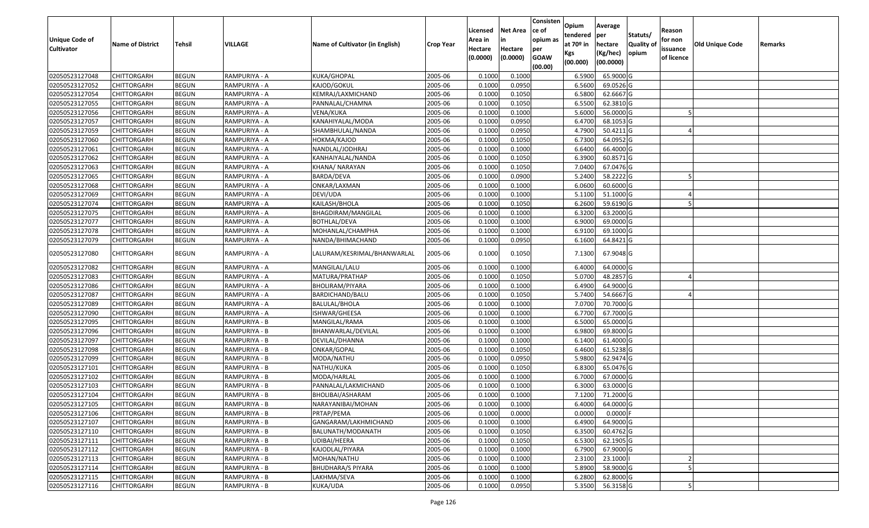| <b>Unique Code of</b><br><b>Cultivator</b> | <b>Name of District</b> | Tehsil       | VILLAGE       | Name of Cultivator (in English) | <b>Crop Year</b> | Licensed<br>Area in<br>Hectare | <b>Net Area</b><br>in<br>Hectare | Consisten<br>ce of<br>opium as | Opium<br>tendered<br>at $70°$ in | Average<br>per<br>hectare | Statuts/<br><b>Quality o</b> | Reason<br>for non<br>issuance | <b>Old Unique Code</b> | Remarks |
|--------------------------------------------|-------------------------|--------------|---------------|---------------------------------|------------------|--------------------------------|----------------------------------|--------------------------------|----------------------------------|---------------------------|------------------------------|-------------------------------|------------------------|---------|
|                                            |                         |              |               |                                 |                  | (0.0000)                       | (0.0000)                         | per<br><b>GOAW</b><br>(00.00)  | Kgs<br>(00.000)                  | (Kg/hec)<br>(00.0000)     | opium                        | of licence                    |                        |         |
| 02050523127048                             | CHITTORGARH             | <b>BEGUN</b> | RAMPURIYA - A | KUKA/GHOPAL                     | 2005-06          | 0.1000                         | 0.1000                           |                                | 6.5900                           | 65.9000 G                 |                              |                               |                        |         |
| 02050523127052                             | CHITTORGARH             | <b>BEGUN</b> | RAMPURIYA - A | KAJOD/GOKUL                     | 2005-06          | 0.1000                         | 0.0950                           |                                | 6.5600                           | 69.0526 G                 |                              |                               |                        |         |
| 02050523127054                             | CHITTORGARH             | <b>BEGUN</b> | RAMPURIYA - A | KEMRAJ/LAXMICHAND               | 2005-06          | 0.1000                         | 0.1050                           |                                | 6.5800                           | 62.6667 G                 |                              |                               |                        |         |
| 02050523127055                             | <b>CHITTORGARH</b>      | <b>BEGUN</b> | RAMPURIYA - A | PANNALAL/CHAMNA                 | 2005-06          | 0.1000                         | 0.1050                           |                                | 6.5500                           | 62.3810 G                 |                              |                               |                        |         |
| 02050523127056                             | CHITTORGARH             | <b>BEGUN</b> | RAMPURIYA - A | VENA/KUKA                       | 2005-06          | 0.1000                         | 0.1000                           |                                | 5.6000                           | 56.0000 G                 |                              |                               |                        |         |
| 02050523127057                             | CHITTORGARH             | <b>BEGUN</b> | RAMPURIYA - A | KANAHIYALAL/MODA                | 2005-06          | 0.1000                         | 0.0950                           |                                | 6.4700                           | 68.1053 G                 |                              |                               |                        |         |
| 02050523127059                             | CHITTORGARH             | <b>BEGUN</b> | RAMPURIYA - A | SHAMBHULAL/NANDA                | 2005-06          | 0.1000                         | 0.0950                           |                                | 4.7900                           | $50.4211$ G               |                              |                               |                        |         |
| 02050523127060                             | <b>CHITTORGARH</b>      | <b>BEGUN</b> | RAMPURIYA - A | HOKMA/KAJOD                     | 2005-06          | 0.1000                         | 0.1050                           |                                | 6.7300                           | 64.0952 G                 |                              |                               |                        |         |
| 02050523127061                             | <b>CHITTORGARH</b>      | <b>BEGUN</b> | RAMPURIYA - A | NANDLAL/JODHRAJ                 | 2005-06          | 0.1000                         | 0.1000                           |                                | 6.6400                           | 66.4000 G                 |                              |                               |                        |         |
| 02050523127062                             | CHITTORGARH             | <b>BEGUN</b> | RAMPURIYA - A | KANHAIYALAL/NANDA               | 2005-06          | 0.1000                         | 0.1050                           |                                | 6.3900                           | 60.8571 G                 |                              |                               |                        |         |
| 02050523127063                             | CHITTORGARH             | <b>BEGUN</b> | RAMPURIYA - A | KHANA/ NARAYAN                  | 2005-06          | 0.1000                         | 0.1050                           |                                | 7.0400                           | 67.0476 G                 |                              |                               |                        |         |
| 02050523127065                             | <b>CHITTORGARH</b>      | <b>BEGUN</b> | RAMPURIYA - A | BARDA/DEVA                      | 2005-06          | 0.1000                         | 0.0900                           |                                | 5.2400                           | 58.2222 G                 |                              |                               |                        |         |
| 02050523127068                             | <b>CHITTORGARH</b>      | <b>BEGUN</b> | RAMPURIYA - A | ONKAR/LAXMAN                    | 2005-06          | 0.1000                         | 0.1000                           |                                | 6.0600                           | 60.6000 G                 |                              |                               |                        |         |
| 02050523127069                             | CHITTORGARH             | <b>BEGUN</b> | RAMPURIYA - A | DEVI/UDA                        | 2005-06          | 0.1000                         | 0.1000                           |                                | 5.1100                           | 51.1000G                  |                              |                               |                        |         |
| 02050523127074                             | CHITTORGARH             | <b>BEGUN</b> | RAMPURIYA - A | KAILASH/BHOLA                   | 2005-06          | 0.1000                         | 0.1050                           |                                | 6.2600                           | 59.6190 G                 |                              |                               |                        |         |
| 02050523127075                             | CHITTORGARH             | <b>BEGUN</b> | RAMPURIYA - A | BHAGDIRAM/MANGILAL              | 2005-06          | 0.1000                         | 0.1000                           |                                | 6.3200                           | 63.2000 G                 |                              |                               |                        |         |
| 02050523127077                             | CHITTORGARH             | <b>BEGUN</b> | RAMPURIYA - A | BOTHLAL/DEVA                    | 2005-06          | 0.1000                         | 0.1000                           |                                | 6.9000                           | 69.0000G                  |                              |                               |                        |         |
| 02050523127078                             | CHITTORGARH             | <b>BEGUN</b> | RAMPURIYA - A | MOHANLAL/CHAMPHA                | 2005-06          | 0.1000                         | 0.1000                           |                                | 6.9100                           | 69.1000 G                 |                              |                               |                        |         |
| 02050523127079                             | CHITTORGARH             | <b>BEGUN</b> | RAMPURIYA - A | NANDA/BHIMACHAND                | 2005-06          | 0.1000                         | 0.0950                           |                                | 6.1600                           | 64.8421 G                 |                              |                               |                        |         |
| 02050523127080                             | CHITTORGARH             | <b>BEGUN</b> | RAMPURIYA - A | LALURAM/KESRIMAL/BHANWARLAL     | 2005-06          | 0.1000                         | 0.1050                           |                                | 7.1300                           | 67.9048 G                 |                              |                               |                        |         |
| 02050523127082                             | CHITTORGARH             | <b>BEGUN</b> | RAMPURIYA - A | MANGILAL/LALU                   | 2005-06          | 0.1000                         | 0.1000                           |                                | 6.4000                           | 64.0000 G                 |                              |                               |                        |         |
| 02050523127083                             | CHITTORGARH             | <b>BEGUN</b> | RAMPURIYA - A | MATURA/PRATHAP                  | 2005-06          | 0.1000                         | 0.1050                           |                                | 5.0700                           | 48.2857 G                 |                              |                               |                        |         |
| 02050523127086                             | CHITTORGARH             | <b>BEGUN</b> | RAMPURIYA - A | BHOLIRAM/PIYARA                 | 2005-06          | 0.1000                         | 0.1000                           |                                | 6.4900                           | 64.9000 G                 |                              |                               |                        |         |
| 02050523127087                             | <b>CHITTORGARH</b>      | <b>BEGUN</b> | RAMPURIYA - A | BARDICHAND/BALU                 | 2005-06          | 0.1000                         | 0.1050                           |                                | 5.7400                           | 54.6667 G                 |                              |                               |                        |         |
| 02050523127089                             | CHITTORGARH             | <b>BEGUN</b> | RAMPURIYA - A | BALULAL/BHOLA                   | 2005-06          | 0.1000                         | 0.1000                           |                                | 7.0700                           | 70.7000G                  |                              |                               |                        |         |
| 02050523127090                             | CHITTORGARH             | <b>BEGUN</b> | RAMPURIYA - A | ISHWAR/GHEESA                   | 2005-06          | 0.1000                         | 0.1000                           |                                | 6.7700                           | 67.7000 G                 |                              |                               |                        |         |
| 02050523127095                             | CHITTORGARH             | <b>BEGUN</b> | RAMPURIYA - B | MANGILAL/RAMA                   | 2005-06          | 0.1000                         | 0.1000                           |                                | 6.5000                           | 65.0000 G                 |                              |                               |                        |         |
| 02050523127096                             | <b>CHITTORGARH</b>      | <b>BEGUN</b> | RAMPURIYA - B | BHANWARLAL/DEVILAL              | 2005-06          | 0.1000                         | 0.1000                           |                                | 6.9800                           | 69.8000 G                 |                              |                               |                        |         |
| 02050523127097                             | CHITTORGARH             | <b>BEGUN</b> | RAMPURIYA - B | DEVILAL/DHANNA                  | 2005-06          | 0.1000                         | 0.1000                           |                                | 6.1400                           | 61.4000 G                 |                              |                               |                        |         |
| 02050523127098                             | CHITTORGARH             | <b>BEGUN</b> | RAMPURIYA - B | ONKAR/GOPAL                     | 2005-06          | 0.1000                         | 0.1050                           |                                | 6.4600                           | 61.5238 G                 |                              |                               |                        |         |
| 02050523127099                             | CHITTORGARH             | <b>BEGUN</b> | RAMPURIYA - B | MODA/NATHU                      | 2005-06          | 0.1000                         | 0.0950                           |                                | 5.9800                           | 62.9474 G                 |                              |                               |                        |         |
| 02050523127101                             | <b>CHITTORGARH</b>      | <b>BEGUN</b> | RAMPURIYA - B | NATHU/KUKA                      | 2005-06          | 0.1000                         | 0.1050                           |                                | 6.8300                           | 65.0476 G                 |                              |                               |                        |         |
| 02050523127102                             | <b>CHITTORGARH</b>      | <b>BEGUN</b> | RAMPURIYA - B | MODA/HARLAL                     | 2005-06          | 0.1000                         | 0.1000                           |                                | 6.7000                           | 67.0000 G                 |                              |                               |                        |         |
| 02050523127103                             | CHITTORGARH             | <b>BEGUN</b> | RAMPURIYA - B | PANNALAL/LAKMICHAND             | 2005-06          | 0.1000                         | 0.1000                           |                                | 6.3000                           | 63.0000 G                 |                              |                               |                        |         |
| 02050523127104                             | CHITTORGARH             | <b>BEGUN</b> | RAMPURIYA - B | BHOLIBAI/ASHARAM                | 2005-06          | 0.1000                         | 0.1000                           |                                | 7.1200                           | 71.2000 G                 |                              |                               |                        |         |
| 02050523127105                             | <b>CHITTORGARH</b>      | <b>BEGUN</b> | RAMPURIYA - B | NARAYANIBAI/MOHAN               | 2005-06          | 0.1000                         | 0.1000                           |                                | 6.4000                           | 64.0000 G                 |                              |                               |                        |         |
| 02050523127106                             | <b>CHITTORGARH</b>      | <b>BEGUN</b> | RAMPURIYA - B | PRTAP/PEMA                      | 2005-06          | 0.1000                         | 0.0000                           |                                | 0.0000                           | $0.0000$ F                |                              |                               |                        |         |
| 02050523127107                             | <b>CHITTORGARH</b>      | <b>BEGUN</b> | RAMPURIYA - B | GANGARAM/LAKHMICHAND            | 2005-06          | 0.1000                         | 0.1000                           |                                | 6.4900                           | 64.9000 G                 |                              |                               |                        |         |
| 02050523127110                             | <b>CHITTORGARH</b>      | <b>BEGUN</b> | RAMPURIYA - B | BALUNATH/MODANATH               | 2005-06          | 0.1000                         | 0.1050                           |                                | 6.3500                           | 60.4762 G                 |                              |                               |                        |         |
| 02050523127111                             | CHITTORGARH             | <b>BEGUN</b> | RAMPURIYA - B | UDIBAI/HEERA                    | 2005-06          | 0.1000                         | 0.1050                           |                                | 6.5300                           | 62.1905 G                 |                              |                               |                        |         |
| 02050523127112                             | <b>CHITTORGARH</b>      | <b>BEGUN</b> | RAMPURIYA - B | KAJODLAL/PIYARA                 | 2005-06          | 0.1000                         | 0.1000                           |                                | 6.7900                           | 67.9000 G                 |                              |                               |                        |         |
| 02050523127113                             | <b>CHITTORGARH</b>      | <b>BEGUN</b> | RAMPURIYA - B | MOHAN/NATHU                     | 2005-06          | 0.1000                         | 0.1000                           |                                | 2.3100                           | 23.1000                   |                              |                               |                        |         |
| 02050523127114                             | <b>CHITTORGARH</b>      | <b>BEGUN</b> | RAMPURIYA - B | <b>BHUDHARA/S PIYARA</b>        | 2005-06          | 0.1000                         | 0.1000                           |                                | 5.8900                           | 58.9000 G                 |                              |                               |                        |         |
| 02050523127115                             | <b>CHITTORGARH</b>      | <b>BEGUN</b> | RAMPURIYA - B | LAKHMA/SEVA                     | 2005-06          | 0.1000                         | 0.1000                           |                                | 6.2800                           | 62.8000 G                 |                              |                               |                        |         |
| 02050523127116                             | <b>CHITTORGARH</b>      | <b>BEGUN</b> | RAMPURIYA - B | KUKA/UDA                        | 2005-06          | 0.1000                         | 0.0950                           |                                | 5.3500                           | 56.3158 G                 |                              |                               |                        |         |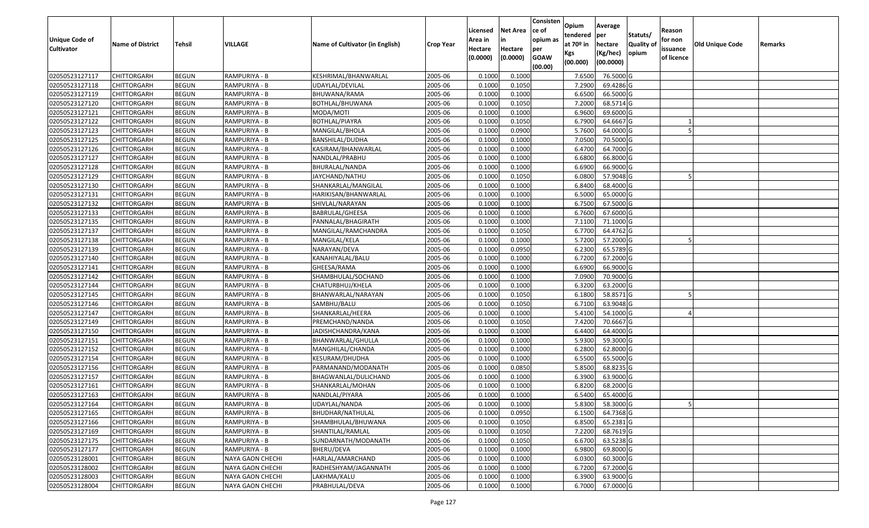| Unique Code of    | <b>Name of District</b> | Tehsil       | VILLAGE          | Name of Cultivator (in English) | <b>Crop Year</b> | Licensed<br>Area in | <b>Net Area</b><br>in | Consisten<br>ce of<br>opium as | Opium<br>tendered<br>at $70°$ in | Average<br>per<br>hectare | Statuts/<br><b>Quality o</b> | Reason<br>for non      | Old Unique Code | Remarks |
|-------------------|-------------------------|--------------|------------------|---------------------------------|------------------|---------------------|-----------------------|--------------------------------|----------------------------------|---------------------------|------------------------------|------------------------|-----------------|---------|
| <b>Cultivator</b> |                         |              |                  |                                 |                  | Hectare<br>(0.0000) | Hectare<br>(0.0000)   | per<br><b>GOAW</b><br>(00.00)  | Kgs<br>(00.000)                  | (Kg/hec)<br>(00.0000)     | opium                        | issuance<br>of licence |                 |         |
| 02050523127117    | CHITTORGARH             | <b>BEGUN</b> | RAMPURIYA - B    | KESHRIMAL/BHANWARLAL            | 2005-06          | 0.1000              | 0.1000                |                                | 7.6500                           | 76.5000G                  |                              |                        |                 |         |
| 02050523127118    | CHITTORGARH             | <b>BEGUN</b> | RAMPURIYA - B    | UDAYLAL/DEVILAL                 | 2005-06          | 0.1000              | 0.1050                |                                | 7.2900                           | 69.4286 G                 |                              |                        |                 |         |
| 02050523127119    | CHITTORGARH             | <b>BEGUN</b> | RAMPURIYA - B    | BHUWANA/RAMA                    | 2005-06          | 0.1000              | 0.1000                |                                | 6.6500                           | 66.5000G                  |                              |                        |                 |         |
| 02050523127120    | <b>CHITTORGARH</b>      | <b>BEGUN</b> | RAMPURIYA - B    | BOTHLAL/BHUWANA                 | 2005-06          | 0.1000              | 0.1050                |                                | 7.2000                           | 68.5714 G                 |                              |                        |                 |         |
| 02050523127121    | CHITTORGARH             | <b>BEGUN</b> | RAMPURIYA - B    | MODA/MOTI                       | 2005-06          | 0.1000              | 0.1000                |                                | 6.9600                           | 69.6000 G                 |                              |                        |                 |         |
| 02050523127122    | <b>CHITTORGARH</b>      | <b>BEGUN</b> | RAMPURIYA - B    | BOTHLAL/PIAYRA                  | 2005-06          | 0.1000              | 0.1050                |                                | 6.7900                           | 64.6667 G                 |                              |                        |                 |         |
| 02050523127123    | CHITTORGARH             | <b>BEGUN</b> | RAMPURIYA - B    | MANGILAL/BHOLA                  | 2005-06          | 0.1000              | 0.0900                |                                | 5.7600                           | 64.0000G                  |                              |                        |                 |         |
| 02050523127125    | <b>CHITTORGARH</b>      | <b>BEGUN</b> | RAMPURIYA - B    | BANSHILAL/DUDHA                 | 2005-06          | 0.1000              | 0.1000                |                                | 7.0500                           | 70.5000 G                 |                              |                        |                 |         |
| 02050523127126    | CHITTORGARH             | <b>BEGUN</b> | RAMPURIYA - B    | KASIRAM/BHANWARLAL              | 2005-06          | 0.1000              | 0.1000                |                                | 6.4700                           | 64.7000 G                 |                              |                        |                 |         |
| 02050523127127    | CHITTORGARH             | <b>BEGUN</b> | RAMPURIYA - B    | NANDLAL/PRABHU                  | 2005-06          | 0.1000              | 0.1000                |                                | 6.6800                           | 66.8000 G                 |                              |                        |                 |         |
| 02050523127128    | CHITTORGARH             | <b>BEGUN</b> | RAMPURIYA - B    | BHURALAL/NANDA                  | 2005-06          | 0.1000              | 0.1000                |                                | 6.6900                           | 66.9000 G                 |                              |                        |                 |         |
| 02050523127129    | <b>CHITTORGARH</b>      | <b>BEGUN</b> | RAMPURIYA - B    | JAYCHAND/NATHU                  | 2005-06          | 0.1000              | 0.1050                |                                | 6.0800                           | 57.9048 G                 |                              |                        |                 |         |
| 02050523127130    | <b>CHITTORGARH</b>      | <b>BEGUN</b> | RAMPURIYA - B    | SHANKARLAL/MANGILAL             | 2005-06          | 0.1000              | 0.1000                |                                | 6.8400                           | 68.4000 G                 |                              |                        |                 |         |
| 02050523127131    | <b>CHITTORGARH</b>      | <b>BEGUN</b> | RAMPURIYA - B    | HARIKISAN/BHANWARLAL            | 2005-06          | 0.1000              | 0.1000                |                                | 6.5000                           | 65.0000G                  |                              |                        |                 |         |
| 02050523127132    | CHITTORGARH             | <b>BEGUN</b> | RAMPURIYA - B    | SHIVLAL/NARAYAN                 | 2005-06          | 0.1000              | 0.1000                |                                | 6.7500                           | 67.5000 G                 |                              |                        |                 |         |
| 02050523127133    | <b>CHITTORGARH</b>      | <b>BEGUN</b> | RAMPURIYA - B    | BABRULAL/GHEESA                 | 2005-06          | 0.1000              | 0.1000                |                                | 6.7600                           | 67.6000 G                 |                              |                        |                 |         |
| 02050523127135    | CHITTORGARH             | <b>BEGUN</b> | RAMPURIYA - B    | PANNALAL/BHAGIRATH              | 2005-06          | 0.1000              | 0.1000                |                                | 7.1100                           | 71.1000 G                 |                              |                        |                 |         |
| 02050523127137    | CHITTORGARH             | <b>BEGUN</b> | RAMPURIYA - B    | MANGILAL/RAMCHANDRA             | 2005-06          | 0.1000              | 0.1050                |                                | 6.7700                           | 64.4762 G                 |                              |                        |                 |         |
| 02050523127138    | CHITTORGARH             | <b>BEGUN</b> | RAMPURIYA - B    | MANGILAL/KELA                   | 2005-06          | 0.1000              | 0.1000                |                                | 5.7200                           | 57.2000 G                 |                              |                        |                 |         |
| 02050523127139    | CHITTORGARH             | <b>BEGUN</b> | RAMPURIYA - B    | NARAYAN/DEVA                    | 2005-06          | 0.1000              | 0.0950                |                                | 6.2300                           | 65.5789 G                 |                              |                        |                 |         |
| 02050523127140    | CHITTORGARH             | <b>BEGUN</b> | RAMPURIYA - B    | KANAHIYALAL/BALU                | 2005-06          | 0.1000              | 0.1000                |                                | 6.7200                           | 67.2000 G                 |                              |                        |                 |         |
| 02050523127141    | CHITTORGARH             | <b>BEGUN</b> | RAMPURIYA - B    | GHEESA/RAMA                     | 2005-06          | 0.1000              | 0.1000                |                                | 6.6900                           | 66.9000 G                 |                              |                        |                 |         |
| 02050523127142    | CHITTORGARH             | <b>BEGUN</b> | RAMPURIYA - B    | SHAMBHULAL/SOCHAND              | 2005-06          | 0.1000              | 0.1000                |                                | 7.0900                           | 70.9000 G                 |                              |                        |                 |         |
| 02050523127144    | CHITTORGARH             | <b>BEGUN</b> | RAMPURIYA - B    | CHATURBHUJ/KHELA                | 2005-06          | 0.1000              | 0.1000                |                                | 6.3200                           | 63.2000 G                 |                              |                        |                 |         |
| 02050523127145    | <b>CHITTORGARH</b>      | <b>BEGUN</b> | RAMPURIYA - B    | BHANWARLAL/NARAYAN              | 2005-06          | 0.1000              | 0.1050                |                                | 6.1800                           | 58.8571 G                 |                              |                        |                 |         |
| 02050523127146    | CHITTORGARH             | <b>BEGUN</b> | RAMPURIYA - B    | SAMBHU/BALU                     | 2005-06          | 0.1000              | 0.1050                |                                | 6.7100                           | 63.9048 G                 |                              |                        |                 |         |
| 02050523127147    | CHITTORGARH             | <b>BEGUN</b> | RAMPURIYA - B    | SHANKARLAL/HEERA                | 2005-06          | 0.1000              | 0.1000                |                                | 5.4100                           | 54.1000G                  |                              |                        |                 |         |
| 02050523127149    | CHITTORGARH             | <b>BEGUN</b> | RAMPURIYA - B    | PREMCHAND/NANDA                 | 2005-06          | 0.1000              | 0.1050                |                                | 7.4200                           | 70.6667 G                 |                              |                        |                 |         |
| 02050523127150    | CHITTORGARH             | <b>BEGUN</b> | RAMPURIYA - B    | JADISHCHANDRA/KANA              | 2005-06          | 0.1000              | 0.1000                |                                | 6.4400                           | 64.4000 G                 |                              |                        |                 |         |
| 02050523127151    | CHITTORGARH             | <b>BEGUN</b> | RAMPURIYA - B    | BHANWARLAL/GHULLA               | 2005-06          | 0.1000              | 0.1000                |                                | 5.9300                           | 59.3000G                  |                              |                        |                 |         |
| 02050523127152    | CHITTORGARH             | <b>BEGUN</b> | RAMPURIYA - B    | MANGHILAL/CHANDA                | 2005-06          | 0.1000              | 0.1000                |                                | 6.2800                           | 62.8000 G                 |                              |                        |                 |         |
| 02050523127154    | CHITTORGARH             | <b>BEGUN</b> | RAMPURIYA - B    | KESURAM/DHUDHA                  | 2005-06          | 0.1000              | 0.1000                |                                | 6.5500                           | 65.5000G                  |                              |                        |                 |         |
| 02050523127156    | CHITTORGARH             | <b>BEGUN</b> | RAMPURIYA - B    | PARMANAND/MODANATH              | 2005-06          | 0.1000              | 0.0850                |                                | 5.8500                           | 68.8235 G                 |                              |                        |                 |         |
| 02050523127157    | CHITTORGARH             | <b>BEGUN</b> | RAMPURIYA - B    | BHAGWANLAL/DULICHAND            | 2005-06          | 0.1000              | 0.1000                |                                | 6.3900                           | 63.9000 G                 |                              |                        |                 |         |
| 02050523127161    | CHITTORGARH             | <b>BEGUN</b> | RAMPURIYA - B    | SHANKARLAL/MOHAN                | 2005-06          | 0.1000              | 0.1000                |                                | 6.8200                           | 68.2000 G                 |                              |                        |                 |         |
| 02050523127163    | CHITTORGARH             | <b>BEGUN</b> | RAMPURIYA - B    | NANDLAL/PIYARA                  | 2005-06          | 0.1000              | 0.1000                |                                | 6.5400                           | 65.4000 G                 |                              |                        |                 |         |
| 02050523127164    | <b>CHITTORGARH</b>      | <b>BEGUN</b> | RAMPURIYA - B    | UDAYLAL/NANDA                   | 2005-06          | 0.1000              | 0.1000                |                                | 5.8300                           | 58.3000 G                 |                              |                        |                 |         |
| 02050523127165    | <b>CHITTORGARH</b>      | <b>BEGUN</b> | RAMPURIYA - B    | BHUDHAR/NATHULAL                | 2005-06          | 0.1000              | 0.0950                |                                | 6.1500                           | 64.7368 G                 |                              |                        |                 |         |
| 02050523127166    | <b>CHITTORGARH</b>      | <b>BEGUN</b> | RAMPURIYA - B    | SHAMBHULAL/BHUWANA              | 2005-06          | 0.1000              | 0.1050                |                                | 6.8500                           | 65.2381 G                 |                              |                        |                 |         |
| 02050523127169    | <b>CHITTORGARH</b>      | <b>BEGUN</b> | RAMPURIYA - B    | SHANTILAL/RAMLAL                | 2005-06          | 0.1000              | 0.1050                |                                | 7.2200                           | 68.7619 G                 |                              |                        |                 |         |
| 02050523127175    | CHITTORGARH             | <b>BEGUN</b> | RAMPURIYA - B    | SUNDARNATH/MODANATH             | 2005-06          | 0.1000              | 0.1050                |                                | 6.6700                           | 63.5238 G                 |                              |                        |                 |         |
| 02050523127177    | <b>CHITTORGARH</b>      | <b>BEGUN</b> | RAMPURIYA - B    | BHERU/DEVA                      | 2005-06          | 0.1000              | 0.1000                |                                | 6.9800                           | 69.8000 G                 |                              |                        |                 |         |
| 02050523128001    | <b>CHITTORGARH</b>      | <b>BEGUN</b> | NAYA GAON CHECHI | HARLAL/AMARCHAND                | 2005-06          | 0.1000              | 0.1000                |                                | 6.0300                           | 60.3000 G                 |                              |                        |                 |         |
| 02050523128002    | <b>CHITTORGARH</b>      | <b>BEGUN</b> | NAYA GAON CHECHI | RADHESHYAM/JAGANNATH            | 2005-06          | 0.1000              | 0.1000                |                                | 6.7200                           | 67.2000 G                 |                              |                        |                 |         |
| 02050523128003    | CHITTORGARH             | <b>BEGUN</b> | NAYA GAON CHECHI | LAKHMA/KALU                     | 2005-06          | 0.1000              | 0.1000                |                                | 6.3900                           | 63.9000 G                 |                              |                        |                 |         |
| 02050523128004    | <b>CHITTORGARH</b>      | <b>BEGUN</b> | NAYA GAON CHECHI | PRABHULAL/DEVA                  | 2005-06          | 0.1000              | 0.1000                |                                | 6.7000                           | 67.0000 G                 |                              |                        |                 |         |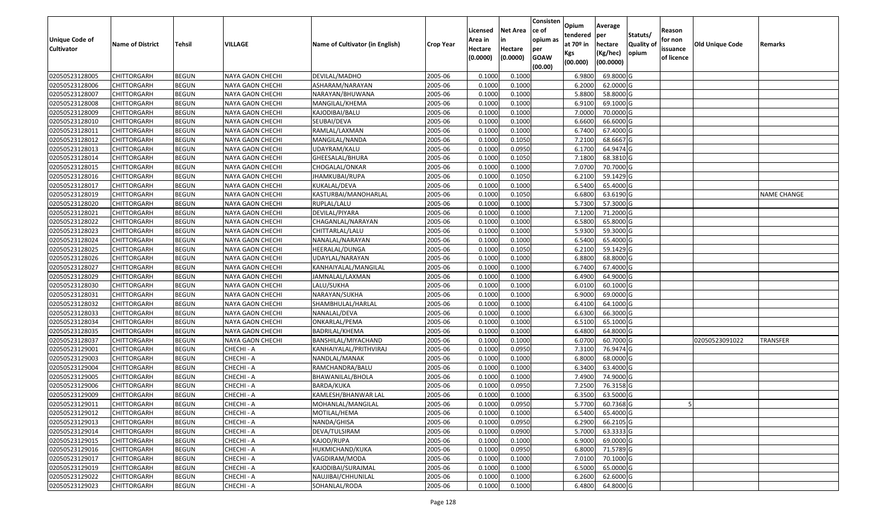| <b>Unique Code of</b><br><b>Cultivator</b> | <b>Name of District</b> | <b>Tehsil</b> | VILLAGE                 | Name of Cultivator (in English) | <b>Crop Year</b> | Licensed<br>Area in<br>Hectare<br>(0.0000) | <b>Net Area</b><br>in<br>Hectare<br>(0.0000) | Consisten<br>ce of<br>opium as<br>per<br><b>GOAW</b><br>(00.00) | Opium<br>tendered<br>at $70°$ in<br>Kgs<br>(00.000) | Average<br>per<br>hectare<br>(Kg/hec)<br>(00.0000) | Statuts/<br>Quality of<br>opium | Reason<br>for non<br>issuance<br>of licence | <b>Old Unique Code</b> | Remarks            |
|--------------------------------------------|-------------------------|---------------|-------------------------|---------------------------------|------------------|--------------------------------------------|----------------------------------------------|-----------------------------------------------------------------|-----------------------------------------------------|----------------------------------------------------|---------------------------------|---------------------------------------------|------------------------|--------------------|
| 02050523128005                             | <b>CHITTORGARH</b>      | <b>BEGUN</b>  | NAYA GAON CHECHI        | DEVILAL/MADHO                   | 2005-06          | 0.1000                                     | 0.1000                                       |                                                                 | 6.9800                                              | 69.8000 G                                          |                                 |                                             |                        |                    |
| 02050523128006                             | CHITTORGARH             | <b>BEGUN</b>  | NAYA GAON CHECHI        | ASHARAM/NARAYAN                 | 2005-06          | 0.1000                                     | 0.1000                                       |                                                                 | 6.2000                                              | 62.0000G                                           |                                 |                                             |                        |                    |
| 02050523128007                             | CHITTORGARH             | <b>BEGUN</b>  | NAYA GAON CHECHI        | NARAYAN/BHUWANA                 | 2005-06          | 0.1000                                     | 0.1000                                       |                                                                 | 5.8800                                              | 58.8000 G                                          |                                 |                                             |                        |                    |
| 02050523128008                             | <b>CHITTORGARH</b>      | <b>BEGUN</b>  | NAYA GAON CHECHI        | MANGILAL/KHEMA                  | 2005-06          | 0.1000                                     | 0.1000                                       |                                                                 | 6.9100                                              | 69.1000G                                           |                                 |                                             |                        |                    |
| 02050523128009                             | <b>CHITTORGARH</b>      | <b>BEGUN</b>  | <b>NAYA GAON CHECHI</b> | KAJODIBAI/BALU                  | 2005-06          | 0.1000                                     | 0.1000                                       |                                                                 | 7.0000                                              | 70.0000G                                           |                                 |                                             |                        |                    |
| 02050523128010                             | CHITTORGARH             | <b>BEGUN</b>  | NAYA GAON CHECHI        | SEUBAI/DEVA                     | 2005-06          | 0.1000                                     | 0.1000                                       |                                                                 | 6.6600                                              | 66.6000 G                                          |                                 |                                             |                        |                    |
| 02050523128011                             | CHITTORGARH             | <b>BEGUN</b>  | NAYA GAON CHECHI        | RAMLAL/LAXMAN                   | 2005-06          | 0.1000                                     | 0.1000                                       |                                                                 | 6.7400                                              | 67.4000 G                                          |                                 |                                             |                        |                    |
| 02050523128012                             | CHITTORGARH             | <b>BEGUN</b>  | NAYA GAON CHECHI        | MANGILAL/NANDA                  | 2005-06          | 0.1000                                     | 0.1050                                       |                                                                 | 7.2100                                              | 68.6667 G                                          |                                 |                                             |                        |                    |
| 02050523128013                             | CHITTORGARH             | <b>BEGUN</b>  | NAYA GAON CHECHI        | UDAYRAM/KALU                    | 2005-06          | 0.1000                                     | 0.0950                                       |                                                                 | 6.1700                                              | 64.9474 G                                          |                                 |                                             |                        |                    |
| 02050523128014                             | CHITTORGARH             | <b>BEGUN</b>  | NAYA GAON CHECHI        | GHEESALAL/BHURA                 | 2005-06          | 0.1000                                     | 0.1050                                       |                                                                 | 7.1800                                              | 68.3810 G                                          |                                 |                                             |                        |                    |
| 02050523128015                             | CHITTORGARH             | <b>BEGUN</b>  | NAYA GAON CHECHI        | CHOGALAL/ONKAR                  | 2005-06          | 0.1000                                     | 0.1000                                       |                                                                 | 7.0700                                              | 70.7000G                                           |                                 |                                             |                        |                    |
| 02050523128016                             | CHITTORGARH             | <b>BEGUN</b>  | NAYA GAON CHECHI        | JHAMKUBAI/RUPA                  | 2005-06          | 0.1000                                     | 0.1050                                       |                                                                 | 6.2100                                              | 59.1429 G                                          |                                 |                                             |                        |                    |
| 02050523128017                             | CHITTORGARH             | <b>BEGUN</b>  | <b>NAYA GAON CHECHI</b> | KUKALAL/DEVA                    | 2005-06          | 0.1000                                     | 0.1000                                       |                                                                 | 6.5400                                              | 65.4000 G                                          |                                 |                                             |                        |                    |
| 02050523128019                             | CHITTORGARH             | <b>BEGUN</b>  | NAYA GAON CHECHI        | KASTURBAI/MANOHARLAL            | 2005-06          | 0.1000                                     | 0.1050                                       |                                                                 | 6.6800                                              | 63.6190 G                                          |                                 |                                             |                        | <b>NAME CHANGE</b> |
| 02050523128020                             | CHITTORGARH             | <b>BEGUN</b>  | NAYA GAON CHECHI        | RUPLAL/LALU                     | 2005-06          | 0.1000                                     | 0.1000                                       |                                                                 | 5.7300                                              | 57.3000 G                                          |                                 |                                             |                        |                    |
| 02050523128021                             | CHITTORGARH             | <b>BEGUN</b>  | NAYA GAON CHECHI        | DEVILAL/PIYARA                  | 2005-06          | 0.1000                                     | 0.1000                                       |                                                                 | 7.1200                                              | 71.2000 G                                          |                                 |                                             |                        |                    |
| 02050523128022                             | CHITTORGARH             | <b>BEGUN</b>  | NAYA GAON CHECHI        | CHAGANLAL/NARAYAN               | 2005-06          | 0.1000                                     | 0.1000                                       |                                                                 | 6.5800                                              | 65.8000 G                                          |                                 |                                             |                        |                    |
| 02050523128023                             | CHITTORGARH             | <b>BEGUN</b>  | NAYA GAON CHECHI        | CHITTARLAL/LALU                 | 2005-06          | 0.1000                                     | 0.1000                                       |                                                                 | 5.9300                                              | 59.3000G                                           |                                 |                                             |                        |                    |
| 02050523128024                             | <b>CHITTORGARH</b>      | <b>BEGUN</b>  | NAYA GAON CHECHI        | NANALAL/NARAYAN                 | 2005-06          | 0.1000                                     | 0.1000                                       |                                                                 | 6.5400                                              | 65.4000 G                                          |                                 |                                             |                        |                    |
| 02050523128025                             | CHITTORGARH             | <b>BEGUN</b>  | NAYA GAON CHECHI        | HEERALAL/DUNGA                  | 2005-06          | 0.1000                                     | 0.1050                                       |                                                                 | 6.2100                                              | 59.1429 G                                          |                                 |                                             |                        |                    |
| 02050523128026                             | <b>CHITTORGARH</b>      | <b>BEGUN</b>  | <b>NAYA GAON CHECHI</b> | UDAYLAL/NARAYAN                 | 2005-06          | 0.1000                                     | 0.1000                                       |                                                                 | 6.8800                                              | 68.8000 G                                          |                                 |                                             |                        |                    |
| 02050523128027                             | CHITTORGARH             | <b>BEGUN</b>  | NAYA GAON CHECHI        | KANHAIYALAL/MANGILAL            | 2005-06          | 0.1000                                     | 0.1000                                       |                                                                 | 6.7400                                              | 67.4000 G                                          |                                 |                                             |                        |                    |
| 02050523128029                             | CHITTORGARH             | <b>BEGUN</b>  | NAYA GAON CHECHI        | JAMNALAL/LAXMAN                 | 2005-06          | 0.1000                                     | 0.1000                                       |                                                                 | 6.4900                                              | 64.9000 G                                          |                                 |                                             |                        |                    |
| 02050523128030                             | CHITTORGARH             | <b>BEGUN</b>  | NAYA GAON CHECHI        | LALU/SUKHA                      | 2005-06          | 0.1000                                     | 0.1000                                       |                                                                 | 6.0100                                              | 60.1000 G                                          |                                 |                                             |                        |                    |
| 02050523128031                             | CHITTORGARH             | <b>BEGUN</b>  | NAYA GAON CHECHI        | NARAYAN/SUKHA                   | 2005-06          | 0.1000                                     | 0.1000                                       |                                                                 | 6.9000                                              | 69.0000G                                           |                                 |                                             |                        |                    |
| 02050523128032                             | <b>CHITTORGARH</b>      | <b>BEGUN</b>  | NAYA GAON CHECHI        | SHAMBHULAL/HARLAL               | 2005-06          | 0.1000                                     | 0.1000                                       |                                                                 | 6.4100                                              | 64.1000 G                                          |                                 |                                             |                        |                    |
| 02050523128033                             | CHITTORGARH             | <b>BEGUN</b>  | NAYA GAON CHECHI        | NANALAL/DEVA                    | 2005-06          | 0.1000                                     | 0.1000                                       |                                                                 | 6.6300                                              | 66.3000 G                                          |                                 |                                             |                        |                    |
| 02050523128034                             | CHITTORGARH             | <b>BEGUN</b>  | NAYA GAON CHECHI        | ONKARLAL/PEMA                   | 2005-06          | 0.1000                                     | 0.1000                                       |                                                                 | 6.5100                                              | 65.1000G                                           |                                 |                                             |                        |                    |
| 02050523128035                             | <b>CHITTORGARH</b>      | <b>BEGUN</b>  | NAYA GAON CHECHI        | BADRILAL/KHEMA                  | 2005-06          | 0.1000                                     | 0.1000                                       |                                                                 | 6.4800                                              | 64.8000 G                                          |                                 |                                             |                        |                    |
| 02050523128037                             | <b>CHITTORGARH</b>      | <b>BEGUN</b>  | NAYA GAON CHECHI        | BANSHILAL/MIYACHAND             | 2005-06          | 0.1000                                     | 0.1000                                       |                                                                 | 6.0700                                              | 60.7000 G                                          |                                 |                                             | 02050523091022         | <b>TRANSFER</b>    |
| 02050523129001                             | <b>CHITTORGARH</b>      | <b>BEGUN</b>  | CHECHI - A              | KANHAIYALAL/PRITHVIRAJ          | 2005-06          | 0.1000                                     | 0.0950                                       |                                                                 | 7.3100                                              | 76.9474 G                                          |                                 |                                             |                        |                    |
| 02050523129003                             | CHITTORGARH             | <b>BEGUN</b>  | CHECHI - A              | NANDLAL/MANAK                   | 2005-06          | 0.1000                                     | 0.1000                                       |                                                                 | 6.8000                                              | 68.0000G                                           |                                 |                                             |                        |                    |
| 02050523129004                             | <b>CHITTORGARH</b>      | <b>BEGUN</b>  | CHECHI - A              | RAMCHANDRA/BALU                 | 2005-06          | 0.1000                                     | 0.1000                                       |                                                                 | 6.3400                                              | 63.4000 G                                          |                                 |                                             |                        |                    |
| 02050523129005                             | CHITTORGARH             | <b>BEGUN</b>  | CHECHI - A              | BHAWANILAL/BHOLA                | 2005-06          | 0.1000                                     | 0.1000                                       |                                                                 | 7.4900                                              | 74.9000G                                           |                                 |                                             |                        |                    |
| 02050523129006                             | CHITTORGARH             | <b>BEGUN</b>  | CHECHI - A              | BARDA/KUKA                      | 2005-06          | 0.1000                                     | 0.0950                                       |                                                                 | 7.2500                                              | 76.3158 G                                          |                                 |                                             |                        |                    |
| 02050523129009                             | <b>CHITTORGARH</b>      | <b>BEGUN</b>  | CHECHI - A              | KAMLESH/BHANWAR LAL             | 2005-06          | 0.1000                                     | 0.1000                                       |                                                                 | 6.3500                                              | 63.5000G                                           |                                 |                                             |                        |                    |
| 02050523129011                             | <b>CHITTORGARH</b>      | <b>BEGUN</b>  | CHECHI - A              | MOHANLAL/MANGILAL               | 2005-06          | 0.1000                                     | 0.0950                                       |                                                                 | 5.7700                                              | 60.7368 G                                          |                                 |                                             |                        |                    |
| 02050523129012                             | <b>CHITTORGARH</b>      | <b>BEGUN</b>  | CHECHI - A              | MOTILAL/HEMA                    | 2005-06          | 0.1000                                     | 0.1000                                       |                                                                 | 6.5400                                              | 65.4000 G                                          |                                 |                                             |                        |                    |
| 02050523129013                             | <b>CHITTORGARH</b>      | <b>BEGUN</b>  | CHECHI - A              | NANDA/GHISA                     | 2005-06          | 0.1000                                     | 0.0950                                       |                                                                 | 6.2900                                              | 66.2105 G                                          |                                 |                                             |                        |                    |
| 02050523129014                             | <b>CHITTORGARH</b>      | <b>BEGUN</b>  | CHECHI - A              | DEVA/TULSIRAM                   | 2005-06          | 0.1000                                     | 0.0900                                       |                                                                 | 5.7000                                              | 63.3333 G                                          |                                 |                                             |                        |                    |
| 02050523129015                             | <b>CHITTORGARH</b>      | <b>BEGUN</b>  | CHECHI - A              | KAJOD/RUPA                      | 2005-06          | 0.1000                                     | 0.1000                                       |                                                                 | 6.9000                                              | 69.0000 G                                          |                                 |                                             |                        |                    |
| 02050523129016                             | <b>CHITTORGARH</b>      | <b>BEGUN</b>  | CHECHI - A              | HUKMICHAND/KUKA                 | 2005-06          | 0.1000                                     | 0.0950                                       |                                                                 | 6.8000                                              | 71.5789 G                                          |                                 |                                             |                        |                    |
| 02050523129017                             | <b>CHITTORGARH</b>      | <b>BEGUN</b>  | CHECHI - A              | VAGDIRAM/MODA                   | 2005-06          | 0.1000                                     | 0.1000                                       |                                                                 | 7.0100                                              | 70.1000 G                                          |                                 |                                             |                        |                    |
| 02050523129019                             | <b>CHITTORGARH</b>      | <b>BEGUN</b>  | CHECHI - A              | KAJODIBAI/SURAJMAL              | 2005-06          | 0.1000                                     | 0.1000                                       |                                                                 | 6.5000                                              | 65.0000 G                                          |                                 |                                             |                        |                    |
| 02050523129022                             | <b>CHITTORGARH</b>      | <b>BEGUN</b>  | CHECHI - A              | NAUJIBAI/CHHUNILAL              | 2005-06          | 0.1000                                     | 0.1000                                       |                                                                 | 6.2600                                              | 62.6000 G                                          |                                 |                                             |                        |                    |
| 02050523129023                             | <b>CHITTORGARH</b>      | <b>BEGUN</b>  | CHECHI - A              | SOHANLAL/RODA                   | 2005-06          | 0.1000                                     | 0.1000                                       |                                                                 | 6.4800                                              | 64.8000 G                                          |                                 |                                             |                        |                    |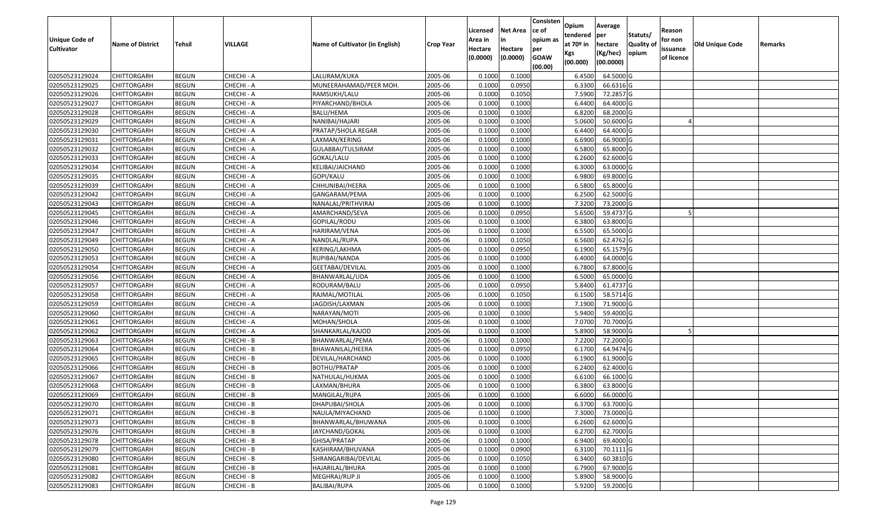| Unique Code of    | <b>Name of District</b> | <b>Tehsil</b> | VILLAGE    | Name of Cultivator (in English) | <b>Crop Year</b> | Licensed<br>Area in | <b>Net Area</b><br>in | Consisten<br>ce of<br>opium as | Opium<br>tendered<br>at $70°$ in | Average<br>per<br>hectare | Statuts/<br><b>Quality o</b> | Reason<br>for non      | <b>Old Unique Code</b> | Remarks |
|-------------------|-------------------------|---------------|------------|---------------------------------|------------------|---------------------|-----------------------|--------------------------------|----------------------------------|---------------------------|------------------------------|------------------------|------------------------|---------|
| <b>Cultivator</b> |                         |               |            |                                 |                  | Hectare<br>(0.0000) | Hectare<br>(0.0000)   | per<br><b>GOAW</b><br>(00.00)  | Kgs<br>(00.000)                  | (Kg/hec)<br>(00.0000)     | opium                        | issuance<br>of licence |                        |         |
| 02050523129024    | CHITTORGARH             | <b>BEGUN</b>  | CHECHI - A | LALURAM/KUKA                    | 2005-06          | 0.1000              | 0.1000                |                                | 6.4500                           | 64.5000 G                 |                              |                        |                        |         |
| 02050523129025    | CHITTORGARH             | <b>BEGUN</b>  | CHECHI - A | MUNEERAHAMAD/PEER MOH           | 2005-06          | 0.1000              | 0.0950                |                                | 6.3300                           | 66.6316 G                 |                              |                        |                        |         |
| 02050523129026    | CHITTORGARH             | <b>BEGUN</b>  | CHECHI - A | RAMSUKH/LALU                    | 2005-06          | 0.1000              | 0.1050                |                                | 7.5900                           | 72.2857 G                 |                              |                        |                        |         |
| 02050523129027    | <b>CHITTORGARH</b>      | <b>BEGUN</b>  | CHECHI - A | PIYARCHAND/BHOLA                | 2005-06          | 0.1000              | 0.1000                |                                | 6.4400                           | 64.4000 G                 |                              |                        |                        |         |
| 02050523129028    | CHITTORGARH             | <b>BEGUN</b>  | CHECHI - A | BALU/HEMA                       | 2005-06          | 0.1000              | 0.1000                |                                | 6.8200                           | 68.2000 G                 |                              |                        |                        |         |
| 02050523129029    | CHITTORGARH             | <b>BEGUN</b>  | CHECHI - A | NANIBAI/HAJARI                  | 2005-06          | 0.1000              | 0.1000                |                                | 5.0600                           | 50.6000G                  |                              |                        |                        |         |
| 02050523129030    | CHITTORGARH             | <b>BEGUN</b>  | CHECHI - A | PRATAP/SHOLA REGAR              | 2005-06          | 0.1000              | 0.1000                |                                | 6.4400                           | 64.4000 G                 |                              |                        |                        |         |
| 02050523129031    | CHITTORGARH             | <b>BEGUN</b>  | CHECHI - A | LAXMAN/KERING                   | 2005-06          | 0.1000              | 0.1000                |                                | 6.6900                           | 66.9000G                  |                              |                        |                        |         |
| 02050523129032    | CHITTORGARH             | <b>BEGUN</b>  | CHECHI - A | GULABBAI/TULSIRAM               | 2005-06          | 0.1000              | 0.1000                |                                | 6.5800                           | 65.8000 G                 |                              |                        |                        |         |
| 02050523129033    | <b>CHITTORGARH</b>      | <b>BEGUN</b>  | CHECHI - A | GOKAL/LALU                      | 2005-06          | 0.1000              | 0.1000                |                                | 6.2600                           | 62.6000 G                 |                              |                        |                        |         |
| 02050523129034    | CHITTORGARH             | <b>BEGUN</b>  | CHECHI - A | KELIBAI/JAICHAND                | 2005-06          | 0.1000              | 0.1000                |                                | 6.3000                           | 63.0000G                  |                              |                        |                        |         |
| 02050523129035    | CHITTORGARH             | <b>BEGUN</b>  | CHECHI - A | GOPI/KALU                       | 2005-06          | 0.1000              | 0.1000                |                                | 6.9800                           | 69.8000 G                 |                              |                        |                        |         |
| 02050523129039    | <b>CHITTORGARH</b>      | <b>BEGUN</b>  | CHECHI - A | CHHUNIBAI/HEERA                 | 2005-06          | 0.1000              | 0.1000                |                                | 6.5800                           | 65.8000 G                 |                              |                        |                        |         |
| 02050523129042    | CHITTORGARH             | <b>BEGUN</b>  | CHECHI - A | GANGARAM/PEMA                   | 2005-06          | 0.1000              | 0.1000                |                                | 6.2500                           | 62.5000 G                 |                              |                        |                        |         |
| 02050523129043    | CHITTORGARH             | <b>BEGUN</b>  | CHECHI - A | NANALAL/PRITHVIRAJ              | 2005-06          | 0.1000              | 0.1000                |                                | 7.3200                           | 73.2000G                  |                              |                        |                        |         |
| 02050523129045    | CHITTORGARH             | <b>BEGUN</b>  | CHECHI - A | AMARCHAND/SEVA                  | 2005-06          | 0.1000              | 0.0950                |                                | 5.6500                           | 59.4737 G                 |                              |                        |                        |         |
| 02050523129046    | CHITTORGARH             | <b>BEGUN</b>  | CHECHI - A | GOPILAL/RODU                    | 2005-06          | 0.1000              | 0.1000                |                                | 6.3800                           | 63.8000 G                 |                              |                        |                        |         |
| 02050523129047    | CHITTORGARH             | <b>BEGUN</b>  | CHECHI - A | HARIRAM/VENA                    | 2005-06          | 0.1000              | 0.1000                |                                | 6.5500                           | 65.5000G                  |                              |                        |                        |         |
| 02050523129049    | CHITTORGARH             | <b>BEGUN</b>  | CHECHI - A | NANDLAL/RUPA                    | 2005-06          | 0.1000              | 0.1050                |                                | 6.5600                           | 62.4762 G                 |                              |                        |                        |         |
| 02050523129050    | CHITTORGARH             | <b>BEGUN</b>  | CHECHI - A | KERING/LAKHMA                   | 2005-06          | 0.1000              | 0.0950                |                                | 6.1900                           | 65.1579 G                 |                              |                        |                        |         |
| 02050523129053    | CHITTORGARH             | <b>BEGUN</b>  | CHECHI - A | RUPIBAI/NANDA                   | 2005-06          | 0.1000              | 0.1000                |                                | 6.4000                           | 64.0000G                  |                              |                        |                        |         |
| 02050523129054    | CHITTORGARH             | <b>BEGUN</b>  | CHECHI - A | GEETABAI/DEVILAL                | 2005-06          | 0.1000              | 0.1000                |                                | 6.7800                           | 67.8000 G                 |                              |                        |                        |         |
| 02050523129056    | CHITTORGARH             | <b>BEGUN</b>  | CHECHI - A | BHANWARLAL/UDA                  | 2005-06          | 0.1000              | 0.1000                |                                | 6.5000                           | 65.0000G                  |                              |                        |                        |         |
| 02050523129057    | CHITTORGARH             | <b>BEGUN</b>  | CHECHI - A | RODURAM/BALU                    | 2005-06          | 0.1000              | 0.0950                |                                | 5.8400                           | 61.4737 G                 |                              |                        |                        |         |
| 02050523129058    | <b>CHITTORGARH</b>      | <b>BEGUN</b>  | CHECHI - A | RAJMAL/MOTILAL                  | 2005-06          | 0.1000              | 0.1050                |                                | 6.1500                           | 58.5714 G                 |                              |                        |                        |         |
| 02050523129059    | CHITTORGARH             | <b>BEGUN</b>  | CHECHI - A | JAGDISH/LAXMAN                  | 2005-06          | 0.1000              | 0.1000                |                                | 7.1900                           | 71.9000G                  |                              |                        |                        |         |
| 02050523129060    | CHITTORGARH             | <b>BEGUN</b>  | CHECHI - A | NARAYAN/MOTI                    | 2005-06          | 0.1000              | 0.1000                |                                | 5.9400                           | 59.4000 G                 |                              |                        |                        |         |
| 02050523129061    | CHITTORGARH             | <b>BEGUN</b>  | CHECHI - A | MOHAN/SHOLA                     | 2005-06          | 0.1000              | 0.1000                |                                | 7.0700                           | 70.7000G                  |                              |                        |                        |         |
| 02050523129062    | CHITTORGARH             | <b>BEGUN</b>  | CHECHI - A | SHANKARLAL/KAJOD                | 2005-06          | 0.1000              | 0.1000                |                                | 5.8900                           | 58.9000 G                 |                              |                        |                        |         |
| 02050523129063    | CHITTORGARH             | <b>BEGUN</b>  | CHECHI - B | BHANWARLAL/PEMA                 | 2005-06          | 0.1000              | 0.1000                |                                | 7.2200                           | 72.2000 G                 |                              |                        |                        |         |
| 02050523129064    | CHITTORGARH             | <b>BEGUN</b>  | CHECHI - B | BHAWANILAL/HEERA                | 2005-06          | 0.1000              | 0.0950                |                                | 6.1700                           | 64.9474 G                 |                              |                        |                        |         |
| 02050523129065    | CHITTORGARH             | <b>BEGUN</b>  | CHECHI - B | DEVILAL/HARCHAND                | 2005-06          | 0.1000              | 0.1000                |                                | 6.1900                           | 61.9000G                  |                              |                        |                        |         |
| 02050523129066    | CHITTORGARH             | <b>BEGUN</b>  | CHECHI - B | BOTHU/PRATAP                    | 2005-06          | 0.1000              | 0.1000                |                                | 6.2400                           | 62.4000 G                 |                              |                        |                        |         |
| 02050523129067    | CHITTORGARH             | <b>BEGUN</b>  | CHECHI - B | NATHULAL/HUKMA                  | 2005-06          | 0.1000              | 0.1000                |                                | 6.6100                           | 66.1000G                  |                              |                        |                        |         |
| 02050523129068    | CHITTORGARH             | <b>BEGUN</b>  | CHECHI - B | LAXMAN/BHURA                    | 2005-06          | 0.1000              | 0.1000                |                                | 6.3800                           | 63.8000 G                 |                              |                        |                        |         |
| 02050523129069    | CHITTORGARH             | <b>BEGUN</b>  | CHECHI - B | MANGILAL/RUPA                   | 2005-06          | 0.1000              | 0.1000                |                                | 6.6000                           | 66.0000 G                 |                              |                        |                        |         |
| 02050523129070    | <b>CHITTORGARH</b>      | <b>BEGUN</b>  | CHECHI - B | DHAPUBAI/SHOLA                  | 2005-06          | 0.1000              | 0.1000                |                                | 6.3700                           | 63.7000G                  |                              |                        |                        |         |
| 02050523129071    | <b>CHITTORGARH</b>      | <b>BEGUN</b>  | CHECHI - B | NAULA/MIYACHAND                 | 2005-06          | 0.1000              | 0.1000                |                                | 7.3000                           | 73.0000 G                 |                              |                        |                        |         |
| 02050523129073    | <b>CHITTORGARH</b>      | <b>BEGUN</b>  | CHECHI - B | BHANWARLAL/BHUWANA              | 2005-06          | 0.1000              | 0.1000                |                                | 6.2600                           | 62.6000 G                 |                              |                        |                        |         |
| 02050523129076    | <b>CHITTORGARH</b>      | <b>BEGUN</b>  | CHECHI - B | JAYCHAND/GOKAL                  | 2005-06          | 0.1000              | 0.1000                |                                | 6.2700                           | 62.7000 G                 |                              |                        |                        |         |
| 02050523129078    | <b>CHITTORGARH</b>      | <b>BEGUN</b>  | CHECHI - B | GHISA/PRATAP                    | 2005-06          | 0.1000              | 0.1000                |                                | 6.9400                           | 69.4000 G                 |                              |                        |                        |         |
| 02050523129079    | <b>CHITTORGARH</b>      | <b>BEGUN</b>  | CHECHI - B | KASHIRAM/BHUVANA                | 2005-06          | 0.1000              | 0.0900                |                                | 6.3100                           | 70.1111 G                 |                              |                        |                        |         |
| 02050523129080    | <b>CHITTORGARH</b>      | <b>BEGUN</b>  | CHECHI - B | SHRANGARIBAI/DEVILAL            | 2005-06          | 0.1000              | 0.1050                |                                | 6.3400                           | 60.3810 G                 |                              |                        |                        |         |
| 02050523129081    | <b>CHITTORGARH</b>      | <b>BEGUN</b>  | CHECHI - B | HAJARILAL/BHURA                 | 2005-06          | 0.1000              | 0.1000                |                                | 6.7900                           | 67.9000 G                 |                              |                        |                        |         |
| 02050523129082    | <b>CHITTORGARH</b>      | <b>BEGUN</b>  | CHECHI - B | MEGHRAJ/RUP JI                  | 2005-06          | 0.1000              | 0.1000                |                                | 5.8900                           | 58.9000 G                 |                              |                        |                        |         |
| 02050523129083    | <b>CHITTORGARH</b>      | <b>BEGUN</b>  | CHECHI - B | BALIBAI/RUPA                    | 2005-06          | 0.1000              | 0.1000                |                                | 5.9200                           | 59.2000 G                 |                              |                        |                        |         |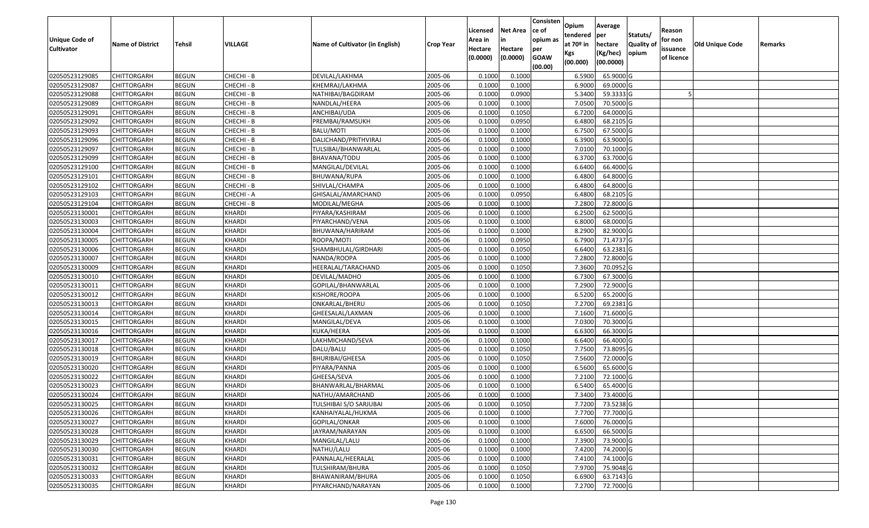| Unique Code of    |                         |              |               |                                 |                  | Licensed<br>Area in | <b>Net Area</b><br>in | Consisten<br>ce of<br>opium as | Opium<br>tendered              | Average<br>per                   | Statuts/                  | Reason<br>for non      |                 |         |
|-------------------|-------------------------|--------------|---------------|---------------------------------|------------------|---------------------|-----------------------|--------------------------------|--------------------------------|----------------------------------|---------------------------|------------------------|-----------------|---------|
| <b>Cultivator</b> | <b>Name of District</b> | Tehsil       | VILLAGE       | Name of Cultivator (in English) | <b>Crop Year</b> | Hectare<br>(0.0000) | Hectare<br>(0.0000)   | per<br><b>GOAW</b><br>(00.00)  | at $70°$ in<br>Kgs<br>(00.000) | hectare<br>(Kg/hec)<br>(00.0000) | <b>Quality o</b><br>opium | issuance<br>of licence | Old Unique Code | Remarks |
| 02050523129085    | CHITTORGARH             | <b>BEGUN</b> | CHECHI - B    | DEVILAL/LAKHMA                  | 2005-06          | 0.1000              | 0.1000                |                                | 6.5900                         | 65.9000 G                        |                           |                        |                 |         |
| 02050523129087    | CHITTORGARH             | <b>BEGUN</b> | CHECHI - B    | KHEMRAJ/LAKHMA                  | 2005-06          | 0.1000              | 0.1000                |                                | 6.9000                         | 69.0000G                         |                           |                        |                 |         |
| 02050523129088    | CHITTORGARH             | <b>BEGUN</b> | CHECHI - B    | NATHIBAI/BAGDIRAM               | 2005-06          | 0.1000              | 0.0900                |                                | 5.3400                         | 59.3333 G                        |                           |                        |                 |         |
| 02050523129089    | <b>CHITTORGARH</b>      | <b>BEGUN</b> | CHECHI - B    | NANDLAL/HEERA                   | 2005-06          | 0.1000              | 0.1000                |                                | 7.0500                         | 70.5000G                         |                           |                        |                 |         |
| 02050523129091    | CHITTORGARH             | <b>BEGUN</b> | CHECHI - B    | ANCHIBAI/UDA                    | 2005-06          | 0.1000              | 0.1050                |                                | 6.7200                         | 64.0000G                         |                           |                        |                 |         |
| 02050523129092    | CHITTORGARH             | <b>BEGUN</b> | CHECHI - B    | PREMBAI/RAMSUKH                 | 2005-06          | 0.1000              | 0.0950                |                                | 6.4800                         | 68.2105 G                        |                           |                        |                 |         |
| 02050523129093    | CHITTORGARH             | <b>BEGUN</b> | CHECHI - B    | BALU/MOTI                       | 2005-06          | 0.1000              | 0.1000                |                                | 6.7500                         | 67.5000G                         |                           |                        |                 |         |
| 02050523129096    | <b>CHITTORGARH</b>      | <b>BEGUN</b> | CHECHI - B    | DALICHAND/PRITHVIRAJ            | 2005-06          | 0.1000              | 0.1000                |                                | 6.3900                         | 63.9000G                         |                           |                        |                 |         |
| 02050523129097    | CHITTORGARH             | <b>BEGUN</b> | CHECHI - B    | TULSIBAI/BHANWARLAL             | 2005-06          | 0.1000              | 0.1000                |                                | 7.0100                         | 70.1000G                         |                           |                        |                 |         |
| 02050523129099    | CHITTORGARH             | <b>BEGUN</b> | CHECHI - B    | BHAVANA/TODU                    | 2005-06          | 0.1000              | 0.1000                |                                | 6.3700                         | 63.7000 G                        |                           |                        |                 |         |
| 02050523129100    | CHITTORGARH             | <b>BEGUN</b> | CHECHI - B    | MANGILAL/DEVILAL                | 2005-06          | 0.1000              | 0.1000                |                                | 6.6400                         | 66.4000 G                        |                           |                        |                 |         |
| 02050523129101    | <b>CHITTORGARH</b>      | <b>BEGUN</b> | CHECHI - B    | BHUWANA/RUPA                    | 2005-06          | 0.1000              | 0.1000                |                                | 6.4800                         | 64.8000 G                        |                           |                        |                 |         |
| 02050523129102    | <b>CHITTORGARH</b>      | <b>BEGUN</b> | CHECHI - B    | SHIVLAL/CHAMPA                  | 2005-06          | 0.1000              | 0.1000                |                                | 6.4800                         | 64.8000 G                        |                           |                        |                 |         |
| 02050523129103    | <b>CHITTORGARH</b>      | <b>BEGUN</b> | CHECHI - A    | GHISALAL/AMARCHAND              | 2005-06          | 0.1000              | 0.0950                |                                | 6.4800                         | 68.2105 G                        |                           |                        |                 |         |
| 02050523129104    | <b>CHITTORGARH</b>      | <b>BEGUN</b> | CHECHI - B    | MODILAL/MEGHA                   | 2005-06          | 0.1000              | 0.1000                |                                | 7.2800                         | 72.8000G                         |                           |                        |                 |         |
| 02050523130001    | CHITTORGARH             | <b>BEGUN</b> | KHARDI        | PIYARA/KASHIRAM                 | 2005-06          | 0.1000              | 0.1000                |                                | 6.2500                         | 62.5000 G                        |                           |                        |                 |         |
| 02050523130003    | CHITTORGARH             | <b>BEGUN</b> | <b>KHARDI</b> | PIYARCHAND/VENA                 | 2005-06          | 0.1000              | 0.1000                |                                | 6.8000                         | 68.0000G                         |                           |                        |                 |         |
| 02050523130004    | CHITTORGARH             | <b>BEGUN</b> | KHARDI        | BHUWANA/HARIRAM                 | 2005-06          | 0.1000              | 0.1000                |                                | 8.2900                         | 82.9000G                         |                           |                        |                 |         |
| 02050523130005    | CHITTORGARH             | <b>BEGUN</b> | KHARDI        | ROOPA/MOTI                      | 2005-06          | 0.1000              | 0.0950                |                                | 6.7900                         | 71.4737 G                        |                           |                        |                 |         |
| 02050523130006    | CHITTORGARH             | <b>BEGUN</b> | KHARDI        | SHAMBHULAL/GIRDHARI             | 2005-06          | 0.1000              | 0.1050                |                                | 6.6400                         | 63.2381G                         |                           |                        |                 |         |
| 02050523130007    | CHITTORGARH             | <b>BEGUN</b> | KHARDI        | NANDA/ROOPA                     | 2005-06          | 0.1000              | 0.1000                |                                | 7.2800                         | 72.8000 G                        |                           |                        |                 |         |
| 02050523130009    | CHITTORGARH             | <b>BEGUN</b> | KHARDI        | HEERALAL/TARACHAND              | 2005-06          | 0.1000              | 0.1050                |                                | 7.3600                         | 70.0952 G                        |                           |                        |                 |         |
| 02050523130010    | CHITTORGARH             | <b>BEGUN</b> | KHARDI        | DEVILAL/MADHO                   | 2005-06          | 0.1000              | 0.1000                |                                | 6.7300                         | 67.3000 G                        |                           |                        |                 |         |
| 02050523130011    | <b>CHITTORGARH</b>      | <b>BEGUN</b> | <b>KHARDI</b> | GOPILAL/BHANWARLAL              | 2005-06          | 0.1000              | 0.1000                |                                | 7.2900                         | 72.9000G                         |                           |                        |                 |         |
| 02050523130012    | <b>CHITTORGARH</b>      | <b>BEGUN</b> | <b>KHARDI</b> | KISHORE/ROOPA                   | 2005-06          | 0.1000              | 0.1000                |                                | 6.5200                         | 65.2000 G                        |                           |                        |                 |         |
| 02050523130013    | CHITTORGARH             | <b>BEGUN</b> | <b>KHARDI</b> | ONKARLAL/BHERU                  | 2005-06          | 0.1000              | 0.1050                |                                | 7.2700                         | 69.2381G                         |                           |                        |                 |         |
| 02050523130014    | CHITTORGARH             | <b>BEGUN</b> | <b>KHARDI</b> | GHEESALAL/LAXMAN                | 2005-06          | 0.1000              | 0.1000                |                                | 7.1600                         | 71.6000 G                        |                           |                        |                 |         |
| 02050523130015    | CHITTORGARH             | <b>BEGUN</b> | <b>KHARDI</b> | MANGILAL/DEVA                   | 2005-06          | 0.1000              | 0.1000                |                                | 7.0300                         | 70.3000G                         |                           |                        |                 |         |
| 02050523130016    | CHITTORGARH             | <b>BEGUN</b> | KHARDI        | KUKA/HEERA                      | 2005-06          | 0.1000              | 0.1000                |                                | 6.6300                         | 66.3000 G                        |                           |                        |                 |         |
| 02050523130017    | CHITTORGARH             | <b>BEGUN</b> | <b>KHARDI</b> | LAKHMICHAND/SEVA                | 2005-06          | 0.1000              | 0.1000                |                                | 6.6400                         | 66.4000 G                        |                           |                        |                 |         |
| 02050523130018    | CHITTORGARH             | <b>BEGUN</b> | KHARDI        | DALU/BALU                       | 2005-06          | 0.1000              | 0.1050                |                                | 7.7500                         | 73.8095 G                        |                           |                        |                 |         |
| 02050523130019    | CHITTORGARH             | <b>BEGUN</b> | <b>KHARDI</b> | BHURIBAI/GHEESA                 | 2005-06          | 0.1000              | 0.1050                |                                | 7.5600                         | 72.0000G                         |                           |                        |                 |         |
| 02050523130020    | CHITTORGARH             | <b>BEGUN</b> | KHARDI        | PIYARA/PANNA                    | 2005-06          | 0.1000              | 0.1000                |                                | 6.5600                         | 65.6000G                         |                           |                        |                 |         |
| 02050523130022    | CHITTORGARH             | <b>BEGUN</b> | <b>KHARDI</b> | GHEESA/SEVA                     | 2005-06          | 0.1000              | 0.1000                |                                | 7.2100                         | 72.1000 G                        |                           |                        |                 |         |
| 02050523130023    | CHITTORGARH             | <b>BEGUN</b> | <b>KHARDI</b> | BHANWARLAL/BHARMAL              | 2005-06          | 0.1000              | 0.1000                |                                | 6.5400                         | 65.4000 G                        |                           |                        |                 |         |
| 02050523130024    | CHITTORGARH             | <b>BEGUN</b> | <b>KHARDI</b> | NATHU/AMARCHAND                 | 2005-06          | 0.1000              | 0.1000                |                                | 7.3400                         | 73.4000 G                        |                           |                        |                 |         |
| 02050523130025    | <b>CHITTORGARH</b>      | <b>BEGUN</b> | <b>KHARDI</b> | TULSHIBAI S/O SARJUBAI          | 2005-06          | 0.1000              | 0.1050                |                                |                                | 7.7200 73.5238 G                 |                           |                        |                 |         |
| 02050523130026    | <b>CHITTORGARH</b>      | <b>BEGUN</b> | <b>KHARDI</b> | KANHAIYALAL/HUKMA               | 2005-06          | 0.1000              | 0.1000                |                                | 7.7700                         | 77.7000 G                        |                           |                        |                 |         |
| 02050523130027    | <b>CHITTORGARH</b>      | <b>BEGUN</b> | <b>KHARDI</b> | GOPILAL/ONKAR                   | 2005-06          | 0.1000              | 0.1000                |                                | 7.6000                         | 76.0000 G                        |                           |                        |                 |         |
| 02050523130028    | <b>CHITTORGARH</b>      | <b>BEGUN</b> | <b>KHARDI</b> | JAYRAM/NARAYAN                  | 2005-06          | 0.1000              | 0.1000                |                                | 6.6500                         | 66.5000 G                        |                           |                        |                 |         |
| 02050523130029    | <b>CHITTORGARH</b>      | <b>BEGUN</b> | <b>KHARDI</b> | MANGILAL/LALU                   | 2005-06          | 0.1000              | 0.1000                |                                | 7.3900                         | 73.9000 G                        |                           |                        |                 |         |
| 02050523130030    | <b>CHITTORGARH</b>      | <b>BEGUN</b> | <b>KHARDI</b> | NATHU/LALU                      | 2005-06          | 0.1000              | 0.1000                |                                | 7.4200                         | 74.2000 G                        |                           |                        |                 |         |
| 02050523130031    | <b>CHITTORGARH</b>      | <b>BEGUN</b> | KHARDI        | PANNALAL/HEERALAL               | 2005-06          | 0.1000              | 0.1000                |                                | 7.4100                         | 74.1000 G                        |                           |                        |                 |         |
| 02050523130032    | <b>CHITTORGARH</b>      | <b>BEGUN</b> | KHARDI        | TULSHIRAM/BHURA                 | 2005-06          | 0.1000              | 0.1050                |                                | 7.9700                         | 75.9048 G                        |                           |                        |                 |         |
| 02050523130033    | <b>CHITTORGARH</b>      | <b>BEGUN</b> | <b>KHARDI</b> | BHAWANIRAM/BHURA                | 2005-06          | 0.1000              | 0.1050                |                                | 6.6900                         | 63.7143 G                        |                           |                        |                 |         |
| 02050523130035    | <b>CHITTORGARH</b>      | <b>BEGUN</b> | <b>KHARDI</b> | PIYARCHAND/NARAYAN              | 2005-06          | 0.1000              | 0.1000                |                                | 7.2700                         | 72.7000 G                        |                           |                        |                 |         |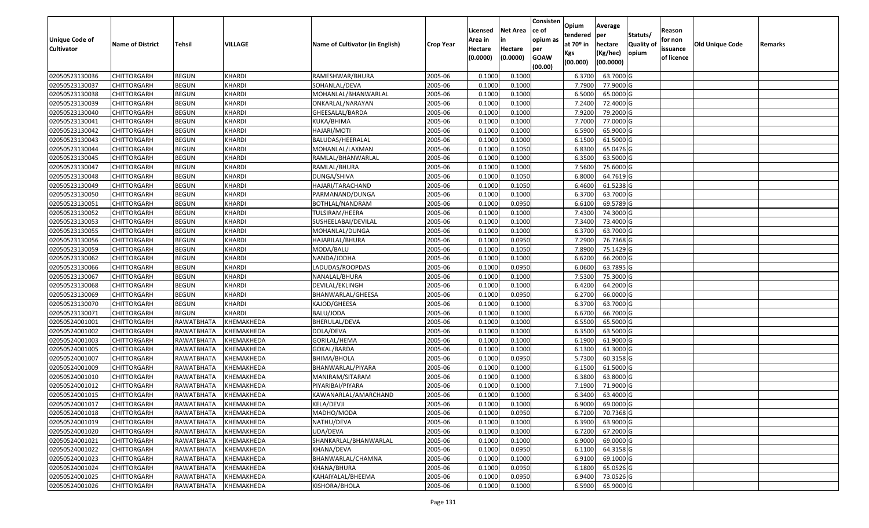| <b>Unique Code of</b> | <b>Name of District</b> | <b>Tehsil</b>         | VILLAGE       | Name of Cultivator (in English) | <b>Crop Year</b> | Licensed<br>Area in | <b>Net Area</b><br>in | Consisten<br>ce of<br>opium as | Opium<br>tendered<br>at $70°$ in | Average<br>per<br>hectare | Statuts/<br><b>Quality o</b> | Reason<br>for non      | Old Unique Code | Remarks |
|-----------------------|-------------------------|-----------------------|---------------|---------------------------------|------------------|---------------------|-----------------------|--------------------------------|----------------------------------|---------------------------|------------------------------|------------------------|-----------------|---------|
| <b>Cultivator</b>     |                         |                       |               |                                 |                  | Hectare<br>(0.0000) | Hectare<br>(0.0000)   | per<br><b>GOAW</b><br>(00.00)  | Kgs<br>(00.000)                  | (Kg/hec)<br>(00.0000)     | opium                        | issuance<br>of licence |                 |         |
| 02050523130036        | CHITTORGARH             | <b>BEGUN</b>          | <b>KHARDI</b> | RAMESHWAR/BHURA                 | 2005-06          | 0.1000              | 0.1000                |                                | 6.3700                           | 63.7000 G                 |                              |                        |                 |         |
| 02050523130037        | CHITTORGARH             | <b>BEGUN</b>          | <b>KHARDI</b> | SOHANLAL/DEVA                   | 2005-06          | 0.1000              | 0.1000                |                                | 7.7900                           | 77.9000 G                 |                              |                        |                 |         |
| 02050523130038        | CHITTORGARH             | <b>BEGUN</b>          | <b>KHARDI</b> | MOHANLAL/BHANWARLAL             | 2005-06          | 0.1000              | 0.1000                |                                | 6.5000                           | 65.0000G                  |                              |                        |                 |         |
| 02050523130039        | <b>CHITTORGARH</b>      | <b>BEGUN</b>          | KHARDI        | ONKARLAL/NARAYAN                | 2005-06          | 0.1000              | 0.1000                |                                | 7.2400                           | 72.4000G                  |                              |                        |                 |         |
| 02050523130040        | CHITTORGARH             | <b>BEGUN</b>          | KHARDI        | GHEESALAL/BARDA                 | 2005-06          | 0.1000              | 0.1000                |                                | 7.9200                           | 79.2000 G                 |                              |                        |                 |         |
| 02050523130041        | CHITTORGARH             | <b>BEGUN</b>          | KHARDI        | KUKA/BHIMA                      | 2005-06          | 0.1000              | 0.1000                |                                | 7.7000                           | 77.0000G                  |                              |                        |                 |         |
| 02050523130042        | CHITTORGARH             | <b>BEGUN</b>          | <b>KHARDI</b> | HAJARI/MOTI                     | 2005-06          | 0.1000              | 0.1000                |                                | 6.5900                           | 65.9000G                  |                              |                        |                 |         |
| 02050523130043        | CHITTORGARH             | <b>BEGUN</b>          | <b>KHARDI</b> | BALUDAS/HEERALAL                | 2005-06          | 0.1000              | 0.1000                |                                | 6.1500                           | 61.5000 G                 |                              |                        |                 |         |
| 02050523130044        | CHITTORGARH             | <b>BEGUN</b>          | <b>KHARDI</b> | MOHANLAL/LAXMAN                 | 2005-06          | 0.1000              | 0.1050                |                                | 6.8300                           | 65.0476 G                 |                              |                        |                 |         |
| 02050523130045        | <b>CHITTORGARH</b>      | <b>BEGUN</b>          | <b>KHARDI</b> | RAMLAL/BHANWARLAL               | 2005-06          | 0.1000              | 0.1000                |                                | 6.3500                           | 63.5000 G                 |                              |                        |                 |         |
| 02050523130047        | CHITTORGARH             | <b>BEGUN</b>          | KHARDI        | RAMLAL/BHURA                    | 2005-06          | 0.1000              | 0.1000                |                                | 7.5600                           | 75.6000G                  |                              |                        |                 |         |
| 02050523130048        | CHITTORGARH             | <b>BEGUN</b>          | <b>KHARDI</b> | DUNGA/SHIVA                     | 2005-06          | 0.1000              | 0.1050                |                                | 6.8000                           | 64.7619 G                 |                              |                        |                 |         |
| 02050523130049        | <b>CHITTORGARH</b>      | <b>BEGUN</b>          | KHARDI        | HAJARI/TARACHAND                | 2005-06          | 0.1000              | 0.1050                |                                | 6.4600                           | 61.5238 G                 |                              |                        |                 |         |
| 02050523130050        | CHITTORGARH             | <b>BEGUN</b>          | KHARDI        | PARMANAND/DUNGA                 | 2005-06          | 0.1000              | 0.1000                |                                | 6.3700                           | 63.7000 G                 |                              |                        |                 |         |
| 02050523130051        | <b>CHITTORGARH</b>      | <b>BEGUN</b>          | KHARDI        | BOTHLAL/NANDRAM                 | 2005-06          | 0.1000              | 0.0950                |                                | 6.6100                           | 69.5789 G                 |                              |                        |                 |         |
| 02050523130052        | CHITTORGARH             | <b>BEGUN</b>          | KHARDI        | TULSIRAM/HEERA                  | 2005-06          | 0.1000              | 0.1000                |                                | 7.4300                           | 74.3000 G                 |                              |                        |                 |         |
| 02050523130053        | CHITTORGARH             | <b>BEGUN</b>          | <b>KHARDI</b> | SUSHEELABAI/DEVILAL             | 2005-06          | 0.1000              | 0.1000                |                                | 7.3400                           | 73.4000G                  |                              |                        |                 |         |
| 02050523130055        | CHITTORGARH             | <b>BEGUN</b>          | <b>KHARDI</b> | MOHANLAL/DUNGA                  | 2005-06          | 0.100               | 0.1000                |                                | 6.3700                           | 63.7000 G                 |                              |                        |                 |         |
| 02050523130056        | CHITTORGARH             | <b>BEGUN</b>          | KHARDI        | HAJARILAL/BHURA                 | 2005-06          | 0.100               | 0.0950                |                                | 7.2900                           | 76.7368 G                 |                              |                        |                 |         |
| 02050523130059        | CHITTORGARH             | <b>BEGUN</b>          | KHARDI        | MODA/BALU                       | 2005-06          | 0.1000              | 0.1050                |                                | 7.8900                           | 75.1429 G                 |                              |                        |                 |         |
| 02050523130062        | CHITTORGARH             | <b>BEGUN</b>          | KHARDI        | NANDA/JODHA                     | 2005-06          | 0.100               | 0.1000                |                                | 6.6200                           | 66.2000 G                 |                              |                        |                 |         |
| 02050523130066        | CHITTORGARH             | <b>BEGUN</b>          | KHARDI        | LADUDAS/ROOPDAS                 | 2005-06          | 0.100               | 0.0950                |                                | 6.0600                           | 63.7895 G                 |                              |                        |                 |         |
| 02050523130067        | CHITTORGARH             | <b>BEGUN</b>          | KHARDI        | NANALAL/BHURA                   | 2005-06          | 0.1000              | 0.1000                |                                | 7.5300                           | 75.3000G                  |                              |                        |                 |         |
| 02050523130068        | <b>CHITTORGARH</b>      | <b>BEGUN</b>          | <b>KHARDI</b> | DEVILAL/EKLINGH                 | 2005-06          | 0.100               | 0.1000                |                                | 6.4200                           | 64.2000 G                 |                              |                        |                 |         |
| 02050523130069        | <b>CHITTORGARH</b>      | <b>BEGUN</b>          | <b>KHARDI</b> | BHANWARLAL/GHEESA               | 2005-06          | 0.100               | 0.0950                |                                | 6.2700                           | 66.0000G                  |                              |                        |                 |         |
| 02050523130070        | CHITTORGARH             | <b>BEGUN</b>          | <b>KHARDI</b> | KAJOD/GHEESA                    | 2005-06          | 0.1000              | 0.1000                |                                | 6.3700                           | 63.7000 G                 |                              |                        |                 |         |
| 02050523130071        | CHITTORGARH             | <b>BEGUN</b>          | KHARDI        | BALU/JODA                       | 2005-06          | 0.1000              | 0.1000                |                                | 6.6700                           | 66.7000 G                 |                              |                        |                 |         |
| 02050524001001        | CHITTORGARH             | RAWATBHATA            | KHEMAKHEDA    | BHERULAL/DEVA                   | 2005-06          | 0.1000              | 0.1000                |                                | 6.5500                           | 65.5000G                  |                              |                        |                 |         |
| 02050524001002        | <b>CHITTORGARH</b>      | RAWATBHATA            | KHEMAKHEDA    | DOLA/DEVA                       | 2005-06          | 0.1000              | 0.1000                |                                | 6.3500                           | 63.5000 G                 |                              |                        |                 |         |
| 02050524001003        | <b>CHITTORGARH</b>      | RAWATBHATA            | KHEMAKHEDA    | GORILAL/HEMA                    | 2005-06          | 0.1000              | 0.1000                |                                | 6.1900                           | 61.9000G                  |                              |                        |                 |         |
| 02050524001005        | CHITTORGARH             | RAWATBHATA            | KHEMAKHEDA    | GOKAL/BARDA                     | 2005-06          | 0.100               | 0.1000                |                                | 6.1300                           | 61.3000G                  |                              |                        |                 |         |
| 02050524001007        | CHITTORGARH             | RAWATBHATA            | KHEMAKHEDA    | BHIMA/BHOLA                     | 2005-06          | 0.1000              | 0.0950                |                                | 5.7300                           | 60.3158 G                 |                              |                        |                 |         |
| 02050524001009        | CHITTORGARH             | RAWATBHATA            | KHEMAKHEDA    | BHANWARLAL/PIYARA               | 2005-06          | 0.1000              | 0.1000                |                                | 6.1500                           | 61.5000 G                 |                              |                        |                 |         |
| 02050524001010        | <b>CHITTORGARH</b>      | RAWATBHATA            | KHEMAKHEDA    | MANIRAM/SITARAM                 | 2005-06          | 0.1000              | 0.1000                |                                | 6.3800                           | 63.8000 G                 |                              |                        |                 |         |
| 02050524001012        | CHITTORGARH             | RAWATBHATA            | KHEMAKHEDA    | PIYARIBAI/PIYARA                | 2005-06          | 0.1000              | 0.1000                |                                | 7.1900                           | 71.9000 G                 |                              |                        |                 |         |
| 02050524001015        | CHITTORGARH             | RAWATBHATA            | KHEMAKHEDA    | KAWANARLAL/AMARCHAND            | 2005-06          | 0.1000              | 0.1000                |                                | 6.3400                           | 63.4000 G                 |                              |                        |                 |         |
| 02050524001017        | <b>CHITTORGARH</b>      | RAWATBHATA KHEMAKHEDA |               | KELA/DEVJI                      | 2005-06          | 0.1000              | 0.1000                |                                | 6.9000                           | $69.0000$ G               |                              |                        |                 |         |
| 02050524001018        | <b>CHITTORGARH</b>      | RAWATBHATA            | KHEMAKHEDA    | MADHO/MODA                      | 2005-06          | 0.1000              | 0.0950                |                                | 6.7200                           | 70.7368 G                 |                              |                        |                 |         |
| 02050524001019        | <b>CHITTORGARH</b>      | RAWATBHATA            | KHEMAKHEDA    | NATHU/DEVA                      | 2005-06          | 0.1000              | 0.1000                |                                | 6.3900                           | 63.9000 G                 |                              |                        |                 |         |
| 02050524001020        | <b>CHITTORGARH</b>      | RAWATBHATA            | KHEMAKHEDA    | UDA/DEVA                        | 2005-06          | 0.1000              | 0.1000                |                                | 6.7200                           | 67.2000 G                 |                              |                        |                 |         |
| 02050524001021        | CHITTORGARH             | RAWATBHATA            | KHEMAKHEDA    | SHANKARLAL/BHANWARLAL           | 2005-06          | 0.1000              | 0.1000                |                                | 6.9000                           | 69.0000 G                 |                              |                        |                 |         |
| 02050524001022        | <b>CHITTORGARH</b>      | RAWATBHATA            | KHEMAKHEDA    | KHANA/DEVA                      | 2005-06          | 0.1000              | 0.0950                |                                | 6.1100                           | 64.3158 G                 |                              |                        |                 |         |
| 02050524001023        | <b>CHITTORGARH</b>      | <b>RAWATBHATA</b>     | KHEMAKHEDA    | BHANWARLAL/CHAMNA               | 2005-06          | 0.1000              | 0.1000                |                                | 6.9100                           | 69.1000 G                 |                              |                        |                 |         |
| 02050524001024        | <b>CHITTORGARH</b>      | RAWATBHATA            | KHEMAKHEDA    | KHANA/BHURA                     | 2005-06          | 0.1000              | 0.0950                |                                | 6.1800                           | 65.0526 G                 |                              |                        |                 |         |
| 02050524001025        | CHITTORGARH             | RAWATBHATA            | KHEMAKHEDA    | KAHAIYALAL/BHEEMA               | 2005-06          | 0.1000              | 0.0950                |                                | 6.9400                           | 73.0526 G                 |                              |                        |                 |         |
| 02050524001026        | <b>CHITTORGARH</b>      | RAWATBHATA            | KHEMAKHEDA    | KISHORA/BHOLA                   | 2005-06          | 0.1000              | 0.1000                |                                | 6.5900                           | 65.9000 G                 |                              |                        |                 |         |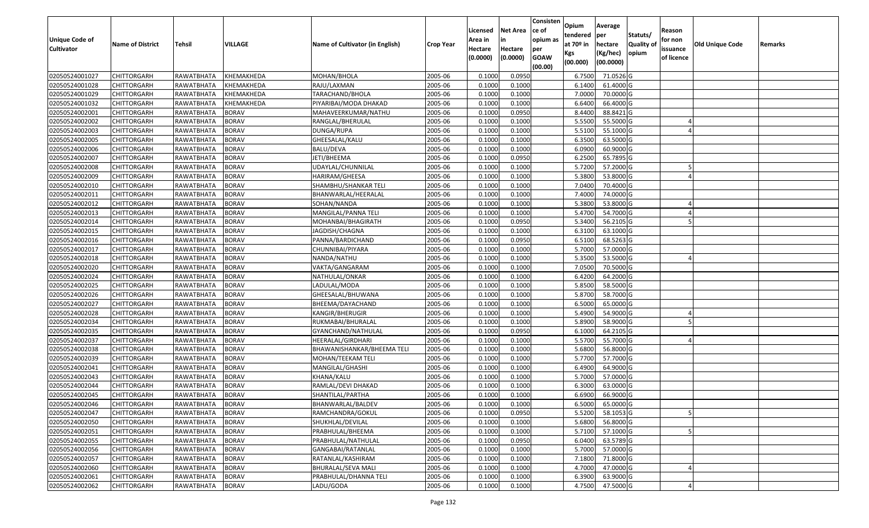| <b>Unique Code of</b> |                         |                   |                |                                 |                  | Licensed<br>Area in | <b>Net Area</b><br>in | Consisten<br>ce of<br>opium as | Opium<br>tendered              | Average<br>per                   | Statuts/                  | Reason<br>for non      |                 |         |
|-----------------------|-------------------------|-------------------|----------------|---------------------------------|------------------|---------------------|-----------------------|--------------------------------|--------------------------------|----------------------------------|---------------------------|------------------------|-----------------|---------|
| <b>Cultivator</b>     | <b>Name of District</b> | <b>Tehsil</b>     | <b>VILLAGE</b> | Name of Cultivator (in English) | <b>Crop Year</b> | Hectare<br>(0.0000) | Hectare<br>(0.0000)   | per<br><b>GOAW</b><br>(00.00)  | at $70°$ in<br>Kgs<br>(00.000) | hectare<br>(Kg/hec)<br>(00.0000) | <b>Quality o</b><br>opium | issuance<br>of licence | Old Unique Code | Remarks |
| 02050524001027        | CHITTORGARH             | RAWATBHATA        | KHEMAKHEDA     | MOHAN/BHOLA                     | 2005-06          | 0.1000              | 0.0950                |                                | 6.7500                         | 71.0526 G                        |                           |                        |                 |         |
| 02050524001028        | CHITTORGARH             | RAWATBHATA        | KHEMAKHEDA     | RAJU/LAXMAN                     | 2005-06          | 0.1000              | 0.1000                |                                | 6.1400                         | 61.4000 G                        |                           |                        |                 |         |
| 02050524001029        | CHITTORGARH             | RAWATBHATA        | KHEMAKHEDA     | TARACHAND/BHOLA                 | 2005-06          | 0.1000              | 0.1000                |                                | 7.0000                         | 70.0000 G                        |                           |                        |                 |         |
| 02050524001032        | <b>CHITTORGARH</b>      | RAWATBHATA        | KHEMAKHEDA     | PIYARIBAI/MODA DHAKAD           | 2005-06          | 0.1000              | 0.1000                |                                | 6.6400                         | 66.4000 G                        |                           |                        |                 |         |
| 02050524002001        | CHITTORGARH             | RAWATBHATA        | <b>BORAV</b>   | MAHAVEERKUMAR/NATHU             | 2005-06          | 0.1000              | 0.0950                |                                | 8.4400                         | 88.8421 G                        |                           |                        |                 |         |
| 02050524002002        | CHITTORGARH             | RAWATBHATA        | <b>BORAV</b>   | RANGLAL/BHERULAL                | 2005-06          | 0.1000              | 0.1000                |                                | 5.5500                         | 55.5000 G                        |                           |                        |                 |         |
| 02050524002003        | CHITTORGARH             | RAWATBHATA        | <b>BORAV</b>   | DUNGA/RUPA                      | 2005-06          | 0.1000              | 0.1000                |                                | 5.5100                         | 55.1000G                         |                           |                        |                 |         |
| 02050524002005        | CHITTORGARH             | RAWATBHATA        | <b>BORAV</b>   | GHEESALAL/KALU                  | 2005-06          | 0.1000              | 0.1000                |                                | 6.3500                         | 63.5000 G                        |                           |                        |                 |         |
| 02050524002006        | CHITTORGARH             | RAWATBHATA        | <b>BORAV</b>   | BALU/DEVA                       | 2005-06          | 0.1000              | 0.1000                |                                | 6.0900                         | 60.9000 G                        |                           |                        |                 |         |
| 02050524002007        | CHITTORGARH             | RAWATBHATA        | <b>BORAV</b>   | JETI/BHEEMA                     | 2005-06          | 0.1000              | 0.0950                |                                | 6.2500                         | 65.7895 G                        |                           |                        |                 |         |
| 02050524002008        | CHITTORGARH             | RAWATBHATA        | <b>BORAV</b>   | UDAYLAL/CHUNNILAL               | 2005-06          | 0.1000              | 0.1000                |                                | 5.7200                         | 57.2000 G                        |                           |                        |                 |         |
| 02050524002009        | CHITTORGARH             | RAWATBHATA        | <b>BORAV</b>   | HARIRAM/GHEESA                  | 2005-06          | 0.100               | 0.1000                |                                | 5.3800                         | 53.8000 G                        |                           |                        |                 |         |
| 02050524002010        | <b>CHITTORGARH</b>      | RAWATBHATA        | <b>BORAV</b>   | SHAMBHU/SHANKAR TELI            | 2005-06          | 0.1000              | 0.1000                |                                | 7.0400                         | 70.4000 G                        |                           |                        |                 |         |
| 02050524002011        | CHITTORGARH             | RAWATBHATA        | <b>BORAV</b>   | BHANWARLAL/HEERALAL             | 2005-06          | 0.100               | 0.1000                |                                | 7.4000                         | 74.0000G                         |                           |                        |                 |         |
| 02050524002012        | CHITTORGARH             | RAWATBHATA        | <b>BORAV</b>   | SOHAN/NANDA                     | 2005-06          | 0.1000              | 0.1000                |                                | 5.3800                         | 53.8000 G                        |                           |                        |                 |         |
| 02050524002013        | CHITTORGARH             | RAWATBHATA        | <b>BORAV</b>   | MANGILAL/PANNA TELI             | 2005-06          | 0.1000              | 0.1000                |                                | 5.4700                         | 54.7000 G                        |                           |                        |                 |         |
| 02050524002014        | CHITTORGARH             | RAWATBHATA        | <b>BORAV</b>   | MOHANBAI/BHAGIRATH              | 2005-06          | 0.100               | 0.0950                |                                | 5.3400                         | 56.2105 G                        |                           |                        |                 |         |
| 02050524002015        | CHITTORGARH             | RAWATBHATA        | <b>BORAV</b>   | JAGDISH/CHAGNA                  | 2005-06          | 0.100               | 0.1000                |                                | 6.3100                         | 63.1000G                         |                           |                        |                 |         |
| 02050524002016        | CHITTORGARH             | RAWATBHATA        | <b>BORAV</b>   | PANNA/BARDICHAND                | 2005-06          | 0.100               | 0.0950                |                                | 6.5100                         | 68.5263 G                        |                           |                        |                 |         |
| 02050524002017        | CHITTORGARH             | RAWATBHATA        | <b>BORAV</b>   | CHUNNIBAI/PIYARA                | 2005-06          | 0.1000              | 0.1000                |                                | 5.7000                         | 57.0000 G                        |                           |                        |                 |         |
| 02050524002018        | CHITTORGARH             | RAWATBHATA        | <b>BORAV</b>   | NANDA/NATHU                     | 2005-06          | 0.100               | 0.1000                |                                | 5.3500                         | 53.5000 G                        |                           |                        |                 |         |
| 02050524002020        | CHITTORGARH             | RAWATBHATA        | <b>BORAV</b>   | VAKTA/GANGARAM                  | 2005-06          | 0.100               | 0.1000                |                                | 7.0500                         | 70.5000 G                        |                           |                        |                 |         |
| 02050524002024        | CHITTORGARH             | RAWATBHATA        | <b>BORAV</b>   | NATHULAL/ONKAR                  | 2005-06          | 0.1000              | 0.1000                |                                | 6.4200                         | 64.2000 G                        |                           |                        |                 |         |
| 02050524002025        | CHITTORGARH             | RAWATBHATA        | <b>BORAV</b>   | LADULAL/MODA                    | 2005-06          | 0.100               | 0.1000                |                                | 5.8500                         | 58.5000 G                        |                           |                        |                 |         |
| 02050524002026        | <b>CHITTORGARH</b>      | RAWATBHATA        | <b>BORAV</b>   | GHEESALAL/BHUWANA               | 2005-06          | 0.100               | 0.1000                |                                | 5.8700                         | 58.7000 G                        |                           |                        |                 |         |
| 02050524002027        | CHITTORGARH             | RAWATBHATA        | <b>BORAV</b>   | BHEEMA/DAYACHAND                | 2005-06          | 0.1000              | 0.1000                |                                | 6.5000                         | 65.0000G                         |                           |                        |                 |         |
| 02050524002028        | CHITTORGARH             | RAWATBHATA        | <b>BORAV</b>   | KANGIR/BHERUGIR                 | 2005-06          | 0.1000              | 0.1000                |                                | 5.4900                         | 54.9000 G                        |                           |                        |                 |         |
| 02050524002034        | CHITTORGARH             | RAWATBHATA        | <b>BORAV</b>   | RUKMABAI/BHURALAL               | 2005-06          | 0.1000              | 0.1000                |                                | 5.8900                         | 58.9000 G                        |                           |                        |                 |         |
| 02050524002035        | CHITTORGARH             | RAWATBHATA        | <b>BORAV</b>   | GYANCHAND/NATHULAL              | 2005-06          | 0.1000              | 0.0950                |                                | 6.1000                         | 64.2105 G                        |                           |                        |                 |         |
| 02050524002037        | CHITTORGARH             | RAWATBHATA        | <b>BORAV</b>   | HEERALAL/GIRDHARI               | 2005-06          | 0.1000              | 0.1000                |                                | 5.5700                         | 55.7000G                         |                           |                        |                 |         |
| 02050524002038        | CHITTORGARH             | RAWATBHATA        | <b>BORAV</b>   | BHAWANISHANKAR/BHEEMA TELI      | 2005-06          | 0.100               | 0.1000                |                                | 5.6800                         | 56.8000 G                        |                           |                        |                 |         |
| 02050524002039        | CHITTORGARH             | RAWATBHATA        | <b>BORAV</b>   | MOHAN/TEEKAM TELI               | 2005-06          | 0.1000              | 0.1000                |                                | 5.7700                         | 57.7000 G                        |                           |                        |                 |         |
| 02050524002041        | CHITTORGARH             | RAWATBHATA        | <b>BORAV</b>   | MANGILAL/GHASHI                 | 2005-06          | 0.100               | 0.1000                |                                | 6.4900                         | 64.9000 G                        |                           |                        |                 |         |
| 02050524002043        | CHITTORGARH             | <b>RAWATBHATA</b> | <b>BORAV</b>   | KHANA/KALU                      | 2005-06          | 0.1000              | 0.1000                |                                | 5.7000                         | 57.0000G                         |                           |                        |                 |         |
| 02050524002044        | CHITTORGARH             | RAWATBHATA        | <b>BORAV</b>   | RAMLAL/DEVI DHAKAD              | 2005-06          | 0.1000              | 0.1000                |                                | 6.3000                         | 63.0000 G                        |                           |                        |                 |         |
| 02050524002045        | CHITTORGARH             | RAWATBHATA        | <b>BORAV</b>   | SHANTILAL/PARTHA                | 2005-06          | 0.1000              | 0.1000                |                                | 6.6900                         | 66.9000 G                        |                           |                        |                 |         |
| 02050524002046        | <b>CHITTORGARH</b>      | RAWATBHATA        | <b>BORAV</b>   | BHANWARLAL/BALDEV               | 2005-06          | 0.1000              | 0.1000                |                                | 6.5000                         | 65.0000G                         |                           |                        |                 |         |
| 02050524002047        | <b>CHITTORGARH</b>      | RAWATBHATA        | <b>BORAV</b>   | RAMCHANDRA/GOKUL                | 2005-06          | 0.1000              | 0.0950                |                                | 5.5200                         | 58.1053 G                        |                           |                        |                 |         |
| 02050524002050        | <b>CHITTORGARH</b>      | RAWATBHATA        | <b>BORAV</b>   | SHUKHLAL/DEVILAL                | 2005-06          | 0.1000              | 0.1000                |                                | 5.6800                         | 56.8000 G                        |                           |                        |                 |         |
| 02050524002051        | <b>CHITTORGARH</b>      | RAWATBHATA        | <b>BORAV</b>   | PRABHULAL/BHEEMA                | 2005-06          | 0.1000              | 0.1000                |                                | 5.7100                         | 57.1000 G                        |                           |                        |                 |         |
| 02050524002055        | CHITTORGARH             | RAWATBHATA        | <b>BORAV</b>   | PRABHULAL/NATHULAL              | 2005-06          | 0.1000              | 0.0950                |                                | 6.0400                         | 63.5789 G                        |                           |                        |                 |         |
| 02050524002056        | <b>CHITTORGARH</b>      | RAWATBHATA        | <b>BORAV</b>   | GANGABAI/RATANLAL               | 2005-06          | 0.1000              | 0.1000                |                                | 5.7000                         | 57.0000 G                        |                           |                        |                 |         |
| 02050524002057        | <b>CHITTORGARH</b>      | RAWATBHATA        | <b>BORAV</b>   | RATANLAL/KASHIRAM               | 2005-06          | 0.1000              | 0.1000                |                                | 7.1800                         | 71.8000 G                        |                           |                        |                 |         |
| 02050524002060        | CHITTORGARH             | RAWATBHATA        | <b>BORAV</b>   | BHURALAL/SEVA MALI              | 2005-06          | 0.1000              | 0.1000                |                                | 4.7000                         | 47.0000 G                        |                           |                        |                 |         |
| 02050524002061        | CHITTORGARH             | RAWATBHATA        | <b>BORAV</b>   | PRABHULAL/DHANNA TELI           | 2005-06          | 0.1000              | 0.1000                |                                | 6.3900                         | 63.9000 G                        |                           |                        |                 |         |
| 02050524002062        | <b>CHITTORGARH</b>      | RAWATBHATA        | <b>BORAV</b>   | LADU/GODA                       | 2005-06          | 0.1000              | 0.1000                |                                | 4.7500                         | 47.5000 G                        |                           |                        |                 |         |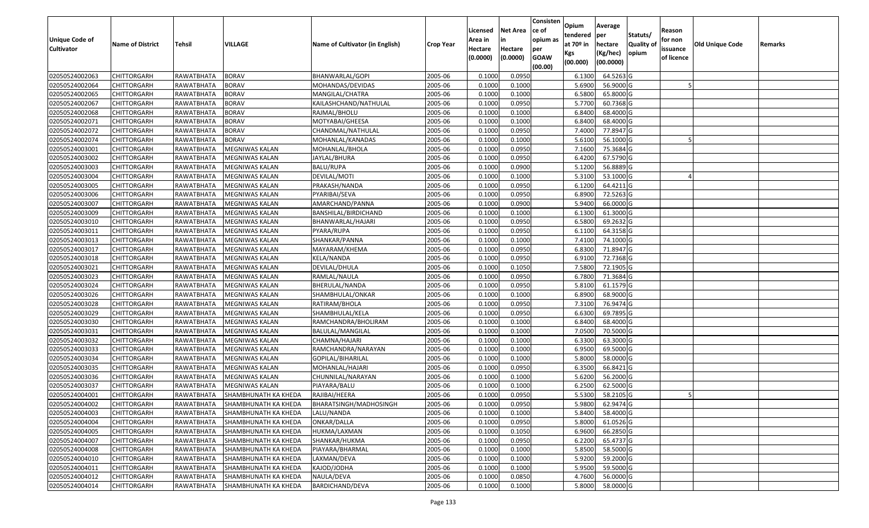|                       |                         |                   |                             |                                 |                  | Licensed | <b>Net Area</b> | Consisten<br>ce of | Opium<br>tendered | Average<br>per | Statuts/         | Reason     |                 |         |
|-----------------------|-------------------------|-------------------|-----------------------------|---------------------------------|------------------|----------|-----------------|--------------------|-------------------|----------------|------------------|------------|-----------------|---------|
| <b>Unique Code of</b> | <b>Name of District</b> | <b>Tehsil</b>     | VILLAGE                     | Name of Cultivator (in English) | <b>Crop Year</b> | Area in  | in              | opium as           | at $70°$ in       | hectare        | <b>Quality o</b> | for non    | Old Unique Code | Remarks |
| <b>Cultivator</b>     |                         |                   |                             |                                 |                  | Hectare  | Hectare         | per                | Kgs               | (Kg/hec)       | opium            | issuance   |                 |         |
|                       |                         |                   |                             |                                 |                  | (0.0000) | (0.0000)        | <b>GOAW</b>        | (00.000)          | (00.0000)      |                  | of licence |                 |         |
| 02050524002063        | CHITTORGARH             | RAWATBHATA        | <b>BORAV</b>                | BHANWARLAL/GOPI                 | 2005-06          | 0.1000   | 0.0950          | (00.00)            | 6.1300            | 64.5263 G      |                  |            |                 |         |
| 02050524002064        | CHITTORGARH             | RAWATBHATA        | <b>BORAV</b>                | MOHANDAS/DEVIDAS                | 2005-06          | 0.1000   | 0.1000          |                    | 5.6900            | 56.9000 G      |                  |            |                 |         |
| 02050524002065        | CHITTORGARH             | RAWATBHATA        | <b>BORAV</b>                | MANGILAL/CHATRA                 | 2005-06          | 0.1000   | 0.1000          |                    | 6.5800            | 65.8000 G      |                  |            |                 |         |
| 02050524002067        | <b>CHITTORGARH</b>      | <b>RAWATBHATA</b> | <b>BORAV</b>                | KAILASHCHAND/NATHULAL           | 2005-06          | 0.1000   | 0.0950          |                    | 5.7700            | 60.7368 G      |                  |            |                 |         |
| 02050524002068        | CHITTORGARH             | RAWATBHATA        | <b>BORAV</b>                | RAJMAL/BHOLU                    | 2005-06          | 0.1000   | 0.1000          |                    | 6.8400            | 68.4000 G      |                  |            |                 |         |
| 02050524002071        | <b>CHITTORGARH</b>      | RAWATBHATA        | <b>BORAV</b>                | MOTYABAI/GHEESA                 | 2005-06          | 0.1000   | 0.1000          |                    | 6.8400            | 68.4000G       |                  |            |                 |         |
| 02050524002072        | CHITTORGARH             | RAWATBHATA        | <b>BORAV</b>                | CHANDMAL/NATHULAL               | 2005-06          | 0.1000   | 0.0950          |                    | 7.4000            | 77.8947 G      |                  |            |                 |         |
| 02050524002074        | CHITTORGARH             | RAWATBHATA        | <b>BORAV</b>                | MOHANLAL/KANADAS                | 2005-06          | 0.1000   | 0.1000          |                    | 5.6100            | 56.1000G       |                  |            |                 |         |
| 02050524003001        | CHITTORGARH             | RAWATBHATA        | MEGNIWAS KALAN              | MOHANLAL/BHOLA                  | 2005-06          | 0.1000   | 0.0950          |                    | 7.1600            | 75.3684 G      |                  |            |                 |         |
| 02050524003002        | CHITTORGARH             | RAWATBHATA        | MEGNIWAS KALAN              | JAYLAL/BHURA                    | 2005-06          | 0.1000   | 0.0950          |                    | 6.4200            | 67.5790 G      |                  |            |                 |         |
| 02050524003003        | CHITTORGARH             | RAWATBHATA        | MEGNIWAS KALAN              | BALU/RUPA                       | 2005-06          | 0.1000   | 0.0900          |                    | 5.1200            | 56.8889 G      |                  |            |                 |         |
| 02050524003004        | CHITTORGARH             | RAWATBHATA        | MEGNIWAS KALAN              | DEVILAL/MOTI                    | 2005-06          | 0.1000   | 0.1000          |                    | 5.3100            | 53.1000 G      |                  |            |                 |         |
| 02050524003005        | <b>CHITTORGARH</b>      | RAWATBHATA        | MEGNIWAS KALAN              | PRAKASH/NANDA                   | 2005-06          | 0.1000   | 0.0950          |                    | 6.1200            | 64.4211 G      |                  |            |                 |         |
| 02050524003006        | <b>CHITTORGARH</b>      | RAWATBHATA        | <b>MEGNIWAS KALAN</b>       | PYARIBAI/SEVA                   | 2005-06          | 0.1000   | 0.0950          |                    | 6.8900            | 72.5263 G      |                  |            |                 |         |
| 02050524003007        | CHITTORGARH             | RAWATBHATA        | <b>MEGNIWAS KALAN</b>       | AMARCHAND/PANNA                 | 2005-06          | 0.1000   | 0.0900          |                    | 5.9400            | 66.0000G       |                  |            |                 |         |
| 02050524003009        | CHITTORGARH             | RAWATBHATA        | MEGNIWAS KALAN              | BANSHILAL/BIRDICHAND            | 2005-06          | 0.1000   | 0.1000          |                    | 6.1300            | 61.3000G       |                  |            |                 |         |
| 02050524003010        | <b>CHITTORGARH</b>      | RAWATBHATA        | MEGNIWAS KALAN              | BHANWARLAL/HAJARI               | 2005-06          | 0.1000   | 0.0950          |                    | 6.5800            | 69.2632 G      |                  |            |                 |         |
| 02050524003011        | CHITTORGARH             | RAWATBHATA        | <b>MEGNIWAS KALAN</b>       | PYARA/RUPA                      | 2005-06          | 0.1000   | 0.0950          |                    | 6.1100            | 64.3158 G      |                  |            |                 |         |
| 02050524003013        | CHITTORGARH             | RAWATBHATA        | MEGNIWAS KALAN              | SHANKAR/PANNA                   | 2005-06          | 0.100    | 0.1000          |                    | 7.4100            | 74.1000G       |                  |            |                 |         |
| 02050524003017        | CHITTORGARH             | RAWATBHATA        | MEGNIWAS KALAN              | MAYARAM/KHEMA                   | 2005-06          | 0.1000   | 0.0950          |                    | 6.8300            | 71.8947 G      |                  |            |                 |         |
| 02050524003018        | CHITTORGARH             | RAWATBHATA        | MEGNIWAS KALAN              | KELA/NANDA                      | 2005-06          | 0.100    | 0.0950          |                    | 6.9100            | 72.7368 G      |                  |            |                 |         |
| 02050524003021        | <b>CHITTORGARH</b>      | RAWATBHATA        | MEGNIWAS KALAN              | DEVILAL/DHULA                   | 2005-06          | 0.100    | 0.1050          |                    | 7.5800            | 72.1905 G      |                  |            |                 |         |
| 02050524003023        | CHITTORGARH             | RAWATBHATA        | MEGNIWAS KALAN              | RAMLAL/NAULA                    | 2005-06          | 0.1000   | 0.0950          |                    | 6.7800            | 71.3684 G      |                  |            |                 |         |
| 02050524003024        | CHITTORGARH             | RAWATBHATA        | MEGNIWAS KALAN              | BHERULAL/NANDA                  | 2005-06          | 0.100    | 0.0950          |                    | 5.8100            | 61.1579 G      |                  |            |                 |         |
| 02050524003026        | <b>CHITTORGARH</b>      | RAWATBHATA        | MEGNIWAS KALAN              | SHAMBHULAL/ONKAR                | 2005-06          | 0.1000   | 0.1000          |                    | 6.8900            | 68.9000 G      |                  |            |                 |         |
| 02050524003028        | CHITTORGARH             | RAWATBHATA        | MEGNIWAS KALAN              | RATIRAM/BHOLA                   | 2005-06          | 0.1000   | 0.0950          |                    | 7.3100            | 76.9474 G      |                  |            |                 |         |
| 02050524003029        | CHITTORGARH             | RAWATBHATA        | MEGNIWAS KALAN              | SHAMBHULAL/KELA                 | 2005-06          | 0.1000   | 0.0950          |                    | 6.6300            | 69.7895 G      |                  |            |                 |         |
| 02050524003030        | CHITTORGARH             | RAWATBHATA        | MEGNIWAS KALAN              | RAMCHANDRA/BHOLIRAM             | 2005-06          | 0.1000   | 0.1000          |                    | 6.8400            | 68.4000 G      |                  |            |                 |         |
| 02050524003031        | CHITTORGARH             | RAWATBHATA        | MEGNIWAS KALAN              | BALULAL/MANGILAL                | 2005-06          | 0.1000   | 0.1000          |                    | 7.0500            | 70.5000 G      |                  |            |                 |         |
| 02050524003032        | CHITTORGARH             | RAWATBHATA        | MEGNIWAS KALAN              | CHAMNA/HAJARI                   | 2005-06          | 0.1000   | 0.1000          |                    | 6.3300            | 63.3000 G      |                  |            |                 |         |
| 02050524003033        | CHITTORGARH             | RAWATBHATA        | MEGNIWAS KALAN              | RAMCHANDRA/NARAYAN              | 2005-06          | 0.1000   | 0.1000          |                    | 6.9500            | 69.5000G       |                  |            |                 |         |
| 02050524003034        | CHITTORGARH             | RAWATBHATA        | MEGNIWAS KALAN              | GOPILAL/BIHARILAL               | 2005-06          | 0.1000   | 0.1000          |                    | 5.8000            | 58.0000G       |                  |            |                 |         |
| 02050524003035        | CHITTORGARH             | RAWATBHATA        | <b>MEGNIWAS KALAN</b>       | MOHANLAL/HAJARI                 | 2005-06          | 0.1000   | 0.0950          |                    | 6.3500            | 66.8421 G      |                  |            |                 |         |
| 02050524003036        | <b>CHITTORGARH</b>      | RAWATBHATA        | MEGNIWAS KALAN              | CHUNNILAL/NARAYAN               | 2005-06          | 0.1000   | 0.1000          |                    | 5.6200            | 56.2000 G      |                  |            |                 |         |
| 02050524003037        | CHITTORGARH             | RAWATBHATA        | MEGNIWAS KALAN              | PIAYARA/BALU                    | 2005-06          | 0.1000   | 0.1000          |                    | 6.2500            | 62.5000 G      |                  |            |                 |         |
| 02050524004001        | CHITTORGARH             | RAWATBHATA        | SHAMBHUNATH KA KHEDA        | RAJIBAI/HEERA                   | 2005-06          | 0.1000   | 0.0950          |                    | 5.5300            | 58.2105 G      |                  |            |                 |         |
| 02050524004002        | CHITTORGARH             | RAWATBHATA        | SHAMBHUNATH KA KHEDA        | BHARATSINGH/MADHOSINGH          | 2005-06          | 0.1000   | 0.0950          |                    | 5.9800            | 62.9474 G      |                  |            |                 |         |
| 02050524004003        | <b>CHITTORGARH</b>      | RAWATBHATA        | SHAMBHUNATH KA KHEDA        | LALU/NANDA                      | 2005-06          | 0.1000   | 0.1000          |                    | 5.8400            | 58.4000 G      |                  |            |                 |         |
| 02050524004004        | <b>CHITTORGARH</b>      | RAWATBHATA        | <b>SHAMBHUNATH KA KHEDA</b> | ONKAR/DALLA                     | 2005-06          | 0.1000   | 0.0950          |                    | 5.8000            | 61.0526 G      |                  |            |                 |         |
| 02050524004005        | <b>CHITTORGARH</b>      | RAWATBHATA        | SHAMBHUNATH KA KHEDA        | HUKMA/LAXMAN                    | 2005-06          | 0.1000   | 0.1050          |                    | 6.9600            | 66.2850 G      |                  |            |                 |         |
| 02050524004007        | <b>CHITTORGARH</b>      | RAWATBHATA        | SHAMBHUNATH KA KHEDA        | SHANKAR/HUKMA                   | 2005-06          | 0.1000   | 0.0950          |                    | 6.2200            | 65.4737 G      |                  |            |                 |         |
| 02050524004008        | <b>CHITTORGARH</b>      | RAWATBHATA        | SHAMBHUNATH KA KHEDA        | PIAYARA/BHARMAL                 | 2005-06          | 0.1000   | 0.1000          |                    | 5.8500            | 58.5000 G      |                  |            |                 |         |
| 02050524004010        | <b>CHITTORGARH</b>      | RAWATBHATA        | <b>SHAMBHUNATH KA KHEDA</b> | LAXMAN/DEVA                     | 2005-06          | 0.1000   | 0.1000          |                    | 5.9200            | 59.2000 G      |                  |            |                 |         |
| 02050524004011        | CHITTORGARH             | RAWATBHATA        | <b>SHAMBHUNATH KA KHEDA</b> | KAJOD/JODHA                     | 2005-06          | 0.1000   | 0.1000          |                    | 5.9500            | 59.5000 G      |                  |            |                 |         |
| 02050524004012        | <b>CHITTORGARH</b>      | RAWATBHATA        | <b>SHAMBHUNATH KA KHEDA</b> | NAULA/DEVA                      | 2005-06          | 0.1000   | 0.0850          |                    | 4.7600            | 56.0000 G      |                  |            |                 |         |
| 02050524004014        | <b>CHITTORGARH</b>      | RAWATBHATA        | <b>SHAMBHUNATH KA KHEDA</b> | <b>BARDICHAND/DEVA</b>          | 2005-06          | 0.1000   | 0.1000          |                    | 5.8000            | 58.0000 G      |                  |            |                 |         |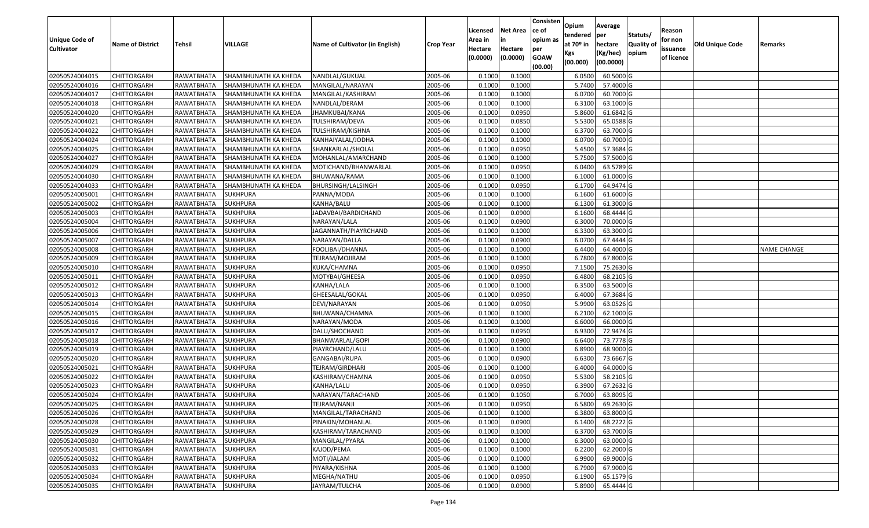| <b>Unique Code of</b><br><b>Cultivator</b> | <b>Name of District</b> | Tehsil              | VILLAGE              | Name of Cultivator (in English) | <b>Crop Year</b> | Licensed<br>Area in<br>Hectare<br>(0.0000) | <b>Net Area</b><br>in<br>Hectare<br>(0.0000) | Consisten<br>lce of<br>opium as<br>per<br><b>GOAW</b><br>(00.00) | Opium<br>tendered<br>at 70º in<br>Kgs<br>(00.000) | Average<br>per<br>hectare<br>(Kg/hec)<br>(00.0000) | Statuts/<br><b>Quality o</b><br>opium | Reason<br>for non<br>issuance<br>of licence | Old Unique Code | Remarks            |
|--------------------------------------------|-------------------------|---------------------|----------------------|---------------------------------|------------------|--------------------------------------------|----------------------------------------------|------------------------------------------------------------------|---------------------------------------------------|----------------------------------------------------|---------------------------------------|---------------------------------------------|-----------------|--------------------|
| 02050524004015                             | <b>CHITTORGARH</b>      | RAWATBHATA          | SHAMBHUNATH KA KHEDA | NANDLAL/GUKUAL                  | 2005-06          | 0.1000                                     | 0.1000                                       |                                                                  | 6.0500                                            | 60.5000 G                                          |                                       |                                             |                 |                    |
| 02050524004016                             | <b>CHITTORGARH</b>      | RAWATBHATA          | SHAMBHUNATH KA KHEDA | MANGILAL/NARAYAN                | 2005-06          | 0.1000                                     | 0.1000                                       |                                                                  | 5.7400                                            | 57.4000 G                                          |                                       |                                             |                 |                    |
| 02050524004017                             | <b>CHITTORGARH</b>      | RAWATBHATA          | SHAMBHUNATH KA KHEDA | MANGILAL/KASHIRAM               | 2005-06          | 0.1000                                     | 0.1000                                       |                                                                  | 6.0700                                            | 60.7000 G                                          |                                       |                                             |                 |                    |
| 02050524004018                             | <b>CHITTORGARH</b>      | RAWATBHATA          | SHAMBHUNATH KA KHEDA | NANDLAL/DERAM                   | 2005-06          | 0.1000                                     | 0.1000                                       |                                                                  | 6.3100                                            | 63.1000 G                                          |                                       |                                             |                 |                    |
| 02050524004020                             | <b>CHITTORGARH</b>      | RAWATBHATA          | SHAMBHUNATH KA KHEDA | JHAMKUBAI/KANA                  | 2005-06          | 0.1000                                     | 0.0950                                       |                                                                  | 5.8600                                            | 61.6842 G                                          |                                       |                                             |                 |                    |
| 02050524004021                             | <b>CHITTORGARH</b>      | RAWATBHATA          | SHAMBHUNATH KA KHEDA | TULSHIRAM/DEVA                  | 2005-06          | 0.1000                                     | 0.0850                                       |                                                                  | 5.5300                                            | 65.0588 G                                          |                                       |                                             |                 |                    |
| 02050524004022                             | CHITTORGARH             | RAWATBHATA          | SHAMBHUNATH KA KHEDA | TULSHIRAM/KISHNA                | 2005-06          | 0.1000                                     | 0.1000                                       |                                                                  | 6.3700                                            | 63.7000 G                                          |                                       |                                             |                 |                    |
| 02050524004024                             | <b>CHITTORGARH</b>      | RAWATBHATA          | SHAMBHUNATH KA KHEDA | KANHAIYALAL/JODHA               | 2005-06          | 0.1000                                     | 0.1000                                       |                                                                  | 6.0700                                            | 60.7000 G                                          |                                       |                                             |                 |                    |
| 02050524004025                             | <b>CHITTORGARH</b>      | RAWATBHATA          | SHAMBHUNATH KA KHEDA | SHANKARLAL/SHOLAL               | 2005-06          | 0.1000                                     | 0.0950                                       |                                                                  | 5.4500                                            | 57.3684 G                                          |                                       |                                             |                 |                    |
| 02050524004027                             | <b>CHITTORGARH</b>      | RAWATBHATA          | SHAMBHUNATH KA KHEDA | MOHANLAL/AMARCHAND              | 2005-06          | 0.1000                                     | 0.1000                                       |                                                                  | 5.7500                                            | 57.5000 G                                          |                                       |                                             |                 |                    |
| 02050524004029                             | <b>CHITTORGARH</b>      | RAWATBHATA          | SHAMBHUNATH KA KHEDA | MOTICHAND/BHANWARLAL            | 2005-06          | 0.1000                                     | 0.0950                                       |                                                                  | 6.0400                                            | 63.5789 G                                          |                                       |                                             |                 |                    |
| 02050524004030                             | <b>CHITTORGARH</b>      | RAWATBHATA          | SHAMBHUNATH KA KHEDA | BHUWANA/RAMA                    | 2005-06          | 0.1000                                     | 0.1000                                       |                                                                  | 6.1000                                            | 61.0000 G                                          |                                       |                                             |                 |                    |
| 02050524004033                             | <b>CHITTORGARH</b>      | RAWATBHATA          | SHAMBHUNATH KA KHEDA | BHURSINGH/LALSINGH              | 2005-06          | 0.1000                                     | 0.0950                                       |                                                                  | 6.1700                                            | 64.9474 G                                          |                                       |                                             |                 |                    |
| 02050524005001                             | <b>CHITTORGARH</b>      | RAWATBHATA          | <b>SUKHPURA</b>      | PANNA/MODA                      | 2005-06          | 0.1000                                     | 0.1000                                       |                                                                  | 6.1600                                            | 61.6000 G                                          |                                       |                                             |                 |                    |
| 02050524005002                             | CHITTORGARH             | RAWATBHATA          | <b>SUKHPURA</b>      | KANHA/BALU                      | 2005-06          | 0.1000                                     | 0.1000                                       |                                                                  | 6.1300                                            | 61.3000 G                                          |                                       |                                             |                 |                    |
| 02050524005003                             | <b>CHITTORGARH</b>      | RAWATBHATA          | <b>SUKHPURA</b>      | JADAVBAI/BARDICHAND             | 2005-06          | 0.1000                                     | 0.0900                                       |                                                                  | 6.1600                                            | 68.4444 G                                          |                                       |                                             |                 |                    |
| 02050524005004                             | <b>CHITTORGARH</b>      | RAWATBHATA          | <b>SUKHPURA</b>      | NARAYAN/LALA                    | 2005-06          | 0.1000                                     | 0.0900                                       |                                                                  | 6.3000                                            | 70.0000 G                                          |                                       |                                             |                 |                    |
| 02050524005006                             | <b>CHITTORGARH</b>      | RAWATBHATA          | <b>SUKHPURA</b>      | JAGANNATH/PIAYRCHAND            | 2005-06          | 0.1000                                     | 0.1000                                       |                                                                  | 6.3300                                            | 63.3000 G                                          |                                       |                                             |                 |                    |
| 02050524005007                             | <b>CHITTORGARH</b>      | RAWATBHATA          | <b>SUKHPURA</b>      | NARAYAN/DALLA                   | 2005-06          | 0.1000                                     | 0.0900                                       |                                                                  | 6.0700                                            | 67.4444 G                                          |                                       |                                             |                 |                    |
| 02050524005008                             | <b>CHITTORGARH</b>      | RAWATBHATA          | SUKHPURA             | FOOLIBAI/DHANNA                 | 2005-06          | 0.1000                                     | 0.1000                                       |                                                                  | 6.4400                                            | 64.4000 G                                          |                                       |                                             |                 | <b>NAME CHANGE</b> |
| 02050524005009                             | <b>CHITTORGARH</b>      | RAWATBHATA          | <b>SUKHPURA</b>      | TEJRAM/MOJIRAM                  | 2005-06          | 0.1000                                     | 0.1000                                       |                                                                  | 6.7800                                            | 67.8000 G                                          |                                       |                                             |                 |                    |
| 02050524005010                             | <b>CHITTORGARH</b>      | RAWATBHATA          | <b>SUKHPURA</b>      | KUKA/CHAMNA                     | 2005-06          | 0.1000                                     | 0.0950                                       |                                                                  | 7.1500                                            | 75.2630 G                                          |                                       |                                             |                 |                    |
| 02050524005011                             | <b>CHITTORGARH</b>      | RAWATBHATA          | <b>SUKHPURA</b>      | MOTYBAI/GHEESA                  | 2005-06          | 0.1000                                     | 0.0950                                       |                                                                  | 6.4800                                            | 68.2105 G                                          |                                       |                                             |                 |                    |
| 02050524005012                             | <b>CHITTORGARH</b>      | RAWATBHATA          | <b>SUKHPURA</b>      | KANHA/LALA                      | 2005-06          | 0.1000                                     | 0.1000                                       |                                                                  | 6.3500                                            | 63.5000 G                                          |                                       |                                             |                 |                    |
| 02050524005013                             | <b>CHITTORGARH</b>      | RAWATBHATA          | <b>SUKHPURA</b>      | GHEESALAL/GOKAL                 | 2005-06          | 0.1000                                     | 0.0950                                       |                                                                  | 6.4000                                            | 67.3684 G                                          |                                       |                                             |                 |                    |
| 02050524005014                             | <b>CHITTORGARH</b>      | RAWATBHATA          | <b>SUKHPURA</b>      | DEVI/NARAYAN                    | 2005-06          | 0.1000                                     | 0.0950                                       |                                                                  | 5.9900                                            | 63.0526 G                                          |                                       |                                             |                 |                    |
| 02050524005015                             | <b>CHITTORGARH</b>      | RAWATBHATA          | <b>SUKHPURA</b>      | BHUWANA/CHAMNA                  | 2005-06          | 0.1000                                     | 0.1000                                       |                                                                  | 6.2100                                            | 62.1000 G                                          |                                       |                                             |                 |                    |
| 02050524005016                             | <b>CHITTORGARH</b>      | RAWATBHATA          | <b>SUKHPURA</b>      | NARAYAN/MODA                    | 2005-06          | 0.1000                                     | 0.1000                                       |                                                                  | 6.6000                                            | 66.0000 G                                          |                                       |                                             |                 |                    |
| 02050524005017                             | <b>CHITTORGARH</b>      | RAWATBHATA          | <b>SUKHPURA</b>      | DALU/SHOCHAND                   | 2005-06          | 0.1000                                     | 0.0950                                       |                                                                  | 6.9300                                            | 72.9474 G                                          |                                       |                                             |                 |                    |
| 02050524005018                             | <b>CHITTORGARH</b>      | RAWATBHATA          | <b>SUKHPURA</b>      | BHANWARLAL/GOPI                 | 2005-06          | 0.1000                                     | 0.0900                                       |                                                                  | 6.6400                                            | 73.7778 G                                          |                                       |                                             |                 |                    |
| 02050524005019                             | <b>CHITTORGARH</b>      | RAWATBHATA          | <b>SUKHPURA</b>      | PIAYRCHAND/LALU                 | 2005-06          | 0.1000                                     | 0.1000                                       |                                                                  | 6.8900                                            | 68.9000 G                                          |                                       |                                             |                 |                    |
| 02050524005020                             | <b>CHITTORGARH</b>      | RAWATBHATA          | <b>SUKHPURA</b>      | GANGABAI/RUPA                   | 2005-06          | 0.1000                                     | 0.0900                                       |                                                                  | 6.6300                                            | 73.6667 G                                          |                                       |                                             |                 |                    |
| 02050524005021                             | <b>CHITTORGARH</b>      | RAWATBHATA          | <b>SUKHPURA</b>      | TEJRAM/GIRDHARI                 | 2005-06          | 0.1000                                     | 0.1000                                       |                                                                  | 6.4000                                            | 64.0000 G                                          |                                       |                                             |                 |                    |
| 02050524005022                             | <b>CHITTORGARH</b>      | RAWATBHATA          | <b>SUKHPURA</b>      | KASHIRAM/CHAMNA                 | 2005-06          | 0.1000                                     | 0.0950                                       |                                                                  | 5.5300                                            | 58.2105 G                                          |                                       |                                             |                 |                    |
| 02050524005023                             | CHITTORGARH             | RAWATBHATA          | <b>SUKHPURA</b>      | KANHA/LALU                      | 2005-06          | 0.1000                                     | 0.0950                                       |                                                                  | 6.3900                                            | 67.2632 G                                          |                                       |                                             |                 |                    |
| 02050524005024                             | <b>CHITTORGARH</b>      | RAWATBHATA          | <b>SUKHPURA</b>      | NARAYAN/TARACHAND               | 2005-06          | 0.1000                                     | 0.1050                                       |                                                                  | 6.7000                                            | 63.8095 G                                          |                                       |                                             |                 |                    |
| 02050524005025                             | <b>CHITTORGARH</b>      | RAWATBHATA SUKHPURA |                      | TEJRAM/NANJI                    | 2005-06          | 0.1000                                     | 0.0950                                       |                                                                  | 6.5800                                            | 69.2630 G                                          |                                       |                                             |                 |                    |
| 02050524005026                             | <b>CHITTORGARH</b>      | RAWATBHATA          | <b>SUKHPURA</b>      | MANGILAL/TARACHAND              | 2005-06          | 0.1000                                     | 0.1000                                       |                                                                  | 6.3800                                            | 63.8000 G                                          |                                       |                                             |                 |                    |
| 02050524005028                             | CHITTORGARH             | RAWATBHATA          | <b>SUKHPURA</b>      | PINAKIN/MOHANLAL                | 2005-06          | 0.1000                                     | 0.0900                                       |                                                                  | 6.1400                                            | 68.2222 G                                          |                                       |                                             |                 |                    |
| 02050524005029                             | <b>CHITTORGARH</b>      | RAWATBHATA          | <b>SUKHPURA</b>      | KASHIRAM/TARACHAND              | 2005-06          | 0.1000                                     | 0.1000                                       |                                                                  | 6.3700                                            | 63.7000 G                                          |                                       |                                             |                 |                    |
| 02050524005030                             | <b>CHITTORGARH</b>      | RAWATBHATA          | <b>SUKHPURA</b>      | MANGILAL/PYARA                  | 2005-06          | 0.1000                                     | 0.1000                                       |                                                                  | 6.3000                                            | 63.0000 G                                          |                                       |                                             |                 |                    |
| 02050524005031                             | <b>CHITTORGARH</b>      | RAWATBHATA          | <b>SUKHPURA</b>      | KAJOD/PEMA                      | 2005-06          | 0.1000                                     | 0.1000                                       |                                                                  | 6.2200                                            | 62.2000 G                                          |                                       |                                             |                 |                    |
| 02050524005032                             | <b>CHITTORGARH</b>      | RAWATBHATA          | <b>SUKHPURA</b>      | MOTI/JALAM                      | 2005-06          | 0.1000                                     | 0.1000                                       |                                                                  | 6.9900                                            | 69.9000 G                                          |                                       |                                             |                 |                    |
| 02050524005033                             | <b>CHITTORGARH</b>      | RAWATBHATA          | <b>SUKHPURA</b>      | PIYARA/KISHNA                   | 2005-06          | 0.1000                                     | 0.1000                                       |                                                                  | 6.7900                                            | 67.9000 G                                          |                                       |                                             |                 |                    |
| 02050524005034                             | <b>CHITTORGARH</b>      | RAWATBHATA          | SUKHPURA             | MEGHA/NATHU                     | 2005-06          | 0.1000                                     | 0.0950                                       |                                                                  | 6.1900                                            | 65.1579 G                                          |                                       |                                             |                 |                    |
| 02050524005035                             | <b>CHITTORGARH</b>      | RAWATBHATA          | <b>SUKHPURA</b>      | JAYRAM/TULCHA                   | 2005-06          | 0.1000                                     | 0.0900                                       |                                                                  | 5.8900                                            | 65.4444 G                                          |                                       |                                             |                 |                    |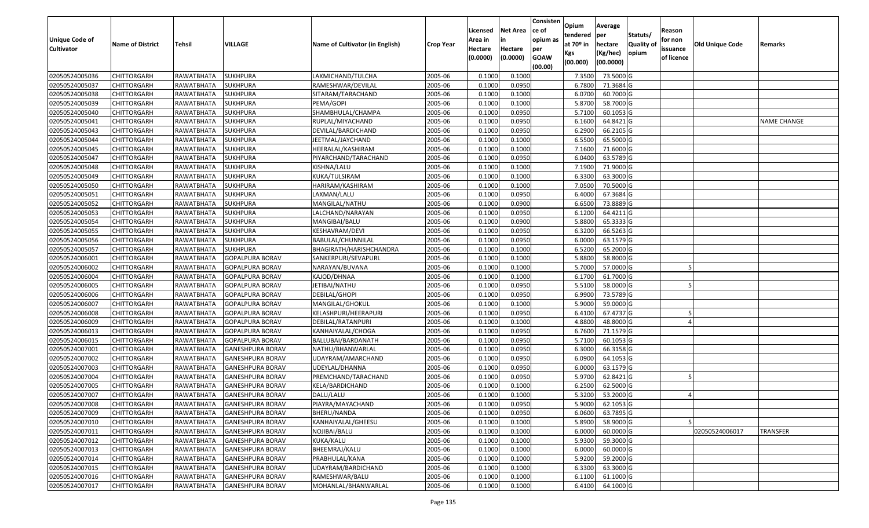| <b>Unique Code of</b><br><b>Cultivator</b> | <b>Name of District</b> | <b>Tehsil</b>     | <b>VILLAGE</b>          | Name of Cultivator (in English) | <b>Crop Year</b> | Licensed<br>Area in<br>Hectare<br>(0.0000) | <b>Net Area</b><br>in<br>Hectare<br>(0.0000) | Consisten<br>ce of<br>opium as<br>per<br><b>GOAW</b><br>(00.00) | Opium<br>tendered<br>at $70°$ in<br>Kgs<br>(00.000) | Average<br>per<br>hectare<br>(Kg/hec)<br>(00.0000) | Statuts/<br>Quality of<br>opium | Reason<br>for non<br>issuance<br>of licence | <b>Old Unique Code</b> | Remarks            |
|--------------------------------------------|-------------------------|-------------------|-------------------------|---------------------------------|------------------|--------------------------------------------|----------------------------------------------|-----------------------------------------------------------------|-----------------------------------------------------|----------------------------------------------------|---------------------------------|---------------------------------------------|------------------------|--------------------|
| 02050524005036                             | <b>CHITTORGARH</b>      | RAWATBHATA        | <b>SUKHPURA</b>         | LAXMICHAND/TULCHA               | 2005-06          | 0.1000                                     | 0.1000                                       |                                                                 | 7.3500                                              | 73.5000 G                                          |                                 |                                             |                        |                    |
| 02050524005037                             | CHITTORGARH             | RAWATBHATA        | <b>SUKHPURA</b>         | RAMESHWAR/DEVILAL               | 2005-06          | 0.1000                                     | 0.0950                                       |                                                                 | 6.7800                                              | 71.3684 G                                          |                                 |                                             |                        |                    |
| 02050524005038                             | <b>CHITTORGARH</b>      | RAWATBHATA        | <b>SUKHPURA</b>         | SITARAM/TARACHAND               | 2005-06          | 0.1000                                     | 0.1000                                       |                                                                 | 6.0700                                              | 60.7000 G                                          |                                 |                                             |                        |                    |
| 02050524005039                             | <b>CHITTORGARH</b>      | RAWATBHATA        | <b>SUKHPURA</b>         | PEMA/GOPI                       | 2005-06          | 0.1000                                     | 0.1000                                       |                                                                 | 5.8700                                              | 58.7000 G                                          |                                 |                                             |                        |                    |
| 02050524005040                             | <b>CHITTORGARH</b>      | RAWATBHATA        | <b>SUKHPURA</b>         | SHAMBHULAL/CHAMPA               | 2005-06          | 0.1000                                     | 0.0950                                       |                                                                 | 5.7100                                              | 60.1053 G                                          |                                 |                                             |                        |                    |
| 02050524005041                             | <b>CHITTORGARH</b>      | <b>RAWATBHATA</b> | <b>SUKHPURA</b>         | RUPLAL/MIYACHAND                | 2005-06          | 0.1000                                     | 0.0950                                       |                                                                 | 6.1600                                              | 64.8421 G                                          |                                 |                                             |                        | <b>NAME CHANGE</b> |
| 02050524005043                             | CHITTORGARH             | RAWATBHATA        | <b>SUKHPURA</b>         | DEVILAL/BARDICHAND              | 2005-06          | 0.1000                                     | 0.0950                                       |                                                                 | 6.2900                                              | 66.2105 G                                          |                                 |                                             |                        |                    |
| 02050524005044                             | <b>CHITTORGARH</b>      | RAWATBHATA        | <b>SUKHPURA</b>         | JEETMAL/JAYCHAND                | 2005-06          | 0.1000                                     | 0.1000                                       |                                                                 | 6.5500                                              | 65.5000G                                           |                                 |                                             |                        |                    |
| 02050524005045                             | <b>CHITTORGARH</b>      | RAWATBHATA        | <b>SUKHPURA</b>         | HEERALAL/KASHIRAM               | 2005-06          | 0.1000                                     | 0.1000                                       |                                                                 | 7.1600                                              | 71.6000 G                                          |                                 |                                             |                        |                    |
| 02050524005047                             | CHITTORGARH             | RAWATBHATA        | <b>SUKHPURA</b>         | PIYARCHAND/TARACHAND            | 2005-06          | 0.1000                                     | 0.0950                                       |                                                                 | 6.0400                                              | 63.5789 G                                          |                                 |                                             |                        |                    |
| 02050524005048                             | <b>CHITTORGARH</b>      | RAWATBHATA        | <b>SUKHPURA</b>         | KISHNA/LALU                     | 2005-06          | 0.1000                                     | 0.1000                                       |                                                                 | 7.1900                                              | 71.9000 G                                          |                                 |                                             |                        |                    |
| 02050524005049                             | <b>CHITTORGARH</b>      | RAWATBHATA        | <b>SUKHPURA</b>         | KUKA/TULSIRAM                   | 2005-06          | 0.1000                                     | 0.1000                                       |                                                                 | 6.3300                                              | 63.3000 G                                          |                                 |                                             |                        |                    |
| 02050524005050                             | <b>CHITTORGARH</b>      | RAWATBHATA        | <b>SUKHPURA</b>         | HARIRAM/KASHIRAM                | 2005-06          | 0.1000                                     | 0.1000                                       |                                                                 | 7.0500                                              | 70.5000 G                                          |                                 |                                             |                        |                    |
| 02050524005051                             | <b>CHITTORGARH</b>      | RAWATBHATA        | <b>SUKHPURA</b>         | LAXMAN/LALU                     | 2005-06          | 0.1000                                     | 0.0950                                       |                                                                 | 6.4000                                              | 67.3684 G                                          |                                 |                                             |                        |                    |
| 02050524005052                             | <b>CHITTORGARH</b>      | RAWATBHATA        | <b>SUKHPURA</b>         | MANGILAL/NATHU                  | 2005-06          | 0.1000                                     | 0.0900                                       |                                                                 | 6.6500                                              | 73.8889 G                                          |                                 |                                             |                        |                    |
| 02050524005053                             | <b>CHITTORGARH</b>      | RAWATBHATA        | <b>SUKHPURA</b>         | LALCHAND/NARAYAN                | 2005-06          | 0.1000                                     | 0.0950                                       |                                                                 | 6.1200                                              | 64.4211 G                                          |                                 |                                             |                        |                    |
| 02050524005054                             | <b>CHITTORGARH</b>      | RAWATBHATA        | <b>SUKHPURA</b>         | MANGIBAI/BALU                   | 2005-06          | 0.1000                                     | 0.0900                                       |                                                                 | 5.8800                                              | 65.3333 G                                          |                                 |                                             |                        |                    |
| 02050524005055                             | <b>CHITTORGARH</b>      | RAWATBHATA        | <b>SUKHPURA</b>         | KESHAVRAM/DEVI                  | 2005-06          | 0.1000                                     | 0.0950                                       |                                                                 | 6.3200                                              | 66.5263 G                                          |                                 |                                             |                        |                    |
| 02050524005056                             | CHITTORGARH             | RAWATBHATA        | <b>SUKHPURA</b>         | BABULAL/CHUNNILAL               | 2005-06          | 0.1000                                     | 0.0950                                       |                                                                 | 6.0000                                              | 63.1579 G                                          |                                 |                                             |                        |                    |
| 02050524005057                             | <b>CHITTORGARH</b>      | RAWATBHATA        | <b>SUKHPURA</b>         | BHAGIRATH/HARISHCHANDRA         | 2005-06          | 0.1000                                     | 0.1000                                       |                                                                 | 6.5200                                              | 65.2000 G                                          |                                 |                                             |                        |                    |
| 02050524006001                             | <b>CHITTORGARH</b>      | RAWATBHATA        | <b>GOPALPURA BORAV</b>  | SANKERPURI/SEVAPURL             | 2005-06          | 0.1000                                     | 0.1000                                       |                                                                 | 5.8800                                              | 58.8000 G                                          |                                 |                                             |                        |                    |
| 02050524006002                             | CHITTORGARH             | RAWATBHATA        | <b>GOPALPURA BORAV</b>  | NARAYAN/BUVANA                  | 2005-06          | 0.100                                      | 0.1000                                       |                                                                 | 5.7000                                              | 57.0000 G                                          |                                 |                                             |                        |                    |
| 02050524006004                             | CHITTORGARH             | RAWATBHATA        | <b>GOPALPURA BORAV</b>  | KAJOD/DHNAA                     | 2005-06          | 0.1000                                     | 0.1000                                       |                                                                 | 6.1700                                              | 61.7000 G                                          |                                 |                                             |                        |                    |
| 02050524006005                             | <b>CHITTORGARH</b>      | RAWATBHATA        | <b>GOPALPURA BORAV</b>  | JETIBAI/NATHU                   | 2005-06          | 0.1000                                     | 0.0950                                       |                                                                 | 5.5100                                              | 58.0000 G                                          |                                 |                                             |                        |                    |
| 02050524006006                             | <b>CHITTORGARH</b>      | RAWATBHATA        | <b>GOPALPURA BORAV</b>  | DEBILAL/GHOPI                   | 2005-06          | 0.1000                                     | 0.0950                                       |                                                                 | 6.9900                                              | 73.5789 G                                          |                                 |                                             |                        |                    |
| 02050524006007                             | <b>CHITTORGARH</b>      | RAWATBHATA        | <b>GOPALPURA BORAV</b>  | MANGILAL/GHOKUL                 | 2005-06          | 0.1000                                     | 0.1000                                       |                                                                 | 5.9000                                              | 59.0000 G                                          |                                 |                                             |                        |                    |
| 02050524006008                             | CHITTORGARH             | RAWATBHATA        | <b>GOPALPURA BORAV</b>  | KELASHPURI/HEERAPURI            | 2005-06          | 0.1000                                     | 0.0950                                       |                                                                 | 6.4100                                              | 67.4737 G                                          |                                 |                                             |                        |                    |
| 02050524006009                             | <b>CHITTORGARH</b>      | RAWATBHATA        | <b>GOPALPURA BORAV</b>  | DEBILAL/RATANPURI               | 2005-06          | 0.1000                                     | 0.1000                                       |                                                                 | 4.8800                                              | 48.8000 G                                          |                                 |                                             |                        |                    |
| 02050524006013                             | <b>CHITTORGARH</b>      | RAWATBHATA        | <b>GOPALPURA BORAV</b>  | KANHAIYALAL/CHOGA               | 2005-06          | 0.1000                                     | 0.0950                                       |                                                                 | 6.7600                                              | 71.1579 G                                          |                                 |                                             |                        |                    |
| 02050524006015                             | <b>CHITTORGARH</b>      | RAWATBHATA        | GOPALPURA BORAV         | BALLUBAI/BARDANATH              | 2005-06          | 0.1000                                     | 0.0950                                       |                                                                 | 5.7100                                              | 60.1053 G                                          |                                 |                                             |                        |                    |
| 02050524007001                             | CHITTORGARH             | RAWATBHATA        | <b>GANESHPURA BORAV</b> | NATHU/BHANWARLAL                | 2005-06          | 0.100                                      | 0.0950                                       |                                                                 | 6.3000                                              | 66.3158 G                                          |                                 |                                             |                        |                    |
| 02050524007002                             | CHITTORGARH             | RAWATBHATA        | <b>GANESHPURA BORAV</b> | UDAYRAM/AMARCHAND               | 2005-06          | 0.100                                      | 0.0950                                       |                                                                 | 6.0900                                              | 64.1053 G                                          |                                 |                                             |                        |                    |
| 02050524007003                             | <b>CHITTORGARH</b>      | RAWATBHATA        | <b>GANESHPURA BORAV</b> | UDEYLAL/DHANNA                  | 2005-06          | 0.1000                                     | 0.0950                                       |                                                                 | 6.0000                                              | 63.1579 G                                          |                                 |                                             |                        |                    |
| 02050524007004                             | <b>CHITTORGARH</b>      | RAWATBHATA        | <b>GANESHPURA BORAV</b> | PREMCHAND/TARACHAND             | 2005-06          | 0.1000                                     | 0.0950                                       |                                                                 | 5.9700                                              | 62.8421 G                                          |                                 |                                             |                        |                    |
| 02050524007005                             | <b>CHITTORGARH</b>      | RAWATBHATA        | <b>GANESHPURA BORAV</b> | KELA/BARDICHAND                 | 2005-06          | 0.1000                                     | 0.1000                                       |                                                                 | 6.2500                                              | 62.5000 G                                          |                                 |                                             |                        |                    |
| 02050524007007                             | <b>CHITTORGARH</b>      | RAWATBHATA        | <b>GANESHPURA BORAV</b> | DALU/LALU                       | 2005-06          | 0.1000                                     | 0.1000                                       |                                                                 | 5.3200                                              | 53.2000 G                                          |                                 |                                             |                        |                    |
| 02050524007008                             | <b>CHITTORGARH</b>      | RAWATBHATA        | <b>GANESHPURA BORAV</b> | PIAYRA/MAYACHAND                | 2005-06          | 0.1000                                     | 0.0950                                       |                                                                 | 5.9000                                              | 62.1053 G                                          |                                 |                                             |                        |                    |
| 02050524007009                             | <b>CHITTORGARH</b>      | RAWATBHATA        | <b>GANESHPURA BORAV</b> | BHERU/NANDA                     | 2005-06          | 0.1000                                     | 0.0950                                       |                                                                 | 6.0600                                              | 63.7895 G                                          |                                 |                                             |                        |                    |
| 02050524007010                             | <b>CHITTORGARH</b>      | RAWATBHATA        | <b>GANESHPURA BORAV</b> | KANHAIYALAL/GHEESU              | 2005-06          | 0.1000                                     | 0.1000                                       |                                                                 | 5.8900                                              | 58.9000 G                                          |                                 |                                             |                        |                    |
| 02050524007011                             | <b>CHITTORGARH</b>      | RAWATBHATA        | <b>GANESHPURA BORAV</b> | NOJIBAI/BALU                    | 2005-06          | 0.1000                                     | 0.1000                                       |                                                                 | 6.0000                                              | 60.0000 G                                          |                                 |                                             | 02050524006017         | <b>TRANSFER</b>    |
| 02050524007012                             | CHITTORGARH             | RAWATBHATA        | <b>GANESHPURA BORAV</b> | KUKA/KALU                       | 2005-06          | 0.1000                                     | 0.1000                                       |                                                                 | 5.9300                                              | 59.3000 G                                          |                                 |                                             |                        |                    |
| 02050524007013                             | <b>CHITTORGARH</b>      | RAWATBHATA        | <b>GANESHPURA BORAV</b> | BHEEMRAJ/KALU                   | 2005-06          | 0.1000                                     | 0.1000                                       |                                                                 | 6.0000                                              | 60.0000 G                                          |                                 |                                             |                        |                    |
| 02050524007014                             | <b>CHITTORGARH</b>      | RAWATBHATA        | <b>GANESHPURA BORAV</b> | PRABHULAL/KANA                  | 2005-06          | 0.1000                                     | 0.1000                                       |                                                                 | 5.9200                                              | 59.2000 G                                          |                                 |                                             |                        |                    |
| 02050524007015                             | <b>CHITTORGARH</b>      | RAWATBHATA        | <b>GANESHPURA BORAV</b> | UDAYRAM/BARDICHAND              | 2005-06          | 0.1000                                     | 0.1000                                       |                                                                 | 6.3300                                              | 63.3000 G                                          |                                 |                                             |                        |                    |
| 02050524007016                             | CHITTORGARH             | RAWATBHATA        | <b>GANESHPURA BORAV</b> | RAMESHWAR/BALU                  | 2005-06          | 0.1000                                     | 0.1000                                       |                                                                 | 6.1100                                              | 61.1000 G                                          |                                 |                                             |                        |                    |
| 02050524007017                             | <b>CHITTORGARH</b>      | RAWATBHATA        | <b>GANESHPURA BORAV</b> | MOHANLAL/BHANWARLAL             | 2005-06          | 0.1000                                     | 0.1000                                       |                                                                 | 6.4100                                              | 64.1000 G                                          |                                 |                                             |                        |                    |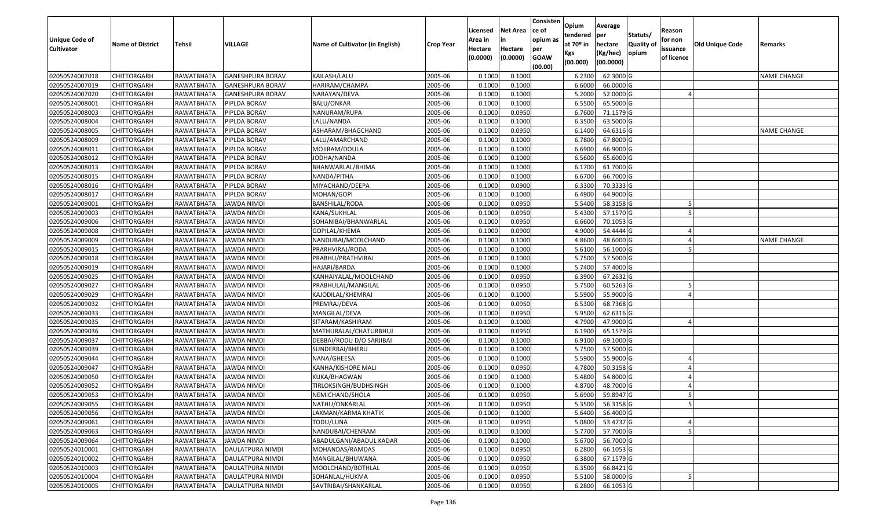| <b>Unique Code of</b><br><b>Cultivator</b> | <b>Name of District</b> | <b>Tehsil</b>          | VILLAGE                 | Name of Cultivator (in English) | <b>Crop Year</b> | Licensed<br>Area in<br>Hectare<br>(0.0000) | <b>Net Area</b><br>Hectare<br>(0.0000) | Consisten<br>ce of<br>opium as<br>per<br><b>GOAW</b><br>(00.00) | Opium<br>tendered<br>at $70°$ in<br>Kgs<br>(00.000) | Average<br>per<br>hectare<br>(Kg/hec)<br>(00.0000) | Statuts/<br>Quality of<br>opium | Reason<br>for non<br>issuance<br>of licence | <b>Old Unique Code</b> | Remarks            |
|--------------------------------------------|-------------------------|------------------------|-------------------------|---------------------------------|------------------|--------------------------------------------|----------------------------------------|-----------------------------------------------------------------|-----------------------------------------------------|----------------------------------------------------|---------------------------------|---------------------------------------------|------------------------|--------------------|
| 02050524007018                             | <b>CHITTORGARH</b>      | RAWATBHATA             | <b>GANESHPURA BORAV</b> | KAILASH/LALU                    | 2005-06          | 0.100                                      | 0.1000                                 |                                                                 | 6.2300                                              | 62.3000 G                                          |                                 |                                             |                        | <b>NAME CHANGE</b> |
| 02050524007019                             | CHITTORGARH             | RAWATBHATA             | <b>GANESHPURA BORAV</b> | HARIRAM/CHAMPA                  | 2005-06          | 0.1000                                     | 0.1000                                 |                                                                 | 6.6000                                              | 66.0000 G                                          |                                 |                                             |                        |                    |
| 02050524007020                             | <b>CHITTORGARH</b>      | RAWATBHATA             | GANESHPURA BORAV        | NARAYAN/DEVA                    | 2005-06          | 0.1000                                     | 0.1000                                 |                                                                 | 5.2000                                              | 52.0000 G                                          |                                 |                                             |                        |                    |
| 02050524008001                             | <b>CHITTORGARH</b>      | RAWATBHATA             | PIPLDA BORAV            | <b>BALU/ONKAR</b>               | 2005-06          | 0.1000                                     | 0.1000                                 |                                                                 | 6.5500                                              | 65.5000 G                                          |                                 |                                             |                        |                    |
| 02050524008003                             | <b>CHITTORGARH</b>      | RAWATBHATA             | PIPLDA BORAV            | NANURAM/RUPA                    | 2005-06          | 0.1000                                     | 0.0950                                 |                                                                 | 6.7600                                              | 71.1579 G                                          |                                 |                                             |                        |                    |
| 02050524008004                             | CHITTORGARH             | RAWATBHATA             | PIPLDA BORAV            | LALU/NANDA                      | 2005-06          | 0.1000                                     | 0.1000                                 |                                                                 | 6.3500                                              | 63.5000 G                                          |                                 |                                             |                        |                    |
| 02050524008005                             | CHITTORGARH             | RAWATBHATA             | PIPLDA BORAV            | ASHARAM/BHAGCHAND               | 2005-06          | 0.100                                      | 0.0950                                 |                                                                 | 6.1400                                              | 64.6316 G                                          |                                 |                                             |                        | <b>NAME CHANGE</b> |
| 02050524008009                             | <b>CHITTORGARH</b>      | RAWATBHATA             | PIPLDA BORAV            | LALU/AMARCHAND                  | 2005-06          | 0.1000                                     | 0.1000                                 |                                                                 | 6.7800                                              | 67.8000 G                                          |                                 |                                             |                        |                    |
| 02050524008011                             | CHITTORGARH             | RAWATBHATA             | PIPLDA BORAV            | MOJIRAM/DOULA                   | 2005-06          | 0.100                                      | 0.1000                                 |                                                                 | 6.6900                                              | 66.9000 G                                          |                                 |                                             |                        |                    |
| 02050524008012                             | CHITTORGARH             | RAWATBHATA             | PIPLDA BORAV            | JODHA/NANDA                     | 2005-06          | 0.1000                                     | 0.1000                                 |                                                                 | 6.5600                                              | 65.6000 G                                          |                                 |                                             |                        |                    |
| 02050524008013                             | <b>CHITTORGARH</b>      | RAWATBHATA             | PIPLDA BORAV            | BHANWARLAL/BHIMA                | 2005-06          | 0.1000                                     | 0.1000                                 |                                                                 | 6.1700                                              | 61.7000 G                                          |                                 |                                             |                        |                    |
| 02050524008015                             | <b>CHITTORGARH</b>      | RAWATBHATA             | PIPLDA BORAV            | NANDA/PITHA                     | 2005-06          | 0.1000                                     | 0.1000                                 |                                                                 | 6.6700                                              | 66.7000 G                                          |                                 |                                             |                        |                    |
| 02050524008016                             | <b>CHITTORGARH</b>      | RAWATBHATA             | PIPLDA BORAV            | MIYACHAND/DEEPA                 | 2005-06          | 0.1000                                     | 0.0900                                 |                                                                 | 6.3300                                              | 70.3333 G                                          |                                 |                                             |                        |                    |
| 02050524008017                             | <b>CHITTORGARH</b>      | RAWATBHATA             | PIPLDA BORAV            | MOHAN/GOPI                      | 2005-06          | 0.1000                                     | 0.1000                                 |                                                                 | 6.4900                                              | 64.9000 G                                          |                                 |                                             |                        |                    |
| 02050524009001                             | <b>CHITTORGARH</b>      | RAWATBHATA             | <b>JAWDA NIMDI</b>      | BANSHILAL/RODA                  | 2005-06          | 0.1000                                     | 0.0950                                 |                                                                 | 5.5400                                              | 58.3158 G                                          |                                 |                                             |                        |                    |
| 02050524009003                             | <b>CHITTORGARH</b>      | RAWATBHATA             | <b>JAWDA NIMDI</b>      | KANA/SUKHLAL                    | 2005-06          | 0.1000                                     | 0.0950                                 |                                                                 | 5.4300                                              | 57.1570 G                                          |                                 |                                             |                        |                    |
| 02050524009006                             | <b>CHITTORGARH</b>      | RAWATBHATA             | <b>JAWDA NIMDI</b>      | SOHANIBAI/BHANWARLAL            | 2005-06          | 0.1000                                     | 0.0950                                 |                                                                 | 6.6600                                              | 70.1053 G                                          |                                 |                                             |                        |                    |
| 02050524009008                             | <b>CHITTORGARH</b>      | RAWATBHATA             | <b>JAWDA NIMDI</b>      | GOPILAL/KHEMA                   | 2005-06          | 0.1000                                     | 0.0900                                 |                                                                 | 4.9000                                              | 54.4444 G                                          |                                 |                                             |                        |                    |
| 02050524009009                             | CHITTORGARH             | RAWATBHATA             | JAWDA NIMDI             | NANDUBAI/MOOLCHAND              | 2005-06          | 0.1000                                     | 0.1000                                 |                                                                 | 4.8600                                              | 48.6000 G                                          |                                 |                                             |                        | <b>NAME CHANGE</b> |
| 02050524009015                             | <b>CHITTORGARH</b>      | RAWATBHATA             | JAWDA NIMDI             | PRARHVIRAJ/RODA                 | 2005-06          | 0.1000                                     | 0.1000                                 |                                                                 | 5.6100                                              | 56.1000 G                                          |                                 |                                             |                        |                    |
| 02050524009018                             | <b>CHITTORGARH</b>      | RAWATBHATA             | <b>JAWDA NIMDI</b>      | PRABHU/PRATHVIRAJ               | 2005-06          | 0.1000                                     | 0.1000                                 |                                                                 | 5.7500                                              | 57.5000 G                                          |                                 |                                             |                        |                    |
| 02050524009019                             | <b>CHITTORGARH</b>      | RAWATBHATA             | JAWDA NIMDI             | HAJARI/BARDA                    | 2005-06          | 0.100                                      | 0.1000                                 |                                                                 | 5.7400                                              | 57.4000 G                                          |                                 |                                             |                        |                    |
| 02050524009025                             | CHITTORGARH             | RAWATBHATA             | JAWDA NIMDI             | KANHAIYALAL/MOOLCHAND           | 2005-06          | 0.1000                                     | 0.0950                                 |                                                                 | 6.3900                                              | 67.2632 G                                          |                                 |                                             |                        |                    |
| 02050524009027                             | <b>CHITTORGARH</b>      | RAWATBHATA             | JAWDA NIMDI             | PRABHULAL/MANGILAL              | 2005-06          | 0.1000                                     | 0.0950                                 |                                                                 | 5.7500                                              | 60.5263 G                                          |                                 |                                             |                        |                    |
| 02050524009029                             | <b>CHITTORGARH</b>      | RAWATBHATA             | <b>JAWDA NIMDI</b>      | KAJODILAL/KHEMRAJ               | 2005-06          | 0.1000                                     | 0.1000                                 |                                                                 | 5.5900                                              | 55.9000 G                                          |                                 |                                             |                        |                    |
| 02050524009032                             | <b>CHITTORGARH</b>      | RAWATBHATA             | <b>JAWDA NIMDI</b>      | PREMRAJ/DEVA                    | 2005-06          | 0.1000                                     | 0.0950                                 |                                                                 | 6.5300                                              | 68.7368 G                                          |                                 |                                             |                        |                    |
| 02050524009033                             | CHITTORGARH             | RAWATBHATA             | <b>JAWDA NIMDI</b>      | MANGILAL/DEVA                   | 2005-06          | 0.1000                                     | 0.0950                                 |                                                                 | 5.9500                                              | 62.6316 G                                          |                                 |                                             |                        |                    |
| 02050524009035                             | <b>CHITTORGARH</b>      | RAWATBHATA             | JAWDA NIMDI             | SITARAM/KASHIRAM                | 2005-06          | 0.1000                                     | 0.1000                                 |                                                                 | 4.7900                                              | 47.9000 G                                          |                                 |                                             |                        |                    |
| 02050524009036                             | <b>CHITTORGARH</b>      | RAWATBHATA             | JAWDA NIMDI             | MATHURALAL/CHATURBHUJ           | 2005-06          | 0.1000                                     | 0.0950                                 |                                                                 | 6.1900                                              | 65.1579 G                                          |                                 |                                             |                        |                    |
| 02050524009037                             | <b>CHITTORGARH</b>      | RAWATBHATA             | JAWDA NIMDI             | DEBBAI/RODU D/O SARJIBAI        | 2005-06          | 0.1000                                     | 0.1000                                 |                                                                 | 6.9100                                              | 69.1000 G                                          |                                 |                                             |                        |                    |
| 02050524009039                             | CHITTORGARH             | RAWATBHATA             | JAWDA NIMDI             | SUNDERBAI/BHERU                 | 2005-06          | 0.100                                      | 0.1000                                 |                                                                 | 5.7500                                              | 57.5000 G                                          |                                 |                                             |                        |                    |
| 02050524009044                             | CHITTORGARH             | RAWATBHATA             | JAWDA NIMDI             | NANA/GHEESA                     | 2005-06          | 0.100                                      | 0.1000                                 |                                                                 | 5.5900                                              | 55.9000 G                                          |                                 |                                             |                        |                    |
| 02050524009047                             | <b>CHITTORGARH</b>      | RAWATBHATA             | <b>JAWDA NIMDI</b>      | KANHA/KISHORE MALI              | 2005-06          | 0.1000                                     | 0.0950                                 |                                                                 | 4.7800                                              | 50.3158 G                                          |                                 |                                             |                        |                    |
| 02050524009050                             | CHITTORGARH             | RAWATBHATA             | JAWDA NIMDI             | KUKA/BHAGWAN                    | 2005-06          | 0.100                                      | 0.1000                                 |                                                                 | 5.4800                                              | 54.8000 G                                          |                                 |                                             |                        |                    |
| 02050524009052                             | CHITTORGARH             | RAWATBHATA             | JAWDA NIMDI             | TIRLOKSINGH/BUDHSINGH           | 2005-06          | 0.1000                                     | 0.1000                                 |                                                                 | 4.8700                                              | 48.7000 G                                          |                                 |                                             |                        |                    |
| 02050524009053                             | <b>CHITTORGARH</b>      | RAWATBHATA             | <b>JAWDA NIMDI</b>      | NEMICHAND/SHOLA                 | 2005-06          | 0.1000                                     | 0.0950                                 |                                                                 | 5.6900                                              | 59.8947 G                                          |                                 |                                             |                        |                    |
| 02050524009055                             | <b>CHITTORGARH</b>      | RAWATBHATA JAWDA NIMDI |                         | NATHU/ONKARLAL                  | 2005-06          | 0.1000                                     | 0.0950                                 |                                                                 | 5.3500                                              | 56.3158 G                                          |                                 |                                             |                        |                    |
| 02050524009056                             | <b>CHITTORGARH</b>      | RAWATBHATA             | JAWDA NIMDI             | LAXMAN/KARMA KHATIK             | 2005-06          | 0.1000                                     | 0.1000                                 |                                                                 | 5.6400                                              | 56.4000 G                                          |                                 |                                             |                        |                    |
| 02050524009061                             | <b>CHITTORGARH</b>      | RAWATBHATA             | JAWDA NIMDI             | TODU/LUNA                       | 2005-06          | 0.1000                                     | 0.0950                                 |                                                                 | 5.0800                                              | 53.4737 G                                          |                                 |                                             |                        |                    |
| 02050524009063                             | <b>CHITTORGARH</b>      | RAWATBHATA             | <b>JAWDA NIMDI</b>      | NANDUBAI/CHENRAM                | 2005-06          | 0.1000                                     | 0.1000                                 |                                                                 | 5.7700                                              | 57.7000 G                                          |                                 |                                             |                        |                    |
| 02050524009064                             | CHITTORGARH             | RAWATBHATA             | JAWDA NIMDI             | ABADULGANI/ABADUL KADAR         | 2005-06          | 0.1000                                     | 0.1000                                 |                                                                 | 5.6700                                              | 56.7000 G                                          |                                 |                                             |                        |                    |
| 02050524010001                             | <b>CHITTORGARH</b>      | RAWATBHATA             | DAULATPURA NIMDI        | MOHANDAS/RAMDAS                 | 2005-06          | 0.1000                                     | 0.0950                                 |                                                                 | 6.2800                                              | 66.1053 G                                          |                                 |                                             |                        |                    |
| 02050524010002                             | <b>CHITTORGARH</b>      | RAWATBHATA             | DAULATPURA NIMDI        | MANGILAL/BHUWANA                | 2005-06          | 0.1000                                     | 0.0950                                 |                                                                 | 6.3800                                              | 67.1579 G                                          |                                 |                                             |                        |                    |
| 02050524010003                             | <b>CHITTORGARH</b>      | RAWATBHATA             | DAULATPURA NIMDI        | MOOLCHAND/BOTHLAL               | 2005-06          | 0.1000                                     | 0.0950                                 |                                                                 | 6.3500                                              | 66.8421 G                                          |                                 |                                             |                        |                    |
| 02050524010004                             | CHITTORGARH             | RAWATBHATA             | DAULATPURA NIMDI        | SOHANLAL/HUKMA                  | 2005-06          | 0.1000                                     | 0.0950                                 |                                                                 | 5.5100                                              | 58.0000 G                                          |                                 |                                             |                        |                    |
| 02050524010005                             | <b>CHITTORGARH</b>      | RAWATBHATA             | <b>DAULATPURA NIMDI</b> | SAVTRIBAI/SHANKARLAL            | 2005-06          | 0.1000                                     | 0.0950                                 |                                                                 | 6.2800                                              | 66.1053 G                                          |                                 |                                             |                        |                    |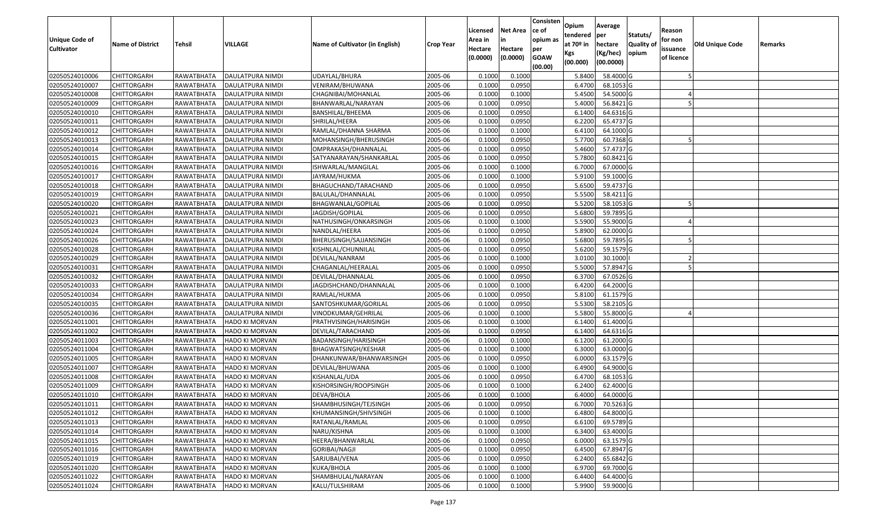| <b>Unique Code of</b><br><b>Cultivator</b> | <b>Name of District</b> | Tehsil     | VILLAGE                   | Name of Cultivator (in English) | <b>Crop Year</b> | Licensed<br>Area in<br>Hectare<br>(0.0000) | <b>Net Area</b><br>in<br>Hectare<br>(0.0000) | Consisten<br>ce of<br>opium as<br>per<br><b>GOAW</b><br>(00.00) | Opium<br>tendered<br>at $70°$ in<br>Kgs<br>(00.000) | Average<br>per<br>hectare<br>(Kg/hec)<br>(00.0000) | Statuts/<br>Quality of<br>opium | Reason<br>for non<br>issuance<br>of licence | Old Unique Code | Remarks |
|--------------------------------------------|-------------------------|------------|---------------------------|---------------------------------|------------------|--------------------------------------------|----------------------------------------------|-----------------------------------------------------------------|-----------------------------------------------------|----------------------------------------------------|---------------------------------|---------------------------------------------|-----------------|---------|
| 02050524010006                             | <b>CHITTORGARH</b>      | RAWATBHATA | DAULATPURA NIMDI          | UDAYLAL/BHURA                   | 2005-06          | 0.1000                                     | 0.1000                                       |                                                                 | 5.8400                                              | 58.4000 G                                          |                                 |                                             |                 |         |
| 02050524010007                             | CHITTORGARH             | RAWATBHATA | DAULATPURA NIMDI          | VENIRAM/BHUWANA                 | 2005-06          | 0.1000                                     | 0.0950                                       |                                                                 | 6.4700                                              | 68.1053 G                                          |                                 |                                             |                 |         |
| 02050524010008                             | <b>CHITTORGARH</b>      | RAWATBHATA | DAULATPURA NIMDI          | CHAGNIBAI/MOHANLAL              | 2005-06          | 0.1000                                     | 0.1000                                       |                                                                 | 5.4500                                              | 54.5000 G                                          |                                 |                                             |                 |         |
| 02050524010009                             | <b>CHITTORGARH</b>      | RAWATBHATA | DAULATPURA NIMDI          | BHANWARLAL/NARAYAN              | 2005-06          | 0.1000                                     | 0.0950                                       |                                                                 | 5.4000                                              | 56.8421 G                                          |                                 |                                             |                 |         |
| 02050524010010                             | <b>CHITTORGARH</b>      | RAWATBHATA | DAULATPURA NIMDI          | BANSHILAL/BHEEMA                | 2005-06          | 0.1000                                     | 0.0950                                       |                                                                 | 6.1400                                              | 64.6316 G                                          |                                 |                                             |                 |         |
| 02050524010011                             | <b>CHITTORGARH</b>      | RAWATBHATA | DAULATPURA NIMDI          | SHRILAL/HEERA                   | 2005-06          | 0.1000                                     | 0.0950                                       |                                                                 | 6.2200                                              | 65.4737 G                                          |                                 |                                             |                 |         |
| 02050524010012                             | CHITTORGARH             | RAWATBHATA | DAULATPURA NIMDI          | RAMLAL/DHANNA SHARMA            | 2005-06          | 0.1000                                     | 0.1000                                       |                                                                 | 6.4100                                              | 64.1000 G                                          |                                 |                                             |                 |         |
| 02050524010013                             | <b>CHITTORGARH</b>      | RAWATBHATA | DAULATPURA NIMDI          | MOHANSINGH/BHERUSINGH           | 2005-06          | 0.1000                                     | 0.0950                                       |                                                                 | 5.7700                                              | 60.7368 G                                          |                                 |                                             |                 |         |
| 02050524010014                             | <b>CHITTORGARH</b>      | RAWATBHATA | DAULATPURA NIMDI          | OMPRAKASH/DHANNALAL             | 2005-06          | 0.1000                                     | 0.0950                                       |                                                                 | 5.4600                                              | 57.4737 G                                          |                                 |                                             |                 |         |
| 02050524010015                             | <b>CHITTORGARH</b>      | RAWATBHATA | DAULATPURA NIMDI          | SATYANARAYAN/SHANKARLAL         | 2005-06          | 0.1000                                     | 0.0950                                       |                                                                 | 5.7800                                              | 60.8421 G                                          |                                 |                                             |                 |         |
| 02050524010016                             | <b>CHITTORGARH</b>      | RAWATBHATA | DAULATPURA NIMDI          | ISHWARLAL/MANGILAL              | 2005-06          | 0.1000                                     | 0.1000                                       |                                                                 | 6.7000                                              | 67.0000 G                                          |                                 |                                             |                 |         |
| 02050524010017                             | <b>CHITTORGARH</b>      | RAWATBHATA | DAULATPURA NIMDI          | JAYRAM/HUKMA                    | 2005-06          | 0.1000                                     | 0.1000                                       |                                                                 | 5.9100                                              | 59.1000 G                                          |                                 |                                             |                 |         |
| 02050524010018                             | <b>CHITTORGARH</b>      | RAWATBHATA | DAULATPURA NIMDI          | BHAGUCHAND/TARACHAND            | 2005-06          | 0.1000                                     | 0.0950                                       |                                                                 | 5.6500                                              | 59.4737 G                                          |                                 |                                             |                 |         |
| 02050524010019                             | <b>CHITTORGARH</b>      | RAWATBHATA | DAULATPURA NIMDI          | BALULAL/DHANNALAL               | 2005-06          | 0.1000                                     | 0.0950                                       |                                                                 | 5.5500                                              | 58.4211 G                                          |                                 |                                             |                 |         |
| 02050524010020                             | <b>CHITTORGARH</b>      | RAWATBHATA | DAULATPURA NIMDI          | BHAGWANLAL/GOPILAL              | 2005-06          | 0.1000                                     | 0.0950                                       |                                                                 | 5.5200                                              | 58.1053 G                                          |                                 |                                             |                 |         |
| 02050524010021                             | <b>CHITTORGARH</b>      | RAWATBHATA | DAULATPURA NIMDI          | JAGDISH/GOPILAL                 | 2005-06          | 0.1000                                     | 0.0950                                       |                                                                 | 5.6800                                              | 59.7895 G                                          |                                 |                                             |                 |         |
| 02050524010023                             | <b>CHITTORGARH</b>      | RAWATBHATA | DAULATPURA NIMDI          | NATHUSINGH/ONKARSINGH           | 2005-06          | 0.1000                                     | 0.1000                                       |                                                                 | 5.5900                                              | 55.9000 G                                          |                                 |                                             |                 |         |
| 02050524010024                             | <b>CHITTORGARH</b>      | RAWATBHATA | DAULATPURA NIMDI          | NANDLAL/HEERA                   | 2005-06          | 0.1000                                     | 0.0950                                       |                                                                 | 5.8900                                              | 62.0000 G                                          |                                 |                                             |                 |         |
| 02050524010026                             | <b>CHITTORGARH</b>      | RAWATBHATA | DAULATPURA NIMDI          | BHERUSINGH/SAJJANSINGH          | 2005-06          | 0.1000                                     | 0.0950                                       |                                                                 | 5.6800                                              | 59.7895 G                                          |                                 |                                             |                 |         |
| 02050524010028                             | <b>CHITTORGARH</b>      | RAWATBHATA | DAULATPURA NIMDI          | KISHNLAL/CHUNNILAL              | 2005-06          | 0.1000                                     | 0.0950                                       |                                                                 | 5.6200                                              | 59.1579 G                                          |                                 |                                             |                 |         |
| 02050524010029                             | <b>CHITTORGARH</b>      | RAWATBHATA | DAULATPURA NIMDI          | DEVILAL/NANRAM                  | 2005-06          | 0.1000                                     | 0.1000                                       |                                                                 | 3.0100                                              | 30.1000                                            |                                 |                                             |                 |         |
| 02050524010031                             | <b>CHITTORGARH</b>      | RAWATBHATA | DAULATPURA NIMDI          | CHAGANLAL/HEERALAL              | 2005-06          | 0.1000                                     | 0.0950                                       |                                                                 | 5.5000                                              | 57.8947 G                                          |                                 |                                             |                 |         |
| 02050524010032                             | <b>CHITTORGARH</b>      | RAWATBHATA | DAULATPURA NIMDI          | DEVILAL/DHANNALAL               | 2005-06          | 0.1000                                     | 0.0950                                       |                                                                 | 6.3700                                              | 67.0526 G                                          |                                 |                                             |                 |         |
| 02050524010033                             | <b>CHITTORGARH</b>      | RAWATBHATA | DAULATPURA NIMDI          | JAGDISHCHAND/DHANNALAL          | 2005-06          | 0.1000                                     | 0.1000                                       |                                                                 | 6.4200                                              | 64.2000 G                                          |                                 |                                             |                 |         |
| 02050524010034                             | <b>CHITTORGARH</b>      | RAWATBHATA | DAULATPURA NIMDI          | RAMLAL/HUKMA                    | 2005-06          | 0.1000                                     | 0.0950                                       |                                                                 | 5.8100                                              | 61.1579 G                                          |                                 |                                             |                 |         |
| 02050524010035                             | <b>CHITTORGARH</b>      | RAWATBHATA | DAULATPURA NIMDI          | SANTOSHKUMAR/GORILAL            | 2005-06          | 0.1000                                     | 0.0950                                       |                                                                 | 5.5300                                              | 58.2105 G                                          |                                 |                                             |                 |         |
| 02050524010036                             | <b>CHITTORGARH</b>      | RAWATBHATA | DAULATPURA NIMDI          | VINODKUMAR/GEHRILAL             | 2005-06          | 0.1000                                     | 0.1000                                       |                                                                 | 5.5800                                              | 55.8000 G                                          |                                 |                                             |                 |         |
| 02050524011001                             | <b>CHITTORGARH</b>      | RAWATBHATA | HADO KI MORVAN            | PRATHVISINGH/HARISINGH          | 2005-06          | 0.1000                                     | 0.1000                                       |                                                                 | 6.1400                                              | 61.4000 G                                          |                                 |                                             |                 |         |
| 02050524011002                             | <b>CHITTORGARH</b>      | RAWATBHATA | <b>HADO KI MORVAN</b>     | DEVILAL/TARACHAND               | 2005-06          | 0.1000                                     | 0.0950                                       |                                                                 | 6.1400                                              | 64.6316 G                                          |                                 |                                             |                 |         |
| 02050524011003                             | <b>CHITTORGARH</b>      | RAWATBHATA | <b>HADO KI MORVAN</b>     | BADANSINGH/HARISINGH            | 2005-06          | 0.1000                                     | 0.1000                                       |                                                                 | 6.1200                                              | 61.2000 G                                          |                                 |                                             |                 |         |
| 02050524011004                             | <b>CHITTORGARH</b>      | RAWATBHATA | HADO KI MORVAN            | BHAGWATSINGH/KESHAR             | 2005-06          | 0.1000                                     | 0.1000                                       |                                                                 | 6.3000                                              | 63.0000 G                                          |                                 |                                             |                 |         |
| 02050524011005                             | CHITTORGARH             | RAWATBHATA | HADO KI MORVAN            | DHANKUNWAR/BHANWARSINGH         | 2005-06          | 0.1000                                     | 0.0950                                       |                                                                 | 6.0000                                              | 63.1579 G                                          |                                 |                                             |                 |         |
| 02050524011007                             | <b>CHITTORGARH</b>      | RAWATBHATA | HADO KI MORVAN            | DEVILAL/BHUWANA                 | 2005-06          | 0.1000                                     | 0.1000                                       |                                                                 | 6.4900                                              | 64.9000 G                                          |                                 |                                             |                 |         |
| 02050524011008                             | <b>CHITTORGARH</b>      | RAWATBHATA | HADO KI MORVAN            | KISHANLAL/UDA                   | 2005-06          | 0.1000                                     | 0.0950                                       |                                                                 | 6.4700                                              | 68.1053 G                                          |                                 |                                             |                 |         |
| 02050524011009                             | CHITTORGARH             | RAWATBHATA | HADO KI MORVAN            | KISHORSINGH/ROOPSINGH           | 2005-06          | 0.1000                                     | 0.1000                                       |                                                                 | 6.2400                                              | 62.4000 G                                          |                                 |                                             |                 |         |
| 02050524011010                             | <b>CHITTORGARH</b>      | RAWATBHATA | <b>HADO KI MORVAN</b>     | DEVA/BHOLA                      | 2005-06          | 0.1000                                     | 0.1000                                       |                                                                 | 6.4000                                              | 64.0000 G                                          |                                 |                                             |                 |         |
| 02050524011011                             | <b>CHITTORGARH</b>      |            | RAWATBHATA HADO KI MORVAN | SHAMBHUSINGH/TEJSINGH           | 2005-06          | 0.1000                                     | 0.0950                                       |                                                                 |                                                     | 6.7000 70.5263 G                                   |                                 |                                             |                 |         |
| 02050524011012                             | <b>CHITTORGARH</b>      | RAWATBHATA | <b>HADO KI MORVAN</b>     | KHUMANSINGH/SHIVSINGH           | 2005-06          | 0.1000                                     | 0.1000                                       |                                                                 | 6.4800                                              | 64.8000 G                                          |                                 |                                             |                 |         |
| 02050524011013                             | <b>CHITTORGARH</b>      | RAWATBHATA | HADO KI MORVAN            | RATANLAL/RAMLAL                 | 2005-06          | 0.1000                                     | 0.0950                                       |                                                                 | 6.6100                                              | 69.5789 G                                          |                                 |                                             |                 |         |
| 02050524011014                             | <b>CHITTORGARH</b>      | RAWATBHATA | HADO KI MORVAN            | NARU/KISHNA                     | 2005-06          | 0.1000                                     | 0.1000                                       |                                                                 | 6.3400                                              | 63.4000 G                                          |                                 |                                             |                 |         |
| 02050524011015                             | <b>CHITTORGARH</b>      | RAWATBHATA | <b>HADO KI MORVAN</b>     | HEERA/BHANWARLAL                | 2005-06          | 0.1000                                     | 0.0950                                       |                                                                 | 6.0000                                              | 63.1579 G                                          |                                 |                                             |                 |         |
| 02050524011016                             | <b>CHITTORGARH</b>      | RAWATBHATA | <b>HADO KI MORVAN</b>     | <b>GORIBAI/NAGJI</b>            | 2005-06          | 0.1000                                     | 0.0950                                       |                                                                 | 6.4500                                              | 67.8947 G                                          |                                 |                                             |                 |         |
| 02050524011019                             | <b>CHITTORGARH</b>      | RAWATBHATA | <b>HADO KI MORVAN</b>     | SARJUBAI/VENA                   | 2005-06          | 0.1000                                     | 0.0950                                       |                                                                 | 6.2400                                              | 65.6842 G                                          |                                 |                                             |                 |         |
| 02050524011020                             | <b>CHITTORGARH</b>      | RAWATBHATA | <b>HADO KI MORVAN</b>     | KUKA/BHOLA                      | 2005-06          | 0.1000                                     | 0.1000                                       |                                                                 | 6.9700                                              | 69.7000 G                                          |                                 |                                             |                 |         |
| 02050524011022                             | <b>CHITTORGARH</b>      | RAWATBHATA | HADO KI MORVAN            | SHAMBHULAL/NARAYAN              | 2005-06          | 0.1000                                     | 0.1000                                       |                                                                 | 6.4400                                              | 64.4000 G                                          |                                 |                                             |                 |         |
| 02050524011024                             | <b>CHITTORGARH</b>      | RAWATBHATA | HADO KI MORVAN            | KALU/TULSHIRAM                  | 2005-06          | 0.1000                                     | 0.1000                                       |                                                                 | 5.9900                                              | 59.9000 G                                          |                                 |                                             |                 |         |
|                                            |                         |            |                           |                                 |                  |                                            |                                              |                                                                 |                                                     |                                                    |                                 |                                             |                 |         |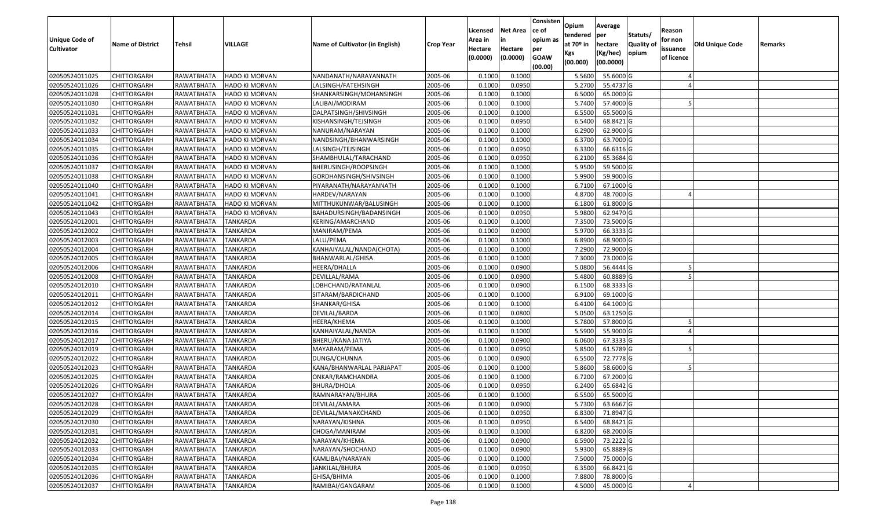| Unique Code of    | <b>Name of District</b> | <b>Tehsil</b>       | VILLAGE               | Name of Cultivator (in English) | <b>Crop Year</b> | Licensed<br>Area in | <b>Net Area</b><br>in | Consisten<br>ce of<br>opium as | Opium<br>tendered<br>at $70°$ in | Average<br>per<br>hectare | Statuts/<br><b>Quality o</b> | Reason<br>for non      | Old Unique Code | Remarks |
|-------------------|-------------------------|---------------------|-----------------------|---------------------------------|------------------|---------------------|-----------------------|--------------------------------|----------------------------------|---------------------------|------------------------------|------------------------|-----------------|---------|
| <b>Cultivator</b> |                         |                     |                       |                                 |                  | Hectare<br>(0.0000) | Hectare<br>(0.0000)   | per<br><b>GOAW</b><br>(00.00)  | Kgs<br>(00.000)                  | (Kg/hec)<br>(00.0000)     | opium                        | issuance<br>of licence |                 |         |
| 02050524011025    | CHITTORGARH             | RAWATBHATA          | HADO KI MORVAN        | NANDANATH/NARAYANNATH           | 2005-06          | 0.1000              | 0.1000                |                                | 5.5600                           | 55.6000G                  |                              |                        |                 |         |
| 02050524011026    | CHITTORGARH             | RAWATBHATA          | <b>HADO KI MORVAN</b> | LALSINGH/FATEHSINGH             | 2005-06          | 0.1000              | 0.0950                |                                | 5.2700                           | 55.4737 G                 |                              |                        |                 |         |
| 02050524011028    | CHITTORGARH             | RAWATBHATA          | HADO KI MORVAN        | SHANKARSINGH/MOHANSINGH         | 2005-06          | 0.1000              | 0.1000                |                                | 6.5000                           | 65.0000G                  |                              |                        |                 |         |
| 02050524011030    | <b>CHITTORGARH</b>      | <b>RAWATBHATA</b>   | <b>HADO KI MORVAN</b> | LALIBAI/MODIRAM                 | 2005-06          | 0.1000              | 0.1000                |                                | 5.7400                           | 57.4000 G                 |                              |                        |                 |         |
| 02050524011031    | CHITTORGARH             | RAWATBHATA          | HADO KI MORVAN        | DALPATSINGH/SHIVSINGH           | 2005-06          | 0.1000              | 0.1000                |                                | 6.5500                           | 65.5000G                  |                              |                        |                 |         |
| 02050524011032    | CHITTORGARH             | RAWATBHATA          | HADO KI MORVAN        | KISHANSINGH/TEJSINGH            | 2005-06          | 0.1000              | 0.0950                |                                | 6.5400                           | 68.8421G                  |                              |                        |                 |         |
| 02050524011033    | CHITTORGARH             | RAWATBHATA          | <b>HADO KI MORVAN</b> | NANURAM/NARAYAN                 | 2005-06          | 0.1000              | 0.1000                |                                | 6.2900                           | 62.9000 G                 |                              |                        |                 |         |
| 02050524011034    | CHITTORGARH             | RAWATBHATA          | HADO KI MORVAN        | NANDSINGH/BHANWARSINGH          | 2005-06          | 0.1000              | 0.1000                |                                | 6.3700                           | 63.7000G                  |                              |                        |                 |         |
| 02050524011035    | CHITTORGARH             | RAWATBHATA          | HADO KI MORVAN        | LALSINGH/TEJSINGH               | 2005-06          | 0.1000              | 0.0950                |                                | 6.3300                           | 66.6316 G                 |                              |                        |                 |         |
| 02050524011036    | CHITTORGARH             | RAWATBHATA          | HADO KI MORVAN        | SHAMBHULAL/TARACHAND            | 2005-06          | 0.1000              | 0.0950                |                                | 6.2100                           | 65.3684 G                 |                              |                        |                 |         |
| 02050524011037    | CHITTORGARH             | RAWATBHATA          | HADO KI MORVAN        | BHERUSINGH/ROOPSINGH            | 2005-06          | 0.1000              | 0.1000                |                                | 5.9500                           | 59.5000 G                 |                              |                        |                 |         |
| 02050524011038    | <b>CHITTORGARH</b>      | RAWATBHATA          | HADO KI MORVAN        | GORDHANSINGH/SHIVSINGH          | 2005-06          | 0.1000              | 0.1000                |                                | 5.9900                           | 59.9000 G                 |                              |                        |                 |         |
| 02050524011040    | <b>CHITTORGARH</b>      | RAWATBHATA          | <b>HADO KI MORVAN</b> | PIYARANATH/NARAYANNATH          | 2005-06          | 0.1000              | 0.1000                |                                | 6.7100                           | 67.1000G                  |                              |                        |                 |         |
| 02050524011041    | CHITTORGARH             | RAWATBHATA          | HADO KI MORVAN        | HARDEV/NARAYAN                  | 2005-06          | 0.1000              | 0.1000                |                                | 4.8700                           | 48.7000 G                 |                              |                        |                 |         |
| 02050524011042    | CHITTORGARH             | RAWATBHATA          | HADO KI MORVAN        | MITTHUKUNWAR/BALUSINGH          | 2005-06          | 0.1000              | 0.1000                |                                | 6.1800                           | 61.8000G                  |                              |                        |                 |         |
| 02050524011043    | CHITTORGARH             | RAWATBHATA          | HADO KI MORVAN        | BAHADURSINGH/BADANSINGH         | 2005-06          | 0.1000              | 0.0950                |                                | 5.9800                           | 62.9470 G                 |                              |                        |                 |         |
| 02050524012001    | CHITTORGARH             | RAWATBHATA          | <b>TANKARDA</b>       | KERING/AMARCHAND                | 2005-06          | 0.1000              | 0.1000                |                                | 7.3500                           | 73.5000G                  |                              |                        |                 |         |
| 02050524012002    | CHITTORGARH             | RAWATBHATA          | <b>TANKARDA</b>       | MANIRAM/PEMA                    | 2005-06          | 0.1000              | 0.0900                |                                | 5.9700                           | 66.3333 G                 |                              |                        |                 |         |
| 02050524012003    | CHITTORGARH             | RAWATBHATA          | <b>TANKARDA</b>       | LALU/PEMA                       | 2005-06          | 0.1000              | 0.1000                |                                | 6.8900                           | 68.9000 G                 |                              |                        |                 |         |
| 02050524012004    | CHITTORGARH             | RAWATBHATA          | <b>TANKARDA</b>       | KANHAIYALAL/NANDA(CHOTA)        | 2005-06          | 0.1000              | 0.1000                |                                | 7.2900                           | 72.9000G                  |                              |                        |                 |         |
| 02050524012005    | CHITTORGARH             | RAWATBHATA          | <b>TANKARDA</b>       | BHANWARLAL/GHISA                | 2005-06          | 0.1000              | 0.1000                |                                | 7.3000                           | 73.0000G                  |                              |                        |                 |         |
| 02050524012006    | CHITTORGARH             | RAWATBHATA          | <b>TANKARDA</b>       | HEERA/DHALLA                    | 2005-06          | 0.1000              | 0.0900                |                                | 5.0800                           | 56.4444 G                 |                              |                        |                 |         |
| 02050524012008    | CHITTORGARH             | RAWATBHATA          | <b>TANKARDA</b>       | DEVILLAL/RAMA                   | 2005-06          | 0.1000              | 0.0900                |                                | 5.4800                           | 60.8889 G                 |                              |                        |                 |         |
| 02050524012010    | CHITTORGARH             | RAWATBHATA          | <b>TANKARDA</b>       | LOBHCHAND/RATANLAL              | 2005-06          | 0.1000              | 0.0900                |                                | 6.1500                           | 68.3333 G                 |                              |                        |                 |         |
| 02050524012011    | <b>CHITTORGARH</b>      | RAWATBHATA          | <b>TANKARDA</b>       | SITARAM/BARDICHAND              | 2005-06          | 0.1000              | 0.1000                |                                | 6.9100                           | 69.1000G                  |                              |                        |                 |         |
| 02050524012012    | CHITTORGARH             | RAWATBHATA          | <b>TANKARDA</b>       | SHANKAR/GHISA                   | 2005-06          | 0.1000              | 0.1000                |                                | 6.4100                           | 64.1000 G                 |                              |                        |                 |         |
| 02050524012014    | CHITTORGARH             | RAWATBHATA          | <b>TANKARDA</b>       | DEVILAL/BARDA                   | 2005-06          | 0.1000              | 0.0800                |                                | 5.0500                           | 63.1250 G                 |                              |                        |                 |         |
| 02050524012015    | CHITTORGARH             | RAWATBHATA          | <b>TANKARDA</b>       | HEERA/KHEMA                     | 2005-06          | 0.1000              | 0.1000                |                                | 5.7800                           | 57.8000 G                 |                              |                        |                 |         |
| 02050524012016    | CHITTORGARH             | RAWATBHATA          | <b>TANKARDA</b>       | KANHAIYALAL/NANDA               | 2005-06          | 0.1000              | 0.1000                |                                | 5.5900                           | 55.9000 G                 |                              |                        |                 |         |
| 02050524012017    | CHITTORGARH             | RAWATBHATA          | <b>TANKARDA</b>       | BHERU/KANA JATIYA               | 2005-06          | 0.1000              | 0.0900                |                                | 6.0600                           | $\overline{67.3333}$ G    |                              |                        |                 |         |
| 02050524012019    | CHITTORGARH             | RAWATBHATA          | <b>TANKARDA</b>       | MAYARAM/PEMA                    | 2005-06          | 0.1000              | 0.0950                |                                | 5.8500                           | 61.5789 G                 |                              |                        |                 |         |
| 02050524012022    | CHITTORGARH             | RAWATBHATA          | <b>TANKARDA</b>       | DUNGA/CHUNNA                    | 2005-06          | 0.1000              | 0.0900                |                                | 6.5500                           | 72.7778 G                 |                              |                        |                 |         |
| 02050524012023    | CHITTORGARH             | RAWATBHATA          | <b>TANKARDA</b>       | KANA/BHANWARLAL PARJAPAT        | 2005-06          | 0.1000              | 0.1000                |                                | 5.8600                           | 58.6000 G                 |                              |                        |                 |         |
| 02050524012025    | CHITTORGARH             | RAWATBHATA          | TANKARDA              | ONKAR/RAMCHANDRA                | 2005-06          | 0.1000              | 0.1000                |                                | 6.7200                           | 67.2000 G                 |                              |                        |                 |         |
| 02050524012026    | CHITTORGARH             | RAWATBHATA          | <b>TANKARDA</b>       | BHURA/DHOLA                     | 2005-06          | 0.1000              | 0.0950                |                                | 6.2400                           | 65.6842 G                 |                              |                        |                 |         |
| 02050524012027    | CHITTORGARH             | RAWATBHATA          | <b>TANKARDA</b>       | RAMNARAYAN/BHURA                | 2005-06          | 0.1000              | 0.1000                |                                | 6.5500                           | 65.5000G                  |                              |                        |                 |         |
| 02050524012028    | CHITTORGARH             | RAWATBHATA TANKARDA |                       | DEVILAL/AMARA                   | 2005-06          | 0.1000              | 0.0900                |                                | 5.7300                           | 63.6667 G                 |                              |                        |                 |         |
| 02050524012029    | <b>CHITTORGARH</b>      | RAWATBHATA          | <b>TANKARDA</b>       | DEVILAL/MANAKCHAND              | 2005-06          | 0.1000              | 0.0950                |                                | 6.8300                           | 71.8947 G                 |                              |                        |                 |         |
| 02050524012030    | <b>CHITTORGARH</b>      | RAWATBHATA          | <b>TANKARDA</b>       | NARAYAN/KISHNA                  | 2005-06          | 0.1000              | 0.0950                |                                | 6.5400                           | 68.8421 G                 |                              |                        |                 |         |
| 02050524012031    | <b>CHITTORGARH</b>      | RAWATBHATA          | <b>TANKARDA</b>       | CHOGA/MANIRAM                   | 2005-06          | 0.1000              | 0.1000                |                                | 6.8200                           | 68.2000 G                 |                              |                        |                 |         |
| 02050524012032    | CHITTORGARH             | RAWATBHATA          | <b>TANKARDA</b>       | NARAYAN/KHEMA                   | 2005-06          | 0.1000              | 0.0900                |                                | 6.5900                           | 73.2222G                  |                              |                        |                 |         |
| 02050524012033    | <b>CHITTORGARH</b>      | RAWATBHATA          | <b>TANKARDA</b>       | NARAYAN/SHOCHAND                | 2005-06          | 0.1000              | 0.0900                |                                | 5.9300                           | 65.8889 G                 |                              |                        |                 |         |
| 02050524012034    | <b>CHITTORGARH</b>      | RAWATBHATA          | TANKARDA              | KAMLIBAI/NARAYAN                | 2005-06          | 0.1000              | 0.1000                |                                | 7.5000                           | 75.0000 G                 |                              |                        |                 |         |
| 02050524012035    | <b>CHITTORGARH</b>      | RAWATBHATA          | TANKARDA              | JANKILAL/BHURA                  | 2005-06          | 0.1000              | 0.0950                |                                | 6.3500                           | 66.8421G                  |                              |                        |                 |         |
| 02050524012036    | CHITTORGARH             | <b>RAWATBHATA</b>   | <b>TANKARDA</b>       | GHISA/BHIMA                     | 2005-06          | 0.1000              | 0.1000                |                                | 7.8800                           | 78.8000 G                 |                              |                        |                 |         |
| 02050524012037    | <b>CHITTORGARH</b>      | RAWATBHATA          | <b>TANKARDA</b>       | RAMIBAI/GANGARAM                | 2005-06          | 0.1000              | 0.1000                |                                | 4.5000                           | 45.0000 G                 |                              |                        |                 |         |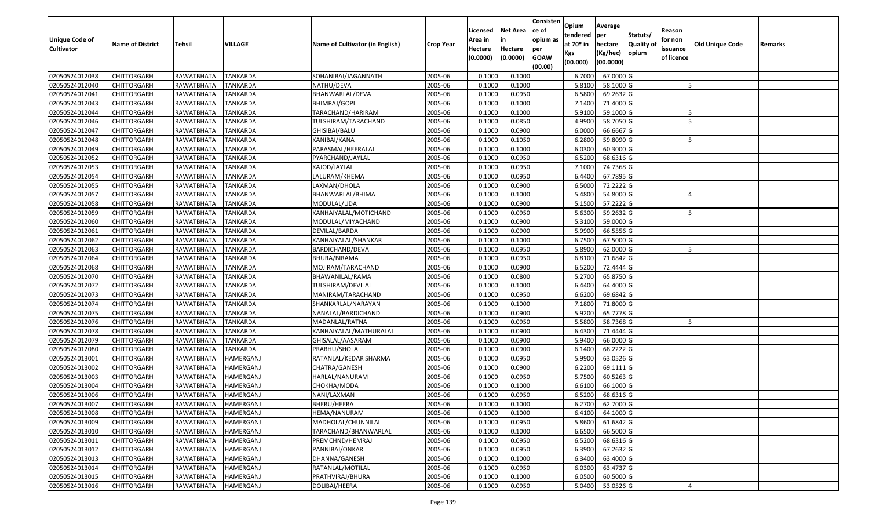| Unique Code of    | <b>Name of District</b> | <b>Tehsil</b>     | VILLAGE          | Name of Cultivator (in English) | <b>Crop Year</b> | Licensed<br>Area in | <b>Net Area</b><br>in | Consisten<br>ce of<br>opium as | Opium<br>tendered<br>at $70°$ in | Average<br>per<br>hectare | Statuts/<br><b>Quality o</b> | Reason<br>for non      | <b>Old Unique Code</b> | Remarks |
|-------------------|-------------------------|-------------------|------------------|---------------------------------|------------------|---------------------|-----------------------|--------------------------------|----------------------------------|---------------------------|------------------------------|------------------------|------------------------|---------|
| <b>Cultivator</b> |                         |                   |                  |                                 |                  | Hectare<br>(0.0000) | Hectare<br>(0.0000)   | per<br><b>GOAW</b><br>(00.00)  | Kgs<br>(00.000)                  | (Kg/hec)<br>(00.0000)     | opium                        | issuance<br>of licence |                        |         |
| 02050524012038    | CHITTORGARH             | RAWATBHATA        | <b>TANKARDA</b>  | SOHANIBAI/JAGANNATH             | 2005-06          | 0.1000              | 0.1000                |                                | 6.7000                           | 67.0000G                  |                              |                        |                        |         |
| 02050524012040    | CHITTORGARH             | RAWATBHATA        | <b>TANKARDA</b>  | NATHU/DEVA                      | 2005-06          | 0.1000              | 0.1000                |                                | 5.8100                           | 58.1000 G                 |                              |                        |                        |         |
| 02050524012041    | CHITTORGARH             | RAWATBHATA        | <b>TANKARDA</b>  | BHANWARLAL/DEVA                 | 2005-06          | 0.1000              | 0.0950                |                                | 6.5800                           | 69.2632 G                 |                              |                        |                        |         |
| 02050524012043    | <b>CHITTORGARH</b>      | <b>RAWATBHATA</b> | <b>TANKARDA</b>  | BHIMRAJ/GOPI                    | 2005-06          | 0.1000              | 0.1000                |                                | 7.1400                           | 71.4000 G                 |                              |                        |                        |         |
| 02050524012044    | CHITTORGARH             | RAWATBHATA        | <b>TANKARDA</b>  | TARACHAND/HARIRAM               | 2005-06          | 0.1000              | 0.1000                |                                | 5.9100                           | 59.1000G                  |                              |                        |                        |         |
| 02050524012046    | <b>CHITTORGARH</b>      | RAWATBHATA        | <b>TANKARDA</b>  | TULSHIRAM/TARACHAND             | 2005-06          | 0.1000              | 0.0850                |                                | 4.9900                           | 58.7050 G                 |                              |                        |                        |         |
| 02050524012047    | CHITTORGARH             | RAWATBHATA        | TANKARDA         | GHISIBAI/BALU                   | 2005-06          | 0.1000              | 0.0900                |                                | 6.0000                           | 66.6667 G                 |                              |                        |                        |         |
| 02050524012048    | CHITTORGARH             | RAWATBHATA        | <b>TANKARDA</b>  | KANIBAI/KANA                    | 2005-06          | 0.1000              | 0.1050                |                                | 6.2800                           | 59.8090G                  |                              |                        |                        |         |
| 02050524012049    | CHITTORGARH             | RAWATBHATA        | TANKARDA         | PARASMAL/HEERALAL               | 2005-06          | 0.1000              | 0.1000                |                                | 6.0300                           | 60.3000 G                 |                              |                        |                        |         |
| 02050524012052    | CHITTORGARH             | RAWATBHATA        | TANKARDA         | PYARCHAND/JAYLAL                | 2005-06          | 0.1000              | 0.0950                |                                | 6.5200                           | 68.6316 G                 |                              |                        |                        |         |
| 02050524012053    | CHITTORGARH             | RAWATBHATA        | <b>TANKARDA</b>  | KAJOD/JAYLAL                    | 2005-06          | 0.1000              | 0.0950                |                                | 7.1000                           | 74.7368 G                 |                              |                        |                        |         |
| 02050524012054    | CHITTORGARH             | RAWATBHATA        | <b>TANKARDA</b>  | LALURAM/KHEMA                   | 2005-06          | 0.1000              | 0.0950                |                                | 6.4400                           | 67.7895 G                 |                              |                        |                        |         |
| 02050524012055    | <b>CHITTORGARH</b>      | RAWATBHATA        | <b>TANKARDA</b>  | LAXMAN/DHOLA                    | 2005-06          | 0.1000              | 0.0900                |                                | 6.5000                           | 72.2222 G                 |                              |                        |                        |         |
| 02050524012057    | <b>CHITTORGARH</b>      | RAWATBHATA        | <b>TANKARDA</b>  | BHANWARLAL/BHIMA                | 2005-06          | 0.1000              | 0.1000                |                                | 5.4800                           | 54.8000 G                 |                              |                        |                        |         |
| 02050524012058    | CHITTORGARH             | RAWATBHATA        | TANKARDA         | MODULAL/UDA                     | 2005-06          | 0.1000              | 0.0900                |                                | 5.1500                           | 57.2222 G                 |                              |                        |                        |         |
| 02050524012059    | CHITTORGARH             | RAWATBHATA        | <b>TANKARDA</b>  | KANHAIYALAL/MOTICHAND           | 2005-06          | 0.1000              | 0.0950                |                                | 5.6300                           | 59.2632 G                 |                              |                        |                        |         |
| 02050524012060    | CHITTORGARH             | RAWATBHATA        | <b>TANKARDA</b>  | MODULAL/MIYACHAND               | 2005-06          | 0.1000              | 0.0900                |                                | 5.3100                           | 59.0000G                  |                              |                        |                        |         |
| 02050524012061    | CHITTORGARH             | RAWATBHATA        | <b>TANKARDA</b>  | DEVILAL/BARDA                   | 2005-06          | 0.1000              | 0.0900                |                                | 5.9900                           | 66.5556 G                 |                              |                        |                        |         |
| 02050524012062    | CHITTORGARH             | RAWATBHATA        | <b>TANKARDA</b>  | KANHAIYALAL/SHANKAR             | 2005-06          | 0.1000              | 0.1000                |                                | 6.7500                           | 67.5000G                  |                              |                        |                        |         |
| 02050524012063    | CHITTORGARH             | RAWATBHATA        | <b>TANKARDA</b>  | BARDICHAND/DEVA                 | 2005-06          | 0.1000              | 0.0950                |                                | 5.8900                           | 62.0000G                  |                              |                        |                        |         |
| 02050524012064    | CHITTORGARH             | RAWATBHATA        | <b>TANKARDA</b>  | <b>BHURA/BIRAMA</b>             | 2005-06          | 0.1000              | 0.0950                |                                | 6.8100                           | 71.6842 G                 |                              |                        |                        |         |
| 02050524012068    | CHITTORGARH             | RAWATBHATA        | <b>TANKARDA</b>  | MOJIRAM/TARACHAND               | 2005-06          | 0.1000              | 0.0900                |                                | 6.5200                           | 72.4444 G                 |                              |                        |                        |         |
| 02050524012070    | CHITTORGARH             | RAWATBHATA        | <b>TANKARDA</b>  | BHAWANILAL/RAMA                 | 2005-06          | 0.1000              | 0.0800                |                                | 5.2700                           | 65.8750 G                 |                              |                        |                        |         |
| 02050524012072    | CHITTORGARH             | RAWATBHATA        | <b>TANKARDA</b>  | TULSHIRAM/DEVILAL               | 2005-06          | 0.1000              | 0.1000                |                                | 6.4400                           | 64.4000 G                 |                              |                        |                        |         |
| 02050524012073    | <b>CHITTORGARH</b>      | RAWATBHATA        | <b>TANKARDA</b>  | MANIRAM/TARACHAND               | 2005-06          | 0.1000              | 0.0950                |                                | 6.6200                           | 69.6842 G                 |                              |                        |                        |         |
| 02050524012074    | CHITTORGARH             | RAWATBHATA        | <b>TANKARDA</b>  | SHANKARLAL/NARAYAN              | 2005-06          | 0.1000              | 0.1000                |                                | 7.1800                           | 71.8000 G                 |                              |                        |                        |         |
| 02050524012075    | CHITTORGARH             | RAWATBHATA        | <b>TANKARDA</b>  | NANALAL/BARDICHAND              | 2005-06          | 0.1000              | 0.0900                |                                | 5.9200                           | 65.7778 G                 |                              |                        |                        |         |
| 02050524012076    | CHITTORGARH             | RAWATBHATA        | <b>TANKARDA</b>  | MADANLAL/RATNA                  | 2005-06          | 0.1000              | 0.0950                |                                | 5.5800                           | 58.7368 G                 |                              |                        |                        |         |
| 02050524012078    | CHITTORGARH             | RAWATBHATA        | <b>TANKARDA</b>  | KANHAIYALAL/MATHURALAL          | 2005-06          | 0.1000              | 0.0900                |                                | 6.4300                           | 71.4444 G                 |                              |                        |                        |         |
| 02050524012079    | <b>CHITTORGARH</b>      | RAWATBHATA        | <b>TANKARDA</b>  | GHISALAL/AASARAM                | 2005-06          | 0.1000              | 0.0900                |                                | 5.9400                           | 66.0000G                  |                              |                        |                        |         |
| 02050524012080    | CHITTORGARH             | RAWATBHATA        | <b>TANKARDA</b>  | PRABHU/SHOLA                    | 2005-06          | 0.1000              | 0.0900                |                                | 6.1400                           | 68.2222 G                 |                              |                        |                        |         |
| 02050524013001    | CHITTORGARH             | RAWATBHATA        | HAMERGANJ        | RATANLAL/KEDAR SHARMA           | 2005-06          | 0.1000              | 0.0950                |                                | 5.9900                           | 63.0526 G                 |                              |                        |                        |         |
| 02050524013002    | CHITTORGARH             | RAWATBHATA        | HAMERGANJ        | CHATRA/GANESH                   | 2005-06          | 0.1000              | 0.0900                |                                | 6.2200                           | 69.1111G                  |                              |                        |                        |         |
| 02050524013003    | <b>CHITTORGARH</b>      | RAWATBHATA        | HAMERGANJ        | HARLAL/NANURAM                  | 2005-06          | 0.1000              | 0.0950                |                                | 5.7500                           | 60.5263 G                 |                              |                        |                        |         |
| 02050524013004    | CHITTORGARH             | RAWATBHATA        | HAMERGANJ        | СНОКНА/МОDА                     | 2005-06          | 0.1000              | 0.1000                |                                | 6.6100                           | 66.1000 G                 |                              |                        |                        |         |
| 02050524013006    | CHITTORGARH             | RAWATBHATA        | HAMERGANJ        | NANI/LAXMAN                     | 2005-06          | 0.1000              | 0.0950                |                                | 6.5200                           | 68.6316 G                 |                              |                        |                        |         |
| 02050524013007    | CHITTORGARH             | RAWATBHATA        | <b>HAMERGANJ</b> | BHERU/HEERA                     | 2005-06          | 0.1000              | 0.1000                |                                | 6.2700                           | 62.7000G                  |                              |                        |                        |         |
| 02050524013008    | CHITTORGARH             | RAWATBHATA        | HAMERGANJ        | HEMA/NANURAM                    | 2005-06          | 0.1000              | 0.1000                |                                | 6.4100                           | 64.1000 G                 |                              |                        |                        |         |
| 02050524013009    | <b>CHITTORGARH</b>      | RAWATBHATA        | HAMERGANJ        | MADHOLAL/CHUNNILAL              | 2005-06          | 0.1000              | 0.0950                |                                | 5.8600                           | 61.6842 G                 |                              |                        |                        |         |
| 02050524013010    | <b>CHITTORGARH</b>      | RAWATBHATA        | HAMERGANJ        | TARACHAND/BHANWARLAL            | 2005-06          | 0.1000              | 0.1000                |                                | 6.6500                           | 66.5000 G                 |                              |                        |                        |         |
| 02050524013011    | CHITTORGARH             | RAWATBHATA        | HAMERGANJ        | PREMCHND/HEMRAJ                 | 2005-06          | 0.1000              | 0.0950                |                                | 6.5200                           | 68.6316 G                 |                              |                        |                        |         |
| 02050524013012    | <b>CHITTORGARH</b>      | RAWATBHATA        | HAMERGANJ        | PANNIBAI/ONKAR                  | 2005-06          | 0.1000              | 0.0950                |                                | 6.3900                           | $67.2632$ G               |                              |                        |                        |         |
| 02050524013013    | <b>CHITTORGARH</b>      | RAWATBHATA        | HAMERGANJ        | DHANNA/GANESH                   | 2005-06          | 0.1000              | 0.1000                |                                | 6.3400                           | 63.4000 G                 |                              |                        |                        |         |
| 02050524013014    | CHITTORGARH             | RAWATBHATA        | HAMERGANJ        | RATANLAL/MOTILAL                | 2005-06          | 0.1000              | 0.0950                |                                | 6.0300                           | 63.4737 G                 |                              |                        |                        |         |
| 02050524013015    | <b>CHITTORGARH</b>      | RAWATBHATA        | HAMERGANJ        | PRATHVIRAJ/BHURA                | 2005-06          | 0.1000              | 0.1000                |                                | 6.0500                           | 60.5000 G                 |                              |                        |                        |         |
| 02050524013016    | <b>CHITTORGARH</b>      | RAWATBHATA        | HAMERGANJ        | DOLIBAI/HEERA                   | 2005-06          | 0.1000              | 0.0950                |                                | 5.0400                           | 53.0526 G                 |                              |                        |                        |         |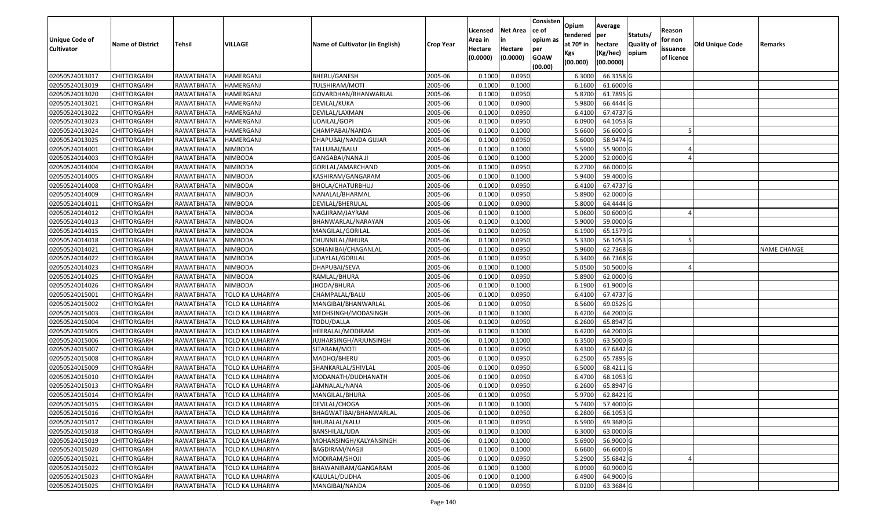| <b>Unique Code of</b><br><b>Cultivator</b> | <b>Name of District</b> | Tehsil     | VILLAGE                       | Name of Cultivator (in English) | <b>Crop Year</b> | Licensed<br>Area in<br>Hectare<br>(0.0000) | <b>Net Area</b><br>in<br>Hectare<br>(0.0000) | Consisten<br>lce of<br>opium as<br>per<br><b>GOAW</b><br>(00.00) | Opium<br>tendered<br>at $70°$ in<br>Kgs<br>(00.000) | Average<br>per<br>hectare<br>(Kg/hec)<br>(00.0000) | Statuts/<br><b>Quality o</b><br>opium | Reason<br>for non<br>issuance<br>of licence | Old Unique Code | Remarks            |
|--------------------------------------------|-------------------------|------------|-------------------------------|---------------------------------|------------------|--------------------------------------------|----------------------------------------------|------------------------------------------------------------------|-----------------------------------------------------|----------------------------------------------------|---------------------------------------|---------------------------------------------|-----------------|--------------------|
| 02050524013017                             | <b>CHITTORGARH</b>      | RAWATBHATA | <b>HAMERGANJ</b>              | BHERU/GANESH                    | 2005-06          | 0.1000                                     | 0.0950                                       |                                                                  | 6.3000                                              | 66.3158 G                                          |                                       |                                             |                 |                    |
| 02050524013019                             | <b>CHITTORGARH</b>      | RAWATBHATA | HAMERGANJ                     | TULSHIRAM/MOTI                  | 2005-06          | 0.1000                                     | 0.1000                                       |                                                                  | 6.1600                                              | 61.6000 G                                          |                                       |                                             |                 |                    |
| 02050524013020                             | <b>CHITTORGARH</b>      | RAWATBHATA | HAMERGANJ                     | GOVARDHAN/BHANWARLAL            | 2005-06          | 0.1000                                     | 0.0950                                       |                                                                  | 5.8700                                              | 61.7895 G                                          |                                       |                                             |                 |                    |
| 02050524013021                             | <b>CHITTORGARH</b>      | RAWATBHATA | <b>HAMERGANJ</b>              | DEVILAL/KUKA                    | 2005-06          | 0.1000                                     | 0.0900                                       |                                                                  | 5.9800                                              | 66.4444 G                                          |                                       |                                             |                 |                    |
| 02050524013022                             | <b>CHITTORGARH</b>      | RAWATBHATA | HAMERGANJ                     | DEVILAL/LAXMAN                  | 2005-06          | 0.1000                                     | 0.0950                                       |                                                                  | 6.4100                                              | 67.4737 G                                          |                                       |                                             |                 |                    |
| 02050524013023                             | <b>CHITTORGARH</b>      | RAWATBHATA | HAMERGANJ                     | UDAILAL/GOPI                    | 2005-06          | 0.1000                                     | 0.0950                                       |                                                                  | 6.0900                                              | 64.1053 G                                          |                                       |                                             |                 |                    |
| 02050524013024                             | CHITTORGARH             | RAWATBHATA | HAMERGANJ                     | CHAMPABAI/NANDA                 | 2005-06          | 0.1000                                     | 0.1000                                       |                                                                  | 5.6600                                              | 56.6000 G                                          |                                       |                                             |                 |                    |
| 02050524013025                             | <b>CHITTORGARH</b>      | RAWATBHATA | HAMERGANJ                     | DHAPUBAI/NANDA GUJAR            | 2005-06          | 0.1000                                     | 0.0950                                       |                                                                  | 5.6000                                              | 58.9474 G                                          |                                       |                                             |                 |                    |
| 02050524014001                             | <b>CHITTORGARH</b>      | RAWATBHATA | <b>NIMBODA</b>                | TALLUBAI/BALU                   | 2005-06          | 0.1000                                     | 0.1000                                       |                                                                  | 5.5900                                              | 55.9000 G                                          |                                       |                                             |                 |                    |
| 02050524014003                             | <b>CHITTORGARH</b>      | RAWATBHATA | <b>NIMBODA</b>                | <b>GANGABAI/NANA JI</b>         | 2005-06          | 0.1000                                     | 0.1000                                       |                                                                  | 5.2000                                              | 52.0000 G                                          |                                       |                                             |                 |                    |
| 02050524014004                             | <b>CHITTORGARH</b>      | RAWATBHATA | <b>NIMBODA</b>                | GORILAL/AMARCHAND               | 2005-06          | 0.1000                                     | 0.0950                                       |                                                                  | 6.2700                                              | 66.0000 G                                          |                                       |                                             |                 |                    |
| 02050524014005                             | <b>CHITTORGARH</b>      | RAWATBHATA | <b>NIMBODA</b>                | KASHIRAM/GANGARAM               | 2005-06          | 0.1000                                     | 0.1000                                       |                                                                  | 5.9400                                              | 59.4000 G                                          |                                       |                                             |                 |                    |
| 02050524014008                             | <b>CHITTORGARH</b>      | RAWATBHATA | NIMBODA                       | BHOLA/CHATURBHUJ                | 2005-06          | 0.1000                                     | 0.0950                                       |                                                                  | 6.4100                                              | 67.4737 G                                          |                                       |                                             |                 |                    |
| 02050524014009                             | <b>CHITTORGARH</b>      | RAWATBHATA | <b>NIMBODA</b>                | NANALAL/BHARMAL                 | 2005-06          | 0.1000                                     | 0.0950                                       |                                                                  | 5.8900                                              | 62.0000 G                                          |                                       |                                             |                 |                    |
| 02050524014011                             | CHITTORGARH             | RAWATBHATA | NIMBODA                       | DEVILAL/BHERULAL                | 2005-06          | 0.1000                                     | 0.0900                                       |                                                                  | 5.8000                                              | 64.4444 G                                          |                                       |                                             |                 |                    |
| 02050524014012                             | <b>CHITTORGARH</b>      | RAWATBHATA | <b>NIMBODA</b>                | NAGJIRAM/JAYRAM                 | 2005-06          | 0.1000                                     | 0.1000                                       |                                                                  | 5.0600                                              | 50.6000 G                                          |                                       |                                             |                 |                    |
| 02050524014013                             | <b>CHITTORGARH</b>      | RAWATBHATA | <b>NIMBODA</b>                | BHANWARLAL/NARAYAN              | 2005-06          | 0.1000                                     | 0.1000                                       |                                                                  | 5.9000                                              | 59.0000 G                                          |                                       |                                             |                 |                    |
| 02050524014015                             | <b>CHITTORGARH</b>      | RAWATBHATA | NIMBODA                       | MANGILAL/GORILAL                | 2005-06          | 0.1000                                     | 0.0950                                       |                                                                  | 6.1900                                              | 65.1579 G                                          |                                       |                                             |                 |                    |
| 02050524014018                             | <b>CHITTORGARH</b>      | RAWATBHATA | <b>NIMBODA</b>                | CHUNNILAL/BHURA                 | 2005-06          | 0.1000                                     | 0.0950                                       |                                                                  | 5.3300                                              | 56.1053 G                                          |                                       |                                             |                 |                    |
| 02050524014021                             | <b>CHITTORGARH</b>      | RAWATBHATA | <b>NIMBODA</b>                | SOHANIBAI/CHAGANLAL             | 2005-06          | 0.1000                                     | 0.0950                                       |                                                                  | 5.9600                                              | 62.7368 G                                          |                                       |                                             |                 | <b>NAME CHANGE</b> |
| 02050524014022                             | <b>CHITTORGARH</b>      | RAWATBHATA | <b>NIMBODA</b>                | UDAYLAL/GORILAL                 | 2005-06          | 0.1000                                     | 0.0950                                       |                                                                  | 6.3400                                              | 66.7368 G                                          |                                       |                                             |                 |                    |
| 02050524014023                             | <b>CHITTORGARH</b>      | RAWATBHATA | <b>NIMBODA</b>                | DHAPUBAI/SEVA                   | 2005-06          | 0.1000                                     | 0.1000                                       |                                                                  | 5.0500                                              | 50.5000 G                                          |                                       |                                             |                 |                    |
| 02050524014025                             | <b>CHITTORGARH</b>      | RAWATBHATA | NIMBODA                       | RAMLAL/BHURA                    | 2005-06          | 0.1000                                     | 0.0950                                       |                                                                  | 5.8900                                              | 62.0000 G                                          |                                       |                                             |                 |                    |
| 02050524014026                             | <b>CHITTORGARH</b>      | RAWATBHATA | NIMBODA                       | JHODA/BHURA                     | 2005-06          | 0.1000                                     | 0.1000                                       |                                                                  | 6.1900                                              | 61.9000 G                                          |                                       |                                             |                 |                    |
| 02050524015001                             | <b>CHITTORGARH</b>      | RAWATBHATA | TOLO KA LUHARIYA              | CHAMPALAL/BALU                  | 2005-06          | 0.1000                                     | 0.0950                                       |                                                                  | 6.4100                                              | 67.4737 G                                          |                                       |                                             |                 |                    |
| 02050524015002                             | <b>CHITTORGARH</b>      | RAWATBHATA | TOLO KA LUHARIYA              | MANGIBAI/BHANWARLAL             | 2005-06          | 0.1000                                     | 0.0950                                       |                                                                  | 6.5600                                              | 69.0526 G                                          |                                       |                                             |                 |                    |
| 02050524015003                             | <b>CHITTORGARH</b>      | RAWATBHATA | TOLO KA LUHARIYA              | MEDHSINGH/MODASINGH             | 2005-06          | 0.1000                                     | 0.1000                                       |                                                                  | 6.4200                                              | 64.2000 G                                          |                                       |                                             |                 |                    |
| 02050524015004                             | <b>CHITTORGARH</b>      | RAWATBHATA | TOLO KA LUHARIYA              | TODU/DALLA                      | 2005-06          | 0.1000                                     | 0.0950                                       |                                                                  | 6.2600                                              | 65.8947 G                                          |                                       |                                             |                 |                    |
| 02050524015005                             | <b>CHITTORGARH</b>      | RAWATBHATA | TOLO KA LUHARIYA              | HEERALAL/MODIRAM                | 2005-06          | 0.1000                                     | 0.1000                                       |                                                                  | 6.4200                                              | 64.2000 G                                          |                                       |                                             |                 |                    |
| 02050524015006                             | <b>CHITTORGARH</b>      | RAWATBHATA | TOLO KA LUHARIYA              | JUJHARSINGH/ARJUNSINGH          | 2005-06          | 0.1000                                     | 0.1000                                       |                                                                  | 6.3500                                              | 63.5000 G                                          |                                       |                                             |                 |                    |
| 02050524015007                             | <b>CHITTORGARH</b>      | RAWATBHATA | TOLO KA LUHARIYA              | SITARAM/MOTI                    | 2005-06          | 0.1000                                     | 0.0950                                       |                                                                  | 6.4300                                              | 67.6842 G                                          |                                       |                                             |                 |                    |
| 02050524015008                             | <b>CHITTORGARH</b>      | RAWATBHATA | TOLO KA LUHARIYA              | MADHO/BHERU                     | 2005-06          | 0.1000                                     | 0.0950                                       |                                                                  | 6.2500                                              | 65.7895 G                                          |                                       |                                             |                 |                    |
| 02050524015009                             | <b>CHITTORGARH</b>      | RAWATBHATA | TOLO KA LUHARIYA              | SHANKARLAL/SHIVLAL              | 2005-06          | 0.1000                                     | 0.0950                                       |                                                                  | 6.5000                                              | 68.4211 G                                          |                                       |                                             |                 |                    |
| 02050524015010                             | <b>CHITTORGARH</b>      | RAWATBHATA | TOLO KA LUHARIYA              | MODANATH/DUDHANATH              | 2005-06          | 0.1000                                     | 0.0950                                       |                                                                  | 6.4700                                              | 68.1053 G                                          |                                       |                                             |                 |                    |
| 02050524015013                             | CHITTORGARH             | RAWATBHATA | TOLO KA LUHARIYA              | JAMNALAL/NANA                   | 2005-06          | 0.1000                                     | 0.0950                                       |                                                                  | 6.2600                                              | 65.8947 G                                          |                                       |                                             |                 |                    |
| 02050524015014                             | <b>CHITTORGARH</b>      | RAWATBHATA | TOLO KA LUHARIYA              | MANGILAL/BHURA                  | 2005-06          | 0.1000                                     | 0.0950                                       |                                                                  | 5.9700                                              | 62.8421 G                                          |                                       |                                             |                 |                    |
| 02050524015015                             | <b>CHITTORGARH</b>      |            | RAWATBHATA   TOLO KA LUHARIYA | DEVILAL/CHOGA                   | 2005-06          | 0.1000                                     | 0.1000                                       |                                                                  |                                                     | 5.7400 57.4000 G                                   |                                       |                                             |                 |                    |
| 02050524015016                             | <b>CHITTORGARH</b>      | RAWATBHATA | TOLO KA LUHARIYA              | BHAGWATIBAI/BHANWARLAL          | 2005-06          | 0.1000                                     | 0.0950                                       |                                                                  | 6.2800                                              | 66.1053 G                                          |                                       |                                             |                 |                    |
| 02050524015017                             | <b>CHITTORGARH</b>      | RAWATBHATA | TOLO KA LUHARIYA              | BHURALAL/KALU                   | 2005-06          | 0.1000                                     | 0.0950                                       |                                                                  | 6.5900                                              | 69.3680 G                                          |                                       |                                             |                 |                    |
| 02050524015018                             | <b>CHITTORGARH</b>      | RAWATBHATA | <b>TOLO KA LUHARIYA</b>       | BANSHILAL/UDA                   | 2005-06          | 0.1000                                     | 0.1000                                       |                                                                  | 6.3000                                              | 63.0000G                                           |                                       |                                             |                 |                    |
| 02050524015019                             | <b>CHITTORGARH</b>      | RAWATBHATA | TOLO KA LUHARIYA              | MOHANSINGH/KALYANSINGH          | 2005-06          | 0.1000                                     | 0.1000                                       |                                                                  | 5.6900                                              | 56.9000 G                                          |                                       |                                             |                 |                    |
| 02050524015020                             | <b>CHITTORGARH</b>      | RAWATBHATA | <b>TOLO KA LUHARIYA</b>       | <b>BAGDIRAM/NAGJI</b>           | 2005-06          | 0.1000                                     | 0.1000                                       |                                                                  | 6.6600                                              | 66.6000 G                                          |                                       |                                             |                 |                    |
| 02050524015021                             | <b>CHITTORGARH</b>      | RAWATBHATA | TOLO KA LUHARIYA              | MODIRAM/SHOJI                   | 2005-06          | 0.1000                                     | 0.0950                                       |                                                                  | 5.2900                                              | 55.6842 G                                          |                                       |                                             |                 |                    |
| 02050524015022                             | <b>CHITTORGARH</b>      | RAWATBHATA | <b>TOLO KA LUHARIYA</b>       | BHAWANIRAM/GANGARAM             | 2005-06          | 0.1000                                     | 0.1000                                       |                                                                  | 6.0900                                              | 60.9000 G                                          |                                       |                                             |                 |                    |
| 02050524015023                             | <b>CHITTORGARH</b>      | RAWATBHATA | TOLO KA LUHARIYA              | KALULAL/DUDHA                   | 2005-06          | 0.1000                                     | 0.1000                                       |                                                                  | 6.4900                                              | 64.9000 G                                          |                                       |                                             |                 |                    |
| 02050524015025                             | <b>CHITTORGARH</b>      | RAWATBHATA | <b>TOLO KA LUHARIYA</b>       | MANGIBAI/NANDA                  | 2005-06          | 0.1000                                     | 0.0950                                       |                                                                  | 6.0200                                              | 63.3684 G                                          |                                       |                                             |                 |                    |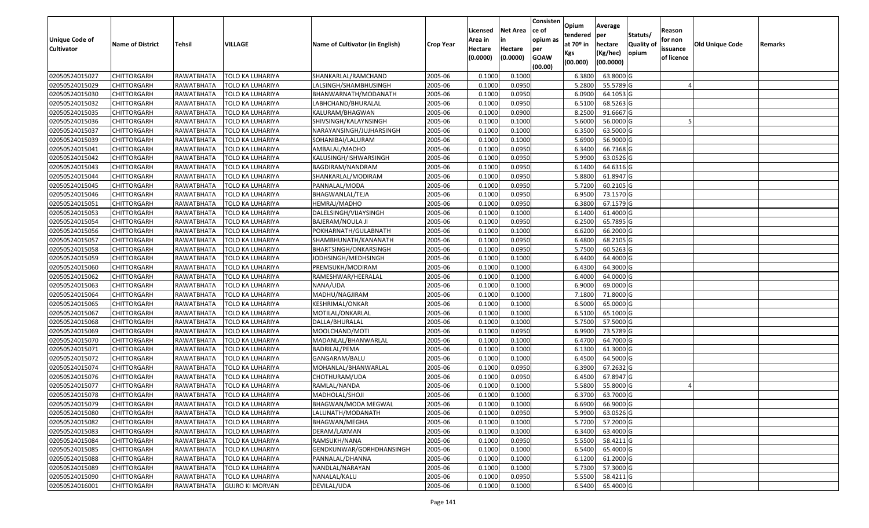| <b>Unique Code of</b> | <b>Name of District</b> | Tehsil            | VILLAGE                 | Name of Cultivator (in English) | <b>Crop Year</b> | Licensed<br>Area in | <b>Net Area</b><br>in | Consisten<br>ce of<br>opium as | Opium<br>tendered<br>at $70°$ in | Average<br>per<br>hectare | Statuts/<br><b>Quality o</b> | Reason<br>for non      | Old Unique Code | Remarks |
|-----------------------|-------------------------|-------------------|-------------------------|---------------------------------|------------------|---------------------|-----------------------|--------------------------------|----------------------------------|---------------------------|------------------------------|------------------------|-----------------|---------|
| <b>Cultivator</b>     |                         |                   |                         |                                 |                  | Hectare<br>(0.0000) | Hectare<br>(0.0000)   | per<br><b>GOAW</b><br>(00.00)  | Kgs<br>(00.000)                  | (Kg/hec)<br>(00.0000)     | opium                        | issuance<br>of licence |                 |         |
| 02050524015027        | CHITTORGARH             | RAWATBHATA        | <b>TOLO KA LUHARIYA</b> | SHANKARLAL/RAMCHAND             | 2005-06          | 0.1000              | 0.1000                |                                | 6.3800                           | 63.8000 G                 |                              |                        |                 |         |
| 02050524015029        | CHITTORGARH             | RAWATBHATA        | <b>TOLO KA LUHARIYA</b> | LALSINGH/SHAMBHUSINGH           | 2005-06          | 0.1000              | 0.0950                |                                | 5.2800                           | 55.5789 G                 |                              |                        |                 |         |
| 02050524015030        | CHITTORGARH             | RAWATBHATA        | TOLO KA LUHARIYA        | BHANWARNATH/MODANATH            | 2005-06          | 0.1000              | 0.0950                |                                | 6.0900                           | 64.1053 G                 |                              |                        |                 |         |
| 02050524015032        | <b>CHITTORGARH</b>      | <b>RAWATBHATA</b> | <b>TOLO KA LUHARIYA</b> | LABHCHAND/BHURALAL              | 2005-06          | 0.1000              | 0.0950                |                                | 6.5100                           | 68.5263 G                 |                              |                        |                 |         |
| 02050524015035        | CHITTORGARH             | RAWATBHATA        | TOLO KA LUHARIYA        | KALURAM/BHAGWAN                 | 2005-06          | 0.1000              | 0.0900                |                                | 8.2500                           | 91.6667 G                 |                              |                        |                 |         |
| 02050524015036        | CHITTORGARH             | RAWATBHATA        | TOLO KA LUHARIYA        | SHIVSINGH/KALAYNSINGH           | 2005-06          | 0.1000              | 0.1000                |                                | 5.6000                           | 56.0000 G                 |                              |                        |                 |         |
| 02050524015037        | CHITTORGARH             | RAWATBHATA        | TOLO KA LUHARIYA        | NARAYANSINGH/JUJHARSINGH        | 2005-06          | 0.1000              | 0.1000                |                                | 6.3500                           | 63.5000G                  |                              |                        |                 |         |
| 02050524015039        | <b>CHITTORGARH</b>      | RAWATBHATA        | <b>TOLO KA LUHARIYA</b> | SOHANIBAI/LALURAM               | 2005-06          | 0.1000              | 0.1000                |                                | 5.6900                           | 56.9000G                  |                              |                        |                 |         |
| 02050524015041        | CHITTORGARH             | RAWATBHATA        | TOLO KA LUHARIYA        | AMBALAL/MADHO                   | 2005-06          | 0.1000              | 0.0950                |                                | 6.3400                           | 66.7368 G                 |                              |                        |                 |         |
| 02050524015042        | CHITTORGARH             | RAWATBHATA        | TOLO KA LUHARIYA        | KALUSINGH/ISHWARSINGH           | 2005-06          | 0.1000              | 0.0950                |                                | 5.9900                           | 63.0526 G                 |                              |                        |                 |         |
| 02050524015043        | CHITTORGARH             | RAWATBHATA        | TOLO KA LUHARIYA        | BAGDIRAM/NANDRAM                | 2005-06          | 0.1000              | 0.0950                |                                | 6.1400                           | 64.6316 G                 |                              |                        |                 |         |
| 02050524015044        | <b>CHITTORGARH</b>      | RAWATBHATA        | TOLO KA LUHARIYA        | SHANKARLAL/MODIRAM              | 2005-06          | 0.1000              | 0.0950                |                                | 5.8800                           | 61.8947 G                 |                              |                        |                 |         |
| 02050524015045        | <b>CHITTORGARH</b>      | RAWATBHATA        | <b>TOLO KA LUHARIYA</b> | PANNALAL/MODA                   | 2005-06          | 0.1000              | 0.0950                |                                | 5.7200                           | 60.2105 G                 |                              |                        |                 |         |
| 02050524015046        | CHITTORGARH             | RAWATBHATA        | <b>TOLO KA LUHARIYA</b> | BHAGWANLAL/TEJA                 | 2005-06          | 0.1000              | 0.0950                |                                | 6.9500                           | 73.1570 G                 |                              |                        |                 |         |
| 02050524015051        | CHITTORGARH             | RAWATBHATA        | TOLO KA LUHARIYA        | HEMRAJ/MADHO                    | 2005-06          | 0.1000              | 0.0950                |                                | 6.3800                           | 67.1579 G                 |                              |                        |                 |         |
| 02050524015053        | <b>CHITTORGARH</b>      | RAWATBHATA        | <b>TOLO KA LUHARIYA</b> | DALELSINGH/VIJAYSINGH           | 2005-06          | 0.1000              | 0.1000                |                                | 6.1400                           | 61.4000 G                 |                              |                        |                 |         |
| 02050524015054        | CHITTORGARH             | RAWATBHATA        | <b>TOLO KA LUHARIYA</b> | <b>BAJERAM/NOULA JI</b>         | 2005-06          | 0.1000              | 0.0950                |                                | 6.2500                           | 65.7895 G                 |                              |                        |                 |         |
| 02050524015056        | CHITTORGARH             | RAWATBHATA        | <b>TOLO KA LUHARIYA</b> | POKHARNATH/GULABNATH            | 2005-06          | 0.1000              | 0.1000                |                                | 6.6200                           | 66.2000 G                 |                              |                        |                 |         |
| 02050524015057        | CHITTORGARH             | RAWATBHATA        | <b>TOLO KA LUHARIYA</b> | SHAMBHUNATH/KANANATH            | 2005-06          | 0.1000              | 0.0950                |                                | 6.4800                           | 68.2105 G                 |                              |                        |                 |         |
| 02050524015058        | CHITTORGARH             | RAWATBHATA        | <b>TOLO KA LUHARIYA</b> | BHARTSINGH/ONKARSINGH           | 2005-06          | 0.1000              | 0.0950                |                                | 5.7500                           | 60.5263 G                 |                              |                        |                 |         |
| 02050524015059        | CHITTORGARH             | RAWATBHATA        | <b>TOLO KA LUHARIYA</b> | JODHSINGH/MEDHSINGH             | 2005-06          | 0.1000              | 0.1000                |                                | 6.4400                           | 64.4000 G                 |                              |                        |                 |         |
| 02050524015060        | CHITTORGARH             | RAWATBHATA        | <b>TOLO KA LUHARIYA</b> | PREMSUKH/MODIRAM                | 2005-06          | 0.1000              | 0.1000                |                                | 6.4300                           | 64.3000 G                 |                              |                        |                 |         |
| 02050524015062        | CHITTORGARH             | RAWATBHATA        | TOLO KA LUHARIYA        | RAMESHWAR/HEERALAL              | 2005-06          | 0.1000              | 0.1000                |                                | 6.4000                           | 64.0000G                  |                              |                        |                 |         |
| 02050524015063        | CHITTORGARH             | RAWATBHATA        | TOLO KA LUHARIYA        | NANA/UDA                        | 2005-06          | 0.1000              | 0.1000                |                                | 6.9000                           | 69.0000 G                 |                              |                        |                 |         |
| 02050524015064        | CHITTORGARH             | RAWATBHATA        | <b>TOLO KA LUHARIYA</b> | MADHU/NAGJIRAM                  | 2005-06          | 0.1000              | 0.1000                |                                | 7.1800                           | 71.8000 G                 |                              |                        |                 |         |
| 02050524015065        | CHITTORGARH             | RAWATBHATA        | <b>TOLO KA LUHARIYA</b> | KESHRIMAL/ONKAR                 | 2005-06          | 0.1000              | 0.1000                |                                | 6.5000                           | 65.0000 G                 |                              |                        |                 |         |
| 02050524015067        | CHITTORGARH             | RAWATBHATA        | <b>TOLO KA LUHARIYA</b> | MOTILAL/ONKARLAL                | 2005-06          | 0.1000              | 0.1000                |                                | 6.5100                           | 65.1000G                  |                              |                        |                 |         |
| 02050524015068        | CHITTORGARH             | RAWATBHATA        | TOLO KA LUHARIYA        | DALLA/BHURALAL                  | 2005-06          | 0.1000              | 0.1000                |                                | 5.7500                           | 57.5000 G                 |                              |                        |                 |         |
| 02050524015069        | CHITTORGARH             | RAWATBHATA        | <b>TOLO KA LUHARIYA</b> | MOOLCHAND/MOTI                  | 2005-06          | 0.1000              | 0.0950                |                                | 6.9900                           | 73.5789 G                 |                              |                        |                 |         |
| 02050524015070        | CHITTORGARH             | RAWATBHATA        | <b>TOLO KA LUHARIYA</b> | MADANLAL/BHANWARLAL             | 2005-06          | 0.1000              | 0.1000                |                                | 6.4700                           | 64.7000 G                 |                              |                        |                 |         |
| 02050524015071        | CHITTORGARH             | RAWATBHATA        | TOLO KA LUHARIYA        | BADRILAL/PEMA                   | 2005-06          | 0.1000              | 0.1000                |                                | 6.1300                           | 61.3000G                  |                              |                        |                 |         |
| 02050524015072        | CHITTORGARH             | RAWATBHATA        | TOLO KA LUHARIYA        | GANGARAM/BALU                   | 2005-06          | 0.100               | 0.1000                |                                | 6.4500                           | 64.5000 G                 |                              |                        |                 |         |
| 02050524015074        | CHITTORGARH             | RAWATBHATA        | <b>TOLO KA LUHARIYA</b> | MOHANLAL/BHANWARLAL             | 2005-06          | 0.100               | 0.0950                |                                | 6.3900                           | 67.2632 G                 |                              |                        |                 |         |
| 02050524015076        | CHITTORGARH             | RAWATBHATA        | TOLO KA LUHARIYA        | CHOTHURAM/UDA                   | 2005-06          | 0.1000              | 0.0950                |                                | 6.4500                           | 67.8947 G                 |                              |                        |                 |         |
| 02050524015077        | CHITTORGARH             | RAWATBHATA        | TOLO KA LUHARIYA        | RAMLAL/NANDA                    | 2005-06          | 0.1000              | 0.1000                |                                | 5.5800                           | 55.8000 G                 |                              |                        |                 |         |
| 02050524015078        | CHITTORGARH             | RAWATBHATA        | TOLO KA LUHARIYA        | MADHOLAL/SHOJI                  | 2005-06          | 0.1000              | 0.1000                |                                | 6.3700                           | 63.7000G                  |                              |                        |                 |         |
| 02050524015079        | CHITTORGARH             | RAWATBHATA        | <b>TOLO KA LUHARIYA</b> | BHAGWAN/MODA MEGWAL             | 2005-06          | 0.1000              | 0.1000                |                                | 6.6900                           | 66.9000 G                 |                              |                        |                 |         |
| 02050524015080        | CHITTORGARH             | RAWATBHATA        | TOLO KA LUHARIYA        | LALUNATH/MODANATH               | 2005-06          | 0.1000              | 0.0950                |                                | 5.9900                           | 63.0526 G                 |                              |                        |                 |         |
| 02050524015082        | <b>CHITTORGARH</b>      | RAWATBHATA        | TOLO KA LUHARIYA        | BHAGWAN/MEGHA                   | 2005-06          | 0.1000              | 0.1000                |                                | 5.7200                           | 57.2000 G                 |                              |                        |                 |         |
| 02050524015083        | <b>CHITTORGARH</b>      | RAWATBHATA        | TOLO KA LUHARIYA        | DERAM/LAXMAN                    | 2005-06          | 0.1000              | 0.1000                |                                | 6.3400                           | 63.4000 G                 |                              |                        |                 |         |
| 02050524015084        | CHITTORGARH             | RAWATBHATA        | <b>TOLO KA LUHARIYA</b> | RAMSUKH/NANA                    | 2005-06          | 0.1000              | 0.0950                |                                | 5.5500                           | 58.4211 G                 |                              |                        |                 |         |
| 02050524015085        | <b>CHITTORGARH</b>      | RAWATBHATA        | <b>TOLO KA LUHARIYA</b> | GENDKUNWAR/GORHDHANSINGH        | 2005-06          | 0.1000              | 0.1000                |                                | 6.5400                           | 65.4000 G                 |                              |                        |                 |         |
| 02050524015088        | <b>CHITTORGARH</b>      | RAWATBHATA        | <b>TOLO KA LUHARIYA</b> | PANNALAL/DHANNA                 | 2005-06          | 0.1000              | 0.1000                |                                | 6.1200                           | 61.2000 G                 |                              |                        |                 |         |
| 02050524015089        | CHITTORGARH             | RAWATBHATA        | <b>TOLO KA LUHARIYA</b> | NANDLAL/NARAYAN                 | 2005-06          | 0.1000              | 0.1000                |                                | 5.7300                           | 57.3000 G                 |                              |                        |                 |         |
| 02050524015090        | CHITTORGARH             | RAWATBHATA        | <b>TOLO KA LUHARIYA</b> | NANALAL/KALU                    | 2005-06          | 0.1000              | 0.0950                |                                | 5.5500                           | 58.4211 G                 |                              |                        |                 |         |
| 02050524016001        | <b>CHITTORGARH</b>      | RAWATBHATA        | <b>GUJRO KI MORVAN</b>  | DEVILAL/UDA                     | 2005-06          | 0.1000              | 0.1000                |                                | 6.5400                           | 65.4000 G                 |                              |                        |                 |         |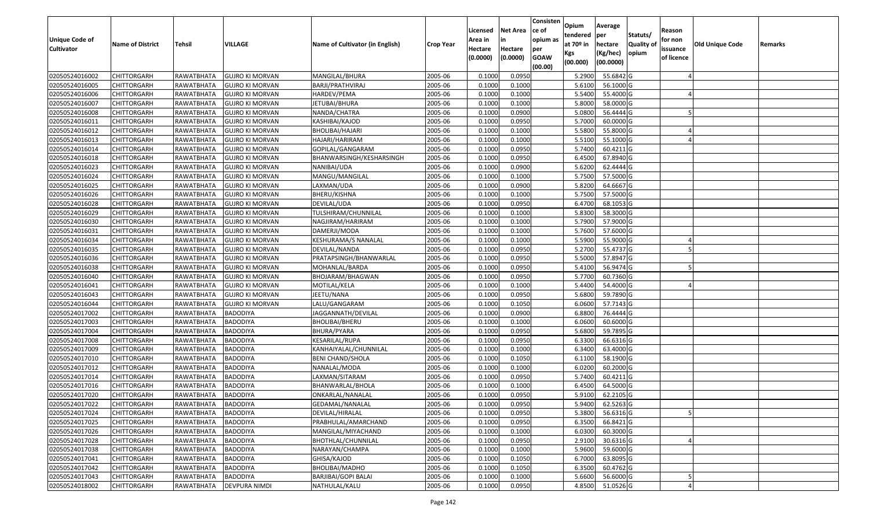| <b>Unique Code of</b> | <b>Name of District</b> | <b>Tehsil</b>     | VILLAGE                | Name of Cultivator (in English) |                  | Licensed<br>Area in | <b>Net Area</b><br>in | Consisten<br>ce of<br>opium as | Opium<br>tendered<br>at $70°$ in | Average<br>per<br>hectare | Statuts/<br><b>Quality o</b> | Reason<br>for non      | Old Unique Code |         |
|-----------------------|-------------------------|-------------------|------------------------|---------------------------------|------------------|---------------------|-----------------------|--------------------------------|----------------------------------|---------------------------|------------------------------|------------------------|-----------------|---------|
| <b>Cultivator</b>     |                         |                   |                        |                                 | <b>Crop Year</b> | Hectare<br>(0.0000) | Hectare<br>(0.0000)   | per<br><b>GOAW</b><br>(00.00)  | Kgs<br>(00.000)                  | (Kg/hec)<br>(00.0000)     | opium                        | issuance<br>of licence |                 | Remarks |
| 02050524016002        | CHITTORGARH             | RAWATBHATA        | <b>GUJRO KI MORVAN</b> | MANGILAL/BHURA                  | 2005-06          | 0.1000              | 0.0950                |                                | 5.2900                           | 55.6842 G                 |                              |                        |                 |         |
| 02050524016005        | CHITTORGARH             | RAWATBHATA        | <b>GUJRO KI MORVAN</b> | BARJI/PRATHVIRAJ                | 2005-06          | 0.1000              | 0.1000                |                                | 5.6100                           | 56.1000G                  |                              |                        |                 |         |
| 02050524016006        | CHITTORGARH             | RAWATBHATA        | <b>GUJRO KI MORVAN</b> | HARDEV/PEMA                     | 2005-06          | 0.100               | 0.1000                |                                | 5.5400                           | 55.4000 G                 |                              |                        |                 |         |
| 02050524016007        | <b>CHITTORGARH</b>      | <b>RAWATBHATA</b> | <b>GUJRO KI MORVAN</b> | JETUBAI/BHURA                   | 2005-06          | 0.1000              | 0.1000                |                                | 5.8000                           | 58.0000G                  |                              |                        |                 |         |
| 02050524016008        | CHITTORGARH             | RAWATBHATA        | <b>GUJRO KI MORVAN</b> | NANDA/CHATRA                    | 2005-06          | 0.1000              | 0.0900                |                                | 5.0800                           | 56.4444 G                 |                              |                        |                 |         |
| 02050524016011        | CHITTORGARH             | RAWATBHATA        | <b>GUJRO KI MORVAN</b> | KASHIBAI/KAJOD                  | 2005-06          | 0.1000              | 0.0950                |                                | 5.7000                           | 60.0000G                  |                              |                        |                 |         |
| 02050524016012        | CHITTORGARH             | RAWATBHATA        | <b>GUJRO KI MORVAN</b> | BHOLIBAI/HAJARI                 | 2005-06          | 0.1000              | 0.1000                |                                | 5.5800                           | 55.8000 G                 |                              |                        |                 |         |
| 02050524016013        | <b>CHITTORGARH</b>      | RAWATBHATA        | <b>GUJRO KI MORVAN</b> | HAJARI/HARIRAM                  | 2005-06          | 0.1000              | 0.1000                |                                | 5.5100                           | 55.1000G                  |                              |                        |                 |         |
| 02050524016014        | CHITTORGARH             | RAWATBHATA        | <b>GUJRO KI MORVAN</b> | GOPILAL/GANGARAM                | 2005-06          | 0.1000              | 0.0950                |                                | 5.7400                           | $60.4211$ G               |                              |                        |                 |         |
| 02050524016018        | CHITTORGARH             | RAWATBHATA        | <b>GUJRO KI MORVAN</b> | BHANWARSINGH/KESHARSINGH        | 2005-06          | 0.1000              | 0.0950                |                                | 6.4500                           | 67.8940 G                 |                              |                        |                 |         |
| 02050524016023        | CHITTORGARH             | RAWATBHATA        | <b>GUJRO KI MORVAN</b> | NANIBAI/UDA                     | 2005-06          | 0.1000              | 0.0900                |                                | 5.6200                           | 62.4444 G                 |                              |                        |                 |         |
| 02050524016024        | CHITTORGARH             | RAWATBHATA        | <b>GUJRO KI MORVAN</b> | MANGU/MANGILAL                  | 2005-06          | 0.1000              | 0.1000                |                                | 5.7500                           | 57.5000 G                 |                              |                        |                 |         |
| 02050524016025        | <b>CHITTORGARH</b>      | RAWATBHATA        | <b>GUJRO KI MORVAN</b> | LAXMAN/UDA                      | 2005-06          | 0.1000              | 0.0900                |                                | 5.8200                           | 64.6667 G                 |                              |                        |                 |         |
| 02050524016026        | <b>CHITTORGARH</b>      | RAWATBHATA        | <b>GUJRO KI MORVAN</b> | BHERU/KISHNA                    | 2005-06          | 0.100               | 0.1000                |                                | 5.7500                           | 57.5000G                  |                              |                        |                 |         |
| 02050524016028        | CHITTORGARH             | RAWATBHATA        | <b>GUJRO KI MORVAN</b> | DEVILAL/UDA                     | 2005-06          | 0.1000              | 0.0950                |                                | 6.4700                           | 68.1053 G                 |                              |                        |                 |         |
| 02050524016029        | CHITTORGARH             | RAWATBHATA        | <b>GUJRO KI MORVAN</b> | TULSHIRAM/CHUNNILAL             | 2005-06          | 0.1000              | 0.1000                |                                | 5.8300                           | 58.3000 G                 |                              |                        |                 |         |
| 02050524016030        | CHITTORGARH             | RAWATBHATA        | <b>GUJRO KI MORVAN</b> | NAGJIRAM/HARIRAM                | 2005-06          | 0.100               | 0.1000                |                                | 5.7900                           | 57.9000 G                 |                              |                        |                 |         |
| 02050524016031        | CHITTORGARH             | RAWATBHATA        | <b>GUJRO KI MORVAN</b> | DAMERJI/MODA                    | 2005-06          | 0.100               | 0.1000                |                                | 5.7600                           | 57.6000 G                 |                              |                        |                 |         |
| 02050524016034        | CHITTORGARH             | RAWATBHATA        | <b>GUJRO KI MORVAN</b> | KESHURAMA/S NANALAL             | 2005-06          | 0.100               | 0.1000                |                                | 5.5900                           | 55.9000 G                 |                              |                        |                 |         |
| 02050524016035        | CHITTORGARH             | RAWATBHATA        | <b>GUJRO KI MORVAN</b> | DEVILAL/NANDA                   | 2005-06          | 0.1000              | 0.0950                |                                | 5.2700                           | 55.4737 G                 |                              |                        |                 |         |
| 02050524016036        | CHITTORGARH             | RAWATBHATA        | <b>GUJRO KI MORVAN</b> | PRATAPSINGH/BHANWARLAL          | 2005-06          | 0.100               | 0.0950                |                                | 5.5000                           | 57.8947 G                 |                              |                        |                 |         |
| 02050524016038        | CHITTORGARH             | RAWATBHATA        | <b>GUJRO KI MORVAN</b> | MOHANLAL/BARDA                  | 2005-06          | 0.100               | 0.0950                |                                | 5.4100                           | 56.9474 G                 |                              |                        |                 |         |
| 02050524016040        | CHITTORGARH             | RAWATBHATA        | <b>GUJRO KI MORVAN</b> | BHOJARAM/BHAGWAN                | 2005-06          | 0.1000              | 0.0950                |                                | 5.7700                           | 60.7360 G                 |                              |                        |                 |         |
| 02050524016041        | CHITTORGARH             | RAWATBHATA        | <b>GUJRO KI MORVAN</b> | MOTILAL/KELA                    | 2005-06          | 0.100               | 0.1000                |                                | 5.4400                           | 54.4000 G                 |                              |                        |                 |         |
| 02050524016043        | <b>CHITTORGARH</b>      | <b>RAWATBHATA</b> | <b>GUJRO KI MORVAN</b> | JEETU/NANA                      | 2005-06          | 0.100               | 0.0950                |                                | 5.6800                           | 59.7890 G                 |                              |                        |                 |         |
| 02050524016044        | CHITTORGARH             | RAWATBHATA        | <b>GUJRO KI MORVAN</b> | LALU/GANGARAM                   | 2005-06          | 0.1000              | 0.1050                |                                | 6.0600                           | 57.7143 G                 |                              |                        |                 |         |
| 02050524017002        | CHITTORGARH             | RAWATBHATA        | <b>BADODIYA</b>        | JAGGANNATH/DEVILAL              | 2005-06          | 0.100               | 0.0900                |                                | 6.8800                           | 76.4444 G                 |                              |                        |                 |         |
| 02050524017003        | CHITTORGARH             | RAWATBHATA        | <b>BADODIYA</b>        | BHOLIBAI/BHERU                  | 2005-06          | 0.1000              | 0.1000                |                                | 6.0600                           | 60.6000 G                 |                              |                        |                 |         |
| 02050524017004        | CHITTORGARH             | RAWATBHATA        | <b>BADODIYA</b>        | BHURA/PYARA                     | 2005-06          | 0.1000              | 0.0950                |                                | 5.6800                           | 59.7895 G                 |                              |                        |                 |         |
| 02050524017008        | CHITTORGARH             | RAWATBHATA        | <b>BADODIYA</b>        | KESARILAL/RUPA                  | 2005-06          | 0.1000              | 0.0950                |                                | 6.3300                           | 66.6316 G                 |                              |                        |                 |         |
| 02050524017009        | CHITTORGARH             | RAWATBHATA        | <b>BADODIYA</b>        | KANHAIYALAL/CHUNNILAL           | 2005-06          | 0.100               | 0.1000                |                                | 6.3400                           | 63.4000 G                 |                              |                        |                 |         |
| 02050524017010        | CHITTORGARH             | RAWATBHATA        | BADODIYA               | BENI CHAND/SHOLA                | 2005-06          | 0.100               | 0.1050                |                                | 6.1100                           | 58.1900 G                 |                              |                        |                 |         |
| 02050524017012        | CHITTORGARH             | RAWATBHATA        | <b>BADODIYA</b>        | NANALAL/MODA                    | 2005-06          | 0.100               | 0.1000                |                                | 6.0200                           | 60.2000 G                 |                              |                        |                 |         |
| 02050524017014        | <b>CHITTORGARH</b>      | RAWATBHATA        | BADODIYA               | LAXMAN/SITARAM                  | 2005-06          | 0.1000              | 0.0950                |                                | 5.7400                           | 60.4211 G                 |                              |                        |                 |         |
| 02050524017016        | CHITTORGARH             | RAWATBHATA        | <b>BADODIYA</b>        | BHANWARLAL/BHOLA                | 2005-06          | 0.1000              | 0.1000                |                                | 6.4500                           | 64.5000 G                 |                              |                        |                 |         |
| 02050524017020        | CHITTORGARH             | RAWATBHATA        | <b>BADODIYA</b>        | ONKARLAL/NANALAL                | 2005-06          | 0.1000              | 0.0950                |                                | 5.9100                           | 62.2105 G                 |                              |                        |                 |         |
| 02050524017022        | CHITTORGARH             | RAWATBHATA        | <b>BADODIYA</b>        | GEDAMAL/NANALAL                 | 2005-06          | 0.1000              | 0.0950                |                                | 5.9400                           | 62.5263 G                 |                              |                        |                 |         |
| 02050524017024        | <b>CHITTORGARH</b>      | RAWATBHATA        | BADODIYA               | DEVILAL/HIRALAL                 | 2005-06          | 0.1000              | 0.0950                |                                | 5.3800                           | 56.6316 G                 |                              |                        |                 |         |
| 02050524017025        | <b>CHITTORGARH</b>      | RAWATBHATA        | BADODIYA               | PRABHULAL/AMARCHAND             | 2005-06          | 0.1000              | 0.0950                |                                | 6.3500                           | 66.8421 G                 |                              |                        |                 |         |
| 02050524017026        | <b>CHITTORGARH</b>      | RAWATBHATA        | <b>BADODIYA</b>        | MANGILAL/MIYACHAND              | 2005-06          | 0.1000              | 0.1000                |                                | 6.0300                           | 60.3000 G                 |                              |                        |                 |         |
| 02050524017028        | CHITTORGARH             | RAWATBHATA        | <b>BADODIYA</b>        | BHOTHLAL/CHUNNILAL              | 2005-06          | 0.1000              | 0.0950                |                                | 2.9100                           | 30.6316 G                 |                              |                        |                 |         |
| 02050524017038        | <b>CHITTORGARH</b>      | RAWATBHATA        | <b>BADODIYA</b>        | NARAYAN/CHAMPA                  | 2005-06          | 0.1000              | 0.1000                |                                | 5.9600                           | 59.6000 G                 |                              |                        |                 |         |
| 02050524017041        | <b>CHITTORGARH</b>      | RAWATBHATA        | <b>BADODIYA</b>        | GHISA/KAJOD                     | 2005-06          | 0.1000              | 0.1050                |                                | 6.7000                           | 63.8095 G                 |                              |                        |                 |         |
| 02050524017042        | <b>CHITTORGARH</b>      | RAWATBHATA        | <b>BADODIYA</b>        | BHOLIBAI/MADHO                  | 2005-06          | 0.1000              | 0.1050                |                                | 6.3500                           | 60.4762 G                 |                              |                        |                 |         |
| 02050524017043        | <b>CHITTORGARH</b>      | RAWATBHATA        | <b>BADODIYA</b>        | BARJIBAI/GOPI BALAI             | 2005-06          | 0.1000              | 0.1000                |                                | 5.6600                           | 56.6000G                  |                              |                        |                 |         |
| 02050524018002        | <b>CHITTORGARH</b>      | RAWATBHATA        | DEVPURA NIMDI          | NATHULAL/KALU                   | 2005-06          | 0.1000              | 0.0950                |                                | 4.8500                           | 51.0526 G                 |                              |                        |                 |         |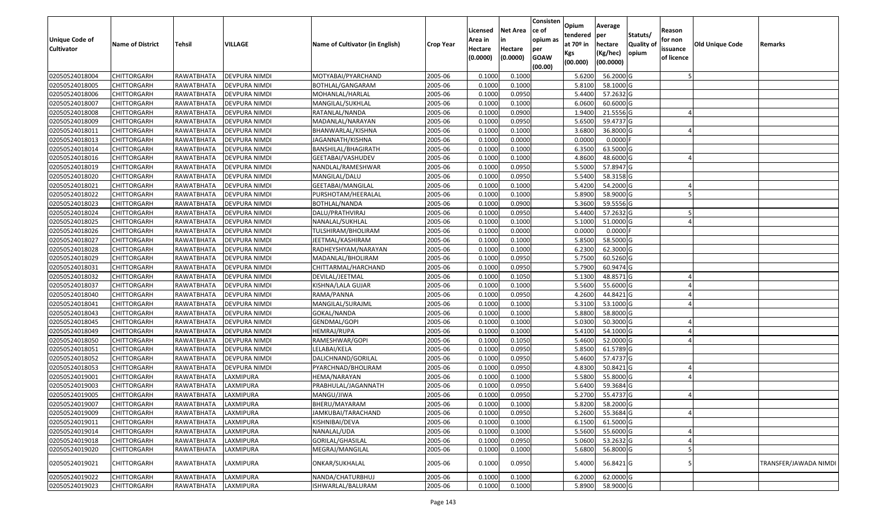| <b>Unique Code of</b><br><b>Cultivator</b> | <b>Name of District</b> | Tehsil            | VILLAGE              | Name of Cultivator (in English) | <b>Crop Year</b> | Licensed<br>Area in<br>Hectare<br>(0.0000) | <b>Net Area</b><br>in<br>Hectare<br>(0.0000) | Consisten<br>ce of<br>opium as<br>per<br><b>GOAW</b> | Opium<br>tendered<br>at 70º in<br>Kgs | Average<br>per<br>hectare<br>(Kg/hec) | Statuts/<br><b>Quality o</b><br>opium | Reason<br>for non<br>issuance<br>of licence | Old Unique Code | Remarks               |
|--------------------------------------------|-------------------------|-------------------|----------------------|---------------------------------|------------------|--------------------------------------------|----------------------------------------------|------------------------------------------------------|---------------------------------------|---------------------------------------|---------------------------------------|---------------------------------------------|-----------------|-----------------------|
|                                            |                         |                   |                      |                                 |                  |                                            |                                              | (00.00)                                              | (00.000)                              | (00.0000)                             |                                       |                                             |                 |                       |
| 02050524018004                             | <b>CHITTORGARH</b>      | RAWATBHATA        | <b>DEVPURA NIMDI</b> | MOTYABAI/PYARCHAND              | 2005-06          | 0.1000                                     | 0.1000                                       |                                                      | 5.6200                                | 56.2000 G                             |                                       |                                             |                 |                       |
| 02050524018005                             | <b>CHITTORGARH</b>      | RAWATBHATA        | DEVPURA NIMDI        | BOTHLAL/GANGARAM                | 2005-06          | 0.1000                                     | 0.1000                                       |                                                      | 5.8100                                | 58.1000 G                             |                                       |                                             |                 |                       |
| 02050524018006                             | <b>CHITTORGARH</b>      | RAWATBHATA        | DEVPURA NIMDI        | MOHANLAL/HARLAL                 | 2005-06          | 0.1000                                     | 0.0950                                       |                                                      | 5.4400                                | 57.2632 G                             |                                       |                                             |                 |                       |
| 02050524018007                             | <b>CHITTORGARH</b>      | RAWATBHATA        | <b>DEVPURA NIMDI</b> | MANGILAL/SUKHLAL                | 2005-06          | 0.1000                                     | 0.1000                                       |                                                      | 6.0600                                | 60.6000 G                             |                                       |                                             |                 |                       |
| 02050524018008                             | <b>CHITTORGARH</b>      | RAWATBHATA        | DEVPURA NIMDI        | RATANLAL/NANDA                  | 2005-06          | 0.1000                                     | 0.0900                                       |                                                      | 1.9400                                | 21.5556 G                             |                                       |                                             |                 |                       |
| 02050524018009                             | <b>CHITTORGARH</b>      | RAWATBHATA        | DEVPURA NIMDI        | MADANLAL/NARAYAN                | 2005-06          | 0.1000                                     | 0.0950                                       |                                                      | 5.6500                                | 59.4737 G                             |                                       |                                             |                 |                       |
| 02050524018011                             | CHITTORGARH             | RAWATBHATA        | DEVPURA NIMDI        | BHANWARLAL/KISHNA               | 2005-06          | 0.1000                                     | 0.1000                                       |                                                      | 3.6800                                | 36.8000 G                             |                                       |                                             |                 |                       |
| 02050524018013                             | <b>CHITTORGARH</b>      | RAWATBHATA        | <b>DEVPURA NIMDI</b> | JAGANNATH/KISHNA                | 2005-06          | 0.1000                                     | 0.0000                                       |                                                      | 0.0000                                | 0.0000                                |                                       |                                             |                 |                       |
| 02050524018014                             | <b>CHITTORGARH</b>      | RAWATBHATA        | DEVPURA NIMDI        | BANSHILAL/BHAGIRATH             | 2005-06          | 0.1000                                     | 0.1000                                       |                                                      | 6.3500                                | 63.5000 G                             |                                       |                                             |                 |                       |
| 02050524018016                             | <b>CHITTORGARH</b>      | RAWATBHATA        | DEVPURA NIMDI        | GEETABAI/VASHUDEV               | 2005-06          | 0.1000                                     | 0.1000                                       |                                                      | 4.8600                                | 48.6000 G                             |                                       |                                             |                 |                       |
| 02050524018019                             | <b>CHITTORGARH</b>      | RAWATBHATA        | DEVPURA NIMDI        | NANDLAL/RAMESHWAR               | 2005-06          | 0.1000                                     | 0.0950                                       |                                                      | 5.5000                                | 57.8947 G                             |                                       |                                             |                 |                       |
| 02050524018020                             | <b>CHITTORGARH</b>      | RAWATBHATA        | DEVPURA NIMDI        | MANGILAL/DALU                   | 2005-06          | 0.1000                                     | 0.0950                                       |                                                      | 5.5400                                | 58.3158 G                             |                                       |                                             |                 |                       |
| 02050524018021                             | <b>CHITTORGARH</b>      | RAWATBHATA        | DEVPURA NIMDI        | GEETABAI/MANGILAL               | 2005-06          | 0.1000                                     | 0.1000                                       |                                                      | 5.4200                                | 54.2000 G                             |                                       |                                             |                 |                       |
| 02050524018022                             | <b>CHITTORGARH</b>      | RAWATBHATA        | DEVPURA NIMDI        | PURSHOTAM/HEERALAL              | 2005-06          | 0.1000                                     | 0.1000                                       |                                                      | 5.8900                                | 58.9000 G                             |                                       |                                             |                 |                       |
| 02050524018023                             | CHITTORGARH             | RAWATBHATA        | <b>DEVPURA NIMDI</b> | BOTHLAL/NANDA                   | 2005-06          | 0.1000                                     | 0.0900                                       |                                                      | 5.3600                                | 59.5556 G                             |                                       |                                             |                 |                       |
| 02050524018024                             | <b>CHITTORGARH</b>      | RAWATBHATA        | DEVPURA NIMDI        | DALU/PRATHVIRAJ                 | 2005-06          | 0.1000                                     | 0.0950                                       |                                                      | 5.4400                                | 57.2632 G                             |                                       |                                             |                 |                       |
| 02050524018025                             | <b>CHITTORGARH</b>      | RAWATBHATA        | <b>DEVPURA NIMDI</b> | NANALAL/SUKHLAL                 | 2005-06          | 0.1000                                     | 0.1000                                       |                                                      | 5.1000                                | 51.0000 G                             |                                       |                                             |                 |                       |
| 02050524018026                             | <b>CHITTORGARH</b>      | RAWATBHATA        | DEVPURA NIMDI        | TULSHIRAM/BHOLIRAM              | 2005-06          | 0.1000                                     | 0.0000                                       |                                                      | 0.0000                                | 0.0000                                |                                       |                                             |                 |                       |
| 02050524018027                             | <b>CHITTORGARH</b>      | RAWATBHATA        | DEVPURA NIMDI        | JEETMAL/KASHIRAM                | 2005-06          | 0.1000                                     | 0.1000                                       |                                                      | 5.8500                                | 58.5000 G                             |                                       |                                             |                 |                       |
| 02050524018028                             | <b>CHITTORGARH</b>      | RAWATBHATA        | DEVPURA NIMDI        | RADHEYSHYAM/NARAYAN             | 2005-06          | 0.1000                                     | 0.1000                                       |                                                      | 6.2300                                | 62.3000 G                             |                                       |                                             |                 |                       |
| 02050524018029                             | <b>CHITTORGARH</b>      | RAWATBHATA        | DEVPURA NIMDI        | MADANLAL/BHOLIRAM               | 2005-06          | 0.1000                                     | 0.0950                                       |                                                      | 5.7500                                | 60.5260 G                             |                                       |                                             |                 |                       |
| 02050524018031                             | <b>CHITTORGARH</b>      | RAWATBHATA        | DEVPURA NIMDI        | CHITTARMAL/HARCHAND             | 2005-06          | 0.1000                                     | 0.0950                                       |                                                      | 5.7900                                | 60.9474 G                             |                                       |                                             |                 |                       |
| 02050524018032                             | <b>CHITTORGARH</b>      | RAWATBHATA        | DEVPURA NIMDI        | DEVILAL/JEETMAL                 | 2005-06          | 0.1000                                     | 0.1050                                       |                                                      | 5.1300                                | 48.8571 G                             |                                       |                                             |                 |                       |
| 02050524018037                             | <b>CHITTORGARH</b>      | RAWATBHATA        | DEVPURA NIMDI        | KISHNA/LALA GUJAR               | 2005-06          | 0.1000                                     | 0.1000                                       |                                                      | 5.5600                                | 55.6000 G                             |                                       |                                             |                 |                       |
| 02050524018040                             | <b>CHITTORGARH</b>      | RAWATBHATA        | <b>DEVPURA NIMDI</b> | RAMA/PANNA                      | 2005-06          | 0.1000                                     | 0.0950                                       |                                                      | 4.2600                                | 44.8421 G                             |                                       |                                             |                 |                       |
| 02050524018041                             | <b>CHITTORGARH</b>      | RAWATBHATA        | <b>DEVPURA NIMDI</b> | MANGILAL/SURAJML                | 2005-06          | 0.1000                                     | 0.1000                                       |                                                      | 5.3100                                | 53.1000 G                             |                                       |                                             |                 |                       |
| 02050524018043                             | <b>CHITTORGARH</b>      | RAWATBHATA        | DEVPURA NIMDI        | GOKAL/NANDA                     | 2005-06          | 0.1000                                     | 0.1000                                       |                                                      | 5.8800                                | 58.8000 G                             |                                       |                                             |                 |                       |
| 02050524018045                             | <b>CHITTORGARH</b>      | RAWATBHATA        | DEVPURA NIMDI        | GENDMAL/GOPI                    | 2005-06          | 0.1000                                     | 0.1000                                       |                                                      | 5.0300                                | 50.3000 G                             |                                       |                                             |                 |                       |
| 02050524018049                             | <b>CHITTORGARH</b>      | RAWATBHATA        | <b>DEVPURA NIMDI</b> | HEMRAJ/RUPA                     | 2005-06          | 0.1000                                     | 0.1000                                       |                                                      | 5.4100                                | 54.1000 G                             |                                       |                                             |                 |                       |
| 02050524018050                             | <b>CHITTORGARH</b>      | RAWATBHATA        | <b>DEVPURA NIMDI</b> | RAMESHWAR/GOPI                  | 2005-06          | 0.1000                                     | 0.1050                                       |                                                      | 5.4600                                | 52.0000 G                             |                                       |                                             |                 |                       |
| 02050524018051                             | <b>CHITTORGARH</b>      | RAWATBHATA        | DEVPURA NIMDI        | LELABAI/KELA                    | 2005-06          | 0.1000                                     | 0.0950                                       |                                                      | 5.8500                                | 61.5789 G                             |                                       |                                             |                 |                       |
| 02050524018052                             | CHITTORGARH             | RAWATBHATA        | DEVPURA NIMDI        | DALICHNAND/GORILAL              | 2005-06          | 0.1000                                     | 0.0950                                       |                                                      | 5.4600                                | 57.4737 G                             |                                       |                                             |                 |                       |
| 02050524018053                             | <b>CHITTORGARH</b>      | RAWATBHATA        | DEVPURA NIMDI        | PYARCHNAD/BHOLIRAM              | 2005-06          | 0.1000                                     | 0.0950                                       |                                                      | 4.8300                                | 50.8421 G                             |                                       |                                             |                 |                       |
| 02050524019001                             | <b>CHITTORGARH</b>      | RAWATBHATA        | LAXMIPURA            | HEMA/NARAYAN                    | 2005-06          | 0.1000                                     | 0.1000                                       |                                                      | 5.5800                                | 55.8000 G                             |                                       |                                             |                 |                       |
| 02050524019003                             | CHITTORGARH             | RAWATBHATA        | LAXMIPURA            | PRABHULAL/JAGANNATH             | 2005-06          | 0.1000                                     | 0.0950                                       |                                                      | 5.6400                                | 59.3684 G                             |                                       |                                             |                 |                       |
| 02050524019005                             | <b>CHITTORGARH</b>      | RAWATBHATA        | LAXMIPURA            | MANGU/JIWA                      | 2005-06          | 0.1000                                     | 0.0950                                       |                                                      | 5.2700                                | 55.4737 G                             |                                       |                                             |                 |                       |
| 02050524019007                             | <b>CHITTORGARH</b>      | RAWATBHATA        | LAXMIPURA            | BHERU/MAYARAM                   | 2005-06          | 0.1000                                     | 0.1000                                       |                                                      | 5.8200                                | 58.2000 G                             |                                       |                                             |                 |                       |
| 02050524019009                             | <b>CHITTORGARH</b>      | RAWATBHATA        | LAXMIPURA            | JAMKUBAI/TARACHAND              | 2005-06          | 0.1000                                     | 0.0950                                       |                                                      | 5.2600                                | 55.3684 G                             |                                       |                                             |                 |                       |
| 02050524019011                             | <b>CHITTORGARH</b>      | RAWATBHATA        | LAXMIPURA            | KISHNIBAI/DEVA                  | 2005-06          | 0.1000                                     | 0.1000                                       |                                                      | 6.1500                                | 61.5000 G                             |                                       |                                             |                 |                       |
| 02050524019014                             | <b>CHITTORGARH</b>      | RAWATBHATA        | LAXMIPURA            | NANALAL/UDA                     | 2005-06          | 0.1000                                     | 0.1000                                       |                                                      | 5.5600                                | 55.6000 G                             |                                       |                                             |                 |                       |
| 02050524019018                             | <b>CHITTORGARH</b>      | <b>RAWATBHATA</b> | LAXMIPURA            | GORILAL/GHASILAL                | 2005-06          | 0.1000                                     | 0.0950                                       |                                                      | 5.0600                                | 53.2632 G                             |                                       |                                             |                 |                       |
| 02050524019020                             | <b>CHITTORGARH</b>      | RAWATBHATA        | LAXMIPURA            | MEGRAJ/MANGILAL                 | 2005-06          | 0.1000                                     | 0.1000                                       |                                                      | 5.6800                                | 56.8000 G                             |                                       |                                             |                 |                       |
| 02050524019021                             | <b>CHITTORGARH</b>      | RAWATBHATA        | LAXMIPURA            | ONKAR/SUKHALAL                  | 2005-06          | 0.1000                                     | 0.0950                                       |                                                      | 5.4000                                | 56.8421 G                             |                                       |                                             |                 | TRANSFER/JAWADA NIMDI |
| 02050524019022                             | <b>CHITTORGARH</b>      | RAWATBHATA        | LAXMIPURA            | NANDA/CHATURBHUJ                | 2005-06          | 0.1000                                     | 0.1000                                       |                                                      | 6.2000                                | 62.0000G                              |                                       |                                             |                 |                       |
| 02050524019023                             | <b>CHITTORGARH</b>      | RAWATBHATA        | LAXMIPURA            | ISHWARLAL/BALURAM               | 2005-06          | 0.1000                                     | 0.1000                                       |                                                      | 5.8900                                | 58.9000G                              |                                       |                                             |                 |                       |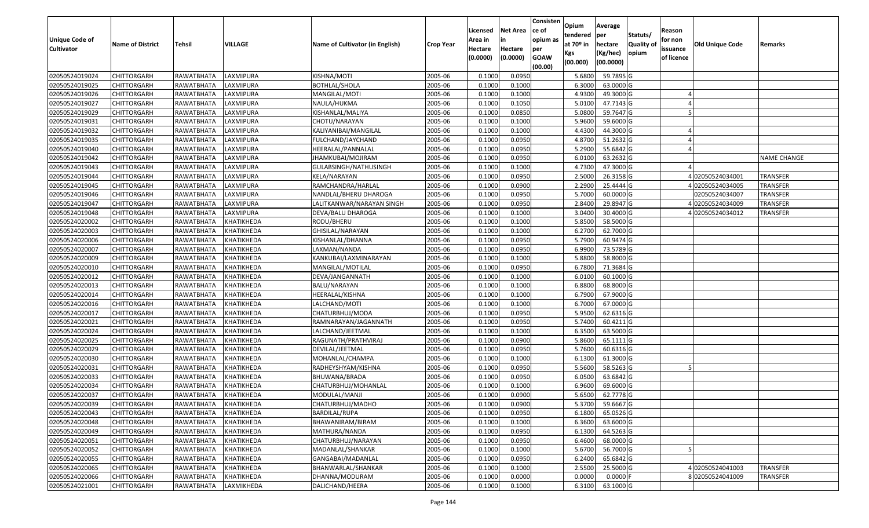| <b>Unique Code of</b><br><b>Cultivator</b> | <b>Name of District</b> | <b>Tehsil</b>     | VILLAGE    | Name of Cultivator (in English) | <b>Crop Year</b> | Licensed<br>Area in<br>Hectare<br>(0.0000) | <b>Net Area</b><br>in<br>Hectare<br>(0.0000) | Consisten<br>ce of<br>opium as<br>per<br><b>GOAW</b><br>(00.00) | Opium<br>tendered<br>at 70º in<br>Kgs<br>(00.000) | Average<br>per<br>hectare<br>(Kg/hec)<br>(00.0000) | Statuts/<br><b>Quality of</b><br>opium | Reason<br>for non<br>issuance<br>of licence | Old Unique Code | Remarks         |
|--------------------------------------------|-------------------------|-------------------|------------|---------------------------------|------------------|--------------------------------------------|----------------------------------------------|-----------------------------------------------------------------|---------------------------------------------------|----------------------------------------------------|----------------------------------------|---------------------------------------------|-----------------|-----------------|
| 02050524019024                             | <b>CHITTORGARH</b>      | RAWATBHATA        | LAXMIPURA  | KISHNA/MOTI                     | 2005-06          | 0.1000                                     | 0.0950                                       |                                                                 | 5.6800                                            | 59.7895 G                                          |                                        |                                             |                 |                 |
| 02050524019025                             | <b>CHITTORGARH</b>      | RAWATBHATA        | LAXMIPURA  | BOTHLAL/SHOLA                   | 2005-06          | 0.1000                                     | 0.1000                                       |                                                                 | 6.3000                                            | 63.0000 G                                          |                                        |                                             |                 |                 |
| 02050524019026                             | <b>CHITTORGARH</b>      | RAWATBHATA        | LAXMIPURA  | MANGILAL/MOTI                   | 2005-06          | 0.1000                                     | 0.1000                                       |                                                                 | 4.9300                                            | 49.3000 G                                          |                                        |                                             |                 |                 |
| 02050524019027                             | <b>CHITTORGARH</b>      | RAWATBHATA        | LAXMIPURA  | NAULA/HUKMA                     | 2005-06          | 0.1000                                     | 0.1050                                       |                                                                 | 5.0100                                            | 47.7143 G                                          |                                        |                                             |                 |                 |
| 02050524019029                             | <b>CHITTORGARH</b>      | RAWATBHATA        | LAXMIPURA  | KISHANLAL/MALIYA                | 2005-06          | 0.1000                                     | 0.0850                                       |                                                                 | 5.0800                                            | 59.7647 G                                          |                                        |                                             |                 |                 |
| 02050524019031                             | <b>CHITTORGARH</b>      | RAWATBHATA        | LAXMIPURA  | CHOTU/NARAYAN                   | 2005-06          | 0.1000                                     | 0.1000                                       |                                                                 | 5.9600                                            | 59.6000 G                                          |                                        |                                             |                 |                 |
| 02050524019032                             | <b>CHITTORGARH</b>      | RAWATBHATA        | LAXMIPURA  | KALIYANIBAI/MANGILAL            | 2005-06          | 0.1000                                     | 0.1000                                       |                                                                 | 4.4300                                            | 44.3000 G                                          |                                        |                                             |                 |                 |
| 02050524019035                             | <b>CHITTORGARH</b>      | RAWATBHATA        | LAXMIPURA  | FULCHAND/JAYCHAND               | 2005-06          | 0.1000                                     | 0.0950                                       |                                                                 | 4.8700                                            | 51.2632 G                                          |                                        |                                             |                 |                 |
| 02050524019040                             | <b>CHITTORGARH</b>      | RAWATBHATA        | LAXMIPURA  | HEERALAL/PANNALAL               | 2005-06          | 0.1000                                     | 0.0950                                       |                                                                 | 5.2900                                            | 55.6842 G                                          |                                        |                                             |                 |                 |
| 02050524019042                             | <b>CHITTORGARH</b>      | RAWATBHATA        | LAXMIPURA  | JHAMKUBAI/MOJIRAM               | 2005-06          | 0.1000                                     | 0.0950                                       |                                                                 | 6.0100                                            | 63.2632 G                                          |                                        |                                             |                 | NAME CHANGE     |
| 02050524019043                             | <b>CHITTORGARH</b>      | RAWATBHATA        | LAXMIPURA  | GULABSINGH/NATHUSINGH           | 2005-06          | 0.1000                                     | 0.1000                                       |                                                                 | 4.7300                                            | 47.3000 G                                          |                                        |                                             |                 |                 |
| 02050524019044                             | <b>CHITTORGARH</b>      | RAWATBHATA        | LAXMIPURA  | KELA/NARAYAN                    | 2005-06          | 0.1000                                     | 0.0950                                       |                                                                 | 2.5000                                            | 26.3158 G                                          |                                        |                                             | 402050524034001 | <b>TRANSFER</b> |
| 02050524019045                             | <b>CHITTORGARH</b>      | RAWATBHATA        | LAXMIPURA  | RAMCHANDRA/HARLAL               | 2005-06          | 0.1000                                     | 0.0900                                       |                                                                 | 2.2900                                            | 25.4444 G                                          |                                        |                                             | 402050524034005 | <b>TRANSFER</b> |
| 02050524019046                             | <b>CHITTORGARH</b>      | RAWATBHATA        | LAXMIPURA  | NANDLAL/BHERU DHAROGA           | 2005-06          | 0.1000                                     | 0.0950                                       |                                                                 | 5.7000                                            | 60.0000 G                                          |                                        |                                             | 02050524034007  | <b>TRANSFER</b> |
| 02050524019047                             | <b>CHITTORGARH</b>      | RAWATBHATA        | LAXMIPURA  | LALITKANWAR/NARAYAN SINGH       | 2005-06          | 0.1000                                     | 0.0950                                       |                                                                 | 2.8400                                            | 29.8947 G                                          |                                        |                                             | 402050524034009 | TRANSFER        |
| 02050524019048                             | <b>CHITTORGARH</b>      | RAWATBHATA        | LAXMIPURA  | DEVA/BALU DHAROGA               | 2005-06          | 0.1000                                     | 0.1000                                       |                                                                 | 3.0400                                            | 30.4000 G                                          |                                        |                                             | 402050524034012 | <b>TRANSFER</b> |
| 02050524020002                             | <b>CHITTORGARH</b>      | RAWATBHATA        | KHATIKHEDA | RODU/BHERU                      | 2005-06          | 0.1000                                     | 0.1000                                       |                                                                 | 5.8500                                            | 58.5000 G                                          |                                        |                                             |                 |                 |
| 02050524020003                             | <b>CHITTORGARH</b>      | RAWATBHATA        | KHATIKHEDA | GHISILAL/NARAYAN                | 2005-06          | 0.1000                                     | 0.1000                                       |                                                                 | 6.2700                                            | 62.7000 G                                          |                                        |                                             |                 |                 |
| 02050524020006                             | <b>CHITTORGARH</b>      | RAWATBHATA        | KHATIKHEDA | KISHANLAL/DHANNA                | 2005-06          | 0.1000                                     | 0.0950                                       |                                                                 | 5.7900                                            | 60.9474 G                                          |                                        |                                             |                 |                 |
| 02050524020007                             | <b>CHITTORGARH</b>      | RAWATBHATA        | KHATIKHEDA | LAXMAN/NANDA                    | 2005-06          | 0.1000                                     | 0.0950                                       |                                                                 | 6.9900                                            | 73.5789 G                                          |                                        |                                             |                 |                 |
| 02050524020009                             | <b>CHITTORGARH</b>      | RAWATBHATA        | KHATIKHEDA | KANKUBAI/LAXMINARAYAN           | 2005-06          | 0.1000                                     | 0.1000                                       |                                                                 | 5.8800                                            | 58.8000 G                                          |                                        |                                             |                 |                 |
| 02050524020010                             | <b>CHITTORGARH</b>      | RAWATBHATA        | KHATIKHEDA | MANGILAL/MOTILAL                | 2005-06          | 0.1000                                     | 0.0950                                       |                                                                 | 6.7800                                            | 71.3684 G                                          |                                        |                                             |                 |                 |
| 02050524020012                             | <b>CHITTORGARH</b>      | RAWATBHATA        | KHATIKHEDA | DEVA/JANGANNATH                 | 2005-06          | 0.1000                                     | 0.1000                                       |                                                                 | 6.0100                                            | 60.1000 G                                          |                                        |                                             |                 |                 |
| 02050524020013                             | <b>CHITTORGARH</b>      | RAWATBHATA        | KHATIKHEDA | BALU/NARAYAN                    | 2005-06          | 0.1000                                     | 0.1000                                       |                                                                 | 6.8800                                            | 68.8000 G                                          |                                        |                                             |                 |                 |
| 02050524020014                             | <b>CHITTORGARH</b>      | RAWATBHATA        | KHATIKHEDA | HEERALAL/KISHNA                 | 2005-06          | 0.1000                                     | 0.1000                                       |                                                                 | 6.7900                                            | 67.9000 G                                          |                                        |                                             |                 |                 |
| 02050524020016                             | <b>CHITTORGARH</b>      | RAWATBHATA        | KHATIKHEDA | LALCHAND/MOTI                   | 2005-06          | 0.1000                                     | 0.1000                                       |                                                                 | 6.7000                                            | 67.0000 G                                          |                                        |                                             |                 |                 |
| 02050524020017                             | <b>CHITTORGARH</b>      | RAWATBHATA        | KHATIKHEDA | CHATURBHUJ/MODA                 | 2005-06          | 0.1000                                     | 0.0950                                       |                                                                 | 5.9500                                            | 62.6316 G                                          |                                        |                                             |                 |                 |
| 02050524020021                             | <b>CHITTORGARH</b>      | RAWATBHATA        | KHATIKHEDA | RAMNARAYAN/JAGANNATH            | 2005-06          | 0.1000                                     | 0.0950                                       |                                                                 | 5.7400                                            | 60.4211 G                                          |                                        |                                             |                 |                 |
| 02050524020024                             | <b>CHITTORGARH</b>      | RAWATBHATA        | KHATIKHEDA | LALCHAND/JEETMAL                | 2005-06          | 0.1000                                     | 0.1000                                       |                                                                 | 6.3500                                            | 63.5000 G                                          |                                        |                                             |                 |                 |
| 02050524020025                             | <b>CHITTORGARH</b>      | <b>RAWATBHATA</b> | KHATIKHEDA | RAGUNATH/PRATHVIRAJ             | 2005-06          | 0.1000                                     | 0.0900                                       |                                                                 | 5.8600                                            | 65.1111G                                           |                                        |                                             |                 |                 |
| 02050524020029                             | <b>CHITTORGARH</b>      | RAWATBHATA        | KHATIKHEDA | DEVILAL/JEETMAL                 | 2005-06          | 0.1000                                     | 0.0950                                       |                                                                 | 5.7600                                            | 60.6316 G                                          |                                        |                                             |                 |                 |
| 02050524020030                             | <b>CHITTORGARH</b>      | RAWATBHATA        | KHATIKHEDA | MOHANLAL/CHAMPA                 | 2005-06          | 0.1000                                     | 0.1000                                       |                                                                 | 6.1300                                            | 61.3000 G                                          |                                        |                                             |                 |                 |
| 02050524020031                             | <b>CHITTORGARH</b>      | RAWATBHATA        | KHATIKHEDA | RADHEYSHYAM/KISHNA              | 2005-06          | 0.1000                                     | 0.0950                                       |                                                                 | 5.5600                                            | 58.5263 G                                          |                                        |                                             |                 |                 |
| 02050524020033                             | <b>CHITTORGARH</b>      | RAWATBHATA        | KHATIKHEDA | BHUWANA/BRADA                   | 2005-06          | 0.1000                                     | 0.0950                                       |                                                                 | 6.0500                                            | 63.6842 G                                          |                                        |                                             |                 |                 |
| 02050524020034                             | <b>CHITTORGARH</b>      | RAWATBHATA        | KHATIKHEDA | CHATURBHUJ/MOHANLAL             | 2005-06          | 0.1000                                     | 0.1000                                       |                                                                 | 6.9600                                            | 69.6000 G                                          |                                        |                                             |                 |                 |
| 02050524020037                             | <b>CHITTORGARH</b>      | RAWATBHATA        | KHATIKHEDA | MODULAL/MANJI                   | 2005-06          | 0.1000                                     | 0.0900                                       |                                                                 | 5.6500                                            | 62.7778 G                                          |                                        |                                             |                 |                 |
| 02050524020039                             | CHITTORGARH             | RAWATBHATA        | KHATIKHEDA | CHATURBHUJ/MADHO                | 2005-06          | 0.1000                                     | 0.0900                                       |                                                                 | 5.3700                                            | 59.6667 G                                          |                                        |                                             |                 |                 |
| 02050524020043                             | <b>CHITTORGARH</b>      | RAWATBHATA        | KHATIKHEDA | <b>BARDILAL/RUPA</b>            | 2005-06          | 0.1000                                     | 0.0950                                       |                                                                 | 6.1800                                            | 65.0526 G                                          |                                        |                                             |                 |                 |
| 02050524020048                             | <b>CHITTORGARH</b>      | RAWATBHATA        | KHATIKHEDA | BHAWANIRAM/BIRAM                | 2005-06          | 0.1000                                     | 0.1000                                       |                                                                 | 6.3600                                            | 63.6000 G                                          |                                        |                                             |                 |                 |
| 02050524020049                             | <b>CHITTORGARH</b>      | RAWATBHATA        | KHATIKHEDA | MATHURA/NANDA                   | 2005-06          | 0.1000                                     | 0.0950                                       |                                                                 | 6.1300                                            | 64.5263 G                                          |                                        |                                             |                 |                 |
| 02050524020051                             | <b>CHITTORGARH</b>      | RAWATBHATA        | KHATIKHEDA | CHATURBHUJ/NARAYAN              | 2005-06          | 0.1000                                     | 0.0950                                       |                                                                 | 6.4600                                            | 68.0000 G                                          |                                        |                                             |                 |                 |
| 02050524020052                             | <b>CHITTORGARH</b>      | RAWATBHATA        | KHATIKHEDA | MADANLAL/SHANKAR                | 2005-06          | 0.1000                                     | 0.1000                                       |                                                                 | 5.6700                                            | 56.7000 G                                          |                                        |                                             |                 |                 |
| 02050524020055                             | <b>CHITTORGARH</b>      | RAWATBHATA        | KHATIKHEDA | GANGABAI/MADANLAL               | 2005-06          | 0.1000                                     | 0.0950                                       |                                                                 | 6.2400                                            | 65.6842 G                                          |                                        |                                             |                 |                 |
| 02050524020065                             | <b>CHITTORGARH</b>      | RAWATBHATA        | KHATIKHEDA | BHANWARLAL/SHANKAR              | 2005-06          | 0.1000                                     | 0.1000                                       |                                                                 | 2.5500                                            | 25.5000 G                                          |                                        |                                             | 402050524041003 | <b>TRANSFER</b> |
| 02050524020066                             | <b>CHITTORGARH</b>      | RAWATBHATA        | KHATIKHEDA | DHANNA/MODURAM                  | 2005-06          | 0.1000                                     | 0.0000                                       |                                                                 | 0.0000                                            | $0.0000$ F                                         |                                        |                                             | 802050524041009 | TRANSFER        |
| 02050524021001                             | <b>CHITTORGARH</b>      | RAWATBHATA        | LAXMIKHEDA | DALICHAND/HEERA                 | 2005-06          | 0.1000                                     | 0.1000                                       |                                                                 | 6.3100                                            | 63.1000 G                                          |                                        |                                             |                 |                 |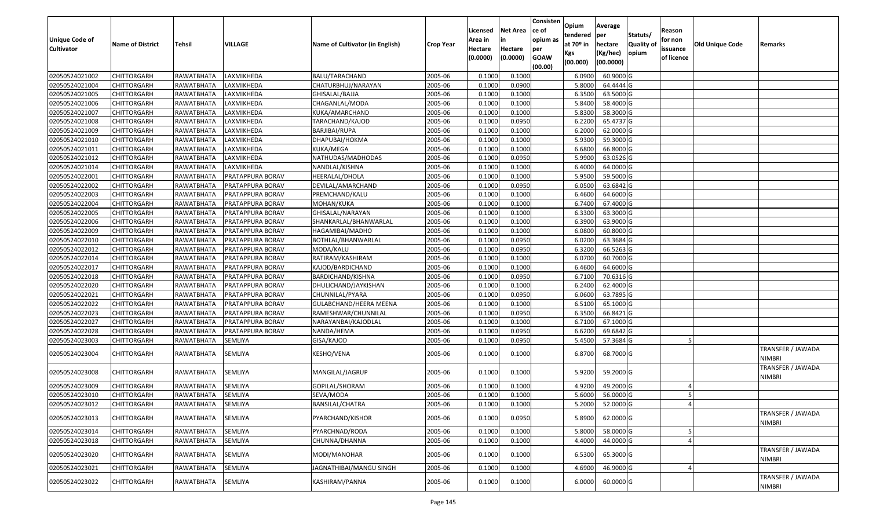| <b>Unique Code of</b><br><b>Cultivator</b> | <b>Name of District</b> | Tehsil            | VILLAGE          | Name of Cultivator (in English) | <b>Crop Year</b> | Licensed<br>Area in<br>Hectare<br>(0.0000) | <b>Net Area</b><br>in<br>Hectare<br>(0.0000) | Consisten<br>ce of<br>opium as<br>per<br><b>GOAW</b><br>(00.00) | Opium<br>tendered<br>at 70º in<br>Kgs<br>(00.000) | Average<br>per<br>hectare<br>(Kg/hec)<br>(00.0000) | Statuts/<br>Quality of<br>opium | Reason<br>for non<br>issuance<br>of licence | <b>Old Unique Code</b> | Remarks                            |
|--------------------------------------------|-------------------------|-------------------|------------------|---------------------------------|------------------|--------------------------------------------|----------------------------------------------|-----------------------------------------------------------------|---------------------------------------------------|----------------------------------------------------|---------------------------------|---------------------------------------------|------------------------|------------------------------------|
| 02050524021002                             | <b>CHITTORGARH</b>      | RAWATBHATA        | LAXMIKHEDA       | BALU/TARACHAND                  | 2005-06          | 0.1000                                     | 0.1000                                       |                                                                 | 6.0900                                            | 60.9000 G                                          |                                 |                                             |                        |                                    |
| 02050524021004                             | <b>CHITTORGARH</b>      | RAWATBHATA        | LAXMIKHEDA       | CHATURBHUJ/NARAYAN              | 2005-06          | 0.1000                                     | 0.0900                                       |                                                                 | 5.8000                                            | 64.4444 G                                          |                                 |                                             |                        |                                    |
| 02050524021005                             | <b>CHITTORGARH</b>      | RAWATBHATA        | LAXMIKHEDA       | GHISALAL/BAJJA                  | 2005-06          | 0.1000                                     | 0.1000                                       |                                                                 | 6.3500                                            | 63.5000 G                                          |                                 |                                             |                        |                                    |
| 02050524021006                             | <b>CHITTORGARH</b>      | RAWATBHATA        | LAXMIKHEDA       | CHAGANLAL/MODA                  | 2005-06          | 0.1000                                     | 0.1000                                       |                                                                 | 5.8400                                            | 58.4000 G                                          |                                 |                                             |                        |                                    |
| 02050524021007                             | <b>CHITTORGARH</b>      | RAWATBHATA        | LAXMIKHEDA       | KUKA/AMARCHAND                  | 2005-06          | 0.1000                                     | 0.1000                                       |                                                                 | 5.8300                                            | 58.3000 G                                          |                                 |                                             |                        |                                    |
| 02050524021008                             | <b>CHITTORGARH</b>      | RAWATBHATA        | LAXMIKHEDA       | TARACHAND/KAJOD                 | 2005-06          | 0.1000                                     | 0.0950                                       |                                                                 | 6.2200                                            | 65.4737 G                                          |                                 |                                             |                        |                                    |
| 02050524021009                             | <b>CHITTORGARH</b>      | RAWATBHATA        | LAXMIKHEDA       | BARJIBAI/RUPA                   | 2005-06          | 0.1000                                     | 0.1000                                       |                                                                 | 6.2000                                            | 62.0000 G                                          |                                 |                                             |                        |                                    |
| 02050524021010                             | <b>CHITTORGARH</b>      | RAWATBHATA        | LAXMIKHEDA       | DHAPUBAI/HOKMA                  | 2005-06          | 0.1000                                     | 0.1000                                       |                                                                 | 5.9300                                            | 59.3000 G                                          |                                 |                                             |                        |                                    |
| 02050524021011                             | <b>CHITTORGARH</b>      | RAWATBHATA        | LAXMIKHEDA       | KUKA/MEGA                       | 2005-06          | 0.1000                                     | 0.1000                                       |                                                                 | 6.6800                                            | 66.8000 G                                          |                                 |                                             |                        |                                    |
| 02050524021012                             | <b>CHITTORGARH</b>      | RAWATBHATA        | LAXMIKHEDA       | NATHUDAS/MADHODAS               | 2005-06          | 0.1000                                     | 0.0950                                       |                                                                 | 5.9900                                            | 63.0526 G                                          |                                 |                                             |                        |                                    |
| 02050524021014                             | <b>CHITTORGARH</b>      | RAWATBHATA        | LAXMIKHEDA       | NANDLAL/KISHNA                  | 2005-06          | 0.1000                                     | 0.1000                                       |                                                                 | 6.4000                                            | 64.0000 G                                          |                                 |                                             |                        |                                    |
| 02050524022001                             | <b>CHITTORGARH</b>      | RAWATBHATA        | PRATAPPURA BORAV | HEERALAL/DHOLA                  | 2005-06          | 0.1000                                     | 0.1000                                       |                                                                 | 5.9500                                            | 59.5000 G                                          |                                 |                                             |                        |                                    |
| 02050524022002                             | <b>CHITTORGARH</b>      | RAWATBHATA        | PRATAPPURA BORAV | DEVILAL/AMARCHAND               | 2005-06          | 0.1000                                     | 0.0950                                       |                                                                 | 6.0500                                            | 63.6842 G                                          |                                 |                                             |                        |                                    |
| 02050524022003                             | <b>CHITTORGARH</b>      | RAWATBHATA        | PRATAPPURA BORAV | PREMCHAND/KALU                  | 2005-06          | 0.1000                                     | 0.1000                                       |                                                                 | 6.4600                                            | 64.6000 G                                          |                                 |                                             |                        |                                    |
| 02050524022004                             | <b>CHITTORGARH</b>      | RAWATBHATA        | PRATAPPURA BORAV | MOHAN/KUKA                      | 2005-06          | 0.1000                                     | 0.1000                                       |                                                                 | 6.7400                                            | 67.4000 G                                          |                                 |                                             |                        |                                    |
| 02050524022005                             | <b>CHITTORGARH</b>      | RAWATBHATA        | PRATAPPURA BORAV | GHISALAL/NARAYAN                | 2005-06          | 0.1000                                     | 0.1000                                       |                                                                 | 6.3300                                            | 63.3000 G                                          |                                 |                                             |                        |                                    |
| 02050524022006                             | <b>CHITTORGARH</b>      | RAWATBHATA        | PRATAPPURA BORAV | SHANKARLAL/BHANWARLAL           | 2005-06          | 0.1000                                     | 0.1000                                       |                                                                 | 6.3900                                            | 63.9000 G                                          |                                 |                                             |                        |                                    |
| 02050524022009                             | <b>CHITTORGARH</b>      | RAWATBHATA        | PRATAPPURA BORAV | HAGAMIBAI/MADHO                 | 2005-06          | 0.1000                                     | 0.1000                                       |                                                                 | 6.0800                                            | 60.8000 G                                          |                                 |                                             |                        |                                    |
| 02050524022010                             | <b>CHITTORGARH</b>      | RAWATBHATA        | PRATAPPURA BORAV | BOTHLAL/BHANWARLAL              | 2005-06          | 0.1000                                     | 0.0950                                       |                                                                 | 6.0200                                            | 63.3684 G                                          |                                 |                                             |                        |                                    |
| 02050524022012                             | <b>CHITTORGARH</b>      | RAWATBHATA        | PRATAPPURA BORAV | MODA/KALU                       | 2005-06          | 0.1000                                     | 0.0950                                       |                                                                 | 6.3200                                            | 66.5263 G                                          |                                 |                                             |                        |                                    |
| 02050524022014                             | <b>CHITTORGARH</b>      | RAWATBHATA        | PRATAPPURA BORAV | RATIRAM/KASHIRAM                | 2005-06          | 0.1000                                     | 0.1000                                       |                                                                 | 6.0700                                            | 60.7000 G                                          |                                 |                                             |                        |                                    |
| 02050524022017                             | <b>CHITTORGARH</b>      | RAWATBHATA        | PRATAPPURA BORAV | KAJOD/BARDICHAND                | 2005-06          | 0.1000                                     | 0.1000                                       |                                                                 | 6.4600                                            | 64.6000 G                                          |                                 |                                             |                        |                                    |
| 02050524022018                             | <b>CHITTORGARH</b>      | RAWATBHATA        | PRATAPPURA BORAV | BARDICHAND/KISHNA               | 2005-06          | 0.1000                                     | 0.0950                                       |                                                                 | 6.7100                                            | 70.6316 G                                          |                                 |                                             |                        |                                    |
| 02050524022020                             | <b>CHITTORGARH</b>      | RAWATBHATA        | PRATAPPURA BORAV | DHULICHAND/JAYKISHAN            | 2005-06          | 0.1000                                     | 0.1000                                       |                                                                 | 6.2400                                            | 62.4000 G                                          |                                 |                                             |                        |                                    |
| 02050524022021                             | <b>CHITTORGARH</b>      | RAWATBHATA        | PRATAPPURA BORAV | CHUNNILAL/PYARA                 | 2005-06          | 0.1000                                     | 0.0950                                       |                                                                 | 6.0600                                            | 63.7895 G                                          |                                 |                                             |                        |                                    |
| 02050524022022                             | <b>CHITTORGARH</b>      | RAWATBHATA        | PRATAPPURA BORAV | GULABCHAND/HEERA MEENA          | 2005-06          | 0.1000                                     | 0.1000                                       |                                                                 | 6.5100                                            | 65.1000 G                                          |                                 |                                             |                        |                                    |
| 02050524022023                             | <b>CHITTORGARH</b>      | RAWATBHATA        | PRATAPPURA BORAV | RAMESHWAR/CHUNNILAL             | 2005-06          | 0.1000                                     | 0.0950                                       |                                                                 | 6.3500                                            | 66.8421 G                                          |                                 |                                             |                        |                                    |
| 02050524022027                             | <b>CHITTORGARH</b>      | RAWATBHATA        | PRATAPPURA BORAV | NARAYANBAI/KAJODLAL             | 2005-06          | 0.1000                                     | 0.1000                                       |                                                                 | 6.7100                                            | 67.1000 G                                          |                                 |                                             |                        |                                    |
| 02050524022028                             | <b>CHITTORGARH</b>      | RAWATBHATA        | PRATAPPURA BORAV | NANDA/HEMA                      | 2005-06          | 0.1000                                     | 0.0950                                       |                                                                 | 6.6200                                            | 69.6842 G                                          |                                 |                                             |                        |                                    |
| 02050524023003                             | <b>CHITTORGARH</b>      | RAWATBHATA        | SEMLIYA          | GISA/KAJOD                      | 2005-06          | 0.1000                                     | 0.0950                                       |                                                                 | 5.4500                                            | 57.3684 G                                          |                                 |                                             |                        |                                    |
| 02050524023004                             | CHITTORGARH             | RAWATBHATA        | SEMLIYA          | KESHO/VENA                      | 2005-06          | 0.1000                                     | 0.1000                                       |                                                                 | 6.8700                                            | 68.7000 G                                          |                                 |                                             |                        | TRANSFER / JAWADA<br><b>NIMBRI</b> |
| 02050524023008                             | <b>CHITTORGARH</b>      | <b>RAWATBHATA</b> | SEMLIYA          | MANGILAL/JAGRUP                 | 2005-06          | 0.1000                                     | 0.1000                                       |                                                                 | 5.9200                                            | 59.2000 G                                          |                                 |                                             |                        | TRANSFER / JAWADA<br><b>NIMBRI</b> |
| 02050524023009                             | CHITTORGARH             | RAWATBHATA        | SEMLIYA          | GOPILAL/SHORAM                  | 2005-06          | 0.1000                                     | 0.1000                                       |                                                                 | 4.9200                                            | 49.2000 G                                          |                                 |                                             |                        |                                    |
| 02050524023010                             | <b>CHITTORGARH</b>      | RAWATBHATA        | SEMLIYA          | SEVA/MODA                       | 2005-06          | 0.1000                                     | 0.1000                                       |                                                                 | 5.6000                                            | 56.0000 G                                          |                                 |                                             |                        |                                    |
| 02050524023012                             | <b>CHITTORGARH</b>      | RAWATBHATA        | <b>SEMLIYA</b>   | BANSILAL/CHATRA                 | 2005-06          | 0.1000                                     | 0.1000                                       |                                                                 | 5.2000                                            | 52.0000G                                           |                                 |                                             |                        |                                    |
| 02050524023013                             | <b>CHITTORGARH</b>      | RAWATBHATA        | SEMLIYA          | PYARCHAND/KISHOR                | 2005-06          | 0.1000                                     | 0.0950                                       |                                                                 | 5.8900                                            | 62.0000 G                                          |                                 |                                             |                        | TRANSFER / JAWADA<br><b>NIMBRI</b> |
| 02050524023014                             | <b>CHITTORGARH</b>      | <b>RAWATBHATA</b> | SEMLIYA          | PYARCHNAD/RODA                  | 2005-06          | 0.1000                                     | 0.1000                                       |                                                                 | 5.8000                                            | 58.0000 G                                          |                                 |                                             |                        |                                    |
| 02050524023018                             | <b>CHITTORGARH</b>      | RAWATBHATA        | SEMLIYA          | CHUNNA/DHANNA                   | 2005-06          | 0.1000                                     | 0.1000                                       |                                                                 | 4.4000                                            | 44.0000 G                                          |                                 |                                             |                        |                                    |
| 02050524023020                             | <b>CHITTORGARH</b>      | RAWATBHATA        | SEMLIYA          | MODI/MANOHAR                    | 2005-06          | 0.1000                                     | 0.1000                                       |                                                                 | 6.5300                                            | 65.3000 G                                          |                                 |                                             |                        | TRANSFER / JAWADA<br><b>NIMBRI</b> |
| 02050524023021                             | <b>CHITTORGARH</b>      | RAWATBHATA        | SEMLIYA          | JAGNATHIBAI/MANGU SINGH         | 2005-06          | 0.1000                                     | 0.1000                                       |                                                                 | 4.6900                                            | 46.9000 G                                          |                                 |                                             |                        |                                    |
| 02050524023022                             | <b>CHITTORGARH</b>      | RAWATBHATA        | SEMLIYA          | KASHIRAM/PANNA                  | 2005-06          | 0.1000                                     | 0.1000                                       |                                                                 | 6.0000                                            | 60.0000 G                                          |                                 |                                             |                        | TRANSFER / JAWADA<br><b>NIMBRI</b> |